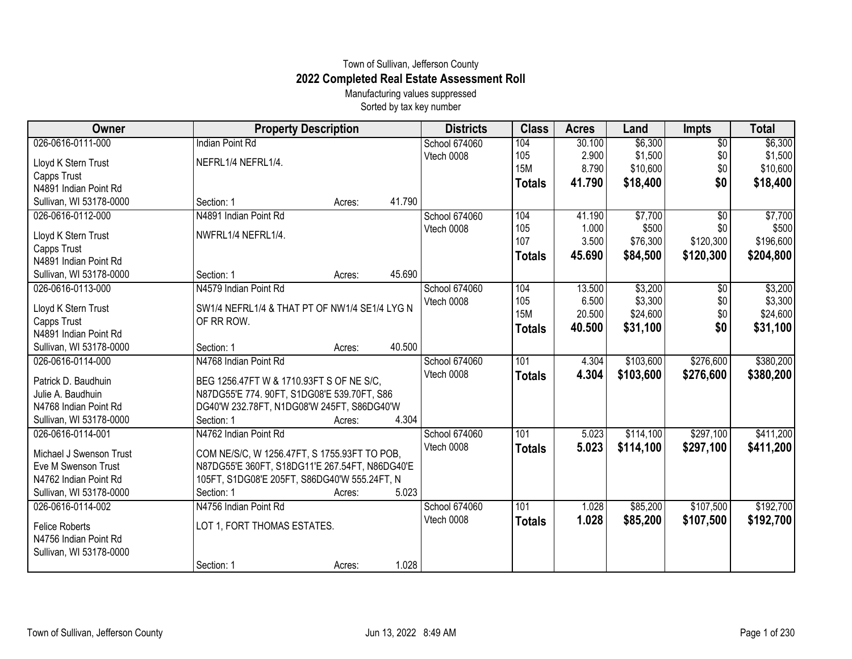## Town of Sullivan, Jefferson County **2022 Completed Real Estate Assessment Roll**

Manufacturing values suppressed Sorted by tax key number

| Owner                                    | <b>Property Description</b>                                                             | <b>Districts</b>            | <b>Class</b>  | <b>Acres</b> | Land      | <b>Impts</b>    | <b>Total</b> |
|------------------------------------------|-----------------------------------------------------------------------------------------|-----------------------------|---------------|--------------|-----------|-----------------|--------------|
| 026-0616-0111-000                        | <b>Indian Point Rd</b>                                                                  | School 674060               | 104           | 30.100       | \$6,300   | $\overline{60}$ | \$6,300      |
| Lloyd K Stern Trust                      | NEFRL1/4 NEFRL1/4.                                                                      | Vtech 0008                  | 105           | 2.900        | \$1,500   | \$0             | \$1,500      |
| Capps Trust                              |                                                                                         |                             | <b>15M</b>    | 8.790        | \$10,600  | \$0             | \$10,600     |
| N4891 Indian Point Rd                    |                                                                                         |                             | <b>Totals</b> | 41.790       | \$18,400  | \$0             | \$18,400     |
| Sullivan, WI 53178-0000                  | 41.790<br>Section: 1<br>Acres:                                                          |                             |               |              |           |                 |              |
| 026-0616-0112-000                        | N4891 Indian Point Rd                                                                   | School 674060               | 104           | 41.190       | \$7,700   | $\overline{50}$ | \$7,700      |
| Lloyd K Stern Trust                      | NWFRL1/4 NEFRL1/4.                                                                      | Vtech 0008                  | 105           | 1.000        | \$500     | \$0             | \$500        |
| Capps Trust                              |                                                                                         |                             | 107           | 3.500        | \$76,300  | \$120,300       | \$196,600    |
| N4891 Indian Point Rd                    |                                                                                         |                             | <b>Totals</b> | 45.690       | \$84,500  | \$120,300       | \$204,800    |
| Sullivan, WI 53178-0000                  | 45.690<br>Section: 1<br>Acres:                                                          |                             |               |              |           |                 |              |
| 026-0616-0113-000                        | N4579 Indian Point Rd                                                                   | School 674060               | 104           | 13.500       | \$3,200   | \$0             | \$3,200      |
| Lloyd K Stern Trust                      | SW1/4 NEFRL1/4 & THAT PT OF NW1/4 SE1/4 LYG N                                           | Vtech 0008                  | 105           | 6.500        | \$3,300   | \$0             | \$3,300      |
| Capps Trust                              | OF RR ROW.                                                                              |                             | <b>15M</b>    | 20.500       | \$24,600  | \$0             | \$24,600     |
| N4891 Indian Point Rd                    |                                                                                         |                             | <b>Totals</b> | 40.500       | \$31,100  | \$0             | \$31,100     |
| Sullivan, WI 53178-0000                  | 40.500<br>Section: 1<br>Acres:                                                          |                             |               |              |           |                 |              |
| 026-0616-0114-000                        | N4768 Indian Point Rd                                                                   | School 674060               | 101           | 4.304        | \$103,600 | \$276,600       | \$380,200    |
|                                          |                                                                                         | Vtech 0008                  | <b>Totals</b> | 4.304        | \$103,600 | \$276,600       | \$380,200    |
| Patrick D. Baudhuin<br>Julie A. Baudhuin | BEG 1256.47FT W & 1710.93FT S OF NE S/C,<br>N87DG55'E 774. 90FT, S1DG08'E 539.70FT, S86 |                             |               |              |           |                 |              |
| N4768 Indian Point Rd                    | DG40'W 232.78FT, N1DG08'W 245FT, S86DG40'W                                              |                             |               |              |           |                 |              |
| Sullivan, WI 53178-0000                  | 4.304<br>Section: 1<br>Acres:                                                           |                             |               |              |           |                 |              |
| 026-0616-0114-001                        | N4762 Indian Point Rd                                                                   | School 674060               | 101           | 5.023        | \$114,100 | \$297,100       | \$411,200    |
|                                          |                                                                                         | Vtech 0008                  | <b>Totals</b> | 5.023        | \$114,100 | \$297,100       | \$411,200    |
| Michael J Swenson Trust                  | COM NE/S/C, W 1256.47FT, S 1755.93FT TO POB,                                            |                             |               |              |           |                 |              |
| Eve M Swenson Trust                      | N87DG55'E 360FT, S18DG11'E 267.54FT, N86DG40'E                                          |                             |               |              |           |                 |              |
| N4762 Indian Point Rd                    | 105FT, S1DG08'E 205FT, S86DG40'W 555.24FT, N                                            |                             |               |              |           |                 |              |
| Sullivan, WI 53178-0000                  | 5.023<br>Section: 1<br>Acres:                                                           |                             |               |              |           |                 |              |
| 026-0616-0114-002                        | N4756 Indian Point Rd                                                                   | School 674060<br>Vtech 0008 | 101           | 1.028        | \$85,200  | \$107,500       | \$192,700    |
| <b>Felice Roberts</b>                    | LOT 1, FORT THOMAS ESTATES.                                                             |                             | <b>Totals</b> | 1.028        | \$85,200  | \$107,500       | \$192,700    |
| N4756 Indian Point Rd                    |                                                                                         |                             |               |              |           |                 |              |
| Sullivan, WI 53178-0000                  |                                                                                         |                             |               |              |           |                 |              |
|                                          | 1.028<br>Section: 1<br>Acres:                                                           |                             |               |              |           |                 |              |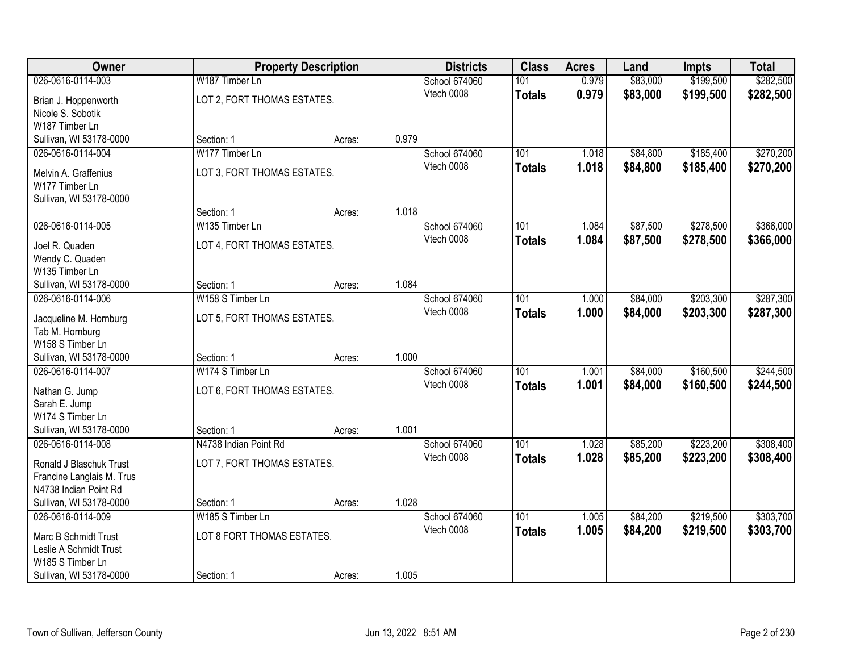| Owner                             |                             | <b>Property Description</b> |       | <b>Districts</b> | <b>Class</b>  | <b>Acres</b> | Land     | <b>Impts</b> | <b>Total</b> |
|-----------------------------------|-----------------------------|-----------------------------|-------|------------------|---------------|--------------|----------|--------------|--------------|
| 026-0616-0114-003                 | W187 Timber Ln              |                             |       | School 674060    | 101           | 0.979        | \$83,000 | \$199,500    | \$282,500    |
| Brian J. Hoppenworth              | LOT 2, FORT THOMAS ESTATES. |                             |       | Vtech 0008       | <b>Totals</b> | 0.979        | \$83,000 | \$199,500    | \$282,500    |
| Nicole S. Sobotik                 |                             |                             |       |                  |               |              |          |              |              |
| W187 Timber Ln                    |                             |                             |       |                  |               |              |          |              |              |
| Sullivan, WI 53178-0000           | Section: 1                  | Acres:                      | 0.979 |                  |               |              |          |              |              |
| 026-0616-0114-004                 | W177 Timber Ln              |                             |       | School 674060    | 101           | 1.018        | \$84,800 | \$185,400    | \$270,200    |
| Melvin A. Graffenius              | LOT 3, FORT THOMAS ESTATES. |                             |       | Vtech 0008       | <b>Totals</b> | 1.018        | \$84,800 | \$185,400    | \$270,200    |
| W177 Timber Ln                    |                             |                             |       |                  |               |              |          |              |              |
| Sullivan, WI 53178-0000           |                             |                             |       |                  |               |              |          |              |              |
|                                   | Section: 1                  | Acres:                      | 1.018 |                  |               |              |          |              |              |
| 026-0616-0114-005                 | W135 Timber Ln              |                             |       | School 674060    | 101           | 1.084        | \$87,500 | \$278,500    | \$366,000    |
|                                   |                             |                             |       | Vtech 0008       | <b>Totals</b> | 1.084        | \$87,500 | \$278,500    | \$366,000    |
| Joel R. Quaden                    | LOT 4, FORT THOMAS ESTATES. |                             |       |                  |               |              |          |              |              |
| Wendy C. Quaden<br>W135 Timber Ln |                             |                             |       |                  |               |              |          |              |              |
| Sullivan, WI 53178-0000           | Section: 1                  | Acres:                      | 1.084 |                  |               |              |          |              |              |
| 026-0616-0114-006                 | W158 S Timber Ln            |                             |       | School 674060    | 101           | 1.000        | \$84,000 | \$203,300    | \$287,300    |
|                                   |                             |                             |       | Vtech 0008       | <b>Totals</b> | 1.000        | \$84,000 | \$203,300    | \$287,300    |
| Jacqueline M. Hornburg            | LOT 5, FORT THOMAS ESTATES. |                             |       |                  |               |              |          |              |              |
| Tab M. Hornburg                   |                             |                             |       |                  |               |              |          |              |              |
| W158 S Timber Ln                  |                             |                             |       |                  |               |              |          |              |              |
| Sullivan, WI 53178-0000           | Section: 1                  | Acres:                      | 1.000 |                  |               |              |          |              |              |
| 026-0616-0114-007                 | W174 S Timber Ln            |                             |       | School 674060    | 101           | 1.001        | \$84,000 | \$160,500    | \$244,500    |
| Nathan G. Jump                    | LOT 6, FORT THOMAS ESTATES. |                             |       | Vtech 0008       | <b>Totals</b> | 1.001        | \$84,000 | \$160,500    | \$244,500    |
| Sarah E. Jump                     |                             |                             |       |                  |               |              |          |              |              |
| W174 S Timber Ln                  |                             |                             |       |                  |               |              |          |              |              |
| Sullivan, WI 53178-0000           | Section: 1                  | Acres:                      | 1.001 |                  |               |              |          |              |              |
| 026-0616-0114-008                 | N4738 Indian Point Rd       |                             |       | School 674060    | 101           | 1.028        | \$85,200 | \$223,200    | \$308,400    |
| Ronald J Blaschuk Trust           | LOT 7, FORT THOMAS ESTATES. |                             |       | Vtech 0008       | <b>Totals</b> | 1.028        | \$85,200 | \$223,200    | \$308,400    |
| Francine Langlais M. Trus         |                             |                             |       |                  |               |              |          |              |              |
| N4738 Indian Point Rd             |                             |                             |       |                  |               |              |          |              |              |
| Sullivan, WI 53178-0000           | Section: 1                  | Acres:                      | 1.028 |                  |               |              |          |              |              |
| 026-0616-0114-009                 | W185 S Timber Ln            |                             |       | School 674060    | 101           | 1.005        | \$84,200 | \$219,500    | \$303,700    |
| Marc B Schmidt Trust              | LOT 8 FORT THOMAS ESTATES.  |                             |       | Vtech 0008       | <b>Totals</b> | 1.005        | \$84,200 | \$219,500    | \$303,700    |
| Leslie A Schmidt Trust            |                             |                             |       |                  |               |              |          |              |              |
| W185 S Timber Ln                  |                             |                             |       |                  |               |              |          |              |              |
| Sullivan, WI 53178-0000           | Section: 1                  | Acres:                      | 1.005 |                  |               |              |          |              |              |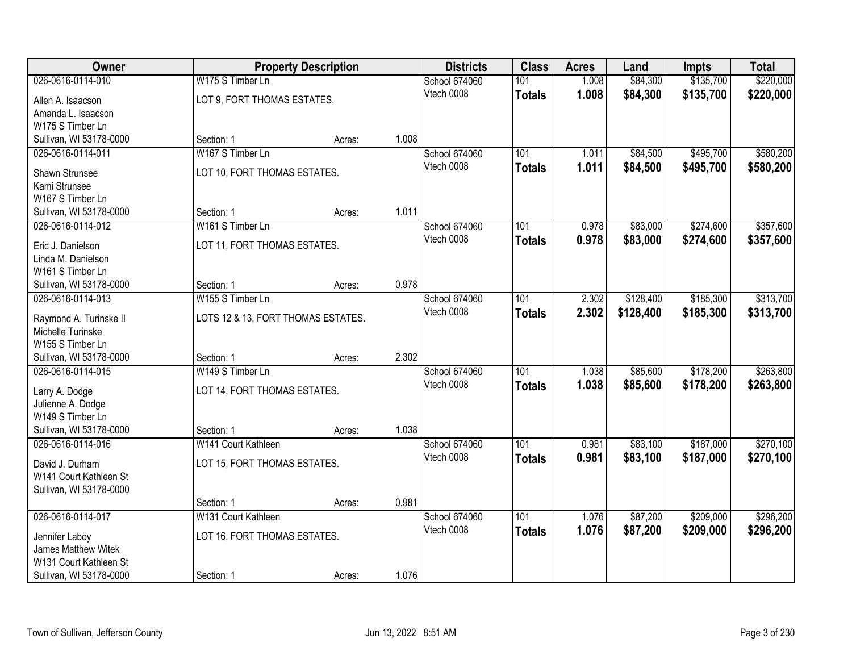| Owner                                        |                                    | <b>Property Description</b> |       | <b>Districts</b>            | <b>Class</b>     | <b>Acres</b> | Land      | <b>Impts</b> | <b>Total</b> |
|----------------------------------------------|------------------------------------|-----------------------------|-------|-----------------------------|------------------|--------------|-----------|--------------|--------------|
| 026-0616-0114-010                            | W175 S Timber Ln                   |                             |       | School 674060               | 101              | 1.008        | \$84,300  | \$135,700    | \$220,000    |
| Allen A. Isaacson                            | LOT 9, FORT THOMAS ESTATES.        |                             |       | Vtech 0008                  | <b>Totals</b>    | 1.008        | \$84,300  | \$135,700    | \$220,000    |
| Amanda L. Isaacson                           |                                    |                             |       |                             |                  |              |           |              |              |
| W175 S Timber Ln                             |                                    |                             |       |                             |                  |              |           |              |              |
| Sullivan, WI 53178-0000                      | Section: 1                         | Acres:                      | 1.008 |                             |                  |              |           |              |              |
| 026-0616-0114-011                            | W167 S Timber Ln                   |                             |       | School 674060               | 101              | 1.011        | \$84,500  | \$495,700    | \$580,200    |
| Shawn Strunsee                               | LOT 10, FORT THOMAS ESTATES.       |                             |       | Vtech 0008                  | <b>Totals</b>    | 1.011        | \$84,500  | \$495,700    | \$580,200    |
| Kami Strunsee                                |                                    |                             |       |                             |                  |              |           |              |              |
| W167 S Timber Ln                             |                                    |                             |       |                             |                  |              |           |              |              |
| Sullivan, WI 53178-0000                      | Section: 1                         | Acres:                      | 1.011 |                             |                  |              |           |              |              |
| 026-0616-0114-012                            | W161 S Timber Ln                   |                             |       | School 674060               | 101              | 0.978        | \$83,000  | \$274,600    | \$357,600    |
|                                              |                                    |                             |       | Vtech 0008                  | <b>Totals</b>    | 0.978        | \$83,000  | \$274,600    | \$357,600    |
| Eric J. Danielson                            | LOT 11, FORT THOMAS ESTATES.       |                             |       |                             |                  |              |           |              |              |
| Linda M. Danielson<br>W161 S Timber Ln       |                                    |                             |       |                             |                  |              |           |              |              |
| Sullivan, WI 53178-0000                      | Section: 1                         | Acres:                      | 0.978 |                             |                  |              |           |              |              |
| 026-0616-0114-013                            | W155 S Timber Ln                   |                             |       | School 674060               | 101              | 2.302        | \$128,400 | \$185,300    | \$313,700    |
|                                              |                                    |                             |       | Vtech 0008                  | <b>Totals</b>    | 2.302        | \$128,400 | \$185,300    | \$313,700    |
| Raymond A. Turinske II                       | LOTS 12 & 13, FORT THOMAS ESTATES. |                             |       |                             |                  |              |           |              |              |
| Michelle Turinske                            |                                    |                             |       |                             |                  |              |           |              |              |
| W155 S Timber Ln                             |                                    |                             | 2.302 |                             |                  |              |           |              |              |
| Sullivan, WI 53178-0000<br>026-0616-0114-015 | Section: 1<br>W149 S Timber Ln     | Acres:                      |       |                             | $\overline{101}$ | 1.038        | \$85,600  | \$178,200    | \$263,800    |
|                                              |                                    |                             |       | School 674060<br>Vtech 0008 |                  | 1.038        |           |              |              |
| Larry A. Dodge                               | LOT 14, FORT THOMAS ESTATES.       |                             |       |                             | <b>Totals</b>    |              | \$85,600  | \$178,200    | \$263,800    |
| Julienne A. Dodge                            |                                    |                             |       |                             |                  |              |           |              |              |
| W149 S Timber Ln                             |                                    |                             |       |                             |                  |              |           |              |              |
| Sullivan, WI 53178-0000                      | Section: 1                         | Acres:                      | 1.038 |                             |                  |              |           |              |              |
| 026-0616-0114-016                            | W141 Court Kathleen                |                             |       | School 674060               | 101              | 0.981        | \$83,100  | \$187,000    | \$270,100    |
| David J. Durham                              | LOT 15, FORT THOMAS ESTATES.       |                             |       | Vtech 0008                  | <b>Totals</b>    | 0.981        | \$83,100  | \$187,000    | \$270,100    |
| W141 Court Kathleen St                       |                                    |                             |       |                             |                  |              |           |              |              |
| Sullivan, WI 53178-0000                      |                                    |                             |       |                             |                  |              |           |              |              |
|                                              | Section: 1                         | Acres:                      | 0.981 |                             |                  |              |           |              |              |
| 026-0616-0114-017                            | W131 Court Kathleen                |                             |       | School 674060               | 101              | 1.076        | \$87,200  | \$209,000    | \$296,200    |
| Jennifer Laboy                               | LOT 16, FORT THOMAS ESTATES.       |                             |       | Vtech 0008                  | <b>Totals</b>    | 1.076        | \$87,200  | \$209,000    | \$296,200    |
| <b>James Matthew Witek</b>                   |                                    |                             |       |                             |                  |              |           |              |              |
| W131 Court Kathleen St                       |                                    |                             |       |                             |                  |              |           |              |              |
| Sullivan, WI 53178-0000                      | Section: 1                         | Acres:                      | 1.076 |                             |                  |              |           |              |              |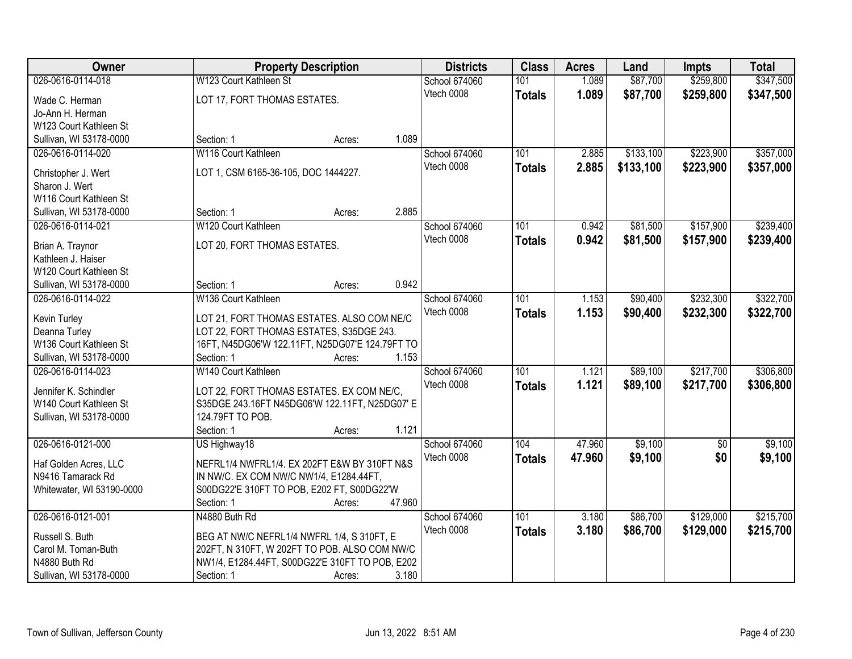| Owner                     |                                                 | <b>Property Description</b> |        | <b>Districts</b> | <b>Class</b>  | <b>Acres</b> | Land      | <b>Impts</b>    | <b>Total</b> |
|---------------------------|-------------------------------------------------|-----------------------------|--------|------------------|---------------|--------------|-----------|-----------------|--------------|
| 026-0616-0114-018         | W123 Court Kathleen St                          |                             |        | School 674060    | 101           | 1.089        | \$87,700  | \$259,800       | \$347,500    |
| Wade C. Herman            | LOT 17, FORT THOMAS ESTATES.                    |                             |        | Vtech 0008       | <b>Totals</b> | 1.089        | \$87,700  | \$259,800       | \$347,500    |
| Jo-Ann H. Herman          |                                                 |                             |        |                  |               |              |           |                 |              |
| W123 Court Kathleen St    |                                                 |                             |        |                  |               |              |           |                 |              |
| Sullivan, WI 53178-0000   | Section: 1                                      | Acres:                      | 1.089  |                  |               |              |           |                 |              |
| 026-0616-0114-020         | W116 Court Kathleen                             |                             |        | School 674060    | 101           | 2.885        | \$133,100 | \$223,900       | \$357,000    |
|                           |                                                 |                             |        | Vtech 0008       | <b>Totals</b> | 2.885        | \$133,100 | \$223,900       | \$357,000    |
| Christopher J. Wert       | LOT 1, CSM 6165-36-105, DOC 1444227.            |                             |        |                  |               |              |           |                 |              |
| Sharon J. Wert            |                                                 |                             |        |                  |               |              |           |                 |              |
| W116 Court Kathleen St    |                                                 |                             | 2.885  |                  |               |              |           |                 |              |
| Sullivan, WI 53178-0000   | Section: 1                                      | Acres:                      |        |                  |               |              |           |                 |              |
| 026-0616-0114-021         | W120 Court Kathleen                             |                             |        | School 674060    | 101           | 0.942        | \$81,500  | \$157,900       | \$239,400    |
| Brian A. Traynor          | LOT 20, FORT THOMAS ESTATES.                    |                             |        | Vtech 0008       | <b>Totals</b> | 0.942        | \$81,500  | \$157,900       | \$239,400    |
| Kathleen J. Haiser        |                                                 |                             |        |                  |               |              |           |                 |              |
| W120 Court Kathleen St    |                                                 |                             |        |                  |               |              |           |                 |              |
| Sullivan, WI 53178-0000   | Section: 1                                      | Acres:                      | 0.942  |                  |               |              |           |                 |              |
| 026-0616-0114-022         | W136 Court Kathleen                             |                             |        | School 674060    | 101           | 1.153        | \$90,400  | \$232,300       | \$322,700    |
| Kevin Turley              | LOT 21, FORT THOMAS ESTATES. ALSO COM NE/C      |                             |        | Vtech 0008       | <b>Totals</b> | 1.153        | \$90,400  | \$232,300       | \$322,700    |
| Deanna Turley             | LOT 22, FORT THOMAS ESTATES, S35DGE 243.        |                             |        |                  |               |              |           |                 |              |
| W136 Court Kathleen St    | 16FT, N45DG06'W 122.11FT, N25DG07'E 124.79FT TO |                             |        |                  |               |              |           |                 |              |
| Sullivan, WI 53178-0000   | Section: 1                                      | Acres:                      | 1.153  |                  |               |              |           |                 |              |
| 026-0616-0114-023         | W140 Court Kathleen                             |                             |        | School 674060    | 101           | 1.121        | \$89,100  | \$217,700       | \$306,800    |
|                           |                                                 |                             |        | Vtech 0008       | <b>Totals</b> | 1.121        | \$89,100  | \$217,700       | \$306,800    |
| Jennifer K. Schindler     | LOT 22, FORT THOMAS ESTATES. EX COM NE/C,       |                             |        |                  |               |              |           |                 |              |
| W140 Court Kathleen St    | S35DGE 243.16FT N45DG06'W 122.11FT, N25DG07' E  |                             |        |                  |               |              |           |                 |              |
| Sullivan, WI 53178-0000   | 124.79FT TO POB.                                |                             |        |                  |               |              |           |                 |              |
|                           | Section: 1                                      | Acres:                      | 1.121  |                  |               |              |           |                 |              |
| 026-0616-0121-000         | US Highway18                                    |                             |        | School 674060    | 104           | 47.960       | \$9,100   | $\overline{60}$ | \$9,100      |
| Haf Golden Acres, LLC     | NEFRL1/4 NWFRL1/4. EX 202FT E&W BY 310FT N&S    |                             |        | Vtech 0008       | <b>Totals</b> | 47.960       | \$9,100   | \$0             | \$9,100      |
| N9416 Tamarack Rd         | IN NW/C. EX COM NW/C NW1/4, E1284.44FT,         |                             |        |                  |               |              |           |                 |              |
| Whitewater, WI 53190-0000 | S00DG22'E 310FT TO POB, E202 FT, S00DG22'W      |                             |        |                  |               |              |           |                 |              |
|                           | Section: 1                                      | Acres:                      | 47.960 |                  |               |              |           |                 |              |
| 026-0616-0121-001         | N4880 Buth Rd                                   |                             |        | School 674060    | 101           | 3.180        | \$86,700  | \$129,000       | \$215,700    |
|                           |                                                 |                             |        | Vtech 0008       | <b>Totals</b> | 3.180        | \$86,700  | \$129,000       | \$215,700    |
| Russell S. Buth           | BEG AT NW/C NEFRL1/4 NWFRL 1/4, S 310FT, E      |                             |        |                  |               |              |           |                 |              |
| Carol M. Toman-Buth       | 202FT, N 310FT, W 202FT TO POB. ALSO COM NW/C   |                             |        |                  |               |              |           |                 |              |
| N4880 Buth Rd             | NW1/4, E1284.44FT, S00DG22'E 310FT TO POB, E202 |                             |        |                  |               |              |           |                 |              |
| Sullivan, WI 53178-0000   | Section: 1                                      | Acres:                      | 3.180  |                  |               |              |           |                 |              |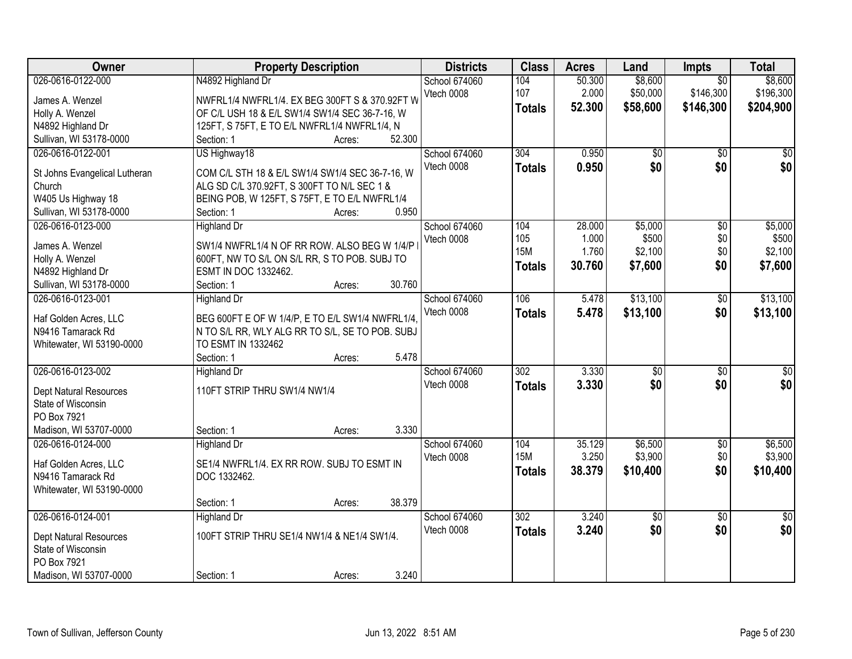| Owner                         | <b>Property Description</b>                      | <b>Districts</b>     | <b>Class</b>     | <b>Acres</b> | Land            | Impts           | <b>Total</b>    |
|-------------------------------|--------------------------------------------------|----------------------|------------------|--------------|-----------------|-----------------|-----------------|
| 026-0616-0122-000             | N4892 Highland Dr                                | <b>School 674060</b> | 104              | 50.300       | \$8,600         | $\overline{50}$ | \$8,600         |
| James A. Wenzel               | NWFRL1/4 NWFRL1/4. EX BEG 300FT S & 370.92FT W   | Vtech 0008           | 107              | 2.000        | \$50,000        | \$146,300       | \$196,300       |
| Holly A. Wenzel               | OF C/L USH 18 & E/L SW1/4 SW1/4 SEC 36-7-16, W   |                      | <b>Totals</b>    | 52.300       | \$58,600        | \$146,300       | \$204,900       |
| N4892 Highland Dr             | 125FT, S 75FT, E TO E/L NWFRL1/4 NWFRL1/4, N     |                      |                  |              |                 |                 |                 |
| Sullivan, WI 53178-0000       | 52.300<br>Section: 1<br>Acres:                   |                      |                  |              |                 |                 |                 |
| 026-0616-0122-001             | US Highway18                                     | <b>School 674060</b> | 304              | 0.950        | $\overline{50}$ | $\overline{50}$ | $\overline{50}$ |
|                               |                                                  | Vtech 0008           | <b>Totals</b>    | 0.950        | \$0             | \$0             | \$0             |
| St Johns Evangelical Lutheran | COM C/L STH 18 & E/L SW1/4 SW1/4 SEC 36-7-16, W  |                      |                  |              |                 |                 |                 |
| Church                        | ALG SD C/L 370.92FT, S 300FT TO N/L SEC 1 &      |                      |                  |              |                 |                 |                 |
| W405 Us Highway 18            | BEING POB, W 125FT, S 75FT, E TO E/L NWFRL1/4    |                      |                  |              |                 |                 |                 |
| Sullivan, WI 53178-0000       | 0.950<br>Section: 1<br>Acres:                    |                      |                  |              |                 |                 |                 |
| 026-0616-0123-000             | <b>Highland Dr</b>                               | School 674060        | 104              | 28.000       | \$5,000         | $\overline{50}$ | \$5,000         |
| James A. Wenzel               | SW1/4 NWFRL1/4 N OF RR ROW. ALSO BEG W 1/4/P     | Vtech 0008           | 105              | 1.000        | \$500           | \$0             | \$500           |
| Holly A. Wenzel               | 600FT, NW TO S/L ON S/L RR, S TO POB. SUBJ TO    |                      | <b>15M</b>       | 1.760        | \$2,100         | \$0             | \$2,100         |
| N4892 Highland Dr             | ESMT IN DOC 1332462.                             |                      | <b>Totals</b>    | 30.760       | \$7,600         | \$0             | \$7,600         |
| Sullivan, WI 53178-0000       | 30.760<br>Section: 1<br>Acres:                   |                      |                  |              |                 |                 |                 |
| 026-0616-0123-001             | <b>Highland Dr</b>                               | School 674060        | 106              | 5.478        | \$13,100        | \$0             | \$13,100        |
|                               |                                                  | Vtech 0008           | <b>Totals</b>    | 5.478        | \$13,100        | \$0             | \$13,100        |
| Haf Golden Acres, LLC         | BEG 600FT E OF W 1/4/P, E TO E/L SW1/4 NWFRL1/4, |                      |                  |              |                 |                 |                 |
| N9416 Tamarack Rd             | N TO S/L RR, WLY ALG RR TO S/L, SE TO POB. SUBJ  |                      |                  |              |                 |                 |                 |
| Whitewater, WI 53190-0000     | TO ESMT IN 1332462                               |                      |                  |              |                 |                 |                 |
|                               | 5.478<br>Section: 1<br>Acres:                    |                      |                  |              |                 |                 |                 |
| 026-0616-0123-002             | Highland Dr                                      | School 674060        | $\overline{302}$ | 3.330        | $\overline{50}$ | $\overline{50}$ | \$0             |
| <b>Dept Natural Resources</b> | 110FT STRIP THRU SW1/4 NW1/4                     | Vtech 0008           | <b>Totals</b>    | 3.330        | \$0             | \$0             | \$0             |
| State of Wisconsin            |                                                  |                      |                  |              |                 |                 |                 |
| PO Box 7921                   |                                                  |                      |                  |              |                 |                 |                 |
| Madison, WI 53707-0000        | 3.330<br>Section: 1<br>Acres:                    |                      |                  |              |                 |                 |                 |
| 026-0616-0124-000             | <b>Highland Dr</b>                               | School 674060        | 104              | 35.129       | \$6,500         | $\overline{60}$ | \$6,500         |
|                               |                                                  | Vtech 0008           | <b>15M</b>       | 3.250        | \$3,900         | \$0             | \$3,900         |
| Haf Golden Acres, LLC         | SE1/4 NWFRL1/4. EX RR ROW. SUBJ TO ESMT IN       |                      | <b>Totals</b>    | 38.379       | \$10,400        | \$0             | \$10,400        |
| N9416 Tamarack Rd             | DOC 1332462.                                     |                      |                  |              |                 |                 |                 |
| Whitewater, WI 53190-0000     |                                                  |                      |                  |              |                 |                 |                 |
|                               | 38.379<br>Section: 1<br>Acres:                   |                      |                  |              |                 |                 |                 |
| 026-0616-0124-001             | <b>Highland Dr</b>                               | School 674060        | 302              | 3.240        | \$0             | $\overline{50}$ | $\overline{50}$ |
| <b>Dept Natural Resources</b> | 100FT STRIP THRU SE1/4 NW1/4 & NE1/4 SW1/4.      | Vtech 0008           | <b>Totals</b>    | 3.240        | \$0             | \$0             | \$0             |
| State of Wisconsin            |                                                  |                      |                  |              |                 |                 |                 |
| PO Box 7921                   |                                                  |                      |                  |              |                 |                 |                 |
| Madison, WI 53707-0000        | 3.240<br>Section: 1<br>Acres:                    |                      |                  |              |                 |                 |                 |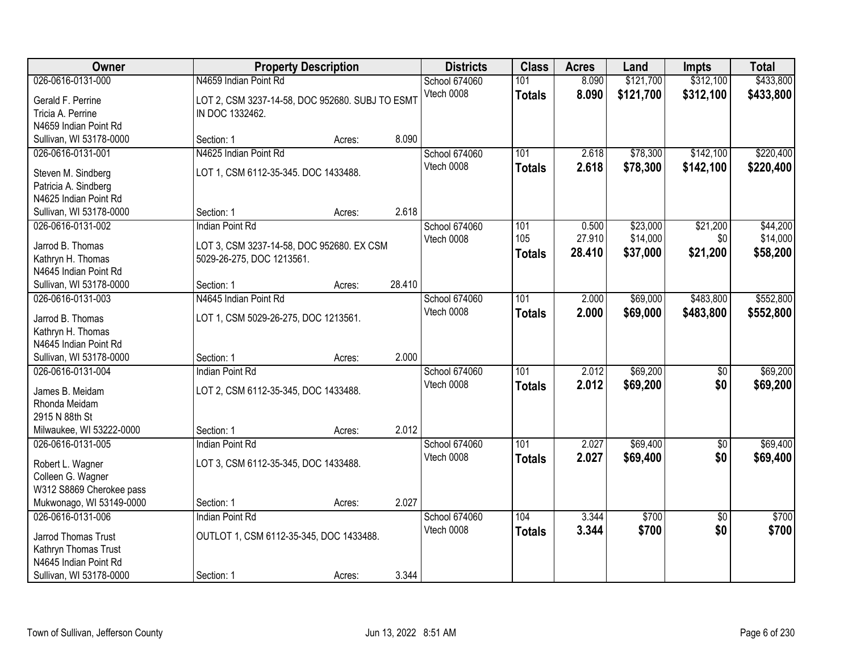| Owner                                         |                                                 | <b>Property Description</b> |        | <b>Districts</b> | <b>Class</b>     | <b>Acres</b> | Land      | <b>Impts</b>    | <b>Total</b> |
|-----------------------------------------------|-------------------------------------------------|-----------------------------|--------|------------------|------------------|--------------|-----------|-----------------|--------------|
| 026-0616-0131-000                             | N4659 Indian Point Rd                           |                             |        | School 674060    | 101              | 8.090        | \$121,700 | \$312,100       | \$433,800    |
| Gerald F. Perrine                             | LOT 2, CSM 3237-14-58, DOC 952680. SUBJ TO ESMT |                             |        | Vtech 0008       | <b>Totals</b>    | 8.090        | \$121,700 | \$312,100       | \$433,800    |
| Tricia A. Perrine                             | IN DOC 1332462.                                 |                             |        |                  |                  |              |           |                 |              |
| N4659 Indian Point Rd                         |                                                 |                             |        |                  |                  |              |           |                 |              |
| Sullivan, WI 53178-0000                       | Section: 1                                      | Acres:                      | 8.090  |                  |                  |              |           |                 |              |
| 026-0616-0131-001                             | N4625 Indian Point Rd                           |                             |        | School 674060    | 101              | 2.618        | \$78,300  | \$142,100       | \$220,400    |
| Steven M. Sindberg                            | LOT 1, CSM 6112-35-345. DOC 1433488.            |                             |        | Vtech 0008       | <b>Totals</b>    | 2.618        | \$78,300  | \$142,100       | \$220,400    |
| Patricia A. Sindberg                          |                                                 |                             |        |                  |                  |              |           |                 |              |
| N4625 Indian Point Rd                         |                                                 |                             |        |                  |                  |              |           |                 |              |
| Sullivan, WI 53178-0000                       | Section: 1                                      | Acres:                      | 2.618  |                  |                  |              |           |                 |              |
| 026-0616-0131-002                             | Indian Point Rd                                 |                             |        | School 674060    | 101              | 0.500        | \$23,000  | \$21,200        | \$44,200     |
|                                               |                                                 |                             |        | Vtech 0008       | 105              | 27.910       | \$14,000  | \$0             | \$14,000     |
| Jarrod B. Thomas                              | LOT 3, CSM 3237-14-58, DOC 952680. EX CSM       |                             |        |                  | <b>Totals</b>    | 28.410       | \$37,000  | \$21,200        | \$58,200     |
| Kathryn H. Thomas                             | 5029-26-275, DOC 1213561.                       |                             |        |                  |                  |              |           |                 |              |
| N4645 Indian Point Rd                         |                                                 |                             | 28.410 |                  |                  |              |           |                 |              |
| Sullivan, WI 53178-0000<br>026-0616-0131-003  | Section: 1<br>N4645 Indian Point Rd             | Acres:                      |        | School 674060    | 101              | 2.000        | \$69,000  | \$483,800       | \$552,800    |
|                                               |                                                 |                             |        | Vtech 0008       |                  |              |           |                 |              |
| Jarrod B. Thomas                              | LOT 1, CSM 5029-26-275, DOC 1213561.            |                             |        |                  | <b>Totals</b>    | 2.000        | \$69,000  | \$483,800       | \$552,800    |
| Kathryn H. Thomas                             |                                                 |                             |        |                  |                  |              |           |                 |              |
| N4645 Indian Point Rd                         |                                                 |                             |        |                  |                  |              |           |                 |              |
| Sullivan, WI 53178-0000                       | Section: 1                                      | Acres:                      | 2.000  |                  |                  |              |           |                 |              |
| 026-0616-0131-004                             | <b>Indian Point Rd</b>                          |                             |        | School 674060    | 101              | 2.012        | \$69,200  | $\overline{50}$ | \$69,200     |
| James B. Meidam                               | LOT 2, CSM 6112-35-345, DOC 1433488.            |                             |        | Vtech 0008       | <b>Totals</b>    | 2.012        | \$69,200  | \$0             | \$69,200     |
| Rhonda Meidam                                 |                                                 |                             |        |                  |                  |              |           |                 |              |
| 2915 N 88th St                                |                                                 |                             |        |                  |                  |              |           |                 |              |
| Milwaukee, WI 53222-0000                      | Section: 1                                      | Acres:                      | 2.012  |                  |                  |              |           |                 |              |
| 026-0616-0131-005                             | <b>Indian Point Rd</b>                          |                             |        | School 674060    | $\overline{101}$ | 2.027        | \$69,400  | $\overline{50}$ | \$69,400     |
| Robert L. Wagner                              | LOT 3, CSM 6112-35-345, DOC 1433488.            |                             |        | Vtech 0008       | <b>Totals</b>    | 2.027        | \$69,400  | \$0             | \$69,400     |
| Colleen G. Wagner                             |                                                 |                             |        |                  |                  |              |           |                 |              |
| W312 S8869 Cherokee pass                      |                                                 |                             |        |                  |                  |              |           |                 |              |
| Mukwonago, WI 53149-0000                      | Section: 1                                      | Acres:                      | 2.027  |                  |                  |              |           |                 |              |
| 026-0616-0131-006                             | <b>Indian Point Rd</b>                          |                             |        | School 674060    | 104              | 3.344        | \$700     | $\overline{50}$ | \$700        |
|                                               |                                                 |                             |        | Vtech 0008       | <b>Totals</b>    | 3.344        | \$700     | \$0             | \$700        |
| Jarrod Thomas Trust                           | OUTLOT 1, CSM 6112-35-345, DOC 1433488.         |                             |        |                  |                  |              |           |                 |              |
| Kathryn Thomas Trust<br>N4645 Indian Point Rd |                                                 |                             |        |                  |                  |              |           |                 |              |
| Sullivan, WI 53178-0000                       | Section: 1                                      |                             | 3.344  |                  |                  |              |           |                 |              |
|                                               |                                                 | Acres:                      |        |                  |                  |              |           |                 |              |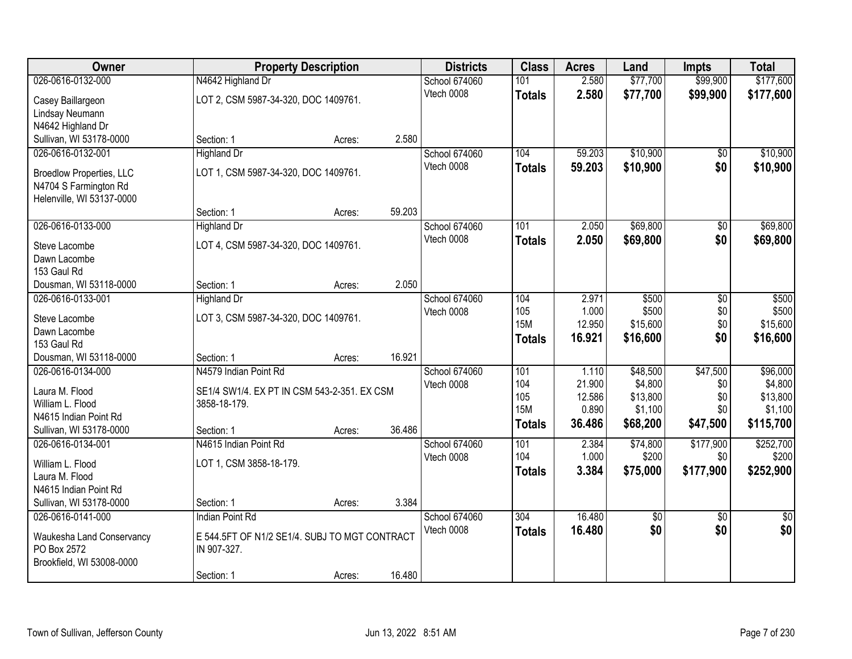| Owner                           |                                               | <b>Property Description</b> |        | <b>Districts</b>     | <b>Class</b>     | <b>Acres</b> | Land            | <b>Impts</b>    | <b>Total</b>    |
|---------------------------------|-----------------------------------------------|-----------------------------|--------|----------------------|------------------|--------------|-----------------|-----------------|-----------------|
| 026-0616-0132-000               | N4642 Highland Dr                             |                             |        | <b>School 674060</b> | 101              | 2.580        | \$77,700        | \$99,900        | \$177,600       |
| Casey Baillargeon               | LOT 2, CSM 5987-34-320, DOC 1409761.          |                             |        | Vtech 0008           | <b>Totals</b>    | 2.580        | \$77,700        | \$99,900        | \$177,600       |
| Lindsay Neumann                 |                                               |                             |        |                      |                  |              |                 |                 |                 |
| N4642 Highland Dr               |                                               |                             |        |                      |                  |              |                 |                 |                 |
| Sullivan, WI 53178-0000         | Section: 1                                    | Acres:                      | 2.580  |                      |                  |              |                 |                 |                 |
| 026-0616-0132-001               | <b>Highland Dr</b>                            |                             |        | <b>School 674060</b> | 104              | 59.203       | \$10,900        | \$0             | \$10,900        |
| <b>Broedlow Properties, LLC</b> | LOT 1, CSM 5987-34-320, DOC 1409761.          |                             |        | Vtech 0008           | <b>Totals</b>    | 59.203       | \$10,900        | \$0             | \$10,900        |
| N4704 S Farmington Rd           |                                               |                             |        |                      |                  |              |                 |                 |                 |
| Helenville, WI 53137-0000       |                                               |                             |        |                      |                  |              |                 |                 |                 |
|                                 | Section: 1                                    | Acres:                      | 59.203 |                      |                  |              |                 |                 |                 |
| 026-0616-0133-000               | <b>Highland Dr</b>                            |                             |        | School 674060        | 101              | 2.050        | \$69,800        | \$0             | \$69,800        |
| Steve Lacombe                   | LOT 4, CSM 5987-34-320, DOC 1409761.          |                             |        | Vtech 0008           | <b>Totals</b>    | 2.050        | \$69,800        | \$0             | \$69,800        |
| Dawn Lacombe                    |                                               |                             |        |                      |                  |              |                 |                 |                 |
| 153 Gaul Rd                     |                                               |                             |        |                      |                  |              |                 |                 |                 |
| Dousman, WI 53118-0000          | Section: 1                                    | Acres:                      | 2.050  |                      |                  |              |                 |                 |                 |
| 026-0616-0133-001               | <b>Highland Dr</b>                            |                             |        | School 674060        | 104              | 2.971        | \$500           | \$0             | \$500           |
| Steve Lacombe                   | LOT 3, CSM 5987-34-320, DOC 1409761.          |                             |        | Vtech 0008           | 105              | 1.000        | \$500           | \$0             | \$500           |
| Dawn Lacombe                    |                                               |                             |        |                      | <b>15M</b>       | 12.950       | \$15,600        | \$0             | \$15,600        |
| 153 Gaul Rd                     |                                               |                             |        |                      | <b>Totals</b>    | 16.921       | \$16,600        | \$0             | \$16,600        |
| Dousman, WI 53118-0000          | Section: 1                                    | Acres:                      | 16.921 |                      |                  |              |                 |                 |                 |
| 026-0616-0134-000               | N4579 Indian Point Rd                         |                             |        | School 674060        | 101              | 1.110        | \$48,500        | \$47,500        | \$96,000        |
| Laura M. Flood                  | SE1/4 SW1/4. EX PT IN CSM 543-2-351. EX CSM   |                             |        | Vtech 0008           | 104              | 21.900       | \$4,800         | \$0             | \$4,800         |
| William L. Flood                | 3858-18-179.                                  |                             |        |                      | 105              | 12.586       | \$13,800        | \$0             | \$13,800        |
| N4615 Indian Point Rd           |                                               |                             |        |                      | <b>15M</b>       | 0.890        | \$1,100         | \$0             | \$1,100         |
| Sullivan, WI 53178-0000         | Section: 1                                    | Acres:                      | 36.486 |                      | <b>Totals</b>    | 36.486       | \$68,200        | \$47,500        | \$115,700       |
| 026-0616-0134-001               | N4615 Indian Point Rd                         |                             |        | School 674060        | $\overline{101}$ | 2.384        | \$74,800        | \$177,900       | \$252,700       |
| William L. Flood                | LOT 1, CSM 3858-18-179.                       |                             |        | Vtech 0008           | 104              | 1.000        | \$200           | \$0             | \$200           |
| Laura M. Flood                  |                                               |                             |        |                      | <b>Totals</b>    | 3.384        | \$75,000        | \$177,900       | \$252,900       |
| N4615 Indian Point Rd           |                                               |                             |        |                      |                  |              |                 |                 |                 |
| Sullivan, WI 53178-0000         | Section: 1                                    | Acres:                      | 3.384  |                      |                  |              |                 |                 |                 |
| 026-0616-0141-000               | <b>Indian Point Rd</b>                        |                             |        | School 674060        | 304              | 16.480       | $\overline{50}$ | $\overline{30}$ | $\overline{50}$ |
| Waukesha Land Conservancy       | E 544.5FT OF N1/2 SE1/4. SUBJ TO MGT CONTRACT |                             |        | Vtech 0008           | <b>Totals</b>    | 16.480       | \$0             | \$0             | \$0             |
| PO Box 2572                     | IN 907-327.                                   |                             |        |                      |                  |              |                 |                 |                 |
| Brookfield, WI 53008-0000       |                                               |                             |        |                      |                  |              |                 |                 |                 |
|                                 | Section: 1                                    | Acres:                      | 16.480 |                      |                  |              |                 |                 |                 |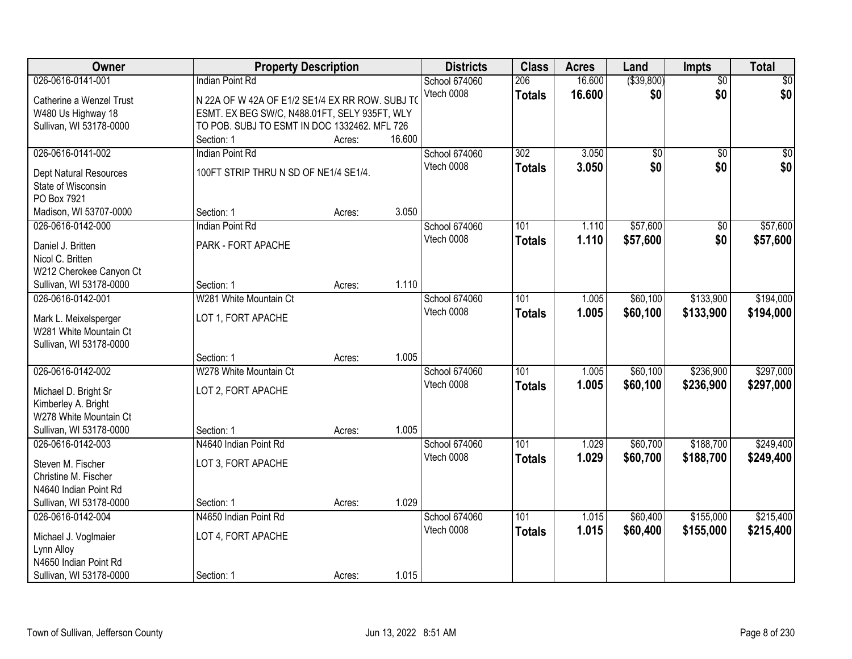| Owner                                                                                                                                      | <b>Property Description</b>                                                                                                                                                |                  |                 | <b>Districts</b>            | <b>Class</b>         | <b>Acres</b>     | Land                   | <b>Impts</b>           | <b>Total</b>           |
|--------------------------------------------------------------------------------------------------------------------------------------------|----------------------------------------------------------------------------------------------------------------------------------------------------------------------------|------------------|-----------------|-----------------------------|----------------------|------------------|------------------------|------------------------|------------------------|
| 026-0616-0141-001<br>Catherine a Wenzel Trust<br>W480 Us Highway 18<br>Sullivan, WI 53178-0000                                             | <b>Indian Point Rd</b><br>N 22A OF W 42A OF E1/2 SE1/4 EX RR ROW. SUBJ TO<br>ESMT. EX BEG SW/C, N488.01FT, SELY 935FT, WLY<br>TO POB. SUBJ TO ESMT IN DOC 1332462. MFL 726 |                  |                 | School 674060<br>Vtech 0008 | 206<br><b>Totals</b> | 16.600<br>16.600 | ( \$39, 800)<br>\$0    | $\overline{50}$<br>\$0 | $\overline{30}$<br>\$0 |
| 026-0616-0141-002<br>Dept Natural Resources<br>State of Wisconsin<br>PO Box 7921                                                           | Section: 1<br>Indian Point Rd<br>100FT STRIP THRU N SD OF NE1/4 SE1/4.                                                                                                     | Acres:           | 16.600<br>3.050 | School 674060<br>Vtech 0008 | 302<br><b>Totals</b> | 3.050<br>3.050   | $\overline{50}$<br>\$0 | $\overline{50}$<br>\$0 | $\sqrt{50}$<br>\$0     |
| Madison, WI 53707-0000<br>026-0616-0142-000<br>Daniel J. Britten<br>Nicol C. Britten<br>W212 Cherokee Canyon Ct<br>Sullivan, WI 53178-0000 | Section: 1<br><b>Indian Point Rd</b><br>PARK - FORT APACHE<br>Section: 1                                                                                                   | Acres:<br>Acres: | 1.110           | School 674060<br>Vtech 0008 | 101<br><b>Totals</b> | 1.110<br>1.110   | \$57,600<br>\$57,600   | $\overline{50}$<br>\$0 | \$57,600<br>\$57,600   |
| 026-0616-0142-001<br>Mark L. Meixelsperger<br>W281 White Mountain Ct<br>Sullivan, WI 53178-0000                                            | W281 White Mountain Ct<br>LOT 1, FORT APACHE<br>Section: 1                                                                                                                 | Acres:           | 1.005           | School 674060<br>Vtech 0008 | 101<br><b>Totals</b> | 1.005<br>1.005   | \$60,100<br>\$60,100   | \$133,900<br>\$133,900 | \$194,000<br>\$194,000 |
| 026-0616-0142-002<br>Michael D. Bright Sr<br>Kimberley A. Bright<br>W278 White Mountain Ct<br>Sullivan, WI 53178-0000                      | W278 White Mountain Ct<br>LOT 2, FORT APACHE<br>Section: 1                                                                                                                 | Acres:           | 1.005           | School 674060<br>Vtech 0008 | 101<br><b>Totals</b> | 1.005<br>1.005   | \$60,100<br>\$60,100   | \$236,900<br>\$236,900 | \$297,000<br>\$297,000 |
| 026-0616-0142-003<br>Steven M. Fischer<br>Christine M. Fischer<br>N4640 Indian Point Rd<br>Sullivan, WI 53178-0000                         | N4640 Indian Point Rd<br>LOT 3, FORT APACHE<br>Section: 1                                                                                                                  | Acres:           | 1.029           | School 674060<br>Vtech 0008 | 101<br><b>Totals</b> | 1.029<br>1.029   | \$60,700<br>\$60,700   | \$188,700<br>\$188,700 | \$249,400<br>\$249,400 |
| 026-0616-0142-004<br>Michael J. Voglmaier<br>Lynn Alloy<br>N4650 Indian Point Rd<br>Sullivan, WI 53178-0000                                | N4650 Indian Point Rd<br>LOT 4, FORT APACHE<br>Section: 1                                                                                                                  | Acres:           | 1.015           | School 674060<br>Vtech 0008 | 101<br><b>Totals</b> | 1.015<br>1.015   | \$60,400<br>\$60,400   | \$155,000<br>\$155,000 | \$215,400<br>\$215,400 |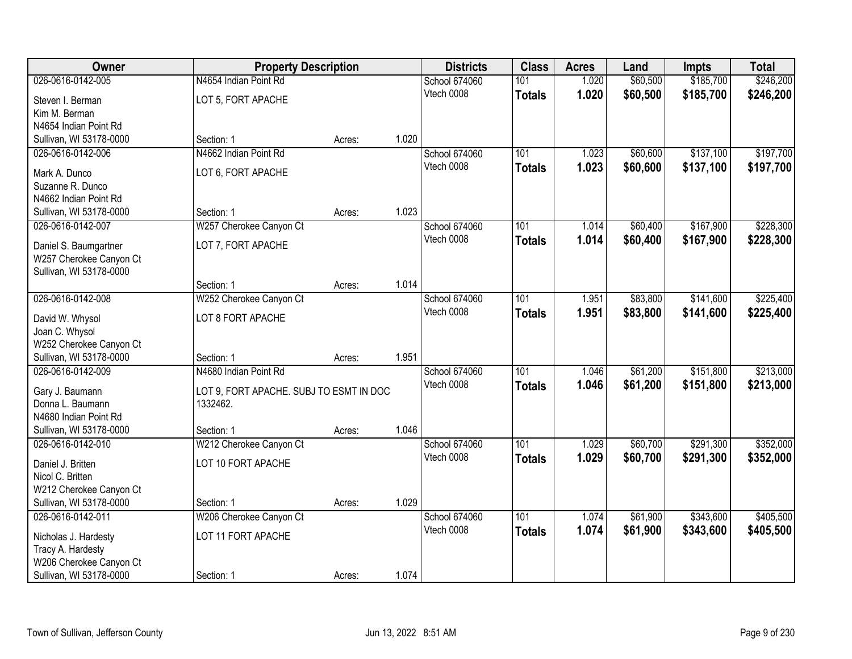| Owner                                            |                                         | <b>Property Description</b> |       | <b>Districts</b> | <b>Class</b>  | <b>Acres</b> | Land     | <b>Impts</b> | <b>Total</b> |
|--------------------------------------------------|-----------------------------------------|-----------------------------|-------|------------------|---------------|--------------|----------|--------------|--------------|
| 026-0616-0142-005                                | N4654 Indian Point Rd                   |                             |       | School 674060    | 101           | 1.020        | \$60,500 | \$185,700    | \$246,200    |
| Steven I. Berman                                 | LOT 5, FORT APACHE                      |                             |       | Vtech 0008       | <b>Totals</b> | 1.020        | \$60,500 | \$185,700    | \$246,200    |
| Kim M. Berman                                    |                                         |                             |       |                  |               |              |          |              |              |
| N4654 Indian Point Rd                            |                                         |                             |       |                  |               |              |          |              |              |
| Sullivan, WI 53178-0000                          | Section: 1                              | Acres:                      | 1.020 |                  |               |              |          |              |              |
| 026-0616-0142-006                                | N4662 Indian Point Rd                   |                             |       | School 674060    | 101           | 1.023        | \$60,600 | \$137,100    | \$197,700    |
| Mark A. Dunco                                    | LOT 6, FORT APACHE                      |                             |       | Vtech 0008       | <b>Totals</b> | 1.023        | \$60,600 | \$137,100    | \$197,700    |
| Suzanne R. Dunco                                 |                                         |                             |       |                  |               |              |          |              |              |
| N4662 Indian Point Rd                            |                                         |                             |       |                  |               |              |          |              |              |
| Sullivan, WI 53178-0000                          | Section: 1                              | Acres:                      | 1.023 |                  |               |              |          |              |              |
| 026-0616-0142-007                                | W257 Cherokee Canyon Ct                 |                             |       | School 674060    | 101           | 1.014        | \$60,400 | \$167,900    | \$228,300    |
|                                                  |                                         |                             |       | Vtech 0008       | <b>Totals</b> | 1.014        | \$60,400 | \$167,900    | \$228,300    |
| Daniel S. Baumgartner<br>W257 Cherokee Canyon Ct | LOT 7, FORT APACHE                      |                             |       |                  |               |              |          |              |              |
| Sullivan, WI 53178-0000                          |                                         |                             |       |                  |               |              |          |              |              |
|                                                  | Section: 1                              | Acres:                      | 1.014 |                  |               |              |          |              |              |
| 026-0616-0142-008                                | W252 Cherokee Canyon Ct                 |                             |       | School 674060    | 101           | 1.951        | \$83,800 | \$141,600    | \$225,400    |
|                                                  |                                         |                             |       | Vtech 0008       | <b>Totals</b> | 1.951        | \$83,800 | \$141,600    | \$225,400    |
| David W. Whysol<br>Joan C. Whysol                | LOT 8 FORT APACHE                       |                             |       |                  |               |              |          |              |              |
| W252 Cherokee Canyon Ct                          |                                         |                             |       |                  |               |              |          |              |              |
| Sullivan, WI 53178-0000                          | Section: 1                              | Acres:                      | 1.951 |                  |               |              |          |              |              |
| 026-0616-0142-009                                | N4680 Indian Point Rd                   |                             |       | School 674060    | 101           | 1.046        | \$61,200 | \$151,800    | \$213,000    |
|                                                  |                                         |                             |       | Vtech 0008       | <b>Totals</b> | 1.046        | \$61,200 | \$151,800    | \$213,000    |
| Gary J. Baumann                                  | LOT 9, FORT APACHE. SUBJ TO ESMT IN DOC |                             |       |                  |               |              |          |              |              |
| Donna L. Baumann<br>N4680 Indian Point Rd        | 1332462.                                |                             |       |                  |               |              |          |              |              |
| Sullivan, WI 53178-0000                          | Section: 1                              | Acres:                      | 1.046 |                  |               |              |          |              |              |
| 026-0616-0142-010                                | W212 Cherokee Canyon Ct                 |                             |       | School 674060    | 101           | 1.029        | \$60,700 | \$291,300    | \$352,000    |
|                                                  |                                         |                             |       | Vtech 0008       | <b>Totals</b> | 1.029        | \$60,700 | \$291,300    | \$352,000    |
| Daniel J. Britten                                | LOT 10 FORT APACHE                      |                             |       |                  |               |              |          |              |              |
| Nicol C. Britten                                 |                                         |                             |       |                  |               |              |          |              |              |
| W212 Cherokee Canyon Ct                          |                                         |                             | 1.029 |                  |               |              |          |              |              |
| Sullivan, WI 53178-0000<br>026-0616-0142-011     | Section: 1<br>W206 Cherokee Canyon Ct   | Acres:                      |       | School 674060    | 101           | 1.074        | \$61,900 | \$343,600    | \$405,500    |
|                                                  |                                         |                             |       | Vtech 0008       |               | 1.074        | \$61,900 | \$343,600    |              |
| Nicholas J. Hardesty                             | LOT 11 FORT APACHE                      |                             |       |                  | <b>Totals</b> |              |          |              | \$405,500    |
| Tracy A. Hardesty                                |                                         |                             |       |                  |               |              |          |              |              |
| W206 Cherokee Canyon Ct                          |                                         |                             |       |                  |               |              |          |              |              |
| Sullivan, WI 53178-0000                          | Section: 1                              | Acres:                      | 1.074 |                  |               |              |          |              |              |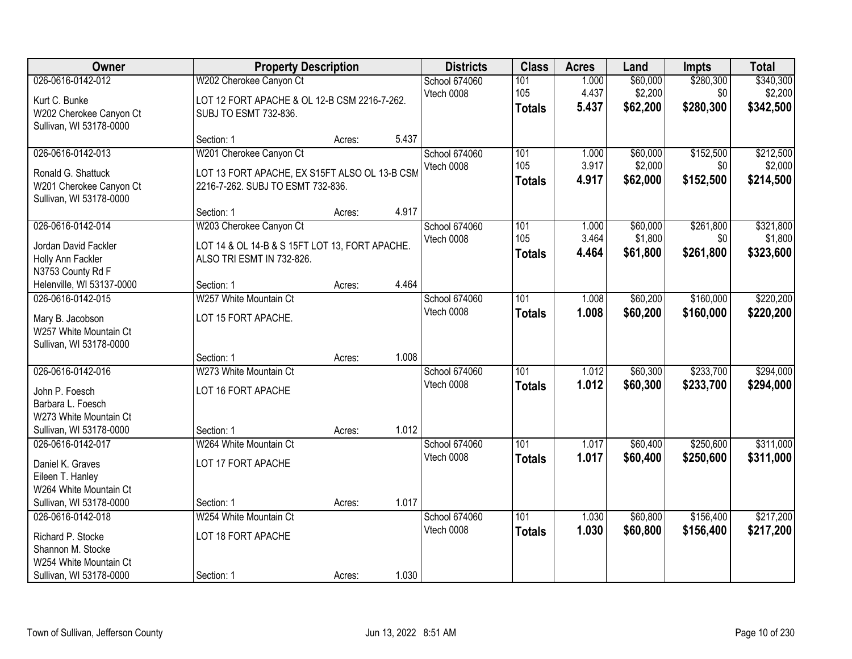| Owner                                                                                                            | <b>Property Description</b>                                                                                   |        |       | <b>Districts</b>            | <b>Class</b>                      | <b>Acres</b>            | Land                            | <b>Impts</b>                  | <b>Total</b>                      |
|------------------------------------------------------------------------------------------------------------------|---------------------------------------------------------------------------------------------------------------|--------|-------|-----------------------------|-----------------------------------|-------------------------|---------------------------------|-------------------------------|-----------------------------------|
| 026-0616-0142-012<br>Kurt C. Bunke<br>W202 Cherokee Canyon Ct                                                    | W202 Cherokee Canyon Ct<br>LOT 12 FORT APACHE & OL 12-B CSM 2216-7-262.<br>SUBJ TO ESMT 732-836.              |        |       | School 674060<br>Vtech 0008 | 101<br>105<br><b>Totals</b>       | 1.000<br>4.437<br>5.437 | \$60,000<br>\$2,200<br>\$62,200 | \$280,300<br>\$0<br>\$280,300 | \$340,300<br>\$2,200<br>\$342,500 |
| Sullivan, WI 53178-0000                                                                                          | Section: 1                                                                                                    | Acres: | 5.437 |                             |                                   |                         |                                 |                               |                                   |
| 026-0616-0142-013<br>Ronald G. Shattuck<br>W201 Cherokee Canyon Ct                                               | W201 Cherokee Canyon Ct<br>LOT 13 FORT APACHE, EX S15FT ALSO OL 13-B CSM<br>2216-7-262. SUBJ TO ESMT 732-836. |        |       | School 674060<br>Vtech 0008 | 101<br>105<br><b>Totals</b>       | 1.000<br>3.917<br>4.917 | \$60,000<br>\$2,000<br>\$62,000 | \$152,500<br>\$0<br>\$152,500 | \$212,500<br>\$2,000<br>\$214,500 |
| Sullivan, WI 53178-0000                                                                                          | Section: 1                                                                                                    | Acres: | 4.917 |                             |                                   |                         |                                 |                               |                                   |
| 026-0616-0142-014<br>Jordan David Fackler<br>Holly Ann Fackler<br>N3753 County Rd F                              | W203 Cherokee Canyon Ct<br>LOT 14 & OL 14-B & S 15FT LOT 13, FORT APACHE.<br>ALSO TRI ESMT IN 732-826.        |        |       | School 674060<br>Vtech 0008 | 101<br>105<br><b>Totals</b>       | 1.000<br>3.464<br>4.464 | \$60,000<br>\$1,800<br>\$61,800 | \$261,800<br>\$0<br>\$261,800 | \$321,800<br>\$1,800<br>\$323,600 |
| Helenville, WI 53137-0000                                                                                        | Section: 1                                                                                                    | Acres: | 4.464 |                             |                                   |                         |                                 |                               |                                   |
| 026-0616-0142-015<br>Mary B. Jacobson<br>W257 White Mountain Ct<br>Sullivan, WI 53178-0000                       | W257 White Mountain Ct<br>LOT 15 FORT APACHE.                                                                 |        |       | School 674060<br>Vtech 0008 | 101<br><b>Totals</b>              | 1.008<br>1.008          | \$60,200<br>\$60,200            | \$160,000<br>\$160,000        | \$220,200<br>\$220,200            |
|                                                                                                                  | Section: 1                                                                                                    | Acres: | 1.008 |                             |                                   |                         |                                 |                               |                                   |
| 026-0616-0142-016<br>John P. Foesch<br>Barbara L. Foesch<br>W273 White Mountain Ct<br>Sullivan, WI 53178-0000    | W273 White Mountain Ct<br>LOT 16 FORT APACHE<br>Section: 1                                                    | Acres: | 1.012 | School 674060<br>Vtech 0008 | 101<br><b>Totals</b>              | 1.012<br>1.012          | \$60,300<br>\$60,300            | \$233,700<br>\$233,700        | \$294,000<br>\$294,000            |
| 026-0616-0142-017<br>Daniel K. Graves<br>Eileen T. Hanley<br>W264 White Mountain Ct                              | W264 White Mountain Ct<br>LOT 17 FORT APACHE                                                                  |        |       | School 674060<br>Vtech 0008 | 101<br><b>Totals</b>              | 1.017<br>1.017          | \$60,400<br>\$60,400            | \$250,600<br>\$250,600        | \$311,000<br>\$311,000            |
| Sullivan, WI 53178-0000                                                                                          | Section: 1                                                                                                    | Acres: | 1.017 |                             |                                   |                         |                                 |                               |                                   |
| 026-0616-0142-018<br>Richard P. Stocke<br>Shannon M. Stocke<br>W254 White Mountain Ct<br>Sullivan, WI 53178-0000 | W254 White Mountain Ct<br>LOT 18 FORT APACHE<br>Section: 1                                                    | Acres: | 1.030 | School 674060<br>Vtech 0008 | $\overline{101}$<br><b>Totals</b> | 1.030<br>1.030          | \$60,800<br>\$60,800            | \$156,400<br>\$156,400        | \$217,200<br>\$217,200            |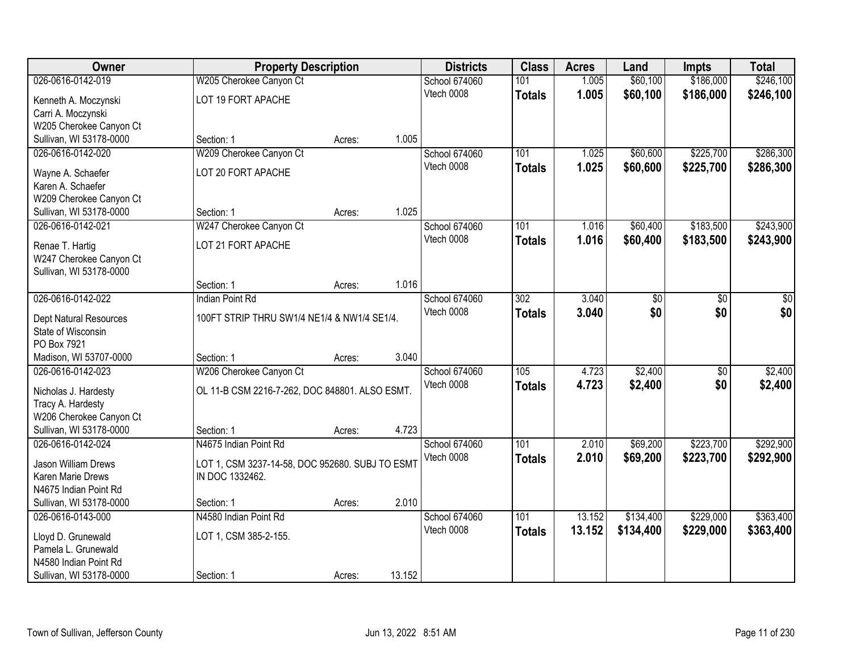| Owner                                  | <b>Property Description</b>                     |        |        | <b>Districts</b> | <b>Class</b>     | <b>Acres</b> | Land      | <b>Impts</b>    | <b>Total</b> |
|----------------------------------------|-------------------------------------------------|--------|--------|------------------|------------------|--------------|-----------|-----------------|--------------|
| 026-0616-0142-019                      | W205 Cherokee Canyon Ct                         |        |        | School 674060    | 101              | 1.005        | \$60,100  | \$186,000       | \$246,100    |
| Kenneth A. Moczynski                   | LOT 19 FORT APACHE                              |        |        | Vtech 0008       | <b>Totals</b>    | 1.005        | \$60,100  | \$186,000       | \$246,100    |
| Carri A. Moczynski                     |                                                 |        |        |                  |                  |              |           |                 |              |
| W205 Cherokee Canyon Ct                |                                                 |        |        |                  |                  |              |           |                 |              |
| Sullivan, WI 53178-0000                | Section: 1                                      | Acres: | 1.005  |                  |                  |              |           |                 |              |
| 026-0616-0142-020                      | W209 Cherokee Canyon Ct                         |        |        | School 674060    | 101              | 1.025        | \$60,600  | \$225,700       | \$286,300    |
|                                        | LOT 20 FORT APACHE                              |        |        | Vtech 0008       | <b>Totals</b>    | 1.025        | \$60,600  | \$225,700       | \$286,300    |
| Wayne A. Schaefer<br>Karen A. Schaefer |                                                 |        |        |                  |                  |              |           |                 |              |
| W209 Cherokee Canyon Ct                |                                                 |        |        |                  |                  |              |           |                 |              |
| Sullivan, WI 53178-0000                | Section: 1                                      | Acres: | 1.025  |                  |                  |              |           |                 |              |
| 026-0616-0142-021                      | W247 Cherokee Canyon Ct                         |        |        | School 674060    | 101              | 1.016        | \$60,400  | \$183,500       | \$243,900    |
|                                        |                                                 |        |        | Vtech 0008       | <b>Totals</b>    | 1.016        | \$60,400  | \$183,500       | \$243,900    |
| Renae T. Hartig                        | LOT 21 FORT APACHE                              |        |        |                  |                  |              |           |                 |              |
| W247 Cherokee Canyon Ct                |                                                 |        |        |                  |                  |              |           |                 |              |
| Sullivan, WI 53178-0000                |                                                 |        |        |                  |                  |              |           |                 |              |
|                                        | Section: 1                                      | Acres: | 1.016  |                  |                  |              |           |                 |              |
| 026-0616-0142-022                      | <b>Indian Point Rd</b>                          |        |        | School 674060    | $\overline{302}$ | 3.040        | \$0       | \$0             | \$0          |
| Dept Natural Resources                 | 100FT STRIP THRU SW1/4 NE1/4 & NW1/4 SE1/4.     |        |        | Vtech 0008       | <b>Totals</b>    | 3.040        | \$0       | \$0             | \$0          |
| State of Wisconsin                     |                                                 |        |        |                  |                  |              |           |                 |              |
| PO Box 7921                            |                                                 |        |        |                  |                  |              |           |                 |              |
| Madison, WI 53707-0000                 | Section: 1                                      | Acres: | 3.040  |                  |                  |              |           |                 |              |
| 026-0616-0142-023                      | W206 Cherokee Canyon Ct                         |        |        | School 674060    | $\overline{105}$ | 4.723        | \$2,400   | $\overline{50}$ | \$2,400      |
| Nicholas J. Hardesty                   | OL 11-B CSM 2216-7-262, DOC 848801. ALSO ESMT.  |        |        | Vtech 0008       | <b>Totals</b>    | 4.723        | \$2,400   | \$0             | \$2,400      |
| Tracy A. Hardesty                      |                                                 |        |        |                  |                  |              |           |                 |              |
| W206 Cherokee Canyon Ct                |                                                 |        |        |                  |                  |              |           |                 |              |
| Sullivan, WI 53178-0000                | Section: 1                                      | Acres: | 4.723  |                  |                  |              |           |                 |              |
| 026-0616-0142-024                      | N4675 Indian Point Rd                           |        |        | School 674060    | $\overline{101}$ | 2.010        | \$69,200  | \$223,700       | \$292,900    |
|                                        |                                                 |        |        | Vtech 0008       | <b>Totals</b>    | 2.010        | \$69,200  | \$223,700       | \$292,900    |
| Jason William Drews                    | LOT 1, CSM 3237-14-58, DOC 952680. SUBJ TO ESMT |        |        |                  |                  |              |           |                 |              |
| Karen Marie Drews                      | IN DOC 1332462.                                 |        |        |                  |                  |              |           |                 |              |
| N4675 Indian Point Rd                  |                                                 |        |        |                  |                  |              |           |                 |              |
| Sullivan, WI 53178-0000                | Section: 1                                      | Acres: | 2.010  |                  |                  |              |           |                 |              |
| 026-0616-0143-000                      | N4580 Indian Point Rd                           |        |        | School 674060    | 101              | 13.152       | \$134,400 | \$229,000       | \$363,400    |
| Lloyd D. Grunewald                     | LOT 1, CSM 385-2-155.                           |        |        | Vtech 0008       | <b>Totals</b>    | 13.152       | \$134,400 | \$229,000       | \$363,400    |
| Pamela L. Grunewald                    |                                                 |        |        |                  |                  |              |           |                 |              |
| N4580 Indian Point Rd                  |                                                 |        |        |                  |                  |              |           |                 |              |
| Sullivan, WI 53178-0000                | Section: 1                                      | Acres: | 13.152 |                  |                  |              |           |                 |              |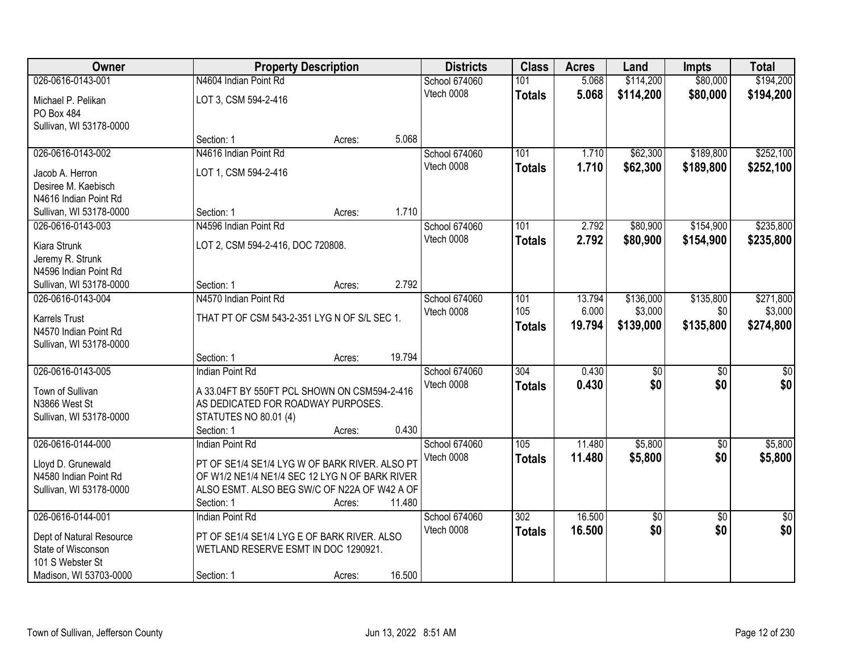| Owner                            | <b>Property Description</b>                    |        |        | <b>Districts</b>     | <b>Class</b>  | <b>Acres</b> | Land            | <b>Impts</b>    | <b>Total</b>    |
|----------------------------------|------------------------------------------------|--------|--------|----------------------|---------------|--------------|-----------------|-----------------|-----------------|
| 026-0616-0143-001                | N4604 Indian Point Rd                          |        |        | School 674060        | 101           | 5.068        | \$114,200       | \$80,000        | \$194,200       |
| Michael P. Pelikan               | LOT 3, CSM 594-2-416                           |        |        | Vtech 0008           | <b>Totals</b> | 5.068        | \$114,200       | \$80,000        | \$194,200       |
| PO Box 484                       |                                                |        |        |                      |               |              |                 |                 |                 |
| Sullivan, WI 53178-0000          |                                                |        |        |                      |               |              |                 |                 |                 |
|                                  | Section: 1                                     | Acres: | 5.068  |                      |               |              |                 |                 |                 |
| 026-0616-0143-002                | N4616 Indian Point Rd                          |        |        | <b>School 674060</b> | 101           | 1.710        | \$62,300        | \$189,800       | \$252,100       |
| Jacob A. Herron                  | LOT 1, CSM 594-2-416                           |        |        | Vtech 0008           | <b>Totals</b> | 1.710        | \$62,300        | \$189,800       | \$252,100       |
| Desiree M. Kaebisch              |                                                |        |        |                      |               |              |                 |                 |                 |
| N4616 Indian Point Rd            |                                                |        |        |                      |               |              |                 |                 |                 |
| Sullivan, WI 53178-0000          | Section: 1                                     | Acres: | 1.710  |                      |               |              |                 |                 |                 |
| 026-0616-0143-003                | N4596 Indian Point Rd                          |        |        | School 674060        | 101           | 2.792        | \$80,900        | \$154,900       | \$235,800       |
|                                  |                                                |        |        | Vtech 0008           | <b>Totals</b> | 2.792        | \$80,900        | \$154,900       | \$235,800       |
| Kiara Strunk<br>Jeremy R. Strunk | LOT 2, CSM 594-2-416, DOC 720808.              |        |        |                      |               |              |                 |                 |                 |
| N4596 Indian Point Rd            |                                                |        |        |                      |               |              |                 |                 |                 |
| Sullivan, WI 53178-0000          | Section: 1                                     | Acres: | 2.792  |                      |               |              |                 |                 |                 |
| 026-0616-0143-004                | N4570 Indian Point Rd                          |        |        | School 674060        | 101           | 13.794       | \$136,000       | \$135,800       | \$271,800       |
|                                  |                                                |        |        | Vtech 0008           | 105           | 6.000        | \$3,000         | \$0             | \$3,000         |
| <b>Karrels Trust</b>             | THAT PT OF CSM 543-2-351 LYG N OF S/L SEC 1.   |        |        |                      | <b>Totals</b> | 19.794       | \$139,000       | \$135,800       | \$274,800       |
| N4570 Indian Point Rd            |                                                |        |        |                      |               |              |                 |                 |                 |
| Sullivan, WI 53178-0000          | Section: 1                                     | Acres: | 19.794 |                      |               |              |                 |                 |                 |
| 026-0616-0143-005                | <b>Indian Point Rd</b>                         |        |        | School 674060        | 304           | 0.430        | $\overline{50}$ | $\overline{50}$ | $\overline{50}$ |
|                                  |                                                |        |        | Vtech 0008           | <b>Totals</b> | 0.430        | \$0             | \$0             | \$0             |
| Town of Sullivan                 | A 33.04FT BY 550FT PCL SHOWN ON CSM594-2-416   |        |        |                      |               |              |                 |                 |                 |
| N3866 West St                    | AS DEDICATED FOR ROADWAY PURPOSES.             |        |        |                      |               |              |                 |                 |                 |
| Sullivan, WI 53178-0000          | <b>STATUTES NO 80.01 (4)</b>                   |        |        |                      |               |              |                 |                 |                 |
|                                  | Section: 1                                     | Acres: | 0.430  |                      |               |              |                 |                 |                 |
| 026-0616-0144-000                | <b>Indian Point Rd</b>                         |        |        | School 674060        | 105           | 11.480       | \$5,800         | $\sqrt{6}$      | \$5,800         |
| Lloyd D. Grunewald               | PT OF SE1/4 SE1/4 LYG W OF BARK RIVER. ALSO PT |        |        | Vtech 0008           | <b>Totals</b> | 11.480       | \$5,800         | \$0             | \$5,800         |
| N4580 Indian Point Rd            | OF W1/2 NE1/4 NE1/4 SEC 12 LYG N OF BARK RIVER |        |        |                      |               |              |                 |                 |                 |
| Sullivan, WI 53178-0000          | ALSO ESMT. ALSO BEG SW/C OF N22A OF W42 A OF   |        |        |                      |               |              |                 |                 |                 |
|                                  | Section: 1                                     | Acres: | 11.480 |                      |               |              |                 |                 |                 |
| 026-0616-0144-001                | <b>Indian Point Rd</b>                         |        |        | School 674060        | 302           | 16.500       | $\sqrt{$0}$     | $\overline{50}$ | $\overline{50}$ |
| Dept of Natural Resource         | PT OF SE1/4 SE1/4 LYG E OF BARK RIVER. ALSO    |        |        | Vtech 0008           | <b>Totals</b> | 16.500       | \$0             | \$0             | \$0             |
| State of Wisconson               | WETLAND RESERVE ESMT IN DOC 1290921.           |        |        |                      |               |              |                 |                 |                 |
| 101 S Webster St                 |                                                |        |        |                      |               |              |                 |                 |                 |
| Madison, WI 53703-0000           | Section: 1                                     | Acres: | 16.500 |                      |               |              |                 |                 |                 |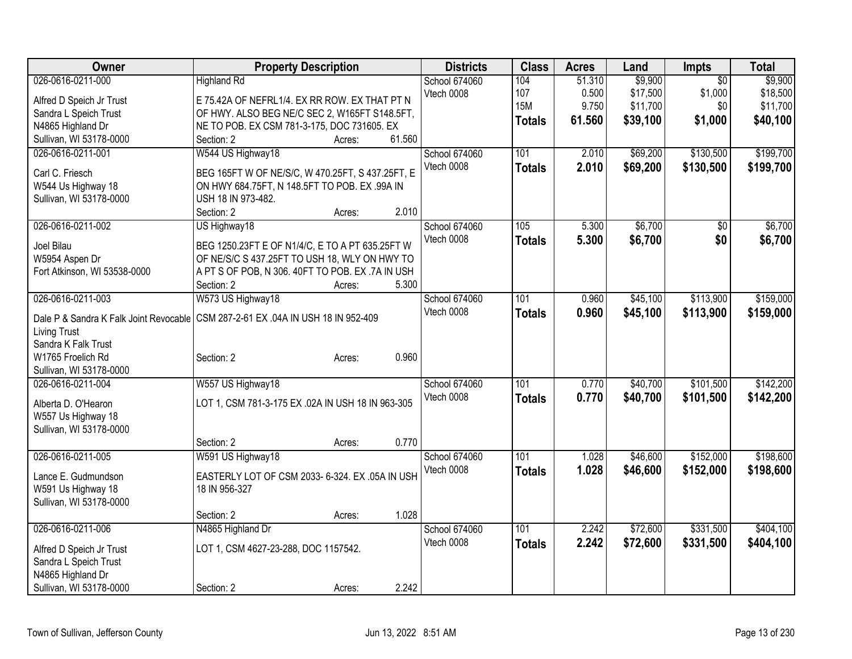| Owner                                      | <b>Property Description</b>                                                        | <b>Districts</b> | <b>Class</b>     | <b>Acres</b> | Land     | <b>Impts</b>    | <b>Total</b> |
|--------------------------------------------|------------------------------------------------------------------------------------|------------------|------------------|--------------|----------|-----------------|--------------|
| 026-0616-0211-000                          | <b>Highland Rd</b>                                                                 | School 674060    | 104              | 51.310       | \$9,900  | $\overline{50}$ | \$9,900      |
| Alfred D Speich Jr Trust                   | E 75.42A OF NEFRL1/4. EX RR ROW. EX THAT PT N                                      | Vtech 0008       | 107              | 0.500        | \$17,500 | \$1,000         | \$18,500     |
| Sandra L Speich Trust                      | OF HWY. ALSO BEG NE/C SEC 2, W165FT S148.5FT,                                      |                  | <b>15M</b>       | 9.750        | \$11,700 | \$0             | \$11,700     |
| N4865 Highland Dr                          | NE TO POB. EX CSM 781-3-175, DOC 731605. EX                                        |                  | <b>Totals</b>    | 61.560       | \$39,100 | \$1,000         | \$40,100     |
| Sullivan, WI 53178-0000                    | 61.560<br>Section: 2<br>Acres:                                                     |                  |                  |              |          |                 |              |
| 026-0616-0211-001                          | W544 US Highway18                                                                  | School 674060    | 101              | 2.010        | \$69,200 | \$130,500       | \$199,700    |
|                                            |                                                                                    | Vtech 0008       | <b>Totals</b>    | 2.010        | \$69,200 | \$130,500       | \$199,700    |
| Carl C. Friesch                            | BEG 165FT W OF NE/S/C, W 470.25FT, S 437.25FT, E                                   |                  |                  |              |          |                 |              |
| W544 Us Highway 18                         | ON HWY 684.75FT, N 148.5FT TO POB. EX .99A IN<br>USH 18 IN 973-482.                |                  |                  |              |          |                 |              |
| Sullivan, WI 53178-0000                    | 2.010<br>Section: 2<br>Acres:                                                      |                  |                  |              |          |                 |              |
| 026-0616-0211-002                          | US Highway18                                                                       | School 674060    | 105              | 5.300        | \$6,700  | \$0             | \$6,700      |
|                                            |                                                                                    | Vtech 0008       |                  |              |          |                 |              |
| Joel Bilau                                 | BEG 1250.23FT E OF N1/4/C, E TO A PT 635.25FT W                                    |                  | <b>Totals</b>    | 5.300        | \$6,700  | \$0             | \$6,700      |
| W5954 Aspen Dr                             | OF NE/S/C S 437.25FT TO USH 18, WLY ON HWY TO                                      |                  |                  |              |          |                 |              |
| Fort Atkinson, WI 53538-0000               | A PT S OF POB, N 306. 40FT TO POB. EX .7A IN USH                                   |                  |                  |              |          |                 |              |
|                                            | 5.300<br>Section: 2<br>Acres:                                                      |                  |                  |              |          |                 |              |
| 026-0616-0211-003                          | W573 US Highway18                                                                  | School 674060    | 101              | 0.960        | \$45,100 | \$113,900       | \$159,000    |
|                                            | Dale P & Sandra K Falk Joint Revocable   CSM 287-2-61 EX .04A IN USH 18 IN 952-409 | Vtech 0008       | <b>Totals</b>    | 0.960        | \$45,100 | \$113,900       | \$159,000    |
| <b>Living Trust</b>                        |                                                                                    |                  |                  |              |          |                 |              |
| Sandra K Falk Trust                        |                                                                                    |                  |                  |              |          |                 |              |
| W1765 Froelich Rd                          | 0.960<br>Section: 2<br>Acres:                                                      |                  |                  |              |          |                 |              |
| Sullivan, WI 53178-0000                    |                                                                                    |                  |                  |              |          |                 |              |
| 026-0616-0211-004                          | W557 US Highway18                                                                  | School 674060    | 101              | 0.770        | \$40,700 | \$101,500       | \$142,200    |
|                                            |                                                                                    | Vtech 0008       | <b>Totals</b>    | 0.770        | \$40,700 | \$101,500       | \$142,200    |
| Alberta D. O'Hearon                        | LOT 1, CSM 781-3-175 EX .02A IN USH 18 IN 963-305                                  |                  |                  |              |          |                 |              |
| W557 Us Highway 18                         |                                                                                    |                  |                  |              |          |                 |              |
| Sullivan, WI 53178-0000                    |                                                                                    |                  |                  |              |          |                 |              |
|                                            | 0.770<br>Section: 2<br>Acres:                                                      |                  |                  |              |          |                 |              |
| 026-0616-0211-005                          | W591 US Highway18                                                                  | School 674060    | 101              | 1.028        | \$46,600 | \$152,000       | \$198,600    |
| Lance E. Gudmundson                        | EASTERLY LOT OF CSM 2033- 6-324. EX .05A IN USH                                    | Vtech 0008       | <b>Totals</b>    | 1.028        | \$46,600 | \$152,000       | \$198,600    |
| W591 Us Highway 18                         | 18 IN 956-327                                                                      |                  |                  |              |          |                 |              |
| Sullivan, WI 53178-0000                    |                                                                                    |                  |                  |              |          |                 |              |
|                                            | 1.028<br>Section: 2<br>Acres:                                                      |                  |                  |              |          |                 |              |
| 026-0616-0211-006                          | N4865 Highland Dr                                                                  | School 674060    | $\overline{101}$ | 2.242        | \$72,600 | \$331,500       | \$404,100    |
|                                            |                                                                                    | Vtech 0008       | <b>Totals</b>    | 2.242        | \$72,600 | \$331,500       | \$404,100    |
| Alfred D Speich Jr Trust                   | LOT 1, CSM 4627-23-288, DOC 1157542.                                               |                  |                  |              |          |                 |              |
| Sandra L Speich Trust<br>N4865 Highland Dr |                                                                                    |                  |                  |              |          |                 |              |
| Sullivan, WI 53178-0000                    | 2.242<br>Section: 2                                                                |                  |                  |              |          |                 |              |
|                                            | Acres:                                                                             |                  |                  |              |          |                 |              |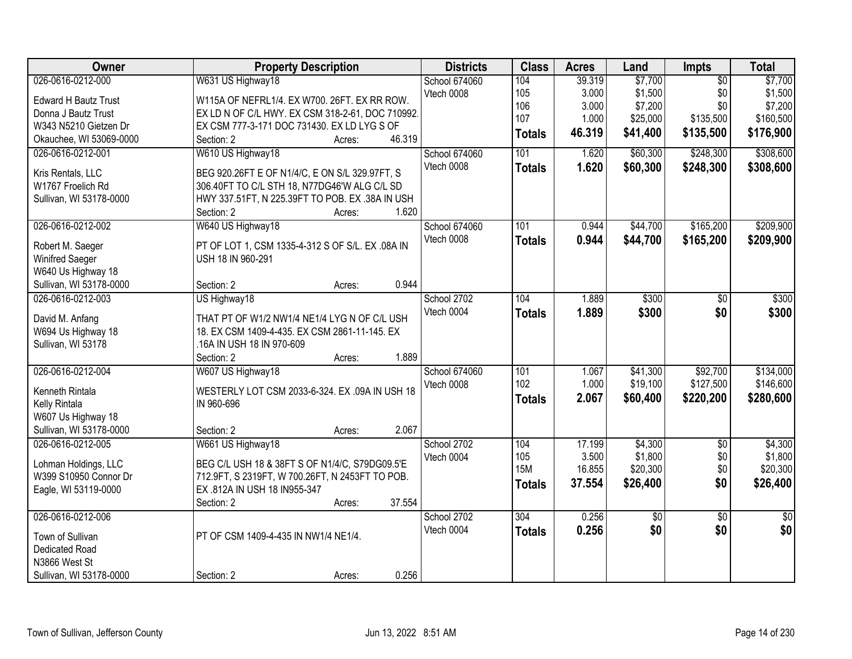| Owner                       | <b>Property Description</b>                      | <b>Districts</b>     | <b>Class</b>  | <b>Acres</b> | Land            | <b>Impts</b>    | <b>Total</b> |
|-----------------------------|--------------------------------------------------|----------------------|---------------|--------------|-----------------|-----------------|--------------|
| 026-0616-0212-000           | W631 US Highway18                                | <b>School 674060</b> | 104           | 39.319       | \$7,700         | $\overline{50}$ | \$7,700      |
| <b>Edward H Bautz Trust</b> | W115A OF NEFRL1/4. EX W700. 26FT. EX RR ROW.     | Vtech 0008           | 105           | 3.000        | \$1,500         | \$0             | \$1,500      |
| Donna J Bautz Trust         | EX LD N OF C/L HWY. EX CSM 318-2-61, DOC 710992. |                      | 106           | 3.000        | \$7,200         | \$0             | \$7,200      |
| W343 N5210 Gietzen Dr       | EX CSM 777-3-171 DOC 731430. EX LD LYG S OF      |                      | 107           | 1.000        | \$25,000        | \$135,500       | \$160,500    |
| Okauchee, WI 53069-0000     | 46.319<br>Section: 2<br>Acres:                   |                      | <b>Totals</b> | 46.319       | \$41,400        | \$135,500       | \$176,900    |
| 026-0616-0212-001           | W610 US Highway18                                | <b>School 674060</b> | 101           | 1.620        | \$60,300        | \$248,300       | \$308,600    |
|                             |                                                  | Vtech 0008           | <b>Totals</b> | 1.620        | \$60,300        | \$248,300       | \$308,600    |
| Kris Rentals, LLC           | BEG 920.26FT E OF N1/4/C, E ON S/L 329.97FT, S   |                      |               |              |                 |                 |              |
| W1767 Froelich Rd           | 306.40FT TO C/L STH 18, N77DG46'W ALG C/L SD     |                      |               |              |                 |                 |              |
| Sullivan, WI 53178-0000     | HWY 337.51FT, N 225.39FT TO POB. EX .38A IN USH  |                      |               |              |                 |                 |              |
|                             | 1.620<br>Section: 2<br>Acres:                    |                      |               |              |                 |                 |              |
| 026-0616-0212-002           | W640 US Highway18                                | <b>School 674060</b> | 101           | 0.944        | \$44,700        | \$165,200       | \$209,900    |
| Robert M. Saeger            | PT OF LOT 1, CSM 1335-4-312 S OF S/L. EX .08A IN | Vtech 0008           | <b>Totals</b> | 0.944        | \$44,700        | \$165,200       | \$209,900    |
| Winifred Saeger             | USH 18 IN 960-291                                |                      |               |              |                 |                 |              |
| W640 Us Highway 18          |                                                  |                      |               |              |                 |                 |              |
| Sullivan, WI 53178-0000     | 0.944<br>Section: 2<br>Acres:                    |                      |               |              |                 |                 |              |
| 026-0616-0212-003           | US Highway18                                     | School 2702          | 104           | 1.889        | \$300           | \$0             | \$300        |
|                             |                                                  | Vtech 0004           | <b>Totals</b> | 1.889        | \$300           | \$0             | \$300        |
| David M. Anfang             | THAT PT OF W1/2 NW1/4 NE1/4 LYG N OF C/L USH     |                      |               |              |                 |                 |              |
| W694 Us Highway 18          | 18. EX CSM 1409-4-435. EX CSM 2861-11-145. EX    |                      |               |              |                 |                 |              |
| Sullivan, WI 53178          | .16A IN USH 18 IN 970-609                        |                      |               |              |                 |                 |              |
|                             | 1.889<br>Section: 2<br>Acres:                    |                      |               |              |                 |                 |              |
| 026-0616-0212-004           | W607 US Highway18                                | School 674060        | 101           | 1.067        | \$41,300        | \$92,700        | \$134,000    |
| Kenneth Rintala             | WESTERLY LOT CSM 2033-6-324. EX .09A IN USH 18   | Vtech 0008           | 102           | 1.000        | \$19,100        | \$127,500       | \$146,600    |
| Kelly Rintala               | IN 960-696                                       |                      | <b>Totals</b> | 2.067        | \$60,400        | \$220,200       | \$280,600    |
| W607 Us Highway 18          |                                                  |                      |               |              |                 |                 |              |
| Sullivan, WI 53178-0000     | 2.067<br>Section: 2<br>Acres:                    |                      |               |              |                 |                 |              |
| 026-0616-0212-005           | W661 US Highway18                                | School 2702          | 104           | 17.199       | \$4,300         | $\sqrt{6}$      | \$4,300      |
|                             |                                                  | Vtech 0004           | 105           | 3.500        | \$1,800         | \$0             | \$1,800      |
| Lohman Holdings, LLC        | BEG C/L USH 18 & 38FT S OF N1/4/C, S79DG09.5'E   |                      | <b>15M</b>    | 16.855       | \$20,300        | \$0             | \$20,300     |
| W399 S10950 Connor Dr       | 712.9FT, S 2319FT, W 700.26FT, N 2453FT TO POB.  |                      | <b>Totals</b> | 37.554       | \$26,400        | \$0             | \$26,400     |
| Eagle, WI 53119-0000        | EX .812A IN USH 18 IN955-347                     |                      |               |              |                 |                 |              |
|                             | 37.554<br>Section: 2<br>Acres:                   |                      |               |              |                 |                 |              |
| 026-0616-0212-006           |                                                  | School 2702          | 304           | 0.256        | $\overline{50}$ | $\overline{30}$ | $\sqrt{30}$  |
| Town of Sullivan            | PT OF CSM 1409-4-435 IN NW1/4 NE1/4.             | Vtech 0004           | <b>Totals</b> | 0.256        | \$0             | \$0             | \$0          |
| Dedicated Road              |                                                  |                      |               |              |                 |                 |              |
| N3866 West St               |                                                  |                      |               |              |                 |                 |              |
| Sullivan, WI 53178-0000     | 0.256<br>Section: 2<br>Acres:                    |                      |               |              |                 |                 |              |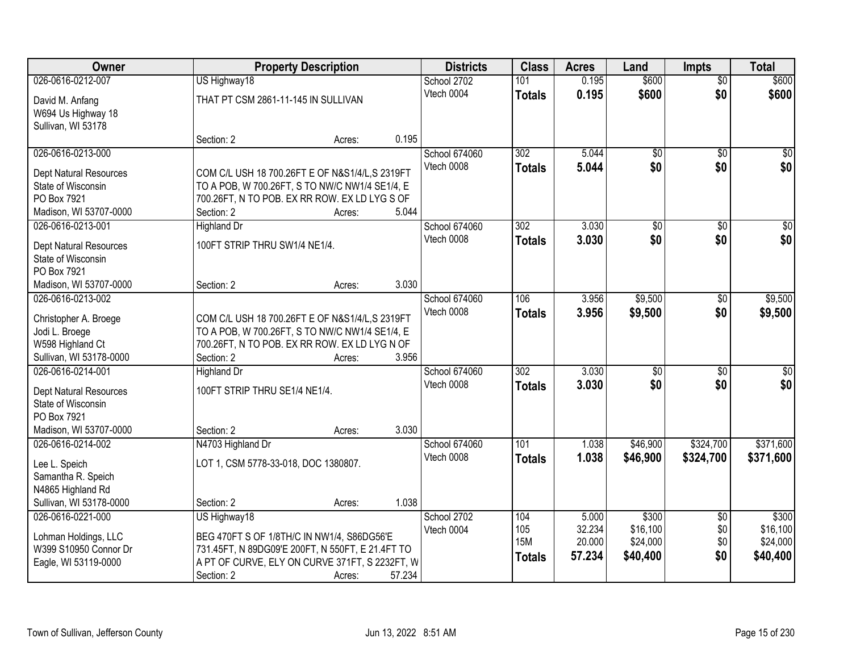| \$600<br>026-0616-0212-007<br>0.195<br>$\overline{50}$<br>US Highway18<br>School 2702<br>101<br>\$0<br>\$600<br>Vtech 0004<br>0.195<br>\$600<br><b>Totals</b><br>THAT PT CSM 2861-11-145 IN SULLIVAN<br>David M. Anfang<br>W694 Us Highway 18<br>Sullivan, WI 53178<br>0.195<br>Section: 2<br>Acres:<br>5.044<br>026-0616-0213-000<br>School 674060<br>302<br>$\overline{50}$<br>$\overline{50}$<br>\$0<br>Vtech 0008<br>5.044<br>\$0<br><b>Totals</b><br>Dept Natural Resources<br>COM C/L USH 18 700.26FT E OF N&S1/4/L,S 2319FT<br>TO A POB, W 700.26FT, S TO NW/C NW1/4 SE1/4, E<br>State of Wisconsin<br>PO Box 7921<br>700.26FT, N TO POB. EX RR ROW. EX LD LYG S OF<br>5.044<br>Madison, WI 53707-0000<br>Section: 2<br>Acres:<br>School 674060<br>3.030<br>026-0616-0213-001<br>302<br>$\overline{50}$<br><b>Highland Dr</b><br>$\sqrt[6]{}$<br>\$0<br>\$0<br>Vtech 0008<br>3.030<br><b>Totals</b><br>100FT STRIP THRU SW1/4 NE1/4.<br><b>Dept Natural Resources</b><br>State of Wisconsin<br>PO Box 7921<br>3.030<br>Madison, WI 53707-0000<br>Section: 2<br>Acres:<br>\$9,500<br>026-0616-0213-002<br>School 674060<br>106<br>3.956<br>$\sqrt[6]{}$<br>Vtech 0008<br>3.956<br>\$0<br>\$9,500<br>\$9,500<br><b>Totals</b><br>COM C/L USH 18 700.26FT E OF N&S1/4/L,S 2319FT<br>Christopher A. Broege<br>TO A POB, W 700.26FT, S TO NW/C NW1/4 SE1/4, E<br>Jodi L. Broege<br>W598 Highland Ct<br>700.26FT, N TO POB. EX RR ROW. EX LD LYG N OF<br>3.956<br>Sullivan, WI 53178-0000<br>Section: 2<br>Acres:<br>$\overline{302}$<br>026-0616-0214-001<br>3.030<br>$\overline{50}$<br>\$0<br><b>Highland Dr</b><br>School 674060<br>\$0<br>\$0<br>3.030<br>\$0<br>Vtech 0008<br><b>Totals</b><br>100FT STRIP THRU SE1/4 NE1/4.<br>Dept Natural Resources<br>State of Wisconsin<br>PO Box 7921<br>3.030<br>Madison, WI 53707-0000<br>Section: 2<br>Acres:<br>\$46,900<br>\$324,700<br>026-0616-0214-002<br>School 674060<br>101<br>1.038<br>N4703 Highland Dr<br>Vtech 0008<br>1.038<br>\$46,900<br>\$324,700<br><b>Totals</b><br>LOT 1, CSM 5778-33-018, DOC 1380807.<br>Lee L. Speich | Owner | <b>Property Description</b> | <b>Districts</b> | <b>Class</b> | <b>Acres</b> | Land  | <b>Impts</b> | <b>Total</b> |
|---------------------------------------------------------------------------------------------------------------------------------------------------------------------------------------------------------------------------------------------------------------------------------------------------------------------------------------------------------------------------------------------------------------------------------------------------------------------------------------------------------------------------------------------------------------------------------------------------------------------------------------------------------------------------------------------------------------------------------------------------------------------------------------------------------------------------------------------------------------------------------------------------------------------------------------------------------------------------------------------------------------------------------------------------------------------------------------------------------------------------------------------------------------------------------------------------------------------------------------------------------------------------------------------------------------------------------------------------------------------------------------------------------------------------------------------------------------------------------------------------------------------------------------------------------------------------------------------------------------------------------------------------------------------------------------------------------------------------------------------------------------------------------------------------------------------------------------------------------------------------------------------------------------------------------------------------------------------------------------------------------------------------------------------------------------------------------------------|-------|-----------------------------|------------------|--------------|--------------|-------|--------------|--------------|
|                                                                                                                                                                                                                                                                                                                                                                                                                                                                                                                                                                                                                                                                                                                                                                                                                                                                                                                                                                                                                                                                                                                                                                                                                                                                                                                                                                                                                                                                                                                                                                                                                                                                                                                                                                                                                                                                                                                                                                                                                                                                                             |       |                             |                  |              |              | \$600 |              |              |
| \$0<br>\$0 <br>$\overline{50}$<br>\$0 <br>\$9,500<br>$\overline{50}$<br>\$371,600<br>\$371,600                                                                                                                                                                                                                                                                                                                                                                                                                                                                                                                                                                                                                                                                                                                                                                                                                                                                                                                                                                                                                                                                                                                                                                                                                                                                                                                                                                                                                                                                                                                                                                                                                                                                                                                                                                                                                                                                                                                                                                                              |       |                             |                  |              |              |       |              |              |
|                                                                                                                                                                                                                                                                                                                                                                                                                                                                                                                                                                                                                                                                                                                                                                                                                                                                                                                                                                                                                                                                                                                                                                                                                                                                                                                                                                                                                                                                                                                                                                                                                                                                                                                                                                                                                                                                                                                                                                                                                                                                                             |       |                             |                  |              |              |       |              |              |
|                                                                                                                                                                                                                                                                                                                                                                                                                                                                                                                                                                                                                                                                                                                                                                                                                                                                                                                                                                                                                                                                                                                                                                                                                                                                                                                                                                                                                                                                                                                                                                                                                                                                                                                                                                                                                                                                                                                                                                                                                                                                                             |       |                             |                  |              |              |       |              |              |
|                                                                                                                                                                                                                                                                                                                                                                                                                                                                                                                                                                                                                                                                                                                                                                                                                                                                                                                                                                                                                                                                                                                                                                                                                                                                                                                                                                                                                                                                                                                                                                                                                                                                                                                                                                                                                                                                                                                                                                                                                                                                                             |       |                             |                  |              |              |       |              |              |
|                                                                                                                                                                                                                                                                                                                                                                                                                                                                                                                                                                                                                                                                                                                                                                                                                                                                                                                                                                                                                                                                                                                                                                                                                                                                                                                                                                                                                                                                                                                                                                                                                                                                                                                                                                                                                                                                                                                                                                                                                                                                                             |       |                             |                  |              |              |       |              |              |
|                                                                                                                                                                                                                                                                                                                                                                                                                                                                                                                                                                                                                                                                                                                                                                                                                                                                                                                                                                                                                                                                                                                                                                                                                                                                                                                                                                                                                                                                                                                                                                                                                                                                                                                                                                                                                                                                                                                                                                                                                                                                                             |       |                             |                  |              |              |       |              |              |
|                                                                                                                                                                                                                                                                                                                                                                                                                                                                                                                                                                                                                                                                                                                                                                                                                                                                                                                                                                                                                                                                                                                                                                                                                                                                                                                                                                                                                                                                                                                                                                                                                                                                                                                                                                                                                                                                                                                                                                                                                                                                                             |       |                             |                  |              |              |       |              |              |
|                                                                                                                                                                                                                                                                                                                                                                                                                                                                                                                                                                                                                                                                                                                                                                                                                                                                                                                                                                                                                                                                                                                                                                                                                                                                                                                                                                                                                                                                                                                                                                                                                                                                                                                                                                                                                                                                                                                                                                                                                                                                                             |       |                             |                  |              |              |       |              |              |
|                                                                                                                                                                                                                                                                                                                                                                                                                                                                                                                                                                                                                                                                                                                                                                                                                                                                                                                                                                                                                                                                                                                                                                                                                                                                                                                                                                                                                                                                                                                                                                                                                                                                                                                                                                                                                                                                                                                                                                                                                                                                                             |       |                             |                  |              |              |       |              |              |
|                                                                                                                                                                                                                                                                                                                                                                                                                                                                                                                                                                                                                                                                                                                                                                                                                                                                                                                                                                                                                                                                                                                                                                                                                                                                                                                                                                                                                                                                                                                                                                                                                                                                                                                                                                                                                                                                                                                                                                                                                                                                                             |       |                             |                  |              |              |       |              |              |
|                                                                                                                                                                                                                                                                                                                                                                                                                                                                                                                                                                                                                                                                                                                                                                                                                                                                                                                                                                                                                                                                                                                                                                                                                                                                                                                                                                                                                                                                                                                                                                                                                                                                                                                                                                                                                                                                                                                                                                                                                                                                                             |       |                             |                  |              |              |       |              |              |
|                                                                                                                                                                                                                                                                                                                                                                                                                                                                                                                                                                                                                                                                                                                                                                                                                                                                                                                                                                                                                                                                                                                                                                                                                                                                                                                                                                                                                                                                                                                                                                                                                                                                                                                                                                                                                                                                                                                                                                                                                                                                                             |       |                             |                  |              |              |       |              |              |
|                                                                                                                                                                                                                                                                                                                                                                                                                                                                                                                                                                                                                                                                                                                                                                                                                                                                                                                                                                                                                                                                                                                                                                                                                                                                                                                                                                                                                                                                                                                                                                                                                                                                                                                                                                                                                                                                                                                                                                                                                                                                                             |       |                             |                  |              |              |       |              |              |
|                                                                                                                                                                                                                                                                                                                                                                                                                                                                                                                                                                                                                                                                                                                                                                                                                                                                                                                                                                                                                                                                                                                                                                                                                                                                                                                                                                                                                                                                                                                                                                                                                                                                                                                                                                                                                                                                                                                                                                                                                                                                                             |       |                             |                  |              |              |       |              |              |
|                                                                                                                                                                                                                                                                                                                                                                                                                                                                                                                                                                                                                                                                                                                                                                                                                                                                                                                                                                                                                                                                                                                                                                                                                                                                                                                                                                                                                                                                                                                                                                                                                                                                                                                                                                                                                                                                                                                                                                                                                                                                                             |       |                             |                  |              |              |       |              |              |
|                                                                                                                                                                                                                                                                                                                                                                                                                                                                                                                                                                                                                                                                                                                                                                                                                                                                                                                                                                                                                                                                                                                                                                                                                                                                                                                                                                                                                                                                                                                                                                                                                                                                                                                                                                                                                                                                                                                                                                                                                                                                                             |       |                             |                  |              |              |       |              |              |
|                                                                                                                                                                                                                                                                                                                                                                                                                                                                                                                                                                                                                                                                                                                                                                                                                                                                                                                                                                                                                                                                                                                                                                                                                                                                                                                                                                                                                                                                                                                                                                                                                                                                                                                                                                                                                                                                                                                                                                                                                                                                                             |       |                             |                  |              |              |       |              |              |
|                                                                                                                                                                                                                                                                                                                                                                                                                                                                                                                                                                                                                                                                                                                                                                                                                                                                                                                                                                                                                                                                                                                                                                                                                                                                                                                                                                                                                                                                                                                                                                                                                                                                                                                                                                                                                                                                                                                                                                                                                                                                                             |       |                             |                  |              |              |       |              |              |
|                                                                                                                                                                                                                                                                                                                                                                                                                                                                                                                                                                                                                                                                                                                                                                                                                                                                                                                                                                                                                                                                                                                                                                                                                                                                                                                                                                                                                                                                                                                                                                                                                                                                                                                                                                                                                                                                                                                                                                                                                                                                                             |       |                             |                  |              |              |       |              |              |
|                                                                                                                                                                                                                                                                                                                                                                                                                                                                                                                                                                                                                                                                                                                                                                                                                                                                                                                                                                                                                                                                                                                                                                                                                                                                                                                                                                                                                                                                                                                                                                                                                                                                                                                                                                                                                                                                                                                                                                                                                                                                                             |       |                             |                  |              |              |       |              |              |
|                                                                                                                                                                                                                                                                                                                                                                                                                                                                                                                                                                                                                                                                                                                                                                                                                                                                                                                                                                                                                                                                                                                                                                                                                                                                                                                                                                                                                                                                                                                                                                                                                                                                                                                                                                                                                                                                                                                                                                                                                                                                                             |       |                             |                  |              |              |       |              |              |
|                                                                                                                                                                                                                                                                                                                                                                                                                                                                                                                                                                                                                                                                                                                                                                                                                                                                                                                                                                                                                                                                                                                                                                                                                                                                                                                                                                                                                                                                                                                                                                                                                                                                                                                                                                                                                                                                                                                                                                                                                                                                                             |       |                             |                  |              |              |       |              |              |
|                                                                                                                                                                                                                                                                                                                                                                                                                                                                                                                                                                                                                                                                                                                                                                                                                                                                                                                                                                                                                                                                                                                                                                                                                                                                                                                                                                                                                                                                                                                                                                                                                                                                                                                                                                                                                                                                                                                                                                                                                                                                                             |       |                             |                  |              |              |       |              |              |
|                                                                                                                                                                                                                                                                                                                                                                                                                                                                                                                                                                                                                                                                                                                                                                                                                                                                                                                                                                                                                                                                                                                                                                                                                                                                                                                                                                                                                                                                                                                                                                                                                                                                                                                                                                                                                                                                                                                                                                                                                                                                                             |       |                             |                  |              |              |       |              |              |
|                                                                                                                                                                                                                                                                                                                                                                                                                                                                                                                                                                                                                                                                                                                                                                                                                                                                                                                                                                                                                                                                                                                                                                                                                                                                                                                                                                                                                                                                                                                                                                                                                                                                                                                                                                                                                                                                                                                                                                                                                                                                                             |       |                             |                  |              |              |       |              |              |
|                                                                                                                                                                                                                                                                                                                                                                                                                                                                                                                                                                                                                                                                                                                                                                                                                                                                                                                                                                                                                                                                                                                                                                                                                                                                                                                                                                                                                                                                                                                                                                                                                                                                                                                                                                                                                                                                                                                                                                                                                                                                                             |       |                             |                  |              |              |       |              |              |
| Samantha R. Speich                                                                                                                                                                                                                                                                                                                                                                                                                                                                                                                                                                                                                                                                                                                                                                                                                                                                                                                                                                                                                                                                                                                                                                                                                                                                                                                                                                                                                                                                                                                                                                                                                                                                                                                                                                                                                                                                                                                                                                                                                                                                          |       |                             |                  |              |              |       |              |              |
| N4865 Highland Rd                                                                                                                                                                                                                                                                                                                                                                                                                                                                                                                                                                                                                                                                                                                                                                                                                                                                                                                                                                                                                                                                                                                                                                                                                                                                                                                                                                                                                                                                                                                                                                                                                                                                                                                                                                                                                                                                                                                                                                                                                                                                           |       |                             |                  |              |              |       |              |              |
| 1.038<br>Sullivan, WI 53178-0000<br>Section: 2<br>Acres:                                                                                                                                                                                                                                                                                                                                                                                                                                                                                                                                                                                                                                                                                                                                                                                                                                                                                                                                                                                                                                                                                                                                                                                                                                                                                                                                                                                                                                                                                                                                                                                                                                                                                                                                                                                                                                                                                                                                                                                                                                    |       |                             |                  |              |              |       |              |              |
| 026-0616-0221-000<br>School 2702<br>\$300<br>\$300<br>US Highway18<br>104<br>5.000<br>$\overline{60}$                                                                                                                                                                                                                                                                                                                                                                                                                                                                                                                                                                                                                                                                                                                                                                                                                                                                                                                                                                                                                                                                                                                                                                                                                                                                                                                                                                                                                                                                                                                                                                                                                                                                                                                                                                                                                                                                                                                                                                                       |       |                             |                  |              |              |       |              |              |
| 32.234<br>\$16,100<br>\$16,100<br>105<br>\$0<br>Vtech 0004                                                                                                                                                                                                                                                                                                                                                                                                                                                                                                                                                                                                                                                                                                                                                                                                                                                                                                                                                                                                                                                                                                                                                                                                                                                                                                                                                                                                                                                                                                                                                                                                                                                                                                                                                                                                                                                                                                                                                                                                                                  |       |                             |                  |              |              |       |              |              |
| BEG 470FT S OF 1/8TH/C IN NW1/4, S86DG56'E<br>Lohman Holdings, LLC<br><b>15M</b><br>\$24,000<br>20.000<br>\$24,000<br>\$0<br>W399 S10950 Connor Dr<br>731.45FT, N 89DG09'E 200FT, N 550FT, E 21.4FT TO                                                                                                                                                                                                                                                                                                                                                                                                                                                                                                                                                                                                                                                                                                                                                                                                                                                                                                                                                                                                                                                                                                                                                                                                                                                                                                                                                                                                                                                                                                                                                                                                                                                                                                                                                                                                                                                                                      |       |                             |                  |              |              |       |              |              |
| 57.234<br>\$0<br>\$40,400<br>\$40,400<br><b>Totals</b><br>A PT OF CURVE, ELY ON CURVE 371FT, S 2232FT, W<br>Eagle, WI 53119-0000                                                                                                                                                                                                                                                                                                                                                                                                                                                                                                                                                                                                                                                                                                                                                                                                                                                                                                                                                                                                                                                                                                                                                                                                                                                                                                                                                                                                                                                                                                                                                                                                                                                                                                                                                                                                                                                                                                                                                            |       |                             |                  |              |              |       |              |              |
| 57.234<br>Section: 2<br>Acres:                                                                                                                                                                                                                                                                                                                                                                                                                                                                                                                                                                                                                                                                                                                                                                                                                                                                                                                                                                                                                                                                                                                                                                                                                                                                                                                                                                                                                                                                                                                                                                                                                                                                                                                                                                                                                                                                                                                                                                                                                                                              |       |                             |                  |              |              |       |              |              |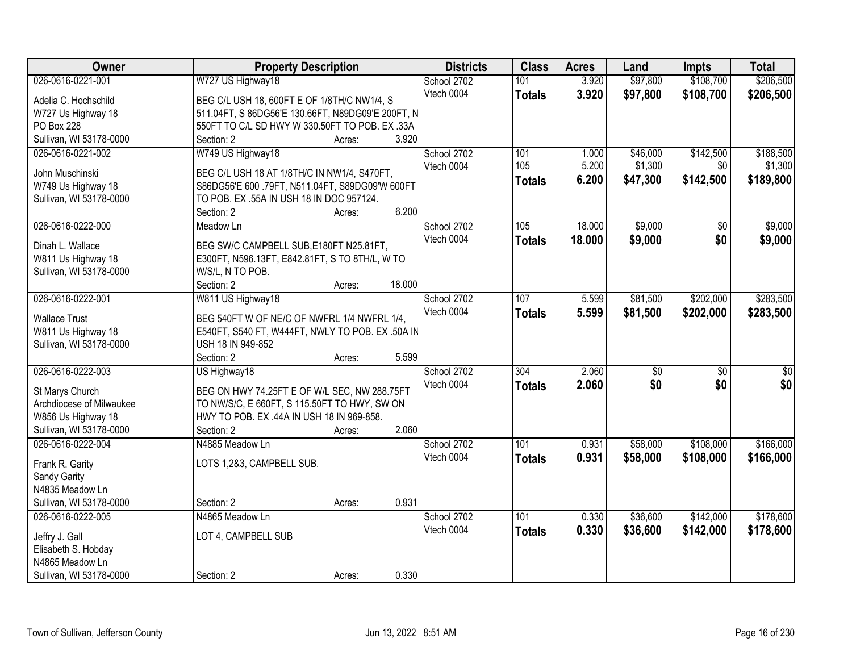| Owner                           | <b>Property Description</b>                       | <b>Districts</b> | <b>Class</b>     | <b>Acres</b> | Land            | <b>Impts</b>    | <b>Total</b>    |
|---------------------------------|---------------------------------------------------|------------------|------------------|--------------|-----------------|-----------------|-----------------|
| 026-0616-0221-001               | W727 US Highway18                                 | School 2702      | 101              | 3.920        | \$97,800        | \$108,700       | \$206,500       |
| Adelia C. Hochschild            | BEG C/L USH 18, 600FT E OF 1/8TH/C NW1/4, S       | Vtech 0004       | <b>Totals</b>    | 3.920        | \$97,800        | \$108,700       | \$206,500       |
| W727 Us Highway 18              | 511.04FT, S 86DG56'E 130.66FT, N89DG09'E 200FT, N |                  |                  |              |                 |                 |                 |
| PO Box 228                      | 550FT TO C/L SD HWY W 330.50FT TO POB. EX .33A    |                  |                  |              |                 |                 |                 |
| Sullivan, WI 53178-0000         | 3.920<br>Section: 2<br>Acres:                     |                  |                  |              |                 |                 |                 |
| 026-0616-0221-002               | W749 US Highway18                                 | School 2702      | 101              | 1.000        | \$46,000        | \$142,500       | \$188,500       |
|                                 |                                                   | Vtech 0004       | 105              | 5.200        | \$1,300         | \$0             | \$1,300         |
| John Muschinski                 | BEG C/L USH 18 AT 1/8TH/C IN NW1/4, S470FT,       |                  | <b>Totals</b>    | 6.200        | \$47,300        | \$142,500       | \$189,800       |
| W749 Us Highway 18              | S86DG56'E 600 .79FT, N511.04FT, S89DG09'W 600FT   |                  |                  |              |                 |                 |                 |
| Sullivan, WI 53178-0000         | TO POB. EX .55A IN USH 18 IN DOC 957124.          |                  |                  |              |                 |                 |                 |
|                                 | 6.200<br>Section: 2<br>Acres:                     |                  |                  |              |                 |                 |                 |
| 026-0616-0222-000               | Meadow Ln                                         | School 2702      | 105              | 18.000       | \$9,000         | \$0             | \$9,000         |
| Dinah L. Wallace                | BEG SW/C CAMPBELL SUB, E180FT N25.81FT,           | Vtech 0004       | <b>Totals</b>    | 18.000       | \$9,000         | \$0             | \$9,000         |
| W811 Us Highway 18              | E300FT, N596.13FT, E842.81FT, S TO 8TH/L, W TO    |                  |                  |              |                 |                 |                 |
| Sullivan, WI 53178-0000         | W/S/L, N TO POB.                                  |                  |                  |              |                 |                 |                 |
|                                 | 18.000<br>Section: 2<br>Acres:                    |                  |                  |              |                 |                 |                 |
| 026-0616-0222-001               | W811 US Highway18                                 | School 2702      | 107              | 5.599        | \$81,500        | \$202,000       | \$283,500       |
|                                 |                                                   | Vtech 0004       | <b>Totals</b>    | 5.599        | \$81,500        | \$202,000       | \$283,500       |
| <b>Wallace Trust</b>            | BEG 540FT W OF NE/C OF NWFRL 1/4 NWFRL 1/4,       |                  |                  |              |                 |                 |                 |
| W811 Us Highway 18              | E540FT, S540 FT, W444FT, NWLY TO POB. EX .50A IN  |                  |                  |              |                 |                 |                 |
| Sullivan, WI 53178-0000         | USH 18 IN 949-852<br>5.599                        |                  |                  |              |                 |                 |                 |
|                                 | Section: 2<br>Acres:                              |                  |                  | 2.060        |                 |                 |                 |
| 026-0616-0222-003               | US Highway18                                      | School 2702      | $\overline{304}$ |              | $\overline{50}$ | $\overline{50}$ | $\overline{50}$ |
| St Marys Church                 | BEG ON HWY 74.25FT E OF W/L SEC, NW 288.75FT      | Vtech 0004       | <b>Totals</b>    | 2.060        | \$0             | \$0             | \$0             |
| Archdiocese of Milwaukee        | TO NW/S/C, E 660FT, S 115.50FT TO HWY, SW ON      |                  |                  |              |                 |                 |                 |
| W856 Us Highway 18              | HWY TO POB. EX .44A IN USH 18 IN 969-858.         |                  |                  |              |                 |                 |                 |
| Sullivan, WI 53178-0000         | 2.060<br>Section: 2<br>Acres:                     |                  |                  |              |                 |                 |                 |
| 026-0616-0222-004               | N4885 Meadow Ln                                   | School 2702      | 101              | 0.931        | \$58,000        | \$108,000       | \$166,000       |
|                                 | LOTS 1,2&3, CAMPBELL SUB.                         | Vtech 0004       | <b>Totals</b>    | 0.931        | \$58,000        | \$108,000       | \$166,000       |
| Frank R. Garity<br>Sandy Garity |                                                   |                  |                  |              |                 |                 |                 |
| N4835 Meadow Ln                 |                                                   |                  |                  |              |                 |                 |                 |
| Sullivan, WI 53178-0000         | 0.931<br>Section: 2<br>Acres:                     |                  |                  |              |                 |                 |                 |
| 026-0616-0222-005               | N4865 Meadow Ln                                   | School 2702      | 101              | 0.330        | \$36,600        | \$142,000       | \$178,600       |
|                                 |                                                   | Vtech 0004       |                  |              |                 |                 |                 |
| Jeffry J. Gall                  | LOT 4, CAMPBELL SUB                               |                  | <b>Totals</b>    | 0.330        | \$36,600        | \$142,000       | \$178,600       |
| Elisabeth S. Hobday             |                                                   |                  |                  |              |                 |                 |                 |
| N4865 Meadow Ln                 |                                                   |                  |                  |              |                 |                 |                 |
| Sullivan, WI 53178-0000         | 0.330<br>Section: 2<br>Acres:                     |                  |                  |              |                 |                 |                 |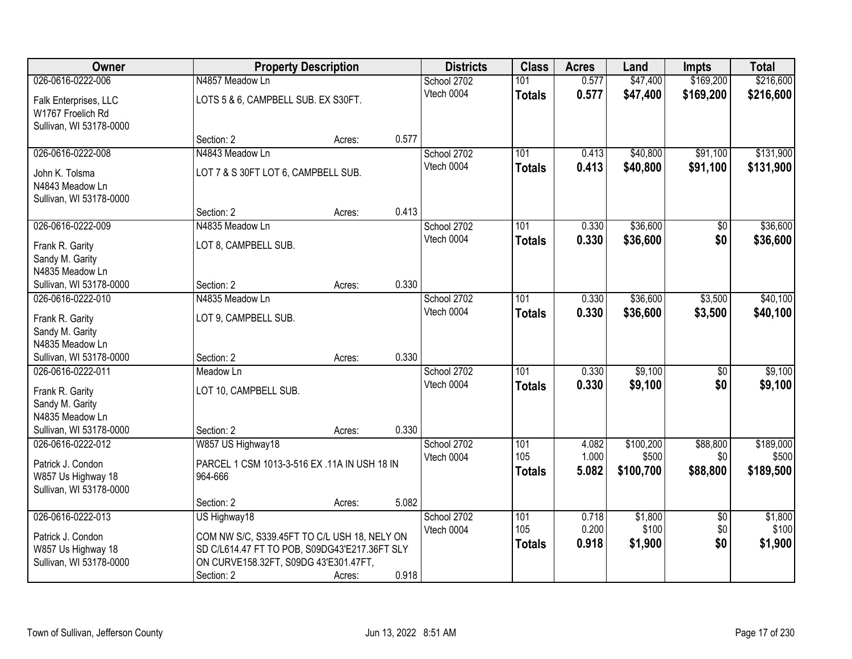| Owner                                                                                                 |                                                                                                                                                                      | <b>Property Description</b> |       | <b>Districts</b>          | <b>Class</b>                | <b>Acres</b>            | Land                        | <b>Impts</b>                  | <b>Total</b>                |
|-------------------------------------------------------------------------------------------------------|----------------------------------------------------------------------------------------------------------------------------------------------------------------------|-----------------------------|-------|---------------------------|-----------------------------|-------------------------|-----------------------------|-------------------------------|-----------------------------|
| 026-0616-0222-006                                                                                     | N4857 Meadow Ln                                                                                                                                                      |                             |       | School 2702               | 101                         | 0.577                   | \$47,400                    | \$169,200                     | \$216,600                   |
| Falk Enterprises, LLC<br>W1767 Froelich Rd<br>Sullivan, WI 53178-0000                                 | LOTS 5 & 6, CAMPBELL SUB. EX S30FT.                                                                                                                                  |                             |       | Vtech 0004                | <b>Totals</b>               | 0.577                   | \$47,400                    | \$169,200                     | \$216,600                   |
|                                                                                                       | Section: 2                                                                                                                                                           | Acres:                      | 0.577 |                           |                             |                         |                             |                               |                             |
| 026-0616-0222-008                                                                                     | N4843 Meadow Ln                                                                                                                                                      |                             |       | School 2702               | 101                         | 0.413                   | \$40,800                    | \$91,100                      | \$131,900                   |
| John K. Tolsma<br>N4843 Meadow Ln<br>Sullivan, WI 53178-0000                                          | LOT 7 & S 30FT LOT 6, CAMPBELL SUB.                                                                                                                                  |                             |       | Vtech 0004                | <b>Totals</b>               | 0.413                   | \$40,800                    | \$91,100                      | \$131,900                   |
|                                                                                                       | Section: 2                                                                                                                                                           | Acres:                      | 0.413 |                           |                             |                         |                             |                               |                             |
| 026-0616-0222-009<br>Frank R. Garity<br>Sandy M. Garity<br>N4835 Meadow Ln                            | N4835 Meadow Ln<br>LOT 8, CAMPBELL SUB.                                                                                                                              |                             |       | School 2702<br>Vtech 0004 | 101<br><b>Totals</b>        | 0.330<br>0.330          | \$36,600<br>\$36,600        | \$0<br>\$0                    | \$36,600<br>\$36,600        |
| Sullivan, WI 53178-0000                                                                               | Section: 2                                                                                                                                                           | Acres:                      | 0.330 |                           |                             |                         |                             |                               |                             |
| 026-0616-0222-010<br>Frank R. Garity<br>Sandy M. Garity<br>N4835 Meadow Ln                            | N4835 Meadow Ln<br>LOT 9, CAMPBELL SUB.                                                                                                                              |                             |       | School 2702<br>Vtech 0004 | 101<br><b>Totals</b>        | 0.330<br>0.330          | \$36,600<br>\$36,600        | \$3,500<br>\$3,500            | \$40,100<br>\$40,100        |
| Sullivan, WI 53178-0000                                                                               | Section: 2                                                                                                                                                           | Acres:                      | 0.330 |                           |                             |                         |                             |                               |                             |
| 026-0616-0222-011<br>Frank R. Garity<br>Sandy M. Garity<br>N4835 Meadow Ln<br>Sullivan, WI 53178-0000 | Meadow Ln<br>LOT 10, CAMPBELL SUB.<br>Section: 2                                                                                                                     | Acres:                      | 0.330 | School 2702<br>Vtech 0004 | 101<br>Totals               | 0.330<br>0.330          | \$9,100<br>\$9,100          | $\overline{50}$<br>\$0        | \$9,100<br>\$9,100          |
| 026-0616-0222-012                                                                                     | W857 US Highway18                                                                                                                                                    |                             |       | School 2702               | 101                         | 4.082                   | \$100,200                   | \$88,800                      | \$189,000                   |
| Patrick J. Condon<br>W857 Us Highway 18<br>Sullivan, WI 53178-0000                                    | PARCEL 1 CSM 1013-3-516 EX .11A IN USH 18 IN<br>964-666                                                                                                              |                             |       | Vtech 0004                | 105<br><b>Totals</b>        | 1.000<br>5.082          | \$500<br>\$100,700          | \$0<br>\$88,800               | \$500<br>\$189,500          |
|                                                                                                       | Section: 2                                                                                                                                                           | Acres:                      | 5.082 |                           |                             |                         |                             |                               |                             |
| 026-0616-0222-013<br>Patrick J. Condon<br>W857 Us Highway 18<br>Sullivan, WI 53178-0000               | US Highway18<br>COM NW S/C, S339.45FT TO C/L USH 18, NELY ON<br>SD C/L614.47 FT TO POB, S09DG43'E217.36FT SLY<br>ON CURVE158.32FT, S09DG 43'E301.47FT,<br>Section: 2 | Acres:                      | 0.918 | School 2702<br>Vtech 0004 | 101<br>105<br><b>Totals</b> | 0.718<br>0.200<br>0.918 | \$1,800<br>\$100<br>\$1,900 | $\overline{30}$<br>\$0<br>\$0 | \$1,800<br>\$100<br>\$1,900 |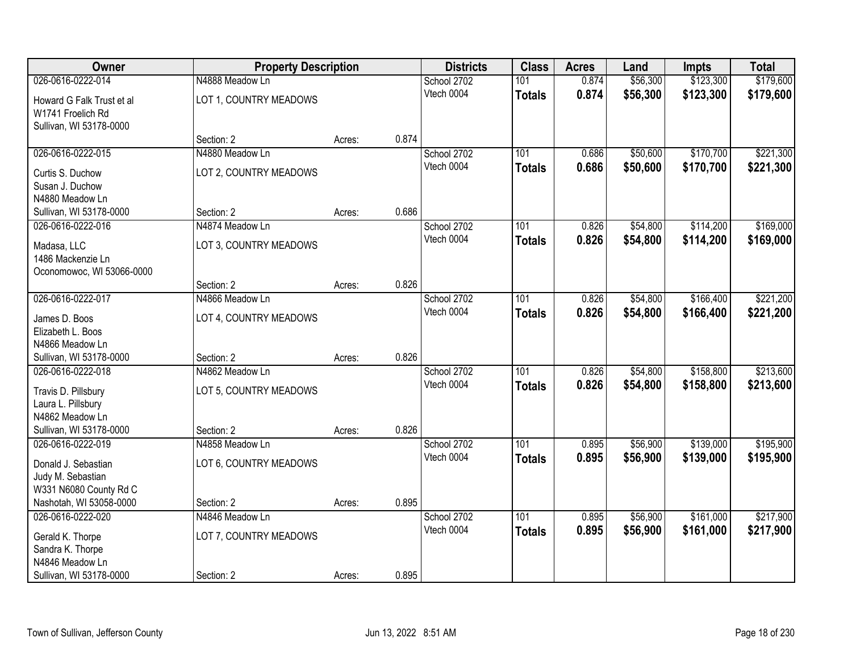| Owner                     | <b>Property Description</b> |        |       | <b>Districts</b> | <b>Class</b>  | <b>Acres</b> | Land     | <b>Impts</b> | <b>Total</b> |
|---------------------------|-----------------------------|--------|-------|------------------|---------------|--------------|----------|--------------|--------------|
| 026-0616-0222-014         | N4888 Meadow Ln             |        |       | School 2702      | 101           | 0.874        | \$56,300 | \$123,300    | \$179,600    |
| Howard G Falk Trust et al | LOT 1, COUNTRY MEADOWS      |        |       | Vtech 0004       | <b>Totals</b> | 0.874        | \$56,300 | \$123,300    | \$179,600    |
| W1741 Froelich Rd         |                             |        |       |                  |               |              |          |              |              |
| Sullivan, WI 53178-0000   |                             |        |       |                  |               |              |          |              |              |
|                           | Section: 2                  | Acres: | 0.874 |                  |               |              |          |              |              |
| 026-0616-0222-015         | N4880 Meadow Ln             |        |       | School 2702      | 101           | 0.686        | \$50,600 | \$170,700    | \$221,300    |
| Curtis S. Duchow          | LOT 2, COUNTRY MEADOWS      |        |       | Vtech 0004       | <b>Totals</b> | 0.686        | \$50,600 | \$170,700    | \$221,300    |
| Susan J. Duchow           |                             |        |       |                  |               |              |          |              |              |
| N4880 Meadow Ln           |                             |        |       |                  |               |              |          |              |              |
| Sullivan, WI 53178-0000   | Section: 2                  | Acres: | 0.686 |                  |               |              |          |              |              |
| 026-0616-0222-016         | N4874 Meadow Ln             |        |       | School 2702      | 101           | 0.826        | \$54,800 | \$114,200    | \$169,000    |
| Madasa, LLC               | LOT 3, COUNTRY MEADOWS      |        |       | Vtech 0004       | <b>Totals</b> | 0.826        | \$54,800 | \$114,200    | \$169,000    |
| 1486 Mackenzie Ln         |                             |        |       |                  |               |              |          |              |              |
| Oconomowoc, WI 53066-0000 |                             |        |       |                  |               |              |          |              |              |
|                           | Section: 2                  | Acres: | 0.826 |                  |               |              |          |              |              |
| 026-0616-0222-017         | N4866 Meadow Ln             |        |       | School 2702      | 101           | 0.826        | \$54,800 | \$166,400    | \$221,200    |
| James D. Boos             | LOT 4, COUNTRY MEADOWS      |        |       | Vtech 0004       | <b>Totals</b> | 0.826        | \$54,800 | \$166,400    | \$221,200    |
| Elizabeth L. Boos         |                             |        |       |                  |               |              |          |              |              |
| N4866 Meadow Ln           |                             |        |       |                  |               |              |          |              |              |
| Sullivan, WI 53178-0000   | Section: 2                  | Acres: | 0.826 |                  |               |              |          |              |              |
| 026-0616-0222-018         | N4862 Meadow Ln             |        |       | School 2702      | 101           | 0.826        | \$54,800 | \$158,800    | \$213,600    |
| Travis D. Pillsbury       | LOT 5, COUNTRY MEADOWS      |        |       | Vtech 0004       | <b>Totals</b> | 0.826        | \$54,800 | \$158,800    | \$213,600    |
| Laura L. Pillsbury        |                             |        |       |                  |               |              |          |              |              |
| N4862 Meadow Ln           |                             |        |       |                  |               |              |          |              |              |
| Sullivan, WI 53178-0000   | Section: 2                  | Acres: | 0.826 |                  |               |              |          |              |              |
| 026-0616-0222-019         | N4858 Meadow Ln             |        |       | School 2702      | 101           | 0.895        | \$56,900 | \$139,000    | \$195,900    |
| Donald J. Sebastian       | LOT 6, COUNTRY MEADOWS      |        |       | Vtech 0004       | <b>Totals</b> | 0.895        | \$56,900 | \$139,000    | \$195,900    |
| Judy M. Sebastian         |                             |        |       |                  |               |              |          |              |              |
| W331 N6080 County Rd C    |                             |        |       |                  |               |              |          |              |              |
| Nashotah, WI 53058-0000   | Section: 2                  | Acres: | 0.895 |                  |               |              |          |              |              |
| 026-0616-0222-020         | N4846 Meadow Ln             |        |       | School 2702      | 101           | 0.895        | \$56,900 | \$161,000    | \$217,900    |
| Gerald K. Thorpe          | LOT 7, COUNTRY MEADOWS      |        |       | Vtech 0004       | <b>Totals</b> | 0.895        | \$56,900 | \$161,000    | \$217,900    |
| Sandra K. Thorpe          |                             |        |       |                  |               |              |          |              |              |
| N4846 Meadow Ln           |                             |        |       |                  |               |              |          |              |              |
| Sullivan, WI 53178-0000   | Section: 2                  | Acres: | 0.895 |                  |               |              |          |              |              |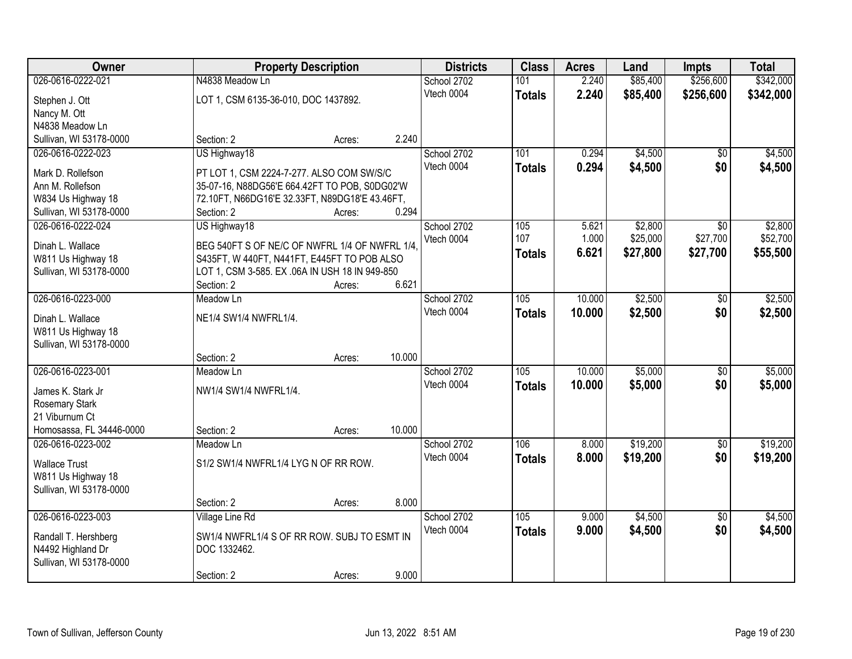| Owner                                     |                                                             | <b>Property Description</b> |        | <b>Districts</b> | <b>Class</b>  | <b>Acres</b> | Land     | <b>Impts</b>    | <b>Total</b> |
|-------------------------------------------|-------------------------------------------------------------|-----------------------------|--------|------------------|---------------|--------------|----------|-----------------|--------------|
| 026-0616-0222-021                         | N4838 Meadow Ln                                             |                             |        | School 2702      | 101           | 2.240        | \$85,400 | \$256,600       | \$342,000    |
| Stephen J. Ott                            | LOT 1, CSM 6135-36-010, DOC 1437892.                        |                             |        | Vtech 0004       | <b>Totals</b> | 2.240        | \$85,400 | \$256,600       | \$342,000    |
| Nancy M. Ott                              |                                                             |                             |        |                  |               |              |          |                 |              |
| N4838 Meadow Ln                           |                                                             |                             |        |                  |               |              |          |                 |              |
| Sullivan, WI 53178-0000                   | Section: 2                                                  | Acres:                      | 2.240  |                  |               |              |          |                 |              |
| 026-0616-0222-023                         | US Highway18                                                |                             |        | School 2702      | 101           | 0.294        | \$4,500  | $\overline{50}$ | \$4,500      |
| Mark D. Rollefson                         | PT LOT 1, CSM 2224-7-277. ALSO COM SW/S/C                   |                             |        | Vtech 0004       | <b>Totals</b> | 0.294        | \$4,500  | \$0             | \$4,500      |
| Ann M. Rollefson                          | 35-07-16, N88DG56'E 664.42FT TO POB, S0DG02'W               |                             |        |                  |               |              |          |                 |              |
| W834 Us Highway 18                        | 72.10FT, N66DG16'E 32.33FT, N89DG18'E 43.46FT,              |                             |        |                  |               |              |          |                 |              |
| Sullivan, WI 53178-0000                   | Section: 2                                                  | Acres:                      | 0.294  |                  |               |              |          |                 |              |
| 026-0616-0222-024                         | US Highway18                                                |                             |        | School 2702      | 105           | 5.621        | \$2,800  | \$0             | \$2,800      |
| Dinah L. Wallace                          | BEG 540FT S OF NE/C OF NWFRL 1/4 OF NWFRL 1/4,              |                             |        | Vtech 0004       | 107           | 1.000        | \$25,000 | \$27,700        | \$52,700     |
| W811 Us Highway 18                        | S435FT, W 440FT, N441FT, E445FT TO POB ALSO                 |                             |        |                  | <b>Totals</b> | 6.621        | \$27,800 | \$27,700        | \$55,500     |
| Sullivan, WI 53178-0000                   | LOT 1, CSM 3-585. EX .06A IN USH 18 IN 949-850              |                             |        |                  |               |              |          |                 |              |
|                                           | Section: 2                                                  | Acres:                      | 6.621  |                  |               |              |          |                 |              |
| 026-0616-0223-000                         | Meadow Ln                                                   |                             |        | School 2702      | 105           | 10.000       | \$2,500  | \$0             | \$2,500      |
| Dinah L. Wallace                          | NE1/4 SW1/4 NWFRL1/4.                                       |                             |        | Vtech 0004       | <b>Totals</b> | 10.000       | \$2,500  | \$0             | \$2,500      |
| W811 Us Highway 18                        |                                                             |                             |        |                  |               |              |          |                 |              |
| Sullivan, WI 53178-0000                   |                                                             |                             |        |                  |               |              |          |                 |              |
|                                           | Section: 2                                                  | Acres:                      | 10.000 |                  |               |              |          |                 |              |
| 026-0616-0223-001                         | Meadow Ln                                                   |                             |        | School 2702      | 105           | 10.000       | \$5,000  | \$0             | \$5,000      |
| James K. Stark Jr                         | NW1/4 SW1/4 NWFRL1/4.                                       |                             |        | Vtech 0004       | <b>Totals</b> | 10.000       | \$5,000  | \$0             | \$5,000      |
| Rosemary Stark                            |                                                             |                             |        |                  |               |              |          |                 |              |
| 21 Viburnum Ct                            |                                                             |                             |        |                  |               |              |          |                 |              |
| Homosassa, FL 34446-0000                  | Section: 2                                                  | Acres:                      | 10.000 |                  |               |              |          |                 |              |
| 026-0616-0223-002                         | Meadow Ln                                                   |                             |        | School 2702      | 106           | 8.000        | \$19,200 | $\overline{50}$ | \$19,200     |
| <b>Wallace Trust</b>                      | S1/2 SW1/4 NWFRL1/4 LYG N OF RR ROW.                        |                             |        | Vtech 0004       | <b>Totals</b> | 8.000        | \$19,200 | \$0             | \$19,200     |
| W811 Us Highway 18                        |                                                             |                             |        |                  |               |              |          |                 |              |
| Sullivan, WI 53178-0000                   |                                                             |                             |        |                  |               |              |          |                 |              |
|                                           | Section: 2                                                  | Acres:                      | 8.000  |                  |               |              |          |                 |              |
| 026-0616-0223-003                         | Village Line Rd                                             |                             |        | School 2702      | 105           | 9.000        | \$4,500  | $\overline{50}$ | \$4,500      |
|                                           |                                                             |                             |        | Vtech 0004       | <b>Totals</b> | 9.000        | \$4,500  | \$0             | \$4,500      |
| Randall T. Hershberg<br>N4492 Highland Dr | SW1/4 NWFRL1/4 S OF RR ROW. SUBJ TO ESMT IN<br>DOC 1332462. |                             |        |                  |               |              |          |                 |              |
| Sullivan, WI 53178-0000                   |                                                             |                             |        |                  |               |              |          |                 |              |
|                                           | Section: 2                                                  | Acres:                      | 9.000  |                  |               |              |          |                 |              |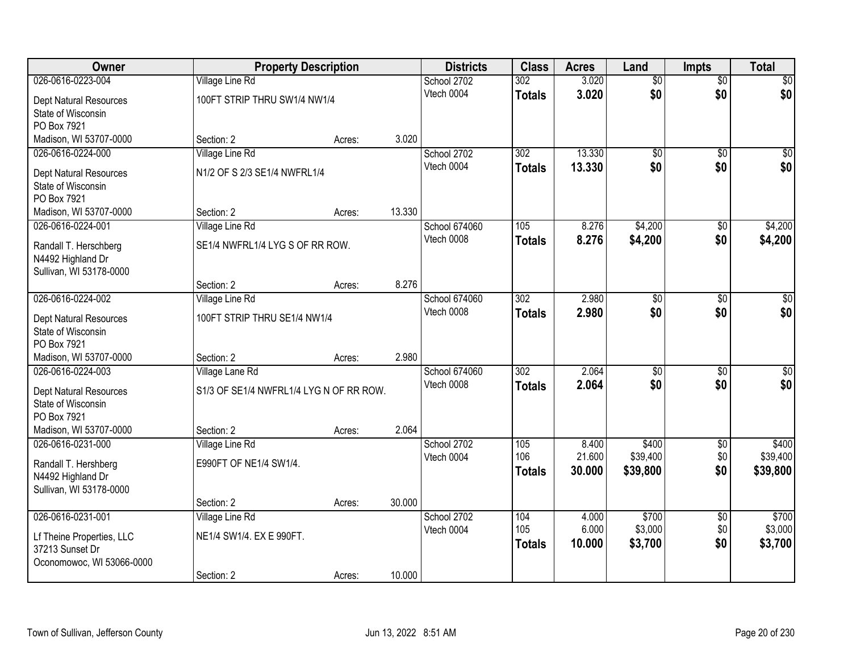| Owner                     |                                         | <b>Property Description</b> |        | <b>Districts</b>          | <b>Class</b>     | <b>Acres</b>    | Land              | <b>Impts</b>           | <b>Total</b>      |
|---------------------------|-----------------------------------------|-----------------------------|--------|---------------------------|------------------|-----------------|-------------------|------------------------|-------------------|
| 026-0616-0223-004         | <b>Village Line Rd</b>                  |                             |        | School 2702               | 302              | 3.020           | $\overline{50}$   | $\overline{$0}$        | $\overline{30}$   |
| Dept Natural Resources    | 100FT STRIP THRU SW1/4 NW1/4            |                             |        | Vtech 0004                | <b>Totals</b>    | 3.020           | \$0               | \$0                    | \$0               |
| State of Wisconsin        |                                         |                             |        |                           |                  |                 |                   |                        |                   |
| PO Box 7921               |                                         |                             |        |                           |                  |                 |                   |                        |                   |
| Madison, WI 53707-0000    | Section: 2                              | Acres:                      | 3.020  |                           |                  |                 |                   |                        |                   |
| 026-0616-0224-000         | Village Line Rd                         |                             |        | School 2702               | 302              | 13.330          | \$0               | $\overline{50}$        | $\overline{30}$   |
| Dept Natural Resources    | N1/2 OF S 2/3 SE1/4 NWFRL1/4            |                             |        | Vtech 0004                | <b>Totals</b>    | 13.330          | \$0               | \$0                    | \$0               |
| State of Wisconsin        |                                         |                             |        |                           |                  |                 |                   |                        |                   |
| PO Box 7921               |                                         |                             |        |                           |                  |                 |                   |                        |                   |
| Madison, WI 53707-0000    | Section: 2                              | Acres:                      | 13.330 |                           |                  |                 |                   |                        |                   |
| 026-0616-0224-001         | Village Line Rd                         |                             |        | School 674060             | 105              | 8.276           | \$4,200           | \$0                    | \$4,200           |
| Randall T. Herschberg     | SE1/4 NWFRL1/4 LYG S OF RR ROW.         |                             |        | Vtech 0008                | <b>Totals</b>    | 8.276           | \$4,200           | \$0                    | \$4,200           |
| N4492 Highland Dr         |                                         |                             |        |                           |                  |                 |                   |                        |                   |
| Sullivan, WI 53178-0000   |                                         |                             |        |                           |                  |                 |                   |                        |                   |
|                           | Section: 2                              | Acres:                      | 8.276  |                           |                  |                 |                   |                        |                   |
| 026-0616-0224-002         | Village Line Rd                         |                             |        | School 674060             | $\overline{302}$ | 2.980           | $\overline{50}$   | \$0                    | $\sqrt{50}$       |
| Dept Natural Resources    | 100FT STRIP THRU SE1/4 NW1/4            |                             |        | Vtech 0008                | <b>Totals</b>    | 2.980           | \$0               | \$0                    | \$0               |
| State of Wisconsin        |                                         |                             |        |                           |                  |                 |                   |                        |                   |
| PO Box 7921               |                                         |                             |        |                           |                  |                 |                   |                        |                   |
| Madison, WI 53707-0000    | Section: 2                              | Acres:                      | 2.980  |                           |                  |                 |                   |                        |                   |
| 026-0616-0224-003         | Village Lane Rd                         |                             |        | School 674060             | $\overline{302}$ | 2.064           | \$0               | \$0                    | $\overline{50}$   |
| Dept Natural Resources    | S1/3 OF SE1/4 NWFRL1/4 LYG N OF RR ROW. |                             |        | Vtech 0008                | <b>Totals</b>    | 2.064           | \$0               | \$0                    | \$0               |
| State of Wisconsin        |                                         |                             |        |                           |                  |                 |                   |                        |                   |
| PO Box 7921               |                                         |                             |        |                           |                  |                 |                   |                        |                   |
| Madison, WI 53707-0000    | Section: 2                              | Acres:                      | 2.064  |                           |                  |                 |                   |                        |                   |
| 026-0616-0231-000         | Village Line Rd                         |                             |        | School 2702               | 105<br>106       | 8.400<br>21.600 | \$400<br>\$39,400 | $\sqrt{$0}$<br>\$0     | \$400<br>\$39,400 |
| Randall T. Hershberg      | E990FT OF NE1/4 SW1/4.                  |                             |        | Vtech 0004                | <b>Totals</b>    | 30.000          | \$39,800          | \$0                    | \$39,800          |
| N4492 Highland Dr         |                                         |                             |        |                           |                  |                 |                   |                        |                   |
| Sullivan, WI 53178-0000   |                                         |                             |        |                           |                  |                 |                   |                        |                   |
|                           | Section: 2                              | Acres:                      | 30.000 |                           |                  |                 |                   |                        |                   |
| 026-0616-0231-001         | Village Line Rd                         |                             |        | School 2702<br>Vtech 0004 | 104<br>105       | 4.000<br>6.000  | \$700<br>\$3,000  | $\overline{50}$<br>\$0 | \$700<br>\$3,000  |
| Lf Theine Properties, LLC | NE1/4 SW1/4. EX E 990FT.                |                             |        |                           | <b>Totals</b>    | 10.000          | \$3,700           | \$0                    | \$3,700           |
| 37213 Sunset Dr           |                                         |                             |        |                           |                  |                 |                   |                        |                   |
| Oconomowoc, WI 53066-0000 |                                         |                             |        |                           |                  |                 |                   |                        |                   |
|                           | Section: 2                              | Acres:                      | 10.000 |                           |                  |                 |                   |                        |                   |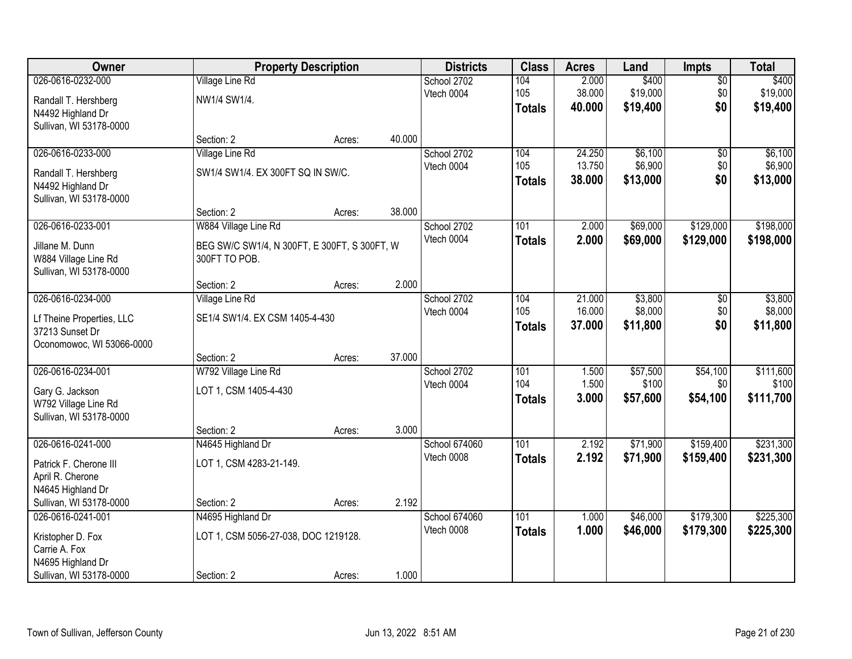| Owner                     |                                              | <b>Property Description</b> |        | <b>Districts</b> | <b>Class</b>     | <b>Acres</b> | Land     | <b>Impts</b>    | <b>Total</b> |
|---------------------------|----------------------------------------------|-----------------------------|--------|------------------|------------------|--------------|----------|-----------------|--------------|
| 026-0616-0232-000         | <b>Village Line Rd</b>                       |                             |        | School 2702      | 104              | 2.000        | \$400    | $\overline{50}$ | \$400        |
| Randall T. Hershberg      | NW1/4 SW1/4.                                 |                             |        | Vtech 0004       | 105              | 38.000       | \$19,000 | \$0             | \$19,000     |
| N4492 Highland Dr         |                                              |                             |        |                  | <b>Totals</b>    | 40.000       | \$19,400 | \$0             | \$19,400     |
| Sullivan, WI 53178-0000   |                                              |                             |        |                  |                  |              |          |                 |              |
|                           | Section: 2                                   | Acres:                      | 40.000 |                  |                  |              |          |                 |              |
| 026-0616-0233-000         | Village Line Rd                              |                             |        | School 2702      | 104              | 24.250       | \$6,100  | \$0             | \$6,100      |
| Randall T. Hershberg      | SW1/4 SW1/4. EX 300FT SQ IN SW/C.            |                             |        | Vtech 0004       | 105              | 13.750       | \$6,900  | \$0             | \$6,900      |
| N4492 Highland Dr         |                                              |                             |        |                  | <b>Totals</b>    | 38.000       | \$13,000 | \$0             | \$13,000     |
| Sullivan, WI 53178-0000   |                                              |                             |        |                  |                  |              |          |                 |              |
|                           | Section: 2                                   | Acres:                      | 38.000 |                  |                  |              |          |                 |              |
| 026-0616-0233-001         | W884 Village Line Rd                         |                             |        | School 2702      | 101              | 2.000        | \$69,000 | \$129,000       | \$198,000    |
| Jillane M. Dunn           | BEG SW/C SW1/4, N 300FT, E 300FT, S 300FT, W |                             |        | Vtech 0004       | <b>Totals</b>    | 2.000        | \$69,000 | \$129,000       | \$198,000    |
| W884 Village Line Rd      | 300FT TO POB.                                |                             |        |                  |                  |              |          |                 |              |
| Sullivan, WI 53178-0000   |                                              |                             |        |                  |                  |              |          |                 |              |
|                           | Section: 2                                   | Acres:                      | 2.000  |                  |                  |              |          |                 |              |
| 026-0616-0234-000         | Village Line Rd                              |                             |        | School 2702      | 104              | 21.000       | \$3,800  | \$0             | \$3,800      |
| Lf Theine Properties, LLC | SE1/4 SW1/4. EX CSM 1405-4-430               |                             |        | Vtech 0004       | 105              | 16.000       | \$8,000  | \$0             | \$8,000      |
| 37213 Sunset Dr           |                                              |                             |        |                  | <b>Totals</b>    | 37.000       | \$11,800 | \$0             | \$11,800     |
| Oconomowoc, WI 53066-0000 |                                              |                             |        |                  |                  |              |          |                 |              |
|                           | Section: 2                                   | Acres:                      | 37.000 |                  |                  |              |          |                 |              |
| 026-0616-0234-001         | W792 Village Line Rd                         |                             |        | School 2702      | 101              | 1.500        | \$57,500 | \$54,100        | \$111,600    |
| Gary G. Jackson           | LOT 1, CSM 1405-4-430                        |                             |        | Vtech 0004       | 104              | 1.500        | \$100    | \$0             | \$100        |
| W792 Village Line Rd      |                                              |                             |        |                  | <b>Totals</b>    | 3.000        | \$57,600 | \$54,100        | \$111,700    |
| Sullivan, WI 53178-0000   |                                              |                             |        |                  |                  |              |          |                 |              |
|                           | Section: 2                                   | Acres:                      | 3.000  |                  |                  |              |          |                 |              |
| 026-0616-0241-000         | N4645 Highland Dr                            |                             |        | School 674060    | $\overline{101}$ | 2.192        | \$71,900 | \$159,400       | \$231,300    |
| Patrick F. Cherone III    | LOT 1, CSM 4283-21-149.                      |                             |        | Vtech 0008       | <b>Totals</b>    | 2.192        | \$71,900 | \$159,400       | \$231,300    |
| April R. Cherone          |                                              |                             |        |                  |                  |              |          |                 |              |
| N4645 Highland Dr         |                                              |                             |        |                  |                  |              |          |                 |              |
| Sullivan, WI 53178-0000   | Section: 2                                   | Acres:                      | 2.192  |                  |                  |              |          |                 |              |
| 026-0616-0241-001         | N4695 Highland Dr                            |                             |        | School 674060    | 101              | 1.000        | \$46,000 | \$179,300       | \$225,300    |
| Kristopher D. Fox         | LOT 1, CSM 5056-27-038, DOC 1219128.         |                             |        | Vtech 0008       | <b>Totals</b>    | 1.000        | \$46,000 | \$179,300       | \$225,300    |
| Carrie A. Fox             |                                              |                             |        |                  |                  |              |          |                 |              |
| N4695 Highland Dr         |                                              |                             |        |                  |                  |              |          |                 |              |
| Sullivan, WI 53178-0000   | Section: 2                                   | Acres:                      | 1.000  |                  |                  |              |          |                 |              |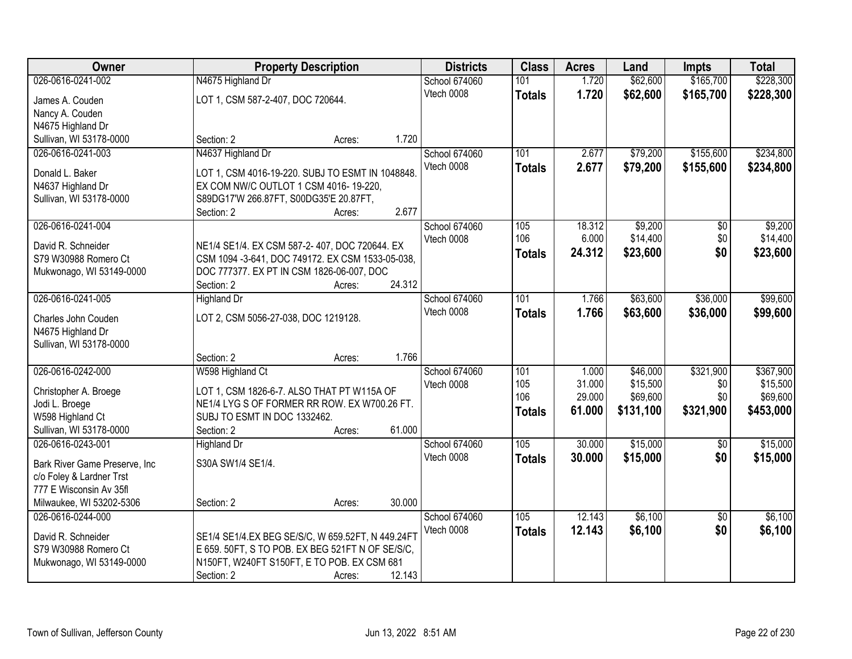| Owner                          |                                                           | <b>Property Description</b> |        | <b>Districts</b>            | <b>Class</b>  | <b>Acres</b> | Land      | <b>Impts</b>    | <b>Total</b> |
|--------------------------------|-----------------------------------------------------------|-----------------------------|--------|-----------------------------|---------------|--------------|-----------|-----------------|--------------|
| 026-0616-0241-002              | N4675 Highland Dr                                         |                             |        | <b>School 674060</b>        | 101           | 1.720        | \$62,600  | \$165,700       | \$228,300    |
| James A. Couden                | LOT 1, CSM 587-2-407, DOC 720644.                         |                             |        | Vtech 0008                  | <b>Totals</b> | 1.720        | \$62,600  | \$165,700       | \$228,300    |
| Nancy A. Couden                |                                                           |                             |        |                             |               |              |           |                 |              |
| N4675 Highland Dr              |                                                           |                             |        |                             |               |              |           |                 |              |
| Sullivan, WI 53178-0000        | Section: 2                                                | Acres:                      | 1.720  |                             |               |              |           |                 |              |
| 026-0616-0241-003              | N4637 Highland Dr                                         |                             |        | School 674060               | 101           | 2.677        | \$79,200  | \$155,600       | \$234,800    |
| Donald L. Baker                | LOT 1, CSM 4016-19-220. SUBJ TO ESMT IN 1048848.          |                             |        | Vtech 0008                  | <b>Totals</b> | 2.677        | \$79,200  | \$155,600       | \$234,800    |
| N4637 Highland Dr              | EX COM NW/C OUTLOT 1 CSM 4016-19-220,                     |                             |        |                             |               |              |           |                 |              |
| Sullivan, WI 53178-0000        | S89DG17'W 266.87FT, S00DG35'E 20.87FT,                    |                             |        |                             |               |              |           |                 |              |
|                                | Section: 2                                                | Acres:                      | 2.677  |                             |               |              |           |                 |              |
| 026-0616-0241-004              |                                                           |                             |        | School 674060               | 105           | 18.312       | \$9,200   | \$0             | \$9,200      |
|                                |                                                           |                             |        | Vtech 0008                  | 106           | 6.000        | \$14,400  | \$0             | \$14,400     |
| David R. Schneider             | NE1/4 SE1/4. EX CSM 587-2-407, DOC 720644. EX             |                             |        |                             | <b>Totals</b> | 24.312       | \$23,600  | \$0             | \$23,600     |
| S79 W30988 Romero Ct           | CSM 1094 -3-641, DOC 749172. EX CSM 1533-05-038,          |                             |        |                             |               |              |           |                 |              |
| Mukwonago, WI 53149-0000       | DOC 777377. EX PT IN CSM 1826-06-007, DOC                 |                             |        |                             |               |              |           |                 |              |
| 026-0616-0241-005              | Section: 2                                                | Acres:                      | 24.312 |                             | 101           | 1.766        |           | \$36,000        | \$99,600     |
|                                | <b>Highland Dr</b>                                        |                             |        | School 674060<br>Vtech 0008 |               |              | \$63,600  |                 |              |
| Charles John Couden            | LOT 2, CSM 5056-27-038, DOC 1219128.                      |                             |        |                             | <b>Totals</b> | 1.766        | \$63,600  | \$36,000        | \$99,600     |
| N4675 Highland Dr              |                                                           |                             |        |                             |               |              |           |                 |              |
| Sullivan, WI 53178-0000        |                                                           |                             |        |                             |               |              |           |                 |              |
|                                | Section: 2                                                | Acres:                      | 1.766  |                             |               |              |           |                 |              |
| 026-0616-0242-000              | W598 Highland Ct                                          |                             |        | School 674060               | 101           | 1.000        | \$46,000  | \$321,900       | \$367,900    |
| Christopher A. Broege          | LOT 1, CSM 1826-6-7. ALSO THAT PT W115A OF                |                             |        | Vtech 0008                  | 105           | 31.000       | \$15,500  | \$0             | \$15,500     |
| Jodi L. Broege                 | NE1/4 LYG S OF FORMER RR ROW. EX W700.26 FT.              |                             |        |                             | 106           | 29.000       | \$69,600  | \$0             | \$69,600     |
| W598 Highland Ct               | SUBJ TO ESMT IN DOC 1332462.                              |                             |        |                             | <b>Totals</b> | 61.000       | \$131,100 | \$321,900       | \$453,000    |
| Sullivan, WI 53178-0000        | Section: 2                                                | Acres:                      | 61.000 |                             |               |              |           |                 |              |
| 026-0616-0243-001              | <b>Highland Dr</b>                                        |                             |        | School 674060               | 105           | 30.000       | \$15,000  | $\overline{50}$ | \$15,000     |
| Bark River Game Preserve, Inc. | S30A SW1/4 SE1/4.                                         |                             |        | Vtech 0008                  | <b>Totals</b> | 30.000       | \$15,000  | \$0             | \$15,000     |
| c/o Foley & Lardner Trst       |                                                           |                             |        |                             |               |              |           |                 |              |
| 777 E Wisconsin Av 35fl        |                                                           |                             |        |                             |               |              |           |                 |              |
| Milwaukee, WI 53202-5306       | Section: 2                                                | Acres:                      | 30.000 |                             |               |              |           |                 |              |
| 026-0616-0244-000              |                                                           |                             |        | School 674060               | 105           | 12.143       | \$6,100   | $\overline{50}$ | \$6,100      |
|                                |                                                           |                             |        | Vtech 0008                  | <b>Totals</b> | 12.143       | \$6,100   | \$0             | \$6,100      |
| David R. Schneider             | SE1/4 SE1/4.EX BEG SE/S/C, W 659.52FT, N 449.24FT         |                             |        |                             |               |              |           |                 |              |
| S79 W30988 Romero Ct           | E 659. 50FT, S TO POB. EX BEG 521FT N OF SE/S/C,          |                             |        |                             |               |              |           |                 |              |
| Mukwonago, WI 53149-0000       | N150FT, W240FT S150FT, E TO POB. EX CSM 681<br>Section: 2 |                             | 12.143 |                             |               |              |           |                 |              |
|                                |                                                           | Acres:                      |        |                             |               |              |           |                 |              |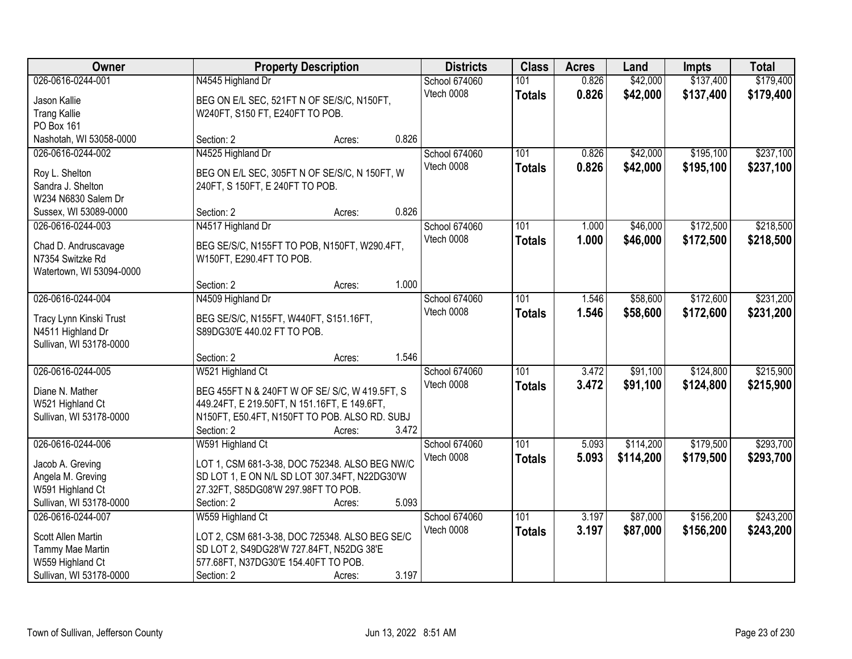| Owner                                       | <b>Property Description</b>                                | <b>Districts</b>     | <b>Class</b>     | <b>Acres</b> | Land      | <b>Impts</b> | <b>Total</b> |
|---------------------------------------------|------------------------------------------------------------|----------------------|------------------|--------------|-----------|--------------|--------------|
| 026-0616-0244-001                           | N4545 Highland Dr                                          | <b>School 674060</b> | 101              | 0.826        | \$42,000  | \$137,400    | \$179,400    |
| Jason Kallie                                | BEG ON E/L SEC, 521FT N OF SE/S/C, N150FT,                 | Vtech 0008           | <b>Totals</b>    | 0.826        | \$42,000  | \$137,400    | \$179,400    |
| <b>Trang Kallie</b>                         | W240FT, S150 FT, E240FT TO POB.                            |                      |                  |              |           |              |              |
| PO Box 161                                  |                                                            |                      |                  |              |           |              |              |
| Nashotah, WI 53058-0000                     | 0.826<br>Section: 2<br>Acres:                              |                      |                  |              |           |              |              |
| 026-0616-0244-002                           | N4525 Highland Dr                                          | School 674060        | 101              | 0.826        | \$42,000  | \$195,100    | \$237,100    |
|                                             |                                                            | Vtech 0008           | <b>Totals</b>    | 0.826        | \$42,000  | \$195,100    | \$237,100    |
| Roy L. Shelton                              | BEG ON E/L SEC, 305FT N OF SE/S/C, N 150FT, W              |                      |                  |              |           |              |              |
| Sandra J. Shelton<br>W234 N6830 Salem Dr    | 240FT, S 150FT, E 240FT TO POB.                            |                      |                  |              |           |              |              |
| Sussex, WI 53089-0000                       | 0.826<br>Section: 2<br>Acres:                              |                      |                  |              |           |              |              |
| 026-0616-0244-003                           | N4517 Highland Dr                                          | School 674060        | 101              | 1.000        | \$46,000  | \$172,500    | \$218,500    |
|                                             |                                                            | Vtech 0008           | <b>Totals</b>    | 1.000        | \$46,000  | \$172,500    | \$218,500    |
| Chad D. Andruscavage                        | BEG SE/S/C, N155FT TO POB, N150FT, W290.4FT,               |                      |                  |              |           |              |              |
| N7354 Switzke Rd                            | W150FT, E290.4FT TO POB.                                   |                      |                  |              |           |              |              |
| Watertown, WI 53094-0000                    |                                                            |                      |                  |              |           |              |              |
|                                             | 1.000<br>Section: 2<br>Acres:                              |                      |                  |              |           |              |              |
| 026-0616-0244-004                           | N4509 Highland Dr                                          | <b>School 674060</b> | 101              | 1.546        | \$58,600  | \$172,600    | \$231,200    |
| Tracy Lynn Kinski Trust                     | BEG SE/S/C, N155FT, W440FT, S151.16FT,                     | Vtech 0008           | <b>Totals</b>    | 1.546        | \$58,600  | \$172,600    | \$231,200    |
| N4511 Highland Dr                           | S89DG30'E 440.02 FT TO POB.                                |                      |                  |              |           |              |              |
| Sullivan, WI 53178-0000                     |                                                            |                      |                  |              |           |              |              |
|                                             | 1.546<br>Section: 2<br>Acres:                              |                      |                  |              |           |              |              |
| 026-0616-0244-005                           | W521 Highland Ct                                           | School 674060        | 101              | 3.472        | \$91,100  | \$124,800    | \$215,900    |
| Diane N. Mather                             | BEG 455FT N & 240FT W OF SE/ S/C, W 419.5FT, S             | Vtech 0008           | <b>Totals</b>    | 3.472        | \$91,100  | \$124,800    | \$215,900    |
| W521 Highland Ct                            | 449.24FT, E 219.50FT, N 151.16FT, E 149.6FT,               |                      |                  |              |           |              |              |
| Sullivan, WI 53178-0000                     | N150FT, E50.4FT, N150FT TO POB. ALSO RD. SUBJ              |                      |                  |              |           |              |              |
|                                             | 3.472<br>Section: 2<br>Acres:                              |                      |                  |              |           |              |              |
| 026-0616-0244-006                           | W591 Highland Ct                                           | School 674060        | $\overline{101}$ | 5.093        | \$114,200 | \$179,500    | \$293,700    |
|                                             |                                                            | Vtech 0008           | <b>Totals</b>    | 5.093        | \$114,200 | \$179,500    | \$293,700    |
| Jacob A. Greving                            | LOT 1, CSM 681-3-38, DOC 752348. ALSO BEG NW/C             |                      |                  |              |           |              |              |
| Angela M. Greving                           | SD LOT 1, E ON N/L SD LOT 307.34FT, N22DG30'W              |                      |                  |              |           |              |              |
| W591 Highland Ct<br>Sullivan, WI 53178-0000 | 27.32FT, S85DG08'W 297.98FT TO POB.<br>5.093<br>Section: 2 |                      |                  |              |           |              |              |
| 026-0616-0244-007                           | Acres:<br>W559 Highland Ct                                 | School 674060        | 101              | 3.197        | \$87,000  | \$156,200    | \$243,200    |
|                                             |                                                            | Vtech 0008           |                  |              |           |              |              |
| Scott Allen Martin                          | LOT 2, CSM 681-3-38, DOC 725348. ALSO BEG SE/C             |                      | <b>Totals</b>    | 3.197        | \$87,000  | \$156,200    | \$243,200    |
| Tammy Mae Martin                            | SD LOT 2, S49DG28'W 727.84FT, N52DG 38'E                   |                      |                  |              |           |              |              |
| W559 Highland Ct                            | 577.68FT, N37DG30'E 154.40FT TO POB.                       |                      |                  |              |           |              |              |
| Sullivan, WI 53178-0000                     | 3.197<br>Section: 2<br>Acres:                              |                      |                  |              |           |              |              |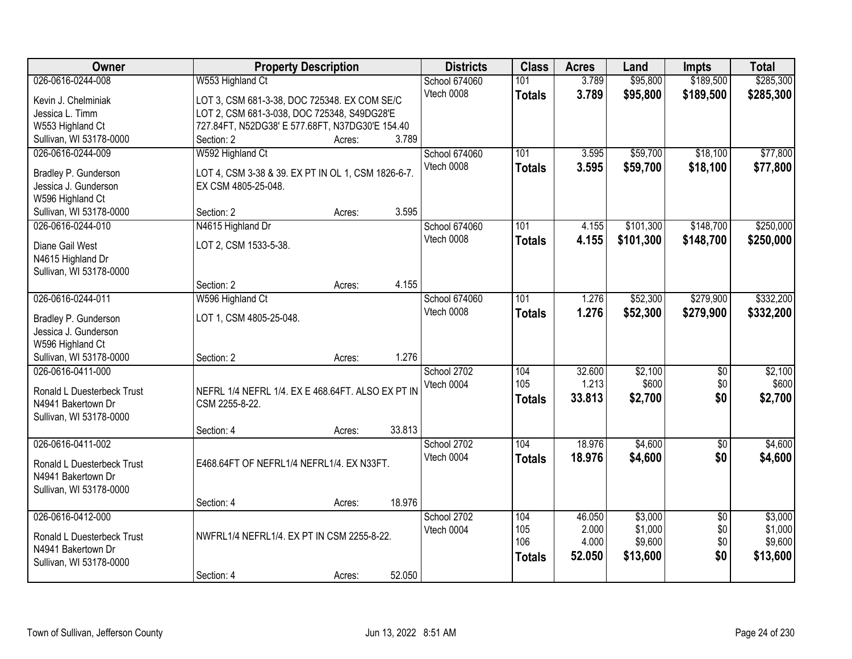| Owner                      |                                                    | <b>Property Description</b> |        | <b>Districts</b>            | <b>Class</b>  | <b>Acres</b> | Land      | Impts           | <b>Total</b> |
|----------------------------|----------------------------------------------------|-----------------------------|--------|-----------------------------|---------------|--------------|-----------|-----------------|--------------|
| 026-0616-0244-008          | W553 Highland Ct                                   |                             |        | School 674060               | 101           | 3.789        | \$95,800  | \$189,500       | \$285,300    |
| Kevin J. Chelminiak        | LOT 3, CSM 681-3-38, DOC 725348. EX COM SE/C       |                             |        | Vtech 0008                  | <b>Totals</b> | 3.789        | \$95,800  | \$189,500       | \$285,300    |
| Jessica L. Timm            | LOT 2, CSM 681-3-038, DOC 725348, S49DG28'E        |                             |        |                             |               |              |           |                 |              |
| W553 Highland Ct           | 727.84FT, N52DG38' E 577.68FT, N37DG30'E 154.40    |                             |        |                             |               |              |           |                 |              |
| Sullivan, WI 53178-0000    | Section: 2                                         | Acres:                      | 3.789  |                             |               |              |           |                 |              |
| 026-0616-0244-009          | W592 Highland Ct                                   |                             |        | School 674060               | 101           | 3.595        | \$59,700  | \$18,100        | \$77,800     |
| Bradley P. Gunderson       | LOT 4, CSM 3-38 & 39. EX PT IN OL 1, CSM 1826-6-7. |                             |        | Vtech 0008                  | <b>Totals</b> | 3.595        | \$59,700  | \$18,100        | \$77,800     |
| Jessica J. Gunderson       | EX CSM 4805-25-048.                                |                             |        |                             |               |              |           |                 |              |
| W596 Highland Ct           |                                                    |                             |        |                             |               |              |           |                 |              |
| Sullivan, WI 53178-0000    | Section: 2                                         | Acres:                      | 3.595  |                             |               |              |           |                 |              |
| 026-0616-0244-010          | N4615 Highland Dr                                  |                             |        | School 674060               | 101           | 4.155        | \$101,300 | \$148,700       | \$250,000    |
|                            |                                                    |                             |        | Vtech 0008                  | <b>Totals</b> | 4.155        | \$101,300 | \$148,700       | \$250,000    |
| Diane Gail West            | LOT 2, CSM 1533-5-38.                              |                             |        |                             |               |              |           |                 |              |
| N4615 Highland Dr          |                                                    |                             |        |                             |               |              |           |                 |              |
| Sullivan, WI 53178-0000    |                                                    |                             |        |                             |               |              |           |                 |              |
|                            | Section: 2                                         | Acres:                      | 4.155  |                             |               |              |           |                 |              |
| 026-0616-0244-011          | W596 Highland Ct                                   |                             |        | School 674060<br>Vtech 0008 | 101           | 1.276        | \$52,300  | \$279,900       | \$332,200    |
| Bradley P. Gunderson       | LOT 1, CSM 4805-25-048.                            |                             |        |                             | <b>Totals</b> | 1.276        | \$52,300  | \$279,900       | \$332,200    |
| Jessica J. Gunderson       |                                                    |                             |        |                             |               |              |           |                 |              |
| W596 Highland Ct           |                                                    |                             |        |                             |               |              |           |                 |              |
| Sullivan, WI 53178-0000    | Section: 2                                         | Acres:                      | 1.276  |                             |               |              |           |                 |              |
| 026-0616-0411-000          |                                                    |                             |        | School 2702                 | 104           | 32.600       | \$2,100   | $\overline{50}$ | \$2,100      |
| Ronald L Duesterbeck Trust | NEFRL 1/4 NEFRL 1/4. EX E 468.64FT. ALSO EX PT IN  |                             |        | Vtech 0004                  | 105           | 1.213        | \$600     | \$0             | \$600        |
| N4941 Bakertown Dr         | CSM 2255-8-22.                                     |                             |        |                             | <b>Totals</b> | 33.813       | \$2,700   | \$0             | \$2,700      |
| Sullivan, WI 53178-0000    |                                                    |                             |        |                             |               |              |           |                 |              |
|                            | Section: 4                                         | Acres:                      | 33.813 |                             |               |              |           |                 |              |
| 026-0616-0411-002          |                                                    |                             |        | School 2702                 | 104           | 18.976       | \$4,600   | $\overline{50}$ | \$4,600      |
| Ronald L Duesterbeck Trust | E468.64FT OF NEFRL1/4 NEFRL1/4, EX N33FT.          |                             |        | Vtech 0004                  | <b>Totals</b> | 18.976       | \$4,600   | \$0             | \$4,600      |
| N4941 Bakertown Dr         |                                                    |                             |        |                             |               |              |           |                 |              |
| Sullivan, WI 53178-0000    |                                                    |                             |        |                             |               |              |           |                 |              |
|                            | Section: 4                                         | Acres:                      | 18.976 |                             |               |              |           |                 |              |
| 026-0616-0412-000          |                                                    |                             |        | School 2702                 | 104           | 46.050       | \$3,000   | $\overline{30}$ | \$3,000      |
|                            |                                                    |                             |        | Vtech 0004                  | 105           | 2.000        | \$1,000   | \$0             | \$1,000      |
| Ronald L Duesterbeck Trust | NWFRL1/4 NEFRL1/4. EX PT IN CSM 2255-8-22.         |                             |        |                             | 106           | 4.000        | \$9,600   | \$0             | \$9,600      |
| N4941 Bakertown Dr         |                                                    |                             |        |                             | <b>Totals</b> | 52.050       | \$13,600  | \$0             | \$13,600     |
| Sullivan, WI 53178-0000    |                                                    |                             |        |                             |               |              |           |                 |              |
|                            | Section: 4                                         | Acres:                      | 52.050 |                             |               |              |           |                 |              |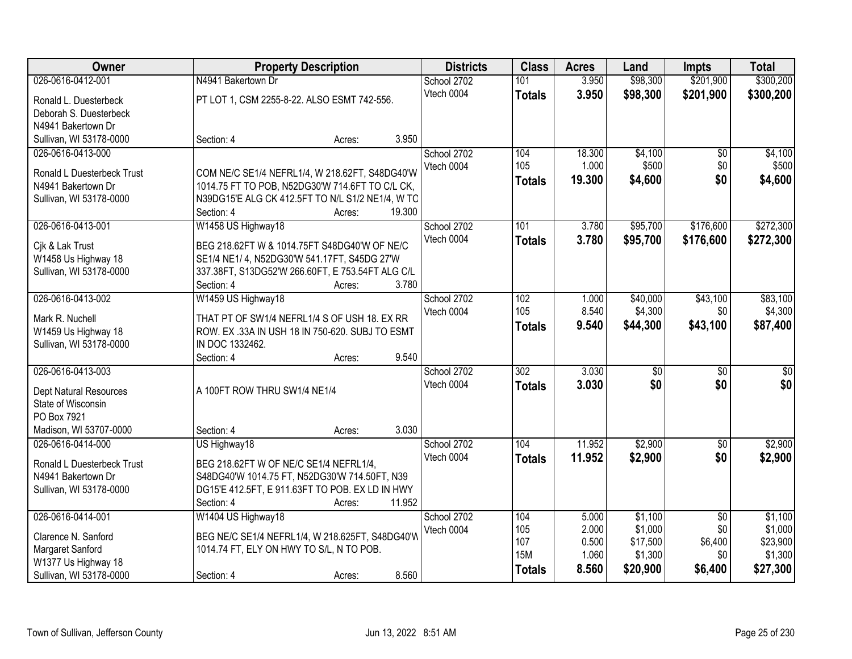| <b>Owner</b>                                     | <b>Property Description</b>                      | <b>Districts</b> | <b>Class</b>     | <b>Acres</b> | Land            | <b>Impts</b>    | <b>Total</b>    |
|--------------------------------------------------|--------------------------------------------------|------------------|------------------|--------------|-----------------|-----------------|-----------------|
| 026-0616-0412-001                                | N4941 Bakertown Dr                               | School 2702      | 101              | 3.950        | \$98,300        | \$201,900       | \$300,200       |
| Ronald L. Duesterbeck                            | PT LOT 1, CSM 2255-8-22. ALSO ESMT 742-556.      | Vtech 0004       | <b>Totals</b>    | 3.950        | \$98,300        | \$201,900       | \$300,200       |
| Deborah S. Duesterbeck                           |                                                  |                  |                  |              |                 |                 |                 |
| N4941 Bakertown Dr                               |                                                  |                  |                  |              |                 |                 |                 |
| Sullivan, WI 53178-0000                          | 3.950<br>Section: 4<br>Acres:                    |                  |                  |              |                 |                 |                 |
| 026-0616-0413-000                                |                                                  | School 2702      | 104              | 18.300       | \$4,100         | $\overline{50}$ | \$4,100         |
|                                                  |                                                  | Vtech 0004       | 105              | 1.000        | \$500           | \$0             | \$500           |
| Ronald L Duesterbeck Trust                       | COM NE/C SE1/4 NEFRL1/4, W 218.62FT, S48DG40'W   |                  | Totals           | 19.300       | \$4,600         | \$0             | \$4,600         |
| N4941 Bakertown Dr                               | 1014.75 FT TO POB, N52DG30'W 714.6FT TO C/L CK,  |                  |                  |              |                 |                 |                 |
| Sullivan, WI 53178-0000                          | N39DG15'E ALG CK 412.5FT TO N/L S1/2 NE1/4, W TO |                  |                  |              |                 |                 |                 |
|                                                  | 19.300<br>Section: 4<br>Acres:                   |                  |                  |              |                 |                 |                 |
| 026-0616-0413-001                                | W1458 US Highway18                               | School 2702      | 101              | 3.780        | \$95,700        | \$176,600       | \$272,300       |
| Cik & Lak Trust                                  | BEG 218.62FT W & 1014.75FT S48DG40'W OF NE/C     | Vtech 0004       | <b>Totals</b>    | 3.780        | \$95,700        | \$176,600       | \$272,300       |
| W1458 Us Highway 18                              | SE1/4 NE1/ 4, N52DG30'W 541.17FT, S45DG 27'W     |                  |                  |              |                 |                 |                 |
| Sullivan, WI 53178-0000                          | 337.38FT, S13DG52'W 266.60FT, E 753.54FT ALG C/L |                  |                  |              |                 |                 |                 |
|                                                  | 3.780<br>Section: 4<br>Acres:                    |                  |                  |              |                 |                 |                 |
| 026-0616-0413-002                                | W1459 US Highway18                               | School 2702      | 102              | 1.000        | \$40,000        | \$43,100        | \$83,100        |
|                                                  |                                                  | Vtech 0004       | 105              | 8.540        | \$4,300         | \$0             | \$4,300         |
| Mark R. Nuchell                                  | THAT PT OF SW1/4 NEFRL1/4 S OF USH 18. EX RR     |                  | <b>Totals</b>    | 9.540        | \$44,300        | \$43,100        | \$87,400        |
| W1459 Us Highway 18                              | ROW. EX .33A IN USH 18 IN 750-620. SUBJ TO ESMT  |                  |                  |              |                 |                 |                 |
| Sullivan, WI 53178-0000                          | IN DOC 1332462.                                  |                  |                  |              |                 |                 |                 |
|                                                  | 9.540<br>Section: 4<br>Acres:                    |                  |                  |              |                 |                 |                 |
| 026-0616-0413-003                                |                                                  | School 2702      | $\overline{302}$ | 3.030        | $\overline{30}$ | $\overline{50}$ | $\overline{30}$ |
| Dept Natural Resources                           | A 100FT ROW THRU SW1/4 NE1/4                     | Vtech 0004       | <b>Totals</b>    | 3.030        | \$0             | \$0             | \$0             |
| State of Wisconsin                               |                                                  |                  |                  |              |                 |                 |                 |
| PO Box 7921                                      |                                                  |                  |                  |              |                 |                 |                 |
| Madison, WI 53707-0000                           | 3.030<br>Section: 4<br>Acres:                    |                  |                  |              |                 |                 |                 |
| 026-0616-0414-000                                | US Highway18                                     | School 2702      | 104              | 11.952       | \$2,900         | $\overline{60}$ | \$2,900         |
|                                                  | BEG 218.62FT W OF NE/C SE1/4 NEFRL1/4,           | Vtech 0004       | <b>Totals</b>    | 11.952       | \$2,900         | \$0             | \$2,900         |
| Ronald L Duesterbeck Trust<br>N4941 Bakertown Dr | S48DG40'W 1014.75 FT, N52DG30'W 714.50FT, N39    |                  |                  |              |                 |                 |                 |
| Sullivan, WI 53178-0000                          | DG15'E 412.5FT, E 911.63FT TO POB. EX LD IN HWY  |                  |                  |              |                 |                 |                 |
|                                                  | 11.952<br>Section: 4<br>Acres:                   |                  |                  |              |                 |                 |                 |
| 026-0616-0414-001                                | W1404 US Highway18                               | School 2702      | 104              | 5.000        | \$1,100         | $\overline{50}$ | \$1,100         |
|                                                  |                                                  | Vtech 0004       | 105              | 2.000        | \$1,000         | \$0             | \$1,000         |
| Clarence N. Sanford                              | BEG NE/C SE1/4 NEFRL1/4, W 218.625FT, S48DG40'W  |                  | 107              | 0.500        | \$17,500        | \$6,400         | \$23,900        |
| Margaret Sanford                                 | 1014.74 FT, ELY ON HWY TO S/L, N TO POB.         |                  | <b>15M</b>       | 1.060        | \$1,300         | \$0             | \$1,300         |
| W1377 Us Highway 18                              |                                                  |                  |                  | 8.560        | \$20,900        | \$6,400         | \$27,300        |
| Sullivan, WI 53178-0000                          | 8.560<br>Section: 4<br>Acres:                    |                  | <b>Totals</b>    |              |                 |                 |                 |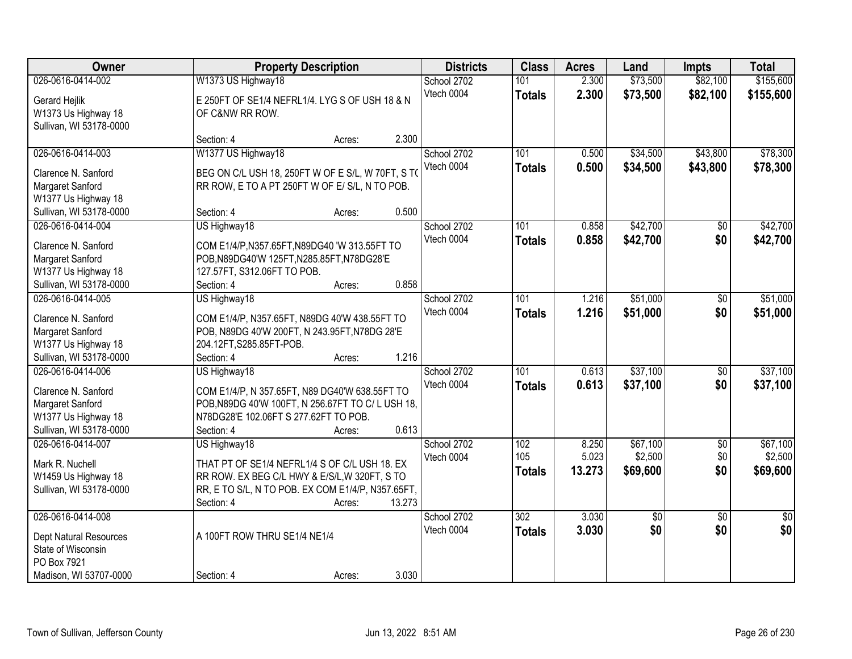| Owner                                                                                                             | <b>Property Description</b>                                                                                                                                                       |                  | <b>Districts</b>          | <b>Class</b>                      | <b>Acres</b>             | Land                            | Impts                         | <b>Total</b>                    |
|-------------------------------------------------------------------------------------------------------------------|-----------------------------------------------------------------------------------------------------------------------------------------------------------------------------------|------------------|---------------------------|-----------------------------------|--------------------------|---------------------------------|-------------------------------|---------------------------------|
| 026-0616-0414-002                                                                                                 | W1373 US Highway18                                                                                                                                                                |                  | School 2702               | 101                               | 2.300                    | \$73,500                        | \$82,100                      | \$155,600                       |
| Gerard Hejlik<br>W1373 Us Highway 18                                                                              | E 250FT OF SE1/4 NEFRL1/4. LYG S OF USH 18 & N<br>OF C&NW RR ROW.                                                                                                                 |                  | Vtech 0004                | <b>Totals</b>                     | 2.300                    | \$73,500                        | \$82,100                      | \$155,600                       |
| Sullivan, WI 53178-0000                                                                                           | Section: 4                                                                                                                                                                        | 2.300<br>Acres:  |                           |                                   |                          |                                 |                               |                                 |
| 026-0616-0414-003<br>Clarence N. Sanford                                                                          | W1377 US Highway18<br>BEG ON C/L USH 18, 250FT W OF E S/L, W 70FT, S TO                                                                                                           |                  | School 2702<br>Vtech 0004 | 101<br><b>Totals</b>              | 0.500<br>0.500           | \$34,500<br>\$34,500            | \$43,800<br>\$43,800          | \$78,300<br>\$78,300            |
| Margaret Sanford<br>W1377 Us Highway 18                                                                           | RR ROW, E TO A PT 250FT W OF E/ S/L, N TO POB.                                                                                                                                    | 0.500            |                           |                                   |                          |                                 |                               |                                 |
| Sullivan, WI 53178-0000<br>026-0616-0414-004                                                                      | Section: 4<br>US Highway18                                                                                                                                                        | Acres:           | School 2702               | 101                               | 0.858                    | \$42,700                        | \$0                           | \$42,700                        |
| Clarence N. Sanford<br>Margaret Sanford<br>W1377 Us Highway 18                                                    | COM E1/4/P, N357.65FT, N89DG40 'W 313.55FT TO<br>POB, N89DG40'W 125FT, N285.85FT, N78DG28'E<br>127.57FT, S312.06FT TO POB.                                                        |                  | Vtech 0004                | <b>Totals</b>                     | 0.858                    | \$42,700                        | \$0                           | \$42,700                        |
| Sullivan, WI 53178-0000                                                                                           | Section: 4                                                                                                                                                                        | 0.858<br>Acres:  |                           |                                   |                          |                                 |                               |                                 |
| 026-0616-0414-005<br>Clarence N. Sanford<br>Margaret Sanford                                                      | US Highway18<br>COM E1/4/P, N357.65FT, N89DG 40'W 438.55FT TO<br>POB, N89DG 40'W 200FT, N 243.95FT, N78DG 28'E                                                                    |                  | School 2702<br>Vtech 0004 | 101<br><b>Totals</b>              | 1.216<br>1.216           | \$51,000<br>\$51,000            | \$0<br>\$0                    | \$51,000<br>\$51,000            |
| W1377 Us Highway 18<br>Sullivan, WI 53178-0000                                                                    | 204.12FT, S285.85FT-POB.<br>Section: 4                                                                                                                                            | 1.216<br>Acres:  |                           |                                   |                          |                                 |                               |                                 |
| 026-0616-0414-006<br>Clarence N. Sanford<br>Margaret Sanford<br>W1377 Us Highway 18<br>Sullivan, WI 53178-0000    | US Highway18<br>COM E1/4/P, N 357.65FT, N89 DG40'W 638.55FT TO<br>POB, N89DG 40'W 100FT, N 256.67FT TO C/L USH 18,<br>N78DG28'E 102.06FT S 277.62FT TO POB.<br>Section: 4         | 0.613<br>Acres:  | School 2702<br>Vtech 0004 | $\overline{101}$<br><b>Totals</b> | 0.613<br>0.613           | \$37,100<br>\$37,100            | $\overline{50}$<br>\$0        | \$37,100<br>\$37,100            |
| 026-0616-0414-007<br>Mark R. Nuchell<br>W1459 Us Highway 18<br>Sullivan, WI 53178-0000                            | US Highway18<br>THAT PT OF SE1/4 NEFRL1/4 S OF C/L USH 18. EX<br>RR ROW. EX BEG C/L HWY & E/S/L, W 320FT, S TO<br>RR, E TO S/L, N TO POB. EX COM E1/4/P, N357.65FT,<br>Section: 4 | 13.273<br>Acres: | School 2702<br>Vtech 0004 | 102<br>105<br><b>Totals</b>       | 8.250<br>5.023<br>13.273 | \$67,100<br>\$2,500<br>\$69,600 | $\overline{50}$<br>\$0<br>\$0 | \$67,100<br>\$2,500<br>\$69,600 |
| 026-0616-0414-008<br><b>Dept Natural Resources</b><br>State of Wisconsin<br>PO Box 7921<br>Madison, WI 53707-0000 | A 100FT ROW THRU SE1/4 NE1/4<br>Section: 4                                                                                                                                        | 3.030<br>Acres:  | School 2702<br>Vtech 0004 | 302<br><b>Totals</b>              | 3.030<br>3.030           | $\overline{50}$<br>\$0          | $\overline{50}$<br>\$0        | $\overline{50}$<br>\$0          |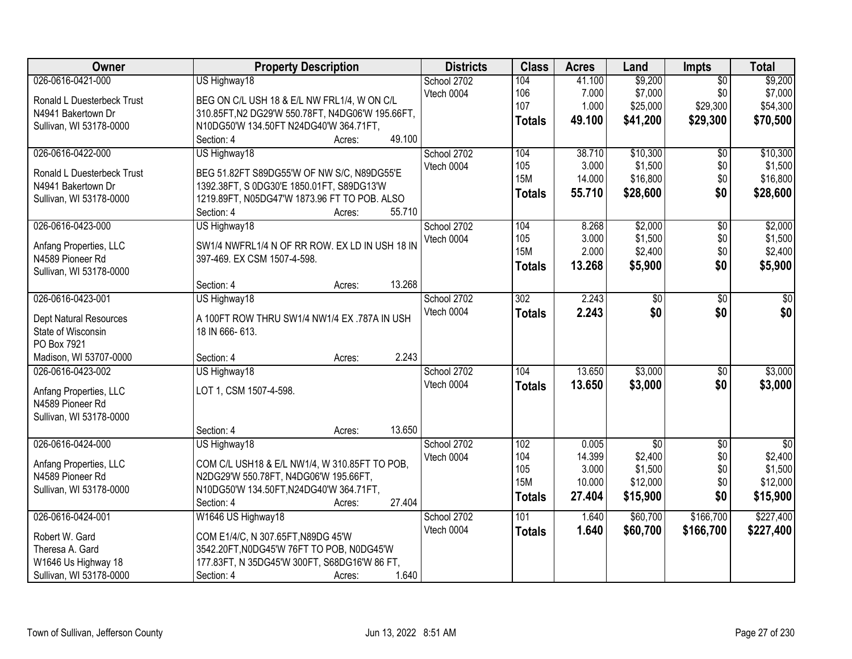| Owner                                        | <b>Property Description</b>                                    | <b>Districts</b> | <b>Class</b>     | <b>Acres</b> | Land            | <b>Impts</b>    | <b>Total</b> |
|----------------------------------------------|----------------------------------------------------------------|------------------|------------------|--------------|-----------------|-----------------|--------------|
| 026-0616-0421-000                            | US Highway18                                                   | School 2702      | 104              | 41.100       | \$9,200         | $\overline{50}$ | \$9,200      |
| Ronald L Duesterbeck Trust                   | BEG ON C/L USH 18 & E/L NW FRL1/4, W ON C/L                    | Vtech 0004       | 106              | 7.000        | \$7,000         | \$0             | \$7,000      |
| N4941 Bakertown Dr                           | 310.85FT, N2 DG29'W 550.78FT, N4DG06'W 195.66FT,               |                  | 107              | 1.000        | \$25,000        | \$29,300        | \$54,300     |
| Sullivan, WI 53178-0000                      | N10DG50'W 134.50FT N24DG40'W 364.71FT,                         |                  | <b>Totals</b>    | 49.100       | \$41,200        | \$29,300        | \$70,500     |
|                                              | 49.100<br>Section: 4<br>Acres:                                 |                  |                  |              |                 |                 |              |
| 026-0616-0422-000                            | US Highway18                                                   | School 2702      | 104              | 38.710       | \$10,300        | $\overline{50}$ | \$10,300     |
| Ronald L Duesterbeck Trust                   | BEG 51.82FT S89DG55'W OF NW S/C, N89DG55'E                     | Vtech 0004       | 105              | 3.000        | \$1,500         | \$0             | \$1,500      |
| N4941 Bakertown Dr                           | 1392.38FT, S 0DG30'E 1850.01FT, S89DG13'W                      |                  | <b>15M</b>       | 14.000       | \$16,800        | \$0             | \$16,800     |
| Sullivan, WI 53178-0000                      | 1219.89FT, N05DG47'W 1873.96 FT TO POB. ALSO                   |                  | <b>Totals</b>    | 55.710       | \$28,600        | \$0             | \$28,600     |
|                                              | 55.710<br>Section: 4<br>Acres:                                 |                  |                  |              |                 |                 |              |
| 026-0616-0423-000                            | US Highway18                                                   | School 2702      | 104              | 8.268        | \$2,000         | $\overline{50}$ | \$2,000      |
|                                              | SW1/4 NWFRL1/4 N OF RR ROW. EX LD IN USH 18 IN                 | Vtech 0004       | 105              | 3.000        | \$1,500         | \$0             | \$1,500      |
| Anfang Properties, LLC<br>N4589 Pioneer Rd   | 397-469. EX CSM 1507-4-598.                                    |                  | <b>15M</b>       | 2.000        | \$2,400         | \$0             | \$2,400      |
| Sullivan, WI 53178-0000                      |                                                                |                  | <b>Totals</b>    | 13.268       | \$5,900         | \$0             | \$5,900      |
|                                              | 13.268<br>Section: 4<br>Acres:                                 |                  |                  |              |                 |                 |              |
| 026-0616-0423-001                            | US Highway18                                                   | School 2702      | $\overline{302}$ | 2.243        | \$0             | \$0             | \$0          |
|                                              |                                                                | Vtech 0004       | <b>Totals</b>    | 2.243        | \$0             | \$0             | \$0          |
| Dept Natural Resources<br>State of Wisconsin | A 100FT ROW THRU SW1/4 NW1/4 EX .787A IN USH<br>18 IN 666-613. |                  |                  |              |                 |                 |              |
| PO Box 7921                                  |                                                                |                  |                  |              |                 |                 |              |
| Madison, WI 53707-0000                       | 2.243<br>Section: 4<br>Acres:                                  |                  |                  |              |                 |                 |              |
| 026-0616-0423-002                            | US Highway18                                                   | School 2702      | 104              | 13.650       | \$3,000         | $\overline{50}$ | \$3,000      |
|                                              |                                                                | Vtech 0004       | <b>Totals</b>    | 13.650       | \$3,000         | \$0             | \$3,000      |
| Anfang Properties, LLC                       | LOT 1, CSM 1507-4-598.                                         |                  |                  |              |                 |                 |              |
| N4589 Pioneer Rd                             |                                                                |                  |                  |              |                 |                 |              |
| Sullivan, WI 53178-0000                      |                                                                |                  |                  |              |                 |                 |              |
|                                              | 13.650<br>Section: 4<br>Acres:                                 |                  |                  |              |                 |                 |              |
| 026-0616-0424-000                            | US Highway18                                                   | School 2702      | 102              | 0.005        | $\overline{50}$ | $\sqrt{6}$      | $\sqrt{50}$  |
| Anfang Properties, LLC                       | COM C/L USH18 & E/L NW1/4, W 310.85FT TO POB,                  | Vtech 0004       | 104              | 14.399       | \$2,400         | \$0             | \$2,400      |
| N4589 Pioneer Rd                             | N2DG29'W 550.78FT, N4DG06'W 195.66FT,                          |                  | 105              | 3.000        | \$1,500         | \$0             | \$1,500      |
| Sullivan, WI 53178-0000                      | N10DG50'W 134.50FT, N24DG40'W 364.71FT,                        |                  | <b>15M</b>       | 10.000       | \$12,000        | \$0             | \$12,000     |
|                                              | 27.404<br>Section: 4<br>Acres:                                 |                  | <b>Totals</b>    | 27.404       | \$15,900        | \$0             | \$15,900     |
| 026-0616-0424-001                            | W1646 US Highway18                                             | School 2702      | 101              | 1.640        | \$60,700        | \$166,700       | \$227,400    |
| Robert W. Gard                               | COM E1/4/C, N 307.65FT, N89DG 45'W                             | Vtech 0004       | <b>Totals</b>    | 1.640        | \$60,700        | \$166,700       | \$227,400    |
| Theresa A. Gard                              | 3542.20FT, N0DG45'W 76FT TO POB, N0DG45'W                      |                  |                  |              |                 |                 |              |
| W1646 Us Highway 18                          | 177.83FT, N 35DG45'W 300FT, S68DG16'W 86 FT,                   |                  |                  |              |                 |                 |              |
| Sullivan, WI 53178-0000                      | 1.640<br>Section: 4<br>Acres:                                  |                  |                  |              |                 |                 |              |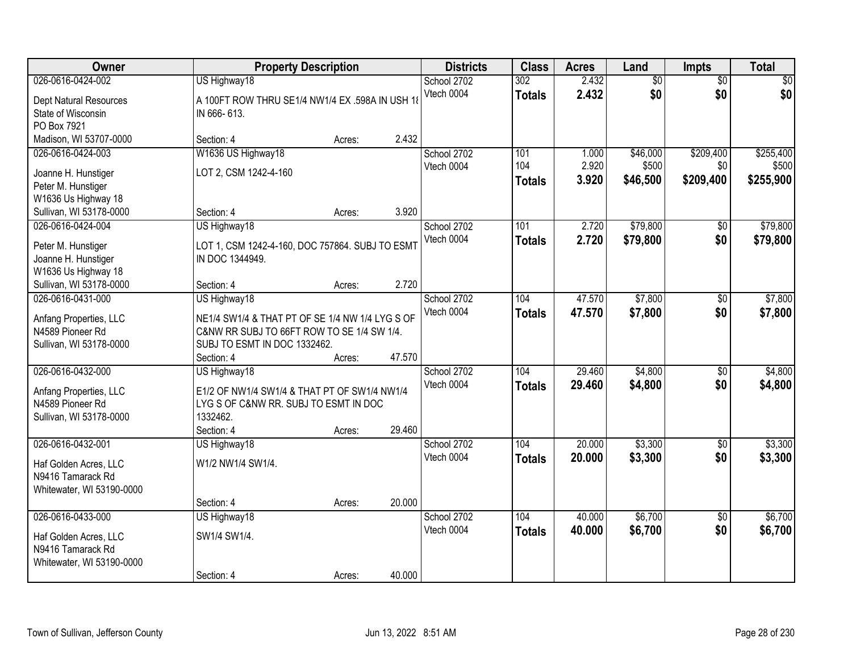| Owner                                       |                                                                 | <b>Property Description</b> |        | <b>Districts</b>          | <b>Class</b>         | <b>Acres</b>   | Land                   | Impts                  | <b>Total</b> |
|---------------------------------------------|-----------------------------------------------------------------|-----------------------------|--------|---------------------------|----------------------|----------------|------------------------|------------------------|--------------|
| 026-0616-0424-002<br>Dept Natural Resources | US Highway18<br>A 100FT ROW THRU SE1/4 NW1/4 EX .598A IN USH 18 |                             |        | School 2702<br>Vtech 0004 | 302<br><b>Totals</b> | 2.432<br>2.432 | $\overline{50}$<br>\$0 | $\overline{50}$<br>\$0 | \$0<br>\$0   |
| State of Wisconsin<br>PO Box 7921           | IN 666-613.                                                     |                             |        |                           |                      |                |                        |                        |              |
| Madison, WI 53707-0000                      | Section: 4                                                      | Acres:                      | 2.432  |                           |                      |                |                        |                        |              |
| 026-0616-0424-003                           | W1636 US Highway18                                              |                             |        | School 2702               | 101<br>104           | 1.000          | \$46,000               | \$209,400              | \$255,400    |
| Joanne H. Hunstiger                         | LOT 2, CSM 1242-4-160                                           |                             |        | Vtech 0004                |                      | 2.920          | \$500                  | \$0                    | \$500        |
| Peter M. Hunstiger                          |                                                                 |                             |        |                           | <b>Totals</b>        | 3.920          | \$46,500               | \$209,400              | \$255,900    |
| W1636 Us Highway 18                         |                                                                 |                             |        |                           |                      |                |                        |                        |              |
| Sullivan, WI 53178-0000                     | Section: 4                                                      | Acres:                      | 3.920  |                           |                      |                |                        |                        |              |
| 026-0616-0424-004                           | US Highway18                                                    |                             |        | School 2702               | 101                  | 2.720          | \$79,800               | \$0                    | \$79,800     |
| Peter M. Hunstiger                          | LOT 1, CSM 1242-4-160, DOC 757864. SUBJ TO ESMT                 |                             |        | Vtech 0004                | <b>Totals</b>        | 2.720          | \$79,800               | \$0                    | \$79,800     |
| Joanne H. Hunstiger                         | IN DOC 1344949.                                                 |                             |        |                           |                      |                |                        |                        |              |
| W1636 Us Highway 18                         |                                                                 |                             |        |                           |                      |                |                        |                        |              |
| Sullivan, WI 53178-0000                     | Section: 4                                                      | Acres:                      | 2.720  |                           |                      |                |                        |                        |              |
| 026-0616-0431-000                           | US Highway18                                                    |                             |        | School 2702               | 104                  | 47.570         | \$7,800                | \$0                    | \$7,800      |
|                                             |                                                                 |                             |        | Vtech 0004                |                      | 47.570         |                        | \$0                    |              |
| Anfang Properties, LLC                      | NE1/4 SW1/4 & THAT PT OF SE 1/4 NW 1/4 LYG S OF                 |                             |        |                           | <b>Totals</b>        |                | \$7,800                |                        | \$7,800      |
| N4589 Pioneer Rd                            | C&NW RR SUBJ TO 66FT ROW TO SE 1/4 SW 1/4.                      |                             |        |                           |                      |                |                        |                        |              |
| Sullivan, WI 53178-0000                     | SUBJ TO ESMT IN DOC 1332462.                                    |                             |        |                           |                      |                |                        |                        |              |
|                                             | Section: 4                                                      | Acres:                      | 47.570 |                           |                      |                |                        |                        |              |
| 026-0616-0432-000                           | US Highway18                                                    |                             |        | School 2702               | 104                  | 29.460         | \$4,800                | $\overline{50}$        | \$4,800      |
| Anfang Properties, LLC                      | E1/2 OF NW1/4 SW1/4 & THAT PT OF SW1/4 NW1/4                    |                             |        | Vtech 0004                | <b>Totals</b>        | 29.460         | \$4,800                | \$0                    | \$4,800      |
| N4589 Pioneer Rd                            | LYG S OF C&NW RR. SUBJ TO ESMT IN DOC                           |                             |        |                           |                      |                |                        |                        |              |
| Sullivan, WI 53178-0000                     | 1332462.                                                        |                             |        |                           |                      |                |                        |                        |              |
|                                             | Section: 4                                                      | Acres:                      | 29.460 |                           |                      |                |                        |                        |              |
| 026-0616-0432-001                           | US Highway18                                                    |                             |        | School 2702               | 104                  | 20.000         | \$3,300                | $\overline{50}$        | \$3,300      |
|                                             |                                                                 |                             |        | Vtech 0004                | <b>Totals</b>        | 20.000         | \$3,300                | \$0                    | \$3,300      |
| Haf Golden Acres, LLC                       | W1/2 NW1/4 SW1/4.                                               |                             |        |                           |                      |                |                        |                        |              |
| N9416 Tamarack Rd                           |                                                                 |                             |        |                           |                      |                |                        |                        |              |
| Whitewater, WI 53190-0000                   |                                                                 |                             |        |                           |                      |                |                        |                        |              |
|                                             | Section: 4                                                      | Acres:                      | 20.000 |                           |                      |                |                        |                        |              |
| 026-0616-0433-000                           | US Highway18                                                    |                             |        | School 2702               | 104                  | 40.000         | \$6,700                | $\overline{50}$        | \$6,700      |
| Haf Golden Acres, LLC                       | SW1/4 SW1/4.                                                    |                             |        | Vtech 0004                | <b>Totals</b>        | 40.000         | \$6,700                | \$0                    | \$6,700      |
| N9416 Tamarack Rd                           |                                                                 |                             |        |                           |                      |                |                        |                        |              |
| Whitewater, WI 53190-0000                   |                                                                 |                             |        |                           |                      |                |                        |                        |              |
|                                             | Section: 4                                                      | Acres:                      | 40.000 |                           |                      |                |                        |                        |              |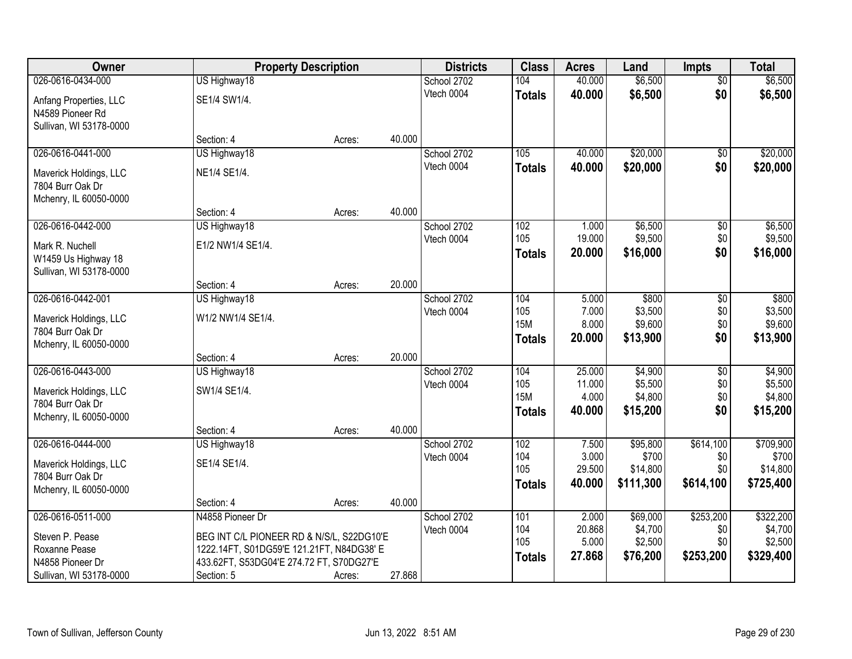| <b>Owner</b>            |                                           | <b>Property Description</b> |        | <b>Districts</b> | <b>Class</b>  | <b>Acres</b>    | Land                | <b>Impts</b>    | <b>Total</b>      |
|-------------------------|-------------------------------------------|-----------------------------|--------|------------------|---------------|-----------------|---------------------|-----------------|-------------------|
| 026-0616-0434-000       | US Highway18                              |                             |        | School 2702      | 104           | 40.000          | \$6,500             | $\overline{50}$ | \$6,500           |
| Anfang Properties, LLC  | SE1/4 SW1/4.                              |                             |        | Vtech 0004       | <b>Totals</b> | 40.000          | \$6,500             | \$0             | \$6,500           |
| N4589 Pioneer Rd        |                                           |                             |        |                  |               |                 |                     |                 |                   |
| Sullivan, WI 53178-0000 |                                           |                             |        |                  |               |                 |                     |                 |                   |
|                         | Section: 4                                | Acres:                      | 40.000 |                  |               |                 |                     |                 |                   |
| 026-0616-0441-000       | US Highway18                              |                             |        | School 2702      | 105           | 40.000          | \$20,000            | \$0             | \$20,000          |
| Maverick Holdings, LLC  | NE1/4 SE1/4.                              |                             |        | Vtech 0004       | <b>Totals</b> | 40.000          | \$20,000            | \$0             | \$20,000          |
| 7804 Burr Oak Dr        |                                           |                             |        |                  |               |                 |                     |                 |                   |
| Mchenry, IL 60050-0000  |                                           |                             |        |                  |               |                 |                     |                 |                   |
|                         | Section: 4                                | Acres:                      | 40.000 |                  |               |                 |                     |                 |                   |
| 026-0616-0442-000       | US Highway18                              |                             |        | School 2702      | 102           | 1.000           | \$6,500             | \$0             | \$6,500           |
| Mark R. Nuchell         | E1/2 NW1/4 SE1/4.                         |                             |        | Vtech 0004       | 105           | 19.000          | \$9,500             | \$0             | \$9,500           |
| W1459 Us Highway 18     |                                           |                             |        |                  | <b>Totals</b> | 20.000          | \$16,000            | \$0             | \$16,000          |
| Sullivan, WI 53178-0000 |                                           |                             |        |                  |               |                 |                     |                 |                   |
|                         | Section: 4                                | Acres:                      | 20.000 |                  |               |                 |                     |                 |                   |
| 026-0616-0442-001       | US Highway18                              |                             |        | School 2702      | 104           | 5.000           | \$800               | $\sqrt[6]{3}$   | \$800             |
| Maverick Holdings, LLC  | W1/2 NW1/4 SE1/4.                         |                             |        | Vtech 0004       | 105           | 7.000           | \$3,500             | \$0             | \$3,500           |
| 7804 Burr Oak Dr        |                                           |                             |        |                  | <b>15M</b>    | 8.000           | \$9,600             | \$0<br>\$0      | \$9,600           |
| Mchenry, IL 60050-0000  |                                           |                             |        |                  | <b>Totals</b> | 20.000          | \$13,900            |                 | \$13,900          |
|                         | Section: 4                                | Acres:                      | 20.000 |                  |               |                 |                     |                 |                   |
| 026-0616-0443-000       | US Highway18                              |                             |        | School 2702      | 104           | 25.000          | \$4,900             | $\overline{50}$ | \$4,900           |
| Maverick Holdings, LLC  | SW1/4 SE1/4.                              |                             |        | Vtech 0004       | 105           | 11.000          | \$5,500             | \$0             | \$5,500           |
| 7804 Burr Oak Dr        |                                           |                             |        |                  | <b>15M</b>    | 4.000<br>40.000 | \$4,800<br>\$15,200 | \$0<br>\$0      | \$4,800           |
| Mchenry, IL 60050-0000  |                                           |                             |        |                  | <b>Totals</b> |                 |                     |                 | \$15,200          |
|                         | Section: 4                                | Acres:                      | 40.000 |                  |               |                 |                     |                 |                   |
| 026-0616-0444-000       | US Highway18                              |                             |        | School 2702      | 102           | 7.500           | \$95,800            | \$614,100       | \$709,900         |
| Maverick Holdings, LLC  | SE1/4 SE1/4.                              |                             |        | Vtech 0004       | 104<br>105    | 3.000<br>29.500 | \$700<br>\$14,800   | \$0<br>\$0      | \$700<br>\$14,800 |
| 7804 Burr Oak Dr        |                                           |                             |        |                  |               | 40.000          | \$111,300           | \$614,100       | \$725,400         |
| Mchenry, IL 60050-0000  |                                           |                             |        |                  | <b>Totals</b> |                 |                     |                 |                   |
|                         | Section: 4                                | Acres:                      | 40.000 |                  |               |                 |                     |                 |                   |
| 026-0616-0511-000       | N4858 Pioneer Dr                          |                             |        | School 2702      | 101           | 2.000           | \$69,000            | \$253,200       | \$322,200         |
| Steven P. Pease         | BEG INT C/L PIONEER RD & N/S/L, S22DG10'E |                             |        | Vtech 0004       | 104<br>105    | 20.868          | \$4,700             | \$0             | \$4,700           |
| Roxanne Pease           | 1222.14FT, S01DG59'E 121.21FT, N84DG38' E |                             |        |                  |               | 5.000<br>27.868 | \$2,500             | \$0             | \$2,500           |
| N4858 Pioneer Dr        | 433.62FT, S53DG04'E 274.72 FT, S70DG27'E  |                             |        |                  | <b>Totals</b> |                 | \$76,200            | \$253,200       | \$329,400         |
| Sullivan, WI 53178-0000 | Section: 5                                | Acres:                      | 27.868 |                  |               |                 |                     |                 |                   |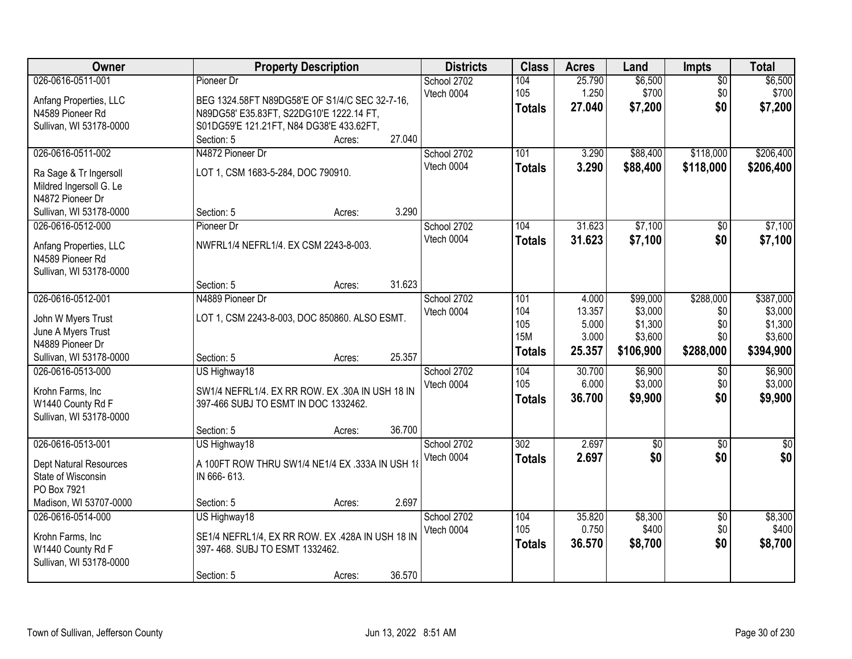| <b>Owner</b>            | <b>Property Description</b>                      |        | <b>Districts</b> | <b>Class</b>  | <b>Acres</b> | Land        | <b>Impts</b>    | <b>Total</b> |
|-------------------------|--------------------------------------------------|--------|------------------|---------------|--------------|-------------|-----------------|--------------|
| 026-0616-0511-001       | Pioneer Dr                                       |        | School 2702      | 104           | 25.790       | \$6,500     | \$0             | \$6,500      |
| Anfang Properties, LLC  | BEG 1324.58FT N89DG58'E OF S1/4/C SEC 32-7-16,   |        | Vtech 0004       | 105           | 1.250        | \$700       | \$0             | \$700        |
| N4589 Pioneer Rd        | N89DG58' E35.83FT, S22DG10'E 1222.14 FT,         |        |                  | <b>Totals</b> | 27,040       | \$7,200     | \$0             | \$7,200      |
| Sullivan, WI 53178-0000 | S01DG59'E 121.21FT, N84 DG38'E 433.62FT,         |        |                  |               |              |             |                 |              |
|                         | Section: 5<br>Acres:                             | 27.040 |                  |               |              |             |                 |              |
| 026-0616-0511-002       | N4872 Pioneer Dr                                 |        | School 2702      | 101           | 3.290        | \$88,400    | \$118,000       | \$206,400    |
| Ra Sage & Tr Ingersoll  | LOT 1, CSM 1683-5-284, DOC 790910.               |        | Vtech 0004       | <b>Totals</b> | 3.290        | \$88,400    | \$118,000       | \$206,400    |
| Mildred Ingersoll G. Le |                                                  |        |                  |               |              |             |                 |              |
| N4872 Pioneer Dr        |                                                  |        |                  |               |              |             |                 |              |
| Sullivan, WI 53178-0000 | Section: 5<br>Acres:                             | 3.290  |                  |               |              |             |                 |              |
| 026-0616-0512-000       | Pioneer Dr                                       |        | School 2702      | 104           | 31.623       | \$7,100     | \$0             | \$7,100      |
| Anfang Properties, LLC  | NWFRL1/4 NEFRL1/4. EX CSM 2243-8-003.            |        | Vtech 0004       | <b>Totals</b> | 31.623       | \$7,100     | \$0             | \$7,100      |
| N4589 Pioneer Rd        |                                                  |        |                  |               |              |             |                 |              |
| Sullivan, WI 53178-0000 |                                                  |        |                  |               |              |             |                 |              |
|                         | Section: 5<br>Acres:                             | 31.623 |                  |               |              |             |                 |              |
| 026-0616-0512-001       | N4889 Pioneer Dr                                 |        | School 2702      | 101           | 4.000        | \$99,000    | \$288,000       | \$387,000    |
| John W Myers Trust      | LOT 1, CSM 2243-8-003, DOC 850860. ALSO ESMT.    |        | Vtech 0004       | 104           | 13.357       | \$3,000     | \$0             | \$3,000      |
| June A Myers Trust      |                                                  |        |                  | 105           | 5.000        | \$1,300     | \$0             | \$1,300      |
| N4889 Pioneer Dr        |                                                  |        |                  | <b>15M</b>    | 3.000        | \$3,600     | \$0             | \$3,600      |
| Sullivan, WI 53178-0000 | Section: 5<br>Acres:                             | 25.357 |                  | <b>Totals</b> | 25.357       | \$106,900   | \$288,000       | \$394,900    |
| 026-0616-0513-000       | US Highway18                                     |        | School 2702      | 104           | 30.700       | \$6,900     | \$0             | \$6,900      |
| Krohn Farms, Inc        | SW1/4 NEFRL1/4. EX RR ROW. EX .30A IN USH 18 IN  |        | Vtech 0004       | 105           | 6.000        | \$3,000     | \$0             | \$3,000      |
| W1440 County Rd F       | 397-466 SUBJ TO ESMT IN DOC 1332462.             |        |                  | <b>Totals</b> | 36.700       | \$9,900     | \$0             | \$9,900      |
| Sullivan, WI 53178-0000 |                                                  |        |                  |               |              |             |                 |              |
|                         | Section: 5<br>Acres:                             | 36.700 |                  |               |              |             |                 |              |
| 026-0616-0513-001       | US Highway18                                     |        | School 2702      | 302           | 2.697        | $\sqrt{$0}$ | \$0             | $\sqrt{30}$  |
| Dept Natural Resources  | A 100FT ROW THRU SW1/4 NE1/4 EX .333A IN USH 18  |        | Vtech 0004       | <b>Totals</b> | 2.697        | \$0         | \$0             | \$0          |
| State of Wisconsin      | IN 666-613.                                      |        |                  |               |              |             |                 |              |
| PO Box 7921             |                                                  |        |                  |               |              |             |                 |              |
| Madison, WI 53707-0000  | Section: 5<br>Acres:                             | 2.697  |                  |               |              |             |                 |              |
| 026-0616-0514-000       | US Highway18                                     |        | School 2702      | 104           | 35.820       | \$8,300     | $\overline{60}$ | \$8,300      |
| Krohn Farms, Inc        | SE1/4 NEFRL1/4, EX RR ROW. EX .428A IN USH 18 IN |        | Vtech 0004       | 105           | 0.750        | \$400       | \$0             | \$400        |
| W1440 County Rd F       | 397-468. SUBJ TO ESMT 1332462.                   |        |                  | <b>Totals</b> | 36.570       | \$8,700     | \$0             | \$8,700      |
| Sullivan, WI 53178-0000 |                                                  |        |                  |               |              |             |                 |              |
|                         | Section: 5<br>Acres:                             | 36.570 |                  |               |              |             |                 |              |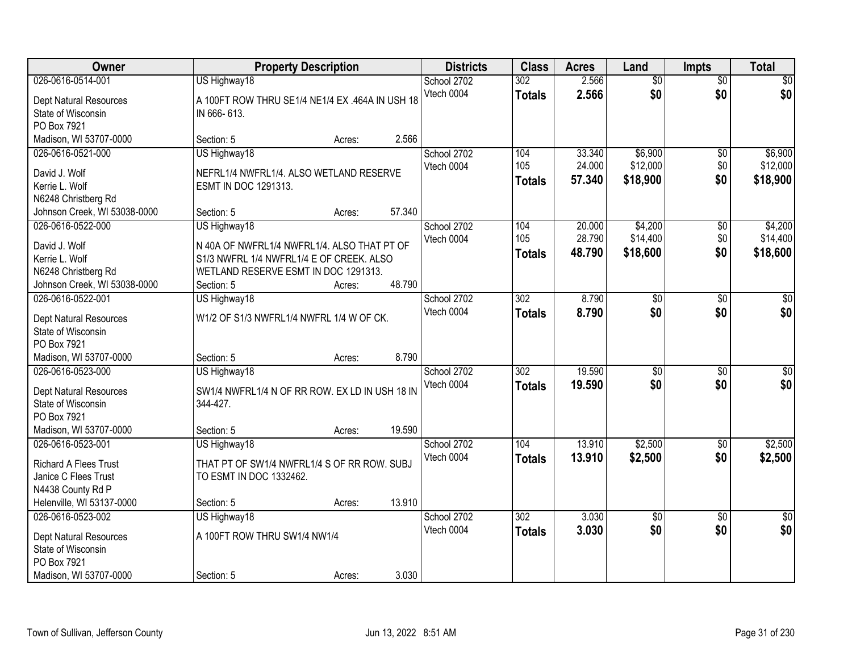| Owner                         | <b>Property Description</b>                     |        | <b>Districts</b> | <b>Class</b>     | <b>Acres</b> | Land            | <b>Impts</b>    | <b>Total</b>    |
|-------------------------------|-------------------------------------------------|--------|------------------|------------------|--------------|-----------------|-----------------|-----------------|
| 026-0616-0514-001             | US Highway18                                    |        | School 2702      | 302              | 2.566        | $\overline{50}$ | $\overline{50}$ | $\sqrt{50}$     |
| Dept Natural Resources        | A 100FT ROW THRU SE1/4 NE1/4 EX .464A IN USH 18 |        | Vtech 0004       | <b>Totals</b>    | 2.566        | \$0             | \$0             | \$0             |
| State of Wisconsin            | IN 666-613.                                     |        |                  |                  |              |                 |                 |                 |
| PO Box 7921                   |                                                 |        |                  |                  |              |                 |                 |                 |
| Madison, WI 53707-0000        | Section: 5<br>Acres:                            | 2.566  |                  |                  |              |                 |                 |                 |
| 026-0616-0521-000             | US Highway18                                    |        | School 2702      | 104              | 33.340       | \$6,900         | \$0             | \$6,900         |
| David J. Wolf                 | NEFRL1/4 NWFRL1/4, ALSO WETLAND RESERVE         |        | Vtech 0004       | 105              | 24.000       | \$12,000        | \$0             | \$12,000        |
| Kerrie L. Wolf                | ESMT IN DOC 1291313.                            |        |                  | <b>Totals</b>    | 57.340       | \$18,900        | \$0             | \$18,900        |
| N6248 Christberg Rd           |                                                 |        |                  |                  |              |                 |                 |                 |
| Johnson Creek, WI 53038-0000  | Section: 5<br>Acres:                            | 57.340 |                  |                  |              |                 |                 |                 |
| 026-0616-0522-000             | US Highway18                                    |        | School 2702      | 104              | 20.000       | \$4,200         | \$0             | \$4,200         |
| David J. Wolf                 | N 40A OF NWFRL1/4 NWFRL1/4. ALSO THAT PT OF     |        | Vtech 0004       | 105              | 28.790       | \$14,400        | \$0             | \$14,400        |
| Kerrie L. Wolf                | S1/3 NWFRL 1/4 NWFRL1/4 E OF CREEK. ALSO        |        |                  | <b>Totals</b>    | 48.790       | \$18,600        | \$0             | \$18,600        |
| N6248 Christberg Rd           | WETLAND RESERVE ESMT IN DOC 1291313.            |        |                  |                  |              |                 |                 |                 |
| Johnson Creek, WI 53038-0000  | Section: 5<br>Acres:                            | 48.790 |                  |                  |              |                 |                 |                 |
| 026-0616-0522-001             | US Highway18                                    |        | School 2702      | $\overline{302}$ | 8.790        | $\overline{30}$ | \$0             | $\overline{50}$ |
| <b>Dept Natural Resources</b> | W1/2 OF S1/3 NWFRL1/4 NWFRL 1/4 W OF CK.        |        | Vtech 0004       | <b>Totals</b>    | 8.790        | \$0             | \$0             | \$0             |
| State of Wisconsin            |                                                 |        |                  |                  |              |                 |                 |                 |
| PO Box 7921                   |                                                 |        |                  |                  |              |                 |                 |                 |
| Madison, WI 53707-0000        | Section: 5<br>Acres:                            | 8.790  |                  |                  |              |                 |                 |                 |
| 026-0616-0523-000             | US Highway18                                    |        | School 2702      | $\overline{302}$ | 19.590       | \$0             | $\overline{50}$ | \$0             |
| Dept Natural Resources        | SW1/4 NWFRL1/4 N OF RR ROW. EX LD IN USH 18 IN  |        | Vtech 0004       | <b>Totals</b>    | 19.590       | \$0             | \$0             | \$0             |
| State of Wisconsin            | 344-427.                                        |        |                  |                  |              |                 |                 |                 |
| PO Box 7921                   |                                                 |        |                  |                  |              |                 |                 |                 |
| Madison, WI 53707-0000        | Section: 5<br>Acres:                            | 19.590 |                  |                  |              |                 |                 |                 |
| 026-0616-0523-001             | US Highway18                                    |        | School 2702      | 104              | 13.910       | \$2,500         | $\sqrt{6}$      | \$2,500         |
| <b>Richard A Flees Trust</b>  | THAT PT OF SW1/4 NWFRL1/4 S OF RR ROW. SUBJ     |        | Vtech 0004       | <b>Totals</b>    | 13.910       | \$2,500         | \$0             | \$2,500         |
| Janice C Flees Trust          | TO ESMT IN DOC 1332462.                         |        |                  |                  |              |                 |                 |                 |
| N4438 County Rd P             |                                                 |        |                  |                  |              |                 |                 |                 |
| Helenville, WI 53137-0000     | Section: 5<br>Acres:                            | 13.910 |                  |                  |              |                 |                 |                 |
| 026-0616-0523-002             | US Highway18                                    |        | School 2702      | $\overline{302}$ | 3.030        | $\overline{30}$ | $\overline{30}$ | $\overline{50}$ |
| <b>Dept Natural Resources</b> | A 100FT ROW THRU SW1/4 NW1/4                    |        | Vtech 0004       | <b>Totals</b>    | 3.030        | \$0             | \$0             | \$0             |
| State of Wisconsin            |                                                 |        |                  |                  |              |                 |                 |                 |
| PO Box 7921                   |                                                 |        |                  |                  |              |                 |                 |                 |
| Madison, WI 53707-0000        | Section: 5<br>Acres:                            | 3.030  |                  |                  |              |                 |                 |                 |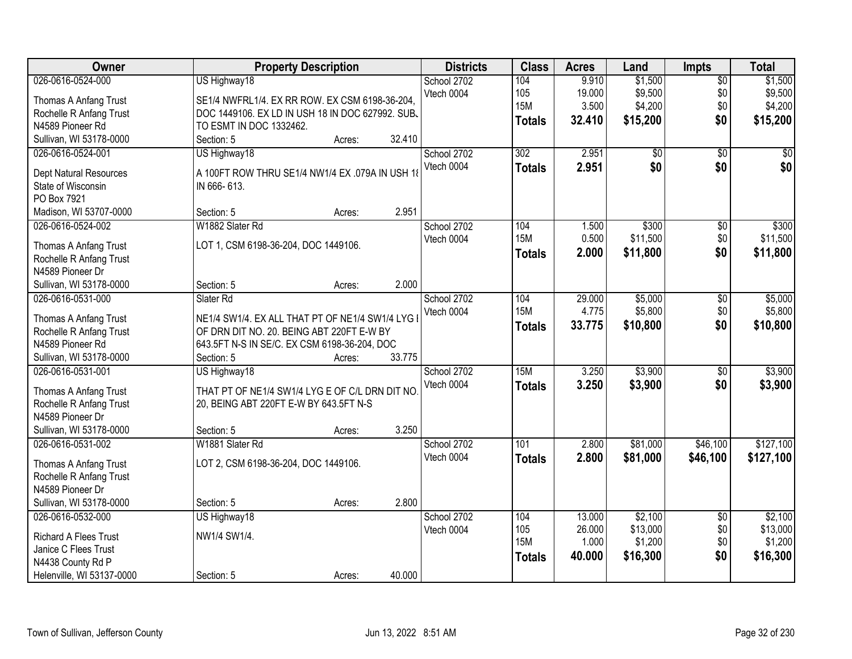| 9.910<br>\$1,500<br>\$1,500<br>US Highway18<br>School 2702<br>104<br>$\overline{50}$<br>\$9,500<br>\$9,500<br>105<br>19.000<br>\$0<br>Vtech 0004<br>Thomas A Anfang Trust<br>SE1/4 NWFRL1/4. EX RR ROW. EX CSM 6198-36-204,<br><b>15M</b><br>3.500<br>\$0<br>\$4,200<br>\$4,200<br>Rochelle R Anfang Trust<br>DOC 1449106. EX LD IN USH 18 IN DOC 627992. SUB. | Owner             |
|----------------------------------------------------------------------------------------------------------------------------------------------------------------------------------------------------------------------------------------------------------------------------------------------------------------------------------------------------------------|-------------------|
|                                                                                                                                                                                                                                                                                                                                                                | 026-0616-0524-000 |
|                                                                                                                                                                                                                                                                                                                                                                |                   |
|                                                                                                                                                                                                                                                                                                                                                                |                   |
| \$0<br>32.410<br>\$15,200<br>\$15,200<br><b>Totals</b><br>N4589 Pioneer Rd<br>TO ESMT IN DOC 1332462.                                                                                                                                                                                                                                                          |                   |
| Sullivan, WI 53178-0000<br>Section: 5<br>32.410<br>Acres:                                                                                                                                                                                                                                                                                                      |                   |
| 2.951<br>US Highway18<br>302<br>\$0<br>$\overline{50}$<br>026-0616-0524-001<br>School 2702                                                                                                                                                                                                                                                                     |                   |
| \$0<br>Vtech 0004<br>2.951<br>\$0<br><b>Totals</b>                                                                                                                                                                                                                                                                                                             |                   |
| A 100FT ROW THRU SE1/4 NW1/4 EX .079A IN USH 1<br>Dept Natural Resources                                                                                                                                                                                                                                                                                       |                   |
| State of Wisconsin<br>IN 666-613.                                                                                                                                                                                                                                                                                                                              |                   |
| PO Box 7921                                                                                                                                                                                                                                                                                                                                                    |                   |
| 2.951<br>Madison, WI 53707-0000<br>Section: 5<br>Acres:                                                                                                                                                                                                                                                                                                        |                   |
| \$300<br>026-0616-0524-002<br>W1882 Slater Rd<br>School 2702<br>104<br>$\overline{50}$<br>\$300<br>1.500                                                                                                                                                                                                                                                       |                   |
| <b>15M</b><br>\$0<br>0.500<br>\$11,500<br>\$11,500<br>Vtech 0004<br>LOT 1, CSM 6198-36-204, DOC 1449106.<br>Thomas A Anfang Trust                                                                                                                                                                                                                              |                   |
| 2.000<br>\$11,800<br>\$0<br>\$11,800<br><b>Totals</b><br>Rochelle R Anfang Trust                                                                                                                                                                                                                                                                               |                   |
| N4589 Pioneer Dr                                                                                                                                                                                                                                                                                                                                               |                   |
| 2.000<br>Sullivan, WI 53178-0000<br>Section: 5<br>Acres:                                                                                                                                                                                                                                                                                                       |                   |
| \$5,000<br>\$5,000<br>026-0616-0531-000<br>Slater Rd<br>School 2702<br>104<br>29.000<br>\$0                                                                                                                                                                                                                                                                    |                   |
| \$5,800<br><b>15M</b><br>4.775<br>\$0<br>\$5,800<br>Vtech 0004                                                                                                                                                                                                                                                                                                 |                   |
| NE1/4 SW1/4. EX ALL THAT PT OF NE1/4 SW1/4 LYG I<br>Thomas A Anfang Trust<br>\$0<br>33.775<br>\$10,800<br>\$10,800<br><b>Totals</b>                                                                                                                                                                                                                            |                   |
| OF DRN DIT NO. 20. BEING ABT 220FT E-W BY<br>Rochelle R Anfang Trust                                                                                                                                                                                                                                                                                           |                   |
| N4589 Pioneer Rd<br>643.5FT N-S IN SE/C. EX CSM 6198-36-204, DOC                                                                                                                                                                                                                                                                                               |                   |
| Sullivan, WI 53178-0000<br>Section: 5<br>33.775<br>Acres:                                                                                                                                                                                                                                                                                                      |                   |
| 15M<br>3.250<br>\$3,900<br>\$3,900<br>026-0616-0531-001<br>US Highway18<br>$\overline{50}$<br>School 2702                                                                                                                                                                                                                                                      |                   |
| \$3,900<br>Vtech 0004<br>3.250<br>\$0<br>\$3,900<br><b>Totals</b><br>THAT PT OF NE1/4 SW1/4 LYG E OF C/L DRN DIT NO<br>Thomas A Anfang Trust                                                                                                                                                                                                                   |                   |
| Rochelle R Anfang Trust<br>20, BEING ABT 220FT E-W BY 643.5FT N-S                                                                                                                                                                                                                                                                                              |                   |
| N4589 Pioneer Dr                                                                                                                                                                                                                                                                                                                                               |                   |
| 3.250<br>Sullivan, WI 53178-0000<br>Section: 5<br>Acres:                                                                                                                                                                                                                                                                                                       |                   |
| 101<br>\$81,000<br>\$46,100<br>\$127,100<br>026-0616-0531-002<br>W1881 Slater Rd<br>School 2702<br>2.800                                                                                                                                                                                                                                                       |                   |
| \$81,000<br>Vtech 0004<br>2.800<br>\$46,100<br>\$127,100<br><b>Totals</b>                                                                                                                                                                                                                                                                                      |                   |
| LOT 2, CSM 6198-36-204, DOC 1449106.<br>Thomas A Anfang Trust                                                                                                                                                                                                                                                                                                  |                   |
| Rochelle R Anfang Trust                                                                                                                                                                                                                                                                                                                                        |                   |
| N4589 Pioneer Dr                                                                                                                                                                                                                                                                                                                                               |                   |
| Sullivan, WI 53178-0000<br>2.800<br>Section: 5<br>Acres:                                                                                                                                                                                                                                                                                                       |                   |
| \$2,100<br>026-0616-0532-000<br>School 2702<br>\$2,100<br>US Highway18<br>104<br>13.000<br>$\overline{50}$                                                                                                                                                                                                                                                     |                   |
| 26.000<br>\$13,000<br>\$0<br>\$13,000<br>105<br>Vtech 0004<br>NW1/4 SW1/4.<br><b>Richard A Flees Trust</b>                                                                                                                                                                                                                                                     |                   |
| <b>15M</b><br>1.000<br>\$1,200<br>\$0<br>\$1,200<br>Janice C Flees Trust                                                                                                                                                                                                                                                                                       |                   |
| \$16,300<br>\$0<br>40.000<br>\$16,300<br><b>Totals</b><br>N4438 County Rd P                                                                                                                                                                                                                                                                                    |                   |
| 40.000<br>Helenville, WI 53137-0000<br>Section: 5<br>Acres:                                                                                                                                                                                                                                                                                                    |                   |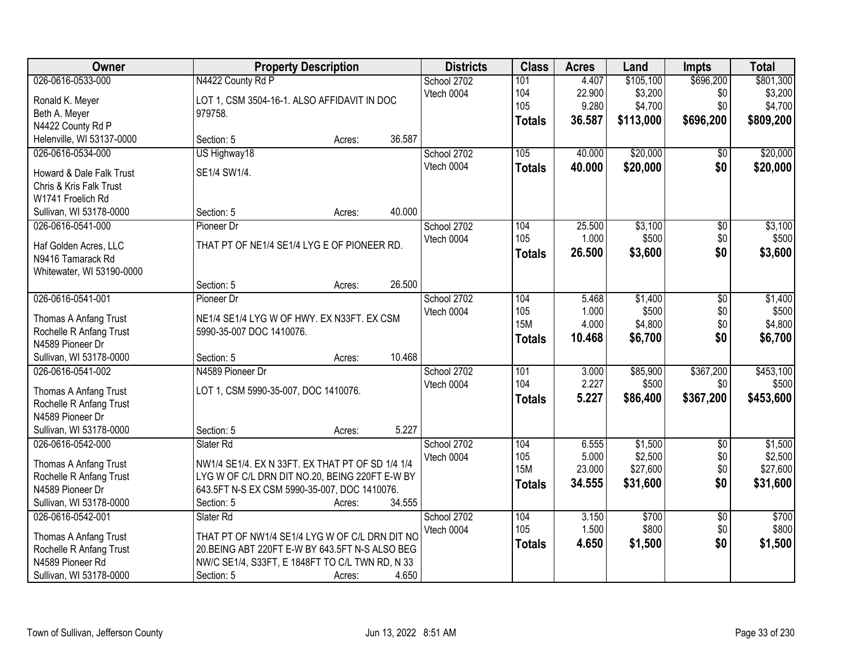| Owner                              |                                                  | <b>Property Description</b> |        | <b>Districts</b> | <b>Class</b>  | <b>Acres</b> | Land      | <b>Impts</b>    | <b>Total</b> |
|------------------------------------|--------------------------------------------------|-----------------------------|--------|------------------|---------------|--------------|-----------|-----------------|--------------|
| 026-0616-0533-000                  | N4422 County Rd P                                |                             |        | School 2702      | 101           | 4.407        | \$105,100 | \$696,200       | \$801,300    |
| Ronald K. Meyer                    | LOT 1, CSM 3504-16-1. ALSO AFFIDAVIT IN DOC      |                             |        | Vtech 0004       | 104           | 22.900       | \$3,200   | \$0             | \$3,200      |
| Beth A. Meyer                      | 979758.                                          |                             |        |                  | 105           | 9.280        | \$4,700   | \$0             | \$4,700      |
| N4422 County Rd P                  |                                                  |                             |        |                  | <b>Totals</b> | 36.587       | \$113,000 | \$696,200       | \$809,200    |
| Helenville, WI 53137-0000          | Section: 5                                       | Acres:                      | 36.587 |                  |               |              |           |                 |              |
| 026-0616-0534-000                  | US Highway18                                     |                             |        | School 2702      | 105           | 40.000       | \$20,000  | $\overline{50}$ | \$20,000     |
|                                    |                                                  |                             |        | Vtech 0004       | <b>Totals</b> | 40.000       | \$20,000  | \$0             | \$20,000     |
| Howard & Dale Falk Trust           | SE1/4 SW1/4.                                     |                             |        |                  |               |              |           |                 |              |
| <b>Chris &amp; Kris Falk Trust</b> |                                                  |                             |        |                  |               |              |           |                 |              |
| W1741 Froelich Rd                  |                                                  |                             |        |                  |               |              |           |                 |              |
| Sullivan, WI 53178-0000            | Section: 5                                       | Acres:                      | 40.000 |                  |               |              |           |                 |              |
| 026-0616-0541-000                  | Pioneer Dr                                       |                             |        | School 2702      | 104           | 25.500       | \$3,100   | $\overline{50}$ | \$3,100      |
| Haf Golden Acres, LLC              | THAT PT OF NE1/4 SE1/4 LYG E OF PIONEER RD.      |                             |        | Vtech 0004       | 105           | 1.000        | \$500     | \$0             | \$500        |
| N9416 Tamarack Rd                  |                                                  |                             |        |                  | Totals        | 26.500       | \$3,600   | \$0             | \$3,600      |
| Whitewater, WI 53190-0000          |                                                  |                             |        |                  |               |              |           |                 |              |
|                                    | Section: 5                                       | Acres:                      | 26.500 |                  |               |              |           |                 |              |
| 026-0616-0541-001                  | Pioneer Dr                                       |                             |        | School 2702      | 104           | 5.468        | \$1,400   | \$0             | \$1,400      |
|                                    |                                                  |                             |        | Vtech 0004       | 105           | 1.000        | \$500     | \$0             | \$500        |
| Thomas A Anfang Trust              | NE1/4 SE1/4 LYG W OF HWY. EX N33FT. EX CSM       |                             |        |                  | <b>15M</b>    | 4.000        | \$4,800   | \$0             | \$4,800      |
| Rochelle R Anfang Trust            | 5990-35-007 DOC 1410076.                         |                             |        |                  | <b>Totals</b> | 10.468       | \$6,700   | \$0             | \$6,700      |
| N4589 Pioneer Dr                   |                                                  |                             |        |                  |               |              |           |                 |              |
| Sullivan, WI 53178-0000            | Section: 5                                       | Acres:                      | 10.468 |                  |               |              |           |                 |              |
| 026-0616-0541-002                  | N4589 Pioneer Dr                                 |                             |        | School 2702      | 101<br>104    | 3.000        | \$85,900  | \$367,200       | \$453,100    |
| Thomas A Anfang Trust              | LOT 1, CSM 5990-35-007, DOC 1410076.             |                             |        | Vtech 0004       |               | 2.227        | \$500     | \$0             | \$500        |
| Rochelle R Anfang Trust            |                                                  |                             |        |                  | <b>Totals</b> | 5.227        | \$86,400  | \$367,200       | \$453,600    |
| N4589 Pioneer Dr                   |                                                  |                             |        |                  |               |              |           |                 |              |
| Sullivan, WI 53178-0000            | Section: 5                                       | Acres:                      | 5.227  |                  |               |              |           |                 |              |
| 026-0616-0542-000                  | Slater Rd                                        |                             |        | School 2702      | 104           | 6.555        | \$1,500   | $\overline{60}$ | \$1,500      |
| Thomas A Anfang Trust              | NW1/4 SE1/4. EX N 33FT. EX THAT PT OF SD 1/4 1/4 |                             |        | Vtech 0004       | 105           | 5.000        | \$2,500   | \$0             | \$2,500      |
| Rochelle R Anfang Trust            | LYG W OF C/L DRN DIT NO.20, BEING 220FT E-W BY   |                             |        |                  | <b>15M</b>    | 23.000       | \$27,600  | \$0             | \$27,600     |
| N4589 Pioneer Dr                   | 643.5FT N-S EX CSM 5990-35-007, DOC 1410076.     |                             |        |                  | <b>Totals</b> | 34.555       | \$31,600  | \$0             | \$31,600     |
| Sullivan, WI 53178-0000            | Section: 5                                       | Acres:                      | 34.555 |                  |               |              |           |                 |              |
| 026-0616-0542-001                  | Slater Rd                                        |                             |        | School 2702      | 104           | 3.150        | \$700     | $\overline{50}$ | \$700        |
|                                    |                                                  |                             |        | Vtech 0004       | 105           | 1.500        | \$800     | \$0             | \$800        |
| Thomas A Anfang Trust              | THAT PT OF NW1/4 SE1/4 LYG W OF C/L DRN DIT NO   |                             |        |                  | <b>Totals</b> | 4.650        | \$1,500   | \$0             | \$1,500      |
| Rochelle R Anfang Trust            | 20. BEING ABT 220FT E-W BY 643.5FT N-S ALSO BEG  |                             |        |                  |               |              |           |                 |              |
| N4589 Pioneer Rd                   | NW/C SE1/4, S33FT, E 1848FT TO C/L TWN RD, N 33  |                             |        |                  |               |              |           |                 |              |
| Sullivan, WI 53178-0000            | Section: 5                                       | Acres:                      | 4.650  |                  |               |              |           |                 |              |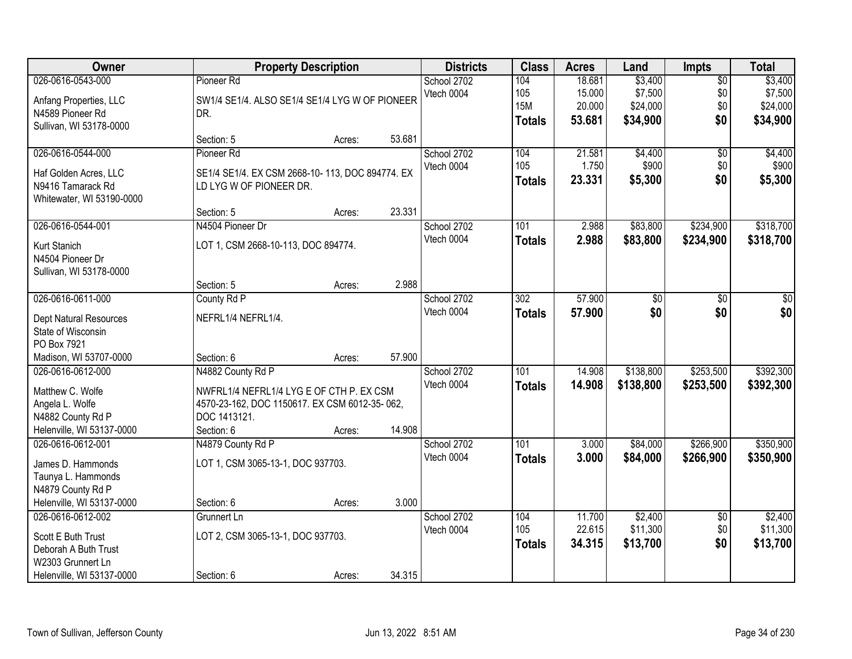| Owner                                                                                                             |                                                                                                                                              | <b>Property Description</b> |        | <b>Districts</b>          | <b>Class</b>                              | <b>Acres</b>                         | Land                                       | Impts                                | <b>Total</b>                               |
|-------------------------------------------------------------------------------------------------------------------|----------------------------------------------------------------------------------------------------------------------------------------------|-----------------------------|--------|---------------------------|-------------------------------------------|--------------------------------------|--------------------------------------------|--------------------------------------|--------------------------------------------|
| 026-0616-0543-000<br>Anfang Properties, LLC<br>N4589 Pioneer Rd<br>Sullivan, WI 53178-0000                        | Pioneer Rd<br>SW1/4 SE1/4. ALSO SE1/4 SE1/4 LYG W OF PIONEER<br>DR.                                                                          |                             |        | School 2702<br>Vtech 0004 | 104<br>105<br><b>15M</b><br><b>Totals</b> | 18.681<br>15.000<br>20.000<br>53.681 | \$3,400<br>\$7,500<br>\$24,000<br>\$34,900 | $\overline{50}$<br>\$0<br>\$0<br>\$0 | \$3,400<br>\$7,500<br>\$24,000<br>\$34,900 |
|                                                                                                                   | Section: 5                                                                                                                                   | Acres:                      | 53.681 |                           |                                           |                                      |                                            |                                      |                                            |
| 026-0616-0544-000<br>Haf Golden Acres, LLC<br>N9416 Tamarack Rd<br>Whitewater, WI 53190-0000                      | Pioneer Rd<br>SE1/4 SE1/4. EX CSM 2668-10-113, DOC 894774. EX<br>LD LYG W OF PIONEER DR.                                                     |                             |        | School 2702<br>Vtech 0004 | 104<br>105<br><b>Totals</b>               | 21.581<br>1.750<br>23.331            | \$4,400<br>\$900<br>\$5,300                | $\overline{60}$<br>\$0<br>\$0        | \$4,400<br>\$900<br>\$5,300                |
|                                                                                                                   | Section: 5<br>N4504 Pioneer Dr                                                                                                               | Acres:                      | 23.331 |                           |                                           |                                      |                                            |                                      |                                            |
| 026-0616-0544-001<br>Kurt Stanich<br>N4504 Pioneer Dr<br>Sullivan, WI 53178-0000                                  | LOT 1, CSM 2668-10-113, DOC 894774.                                                                                                          |                             |        | School 2702<br>Vtech 0004 | 101<br><b>Totals</b>                      | 2.988<br>2.988                       | \$83,800<br>\$83,800                       | \$234,900<br>\$234,900               | \$318,700<br>\$318,700                     |
|                                                                                                                   | Section: 5                                                                                                                                   | Acres:                      | 2.988  |                           |                                           |                                      |                                            |                                      |                                            |
| 026-0616-0611-000<br>Dept Natural Resources<br>State of Wisconsin<br>PO Box 7921                                  | County Rd P<br>NEFRL1/4 NEFRL1/4.                                                                                                            |                             |        | School 2702<br>Vtech 0004 | $\overline{302}$<br><b>Totals</b>         | 57.900<br>57.900                     | \$0<br>\$0                                 | \$0<br>\$0                           | \$0<br>\$0                                 |
| Madison, WI 53707-0000                                                                                            | Section: 6                                                                                                                                   | Acres:                      | 57.900 |                           |                                           |                                      |                                            |                                      |                                            |
| 026-0616-0612-000<br>Matthew C. Wolfe<br>Angela L. Wolfe<br>N4882 County Rd P<br>Helenville, WI 53137-0000        | N4882 County Rd P<br>NWFRL1/4 NEFRL1/4 LYG E OF CTH P. EX CSM<br>4570-23-162, DOC 1150617. EX CSM 6012-35-062,<br>DOC 1413121.<br>Section: 6 | Acres:                      | 14.908 | School 2702<br>Vtech 0004 | 101<br><b>Totals</b>                      | 14.908<br>14.908                     | \$138,800<br>\$138,800                     | \$253,500<br>\$253,500               | \$392,300<br>\$392,300                     |
| 026-0616-0612-001<br>James D. Hammonds<br>Taunya L. Hammonds<br>N4879 County Rd P<br>Helenville, WI 53137-0000    | N4879 County Rd P<br>LOT 1, CSM 3065-13-1, DOC 937703.<br>Section: 6                                                                         | Acres:                      | 3.000  | School 2702<br>Vtech 0004 | 101<br><b>Totals</b>                      | 3.000<br>3.000                       | \$84,000<br>\$84,000                       | \$266,900<br>\$266,900               | \$350,900<br>\$350,900                     |
| 026-0616-0612-002<br>Scott E Buth Trust<br>Deborah A Buth Trust<br>W2303 Grunnert Ln<br>Helenville, WI 53137-0000 | Grunnert Ln<br>LOT 2, CSM 3065-13-1, DOC 937703.<br>Section: 6                                                                               | Acres:                      | 34.315 | School 2702<br>Vtech 0004 | 104<br>105<br><b>Totals</b>               | 11.700<br>22.615<br>34.315           | \$2,400<br>\$11,300<br>\$13,700            | $\overline{50}$<br>\$0<br>\$0        | \$2,400<br>\$11,300<br>\$13,700            |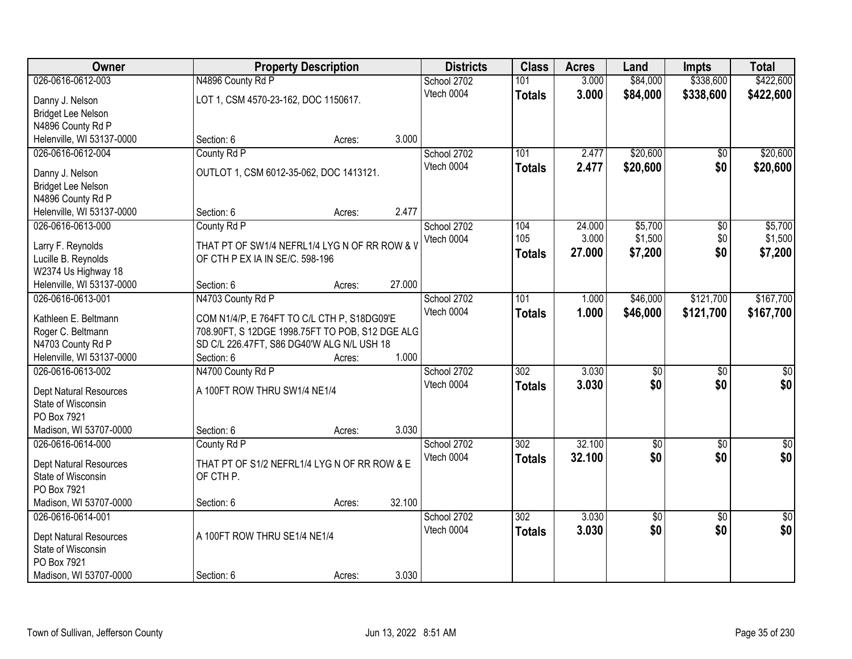| 026-0616-0612-003<br>\$338,600<br>\$422,600<br>N4896 County Rd P<br>School 2702<br>101<br>3.000<br>\$84,000<br>3.000<br>Vtech 0004<br>\$84,000<br>\$338,600<br>\$422,600<br><b>Totals</b><br>LOT 1, CSM 4570-23-162, DOC 1150617.<br>Danny J. Nelson<br><b>Bridget Lee Nelson</b><br>N4896 County Rd P<br>Helenville, WI 53137-0000<br>3.000<br>Section: 6<br>Acres:<br>County Rd P<br>\$20,600<br>\$20,600<br>026-0616-0612-004<br>101<br>School 2702<br>2.477<br>\$0<br>2.477<br>Vtech 0004<br>\$20,600<br>\$0<br>\$20,600<br><b>Totals</b><br>OUTLOT 1, CSM 6012-35-062, DOC 1413121.<br>Danny J. Nelson<br><b>Bridget Lee Nelson</b><br>N4896 County Rd P<br>2.477<br>Helenville, WI 53137-0000<br>Section: 6<br>Acres:<br>\$5,700<br>026-0616-0613-000<br>24.000<br>$\overline{50}$<br>\$5,700<br>County Rd P<br>School 2702<br>104<br>105<br>\$1,500<br>\$0<br>3.000<br>\$1,500<br>Vtech 0004<br>THAT PT OF SW1/4 NEFRL1/4 LYG N OF RR ROW & V<br>Larry F. Reynolds<br>27,000<br>\$7,200<br>\$0<br>\$7,200<br><b>Totals</b><br>Lucille B. Reynolds<br>OF CTH P EX IA IN SE/C. 598-196<br>W2374 Us Highway 18<br>27.000<br>Helenville, WI 53137-0000<br>Section: 6<br>Acres:<br>N4703 County Rd P<br>101<br>\$46,000<br>\$121,700<br>\$167,700<br>026-0616-0613-001<br>School 2702<br>1.000<br>Vtech 0004<br>1.000<br>\$46,000<br>\$121,700<br>\$167,700<br><b>Totals</b><br>Kathleen E. Beltmann<br>COM N1/4/P, E 764FT TO C/L CTH P, S18DG09'E<br>Roger C. Beltmann<br>708.90FT, S 12DGE 1998.75FT TO POB, S12 DGE ALG<br>N4703 County Rd P<br>SD C/L 226.47FT, S86 DG40'W ALG N/L USH 18<br>1.000<br>Helenville, WI 53137-0000<br>Section: 6<br>Acres:<br>N4700 County Rd P<br>$\overline{302}$<br>3.030<br>026-0616-0613-002<br>$\overline{50}$<br>$\overline{50}$<br>$\overline{50}$<br>School 2702<br>\$0<br>3.030<br>\$0<br>Vtech 0004<br>\$0<br><b>Totals</b><br>Dept Natural Resources<br>A 100FT ROW THRU SW1/4 NE1/4<br>State of Wisconsin<br>PO Box 7921<br>Madison, WI 53707-0000<br>3.030<br>Section: 6<br>Acres:<br>32.100<br>026-0616-0614-000<br>302<br>$\overline{60}$<br>$\overline{50}$<br>County Rd P<br>School 2702<br>\$0<br>\$0<br>Vtech 0004<br>32.100<br>\$0<br><b>Totals</b><br>THAT PT OF S1/2 NEFRL1/4 LYG N OF RR ROW & E<br>Dept Natural Resources<br>State of Wisconsin<br>OF CTH P.<br>PO Box 7921<br>32.100<br>Madison, WI 53707-0000<br>Section: 6<br>Acres:<br>3.030<br>026-0616-0614-001<br>School 2702<br>302<br>$\overline{30}$<br>$\overline{50}$<br>$\overline{60}$<br>\$0<br>\$0<br>\$0<br>3.030<br>Vtech 0004<br><b>Totals</b><br>A 100FT ROW THRU SE1/4 NE1/4<br>Dept Natural Resources<br>State of Wisconsin<br>PO Box 7921 | Owner                  | <b>Property Description</b> |       | <b>Districts</b> | <b>Class</b> | <b>Acres</b> | Land | <b>Impts</b> | <b>Total</b> |
|-------------------------------------------------------------------------------------------------------------------------------------------------------------------------------------------------------------------------------------------------------------------------------------------------------------------------------------------------------------------------------------------------------------------------------------------------------------------------------------------------------------------------------------------------------------------------------------------------------------------------------------------------------------------------------------------------------------------------------------------------------------------------------------------------------------------------------------------------------------------------------------------------------------------------------------------------------------------------------------------------------------------------------------------------------------------------------------------------------------------------------------------------------------------------------------------------------------------------------------------------------------------------------------------------------------------------------------------------------------------------------------------------------------------------------------------------------------------------------------------------------------------------------------------------------------------------------------------------------------------------------------------------------------------------------------------------------------------------------------------------------------------------------------------------------------------------------------------------------------------------------------------------------------------------------------------------------------------------------------------------------------------------------------------------------------------------------------------------------------------------------------------------------------------------------------------------------------------------------------------------------------------------------------------------------------------------------------------------------------------------------------------------------------------------------------------------------------------------------------------------------------------------------------------------------------------------------------------------------------------------------------------------------------------------------|------------------------|-----------------------------|-------|------------------|--------------|--------------|------|--------------|--------------|
|                                                                                                                                                                                                                                                                                                                                                                                                                                                                                                                                                                                                                                                                                                                                                                                                                                                                                                                                                                                                                                                                                                                                                                                                                                                                                                                                                                                                                                                                                                                                                                                                                                                                                                                                                                                                                                                                                                                                                                                                                                                                                                                                                                                                                                                                                                                                                                                                                                                                                                                                                                                                                                                                               |                        |                             |       |                  |              |              |      |              |              |
|                                                                                                                                                                                                                                                                                                                                                                                                                                                                                                                                                                                                                                                                                                                                                                                                                                                                                                                                                                                                                                                                                                                                                                                                                                                                                                                                                                                                                                                                                                                                                                                                                                                                                                                                                                                                                                                                                                                                                                                                                                                                                                                                                                                                                                                                                                                                                                                                                                                                                                                                                                                                                                                                               |                        |                             |       |                  |              |              |      |              |              |
|                                                                                                                                                                                                                                                                                                                                                                                                                                                                                                                                                                                                                                                                                                                                                                                                                                                                                                                                                                                                                                                                                                                                                                                                                                                                                                                                                                                                                                                                                                                                                                                                                                                                                                                                                                                                                                                                                                                                                                                                                                                                                                                                                                                                                                                                                                                                                                                                                                                                                                                                                                                                                                                                               |                        |                             |       |                  |              |              |      |              |              |
|                                                                                                                                                                                                                                                                                                                                                                                                                                                                                                                                                                                                                                                                                                                                                                                                                                                                                                                                                                                                                                                                                                                                                                                                                                                                                                                                                                                                                                                                                                                                                                                                                                                                                                                                                                                                                                                                                                                                                                                                                                                                                                                                                                                                                                                                                                                                                                                                                                                                                                                                                                                                                                                                               |                        |                             |       |                  |              |              |      |              |              |
|                                                                                                                                                                                                                                                                                                                                                                                                                                                                                                                                                                                                                                                                                                                                                                                                                                                                                                                                                                                                                                                                                                                                                                                                                                                                                                                                                                                                                                                                                                                                                                                                                                                                                                                                                                                                                                                                                                                                                                                                                                                                                                                                                                                                                                                                                                                                                                                                                                                                                                                                                                                                                                                                               |                        |                             |       |                  |              |              |      |              |              |
|                                                                                                                                                                                                                                                                                                                                                                                                                                                                                                                                                                                                                                                                                                                                                                                                                                                                                                                                                                                                                                                                                                                                                                                                                                                                                                                                                                                                                                                                                                                                                                                                                                                                                                                                                                                                                                                                                                                                                                                                                                                                                                                                                                                                                                                                                                                                                                                                                                                                                                                                                                                                                                                                               |                        |                             |       |                  |              |              |      |              |              |
|                                                                                                                                                                                                                                                                                                                                                                                                                                                                                                                                                                                                                                                                                                                                                                                                                                                                                                                                                                                                                                                                                                                                                                                                                                                                                                                                                                                                                                                                                                                                                                                                                                                                                                                                                                                                                                                                                                                                                                                                                                                                                                                                                                                                                                                                                                                                                                                                                                                                                                                                                                                                                                                                               |                        |                             |       |                  |              |              |      |              |              |
|                                                                                                                                                                                                                                                                                                                                                                                                                                                                                                                                                                                                                                                                                                                                                                                                                                                                                                                                                                                                                                                                                                                                                                                                                                                                                                                                                                                                                                                                                                                                                                                                                                                                                                                                                                                                                                                                                                                                                                                                                                                                                                                                                                                                                                                                                                                                                                                                                                                                                                                                                                                                                                                                               |                        |                             |       |                  |              |              |      |              |              |
|                                                                                                                                                                                                                                                                                                                                                                                                                                                                                                                                                                                                                                                                                                                                                                                                                                                                                                                                                                                                                                                                                                                                                                                                                                                                                                                                                                                                                                                                                                                                                                                                                                                                                                                                                                                                                                                                                                                                                                                                                                                                                                                                                                                                                                                                                                                                                                                                                                                                                                                                                                                                                                                                               |                        |                             |       |                  |              |              |      |              |              |
|                                                                                                                                                                                                                                                                                                                                                                                                                                                                                                                                                                                                                                                                                                                                                                                                                                                                                                                                                                                                                                                                                                                                                                                                                                                                                                                                                                                                                                                                                                                                                                                                                                                                                                                                                                                                                                                                                                                                                                                                                                                                                                                                                                                                                                                                                                                                                                                                                                                                                                                                                                                                                                                                               |                        |                             |       |                  |              |              |      |              |              |
|                                                                                                                                                                                                                                                                                                                                                                                                                                                                                                                                                                                                                                                                                                                                                                                                                                                                                                                                                                                                                                                                                                                                                                                                                                                                                                                                                                                                                                                                                                                                                                                                                                                                                                                                                                                                                                                                                                                                                                                                                                                                                                                                                                                                                                                                                                                                                                                                                                                                                                                                                                                                                                                                               |                        |                             |       |                  |              |              |      |              |              |
|                                                                                                                                                                                                                                                                                                                                                                                                                                                                                                                                                                                                                                                                                                                                                                                                                                                                                                                                                                                                                                                                                                                                                                                                                                                                                                                                                                                                                                                                                                                                                                                                                                                                                                                                                                                                                                                                                                                                                                                                                                                                                                                                                                                                                                                                                                                                                                                                                                                                                                                                                                                                                                                                               |                        |                             |       |                  |              |              |      |              |              |
|                                                                                                                                                                                                                                                                                                                                                                                                                                                                                                                                                                                                                                                                                                                                                                                                                                                                                                                                                                                                                                                                                                                                                                                                                                                                                                                                                                                                                                                                                                                                                                                                                                                                                                                                                                                                                                                                                                                                                                                                                                                                                                                                                                                                                                                                                                                                                                                                                                                                                                                                                                                                                                                                               |                        |                             |       |                  |              |              |      |              |              |
|                                                                                                                                                                                                                                                                                                                                                                                                                                                                                                                                                                                                                                                                                                                                                                                                                                                                                                                                                                                                                                                                                                                                                                                                                                                                                                                                                                                                                                                                                                                                                                                                                                                                                                                                                                                                                                                                                                                                                                                                                                                                                                                                                                                                                                                                                                                                                                                                                                                                                                                                                                                                                                                                               |                        |                             |       |                  |              |              |      |              |              |
|                                                                                                                                                                                                                                                                                                                                                                                                                                                                                                                                                                                                                                                                                                                                                                                                                                                                                                                                                                                                                                                                                                                                                                                                                                                                                                                                                                                                                                                                                                                                                                                                                                                                                                                                                                                                                                                                                                                                                                                                                                                                                                                                                                                                                                                                                                                                                                                                                                                                                                                                                                                                                                                                               |                        |                             |       |                  |              |              |      |              |              |
|                                                                                                                                                                                                                                                                                                                                                                                                                                                                                                                                                                                                                                                                                                                                                                                                                                                                                                                                                                                                                                                                                                                                                                                                                                                                                                                                                                                                                                                                                                                                                                                                                                                                                                                                                                                                                                                                                                                                                                                                                                                                                                                                                                                                                                                                                                                                                                                                                                                                                                                                                                                                                                                                               |                        |                             |       |                  |              |              |      |              |              |
|                                                                                                                                                                                                                                                                                                                                                                                                                                                                                                                                                                                                                                                                                                                                                                                                                                                                                                                                                                                                                                                                                                                                                                                                                                                                                                                                                                                                                                                                                                                                                                                                                                                                                                                                                                                                                                                                                                                                                                                                                                                                                                                                                                                                                                                                                                                                                                                                                                                                                                                                                                                                                                                                               |                        |                             |       |                  |              |              |      |              |              |
|                                                                                                                                                                                                                                                                                                                                                                                                                                                                                                                                                                                                                                                                                                                                                                                                                                                                                                                                                                                                                                                                                                                                                                                                                                                                                                                                                                                                                                                                                                                                                                                                                                                                                                                                                                                                                                                                                                                                                                                                                                                                                                                                                                                                                                                                                                                                                                                                                                                                                                                                                                                                                                                                               |                        |                             |       |                  |              |              |      |              |              |
|                                                                                                                                                                                                                                                                                                                                                                                                                                                                                                                                                                                                                                                                                                                                                                                                                                                                                                                                                                                                                                                                                                                                                                                                                                                                                                                                                                                                                                                                                                                                                                                                                                                                                                                                                                                                                                                                                                                                                                                                                                                                                                                                                                                                                                                                                                                                                                                                                                                                                                                                                                                                                                                                               |                        |                             |       |                  |              |              |      |              |              |
|                                                                                                                                                                                                                                                                                                                                                                                                                                                                                                                                                                                                                                                                                                                                                                                                                                                                                                                                                                                                                                                                                                                                                                                                                                                                                                                                                                                                                                                                                                                                                                                                                                                                                                                                                                                                                                                                                                                                                                                                                                                                                                                                                                                                                                                                                                                                                                                                                                                                                                                                                                                                                                                                               |                        |                             |       |                  |              |              |      |              |              |
|                                                                                                                                                                                                                                                                                                                                                                                                                                                                                                                                                                                                                                                                                                                                                                                                                                                                                                                                                                                                                                                                                                                                                                                                                                                                                                                                                                                                                                                                                                                                                                                                                                                                                                                                                                                                                                                                                                                                                                                                                                                                                                                                                                                                                                                                                                                                                                                                                                                                                                                                                                                                                                                                               |                        |                             |       |                  |              |              |      |              |              |
|                                                                                                                                                                                                                                                                                                                                                                                                                                                                                                                                                                                                                                                                                                                                                                                                                                                                                                                                                                                                                                                                                                                                                                                                                                                                                                                                                                                                                                                                                                                                                                                                                                                                                                                                                                                                                                                                                                                                                                                                                                                                                                                                                                                                                                                                                                                                                                                                                                                                                                                                                                                                                                                                               |                        |                             |       |                  |              |              |      |              |              |
|                                                                                                                                                                                                                                                                                                                                                                                                                                                                                                                                                                                                                                                                                                                                                                                                                                                                                                                                                                                                                                                                                                                                                                                                                                                                                                                                                                                                                                                                                                                                                                                                                                                                                                                                                                                                                                                                                                                                                                                                                                                                                                                                                                                                                                                                                                                                                                                                                                                                                                                                                                                                                                                                               |                        |                             |       |                  |              |              |      |              |              |
|                                                                                                                                                                                                                                                                                                                                                                                                                                                                                                                                                                                                                                                                                                                                                                                                                                                                                                                                                                                                                                                                                                                                                                                                                                                                                                                                                                                                                                                                                                                                                                                                                                                                                                                                                                                                                                                                                                                                                                                                                                                                                                                                                                                                                                                                                                                                                                                                                                                                                                                                                                                                                                                                               |                        |                             |       |                  |              |              |      |              |              |
|                                                                                                                                                                                                                                                                                                                                                                                                                                                                                                                                                                                                                                                                                                                                                                                                                                                                                                                                                                                                                                                                                                                                                                                                                                                                                                                                                                                                                                                                                                                                                                                                                                                                                                                                                                                                                                                                                                                                                                                                                                                                                                                                                                                                                                                                                                                                                                                                                                                                                                                                                                                                                                                                               |                        |                             |       |                  |              |              |      |              |              |
| \$0                                                                                                                                                                                                                                                                                                                                                                                                                                                                                                                                                                                                                                                                                                                                                                                                                                                                                                                                                                                                                                                                                                                                                                                                                                                                                                                                                                                                                                                                                                                                                                                                                                                                                                                                                                                                                                                                                                                                                                                                                                                                                                                                                                                                                                                                                                                                                                                                                                                                                                                                                                                                                                                                           |                        |                             |       |                  |              |              |      |              |              |
|                                                                                                                                                                                                                                                                                                                                                                                                                                                                                                                                                                                                                                                                                                                                                                                                                                                                                                                                                                                                                                                                                                                                                                                                                                                                                                                                                                                                                                                                                                                                                                                                                                                                                                                                                                                                                                                                                                                                                                                                                                                                                                                                                                                                                                                                                                                                                                                                                                                                                                                                                                                                                                                                               |                        |                             |       |                  |              |              |      |              |              |
|                                                                                                                                                                                                                                                                                                                                                                                                                                                                                                                                                                                                                                                                                                                                                                                                                                                                                                                                                                                                                                                                                                                                                                                                                                                                                                                                                                                                                                                                                                                                                                                                                                                                                                                                                                                                                                                                                                                                                                                                                                                                                                                                                                                                                                                                                                                                                                                                                                                                                                                                                                                                                                                                               |                        |                             |       |                  |              |              |      |              |              |
|                                                                                                                                                                                                                                                                                                                                                                                                                                                                                                                                                                                                                                                                                                                                                                                                                                                                                                                                                                                                                                                                                                                                                                                                                                                                                                                                                                                                                                                                                                                                                                                                                                                                                                                                                                                                                                                                                                                                                                                                                                                                                                                                                                                                                                                                                                                                                                                                                                                                                                                                                                                                                                                                               |                        |                             |       |                  |              |              |      |              |              |
|                                                                                                                                                                                                                                                                                                                                                                                                                                                                                                                                                                                                                                                                                                                                                                                                                                                                                                                                                                                                                                                                                                                                                                                                                                                                                                                                                                                                                                                                                                                                                                                                                                                                                                                                                                                                                                                                                                                                                                                                                                                                                                                                                                                                                                                                                                                                                                                                                                                                                                                                                                                                                                                                               |                        |                             |       |                  |              |              |      |              |              |
|                                                                                                                                                                                                                                                                                                                                                                                                                                                                                                                                                                                                                                                                                                                                                                                                                                                                                                                                                                                                                                                                                                                                                                                                                                                                                                                                                                                                                                                                                                                                                                                                                                                                                                                                                                                                                                                                                                                                                                                                                                                                                                                                                                                                                                                                                                                                                                                                                                                                                                                                                                                                                                                                               |                        |                             |       |                  |              |              |      |              |              |
|                                                                                                                                                                                                                                                                                                                                                                                                                                                                                                                                                                                                                                                                                                                                                                                                                                                                                                                                                                                                                                                                                                                                                                                                                                                                                                                                                                                                                                                                                                                                                                                                                                                                                                                                                                                                                                                                                                                                                                                                                                                                                                                                                                                                                                                                                                                                                                                                                                                                                                                                                                                                                                                                               |                        |                             |       |                  |              |              |      |              |              |
|                                                                                                                                                                                                                                                                                                                                                                                                                                                                                                                                                                                                                                                                                                                                                                                                                                                                                                                                                                                                                                                                                                                                                                                                                                                                                                                                                                                                                                                                                                                                                                                                                                                                                                                                                                                                                                                                                                                                                                                                                                                                                                                                                                                                                                                                                                                                                                                                                                                                                                                                                                                                                                                                               |                        |                             |       |                  |              |              |      |              |              |
|                                                                                                                                                                                                                                                                                                                                                                                                                                                                                                                                                                                                                                                                                                                                                                                                                                                                                                                                                                                                                                                                                                                                                                                                                                                                                                                                                                                                                                                                                                                                                                                                                                                                                                                                                                                                                                                                                                                                                                                                                                                                                                                                                                                                                                                                                                                                                                                                                                                                                                                                                                                                                                                                               |                        |                             |       |                  |              |              |      |              |              |
|                                                                                                                                                                                                                                                                                                                                                                                                                                                                                                                                                                                                                                                                                                                                                                                                                                                                                                                                                                                                                                                                                                                                                                                                                                                                                                                                                                                                                                                                                                                                                                                                                                                                                                                                                                                                                                                                                                                                                                                                                                                                                                                                                                                                                                                                                                                                                                                                                                                                                                                                                                                                                                                                               |                        |                             |       |                  |              |              |      |              |              |
|                                                                                                                                                                                                                                                                                                                                                                                                                                                                                                                                                                                                                                                                                                                                                                                                                                                                                                                                                                                                                                                                                                                                                                                                                                                                                                                                                                                                                                                                                                                                                                                                                                                                                                                                                                                                                                                                                                                                                                                                                                                                                                                                                                                                                                                                                                                                                                                                                                                                                                                                                                                                                                                                               |                        |                             |       |                  |              |              |      |              |              |
| Section: 6<br>Acres:                                                                                                                                                                                                                                                                                                                                                                                                                                                                                                                                                                                                                                                                                                                                                                                                                                                                                                                                                                                                                                                                                                                                                                                                                                                                                                                                                                                                                                                                                                                                                                                                                                                                                                                                                                                                                                                                                                                                                                                                                                                                                                                                                                                                                                                                                                                                                                                                                                                                                                                                                                                                                                                          | Madison, WI 53707-0000 |                             | 3.030 |                  |              |              |      |              |              |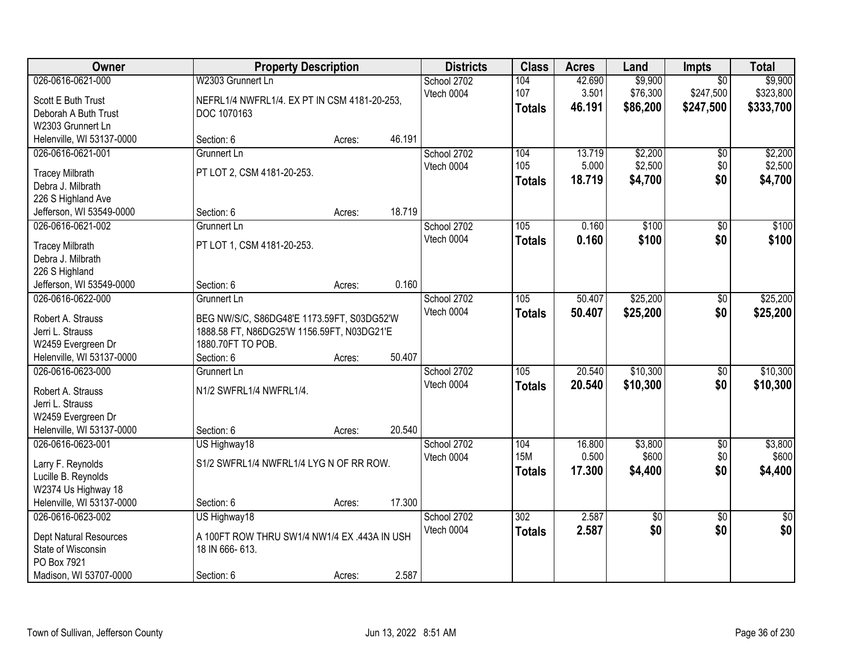| Owner                                                                                                             | <b>Property Description</b>                                                                                                  |        |        | <b>Districts</b>          | <b>Class</b>                | <b>Acres</b>              | Land                            | <b>Impts</b>                              | <b>Total</b>                      |
|-------------------------------------------------------------------------------------------------------------------|------------------------------------------------------------------------------------------------------------------------------|--------|--------|---------------------------|-----------------------------|---------------------------|---------------------------------|-------------------------------------------|-----------------------------------|
| 026-0616-0621-000<br>Scott E Buth Trust<br>Deborah A Buth Trust<br>W2303 Grunnert Ln                              | W2303 Grunnert Ln<br>NEFRL1/4 NWFRL1/4. EX PT IN CSM 4181-20-253,<br>DOC 1070163                                             |        |        | School 2702<br>Vtech 0004 | 104<br>107<br><b>Totals</b> | 42.690<br>3.501<br>46.191 | \$9,900<br>\$76,300<br>\$86,200 | $\overline{50}$<br>\$247,500<br>\$247,500 | \$9,900<br>\$323,800<br>\$333,700 |
| Helenville, WI 53137-0000                                                                                         | Section: 6                                                                                                                   | Acres: | 46.191 |                           |                             |                           |                                 |                                           |                                   |
| 026-0616-0621-001<br><b>Tracey Milbrath</b><br>Debra J. Milbrath<br>226 S Highland Ave                            | Grunnert Ln<br>PT LOT 2, CSM 4181-20-253.                                                                                    |        |        | School 2702<br>Vtech 0004 | 104<br>105<br>Totals        | 13.719<br>5.000<br>18.719 | \$2,200<br>\$2,500<br>\$4,700   | \$0<br>\$0<br>\$0                         | \$2,200<br>\$2,500<br>\$4,700     |
| Jefferson, WI 53549-0000                                                                                          | Section: 6                                                                                                                   | Acres: | 18.719 |                           |                             |                           |                                 |                                           |                                   |
| 026-0616-0621-002<br><b>Tracey Milbrath</b><br>Debra J. Milbrath<br>226 S Highland                                | Grunnert Ln<br>PT LOT 1, CSM 4181-20-253.                                                                                    |        |        | School 2702<br>Vtech 0004 | 105<br><b>Totals</b>        | 0.160<br>0.160            | \$100<br>\$100                  | $\overline{50}$<br>\$0                    | \$100<br>\$100                    |
| Jefferson, WI 53549-0000                                                                                          | Section: 6                                                                                                                   | Acres: | 0.160  |                           |                             |                           |                                 |                                           |                                   |
| 026-0616-0622-000<br>Robert A. Strauss<br>Jerri L. Strauss<br>W2459 Evergreen Dr                                  | Grunnert Ln<br>BEG NW/S/C, S86DG48'E 1173.59FT, S03DG52'W<br>1888.58 FT, N86DG25'W 1156.59FT, N03DG21'E<br>1880.70FT TO POB. |        |        | School 2702<br>Vtech 0004 | 105<br><b>Totals</b>        | 50.407<br>50.407          | \$25,200<br>\$25,200            | \$0<br>\$0                                | \$25,200<br>\$25,200              |
| Helenville, WI 53137-0000                                                                                         | Section: 6                                                                                                                   | Acres: | 50.407 |                           |                             |                           |                                 |                                           |                                   |
| 026-0616-0623-000<br>Robert A. Strauss<br>Jerri L. Strauss<br>W2459 Evergreen Dr<br>Helenville, WI 53137-0000     | Grunnert Ln<br>N1/2 SWFRL1/4 NWFRL1/4.<br>Section: 6                                                                         | Acres: | 20.540 | School 2702<br>Vtech 0004 | 105<br><b>Totals</b>        | 20.540<br>20.540          | \$10,300<br>\$10,300            | $\overline{50}$<br>\$0                    | \$10,300<br>\$10,300              |
| 026-0616-0623-001                                                                                                 | US Highway18                                                                                                                 |        |        | School 2702               | 104                         | 16.800                    | \$3,800                         | $\sqrt{$0}$                               | \$3,800                           |
| Larry F. Reynolds<br>Lucille B. Reynolds<br>W2374 Us Highway 18                                                   | S1/2 SWFRL1/4 NWFRL1/4 LYG N OF RR ROW.                                                                                      |        |        | Vtech 0004                | <b>15M</b><br><b>Totals</b> | 0.500<br>17.300           | \$600<br>\$4,400                | \$0<br>\$0                                | \$600<br>\$4,400                  |
| Helenville, WI 53137-0000                                                                                         | Section: 6                                                                                                                   | Acres: | 17.300 |                           |                             |                           |                                 |                                           |                                   |
| 026-0616-0623-002<br><b>Dept Natural Resources</b><br>State of Wisconsin<br>PO Box 7921<br>Madison, WI 53707-0000 | US Highway18<br>A 100FT ROW THRU SW1/4 NW1/4 EX .443A IN USH<br>18 IN 666-613.<br>Section: 6                                 | Acres: | 2.587  | School 2702<br>Vtech 0004 | 302<br><b>Totals</b>        | 2.587<br>2.587            | $\overline{60}$<br>\$0          | $\overline{50}$<br>\$0                    | $\sqrt{50}$<br>\$0                |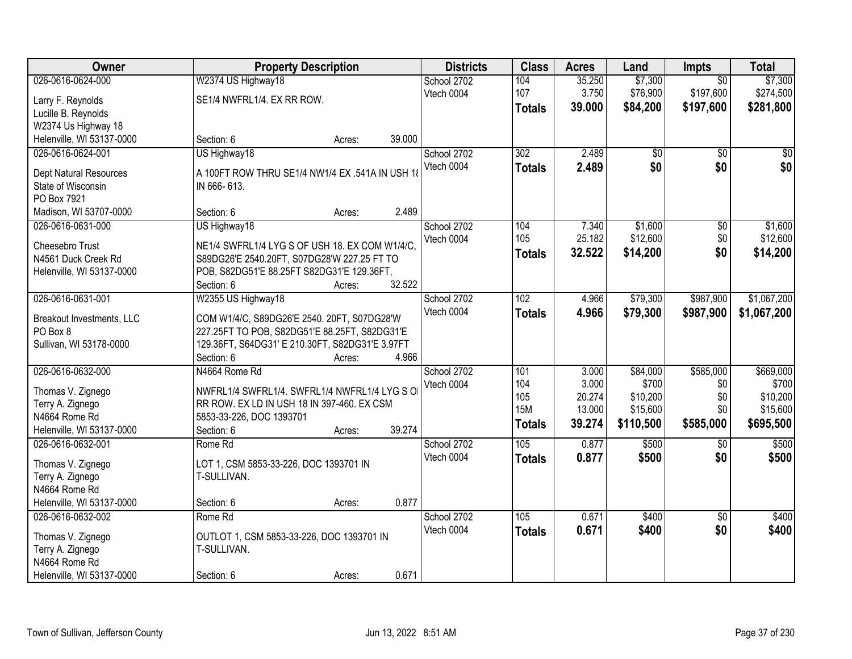| Owner                                       | <b>Property Description</b>                     |                  | <b>Districts</b> | <b>Class</b>     | <b>Acres</b> | Land      | Impts           | <b>Total</b> |
|---------------------------------------------|-------------------------------------------------|------------------|------------------|------------------|--------------|-----------|-----------------|--------------|
| 026-0616-0624-000                           | W2374 US Highway18                              |                  | School 2702      | 104              | 35.250       | \$7,300   | $\overline{50}$ | \$7,300      |
| Larry F. Reynolds                           | SE1/4 NWFRL1/4. EX RR ROW.                      |                  | Vtech 0004       | 107              | 3.750        | \$76,900  | \$197,600       | \$274,500    |
| Lucille B. Reynolds                         |                                                 |                  |                  | <b>Totals</b>    | 39.000       | \$84,200  | \$197,600       | \$281,800    |
| W2374 Us Highway 18                         |                                                 |                  |                  |                  |              |           |                 |              |
| Helenville, WI 53137-0000                   | Section: 6                                      | 39.000<br>Acres: |                  |                  |              |           |                 |              |
| 026-0616-0624-001                           | US Highway18                                    |                  | School 2702      | $\overline{302}$ | 2.489        | \$0       | $\overline{50}$ | \$0          |
|                                             |                                                 |                  | Vtech 0004       | <b>Totals</b>    | 2.489        | \$0       | \$0             | \$0          |
| Dept Natural Resources                      | A 100FT ROW THRU SE1/4 NW1/4 EX .541A IN USH 1  |                  |                  |                  |              |           |                 |              |
| State of Wisconsin                          | IN 666-613.                                     |                  |                  |                  |              |           |                 |              |
| PO Box 7921                                 | Section: 6                                      | 2.489            |                  |                  |              |           |                 |              |
| Madison, WI 53707-0000<br>026-0616-0631-000 | US Highway18                                    | Acres:           | School 2702      | 104              | 7.340        | \$1,600   | $\overline{50}$ | \$1,600      |
|                                             |                                                 |                  | Vtech 0004       | 105              | 25.182       | \$12,600  | \$0             | \$12,600     |
| Cheesebro Trust                             | NE1/4 SWFRL1/4 LYG S OF USH 18. EX COM W1/4/C.  |                  |                  |                  | 32.522       | \$14,200  | \$0             |              |
| N4561 Duck Creek Rd                         | S89DG26'E 2540.20FT, S07DG28'W 227.25 FT TO     |                  |                  | <b>Totals</b>    |              |           |                 | \$14,200     |
| Helenville, WI 53137-0000                   | POB, S82DG51'E 88.25FT S82DG31'E 129.36FT,      |                  |                  |                  |              |           |                 |              |
|                                             | Section: 6                                      | 32.522<br>Acres: |                  |                  |              |           |                 |              |
| 026-0616-0631-001                           | W2355 US Highway18                              |                  | School 2702      | 102              | 4.966        | \$79,300  | \$987,900       | \$1,067,200  |
| Breakout Investments, LLC                   | COM W1/4/C, S89DG26'E 2540. 20FT, S07DG28'W     |                  | Vtech 0004       | <b>Totals</b>    | 4.966        | \$79,300  | \$987,900       | \$1,067,200  |
| PO Box 8                                    | 227.25FT TO POB, S82DG51'E 88.25FT, S82DG31'E   |                  |                  |                  |              |           |                 |              |
| Sullivan, WI 53178-0000                     | 129.36FT, S64DG31' E 210.30FT, S82DG31'E 3.97FT |                  |                  |                  |              |           |                 |              |
|                                             | Section: 6                                      | 4.966<br>Acres:  |                  |                  |              |           |                 |              |
| 026-0616-0632-000                           | N4664 Rome Rd                                   |                  | School 2702      | 101              | 3.000        | \$84,000  | \$585,000       | \$669,000    |
|                                             |                                                 |                  | Vtech 0004       | 104              | 3.000        | \$700     | \$0             | \$700        |
| Thomas V. Zignego                           | NWFRL1/4 SWFRL1/4. SWFRL1/4 NWFRL1/4 LYG SO     |                  |                  | 105              | 20.274       | \$10,200  | \$0             | \$10,200     |
| Terry A. Zignego                            | RR ROW. EX LD IN USH 18 IN 397-460. EX CSM      |                  |                  | <b>15M</b>       | 13.000       | \$15,600  | \$0             | \$15,600     |
| N4664 Rome Rd                               | 5853-33-226, DOC 1393701                        |                  |                  | <b>Totals</b>    | 39.274       | \$110,500 | \$585,000       | \$695,500    |
| Helenville, WI 53137-0000                   | Section: 6                                      | 39.274<br>Acres: |                  |                  |              |           |                 |              |
| 026-0616-0632-001                           | Rome Rd                                         |                  | School 2702      | 105              | 0.877        | \$500     | \$0             | \$500        |
| Thomas V. Zignego                           | LOT 1, CSM 5853-33-226, DOC 1393701 IN          |                  | Vtech 0004       | <b>Totals</b>    | 0.877        | \$500     | \$0             | \$500        |
| Terry A. Zignego                            | T-SULLIVAN.                                     |                  |                  |                  |              |           |                 |              |
| N4664 Rome Rd                               |                                                 |                  |                  |                  |              |           |                 |              |
| Helenville, WI 53137-0000                   | Section: 6                                      | 0.877<br>Acres:  |                  |                  |              |           |                 |              |
| 026-0616-0632-002                           | Rome Rd                                         |                  | School 2702      | 105              | 0.671        | \$400     | $\overline{50}$ | \$400        |
| Thomas V. Zignego                           | OUTLOT 1, CSM 5853-33-226, DOC 1393701 IN       |                  | Vtech 0004       | <b>Totals</b>    | 0.671        | \$400     | \$0             | \$400        |
| Terry A. Zignego                            | T-SULLIVAN.                                     |                  |                  |                  |              |           |                 |              |
| N4664 Rome Rd                               |                                                 |                  |                  |                  |              |           |                 |              |
| Helenville, WI 53137-0000                   | Section: 6                                      | 0.671<br>Acres:  |                  |                  |              |           |                 |              |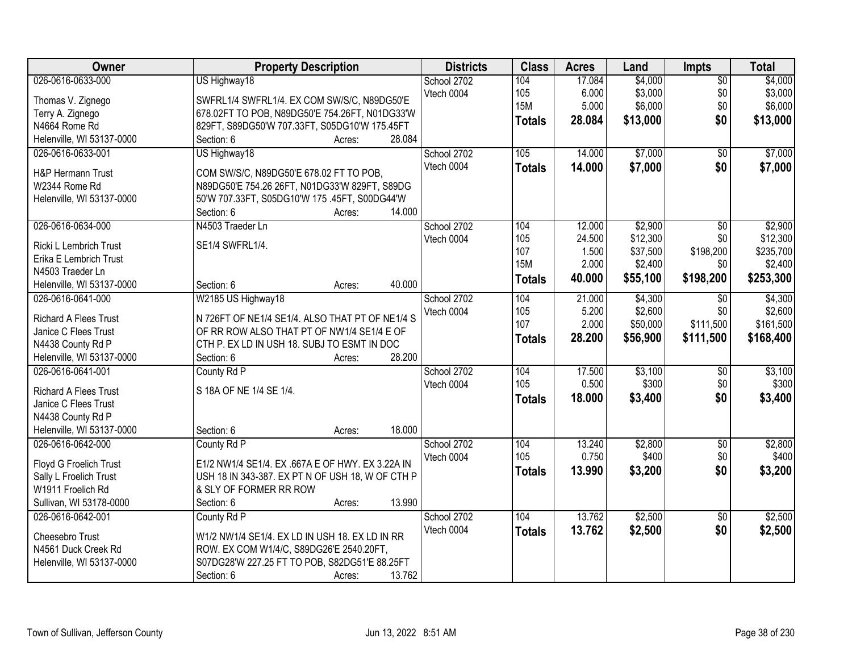| Owner                                          | <b>Property Description</b>                      | <b>Districts</b> | <b>Class</b>  | <b>Acres</b> | Land     | <b>Impts</b>    | <b>Total</b> |
|------------------------------------------------|--------------------------------------------------|------------------|---------------|--------------|----------|-----------------|--------------|
| 026-0616-0633-000                              | US Highway18                                     | School 2702      | 104           | 17.084       | \$4,000  | $\overline{50}$ | \$4,000      |
| Thomas V. Zignego                              | SWFRL1/4 SWFRL1/4. EX COM SW/S/C, N89DG50'E      | Vtech 0004       | 105           | 6.000        | \$3,000  | \$0             | \$3,000      |
| Terry A. Zignego                               | 678.02FT TO POB, N89DG50'E 754.26FT, N01DG33'W   |                  | 15M           | 5.000        | \$6,000  | \$0             | \$6,000      |
| N4664 Rome Rd                                  | 829FT, S89DG50'W 707.33FT, S05DG10'W 175.45FT    |                  | <b>Totals</b> | 28.084       | \$13,000 | \$0             | \$13,000     |
| Helenville, WI 53137-0000                      | Section: 6<br>28.084<br>Acres:                   |                  |               |              |          |                 |              |
| 026-0616-0633-001                              | US Highway18                                     | School 2702      | 105           | 14.000       | \$7,000  | $\overline{50}$ | \$7,000      |
|                                                |                                                  | Vtech 0004       |               | 14.000       | \$7,000  | \$0             | \$7,000      |
| <b>H&amp;P Hermann Trust</b>                   | COM SW/S/C, N89DG50'E 678.02 FT TO POB,          |                  | <b>Totals</b> |              |          |                 |              |
| W2344 Rome Rd                                  | N89DG50'E 754.26 26FT, N01DG33'W 829FT, S89DG    |                  |               |              |          |                 |              |
| Helenville, WI 53137-0000                      | 50'W 707.33FT, S05DG10'W 175 .45FT, S00DG44'W    |                  |               |              |          |                 |              |
|                                                | 14.000<br>Section: 6<br>Acres:                   |                  |               |              |          |                 |              |
| 026-0616-0634-000                              | N4503 Traeder Ln                                 | School 2702      | 104           | 12.000       | \$2,900  | $\overline{50}$ | \$2,900      |
| Ricki L Lembrich Trust                         | SE1/4 SWFRL1/4.                                  | Vtech 0004       | 105           | 24.500       | \$12,300 | \$0             | \$12,300     |
| Erika E Lembrich Trust                         |                                                  |                  | 107           | 1.500        | \$37,500 | \$198,200       | \$235,700    |
| N4503 Traeder Ln                               |                                                  |                  | <b>15M</b>    | 2.000        | \$2,400  | \$0             | \$2,400      |
|                                                | 40.000<br>Section: 6                             |                  | <b>Totals</b> | 40.000       | \$55,100 | \$198,200       | \$253,300    |
| Helenville, WI 53137-0000<br>026-0616-0641-000 | Acres:                                           |                  |               |              |          |                 |              |
|                                                | W2185 US Highway18                               | School 2702      | 104           | 21.000       | \$4,300  | \$0<br>\$0      | \$4,300      |
| <b>Richard A Flees Trust</b>                   | N 726FT OF NE1/4 SE1/4. ALSO THAT PT OF NE1/4 S  | Vtech 0004       | 105           | 5.200        | \$2,600  |                 | \$2,600      |
| Janice C Flees Trust                           | OF RR ROW ALSO THAT PT OF NW1/4 SE1/4 E OF       |                  | 107           | 2.000        | \$50,000 | \$111,500       | \$161,500    |
| N4438 County Rd P                              | CTH P. EX LD IN USH 18. SUBJ TO ESMT IN DOC      |                  | <b>Totals</b> | 28.200       | \$56,900 | \$111,500       | \$168,400    |
| Helenville, WI 53137-0000                      | 28.200<br>Section: 6<br>Acres:                   |                  |               |              |          |                 |              |
| 026-0616-0641-001                              | County Rd P                                      | School 2702      | 104           | 17.500       | \$3,100  | $\overline{50}$ | \$3,100      |
|                                                |                                                  | Vtech 0004       | 105           | 0.500        | \$300    | \$0             | \$300        |
| <b>Richard A Flees Trust</b>                   | S 18A OF NE 1/4 SE 1/4.                          |                  | <b>Totals</b> | 18,000       | \$3,400  | \$0             | \$3,400      |
| Janice C Flees Trust                           |                                                  |                  |               |              |          |                 |              |
| N4438 County Rd P                              |                                                  |                  |               |              |          |                 |              |
| Helenville, WI 53137-0000                      | 18.000<br>Section: 6<br>Acres:                   |                  |               |              |          |                 |              |
| 026-0616-0642-000                              | County Rd P                                      | School 2702      | 104           | 13.240       | \$2,800  | $\sqrt{6}$      | \$2,800      |
| Floyd G Froelich Trust                         | E1/2 NW1/4 SE1/4. EX .667A E OF HWY. EX 3.22A IN | Vtech 0004       | 105           | 0.750        | \$400    | \$0             | \$400        |
| Sally L Froelich Trust                         | USH 18 IN 343-387. EX PT N OF USH 18, W OF CTH P |                  | <b>Totals</b> | 13.990       | \$3,200  | \$0             | \$3,200      |
| W1911 Froelich Rd                              | & SLY OF FORMER RR ROW                           |                  |               |              |          |                 |              |
| Sullivan, WI 53178-0000                        | 13.990<br>Section: 6<br>Acres:                   |                  |               |              |          |                 |              |
| 026-0616-0642-001                              | County Rd P                                      | School 2702      | 104           | 13.762       | \$2,500  | $\overline{50}$ | \$2,500      |
|                                                |                                                  | Vtech 0004       | <b>Totals</b> | 13.762       | \$2,500  | \$0             | \$2,500      |
| Cheesebro Trust                                | W1/2 NW1/4 SE1/4. EX LD IN USH 18. EX LD IN RR   |                  |               |              |          |                 |              |
| N4561 Duck Creek Rd                            | ROW. EX COM W1/4/C, S89DG26'E 2540.20FT,         |                  |               |              |          |                 |              |
| Helenville, WI 53137-0000                      | S07DG28'W 227.25 FT TO POB, S82DG51'E 88.25FT    |                  |               |              |          |                 |              |
|                                                | 13.762<br>Section: 6<br>Acres:                   |                  |               |              |          |                 |              |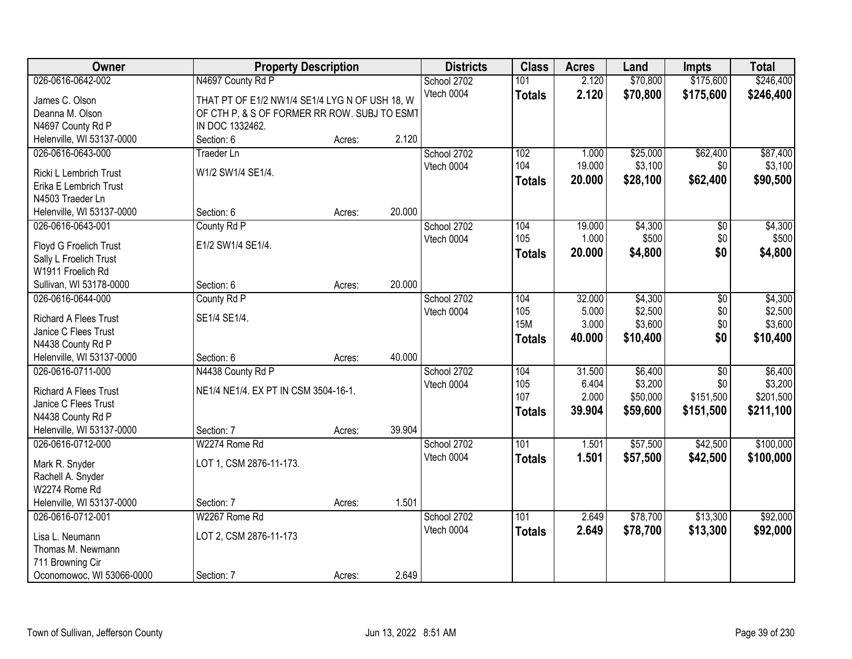| Owner                        | <b>Property Description</b>                    |        |        | <b>Districts</b> | <b>Class</b>  | <b>Acres</b> | Land     | <b>Impts</b>    | <b>Total</b> |
|------------------------------|------------------------------------------------|--------|--------|------------------|---------------|--------------|----------|-----------------|--------------|
| 026-0616-0642-002            | N4697 County Rd P                              |        |        | School 2702      | 101           | 2.120        | \$70,800 | \$175,600       | \$246,400    |
| James C. Olson               | THAT PT OF E1/2 NW1/4 SE1/4 LYG N OF USH 18, W |        |        | Vtech 0004       | <b>Totals</b> | 2.120        | \$70,800 | \$175,600       | \$246,400    |
| Deanna M. Olson              | OF CTH P, & S OF FORMER RR ROW. SUBJ TO ESMT   |        |        |                  |               |              |          |                 |              |
| N4697 County Rd P            | IN DOC 1332462.                                |        |        |                  |               |              |          |                 |              |
| Helenville, WI 53137-0000    | Section: 6                                     | Acres: | 2.120  |                  |               |              |          |                 |              |
| 026-0616-0643-000            | <b>Traeder Ln</b>                              |        |        | School 2702      | 102           | 1.000        | \$25,000 | \$62,400        | \$87,400     |
|                              |                                                |        |        | Vtech 0004       | 104           | 19.000       | \$3,100  | \$0             | \$3,100      |
| Ricki L Lembrich Trust       | W1/2 SW1/4 SE1/4.                              |        |        |                  | <b>Totals</b> | 20.000       | \$28,100 | \$62,400        | \$90,500     |
| Erika E Lembrich Trust       |                                                |        |        |                  |               |              |          |                 |              |
| N4503 Traeder Ln             |                                                |        |        |                  |               |              |          |                 |              |
| Helenville, WI 53137-0000    | Section: 6                                     | Acres: | 20.000 |                  |               |              |          |                 |              |
| 026-0616-0643-001            | County Rd P                                    |        |        | School 2702      | 104           | 19.000       | \$4,300  | $\sqrt[6]{30}$  | \$4,300      |
| Floyd G Froelich Trust       | E1/2 SW1/4 SE1/4.                              |        |        | Vtech 0004       | 105           | 1.000        | \$500    | \$0             | \$500        |
| Sally L Froelich Trust       |                                                |        |        |                  | <b>Totals</b> | 20.000       | \$4,800  | \$0             | \$4,800      |
| W1911 Froelich Rd            |                                                |        |        |                  |               |              |          |                 |              |
| Sullivan, WI 53178-0000      | Section: 6                                     | Acres: | 20.000 |                  |               |              |          |                 |              |
| 026-0616-0644-000            | County Rd P                                    |        |        | School 2702      | 104           | 32.000       | \$4,300  | \$0             | \$4,300      |
| <b>Richard A Flees Trust</b> | SE1/4 SE1/4.                                   |        |        | Vtech 0004       | 105           | 5.000        | \$2,500  | \$0             | \$2,500      |
| Janice C Flees Trust         |                                                |        |        |                  | <b>15M</b>    | 3.000        | \$3,600  | \$0             | \$3,600      |
| N4438 County Rd P            |                                                |        |        |                  | <b>Totals</b> | 40.000       | \$10,400 | \$0             | \$10,400     |
| Helenville, WI 53137-0000    | Section: 6                                     | Acres: | 40.000 |                  |               |              |          |                 |              |
| 026-0616-0711-000            | N4438 County Rd P                              |        |        | School 2702      | 104           | 31.500       | \$6,400  | $\overline{30}$ | \$6,400      |
|                              |                                                |        |        | Vtech 0004       | 105           | 6.404        | \$3,200  | \$0             | \$3,200      |
| <b>Richard A Flees Trust</b> | NE1/4 NE1/4. EX PT IN CSM 3504-16-1.           |        |        |                  | 107           | 2.000        | \$50,000 | \$151,500       | \$201,500    |
| Janice C Flees Trust         |                                                |        |        |                  | <b>Totals</b> | 39.904       | \$59,600 | \$151,500       | \$211,100    |
| N4438 County Rd P            |                                                |        |        |                  |               |              |          |                 |              |
| Helenville, WI 53137-0000    | Section: 7                                     | Acres: | 39.904 |                  |               |              |          |                 |              |
| 026-0616-0712-000            | W2274 Rome Rd                                  |        |        | School 2702      | 101           | 1.501        | \$57,500 | \$42,500        | \$100,000    |
| Mark R. Snyder               | LOT 1, CSM 2876-11-173.                        |        |        | Vtech 0004       | <b>Totals</b> | 1.501        | \$57,500 | \$42,500        | \$100,000    |
| Rachell A. Snyder            |                                                |        |        |                  |               |              |          |                 |              |
| W2274 Rome Rd                |                                                |        |        |                  |               |              |          |                 |              |
| Helenville, WI 53137-0000    | Section: 7                                     | Acres: | 1.501  |                  |               |              |          |                 |              |
| 026-0616-0712-001            | W2267 Rome Rd                                  |        |        | School 2702      | 101           | 2.649        | \$78,700 | \$13,300        | \$92,000     |
|                              |                                                |        |        | Vtech 0004       | <b>Totals</b> | 2.649        | \$78,700 | \$13,300        | \$92,000     |
| Lisa L. Neumann              | LOT 2, CSM 2876-11-173                         |        |        |                  |               |              |          |                 |              |
| Thomas M. Newmann            |                                                |        |        |                  |               |              |          |                 |              |
| 711 Browning Cir             |                                                |        |        |                  |               |              |          |                 |              |
| Oconomowoc, WI 53066-0000    | Section: 7                                     | Acres: | 2.649  |                  |               |              |          |                 |              |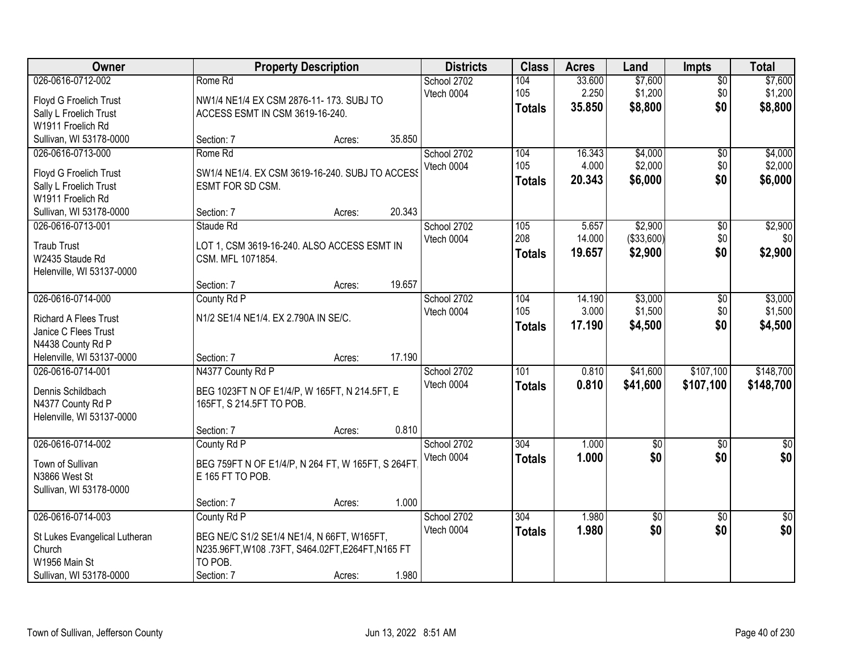| Owner                         |                                                   | <b>Property Description</b> |        | <b>Districts</b> | <b>Class</b>     | <b>Acres</b> | Land            | <b>Impts</b>    | <b>Total</b>     |
|-------------------------------|---------------------------------------------------|-----------------------------|--------|------------------|------------------|--------------|-----------------|-----------------|------------------|
| 026-0616-0712-002             | Rome Rd                                           |                             |        | School 2702      | 104              | 33.600       | \$7,600         | $\sqrt{$0}$     | \$7,600          |
| Floyd G Froelich Trust        | NW1/4 NE1/4 EX CSM 2876-11-173. SUBJ TO           |                             |        | Vtech 0004       | 105              | 2.250        | \$1,200         | \$0             | \$1,200          |
| Sally L Froelich Trust        | ACCESS ESMT IN CSM 3619-16-240.                   |                             |        |                  | <b>Totals</b>    | 35.850       | \$8,800         | \$0             | \$8,800          |
| W1911 Froelich Rd             |                                                   |                             |        |                  |                  |              |                 |                 |                  |
| Sullivan, WI 53178-0000       | Section: 7                                        | Acres:                      | 35.850 |                  |                  |              |                 |                 |                  |
| 026-0616-0713-000             | Rome Rd                                           |                             |        | School 2702      | 104              | 16.343       | \$4,000         | $\overline{50}$ | \$4,000          |
| Floyd G Froelich Trust        | SW1/4 NE1/4. EX CSM 3619-16-240. SUBJ TO ACCESS   |                             |        | Vtech 0004       | 105              | 4.000        | \$2,000         | \$0             | \$2,000          |
| Sally L Froelich Trust        | ESMT FOR SD CSM.                                  |                             |        |                  | <b>Totals</b>    | 20.343       | \$6,000         | \$0             | \$6,000          |
| W1911 Froelich Rd             |                                                   |                             |        |                  |                  |              |                 |                 |                  |
| Sullivan, WI 53178-0000       | Section: 7                                        | Acres:                      | 20.343 |                  |                  |              |                 |                 |                  |
| 026-0616-0713-001             | Staude Rd                                         |                             |        | School 2702      | 105              | 5.657        | \$2,900         | $\overline{50}$ | \$2,900          |
| <b>Traub Trust</b>            | LOT 1, CSM 3619-16-240. ALSO ACCESS ESMT IN       |                             |        | Vtech 0004       | 208              | 14.000       | (\$33,600)      | \$0             | \$0              |
| W2435 Staude Rd               | CSM. MFL 1071854.                                 |                             |        |                  | <b>Totals</b>    | 19.657       | \$2,900         | \$0             | \$2,900          |
| Helenville, WI 53137-0000     |                                                   |                             |        |                  |                  |              |                 |                 |                  |
|                               | Section: 7                                        | Acres:                      | 19.657 |                  |                  |              |                 |                 |                  |
| 026-0616-0714-000             | County Rd P                                       |                             |        | School 2702      | 104              | 14.190       | \$3,000         | \$0             | \$3,000          |
| <b>Richard A Flees Trust</b>  | N1/2 SE1/4 NE1/4. EX 2.790A IN SE/C.              |                             |        | Vtech 0004       | 105              | 3.000        | \$1,500         | \$0             | \$1,500          |
| Janice C Flees Trust          |                                                   |                             |        |                  | <b>Totals</b>    | 17.190       | \$4,500         | \$0             | \$4,500          |
| N4438 County Rd P             |                                                   |                             |        |                  |                  |              |                 |                 |                  |
| Helenville, WI 53137-0000     | Section: 7                                        | Acres:                      | 17.190 |                  |                  |              |                 |                 |                  |
| 026-0616-0714-001             | N4377 County Rd P                                 |                             |        | School 2702      | 101              | 0.810        | \$41,600        | \$107,100       | \$148,700        |
| Dennis Schildbach             | BEG 1023FT N OF E1/4/P, W 165FT, N 214.5FT, E     |                             |        | Vtech 0004       | <b>Totals</b>    | 0.810        | \$41,600        | \$107,100       | \$148,700        |
| N4377 County Rd P             | 165FT, S 214.5FT TO POB.                          |                             |        |                  |                  |              |                 |                 |                  |
| Helenville, WI 53137-0000     |                                                   |                             |        |                  |                  |              |                 |                 |                  |
|                               | Section: 7                                        | Acres:                      | 0.810  |                  |                  |              |                 |                 |                  |
| 026-0616-0714-002             | County Rd P                                       |                             |        | School 2702      | $\overline{304}$ | 1.000        | $\overline{50}$ | $\overline{50}$ | $\overline{\$0}$ |
| Town of Sullivan              | BEG 759FT N OF E1/4/P, N 264 FT, W 165FT, S 264FT |                             |        | Vtech 0004       | <b>Totals</b>    | 1.000        | \$0             | \$0             | \$0              |
| N3866 West St                 | E 165 FT TO POB.                                  |                             |        |                  |                  |              |                 |                 |                  |
| Sullivan, WI 53178-0000       |                                                   |                             |        |                  |                  |              |                 |                 |                  |
|                               | Section: 7                                        | Acres:                      | 1.000  |                  |                  |              |                 |                 |                  |
| 026-0616-0714-003             | County Rd P                                       |                             |        | School 2702      | 304              | 1.980        | $\sqrt{6}$      | $\overline{50}$ | $\overline{30}$  |
| St Lukes Evangelical Lutheran | BEG NE/C S1/2 SE1/4 NE1/4, N 66FT, W165FT,        |                             |        | Vtech 0004       | <b>Totals</b>    | 1.980        | \$0             | \$0             | \$0              |
| Church                        | N235.96FT, W108.73FT, S464.02FT, E264FT, N165 FT  |                             |        |                  |                  |              |                 |                 |                  |
| W1956 Main St                 | TO POB.                                           |                             |        |                  |                  |              |                 |                 |                  |
| Sullivan, WI 53178-0000       | Section: 7                                        | Acres:                      | 1.980  |                  |                  |              |                 |                 |                  |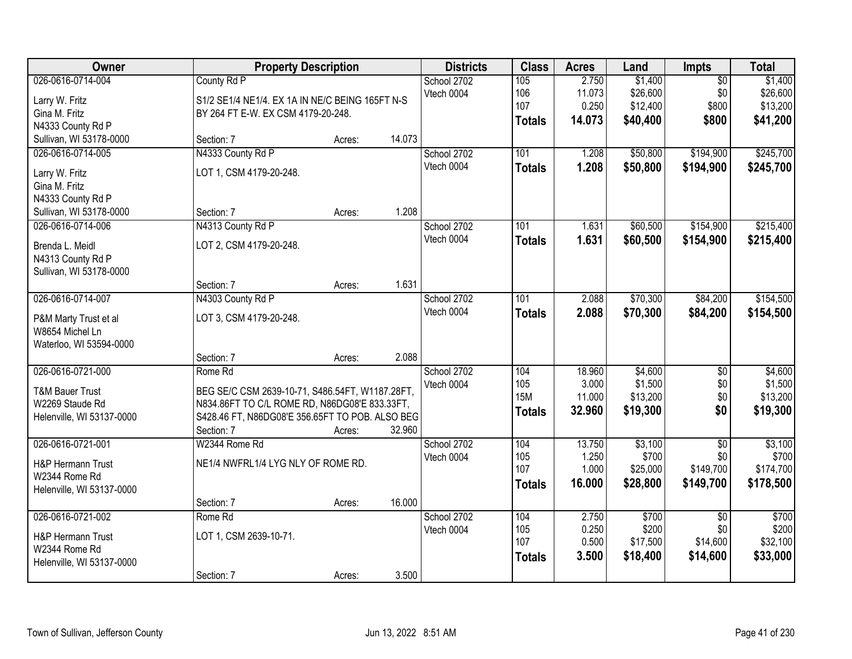| Owner                                                                                           |                                                                                                                                                                              | <b>Property Description</b> |        | <b>Districts</b>          | <b>Class</b>                              | <b>Acres</b>                        | Land                                        | Impts                                            | <b>Total</b>                                |
|-------------------------------------------------------------------------------------------------|------------------------------------------------------------------------------------------------------------------------------------------------------------------------------|-----------------------------|--------|---------------------------|-------------------------------------------|-------------------------------------|---------------------------------------------|--------------------------------------------------|---------------------------------------------|
| 026-0616-0714-004<br>Larry W. Fritz<br>Gina M. Fritz<br>N4333 County Rd P                       | County Rd P<br>S1/2 SE1/4 NE1/4. EX 1A IN NE/C BEING 165FT N-S<br>BY 264 FT E-W. EX CSM 4179-20-248.                                                                         |                             |        | School 2702<br>Vtech 0004 | 105<br>106<br>107<br><b>Totals</b>        | 2.750<br>11.073<br>0.250<br>14.073  | \$1,400<br>\$26,600<br>\$12,400<br>\$40,400 | $\overline{50}$<br>\$0<br>\$800<br>\$800         | \$1,400<br>\$26,600<br>\$13,200<br>\$41,200 |
| Sullivan, WI 53178-0000                                                                         | Section: 7                                                                                                                                                                   | Acres:                      | 14.073 |                           |                                           |                                     |                                             |                                                  |                                             |
| 026-0616-0714-005<br>Larry W. Fritz<br>Gina M. Fritz<br>N4333 County Rd P                       | N4333 County Rd P<br>LOT 1, CSM 4179-20-248.                                                                                                                                 |                             |        | School 2702<br>Vtech 0004 | 101<br><b>Totals</b>                      | 1.208<br>1.208                      | \$50,800<br>\$50,800                        | \$194,900<br>\$194,900                           | \$245,700<br>\$245,700                      |
| Sullivan, WI 53178-0000                                                                         | Section: 7                                                                                                                                                                   | Acres:                      | 1.208  |                           |                                           |                                     |                                             |                                                  |                                             |
| 026-0616-0714-006<br>Brenda L. Meidl<br>N4313 County Rd P<br>Sullivan, WI 53178-0000            | N4313 County Rd P<br>LOT 2, CSM 4179-20-248.                                                                                                                                 |                             |        | School 2702<br>Vtech 0004 | 101<br><b>Totals</b>                      | 1.631<br>1.631                      | \$60,500<br>\$60,500                        | \$154,900<br>\$154,900                           | \$215,400<br>\$215,400                      |
|                                                                                                 | Section: 7                                                                                                                                                                   | Acres:                      | 1.631  |                           |                                           |                                     |                                             |                                                  |                                             |
| 026-0616-0714-007<br>P&M Marty Trust et al<br>W8654 Michel Ln<br>Waterloo, WI 53594-0000        | N4303 County Rd P<br>LOT 3, CSM 4179-20-248.                                                                                                                                 |                             |        | School 2702<br>Vtech 0004 | 101<br><b>Totals</b>                      | 2.088<br>2.088                      | \$70,300<br>\$70,300                        | \$84,200<br>\$84,200                             | \$154,500<br>\$154,500                      |
|                                                                                                 | Section: 7                                                                                                                                                                   | Acres:                      | 2.088  |                           |                                           |                                     |                                             |                                                  |                                             |
| 026-0616-0721-000<br><b>T&amp;M Bauer Trust</b><br>W2269 Staude Rd<br>Helenville, WI 53137-0000 | Rome Rd<br>BEG SE/C CSM 2639-10-71, S486.54FT, W1187.28FT,<br>N834.86FT TO C/L ROME RD, N86DG08'E 833.33FT,<br>S428.46 FT, N86DG08'E 356.65FT TO POB. ALSO BEG<br>Section: 7 | Acres:                      | 32.960 | School 2702<br>Vtech 0004 | 104<br>105<br><b>15M</b><br><b>Totals</b> | 18.960<br>3.000<br>11.000<br>32.960 | \$4,600<br>\$1,500<br>\$13,200<br>\$19,300  | $\overline{50}$<br>\$0<br>\$0<br>\$0             | \$4,600<br>\$1,500<br>\$13,200<br>\$19,300  |
| 026-0616-0721-001<br>H&P Hermann Trust<br>W2344 Rome Rd<br>Helenville, WI 53137-0000            | W2344 Rome Rd<br>NE1/4 NWFRL1/4 LYG NLY OF ROME RD.<br>Section: 7                                                                                                            | Acres:                      | 16.000 | School 2702<br>Vtech 0004 | 104<br>105<br>107<br><b>Totals</b>        | 13.750<br>1.250<br>1.000<br>16.000  | \$3,100<br>\$700<br>\$25,000<br>\$28,800    | $\overline{50}$<br>\$0<br>\$149,700<br>\$149,700 | \$3,100<br>\$700<br>\$174,700<br>\$178,500  |
| 026-0616-0721-002<br><b>H&amp;P Hermann Trust</b><br>W2344 Rome Rd<br>Helenville, WI 53137-0000 | Rome Rd<br>LOT 1, CSM 2639-10-71.<br>Section: 7                                                                                                                              | Acres:                      | 3.500  | School 2702<br>Vtech 0004 | 104<br>105<br>107<br><b>Totals</b>        | 2.750<br>0.250<br>0.500<br>3.500    | \$700<br>\$200<br>\$17,500<br>\$18,400      | $\overline{50}$<br>\$0<br>\$14,600<br>\$14,600   | \$700<br>\$200<br>\$32,100<br>\$33,000      |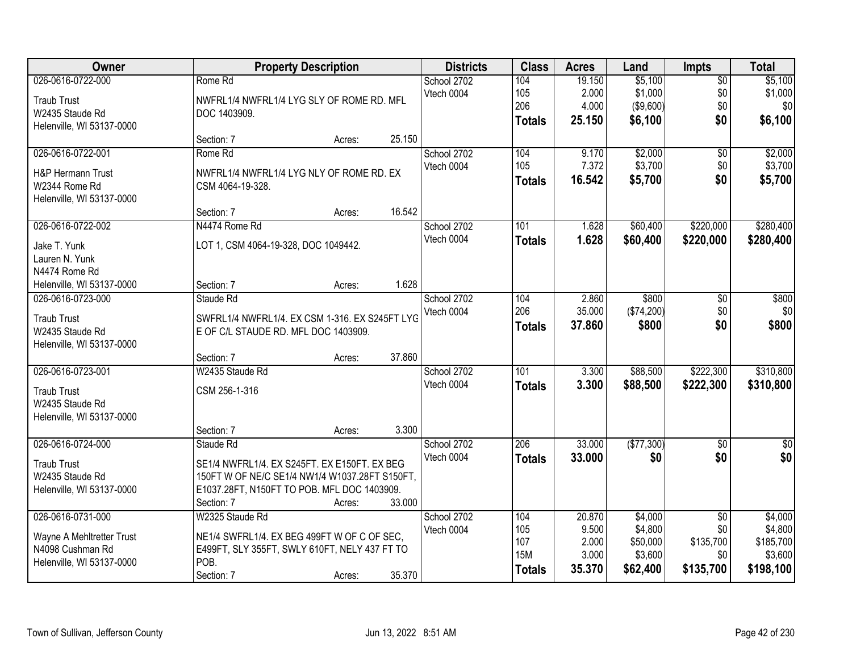| Owner                                                                                           |                                                                                                                                                             | <b>Property Description</b> |        | <b>Districts</b>          | <b>Class</b>                                     | <b>Acres</b>                                | Land                                                  | Impts                                                   | <b>Total</b>                                            |
|-------------------------------------------------------------------------------------------------|-------------------------------------------------------------------------------------------------------------------------------------------------------------|-----------------------------|--------|---------------------------|--------------------------------------------------|---------------------------------------------|-------------------------------------------------------|---------------------------------------------------------|---------------------------------------------------------|
| 026-0616-0722-000<br><b>Traub Trust</b><br>W2435 Staude Rd<br>Helenville, WI 53137-0000         | Rome Rd<br>NWFRL1/4 NWFRL1/4 LYG SLY OF ROME RD. MFL<br>DOC 1403909.                                                                                        |                             |        | School 2702<br>Vtech 0004 | 104<br>105<br>206<br><b>Totals</b>               | 19.150<br>2.000<br>4.000<br>25.150          | \$5,100<br>\$1,000<br>( \$9,600)<br>\$6,100           | $\overline{50}$<br>\$0<br>\$0<br>\$0                    | \$5,100<br>\$1,000<br>\$0<br>\$6,100                    |
|                                                                                                 | Section: 7                                                                                                                                                  | Acres:                      | 25.150 |                           |                                                  |                                             |                                                       |                                                         |                                                         |
| 026-0616-0722-001<br><b>H&amp;P Hermann Trust</b><br>W2344 Rome Rd<br>Helenville, WI 53137-0000 | Rome Rd<br>NWFRL1/4 NWFRL1/4 LYG NLY OF ROME RD. EX<br>CSM 4064-19-328.                                                                                     |                             |        | School 2702<br>Vtech 0004 | 104<br>105<br><b>Totals</b>                      | 9.170<br>7.372<br>16.542                    | \$2,000<br>\$3,700<br>\$5,700                         | $\overline{50}$<br>\$0<br>\$0                           | \$2,000<br>\$3,700<br>\$5,700                           |
| 026-0616-0722-002                                                                               | Section: 7<br>N4474 Rome Rd                                                                                                                                 | Acres:                      | 16.542 | School 2702               | 101                                              | 1.628                                       | \$60,400                                              | \$220,000                                               | \$280,400                                               |
| Jake T. Yunk<br>Lauren N. Yunk<br>N4474 Rome Rd                                                 | LOT 1, CSM 4064-19-328, DOC 1049442.                                                                                                                        |                             |        | Vtech 0004                | <b>Totals</b>                                    | 1.628                                       | \$60,400                                              | \$220,000                                               | \$280,400                                               |
| Helenville, WI 53137-0000                                                                       | Section: 7                                                                                                                                                  | Acres:                      | 1.628  |                           |                                                  |                                             |                                                       |                                                         |                                                         |
| 026-0616-0723-000<br><b>Traub Trust</b><br>W2435 Staude Rd<br>Helenville, WI 53137-0000         | Staude Rd<br>SWFRL1/4 NWFRL1/4. EX CSM 1-316. EX S245FT LYG<br>E OF C/L STAUDE RD. MFL DOC 1403909.                                                         |                             |        | School 2702<br>Vtech 0004 | 104<br>206<br><b>Totals</b>                      | 2.860<br>35.000<br>37.860                   | \$800<br>(\$74,200)<br>\$800                          | \$0<br>\$0<br>\$0                                       | \$800<br>\$0<br>\$800                                   |
|                                                                                                 | Section: 7                                                                                                                                                  | Acres:                      | 37.860 |                           |                                                  |                                             |                                                       |                                                         |                                                         |
| 026-0616-0723-001<br><b>Traub Trust</b><br>W2435 Staude Rd<br>Helenville, WI 53137-0000         | W2435 Staude Rd<br>CSM 256-1-316                                                                                                                            |                             | 3.300  | School 2702<br>Vtech 0004 | 101<br><b>Totals</b>                             | 3.300<br>3.300                              | \$88,500<br>\$88,500                                  | \$222,300<br>\$222,300                                  | \$310,800<br>\$310,800                                  |
| 026-0616-0724-000                                                                               | Section: 7<br>Staude Rd                                                                                                                                     | Acres:                      |        | School 2702               | 206                                              | 33.000                                      | (\$77,300)                                            | $\sqrt{6}$                                              | $\frac{1}{6}$                                           |
| <b>Traub Trust</b><br>W2435 Staude Rd<br>Helenville, WI 53137-0000                              | SE1/4 NWFRL1/4. EX S245FT. EX E150FT. EX BEG<br>150FT W OF NE/C SE1/4 NW1/4 W1037.28FT S150FT,<br>E1037.28FT, N150FT TO POB. MFL DOC 1403909.<br>Section: 7 | Acres:                      | 33.000 | Vtech 0004                | <b>Totals</b>                                    | 33.000                                      | \$0                                                   | \$0                                                     | \$0                                                     |
| 026-0616-0731-000<br>Wayne A Mehltretter Trust<br>N4098 Cushman Rd<br>Helenville, WI 53137-0000 | W2325 Staude Rd<br>NE1/4 SWFRL1/4. EX BEG 499FT W OF C OF SEC,<br>E499FT, SLY 355FT, SWLY 610FT, NELY 437 FT TO<br>POB.<br>Section: 7                       | Acres:                      | 35.370 | School 2702<br>Vtech 0004 | 104<br>105<br>107<br><b>15M</b><br><b>Totals</b> | 20.870<br>9.500<br>2.000<br>3.000<br>35.370 | \$4,000<br>\$4,800<br>\$50,000<br>\$3,600<br>\$62,400 | $\overline{50}$<br>\$0<br>\$135,700<br>\$0<br>\$135,700 | \$4,000<br>\$4,800<br>\$185,700<br>\$3,600<br>\$198,100 |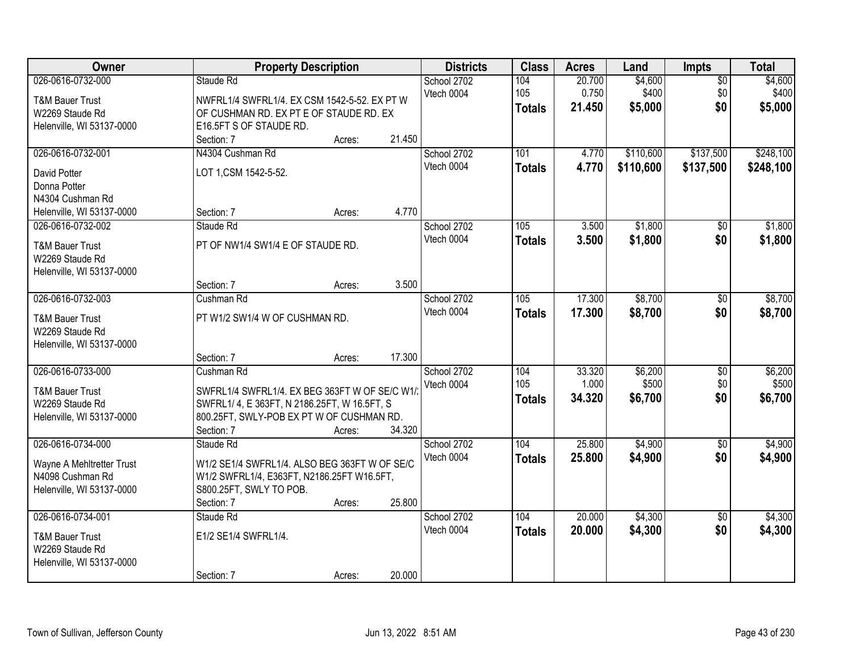| Owner                                           | <b>Property Description</b>                               |        |        | <b>Districts</b>          | <b>Class</b>  | <b>Acres</b>    | Land             | Impts                  | <b>Total</b>     |
|-------------------------------------------------|-----------------------------------------------------------|--------|--------|---------------------------|---------------|-----------------|------------------|------------------------|------------------|
| 026-0616-0732-000<br><b>T&amp;M Bauer Trust</b> | Staude Rd<br>NWFRL1/4 SWFRL1/4. EX CSM 1542-5-52. EX PT W |        |        | School 2702<br>Vtech 0004 | 104<br>105    | 20.700<br>0.750 | \$4,600<br>\$400 | $\overline{50}$<br>\$0 | \$4,600<br>\$400 |
| W2269 Staude Rd                                 | OF CUSHMAN RD. EX PT E OF STAUDE RD. EX                   |        |        |                           | <b>Totals</b> | 21.450          | \$5,000          | \$0                    | \$5,000          |
| Helenville, WI 53137-0000                       | E16.5FT S OF STAUDE RD.                                   |        |        |                           |               |                 |                  |                        |                  |
|                                                 | Section: 7                                                | Acres: | 21.450 |                           |               |                 |                  |                        |                  |
| 026-0616-0732-001                               | N4304 Cushman Rd                                          |        |        | School 2702               | 101           | 4.770           | \$110,600        | \$137,500              | \$248,100        |
| David Potter                                    | LOT 1, CSM 1542-5-52.                                     |        |        | Vtech 0004                | <b>Totals</b> | 4.770           | \$110,600        | \$137,500              | \$248,100        |
| Donna Potter                                    |                                                           |        |        |                           |               |                 |                  |                        |                  |
| N4304 Cushman Rd                                |                                                           |        |        |                           |               |                 |                  |                        |                  |
| Helenville, WI 53137-0000                       | Section: 7                                                | Acres: | 4.770  |                           |               |                 |                  |                        |                  |
| 026-0616-0732-002                               | Staude Rd                                                 |        |        | School 2702               | 105           | 3.500           | \$1,800          | \$0                    | \$1,800          |
| <b>T&amp;M Bauer Trust</b><br>W2269 Staude Rd   | PT OF NW1/4 SW1/4 E OF STAUDE RD.                         |        |        | Vtech 0004                | <b>Totals</b> | 3.500           | \$1,800          | \$0                    | \$1,800          |
| Helenville, WI 53137-0000                       |                                                           |        |        |                           |               |                 |                  |                        |                  |
|                                                 | Section: 7                                                | Acres: | 3.500  |                           |               |                 |                  |                        |                  |
| 026-0616-0732-003                               | Cushman Rd                                                |        |        | School 2702               | 105           | 17.300          | \$8,700          | \$0                    | \$8,700          |
| <b>T&amp;M Bauer Trust</b><br>W2269 Staude Rd   | PT W1/2 SW1/4 W OF CUSHMAN RD.                            |        |        | Vtech 0004                | <b>Totals</b> | 17,300          | \$8,700          | \$0                    | \$8,700          |
| Helenville, WI 53137-0000                       |                                                           |        |        |                           |               |                 |                  |                        |                  |
|                                                 | Section: 7                                                | Acres: | 17.300 |                           |               |                 |                  |                        |                  |
| 026-0616-0733-000                               | Cushman Rd                                                |        |        | School 2702               | 104           | 33.320          | \$6,200          | $\overline{50}$        | \$6,200          |
| <b>T&amp;M Bauer Trust</b>                      | SWFRL1/4 SWFRL1/4. EX BEG 363FT W OF SE/C W1/             |        |        | Vtech 0004                | 105           | 1.000           | \$500            | \$0                    | \$500            |
| W2269 Staude Rd                                 | SWFRL1/4, E363FT, N 2186.25FT, W 16.5FT, S                |        |        |                           | <b>Totals</b> | 34.320          | \$6,700          | \$0                    | \$6,700          |
| Helenville, WI 53137-0000                       | 800.25FT, SWLY-POB EX PT W OF CUSHMAN RD.                 |        |        |                           |               |                 |                  |                        |                  |
|                                                 | Section: 7                                                | Acres: | 34.320 |                           |               |                 |                  |                        |                  |
| 026-0616-0734-000                               | Staude Rd                                                 |        |        | School 2702               | 104           | 25.800          | \$4,900          | $\overline{50}$        | \$4,900          |
| Wayne A Mehltretter Trust                       | W1/2 SE1/4 SWFRL1/4. ALSO BEG 363FT W OF SE/C             |        |        | Vtech 0004                | <b>Totals</b> | 25.800          | \$4,900          | \$0                    | \$4,900          |
| N4098 Cushman Rd                                | W1/2 SWFRL1/4, E363FT, N2186.25FT W16.5FT,                |        |        |                           |               |                 |                  |                        |                  |
| Helenville, WI 53137-0000                       | S800.25FT, SWLY TO POB.                                   |        |        |                           |               |                 |                  |                        |                  |
|                                                 | Section: 7                                                | Acres: | 25.800 |                           |               |                 |                  |                        |                  |
| 026-0616-0734-001                               | Staude Rd                                                 |        |        | School 2702               | 104           | 20.000          | \$4,300          | $\overline{50}$        | \$4,300          |
| <b>T&amp;M Bauer Trust</b>                      | E1/2 SE1/4 SWFRL1/4.                                      |        |        | Vtech 0004                | <b>Totals</b> | 20.000          | \$4,300          | \$0                    | \$4,300          |
| W2269 Staude Rd                                 |                                                           |        |        |                           |               |                 |                  |                        |                  |
| Helenville, WI 53137-0000                       |                                                           |        |        |                           |               |                 |                  |                        |                  |
|                                                 | Section: 7                                                | Acres: | 20.000 |                           |               |                 |                  |                        |                  |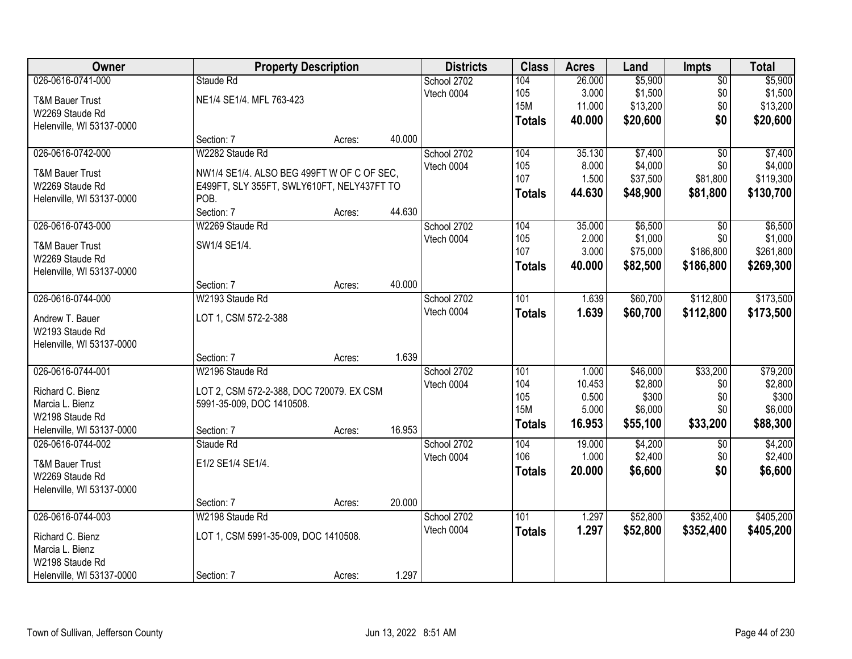| <b>Owner</b>                                   |                                                    | <b>Property Description</b> |        | <b>Districts</b>          | <b>Class</b>  | <b>Acres</b> | Land     | <b>Impts</b>      | <b>Total</b> |
|------------------------------------------------|----------------------------------------------------|-----------------------------|--------|---------------------------|---------------|--------------|----------|-------------------|--------------|
| 026-0616-0741-000                              | Staude Rd                                          |                             |        | School 2702               | 104           | 26.000       | \$5,900  | $\overline{50}$   | \$5,900      |
| <b>T&amp;M Bauer Trust</b>                     | NE1/4 SE1/4. MFL 763-423                           |                             |        | Vtech 0004                | 105           | 3.000        | \$1,500  | \$0               | \$1,500      |
| W2269 Staude Rd                                |                                                    |                             |        |                           | <b>15M</b>    | 11.000       | \$13,200 | \$0               | \$13,200     |
| Helenville, WI 53137-0000                      |                                                    |                             |        |                           | <b>Totals</b> | 40.000       | \$20,600 | \$0               | \$20,600     |
|                                                | Section: 7                                         | Acres:                      | 40.000 |                           |               |              |          |                   |              |
| 026-0616-0742-000                              | W2282 Staude Rd                                    |                             |        | School 2702               | 104           | 35.130       | \$7,400  | $\overline{30}$   | \$7,400      |
|                                                |                                                    |                             |        | Vtech 0004                | 105           | 8.000        | \$4,000  | \$0               | \$4,000      |
| <b>T&amp;M Bauer Trust</b><br>W2269 Staude Rd  | NW1/4 SE1/4. ALSO BEG 499FT W OF C OF SEC,         |                             |        |                           | 107           | 1.500        | \$37,500 | \$81,800          | \$119,300    |
|                                                | E499FT, SLY 355FT, SWLY610FT, NELY437FT TO<br>POB. |                             |        |                           | <b>Totals</b> | 44.630       | \$48,900 | \$81,800          | \$130,700    |
| Helenville, WI 53137-0000                      | Section: 7                                         | Acres:                      | 44.630 |                           |               |              |          |                   |              |
| 026-0616-0743-000                              | W2269 Staude Rd                                    |                             |        | School 2702               | 104           | 35.000       | \$6,500  | \$0               | \$6,500      |
|                                                |                                                    |                             |        | Vtech 0004                | 105           | 2.000        | \$1,000  | \$0               | \$1,000      |
| <b>T&amp;M Bauer Trust</b>                     | SW1/4 SE1/4.                                       |                             |        |                           | 107           | 3.000        | \$75,000 | \$186,800         | \$261,800    |
| W2269 Staude Rd                                |                                                    |                             |        |                           | <b>Totals</b> | 40.000       | \$82,500 | \$186,800         | \$269,300    |
| Helenville, WI 53137-0000                      |                                                    |                             |        |                           |               |              |          |                   |              |
|                                                | Section: 7                                         | Acres:                      | 40.000 |                           |               |              |          |                   |              |
| 026-0616-0744-000                              | W2193 Staude Rd                                    |                             |        | School 2702               | 101           | 1.639        | \$60,700 | \$112,800         | \$173,500    |
| Andrew T. Bauer                                | LOT 1, CSM 572-2-388                               |                             |        | Vtech 0004                | <b>Totals</b> | 1.639        | \$60,700 | \$112,800         | \$173,500    |
| W2193 Staude Rd                                |                                                    |                             |        |                           |               |              |          |                   |              |
| Helenville, WI 53137-0000                      |                                                    |                             |        |                           |               |              |          |                   |              |
|                                                | Section: 7                                         | Acres:                      | 1.639  |                           |               |              |          |                   |              |
| 026-0616-0744-001                              | W2196 Staude Rd                                    |                             |        | School 2702               | 101           | 1.000        | \$46,000 | \$33,200          | \$79,200     |
|                                                |                                                    |                             |        | Vtech 0004                | 104           | 10.453       | \$2,800  | \$0               | \$2,800      |
| Richard C. Bienz                               | LOT 2, CSM 572-2-388, DOC 720079. EX CSM           |                             |        |                           | 105           | 0.500        | \$300    | \$0               | \$300        |
| Marcia L. Bienz                                | 5991-35-009, DOC 1410508.                          |                             |        |                           | <b>15M</b>    | 5.000        | \$6,000  | \$0               | \$6,000      |
| W2198 Staude Rd                                |                                                    |                             | 16.953 |                           | <b>Totals</b> | 16.953       | \$55,100 | \$33,200          | \$88,300     |
| Helenville, WI 53137-0000<br>026-0616-0744-002 | Section: 7<br>Staude Rd                            | Acres:                      |        |                           | 104           | 19.000       | \$4,200  |                   | \$4,200      |
|                                                |                                                    |                             |        | School 2702<br>Vtech 0004 | 106           | 1.000        | \$2,400  | $\sqrt{6}$<br>\$0 | \$2,400      |
| <b>T&amp;M Bauer Trust</b>                     | E1/2 SE1/4 SE1/4.                                  |                             |        |                           |               |              |          |                   |              |
| W2269 Staude Rd                                |                                                    |                             |        |                           | <b>Totals</b> | 20.000       | \$6,600  | \$0               | \$6,600      |
| Helenville, WI 53137-0000                      |                                                    |                             |        |                           |               |              |          |                   |              |
|                                                | Section: 7                                         | Acres:                      | 20.000 |                           |               |              |          |                   |              |
| 026-0616-0744-003                              | W2198 Staude Rd                                    |                             |        | School 2702               | 101           | 1.297        | \$52,800 | \$352,400         | \$405,200    |
| Richard C. Bienz                               | LOT 1, CSM 5991-35-009, DOC 1410508.               |                             |        | Vtech 0004                | <b>Totals</b> | 1.297        | \$52,800 | \$352,400         | \$405,200    |
| Marcia L. Bienz                                |                                                    |                             |        |                           |               |              |          |                   |              |
| W2198 Staude Rd                                |                                                    |                             |        |                           |               |              |          |                   |              |
| Helenville, WI 53137-0000                      | Section: 7                                         | Acres:                      | 1.297  |                           |               |              |          |                   |              |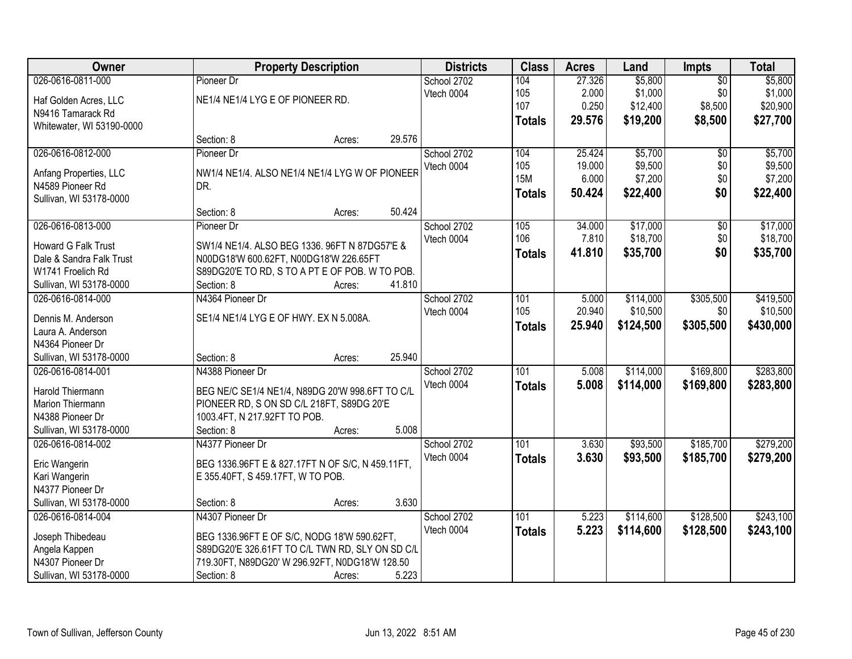| <b>Owner</b>               | <b>Property Description</b>                      |        |        | <b>Districts</b> | <b>Class</b>     | <b>Acres</b> | Land      | <b>Impts</b>    | <b>Total</b> |
|----------------------------|--------------------------------------------------|--------|--------|------------------|------------------|--------------|-----------|-----------------|--------------|
| 026-0616-0811-000          | Pioneer Dr                                       |        |        | School 2702      | 104              | 27.326       | \$5,800   | $\overline{50}$ | \$5,800      |
| Haf Golden Acres, LLC      | NE1/4 NE1/4 LYG E OF PIONEER RD.                 |        |        | Vtech 0004       | 105              | 2.000        | \$1,000   | \$0             | \$1,000      |
| N9416 Tamarack Rd          |                                                  |        |        |                  | 107              | 0.250        | \$12,400  | \$8,500         | \$20,900     |
| Whitewater, WI 53190-0000  |                                                  |        |        |                  | <b>Totals</b>    | 29.576       | \$19,200  | \$8,500         | \$27,700     |
|                            | Section: 8                                       | Acres: | 29.576 |                  |                  |              |           |                 |              |
| 026-0616-0812-000          | Pioneer Dr                                       |        |        | School 2702      | 104              | 25.424       | \$5,700   | $\overline{50}$ | \$5,700      |
|                            |                                                  |        |        | Vtech 0004       | 105              | 19.000       | \$9,500   | \$0             | \$9,500      |
| Anfang Properties, LLC     | NW1/4 NE1/4. ALSO NE1/4 NE1/4 LYG W OF PIONEER   |        |        |                  | <b>15M</b>       | 6.000        | \$7,200   | \$0             | \$7,200      |
| N4589 Pioneer Rd           | DR.                                              |        |        |                  | <b>Totals</b>    | 50.424       | \$22,400  | \$0             | \$22,400     |
| Sullivan, WI 53178-0000    |                                                  |        |        |                  |                  |              |           |                 |              |
|                            | Section: 8                                       | Acres: | 50.424 |                  |                  |              |           |                 |              |
| 026-0616-0813-000          | Pioneer Dr                                       |        |        | School 2702      | 105              | 34.000       | \$17,000  | \$0             | \$17,000     |
| <b>Howard G Falk Trust</b> | SW1/4 NE1/4. ALSO BEG 1336. 96FT N 87DG57'E &    |        |        | Vtech 0004       | 106              | 7.810        | \$18,700  | \$0             | \$18,700     |
| Dale & Sandra Falk Trust   | N00DG18'W 600.62FT, N00DG18'W 226.65FT           |        |        |                  | <b>Totals</b>    | 41.810       | \$35,700  | \$0             | \$35,700     |
| W1741 Froelich Rd          | S89DG20'E TO RD, S TO A PT E OF POB. W TO POB.   |        |        |                  |                  |              |           |                 |              |
| Sullivan, WI 53178-0000    | Section: 8                                       | Acres: | 41.810 |                  |                  |              |           |                 |              |
| 026-0616-0814-000          | N4364 Pioneer Dr                                 |        |        | School 2702      | 101              | 5.000        | \$114,000 | \$305,500       | \$419,500    |
|                            |                                                  |        |        | Vtech 0004       | 105              | 20.940       | \$10,500  | \$0             | \$10,500     |
| Dennis M. Anderson         | SE1/4 NE1/4 LYG E OF HWY. EX N 5.008A.           |        |        |                  | <b>Totals</b>    | 25.940       | \$124,500 | \$305,500       | \$430,000    |
| Laura A. Anderson          |                                                  |        |        |                  |                  |              |           |                 |              |
| N4364 Pioneer Dr           |                                                  |        |        |                  |                  |              |           |                 |              |
| Sullivan, WI 53178-0000    | Section: 8                                       | Acres: | 25.940 |                  |                  |              |           |                 |              |
| 026-0616-0814-001          | N4388 Pioneer Dr                                 |        |        | School 2702      | 101              | 5.008        | \$114,000 | \$169,800       | \$283,800    |
| Harold Thiermann           | BEG NE/C SE1/4 NE1/4, N89DG 20'W 998.6FT TO C/L  |        |        | Vtech 0004       | <b>Totals</b>    | 5.008        | \$114,000 | \$169,800       | \$283,800    |
| Marion Thiermann           | PIONEER RD, S ON SD C/L 218FT, S89DG 20'E        |        |        |                  |                  |              |           |                 |              |
| N4388 Pioneer Dr           | 1003.4FT, N 217.92FT TO POB.                     |        |        |                  |                  |              |           |                 |              |
| Sullivan, WI 53178-0000    | Section: 8                                       | Acres: | 5.008  |                  |                  |              |           |                 |              |
| 026-0616-0814-002          | N4377 Pioneer Dr                                 |        |        | School 2702      | $\overline{101}$ | 3.630        | \$93,500  | \$185,700       | \$279,200    |
|                            |                                                  |        |        | Vtech 0004       | <b>Totals</b>    | 3.630        | \$93,500  | \$185,700       | \$279,200    |
| Eric Wangerin              | BEG 1336.96FT E & 827.17FT N OF S/C, N 459.11FT, |        |        |                  |                  |              |           |                 |              |
| Kari Wangerin              | E 355.40FT, S 459.17FT, W TO POB.                |        |        |                  |                  |              |           |                 |              |
| N4377 Pioneer Dr           |                                                  |        |        |                  |                  |              |           |                 |              |
| Sullivan, WI 53178-0000    | Section: 8                                       | Acres: | 3.630  |                  |                  |              |           |                 |              |
| 026-0616-0814-004          | N4307 Pioneer Dr                                 |        |        | School 2702      | 101              | 5.223        | \$114,600 | \$128,500       | \$243,100    |
| Joseph Thibedeau           | BEG 1336.96FT E OF S/C, NODG 18'W 590.62FT,      |        |        | Vtech 0004       | <b>Totals</b>    | 5.223        | \$114,600 | \$128,500       | \$243,100    |
| Angela Kappen              | S89DG20'E 326.61FT TO C/L TWN RD, SLY ON SD C/L  |        |        |                  |                  |              |           |                 |              |
| N4307 Pioneer Dr           | 719.30FT, N89DG20' W 296.92FT, N0DG18'W 128.50   |        |        |                  |                  |              |           |                 |              |
| Sullivan, WI 53178-0000    | Section: 8                                       | Acres: | 5.223  |                  |                  |              |           |                 |              |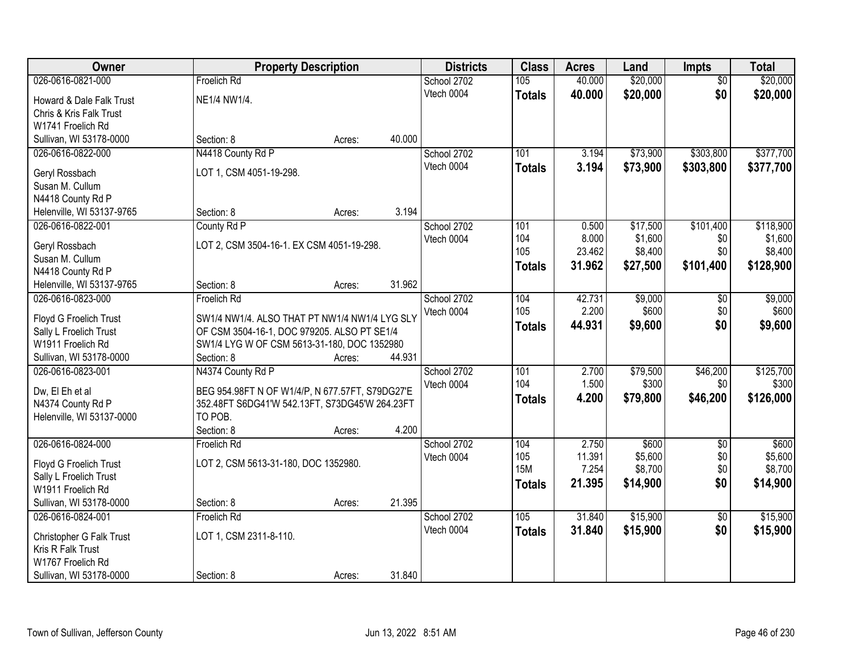| Owner                             |                                                 | <b>Property Description</b> |        | <b>Districts</b> | <b>Class</b>  | <b>Acres</b>   | Land              | Impts           | <b>Total</b>       |
|-----------------------------------|-------------------------------------------------|-----------------------------|--------|------------------|---------------|----------------|-------------------|-----------------|--------------------|
| 026-0616-0821-000                 | Froelich Rd                                     |                             |        | School 2702      | 105           | 40.000         | \$20,000          | $\overline{50}$ | \$20,000           |
| Howard & Dale Falk Trust          | NE1/4 NW1/4.                                    |                             |        | Vtech 0004       | <b>Totals</b> | 40.000         | \$20,000          | \$0             | \$20,000           |
| Chris & Kris Falk Trust           |                                                 |                             |        |                  |               |                |                   |                 |                    |
| W1741 Froelich Rd                 |                                                 |                             |        |                  |               |                |                   |                 |                    |
| Sullivan, WI 53178-0000           | Section: 8                                      | Acres:                      | 40.000 |                  |               |                |                   |                 |                    |
| 026-0616-0822-000                 | N4418 County Rd P                               |                             |        | School 2702      | 101           | 3.194          | \$73,900          | \$303,800       | \$377,700          |
| Geryl Rossbach                    | LOT 1, CSM 4051-19-298.                         |                             |        | Vtech 0004       | <b>Totals</b> | 3.194          | \$73,900          | \$303,800       | \$377,700          |
| Susan M. Cullum                   |                                                 |                             |        |                  |               |                |                   |                 |                    |
| N4418 County Rd P                 |                                                 |                             |        |                  |               |                |                   |                 |                    |
| Helenville, WI 53137-9765         | Section: 8                                      | Acres:                      | 3.194  |                  |               |                |                   |                 |                    |
| 026-0616-0822-001                 | County Rd P                                     |                             |        | School 2702      | 101           | 0.500          | \$17,500          | \$101,400       | \$118,900          |
|                                   |                                                 |                             |        | Vtech 0004       | 104           | 8.000          | \$1,600           | \$0             | \$1,600            |
| Geryl Rossbach<br>Susan M. Cullum | LOT 2, CSM 3504-16-1. EX CSM 4051-19-298.       |                             |        |                  | 105           | 23.462         | \$8,400           | \$0             | \$8,400            |
| N4418 County Rd P                 |                                                 |                             |        |                  | <b>Totals</b> | 31.962         | \$27,500          | \$101,400       | \$128,900          |
| Helenville, WI 53137-9765         | Section: 8                                      | Acres:                      | 31.962 |                  |               |                |                   |                 |                    |
| 026-0616-0823-000                 | Froelich Rd                                     |                             |        | School 2702      | 104           | 42.731         | \$9,000           | $\sqrt[6]{}$    | \$9,000            |
|                                   |                                                 |                             |        | Vtech 0004       | 105           | 2.200          | \$600             | \$0             | \$600              |
| Floyd G Froelich Trust            | SW1/4 NW1/4. ALSO THAT PT NW1/4 NW1/4 LYG SLY   |                             |        |                  | <b>Totals</b> | 44.931         | \$9,600           | \$0             | \$9,600            |
| Sally L Froelich Trust            | OF CSM 3504-16-1, DOC 979205. ALSO PT SE1/4     |                             |        |                  |               |                |                   |                 |                    |
| W1911 Froelich Rd                 | SW1/4 LYG W OF CSM 5613-31-180, DOC 1352980     |                             |        |                  |               |                |                   |                 |                    |
| Sullivan, WI 53178-0000           | Section: 8                                      | Acres:                      | 44.931 |                  |               |                |                   |                 |                    |
| 026-0616-0823-001                 | N4374 County Rd P                               |                             |        | School 2702      | 101<br>104    | 2.700<br>1.500 | \$79,500<br>\$300 | \$46,200<br>\$0 | \$125,700<br>\$300 |
| Dw, El Eh et al                   | BEG 954.98FT N OF W1/4/P, N 677.57FT, S79DG27'E |                             |        | Vtech 0004       |               | 4.200          |                   | \$46,200        | \$126,000          |
| N4374 County Rd P                 | 352.48FT S6DG41'W 542.13FT, S73DG45'W 264.23FT  |                             |        |                  | <b>Totals</b> |                | \$79,800          |                 |                    |
| Helenville, WI 53137-0000         | TO POB.                                         |                             |        |                  |               |                |                   |                 |                    |
|                                   | Section: 8                                      | Acres:                      | 4.200  |                  |               |                |                   |                 |                    |
| 026-0616-0824-000                 | Froelich Rd                                     |                             |        | School 2702      | 104           | 2.750          | \$600             | $\overline{50}$ | \$600              |
| Floyd G Froelich Trust            | LOT 2, CSM 5613-31-180, DOC 1352980.            |                             |        | Vtech 0004       | 105           | 11.391         | \$5,600           | \$0             | \$5,600            |
| Sally L Froelich Trust            |                                                 |                             |        |                  | <b>15M</b>    | 7.254          | \$8,700           | \$0             | \$8,700            |
| W1911 Froelich Rd                 |                                                 |                             |        |                  | <b>Totals</b> | 21.395         | \$14,900          | \$0             | \$14,900           |
| Sullivan, WI 53178-0000           | Section: 8                                      | Acres:                      | 21.395 |                  |               |                |                   |                 |                    |
| 026-0616-0824-001                 | <b>Froelich Rd</b>                              |                             |        | School 2702      | 105           | 31.840         | \$15,900          | $\overline{50}$ | \$15,900           |
| Christopher G Falk Trust          | LOT 1, CSM 2311-8-110.                          |                             |        | Vtech 0004       | <b>Totals</b> | 31.840         | \$15,900          | \$0             | \$15,900           |
| Kris R Falk Trust                 |                                                 |                             |        |                  |               |                |                   |                 |                    |
| W1767 Froelich Rd                 |                                                 |                             |        |                  |               |                |                   |                 |                    |
| Sullivan, WI 53178-0000           | Section: 8                                      | Acres:                      | 31.840 |                  |               |                |                   |                 |                    |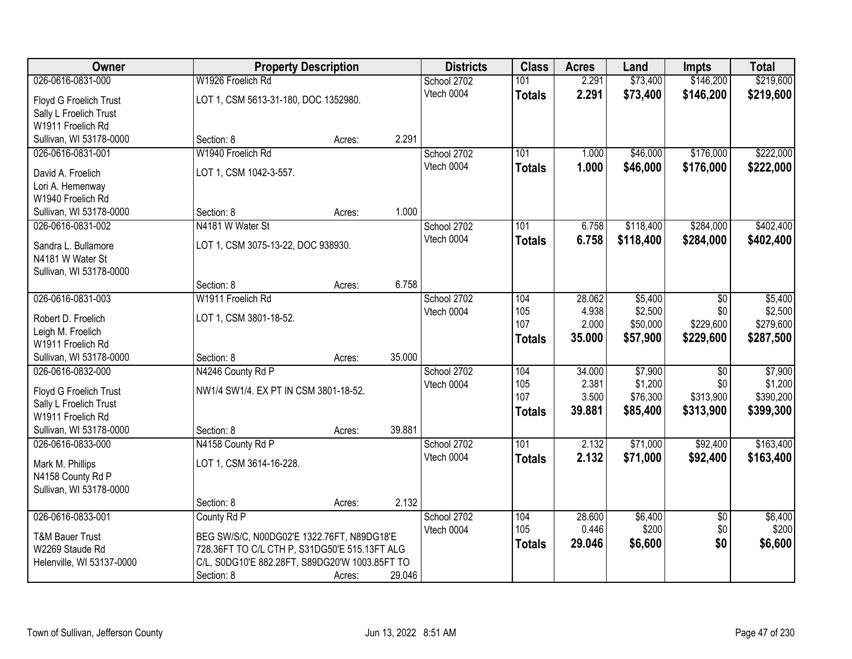| 026-0616-0831-000<br>W1926 Froelich Rd<br>\$73,400<br>\$146,200<br>\$219,600<br>101<br>2.291<br>School 2702<br>2.291<br>Vtech 0004<br>\$73,400<br>\$146,200<br>\$219,600<br><b>Totals</b><br>LOT 1, CSM 5613-31-180, DOC 1352980.<br>Floyd G Froelich Trust<br>Sally L Froelich Trust<br>W1911 Froelich Rd<br>2.291<br>Sullivan, WI 53178-0000<br>Section: 8<br>Acres:<br>W1940 Froelich Rd<br>\$176,000<br>School 2702<br>101<br>\$46,000<br>026-0616-0831-001<br>1.000<br>Vtech 0004<br>1.000<br>\$46,000<br>\$176,000<br>\$222,000<br><b>Totals</b><br>LOT 1, CSM 1042-3-557.<br>David A. Froelich<br>Lori A. Hemenway<br>W1940 Froelich Rd<br>1.000<br>Section: 8<br>Sullivan, WI 53178-0000<br>Acres:<br>\$118,400<br>\$284,000<br>026-0616-0831-002<br>N4181 W Water St<br>School 2702<br>101<br>6.758<br>Vtech 0004<br>6.758<br>\$118,400<br>\$284,000<br><b>Totals</b><br>LOT 1, CSM 3075-13-22, DOC 938930.<br>Sandra L. Bullamore<br>N4181 W Water St<br>Sullivan, WI 53178-0000<br>6.758<br>Section: 8<br>Acres:<br>026-0616-0831-003<br>W1911 Froelich Rd<br>\$5,400<br>\$5,400<br>School 2702<br>104<br>28.062<br>$\sqrt[6]{}$<br>4.938<br>\$2,500<br>Vtech 0004<br>105<br>\$0<br>LOT 1, CSM 3801-18-52.<br>Robert D. Froelich<br>\$229,600<br>107<br>2.000<br>\$50,000<br>Leigh M. Froelich<br>35.000<br>\$57,900<br>\$229,600<br><b>Totals</b><br>W1911 Froelich Rd<br>35.000<br>Sullivan, WI 53178-0000<br>Section: 8<br>Acres:<br>\$7,900<br>\$7,900<br>026-0616-0832-000<br>N4246 County Rd P<br>104<br>34.000<br>$\overline{30}$<br>School 2702<br>105<br>2.381<br>\$1,200<br>\$0<br>Vtech 0004<br>NW1/4 SW1/4. EX PT IN CSM 3801-18-52.<br>Floyd G Froelich Trust<br>107<br>3.500<br>\$76,300<br>\$313,900<br>\$390,200<br>Sally L Froelich Trust<br>39.881<br>\$85,400<br>\$313,900<br>\$399,300<br><b>Totals</b><br>W1911 Froelich Rd<br>39.881<br>Sullivan, WI 53178-0000<br>Section: 8<br>Acres:<br>\$92,400<br>101<br>2.132<br>\$71,000<br>026-0616-0833-000<br>N4158 County Rd P<br>School 2702<br>Vtech 0004<br>2.132<br>\$71,000<br>\$92,400<br><b>Totals</b><br>LOT 1, CSM 3614-16-228.<br>Mark M. Phillips<br>N4158 County Rd P<br>Sullivan, WI 53178-0000<br>2.132<br>Section: 8<br>Acres:<br>026-0616-0833-001<br>\$6,400<br>\$6,400<br>County Rd P<br>School 2702<br>104<br>28.600<br>$\overline{50}$<br>0.446<br>\$200<br>\$0<br>105<br>\$200<br>Vtech 0004<br><b>T&amp;M Bauer Trust</b><br>BEG SW/S/C, N00DG02'E 1322.76FT, N89DG18'E<br>\$0<br>\$6,600<br>29.046<br>\$6,600<br><b>Totals</b><br>W2269 Staude Rd<br>728.36FT TO C/L CTH P, S31DG50'E 515.13FT ALG<br>C/L, S0DG10'E 882.28FT, S89DG20'W 1003.85FT TO<br>Helenville, WI 53137-0000 | Owner | <b>Property Description</b> |        |        | <b>Districts</b> | <b>Class</b> | <b>Acres</b> | Land | <b>Impts</b> | <b>Total</b> |
|--------------------------------------------------------------------------------------------------------------------------------------------------------------------------------------------------------------------------------------------------------------------------------------------------------------------------------------------------------------------------------------------------------------------------------------------------------------------------------------------------------------------------------------------------------------------------------------------------------------------------------------------------------------------------------------------------------------------------------------------------------------------------------------------------------------------------------------------------------------------------------------------------------------------------------------------------------------------------------------------------------------------------------------------------------------------------------------------------------------------------------------------------------------------------------------------------------------------------------------------------------------------------------------------------------------------------------------------------------------------------------------------------------------------------------------------------------------------------------------------------------------------------------------------------------------------------------------------------------------------------------------------------------------------------------------------------------------------------------------------------------------------------------------------------------------------------------------------------------------------------------------------------------------------------------------------------------------------------------------------------------------------------------------------------------------------------------------------------------------------------------------------------------------------------------------------------------------------------------------------------------------------------------------------------------------------------------------------------------------------------------------------------------------------------------------------------------------------------------------------------------------------------------------------------------------------------------------------------------------------------------------------------------------------------------------|-------|-----------------------------|--------|--------|------------------|--------------|--------------|------|--------------|--------------|
|                                                                                                                                                                                                                                                                                                                                                                                                                                                                                                                                                                                                                                                                                                                                                                                                                                                                                                                                                                                                                                                                                                                                                                                                                                                                                                                                                                                                                                                                                                                                                                                                                                                                                                                                                                                                                                                                                                                                                                                                                                                                                                                                                                                                                                                                                                                                                                                                                                                                                                                                                                                                                                                                                      |       |                             |        |        |                  |              |              |      |              |              |
|                                                                                                                                                                                                                                                                                                                                                                                                                                                                                                                                                                                                                                                                                                                                                                                                                                                                                                                                                                                                                                                                                                                                                                                                                                                                                                                                                                                                                                                                                                                                                                                                                                                                                                                                                                                                                                                                                                                                                                                                                                                                                                                                                                                                                                                                                                                                                                                                                                                                                                                                                                                                                                                                                      |       |                             |        |        |                  |              |              |      |              |              |
|                                                                                                                                                                                                                                                                                                                                                                                                                                                                                                                                                                                                                                                                                                                                                                                                                                                                                                                                                                                                                                                                                                                                                                                                                                                                                                                                                                                                                                                                                                                                                                                                                                                                                                                                                                                                                                                                                                                                                                                                                                                                                                                                                                                                                                                                                                                                                                                                                                                                                                                                                                                                                                                                                      |       |                             |        |        |                  |              |              |      |              |              |
|                                                                                                                                                                                                                                                                                                                                                                                                                                                                                                                                                                                                                                                                                                                                                                                                                                                                                                                                                                                                                                                                                                                                                                                                                                                                                                                                                                                                                                                                                                                                                                                                                                                                                                                                                                                                                                                                                                                                                                                                                                                                                                                                                                                                                                                                                                                                                                                                                                                                                                                                                                                                                                                                                      |       |                             |        |        |                  |              |              |      |              |              |
| \$222,000<br>\$402,400<br>\$287,500<br>\$163,400                                                                                                                                                                                                                                                                                                                                                                                                                                                                                                                                                                                                                                                                                                                                                                                                                                                                                                                                                                                                                                                                                                                                                                                                                                                                                                                                                                                                                                                                                                                                                                                                                                                                                                                                                                                                                                                                                                                                                                                                                                                                                                                                                                                                                                                                                                                                                                                                                                                                                                                                                                                                                                     |       |                             |        |        |                  |              |              |      |              |              |
|                                                                                                                                                                                                                                                                                                                                                                                                                                                                                                                                                                                                                                                                                                                                                                                                                                                                                                                                                                                                                                                                                                                                                                                                                                                                                                                                                                                                                                                                                                                                                                                                                                                                                                                                                                                                                                                                                                                                                                                                                                                                                                                                                                                                                                                                                                                                                                                                                                                                                                                                                                                                                                                                                      |       |                             |        |        |                  |              |              |      |              |              |
|                                                                                                                                                                                                                                                                                                                                                                                                                                                                                                                                                                                                                                                                                                                                                                                                                                                                                                                                                                                                                                                                                                                                                                                                                                                                                                                                                                                                                                                                                                                                                                                                                                                                                                                                                                                                                                                                                                                                                                                                                                                                                                                                                                                                                                                                                                                                                                                                                                                                                                                                                                                                                                                                                      |       |                             |        |        |                  |              |              |      |              |              |
|                                                                                                                                                                                                                                                                                                                                                                                                                                                                                                                                                                                                                                                                                                                                                                                                                                                                                                                                                                                                                                                                                                                                                                                                                                                                                                                                                                                                                                                                                                                                                                                                                                                                                                                                                                                                                                                                                                                                                                                                                                                                                                                                                                                                                                                                                                                                                                                                                                                                                                                                                                                                                                                                                      |       |                             |        |        |                  |              |              |      |              |              |
| \$402,400<br>\$2,500<br>\$279,600<br>\$1,200<br>\$163,400                                                                                                                                                                                                                                                                                                                                                                                                                                                                                                                                                                                                                                                                                                                                                                                                                                                                                                                                                                                                                                                                                                                                                                                                                                                                                                                                                                                                                                                                                                                                                                                                                                                                                                                                                                                                                                                                                                                                                                                                                                                                                                                                                                                                                                                                                                                                                                                                                                                                                                                                                                                                                            |       |                             |        |        |                  |              |              |      |              |              |
|                                                                                                                                                                                                                                                                                                                                                                                                                                                                                                                                                                                                                                                                                                                                                                                                                                                                                                                                                                                                                                                                                                                                                                                                                                                                                                                                                                                                                                                                                                                                                                                                                                                                                                                                                                                                                                                                                                                                                                                                                                                                                                                                                                                                                                                                                                                                                                                                                                                                                                                                                                                                                                                                                      |       |                             |        |        |                  |              |              |      |              |              |
|                                                                                                                                                                                                                                                                                                                                                                                                                                                                                                                                                                                                                                                                                                                                                                                                                                                                                                                                                                                                                                                                                                                                                                                                                                                                                                                                                                                                                                                                                                                                                                                                                                                                                                                                                                                                                                                                                                                                                                                                                                                                                                                                                                                                                                                                                                                                                                                                                                                                                                                                                                                                                                                                                      |       |                             |        |        |                  |              |              |      |              |              |
|                                                                                                                                                                                                                                                                                                                                                                                                                                                                                                                                                                                                                                                                                                                                                                                                                                                                                                                                                                                                                                                                                                                                                                                                                                                                                                                                                                                                                                                                                                                                                                                                                                                                                                                                                                                                                                                                                                                                                                                                                                                                                                                                                                                                                                                                                                                                                                                                                                                                                                                                                                                                                                                                                      |       |                             |        |        |                  |              |              |      |              |              |
|                                                                                                                                                                                                                                                                                                                                                                                                                                                                                                                                                                                                                                                                                                                                                                                                                                                                                                                                                                                                                                                                                                                                                                                                                                                                                                                                                                                                                                                                                                                                                                                                                                                                                                                                                                                                                                                                                                                                                                                                                                                                                                                                                                                                                                                                                                                                                                                                                                                                                                                                                                                                                                                                                      |       |                             |        |        |                  |              |              |      |              |              |
|                                                                                                                                                                                                                                                                                                                                                                                                                                                                                                                                                                                                                                                                                                                                                                                                                                                                                                                                                                                                                                                                                                                                                                                                                                                                                                                                                                                                                                                                                                                                                                                                                                                                                                                                                                                                                                                                                                                                                                                                                                                                                                                                                                                                                                                                                                                                                                                                                                                                                                                                                                                                                                                                                      |       |                             |        |        |                  |              |              |      |              |              |
|                                                                                                                                                                                                                                                                                                                                                                                                                                                                                                                                                                                                                                                                                                                                                                                                                                                                                                                                                                                                                                                                                                                                                                                                                                                                                                                                                                                                                                                                                                                                                                                                                                                                                                                                                                                                                                                                                                                                                                                                                                                                                                                                                                                                                                                                                                                                                                                                                                                                                                                                                                                                                                                                                      |       |                             |        |        |                  |              |              |      |              |              |
|                                                                                                                                                                                                                                                                                                                                                                                                                                                                                                                                                                                                                                                                                                                                                                                                                                                                                                                                                                                                                                                                                                                                                                                                                                                                                                                                                                                                                                                                                                                                                                                                                                                                                                                                                                                                                                                                                                                                                                                                                                                                                                                                                                                                                                                                                                                                                                                                                                                                                                                                                                                                                                                                                      |       |                             |        |        |                  |              |              |      |              |              |
|                                                                                                                                                                                                                                                                                                                                                                                                                                                                                                                                                                                                                                                                                                                                                                                                                                                                                                                                                                                                                                                                                                                                                                                                                                                                                                                                                                                                                                                                                                                                                                                                                                                                                                                                                                                                                                                                                                                                                                                                                                                                                                                                                                                                                                                                                                                                                                                                                                                                                                                                                                                                                                                                                      |       |                             |        |        |                  |              |              |      |              |              |
|                                                                                                                                                                                                                                                                                                                                                                                                                                                                                                                                                                                                                                                                                                                                                                                                                                                                                                                                                                                                                                                                                                                                                                                                                                                                                                                                                                                                                                                                                                                                                                                                                                                                                                                                                                                                                                                                                                                                                                                                                                                                                                                                                                                                                                                                                                                                                                                                                                                                                                                                                                                                                                                                                      |       |                             |        |        |                  |              |              |      |              |              |
|                                                                                                                                                                                                                                                                                                                                                                                                                                                                                                                                                                                                                                                                                                                                                                                                                                                                                                                                                                                                                                                                                                                                                                                                                                                                                                                                                                                                                                                                                                                                                                                                                                                                                                                                                                                                                                                                                                                                                                                                                                                                                                                                                                                                                                                                                                                                                                                                                                                                                                                                                                                                                                                                                      |       |                             |        |        |                  |              |              |      |              |              |
|                                                                                                                                                                                                                                                                                                                                                                                                                                                                                                                                                                                                                                                                                                                                                                                                                                                                                                                                                                                                                                                                                                                                                                                                                                                                                                                                                                                                                                                                                                                                                                                                                                                                                                                                                                                                                                                                                                                                                                                                                                                                                                                                                                                                                                                                                                                                                                                                                                                                                                                                                                                                                                                                                      |       |                             |        |        |                  |              |              |      |              |              |
|                                                                                                                                                                                                                                                                                                                                                                                                                                                                                                                                                                                                                                                                                                                                                                                                                                                                                                                                                                                                                                                                                                                                                                                                                                                                                                                                                                                                                                                                                                                                                                                                                                                                                                                                                                                                                                                                                                                                                                                                                                                                                                                                                                                                                                                                                                                                                                                                                                                                                                                                                                                                                                                                                      |       |                             |        |        |                  |              |              |      |              |              |
|                                                                                                                                                                                                                                                                                                                                                                                                                                                                                                                                                                                                                                                                                                                                                                                                                                                                                                                                                                                                                                                                                                                                                                                                                                                                                                                                                                                                                                                                                                                                                                                                                                                                                                                                                                                                                                                                                                                                                                                                                                                                                                                                                                                                                                                                                                                                                                                                                                                                                                                                                                                                                                                                                      |       |                             |        |        |                  |              |              |      |              |              |
|                                                                                                                                                                                                                                                                                                                                                                                                                                                                                                                                                                                                                                                                                                                                                                                                                                                                                                                                                                                                                                                                                                                                                                                                                                                                                                                                                                                                                                                                                                                                                                                                                                                                                                                                                                                                                                                                                                                                                                                                                                                                                                                                                                                                                                                                                                                                                                                                                                                                                                                                                                                                                                                                                      |       |                             |        |        |                  |              |              |      |              |              |
|                                                                                                                                                                                                                                                                                                                                                                                                                                                                                                                                                                                                                                                                                                                                                                                                                                                                                                                                                                                                                                                                                                                                                                                                                                                                                                                                                                                                                                                                                                                                                                                                                                                                                                                                                                                                                                                                                                                                                                                                                                                                                                                                                                                                                                                                                                                                                                                                                                                                                                                                                                                                                                                                                      |       |                             |        |        |                  |              |              |      |              |              |
|                                                                                                                                                                                                                                                                                                                                                                                                                                                                                                                                                                                                                                                                                                                                                                                                                                                                                                                                                                                                                                                                                                                                                                                                                                                                                                                                                                                                                                                                                                                                                                                                                                                                                                                                                                                                                                                                                                                                                                                                                                                                                                                                                                                                                                                                                                                                                                                                                                                                                                                                                                                                                                                                                      |       |                             |        |        |                  |              |              |      |              |              |
|                                                                                                                                                                                                                                                                                                                                                                                                                                                                                                                                                                                                                                                                                                                                                                                                                                                                                                                                                                                                                                                                                                                                                                                                                                                                                                                                                                                                                                                                                                                                                                                                                                                                                                                                                                                                                                                                                                                                                                                                                                                                                                                                                                                                                                                                                                                                                                                                                                                                                                                                                                                                                                                                                      |       |                             |        |        |                  |              |              |      |              |              |
|                                                                                                                                                                                                                                                                                                                                                                                                                                                                                                                                                                                                                                                                                                                                                                                                                                                                                                                                                                                                                                                                                                                                                                                                                                                                                                                                                                                                                                                                                                                                                                                                                                                                                                                                                                                                                                                                                                                                                                                                                                                                                                                                                                                                                                                                                                                                                                                                                                                                                                                                                                                                                                                                                      |       |                             |        |        |                  |              |              |      |              |              |
|                                                                                                                                                                                                                                                                                                                                                                                                                                                                                                                                                                                                                                                                                                                                                                                                                                                                                                                                                                                                                                                                                                                                                                                                                                                                                                                                                                                                                                                                                                                                                                                                                                                                                                                                                                                                                                                                                                                                                                                                                                                                                                                                                                                                                                                                                                                                                                                                                                                                                                                                                                                                                                                                                      |       |                             |        |        |                  |              |              |      |              |              |
|                                                                                                                                                                                                                                                                                                                                                                                                                                                                                                                                                                                                                                                                                                                                                                                                                                                                                                                                                                                                                                                                                                                                                                                                                                                                                                                                                                                                                                                                                                                                                                                                                                                                                                                                                                                                                                                                                                                                                                                                                                                                                                                                                                                                                                                                                                                                                                                                                                                                                                                                                                                                                                                                                      |       |                             |        |        |                  |              |              |      |              |              |
|                                                                                                                                                                                                                                                                                                                                                                                                                                                                                                                                                                                                                                                                                                                                                                                                                                                                                                                                                                                                                                                                                                                                                                                                                                                                                                                                                                                                                                                                                                                                                                                                                                                                                                                                                                                                                                                                                                                                                                                                                                                                                                                                                                                                                                                                                                                                                                                                                                                                                                                                                                                                                                                                                      |       |                             |        |        |                  |              |              |      |              |              |
|                                                                                                                                                                                                                                                                                                                                                                                                                                                                                                                                                                                                                                                                                                                                                                                                                                                                                                                                                                                                                                                                                                                                                                                                                                                                                                                                                                                                                                                                                                                                                                                                                                                                                                                                                                                                                                                                                                                                                                                                                                                                                                                                                                                                                                                                                                                                                                                                                                                                                                                                                                                                                                                                                      |       |                             |        |        |                  |              |              |      |              |              |
|                                                                                                                                                                                                                                                                                                                                                                                                                                                                                                                                                                                                                                                                                                                                                                                                                                                                                                                                                                                                                                                                                                                                                                                                                                                                                                                                                                                                                                                                                                                                                                                                                                                                                                                                                                                                                                                                                                                                                                                                                                                                                                                                                                                                                                                                                                                                                                                                                                                                                                                                                                                                                                                                                      |       |                             |        |        |                  |              |              |      |              |              |
|                                                                                                                                                                                                                                                                                                                                                                                                                                                                                                                                                                                                                                                                                                                                                                                                                                                                                                                                                                                                                                                                                                                                                                                                                                                                                                                                                                                                                                                                                                                                                                                                                                                                                                                                                                                                                                                                                                                                                                                                                                                                                                                                                                                                                                                                                                                                                                                                                                                                                                                                                                                                                                                                                      |       |                             |        |        |                  |              |              |      |              |              |
|                                                                                                                                                                                                                                                                                                                                                                                                                                                                                                                                                                                                                                                                                                                                                                                                                                                                                                                                                                                                                                                                                                                                                                                                                                                                                                                                                                                                                                                                                                                                                                                                                                                                                                                                                                                                                                                                                                                                                                                                                                                                                                                                                                                                                                                                                                                                                                                                                                                                                                                                                                                                                                                                                      |       |                             |        |        |                  |              |              |      |              |              |
|                                                                                                                                                                                                                                                                                                                                                                                                                                                                                                                                                                                                                                                                                                                                                                                                                                                                                                                                                                                                                                                                                                                                                                                                                                                                                                                                                                                                                                                                                                                                                                                                                                                                                                                                                                                                                                                                                                                                                                                                                                                                                                                                                                                                                                                                                                                                                                                                                                                                                                                                                                                                                                                                                      |       |                             |        |        |                  |              |              |      |              |              |
|                                                                                                                                                                                                                                                                                                                                                                                                                                                                                                                                                                                                                                                                                                                                                                                                                                                                                                                                                                                                                                                                                                                                                                                                                                                                                                                                                                                                                                                                                                                                                                                                                                                                                                                                                                                                                                                                                                                                                                                                                                                                                                                                                                                                                                                                                                                                                                                                                                                                                                                                                                                                                                                                                      |       | Section: 8                  | Acres: | 29.046 |                  |              |              |      |              |              |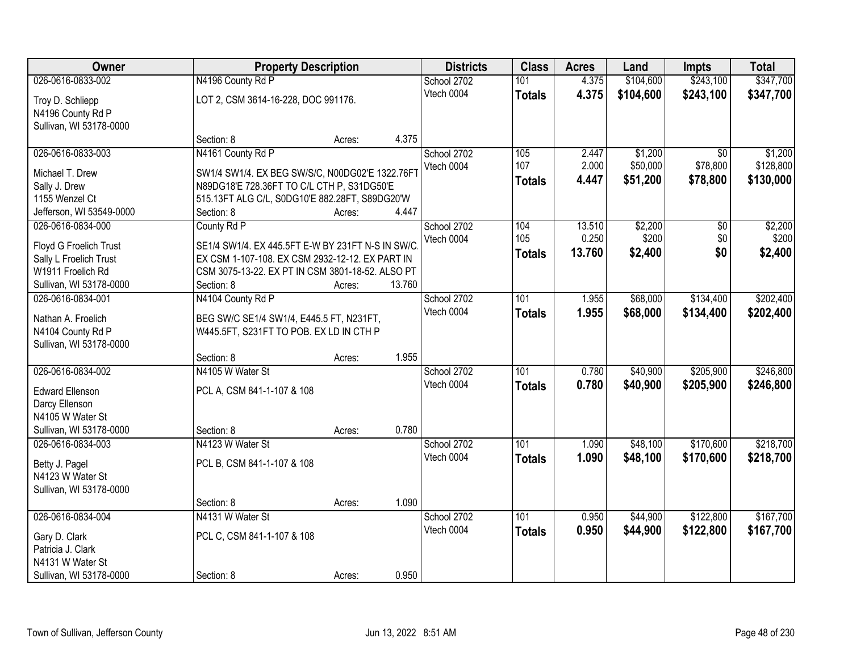| Owner                              |                                                                                               | <b>Property Description</b> |        | <b>Districts</b> | <b>Class</b>  | <b>Acres</b> | Land      | <b>Impts</b>    | <b>Total</b> |
|------------------------------------|-----------------------------------------------------------------------------------------------|-----------------------------|--------|------------------|---------------|--------------|-----------|-----------------|--------------|
| 026-0616-0833-002                  | N4196 County Rd P                                                                             |                             |        | School 2702      | 101           | 4.375        | \$104,600 | \$243,100       | \$347,700    |
| Troy D. Schliepp                   | LOT 2, CSM 3614-16-228, DOC 991176.                                                           |                             |        | Vtech 0004       | <b>Totals</b> | 4.375        | \$104,600 | \$243,100       | \$347,700    |
| N4196 County Rd P                  |                                                                                               |                             |        |                  |               |              |           |                 |              |
| Sullivan, WI 53178-0000            |                                                                                               |                             |        |                  |               |              |           |                 |              |
|                                    | Section: 8                                                                                    | Acres:                      | 4.375  |                  |               |              |           |                 |              |
| 026-0616-0833-003                  | N4161 County Rd P                                                                             |                             |        | School 2702      | 105           | 2.447        | \$1,200   | $\overline{50}$ | \$1,200      |
| Michael T. Drew                    |                                                                                               |                             |        | Vtech 0004       | 107           | 2.000        | \$50,000  | \$78,800        | \$128,800    |
|                                    | SW1/4 SW1/4. EX BEG SW/S/C, N00DG02'E 1322.76FT<br>N89DG18'E 728.36FT TO C/L CTH P, S31DG50'E |                             |        |                  | <b>Totals</b> | 4.447        | \$51,200  | \$78,800        | \$130,000    |
| Sally J. Drew<br>1155 Wenzel Ct    | 515.13FT ALG C/L, S0DG10'E 882.28FT, S89DG20'W                                                |                             |        |                  |               |              |           |                 |              |
| Jefferson, WI 53549-0000           | Section: 8                                                                                    | Acres:                      | 4.447  |                  |               |              |           |                 |              |
| 026-0616-0834-000                  | County Rd P                                                                                   |                             |        | School 2702      | 104           | 13.510       | \$2,200   | \$0             | \$2,200      |
|                                    |                                                                                               |                             |        | Vtech 0004       | 105           | 0.250        | \$200     | \$0             | \$200        |
| Floyd G Froelich Trust             | SE1/4 SW1/4. EX 445.5FT E-W BY 231FT N-S IN SW/C                                              |                             |        |                  | <b>Totals</b> | 13.760       | \$2,400   | \$0             | \$2,400      |
| Sally L Froelich Trust             | EX CSM 1-107-108. EX CSM 2932-12-12. EX PART IN                                               |                             |        |                  |               |              |           |                 |              |
| W1911 Froelich Rd                  | CSM 3075-13-22. EX PT IN CSM 3801-18-52. ALSO PT                                              |                             |        |                  |               |              |           |                 |              |
| Sullivan, WI 53178-0000            | Section: 8                                                                                    | Acres:                      | 13.760 |                  |               |              |           |                 |              |
| 026-0616-0834-001                  | N4104 County Rd P                                                                             |                             |        | School 2702      | 101           | 1.955        | \$68,000  | \$134,400       | \$202,400    |
| Nathan A. Froelich                 | BEG SW/C SE1/4 SW1/4, E445.5 FT, N231FT,                                                      |                             |        | Vtech 0004       | <b>Totals</b> | 1.955        | \$68,000  | \$134,400       | \$202,400    |
| N4104 County Rd P                  | W445.5FT, S231FT TO POB. EX LD IN CTH P                                                       |                             |        |                  |               |              |           |                 |              |
| Sullivan, WI 53178-0000            |                                                                                               |                             |        |                  |               |              |           |                 |              |
|                                    | Section: 8                                                                                    | Acres:                      | 1.955  |                  |               |              |           |                 |              |
| 026-0616-0834-002                  | N4105 W Water St                                                                              |                             |        | School 2702      | 101           | 0.780        | \$40,900  | \$205,900       | \$246,800    |
|                                    |                                                                                               |                             |        | Vtech 0004       | <b>Totals</b> | 0.780        | \$40,900  | \$205,900       | \$246,800    |
| <b>Edward Ellenson</b>             | PCL A, CSM 841-1-107 & 108                                                                    |                             |        |                  |               |              |           |                 |              |
| Darcy Ellenson<br>N4105 W Water St |                                                                                               |                             |        |                  |               |              |           |                 |              |
| Sullivan, WI 53178-0000            | Section: 8                                                                                    |                             | 0.780  |                  |               |              |           |                 |              |
| 026-0616-0834-003                  | N4123 W Water St                                                                              | Acres:                      |        | School 2702      | 101           | 1.090        | \$48,100  | \$170,600       | \$218,700    |
|                                    |                                                                                               |                             |        | Vtech 0004       |               | 1.090        | \$48,100  | \$170,600       |              |
| Betty J. Pagel                     | PCL B, CSM 841-1-107 & 108                                                                    |                             |        |                  | <b>Totals</b> |              |           |                 | \$218,700    |
| N4123 W Water St                   |                                                                                               |                             |        |                  |               |              |           |                 |              |
| Sullivan, WI 53178-0000            |                                                                                               |                             |        |                  |               |              |           |                 |              |
|                                    | Section: 8                                                                                    | Acres:                      | 1.090  |                  |               |              |           |                 |              |
| 026-0616-0834-004                  | N4131 W Water St                                                                              |                             |        | School 2702      | 101           | 0.950        | \$44,900  | \$122,800       | \$167,700    |
| Gary D. Clark                      | PCL C, CSM 841-1-107 & 108                                                                    |                             |        | Vtech 0004       | <b>Totals</b> | 0.950        | \$44,900  | \$122,800       | \$167,700    |
| Patricia J. Clark                  |                                                                                               |                             |        |                  |               |              |           |                 |              |
| N4131 W Water St                   |                                                                                               |                             |        |                  |               |              |           |                 |              |
| Sullivan, WI 53178-0000            | Section: 8                                                                                    | Acres:                      | 0.950  |                  |               |              |           |                 |              |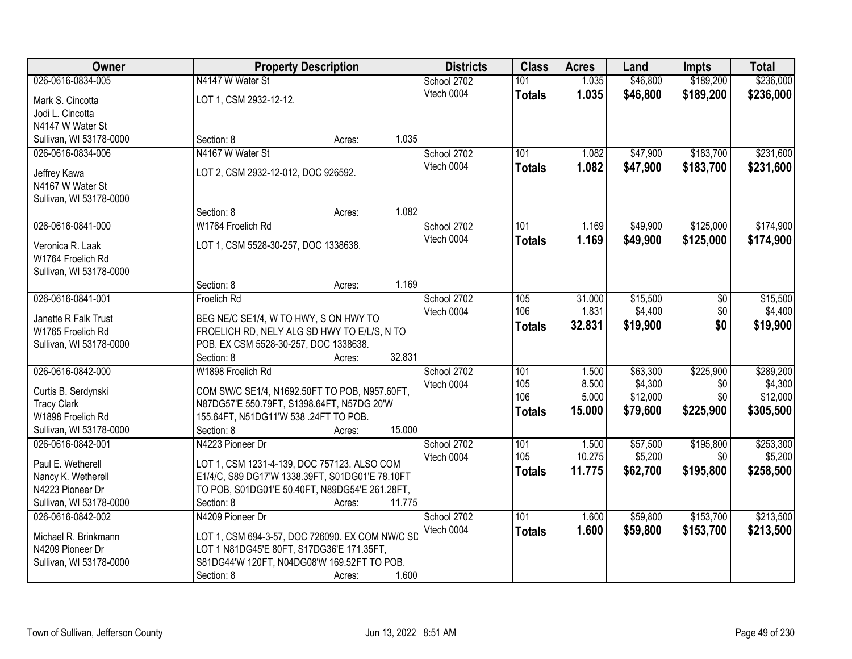| Owner                   | <b>Property Description</b>                     |                  | <b>Districts</b> | <b>Class</b>  | <b>Acres</b> | Land     | <b>Impts</b> | <b>Total</b> |
|-------------------------|-------------------------------------------------|------------------|------------------|---------------|--------------|----------|--------------|--------------|
| 026-0616-0834-005       | N4147 W Water St                                |                  | School 2702      | 101           | 1.035        | \$46,800 | \$189,200    | \$236,000    |
| Mark S. Cincotta        | LOT 1, CSM 2932-12-12.                          |                  | Vtech 0004       | <b>Totals</b> | 1.035        | \$46,800 | \$189,200    | \$236,000    |
| Jodi L. Cincotta        |                                                 |                  |                  |               |              |          |              |              |
| N4147 W Water St        |                                                 |                  |                  |               |              |          |              |              |
| Sullivan, WI 53178-0000 | Section: 8                                      | 1.035<br>Acres:  |                  |               |              |          |              |              |
| 026-0616-0834-006       | N4167 W Water St                                |                  | School 2702      | 101           | 1.082        | \$47,900 | \$183,700    | \$231,600    |
|                         |                                                 |                  | Vtech 0004       | <b>Totals</b> | 1.082        | \$47,900 | \$183,700    | \$231,600    |
| Jeffrey Kawa            | LOT 2, CSM 2932-12-012, DOC 926592.             |                  |                  |               |              |          |              |              |
| N4167 W Water St        |                                                 |                  |                  |               |              |          |              |              |
| Sullivan, WI 53178-0000 |                                                 | 1.082            |                  |               |              |          |              |              |
|                         | Section: 8                                      | Acres:           |                  |               |              |          |              |              |
| 026-0616-0841-000       | W1764 Froelich Rd                               |                  | School 2702      | 101           | 1.169        | \$49,900 | \$125,000    | \$174,900    |
| Veronica R. Laak        | LOT 1, CSM 5528-30-257, DOC 1338638.            |                  | Vtech 0004       | <b>Totals</b> | 1.169        | \$49,900 | \$125,000    | \$174,900    |
| W1764 Froelich Rd       |                                                 |                  |                  |               |              |          |              |              |
| Sullivan, WI 53178-0000 |                                                 |                  |                  |               |              |          |              |              |
|                         | Section: 8                                      | 1.169<br>Acres:  |                  |               |              |          |              |              |
| 026-0616-0841-001       | Froelich Rd                                     |                  | School 2702      | 105           | 31.000       | \$15,500 | \$0          | \$15,500     |
| Janette R Falk Trust    | BEG NE/C SE1/4, W TO HWY, S ON HWY TO           |                  | Vtech 0004       | 106           | 1.831        | \$4,400  | \$0          | \$4,400      |
| W1765 Froelich Rd       | FROELICH RD, NELY ALG SD HWY TO E/L/S, N TO     |                  |                  | <b>Totals</b> | 32.831       | \$19,900 | \$0          | \$19,900     |
| Sullivan, WI 53178-0000 | POB. EX CSM 5528-30-257, DOC 1338638.           |                  |                  |               |              |          |              |              |
|                         | Section: 8                                      | 32.831<br>Acres: |                  |               |              |          |              |              |
| 026-0616-0842-000       | W1898 Froelich Rd                               |                  | School 2702      | 101           | 1.500        | \$63,300 | \$225,900    | \$289,200    |
|                         |                                                 |                  | Vtech 0004       | 105           | 8.500        | \$4,300  | \$0          | \$4,300      |
| Curtis B. Serdynski     | COM SW/C SE1/4, N1692.50FT TO POB, N957.60FT,   |                  |                  | 106           | 5.000        | \$12,000 | \$0          | \$12,000     |
| <b>Tracy Clark</b>      | N87DG57'E 550.79FT, S1398.64FT, N57DG 20'W      |                  |                  | <b>Totals</b> | 15.000       | \$79,600 | \$225,900    | \$305,500    |
| W1898 Froelich Rd       | 155.64FT, N51DG11'W 538 .24FT TO POB.           |                  |                  |               |              |          |              |              |
| Sullivan, WI 53178-0000 | Section: 8                                      | 15.000<br>Acres: |                  |               |              |          |              |              |
| 026-0616-0842-001       | N4223 Pioneer Dr                                |                  | School 2702      | 101           | 1.500        | \$57,500 | \$195,800    | \$253,300    |
| Paul E. Wetherell       | LOT 1, CSM 1231-4-139, DOC 757123. ALSO COM     |                  | Vtech 0004       | 105           | 10.275       | \$5,200  | \$0          | \$5,200      |
| Nancy K. Wetherell      | E1/4/C, S89 DG17'W 1338.39FT, S01DG01'E 78.10FT |                  |                  | <b>Totals</b> | 11.775       | \$62,700 | \$195,800    | \$258,500    |
| N4223 Pioneer Dr        | TO POB, S01DG01'E 50.40FT, N89DG54'E 261.28FT,  |                  |                  |               |              |          |              |              |
| Sullivan, WI 53178-0000 | Section: 8                                      | 11.775<br>Acres: |                  |               |              |          |              |              |
| 026-0616-0842-002       | N4209 Pioneer Dr                                |                  | School 2702      | 101           | 1.600        | \$59,800 | \$153,700    | \$213,500    |
| Michael R. Brinkmann    | LOT 1, CSM 694-3-57, DOC 726090. EX COM NW/C SD |                  | Vtech 0004       | <b>Totals</b> | 1.600        | \$59,800 | \$153,700    | \$213,500    |
| N4209 Pioneer Dr        | LOT 1 N81DG45'E 80FT, S17DG36'E 171.35FT,       |                  |                  |               |              |          |              |              |
| Sullivan, WI 53178-0000 | S81DG44'W 120FT, N04DG08'W 169.52FT TO POB.     |                  |                  |               |              |          |              |              |
|                         | Section: 8                                      | 1.600<br>Acres:  |                  |               |              |          |              |              |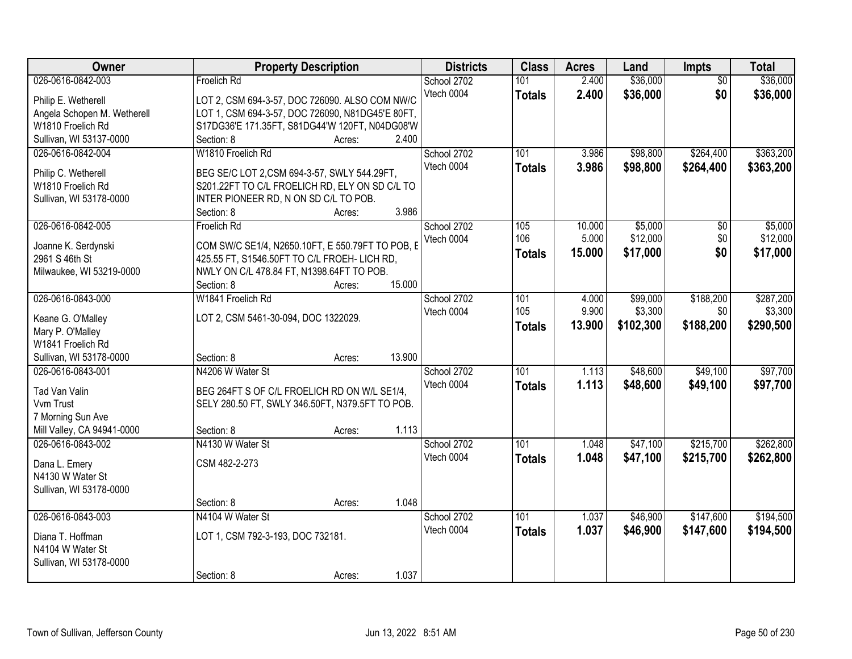| Owner                       | <b>Property Description</b>                      | <b>Districts</b> | <b>Class</b>  | <b>Acres</b> | Land      | Impts           | <b>Total</b> |
|-----------------------------|--------------------------------------------------|------------------|---------------|--------------|-----------|-----------------|--------------|
| 026-0616-0842-003           | Froelich Rd                                      | School 2702      | 101           | 2.400        | \$36,000  | $\overline{50}$ | \$36,000     |
| Philip E. Wetherell         | LOT 2, CSM 694-3-57, DOC 726090. ALSO COM NW/C   | Vtech 0004       | <b>Totals</b> | 2.400        | \$36,000  | \$0             | \$36,000     |
| Angela Schopen M. Wetherell | LOT 1, CSM 694-3-57, DOC 726090, N81DG45'E 80FT, |                  |               |              |           |                 |              |
| W1810 Froelich Rd           | S17DG36'E 171.35FT, S81DG44'W 120FT, N04DG08'W   |                  |               |              |           |                 |              |
| Sullivan, WI 53137-0000     | 2.400<br>Section: 8<br>Acres:                    |                  |               |              |           |                 |              |
| 026-0616-0842-004           | W1810 Froelich Rd                                | School 2702      | 101           | 3.986        | \$98,800  | \$264,400       | \$363,200    |
|                             |                                                  | Vtech 0004       | <b>Totals</b> | 3.986        | \$98,800  | \$264,400       | \$363,200    |
| Philip C. Wetherell         | BEG SE/C LOT 2,CSM 694-3-57, SWLY 544.29FT,      |                  |               |              |           |                 |              |
| W1810 Froelich Rd           | S201.22FT TO C/L FROELICH RD, ELY ON SD C/L TO   |                  |               |              |           |                 |              |
| Sullivan, WI 53178-0000     | INTER PIONEER RD, N ON SD C/L TO POB.            |                  |               |              |           |                 |              |
|                             | 3.986<br>Section: 8<br>Acres:                    |                  |               |              |           |                 |              |
| 026-0616-0842-005           | Froelich Rd                                      | School 2702      | 105           | 10.000       | \$5,000   | $\overline{50}$ | \$5,000      |
| Joanne K. Serdynski         | COM SW/C SE1/4, N2650.10FT, E 550.79FT TO POB, E | Vtech 0004       | 106           | 5.000        | \$12,000  | \$0             | \$12,000     |
| 2961 S 46th St              | 425.55 FT, S1546.50FT TO C/L FROEH- LICH RD,     |                  | <b>Totals</b> | 15.000       | \$17,000  | \$0             | \$17,000     |
| Milwaukee, WI 53219-0000    | NWLY ON C/L 478.84 FT, N1398.64FT TO POB.        |                  |               |              |           |                 |              |
|                             | 15.000<br>Section: 8<br>Acres:                   |                  |               |              |           |                 |              |
| 026-0616-0843-000           | W1841 Froelich Rd                                | School 2702      | 101           | 4.000        | \$99,000  | \$188,200       | \$287,200    |
|                             |                                                  | Vtech 0004       | 105           | 9.900        | \$3,300   | \$0             | \$3,300      |
| Keane G. O'Malley           | LOT 2, CSM 5461-30-094, DOC 1322029.             |                  | <b>Totals</b> | 13.900       | \$102,300 | \$188,200       | \$290,500    |
| Mary P. O'Malley            |                                                  |                  |               |              |           |                 |              |
| W1841 Froelich Rd           |                                                  |                  |               |              |           |                 |              |
| Sullivan, WI 53178-0000     | 13.900<br>Section: 8<br>Acres:                   |                  |               |              |           |                 |              |
| 026-0616-0843-001           | N4206 W Water St                                 | School 2702      | 101           | 1.113        | \$48,600  | \$49,100        | \$97,700     |
| Tad Van Valin               | BEG 264FT S OF C/L FROELICH RD ON W/L SE1/4.     | Vtech 0004       | <b>Totals</b> | 1.113        | \$48,600  | \$49,100        | \$97,700     |
| Vvm Trust                   | SELY 280.50 FT, SWLY 346.50FT, N379.5FT TO POB.  |                  |               |              |           |                 |              |
| 7 Morning Sun Ave           |                                                  |                  |               |              |           |                 |              |
| Mill Valley, CA 94941-0000  | 1.113<br>Section: 8<br>Acres:                    |                  |               |              |           |                 |              |
| 026-0616-0843-002           | N4130 W Water St                                 | School 2702      | 101           | 1.048        | \$47,100  | \$215,700       | \$262,800    |
|                             | CSM 482-2-273                                    | Vtech 0004       | <b>Totals</b> | 1.048        | \$47,100  | \$215,700       | \$262,800    |
| Dana L. Emery               |                                                  |                  |               |              |           |                 |              |
| N4130 W Water St            |                                                  |                  |               |              |           |                 |              |
| Sullivan, WI 53178-0000     | 1.048<br>Section: 8                              |                  |               |              |           |                 |              |
| 026-0616-0843-003           | Acres:<br>N4104 W Water St                       |                  |               |              |           |                 |              |
|                             |                                                  | School 2702      | 101           | 1.037        | \$46,900  | \$147,600       | \$194,500    |
| Diana T. Hoffman            | LOT 1, CSM 792-3-193, DOC 732181.                | Vtech 0004       | <b>Totals</b> | 1.037        | \$46,900  | \$147,600       | \$194,500    |
| N4104 W Water St            |                                                  |                  |               |              |           |                 |              |
| Sullivan, WI 53178-0000     |                                                  |                  |               |              |           |                 |              |
|                             | 1.037<br>Section: 8<br>Acres:                    |                  |               |              |           |                 |              |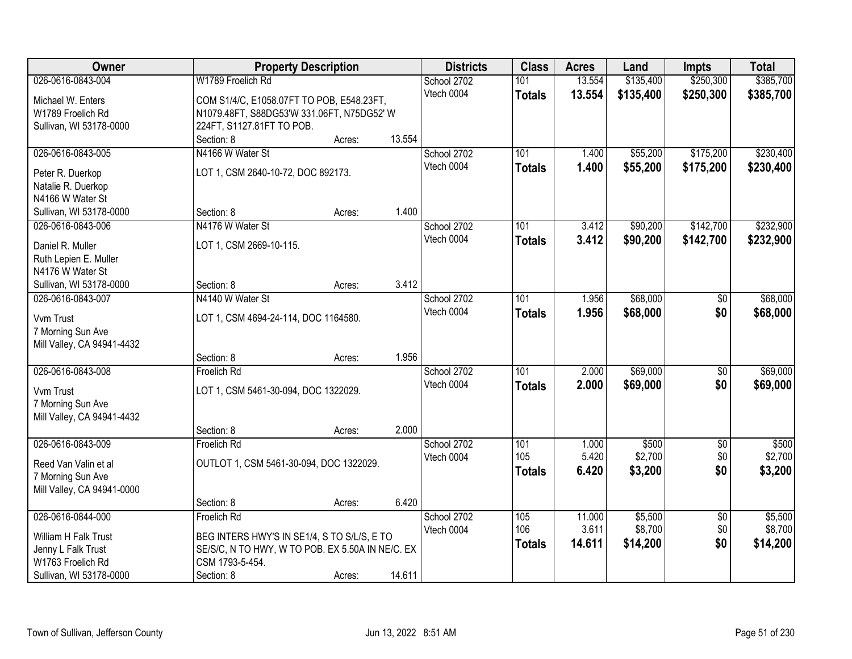| Owner                      |                                                  | <b>Property Description</b> |        | <b>Districts</b> | <b>Class</b>  | <b>Acres</b> | Land      | <b>Impts</b>    | <b>Total</b> |
|----------------------------|--------------------------------------------------|-----------------------------|--------|------------------|---------------|--------------|-----------|-----------------|--------------|
| 026-0616-0843-004          | W1789 Froelich Rd                                |                             |        | School 2702      | 101           | 13.554       | \$135,400 | \$250,300       | \$385,700    |
| Michael W. Enters          | COM S1/4/C, E1058.07FT TO POB, E548.23FT,        |                             |        | Vtech 0004       | <b>Totals</b> | 13.554       | \$135,400 | \$250,300       | \$385,700    |
| W1789 Froelich Rd          | N1079.48FT, S88DG53'W 331.06FT, N75DG52' W       |                             |        |                  |               |              |           |                 |              |
| Sullivan, WI 53178-0000    | 224FT, S1127.81FT TO POB.                        |                             |        |                  |               |              |           |                 |              |
|                            | Section: 8                                       | Acres:                      | 13.554 |                  |               |              |           |                 |              |
| 026-0616-0843-005          | N4166 W Water St                                 |                             |        | School 2702      | 101           | 1.400        | \$55,200  | \$175,200       | \$230,400    |
|                            |                                                  |                             |        | Vtech 0004       | <b>Totals</b> | 1.400        | \$55,200  | \$175,200       | \$230,400    |
| Peter R. Duerkop           | LOT 1, CSM 2640-10-72, DOC 892173.               |                             |        |                  |               |              |           |                 |              |
| Natalie R. Duerkop         |                                                  |                             |        |                  |               |              |           |                 |              |
| N4166 W Water St           |                                                  |                             | 1.400  |                  |               |              |           |                 |              |
| Sullivan, WI 53178-0000    | Section: 8                                       | Acres:                      |        |                  |               |              |           |                 |              |
| 026-0616-0843-006          | N4176 W Water St                                 |                             |        | School 2702      | 101           | 3.412        | \$90,200  | \$142,700       | \$232,900    |
| Daniel R. Muller           | LOT 1, CSM 2669-10-115.                          |                             |        | Vtech 0004       | <b>Totals</b> | 3.412        | \$90,200  | \$142,700       | \$232,900    |
| Ruth Lepien E. Muller      |                                                  |                             |        |                  |               |              |           |                 |              |
| N4176 W Water St           |                                                  |                             |        |                  |               |              |           |                 |              |
| Sullivan, WI 53178-0000    | Section: 8                                       | Acres:                      | 3.412  |                  |               |              |           |                 |              |
| 026-0616-0843-007          | N4140 W Water St                                 |                             |        | School 2702      | 101           | 1.956        | \$68,000  | $\sqrt[6]{3}$   | \$68,000     |
|                            |                                                  |                             |        | Vtech 0004       | <b>Totals</b> | 1.956        | \$68,000  | \$0             | \$68,000     |
| Vvm Trust                  | LOT 1, CSM 4694-24-114, DOC 1164580.             |                             |        |                  |               |              |           |                 |              |
| 7 Morning Sun Ave          |                                                  |                             |        |                  |               |              |           |                 |              |
| Mill Valley, CA 94941-4432 | Section: 8                                       |                             | 1.956  |                  |               |              |           |                 |              |
| 026-0616-0843-008          | Froelich Rd                                      | Acres:                      |        | School 2702      | 101           | 2.000        | \$69,000  | $\overline{50}$ | \$69,000     |
|                            |                                                  |                             |        | Vtech 0004       |               |              |           |                 |              |
| Vvm Trust                  | LOT 1, CSM 5461-30-094, DOC 1322029.             |                             |        |                  | <b>Totals</b> | 2.000        | \$69,000  | \$0             | \$69,000     |
| 7 Morning Sun Ave          |                                                  |                             |        |                  |               |              |           |                 |              |
| Mill Valley, CA 94941-4432 |                                                  |                             |        |                  |               |              |           |                 |              |
|                            | Section: 8                                       | Acres:                      | 2.000  |                  |               |              |           |                 |              |
| 026-0616-0843-009          | <b>Froelich Rd</b>                               |                             |        | School 2702      | 101           | 1.000        | \$500     | $\sqrt{$0}$     | \$500        |
| Reed Van Valin et al       | OUTLOT 1, CSM 5461-30-094, DOC 1322029.          |                             |        | Vtech 0004       | 105           | 5.420        | \$2,700   | \$0             | \$2,700      |
| 7 Morning Sun Ave          |                                                  |                             |        |                  | <b>Totals</b> | 6.420        | \$3,200   | \$0             | \$3,200      |
| Mill Valley, CA 94941-0000 |                                                  |                             |        |                  |               |              |           |                 |              |
|                            | Section: 8                                       | Acres:                      | 6.420  |                  |               |              |           |                 |              |
| 026-0616-0844-000          | Froelich Rd                                      |                             |        | School 2702      | 105           | 11.000       | \$5,500   | $\overline{30}$ | \$5,500      |
|                            |                                                  |                             |        | Vtech 0004       | 106           | 3.611        | \$8,700   | \$0             | \$8,700      |
| William H Falk Trust       | BEG INTERS HWY'S IN SE1/4, S TO S/L/S, E TO      |                             |        |                  | <b>Totals</b> | 14.611       | \$14,200  | \$0             | \$14,200     |
| Jenny L Falk Trust         | SE/S/C, N TO HWY, W TO POB. EX 5.50A IN NE/C. EX |                             |        |                  |               |              |           |                 |              |
| W1763 Froelich Rd          | CSM 1793-5-454.                                  |                             |        |                  |               |              |           |                 |              |
| Sullivan, WI 53178-0000    | Section: 8                                       | Acres:                      | 14.611 |                  |               |              |           |                 |              |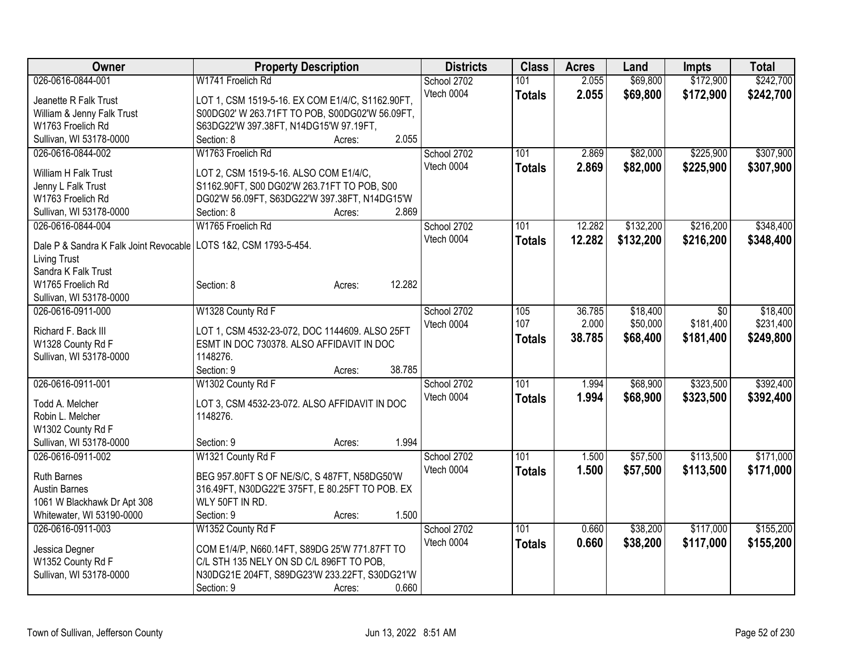| Owner                                                              | <b>Property Description</b>                                                           | <b>Districts</b> | <b>Class</b>  | <b>Acres</b> | Land      | Impts     | <b>Total</b> |
|--------------------------------------------------------------------|---------------------------------------------------------------------------------------|------------------|---------------|--------------|-----------|-----------|--------------|
| 026-0616-0844-001                                                  | W1741 Froelich Rd                                                                     | School 2702      | 101           | 2.055        | \$69,800  | \$172,900 | \$242,700    |
| Jeanette R Falk Trust                                              | LOT 1, CSM 1519-5-16. EX COM E1/4/C, S1162.90FT,                                      | Vtech 0004       | <b>Totals</b> | 2.055        | \$69,800  | \$172,900 | \$242,700    |
| William & Jenny Falk Trust                                         | S00DG02' W 263.71FT TO POB, S00DG02'W 56.09FT,                                        |                  |               |              |           |           |              |
| W1763 Froelich Rd                                                  | S63DG22'W 397.38FT, N14DG15'W 97.19FT,                                                |                  |               |              |           |           |              |
| Sullivan, WI 53178-0000                                            | 2.055<br>Section: 8<br>Acres:                                                         |                  |               |              |           |           |              |
| 026-0616-0844-002                                                  | W1763 Froelich Rd                                                                     | School 2702      | 101           | 2.869        | \$82,000  | \$225,900 | \$307,900    |
|                                                                    |                                                                                       | Vtech 0004       | <b>Totals</b> | 2.869        | \$82,000  | \$225,900 | \$307,900    |
| William H Falk Trust<br>Jenny L Falk Trust                         | LOT 2, CSM 1519-5-16. ALSO COM E1/4/C,<br>S1162.90FT, S00 DG02'W 263.71FT TO POB, S00 |                  |               |              |           |           |              |
| W1763 Froelich Rd                                                  | DG02'W 56.09FT, S63DG22'W 397.38FT, N14DG15'W                                         |                  |               |              |           |           |              |
| Sullivan, WI 53178-0000                                            | 2.869<br>Section: 8<br>Acres:                                                         |                  |               |              |           |           |              |
| 026-0616-0844-004                                                  | W1765 Froelich Rd                                                                     | School 2702      | 101           | 12.282       | \$132,200 | \$216,200 | \$348,400    |
|                                                                    |                                                                                       | Vtech 0004       |               | 12.282       |           |           |              |
| Dale P & Sandra K Falk Joint Revocable   LOTS 1&2, CSM 1793-5-454. |                                                                                       |                  | <b>Totals</b> |              | \$132,200 | \$216,200 | \$348,400    |
| <b>Living Trust</b>                                                |                                                                                       |                  |               |              |           |           |              |
| Sandra K Falk Trust                                                |                                                                                       |                  |               |              |           |           |              |
| W1765 Froelich Rd                                                  | 12.282<br>Section: 8<br>Acres:                                                        |                  |               |              |           |           |              |
| Sullivan, WI 53178-0000                                            |                                                                                       |                  |               |              |           |           |              |
| 026-0616-0911-000                                                  | W1328 County Rd F                                                                     | School 2702      | 105           | 36.785       | \$18,400  | \$0       | \$18,400     |
| Richard F. Back III                                                | LOT 1, CSM 4532-23-072, DOC 1144609. ALSO 25FT                                        | Vtech 0004       | 107           | 2.000        | \$50,000  | \$181,400 | \$231,400    |
| W1328 County Rd F                                                  | ESMT IN DOC 730378. ALSO AFFIDAVIT IN DOC                                             |                  | <b>Totals</b> | 38.785       | \$68,400  | \$181,400 | \$249,800    |
| Sullivan, WI 53178-0000                                            | 1148276.                                                                              |                  |               |              |           |           |              |
|                                                                    | 38.785<br>Section: 9<br>Acres:                                                        |                  |               |              |           |           |              |
| 026-0616-0911-001                                                  | W1302 County Rd F                                                                     | School 2702      | 101           | 1.994        | \$68,900  | \$323,500 | \$392,400    |
|                                                                    |                                                                                       | Vtech 0004       | <b>Totals</b> | 1.994        | \$68,900  | \$323,500 | \$392,400    |
| Todd A. Melcher                                                    | LOT 3, CSM 4532-23-072. ALSO AFFIDAVIT IN DOC                                         |                  |               |              |           |           |              |
| Robin L. Melcher                                                   | 1148276.                                                                              |                  |               |              |           |           |              |
| W1302 County Rd F                                                  |                                                                                       |                  |               |              |           |           |              |
| Sullivan, WI 53178-0000                                            | 1.994<br>Section: 9<br>Acres:                                                         |                  |               |              |           |           |              |
| 026-0616-0911-002                                                  | W1321 County Rd F                                                                     | School 2702      | 101           | 1.500        | \$57,500  | \$113,500 | \$171,000    |
| <b>Ruth Barnes</b>                                                 | BEG 957.80FT S OF NE/S/C, S 487FT, N58DG50'W                                          | Vtech 0004       | <b>Totals</b> | 1.500        | \$57,500  | \$113,500 | \$171,000    |
| <b>Austin Barnes</b>                                               | 316.49FT, N30DG22'E 375FT, E 80.25FT TO POB. EX                                       |                  |               |              |           |           |              |
| 1061 W Blackhawk Dr Apt 308                                        | WLY 50FT IN RD.                                                                       |                  |               |              |           |           |              |
| Whitewater, WI 53190-0000                                          | 1.500<br>Section: 9<br>Acres:                                                         |                  |               |              |           |           |              |
| 026-0616-0911-003                                                  | W1352 County Rd F                                                                     | School 2702      | 101           | 0.660        | \$38,200  | \$117,000 | \$155,200    |
|                                                                    |                                                                                       | Vtech 0004       | <b>Totals</b> | 0.660        | \$38,200  | \$117,000 | \$155,200    |
| Jessica Degner                                                     | COM E1/4/P, N660.14FT, S89DG 25'W 771.87FT TO                                         |                  |               |              |           |           |              |
| W1352 County Rd F                                                  | C/L STH 135 NELY ON SD C/L 896FT TO POB,                                              |                  |               |              |           |           |              |
| Sullivan, WI 53178-0000                                            | N30DG21E 204FT, S89DG23'W 233.22FT, S30DG21'W<br>0.660                                |                  |               |              |           |           |              |
|                                                                    | Section: 9<br>Acres:                                                                  |                  |               |              |           |           |              |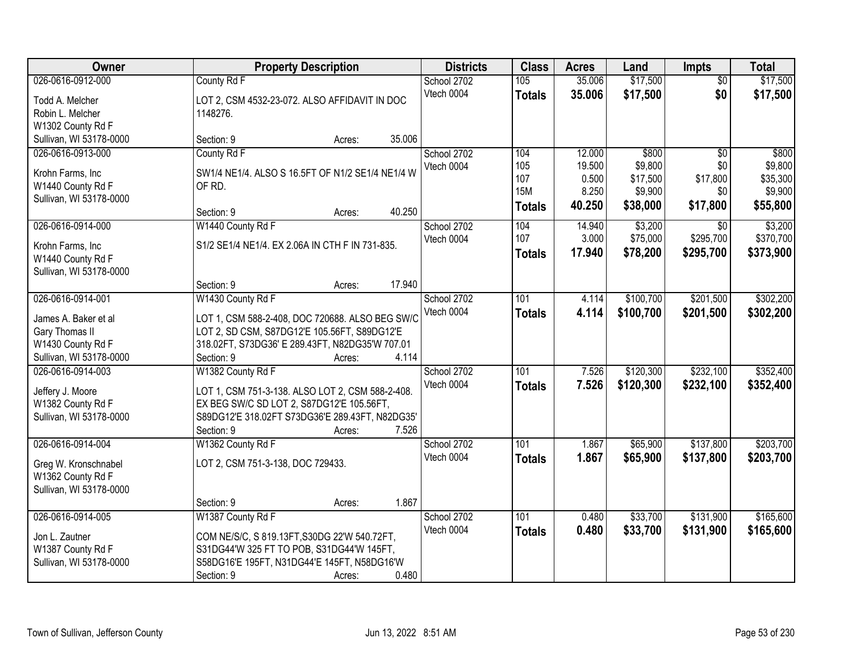| <b>Owner</b>                        |                                                                                           | <b>Property Description</b> |        | <b>Districts</b> | <b>Class</b>  | <b>Acres</b> | Land      | <b>Impts</b>    | <b>Total</b> |
|-------------------------------------|-------------------------------------------------------------------------------------------|-----------------------------|--------|------------------|---------------|--------------|-----------|-----------------|--------------|
| 026-0616-0912-000                   | County Rd F                                                                               |                             |        | School 2702      | 105           | 35.006       | \$17,500  | $\overline{50}$ | \$17,500     |
| Todd A. Melcher                     | LOT 2, CSM 4532-23-072. ALSO AFFIDAVIT IN DOC                                             |                             |        | Vtech 0004       | <b>Totals</b> | 35.006       | \$17,500  | \$0             | \$17,500     |
| Robin L. Melcher                    | 1148276.                                                                                  |                             |        |                  |               |              |           |                 |              |
| W1302 County Rd F                   |                                                                                           |                             |        |                  |               |              |           |                 |              |
| Sullivan, WI 53178-0000             | Section: 9                                                                                | Acres:                      | 35.006 |                  |               |              |           |                 |              |
| 026-0616-0913-000                   | County Rd F                                                                               |                             |        | School 2702      | 104           | 12.000       | \$800     | $\overline{50}$ | \$800        |
| Krohn Farms, Inc                    | SW1/4 NE1/4. ALSO S 16.5FT OF N1/2 SE1/4 NE1/4 W                                          |                             |        | Vtech 0004       | 105           | 19.500       | \$9,800   | \$0             | \$9,800      |
| W1440 County Rd F                   | OF RD.                                                                                    |                             |        |                  | 107           | 0.500        | \$17,500  | \$17,800        | \$35,300     |
| Sullivan, WI 53178-0000             |                                                                                           |                             |        |                  | <b>15M</b>    | 8.250        | \$9,900   | \$0             | \$9,900      |
|                                     | Section: 9                                                                                | Acres:                      | 40.250 |                  | <b>Totals</b> | 40.250       | \$38,000  | \$17,800        | \$55,800     |
| 026-0616-0914-000                   | W1440 County Rd F                                                                         |                             |        | School 2702      | 104           | 14.940       | \$3,200   | \$0             | \$3,200      |
| Krohn Farms, Inc                    | S1/2 SE1/4 NE1/4. EX 2.06A IN CTH F IN 731-835.                                           |                             |        | Vtech 0004       | 107           | 3.000        | \$75,000  | \$295,700       | \$370,700    |
| W1440 County Rd F                   |                                                                                           |                             |        |                  | <b>Totals</b> | 17.940       | \$78,200  | \$295,700       | \$373,900    |
| Sullivan, WI 53178-0000             |                                                                                           |                             |        |                  |               |              |           |                 |              |
|                                     | Section: 9                                                                                | Acres:                      | 17.940 |                  |               |              |           |                 |              |
| 026-0616-0914-001                   | W1430 County Rd F                                                                         |                             |        | School 2702      | 101           | 4.114        | \$100,700 | \$201,500       | \$302,200    |
|                                     |                                                                                           |                             |        | Vtech 0004       | <b>Totals</b> | 4.114        | \$100,700 | \$201,500       | \$302,200    |
| James A. Baker et al                | LOT 1, CSM 588-2-408, DOC 720688. ALSO BEG SW/C                                           |                             |        |                  |               |              |           |                 |              |
| Gary Thomas II                      | LOT 2, SD CSM, S87DG12'E 105.56FT, S89DG12'E                                              |                             |        |                  |               |              |           |                 |              |
| W1430 County Rd F                   | 318.02FT, S73DG36' E 289.43FT, N82DG35'W 707.01                                           |                             |        |                  |               |              |           |                 |              |
| Sullivan, WI 53178-0000             | Section: 9                                                                                | Acres:                      | 4.114  |                  |               |              |           |                 |              |
| 026-0616-0914-003                   | W1382 County Rd F                                                                         |                             |        | School 2702      | 101           | 7.526        | \$120,300 | \$232,100       | \$352,400    |
| Jeffery J. Moore                    | LOT 1, CSM 751-3-138. ALSO LOT 2, CSM 588-2-408.                                          |                             |        | Vtech 0004       | <b>Totals</b> | 7.526        | \$120,300 | \$232,100       | \$352,400    |
| W1382 County Rd F                   | EX BEG SW/C SD LOT 2, S87DG12'E 105.56FT,                                                 |                             |        |                  |               |              |           |                 |              |
| Sullivan, WI 53178-0000             | S89DG12'E 318.02FT S73DG36'E 289.43FT, N82DG35'                                           |                             |        |                  |               |              |           |                 |              |
|                                     | Section: 9                                                                                | Acres:                      | 7.526  |                  |               |              |           |                 |              |
| 026-0616-0914-004                   | W1362 County Rd F                                                                         |                             |        | School 2702      | 101           | 1.867        | \$65,900  | \$137,800       | \$203,700    |
| Greg W. Kronschnabel                | LOT 2, CSM 751-3-138, DOC 729433.                                                         |                             |        | Vtech 0004       | <b>Totals</b> | 1.867        | \$65,900  | \$137,800       | \$203,700    |
| W1362 County Rd F                   |                                                                                           |                             |        |                  |               |              |           |                 |              |
| Sullivan, WI 53178-0000             |                                                                                           |                             |        |                  |               |              |           |                 |              |
|                                     | Section: 9                                                                                | Acres:                      | 1.867  |                  |               |              |           |                 |              |
| 026-0616-0914-005                   | W1387 County Rd F                                                                         |                             |        | School 2702      | 101           | 0.480        | \$33,700  | \$131,900       | \$165,600    |
|                                     |                                                                                           |                             |        | Vtech 0004       | <b>Totals</b> | 0.480        | \$33,700  | \$131,900       | \$165,600    |
| Jon L. Zautner<br>W1387 County Rd F | COM NE/S/C, S 819.13FT, S30DG 22'W 540.72FT,<br>S31DG44'W 325 FT TO POB, S31DG44'W 145FT, |                             |        |                  |               |              |           |                 |              |
| Sullivan, WI 53178-0000             | S58DG16'E 195FT, N31DG44'E 145FT, N58DG16'W                                               |                             |        |                  |               |              |           |                 |              |
|                                     | Section: 9                                                                                | Acres:                      | 0.480  |                  |               |              |           |                 |              |
|                                     |                                                                                           |                             |        |                  |               |              |           |                 |              |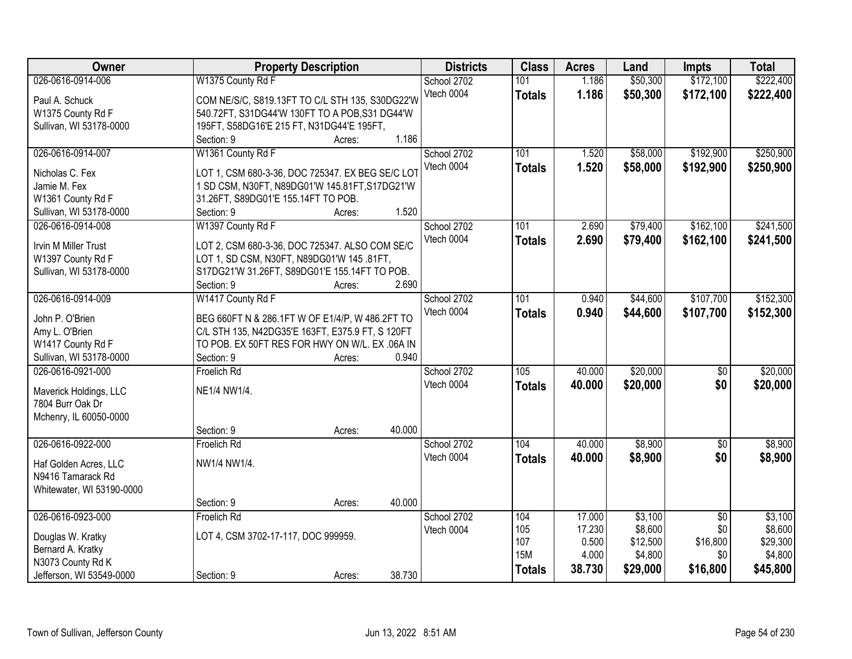| <b>Owner</b>                      | <b>Property Description</b>                                                                        |        |        | <b>Districts</b> | <b>Class</b>  | <b>Acres</b> | Land     | <b>Impts</b>    | <b>Total</b> |
|-----------------------------------|----------------------------------------------------------------------------------------------------|--------|--------|------------------|---------------|--------------|----------|-----------------|--------------|
| 026-0616-0914-006                 | W1375 County Rd F                                                                                  |        |        | School 2702      | 101           | 1.186        | \$50,300 | \$172,100       | \$222,400    |
| Paul A. Schuck                    | COM NE/S/C, S819.13FT TO C/L STH 135, S30DG22'W                                                    |        |        | Vtech 0004       | <b>Totals</b> | 1.186        | \$50,300 | \$172,100       | \$222,400    |
| W1375 County Rd F                 | 540.72FT, S31DG44'W 130FT TO A POB, S31 DG44'W                                                     |        |        |                  |               |              |          |                 |              |
| Sullivan, WI 53178-0000           | 195FT, S58DG16'E 215 FT, N31DG44'E 195FT,                                                          |        |        |                  |               |              |          |                 |              |
|                                   | Section: 9                                                                                         | Acres: | 1.186  |                  |               |              |          |                 |              |
| 026-0616-0914-007                 | W1361 County Rd F                                                                                  |        |        | School 2702      | 101           | 1.520        | \$58,000 | \$192,900       | \$250,900    |
|                                   |                                                                                                    |        |        | Vtech 0004       | <b>Totals</b> | 1.520        | \$58,000 | \$192,900       | \$250,900    |
| Nicholas C. Fex                   | LOT 1, CSM 680-3-36, DOC 725347. EX BEG SE/C LOT                                                   |        |        |                  |               |              |          |                 |              |
| Jamie M. Fex                      | 1 SD CSM, N30FT, N89DG01'W 145.81FT, S17DG21'W                                                     |        |        |                  |               |              |          |                 |              |
| W1361 County Rd F                 | 31.26FT, S89DG01'E 155.14FT TO POB.                                                                |        | 1.520  |                  |               |              |          |                 |              |
| Sullivan, WI 53178-0000           | Section: 9                                                                                         | Acres: |        |                  | 101           | 2.690        |          | \$162,100       | \$241,500    |
| 026-0616-0914-008                 | W1397 County Rd F                                                                                  |        |        | School 2702      |               |              | \$79,400 |                 |              |
| <b>Irvin M Miller Trust</b>       | LOT 2, CSM 680-3-36, DOC 725347. ALSO COM SE/C                                                     |        |        | Vtech 0004       | <b>Totals</b> | 2.690        | \$79,400 | \$162,100       | \$241,500    |
| W1397 County Rd F                 | LOT 1, SD CSM, N30FT, N89DG01'W 145 .81FT,                                                         |        |        |                  |               |              |          |                 |              |
| Sullivan, WI 53178-0000           | S17DG21'W 31.26FT, S89DG01'E 155.14FT TO POB.                                                      |        |        |                  |               |              |          |                 |              |
|                                   | Section: 9                                                                                         | Acres: | 2.690  |                  |               |              |          |                 |              |
| 026-0616-0914-009                 | W1417 County Rd F                                                                                  |        |        | School 2702      | 101           | 0.940        | \$44,600 | \$107,700       | \$152,300    |
|                                   |                                                                                                    |        |        | Vtech 0004       | <b>Totals</b> | 0.940        | \$44,600 | \$107,700       | \$152,300    |
| John P. O'Brien<br>Amy L. O'Brien | BEG 660FT N & 286.1FT W OF E1/4/P, W 486.2FT TO                                                    |        |        |                  |               |              |          |                 |              |
| W1417 County Rd F                 | C/L STH 135, N42DG35'E 163FT, E375.9 FT, S 120FT<br>TO POB. EX 50FT RES FOR HWY ON W/L. EX .06A IN |        |        |                  |               |              |          |                 |              |
| Sullivan, WI 53178-0000           | Section: 9                                                                                         | Acres: | 0.940  |                  |               |              |          |                 |              |
| 026-0616-0921-000                 | Froelich Rd                                                                                        |        |        | School 2702      | 105           | 40.000       | \$20,000 | $\overline{50}$ | \$20,000     |
|                                   |                                                                                                    |        |        | Vtech 0004       |               |              |          |                 |              |
| Maverick Holdings, LLC            | NE1/4 NW1/4.                                                                                       |        |        |                  | <b>Totals</b> | 40.000       | \$20,000 | \$0             | \$20,000     |
| 7804 Burr Oak Dr                  |                                                                                                    |        |        |                  |               |              |          |                 |              |
| Mchenry, IL 60050-0000            |                                                                                                    |        |        |                  |               |              |          |                 |              |
|                                   | Section: 9                                                                                         | Acres: | 40.000 |                  |               |              |          |                 |              |
| 026-0616-0922-000                 | Froelich Rd                                                                                        |        |        | School 2702      | 104           | 40.000       | \$8,900  | $\overline{50}$ | \$8,900      |
| Haf Golden Acres, LLC             | NW1/4 NW1/4.                                                                                       |        |        | Vtech 0004       | <b>Totals</b> | 40.000       | \$8,900  | \$0             | \$8,900      |
| N9416 Tamarack Rd                 |                                                                                                    |        |        |                  |               |              |          |                 |              |
| Whitewater, WI 53190-0000         |                                                                                                    |        |        |                  |               |              |          |                 |              |
|                                   | Section: 9                                                                                         | Acres: | 40.000 |                  |               |              |          |                 |              |
| 026-0616-0923-000                 | Froelich Rd                                                                                        |        |        | School 2702      | 104           | 17.000       | \$3,100  | $\overline{50}$ | \$3,100      |
|                                   |                                                                                                    |        |        | Vtech 0004       | 105           | 17.230       | \$8,600  | \$0             | \$8,600      |
| Douglas W. Kratky                 | LOT 4, CSM 3702-17-117, DOC 999959.                                                                |        |        |                  | 107           | 0.500        | \$12,500 | \$16,800        | \$29,300     |
| Bernard A. Kratky                 |                                                                                                    |        |        |                  | <b>15M</b>    | 4.000        | \$4,800  | \$0             | \$4,800      |
| N3073 County Rd K                 |                                                                                                    |        |        |                  |               | 38.730       | \$29,000 | \$16,800        | \$45,800     |
| Jefferson, WI 53549-0000          | Section: 9                                                                                         | Acres: | 38.730 |                  | <b>Totals</b> |              |          |                 |              |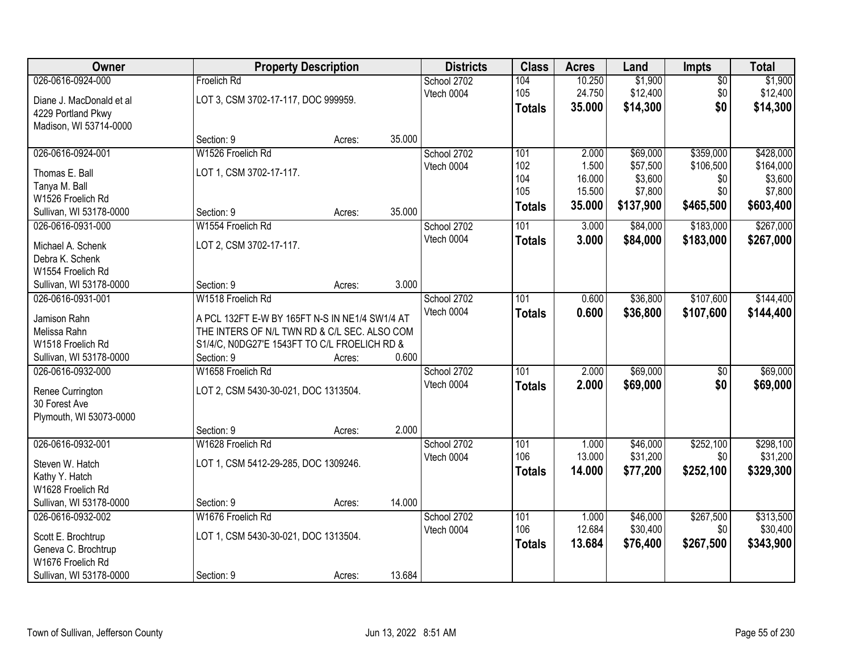| Owner                                        |                                                | <b>Property Description</b> |        | <b>Districts</b> | <b>Class</b>  | <b>Acres</b> | Land      | <b>Impts</b>    | <b>Total</b> |
|----------------------------------------------|------------------------------------------------|-----------------------------|--------|------------------|---------------|--------------|-----------|-----------------|--------------|
| 026-0616-0924-000                            | Froelich Rd                                    |                             |        | School 2702      | 104           | 10.250       | \$1,900   | $\overline{50}$ | \$1,900      |
| Diane J. MacDonald et al                     | LOT 3, CSM 3702-17-117, DOC 999959.            |                             |        | Vtech 0004       | 105           | 24.750       | \$12,400  | \$0             | \$12,400     |
| 4229 Portland Pkwy                           |                                                |                             |        |                  | <b>Totals</b> | 35.000       | \$14,300  | \$0             | \$14,300     |
| Madison, WI 53714-0000                       |                                                |                             |        |                  |               |              |           |                 |              |
|                                              | Section: 9                                     | Acres:                      | 35.000 |                  |               |              |           |                 |              |
| 026-0616-0924-001                            | W1526 Froelich Rd                              |                             |        | School 2702      | 101           | 2.000        | \$69,000  | \$359,000       | \$428,000    |
| Thomas E. Ball                               | LOT 1, CSM 3702-17-117.                        |                             |        | Vtech 0004       | 102           | 1.500        | \$57,500  | \$106,500       | \$164,000    |
| Tanya M. Ball                                |                                                |                             |        |                  | 104           | 16.000       | \$3,600   | \$0             | \$3,600      |
| W1526 Froelich Rd                            |                                                |                             |        |                  | 105           | 15.500       | \$7,800   | \$0             | \$7,800      |
| Sullivan, WI 53178-0000                      | Section: 9                                     | Acres:                      | 35.000 |                  | <b>Totals</b> | 35.000       | \$137,900 | \$465,500       | \$603,400    |
| 026-0616-0931-000                            | W1554 Froelich Rd                              |                             |        | School 2702      | 101           | 3.000        | \$84,000  | \$183,000       | \$267,000    |
| Michael A. Schenk                            | LOT 2, CSM 3702-17-117.                        |                             |        | Vtech 0004       | <b>Totals</b> | 3.000        | \$84,000  | \$183,000       | \$267,000    |
| Debra K. Schenk                              |                                                |                             |        |                  |               |              |           |                 |              |
| W1554 Froelich Rd                            |                                                |                             |        |                  |               |              |           |                 |              |
| Sullivan, WI 53178-0000                      | Section: 9                                     | Acres:                      | 3.000  |                  |               |              |           |                 |              |
| 026-0616-0931-001                            | W1518 Froelich Rd                              |                             |        | School 2702      | 101           | 0.600        | \$36,800  | \$107,600       | \$144,400    |
| Jamison Rahn                                 | A PCL 132FT E-W BY 165FT N-S IN NE1/4 SW1/4 AT |                             |        | Vtech 0004       | <b>Totals</b> | 0.600        | \$36,800  | \$107,600       | \$144,400    |
| Melissa Rahn                                 | THE INTERS OF N/L TWN RD & C/L SEC. ALSO COM   |                             |        |                  |               |              |           |                 |              |
| W1518 Froelich Rd                            | S1/4/C, N0DG27'E 1543FT TO C/L FROELICH RD &   |                             |        |                  |               |              |           |                 |              |
| Sullivan, WI 53178-0000                      | Section: 9                                     | Acres:                      | 0.600  |                  |               |              |           |                 |              |
| 026-0616-0932-000                            | W1658 Froelich Rd                              |                             |        | School 2702      | 101           | 2.000        | \$69,000  | $\overline{30}$ | \$69,000     |
|                                              |                                                |                             |        | Vtech 0004       | <b>Totals</b> | 2.000        | \$69,000  | \$0             | \$69,000     |
| Renee Currington                             | LOT 2, CSM 5430-30-021, DOC 1313504.           |                             |        |                  |               |              |           |                 |              |
| 30 Forest Ave<br>Plymouth, WI 53073-0000     |                                                |                             |        |                  |               |              |           |                 |              |
|                                              | Section: 9                                     | Acres:                      | 2.000  |                  |               |              |           |                 |              |
| 026-0616-0932-001                            | W1628 Froelich Rd                              |                             |        | School 2702      | 101           | 1.000        | \$46,000  | \$252,100       | \$298,100    |
|                                              |                                                |                             |        | Vtech 0004       | 106           | 13.000       | \$31,200  | \$0             | \$31,200     |
| Steven W. Hatch                              | LOT 1, CSM 5412-29-285, DOC 1309246.           |                             |        |                  | <b>Totals</b> | 14.000       | \$77,200  | \$252,100       | \$329,300    |
| Kathy Y. Hatch                               |                                                |                             |        |                  |               |              |           |                 |              |
| W1628 Froelich Rd                            |                                                |                             |        |                  |               |              |           |                 |              |
| Sullivan, WI 53178-0000<br>026-0616-0932-002 | Section: 9<br>W1676 Froelich Rd                | Acres:                      | 14.000 | School 2702      | 101           | 1.000        | \$46,000  | \$267,500       | \$313,500    |
|                                              |                                                |                             |        | Vtech 0004       | 106           | 12.684       | \$30,400  | \$0             | \$30,400     |
| Scott E. Brochtrup                           | LOT 1, CSM 5430-30-021, DOC 1313504.           |                             |        |                  | <b>Totals</b> | 13.684       | \$76,400  | \$267,500       | \$343,900    |
| Geneva C. Brochtrup                          |                                                |                             |        |                  |               |              |           |                 |              |
| W1676 Froelich Rd                            |                                                |                             |        |                  |               |              |           |                 |              |
| Sullivan, WI 53178-0000                      | Section: 9                                     | Acres:                      | 13.684 |                  |               |              |           |                 |              |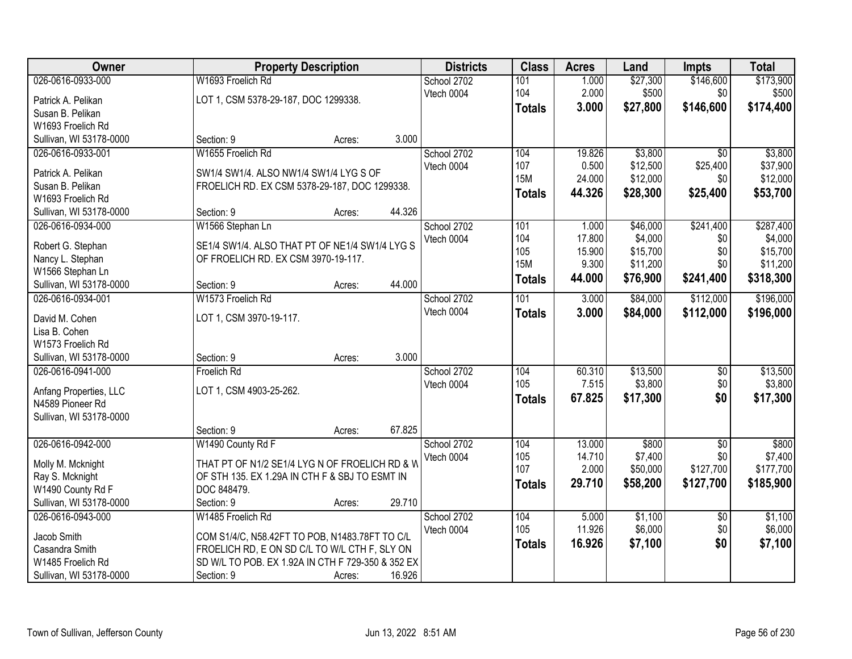| Owner                                        | <b>Property Description</b>                                                           |        | <b>Districts</b> | <b>Class</b>  | <b>Acres</b>    | Land                | <b>Impts</b>     | <b>Total</b>         |
|----------------------------------------------|---------------------------------------------------------------------------------------|--------|------------------|---------------|-----------------|---------------------|------------------|----------------------|
| 026-0616-0933-000                            | W1693 Froelich Rd                                                                     |        | School 2702      | 101           | 1.000           | \$27,300            | \$146,600        | \$173,900            |
| Patrick A. Pelikan                           | LOT 1, CSM 5378-29-187, DOC 1299338.                                                  |        | Vtech 0004       | 104           | 2.000           | \$500               | \$0              | \$500                |
| Susan B. Pelikan                             |                                                                                       |        |                  | <b>Totals</b> | 3.000           | \$27,800            | \$146,600        | \$174,400            |
| W1693 Froelich Rd                            |                                                                                       |        |                  |               |                 |                     |                  |                      |
| Sullivan, WI 53178-0000                      | Section: 9<br>Acres:                                                                  | 3.000  |                  |               |                 |                     |                  |                      |
| 026-0616-0933-001                            | W1655 Froelich Rd                                                                     |        | School 2702      | 104           | 19.826          | \$3,800             | $\overline{30}$  | \$3,800              |
| Patrick A. Pelikan                           | SW1/4 SW1/4, ALSO NW1/4 SW1/4 LYG S OF                                                |        | Vtech 0004       | 107           | 0.500           | \$12,500            | \$25,400         | \$37,900             |
| Susan B. Pelikan                             | FROELICH RD. EX CSM 5378-29-187, DOC 1299338.                                         |        |                  | <b>15M</b>    | 24.000          | \$12,000            | \$0              | \$12,000             |
| W1693 Froelich Rd                            |                                                                                       |        |                  | <b>Totals</b> | 44.326          | \$28,300            | \$25,400         | \$53,700             |
| Sullivan, WI 53178-0000                      | Section: 9<br>Acres:                                                                  | 44.326 |                  |               |                 |                     |                  |                      |
| 026-0616-0934-000                            | W1566 Stephan Ln                                                                      |        | School 2702      | 101           | 1.000           | \$46,000            | \$241,400        | \$287,400            |
|                                              |                                                                                       |        | Vtech 0004       | 104           | 17.800          | \$4,000             | \$0              | \$4,000              |
| Robert G. Stephan                            | SE1/4 SW1/4. ALSO THAT PT OF NE1/4 SW1/4 LYG S<br>OF FROELICH RD. EX CSM 3970-19-117. |        |                  | 105           | 15.900          | \$15,700            | \$0              | \$15,700             |
| Nancy L. Stephan<br>W1566 Stephan Ln         |                                                                                       |        |                  | <b>15M</b>    | 9.300           | \$11,200            | \$0              | \$11,200             |
| Sullivan, WI 53178-0000                      | Section: 9<br>Acres:                                                                  | 44.000 |                  | <b>Totals</b> | 44.000          | \$76,900            | \$241,400        | \$318,300            |
| 026-0616-0934-001                            | W1573 Froelich Rd                                                                     |        | School 2702      | 101           | 3.000           | \$84,000            | \$112,000        | \$196,000            |
|                                              |                                                                                       |        | Vtech 0004       | <b>Totals</b> | 3.000           | \$84,000            | \$112,000        | \$196,000            |
| David M. Cohen                               | LOT 1, CSM 3970-19-117.                                                               |        |                  |               |                 |                     |                  |                      |
| Lisa B. Cohen                                |                                                                                       |        |                  |               |                 |                     |                  |                      |
| W1573 Froelich Rd<br>Sullivan, WI 53178-0000 | Section: 9                                                                            | 3.000  |                  |               |                 |                     |                  |                      |
| 026-0616-0941-000                            | Acres:<br><b>Froelich Rd</b>                                                          |        | School 2702      | 104           | 60.310          | \$13,500            | $\overline{30}$  | \$13,500             |
|                                              |                                                                                       |        | Vtech 0004       | 105           | 7.515           | \$3,800             | \$0              | \$3,800              |
| Anfang Properties, LLC                       | LOT 1, CSM 4903-25-262.                                                               |        |                  | <b>Totals</b> | 67.825          | \$17,300            | \$0              | \$17,300             |
| N4589 Pioneer Rd                             |                                                                                       |        |                  |               |                 |                     |                  |                      |
| Sullivan, WI 53178-0000                      |                                                                                       |        |                  |               |                 |                     |                  |                      |
|                                              | Section: 9<br>Acres:                                                                  | 67.825 |                  |               |                 |                     |                  |                      |
| 026-0616-0942-000                            | W1490 County Rd F                                                                     |        | School 2702      | 104           | 13.000          | \$800               | $\sqrt{6}$       | \$800                |
| Molly M. Mcknight                            | THAT PT OF N1/2 SE1/4 LYG N OF FROELICH RD & W                                        |        | Vtech 0004       | 105<br>107    | 14.710<br>2.000 | \$7,400<br>\$50,000 | \$0<br>\$127,700 | \$7,400<br>\$177,700 |
| Ray S. Mcknight                              | OF STH 135. EX 1.29A IN CTH F & SBJ TO ESMT IN                                        |        |                  |               | 29.710          |                     | \$127,700        |                      |
| W1490 County Rd F                            | DOC 848479.                                                                           |        |                  | <b>Totals</b> |                 | \$58,200            |                  | \$185,900            |
| Sullivan, WI 53178-0000                      | Section: 9<br>Acres:                                                                  | 29.710 |                  |               |                 |                     |                  |                      |
| 026-0616-0943-000                            | W1485 Froelich Rd                                                                     |        | School 2702      | 104           | 5.000           | \$1,100             | $\overline{30}$  | \$1,100              |
| Jacob Smith                                  | COM S1/4/C, N58.42FT TO POB, N1483.78FT TO C/L                                        |        | Vtech 0004       | 105           | 11.926          | \$6,000             | \$0              | \$6,000              |
| Casandra Smith                               | FROELICH RD, E ON SD C/L TO W/L CTH F, SLY ON                                         |        |                  | <b>Totals</b> | 16.926          | \$7,100             | \$0              | \$7,100              |
| W1485 Froelich Rd                            | SD W/L TO POB. EX 1.92A IN CTH F 729-350 & 352 EX                                     |        |                  |               |                 |                     |                  |                      |
| Sullivan, WI 53178-0000                      | Section: 9<br>Acres:                                                                  | 16.926 |                  |               |                 |                     |                  |                      |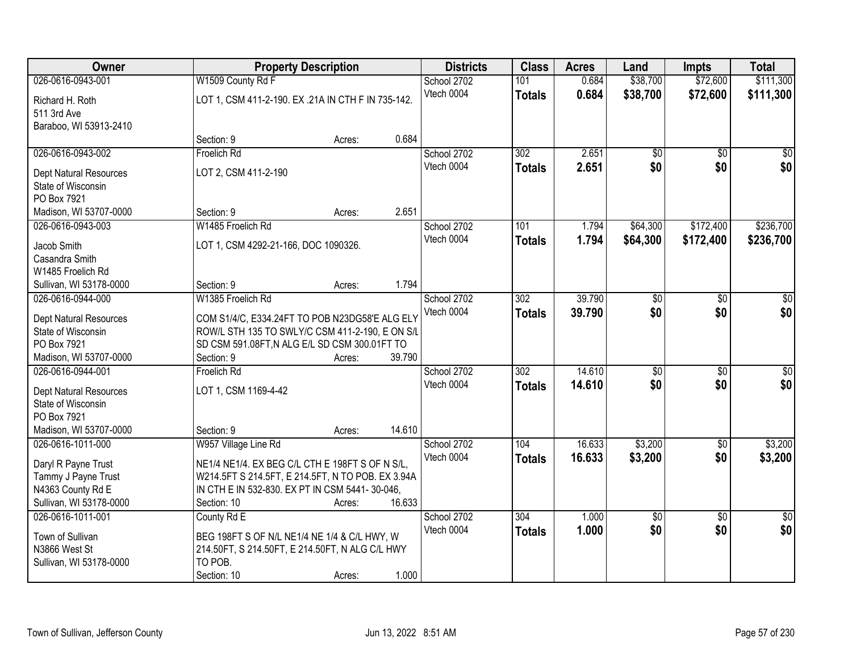| Owner                                               | <b>Property Description</b>                                                                       |        |        | <b>Districts</b> | <b>Class</b>     | <b>Acres</b> | Land                   | <b>Impts</b>           | <b>Total</b>    |
|-----------------------------------------------------|---------------------------------------------------------------------------------------------------|--------|--------|------------------|------------------|--------------|------------------------|------------------------|-----------------|
| 026-0616-0943-001                                   | W1509 County Rd F                                                                                 |        |        | School 2702      | 101              | 0.684        | \$38,700               | \$72,600               | \$111,300       |
| Richard H. Roth                                     | LOT 1, CSM 411-2-190. EX .21A IN CTH F IN 735-142.                                                |        |        | Vtech 0004       | <b>Totals</b>    | 0.684        | \$38,700               | \$72,600               | \$111,300       |
| 511 3rd Ave                                         |                                                                                                   |        |        |                  |                  |              |                        |                        |                 |
| Baraboo, WI 53913-2410                              |                                                                                                   |        |        |                  |                  |              |                        |                        |                 |
|                                                     | Section: 9                                                                                        | Acres: | 0.684  |                  |                  |              |                        |                        |                 |
| 026-0616-0943-002                                   | Froelich Rd                                                                                       |        |        | School 2702      | 302              | 2.651        | \$0                    | $\overline{50}$        | \$0             |
| Dept Natural Resources                              | LOT 2, CSM 411-2-190                                                                              |        |        | Vtech 0004       | <b>Totals</b>    | 2.651        | \$0                    | \$0                    | \$0             |
| State of Wisconsin                                  |                                                                                                   |        |        |                  |                  |              |                        |                        |                 |
| PO Box 7921                                         |                                                                                                   |        |        |                  |                  |              |                        |                        |                 |
| Madison, WI 53707-0000                              | Section: 9                                                                                        | Acres: | 2.651  |                  |                  |              |                        |                        |                 |
| 026-0616-0943-003                                   | W1485 Froelich Rd                                                                                 |        |        | School 2702      | 101              | 1.794        | \$64,300               | \$172,400              | \$236,700       |
| Jacob Smith                                         | LOT 1, CSM 4292-21-166, DOC 1090326.                                                              |        |        | Vtech 0004       | <b>Totals</b>    | 1.794        | \$64,300               | \$172,400              | \$236,700       |
| Casandra Smith                                      |                                                                                                   |        |        |                  |                  |              |                        |                        |                 |
| W1485 Froelich Rd                                   |                                                                                                   |        |        |                  |                  |              |                        |                        |                 |
| Sullivan, WI 53178-0000                             | Section: 9                                                                                        | Acres: | 1.794  |                  |                  |              |                        |                        |                 |
| 026-0616-0944-000                                   | W1385 Froelich Rd                                                                                 |        |        | School 2702      | $\overline{302}$ | 39.790       | \$0                    | \$0                    | \$0             |
|                                                     |                                                                                                   |        |        | Vtech 0004       | <b>Totals</b>    | 39.790       | \$0                    | \$0                    | \$0             |
| <b>Dept Natural Resources</b><br>State of Wisconsin | COM S1/4/C, E334.24FT TO POB N23DG58'E ALG ELY<br>ROW/L STH 135 TO SWLY/C CSM 411-2-190, E ON S/L |        |        |                  |                  |              |                        |                        |                 |
| PO Box 7921                                         | SD CSM 591.08FT, N ALG E/L SD CSM 300.01FT TO                                                     |        |        |                  |                  |              |                        |                        |                 |
| Madison, WI 53707-0000                              | Section: 9                                                                                        | Acres: | 39.790 |                  |                  |              |                        |                        |                 |
| 026-0616-0944-001                                   | Froelich Rd                                                                                       |        |        | School 2702      | $\overline{302}$ | 14.610       | \$0                    | \$0                    | \$0             |
|                                                     |                                                                                                   |        |        | Vtech 0004       | <b>Totals</b>    | 14.610       | \$0                    | \$0                    | \$0             |
| Dept Natural Resources                              | LOT 1, CSM 1169-4-42                                                                              |        |        |                  |                  |              |                        |                        |                 |
| State of Wisconsin<br>PO Box 7921                   |                                                                                                   |        |        |                  |                  |              |                        |                        |                 |
| Madison, WI 53707-0000                              | Section: 9                                                                                        | Acres: | 14.610 |                  |                  |              |                        |                        |                 |
| 026-0616-1011-000                                   | W957 Village Line Rd                                                                              |        |        | School 2702      | 104              | 16.633       | \$3,200                | $\sqrt{6}$             | \$3,200         |
|                                                     |                                                                                                   |        |        | Vtech 0004       | <b>Totals</b>    | 16.633       | \$3,200                | \$0                    | \$3,200         |
| Daryl R Payne Trust                                 | NE1/4 NE1/4. EX BEG C/L CTH E 198FT S OF N S/L,                                                   |        |        |                  |                  |              |                        |                        |                 |
| Tammy J Payne Trust                                 | W214.5FT S 214.5FT, E 214.5FT, N TO POB. EX 3.94A                                                 |        |        |                  |                  |              |                        |                        |                 |
| N4363 County Rd E                                   | IN CTH E IN 532-830. EX PT IN CSM 5441-30-046,                                                    |        |        |                  |                  |              |                        |                        |                 |
| Sullivan, WI 53178-0000<br>026-0616-1011-001        | Section: 10                                                                                       | Acres: | 16.633 | School 2702      | 304              | 1.000        |                        |                        | $\overline{50}$ |
|                                                     | County Rd E                                                                                       |        |        | Vtech 0004       |                  | 1.000        | $\overline{60}$<br>\$0 | $\overline{30}$<br>\$0 | \$0             |
| Town of Sullivan                                    | BEG 198FT S OF N/L NE1/4 NE 1/4 & C/L HWY, W                                                      |        |        |                  | <b>Totals</b>    |              |                        |                        |                 |
| N3866 West St                                       | 214.50FT, S 214.50FT, E 214.50FT, N ALG C/L HWY                                                   |        |        |                  |                  |              |                        |                        |                 |
| Sullivan, WI 53178-0000                             | TO POB.                                                                                           |        |        |                  |                  |              |                        |                        |                 |
|                                                     | Section: 10                                                                                       | Acres: | 1.000  |                  |                  |              |                        |                        |                 |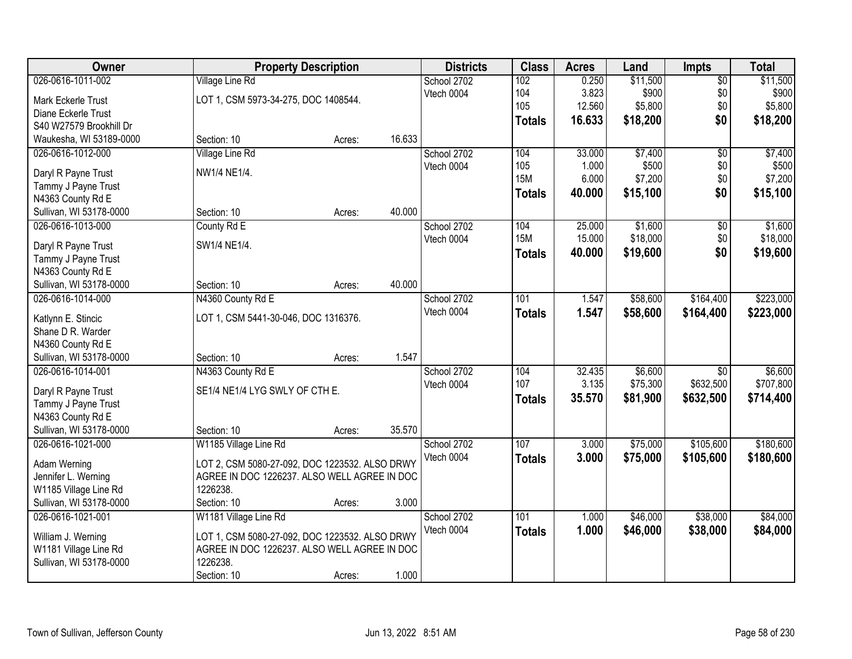| Owner                                        | <b>Property Description</b>                    |        |        | <b>Districts</b> | <b>Class</b>  | <b>Acres</b>     | Land                | <b>Impts</b>    | <b>Total</b> |
|----------------------------------------------|------------------------------------------------|--------|--------|------------------|---------------|------------------|---------------------|-----------------|--------------|
| 026-0616-1011-002                            | <b>Village Line Rd</b>                         |        |        | School 2702      | 102           | 0.250            | \$11,500            | $\overline{50}$ | \$11,500     |
| Mark Eckerle Trust                           | LOT 1, CSM 5973-34-275, DOC 1408544.           |        |        | Vtech 0004       | 104           | 3.823            | \$900               | \$0             | \$900        |
| Diane Eckerle Trust                          |                                                |        |        |                  | 105           | 12.560           | \$5,800             | \$0             | \$5,800      |
| S40 W27579 Brookhill Dr                      |                                                |        |        |                  | <b>Totals</b> | 16.633           | \$18,200            | \$0             | \$18,200     |
| Waukesha, WI 53189-0000                      | Section: 10                                    | Acres: | 16.633 |                  |               |                  |                     |                 |              |
| 026-0616-1012-000                            | <b>Village Line Rd</b>                         |        |        | School 2702      | 104           | 33.000           | \$7,400             | $\overline{50}$ | \$7,400      |
|                                              | NW1/4 NE1/4.                                   |        |        | Vtech 0004       | 105           | 1.000            | \$500               | \$0             | \$500        |
| Daryl R Payne Trust                          |                                                |        |        |                  | <b>15M</b>    | 6.000            | \$7,200             | \$0             | \$7,200      |
| Tammy J Payne Trust                          |                                                |        |        |                  | <b>Totals</b> | 40.000           | \$15,100            | \$0             | \$15,100     |
| N4363 County Rd E                            |                                                |        | 40.000 |                  |               |                  |                     |                 |              |
| Sullivan, WI 53178-0000<br>026-0616-1013-000 | Section: 10                                    | Acres: |        |                  | 104           |                  |                     |                 | \$1,600      |
|                                              | County Rd E                                    |        |        | School 2702      | <b>15M</b>    | 25.000<br>15.000 | \$1,600<br>\$18,000 | \$0<br>\$0      |              |
| Daryl R Payne Trust                          | SW1/4 NE1/4.                                   |        |        | Vtech 0004       |               |                  |                     |                 | \$18,000     |
| Tammy J Payne Trust                          |                                                |        |        |                  | <b>Totals</b> | 40.000           | \$19,600            | \$0             | \$19,600     |
| N4363 County Rd E                            |                                                |        |        |                  |               |                  |                     |                 |              |
| Sullivan, WI 53178-0000                      | Section: 10                                    | Acres: | 40.000 |                  |               |                  |                     |                 |              |
| 026-0616-1014-000                            | N4360 County Rd E                              |        |        | School 2702      | 101           | 1.547            | \$58,600            | \$164,400       | \$223,000    |
| Katlynn E. Stincic                           | LOT 1, CSM 5441-30-046, DOC 1316376.           |        |        | Vtech 0004       | <b>Totals</b> | 1.547            | \$58,600            | \$164,400       | \$223,000    |
| Shane D R. Warder                            |                                                |        |        |                  |               |                  |                     |                 |              |
| N4360 County Rd E                            |                                                |        |        |                  |               |                  |                     |                 |              |
| Sullivan, WI 53178-0000                      | Section: 10                                    | Acres: | 1.547  |                  |               |                  |                     |                 |              |
| 026-0616-1014-001                            | N4363 County Rd E                              |        |        | School 2702      | 104           | 32.435           | \$6,600             | $\overline{50}$ | \$6,600      |
|                                              |                                                |        |        | Vtech 0004       | 107           | 3.135            | \$75,300            | \$632,500       | \$707,800    |
| Daryl R Payne Trust                          | SE1/4 NE1/4 LYG SWLY OF CTH E.                 |        |        |                  | <b>Totals</b> | 35.570           | \$81,900            | \$632,500       | \$714,400    |
| Tammy J Payne Trust                          |                                                |        |        |                  |               |                  |                     |                 |              |
| N4363 County Rd E                            |                                                |        |        |                  |               |                  |                     |                 |              |
| Sullivan, WI 53178-0000                      | Section: 10                                    | Acres: | 35.570 |                  |               |                  |                     |                 |              |
| 026-0616-1021-000                            | W1185 Village Line Rd                          |        |        | School 2702      | 107           | 3.000            | \$75,000            | \$105,600       | \$180,600    |
| Adam Werning                                 | LOT 2, CSM 5080-27-092, DOC 1223532. ALSO DRWY |        |        | Vtech 0004       | <b>Totals</b> | 3.000            | \$75,000            | \$105,600       | \$180,600    |
| Jennifer L. Werning                          | AGREE IN DOC 1226237. ALSO WELL AGREE IN DOC   |        |        |                  |               |                  |                     |                 |              |
| W1185 Village Line Rd                        | 1226238.                                       |        |        |                  |               |                  |                     |                 |              |
| Sullivan, WI 53178-0000                      | Section: 10                                    | Acres: | 3.000  |                  |               |                  |                     |                 |              |
| 026-0616-1021-001                            | W1181 Village Line Rd                          |        |        | School 2702      | 101           | 1.000            | \$46,000            | \$38,000        | \$84,000     |
|                                              |                                                |        |        | Vtech 0004       | <b>Totals</b> | 1.000            | \$46,000            | \$38,000        | \$84,000     |
| William J. Werning                           | LOT 1, CSM 5080-27-092, DOC 1223532. ALSO DRWY |        |        |                  |               |                  |                     |                 |              |
| W1181 Village Line Rd                        | AGREE IN DOC 1226237. ALSO WELL AGREE IN DOC   |        |        |                  |               |                  |                     |                 |              |
| Sullivan, WI 53178-0000                      | 1226238.                                       |        |        |                  |               |                  |                     |                 |              |
|                                              | Section: 10                                    | Acres: | 1.000  |                  |               |                  |                     |                 |              |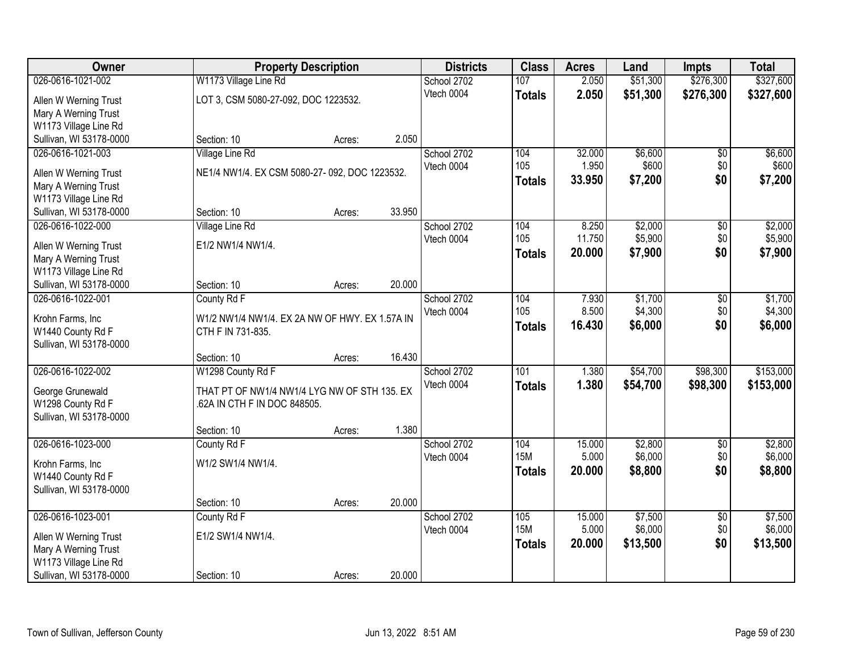| Owner                   |                                                | <b>Property Description</b> |        | <b>Districts</b> | <b>Class</b>     | <b>Acres</b> | Land     | <b>Impts</b>    | <b>Total</b> |
|-------------------------|------------------------------------------------|-----------------------------|--------|------------------|------------------|--------------|----------|-----------------|--------------|
| 026-0616-1021-002       | W1173 Village Line Rd                          |                             |        | School 2702      | 107              | 2.050        | \$51,300 | \$276,300       | \$327,600    |
| Allen W Werning Trust   | LOT 3, CSM 5080-27-092, DOC 1223532.           |                             |        | Vtech 0004       | <b>Totals</b>    | 2.050        | \$51,300 | \$276,300       | \$327,600    |
| Mary A Werning Trust    |                                                |                             |        |                  |                  |              |          |                 |              |
| W1173 Village Line Rd   |                                                |                             |        |                  |                  |              |          |                 |              |
| Sullivan, WI 53178-0000 | Section: 10                                    | Acres:                      | 2.050  |                  |                  |              |          |                 |              |
| 026-0616-1021-003       | Village Line Rd                                |                             |        | School 2702      | 104              | 32.000       | \$6,600  | \$0             | \$6,600      |
| Allen W Werning Trust   | NE1/4 NW1/4. EX CSM 5080-27-092, DOC 1223532.  |                             |        | Vtech 0004       | 105              | 1.950        | \$600    | \$0             | \$600        |
| Mary A Werning Trust    |                                                |                             |        |                  | <b>Totals</b>    | 33.950       | \$7,200  | \$0             | \$7,200      |
| W1173 Village Line Rd   |                                                |                             |        |                  |                  |              |          |                 |              |
| Sullivan, WI 53178-0000 | Section: 10                                    | Acres:                      | 33.950 |                  |                  |              |          |                 |              |
| 026-0616-1022-000       | Village Line Rd                                |                             |        | School 2702      | 104              | 8.250        | \$2,000  | \$0             | \$2,000      |
| Allen W Werning Trust   | E1/2 NW1/4 NW1/4.                              |                             |        | Vtech 0004       | 105              | 11.750       | \$5,900  | \$0             | \$5,900      |
| Mary A Werning Trust    |                                                |                             |        |                  | <b>Totals</b>    | 20.000       | \$7,900  | \$0             | \$7,900      |
| W1173 Village Line Rd   |                                                |                             |        |                  |                  |              |          |                 |              |
| Sullivan, WI 53178-0000 | Section: 10                                    | Acres:                      | 20.000 |                  |                  |              |          |                 |              |
| 026-0616-1022-001       | County Rd F                                    |                             |        | School 2702      | 104              | 7.930        | \$1,700  | \$0             | \$1,700      |
| Krohn Farms, Inc        | W1/2 NW1/4 NW1/4. EX 2A NW OF HWY. EX 1.57A IN |                             |        | Vtech 0004       | 105              | 8.500        | \$4,300  | \$0             | \$4,300      |
| W1440 County Rd F       | CTH F IN 731-835.                              |                             |        |                  | <b>Totals</b>    | 16.430       | \$6,000  | \$0             | \$6,000      |
| Sullivan, WI 53178-0000 |                                                |                             |        |                  |                  |              |          |                 |              |
|                         | Section: 10                                    | Acres:                      | 16.430 |                  |                  |              |          |                 |              |
| 026-0616-1022-002       | W1298 County Rd F                              |                             |        | School 2702      | $\overline{101}$ | 1.380        | \$54,700 | \$98,300        | \$153,000    |
| George Grunewald        | THAT PT OF NW1/4 NW1/4 LYG NW OF STH 135. EX   |                             |        | Vtech 0004       | <b>Totals</b>    | 1.380        | \$54,700 | \$98,300        | \$153,000    |
| W1298 County Rd F       | .62A IN CTH F IN DOC 848505.                   |                             |        |                  |                  |              |          |                 |              |
| Sullivan, WI 53178-0000 |                                                |                             |        |                  |                  |              |          |                 |              |
|                         | Section: 10                                    | Acres:                      | 1.380  |                  |                  |              |          |                 |              |
| 026-0616-1023-000       | County Rd F                                    |                             |        | School 2702      | 104              | 15.000       | \$2,800  | $\sqrt{6}$      | \$2,800      |
| Krohn Farms, Inc        | W1/2 SW1/4 NW1/4.                              |                             |        | Vtech 0004       | <b>15M</b>       | 5.000        | \$6,000  | \$0             | \$6,000      |
| W1440 County Rd F       |                                                |                             |        |                  | <b>Totals</b>    | 20,000       | \$8,800  | \$0             | \$8,800      |
| Sullivan, WI 53178-0000 |                                                |                             |        |                  |                  |              |          |                 |              |
|                         | Section: 10                                    | Acres:                      | 20.000 |                  |                  |              |          |                 |              |
| 026-0616-1023-001       | County Rd F                                    |                             |        | School 2702      | 105              | 15.000       | \$7,500  | $\overline{50}$ | \$7,500      |
| Allen W Werning Trust   | E1/2 SW1/4 NW1/4.                              |                             |        | Vtech 0004       | <b>15M</b>       | 5.000        | \$6,000  | \$0             | \$6,000      |
| Mary A Werning Trust    |                                                |                             |        |                  | <b>Totals</b>    | 20.000       | \$13,500 | \$0             | \$13,500     |
| W1173 Village Line Rd   |                                                |                             |        |                  |                  |              |          |                 |              |
| Sullivan, WI 53178-0000 | Section: 10                                    | Acres:                      | 20.000 |                  |                  |              |          |                 |              |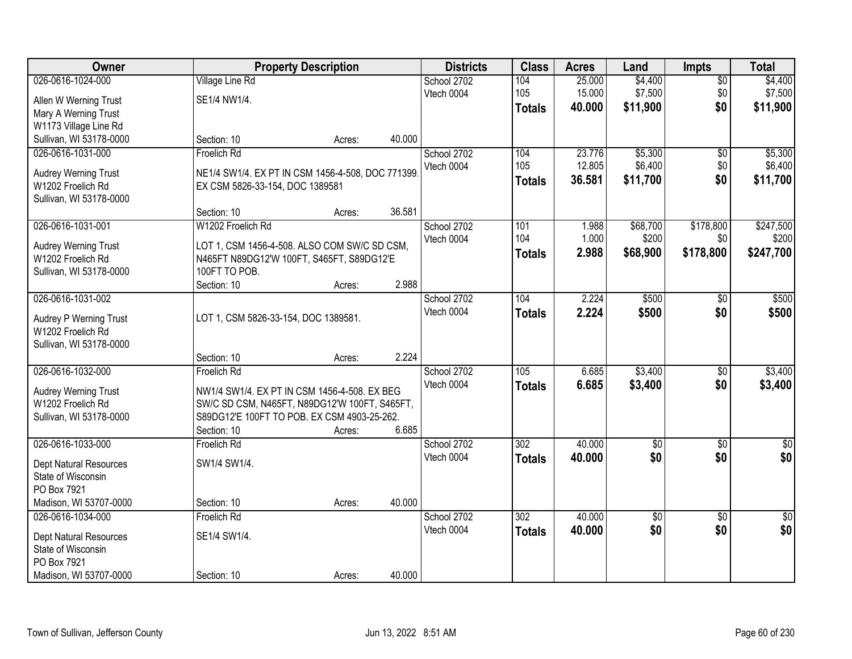| Owner                         |                                                  | <b>Property Description</b> |        | <b>Districts</b> | <b>Class</b>     | <b>Acres</b> | Land           | Impts           | <b>Total</b>    |
|-------------------------------|--------------------------------------------------|-----------------------------|--------|------------------|------------------|--------------|----------------|-----------------|-----------------|
| 026-0616-1024-000             | <b>Village Line Rd</b>                           |                             |        | School 2702      | 104              | 25.000       | \$4,400        | $\overline{50}$ | \$4,400         |
| Allen W Werning Trust         | SE1/4 NW1/4.                                     |                             |        | Vtech 0004       | 105              | 15.000       | \$7,500        | \$0             | \$7,500         |
| Mary A Werning Trust          |                                                  |                             |        |                  | <b>Totals</b>    | 40.000       | \$11,900       | \$0             | \$11,900        |
| W1173 Village Line Rd         |                                                  |                             |        |                  |                  |              |                |                 |                 |
| Sullivan, WI 53178-0000       | Section: 10                                      | Acres:                      | 40.000 |                  |                  |              |                |                 |                 |
| 026-0616-1031-000             | Froelich Rd                                      |                             |        | School 2702      | 104              | 23.776       | \$5,300        | \$0             | \$5,300         |
| Audrey Werning Trust          | NE1/4 SW1/4. EX PT IN CSM 1456-4-508, DOC 771399 |                             |        | Vtech 0004       | 105              | 12.805       | \$6,400        | \$0             | \$6,400         |
| W1202 Froelich Rd             | EX CSM 5826-33-154, DOC 1389581                  |                             |        |                  | <b>Totals</b>    | 36.581       | \$11,700       | \$0             | \$11,700        |
| Sullivan, WI 53178-0000       |                                                  |                             |        |                  |                  |              |                |                 |                 |
|                               | Section: 10                                      | Acres:                      | 36.581 |                  |                  |              |                |                 |                 |
| 026-0616-1031-001             | W1202 Froelich Rd                                |                             |        | School 2702      | 101              | 1.988        | \$68,700       | \$178,800       | \$247,500       |
| Audrey Werning Trust          | LOT 1, CSM 1456-4-508. ALSO COM SW/C SD CSM,     |                             |        | Vtech 0004       | 104              | 1.000        | \$200          | \$0             | \$200           |
| W1202 Froelich Rd             | N465FT N89DG12'W 100FT, S465FT, S89DG12'E        |                             |        |                  | <b>Totals</b>    | 2.988        | \$68,900       | \$178,800       | \$247,700       |
| Sullivan, WI 53178-0000       | 100FT TO POB.                                    |                             |        |                  |                  |              |                |                 |                 |
|                               | Section: 10                                      | Acres:                      | 2.988  |                  |                  |              |                |                 |                 |
| 026-0616-1031-002             |                                                  |                             |        | School 2702      | 104              | 2.224        | \$500          | $\sqrt[6]{}$    | \$500           |
| Audrey P Werning Trust        | LOT 1, CSM 5826-33-154, DOC 1389581.             |                             |        | Vtech 0004       | <b>Totals</b>    | 2.224        | \$500          | \$0             | \$500           |
| W1202 Froelich Rd             |                                                  |                             |        |                  |                  |              |                |                 |                 |
| Sullivan, WI 53178-0000       |                                                  |                             |        |                  |                  |              |                |                 |                 |
|                               | Section: 10                                      | Acres:                      | 2.224  |                  |                  |              |                |                 |                 |
| 026-0616-1032-000             | Froelich Rd                                      |                             |        | School 2702      | $\overline{105}$ | 6.685        | \$3,400        | $\overline{50}$ | \$3,400         |
| Audrey Werning Trust          | NW1/4 SW1/4. EX PT IN CSM 1456-4-508. EX BEG     |                             |        | Vtech 0004       | <b>Totals</b>    | 6.685        | \$3,400        | \$0             | \$3,400         |
| W1202 Froelich Rd             | SW/C SD CSM, N465FT, N89DG12'W 100FT, S465FT,    |                             |        |                  |                  |              |                |                 |                 |
| Sullivan, WI 53178-0000       | S89DG12'E 100FT TO POB. EX CSM 4903-25-262.      |                             |        |                  |                  |              |                |                 |                 |
|                               | Section: 10                                      | Acres:                      | 6.685  |                  |                  |              |                |                 |                 |
| 026-0616-1033-000             | Froelich Rd                                      |                             |        | School 2702      | 302              | 40.000       | $\sqrt[6]{30}$ | $\sqrt{6}$      | $\frac{1}{6}$   |
| Dept Natural Resources        | SW1/4 SW1/4.                                     |                             |        | Vtech 0004       | <b>Totals</b>    | 40.000       | \$0            | \$0             | \$0             |
| State of Wisconsin            |                                                  |                             |        |                  |                  |              |                |                 |                 |
| PO Box 7921                   |                                                  |                             |        |                  |                  |              |                |                 |                 |
| Madison, WI 53707-0000        | Section: 10                                      | Acres:                      | 40.000 |                  |                  |              |                |                 |                 |
| 026-0616-1034-000             | Froelich Rd                                      |                             |        | School 2702      | 302              | 40.000       | \$0            | $\overline{30}$ | $\overline{50}$ |
| <b>Dept Natural Resources</b> | SE1/4 SW1/4.                                     |                             |        | Vtech 0004       | <b>Totals</b>    | 40.000       | \$0            | \$0             | \$0             |
| State of Wisconsin            |                                                  |                             |        |                  |                  |              |                |                 |                 |
| PO Box 7921                   |                                                  |                             |        |                  |                  |              |                |                 |                 |
| Madison, WI 53707-0000        | Section: 10                                      | Acres:                      | 40.000 |                  |                  |              |                |                 |                 |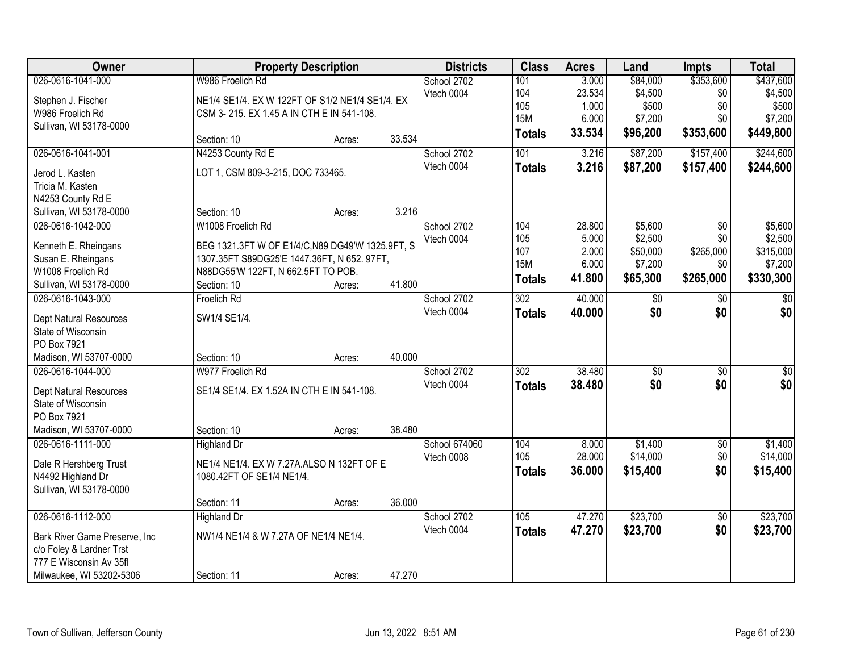| Owner                          |                                                  | <b>Property Description</b> |        | <b>Districts</b> | <b>Class</b>     | <b>Acres</b> | Land                | <b>Impts</b>    | <b>Total</b>    |
|--------------------------------|--------------------------------------------------|-----------------------------|--------|------------------|------------------|--------------|---------------------|-----------------|-----------------|
| 026-0616-1041-000              | W986 Froelich Rd                                 |                             |        | School 2702      | 101              | 3.000        | \$84,000            | \$353,600       | \$437,600       |
| Stephen J. Fischer             | NE1/4 SE1/4. EX W 122FT OF S1/2 NE1/4 SE1/4. EX  |                             |        | Vtech 0004       | 104              | 23.534       | \$4,500             | \$0             | \$4,500         |
| W986 Froelich Rd               | CSM 3-215. EX 1.45 A IN CTH E IN 541-108.        |                             |        |                  | 105              | 1.000        | \$500               | \$0             | \$500           |
| Sullivan, WI 53178-0000        |                                                  |                             |        |                  | <b>15M</b>       | 6.000        | \$7,200             | \$0             | \$7,200         |
|                                | Section: 10                                      | Acres:                      | 33.534 |                  | <b>Totals</b>    | 33.534       | \$96,200            | \$353,600       | \$449,800       |
| 026-0616-1041-001              | N4253 County Rd E                                |                             |        | School 2702      | 101              | 3.216        | \$87,200            | \$157,400       | \$244,600       |
| Jerod L. Kasten                | LOT 1, CSM 809-3-215, DOC 733465.                |                             |        | Vtech 0004       | <b>Totals</b>    | 3.216        | \$87,200            | \$157,400       | \$244,600       |
| Tricia M. Kasten               |                                                  |                             |        |                  |                  |              |                     |                 |                 |
| N4253 County Rd E              |                                                  |                             |        |                  |                  |              |                     |                 |                 |
| Sullivan, WI 53178-0000        | Section: 10                                      | Acres:                      | 3.216  |                  |                  |              |                     |                 |                 |
| 026-0616-1042-000              | W1008 Froelich Rd                                |                             |        | School 2702      | 104              | 28.800       | \$5,600             | \$0             | \$5,600         |
|                                |                                                  |                             |        | Vtech 0004       | 105              | 5.000        | \$2,500             | \$0             | \$2,500         |
| Kenneth E. Rheingans           | BEG 1321.3FT W OF E1/4/C, N89 DG49'W 1325.9FT, S |                             |        |                  | 107              | 2.000        | \$50,000            | \$265,000       | \$315,000       |
| Susan E. Rheingans             | 1307.35FT S89DG25'E 1447.36FT, N 652. 97FT,      |                             |        |                  | <b>15M</b>       | 6.000        | \$7,200             | \$0             | \$7,200         |
| W1008 Froelich Rd              | N88DG55'W 122FT, N 662.5FT TO POB.               |                             |        |                  | <b>Totals</b>    | 41.800       | \$65,300            | \$265,000       | \$330,300       |
| Sullivan, WI 53178-0000        | Section: 10                                      | Acres:                      | 41.800 |                  |                  |              |                     |                 |                 |
| 026-0616-1043-000              | Froelich Rd                                      |                             |        | School 2702      | 302              | 40.000       | \$0                 | \$0             | \$0             |
| Dept Natural Resources         | SW1/4 SE1/4.                                     |                             |        | Vtech 0004       | <b>Totals</b>    | 40.000       | \$0                 | \$0             | \$0             |
| State of Wisconsin             |                                                  |                             |        |                  |                  |              |                     |                 |                 |
| PO Box 7921                    |                                                  |                             |        |                  |                  |              |                     |                 |                 |
| Madison, WI 53707-0000         | Section: 10                                      | Acres:                      | 40.000 |                  |                  |              |                     |                 |                 |
| 026-0616-1044-000              | W977 Froelich Rd                                 |                             |        | School 2702      | $\overline{302}$ | 38.480       | $\overline{50}$     | $\overline{50}$ | $\overline{50}$ |
|                                |                                                  |                             |        | Vtech 0004       | <b>Totals</b>    | 38.480       | \$0                 | \$0             | \$0             |
| Dept Natural Resources         | SE1/4 SE1/4. EX 1.52A IN CTH E IN 541-108.       |                             |        |                  |                  |              |                     |                 |                 |
| State of Wisconsin             |                                                  |                             |        |                  |                  |              |                     |                 |                 |
| PO Box 7921                    |                                                  |                             |        |                  |                  |              |                     |                 |                 |
| Madison, WI 53707-0000         | Section: 10                                      | Acres:                      | 38.480 |                  |                  |              |                     |                 |                 |
| 026-0616-1111-000              | Highland Dr                                      |                             |        | School 674060    | 104              | 8.000        | \$1,400<br>\$14,000 | $\overline{50}$ | \$1,400         |
| Dale R Hershberg Trust         | NE1/4 NE1/4. EX W 7.27A.ALSO N 132FT OF E        |                             |        | Vtech 0008       | 105              | 28.000       |                     | \$0             | \$14,000        |
| N4492 Highland Dr              | 1080.42FT OF SE1/4 NE1/4.                        |                             |        |                  | <b>Totals</b>    | 36.000       | \$15,400            | \$0             | \$15,400        |
| Sullivan, WI 53178-0000        |                                                  |                             |        |                  |                  |              |                     |                 |                 |
|                                | Section: 11                                      | Acres:                      | 36.000 |                  |                  |              |                     |                 |                 |
| 026-0616-1112-000              | <b>Highland Dr</b>                               |                             |        | School 2702      | 105              | 47.270       | \$23,700            | $\overline{50}$ | \$23,700        |
| Bark River Game Preserve, Inc. | NW1/4 NE1/4 & W 7.27A OF NE1/4 NE1/4.            |                             |        | Vtech 0004       | <b>Totals</b>    | 47.270       | \$23,700            | \$0             | \$23,700        |
| c/o Foley & Lardner Trst       |                                                  |                             |        |                  |                  |              |                     |                 |                 |
| 777 E Wisconsin Av 35fl        |                                                  |                             |        |                  |                  |              |                     |                 |                 |
|                                |                                                  |                             | 47.270 |                  |                  |              |                     |                 |                 |
| Milwaukee, WI 53202-5306       | Section: 11                                      | Acres:                      |        |                  |                  |              |                     |                 |                 |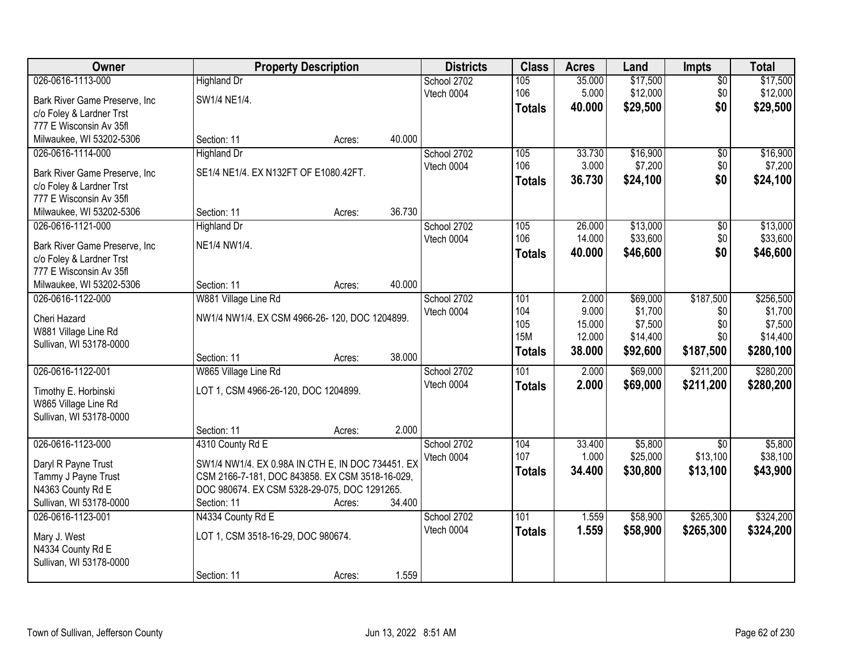| Owner                                                     |                                                   | <b>Property Description</b> |        | <b>Districts</b> | <b>Class</b>  | <b>Acres</b>    | Land                | <b>Impts</b>                | <b>Total</b>        |
|-----------------------------------------------------------|---------------------------------------------------|-----------------------------|--------|------------------|---------------|-----------------|---------------------|-----------------------------|---------------------|
| 026-0616-1113-000                                         | <b>Highland Dr</b>                                |                             |        | School 2702      | 105           | 35.000          | \$17,500            | $\sqrt{$0}$                 | \$17,500            |
| Bark River Game Preserve, Inc                             | SW1/4 NE1/4.                                      |                             |        | Vtech 0004       | 106           | 5.000           | \$12,000            | \$0                         | \$12,000            |
| c/o Foley & Lardner Trst                                  |                                                   |                             |        |                  | <b>Totals</b> | 40.000          | \$29,500            | \$0                         | \$29,500            |
| 777 E Wisconsin Av 35fl                                   |                                                   |                             |        |                  |               |                 |                     |                             |                     |
| Milwaukee, WI 53202-5306                                  | Section: 11                                       | Acres:                      | 40.000 |                  |               |                 |                     |                             |                     |
| 026-0616-1114-000                                         | <b>Highland Dr</b>                                |                             |        | School 2702      | 105           | 33.730          | \$16,900            | \$0                         | \$16,900            |
| Bark River Game Preserve, Inc.                            | SE1/4 NE1/4. EX N132FT OF E1080.42FT.             |                             |        | Vtech 0004       | 106           | 3.000           | \$7,200             | \$0                         | \$7,200             |
| c/o Foley & Lardner Trst                                  |                                                   |                             |        |                  | <b>Totals</b> | 36.730          | \$24,100            | \$0                         | \$24,100            |
| 777 E Wisconsin Av 35fl                                   |                                                   |                             |        |                  |               |                 |                     |                             |                     |
| Milwaukee, WI 53202-5306                                  | Section: 11                                       | Acres:                      | 36.730 |                  |               |                 |                     |                             |                     |
| 026-0616-1121-000                                         | <b>Highland Dr</b>                                |                             |        | School 2702      | 105           | 26.000          | \$13,000            | \$0                         | \$13,000            |
|                                                           |                                                   |                             |        | Vtech 0004       | 106           | 14.000          | \$33,600            | \$0                         | \$33,600            |
| Bark River Game Preserve, Inc<br>c/o Foley & Lardner Trst | NE1/4 NW1/4.                                      |                             |        |                  | <b>Totals</b> | 40.000          | \$46,600            | \$0                         | \$46,600            |
| 777 E Wisconsin Av 35fl                                   |                                                   |                             |        |                  |               |                 |                     |                             |                     |
| Milwaukee, WI 53202-5306                                  | Section: 11                                       | Acres:                      | 40.000 |                  |               |                 |                     |                             |                     |
| 026-0616-1122-000                                         | W881 Village Line Rd                              |                             |        | School 2702      | 101           | 2.000           | \$69,000            | \$187,500                   | \$256,500           |
|                                                           |                                                   |                             |        | Vtech 0004       | 104           | 9.000           | \$1,700             | \$0                         | \$1,700             |
| Cheri Hazard                                              | NW1/4 NW1/4. EX CSM 4966-26-120, DOC 1204899.     |                             |        |                  | 105           | 15.000          | \$7,500             | \$0                         | \$7,500             |
| W881 Village Line Rd                                      |                                                   |                             |        |                  | <b>15M</b>    | 12.000          | \$14,400            | \$0                         | \$14,400            |
| Sullivan, WI 53178-0000                                   | Section: 11                                       |                             | 38.000 |                  | <b>Totals</b> | 38.000          | \$92,600            | \$187,500                   | \$280,100           |
| 026-0616-1122-001                                         | W865 Village Line Rd                              | Acres:                      |        | School 2702      | 101           | 2.000           | \$69,000            | \$211,200                   | \$280,200           |
|                                                           |                                                   |                             |        | Vtech 0004       | <b>Totals</b> | 2.000           | \$69,000            | \$211,200                   | \$280,200           |
| Timothy E. Horbinski                                      | LOT 1, CSM 4966-26-120, DOC 1204899.              |                             |        |                  |               |                 |                     |                             |                     |
| W865 Village Line Rd                                      |                                                   |                             |        |                  |               |                 |                     |                             |                     |
| Sullivan, WI 53178-0000                                   |                                                   |                             |        |                  |               |                 |                     |                             |                     |
|                                                           | Section: 11                                       | Acres:                      | 2.000  |                  |               |                 |                     |                             |                     |
| 026-0616-1123-000                                         | 4310 County Rd E                                  |                             |        | School 2702      | 104<br>107    | 33.400<br>1.000 | \$5,800<br>\$25,000 | $\overline{50}$<br>\$13,100 | \$5,800<br>\$38,100 |
| Daryl R Payne Trust                                       | SW1/4 NW1/4. EX 0.98A IN CTH E, IN DOC 734451. EX |                             |        | Vtech 0004       |               | 34.400          | \$30,800            | \$13,100                    |                     |
| Tammy J Payne Trust                                       | CSM 2166-7-181, DOC 843858. EX CSM 3518-16-029,   |                             |        |                  | <b>Totals</b> |                 |                     |                             | \$43,900            |
| N4363 County Rd E                                         | DOC 980674. EX CSM 5328-29-075, DOC 1291265.      |                             |        |                  |               |                 |                     |                             |                     |
| Sullivan, WI 53178-0000                                   | Section: 11                                       | Acres:                      | 34.400 |                  |               |                 |                     |                             |                     |
| 026-0616-1123-001                                         | N4334 County Rd E                                 |                             |        | School 2702      | 101           | 1.559           | \$58,900            | \$265,300                   | \$324,200           |
| Mary J. West                                              | LOT 1, CSM 3518-16-29, DOC 980674.                |                             |        | Vtech 0004       | <b>Totals</b> | 1.559           | \$58,900            | \$265,300                   | \$324,200           |
| N4334 County Rd E                                         |                                                   |                             |        |                  |               |                 |                     |                             |                     |
| Sullivan, WI 53178-0000                                   |                                                   |                             |        |                  |               |                 |                     |                             |                     |
|                                                           | Section: 11                                       | Acres:                      | 1.559  |                  |               |                 |                     |                             |                     |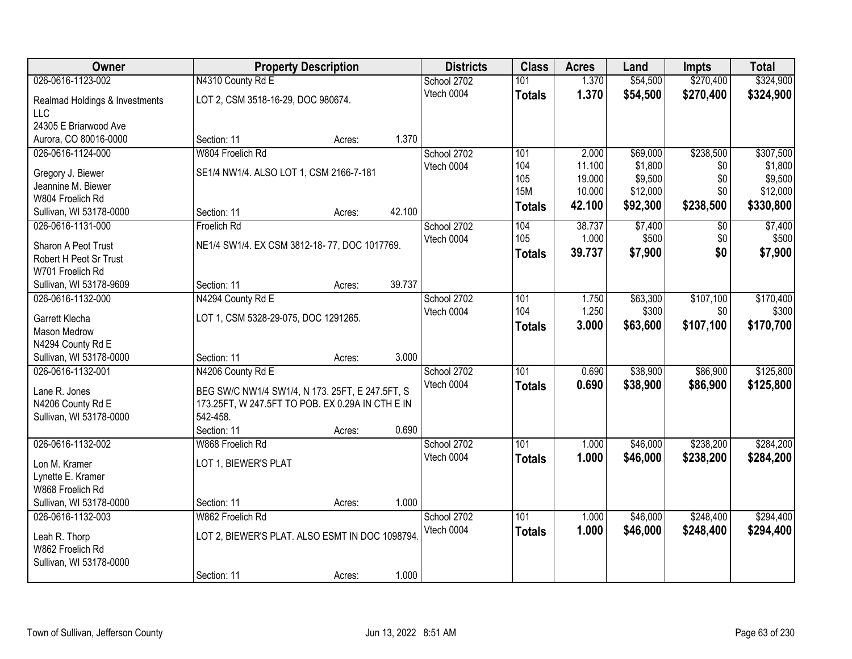| <b>Owner</b>                                  | <b>Property Description</b>                      |        |        | <b>Districts</b>          | <b>Class</b>  | <b>Acres</b> | Land     | <b>Impts</b> | <b>Total</b> |
|-----------------------------------------------|--------------------------------------------------|--------|--------|---------------------------|---------------|--------------|----------|--------------|--------------|
| 026-0616-1123-002                             | N4310 County Rd E                                |        |        | School 2702               | 101           | 1.370        | \$54,500 | \$270,400    | \$324,900    |
| Realmad Holdings & Investments                | LOT 2, CSM 3518-16-29, DOC 980674.               |        |        | Vtech 0004                | <b>Totals</b> | 1.370        | \$54,500 | \$270,400    | \$324,900    |
| <b>LLC</b>                                    |                                                  |        |        |                           |               |              |          |              |              |
| 24305 E Briarwood Ave                         |                                                  |        |        |                           |               |              |          |              |              |
| Aurora, CO 80016-0000                         | Section: 11                                      | Acres: | 1.370  |                           |               |              |          |              |              |
| 026-0616-1124-000                             | W804 Froelich Rd                                 |        |        | School 2702               | 101           | 2.000        | \$69,000 | \$238,500    | \$307,500    |
| Gregory J. Biewer                             | SE1/4 NW1/4. ALSO LOT 1, CSM 2166-7-181          |        |        | Vtech 0004                | 104           | 11.100       | \$1,800  | \$0          | \$1,800      |
| Jeannine M. Biewer                            |                                                  |        |        |                           | 105           | 19.000       | \$9,500  | \$0          | \$9,500      |
| W804 Froelich Rd                              |                                                  |        |        |                           | <b>15M</b>    | 10.000       | \$12,000 | \$0          | \$12,000     |
| Sullivan, WI 53178-0000                       | Section: 11                                      | Acres: | 42.100 |                           | <b>Totals</b> | 42.100       | \$92,300 | \$238,500    | \$330,800    |
| 026-0616-1131-000                             | Froelich Rd                                      |        |        | School 2702               | 104           | 38.737       | \$7,400  | $\sqrt[6]{}$ | \$7,400      |
|                                               |                                                  |        |        | Vtech 0004                | 105           | 1.000        | \$500    | \$0          | \$500        |
| Sharon A Peot Trust<br>Robert H Peot Sr Trust | NE1/4 SW1/4. EX CSM 3812-18-77, DOC 1017769.     |        |        |                           | <b>Totals</b> | 39.737       | \$7,900  | \$0          | \$7,900      |
| W701 Froelich Rd                              |                                                  |        |        |                           |               |              |          |              |              |
| Sullivan, WI 53178-9609                       | Section: 11                                      | Acres: | 39.737 |                           |               |              |          |              |              |
| 026-0616-1132-000                             | N4294 County Rd E                                |        |        | School 2702               | 101           | 1.750        | \$63,300 | \$107,100    | \$170,400    |
|                                               |                                                  |        |        | Vtech 0004                | 104           | 1.250        | \$300    | \$0          | \$300        |
| Garrett Klecha                                | LOT 1, CSM 5328-29-075, DOC 1291265.             |        |        |                           | <b>Totals</b> | 3.000        | \$63,600 | \$107,100    | \$170,700    |
| Mason Medrow<br>N4294 County Rd E             |                                                  |        |        |                           |               |              |          |              |              |
| Sullivan, WI 53178-0000                       | Section: 11                                      | Acres: | 3.000  |                           |               |              |          |              |              |
| 026-0616-1132-001                             | N4206 County Rd E                                |        |        | School 2702               | 101           | 0.690        | \$38,900 | \$86,900     | \$125,800    |
|                                               |                                                  |        |        | Vtech 0004                | <b>Totals</b> | 0.690        | \$38,900 | \$86,900     | \$125,800    |
| Lane R. Jones                                 | BEG SW/C NW1/4 SW1/4, N 173. 25FT, E 247.5FT, S  |        |        |                           |               |              |          |              |              |
| N4206 County Rd E                             | 173.25FT, W 247.5FT TO POB. EX 0.29A IN CTH E IN |        |        |                           |               |              |          |              |              |
| Sullivan, WI 53178-0000                       | 542-458.<br>Section: 11                          |        | 0.690  |                           |               |              |          |              |              |
| 026-0616-1132-002                             | W868 Froelich Rd                                 | Acres: |        | School 2702               | 101           | 1.000        | \$46,000 | \$238,200    | \$284,200    |
|                                               |                                                  |        |        | Vtech 0004                | <b>Totals</b> | 1.000        | \$46,000 | \$238,200    | \$284,200    |
| Lon M. Kramer                                 | LOT 1, BIEWER'S PLAT                             |        |        |                           |               |              |          |              |              |
| Lynette E. Kramer                             |                                                  |        |        |                           |               |              |          |              |              |
| W868 Froelich Rd                              |                                                  |        |        |                           |               |              |          |              |              |
| Sullivan, WI 53178-0000<br>026-0616-1132-003  | Section: 11<br>W862 Froelich Rd                  | Acres: | 1.000  |                           | 101           |              |          | \$248,400    |              |
|                                               |                                                  |        |        | School 2702<br>Vtech 0004 |               | 1.000        | \$46,000 |              | \$294,400    |
| Leah R. Thorp                                 | LOT 2, BIEWER'S PLAT. ALSO ESMT IN DOC 1098794   |        |        |                           | <b>Totals</b> | 1.000        | \$46,000 | \$248,400    | \$294,400    |
| W862 Froelich Rd                              |                                                  |        |        |                           |               |              |          |              |              |
| Sullivan, WI 53178-0000                       |                                                  |        |        |                           |               |              |          |              |              |
|                                               | Section: 11                                      | Acres: | 1.000  |                           |               |              |          |              |              |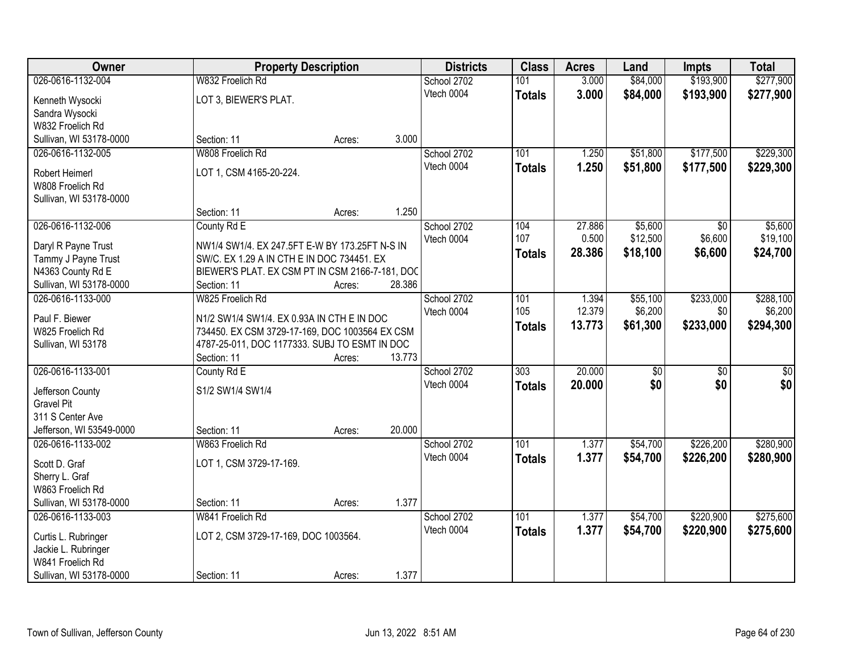| Owner                    | <b>Property Description</b>                     |        |        | <b>Districts</b>          | <b>Class</b>     | <b>Acres</b> | Land                | <b>Impts</b>    | <b>Total</b> |
|--------------------------|-------------------------------------------------|--------|--------|---------------------------|------------------|--------------|---------------------|-----------------|--------------|
| 026-0616-1132-004        | W832 Froelich Rd                                |        |        | School 2702               | 101              | 3.000        | \$84,000            | \$193,900       | \$277,900    |
| Kenneth Wysocki          | LOT 3, BIEWER'S PLAT.                           |        |        | Vtech 0004                | <b>Totals</b>    | 3.000        | \$84,000            | \$193,900       | \$277,900    |
| Sandra Wysocki           |                                                 |        |        |                           |                  |              |                     |                 |              |
| W832 Froelich Rd         |                                                 |        |        |                           |                  |              |                     |                 |              |
| Sullivan, WI 53178-0000  | Section: 11                                     | Acres: | 3.000  |                           |                  |              |                     |                 |              |
| 026-0616-1132-005        | W808 Froelich Rd                                |        |        | School 2702               | 101              | 1.250        | \$51,800            | \$177,500       | \$229,300    |
|                          |                                                 |        |        | Vtech 0004                | <b>Totals</b>    | 1.250        | \$51,800            | \$177,500       | \$229,300    |
| Robert Heimerl           | LOT 1, CSM 4165-20-224.                         |        |        |                           |                  |              |                     |                 |              |
| W808 Froelich Rd         |                                                 |        |        |                           |                  |              |                     |                 |              |
| Sullivan, WI 53178-0000  | Section: 11                                     |        | 1.250  |                           |                  |              |                     |                 |              |
| 026-0616-1132-006        |                                                 | Acres: |        |                           | 104              | 27.886       |                     |                 | \$5,600      |
|                          | County Rd E                                     |        |        | School 2702<br>Vtech 0004 | 107              | 0.500        | \$5,600<br>\$12,500 | \$0<br>\$6,600  | \$19,100     |
| Daryl R Payne Trust      | NW1/4 SW1/4. EX 247.5FT E-W BY 173.25FT N-S IN  |        |        |                           |                  | 28.386       |                     |                 |              |
| Tammy J Payne Trust      | SW/C. EX 1.29 A IN CTH E IN DOC 734451. EX      |        |        |                           | <b>Totals</b>    |              | \$18,100            | \$6,600         | \$24,700     |
| N4363 County Rd E        | BIEWER'S PLAT. EX CSM PT IN CSM 2166-7-181, DOC |        |        |                           |                  |              |                     |                 |              |
| Sullivan, WI 53178-0000  | Section: 11                                     | Acres: | 28.386 |                           |                  |              |                     |                 |              |
| 026-0616-1133-000        | W825 Froelich Rd                                |        |        | School 2702               | 101              | 1.394        | \$55,100            | \$233,000       | \$288,100    |
| Paul F. Biewer           | N1/2 SW1/4 SW1/4. EX 0.93A IN CTH E IN DOC      |        |        | Vtech 0004                | 105              | 12.379       | \$6,200             | \$0             | \$6,200      |
| W825 Froelich Rd         | 734450. EX CSM 3729-17-169, DOC 1003564 EX CSM  |        |        |                           | <b>Totals</b>    | 13.773       | \$61,300            | \$233,000       | \$294,300    |
| Sullivan, WI 53178       | 4787-25-011, DOC 1177333. SUBJ TO ESMT IN DOC   |        |        |                           |                  |              |                     |                 |              |
|                          | Section: 11                                     | Acres: | 13.773 |                           |                  |              |                     |                 |              |
| 026-0616-1133-001        | County Rd E                                     |        |        | School 2702               | $\overline{303}$ | 20.000       | \$0                 | $\overline{50}$ | \$0          |
|                          |                                                 |        |        | Vtech 0004                | <b>Totals</b>    | 20,000       | \$0                 | \$0             | \$0          |
| Jefferson County         | S1/2 SW1/4 SW1/4                                |        |        |                           |                  |              |                     |                 |              |
| <b>Gravel Pit</b>        |                                                 |        |        |                           |                  |              |                     |                 |              |
| 311 S Center Ave         |                                                 |        |        |                           |                  |              |                     |                 |              |
| Jefferson, WI 53549-0000 | Section: 11                                     | Acres: | 20.000 |                           |                  |              |                     |                 |              |
| 026-0616-1133-002        | W863 Froelich Rd                                |        |        | School 2702               | 101              | 1.377        | \$54,700            | \$226,200       | \$280,900    |
| Scott D. Graf            | LOT 1, CSM 3729-17-169.                         |        |        | Vtech 0004                | <b>Totals</b>    | 1.377        | \$54,700            | \$226,200       | \$280,900    |
| Sherry L. Graf           |                                                 |        |        |                           |                  |              |                     |                 |              |
| W863 Froelich Rd         |                                                 |        |        |                           |                  |              |                     |                 |              |
| Sullivan, WI 53178-0000  | Section: 11                                     | Acres: | 1.377  |                           |                  |              |                     |                 |              |
| 026-0616-1133-003        | W841 Froelich Rd                                |        |        | School 2702               | 101              | 1.377        | \$54,700            | \$220,900       | \$275,600    |
| Curtis L. Rubringer      | LOT 2, CSM 3729-17-169, DOC 1003564.            |        |        | Vtech 0004                | <b>Totals</b>    | 1.377        | \$54,700            | \$220,900       | \$275,600    |
| Jackie L. Rubringer      |                                                 |        |        |                           |                  |              |                     |                 |              |
| W841 Froelich Rd         |                                                 |        |        |                           |                  |              |                     |                 |              |
| Sullivan, WI 53178-0000  | Section: 11                                     | Acres: | 1.377  |                           |                  |              |                     |                 |              |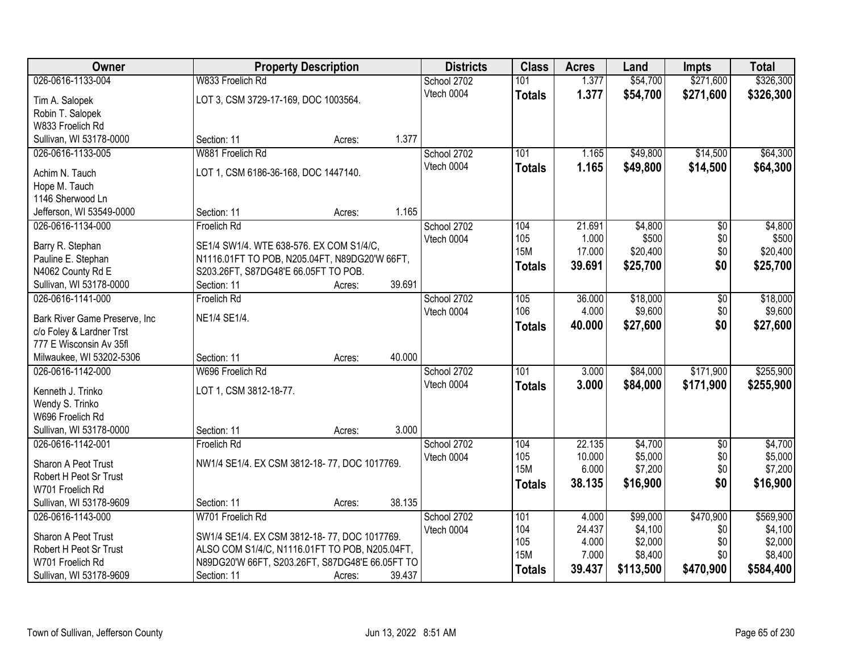| Owner                             | <b>Property Description</b>                     |        | <b>Districts</b> | <b>Class</b>  | <b>Acres</b> | Land      | <b>Impts</b>    | <b>Total</b> |
|-----------------------------------|-------------------------------------------------|--------|------------------|---------------|--------------|-----------|-----------------|--------------|
| 026-0616-1133-004                 | W833 Froelich Rd                                |        | School 2702      | 101           | 1.377        | \$54,700  | \$271,600       | \$326,300    |
| Tim A. Salopek                    | LOT 3, CSM 3729-17-169, DOC 1003564.            |        | Vtech 0004       | <b>Totals</b> | 1.377        | \$54,700  | \$271,600       | \$326,300    |
| Robin T. Salopek                  |                                                 |        |                  |               |              |           |                 |              |
| W833 Froelich Rd                  |                                                 |        |                  |               |              |           |                 |              |
| Sullivan, WI 53178-0000           | Section: 11                                     | Acres: | 1.377            |               |              |           |                 |              |
| 026-0616-1133-005                 | W881 Froelich Rd                                |        | School 2702      | 101           | 1.165        | \$49,800  | \$14,500        | \$64,300     |
|                                   | LOT 1, CSM 6186-36-168, DOC 1447140.            |        | Vtech 0004       | <b>Totals</b> | 1.165        | \$49,800  | \$14,500        | \$64,300     |
| Achim N. Tauch                    |                                                 |        |                  |               |              |           |                 |              |
| Hope M. Tauch<br>1146 Sherwood Ln |                                                 |        |                  |               |              |           |                 |              |
| Jefferson, WI 53549-0000          | Section: 11                                     | Acres: | 1.165            |               |              |           |                 |              |
| 026-0616-1134-000                 | Froelich Rd                                     |        | School 2702      | 104           | 21.691       | \$4,800   | \$0             | \$4,800      |
|                                   |                                                 |        | Vtech 0004       | 105           | 1.000        | \$500     | \$0             | \$500        |
| Barry R. Stephan                  | SE1/4 SW1/4. WTE 638-576. EX COM S1/4/C,        |        |                  | <b>15M</b>    | 17.000       | \$20,400  | \$0             | \$20,400     |
| Pauline E. Stephan                | N1116.01FT TO POB, N205.04FT, N89DG20'W 66FT,   |        |                  | <b>Totals</b> | 39.691       | \$25,700  | \$0             | \$25,700     |
| N4062 County Rd E                 | S203.26FT, S87DG48'E 66.05FT TO POB.            |        |                  |               |              |           |                 |              |
| Sullivan, WI 53178-0000           | Section: 11                                     | Acres: | 39.691           |               |              |           |                 |              |
| 026-0616-1141-000                 | <b>Froelich Rd</b>                              |        | School 2702      | 105           | 36.000       | \$18,000  | $\overline{50}$ | \$18,000     |
| Bark River Game Preserve, Inc     | NE1/4 SE1/4.                                    |        | Vtech 0004       | 106           | 4.000        | \$9,600   | \$0             | \$9,600      |
| c/o Foley & Lardner Trst          |                                                 |        |                  | <b>Totals</b> | 40.000       | \$27,600  | \$0             | \$27,600     |
| 777 E Wisconsin Av 35fl           |                                                 |        |                  |               |              |           |                 |              |
| Milwaukee, WI 53202-5306          | Section: 11                                     | Acres: | 40.000           |               |              |           |                 |              |
| 026-0616-1142-000                 | W696 Froelich Rd                                |        | School 2702      | 101           | 3.000        | \$84,000  | \$171,900       | \$255,900    |
| Kenneth J. Trinko                 | LOT 1, CSM 3812-18-77.                          |        | Vtech 0004       | <b>Totals</b> | 3.000        | \$84,000  | \$171,900       | \$255,900    |
| Wendy S. Trinko                   |                                                 |        |                  |               |              |           |                 |              |
| W696 Froelich Rd                  |                                                 |        |                  |               |              |           |                 |              |
| Sullivan, WI 53178-0000           | Section: 11                                     | Acres: | 3.000            |               |              |           |                 |              |
| 026-0616-1142-001                 | <b>Froelich Rd</b>                              |        | School 2702      | 104           | 22.135       | \$4,700   | $\overline{50}$ | \$4,700      |
|                                   |                                                 |        | Vtech 0004       | 105           | 10.000       | \$5,000   | \$0             | \$5,000      |
| Sharon A Peot Trust               | NW1/4 SE1/4. EX CSM 3812-18-77, DOC 1017769.    |        |                  | <b>15M</b>    | 6.000        | \$7,200   | \$0             | \$7,200      |
| Robert H Peot Sr Trust            |                                                 |        |                  | <b>Totals</b> | 38.135       | \$16,900  | \$0             | \$16,900     |
| W701 Froelich Rd                  |                                                 |        |                  |               |              |           |                 |              |
| Sullivan, WI 53178-9609           | Section: 11                                     | Acres: | 38.135           |               |              |           |                 |              |
| 026-0616-1143-000                 | W701 Froelich Rd                                |        | School 2702      | 101           | 4.000        | \$99,000  | \$470,900       | \$569,900    |
| Sharon A Peot Trust               | SW1/4 SE1/4. EX CSM 3812-18-77, DOC 1017769.    |        | Vtech 0004       | 104           | 24.437       | \$4,100   | \$0             | \$4,100      |
| Robert H Peot Sr Trust            | ALSO COM S1/4/C, N1116.01FT TO POB, N205.04FT,  |        |                  | 105           | 4.000        | \$2,000   | \$0             | \$2,000      |
| W701 Froelich Rd                  | N89DG20'W 66FT, S203.26FT, S87DG48'E 66.05FT TO |        |                  | <b>15M</b>    | 7.000        | \$8,400   | \$0             | \$8,400      |
| Sullivan, WI 53178-9609           | Section: 11                                     | Acres: | 39.437           | <b>Totals</b> | 39.437       | \$113,500 | \$470,900       | \$584,400    |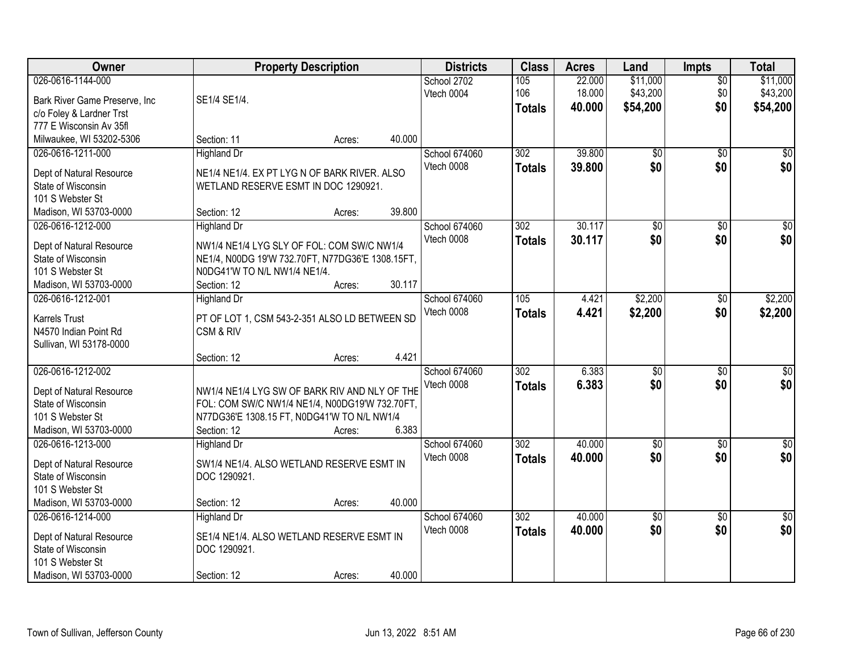| Owner                                                                                                             |                                                                                                                                                               | <b>Property Description</b> |        | <b>Districts</b>            | <b>Class</b>                | <b>Acres</b>               | Land                             | <b>Impts</b>           | <b>Total</b>                     |
|-------------------------------------------------------------------------------------------------------------------|---------------------------------------------------------------------------------------------------------------------------------------------------------------|-----------------------------|--------|-----------------------------|-----------------------------|----------------------------|----------------------------------|------------------------|----------------------------------|
| 026-0616-1144-000<br>Bark River Game Preserve, Inc.<br>c/o Foley & Lardner Trst<br>777 E Wisconsin Av 35fl        | SE1/4 SE1/4.                                                                                                                                                  |                             |        | School 2702<br>Vtech 0004   | 105<br>106<br><b>Totals</b> | 22.000<br>18.000<br>40.000 | \$11,000<br>\$43,200<br>\$54,200 | \$0<br>\$0<br>\$0      | \$11,000<br>\$43,200<br>\$54,200 |
| Milwaukee, WI 53202-5306                                                                                          | Section: 11                                                                                                                                                   | Acres:                      | 40.000 |                             |                             |                            |                                  |                        |                                  |
| 026-0616-1211-000<br>Dept of Natural Resource<br>State of Wisconsin<br>101 S Webster St<br>Madison, WI 53703-0000 | <b>Highland Dr</b><br>NE1/4 NE1/4. EX PT LYG N OF BARK RIVER. ALSO<br>WETLAND RESERVE ESMT IN DOC 1290921.<br>Section: 12                                     | Acres:                      | 39.800 | School 674060<br>Vtech 0008 | 302<br><b>Totals</b>        | 39.800<br>39.800           | $\overline{50}$<br>\$0           | $\overline{50}$<br>\$0 | \$0<br>\$0                       |
| 026-0616-1212-000                                                                                                 | <b>Highland Dr</b>                                                                                                                                            |                             |        | School 674060               | 302                         | 30.117                     | $\overline{50}$                  | \$0                    | $\overline{\$0}$                 |
| Dept of Natural Resource<br>State of Wisconsin<br>101 S Webster St<br>Madison, WI 53703-0000                      | NW1/4 NE1/4 LYG SLY OF FOL: COM SW/C NW1/4<br>NE1/4, N00DG 19'W 732.70FT, N77DG36'E 1308.15FT,<br>N0DG41'W TO N/L NW1/4 NE1/4.<br>Section: 12                 | Acres:                      | 30.117 | Vtech 0008                  | <b>Totals</b>               | 30.117                     | \$0                              | \$0                    | \$0                              |
| 026-0616-1212-001<br><b>Karrels Trust</b><br>N4570 Indian Point Rd<br>Sullivan, WI 53178-0000                     | <b>Highland Dr</b><br>PT OF LOT 1, CSM 543-2-351 ALSO LD BETWEEN SD<br>CSM & RIV                                                                              |                             |        | School 674060<br>Vtech 0008 | 105<br><b>Totals</b>        | 4.421<br>4.421             | \$2,200<br>\$2,200               | \$0<br>\$0             | \$2,200<br>\$2,200               |
| 026-0616-1212-002                                                                                                 | Section: 12                                                                                                                                                   | Acres:                      | 4.421  |                             | $\overline{302}$            | 6.383                      |                                  |                        |                                  |
| Dept of Natural Resource<br>State of Wisconsin<br>101 S Webster St<br>Madison, WI 53703-0000                      | NW1/4 NE1/4 LYG SW OF BARK RIV AND NLY OF THE<br>FOL: COM SW/C NW1/4 NE1/4, N00DG19'W 732.70FT,<br>N77DG36'E 1308.15 FT, N0DG41'W TO N/L NW1/4<br>Section: 12 | Acres:                      | 6.383  | School 674060<br>Vtech 0008 | <b>Totals</b>               | 6.383                      | $\overline{50}$<br>\$0           | $\overline{50}$<br>\$0 | $\overline{50}$<br>\$0           |
| 026-0616-1213-000<br>Dept of Natural Resource<br>State of Wisconsin<br>101 S Webster St<br>Madison, WI 53703-0000 | Highland Dr<br>SW1/4 NE1/4. ALSO WETLAND RESERVE ESMT IN<br>DOC 1290921.<br>Section: 12                                                                       | Acres:                      | 40.000 | School 674060<br>Vtech 0008 | 302<br><b>Totals</b>        | 40.000<br>40.000           | $\sqrt{$0}$<br>\$0               | \$0<br>\$0             | \$0<br>\$0                       |
| 026-0616-1214-000<br>Dept of Natural Resource<br>State of Wisconsin<br>101 S Webster St<br>Madison, WI 53703-0000 | <b>Highland Dr</b><br>SE1/4 NE1/4. ALSO WETLAND RESERVE ESMT IN<br>DOC 1290921.<br>Section: 12                                                                | Acres:                      | 40.000 | School 674060<br>Vtech 0008 | 302<br><b>Totals</b>        | 40.000<br>40.000           | $\overline{50}$<br>\$0           | $\overline{30}$<br>\$0 | $\overline{50}$<br>\$0           |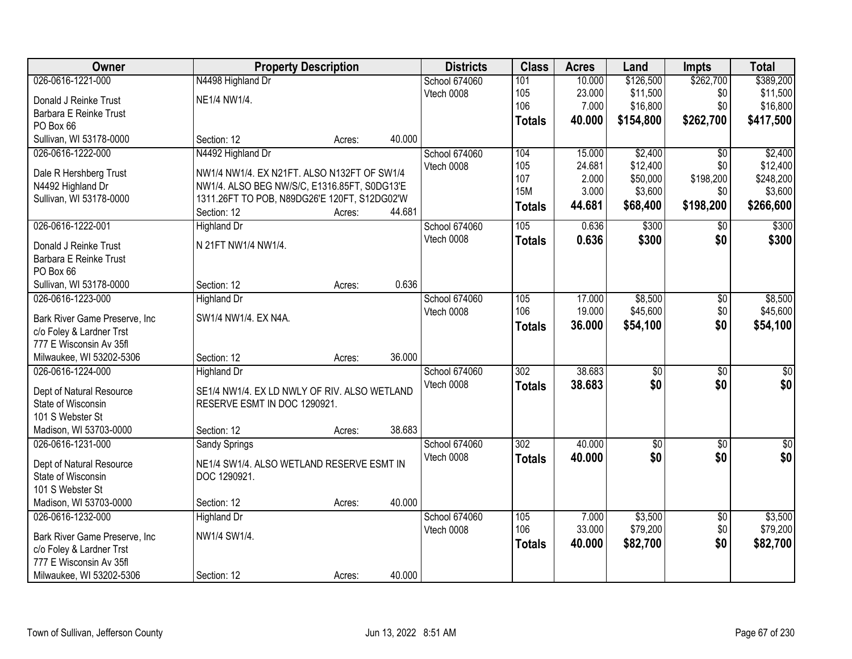| Owner                                                     | <b>Property Description</b>                  |        |        | <b>Districts</b> | <b>Class</b>     | <b>Acres</b> | Land            | <b>Impts</b>    | <b>Total</b> |
|-----------------------------------------------------------|----------------------------------------------|--------|--------|------------------|------------------|--------------|-----------------|-----------------|--------------|
| 026-0616-1221-000                                         | N4498 Highland Dr                            |        |        | School 674060    | 101              | 10.000       | \$126,500       | \$262,700       | \$389,200    |
| Donald J Reinke Trust                                     | NE1/4 NW1/4.                                 |        |        | Vtech 0008       | 105              | 23.000       | \$11,500        | \$0             | \$11,500     |
| Barbara E Reinke Trust                                    |                                              |        |        |                  | 106              | 7.000        | \$16,800        | \$0             | \$16,800     |
| PO Box 66                                                 |                                              |        |        |                  | <b>Totals</b>    | 40.000       | \$154,800       | \$262,700       | \$417,500    |
| Sullivan, WI 53178-0000                                   | Section: 12                                  | Acres: | 40.000 |                  |                  |              |                 |                 |              |
| 026-0616-1222-000                                         | N4492 Highland Dr                            |        |        | School 674060    | 104              | 15.000       | \$2,400         | $\overline{50}$ | \$2,400      |
|                                                           |                                              |        |        | Vtech 0008       | 105              | 24.681       | \$12,400        | \$0             | \$12,400     |
| Dale R Hershberg Trust                                    | NW1/4 NW1/4, EX N21FT, ALSO N132FT OF SW1/4  |        |        |                  | 107              | 2.000        | \$50,000        | \$198,200       | \$248,200    |
| N4492 Highland Dr                                         | NW1/4. ALSO BEG NW/S/C, E1316.85FT, S0DG13'E |        |        |                  | <b>15M</b>       | 3.000        | \$3,600         | \$0             | \$3,600      |
| Sullivan, WI 53178-0000                                   | 1311.26FT TO POB, N89DG26'E 120FT, S12DG02'W |        |        |                  | <b>Totals</b>    | 44.681       | \$68,400        | \$198,200       | \$266,600    |
|                                                           | Section: 12                                  | Acres: | 44.681 |                  |                  |              |                 |                 |              |
| 026-0616-1222-001                                         | <b>Highland Dr</b>                           |        |        | School 674060    | 105              | 0.636        | \$300           | $\sqrt[6]{3}$   | \$300        |
| Donald J Reinke Trust                                     | N 21FT NW1/4 NW1/4.                          |        |        | Vtech 0008       | <b>Totals</b>    | 0.636        | \$300           | \$0             | \$300        |
| Barbara E Reinke Trust                                    |                                              |        |        |                  |                  |              |                 |                 |              |
| PO Box 66                                                 |                                              |        |        |                  |                  |              |                 |                 |              |
| Sullivan, WI 53178-0000                                   | Section: 12                                  | Acres: | 0.636  |                  |                  |              |                 |                 |              |
| 026-0616-1223-000                                         | <b>Highland Dr</b>                           |        |        | School 674060    | 105              | 17.000       | \$8,500         | \$0             | \$8,500      |
|                                                           | SW1/4 NW1/4. EX N4A.                         |        |        | Vtech 0008       | 106              | 19.000       | \$45,600        | \$0             | \$45,600     |
| Bark River Game Preserve, Inc<br>c/o Foley & Lardner Trst |                                              |        |        |                  | <b>Totals</b>    | 36.000       | \$54,100        | \$0             | \$54,100     |
| 777 E Wisconsin Av 35fl                                   |                                              |        |        |                  |                  |              |                 |                 |              |
| Milwaukee, WI 53202-5306                                  | Section: 12                                  | Acres: | 36.000 |                  |                  |              |                 |                 |              |
| 026-0616-1224-000                                         | <b>Highland Dr</b>                           |        |        | School 674060    | $\overline{302}$ | 38.683       | $\overline{50}$ | $\overline{50}$ | $\sqrt{50}$  |
|                                                           |                                              |        |        | Vtech 0008       |                  | 38.683       | \$0             | \$0             |              |
| Dept of Natural Resource                                  | SE1/4 NW1/4. EX LD NWLY OF RIV. ALSO WETLAND |        |        |                  | <b>Totals</b>    |              |                 |                 | \$0          |
| State of Wisconsin                                        | RESERVE ESMT IN DOC 1290921.                 |        |        |                  |                  |              |                 |                 |              |
| 101 S Webster St                                          |                                              |        |        |                  |                  |              |                 |                 |              |
| Madison, WI 53703-0000                                    | Section: 12                                  | Acres: | 38.683 |                  |                  |              |                 |                 |              |
| 026-0616-1231-000                                         | Sandy Springs                                |        |        | School 674060    | 302              | 40.000       | $\overline{50}$ | $\overline{50}$ | \$0          |
| Dept of Natural Resource                                  | NE1/4 SW1/4. ALSO WETLAND RESERVE ESMT IN    |        |        | Vtech 0008       | <b>Totals</b>    | 40.000       | \$0             | \$0             | \$0          |
| State of Wisconsin                                        | DOC 1290921.                                 |        |        |                  |                  |              |                 |                 |              |
| 101 S Webster St                                          |                                              |        |        |                  |                  |              |                 |                 |              |
| Madison, WI 53703-0000                                    | Section: 12                                  | Acres: | 40.000 |                  |                  |              |                 |                 |              |
| 026-0616-1232-000                                         | <b>Highland Dr</b>                           |        |        | School 674060    | 105              | 7.000        | \$3,500         | $\overline{60}$ | \$3,500      |
|                                                           |                                              |        |        | Vtech 0008       | 106              | 33.000       | \$79,200        | \$0             | \$79,200     |
| Bark River Game Preserve, Inc.                            | NW1/4 SW1/4.                                 |        |        |                  | <b>Totals</b>    | 40.000       | \$82,700        | \$0             | \$82,700     |
| c/o Foley & Lardner Trst                                  |                                              |        |        |                  |                  |              |                 |                 |              |
| 777 E Wisconsin Av 35fl                                   |                                              |        |        |                  |                  |              |                 |                 |              |
| Milwaukee, WI 53202-5306                                  | Section: 12                                  | Acres: | 40.000 |                  |                  |              |                 |                 |              |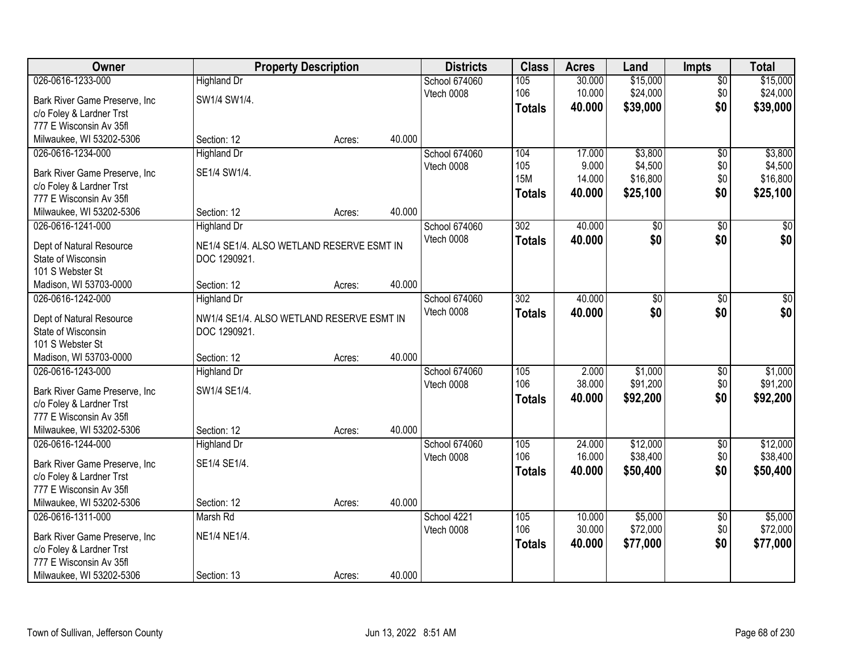| Owner                                                     |                                           | <b>Property Description</b> |        | <b>Districts</b> | <b>Class</b>     | <b>Acres</b> | Land            | <b>Impts</b>    | <b>Total</b>    |
|-----------------------------------------------------------|-------------------------------------------|-----------------------------|--------|------------------|------------------|--------------|-----------------|-----------------|-----------------|
| 026-0616-1233-000                                         | <b>Highland Dr</b>                        |                             |        | School 674060    | 105              | 30.000       | \$15,000        | \$0             | \$15,000        |
| Bark River Game Preserve, Inc                             | SW1/4 SW1/4.                              |                             |        | Vtech 0008       | 106              | 10.000       | \$24,000        | \$0             | \$24,000        |
| c/o Foley & Lardner Trst                                  |                                           |                             |        |                  | <b>Totals</b>    | 40.000       | \$39,000        | \$0             | \$39,000        |
| 777 E Wisconsin Av 35fl                                   |                                           |                             |        |                  |                  |              |                 |                 |                 |
| Milwaukee, WI 53202-5306                                  | Section: 12                               | Acres:                      | 40.000 |                  |                  |              |                 |                 |                 |
| 026-0616-1234-000                                         | <b>Highland Dr</b>                        |                             |        | School 674060    | 104              | 17.000       | \$3,800         | \$0             | \$3,800         |
|                                                           | SE1/4 SW1/4.                              |                             |        | Vtech 0008       | 105              | 9.000        | \$4,500         | \$0             | \$4,500         |
| Bark River Game Preserve, Inc<br>c/o Foley & Lardner Trst |                                           |                             |        |                  | <b>15M</b>       | 14.000       | \$16,800        | \$0             | \$16,800        |
| 777 E Wisconsin Av 35fl                                   |                                           |                             |        |                  | <b>Totals</b>    | 40.000       | \$25,100        | \$0             | \$25,100        |
| Milwaukee, WI 53202-5306                                  | Section: 12                               | Acres:                      | 40.000 |                  |                  |              |                 |                 |                 |
| 026-0616-1241-000                                         | <b>Highland Dr</b>                        |                             |        | School 674060    | 302              | 40.000       | $\overline{60}$ | \$0             | $\overline{50}$ |
|                                                           |                                           |                             |        | Vtech 0008       | <b>Totals</b>    | 40.000       | \$0             | \$0             | \$0             |
| Dept of Natural Resource                                  | NE1/4 SE1/4. ALSO WETLAND RESERVE ESMT IN |                             |        |                  |                  |              |                 |                 |                 |
| State of Wisconsin                                        | DOC 1290921.                              |                             |        |                  |                  |              |                 |                 |                 |
| 101 S Webster St                                          |                                           |                             |        |                  |                  |              |                 |                 |                 |
| Madison, WI 53703-0000                                    | Section: 12                               | Acres:                      | 40.000 |                  |                  |              |                 |                 |                 |
| 026-0616-1242-000                                         | <b>Highland Dr</b>                        |                             |        | School 674060    | $\overline{302}$ | 40.000       | \$0             | \$0             | $\sqrt{50}$     |
| Dept of Natural Resource                                  | NW1/4 SE1/4. ALSO WETLAND RESERVE ESMT IN |                             |        | Vtech 0008       | <b>Totals</b>    | 40.000       | \$0             | \$0             | \$0             |
| State of Wisconsin                                        | DOC 1290921.                              |                             |        |                  |                  |              |                 |                 |                 |
| 101 S Webster St                                          |                                           |                             |        |                  |                  |              |                 |                 |                 |
| Madison, WI 53703-0000                                    | Section: 12                               | Acres:                      | 40.000 |                  |                  |              |                 |                 |                 |
| 026-0616-1243-000                                         | <b>Highland Dr</b>                        |                             |        | School 674060    | 105              | 2.000        | \$1,000         | $\overline{50}$ | \$1,000         |
|                                                           | SW1/4 SE1/4.                              |                             |        | Vtech 0008       | 106              | 38.000       | \$91,200        | \$0             | \$91,200        |
| Bark River Game Preserve, Inc                             |                                           |                             |        |                  | <b>Totals</b>    | 40.000       | \$92,200        | \$0             | \$92,200        |
| c/o Foley & Lardner Trst<br>777 E Wisconsin Av 35fl       |                                           |                             |        |                  |                  |              |                 |                 |                 |
| Milwaukee, WI 53202-5306                                  | Section: 12                               | Acres:                      | 40.000 |                  |                  |              |                 |                 |                 |
| 026-0616-1244-000                                         | Highland Dr                               |                             |        | School 674060    | 105              | 24.000       | \$12,000        | $\sqrt{6}$      | \$12,000        |
|                                                           |                                           |                             |        | Vtech 0008       | 106              | 16.000       | \$38,400        | \$0             | \$38,400        |
| Bark River Game Preserve, Inc                             | SE1/4 SE1/4.                              |                             |        |                  | <b>Totals</b>    | 40.000       | \$50,400        | \$0             | \$50,400        |
| c/o Foley & Lardner Trst                                  |                                           |                             |        |                  |                  |              |                 |                 |                 |
| 777 E Wisconsin Av 35fl                                   |                                           |                             |        |                  |                  |              |                 |                 |                 |
| Milwaukee, WI 53202-5306                                  | Section: 12                               | Acres:                      | 40.000 |                  |                  |              |                 |                 |                 |
| 026-0616-1311-000                                         | Marsh Rd                                  |                             |        | School 4221      | 105              | 10.000       | \$5,000         | $\overline{60}$ | \$5,000         |
| Bark River Game Preserve, Inc                             | NE1/4 NE1/4.                              |                             |        | Vtech 0008       | 106              | 30.000       | \$72,000        | \$0             | \$72,000        |
| c/o Foley & Lardner Trst                                  |                                           |                             |        |                  | <b>Totals</b>    | 40.000       | \$77,000        | \$0             | \$77,000        |
| 777 E Wisconsin Av 35fl                                   |                                           |                             |        |                  |                  |              |                 |                 |                 |
| Milwaukee, WI 53202-5306                                  | Section: 13                               | Acres:                      | 40.000 |                  |                  |              |                 |                 |                 |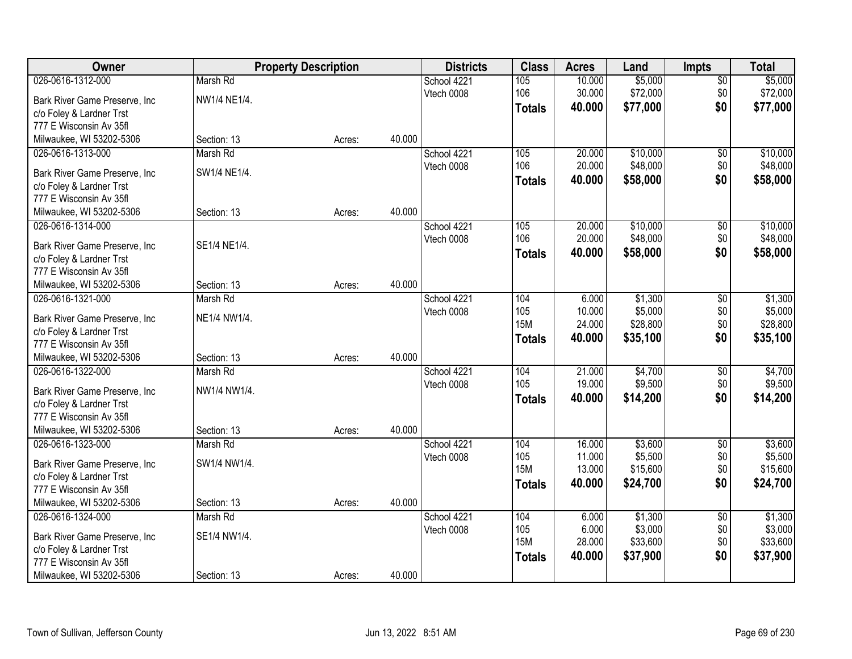| Owner                                                     |              | <b>Property Description</b> | <b>Districts</b> | <b>Class</b>      | <b>Acres</b>     | Land                | <b>Impts</b>    | <b>Total</b>        |
|-----------------------------------------------------------|--------------|-----------------------------|------------------|-------------------|------------------|---------------------|-----------------|---------------------|
| 026-0616-1312-000                                         | Marsh Rd     |                             | School 4221      | 105               | 10.000           | \$5,000             | $\sqrt{$0}$     | \$5,000             |
| Bark River Game Preserve, Inc                             | NW1/4 NE1/4. |                             | Vtech 0008       | 106               | 30.000           | \$72,000            | \$0             | \$72,000            |
| c/o Foley & Lardner Trst                                  |              |                             |                  | <b>Totals</b>     | 40.000           | \$77,000            | \$0             | \$77,000            |
| 777 E Wisconsin Av 35fl                                   |              |                             |                  |                   |                  |                     |                 |                     |
| Milwaukee, WI 53202-5306                                  | Section: 13  | 40.000<br>Acres:            |                  |                   |                  |                     |                 |                     |
| 026-0616-1313-000                                         | Marsh Rd     |                             | School 4221      | 105               | 20.000           | \$10,000            | \$0             | \$10,000            |
|                                                           | SW1/4 NE1/4. |                             | Vtech 0008       | 106               | 20.000           | \$48,000            | \$0             | \$48,000            |
| Bark River Game Preserve, Inc<br>c/o Foley & Lardner Trst |              |                             |                  | <b>Totals</b>     | 40.000           | \$58,000            | \$0             | \$58,000            |
| 777 E Wisconsin Av 35fl                                   |              |                             |                  |                   |                  |                     |                 |                     |
| Milwaukee, WI 53202-5306                                  | Section: 13  | 40.000<br>Acres:            |                  |                   |                  |                     |                 |                     |
| 026-0616-1314-000                                         |              |                             | School 4221      | 105               | 20.000           | \$10,000            | \$0             | \$10,000            |
|                                                           |              |                             | Vtech 0008       | 106               | 20.000           | \$48,000            | \$0             | \$48,000            |
| Bark River Game Preserve, Inc                             | SE1/4 NE1/4. |                             |                  | <b>Totals</b>     | 40.000           | \$58,000            | \$0             | \$58,000            |
| c/o Foley & Lardner Trst                                  |              |                             |                  |                   |                  |                     |                 |                     |
| 777 E Wisconsin Av 35fl                                   |              |                             |                  |                   |                  |                     |                 |                     |
| Milwaukee, WI 53202-5306                                  | Section: 13  | 40.000<br>Acres:            |                  |                   |                  |                     |                 |                     |
| 026-0616-1321-000                                         | Marsh Rd     |                             | School 4221      | 104               | 6.000            | \$1,300             | \$0             | \$1,300             |
| Bark River Game Preserve, Inc                             | NE1/4 NW1/4. |                             | Vtech 0008       | 105<br><b>15M</b> | 10.000<br>24.000 | \$5,000<br>\$28,800 | \$0<br>\$0      | \$5,000<br>\$28,800 |
| c/o Foley & Lardner Trst                                  |              |                             |                  |                   | 40.000           |                     | \$0             |                     |
| 777 E Wisconsin Av 35fl                                   |              |                             |                  | <b>Totals</b>     |                  | \$35,100            |                 | \$35,100            |
| Milwaukee, WI 53202-5306                                  | Section: 13  | 40.000<br>Acres:            |                  |                   |                  |                     |                 |                     |
| 026-0616-1322-000                                         | Marsh Rd     |                             | School 4221      | 104               | 21.000           | \$4,700             | $\overline{50}$ | \$4,700             |
| Bark River Game Preserve, Inc                             | NW1/4 NW1/4. |                             | Vtech 0008       | 105               | 19.000           | \$9,500             | \$0             | \$9,500             |
| c/o Foley & Lardner Trst                                  |              |                             |                  | <b>Totals</b>     | 40.000           | \$14,200            | \$0             | \$14,200            |
| 777 E Wisconsin Av 35fl                                   |              |                             |                  |                   |                  |                     |                 |                     |
| Milwaukee, WI 53202-5306                                  | Section: 13  | 40.000<br>Acres:            |                  |                   |                  |                     |                 |                     |
| 026-0616-1323-000                                         | Marsh Rd     |                             | School 4221      | 104               | 16.000           | \$3,600             | $\sqrt{6}$      | \$3,600             |
| Bark River Game Preserve, Inc                             | SW1/4 NW1/4. |                             | Vtech 0008       | 105               | 11.000           | \$5,500             | \$0             | \$5,500             |
| c/o Foley & Lardner Trst                                  |              |                             |                  | <b>15M</b>        | 13.000           | \$15,600            | \$0             | \$15,600            |
| 777 E Wisconsin Av 35fl                                   |              |                             |                  | <b>Totals</b>     | 40.000           | \$24,700            | \$0             | \$24,700            |
| Milwaukee, WI 53202-5306                                  | Section: 13  | 40.000<br>Acres:            |                  |                   |                  |                     |                 |                     |
| 026-0616-1324-000                                         | Marsh Rd     |                             | School 4221      | 104               | 6.000            | \$1,300             | $\overline{50}$ | \$1,300             |
|                                                           |              |                             | Vtech 0008       | 105               | 6.000            | \$3,000             | \$0             | \$3,000             |
| Bark River Game Preserve, Inc                             | SE1/4 NW1/4. |                             |                  | <b>15M</b>        | 28.000           | \$33,600            | \$0             | \$33,600            |
| c/o Foley & Lardner Trst<br>777 E Wisconsin Av 35fl       |              |                             |                  | <b>Totals</b>     | 40.000           | \$37,900            | \$0             | \$37,900            |
| Milwaukee, WI 53202-5306                                  | Section: 13  | 40.000<br>Acres:            |                  |                   |                  |                     |                 |                     |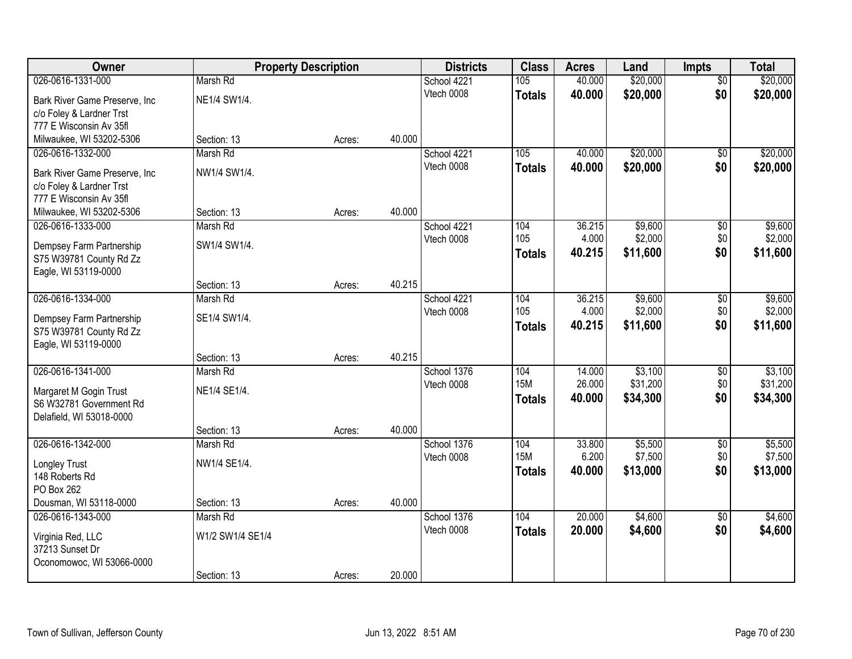| Owner                          |                  | <b>Property Description</b> |        | <b>Districts</b> | <b>Class</b>  | <b>Acres</b> | Land     | <b>Impts</b>    | <b>Total</b> |
|--------------------------------|------------------|-----------------------------|--------|------------------|---------------|--------------|----------|-----------------|--------------|
| 026-0616-1331-000              | Marsh Rd         |                             |        | School 4221      | 105           | 40.000       | \$20,000 | $\overline{50}$ | \$20,000     |
| Bark River Game Preserve, Inc. | NE1/4 SW1/4.     |                             |        | Vtech 0008       | <b>Totals</b> | 40.000       | \$20,000 | \$0             | \$20,000     |
| c/o Foley & Lardner Trst       |                  |                             |        |                  |               |              |          |                 |              |
| 777 E Wisconsin Av 35fl        |                  |                             |        |                  |               |              |          |                 |              |
| Milwaukee, WI 53202-5306       | Section: 13      | Acres:                      | 40.000 |                  |               |              |          |                 |              |
| 026-0616-1332-000              | Marsh Rd         |                             |        | School 4221      | 105           | 40.000       | \$20,000 | $\overline{50}$ | \$20,000     |
| Bark River Game Preserve, Inc. | NW1/4 SW1/4.     |                             |        | Vtech 0008       | <b>Totals</b> | 40.000       | \$20,000 | \$0             | \$20,000     |
| c/o Foley & Lardner Trst       |                  |                             |        |                  |               |              |          |                 |              |
| 777 E Wisconsin Av 35fl        |                  |                             |        |                  |               |              |          |                 |              |
| Milwaukee, WI 53202-5306       | Section: 13      | Acres:                      | 40.000 |                  |               |              |          |                 |              |
| 026-0616-1333-000              | Marsh Rd         |                             |        | School 4221      | 104           | 36.215       | \$9,600  | \$0             | \$9,600      |
| Dempsey Farm Partnership       | SW1/4 SW1/4.     |                             |        | Vtech 0008       | 105           | 4.000        | \$2,000  | \$0             | \$2,000      |
| S75 W39781 County Rd Zz        |                  |                             |        |                  | <b>Totals</b> | 40.215       | \$11,600 | \$0             | \$11,600     |
| Eagle, WI 53119-0000           |                  |                             |        |                  |               |              |          |                 |              |
|                                | Section: 13      | Acres:                      | 40.215 |                  |               |              |          |                 |              |
| 026-0616-1334-000              | Marsh Rd         |                             |        | School 4221      | 104           | 36.215       | \$9,600  | \$0             | \$9,600      |
| Dempsey Farm Partnership       | SE1/4 SW1/4.     |                             |        | Vtech 0008       | 105           | 4.000        | \$2,000  | \$0             | \$2,000      |
| S75 W39781 County Rd Zz        |                  |                             |        |                  | <b>Totals</b> | 40.215       | \$11,600 | \$0             | \$11,600     |
| Eagle, WI 53119-0000           |                  |                             |        |                  |               |              |          |                 |              |
|                                | Section: 13      | Acres:                      | 40.215 |                  |               |              |          |                 |              |
| 026-0616-1341-000              | Marsh Rd         |                             |        | School 1376      | 104           | 14.000       | \$3,100  | $\overline{50}$ | \$3,100      |
| Margaret M Gogin Trust         | NE1/4 SE1/4.     |                             |        | Vtech 0008       | <b>15M</b>    | 26.000       | \$31,200 | \$0             | \$31,200     |
| S6 W32781 Government Rd        |                  |                             |        |                  | <b>Totals</b> | 40.000       | \$34,300 | \$0             | \$34,300     |
| Delafield, WI 53018-0000       |                  |                             |        |                  |               |              |          |                 |              |
|                                | Section: 13      | Acres:                      | 40.000 |                  |               |              |          |                 |              |
| 026-0616-1342-000              | Marsh Rd         |                             |        | School 1376      | 104           | 33.800       | \$5,500  | $\overline{$0}$ | \$5,500      |
| Longley Trust                  | NW1/4 SE1/4.     |                             |        | Vtech 0008       | <b>15M</b>    | 6.200        | \$7,500  | \$0             | \$7,500      |
| 148 Roberts Rd                 |                  |                             |        |                  | <b>Totals</b> | 40,000       | \$13,000 | \$0             | \$13,000     |
| PO Box 262                     |                  |                             |        |                  |               |              |          |                 |              |
| Dousman, WI 53118-0000         | Section: 13      | Acres:                      | 40.000 |                  |               |              |          |                 |              |
| 026-0616-1343-000              | Marsh Rd         |                             |        | School 1376      | 104           | 20.000       | \$4,600  | $\overline{50}$ | \$4,600      |
| Virginia Red, LLC              | W1/2 SW1/4 SE1/4 |                             |        | Vtech 0008       | <b>Totals</b> | 20.000       | \$4,600  | \$0             | \$4,600      |
| 37213 Sunset Dr                |                  |                             |        |                  |               |              |          |                 |              |
| Oconomowoc, WI 53066-0000      |                  |                             |        |                  |               |              |          |                 |              |
|                                | Section: 13      | Acres:                      | 20.000 |                  |               |              |          |                 |              |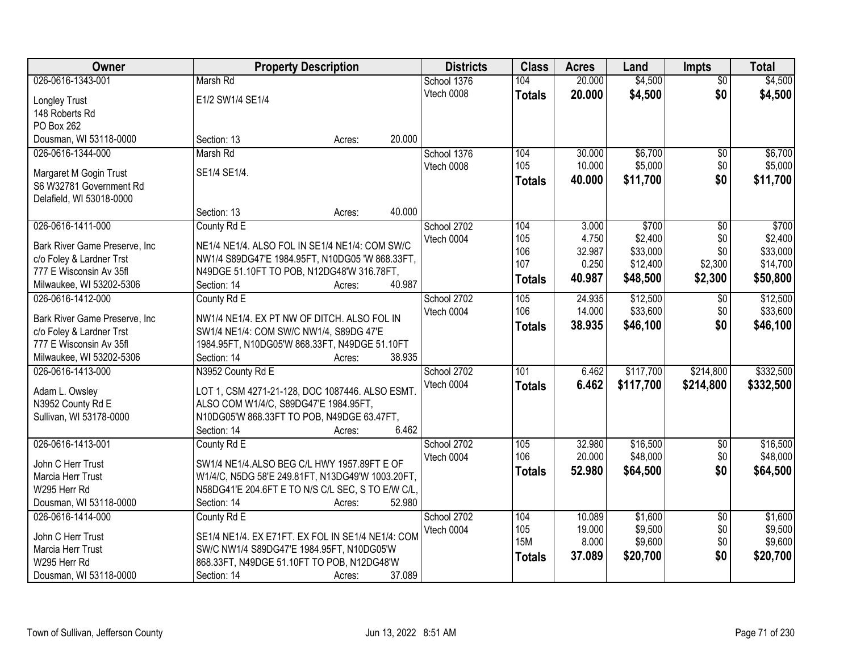| Owner                                             | <b>Property Description</b>                       |                  | <b>Districts</b>          | <b>Class</b>  | <b>Acres</b>     | Land               | <b>Impts</b>           | <b>Total</b>       |
|---------------------------------------------------|---------------------------------------------------|------------------|---------------------------|---------------|------------------|--------------------|------------------------|--------------------|
| 026-0616-1343-001                                 | Marsh Rd                                          |                  | School 1376               | 104           | 20.000           | \$4,500            | $\overline{50}$        | \$4,500            |
| <b>Longley Trust</b>                              | E1/2 SW1/4 SE1/4                                  |                  | Vtech 0008                | <b>Totals</b> | 20.000           | \$4,500            | \$0                    | \$4,500            |
| 148 Roberts Rd                                    |                                                   |                  |                           |               |                  |                    |                        |                    |
| PO Box 262                                        |                                                   |                  |                           |               |                  |                    |                        |                    |
| Dousman, WI 53118-0000                            | Section: 13                                       | 20.000<br>Acres: |                           |               |                  |                    |                        |                    |
| 026-0616-1344-000                                 | Marsh Rd                                          |                  | School 1376               | 104           | 30.000           | \$6,700            | \$0                    | \$6,700            |
|                                                   | SE1/4 SE1/4.                                      |                  | Vtech 0008                | 105           | 10.000           | \$5,000            | \$0                    | \$5,000            |
| Margaret M Gogin Trust<br>S6 W32781 Government Rd |                                                   |                  |                           | <b>Totals</b> | 40.000           | \$11,700           | \$0                    | \$11,700           |
| Delafield, WI 53018-0000                          |                                                   |                  |                           |               |                  |                    |                        |                    |
|                                                   | Section: 13                                       | 40.000<br>Acres: |                           |               |                  |                    |                        |                    |
| 026-0616-1411-000                                 | County Rd E                                       |                  | School 2702               | 104           | 3.000            | \$700              | $\overline{50}$        | \$700              |
|                                                   |                                                   |                  | Vtech 0004                | 105           | 4.750            | \$2,400            | \$0                    | \$2,400            |
| Bark River Game Preserve, Inc.                    | NE1/4 NE1/4. ALSO FOL IN SE1/4 NE1/4: COM SW/C    |                  |                           | 106           | 32.987           | \$33,000           | \$0                    | \$33,000           |
| c/o Foley & Lardner Trst                          | NW1/4 S89DG47'E 1984.95FT, N10DG05 'W 868.33FT,   |                  |                           | 107           | 0.250            | \$12,400           | \$2,300                | \$14,700           |
| 777 E Wisconsin Av 35fl                           | N49DGE 51.10FT TO POB, N12DG48'W 316.78FT,        |                  |                           | <b>Totals</b> | 40.987           | \$48,500           | \$2,300                | \$50,800           |
| Milwaukee, WI 53202-5306                          | Section: 14                                       | 40.987<br>Acres: |                           |               |                  |                    |                        |                    |
| 026-0616-1412-000                                 | County Rd E                                       |                  | School 2702               | 105           | 24.935           | \$12,500           | $\sqrt[6]{3}$          | \$12,500           |
| Bark River Game Preserve, Inc.                    | NW1/4 NE1/4. EX PT NW OF DITCH. ALSO FOL IN       |                  | Vtech 0004                | 106           | 14.000           | \$33,600           | \$0                    | \$33,600           |
| c/o Foley & Lardner Trst                          | SW1/4 NE1/4: COM SW/C NW1/4, S89DG 47'E           |                  |                           | <b>Totals</b> | 38.935           | \$46,100           | \$0                    | \$46,100           |
| 777 E Wisconsin Av 35fl                           | 1984.95FT, N10DG05'W 868.33FT, N49DGE 51.10FT     |                  |                           |               |                  |                    |                        |                    |
| Milwaukee, WI 53202-5306                          | Section: 14                                       | 38.935<br>Acres: |                           |               |                  |                    |                        |                    |
| 026-0616-1413-000                                 | N3952 County Rd E                                 |                  | School 2702               | 101           | 6.462            | \$117,700          | \$214,800              | \$332,500          |
| Adam L. Owsley                                    | LOT 1, CSM 4271-21-128, DOC 1087446. ALSO ESMT    |                  | Vtech 0004                | <b>Totals</b> | 6.462            | \$117,700          | \$214,800              | \$332,500          |
| N3952 County Rd E                                 | ALSO COM W1/4/C, S89DG47'E 1984.95FT,             |                  |                           |               |                  |                    |                        |                    |
| Sullivan, WI 53178-0000                           | N10DG05'W 868.33FT TO POB, N49DGE 63.47FT,        |                  |                           |               |                  |                    |                        |                    |
|                                                   | Section: 14                                       | 6.462<br>Acres:  |                           |               |                  |                    |                        |                    |
| 026-0616-1413-001                                 | County Rd E                                       |                  | School 2702               | 105           | 32.980           | \$16,500           | $\overline{$0}$        | \$16,500           |
|                                                   |                                                   |                  | Vtech 0004                | 106           | 20.000           | \$48,000           | \$0                    | \$48,000           |
| John C Herr Trust                                 | SW1/4 NE1/4.ALSO BEG C/L HWY 1957.89FT E OF       |                  |                           | <b>Totals</b> | 52.980           | \$64,500           | \$0                    | \$64,500           |
| Marcia Herr Trust                                 | W1/4/C, N5DG 58'E 249.81FT, N13DG49'W 1003.20FT,  |                  |                           |               |                  |                    |                        |                    |
| W295 Herr Rd                                      | N58DG41'E 204.6FT E TO N/S C/L SEC, S TO E/W C/L, |                  |                           |               |                  |                    |                        |                    |
| Dousman, WI 53118-0000<br>026-0616-1414-000       | Section: 14                                       | 52.980<br>Acres: |                           |               |                  |                    |                        |                    |
|                                                   | County Rd E                                       |                  | School 2702<br>Vtech 0004 | 104<br>105    | 10.089<br>19.000 | \$1,600<br>\$9,500 | $\overline{50}$<br>\$0 | \$1,600<br>\$9,500 |
| John C Herr Trust                                 | SE1/4 NE1/4. EX E71FT. EX FOL IN SE1/4 NE1/4: COM |                  |                           | <b>15M</b>    | 8.000            | \$9,600            | \$0                    | \$9,600            |
| Marcia Herr Trust                                 | SW/C NW1/4 S89DG47'E 1984.95FT, N10DG05'W         |                  |                           |               | 37.089           | \$20,700           | \$0                    | \$20,700           |
| W295 Herr Rd                                      | 868.33FT, N49DGE 51.10FT TO POB, N12DG48'W        |                  |                           | <b>Totals</b> |                  |                    |                        |                    |
| Dousman, WI 53118-0000                            | Section: 14                                       | 37.089<br>Acres: |                           |               |                  |                    |                        |                    |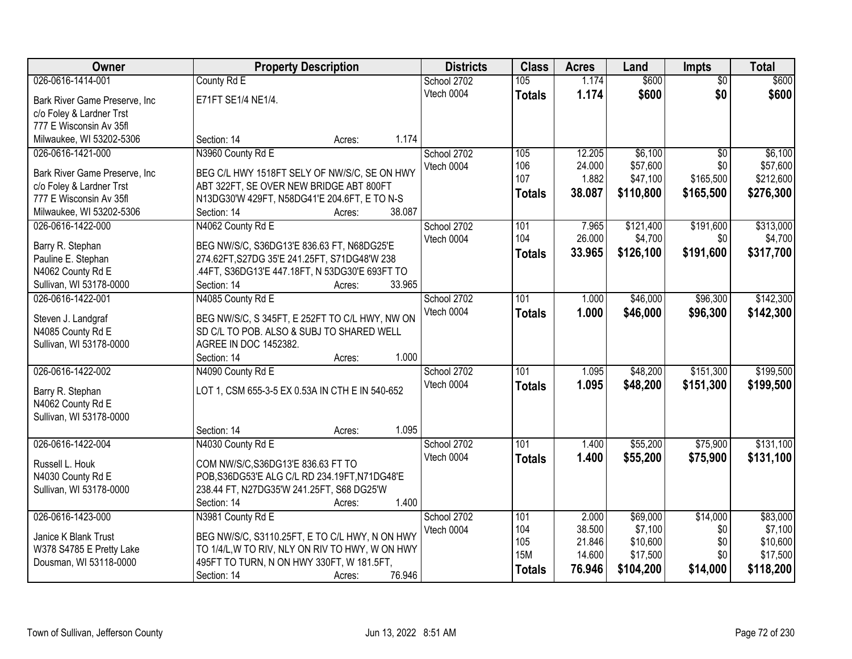| Owner                                         | <b>Property Description</b>                            | <b>Districts</b> | <b>Class</b>     | <b>Acres</b>    | Land      | <b>Impts</b>    | <b>Total</b> |
|-----------------------------------------------|--------------------------------------------------------|------------------|------------------|-----------------|-----------|-----------------|--------------|
| 026-0616-1414-001                             | County Rd E                                            | School 2702      | 105              | 1.174           | \$600     | $\overline{50}$ | \$600        |
| Bark River Game Preserve, Inc                 | E71FT SE1/4 NE1/4.                                     | Vtech 0004       | <b>Totals</b>    | 1.174           | \$600     | \$0             | \$600        |
| c/o Foley & Lardner Trst                      |                                                        |                  |                  |                 |           |                 |              |
| 777 E Wisconsin Av 35fl                       |                                                        |                  |                  |                 |           |                 |              |
| Milwaukee, WI 53202-5306                      | 1.174<br>Section: 14<br>Acres:                         |                  |                  |                 |           |                 |              |
| 026-0616-1421-000                             | N3960 County Rd E                                      | School 2702      | 105              | 12.205          | \$6,100   | \$0             | \$6,100      |
|                                               |                                                        | Vtech 0004       | 106              | 24.000          | \$57,600  | \$0             | \$57,600     |
| Bark River Game Preserve, Inc                 | BEG C/L HWY 1518FT SELY OF NW/S/C, SE ON HWY           |                  | 107              | 1.882           | \$47,100  | \$165,500       | \$212,600    |
| c/o Foley & Lardner Trst                      | ABT 322FT, SE OVER NEW BRIDGE ABT 800FT                |                  | <b>Totals</b>    | 38.087          | \$110,800 | \$165,500       | \$276,300    |
| 777 E Wisconsin Av 35fl                       | N13DG30'W 429FT, N58DG41'E 204.6FT, E TO N-S<br>38.087 |                  |                  |                 |           |                 |              |
| Milwaukee, WI 53202-5306<br>026-0616-1422-000 | Section: 14<br>Acres:                                  |                  |                  |                 | \$121,400 |                 |              |
|                                               | N4062 County Rd E                                      | School 2702      | 101<br>104       | 7.965<br>26.000 |           | \$191,600       | \$313,000    |
| Barry R. Stephan                              | BEG NW/S/C, S36DG13'E 836.63 FT, N68DG25'E             | Vtech 0004       |                  |                 | \$4,700   | \$0             | \$4,700      |
| Pauline E. Stephan                            | 274.62FT, S27DG 35'E 241.25FT, S71DG48'W 238           |                  | <b>Totals</b>    | 33.965          | \$126,100 | \$191,600       | \$317,700    |
| N4062 County Rd E                             | .44FT, S36DG13'E 447.18FT, N 53DG30'E 693FT TO         |                  |                  |                 |           |                 |              |
| Sullivan, WI 53178-0000                       | 33.965<br>Section: 14<br>Acres:                        |                  |                  |                 |           |                 |              |
| 026-0616-1422-001                             | N4085 County Rd E                                      | School 2702      | 101              | 1.000           | \$46,000  | \$96,300        | \$142,300    |
| Steven J. Landgraf                            | BEG NW/S/C, S 345FT, E 252FT TO C/L HWY, NW ON         | Vtech 0004       | <b>Totals</b>    | 1.000           | \$46,000  | \$96,300        | \$142,300    |
| N4085 County Rd E                             | SD C/L TO POB. ALSO & SUBJ TO SHARED WELL              |                  |                  |                 |           |                 |              |
| Sullivan, WI 53178-0000                       | AGREE IN DOC 1452382.                                  |                  |                  |                 |           |                 |              |
|                                               | 1.000<br>Section: 14<br>Acres:                         |                  |                  |                 |           |                 |              |
| 026-0616-1422-002                             | N4090 County Rd E                                      | School 2702      | $\overline{101}$ | 1.095           | \$48,200  | \$151,300       | \$199,500    |
|                                               |                                                        | Vtech 0004       | <b>Totals</b>    | 1.095           | \$48,200  | \$151,300       | \$199,500    |
| Barry R. Stephan                              | LOT 1, CSM 655-3-5 EX 0.53A IN CTH E IN 540-652        |                  |                  |                 |           |                 |              |
| N4062 County Rd E                             |                                                        |                  |                  |                 |           |                 |              |
| Sullivan, WI 53178-0000                       |                                                        |                  |                  |                 |           |                 |              |
|                                               | 1.095<br>Section: 14<br>Acres:                         |                  |                  |                 |           |                 |              |
| 026-0616-1422-004                             | N4030 County Rd E                                      | School 2702      | 101              | 1.400           | \$55,200  | \$75,900        | \$131,100    |
| Russell L. Houk                               | COM NW/S/C, S36DG13'E 836.63 FT TO                     | Vtech 0004       | <b>Totals</b>    | 1.400           | \$55,200  | \$75,900        | \$131,100    |
| N4030 County Rd E                             | POB, S36DG53'E ALG C/L RD 234.19FT, N71DG48'E          |                  |                  |                 |           |                 |              |
| Sullivan, WI 53178-0000                       | 238.44 FT, N27DG35'W 241.25FT, S68 DG25'W              |                  |                  |                 |           |                 |              |
|                                               | 1.400<br>Section: 14<br>Acres:                         |                  |                  |                 |           |                 |              |
| 026-0616-1423-000                             | N3981 County Rd E                                      | School 2702      | 101              | 2.000           | \$69,000  | \$14,000        | \$83,000     |
|                                               |                                                        | Vtech 0004       | 104              | 38.500          | \$7,100   | \$0             | \$7,100      |
| Janice K Blank Trust                          | BEG NW/S/C, S3110.25FT, E TO C/L HWY, N ON HWY         |                  | 105              | 21.846          | \$10,600  | \$0             | \$10,600     |
| W378 S4785 E Pretty Lake                      | TO 1/4/L, W TO RIV, NLY ON RIV TO HWY, W ON HWY        |                  | <b>15M</b>       | 14.600          | \$17,500  | \$0             | \$17,500     |
| Dousman, WI 53118-0000                        | 495FT TO TURN, N ON HWY 330FT, W 181.5FT,              |                  | <b>Totals</b>    | 76.946          | \$104,200 | \$14,000        | \$118,200    |
|                                               | 76.946<br>Section: 14<br>Acres:                        |                  |                  |                 |           |                 |              |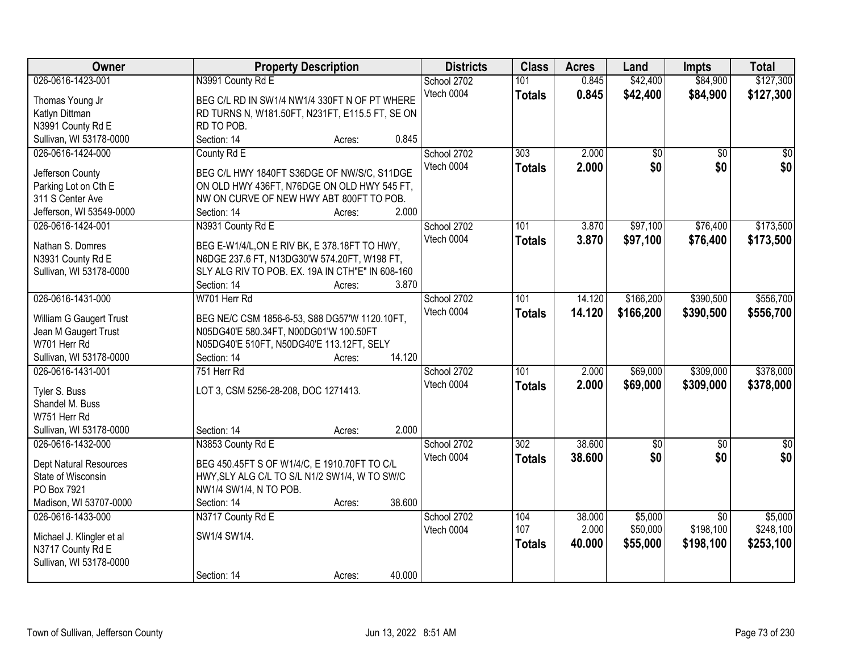| Owner                     | <b>Property Description</b>                      | <b>Districts</b> | <b>Class</b>  | <b>Acres</b> | Land        | <b>Impts</b>    | <b>Total</b>  |
|---------------------------|--------------------------------------------------|------------------|---------------|--------------|-------------|-----------------|---------------|
| 026-0616-1423-001         | N3991 County Rd E                                | School 2702      | 101           | 0.845        | \$42,400    | \$84,900        | \$127,300     |
| Thomas Young Jr           | BEG C/L RD IN SW1/4 NW1/4 330FT N OF PT WHERE    | Vtech 0004       | <b>Totals</b> | 0.845        | \$42,400    | \$84,900        | \$127,300     |
| Katlyn Dittman            | RD TURNS N, W181.50FT, N231FT, E115.5 FT, SE ON  |                  |               |              |             |                 |               |
| N3991 County Rd E         | RD TO POB.                                       |                  |               |              |             |                 |               |
| Sullivan, WI 53178-0000   | 0.845<br>Section: 14<br>Acres:                   |                  |               |              |             |                 |               |
| 026-0616-1424-000         | County Rd E                                      | School 2702      | 303           | 2.000        | \$0         | $\overline{50}$ | \$0           |
|                           |                                                  | Vtech 0004       | <b>Totals</b> | 2.000        | \$0         | \$0             | \$0           |
| Jefferson County          | BEG C/L HWY 1840FT S36DGE OF NW/S/C, S11DGE      |                  |               |              |             |                 |               |
| Parking Lot on Cth E      | ON OLD HWY 436FT, N76DGE ON OLD HWY 545 FT,      |                  |               |              |             |                 |               |
| 311 S Center Ave          | NW ON CURVE OF NEW HWY ABT 800FT TO POB.         |                  |               |              |             |                 |               |
| Jefferson, WI 53549-0000  | 2.000<br>Section: 14<br>Acres:                   |                  |               |              |             |                 |               |
| 026-0616-1424-001         | N3931 County Rd E                                | School 2702      | 101           | 3.870        | \$97,100    | \$76,400        | \$173,500     |
| Nathan S. Domres          | BEG E-W1/4/L, ON E RIV BK, E 378.18FT TO HWY,    | Vtech 0004       | <b>Totals</b> | 3.870        | \$97,100    | \$76,400        | \$173,500     |
| N3931 County Rd E         | N6DGE 237.6 FT, N13DG30'W 574.20FT, W198 FT,     |                  |               |              |             |                 |               |
| Sullivan, WI 53178-0000   | SLY ALG RIV TO POB. EX. 19A IN CTH"E" IN 608-160 |                  |               |              |             |                 |               |
|                           | Section: 14<br>3.870<br>Acres:                   |                  |               |              |             |                 |               |
| 026-0616-1431-000         | W701 Herr Rd                                     | School 2702      | 101           | 14.120       | \$166,200   | \$390,500       | \$556,700     |
|                           |                                                  | Vtech 0004       |               | 14.120       | \$166,200   | \$390,500       | \$556,700     |
| William G Gaugert Trust   | BEG NE/C CSM 1856-6-53, S88 DG57'W 1120.10FT,    |                  | <b>Totals</b> |              |             |                 |               |
| Jean M Gaugert Trust      | N05DG40'E 580.34FT, N00DG01'W 100.50FT           |                  |               |              |             |                 |               |
| W701 Herr Rd              | N05DG40'E 510FT, N50DG40'E 113.12FT, SELY        |                  |               |              |             |                 |               |
| Sullivan, WI 53178-0000   | 14.120<br>Section: 14<br>Acres:                  |                  |               |              |             |                 |               |
| 026-0616-1431-001         | 751 Herr Rd                                      | School 2702      | 101           | 2.000        | \$69,000    | \$309,000       | \$378,000     |
| Tyler S. Buss             | LOT 3, CSM 5256-28-208, DOC 1271413.             | Vtech 0004       | <b>Totals</b> | 2.000        | \$69,000    | \$309,000       | \$378,000     |
| Shandel M. Buss           |                                                  |                  |               |              |             |                 |               |
| W751 Herr Rd              |                                                  |                  |               |              |             |                 |               |
| Sullivan, WI 53178-0000   | 2.000<br>Section: 14                             |                  |               |              |             |                 |               |
|                           | Acres:                                           |                  |               | 38.600       |             |                 |               |
| 026-0616-1432-000         | N3853 County Rd E                                | School 2702      | 302           |              | $\sqrt{50}$ | $\sqrt{6}$      | $\frac{6}{3}$ |
| Dept Natural Resources    | BEG 450.45FT S OF W1/4/C, E 1910.70FT TO C/L     | Vtech 0004       | <b>Totals</b> | 38,600       | \$0         | \$0             | \$0           |
| State of Wisconsin        | HWY, SLY ALG C/L TO S/L N1/2 SW1/4, W TO SW/C    |                  |               |              |             |                 |               |
| PO Box 7921               | NW1/4 SW1/4, N TO POB.                           |                  |               |              |             |                 |               |
| Madison, WI 53707-0000    | 38.600<br>Section: 14<br>Acres:                  |                  |               |              |             |                 |               |
| 026-0616-1433-000         | N3717 County Rd E                                | School 2702      | 104           | 38.000       | \$5,000     | $\overline{50}$ | \$5,000       |
|                           |                                                  | Vtech 0004       | 107           | 2.000        | \$50,000    | \$198,100       | \$248,100     |
| Michael J. Klingler et al | SW1/4 SW1/4.                                     |                  | <b>Totals</b> | 40.000       | \$55,000    | \$198,100       | \$253,100     |
| N3717 County Rd E         |                                                  |                  |               |              |             |                 |               |
| Sullivan, WI 53178-0000   |                                                  |                  |               |              |             |                 |               |
|                           | 40.000<br>Section: 14<br>Acres:                  |                  |               |              |             |                 |               |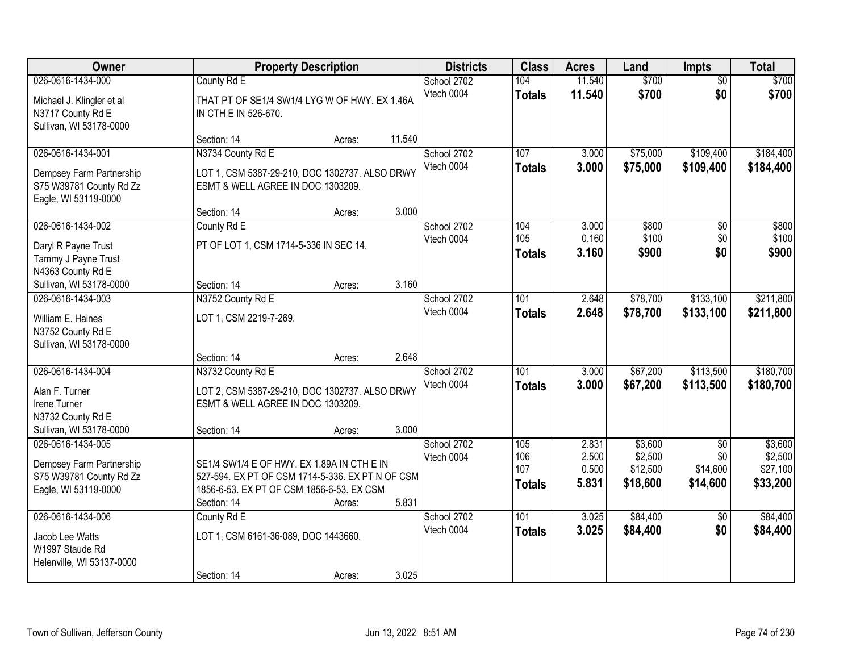| Owner                                                                                                             |                                                                                                                                                            | <b>Property Description</b> |                | <b>Districts</b>          | <b>Class</b>                       | <b>Acres</b>                     | Land                                       | <b>Impts</b>                       | <b>Total</b>                               |
|-------------------------------------------------------------------------------------------------------------------|------------------------------------------------------------------------------------------------------------------------------------------------------------|-----------------------------|----------------|---------------------------|------------------------------------|----------------------------------|--------------------------------------------|------------------------------------|--------------------------------------------|
| 026-0616-1434-000<br>Michael J. Klingler et al<br>N3717 County Rd E<br>Sullivan, WI 53178-0000                    | County Rd E<br>THAT PT OF SE1/4 SW1/4 LYG W OF HWY. EX 1.46A<br>IN CTH E IN 526-670.                                                                       |                             |                | School 2702<br>Vtech 0004 | 104<br><b>Totals</b>               | 11.540<br>11.540                 | \$700<br>\$700                             | $\overline{50}$<br>\$0             | \$700<br>\$700                             |
| 026-0616-1434-001<br>Dempsey Farm Partnership<br>S75 W39781 County Rd Zz<br>Eagle, WI 53119-0000                  | Section: 14<br>N3734 County Rd E<br>LOT 1, CSM 5387-29-210, DOC 1302737. ALSO DRWY<br>ESMT & WELL AGREE IN DOC 1303209.                                    | Acres:                      | 11.540         | School 2702<br>Vtech 0004 | 107<br><b>Totals</b>               | 3.000<br>3.000                   | \$75,000<br>\$75,000                       | \$109,400<br>\$109,400             | \$184,400<br>\$184,400                     |
| 026-0616-1434-002<br>Daryl R Payne Trust<br>Tammy J Payne Trust<br>N4363 County Rd E                              | Section: 14<br>County Rd E<br>PT OF LOT 1, CSM 1714-5-336 IN SEC 14.<br>Section: 14                                                                        | Acres:                      | 3.000<br>3.160 | School 2702<br>Vtech 0004 | 104<br>105<br><b>Totals</b>        | 3.000<br>0.160<br>3.160          | \$800<br>\$100<br>\$900                    | \$0<br>\$0<br>\$0                  | \$800<br>\$100<br>\$900                    |
| Sullivan, WI 53178-0000<br>026-0616-1434-003<br>William E. Haines<br>N3752 County Rd E<br>Sullivan, WI 53178-0000 | N3752 County Rd E<br>LOT 1, CSM 2219-7-269.<br>Section: 14                                                                                                 | Acres:<br>Acres:            | 2.648          | School 2702<br>Vtech 0004 | 101<br><b>Totals</b>               | 2.648<br>2.648                   | \$78,700<br>\$78,700                       | \$133,100<br>\$133,100             | \$211,800<br>\$211,800                     |
| 026-0616-1434-004<br>Alan F. Turner<br>Irene Turner<br>N3732 County Rd E<br>Sullivan, WI 53178-0000               | N3732 County Rd E<br>LOT 2, CSM 5387-29-210, DOC 1302737. ALSO DRWY<br>ESMT & WELL AGREE IN DOC 1303209.<br>Section: 14                                    | Acres:                      | 3.000          | School 2702<br>Vtech 0004 | 101<br><b>Totals</b>               | 3.000<br>3.000                   | \$67,200<br>\$67,200                       | \$113,500<br>\$113,500             | \$180,700<br>\$180,700                     |
| 026-0616-1434-005<br>Dempsey Farm Partnership<br>S75 W39781 County Rd Zz<br>Eagle, WI 53119-0000                  | SE1/4 SW1/4 E OF HWY. EX 1.89A IN CTH E IN<br>527-594. EX PT OF CSM 1714-5-336. EX PT N OF CSM<br>1856-6-53. EX PT OF CSM 1856-6-53. EX CSM<br>Section: 14 | Acres:                      | 5.831          | School 2702<br>Vtech 0004 | 105<br>106<br>107<br><b>Totals</b> | 2.831<br>2.500<br>0.500<br>5.831 | \$3,600<br>\$2,500<br>\$12,500<br>\$18,600 | \$0<br>\$0<br>\$14,600<br>\$14,600 | \$3,600<br>\$2,500<br>\$27,100<br>\$33,200 |
| 026-0616-1434-006<br>Jacob Lee Watts<br>W1997 Staude Rd<br>Helenville, WI 53137-0000                              | County Rd E<br>LOT 1, CSM 6161-36-089, DOC 1443660.<br>Section: 14                                                                                         | Acres:                      | 3.025          | School 2702<br>Vtech 0004 | 101<br><b>Totals</b>               | 3.025<br>3.025                   | \$84,400<br>\$84,400                       | $\overline{50}$<br>\$0             | \$84,400<br>\$84,400                       |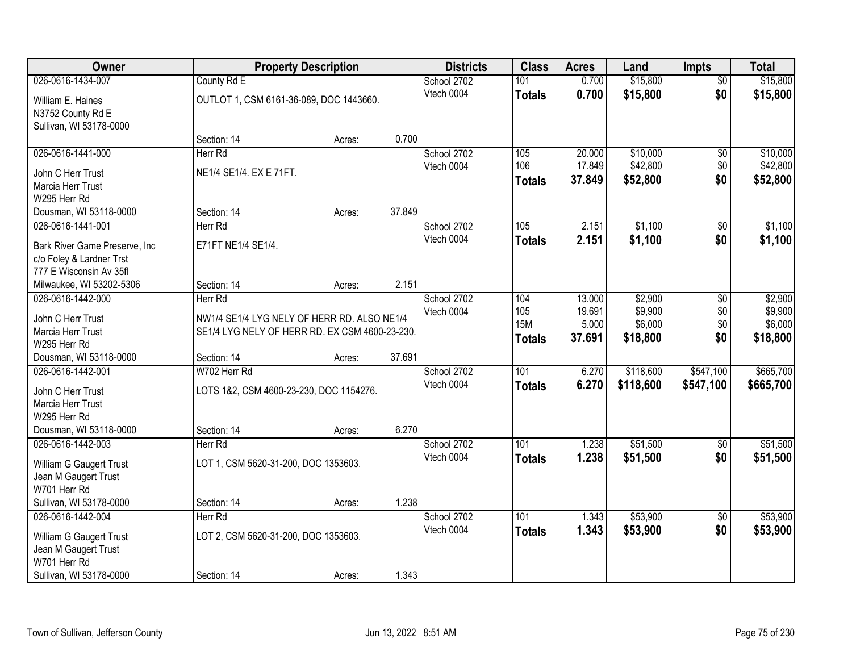| Owner                                           |                                                | <b>Property Description</b> |        | <b>Districts</b> | <b>Class</b>     | <b>Acres</b> | Land      | <b>Impts</b>    | <b>Total</b> |
|-------------------------------------------------|------------------------------------------------|-----------------------------|--------|------------------|------------------|--------------|-----------|-----------------|--------------|
| 026-0616-1434-007                               | County Rd E                                    |                             |        | School 2702      | 101              | 0.700        | \$15,800  | $\overline{50}$ | \$15,800     |
| William E. Haines                               | OUTLOT 1, CSM 6161-36-089, DOC 1443660.        |                             |        | Vtech 0004       | <b>Totals</b>    | 0.700        | \$15,800  | \$0             | \$15,800     |
| N3752 County Rd E                               |                                                |                             |        |                  |                  |              |           |                 |              |
| Sullivan, WI 53178-0000                         |                                                |                             |        |                  |                  |              |           |                 |              |
|                                                 | Section: 14                                    | Acres:                      | 0.700  |                  |                  |              |           |                 |              |
| 026-0616-1441-000                               | Herr Rd                                        |                             |        | School 2702      | 105              | 20.000       | \$10,000  | \$0             | \$10,000     |
| John C Herr Trust                               | NE1/4 SE1/4. EX E 71FT.                        |                             |        | Vtech 0004       | 106              | 17.849       | \$42,800  | \$0             | \$42,800     |
| Marcia Herr Trust                               |                                                |                             |        |                  | <b>Totals</b>    | 37.849       | \$52,800  | \$0             | \$52,800     |
| W295 Herr Rd                                    |                                                |                             |        |                  |                  |              |           |                 |              |
| Dousman, WI 53118-0000                          | Section: 14                                    | Acres:                      | 37.849 |                  |                  |              |           |                 |              |
| 026-0616-1441-001                               | Herr Rd                                        |                             |        | School 2702      | 105              | 2.151        | \$1,100   | \$0             | \$1,100      |
| Bark River Game Preserve, Inc.                  | E71FT NE1/4 SE1/4.                             |                             |        | Vtech 0004       | <b>Totals</b>    | 2.151        | \$1,100   | \$0             | \$1,100      |
| c/o Foley & Lardner Trst                        |                                                |                             |        |                  |                  |              |           |                 |              |
| 777 E Wisconsin Av 35fl                         |                                                |                             |        |                  |                  |              |           |                 |              |
| Milwaukee, WI 53202-5306                        | Section: 14                                    | Acres:                      | 2.151  |                  |                  |              |           |                 |              |
| 026-0616-1442-000                               | Herr Rd                                        |                             |        | School 2702      | 104              | 13.000       | \$2,900   | \$0             | \$2,900      |
| John C Herr Trust                               | NW1/4 SE1/4 LYG NELY OF HERR RD. ALSO NE1/4    |                             |        | Vtech 0004       | 105              | 19.691       | \$9,900   | \$0             | \$9,900      |
| Marcia Herr Trust                               | SE1/4 LYG NELY OF HERR RD. EX CSM 4600-23-230. |                             |        |                  | <b>15M</b>       | 5.000        | \$6,000   | \$0             | \$6,000      |
| W295 Herr Rd                                    |                                                |                             |        |                  | <b>Totals</b>    | 37.691       | \$18,800  | \$0             | \$18,800     |
| Dousman, WI 53118-0000                          | Section: 14                                    | Acres:                      | 37.691 |                  |                  |              |           |                 |              |
| 026-0616-1442-001                               | W702 Herr Rd                                   |                             |        | School 2702      | $\overline{101}$ | 6.270        | \$118,600 | \$547,100       | \$665,700    |
| John C Herr Trust                               | LOTS 1&2, CSM 4600-23-230, DOC 1154276.        |                             |        | Vtech 0004       | <b>Totals</b>    | 6.270        | \$118,600 | \$547,100       | \$665,700    |
| Marcia Herr Trust                               |                                                |                             |        |                  |                  |              |           |                 |              |
| W295 Herr Rd                                    |                                                |                             |        |                  |                  |              |           |                 |              |
| Dousman, WI 53118-0000                          | Section: 14                                    | Acres:                      | 6.270  |                  |                  |              |           |                 |              |
| 026-0616-1442-003                               | Herr Rd                                        |                             |        | School 2702      | 101              | 1.238        | \$51,500  | $\sqrt{$0}$     | \$51,500     |
| William G Gaugert Trust                         | LOT 1, CSM 5620-31-200, DOC 1353603.           |                             |        | Vtech 0004       | <b>Totals</b>    | 1.238        | \$51,500  | \$0             | \$51,500     |
| Jean M Gaugert Trust                            |                                                |                             |        |                  |                  |              |           |                 |              |
| W701 Herr Rd                                    |                                                |                             |        |                  |                  |              |           |                 |              |
| Sullivan, WI 53178-0000                         | Section: 14                                    | Acres:                      | 1.238  |                  |                  |              |           |                 |              |
| 026-0616-1442-004                               | Herr Rd                                        |                             |        | School 2702      | 101              | 1.343        | \$53,900  | $\overline{50}$ | \$53,900     |
|                                                 | LOT 2, CSM 5620-31-200, DOC 1353603.           |                             |        | Vtech 0004       | <b>Totals</b>    | 1.343        | \$53,900  | \$0             | \$53,900     |
| William G Gaugert Trust<br>Jean M Gaugert Trust |                                                |                             |        |                  |                  |              |           |                 |              |
| W701 Herr Rd                                    |                                                |                             |        |                  |                  |              |           |                 |              |
| Sullivan, WI 53178-0000                         | Section: 14                                    | Acres:                      | 1.343  |                  |                  |              |           |                 |              |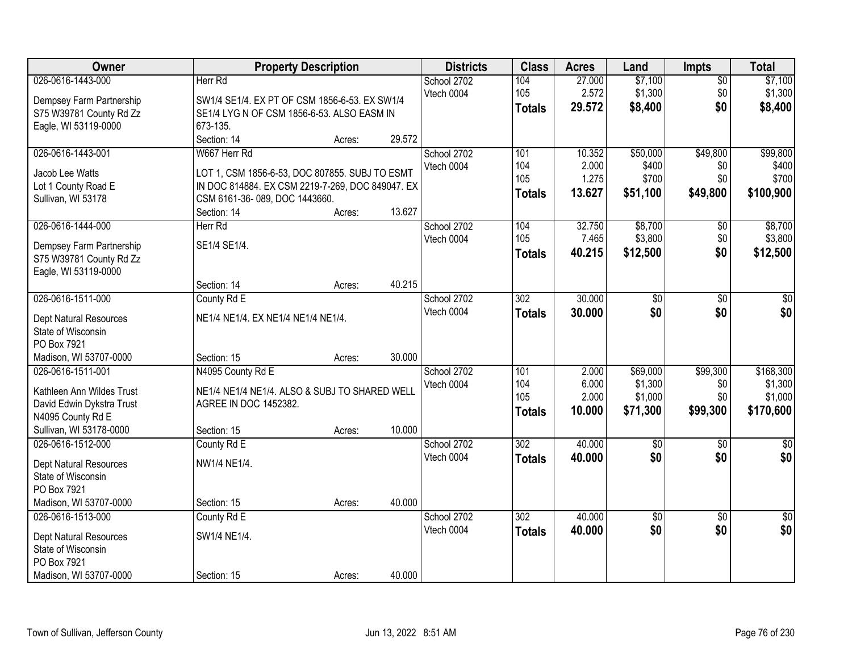| Owner                                                                                                                       |                                                                                                                                                                    | <b>Property Description</b> |        | <b>Districts</b>          | <b>Class</b>                       | <b>Acres</b>                       | Land                                       | Impts                              | <b>Total</b>                                 |
|-----------------------------------------------------------------------------------------------------------------------------|--------------------------------------------------------------------------------------------------------------------------------------------------------------------|-----------------------------|--------|---------------------------|------------------------------------|------------------------------------|--------------------------------------------|------------------------------------|----------------------------------------------|
| 026-0616-1443-000<br>Dempsey Farm Partnership<br>S75 W39781 County Rd Zz<br>Eagle, WI 53119-0000                            | Herr Rd<br>SW1/4 SE1/4. EX PT OF CSM 1856-6-53. EX SW1/4<br>SE1/4 LYG N OF CSM 1856-6-53. ALSO EASM IN<br>673-135.                                                 |                             |        | School 2702<br>Vtech 0004 | 104<br>105<br><b>Totals</b>        | 27.000<br>2.572<br>29.572          | \$7,100<br>\$1,300<br>\$8,400              | $\overline{50}$<br>\$0<br>\$0      | \$7,100<br>\$1,300<br>\$8,400                |
|                                                                                                                             | Section: 14                                                                                                                                                        | Acres:                      | 29.572 |                           |                                    |                                    |                                            |                                    |                                              |
| 026-0616-1443-001<br>Jacob Lee Watts<br>Lot 1 County Road E<br>Sullivan, WI 53178                                           | W667 Herr Rd<br>LOT 1, CSM 1856-6-53, DOC 807855. SUBJ TO ESMT<br>IN DOC 814884. EX CSM 2219-7-269, DOC 849047. EX<br>CSM 6161-36-089, DOC 1443660.<br>Section: 14 | Acres:                      | 13.627 | School 2702<br>Vtech 0004 | 101<br>104<br>105<br>Totals        | 10.352<br>2.000<br>1.275<br>13.627 | \$50,000<br>\$400<br>\$700<br>\$51,100     | \$49,800<br>\$0<br>\$0<br>\$49,800 | \$99,800<br>\$400<br>\$700<br>\$100,900      |
| 026-0616-1444-000<br>Dempsey Farm Partnership<br>S75 W39781 County Rd Zz<br>Eagle, WI 53119-0000                            | Herr Rd<br>SE1/4 SE1/4.<br>Section: 14                                                                                                                             | Acres:                      | 40.215 | School 2702<br>Vtech 0004 | 104<br>105<br><b>Totals</b>        | 32.750<br>7.465<br>40.215          | \$8,700<br>\$3,800<br>\$12,500             | $\overline{50}$<br>\$0<br>\$0      | \$8,700<br>\$3,800<br>\$12,500               |
| 026-0616-1511-000<br>Dept Natural Resources<br>State of Wisconsin<br>PO Box 7921<br>Madison, WI 53707-0000                  | County Rd E<br>NE1/4 NE1/4. EX NE1/4 NE1/4 NE1/4.<br>Section: 15                                                                                                   | Acres:                      | 30.000 | School 2702<br>Vtech 0004 | $\overline{302}$<br><b>Totals</b>  | 30.000<br>30.000                   | \$0<br>\$0                                 | \$0<br>\$0                         | \$0<br>\$0                                   |
| 026-0616-1511-001<br>Kathleen Ann Wildes Trust<br>David Edwin Dykstra Trust<br>N4095 County Rd E<br>Sullivan, WI 53178-0000 | N4095 County Rd E<br>NE1/4 NE1/4 NE1/4. ALSO & SUBJ TO SHARED WELL<br>AGREE IN DOC 1452382.<br>Section: 15                                                         | Acres:                      | 10.000 | School 2702<br>Vtech 0004 | 101<br>104<br>105<br><b>Totals</b> | 2.000<br>6.000<br>2.000<br>10.000  | \$69,000<br>\$1,300<br>\$1,000<br>\$71,300 | \$99,300<br>\$0<br>\$0<br>\$99,300 | \$168,300<br>\$1,300<br>\$1,000<br>\$170,600 |
| 026-0616-1512-000<br>Dept Natural Resources<br>State of Wisconsin<br>PO Box 7921<br>Madison, WI 53707-0000                  | County Rd E<br>NW1/4 NE1/4.<br>Section: 15                                                                                                                         | Acres:                      | 40.000 | School 2702<br>Vtech 0004 | 302<br><b>Totals</b>               | 40.000<br>40.000                   | $\sqrt{6}$<br>\$0                          | $\sqrt{6}$<br>\$0                  | $\frac{1}{6}$<br>\$0                         |
| 026-0616-1513-000<br><b>Dept Natural Resources</b><br>State of Wisconsin<br>PO Box 7921<br>Madison, WI 53707-0000           | County Rd E<br>SW1/4 NE1/4.<br>Section: 15                                                                                                                         | Acres:                      | 40.000 | School 2702<br>Vtech 0004 | 302<br><b>Totals</b>               | 40.000<br>40.000                   | \$0<br>\$0                                 | $\overline{30}$<br>\$0             | $\sqrt{50}$<br>\$0                           |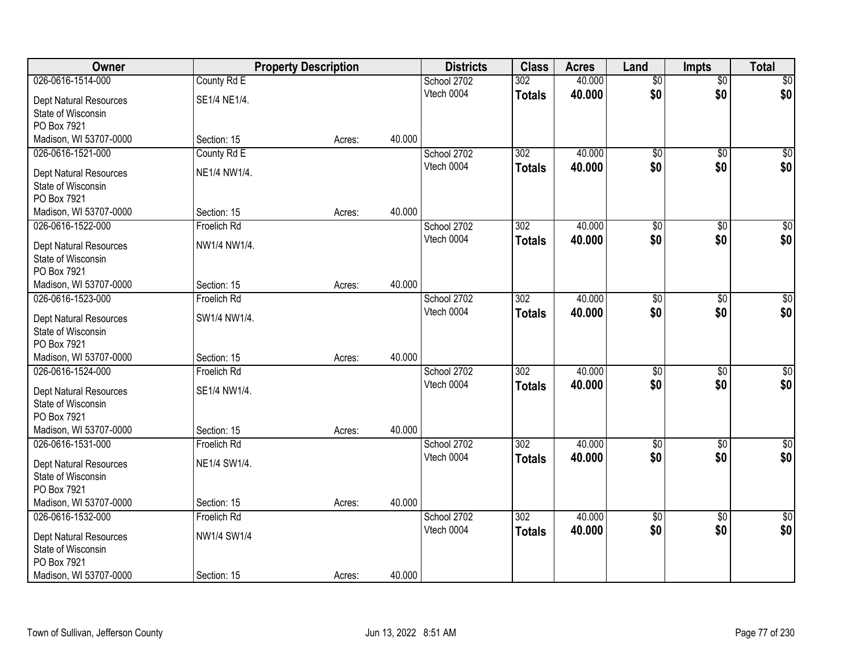| <b>Owner</b>                                 |              | <b>Property Description</b> |        | <b>Districts</b> | <b>Class</b>     | <b>Acres</b> | Land            | <b>Impts</b>    | <b>Total</b>     |
|----------------------------------------------|--------------|-----------------------------|--------|------------------|------------------|--------------|-----------------|-----------------|------------------|
| 026-0616-1514-000                            | County Rd E  |                             |        | School 2702      | 302              | 40.000       | $\overline{50}$ | $\overline{50}$ | \$0              |
| Dept Natural Resources                       | SE1/4 NE1/4. |                             |        | Vtech 0004       | <b>Totals</b>    | 40.000       | \$0             | \$0             | \$0              |
| State of Wisconsin                           |              |                             |        |                  |                  |              |                 |                 |                  |
| PO Box 7921                                  |              |                             |        |                  |                  |              |                 |                 |                  |
| Madison, WI 53707-0000                       | Section: 15  | Acres:                      | 40.000 |                  |                  |              |                 |                 |                  |
| 026-0616-1521-000                            | County Rd E  |                             |        | School 2702      | 302              | 40.000       | \$0             | \$0             | \$0              |
| <b>Dept Natural Resources</b>                | NE1/4 NW1/4. |                             |        | Vtech 0004       | <b>Totals</b>    | 40.000       | \$0             | \$0             | \$0              |
| State of Wisconsin                           |              |                             |        |                  |                  |              |                 |                 |                  |
| PO Box 7921                                  |              |                             |        |                  |                  |              |                 |                 |                  |
| Madison, WI 53707-0000                       | Section: 15  | Acres:                      | 40.000 |                  |                  |              |                 |                 |                  |
| 026-0616-1522-000                            | Froelich Rd  |                             |        | School 2702      | 302              | 40.000       | $\overline{50}$ | \$0             | $\overline{\$0}$ |
| Dept Natural Resources                       | NW1/4 NW1/4. |                             |        | Vtech 0004       | <b>Totals</b>    | 40.000       | \$0             | \$0             | \$0              |
| State of Wisconsin                           |              |                             |        |                  |                  |              |                 |                 |                  |
| PO Box 7921                                  |              |                             |        |                  |                  |              |                 |                 |                  |
| Madison, WI 53707-0000                       | Section: 15  | Acres:                      | 40.000 |                  |                  |              |                 |                 |                  |
| 026-0616-1523-000                            | Froelich Rd  |                             |        | School 2702      | 302              | 40.000       | $\overline{50}$ | \$0             | $\sqrt{50}$      |
|                                              |              |                             |        | Vtech 0004       | <b>Totals</b>    | 40.000       | \$0             | \$0             | \$0              |
| Dept Natural Resources<br>State of Wisconsin | SW1/4 NW1/4. |                             |        |                  |                  |              |                 |                 |                  |
| PO Box 7921                                  |              |                             |        |                  |                  |              |                 |                 |                  |
| Madison, WI 53707-0000                       | Section: 15  | Acres:                      | 40.000 |                  |                  |              |                 |                 |                  |
| 026-0616-1524-000                            | Froelich Rd  |                             |        | School 2702      | $\overline{302}$ | 40.000       | \$0             | \$0             | $\sqrt{50}$      |
|                                              |              |                             |        | Vtech 0004       | <b>Totals</b>    | 40.000       | \$0             | \$0             | \$0              |
| Dept Natural Resources                       | SE1/4 NW1/4. |                             |        |                  |                  |              |                 |                 |                  |
| State of Wisconsin<br>PO Box 7921            |              |                             |        |                  |                  |              |                 |                 |                  |
| Madison, WI 53707-0000                       | Section: 15  | Acres:                      | 40.000 |                  |                  |              |                 |                 |                  |
| 026-0616-1531-000                            | Froelich Rd  |                             |        | School 2702      | $\overline{302}$ | 40.000       | $\overline{50}$ | $\overline{50}$ | $\sqrt{50}$      |
|                                              |              |                             |        | Vtech 0004       | <b>Totals</b>    | 40.000       | \$0             | \$0             | \$0              |
| Dept Natural Resources                       | NE1/4 SW1/4. |                             |        |                  |                  |              |                 |                 |                  |
| State of Wisconsin<br>PO Box 7921            |              |                             |        |                  |                  |              |                 |                 |                  |
| Madison, WI 53707-0000                       | Section: 15  | Acres:                      | 40.000 |                  |                  |              |                 |                 |                  |
| 026-0616-1532-000                            | Froelich Rd  |                             |        | School 2702      | 302              | 40.000       | $\overline{50}$ | $\overline{50}$ | $\overline{50}$  |
|                                              |              |                             |        | Vtech 0004       | <b>Totals</b>    | 40.000       | \$0             | \$0             | \$0              |
| <b>Dept Natural Resources</b>                | NW1/4 SW1/4  |                             |        |                  |                  |              |                 |                 |                  |
| State of Wisconsin                           |              |                             |        |                  |                  |              |                 |                 |                  |
| PO Box 7921                                  |              |                             |        |                  |                  |              |                 |                 |                  |
| Madison, WI 53707-0000                       | Section: 15  | Acres:                      | 40.000 |                  |                  |              |                 |                 |                  |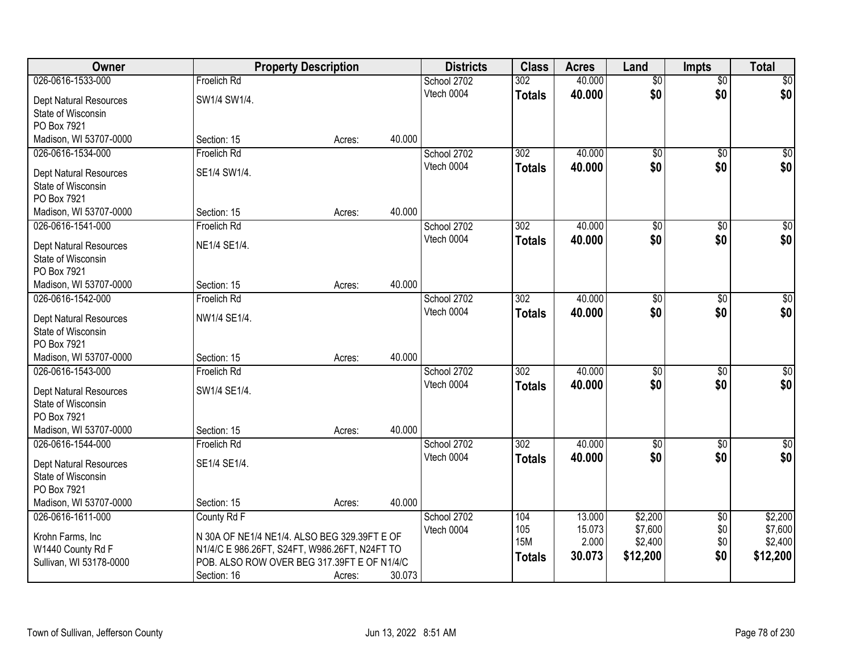| Owner                         | <b>Property Description</b>                   |        |        | <b>Districts</b> | <b>Class</b>     | <b>Acres</b> | Land            | <b>Impts</b>    | <b>Total</b>    |
|-------------------------------|-----------------------------------------------|--------|--------|------------------|------------------|--------------|-----------------|-----------------|-----------------|
| 026-0616-1533-000             | <b>Froelich Rd</b>                            |        |        | School 2702      | $\overline{302}$ | 40.000       | $\overline{50}$ | $\overline{50}$ | $\overline{50}$ |
| Dept Natural Resources        | SW1/4 SW1/4.                                  |        |        | Vtech 0004       | <b>Totals</b>    | 40.000       | \$0             | \$0             | \$0             |
| State of Wisconsin            |                                               |        |        |                  |                  |              |                 |                 |                 |
| PO Box 7921                   |                                               |        |        |                  |                  |              |                 |                 |                 |
| Madison, WI 53707-0000        | Section: 15                                   | Acres: | 40.000 |                  |                  |              |                 |                 |                 |
| 026-0616-1534-000             | Froelich Rd                                   |        |        | School 2702      | $\overline{302}$ | 40.000       | $\overline{50}$ | $\overline{50}$ | $\overline{30}$ |
| <b>Dept Natural Resources</b> | SE1/4 SW1/4.                                  |        |        | Vtech 0004       | <b>Totals</b>    | 40.000       | \$0             | \$0             | \$0             |
| State of Wisconsin            |                                               |        |        |                  |                  |              |                 |                 |                 |
| PO Box 7921                   |                                               |        |        |                  |                  |              |                 |                 |                 |
| Madison, WI 53707-0000        | Section: 15                                   | Acres: | 40.000 |                  |                  |              |                 |                 |                 |
| 026-0616-1541-000             | Froelich Rd                                   |        |        | School 2702      | 302              | 40.000       | $\overline{50}$ | $\overline{50}$ | $\overline{50}$ |
| <b>Dept Natural Resources</b> | NE1/4 SE1/4.                                  |        |        | Vtech 0004       | <b>Totals</b>    | 40.000       | \$0             | \$0             | \$0             |
| State of Wisconsin            |                                               |        |        |                  |                  |              |                 |                 |                 |
| PO Box 7921                   |                                               |        |        |                  |                  |              |                 |                 |                 |
| Madison, WI 53707-0000        | Section: 15                                   | Acres: | 40.000 |                  |                  |              |                 |                 |                 |
| 026-0616-1542-000             | Froelich Rd                                   |        |        | School 2702      | 302              | 40.000       | \$0             | \$0             | \$0             |
| <b>Dept Natural Resources</b> | NW1/4 SE1/4.                                  |        |        | Vtech 0004       | <b>Totals</b>    | 40.000       | \$0             | \$0             | \$0             |
| State of Wisconsin            |                                               |        |        |                  |                  |              |                 |                 |                 |
| PO Box 7921                   |                                               |        |        |                  |                  |              |                 |                 |                 |
| Madison, WI 53707-0000        | Section: 15                                   | Acres: | 40.000 |                  |                  |              |                 |                 |                 |
| 026-0616-1543-000             | Froelich Rd                                   |        |        | School 2702      | $\overline{302}$ | 40.000       | $\overline{50}$ | $\overline{50}$ | \$0             |
| Dept Natural Resources        | SW1/4 SE1/4.                                  |        |        | Vtech 0004       | <b>Totals</b>    | 40.000       | \$0             | \$0             | \$0             |
| State of Wisconsin            |                                               |        |        |                  |                  |              |                 |                 |                 |
| PO Box 7921                   |                                               |        |        |                  |                  |              |                 |                 |                 |
| Madison, WI 53707-0000        | Section: 15                                   | Acres: | 40.000 |                  |                  |              |                 |                 |                 |
| 026-0616-1544-000             | Froelich Rd                                   |        |        | School 2702      | 302              | 40.000       | $\sqrt{$0}$     | $\sqrt{6}$      | \$0             |
| Dept Natural Resources        | SE1/4 SE1/4.                                  |        |        | Vtech 0004       | <b>Totals</b>    | 40,000       | \$0             | \$0             | \$0             |
| State of Wisconsin            |                                               |        |        |                  |                  |              |                 |                 |                 |
| PO Box 7921                   |                                               |        |        |                  |                  |              |                 |                 |                 |
| Madison, WI 53707-0000        | Section: 15                                   | Acres: | 40.000 |                  |                  |              |                 |                 |                 |
| 026-0616-1611-000             | County Rd F                                   |        |        | School 2702      | 104              | 13.000       | \$2,200         | $\sqrt{6}$      | \$2,200         |
| Krohn Farms, Inc              | N 30A OF NE1/4 NE1/4. ALSO BEG 329.39FT E OF  |        |        | Vtech 0004       | 105              | 15.073       | \$7,600         | \$0             | \$7,600         |
| W1440 County Rd F             | N1/4/C E 986.26FT, S24FT, W986.26FT, N24FT TO |        |        |                  | <b>15M</b>       | 2.000        | \$2,400         | \$0             | \$2,400         |
| Sullivan, WI 53178-0000       | POB. ALSO ROW OVER BEG 317.39FT E OF N1/4/C   |        |        |                  | <b>Totals</b>    | 30.073       | \$12,200        | \$0             | \$12,200        |
|                               | Section: 16                                   | Acres: | 30.073 |                  |                  |              |                 |                 |                 |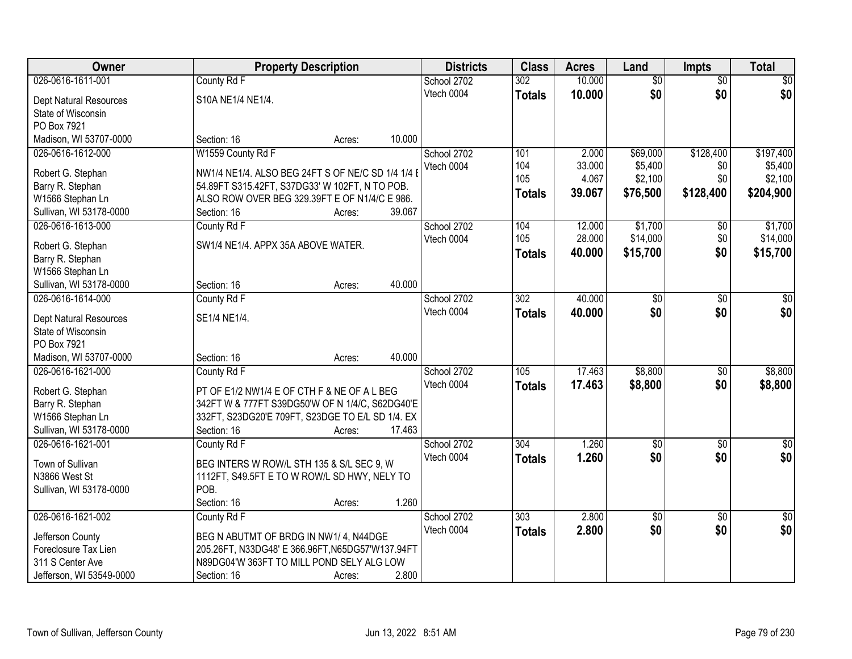| Owner                                               | <b>Property Description</b>                       |        |        | <b>Districts</b> | <b>Class</b>     | <b>Acres</b> | Land            | <b>Impts</b>        | <b>Total</b>     |
|-----------------------------------------------------|---------------------------------------------------|--------|--------|------------------|------------------|--------------|-----------------|---------------------|------------------|
| 026-0616-1611-001                                   | County Rd F                                       |        |        | School 2702      | $\overline{302}$ | 10.000       | $\overline{60}$ | $\overline{50}$     | \$0              |
| Dept Natural Resources                              | S10A NE1/4 NE1/4.                                 |        |        | Vtech 0004       | <b>Totals</b>    | 10.000       | \$0             | \$0                 | \$0              |
| State of Wisconsin                                  |                                                   |        |        |                  |                  |              |                 |                     |                  |
| PO Box 7921                                         |                                                   |        |        |                  |                  |              |                 |                     |                  |
| Madison, WI 53707-0000                              | Section: 16                                       | Acres: | 10.000 |                  |                  |              |                 |                     |                  |
| 026-0616-1612-000                                   | W1559 County Rd F                                 |        |        | School 2702      | 101              | 2.000        | \$69,000        | \$128,400           | \$197,400        |
|                                                     |                                                   |        |        | Vtech 0004       | 104              | 33.000       | \$5,400         | \$0                 | \$5,400          |
| Robert G. Stephan                                   | NW1/4 NE1/4. ALSO BEG 24FT S OF NE/C SD 1/4 1/4 B |        |        |                  | 105              | 4.067        | \$2,100         | \$0                 | \$2,100          |
| Barry R. Stephan                                    | 54.89FT S315.42FT, S37DG33' W 102FT, N TO POB.    |        |        |                  | <b>Totals</b>    | 39.067       | \$76,500        | \$128,400           | \$204,900        |
| W1566 Stephan Ln                                    | ALSO ROW OVER BEG 329.39FT E OF N1/4/C E 986.     |        | 39.067 |                  |                  |              |                 |                     |                  |
| Sullivan, WI 53178-0000<br>026-0616-1613-000        | Section: 16                                       | Acres: |        | School 2702      | 104              | 12.000       | \$1,700         |                     | \$1,700          |
|                                                     | County Rd F                                       |        |        |                  | 105              | 28.000       | \$14,000        | $\sqrt[6]{}$<br>\$0 |                  |
| Robert G. Stephan                                   | SW1/4 NE1/4, APPX 35A ABOVE WATER.                |        |        | Vtech 0004       |                  |              |                 |                     | \$14,000         |
| Barry R. Stephan                                    |                                                   |        |        |                  | <b>Totals</b>    | 40.000       | \$15,700        | \$0                 | \$15,700         |
| W1566 Stephan Ln                                    |                                                   |        |        |                  |                  |              |                 |                     |                  |
| Sullivan, WI 53178-0000                             | Section: 16                                       | Acres: | 40.000 |                  |                  |              |                 |                     |                  |
| 026-0616-1614-000                                   | County Rd F                                       |        |        | School 2702      | $\overline{302}$ | 40.000       | $\overline{60}$ | \$0                 | $\sqrt{50}$      |
|                                                     | SE1/4 NE1/4.                                      |        |        | Vtech 0004       | <b>Totals</b>    | 40.000       | \$0             | \$0                 | \$0              |
| <b>Dept Natural Resources</b><br>State of Wisconsin |                                                   |        |        |                  |                  |              |                 |                     |                  |
| PO Box 7921                                         |                                                   |        |        |                  |                  |              |                 |                     |                  |
| Madison, WI 53707-0000                              | Section: 16                                       | Acres: | 40.000 |                  |                  |              |                 |                     |                  |
| 026-0616-1621-000                                   | County Rd F                                       |        |        | School 2702      | $\overline{105}$ | 17.463       | \$8,800         | \$0                 | \$8,800          |
|                                                     |                                                   |        |        | Vtech 0004       |                  | 17.463       | \$8,800         | \$0                 |                  |
| Robert G. Stephan                                   | PT OF E1/2 NW1/4 E OF CTH F & NE OF A L BEG       |        |        |                  | <b>Totals</b>    |              |                 |                     | \$8,800          |
| Barry R. Stephan                                    | 342FT W & 777FT S39DG50'W OF N 1/4/C, S62DG40'E   |        |        |                  |                  |              |                 |                     |                  |
| W1566 Stephan Ln                                    | 332FT, S23DG20'E 709FT, S23DGE TO E/L SD 1/4. EX  |        |        |                  |                  |              |                 |                     |                  |
| Sullivan, WI 53178-0000                             | Section: 16                                       | Acres: | 17.463 |                  |                  |              |                 |                     |                  |
| 026-0616-1621-001                                   | County Rd F                                       |        |        | School 2702      | $\overline{304}$ | 1.260        | $\overline{50}$ | $\overline{50}$     | $\overline{\$0}$ |
| Town of Sullivan                                    | BEG INTERS W ROW/L STH 135 & S/L SEC 9, W         |        |        | Vtech 0004       | <b>Totals</b>    | 1.260        | \$0             | \$0                 | \$0              |
| N3866 West St                                       | 1112FT, S49.5FT E TO W ROW/L SD HWY, NELY TO      |        |        |                  |                  |              |                 |                     |                  |
| Sullivan, WI 53178-0000                             | POB.                                              |        |        |                  |                  |              |                 |                     |                  |
|                                                     | Section: 16                                       | Acres: | 1.260  |                  |                  |              |                 |                     |                  |
| 026-0616-1621-002                                   | County Rd F                                       |        |        | School 2702      | 303              | 2.800        | $\overline{60}$ | $\overline{50}$     | $\overline{50}$  |
|                                                     |                                                   |        |        | Vtech 0004       | <b>Totals</b>    | 2.800        | \$0             | \$0                 | \$0              |
| Jefferson County                                    | BEG N ABUTMT OF BRDG IN NW1/4, N44DGE             |        |        |                  |                  |              |                 |                     |                  |
| Foreclosure Tax Lien                                | 205.26FT, N33DG48' E 366.96FT, N65DG57'W137.94FT  |        |        |                  |                  |              |                 |                     |                  |
| 311 S Center Ave                                    | N89DG04'W 363FT TO MILL POND SELY ALG LOW         |        |        |                  |                  |              |                 |                     |                  |
| Jefferson, WI 53549-0000                            | Section: 16                                       | Acres: | 2.800  |                  |                  |              |                 |                     |                  |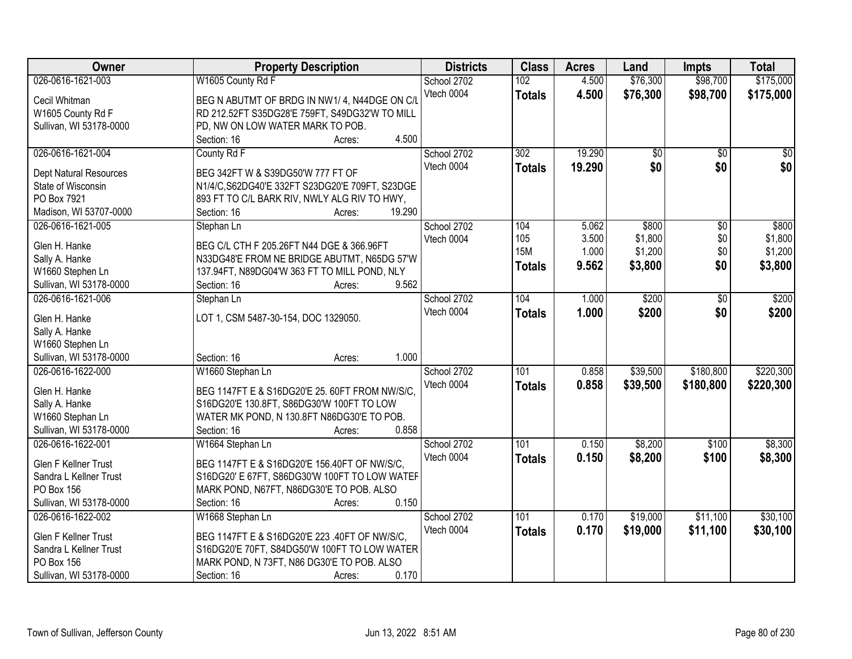| Owner                         | <b>Property Description</b>                     | <b>Districts</b> | <b>Class</b>  | <b>Acres</b> | Land            | <b>Impts</b>    | <b>Total</b>    |
|-------------------------------|-------------------------------------------------|------------------|---------------|--------------|-----------------|-----------------|-----------------|
| 026-0616-1621-003             | W1605 County Rd F                               | School 2702      | 102           | 4.500        | \$76,300        | \$98,700        | \$175,000       |
| Cecil Whitman                 | BEG N ABUTMT OF BRDG IN NW1/4, N44DGE ON C/L    | Vtech 0004       | <b>Totals</b> | 4.500        | \$76,300        | \$98,700        | \$175,000       |
| W1605 County Rd F             | RD 212.52FT S35DG28'E 759FT, S49DG32'W TO MILL  |                  |               |              |                 |                 |                 |
| Sullivan, WI 53178-0000       | PD, NW ON LOW WATER MARK TO POB.                |                  |               |              |                 |                 |                 |
|                               | 4.500<br>Section: 16<br>Acres:                  |                  |               |              |                 |                 |                 |
| 026-0616-1621-004             | County Rd F                                     | School 2702      | 302           | 19.290       | $\overline{50}$ | $\overline{30}$ | $\overline{30}$ |
|                               |                                                 | Vtech 0004       | <b>Totals</b> | 19.290       | \$0             | \$0             | \$0             |
| <b>Dept Natural Resources</b> | BEG 342FT W & S39DG50'W 777 FT OF               |                  |               |              |                 |                 |                 |
| State of Wisconsin            | N1/4/C, S62DG40'E 332FT S23DG20'E 709FT, S23DGE |                  |               |              |                 |                 |                 |
| PO Box 7921                   | 893 FT TO C/L BARK RIV, NWLY ALG RIV TO HWY,    |                  |               |              |                 |                 |                 |
| Madison, WI 53707-0000        | 19.290<br>Section: 16<br>Acres:                 |                  |               |              |                 |                 |                 |
| 026-0616-1621-005             | Stephan Ln                                      | School 2702      | 104           | 5.062        | \$800           | \$0             | \$800           |
| Glen H. Hanke                 | BEG C/L CTH F 205.26FT N44 DGE & 366.96FT       | Vtech 0004       | 105           | 3.500        | \$1,800         | \$0             | \$1,800         |
| Sally A. Hanke                | N33DG48'E FROM NE BRIDGE ABUTMT, N65DG 57'W     |                  | <b>15M</b>    | 1.000        | \$1,200         | \$0             | \$1,200         |
|                               |                                                 |                  | <b>Totals</b> | 9.562        | \$3,800         | \$0             | \$3,800         |
| W1660 Stephen Ln              | 137.94FT, N89DG04'W 363 FT TO MILL POND, NLY    |                  |               |              |                 |                 |                 |
| Sullivan, WI 53178-0000       | 9.562<br>Section: 16<br>Acres:                  |                  |               |              |                 |                 |                 |
| 026-0616-1621-006             | Stephan Ln                                      | School 2702      | 104           | 1.000        | \$200           | \$0             | \$200           |
| Glen H. Hanke                 | LOT 1, CSM 5487-30-154, DOC 1329050.            | Vtech 0004       | <b>Totals</b> | 1.000        | \$200           | \$0             | \$200           |
| Sally A. Hanke                |                                                 |                  |               |              |                 |                 |                 |
| W1660 Stephen Ln              |                                                 |                  |               |              |                 |                 |                 |
| Sullivan, WI 53178-0000       | 1.000<br>Section: 16<br>Acres:                  |                  |               |              |                 |                 |                 |
| 026-0616-1622-000             | W1660 Stephan Ln                                | School 2702      | 101           | 0.858        | \$39,500        | \$180,800       | \$220,300       |
|                               |                                                 | Vtech 0004       |               |              |                 |                 |                 |
| Glen H. Hanke                 | BEG 1147FT E & S16DG20'E 25. 60FT FROM NW/S/C.  |                  | <b>Totals</b> | 0.858        | \$39,500        | \$180,800       | \$220,300       |
| Sally A. Hanke                | S16DG20'E 130.8FT, S86DG30'W 100FT TO LOW       |                  |               |              |                 |                 |                 |
| W1660 Stephan Ln              | WATER MK POND, N 130.8FT N86DG30'E TO POB.      |                  |               |              |                 |                 |                 |
| Sullivan, WI 53178-0000       | 0.858<br>Section: 16<br>Acres:                  |                  |               |              |                 |                 |                 |
| 026-0616-1622-001             | W1664 Stephan Ln                                | School 2702      | 101           | 0.150        | \$8,200         | \$100           | \$8,300         |
|                               |                                                 | Vtech 0004       | <b>Totals</b> | 0.150        | \$8,200         | \$100           | \$8,300         |
| Glen F Kellner Trust          | BEG 1147FT E & S16DG20'E 156.40FT OF NW/S/C,    |                  |               |              |                 |                 |                 |
| Sandra L Kellner Trust        | S16DG20' E 67FT, S86DG30'W 100FT TO LOW WATEF   |                  |               |              |                 |                 |                 |
| PO Box 156                    | MARK POND, N67FT, N86DG30'E TO POB. ALSO        |                  |               |              |                 |                 |                 |
| Sullivan, WI 53178-0000       | 0.150<br>Section: 16<br>Acres:                  |                  |               |              |                 |                 |                 |
| 026-0616-1622-002             | W1668 Stephan Ln                                | School 2702      | 101           | 0.170        | \$19,000        | \$11,100        | \$30,100        |
| Glen F Kellner Trust          | BEG 1147FT E & S16DG20'E 223 .40FT OF NW/S/C.   | Vtech 0004       | <b>Totals</b> | 0.170        | \$19,000        | \$11,100        | \$30,100        |
| Sandra L Kellner Trust        | S16DG20'E 70FT, S84DG50'W 100FT TO LOW WATER    |                  |               |              |                 |                 |                 |
| PO Box 156                    | MARK POND, N 73FT, N86 DG30'E TO POB. ALSO      |                  |               |              |                 |                 |                 |
| Sullivan, WI 53178-0000       | 0.170<br>Section: 16<br>Acres:                  |                  |               |              |                 |                 |                 |
|                               |                                                 |                  |               |              |                 |                 |                 |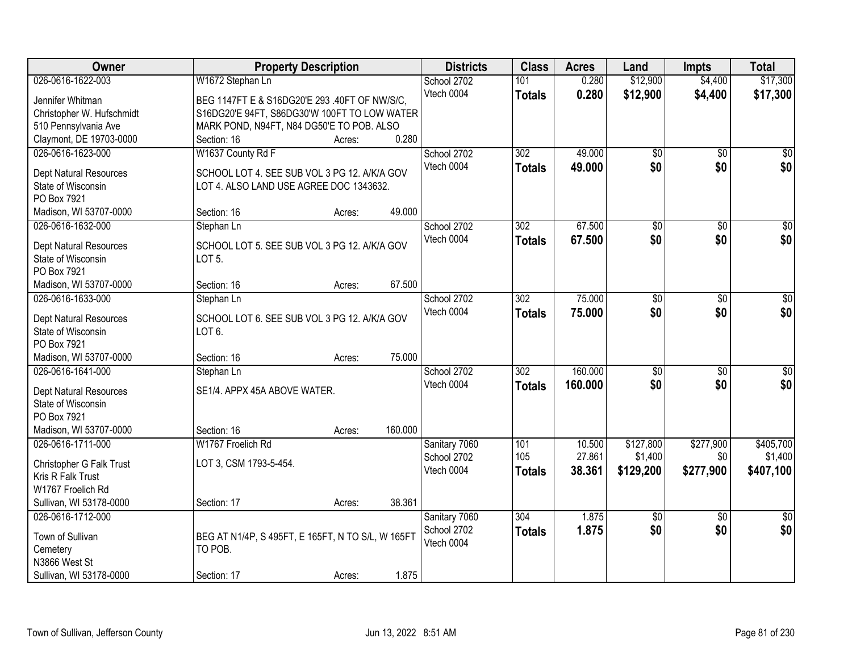| <b>Owner</b>                                 | <b>Property Description</b>                                                             |         | <b>Districts</b>             | <b>Class</b>     | <b>Acres</b> | Land               | <b>Impts</b>           | <b>Total</b>           |
|----------------------------------------------|-----------------------------------------------------------------------------------------|---------|------------------------------|------------------|--------------|--------------------|------------------------|------------------------|
| 026-0616-1622-003                            | W1672 Stephan Ln                                                                        |         | School 2702                  | 101              | 0.280        | \$12,900           | \$4,400                | \$17,300               |
| Jennifer Whitman                             | BEG 1147FT E & S16DG20'E 293 .40FT OF NW/S/C.                                           |         | Vtech 0004                   | <b>Totals</b>    | 0.280        | \$12,900           | \$4,400                | \$17,300               |
| Christopher W. Hufschmidt                    | S16DG20'E 94FT, S86DG30'W 100FT TO LOW WATER                                            |         |                              |                  |              |                    |                        |                        |
| 510 Pennsylvania Ave                         | MARK POND, N94FT, N84 DG50'E TO POB. ALSO                                               |         |                              |                  |              |                    |                        |                        |
| Claymont, DE 19703-0000                      | Section: 16<br>Acres:                                                                   | 0.280   |                              |                  |              |                    |                        |                        |
| 026-0616-1623-000                            | W1637 County Rd F                                                                       |         | School 2702                  | 302              | 49.000       | $\overline{60}$    | $\overline{50}$        | \$0                    |
|                                              |                                                                                         |         | Vtech 0004                   | <b>Totals</b>    | 49.000       | \$0                | \$0                    | \$0                    |
| Dept Natural Resources<br>State of Wisconsin | SCHOOL LOT 4. SEE SUB VOL 3 PG 12. A/K/A GOV<br>LOT 4. ALSO LAND USE AGREE DOC 1343632. |         |                              |                  |              |                    |                        |                        |
| PO Box 7921                                  |                                                                                         |         |                              |                  |              |                    |                        |                        |
| Madison, WI 53707-0000                       | Section: 16<br>Acres:                                                                   | 49.000  |                              |                  |              |                    |                        |                        |
| 026-0616-1632-000                            | Stephan Ln                                                                              |         | School 2702                  | 302              | 67.500       | $\overline{60}$    | $\overline{50}$        | $\overline{50}$        |
|                                              |                                                                                         |         | Vtech 0004                   | <b>Totals</b>    | 67.500       | \$0                | \$0                    | \$0                    |
| <b>Dept Natural Resources</b>                | SCHOOL LOT 5. SEE SUB VOL 3 PG 12. A/K/A GOV                                            |         |                              |                  |              |                    |                        |                        |
| State of Wisconsin                           | LOT <sub>5</sub> .                                                                      |         |                              |                  |              |                    |                        |                        |
| PO Box 7921                                  |                                                                                         |         |                              |                  |              |                    |                        |                        |
| Madison, WI 53707-0000                       | Section: 16<br>Acres:                                                                   | 67.500  |                              |                  |              |                    |                        |                        |
| 026-0616-1633-000                            | Stephan Ln                                                                              |         | School 2702                  | 302              | 75.000       | \$0                | \$0                    | \$0                    |
| Dept Natural Resources                       | SCHOOL LOT 6. SEE SUB VOL 3 PG 12. A/K/A GOV                                            |         | Vtech 0004                   | <b>Totals</b>    | 75.000       | \$0                | \$0                    | \$0                    |
| State of Wisconsin                           | LOT <sub>6</sub> .                                                                      |         |                              |                  |              |                    |                        |                        |
| PO Box 7921                                  |                                                                                         |         |                              |                  |              |                    |                        |                        |
| Madison, WI 53707-0000                       | Section: 16<br>Acres:                                                                   | 75.000  |                              |                  |              |                    |                        |                        |
| 026-0616-1641-000                            | Stephan Ln                                                                              |         | School 2702                  | $\overline{302}$ | 160,000      | $\overline{50}$    | $\overline{50}$        | \$0                    |
| Dept Natural Resources                       | SE1/4. APPX 45A ABOVE WATER.                                                            |         | Vtech 0004                   | <b>Totals</b>    | 160,000      | \$0                | \$0                    | \$0                    |
| State of Wisconsin                           |                                                                                         |         |                              |                  |              |                    |                        |                        |
| PO Box 7921                                  |                                                                                         |         |                              |                  |              |                    |                        |                        |
| Madison, WI 53707-0000                       | Section: 16<br>Acres:                                                                   | 160.000 |                              |                  |              |                    |                        |                        |
| 026-0616-1711-000                            | W1767 Froelich Rd                                                                       |         | Sanitary 7060                | 101              | 10.500       | \$127,800          | \$277,900              | \$405,700              |
|                                              |                                                                                         |         | School 2702                  | 105              | 27.861       | \$1,400            | \$0                    | \$1,400                |
| Christopher G Falk Trust                     | LOT 3, CSM 1793-5-454.                                                                  |         | Vtech 0004                   | <b>Totals</b>    | 38.361       | \$129,200          | \$277,900              | \$407,100              |
| Kris R Falk Trust                            |                                                                                         |         |                              |                  |              |                    |                        |                        |
| W1767 Froelich Rd                            |                                                                                         | 38.361  |                              |                  |              |                    |                        |                        |
| Sullivan, WI 53178-0000<br>026-0616-1712-000 | Section: 17<br>Acres:                                                                   |         |                              | 304              | 1.875        |                    |                        |                        |
|                                              |                                                                                         |         | Sanitary 7060<br>School 2702 |                  |              | $\sqrt{$0}$<br>\$0 | $\overline{30}$<br>\$0 | $\overline{50}$<br>\$0 |
| Town of Sullivan                             | BEG AT N1/4P, S 495FT, E 165FT, N TO S/L, W 165FT                                       |         | Vtech 0004                   | <b>Totals</b>    | 1.875        |                    |                        |                        |
| Cemetery                                     | TO POB.                                                                                 |         |                              |                  |              |                    |                        |                        |
| N3866 West St                                |                                                                                         |         |                              |                  |              |                    |                        |                        |
| Sullivan, WI 53178-0000                      | Section: 17<br>Acres:                                                                   | 1.875   |                              |                  |              |                    |                        |                        |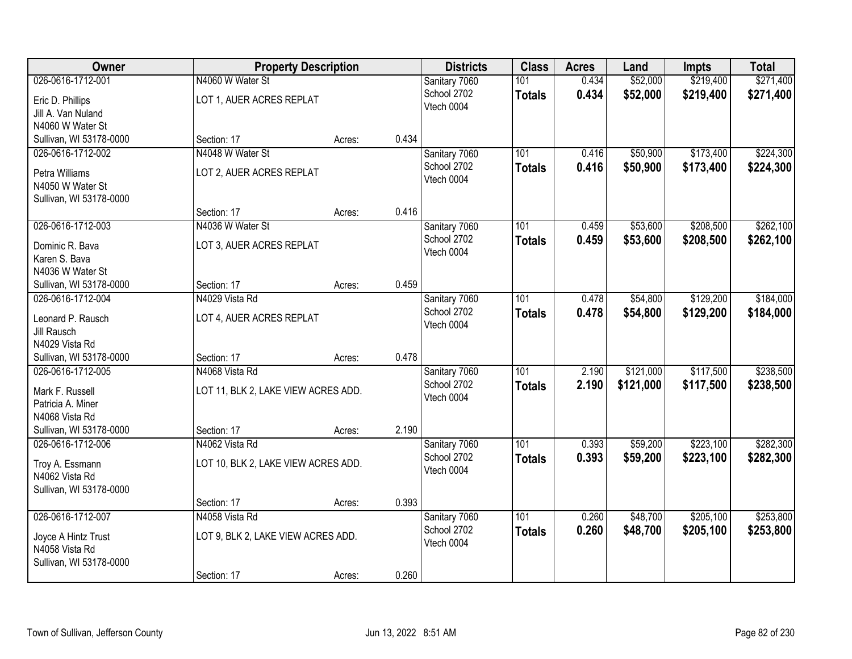| Owner                                 | <b>Property Description</b>         |        | <b>Districts</b> | <b>Class</b>  | <b>Acres</b>  | Land  | <b>Impts</b> | <b>Total</b> |           |
|---------------------------------------|-------------------------------------|--------|------------------|---------------|---------------|-------|--------------|--------------|-----------|
| 026-0616-1712-001                     | N4060 W Water St                    |        |                  | Sanitary 7060 | 101           | 0.434 | \$52,000     | \$219,400    | \$271,400 |
| Eric D. Phillips                      | LOT 1, AUER ACRES REPLAT            |        |                  | School 2702   | <b>Totals</b> | 0.434 | \$52,000     | \$219,400    | \$271,400 |
| Jill A. Van Nuland                    |                                     |        |                  | Vtech 0004    |               |       |              |              |           |
| N4060 W Water St                      |                                     |        |                  |               |               |       |              |              |           |
| Sullivan, WI 53178-0000               | Section: 17                         | Acres: | 0.434            |               |               |       |              |              |           |
| 026-0616-1712-002                     | N4048 W Water St                    |        |                  | Sanitary 7060 | 101           | 0.416 | \$50,900     | \$173,400    | \$224,300 |
| Petra Williams                        | LOT 2, AUER ACRES REPLAT            |        |                  | School 2702   | <b>Totals</b> | 0.416 | \$50,900     | \$173,400    | \$224,300 |
| N4050 W Water St                      |                                     |        |                  | Vtech 0004    |               |       |              |              |           |
| Sullivan, WI 53178-0000               |                                     |        |                  |               |               |       |              |              |           |
|                                       | Section: 17                         | Acres: | 0.416            |               |               |       |              |              |           |
| 026-0616-1712-003                     | N4036 W Water St                    |        |                  | Sanitary 7060 | 101           | 0.459 | \$53,600     | \$208,500    | \$262,100 |
| Dominic R. Bava                       | LOT 3, AUER ACRES REPLAT            |        |                  | School 2702   | <b>Totals</b> | 0.459 | \$53,600     | \$208,500    | \$262,100 |
| Karen S. Bava                         |                                     |        |                  | Vtech 0004    |               |       |              |              |           |
| N4036 W Water St                      |                                     |        |                  |               |               |       |              |              |           |
| Sullivan, WI 53178-0000               | Section: 17                         | Acres: | 0.459            |               |               |       |              |              |           |
| 026-0616-1712-004                     | N4029 Vista Rd                      |        |                  | Sanitary 7060 | 101           | 0.478 | \$54,800     | \$129,200    | \$184,000 |
| Leonard P. Rausch                     | LOT 4, AUER ACRES REPLAT            |        |                  | School 2702   | <b>Totals</b> | 0.478 | \$54,800     | \$129,200    | \$184,000 |
| Jill Rausch                           |                                     |        |                  | Vtech 0004    |               |       |              |              |           |
| N4029 Vista Rd                        |                                     |        |                  |               |               |       |              |              |           |
| Sullivan, WI 53178-0000               | Section: 17                         | Acres: | 0.478            |               |               |       |              |              |           |
| 026-0616-1712-005                     | N4068 Vista Rd                      |        |                  | Sanitary 7060 | 101           | 2.190 | \$121,000    | \$117,500    | \$238,500 |
| Mark F. Russell                       | LOT 11, BLK 2, LAKE VIEW ACRES ADD. |        |                  | School 2702   | <b>Totals</b> | 2.190 | \$121,000    | \$117,500    | \$238,500 |
| Patricia A. Miner                     |                                     |        |                  | Vtech 0004    |               |       |              |              |           |
| N4068 Vista Rd                        |                                     |        |                  |               |               |       |              |              |           |
| Sullivan, WI 53178-0000               | Section: 17                         | Acres: | 2.190            |               |               |       |              |              |           |
| 026-0616-1712-006                     | N4062 Vista Rd                      |        |                  | Sanitary 7060 | 101           | 0.393 | \$59,200     | \$223,100    | \$282,300 |
| Troy A. Essmann                       | LOT 10, BLK 2, LAKE VIEW ACRES ADD. |        |                  | School 2702   | <b>Totals</b> | 0.393 | \$59,200     | \$223,100    | \$282,300 |
| N4062 Vista Rd                        |                                     |        |                  | Vtech 0004    |               |       |              |              |           |
| Sullivan, WI 53178-0000               |                                     |        |                  |               |               |       |              |              |           |
|                                       | Section: 17                         | Acres: | 0.393            |               |               |       |              |              |           |
| 026-0616-1712-007                     | N4058 Vista Rd                      |        |                  | Sanitary 7060 | 101           | 0.260 | \$48,700     | \$205,100    | \$253,800 |
|                                       |                                     |        |                  | School 2702   | <b>Totals</b> | 0.260 | \$48,700     | \$205,100    | \$253,800 |
| Joyce A Hintz Trust<br>N4058 Vista Rd | LOT 9, BLK 2, LAKE VIEW ACRES ADD.  |        |                  | Vtech 0004    |               |       |              |              |           |
| Sullivan, WI 53178-0000               |                                     |        |                  |               |               |       |              |              |           |
|                                       | Section: 17                         | Acres: | 0.260            |               |               |       |              |              |           |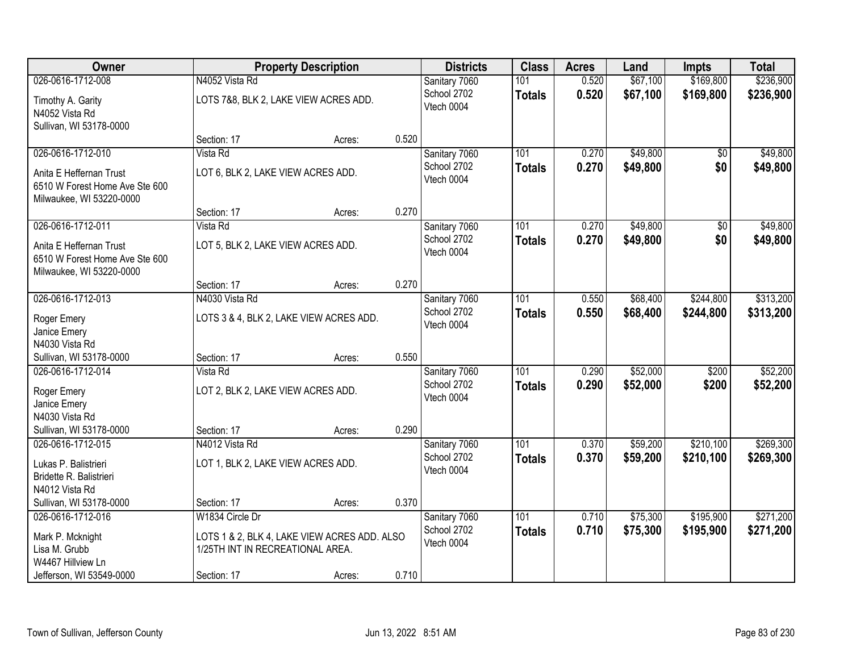| Owner                                                                                 |                                       | <b>Property Description</b>                  |       | <b>Districts</b>          | <b>Class</b>  | <b>Acres</b> | Land     | <b>Impts</b>  | <b>Total</b> |
|---------------------------------------------------------------------------------------|---------------------------------------|----------------------------------------------|-------|---------------------------|---------------|--------------|----------|---------------|--------------|
| 026-0616-1712-008                                                                     | N4052 Vista Rd                        |                                              |       | Sanitary 7060             | 101           | 0.520        | \$67,100 | \$169,800     | \$236,900    |
| Timothy A. Garity<br>N4052 Vista Rd                                                   | LOTS 7&8, BLK 2, LAKE VIEW ACRES ADD. |                                              |       | School 2702<br>Vtech 0004 | <b>Totals</b> | 0.520        | \$67,100 | \$169,800     | \$236,900    |
| Sullivan, WI 53178-0000                                                               | Section: 17                           | Acres:                                       | 0.520 |                           |               |              |          |               |              |
| 026-0616-1712-010                                                                     | Vista Rd                              |                                              |       | Sanitary 7060             | 101           | 0.270        | \$49,800 | \$0           | \$49,800     |
|                                                                                       |                                       |                                              |       | School 2702               | <b>Totals</b> | 0.270        | \$49,800 | \$0           | \$49,800     |
| Anita E Heffernan Trust<br>6510 W Forest Home Ave Ste 600<br>Milwaukee, WI 53220-0000 | LOT 6, BLK 2, LAKE VIEW ACRES ADD.    |                                              |       | Vtech 0004                |               |              |          |               |              |
|                                                                                       | Section: 17                           | Acres:                                       | 0.270 |                           |               |              |          |               |              |
| 026-0616-1712-011                                                                     | Vista Rd                              |                                              |       | Sanitary 7060             | 101           | 0.270        | \$49,800 | $\sqrt[6]{3}$ | \$49,800     |
| Anita E Heffernan Trust<br>6510 W Forest Home Ave Ste 600<br>Milwaukee, WI 53220-0000 | LOT 5, BLK 2, LAKE VIEW ACRES ADD.    |                                              |       | School 2702<br>Vtech 0004 | <b>Totals</b> | 0.270        | \$49,800 | \$0           | \$49,800     |
|                                                                                       | Section: 17                           | Acres:                                       | 0.270 |                           |               |              |          |               |              |
| 026-0616-1712-013                                                                     | N4030 Vista Rd                        |                                              |       | Sanitary 7060             | 101           | 0.550        | \$68,400 | \$244,800     | \$313,200    |
| Roger Emery<br>Janice Emery                                                           |                                       | LOTS 3 & 4, BLK 2, LAKE VIEW ACRES ADD.      |       | School 2702<br>Vtech 0004 | <b>Totals</b> | 0.550        | \$68,400 | \$244,800     | \$313,200    |
| N4030 Vista Rd                                                                        |                                       |                                              |       |                           |               |              |          |               |              |
| Sullivan, WI 53178-0000                                                               | Section: 17                           | Acres:                                       | 0.550 |                           |               |              |          |               |              |
| 026-0616-1712-014                                                                     | Vista Rd                              |                                              |       | Sanitary 7060             | 101           | 0.290        | \$52,000 | \$200         | \$52,200     |
| Roger Emery                                                                           | LOT 2, BLK 2, LAKE VIEW ACRES ADD.    |                                              |       | School 2702               | <b>Totals</b> | 0.290        | \$52,000 | \$200         | \$52,200     |
| Janice Emery                                                                          |                                       |                                              |       | Vtech 0004                |               |              |          |               |              |
| N4030 Vista Rd                                                                        |                                       |                                              |       |                           |               |              |          |               |              |
| Sullivan, WI 53178-0000                                                               | Section: 17                           | Acres:                                       | 0.290 |                           |               |              |          |               |              |
| 026-0616-1712-015                                                                     | N4012 Vista Rd                        |                                              |       | Sanitary 7060             | 101           | 0.370        | \$59,200 | \$210,100     | \$269,300    |
| Lukas P. Balistrieri<br>Bridette R. Balistrieri                                       | LOT 1, BLK 2, LAKE VIEW ACRES ADD.    |                                              |       | School 2702<br>Vtech 0004 | <b>Totals</b> | 0.370        | \$59,200 | \$210,100     | \$269,300    |
| N4012 Vista Rd                                                                        |                                       |                                              |       |                           |               |              |          |               |              |
| Sullivan, WI 53178-0000                                                               | Section: 17                           | Acres:                                       | 0.370 |                           |               |              |          |               |              |
| 026-0616-1712-016                                                                     | W1834 Circle Dr                       |                                              |       | Sanitary 7060             | 101           | 0.710        | \$75,300 | \$195,900     | \$271,200    |
| Mark P. Mcknight                                                                      |                                       | LOTS 1 & 2, BLK 4, LAKE VIEW ACRES ADD. ALSO |       | School 2702               | <b>Totals</b> | 0.710        | \$75,300 | \$195,900     | \$271,200    |
| Lisa M. Grubb                                                                         | 1/25TH INT IN RECREATIONAL AREA.      |                                              |       | Vtech 0004                |               |              |          |               |              |
| W4467 Hillview Ln                                                                     |                                       |                                              |       |                           |               |              |          |               |              |
| Jefferson, WI 53549-0000                                                              | Section: 17                           | Acres:                                       | 0.710 |                           |               |              |          |               |              |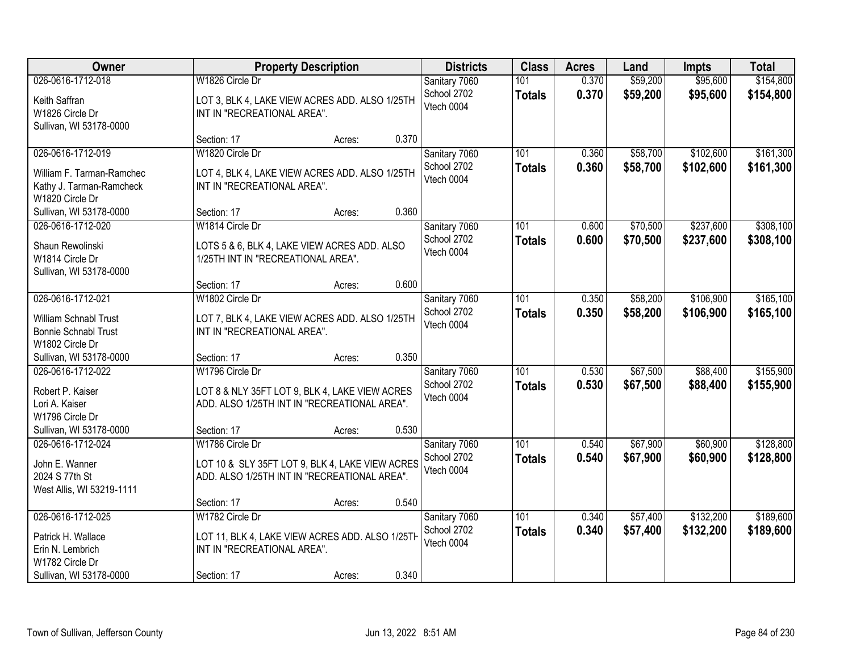| Owner                                                                                                     |                                                                                                                                  | <b>Property Description</b> |       | <b>Districts</b>                           | <b>Class</b>                      | <b>Acres</b>   | Land                 | Impts                  | <b>Total</b>           |
|-----------------------------------------------------------------------------------------------------------|----------------------------------------------------------------------------------------------------------------------------------|-----------------------------|-------|--------------------------------------------|-----------------------------------|----------------|----------------------|------------------------|------------------------|
| 026-0616-1712-018<br>Keith Saffran<br>W1826 Circle Dr<br>Sullivan, WI 53178-0000                          | W1826 Circle Dr<br>LOT 3, BLK 4, LAKE VIEW ACRES ADD. ALSO 1/25TH<br>INT IN "RECREATIONAL AREA".                                 |                             |       | Sanitary 7060<br>School 2702<br>Vtech 0004 | 101<br><b>Totals</b>              | 0.370<br>0.370 | \$59,200<br>\$59,200 | \$95,600<br>\$95,600   | \$154,800<br>\$154,800 |
|                                                                                                           | Section: 17                                                                                                                      | Acres:                      | 0.370 |                                            |                                   |                |                      |                        |                        |
| 026-0616-1712-019<br>William F. Tarman-Ramchec<br>Kathy J. Tarman-Ramcheck<br>W1820 Circle Dr             | W1820 Circle Dr<br>LOT 4, BLK 4, LAKE VIEW ACRES ADD. ALSO 1/25TH<br>INT IN "RECREATIONAL AREA".                                 |                             |       | Sanitary 7060<br>School 2702<br>Vtech 0004 | 101<br><b>Totals</b>              | 0.360<br>0.360 | \$58,700<br>\$58,700 | \$102,600<br>\$102,600 | \$161,300<br>\$161,300 |
| Sullivan, WI 53178-0000<br>026-0616-1712-020                                                              | Section: 17<br>W1814 Circle Dr                                                                                                   | Acres:                      | 0.360 |                                            |                                   | 0.600          | \$70,500             | \$237,600              | \$308,100              |
| Shaun Rewolinski<br>W1814 Circle Dr<br>Sullivan, WI 53178-0000                                            | LOTS 5 & 6, BLK 4, LAKE VIEW ACRES ADD. ALSO<br>1/25TH INT IN "RECREATIONAL AREA".                                               |                             |       | Sanitary 7060<br>School 2702<br>Vtech 0004 | 101<br><b>Totals</b>              | 0.600          | \$70,500             | \$237,600              | \$308,100              |
|                                                                                                           | Section: 17                                                                                                                      | Acres:                      | 0.600 |                                            |                                   |                |                      |                        |                        |
| 026-0616-1712-021<br>William Schnabl Trust<br><b>Bonnie Schnabl Trust</b><br>W1802 Circle Dr              | W1802 Circle Dr<br>LOT 7, BLK 4, LAKE VIEW ACRES ADD. ALSO 1/25TH<br>INT IN "RECREATIONAL AREA".                                 |                             |       | Sanitary 7060<br>School 2702<br>Vtech 0004 | 101<br><b>Totals</b>              | 0.350<br>0.350 | \$58,200<br>\$58,200 | \$106,900<br>\$106,900 | \$165,100<br>\$165,100 |
| Sullivan, WI 53178-0000                                                                                   | Section: 17                                                                                                                      | Acres:                      | 0.350 |                                            |                                   |                |                      |                        |                        |
| 026-0616-1712-022<br>Robert P. Kaiser<br>Lori A. Kaiser<br>W1796 Circle Dr<br>Sullivan, WI 53178-0000     | W1796 Circle Dr<br>LOT 8 & NLY 35FT LOT 9, BLK 4, LAKE VIEW ACRES<br>ADD. ALSO 1/25TH INT IN "RECREATIONAL AREA".<br>Section: 17 |                             | 0.530 | Sanitary 7060<br>School 2702<br>Vtech 0004 | $\overline{101}$<br><b>Totals</b> | 0.530<br>0.530 | \$67,500<br>\$67,500 | \$88,400<br>\$88,400   | \$155,900<br>\$155,900 |
| 026-0616-1712-024                                                                                         | W1786 Circle Dr                                                                                                                  | Acres:                      |       | Sanitary 7060                              | 101                               | 0.540          | \$67,900             | \$60,900               | \$128,800              |
| John E. Wanner<br>2024 S 77th St<br>West Allis, WI 53219-1111                                             | LOT 10 & SLY 35FT LOT 9, BLK 4, LAKE VIEW ACRES<br>ADD. ALSO 1/25TH INT IN "RECREATIONAL AREA".                                  |                             |       | School 2702<br>Vtech 0004                  | <b>Totals</b>                     | 0.540          | \$67,900             | \$60,900               | \$128,800              |
|                                                                                                           | Section: 17                                                                                                                      | Acres:                      | 0.540 |                                            |                                   |                |                      |                        |                        |
| 026-0616-1712-025<br>Patrick H. Wallace<br>Erin N. Lembrich<br>W1782 Circle Dr<br>Sullivan, WI 53178-0000 | W1782 Circle Dr<br>LOT 11, BLK 4, LAKE VIEW ACRES ADD. ALSO 1/25TH<br>INT IN "RECREATIONAL AREA".<br>Section: 17                 | Acres:                      | 0.340 | Sanitary 7060<br>School 2702<br>Vtech 0004 | 101<br><b>Totals</b>              | 0.340<br>0.340 | \$57,400<br>\$57,400 | \$132,200<br>\$132,200 | \$189,600<br>\$189,600 |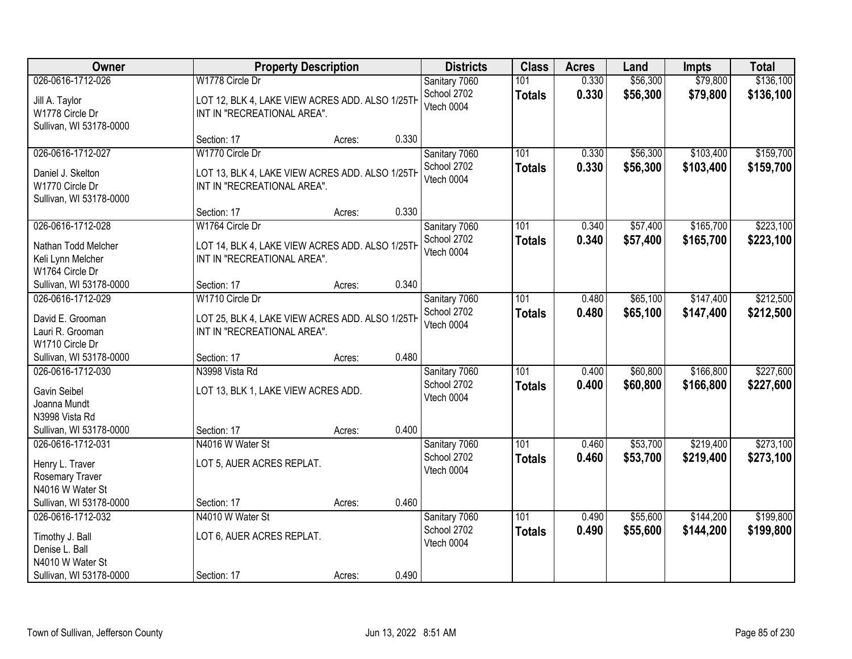| Owner                                                                                                  | <b>Property Description</b>                                                                       |                 | <b>Districts</b>                                    | <b>Class</b>         | <b>Acres</b>   | Land                 | <b>Impts</b>           | <b>Total</b>           |
|--------------------------------------------------------------------------------------------------------|---------------------------------------------------------------------------------------------------|-----------------|-----------------------------------------------------|----------------------|----------------|----------------------|------------------------|------------------------|
| 026-0616-1712-026                                                                                      | W1778 Circle Dr                                                                                   |                 | Sanitary 7060                                       | 101                  | 0.330          | \$56,300             | \$79,800               | \$136,100              |
| Jill A. Taylor<br>W1778 Circle Dr<br>Sullivan, WI 53178-0000                                           | LOT 12, BLK 4, LAKE VIEW ACRES ADD. ALSO 1/25TH<br>INT IN "RECREATIONAL AREA".                    |                 | School 2702<br>Vtech 0004                           | <b>Totals</b>        | 0.330          | \$56,300             | \$79,800               | \$136,100              |
|                                                                                                        | Section: 17                                                                                       | 0.330<br>Acres: |                                                     |                      |                |                      |                        |                        |
| 026-0616-1712-027<br>Daniel J. Skelton<br>W1770 Circle Dr<br>Sullivan, WI 53178-0000                   | W1770 Circle Dr<br>LOT 13, BLK 4, LAKE VIEW ACRES ADD. ALSO 1/25TH<br>INT IN "RECREATIONAL AREA". |                 | Sanitary 7060<br>School 2702<br>Vtech 0004          | 101<br><b>Totals</b> | 0.330<br>0.330 | \$56,300<br>\$56,300 | \$103,400<br>\$103,400 | \$159,700<br>\$159,700 |
|                                                                                                        | Section: 17                                                                                       | Acres:          | 0.330                                               |                      |                |                      |                        |                        |
| 026-0616-1712-028<br>Nathan Todd Melcher<br>Keli Lynn Melcher<br>W1764 Circle Dr                       | W1764 Circle Dr<br>LOT 14, BLK 4, LAKE VIEW ACRES ADD. ALSO 1/25TH<br>INT IN "RECREATIONAL AREA". |                 | Sanitary 7060<br>School 2702<br>Vtech 0004          | 101<br><b>Totals</b> | 0.340<br>0.340 | \$57,400<br>\$57,400 | \$165,700<br>\$165,700 | \$223,100<br>\$223,100 |
| Sullivan, WI 53178-0000                                                                                | Section: 17                                                                                       | Acres:          | 0.340                                               |                      |                |                      |                        |                        |
| 026-0616-1712-029<br>David E. Grooman<br>Lauri R. Grooman<br>W1710 Circle Dr                           | W1710 Circle Dr<br>LOT 25, BLK 4, LAKE VIEW ACRES ADD. ALSO 1/25TH<br>INT IN "RECREATIONAL AREA". |                 | Sanitary 7060<br>School 2702<br>Vtech 0004          | 101<br><b>Totals</b> | 0.480<br>0.480 | \$65,100<br>\$65,100 | \$147,400<br>\$147,400 | \$212,500<br>\$212,500 |
| Sullivan, WI 53178-0000                                                                                | Section: 17                                                                                       | 0.480<br>Acres: |                                                     |                      |                |                      |                        |                        |
| 026-0616-1712-030<br>Gavin Seibel<br>Joanna Mundt<br>N3998 Vista Rd<br>Sullivan, WI 53178-0000         | N3998 Vista Rd<br>LOT 13, BLK 1, LAKE VIEW ACRES ADD.<br>Section: 17                              | Acres:          | Sanitary 7060<br>School 2702<br>Vtech 0004<br>0.400 | 101<br><b>Totals</b> | 0.400<br>0.400 | \$60,800<br>\$60,800 | \$166,800<br>\$166,800 | \$227,600<br>\$227,600 |
| 026-0616-1712-031<br>Henry L. Traver<br>Rosemary Traver<br>N4016 W Water St<br>Sullivan, WI 53178-0000 | N4016 W Water St<br>LOT 5, AUER ACRES REPLAT.<br>Section: 17                                      | Acres:          | Sanitary 7060<br>School 2702<br>Vtech 0004<br>0.460 | 101<br><b>Totals</b> | 0.460<br>0.460 | \$53,700<br>\$53,700 | \$219,400<br>\$219,400 | \$273,100<br>\$273,100 |
| 026-0616-1712-032                                                                                      | N4010 W Water St                                                                                  |                 | Sanitary 7060                                       | 101                  | 0.490          | \$55,600             | \$144,200              | \$199,800              |
| Timothy J. Ball<br>Denise L. Ball<br>N4010 W Water St                                                  | LOT 6, AUER ACRES REPLAT.                                                                         |                 | School 2702<br>Vtech 0004                           | <b>Totals</b>        | 0.490          | \$55,600             | \$144,200              | \$199,800              |
| Sullivan, WI 53178-0000                                                                                | Section: 17                                                                                       | Acres:          | 0.490                                               |                      |                |                      |                        |                        |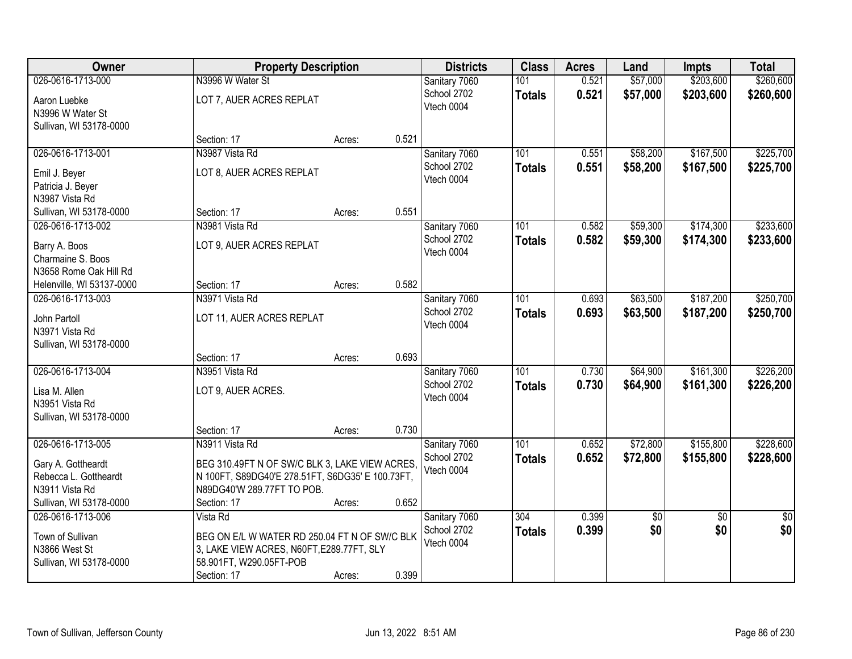| Owner                                                                                                         |                                                                                                                                                                   | <b>Property Description</b> |       | <b>Districts</b>                           | <b>Class</b>                      | <b>Acres</b>   | Land                 | <b>Impts</b>           | <b>Total</b>           |
|---------------------------------------------------------------------------------------------------------------|-------------------------------------------------------------------------------------------------------------------------------------------------------------------|-----------------------------|-------|--------------------------------------------|-----------------------------------|----------------|----------------------|------------------------|------------------------|
| 026-0616-1713-000<br>Aaron Luebke<br>N3996 W Water St<br>Sullivan, WI 53178-0000                              | N3996 W Water St<br>LOT 7, AUER ACRES REPLAT                                                                                                                      |                             |       | Sanitary 7060<br>School 2702<br>Vtech 0004 | 101<br><b>Totals</b>              | 0.521<br>0.521 | \$57,000<br>\$57,000 | \$203,600<br>\$203,600 | \$260,600<br>\$260,600 |
|                                                                                                               | Section: 17                                                                                                                                                       | Acres:                      | 0.521 |                                            |                                   |                |                      |                        |                        |
| 026-0616-1713-001<br>Emil J. Beyer<br>Patricia J. Beyer<br>N3987 Vista Rd                                     | N3987 Vista Rd<br>LOT 8, AUER ACRES REPLAT                                                                                                                        |                             |       | Sanitary 7060<br>School 2702<br>Vtech 0004 | 101<br><b>Totals</b>              | 0.551<br>0.551 | \$58,200<br>\$58,200 | \$167,500<br>\$167,500 | \$225,700<br>\$225,700 |
| Sullivan, WI 53178-0000                                                                                       | Section: 17                                                                                                                                                       | Acres:                      | 0.551 |                                            |                                   |                |                      |                        |                        |
| 026-0616-1713-002<br>Barry A. Boos<br>Charmaine S. Boos<br>N3658 Rome Oak Hill Rd                             | N3981 Vista Rd<br>LOT 9, AUER ACRES REPLAT                                                                                                                        |                             |       | Sanitary 7060<br>School 2702<br>Vtech 0004 | 101<br><b>Totals</b>              | 0.582<br>0.582 | \$59,300<br>\$59,300 | \$174,300<br>\$174,300 | \$233,600<br>\$233,600 |
| Helenville, WI 53137-0000                                                                                     | Section: 17                                                                                                                                                       | Acres:                      | 0.582 |                                            |                                   |                |                      |                        |                        |
| 026-0616-1713-003<br>John Partoll<br>N3971 Vista Rd<br>Sullivan, WI 53178-0000                                | N3971 Vista Rd<br>LOT 11, AUER ACRES REPLAT                                                                                                                       |                             |       | Sanitary 7060<br>School 2702<br>Vtech 0004 | 101<br><b>Totals</b>              | 0.693<br>0.693 | \$63,500<br>\$63,500 | \$187,200<br>\$187,200 | \$250,700<br>\$250,700 |
|                                                                                                               | Section: 17                                                                                                                                                       | Acres:                      | 0.693 |                                            |                                   |                |                      |                        |                        |
| 026-0616-1713-004<br>Lisa M. Allen<br>N3951 Vista Rd<br>Sullivan, WI 53178-0000                               | N3951 Vista Rd<br>LOT 9, AUER ACRES.                                                                                                                              |                             |       | Sanitary 7060<br>School 2702<br>Vtech 0004 | 101<br><b>Totals</b>              | 0.730<br>0.730 | \$64,900<br>\$64,900 | \$161,300<br>\$161,300 | \$226,200<br>\$226,200 |
|                                                                                                               | Section: 17                                                                                                                                                       | Acres:                      | 0.730 |                                            |                                   |                |                      |                        |                        |
| 026-0616-1713-005<br>Gary A. Gottheardt<br>Rebecca L. Gottheardt<br>N3911 Vista Rd<br>Sullivan, WI 53178-0000 | N3911 Vista Rd<br>BEG 310.49FT N OF SW/C BLK 3, LAKE VIEW ACRES.<br>N 100FT, S89DG40'E 278.51FT, S6DG35' E 100.73FT,<br>N89DG40'W 289.77FT TO POB.<br>Section: 17 | Acres:                      | 0.652 | Sanitary 7060<br>School 2702<br>Vtech 0004 | $\overline{101}$<br><b>Totals</b> | 0.652<br>0.652 | \$72,800<br>\$72,800 | \$155,800<br>\$155,800 | \$228,600<br>\$228,600 |
| 026-0616-1713-006<br>Town of Sullivan<br>N3866 West St<br>Sullivan, WI 53178-0000                             | Vista Rd<br>BEG ON E/L W WATER RD 250.04 FT N OF SW/C BLK<br>3, LAKE VIEW ACRES, N60FT, E289.77FT, SLY<br>58.901FT, W290.05FT-POB<br>Section: 17                  | Acres:                      | 0.399 | Sanitary 7060<br>School 2702<br>Vtech 0004 | 304<br><b>Totals</b>              | 0.399<br>0.399 | \$0<br>\$0           | $\overline{50}$<br>\$0 | $\overline{50}$<br>\$0 |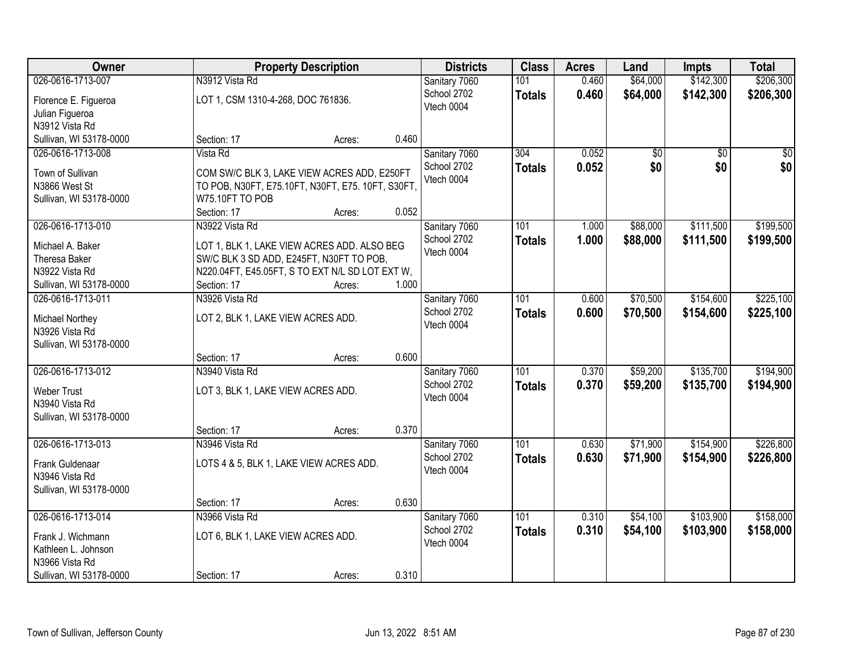| 026-0616-1713-007<br>\$142,300<br>\$206,300<br>N3912 Vista Rd<br>Sanitary 7060<br>0.460<br>\$64,000<br>101<br>School 2702<br>0.460<br>\$64,000<br>\$142,300<br>\$206,300<br><b>Totals</b><br>LOT 1, CSM 1310-4-268, DOC 761836.<br>Florence E. Figueroa<br>Vtech 0004<br>Julian Figueroa<br>N3912 Vista Rd<br>0.460<br>Sullivan, WI 53178-0000<br>Section: 17<br>Acres:<br>Vista Rd<br>Sanitary 7060<br>026-0616-1713-008<br>304<br>0.052<br>\$0<br>$\overline{50}$<br>\$0<br>0.052<br>\$0<br>School 2702<br><b>Totals</b><br>Town of Sullivan<br>COM SW/C BLK 3, LAKE VIEW ACRES ADD, E250FT<br>Vtech 0004<br>N3866 West St<br>TO POB, N30FT, E75.10FT, N30FT, E75. 10FT, S30FT,<br>W75.10FT TO POB<br>Sullivan, WI 53178-0000<br>0.052<br>Section: 17<br>Acres:<br>026-0616-1713-010<br>N3922 Vista Rd<br>101<br>\$88,000<br>\$111,500<br>Sanitary 7060<br>1.000<br>School 2702<br>1.000<br>\$88,000<br>\$111,500<br><b>Totals</b><br>Michael A. Baker<br>LOT 1, BLK 1, LAKE VIEW ACRES ADD. ALSO BEG<br>Vtech 0004<br>Theresa Baker<br>SW/C BLK 3 SD ADD, E245FT, N30FT TO POB,<br>N3922 Vista Rd<br>N220.04FT, E45.05FT, S TO EXT N/L SD LOT EXT W,<br>1.000<br>Sullivan, WI 53178-0000<br>Section: 17<br>Acres:<br>\$70,500<br>\$154,600<br>026-0616-1713-011<br>N3926 Vista Rd<br>Sanitary 7060<br>101<br>0.600<br>School 2702<br>0.600<br>\$70,500<br>\$154,600<br><b>Totals</b><br>LOT 2, BLK 1, LAKE VIEW ACRES ADD.<br><b>Michael Northey</b><br>Vtech 0004<br>N3926 Vista Rd<br>Sullivan, WI 53178-0000<br>0.600<br>Section: 17<br>Acres:<br>026-0616-1713-012<br>N3940 Vista Rd<br>101<br>\$59,200<br>\$135,700<br>0.370<br>Sanitary 7060<br>0.370<br>\$59,200<br>\$135,700<br>School 2702<br><b>Totals</b><br><b>Weber Trust</b><br>LOT 3, BLK 1, LAKE VIEW ACRES ADD.<br>Vtech 0004<br>N3940 Vista Rd<br>Sullivan, WI 53178-0000<br>0.370<br>Section: 17<br>Acres:<br>\$154,900<br>026-0616-1713-013<br>Sanitary 7060<br>101<br>\$71,900<br>N3946 Vista Rd<br>0.630<br>School 2702<br>0.630<br>\$71,900<br>\$154,900<br><b>Totals</b><br>LOTS 4 & 5, BLK 1, LAKE VIEW ACRES ADD.<br>Frank Guldenaar<br>Vtech 0004<br>N3946 Vista Rd<br>Sullivan, WI 53178-0000<br>0.630<br>Section: 17<br>Acres:<br>026-0616-1713-014<br>N3966 Vista Rd<br>\$54,100<br>\$103,900<br>101<br>0.310<br>Sanitary 7060<br>School 2702<br>0.310<br>\$103,900<br>\$54,100<br><b>Totals</b><br>LOT 6, BLK 1, LAKE VIEW ACRES ADD.<br>Frank J. Wichmann<br>Vtech 0004<br>Kathleen L. Johnson<br>N3966 Vista Rd | Owner                   |             | <b>Property Description</b> |       |  | <b>Class</b> | <b>Acres</b> | Land | <b>Impts</b> | <b>Total</b> |
|-----------------------------------------------------------------------------------------------------------------------------------------------------------------------------------------------------------------------------------------------------------------------------------------------------------------------------------------------------------------------------------------------------------------------------------------------------------------------------------------------------------------------------------------------------------------------------------------------------------------------------------------------------------------------------------------------------------------------------------------------------------------------------------------------------------------------------------------------------------------------------------------------------------------------------------------------------------------------------------------------------------------------------------------------------------------------------------------------------------------------------------------------------------------------------------------------------------------------------------------------------------------------------------------------------------------------------------------------------------------------------------------------------------------------------------------------------------------------------------------------------------------------------------------------------------------------------------------------------------------------------------------------------------------------------------------------------------------------------------------------------------------------------------------------------------------------------------------------------------------------------------------------------------------------------------------------------------------------------------------------------------------------------------------------------------------------------------------------------------------------------------------------------------------------------------------------------------------------------------------------------------------------------------------------------------------------------------------------------------------------------------------------------------------------------------------------------------------------------------------------------|-------------------------|-------------|-----------------------------|-------|--|--------------|--------------|------|--------------|--------------|
|                                                                                                                                                                                                                                                                                                                                                                                                                                                                                                                                                                                                                                                                                                                                                                                                                                                                                                                                                                                                                                                                                                                                                                                                                                                                                                                                                                                                                                                                                                                                                                                                                                                                                                                                                                                                                                                                                                                                                                                                                                                                                                                                                                                                                                                                                                                                                                                                                                                                                                     |                         |             |                             |       |  |              |              |      |              |              |
| \$0<br>\$0<br>\$199,500<br>\$199,500                                                                                                                                                                                                                                                                                                                                                                                                                                                                                                                                                                                                                                                                                                                                                                                                                                                                                                                                                                                                                                                                                                                                                                                                                                                                                                                                                                                                                                                                                                                                                                                                                                                                                                                                                                                                                                                                                                                                                                                                                                                                                                                                                                                                                                                                                                                                                                                                                                                                |                         |             |                             |       |  |              |              |      |              |              |
|                                                                                                                                                                                                                                                                                                                                                                                                                                                                                                                                                                                                                                                                                                                                                                                                                                                                                                                                                                                                                                                                                                                                                                                                                                                                                                                                                                                                                                                                                                                                                                                                                                                                                                                                                                                                                                                                                                                                                                                                                                                                                                                                                                                                                                                                                                                                                                                                                                                                                                     |                         |             |                             |       |  |              |              |      |              |              |
|                                                                                                                                                                                                                                                                                                                                                                                                                                                                                                                                                                                                                                                                                                                                                                                                                                                                                                                                                                                                                                                                                                                                                                                                                                                                                                                                                                                                                                                                                                                                                                                                                                                                                                                                                                                                                                                                                                                                                                                                                                                                                                                                                                                                                                                                                                                                                                                                                                                                                                     |                         |             |                             |       |  |              |              |      |              |              |
|                                                                                                                                                                                                                                                                                                                                                                                                                                                                                                                                                                                                                                                                                                                                                                                                                                                                                                                                                                                                                                                                                                                                                                                                                                                                                                                                                                                                                                                                                                                                                                                                                                                                                                                                                                                                                                                                                                                                                                                                                                                                                                                                                                                                                                                                                                                                                                                                                                                                                                     |                         |             |                             |       |  |              |              |      |              |              |
|                                                                                                                                                                                                                                                                                                                                                                                                                                                                                                                                                                                                                                                                                                                                                                                                                                                                                                                                                                                                                                                                                                                                                                                                                                                                                                                                                                                                                                                                                                                                                                                                                                                                                                                                                                                                                                                                                                                                                                                                                                                                                                                                                                                                                                                                                                                                                                                                                                                                                                     |                         |             |                             |       |  |              |              |      |              |              |
|                                                                                                                                                                                                                                                                                                                                                                                                                                                                                                                                                                                                                                                                                                                                                                                                                                                                                                                                                                                                                                                                                                                                                                                                                                                                                                                                                                                                                                                                                                                                                                                                                                                                                                                                                                                                                                                                                                                                                                                                                                                                                                                                                                                                                                                                                                                                                                                                                                                                                                     |                         |             |                             |       |  |              |              |      |              |              |
|                                                                                                                                                                                                                                                                                                                                                                                                                                                                                                                                                                                                                                                                                                                                                                                                                                                                                                                                                                                                                                                                                                                                                                                                                                                                                                                                                                                                                                                                                                                                                                                                                                                                                                                                                                                                                                                                                                                                                                                                                                                                                                                                                                                                                                                                                                                                                                                                                                                                                                     |                         |             |                             |       |  |              |              |      |              |              |
|                                                                                                                                                                                                                                                                                                                                                                                                                                                                                                                                                                                                                                                                                                                                                                                                                                                                                                                                                                                                                                                                                                                                                                                                                                                                                                                                                                                                                                                                                                                                                                                                                                                                                                                                                                                                                                                                                                                                                                                                                                                                                                                                                                                                                                                                                                                                                                                                                                                                                                     |                         |             |                             |       |  |              |              |      |              |              |
|                                                                                                                                                                                                                                                                                                                                                                                                                                                                                                                                                                                                                                                                                                                                                                                                                                                                                                                                                                                                                                                                                                                                                                                                                                                                                                                                                                                                                                                                                                                                                                                                                                                                                                                                                                                                                                                                                                                                                                                                                                                                                                                                                                                                                                                                                                                                                                                                                                                                                                     |                         |             |                             |       |  |              |              |      |              |              |
|                                                                                                                                                                                                                                                                                                                                                                                                                                                                                                                                                                                                                                                                                                                                                                                                                                                                                                                                                                                                                                                                                                                                                                                                                                                                                                                                                                                                                                                                                                                                                                                                                                                                                                                                                                                                                                                                                                                                                                                                                                                                                                                                                                                                                                                                                                                                                                                                                                                                                                     |                         |             |                             |       |  |              |              |      |              |              |
|                                                                                                                                                                                                                                                                                                                                                                                                                                                                                                                                                                                                                                                                                                                                                                                                                                                                                                                                                                                                                                                                                                                                                                                                                                                                                                                                                                                                                                                                                                                                                                                                                                                                                                                                                                                                                                                                                                                                                                                                                                                                                                                                                                                                                                                                                                                                                                                                                                                                                                     |                         |             |                             |       |  |              |              |      |              |              |
|                                                                                                                                                                                                                                                                                                                                                                                                                                                                                                                                                                                                                                                                                                                                                                                                                                                                                                                                                                                                                                                                                                                                                                                                                                                                                                                                                                                                                                                                                                                                                                                                                                                                                                                                                                                                                                                                                                                                                                                                                                                                                                                                                                                                                                                                                                                                                                                                                                                                                                     |                         |             |                             |       |  |              |              |      |              |              |
|                                                                                                                                                                                                                                                                                                                                                                                                                                                                                                                                                                                                                                                                                                                                                                                                                                                                                                                                                                                                                                                                                                                                                                                                                                                                                                                                                                                                                                                                                                                                                                                                                                                                                                                                                                                                                                                                                                                                                                                                                                                                                                                                                                                                                                                                                                                                                                                                                                                                                                     |                         |             |                             |       |  |              |              |      |              |              |
| \$225,100<br>\$225,100<br>\$194,900<br>\$194,900<br>\$226,800<br>\$226,800<br>\$158,000<br>\$158,000                                                                                                                                                                                                                                                                                                                                                                                                                                                                                                                                                                                                                                                                                                                                                                                                                                                                                                                                                                                                                                                                                                                                                                                                                                                                                                                                                                                                                                                                                                                                                                                                                                                                                                                                                                                                                                                                                                                                                                                                                                                                                                                                                                                                                                                                                                                                                                                                |                         |             |                             |       |  |              |              |      |              |              |
|                                                                                                                                                                                                                                                                                                                                                                                                                                                                                                                                                                                                                                                                                                                                                                                                                                                                                                                                                                                                                                                                                                                                                                                                                                                                                                                                                                                                                                                                                                                                                                                                                                                                                                                                                                                                                                                                                                                                                                                                                                                                                                                                                                                                                                                                                                                                                                                                                                                                                                     |                         |             |                             |       |  |              |              |      |              |              |
|                                                                                                                                                                                                                                                                                                                                                                                                                                                                                                                                                                                                                                                                                                                                                                                                                                                                                                                                                                                                                                                                                                                                                                                                                                                                                                                                                                                                                                                                                                                                                                                                                                                                                                                                                                                                                                                                                                                                                                                                                                                                                                                                                                                                                                                                                                                                                                                                                                                                                                     |                         |             |                             |       |  |              |              |      |              |              |
|                                                                                                                                                                                                                                                                                                                                                                                                                                                                                                                                                                                                                                                                                                                                                                                                                                                                                                                                                                                                                                                                                                                                                                                                                                                                                                                                                                                                                                                                                                                                                                                                                                                                                                                                                                                                                                                                                                                                                                                                                                                                                                                                                                                                                                                                                                                                                                                                                                                                                                     |                         |             |                             |       |  |              |              |      |              |              |
|                                                                                                                                                                                                                                                                                                                                                                                                                                                                                                                                                                                                                                                                                                                                                                                                                                                                                                                                                                                                                                                                                                                                                                                                                                                                                                                                                                                                                                                                                                                                                                                                                                                                                                                                                                                                                                                                                                                                                                                                                                                                                                                                                                                                                                                                                                                                                                                                                                                                                                     |                         |             |                             |       |  |              |              |      |              |              |
|                                                                                                                                                                                                                                                                                                                                                                                                                                                                                                                                                                                                                                                                                                                                                                                                                                                                                                                                                                                                                                                                                                                                                                                                                                                                                                                                                                                                                                                                                                                                                                                                                                                                                                                                                                                                                                                                                                                                                                                                                                                                                                                                                                                                                                                                                                                                                                                                                                                                                                     |                         |             |                             |       |  |              |              |      |              |              |
|                                                                                                                                                                                                                                                                                                                                                                                                                                                                                                                                                                                                                                                                                                                                                                                                                                                                                                                                                                                                                                                                                                                                                                                                                                                                                                                                                                                                                                                                                                                                                                                                                                                                                                                                                                                                                                                                                                                                                                                                                                                                                                                                                                                                                                                                                                                                                                                                                                                                                                     |                         |             |                             |       |  |              |              |      |              |              |
|                                                                                                                                                                                                                                                                                                                                                                                                                                                                                                                                                                                                                                                                                                                                                                                                                                                                                                                                                                                                                                                                                                                                                                                                                                                                                                                                                                                                                                                                                                                                                                                                                                                                                                                                                                                                                                                                                                                                                                                                                                                                                                                                                                                                                                                                                                                                                                                                                                                                                                     |                         |             |                             |       |  |              |              |      |              |              |
|                                                                                                                                                                                                                                                                                                                                                                                                                                                                                                                                                                                                                                                                                                                                                                                                                                                                                                                                                                                                                                                                                                                                                                                                                                                                                                                                                                                                                                                                                                                                                                                                                                                                                                                                                                                                                                                                                                                                                                                                                                                                                                                                                                                                                                                                                                                                                                                                                                                                                                     |                         |             |                             |       |  |              |              |      |              |              |
|                                                                                                                                                                                                                                                                                                                                                                                                                                                                                                                                                                                                                                                                                                                                                                                                                                                                                                                                                                                                                                                                                                                                                                                                                                                                                                                                                                                                                                                                                                                                                                                                                                                                                                                                                                                                                                                                                                                                                                                                                                                                                                                                                                                                                                                                                                                                                                                                                                                                                                     |                         |             |                             |       |  |              |              |      |              |              |
|                                                                                                                                                                                                                                                                                                                                                                                                                                                                                                                                                                                                                                                                                                                                                                                                                                                                                                                                                                                                                                                                                                                                                                                                                                                                                                                                                                                                                                                                                                                                                                                                                                                                                                                                                                                                                                                                                                                                                                                                                                                                                                                                                                                                                                                                                                                                                                                                                                                                                                     |                         |             |                             |       |  |              |              |      |              |              |
|                                                                                                                                                                                                                                                                                                                                                                                                                                                                                                                                                                                                                                                                                                                                                                                                                                                                                                                                                                                                                                                                                                                                                                                                                                                                                                                                                                                                                                                                                                                                                                                                                                                                                                                                                                                                                                                                                                                                                                                                                                                                                                                                                                                                                                                                                                                                                                                                                                                                                                     |                         |             |                             |       |  |              |              |      |              |              |
|                                                                                                                                                                                                                                                                                                                                                                                                                                                                                                                                                                                                                                                                                                                                                                                                                                                                                                                                                                                                                                                                                                                                                                                                                                                                                                                                                                                                                                                                                                                                                                                                                                                                                                                                                                                                                                                                                                                                                                                                                                                                                                                                                                                                                                                                                                                                                                                                                                                                                                     |                         |             |                             |       |  |              |              |      |              |              |
|                                                                                                                                                                                                                                                                                                                                                                                                                                                                                                                                                                                                                                                                                                                                                                                                                                                                                                                                                                                                                                                                                                                                                                                                                                                                                                                                                                                                                                                                                                                                                                                                                                                                                                                                                                                                                                                                                                                                                                                                                                                                                                                                                                                                                                                                                                                                                                                                                                                                                                     |                         |             |                             |       |  |              |              |      |              |              |
|                                                                                                                                                                                                                                                                                                                                                                                                                                                                                                                                                                                                                                                                                                                                                                                                                                                                                                                                                                                                                                                                                                                                                                                                                                                                                                                                                                                                                                                                                                                                                                                                                                                                                                                                                                                                                                                                                                                                                                                                                                                                                                                                                                                                                                                                                                                                                                                                                                                                                                     |                         |             |                             |       |  |              |              |      |              |              |
|                                                                                                                                                                                                                                                                                                                                                                                                                                                                                                                                                                                                                                                                                                                                                                                                                                                                                                                                                                                                                                                                                                                                                                                                                                                                                                                                                                                                                                                                                                                                                                                                                                                                                                                                                                                                                                                                                                                                                                                                                                                                                                                                                                                                                                                                                                                                                                                                                                                                                                     |                         |             |                             |       |  |              |              |      |              |              |
|                                                                                                                                                                                                                                                                                                                                                                                                                                                                                                                                                                                                                                                                                                                                                                                                                                                                                                                                                                                                                                                                                                                                                                                                                                                                                                                                                                                                                                                                                                                                                                                                                                                                                                                                                                                                                                                                                                                                                                                                                                                                                                                                                                                                                                                                                                                                                                                                                                                                                                     |                         |             |                             |       |  |              |              |      |              |              |
|                                                                                                                                                                                                                                                                                                                                                                                                                                                                                                                                                                                                                                                                                                                                                                                                                                                                                                                                                                                                                                                                                                                                                                                                                                                                                                                                                                                                                                                                                                                                                                                                                                                                                                                                                                                                                                                                                                                                                                                                                                                                                                                                                                                                                                                                                                                                                                                                                                                                                                     |                         |             |                             |       |  |              |              |      |              |              |
|                                                                                                                                                                                                                                                                                                                                                                                                                                                                                                                                                                                                                                                                                                                                                                                                                                                                                                                                                                                                                                                                                                                                                                                                                                                                                                                                                                                                                                                                                                                                                                                                                                                                                                                                                                                                                                                                                                                                                                                                                                                                                                                                                                                                                                                                                                                                                                                                                                                                                                     |                         |             |                             |       |  |              |              |      |              |              |
|                                                                                                                                                                                                                                                                                                                                                                                                                                                                                                                                                                                                                                                                                                                                                                                                                                                                                                                                                                                                                                                                                                                                                                                                                                                                                                                                                                                                                                                                                                                                                                                                                                                                                                                                                                                                                                                                                                                                                                                                                                                                                                                                                                                                                                                                                                                                                                                                                                                                                                     |                         |             |                             |       |  |              |              |      |              |              |
|                                                                                                                                                                                                                                                                                                                                                                                                                                                                                                                                                                                                                                                                                                                                                                                                                                                                                                                                                                                                                                                                                                                                                                                                                                                                                                                                                                                                                                                                                                                                                                                                                                                                                                                                                                                                                                                                                                                                                                                                                                                                                                                                                                                                                                                                                                                                                                                                                                                                                                     | Sullivan, WI 53178-0000 | Section: 17 | Acres:                      | 0.310 |  |              |              |      |              |              |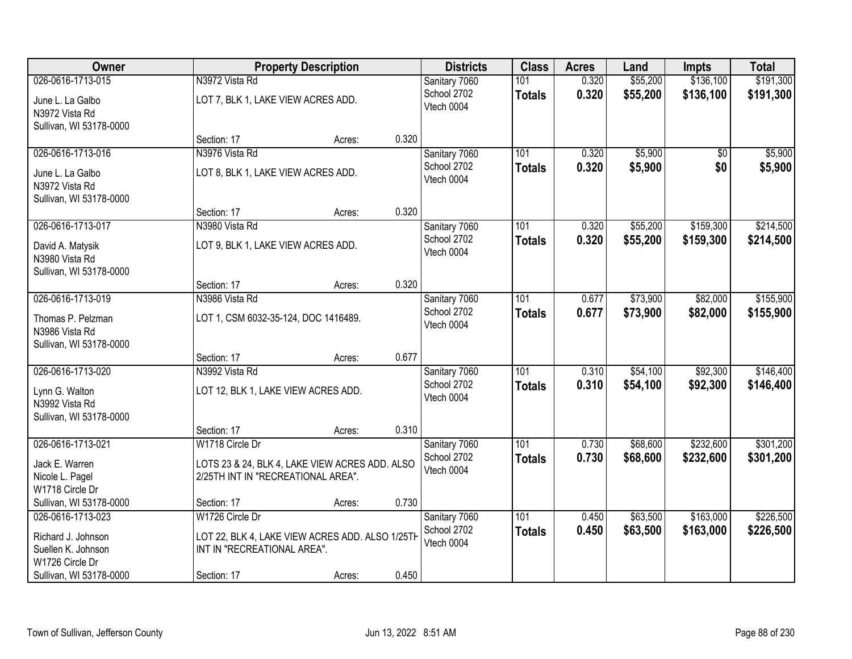| <b>Owner</b>            |                                      | <b>Property Description</b>                     |       | <b>Districts</b> | <b>Class</b>  | <b>Acres</b> | Land     | <b>Impts</b> | <b>Total</b> |
|-------------------------|--------------------------------------|-------------------------------------------------|-------|------------------|---------------|--------------|----------|--------------|--------------|
| 026-0616-1713-015       | N3972 Vista Rd                       |                                                 |       | Sanitary 7060    | 101           | 0.320        | \$55,200 | \$136,100    | \$191,300    |
| June L. La Galbo        | LOT 7, BLK 1, LAKE VIEW ACRES ADD.   |                                                 |       | School 2702      | <b>Totals</b> | 0.320        | \$55,200 | \$136,100    | \$191,300    |
| N3972 Vista Rd          |                                      |                                                 |       | Vtech 0004       |               |              |          |              |              |
| Sullivan, WI 53178-0000 |                                      |                                                 |       |                  |               |              |          |              |              |
|                         | Section: 17                          | Acres:                                          | 0.320 |                  |               |              |          |              |              |
| 026-0616-1713-016       | N3976 Vista Rd                       |                                                 |       | Sanitary 7060    | 101           | 0.320        | \$5,900  | \$0          | \$5,900      |
| June L. La Galbo        | LOT 8, BLK 1, LAKE VIEW ACRES ADD.   |                                                 |       | School 2702      | <b>Totals</b> | 0.320        | \$5,900  | \$0          | \$5,900      |
| N3972 Vista Rd          |                                      |                                                 |       | Vtech 0004       |               |              |          |              |              |
| Sullivan, WI 53178-0000 |                                      |                                                 |       |                  |               |              |          |              |              |
|                         | Section: 17                          | Acres:                                          | 0.320 |                  |               |              |          |              |              |
| 026-0616-1713-017       | N3980 Vista Rd                       |                                                 |       | Sanitary 7060    | 101           | 0.320        | \$55,200 | \$159,300    | \$214,500    |
| David A. Matysik        | LOT 9, BLK 1, LAKE VIEW ACRES ADD.   |                                                 |       | School 2702      | <b>Totals</b> | 0.320        | \$55,200 | \$159,300    | \$214,500    |
| N3980 Vista Rd          |                                      |                                                 |       | Vtech 0004       |               |              |          |              |              |
| Sullivan, WI 53178-0000 |                                      |                                                 |       |                  |               |              |          |              |              |
|                         | Section: 17                          | Acres:                                          | 0.320 |                  |               |              |          |              |              |
| 026-0616-1713-019       | N3986 Vista Rd                       |                                                 |       | Sanitary 7060    | 101           | 0.677        | \$73,900 | \$82,000     | \$155,900    |
| Thomas P. Pelzman       | LOT 1, CSM 6032-35-124, DOC 1416489. |                                                 |       | School 2702      | <b>Totals</b> | 0.677        | \$73,900 | \$82,000     | \$155,900    |
| N3986 Vista Rd          |                                      |                                                 |       | Vtech 0004       |               |              |          |              |              |
| Sullivan, WI 53178-0000 |                                      |                                                 |       |                  |               |              |          |              |              |
|                         | Section: 17                          | Acres:                                          | 0.677 |                  |               |              |          |              |              |
| 026-0616-1713-020       | N3992 Vista Rd                       |                                                 |       | Sanitary 7060    | 101           | 0.310        | \$54,100 | \$92,300     | \$146,400    |
| Lynn G. Walton          | LOT 12, BLK 1, LAKE VIEW ACRES ADD.  |                                                 |       | School 2702      | <b>Totals</b> | 0.310        | \$54,100 | \$92,300     | \$146,400    |
| N3992 Vista Rd          |                                      |                                                 |       | Vtech 0004       |               |              |          |              |              |
| Sullivan, WI 53178-0000 |                                      |                                                 |       |                  |               |              |          |              |              |
|                         | Section: 17                          | Acres:                                          | 0.310 |                  |               |              |          |              |              |
| 026-0616-1713-021       | W1718 Circle Dr                      |                                                 |       | Sanitary 7060    | 101           | 0.730        | \$68,600 | \$232,600    | \$301,200    |
| Jack E. Warren          |                                      |                                                 |       | School 2702      | <b>Totals</b> | 0.730        | \$68,600 | \$232,600    | \$301,200    |
| Nicole L. Pagel         | 2/25TH INT IN "RECREATIONAL AREA".   | LOTS 23 & 24, BLK 4, LAKE VIEW ACRES ADD. ALSO  |       | Vtech 0004       |               |              |          |              |              |
| W1718 Circle Dr         |                                      |                                                 |       |                  |               |              |          |              |              |
| Sullivan, WI 53178-0000 | Section: 17                          | Acres:                                          | 0.730 |                  |               |              |          |              |              |
| 026-0616-1713-023       | W1726 Circle Dr                      |                                                 |       | Sanitary 7060    | 101           | 0.450        | \$63,500 | \$163,000    | \$226,500    |
| Richard J. Johnson      |                                      | LOT 22, BLK 4, LAKE VIEW ACRES ADD. ALSO 1/25TH |       | School 2702      | <b>Totals</b> | 0.450        | \$63,500 | \$163,000    | \$226,500    |
| Suellen K. Johnson      | INT IN "RECREATIONAL AREA".          |                                                 |       | Vtech 0004       |               |              |          |              |              |
| W1726 Circle Dr         |                                      |                                                 |       |                  |               |              |          |              |              |
| Sullivan, WI 53178-0000 | Section: 17                          | Acres:                                          | 0.450 |                  |               |              |          |              |              |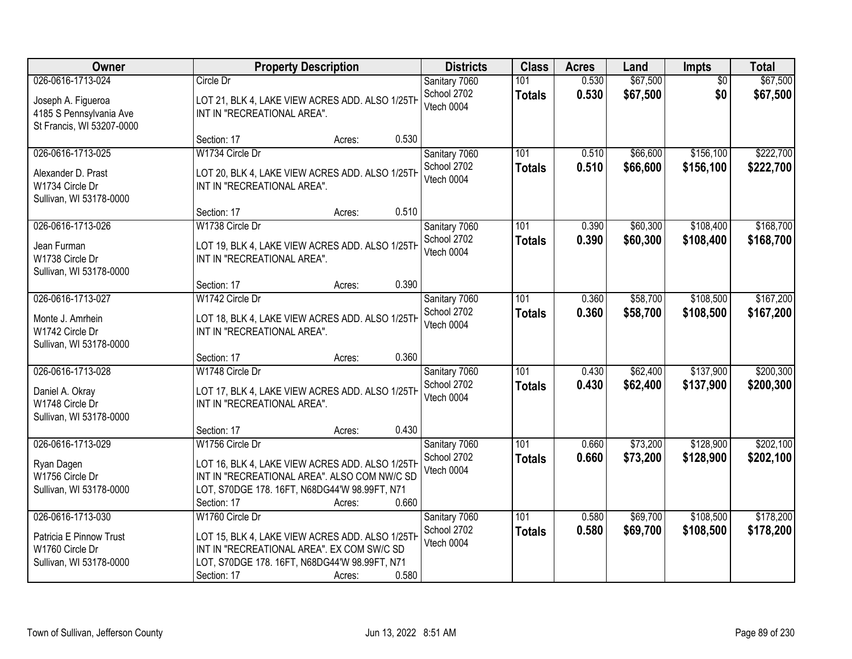| Owner                                                                                           | <b>Property Description</b>                                                                                                                                                                           | <b>Districts</b>                           | <b>Class</b>                      | <b>Acres</b>   | Land                 | Impts                  | <b>Total</b>           |
|-------------------------------------------------------------------------------------------------|-------------------------------------------------------------------------------------------------------------------------------------------------------------------------------------------------------|--------------------------------------------|-----------------------------------|----------------|----------------------|------------------------|------------------------|
| 026-0616-1713-024<br>Joseph A. Figueroa<br>4185 S Pennsylvania Ave<br>St Francis, WI 53207-0000 | Circle Dr<br>LOT 21, BLK 4, LAKE VIEW ACRES ADD. ALSO 1/25TH<br>INT IN "RECREATIONAL AREA".                                                                                                           | Sanitary 7060<br>School 2702<br>Vtech 0004 | 101<br><b>Totals</b>              | 0.530<br>0.530 | \$67,500<br>\$67,500 | $\overline{50}$<br>\$0 | \$67,500<br>\$67,500   |
|                                                                                                 | 0.530<br>Section: 17<br>Acres:                                                                                                                                                                        |                                            |                                   |                |                      |                        |                        |
| 026-0616-1713-025<br>Alexander D. Prast<br>W1734 Circle Dr<br>Sullivan, WI 53178-0000           | W1734 Circle Dr<br>LOT 20, BLK 4, LAKE VIEW ACRES ADD. ALSO 1/25TH<br>INT IN "RECREATIONAL AREA".                                                                                                     | Sanitary 7060<br>School 2702<br>Vtech 0004 | 101<br><b>Totals</b>              | 0.510<br>0.510 | \$66,600<br>\$66,600 | \$156,100<br>\$156,100 | \$222,700<br>\$222,700 |
|                                                                                                 | 0.510<br>Section: 17<br>Acres:                                                                                                                                                                        |                                            |                                   |                |                      |                        |                        |
| 026-0616-1713-026<br>Jean Furman<br>W1738 Circle Dr<br>Sullivan, WI 53178-0000                  | W1738 Circle Dr<br>LOT 19, BLK 4, LAKE VIEW ACRES ADD. ALSO 1/25TH<br>INT IN "RECREATIONAL AREA".                                                                                                     | Sanitary 7060<br>School 2702<br>Vtech 0004 | 101<br><b>Totals</b>              | 0.390<br>0.390 | \$60,300<br>\$60,300 | \$108,400<br>\$108,400 | \$168,700<br>\$168,700 |
|                                                                                                 | 0.390<br>Section: 17<br>Acres:                                                                                                                                                                        |                                            |                                   |                |                      |                        |                        |
| 026-0616-1713-027<br>Monte J. Amrhein<br>W1742 Circle Dr<br>Sullivan, WI 53178-0000             | W1742 Circle Dr<br>LOT 18, BLK 4, LAKE VIEW ACRES ADD. ALSO 1/25TH<br>INT IN "RECREATIONAL AREA".                                                                                                     | Sanitary 7060<br>School 2702<br>Vtech 0004 | 101<br><b>Totals</b>              | 0.360<br>0.360 | \$58,700<br>\$58,700 | \$108,500<br>\$108,500 | \$167,200<br>\$167,200 |
|                                                                                                 | 0.360<br>Section: 17<br>Acres:                                                                                                                                                                        |                                            |                                   |                |                      |                        |                        |
| 026-0616-1713-028<br>Daniel A. Okray<br>W1748 Circle Dr<br>Sullivan, WI 53178-0000              | W1748 Circle Dr<br>LOT 17, BLK 4, LAKE VIEW ACRES ADD. ALSO 1/25TH<br>INT IN "RECREATIONAL AREA".                                                                                                     | Sanitary 7060<br>School 2702<br>Vtech 0004 | $\overline{101}$<br><b>Totals</b> | 0.430<br>0.430 | \$62,400<br>\$62,400 | \$137,900<br>\$137,900 | \$200,300<br>\$200,300 |
|                                                                                                 | 0.430<br>Section: 17<br>Acres:                                                                                                                                                                        |                                            |                                   |                |                      |                        |                        |
| 026-0616-1713-029<br>Ryan Dagen<br>W1756 Circle Dr<br>Sullivan, WI 53178-0000                   | W1756 Circle Dr<br>LOT 16, BLK 4, LAKE VIEW ACRES ADD. ALSO 1/25TH<br>INT IN "RECREATIONAL AREA". ALSO COM NW/C SD<br>LOT, S70DGE 178. 16FT, N68DG44'W 98.99FT, N71<br>0.660<br>Section: 17<br>Acres: | Sanitary 7060<br>School 2702<br>Vtech 0004 | 101<br><b>Totals</b>              | 0.660<br>0.660 | \$73,200<br>\$73,200 | \$128,900<br>\$128,900 | \$202,100<br>\$202,100 |
| 026-0616-1713-030<br>Patricia E Pinnow Trust<br>W1760 Circle Dr<br>Sullivan, WI 53178-0000      | W1760 Circle Dr<br>LOT 15, BLK 4, LAKE VIEW ACRES ADD. ALSO 1/25TH<br>INT IN "RECREATIONAL AREA". EX COM SW/C SD<br>LOT, S70DGE 178. 16FT, N68DG44'W 98.99FT, N71<br>0.580<br>Section: 17<br>Acres:   | Sanitary 7060<br>School 2702<br>Vtech 0004 | 101<br><b>Totals</b>              | 0.580<br>0.580 | \$69,700<br>\$69,700 | \$108,500<br>\$108,500 | \$178,200<br>\$178,200 |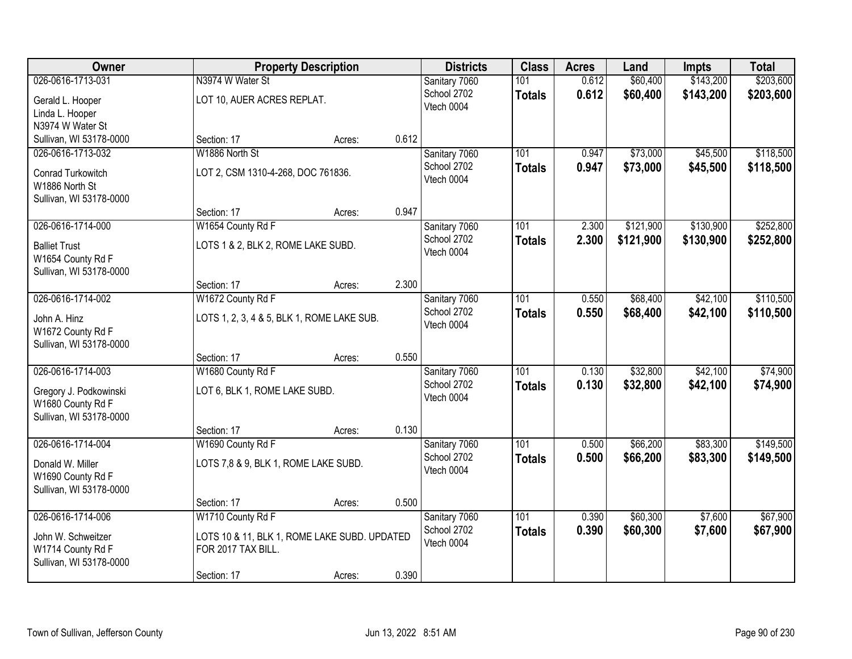| Owner                   |                                              | <b>Property Description</b> |       | <b>Districts</b> | <b>Class</b>     | <b>Acres</b> | Land      | <b>Impts</b> | <b>Total</b> |
|-------------------------|----------------------------------------------|-----------------------------|-------|------------------|------------------|--------------|-----------|--------------|--------------|
| 026-0616-1713-031       | N3974 W Water St                             |                             |       | Sanitary 7060    | 101              | 0.612        | \$60,400  | \$143,200    | \$203,600    |
| Gerald L. Hooper        | LOT 10, AUER ACRES REPLAT.                   |                             |       | School 2702      | <b>Totals</b>    | 0.612        | \$60,400  | \$143,200    | \$203,600    |
| Linda L. Hooper         |                                              |                             |       | Vtech 0004       |                  |              |           |              |              |
| N3974 W Water St        |                                              |                             |       |                  |                  |              |           |              |              |
| Sullivan, WI 53178-0000 | Section: 17                                  | Acres:                      | 0.612 |                  |                  |              |           |              |              |
| 026-0616-1713-032       | W1886 North St                               |                             |       | Sanitary 7060    | 101              | 0.947        | \$73,000  | \$45,500     | \$118,500    |
| Conrad Turkowitch       | LOT 2, CSM 1310-4-268, DOC 761836.           |                             |       | School 2702      | <b>Totals</b>    | 0.947        | \$73,000  | \$45,500     | \$118,500    |
| W1886 North St          |                                              |                             |       | Vtech 0004       |                  |              |           |              |              |
| Sullivan, WI 53178-0000 |                                              |                             |       |                  |                  |              |           |              |              |
|                         | Section: 17                                  | Acres:                      | 0.947 |                  |                  |              |           |              |              |
| 026-0616-1714-000       | W1654 County Rd F                            |                             |       | Sanitary 7060    | 101              | 2.300        | \$121,900 | \$130,900    | \$252,800    |
| <b>Balliet Trust</b>    | LOTS 1 & 2, BLK 2, ROME LAKE SUBD.           |                             |       | School 2702      | <b>Totals</b>    | 2.300        | \$121,900 | \$130,900    | \$252,800    |
| W1654 County Rd F       |                                              |                             |       | Vtech 0004       |                  |              |           |              |              |
| Sullivan, WI 53178-0000 |                                              |                             |       |                  |                  |              |           |              |              |
|                         | Section: 17                                  | Acres:                      | 2.300 |                  |                  |              |           |              |              |
| 026-0616-1714-002       | W1672 County Rd F                            |                             |       | Sanitary 7060    | 101              | 0.550        | \$68,400  | \$42,100     | \$110,500    |
| John A. Hinz            | LOTS 1, 2, 3, 4 & 5, BLK 1, ROME LAKE SUB.   |                             |       | School 2702      | <b>Totals</b>    | 0.550        | \$68,400  | \$42,100     | \$110,500    |
| W1672 County Rd F       |                                              |                             |       | Vtech 0004       |                  |              |           |              |              |
| Sullivan, WI 53178-0000 |                                              |                             |       |                  |                  |              |           |              |              |
|                         | Section: 17                                  | Acres:                      | 0.550 |                  |                  |              |           |              |              |
| 026-0616-1714-003       | W1680 County Rd F                            |                             |       | Sanitary 7060    | 101              | 0.130        | \$32,800  | \$42,100     | \$74,900     |
| Gregory J. Podkowinski  | LOT 6, BLK 1, ROME LAKE SUBD.                |                             |       | School 2702      | <b>Totals</b>    | 0.130        | \$32,800  | \$42,100     | \$74,900     |
| W1680 County Rd F       |                                              |                             |       | Vtech 0004       |                  |              |           |              |              |
| Sullivan, WI 53178-0000 |                                              |                             |       |                  |                  |              |           |              |              |
|                         | Section: 17                                  | Acres:                      | 0.130 |                  |                  |              |           |              |              |
| 026-0616-1714-004       | W1690 County Rd F                            |                             |       | Sanitary 7060    | $\overline{101}$ | 0.500        | \$66,200  | \$83,300     | \$149,500    |
| Donald W. Miller        | LOTS 7,8 & 9, BLK 1, ROME LAKE SUBD.         |                             |       | School 2702      | <b>Totals</b>    | 0.500        | \$66,200  | \$83,300     | \$149,500    |
| W1690 County Rd F       |                                              |                             |       | Vtech 0004       |                  |              |           |              |              |
| Sullivan, WI 53178-0000 |                                              |                             |       |                  |                  |              |           |              |              |
|                         | Section: 17                                  | Acres:                      | 0.500 |                  |                  |              |           |              |              |
| 026-0616-1714-006       | W1710 County Rd F                            |                             |       | Sanitary 7060    | 101              | 0.390        | \$60,300  | \$7,600      | \$67,900     |
| John W. Schweitzer      | LOTS 10 & 11, BLK 1, ROME LAKE SUBD. UPDATED |                             |       | School 2702      | <b>Totals</b>    | 0.390        | \$60,300  | \$7,600      | \$67,900     |
| W1714 County Rd F       | FOR 2017 TAX BILL.                           |                             |       | Vtech 0004       |                  |              |           |              |              |
| Sullivan, WI 53178-0000 |                                              |                             |       |                  |                  |              |           |              |              |
|                         | Section: 17                                  | Acres:                      | 0.390 |                  |                  |              |           |              |              |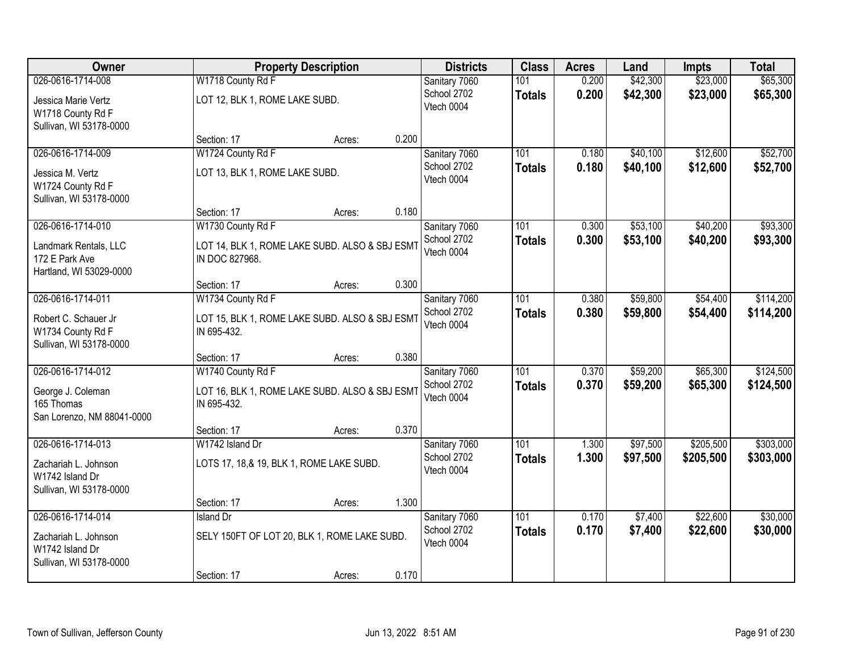| Owner                      |                                          | <b>Property Description</b>                    |       | <b>Districts</b> | <b>Class</b>  | <b>Acres</b> | Land     | <b>Impts</b> | <b>Total</b> |
|----------------------------|------------------------------------------|------------------------------------------------|-------|------------------|---------------|--------------|----------|--------------|--------------|
| 026-0616-1714-008          | W1718 County Rd F                        |                                                |       | Sanitary 7060    | 101           | 0.200        | \$42,300 | \$23,000     | \$65,300     |
| Jessica Marie Vertz        | LOT 12, BLK 1, ROME LAKE SUBD.           |                                                |       | School 2702      | <b>Totals</b> | 0.200        | \$42,300 | \$23,000     | \$65,300     |
| W1718 County Rd F          |                                          |                                                |       | Vtech 0004       |               |              |          |              |              |
| Sullivan, WI 53178-0000    |                                          |                                                |       |                  |               |              |          |              |              |
|                            | Section: 17                              | Acres:                                         | 0.200 |                  |               |              |          |              |              |
| 026-0616-1714-009          | W1724 County Rd F                        |                                                |       | Sanitary 7060    | 101           | 0.180        | \$40,100 | \$12,600     | \$52,700     |
| Jessica M. Vertz           | LOT 13, BLK 1, ROME LAKE SUBD.           |                                                |       | School 2702      | <b>Totals</b> | 0.180        | \$40,100 | \$12,600     | \$52,700     |
| W1724 County Rd F          |                                          |                                                |       | Vtech 0004       |               |              |          |              |              |
| Sullivan, WI 53178-0000    |                                          |                                                |       |                  |               |              |          |              |              |
|                            | Section: 17                              | Acres:                                         | 0.180 |                  |               |              |          |              |              |
| 026-0616-1714-010          | W1730 County Rd F                        |                                                |       | Sanitary 7060    | 101           | 0.300        | \$53,100 | \$40,200     | \$93,300     |
| Landmark Rentals, LLC      |                                          | LOT 14, BLK 1, ROME LAKE SUBD. ALSO & SBJ ESMT |       | School 2702      | <b>Totals</b> | 0.300        | \$53,100 | \$40,200     | \$93,300     |
| 172 E Park Ave             | IN DOC 827968.                           |                                                |       | Vtech 0004       |               |              |          |              |              |
| Hartland, WI 53029-0000    |                                          |                                                |       |                  |               |              |          |              |              |
|                            | Section: 17                              | Acres:                                         | 0.300 |                  |               |              |          |              |              |
| 026-0616-1714-011          | W1734 County Rd F                        |                                                |       | Sanitary 7060    | 101           | 0.380        | \$59,800 | \$54,400     | \$114,200    |
| Robert C. Schauer Jr       |                                          | LOT 15, BLK 1, ROME LAKE SUBD. ALSO & SBJ ESMT |       | School 2702      | <b>Totals</b> | 0.380        | \$59,800 | \$54,400     | \$114,200    |
| W1734 County Rd F          | IN 695-432.                              |                                                |       | Vtech 0004       |               |              |          |              |              |
| Sullivan, WI 53178-0000    |                                          |                                                |       |                  |               |              |          |              |              |
|                            | Section: 17                              | Acres:                                         | 0.380 |                  |               |              |          |              |              |
| 026-0616-1714-012          | W1740 County Rd F                        |                                                |       | Sanitary 7060    | 101           | 0.370        | \$59,200 | \$65,300     | \$124,500    |
| George J. Coleman          |                                          | LOT 16, BLK 1, ROME LAKE SUBD. ALSO & SBJ ESMT |       | School 2702      | <b>Totals</b> | 0.370        | \$59,200 | \$65,300     | \$124,500    |
| 165 Thomas                 | IN 695-432.                              |                                                |       | Vtech 0004       |               |              |          |              |              |
| San Lorenzo, NM 88041-0000 |                                          |                                                |       |                  |               |              |          |              |              |
|                            | Section: 17                              | Acres:                                         | 0.370 |                  |               |              |          |              |              |
| 026-0616-1714-013          | W1742 Island Dr                          |                                                |       | Sanitary 7060    | 101           | 1.300        | \$97,500 | \$205,500    | \$303,000    |
| Zachariah L. Johnson       | LOTS 17, 18,& 19, BLK 1, ROME LAKE SUBD. |                                                |       | School 2702      | <b>Totals</b> | 1.300        | \$97,500 | \$205,500    | \$303,000    |
| W1742 Island Dr            |                                          |                                                |       | Vtech 0004       |               |              |          |              |              |
| Sullivan, WI 53178-0000    |                                          |                                                |       |                  |               |              |          |              |              |
|                            | Section: 17                              | Acres:                                         | 1.300 |                  |               |              |          |              |              |
| 026-0616-1714-014          | Island Dr                                |                                                |       | Sanitary 7060    | 101           | 0.170        | \$7,400  | \$22,600     | \$30,000     |
| Zachariah L. Johnson       |                                          | SELY 150FT OF LOT 20, BLK 1, ROME LAKE SUBD.   |       | School 2702      | <b>Totals</b> | 0.170        | \$7,400  | \$22,600     | \$30,000     |
| W1742 Island Dr            |                                          |                                                |       | Vtech 0004       |               |              |          |              |              |
| Sullivan, WI 53178-0000    |                                          |                                                |       |                  |               |              |          |              |              |
|                            | Section: 17                              | Acres:                                         | 0.170 |                  |               |              |          |              |              |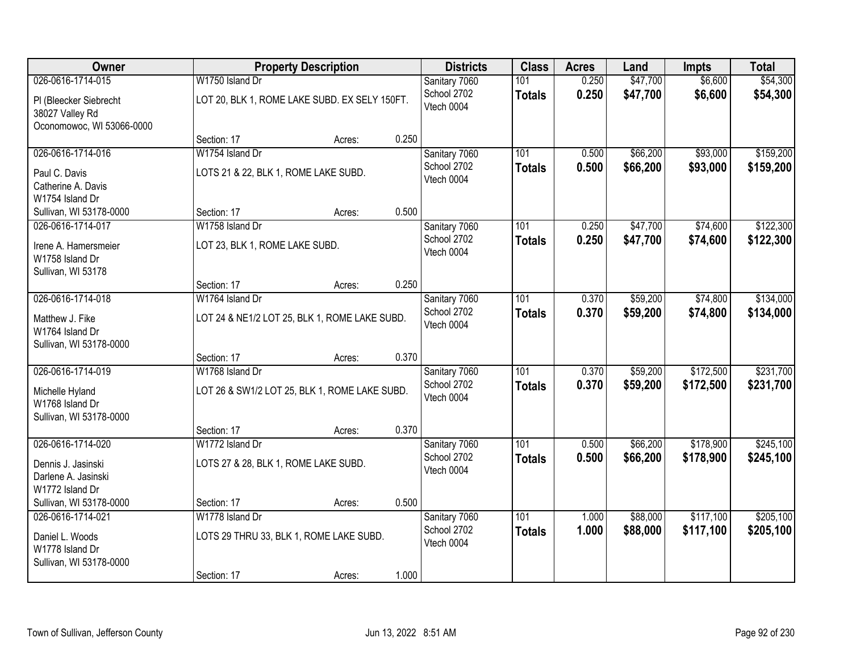| Owner                                     |                                               | <b>Property Description</b>                   |       | <b>Districts</b>          | <b>Class</b>  | <b>Acres</b> | Land     | <b>Impts</b> | <b>Total</b> |
|-------------------------------------------|-----------------------------------------------|-----------------------------------------------|-------|---------------------------|---------------|--------------|----------|--------------|--------------|
| 026-0616-1714-015                         | W1750 Island Dr                               |                                               |       | Sanitary 7060             | 101           | 0.250        | \$47,700 | \$6,600      | \$54,300     |
| PI (Bleecker Siebrecht<br>38027 Valley Rd |                                               | LOT 20, BLK 1, ROME LAKE SUBD. EX SELY 150FT. |       | School 2702<br>Vtech 0004 | <b>Totals</b> | 0.250        | \$47,700 | \$6,600      | \$54,300     |
| Oconomowoc, WI 53066-0000                 | Section: 17                                   | Acres:                                        | 0.250 |                           |               |              |          |              |              |
| 026-0616-1714-016                         | W1754 Island Dr                               |                                               |       | Sanitary 7060             | 101           | 0.500        | \$66,200 | \$93,000     | \$159,200    |
|                                           |                                               |                                               |       | School 2702               | <b>Totals</b> | 0.500        | \$66,200 | \$93,000     | \$159,200    |
| Paul C. Davis                             | LOTS 21 & 22, BLK 1, ROME LAKE SUBD.          |                                               |       | Vtech 0004                |               |              |          |              |              |
| Catherine A. Davis<br>W1754 Island Dr     |                                               |                                               |       |                           |               |              |          |              |              |
| Sullivan, WI 53178-0000                   | Section: 17                                   | Acres:                                        | 0.500 |                           |               |              |          |              |              |
| 026-0616-1714-017                         | W1758 Island Dr                               |                                               |       | Sanitary 7060             | 101           | 0.250        | \$47,700 | \$74,600     | \$122,300    |
|                                           |                                               |                                               |       | School 2702               | <b>Totals</b> | 0.250        | \$47,700 | \$74,600     | \$122,300    |
| Irene A. Hamersmeier<br>W1758 Island Dr   | LOT 23, BLK 1, ROME LAKE SUBD.                |                                               |       | Vtech 0004                |               |              |          |              |              |
| Sullivan, WI 53178                        |                                               |                                               |       |                           |               |              |          |              |              |
|                                           | Section: 17                                   | Acres:                                        | 0.250 |                           |               |              |          |              |              |
| 026-0616-1714-018                         | W1764 Island Dr                               |                                               |       | Sanitary 7060             | 101           | 0.370        | \$59,200 | \$74,800     | \$134,000    |
| Matthew J. Fike                           | LOT 24 & NE1/2 LOT 25, BLK 1, ROME LAKE SUBD. |                                               |       | School 2702               | <b>Totals</b> | 0.370        | \$59,200 | \$74,800     | \$134,000    |
| W1764 Island Dr                           |                                               |                                               |       | Vtech 0004                |               |              |          |              |              |
| Sullivan, WI 53178-0000                   |                                               |                                               |       |                           |               |              |          |              |              |
|                                           | Section: 17                                   | Acres:                                        | 0.370 |                           |               |              |          |              |              |
| 026-0616-1714-019                         | W1768 Island Dr                               |                                               |       | Sanitary 7060             | 101           | 0.370        | \$59,200 | \$172,500    | \$231,700    |
| Michelle Hyland                           | LOT 26 & SW1/2 LOT 25, BLK 1, ROME LAKE SUBD. |                                               |       | School 2702               | <b>Totals</b> | 0.370        | \$59,200 | \$172,500    | \$231,700    |
| W1768 Island Dr                           |                                               |                                               |       | Vtech 0004                |               |              |          |              |              |
| Sullivan, WI 53178-0000                   |                                               |                                               |       |                           |               |              |          |              |              |
|                                           | Section: 17                                   | Acres:                                        | 0.370 |                           |               |              |          |              |              |
| 026-0616-1714-020                         | W1772 Island Dr                               |                                               |       | Sanitary 7060             | 101           | 0.500        | \$66,200 | \$178,900    | \$245,100    |
| Dennis J. Jasinski                        | LOTS 27 & 28, BLK 1, ROME LAKE SUBD.          |                                               |       | School 2702               | <b>Totals</b> | 0.500        | \$66,200 | \$178,900    | \$245,100    |
| Darlene A. Jasinski                       |                                               |                                               |       | Vtech 0004                |               |              |          |              |              |
| W1772 Island Dr                           |                                               |                                               |       |                           |               |              |          |              |              |
| Sullivan, WI 53178-0000                   | Section: 17                                   | Acres:                                        | 0.500 |                           |               |              |          |              |              |
| 026-0616-1714-021                         | W1778 Island Dr                               |                                               |       | Sanitary 7060             | 101           | 1.000        | \$88,000 | \$117,100    | \$205,100    |
| Daniel L. Woods                           | LOTS 29 THRU 33, BLK 1, ROME LAKE SUBD.       |                                               |       | School 2702<br>Vtech 0004 | <b>Totals</b> | 1.000        | \$88,000 | \$117,100    | \$205,100    |
| W1778 Island Dr                           |                                               |                                               |       |                           |               |              |          |              |              |
| Sullivan, WI 53178-0000                   |                                               |                                               |       |                           |               |              |          |              |              |
|                                           | Section: 17                                   | Acres:                                        | 1.000 |                           |               |              |          |              |              |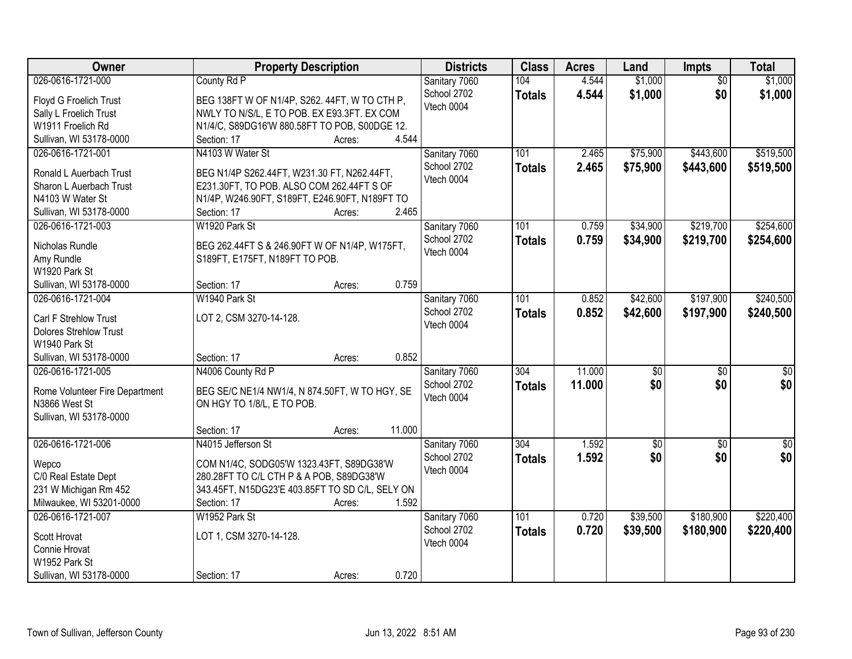| Owner<br><b>Districts</b><br><b>Class</b><br><b>Acres</b><br><b>Property Description</b><br>Land<br>Impts                          | <b>Total</b>                       |
|------------------------------------------------------------------------------------------------------------------------------------|------------------------------------|
| \$1,000<br>026-0616-1721-000<br>County Rd P<br>104<br>4.544<br>Sanitary 7060                                                       | \$1,000<br>$\overline{50}$         |
| 4.544<br>\$1,000<br>School 2702<br><b>Totals</b><br>BEG 138FT W OF N1/4P, S262. 44FT, W TO CTH P,<br>Floyd G Froelich Trust        | \$1,000<br>\$0                     |
| Vtech 0004<br>NWLY TO N/S/L, E TO POB. EX E93.3FT. EX COM<br>Sally L Froelich Trust                                                |                                    |
| W1911 Froelich Rd<br>N1/4/C, S89DG16'W 880.58FT TO POB, S00DGE 12.                                                                 |                                    |
| 4.544<br>Sullivan, WI 53178-0000<br>Section: 17<br>Acres:                                                                          |                                    |
| N4103 W Water St<br>\$75,900<br>\$443,600<br>026-0616-1721-001<br>Sanitary 7060<br>101<br>2.465                                    | \$519,500                          |
| 2.465<br>\$75,900<br>School 2702<br>\$443,600<br><b>Totals</b>                                                                     | \$519,500                          |
| Ronald L Auerbach Trust<br>BEG N1/4P S262.44FT, W231.30 FT, N262.44FT,<br>Vtech 0004                                               |                                    |
| E231.30FT, TO POB. ALSO COM 262.44FT S OF<br>Sharon L Auerbach Trust                                                               |                                    |
| N4103 W Water St<br>N1/4P, W246.90FT, S189FT, E246.90FT, N189FT TO                                                                 |                                    |
| 2.465<br>Sullivan, WI 53178-0000<br>Section: 17<br>Acres:                                                                          |                                    |
| \$219,700<br>026-0616-1721-003<br>W1920 Park St<br>Sanitary 7060<br>101<br>0.759<br>\$34,900                                       | \$254,600                          |
| School 2702<br>0.759<br>\$34,900<br>\$219,700<br><b>Totals</b><br>Nicholas Rundle<br>BEG 262.44FT S & 246.90FT W OF N1/4P, W175FT, | \$254,600                          |
| Vtech 0004<br>S189FT, E175FT, N189FT TO POB.<br>Amy Rundle                                                                         |                                    |
| W1920 Park St                                                                                                                      |                                    |
| 0.759<br>Sullivan, WI 53178-0000<br>Section: 17<br>Acres:                                                                          |                                    |
| \$42,600<br>\$197,900<br>026-0616-1721-004<br>W1940 Park St<br>Sanitary 7060<br>101<br>0.852                                       | \$240,500                          |
| School 2702<br>0.852<br>\$42,600<br>\$197,900<br><b>Totals</b>                                                                     | \$240,500                          |
| LOT 2, CSM 3270-14-128.<br>Carl F Strehlow Trust<br>Vtech 0004                                                                     |                                    |
| <b>Dolores Strehlow Trust</b>                                                                                                      |                                    |
| W1940 Park St                                                                                                                      |                                    |
| 0.852<br>Sullivan, WI 53178-0000<br>Section: 17<br>Acres:                                                                          |                                    |
| N4006 County Rd P<br>11.000<br>026-0616-1721-005<br>$\overline{304}$<br>$\overline{50}$<br>Sanitary 7060                           | $\overline{50}$<br>$\overline{50}$ |
| 11.000<br>\$0<br>School 2702<br><b>Totals</b><br>Rome Volunteer Fire Department<br>BEG SE/C NE1/4 NW1/4, N 874.50FT, W TO HGY, SE  | \$0<br>\$0                         |
| Vtech 0004<br>N3866 West St<br>ON HGY TO 1/8/L, E TO POB.                                                                          |                                    |
| Sullivan, WI 53178-0000                                                                                                            |                                    |
| 11.000<br>Section: 17<br>Acres:                                                                                                    |                                    |
| 026-0616-1721-006<br>304<br>1.592<br>N4015 Jefferson St<br>Sanitary 7060<br>$\sqrt{50}$                                            | $\sqrt{30}$<br>$\overline{50}$     |
| \$0<br>School 2702<br>1.592<br><b>Totals</b>                                                                                       | \$0<br>\$0                         |
| COM N1/4C, SODG05'W 1323.43FT, S89DG38'W<br>Wepco<br>Vtech 0004                                                                    |                                    |
| 280.28FT TO C/L CTH P & A POB, S89DG38'W<br>C/0 Real Estate Dept                                                                   |                                    |
| 231 W Michigan Rm 452<br>343.45FT, N15DG23'E 403.85FT TO SD C/L, SELY ON                                                           |                                    |
| 1.592<br>Milwaukee, WI 53201-0000<br>Section: 17<br>Acres:                                                                         |                                    |
| 026-0616-1721-007<br>W1952 Park St<br>101<br>0.720<br>\$39,500<br>\$180,900<br>Sanitary 7060                                       | \$220,400                          |
| 0.720<br>School 2702<br>\$39,500<br>\$180,900<br><b>Totals</b><br>LOT 1, CSM 3270-14-128.<br>Scott Hrovat                          | \$220,400                          |
| Vtech 0004<br>Connie Hrovat                                                                                                        |                                    |
| W1952 Park St                                                                                                                      |                                    |
| 0.720<br>Sullivan, WI 53178-0000<br>Section: 17<br>Acres:                                                                          |                                    |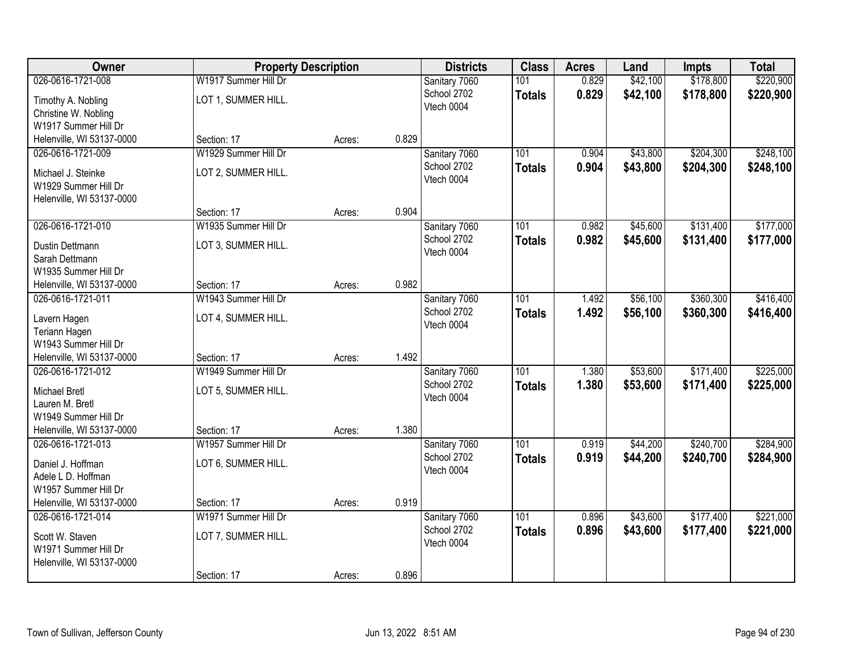| Owner                     |                      | <b>Property Description</b> |       | <b>Districts</b> | <b>Class</b>  | <b>Acres</b> | Land     | <b>Impts</b> | <b>Total</b> |
|---------------------------|----------------------|-----------------------------|-------|------------------|---------------|--------------|----------|--------------|--------------|
| 026-0616-1721-008         | W1917 Summer Hill Dr |                             |       | Sanitary 7060    | 101           | 0.829        | \$42,100 | \$178,800    | \$220,900    |
| Timothy A. Nobling        | LOT 1, SUMMER HILL.  |                             |       | School 2702      | <b>Totals</b> | 0.829        | \$42,100 | \$178,800    | \$220,900    |
| Christine W. Nobling      |                      |                             |       | Vtech 0004       |               |              |          |              |              |
| W1917 Summer Hill Dr      |                      |                             |       |                  |               |              |          |              |              |
| Helenville, WI 53137-0000 | Section: 17          | Acres:                      | 0.829 |                  |               |              |          |              |              |
| 026-0616-1721-009         | W1929 Summer Hill Dr |                             |       | Sanitary 7060    | 101           | 0.904        | \$43,800 | \$204,300    | \$248,100    |
| Michael J. Steinke        | LOT 2, SUMMER HILL.  |                             |       | School 2702      | <b>Totals</b> | 0.904        | \$43,800 | \$204,300    | \$248,100    |
| W1929 Summer Hill Dr      |                      |                             |       | Vtech 0004       |               |              |          |              |              |
| Helenville, WI 53137-0000 |                      |                             |       |                  |               |              |          |              |              |
|                           | Section: 17          | Acres:                      | 0.904 |                  |               |              |          |              |              |
| 026-0616-1721-010         | W1935 Summer Hill Dr |                             |       | Sanitary 7060    | 101           | 0.982        | \$45,600 | \$131,400    | \$177,000    |
| Dustin Dettmann           | LOT 3, SUMMER HILL.  |                             |       | School 2702      | <b>Totals</b> | 0.982        | \$45,600 | \$131,400    | \$177,000    |
| Sarah Dettmann            |                      |                             |       | Vtech 0004       |               |              |          |              |              |
| W1935 Summer Hill Dr      |                      |                             |       |                  |               |              |          |              |              |
| Helenville, WI 53137-0000 | Section: 17          | Acres:                      | 0.982 |                  |               |              |          |              |              |
| 026-0616-1721-011         | W1943 Summer Hill Dr |                             |       | Sanitary 7060    | 101           | 1.492        | \$56,100 | \$360,300    | \$416,400    |
| Lavern Hagen              | LOT 4, SUMMER HILL.  |                             |       | School 2702      | <b>Totals</b> | 1.492        | \$56,100 | \$360,300    | \$416,400    |
| Teriann Hagen             |                      |                             |       | Vtech 0004       |               |              |          |              |              |
| W1943 Summer Hill Dr      |                      |                             |       |                  |               |              |          |              |              |
| Helenville, WI 53137-0000 | Section: 17          | Acres:                      | 1.492 |                  |               |              |          |              |              |
| 026-0616-1721-012         | W1949 Summer Hill Dr |                             |       | Sanitary 7060    | 101           | 1.380        | \$53,600 | \$171,400    | \$225,000    |
| <b>Michael Bretl</b>      | LOT 5, SUMMER HILL.  |                             |       | School 2702      | <b>Totals</b> | 1.380        | \$53,600 | \$171,400    | \$225,000    |
| Lauren M. Bretl           |                      |                             |       | Vtech 0004       |               |              |          |              |              |
| W1949 Summer Hill Dr      |                      |                             |       |                  |               |              |          |              |              |
| Helenville, WI 53137-0000 | Section: 17          | Acres:                      | 1.380 |                  |               |              |          |              |              |
| 026-0616-1721-013         | W1957 Summer Hill Dr |                             |       | Sanitary 7060    | 101           | 0.919        | \$44,200 | \$240,700    | \$284,900    |
| Daniel J. Hoffman         | LOT 6, SUMMER HILL.  |                             |       | School 2702      | <b>Totals</b> | 0.919        | \$44,200 | \$240,700    | \$284,900    |
| Adele L D. Hoffman        |                      |                             |       | Vtech 0004       |               |              |          |              |              |
| W1957 Summer Hill Dr      |                      |                             |       |                  |               |              |          |              |              |
| Helenville, WI 53137-0000 | Section: 17          | Acres:                      | 0.919 |                  |               |              |          |              |              |
| 026-0616-1721-014         | W1971 Summer Hill Dr |                             |       | Sanitary 7060    | 101           | 0.896        | \$43,600 | \$177,400    | \$221,000    |
| Scott W. Staven           | LOT 7, SUMMER HILL.  |                             |       | School 2702      | <b>Totals</b> | 0.896        | \$43,600 | \$177,400    | \$221,000    |
| W1971 Summer Hill Dr      |                      |                             |       | Vtech 0004       |               |              |          |              |              |
| Helenville, WI 53137-0000 |                      |                             |       |                  |               |              |          |              |              |
|                           | Section: 17          | Acres:                      | 0.896 |                  |               |              |          |              |              |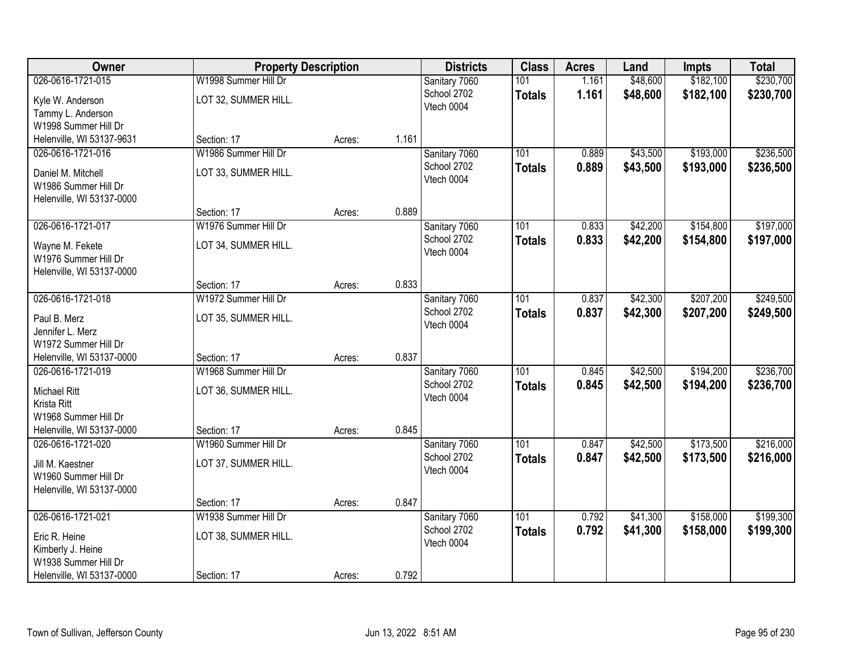| Owner                                                                                                        | <b>Property Description</b>                                 |        |       | <b>Districts</b>                           | <b>Class</b>                      | <b>Acres</b>   | Land                 | <b>Impts</b>           | <b>Total</b>           |
|--------------------------------------------------------------------------------------------------------------|-------------------------------------------------------------|--------|-------|--------------------------------------------|-----------------------------------|----------------|----------------------|------------------------|------------------------|
| 026-0616-1721-015<br>Kyle W. Anderson<br>Tammy L. Anderson                                                   | W1998 Summer Hill Dr<br>LOT 32, SUMMER HILL.                |        |       | Sanitary 7060<br>School 2702<br>Vtech 0004 | 101<br><b>Totals</b>              | 1.161<br>1.161 | \$48,600<br>\$48,600 | \$182,100<br>\$182,100 | \$230,700<br>\$230,700 |
| W1998 Summer Hill Dr<br>Helenville, WI 53137-9631                                                            | Section: 17                                                 | Acres: | 1.161 |                                            |                                   |                |                      |                        |                        |
| 026-0616-1721-016<br>Daniel M. Mitchell<br>W1986 Summer Hill Dr<br>Helenville, WI 53137-0000                 | W1986 Summer Hill Dr<br>LOT 33, SUMMER HILL.                |        |       | Sanitary 7060<br>School 2702<br>Vtech 0004 | 101<br><b>Totals</b>              | 0.889<br>0.889 | \$43,500<br>\$43,500 | \$193,000<br>\$193,000 | \$236,500<br>\$236,500 |
|                                                                                                              | Section: 17                                                 | Acres: | 0.889 |                                            |                                   |                |                      |                        |                        |
| 026-0616-1721-017<br>Wayne M. Fekete<br>W1976 Summer Hill Dr<br>Helenville, WI 53137-0000                    | W1976 Summer Hill Dr<br>LOT 34, SUMMER HILL.                |        |       | Sanitary 7060<br>School 2702<br>Vtech 0004 | 101<br><b>Totals</b>              | 0.833<br>0.833 | \$42,200<br>\$42,200 | \$154,800<br>\$154,800 | \$197,000<br>\$197,000 |
|                                                                                                              | Section: 17                                                 | Acres: | 0.833 |                                            |                                   |                |                      |                        |                        |
| 026-0616-1721-018<br>Paul B. Merz<br>Jennifer L. Merz<br>W1972 Summer Hill Dr                                | W1972 Summer Hill Dr<br>LOT 35, SUMMER HILL.                |        |       | Sanitary 7060<br>School 2702<br>Vtech 0004 | 101<br><b>Totals</b>              | 0.837<br>0.837 | \$42,300<br>\$42,300 | \$207,200<br>\$207,200 | \$249,500<br>\$249,500 |
| Helenville, WI 53137-0000                                                                                    | Section: 17                                                 | Acres: | 0.837 |                                            |                                   |                |                      |                        |                        |
| 026-0616-1721-019<br><b>Michael Ritt</b><br>Krista Ritt<br>W1968 Summer Hill Dr<br>Helenville, WI 53137-0000 | W1968 Summer Hill Dr<br>LOT 36, SUMMER HILL.<br>Section: 17 | Acres: | 0.845 | Sanitary 7060<br>School 2702<br>Vtech 0004 | 101<br><b>Totals</b>              | 0.845<br>0.845 | \$42,500<br>\$42,500 | \$194,200<br>\$194,200 | \$236,700<br>\$236,700 |
| 026-0616-1721-020<br>Jill M. Kaestner<br>W1960 Summer Hill Dr<br>Helenville, WI 53137-0000                   | W1960 Summer Hill Dr<br>LOT 37, SUMMER HILL.                |        |       | Sanitary 7060<br>School 2702<br>Vtech 0004 | $\overline{101}$<br><b>Totals</b> | 0.847<br>0.847 | \$42,500<br>\$42,500 | \$173,500<br>\$173,500 | \$216,000<br>\$216,000 |
|                                                                                                              | Section: 17                                                 | Acres: | 0.847 |                                            |                                   |                |                      |                        |                        |
| 026-0616-1721-021<br>Eric R. Heine<br>Kimberly J. Heine<br>W1938 Summer Hill Dr<br>Helenville, WI 53137-0000 | W1938 Summer Hill Dr<br>LOT 38, SUMMER HILL.<br>Section: 17 | Acres: | 0.792 | Sanitary 7060<br>School 2702<br>Vtech 0004 | 101<br><b>Totals</b>              | 0.792<br>0.792 | \$41,300<br>\$41,300 | \$158,000<br>\$158,000 | \$199,300<br>\$199,300 |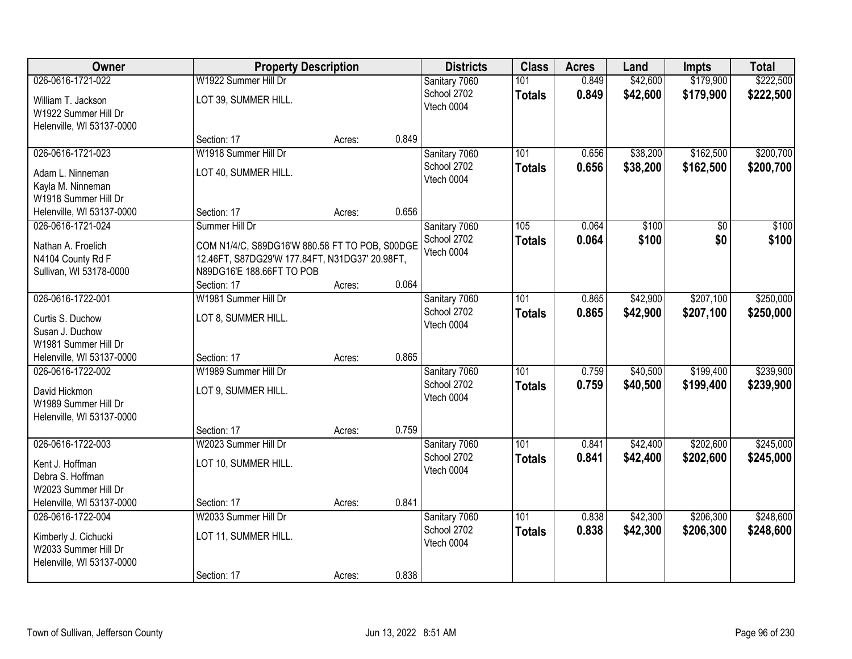| Owner                     | <b>Property Description</b>                    |        |       | <b>Districts</b> | <b>Class</b>  | <b>Acres</b> | Land     | <b>Impts</b> | <b>Total</b> |
|---------------------------|------------------------------------------------|--------|-------|------------------|---------------|--------------|----------|--------------|--------------|
| 026-0616-1721-022         | W1922 Summer Hill Dr                           |        |       | Sanitary 7060    | 101           | 0.849        | \$42,600 | \$179,900    | \$222,500    |
| William T. Jackson        | LOT 39, SUMMER HILL.                           |        |       | School 2702      | <b>Totals</b> | 0.849        | \$42,600 | \$179,900    | \$222,500    |
| W1922 Summer Hill Dr      |                                                |        |       | Vtech 0004       |               |              |          |              |              |
| Helenville, WI 53137-0000 |                                                |        |       |                  |               |              |          |              |              |
|                           | Section: 17                                    | Acres: | 0.849 |                  |               |              |          |              |              |
| 026-0616-1721-023         | W1918 Summer Hill Dr                           |        |       | Sanitary 7060    | 101           | 0.656        | \$38,200 | \$162,500    | \$200,700    |
| Adam L. Ninneman          | LOT 40, SUMMER HILL.                           |        |       | School 2702      | <b>Totals</b> | 0.656        | \$38,200 | \$162,500    | \$200,700    |
| Kayla M. Ninneman         |                                                |        |       | Vtech 0004       |               |              |          |              |              |
| W1918 Summer Hill Dr      |                                                |        |       |                  |               |              |          |              |              |
| Helenville, WI 53137-0000 | Section: 17                                    | Acres: | 0.656 |                  |               |              |          |              |              |
| 026-0616-1721-024         | Summer Hill Dr                                 |        |       | Sanitary 7060    | 105           | 0.064        | \$100    | \$0          | \$100        |
| Nathan A. Froelich        | COM N1/4/C, S89DG16'W 880.58 FT TO POB, S00DGE |        |       | School 2702      | <b>Totals</b> | 0.064        | \$100    | \$0          | \$100        |
| N4104 County Rd F         | 12.46FT, S87DG29'W 177.84FT, N31DG37' 20.98FT, |        |       | Vtech 0004       |               |              |          |              |              |
| Sullivan, WI 53178-0000   | N89DG16'E 188.66FT TO POB                      |        |       |                  |               |              |          |              |              |
|                           | Section: 17                                    | Acres: | 0.064 |                  |               |              |          |              |              |
| 026-0616-1722-001         | W1981 Summer Hill Dr                           |        |       | Sanitary 7060    | 101           | 0.865        | \$42,900 | \$207,100    | \$250,000    |
| Curtis S. Duchow          | LOT 8, SUMMER HILL.                            |        |       | School 2702      | <b>Totals</b> | 0.865        | \$42,900 | \$207,100    | \$250,000    |
| Susan J. Duchow           |                                                |        |       | Vtech 0004       |               |              |          |              |              |
| W1981 Summer Hill Dr      |                                                |        |       |                  |               |              |          |              |              |
| Helenville, WI 53137-0000 | Section: 17                                    | Acres: | 0.865 |                  |               |              |          |              |              |
| 026-0616-1722-002         | W1989 Summer Hill Dr                           |        |       | Sanitary 7060    | 101           | 0.759        | \$40,500 | \$199,400    | \$239,900    |
| David Hickmon             | LOT 9, SUMMER HILL.                            |        |       | School 2702      | <b>Totals</b> | 0.759        | \$40,500 | \$199,400    | \$239,900    |
| W1989 Summer Hill Dr      |                                                |        |       | Vtech 0004       |               |              |          |              |              |
| Helenville, WI 53137-0000 |                                                |        |       |                  |               |              |          |              |              |
|                           | Section: 17                                    | Acres: | 0.759 |                  |               |              |          |              |              |
| 026-0616-1722-003         | W2023 Summer Hill Dr                           |        |       | Sanitary 7060    | 101           | 0.841        | \$42,400 | \$202,600    | \$245,000    |
| Kent J. Hoffman           | LOT 10, SUMMER HILL.                           |        |       | School 2702      | <b>Totals</b> | 0.841        | \$42,400 | \$202,600    | \$245,000    |
| Debra S. Hoffman          |                                                |        |       | Vtech 0004       |               |              |          |              |              |
| W2023 Summer Hill Dr      |                                                |        |       |                  |               |              |          |              |              |
| Helenville, WI 53137-0000 | Section: 17                                    | Acres: | 0.841 |                  |               |              |          |              |              |
| 026-0616-1722-004         | W2033 Summer Hill Dr                           |        |       | Sanitary 7060    | 101           | 0.838        | \$42,300 | \$206,300    | \$248,600    |
| Kimberly J. Cichucki      | LOT 11, SUMMER HILL.                           |        |       | School 2702      | <b>Totals</b> | 0.838        | \$42,300 | \$206,300    | \$248,600    |
| W2033 Summer Hill Dr      |                                                |        |       | Vtech 0004       |               |              |          |              |              |
| Helenville, WI 53137-0000 |                                                |        |       |                  |               |              |          |              |              |
|                           | Section: 17                                    | Acres: | 0.838 |                  |               |              |          |              |              |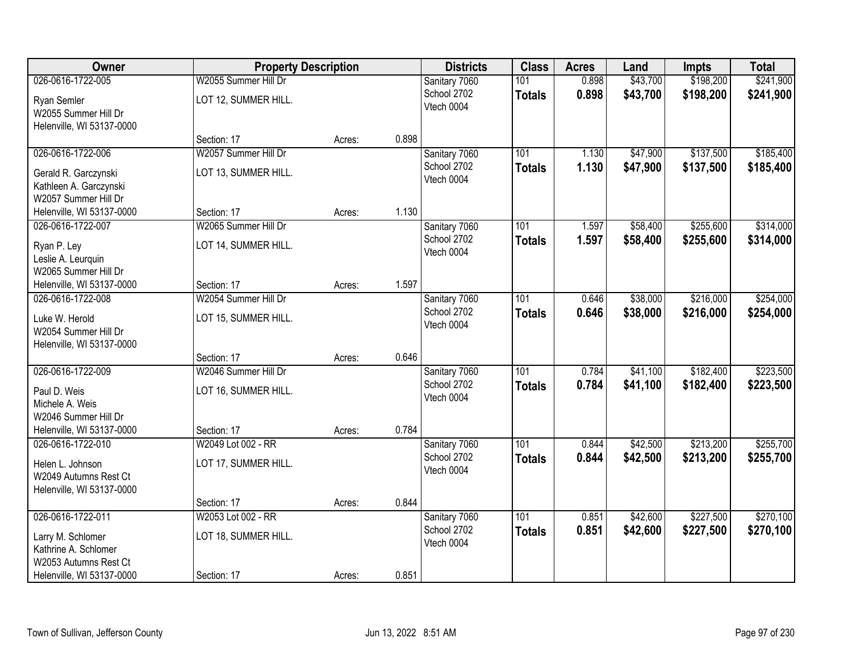| Owner                     | <b>Property Description</b> |        |       | <b>Districts</b>          | <b>Class</b>  | <b>Acres</b> | Land     | <b>Impts</b> | <b>Total</b> |
|---------------------------|-----------------------------|--------|-------|---------------------------|---------------|--------------|----------|--------------|--------------|
| 026-0616-1722-005         | W2055 Summer Hill Dr        |        |       | Sanitary 7060             | 101           | 0.898        | \$43,700 | \$198,200    | \$241,900    |
| Ryan Semler               | LOT 12, SUMMER HILL.        |        |       | School 2702               | <b>Totals</b> | 0.898        | \$43,700 | \$198,200    | \$241,900    |
| W2055 Summer Hill Dr      |                             |        |       | Vtech 0004                |               |              |          |              |              |
| Helenville, WI 53137-0000 |                             |        |       |                           |               |              |          |              |              |
|                           | Section: 17                 | Acres: | 0.898 |                           |               |              |          |              |              |
| 026-0616-1722-006         | W2057 Summer Hill Dr        |        |       | Sanitary 7060             | 101           | 1.130        | \$47,900 | \$137,500    | \$185,400    |
| Gerald R. Garczynski      | LOT 13, SUMMER HILL.        |        |       | School 2702<br>Vtech 0004 | <b>Totals</b> | 1.130        | \$47,900 | \$137,500    | \$185,400    |
| Kathleen A. Garczynski    |                             |        |       |                           |               |              |          |              |              |
| W2057 Summer Hill Dr      |                             |        |       |                           |               |              |          |              |              |
| Helenville, WI 53137-0000 | Section: 17                 | Acres: | 1.130 |                           |               |              |          |              |              |
| 026-0616-1722-007         | W2065 Summer Hill Dr        |        |       | Sanitary 7060             | 101           | 1.597        | \$58,400 | \$255,600    | \$314,000    |
| Ryan P. Ley               | LOT 14, SUMMER HILL.        |        |       | School 2702<br>Vtech 0004 | <b>Totals</b> | 1.597        | \$58,400 | \$255,600    | \$314,000    |
| Leslie A. Leurquin        |                             |        |       |                           |               |              |          |              |              |
| W2065 Summer Hill Dr      |                             |        |       |                           |               |              |          |              |              |
| Helenville, WI 53137-0000 | Section: 17                 | Acres: | 1.597 |                           |               |              |          |              |              |
| 026-0616-1722-008         | W2054 Summer Hill Dr        |        |       | Sanitary 7060             | 101           | 0.646        | \$38,000 | \$216,000    | \$254,000    |
| Luke W. Herold            | LOT 15, SUMMER HILL.        |        |       | School 2702<br>Vtech 0004 | <b>Totals</b> | 0.646        | \$38,000 | \$216,000    | \$254,000    |
| W2054 Summer Hill Dr      |                             |        |       |                           |               |              |          |              |              |
| Helenville, WI 53137-0000 |                             |        |       |                           |               |              |          |              |              |
|                           | Section: 17                 | Acres: | 0.646 |                           |               |              |          |              |              |
| 026-0616-1722-009         | W2046 Summer Hill Dr        |        |       | Sanitary 7060             | 101           | 0.784        | \$41,100 | \$182,400    | \$223,500    |
| Paul D. Weis              | LOT 16, SUMMER HILL.        |        |       | School 2702<br>Vtech 0004 | <b>Totals</b> | 0.784        | \$41,100 | \$182,400    | \$223,500    |
| Michele A. Weis           |                             |        |       |                           |               |              |          |              |              |
| W2046 Summer Hill Dr      |                             |        |       |                           |               |              |          |              |              |
| Helenville, WI 53137-0000 | Section: 17                 | Acres: | 0.784 |                           |               |              |          |              |              |
| 026-0616-1722-010         | W2049 Lot 002 - RR          |        |       | Sanitary 7060             | 101           | 0.844        | \$42,500 | \$213,200    | \$255,700    |
| Helen L. Johnson          | LOT 17, SUMMER HILL.        |        |       | School 2702<br>Vtech 0004 | <b>Totals</b> | 0.844        | \$42,500 | \$213,200    | \$255,700    |
| W2049 Autumns Rest Ct     |                             |        |       |                           |               |              |          |              |              |
| Helenville, WI 53137-0000 |                             |        |       |                           |               |              |          |              |              |
|                           | Section: 17                 | Acres: | 0.844 |                           |               |              |          |              |              |
| 026-0616-1722-011         | W2053 Lot 002 - RR          |        |       | Sanitary 7060             | 101           | 0.851        | \$42,600 | \$227,500    | \$270,100    |
| Larry M. Schlomer         | LOT 18, SUMMER HILL.        |        |       | School 2702<br>Vtech 0004 | <b>Totals</b> | 0.851        | \$42,600 | \$227,500    | \$270,100    |
| Kathrine A. Schlomer      |                             |        |       |                           |               |              |          |              |              |
| W2053 Autumns Rest Ct     |                             |        |       |                           |               |              |          |              |              |
| Helenville, WI 53137-0000 | Section: 17                 | Acres: | 0.851 |                           |               |              |          |              |              |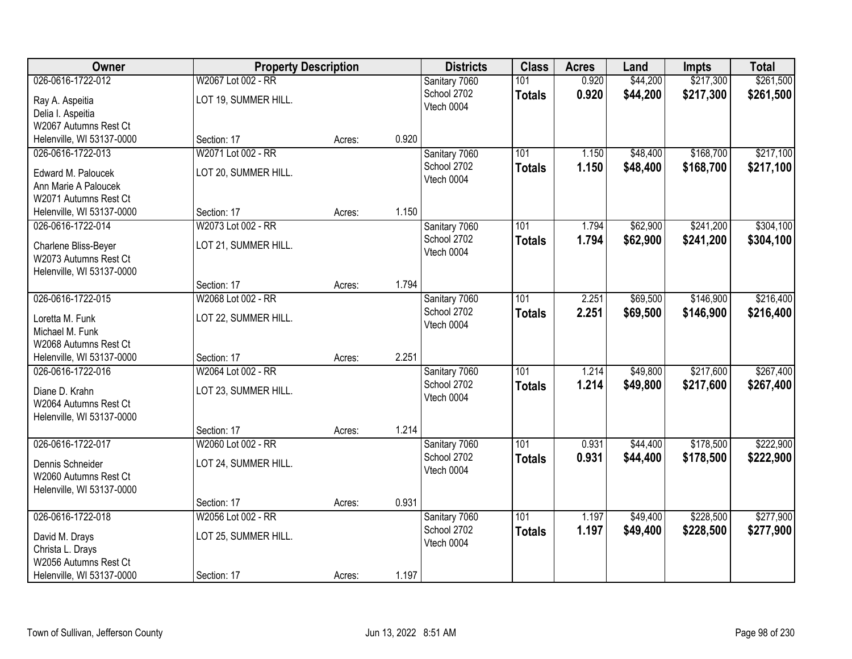| <b>Owner</b>                                  | <b>Property Description</b> |        |       | <b>Districts</b> | <b>Class</b>     | <b>Acres</b> | Land     | <b>Impts</b> | <b>Total</b> |
|-----------------------------------------------|-----------------------------|--------|-------|------------------|------------------|--------------|----------|--------------|--------------|
| 026-0616-1722-012                             | W2067 Lot 002 - RR          |        |       | Sanitary 7060    | 101              | 0.920        | \$44,200 | \$217,300    | \$261,500    |
| Ray A. Aspeitia                               | LOT 19, SUMMER HILL.        |        |       | School 2702      | <b>Totals</b>    | 0.920        | \$44,200 | \$217,300    | \$261,500    |
| Delia I. Aspeitia                             |                             |        |       | Vtech 0004       |                  |              |          |              |              |
| W2067 Autumns Rest Ct                         |                             |        |       |                  |                  |              |          |              |              |
| Helenville, WI 53137-0000                     | Section: 17                 | Acres: | 0.920 |                  |                  |              |          |              |              |
| 026-0616-1722-013                             | W2071 Lot 002 - RR          |        |       | Sanitary 7060    | 101              | 1.150        | \$48,400 | \$168,700    | \$217,100    |
|                                               |                             |        |       | School 2702      | <b>Totals</b>    | 1.150        | \$48,400 | \$168,700    | \$217,100    |
| Edward M. Paloucek                            | LOT 20, SUMMER HILL.        |        |       | Vtech 0004       |                  |              |          |              |              |
| Ann Marie A Paloucek<br>W2071 Autumns Rest Ct |                             |        |       |                  |                  |              |          |              |              |
| Helenville, WI 53137-0000                     | Section: 17                 | Acres: | 1.150 |                  |                  |              |          |              |              |
| 026-0616-1722-014                             | W2073 Lot 002 - RR          |        |       | Sanitary 7060    | 101              | 1.794        | \$62,900 | \$241,200    | \$304,100    |
|                                               |                             |        |       | School 2702      | <b>Totals</b>    | 1.794        | \$62,900 | \$241,200    | \$304,100    |
| Charlene Bliss-Beyer                          | LOT 21, SUMMER HILL.        |        |       | Vtech 0004       |                  |              |          |              |              |
| W2073 Autumns Rest Ct                         |                             |        |       |                  |                  |              |          |              |              |
| Helenville, WI 53137-0000                     |                             |        |       |                  |                  |              |          |              |              |
|                                               | Section: 17                 | Acres: | 1.794 |                  |                  |              |          |              |              |
| 026-0616-1722-015                             | W2068 Lot 002 - RR          |        |       | Sanitary 7060    | 101              | 2.251        | \$69,500 | \$146,900    | \$216,400    |
| Loretta M. Funk                               | LOT 22, SUMMER HILL.        |        |       | School 2702      | <b>Totals</b>    | 2.251        | \$69,500 | \$146,900    | \$216,400    |
| Michael M. Funk                               |                             |        |       | Vtech 0004       |                  |              |          |              |              |
| W2068 Autumns Rest Ct                         |                             |        |       |                  |                  |              |          |              |              |
| Helenville, WI 53137-0000                     | Section: 17                 | Acres: | 2.251 |                  |                  |              |          |              |              |
| 026-0616-1722-016                             | W2064 Lot 002 - RR          |        |       | Sanitary 7060    | 101              | 1.214        | \$49,800 | \$217,600    | \$267,400    |
|                                               |                             |        |       | School 2702      | <b>Totals</b>    | 1.214        | \$49,800 | \$217,600    | \$267,400    |
| Diane D. Krahn<br>W2064 Autumns Rest Ct       | LOT 23, SUMMER HILL.        |        |       | Vtech 0004       |                  |              |          |              |              |
| Helenville, WI 53137-0000                     |                             |        |       |                  |                  |              |          |              |              |
|                                               | Section: 17                 | Acres: | 1.214 |                  |                  |              |          |              |              |
| 026-0616-1722-017                             | W2060 Lot 002 - RR          |        |       | Sanitary 7060    | $\overline{101}$ | 0.931        | \$44,400 | \$178,500    | \$222,900    |
|                                               |                             |        |       | School 2702      | <b>Totals</b>    | 0.931        | \$44,400 | \$178,500    | \$222,900    |
| Dennis Schneider                              | LOT 24, SUMMER HILL.        |        |       | Vtech 0004       |                  |              |          |              |              |
| W2060 Autumns Rest Ct                         |                             |        |       |                  |                  |              |          |              |              |
| Helenville, WI 53137-0000                     |                             |        |       |                  |                  |              |          |              |              |
|                                               | Section: 17                 | Acres: | 0.931 |                  |                  |              |          |              |              |
| 026-0616-1722-018                             | W2056 Lot 002 - RR          |        |       | Sanitary 7060    | 101              | 1.197        | \$49,400 | \$228,500    | \$277,900    |
| David M. Drays                                | LOT 25, SUMMER HILL.        |        |       | School 2702      | <b>Totals</b>    | 1.197        | \$49,400 | \$228,500    | \$277,900    |
| Christa L. Drays                              |                             |        |       | Vtech 0004       |                  |              |          |              |              |
| W2056 Autumns Rest Ct                         |                             |        |       |                  |                  |              |          |              |              |
| Helenville, WI 53137-0000                     | Section: 17                 | Acres: | 1.197 |                  |                  |              |          |              |              |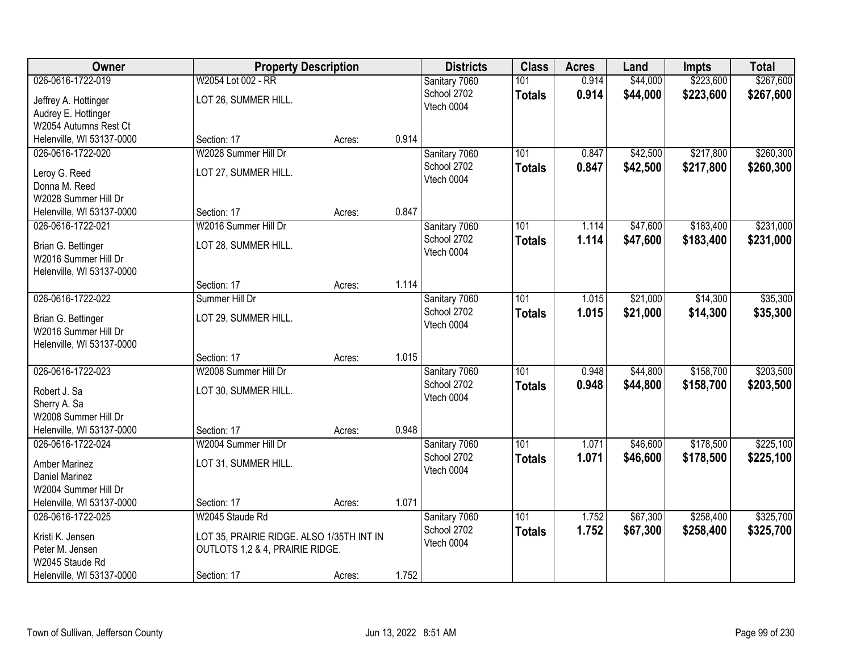| Owner                     | <b>Property Description</b>               |        |       | <b>Districts</b> | <b>Class</b>  | <b>Acres</b> | Land     | <b>Impts</b> | <b>Total</b> |
|---------------------------|-------------------------------------------|--------|-------|------------------|---------------|--------------|----------|--------------|--------------|
| 026-0616-1722-019         | W2054 Lot 002 - RR                        |        |       | Sanitary 7060    | 101           | 0.914        | \$44,000 | \$223,600    | \$267,600    |
| Jeffrey A. Hottinger      | LOT 26, SUMMER HILL.                      |        |       | School 2702      | <b>Totals</b> | 0.914        | \$44,000 | \$223,600    | \$267,600    |
| Audrey E. Hottinger       |                                           |        |       | Vtech 0004       |               |              |          |              |              |
| W2054 Autumns Rest Ct     |                                           |        |       |                  |               |              |          |              |              |
| Helenville, WI 53137-0000 | Section: 17                               | Acres: | 0.914 |                  |               |              |          |              |              |
| 026-0616-1722-020         | W2028 Summer Hill Dr                      |        |       | Sanitary 7060    | 101           | 0.847        | \$42,500 | \$217,800    | \$260,300    |
| Leroy G. Reed             | LOT 27, SUMMER HILL.                      |        |       | School 2702      | <b>Totals</b> | 0.847        | \$42,500 | \$217,800    | \$260,300    |
| Donna M. Reed             |                                           |        |       | Vtech 0004       |               |              |          |              |              |
| W2028 Summer Hill Dr      |                                           |        |       |                  |               |              |          |              |              |
| Helenville, WI 53137-0000 | Section: 17                               | Acres: | 0.847 |                  |               |              |          |              |              |
| 026-0616-1722-021         | W2016 Summer Hill Dr                      |        |       | Sanitary 7060    | 101           | 1.114        | \$47,600 | \$183,400    | \$231,000    |
| Brian G. Bettinger        | LOT 28, SUMMER HILL.                      |        |       | School 2702      | <b>Totals</b> | 1.114        | \$47,600 | \$183,400    | \$231,000    |
| W2016 Summer Hill Dr      |                                           |        |       | Vtech 0004       |               |              |          |              |              |
| Helenville, WI 53137-0000 |                                           |        |       |                  |               |              |          |              |              |
|                           | Section: 17                               | Acres: | 1.114 |                  |               |              |          |              |              |
| 026-0616-1722-022         | Summer Hill Dr                            |        |       | Sanitary 7060    | 101           | 1.015        | \$21,000 | \$14,300     | \$35,300     |
| Brian G. Bettinger        | LOT 29, SUMMER HILL.                      |        |       | School 2702      | <b>Totals</b> | 1.015        | \$21,000 | \$14,300     | \$35,300     |
| W2016 Summer Hill Dr      |                                           |        |       | Vtech 0004       |               |              |          |              |              |
| Helenville, WI 53137-0000 |                                           |        |       |                  |               |              |          |              |              |
|                           | Section: 17                               | Acres: | 1.015 |                  |               |              |          |              |              |
| 026-0616-1722-023         | W2008 Summer Hill Dr                      |        |       | Sanitary 7060    | 101           | 0.948        | \$44,800 | \$158,700    | \$203,500    |
| Robert J. Sa              | LOT 30, SUMMER HILL.                      |        |       | School 2702      | <b>Totals</b> | 0.948        | \$44,800 | \$158,700    | \$203,500    |
| Sherry A. Sa              |                                           |        |       | Vtech 0004       |               |              |          |              |              |
| W2008 Summer Hill Dr      |                                           |        |       |                  |               |              |          |              |              |
| Helenville, WI 53137-0000 | Section: 17                               | Acres: | 0.948 |                  |               |              |          |              |              |
| 026-0616-1722-024         | W2004 Summer Hill Dr                      |        |       | Sanitary 7060    | 101           | 1.071        | \$46,600 | \$178,500    | \$225,100    |
| <b>Amber Marinez</b>      | LOT 31, SUMMER HILL.                      |        |       | School 2702      | <b>Totals</b> | 1.071        | \$46,600 | \$178,500    | \$225,100    |
| Daniel Marinez            |                                           |        |       | Vtech 0004       |               |              |          |              |              |
| W2004 Summer Hill Dr      |                                           |        |       |                  |               |              |          |              |              |
| Helenville, WI 53137-0000 | Section: 17                               | Acres: | 1.071 |                  |               |              |          |              |              |
| 026-0616-1722-025         | W2045 Staude Rd                           |        |       | Sanitary 7060    | 101           | 1.752        | \$67,300 | \$258,400    | \$325,700    |
| Kristi K. Jensen          | LOT 35, PRAIRIE RIDGE. ALSO 1/35TH INT IN |        |       | School 2702      | <b>Totals</b> | 1.752        | \$67,300 | \$258,400    | \$325,700    |
| Peter M. Jensen           | OUTLOTS 1,2 & 4, PRAIRIE RIDGE.           |        |       | Vtech 0004       |               |              |          |              |              |
| W2045 Staude Rd           |                                           |        |       |                  |               |              |          |              |              |
| Helenville, WI 53137-0000 | Section: 17                               | Acres: | 1.752 |                  |               |              |          |              |              |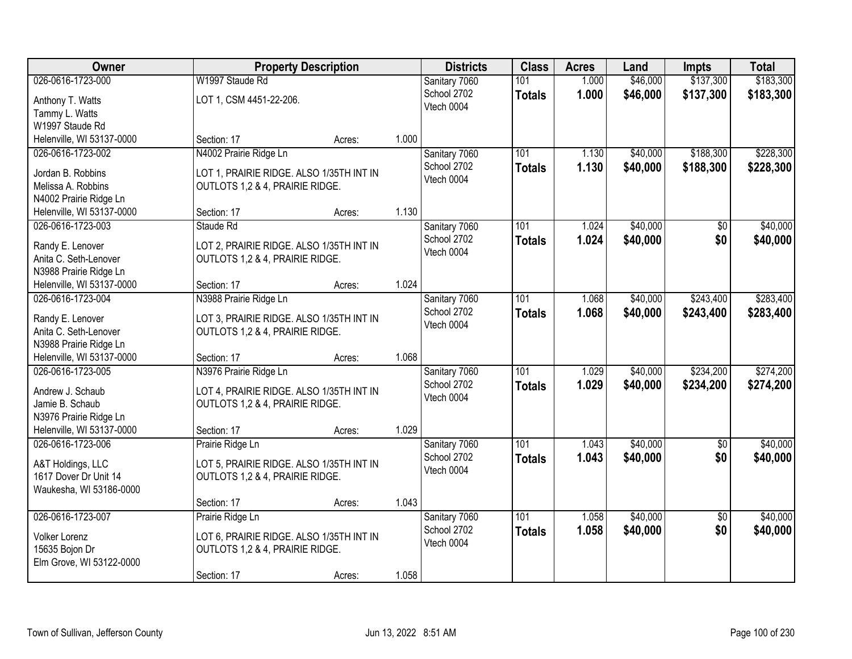| Owner                                               |                                          | <b>Property Description</b> |       | <b>Districts</b>             | <b>Class</b>     | <b>Acres</b> | Land     | <b>Impts</b>    | <b>Total</b> |
|-----------------------------------------------------|------------------------------------------|-----------------------------|-------|------------------------------|------------------|--------------|----------|-----------------|--------------|
| 026-0616-1723-000                                   | W1997 Staude Rd                          |                             |       | Sanitary 7060                | 101              | 1.000        | \$46,000 | \$137,300       | \$183,300    |
| Anthony T. Watts                                    | LOT 1, CSM 4451-22-206.                  |                             |       | School 2702                  | <b>Totals</b>    | 1.000        | \$46,000 | \$137,300       | \$183,300    |
| Tammy L. Watts                                      |                                          |                             |       | Vtech 0004                   |                  |              |          |                 |              |
| W1997 Staude Rd                                     |                                          |                             |       |                              |                  |              |          |                 |              |
| Helenville, WI 53137-0000                           | Section: 17                              | Acres:                      | 1.000 |                              |                  |              |          |                 |              |
| 026-0616-1723-002                                   | N4002 Prairie Ridge Ln                   |                             |       | Sanitary 7060                | 101              | 1.130        | \$40,000 | \$188,300       | \$228,300    |
| Jordan B. Robbins                                   | LOT 1, PRAIRIE RIDGE. ALSO 1/35TH INT IN |                             |       | School 2702                  | <b>Totals</b>    | 1.130        | \$40,000 | \$188,300       | \$228,300    |
| Melissa A. Robbins                                  | OUTLOTS 1,2 & 4, PRAIRIE RIDGE.          |                             |       | Vtech 0004                   |                  |              |          |                 |              |
| N4002 Prairie Ridge Ln                              |                                          |                             |       |                              |                  |              |          |                 |              |
| Helenville, WI 53137-0000                           | Section: 17                              | Acres:                      | 1.130 |                              |                  |              |          |                 |              |
| 026-0616-1723-003                                   | Staude Rd                                |                             |       | Sanitary 7060                | 101              | 1.024        | \$40,000 | \$0             | \$40,000     |
| Randy E. Lenover                                    | LOT 2, PRAIRIE RIDGE. ALSO 1/35TH INT IN |                             |       | School 2702                  | <b>Totals</b>    | 1.024        | \$40,000 | \$0             | \$40,000     |
| Anita C. Seth-Lenover                               | OUTLOTS 1,2 & 4, PRAIRIE RIDGE.          |                             |       | Vtech 0004                   |                  |              |          |                 |              |
| N3988 Prairie Ridge Ln                              |                                          |                             |       |                              |                  |              |          |                 |              |
| Helenville, WI 53137-0000                           | Section: 17                              | Acres:                      | 1.024 |                              |                  |              |          |                 |              |
| 026-0616-1723-004                                   | N3988 Prairie Ridge Ln                   |                             |       | Sanitary 7060                | 101              | 1.068        | \$40,000 | \$243,400       | \$283,400    |
|                                                     |                                          |                             |       | School 2702                  | <b>Totals</b>    | 1.068        | \$40,000 | \$243,400       | \$283,400    |
| Randy E. Lenover                                    | LOT 3, PRAIRIE RIDGE. ALSO 1/35TH INT IN |                             |       | Vtech 0004                   |                  |              |          |                 |              |
| Anita C. Seth-Lenover                               | OUTLOTS 1,2 & 4, PRAIRIE RIDGE.          |                             |       |                              |                  |              |          |                 |              |
| N3988 Prairie Ridge Ln<br>Helenville, WI 53137-0000 | Section: 17                              | Acres:                      | 1.068 |                              |                  |              |          |                 |              |
| 026-0616-1723-005                                   | N3976 Prairie Ridge Ln                   |                             |       | Sanitary 7060                | 101              | 1.029        | \$40,000 | \$234,200       | \$274,200    |
|                                                     |                                          |                             |       | School 2702                  | <b>Totals</b>    | 1.029        | \$40,000 | \$234,200       | \$274,200    |
| Andrew J. Schaub                                    | LOT 4, PRAIRIE RIDGE. ALSO 1/35TH INT IN |                             |       | Vtech 0004                   |                  |              |          |                 |              |
| Jamie B. Schaub                                     | OUTLOTS 1,2 & 4, PRAIRIE RIDGE.          |                             |       |                              |                  |              |          |                 |              |
| N3976 Prairie Ridge Ln                              |                                          |                             |       |                              |                  |              |          |                 |              |
| Helenville, WI 53137-0000                           | Section: 17                              | Acres:                      | 1.029 |                              |                  |              |          |                 |              |
| 026-0616-1723-006                                   | Prairie Ridge Ln                         |                             |       | Sanitary 7060<br>School 2702 | $\overline{101}$ | 1.043        | \$40,000 | $\overline{50}$ | \$40,000     |
| A&T Holdings, LLC                                   | LOT 5, PRAIRIE RIDGE. ALSO 1/35TH INT IN |                             |       | Vtech 0004                   | <b>Totals</b>    | 1.043        | \$40,000 | \$0             | \$40,000     |
| 1617 Dover Dr Unit 14                               | OUTLOTS 1,2 & 4, PRAIRIE RIDGE.          |                             |       |                              |                  |              |          |                 |              |
| Waukesha, WI 53186-0000                             |                                          |                             |       |                              |                  |              |          |                 |              |
|                                                     | Section: 17                              | Acres:                      | 1.043 |                              |                  |              |          |                 |              |
| 026-0616-1723-007                                   | Prairie Ridge Ln                         |                             |       | Sanitary 7060                | 101              | 1.058        | \$40,000 | $\overline{50}$ | \$40,000     |
| Volker Lorenz                                       | LOT 6, PRAIRIE RIDGE. ALSO 1/35TH INT IN |                             |       | School 2702                  | <b>Totals</b>    | 1.058        | \$40,000 | \$0             | \$40,000     |
| 15635 Bojon Dr                                      | OUTLOTS 1,2 & 4, PRAIRIE RIDGE.          |                             |       | Vtech 0004                   |                  |              |          |                 |              |
| Elm Grove, WI 53122-0000                            |                                          |                             |       |                              |                  |              |          |                 |              |
|                                                     | Section: 17                              | Acres:                      | 1.058 |                              |                  |              |          |                 |              |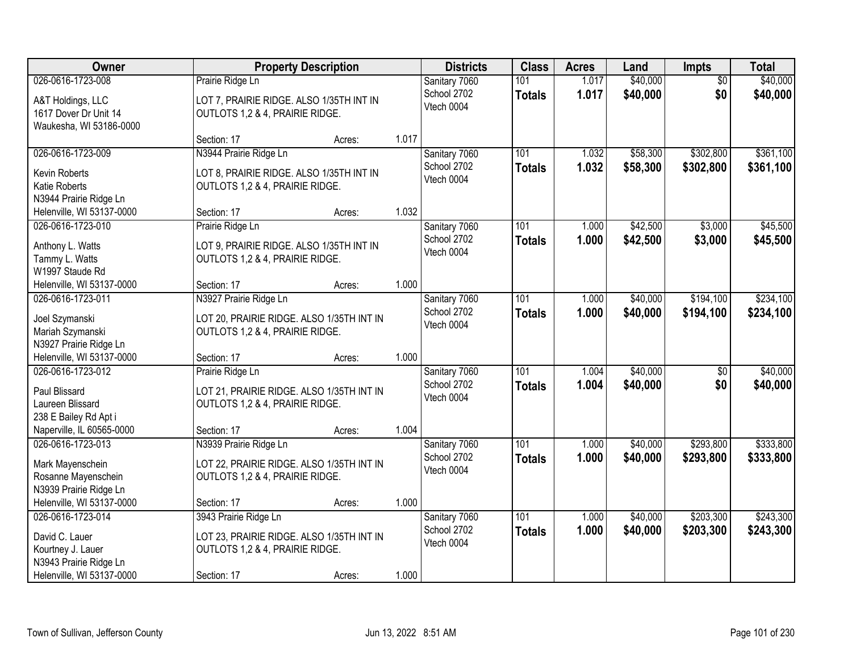| Owner                                          |                                           | <b>Property Description</b> |       | <b>Districts</b>             | <b>Class</b>  | <b>Acres</b>   | Land                 | <b>Impts</b>    | <b>Total</b> |
|------------------------------------------------|-------------------------------------------|-----------------------------|-------|------------------------------|---------------|----------------|----------------------|-----------------|--------------|
| 026-0616-1723-008                              | Prairie Ridge Ln                          |                             |       | Sanitary 7060                | 101           | 1.017          | \$40,000             | $\overline{50}$ | \$40,000     |
| A&T Holdings, LLC                              | LOT 7, PRAIRIE RIDGE. ALSO 1/35TH INT IN  |                             |       | School 2702                  | <b>Totals</b> | 1.017          | \$40,000             | \$0             | \$40,000     |
| 1617 Dover Dr Unit 14                          | OUTLOTS 1,2 & 4, PRAIRIE RIDGE.           |                             |       | Vtech 0004                   |               |                |                      |                 |              |
| Waukesha, WI 53186-0000                        |                                           |                             |       |                              |               |                |                      |                 |              |
|                                                | Section: 17                               | Acres:                      | 1.017 |                              |               |                |                      |                 |              |
| 026-0616-1723-009                              | N3944 Prairie Ridge Ln                    |                             |       | Sanitary 7060                | 101           | 1.032          | \$58,300             | \$302,800       | \$361,100    |
| Kevin Roberts                                  | LOT 8, PRAIRIE RIDGE. ALSO 1/35TH INT IN  |                             |       | School 2702                  | <b>Totals</b> | 1.032          | \$58,300             | \$302,800       | \$361,100    |
| Katie Roberts                                  | OUTLOTS 1,2 & 4, PRAIRIE RIDGE.           |                             |       | Vtech 0004                   |               |                |                      |                 |              |
| N3944 Prairie Ridge Ln                         |                                           |                             |       |                              |               |                |                      |                 |              |
| Helenville, WI 53137-0000                      | Section: 17                               | Acres:                      | 1.032 |                              |               |                |                      |                 |              |
| 026-0616-1723-010                              | Prairie Ridge Ln                          |                             |       | Sanitary 7060                | 101           | 1.000          | \$42,500             | \$3,000         | \$45,500     |
| Anthony L. Watts                               | LOT 9, PRAIRIE RIDGE. ALSO 1/35TH INT IN  |                             |       | School 2702                  | <b>Totals</b> | 1.000          | \$42,500             | \$3,000         | \$45,500     |
| Tammy L. Watts                                 | OUTLOTS 1,2 & 4, PRAIRIE RIDGE.           |                             |       | Vtech 0004                   |               |                |                      |                 |              |
| W1997 Staude Rd                                |                                           |                             |       |                              |               |                |                      |                 |              |
| Helenville, WI 53137-0000                      | Section: 17                               | Acres:                      | 1.000 |                              |               |                |                      |                 |              |
| 026-0616-1723-011                              | N3927 Prairie Ridge Ln                    |                             |       | Sanitary 7060                | 101           | 1.000          | \$40,000             | \$194,100       | \$234,100    |
|                                                |                                           |                             |       | School 2702                  | <b>Totals</b> | 1.000          | \$40,000             | \$194,100       | \$234,100    |
| Joel Szymanski                                 | LOT 20, PRAIRIE RIDGE. ALSO 1/35TH INT IN |                             |       | Vtech 0004                   |               |                |                      |                 |              |
| Mariah Szymanski<br>N3927 Prairie Ridge Ln     | OUTLOTS 1,2 & 4, PRAIRIE RIDGE.           |                             |       |                              |               |                |                      |                 |              |
| Helenville, WI 53137-0000                      | Section: 17                               | Acres:                      | 1.000 |                              |               |                |                      |                 |              |
| 026-0616-1723-012                              | Prairie Ridge Ln                          |                             |       | Sanitary 7060                | 101           | 1.004          | \$40,000             | \$0             | \$40,000     |
|                                                |                                           |                             |       | School 2702                  | <b>Totals</b> | 1.004          | \$40,000             | \$0             | \$40,000     |
| Paul Blissard                                  | LOT 21, PRAIRIE RIDGE. ALSO 1/35TH INT IN |                             |       | Vtech 0004                   |               |                |                      |                 |              |
| Laureen Blissard                               | OUTLOTS 1,2 & 4, PRAIRIE RIDGE.           |                             |       |                              |               |                |                      |                 |              |
| 238 E Bailey Rd Apt i                          |                                           |                             |       |                              |               |                |                      |                 |              |
| Naperville, IL 60565-0000<br>026-0616-1723-013 | Section: 17                               | Acres:                      | 1.004 |                              | 101           |                |                      |                 | \$333,800    |
|                                                | N3939 Prairie Ridge Ln                    |                             |       | Sanitary 7060<br>School 2702 |               | 1.000<br>1.000 | \$40,000<br>\$40,000 | \$293,800       |              |
| Mark Mayenschein                               | LOT 22, PRAIRIE RIDGE. ALSO 1/35TH INT IN |                             |       | Vtech 0004                   | <b>Totals</b> |                |                      | \$293,800       | \$333,800    |
| Rosanne Mayenschein                            | OUTLOTS 1,2 & 4, PRAIRIE RIDGE.           |                             |       |                              |               |                |                      |                 |              |
| N3939 Prairie Ridge Ln                         |                                           |                             |       |                              |               |                |                      |                 |              |
| Helenville, WI 53137-0000                      | Section: 17                               | Acres:                      | 1.000 |                              |               |                |                      |                 |              |
| 026-0616-1723-014                              | 3943 Prairie Ridge Ln                     |                             |       | Sanitary 7060                | 101           | 1.000          | \$40,000             | \$203,300       | \$243,300    |
| David C. Lauer                                 | LOT 23, PRAIRIE RIDGE. ALSO 1/35TH INT IN |                             |       | School 2702                  | <b>Totals</b> | 1.000          | \$40,000             | \$203,300       | \$243,300    |
| Kourtney J. Lauer                              | OUTLOTS 1,2 & 4, PRAIRIE RIDGE.           |                             |       | Vtech 0004                   |               |                |                      |                 |              |
| N3943 Prairie Ridge Ln                         |                                           |                             |       |                              |               |                |                      |                 |              |
| Helenville, WI 53137-0000                      | Section: 17                               | Acres:                      | 1.000 |                              |               |                |                      |                 |              |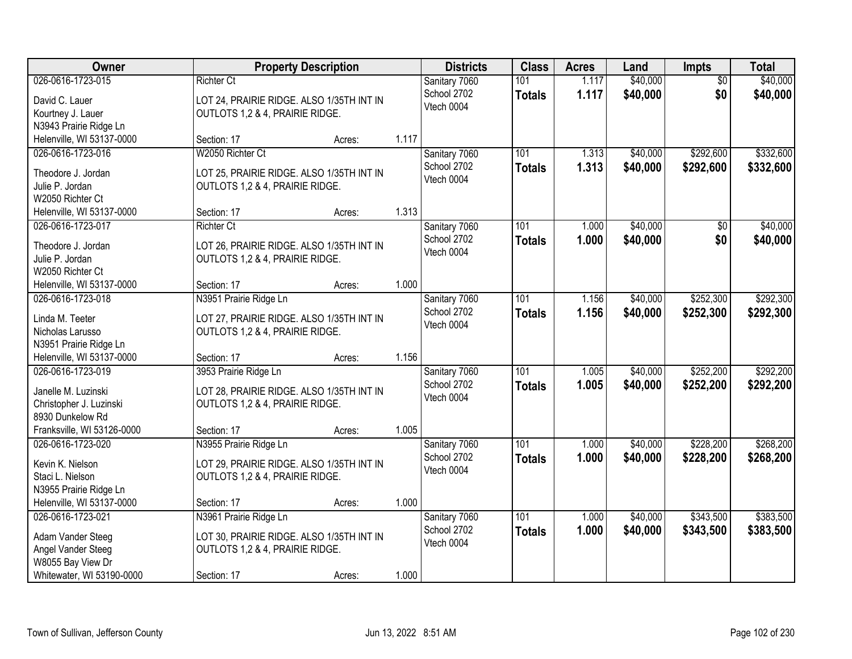| Owner                                   |                                           | <b>Property Description</b> |       | <b>Districts</b>          | <b>Class</b>  | <b>Acres</b> | Land     | <b>Impts</b>    | <b>Total</b> |
|-----------------------------------------|-------------------------------------------|-----------------------------|-------|---------------------------|---------------|--------------|----------|-----------------|--------------|
| 026-0616-1723-015                       | <b>Richter Ct</b>                         |                             |       | Sanitary 7060             | 101           | 1.117        | \$40,000 | $\overline{50}$ | \$40,000     |
| David C. Lauer                          | LOT 24, PRAIRIE RIDGE. ALSO 1/35TH INT IN |                             |       | School 2702               | <b>Totals</b> | 1.117        | \$40,000 | \$0             | \$40,000     |
| Kourtney J. Lauer                       | OUTLOTS 1,2 & 4, PRAIRIE RIDGE.           |                             |       | Vtech 0004                |               |              |          |                 |              |
| N3943 Prairie Ridge Ln                  |                                           |                             |       |                           |               |              |          |                 |              |
| Helenville, WI 53137-0000               | Section: 17                               | Acres:                      | 1.117 |                           |               |              |          |                 |              |
| 026-0616-1723-016                       | W2050 Richter Ct                          |                             |       | Sanitary 7060             | 101           | 1.313        | \$40,000 | \$292,600       | \$332,600    |
| Theodore J. Jordan                      | LOT 25, PRAIRIE RIDGE. ALSO 1/35TH INT IN |                             |       | School 2702               | <b>Totals</b> | 1.313        | \$40,000 | \$292,600       | \$332,600    |
| Julie P. Jordan                         | OUTLOTS 1,2 & 4, PRAIRIE RIDGE.           |                             |       | Vtech 0004                |               |              |          |                 |              |
| W2050 Richter Ct                        |                                           |                             |       |                           |               |              |          |                 |              |
| Helenville, WI 53137-0000               | Section: 17                               | Acres:                      | 1.313 |                           |               |              |          |                 |              |
| 026-0616-1723-017                       | <b>Richter Ct</b>                         |                             |       | Sanitary 7060             | 101           | 1.000        | \$40,000 | \$0             | \$40,000     |
|                                         |                                           |                             |       | School 2702               | <b>Totals</b> | 1.000        | \$40,000 | \$0             | \$40,000     |
| Theodore J. Jordan                      | LOT 26, PRAIRIE RIDGE. ALSO 1/35TH INT IN |                             |       | Vtech 0004                |               |              |          |                 |              |
| Julie P. Jordan                         | OUTLOTS 1,2 & 4, PRAIRIE RIDGE.           |                             |       |                           |               |              |          |                 |              |
| W2050 Richter Ct                        |                                           |                             |       |                           |               |              |          |                 |              |
| Helenville, WI 53137-0000               | Section: 17                               | Acres:                      | 1.000 |                           |               |              |          |                 |              |
| 026-0616-1723-018                       | N3951 Prairie Ridge Ln                    |                             |       | Sanitary 7060             | 101           | 1.156        | \$40,000 | \$252,300       | \$292,300    |
| Linda M. Teeter                         | LOT 27, PRAIRIE RIDGE. ALSO 1/35TH INT IN |                             |       | School 2702<br>Vtech 0004 | <b>Totals</b> | 1.156        | \$40,000 | \$252,300       | \$292,300    |
| Nicholas Larusso                        | OUTLOTS 1,2 & 4, PRAIRIE RIDGE.           |                             |       |                           |               |              |          |                 |              |
| N3951 Prairie Ridge Ln                  |                                           |                             |       |                           |               |              |          |                 |              |
| Helenville, WI 53137-0000               | Section: 17                               | Acres:                      | 1.156 |                           |               |              |          |                 |              |
| 026-0616-1723-019                       | 3953 Prairie Ridge Ln                     |                             |       | Sanitary 7060             | 101           | 1.005        | \$40,000 | \$252,200       | \$292,200    |
| Janelle M. Luzinski                     | LOT 28, PRAIRIE RIDGE. ALSO 1/35TH INT IN |                             |       | School 2702               | <b>Totals</b> | 1.005        | \$40,000 | \$252,200       | \$292,200    |
| Christopher J. Luzinski                 | OUTLOTS 1,2 & 4, PRAIRIE RIDGE.           |                             |       | Vtech 0004                |               |              |          |                 |              |
| 8930 Dunkelow Rd                        |                                           |                             |       |                           |               |              |          |                 |              |
| Franksville, WI 53126-0000              | Section: 17                               | Acres:                      | 1.005 |                           |               |              |          |                 |              |
| 026-0616-1723-020                       | N3955 Prairie Ridge Ln                    |                             |       | Sanitary 7060             | 101           | 1.000        | \$40,000 | \$228,200       | \$268,200    |
| Kevin K. Nielson                        | LOT 29, PRAIRIE RIDGE. ALSO 1/35TH INT IN |                             |       | School 2702               | <b>Totals</b> | 1.000        | \$40,000 | \$228,200       | \$268,200    |
| Staci L. Nielson                        | OUTLOTS 1,2 & 4, PRAIRIE RIDGE.           |                             |       | Vtech 0004                |               |              |          |                 |              |
| N3955 Prairie Ridge Ln                  |                                           |                             |       |                           |               |              |          |                 |              |
| Helenville, WI 53137-0000               | Section: 17                               | Acres:                      | 1.000 |                           |               |              |          |                 |              |
| 026-0616-1723-021                       | N3961 Prairie Ridge Ln                    |                             |       | Sanitary 7060             | 101           | 1.000        | \$40,000 | \$343,500       | \$383,500    |
|                                         |                                           |                             |       | School 2702               | <b>Totals</b> | 1.000        | \$40,000 | \$343,500       | \$383,500    |
| Adam Vander Steeg                       | LOT 30, PRAIRIE RIDGE. ALSO 1/35TH INT IN |                             |       | Vtech 0004                |               |              |          |                 |              |
| Angel Vander Steeg<br>W8055 Bay View Dr | OUTLOTS 1,2 & 4, PRAIRIE RIDGE.           |                             |       |                           |               |              |          |                 |              |
| Whitewater, WI 53190-0000               | Section: 17                               | Acres:                      | 1.000 |                           |               |              |          |                 |              |
|                                         |                                           |                             |       |                           |               |              |          |                 |              |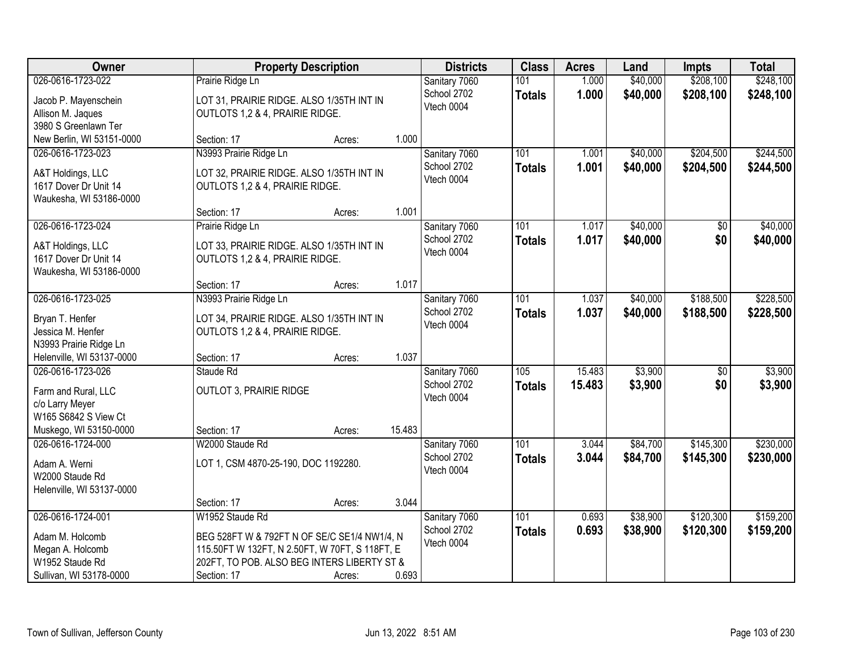| Owner                                   |                                                | <b>Property Description</b> |        | <b>Districts</b> | <b>Class</b>     | <b>Acres</b> | Land     | <b>Impts</b>    | <b>Total</b> |
|-----------------------------------------|------------------------------------------------|-----------------------------|--------|------------------|------------------|--------------|----------|-----------------|--------------|
| 026-0616-1723-022                       | Prairie Ridge Ln                               |                             |        | Sanitary 7060    | 101              | 1.000        | \$40,000 | \$208,100       | \$248,100    |
| Jacob P. Mayenschein                    | LOT 31, PRAIRIE RIDGE. ALSO 1/35TH INT IN      |                             |        | School 2702      | <b>Totals</b>    | 1.000        | \$40,000 | \$208,100       | \$248,100    |
| Allison M. Jaques                       | OUTLOTS 1,2 & 4, PRAIRIE RIDGE.                |                             |        | Vtech 0004       |                  |              |          |                 |              |
| 3980 S Greenlawn Ter                    |                                                |                             |        |                  |                  |              |          |                 |              |
| New Berlin, WI 53151-0000               | Section: 17                                    | Acres:                      | 1.000  |                  |                  |              |          |                 |              |
| 026-0616-1723-023                       | N3993 Prairie Ridge Ln                         |                             |        | Sanitary 7060    | 101              | 1.001        | \$40,000 | \$204,500       | \$244,500    |
| A&T Holdings, LLC                       | LOT 32, PRAIRIE RIDGE. ALSO 1/35TH INT IN      |                             |        | School 2702      | <b>Totals</b>    | 1.001        | \$40,000 | \$204,500       | \$244,500    |
| 1617 Dover Dr Unit 14                   | OUTLOTS 1,2 & 4, PRAIRIE RIDGE.                |                             |        | Vtech 0004       |                  |              |          |                 |              |
| Waukesha, WI 53186-0000                 |                                                |                             |        |                  |                  |              |          |                 |              |
|                                         | Section: 17                                    | Acres:                      | 1.001  |                  |                  |              |          |                 |              |
| 026-0616-1723-024                       | Prairie Ridge Ln                               |                             |        | Sanitary 7060    | 101              | 1.017        | \$40,000 | \$0             | \$40,000     |
| A&T Holdings, LLC                       | LOT 33, PRAIRIE RIDGE. ALSO 1/35TH INT IN      |                             |        | School 2702      | <b>Totals</b>    | 1.017        | \$40,000 | \$0             | \$40,000     |
| 1617 Dover Dr Unit 14                   | OUTLOTS 1,2 & 4, PRAIRIE RIDGE.                |                             |        | Vtech 0004       |                  |              |          |                 |              |
| Waukesha, WI 53186-0000                 |                                                |                             |        |                  |                  |              |          |                 |              |
|                                         | Section: 17                                    | Acres:                      | 1.017  |                  |                  |              |          |                 |              |
| 026-0616-1723-025                       | N3993 Prairie Ridge Ln                         |                             |        | Sanitary 7060    | 101              | 1.037        | \$40,000 | \$188,500       | \$228,500    |
| Bryan T. Henfer                         | LOT 34, PRAIRIE RIDGE. ALSO 1/35TH INT IN      |                             |        | School 2702      | <b>Totals</b>    | 1.037        | \$40,000 | \$188,500       | \$228,500    |
| Jessica M. Henfer                       | OUTLOTS 1,2 & 4, PRAIRIE RIDGE.                |                             |        | Vtech 0004       |                  |              |          |                 |              |
| N3993 Prairie Ridge Ln                  |                                                |                             |        |                  |                  |              |          |                 |              |
| Helenville, WI 53137-0000               | Section: 17                                    | Acres:                      | 1.037  |                  |                  |              |          |                 |              |
| 026-0616-1723-026                       | Staude Rd                                      |                             |        | Sanitary 7060    | 105              | 15.483       | \$3,900  | $\overline{50}$ | \$3,900      |
|                                         |                                                |                             |        | School 2702      | <b>Totals</b>    | 15.483       | \$3,900  | \$0             | \$3,900      |
| Farm and Rural, LLC                     | <b>OUTLOT 3, PRAIRIE RIDGE</b>                 |                             |        | Vtech 0004       |                  |              |          |                 |              |
| c/o Larry Meyer<br>W165 S6842 S View Ct |                                                |                             |        |                  |                  |              |          |                 |              |
| Muskego, WI 53150-0000                  | Section: 17                                    | Acres:                      | 15.483 |                  |                  |              |          |                 |              |
| 026-0616-1724-000                       | W2000 Staude Rd                                |                             |        | Sanitary 7060    | $\overline{101}$ | 3.044        | \$84,700 | \$145,300       | \$230,000    |
|                                         |                                                |                             |        | School 2702      | <b>Totals</b>    | 3.044        | \$84,700 | \$145,300       | \$230,000    |
| Adam A. Werni                           | LOT 1, CSM 4870-25-190, DOC 1192280.           |                             |        | Vtech 0004       |                  |              |          |                 |              |
| W2000 Staude Rd                         |                                                |                             |        |                  |                  |              |          |                 |              |
| Helenville, WI 53137-0000               | Section: 17                                    | Acres:                      | 3.044  |                  |                  |              |          |                 |              |
| 026-0616-1724-001                       | W1952 Staude Rd                                |                             |        | Sanitary 7060    | 101              | 0.693        | \$38,900 | \$120,300       | \$159,200    |
|                                         |                                                |                             |        | School 2702      | <b>Totals</b>    | 0.693        | \$38,900 | \$120,300       | \$159,200    |
| Adam M. Holcomb                         | BEG 528FT W & 792FT N OF SE/C SE1/4 NW1/4, N   |                             |        | Vtech 0004       |                  |              |          |                 |              |
| Megan A. Holcomb                        | 115.50FT W 132FT, N 2.50FT, W 70FT, S 118FT, E |                             |        |                  |                  |              |          |                 |              |
| W1952 Staude Rd                         | 202FT, TO POB. ALSO BEG INTERS LIBERTY ST &    |                             |        |                  |                  |              |          |                 |              |
| Sullivan, WI 53178-0000                 | Section: 17                                    | Acres:                      | 0.693  |                  |                  |              |          |                 |              |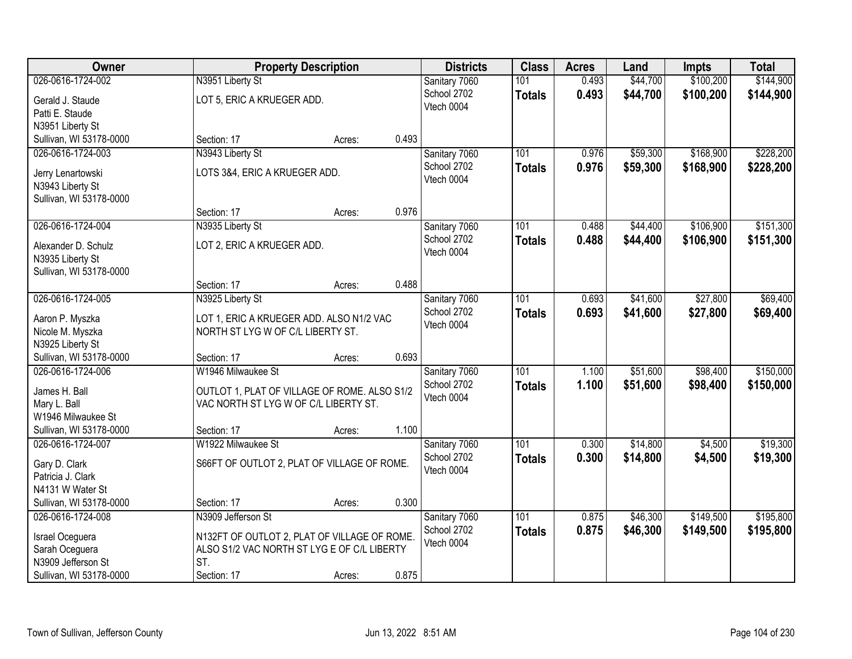| Owner                                |                                                                               | <b>Property Description</b> |       | <b>Districts</b> | <b>Class</b>  | <b>Acres</b> | Land     | <b>Impts</b> | <b>Total</b> |
|--------------------------------------|-------------------------------------------------------------------------------|-----------------------------|-------|------------------|---------------|--------------|----------|--------------|--------------|
| 026-0616-1724-002                    | N3951 Liberty St                                                              |                             |       | Sanitary 7060    | 101           | 0.493        | \$44,700 | \$100,200    | \$144,900    |
| Gerald J. Staude                     | LOT 5, ERIC A KRUEGER ADD.                                                    |                             |       | School 2702      | <b>Totals</b> | 0.493        | \$44,700 | \$100,200    | \$144,900    |
| Patti E. Staude                      |                                                                               |                             |       | Vtech 0004       |               |              |          |              |              |
| N3951 Liberty St                     |                                                                               |                             |       |                  |               |              |          |              |              |
| Sullivan, WI 53178-0000              | Section: 17                                                                   | Acres:                      | 0.493 |                  |               |              |          |              |              |
| 026-0616-1724-003                    | N3943 Liberty St                                                              |                             |       | Sanitary 7060    | 101           | 0.976        | \$59,300 | \$168,900    | \$228,200    |
|                                      |                                                                               |                             |       | School 2702      | <b>Totals</b> | 0.976        | \$59,300 | \$168,900    | \$228,200    |
| Jerry Lenartowski                    | LOTS 3&4, ERIC A KRUEGER ADD.                                                 |                             |       | Vtech 0004       |               |              |          |              |              |
| N3943 Liberty St                     |                                                                               |                             |       |                  |               |              |          |              |              |
| Sullivan, WI 53178-0000              |                                                                               |                             | 0.976 |                  |               |              |          |              |              |
|                                      | Section: 17                                                                   | Acres:                      |       |                  |               |              |          |              |              |
| 026-0616-1724-004                    | N3935 Liberty St                                                              |                             |       | Sanitary 7060    | 101           | 0.488        | \$44,400 | \$106,900    | \$151,300    |
| Alexander D. Schulz                  | LOT 2, ERIC A KRUEGER ADD.                                                    |                             |       | School 2702      | <b>Totals</b> | 0.488        | \$44,400 | \$106,900    | \$151,300    |
| N3935 Liberty St                     |                                                                               |                             |       | Vtech 0004       |               |              |          |              |              |
| Sullivan, WI 53178-0000              |                                                                               |                             |       |                  |               |              |          |              |              |
|                                      | Section: 17                                                                   | Acres:                      | 0.488 |                  |               |              |          |              |              |
| 026-0616-1724-005                    | N3925 Liberty St                                                              |                             |       | Sanitary 7060    | 101           | 0.693        | \$41,600 | \$27,800     | \$69,400     |
|                                      |                                                                               |                             |       | School 2702      | <b>Totals</b> | 0.693        | \$41,600 | \$27,800     | \$69,400     |
| Aaron P. Myszka                      | LOT 1, ERIC A KRUEGER ADD. ALSO N1/2 VAC<br>NORTH ST LYG W OF C/L LIBERTY ST. |                             |       | Vtech 0004       |               |              |          |              |              |
| Nicole M. Myszka<br>N3925 Liberty St |                                                                               |                             |       |                  |               |              |          |              |              |
| Sullivan, WI 53178-0000              | Section: 17                                                                   | Acres:                      | 0.693 |                  |               |              |          |              |              |
| 026-0616-1724-006                    | W1946 Milwaukee St                                                            |                             |       | Sanitary 7060    | 101           | 1.100        | \$51,600 | \$98,400     | \$150,000    |
|                                      |                                                                               |                             |       | School 2702      |               | 1.100        |          |              |              |
| James H. Ball                        | OUTLOT 1, PLAT OF VILLAGE OF ROME. ALSO S1/2                                  |                             |       | Vtech 0004       | <b>Totals</b> |              | \$51,600 | \$98,400     | \$150,000    |
| Mary L. Ball                         | VAC NORTH ST LYG W OF C/L LIBERTY ST.                                         |                             |       |                  |               |              |          |              |              |
| W1946 Milwaukee St                   |                                                                               |                             |       |                  |               |              |          |              |              |
| Sullivan, WI 53178-0000              | Section: 17                                                                   | Acres:                      | 1.100 |                  |               |              |          |              |              |
| 026-0616-1724-007                    | W1922 Milwaukee St                                                            |                             |       | Sanitary 7060    | 101           | 0.300        | \$14,800 | \$4,500      | \$19,300     |
| Gary D. Clark                        | S66FT OF OUTLOT 2, PLAT OF VILLAGE OF ROME.                                   |                             |       | School 2702      | <b>Totals</b> | 0.300        | \$14,800 | \$4,500      | \$19,300     |
| Patricia J. Clark                    |                                                                               |                             |       | Vtech 0004       |               |              |          |              |              |
| N4131 W Water St                     |                                                                               |                             |       |                  |               |              |          |              |              |
| Sullivan, WI 53178-0000              | Section: 17                                                                   | Acres:                      | 0.300 |                  |               |              |          |              |              |
| 026-0616-1724-008                    | N3909 Jefferson St                                                            |                             |       | Sanitary 7060    | 101           | 0.875        | \$46,300 | \$149,500    | \$195,800    |
|                                      |                                                                               |                             |       | School 2702      | <b>Totals</b> | 0.875        | \$46,300 | \$149,500    | \$195,800    |
| Israel Oceguera                      | N132FT OF OUTLOT 2, PLAT OF VILLAGE OF ROME.                                  |                             |       | Vtech 0004       |               |              |          |              |              |
| Sarah Oceguera                       | ALSO S1/2 VAC NORTH ST LYG E OF C/L LIBERTY                                   |                             |       |                  |               |              |          |              |              |
| N3909 Jefferson St                   | ST.                                                                           |                             |       |                  |               |              |          |              |              |
| Sullivan, WI 53178-0000              | Section: 17                                                                   | Acres:                      | 0.875 |                  |               |              |          |              |              |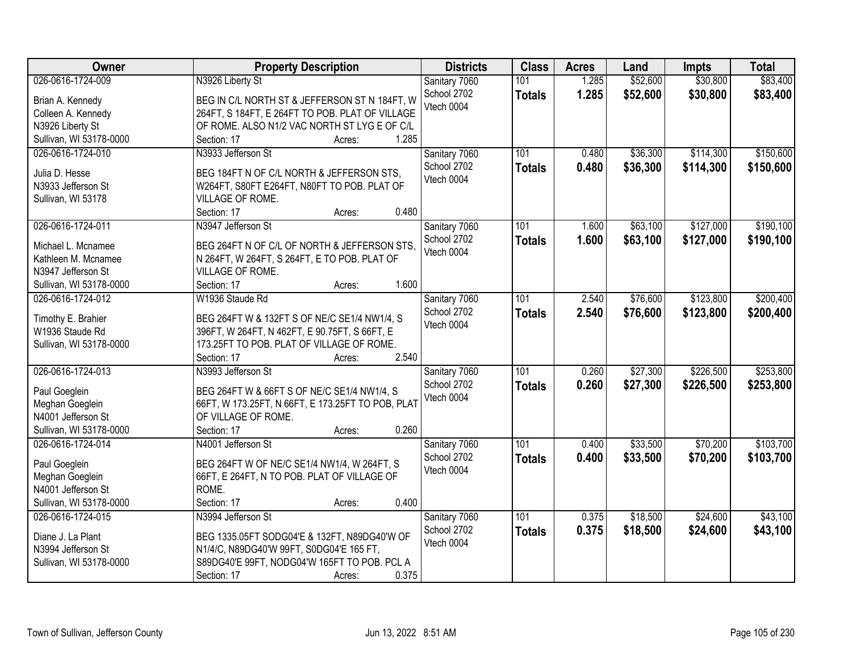| Owner                   | <b>Property Description</b>                                                                | <b>Districts</b>             | <b>Class</b>  | <b>Acres</b> | Land     | <b>Impts</b> | <b>Total</b> |
|-------------------------|--------------------------------------------------------------------------------------------|------------------------------|---------------|--------------|----------|--------------|--------------|
| 026-0616-1724-009       | N3926 Liberty St                                                                           | Sanitary 7060                | 101           | 1.285        | \$52,600 | \$30,800     | \$83,400     |
| Brian A. Kennedy        | BEG IN C/L NORTH ST & JEFFERSON ST N 184FT, W                                              | School 2702                  | <b>Totals</b> | 1.285        | \$52,600 | \$30,800     | \$83,400     |
| Colleen A. Kennedy      | 264FT, S 184FT, E 264FT TO POB. PLAT OF VILLAGE                                            | Vtech 0004                   |               |              |          |              |              |
| N3926 Liberty St        | OF ROME. ALSO N1/2 VAC NORTH ST LYG E OF C/L                                               |                              |               |              |          |              |              |
| Sullivan, WI 53178-0000 | 1.285<br>Section: 17<br>Acres:                                                             |                              |               |              |          |              |              |
| 026-0616-1724-010       | N3933 Jefferson St                                                                         | Sanitary 7060                | 101           | 0.480        | \$36,300 | \$114,300    | \$150,600    |
|                         |                                                                                            | School 2702                  | <b>Totals</b> | 0.480        | \$36,300 | \$114,300    | \$150,600    |
| Julia D. Hesse          | BEG 184FT N OF C/L NORTH & JEFFERSON STS,                                                  | Vtech 0004                   |               |              |          |              |              |
| N3933 Jefferson St      | W264FT, S80FT E264FT, N80FT TO POB. PLAT OF                                                |                              |               |              |          |              |              |
| Sullivan, WI 53178      | VILLAGE OF ROME.                                                                           |                              |               |              |          |              |              |
|                         | 0.480<br>Section: 17<br>Acres:                                                             |                              |               |              |          |              |              |
| 026-0616-1724-011       | N3947 Jefferson St                                                                         | Sanitary 7060                | 101           | 1.600        | \$63,100 | \$127,000    | \$190,100    |
| Michael L. Mcnamee      | BEG 264FT N OF C/L OF NORTH & JEFFERSON STS.                                               | School 2702                  | <b>Totals</b> | 1.600        | \$63,100 | \$127,000    | \$190,100    |
| Kathleen M. Mcnamee     | N 264FT, W 264FT, S 264FT, E TO POB. PLAT OF                                               | Vtech 0004                   |               |              |          |              |              |
| N3947 Jefferson St      | VILLAGE OF ROME.                                                                           |                              |               |              |          |              |              |
| Sullivan, WI 53178-0000 | 1.600<br>Section: 17<br>Acres:                                                             |                              |               |              |          |              |              |
| 026-0616-1724-012       | W1936 Staude Rd                                                                            | Sanitary 7060                | 101           | 2.540        | \$76,600 | \$123,800    | \$200,400    |
|                         |                                                                                            | School 2702                  | <b>Totals</b> | 2.540        | \$76,600 | \$123,800    | \$200,400    |
| Timothy E. Brahier      | BEG 264FT W & 132FT S OF NE/C SE1/4 NW1/4, S                                               | Vtech 0004                   |               |              |          |              |              |
| W1936 Staude Rd         | 396FT, W 264FT, N 462FT, E 90.75FT, S 66FT, E<br>173.25FT TO POB. PLAT OF VILLAGE OF ROME. |                              |               |              |          |              |              |
| Sullivan, WI 53178-0000 | 2.540<br>Section: 17                                                                       |                              |               |              |          |              |              |
| 026-0616-1724-013       | Acres:<br>N3993 Jefferson St                                                               |                              | 101           | 0.260        | \$27,300 | \$226,500    | \$253,800    |
|                         |                                                                                            | Sanitary 7060<br>School 2702 |               |              |          |              |              |
| Paul Goeglein           | BEG 264FT W & 66FT S OF NE/C SE1/4 NW1/4, S                                                | Vtech 0004                   | <b>Totals</b> | 0.260        | \$27,300 | \$226,500    | \$253,800    |
| Meghan Goeglein         | 66FT, W 173.25FT, N 66FT, E 173.25FT TO POB, PLAT                                          |                              |               |              |          |              |              |
| N4001 Jefferson St      | OF VILLAGE OF ROME.                                                                        |                              |               |              |          |              |              |
| Sullivan, WI 53178-0000 | 0.260<br>Section: 17<br>Acres:                                                             |                              |               |              |          |              |              |
| 026-0616-1724-014       | N4001 Jefferson St                                                                         | Sanitary 7060                | 101           | 0.400        | \$33,500 | \$70,200     | \$103,700    |
| Paul Goeglein           | BEG 264FT W OF NE/C SE1/4 NW1/4, W 264FT, S                                                | School 2702                  | <b>Totals</b> | 0.400        | \$33,500 | \$70,200     | \$103,700    |
| Meghan Goeglein         | 66FT, E 264FT, N TO POB. PLAT OF VILLAGE OF                                                | Vtech 0004                   |               |              |          |              |              |
| N4001 Jefferson St      | ROME.                                                                                      |                              |               |              |          |              |              |
| Sullivan, WI 53178-0000 | 0.400<br>Section: 17<br>Acres:                                                             |                              |               |              |          |              |              |
| 026-0616-1724-015       | N3994 Jefferson St                                                                         | Sanitary 7060                | 101           | 0.375        | \$18,500 | \$24,600     | \$43,100     |
|                         |                                                                                            | School 2702                  | <b>Totals</b> | 0.375        | \$18,500 | \$24,600     | \$43,100     |
| Diane J. La Plant       | BEG 1335.05FT SODG04'E & 132FT, N89DG40'W OF                                               | Vtech 0004                   |               |              |          |              |              |
| N3994 Jefferson St      | N1/4/C, N89DG40'W 99FT, S0DG04'E 165 FT,                                                   |                              |               |              |          |              |              |
| Sullivan, WI 53178-0000 | S89DG40'E 99FT, NODG04'W 165FT TO POB. PCL A                                               |                              |               |              |          |              |              |
|                         | 0.375<br>Section: 17<br>Acres:                                                             |                              |               |              |          |              |              |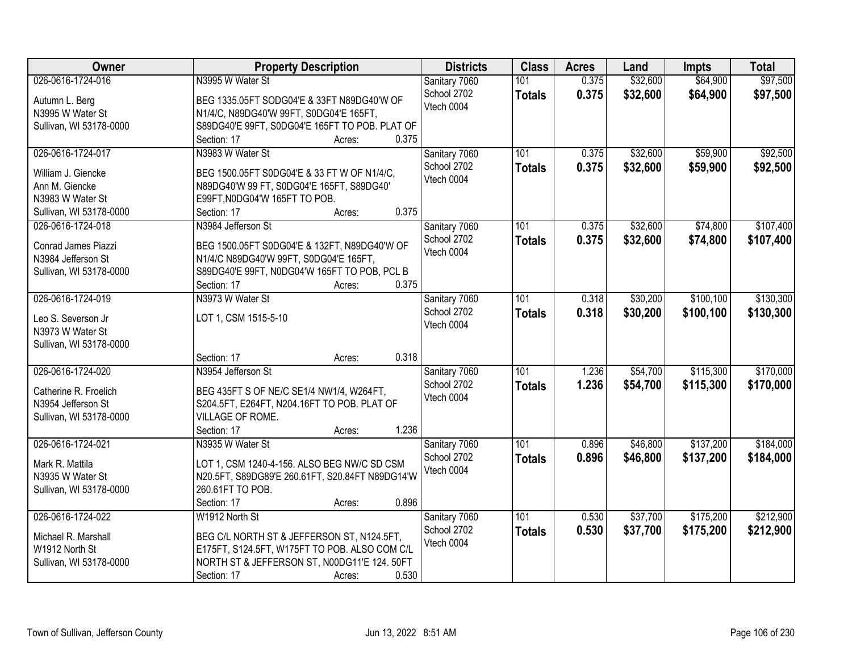| <b>Owner</b>            | <b>Property Description</b>                     | <b>Districts</b>             | <b>Class</b>  | <b>Acres</b> | Land     | <b>Impts</b> | <b>Total</b> |
|-------------------------|-------------------------------------------------|------------------------------|---------------|--------------|----------|--------------|--------------|
| 026-0616-1724-016       | N3995 W Water St                                | Sanitary 7060                | 101           | 0.375        | \$32,600 | \$64,900     | \$97,500     |
| Autumn L. Berg          | BEG 1335.05FT SODG04'E & 33FT N89DG40'W OF      | School 2702                  | <b>Totals</b> | 0.375        | \$32,600 | \$64,900     | \$97,500     |
| N3995 W Water St        | N1/4/C, N89DG40'W 99FT, S0DG04'E 165FT,         | Vtech 0004                   |               |              |          |              |              |
| Sullivan, WI 53178-0000 | S89DG40'E 99FT, S0DG04'E 165FT TO POB. PLAT OF  |                              |               |              |          |              |              |
|                         | 0.375<br>Section: 17<br>Acres:                  |                              |               |              |          |              |              |
| 026-0616-1724-017       | N3983 W Water St                                | Sanitary 7060                | 101           | 0.375        | \$32,600 | \$59,900     | \$92,500     |
|                         |                                                 | School 2702                  | <b>Totals</b> | 0.375        | \$32,600 | \$59,900     | \$92,500     |
| William J. Giencke      | BEG 1500.05FT S0DG04'E & 33 FT W OF N1/4/C,     | Vtech 0004                   |               |              |          |              |              |
| Ann M. Giencke          | N89DG40'W 99 FT, S0DG04'E 165FT, S89DG40'       |                              |               |              |          |              |              |
| N3983 W Water St        | E99FT, N0DG04'W 165FT TO POB.                   |                              |               |              |          |              |              |
| Sullivan, WI 53178-0000 | 0.375<br>Section: 17<br>Acres:                  |                              |               |              |          |              |              |
| 026-0616-1724-018       | N3984 Jefferson St                              | Sanitary 7060                | 101           | 0.375        | \$32,600 | \$74,800     | \$107,400    |
| Conrad James Piazzi     | BEG 1500.05FT S0DG04'E & 132FT, N89DG40'W OF    | School 2702                  | <b>Totals</b> | 0.375        | \$32,600 | \$74,800     | \$107,400    |
| N3984 Jefferson St      | N1/4/C N89DG40'W 99FT, S0DG04'E 165FT,          | Vtech 0004                   |               |              |          |              |              |
| Sullivan, WI 53178-0000 | S89DG40'E 99FT, N0DG04'W 165FT TO POB, PCL B    |                              |               |              |          |              |              |
|                         | 0.375<br>Section: 17<br>Acres:                  |                              |               |              |          |              |              |
| 026-0616-1724-019       | N3973 W Water St                                | Sanitary 7060                | 101           | 0.318        | \$30,200 | \$100,100    | \$130,300    |
|                         |                                                 | School 2702                  | <b>Totals</b> | 0.318        | \$30,200 | \$100,100    | \$130,300    |
| Leo S. Severson Jr      | LOT 1, CSM 1515-5-10                            | Vtech 0004                   |               |              |          |              |              |
| N3973 W Water St        |                                                 |                              |               |              |          |              |              |
| Sullivan, WI 53178-0000 |                                                 |                              |               |              |          |              |              |
|                         | 0.318<br>Section: 17<br>Acres:                  |                              |               |              |          |              |              |
| 026-0616-1724-020       | N3954 Jefferson St                              | Sanitary 7060                | 101           | 1.236        | \$54,700 | \$115,300    | \$170,000    |
| Catherine R. Froelich   | BEG 435FT S OF NE/C SE1/4 NW1/4, W264FT,        | School 2702                  | <b>Totals</b> | 1.236        | \$54,700 | \$115,300    | \$170,000    |
| N3954 Jefferson St      | S204.5FT, E264FT, N204.16FT TO POB. PLAT OF     | Vtech 0004                   |               |              |          |              |              |
| Sullivan, WI 53178-0000 | VILLAGE OF ROME.                                |                              |               |              |          |              |              |
|                         | 1.236<br>Section: 17<br>Acres:                  |                              |               |              |          |              |              |
| 026-0616-1724-021       | N3935 W Water St                                | Sanitary 7060                | 101           | 0.896        | \$46,800 | \$137,200    | \$184,000    |
| Mark R. Mattila         | LOT 1, CSM 1240-4-156. ALSO BEG NW/C SD CSM     | School 2702                  | <b>Totals</b> | 0.896        | \$46,800 | \$137,200    | \$184,000    |
| N3935 W Water St        | N20.5FT, S89DG89'E 260.61FT, S20.84FT N89DG14'W | Vtech 0004                   |               |              |          |              |              |
|                         | 260.61FT TO POB.                                |                              |               |              |          |              |              |
| Sullivan, WI 53178-0000 | 0.896<br>Section: 17                            |                              |               |              |          |              |              |
| 026-0616-1724-022       | Acres:<br>W1912 North St                        |                              | 101           |              | \$37,700 | \$175,200    | \$212,900    |
|                         |                                                 | Sanitary 7060<br>School 2702 |               | 0.530        |          |              |              |
| Michael R. Marshall     | BEG C/L NORTH ST & JEFFERSON ST, N124.5FT,      | Vtech 0004                   | <b>Totals</b> | 0.530        | \$37,700 | \$175,200    | \$212,900    |
| W1912 North St          | E175FT, S124.5FT, W175FT TO POB. ALSO COM C/L   |                              |               |              |          |              |              |
| Sullivan, WI 53178-0000 | NORTH ST & JEFFERSON ST, N00DG11'E 124. 50FT    |                              |               |              |          |              |              |
|                         | 0.530<br>Section: 17<br>Acres:                  |                              |               |              |          |              |              |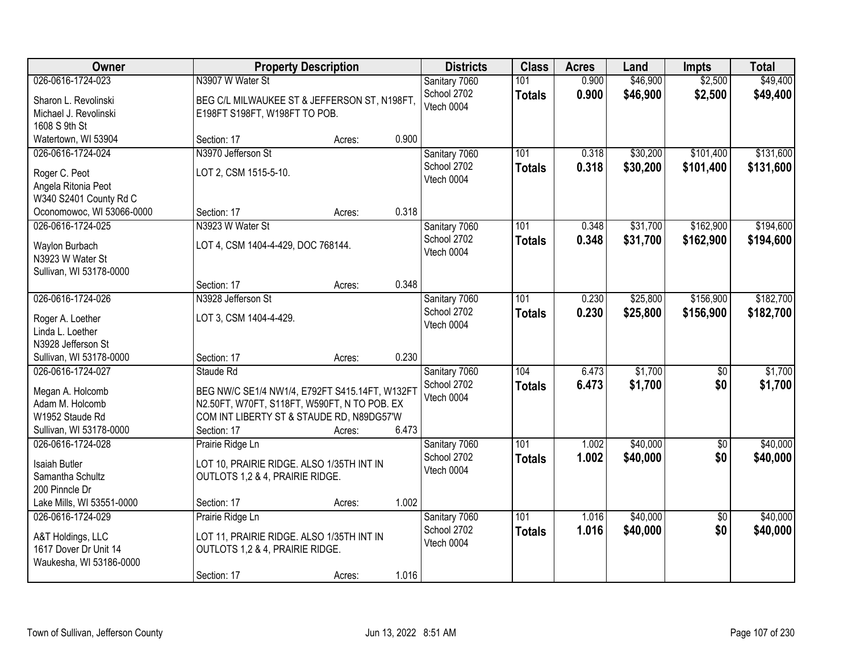| Owner                              |                                                                              | <b>Property Description</b> |       | <b>Districts</b>          | <b>Class</b>  | <b>Acres</b> | Land     | <b>Impts</b>    | <b>Total</b> |
|------------------------------------|------------------------------------------------------------------------------|-----------------------------|-------|---------------------------|---------------|--------------|----------|-----------------|--------------|
| 026-0616-1724-023                  | N3907 W Water St                                                             |                             |       | Sanitary 7060             | 101           | 0.900        | \$46,900 | \$2,500         | \$49,400     |
| Sharon L. Revolinski               | BEG C/L MILWAUKEE ST & JEFFERSON ST, N198FT,                                 |                             |       | School 2702<br>Vtech 0004 | <b>Totals</b> | 0.900        | \$46,900 | \$2,500         | \$49,400     |
| Michael J. Revolinski              | E198FT S198FT, W198FT TO POB.                                                |                             |       |                           |               |              |          |                 |              |
| 1608 S 9th St                      |                                                                              |                             |       |                           |               |              |          |                 |              |
| Watertown, WI 53904                | Section: 17                                                                  | Acres:                      | 0.900 |                           |               |              |          |                 |              |
| 026-0616-1724-024                  | N3970 Jefferson St                                                           |                             |       | Sanitary 7060             | 101           | 0.318        | \$30,200 | \$101,400       | \$131,600    |
| Roger C. Peot                      | LOT 2, CSM 1515-5-10.                                                        |                             |       | School 2702               | <b>Totals</b> | 0.318        | \$30,200 | \$101,400       | \$131,600    |
| Angela Ritonia Peot                |                                                                              |                             |       | Vtech 0004                |               |              |          |                 |              |
| W340 S2401 County Rd C             |                                                                              |                             |       |                           |               |              |          |                 |              |
| Oconomowoc, WI 53066-0000          | Section: 17                                                                  | Acres:                      | 0.318 |                           |               |              |          |                 |              |
| 026-0616-1724-025                  | N3923 W Water St                                                             |                             |       | Sanitary 7060             | 101           | 0.348        | \$31,700 | \$162,900       | \$194,600    |
|                                    |                                                                              |                             |       | School 2702               | <b>Totals</b> | 0.348        | \$31,700 | \$162,900       | \$194,600    |
| Waylon Burbach<br>N3923 W Water St | LOT 4, CSM 1404-4-429, DOC 768144.                                           |                             |       | Vtech 0004                |               |              |          |                 |              |
| Sullivan, WI 53178-0000            |                                                                              |                             |       |                           |               |              |          |                 |              |
|                                    | Section: 17                                                                  | Acres:                      | 0.348 |                           |               |              |          |                 |              |
| 026-0616-1724-026                  | N3928 Jefferson St                                                           |                             |       | Sanitary 7060             | 101           | 0.230        | \$25,800 | \$156,900       | \$182,700    |
|                                    |                                                                              |                             |       | School 2702               |               | 0.230        | \$25,800 | \$156,900       | \$182,700    |
| Roger A. Loether                   | LOT 3, CSM 1404-4-429.                                                       |                             |       | Vtech 0004                | <b>Totals</b> |              |          |                 |              |
| Linda L. Loether                   |                                                                              |                             |       |                           |               |              |          |                 |              |
| N3928 Jefferson St                 |                                                                              |                             |       |                           |               |              |          |                 |              |
| Sullivan, WI 53178-0000            | Section: 17                                                                  | Acres:                      | 0.230 |                           |               |              |          |                 |              |
| 026-0616-1724-027                  | Staude Rd                                                                    |                             |       | Sanitary 7060             | 104           | 6.473        | \$1,700  | $\overline{50}$ | \$1,700      |
| Megan A. Holcomb                   | BEG NW/C SE1/4 NW1/4, E792FT S415.14FT, W132FT                               |                             |       | School 2702               | <b>Totals</b> | 6.473        | \$1,700  | \$0             | \$1,700      |
| Adam M. Holcomb                    | N2.50FT, W70FT, S118FT, W590FT, N TO POB. EX                                 |                             |       | Vtech 0004                |               |              |          |                 |              |
| W1952 Staude Rd                    | COM INT LIBERTY ST & STAUDE RD, N89DG57'W                                    |                             |       |                           |               |              |          |                 |              |
| Sullivan, WI 53178-0000            | Section: 17                                                                  | Acres:                      | 6.473 |                           |               |              |          |                 |              |
| 026-0616-1724-028                  | Prairie Ridge Ln                                                             |                             |       | Sanitary 7060             | 101           | 1.002        | \$40,000 | $\overline{60}$ | \$40,000     |
|                                    |                                                                              |                             |       | School 2702               | <b>Totals</b> | 1.002        | \$40,000 | \$0             | \$40,000     |
| Isaiah Butler<br>Samantha Schultz  | LOT 10, PRAIRIE RIDGE. ALSO 1/35TH INT IN<br>OUTLOTS 1,2 & 4, PRAIRIE RIDGE. |                             |       | Vtech 0004                |               |              |          |                 |              |
| 200 Pinncle Dr                     |                                                                              |                             |       |                           |               |              |          |                 |              |
| Lake Mills, WI 53551-0000          | Section: 17                                                                  | Acres:                      | 1.002 |                           |               |              |          |                 |              |
| 026-0616-1724-029                  | Prairie Ridge Ln                                                             |                             |       | Sanitary 7060             | 101           | 1.016        | \$40,000 | $\overline{50}$ | \$40,000     |
|                                    |                                                                              |                             |       | School 2702               | <b>Totals</b> | 1.016        | \$40,000 | \$0             | \$40,000     |
| A&T Holdings, LLC                  | LOT 11, PRAIRIE RIDGE. ALSO 1/35TH INT IN                                    |                             |       | Vtech 0004                |               |              |          |                 |              |
| 1617 Dover Dr Unit 14              | OUTLOTS 1,2 & 4, PRAIRIE RIDGE.                                              |                             |       |                           |               |              |          |                 |              |
| Waukesha, WI 53186-0000            |                                                                              |                             |       |                           |               |              |          |                 |              |
|                                    | Section: 17                                                                  | Acres:                      | 1.016 |                           |               |              |          |                 |              |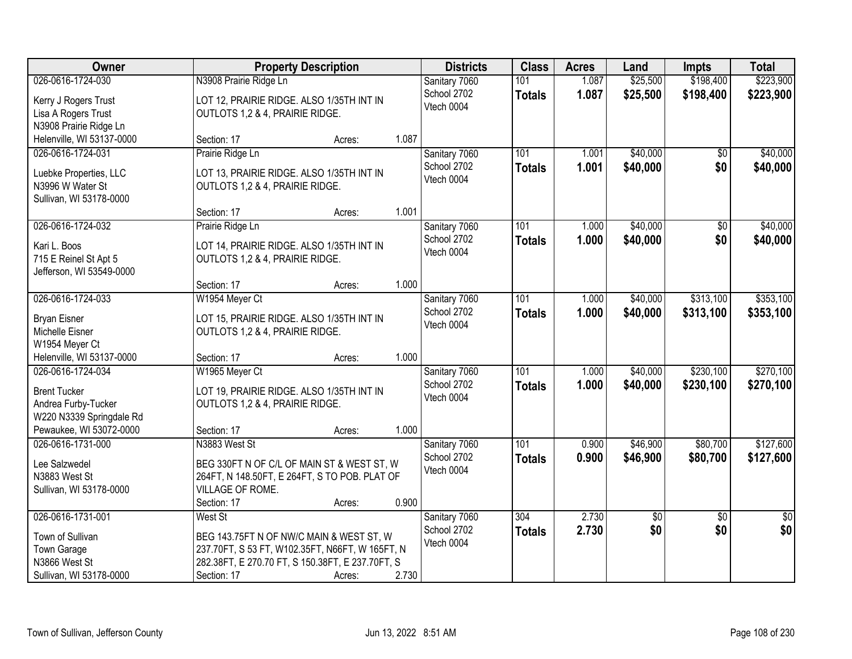| Owner                                      |                                                                              | <b>Property Description</b> |       | <b>Districts</b>             | <b>Class</b>     | <b>Acres</b> | Land            | <b>Impts</b>    | <b>Total</b>    |
|--------------------------------------------|------------------------------------------------------------------------------|-----------------------------|-------|------------------------------|------------------|--------------|-----------------|-----------------|-----------------|
| 026-0616-1724-030                          | N3908 Prairie Ridge Ln                                                       |                             |       | Sanitary 7060                | 101              | 1.087        | \$25,500        | \$198,400       | \$223,900       |
| Kerry J Rogers Trust                       | LOT 12, PRAIRIE RIDGE. ALSO 1/35TH INT IN                                    |                             |       | School 2702                  | <b>Totals</b>    | 1.087        | \$25,500        | \$198,400       | \$223,900       |
| Lisa A Rogers Trust                        | OUTLOTS 1,2 & 4, PRAIRIE RIDGE.                                              |                             |       | Vtech 0004                   |                  |              |                 |                 |                 |
| N3908 Prairie Ridge Ln                     |                                                                              |                             |       |                              |                  |              |                 |                 |                 |
| Helenville, WI 53137-0000                  | Section: 17                                                                  | Acres:                      | 1.087 |                              |                  |              |                 |                 |                 |
| 026-0616-1724-031                          | Prairie Ridge Ln                                                             |                             |       | Sanitary 7060                | 101              | 1.001        | \$40,000        | \$0             | \$40,000        |
|                                            |                                                                              |                             |       | School 2702                  | <b>Totals</b>    | 1.001        | \$40,000        | \$0             | \$40,000        |
| Luebke Properties, LLC                     | LOT 13, PRAIRIE RIDGE. ALSO 1/35TH INT IN                                    |                             |       | Vtech 0004                   |                  |              |                 |                 |                 |
| N3996 W Water St                           | OUTLOTS 1,2 & 4, PRAIRIE RIDGE.                                              |                             |       |                              |                  |              |                 |                 |                 |
| Sullivan, WI 53178-0000                    | Section: 17                                                                  |                             | 1.001 |                              |                  |              |                 |                 |                 |
| 026-0616-1724-032                          |                                                                              | Acres:                      |       |                              | 101              | 1.000        | \$40,000        | \$0             | \$40,000        |
|                                            | Prairie Ridge Ln                                                             |                             |       | Sanitary 7060<br>School 2702 |                  |              |                 |                 |                 |
| Kari L. Boos                               | LOT 14, PRAIRIE RIDGE. ALSO 1/35TH INT IN                                    |                             |       | Vtech 0004                   | <b>Totals</b>    | 1.000        | \$40,000        | \$0             | \$40,000        |
| 715 E Reinel St Apt 5                      | OUTLOTS 1,2 & 4, PRAIRIE RIDGE.                                              |                             |       |                              |                  |              |                 |                 |                 |
| Jefferson, WI 53549-0000                   |                                                                              |                             |       |                              |                  |              |                 |                 |                 |
|                                            | Section: 17                                                                  | Acres:                      | 1.000 |                              |                  |              |                 |                 |                 |
| 026-0616-1724-033                          | W1954 Meyer Ct                                                               |                             |       | Sanitary 7060                | 101              | 1.000        | \$40,000        | \$313,100       | \$353,100       |
| <b>Bryan Eisner</b>                        | LOT 15, PRAIRIE RIDGE. ALSO 1/35TH INT IN                                    |                             |       | School 2702                  | <b>Totals</b>    | 1.000        | \$40,000        | \$313,100       | \$353,100       |
| Michelle Eisner                            | OUTLOTS 1,2 & 4, PRAIRIE RIDGE.                                              |                             |       | Vtech 0004                   |                  |              |                 |                 |                 |
| W1954 Meyer Ct                             |                                                                              |                             |       |                              |                  |              |                 |                 |                 |
| Helenville, WI 53137-0000                  | Section: 17                                                                  | Acres:                      | 1.000 |                              |                  |              |                 |                 |                 |
| 026-0616-1724-034                          | W1965 Meyer Ct                                                               |                             |       | Sanitary 7060                | 101              | 1.000        | \$40,000        | \$230,100       | \$270,100       |
|                                            |                                                                              |                             |       | School 2702                  | <b>Totals</b>    | 1.000        | \$40,000        | \$230,100       | \$270,100       |
| <b>Brent Tucker</b><br>Andrea Furby-Tucker | LOT 19, PRAIRIE RIDGE. ALSO 1/35TH INT IN<br>OUTLOTS 1,2 & 4, PRAIRIE RIDGE. |                             |       | Vtech 0004                   |                  |              |                 |                 |                 |
| W220 N3339 Springdale Rd                   |                                                                              |                             |       |                              |                  |              |                 |                 |                 |
| Pewaukee, WI 53072-0000                    | Section: 17                                                                  | Acres:                      | 1.000 |                              |                  |              |                 |                 |                 |
| 026-0616-1731-000                          | N3883 West St                                                                |                             |       | Sanitary 7060                | $\overline{101}$ | 0.900        | \$46,900        | \$80,700        | \$127,600       |
|                                            |                                                                              |                             |       | School 2702                  | <b>Totals</b>    | 0.900        | \$46,900        | \$80,700        | \$127,600       |
| Lee Salzwedel                              | BEG 330FT N OF C/L OF MAIN ST & WEST ST, W                                   |                             |       | Vtech 0004                   |                  |              |                 |                 |                 |
| N3883 West St                              | 264FT, N 148.50FT, E 264FT, S TO POB. PLAT OF                                |                             |       |                              |                  |              |                 |                 |                 |
| Sullivan, WI 53178-0000                    | VILLAGE OF ROME.                                                             |                             |       |                              |                  |              |                 |                 |                 |
|                                            | Section: 17                                                                  | Acres:                      | 0.900 |                              |                  |              |                 |                 |                 |
| 026-0616-1731-001                          | West St                                                                      |                             |       | Sanitary 7060                | 304              | 2.730        | $\overline{50}$ | $\overline{30}$ | $\overline{50}$ |
| Town of Sullivan                           | BEG 143.75FT N OF NW/C MAIN & WEST ST, W                                     |                             |       | School 2702                  | <b>Totals</b>    | 2.730        | \$0             | \$0             | \$0             |
| Town Garage                                | 237.70FT, S 53 FT, W102.35FT, N66FT, W 165FT, N                              |                             |       | Vtech 0004                   |                  |              |                 |                 |                 |
| N3866 West St                              | 282.38FT, E 270.70 FT, S 150.38FT, E 237.70FT, S                             |                             |       |                              |                  |              |                 |                 |                 |
| Sullivan, WI 53178-0000                    | Section: 17                                                                  | Acres:                      | 2.730 |                              |                  |              |                 |                 |                 |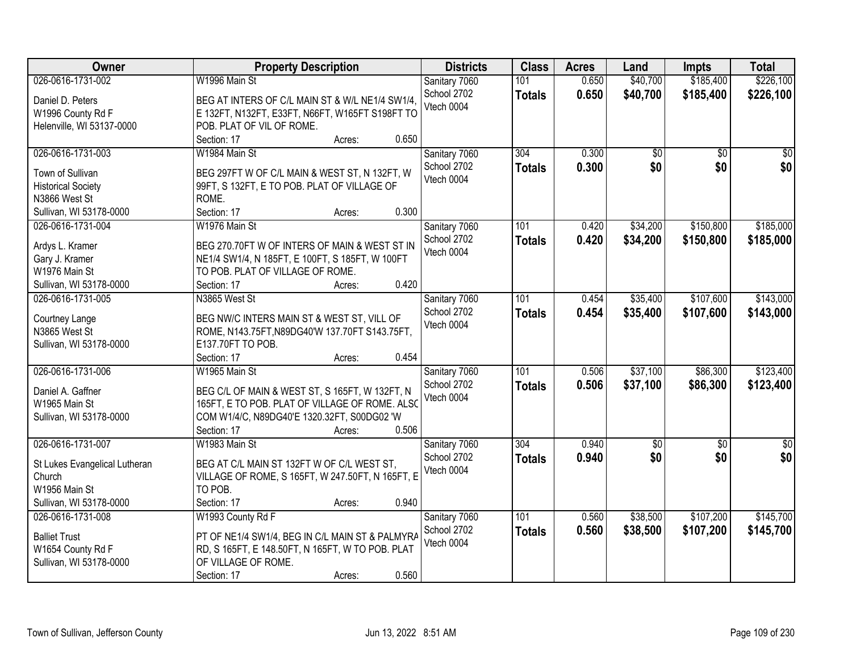| Owner                         | <b>Property Description</b>                      | <b>Districts</b> | <b>Class</b>  | <b>Acres</b> | Land        | <b>Impts</b>    | <b>Total</b>  |
|-------------------------------|--------------------------------------------------|------------------|---------------|--------------|-------------|-----------------|---------------|
| 026-0616-1731-002             | W1996 Main St                                    | Sanitary 7060    | 101           | 0.650        | \$40,700    | \$185,400       | \$226,100     |
| Daniel D. Peters              | BEG AT INTERS OF C/L MAIN ST & W/L NE1/4 SW1/4.  | School 2702      | <b>Totals</b> | 0.650        | \$40,700    | \$185,400       | \$226,100     |
| W1996 County Rd F             | E 132FT, N132FT, E33FT, N66FT, W165FT S198FT TO  | Vtech 0004       |               |              |             |                 |               |
| Helenville, WI 53137-0000     | POB. PLAT OF VIL OF ROME.                        |                  |               |              |             |                 |               |
|                               | 0.650<br>Section: 17<br>Acres:                   |                  |               |              |             |                 |               |
| 026-0616-1731-003             | W1984 Main St                                    | Sanitary 7060    | 304           | 0.300        | \$0         | $\overline{50}$ | \$0           |
|                               |                                                  | School 2702      | <b>Totals</b> | 0.300        | \$0         | \$0             | \$0           |
| Town of Sullivan              | BEG 297FT W OF C/L MAIN & WEST ST, N 132FT, W    | Vtech 0004       |               |              |             |                 |               |
| <b>Historical Society</b>     | 99FT, S 132FT, E TO POB. PLAT OF VILLAGE OF      |                  |               |              |             |                 |               |
| N3866 West St                 | ROME.                                            |                  |               |              |             |                 |               |
| Sullivan, WI 53178-0000       | 0.300<br>Section: 17<br>Acres:                   |                  |               |              |             |                 |               |
| 026-0616-1731-004             | W1976 Main St                                    | Sanitary 7060    | 101           | 0.420        | \$34,200    | \$150,800       | \$185,000     |
| Ardys L. Kramer               | BEG 270.70FT W OF INTERS OF MAIN & WEST ST IN    | School 2702      | <b>Totals</b> | 0.420        | \$34,200    | \$150,800       | \$185,000     |
| Gary J. Kramer                | NE1/4 SW1/4, N 185FT, E 100FT, S 185FT, W 100FT  | Vtech 0004       |               |              |             |                 |               |
| W1976 Main St                 | TO POB. PLAT OF VILLAGE OF ROME.                 |                  |               |              |             |                 |               |
| Sullivan, WI 53178-0000       | 0.420<br>Section: 17<br>Acres:                   |                  |               |              |             |                 |               |
| 026-0616-1731-005             | N3865 West St                                    | Sanitary 7060    | 101           | 0.454        | \$35,400    | \$107,600       | \$143,000     |
|                               |                                                  | School 2702      |               |              |             |                 |               |
| Courtney Lange                | BEG NW/C INTERS MAIN ST & WEST ST, VILL OF       |                  | <b>Totals</b> | 0.454        | \$35,400    | \$107,600       | \$143,000     |
| N3865 West St                 | ROME, N143.75FT, N89DG40'W 137.70FT S143.75FT,   | Vtech 0004       |               |              |             |                 |               |
| Sullivan, WI 53178-0000       | E137.70FT TO POB.                                |                  |               |              |             |                 |               |
|                               | 0.454<br>Section: 17<br>Acres:                   |                  |               |              |             |                 |               |
| 026-0616-1731-006             | W1965 Main St                                    | Sanitary 7060    | 101           | 0.506        | \$37,100    | \$86,300        | \$123,400     |
|                               |                                                  | School 2702      | <b>Totals</b> | 0.506        | \$37,100    | \$86,300        | \$123,400     |
| Daniel A. Gaffner             | BEG C/L OF MAIN & WEST ST, S 165FT, W 132FT, N   | Vtech 0004       |               |              |             |                 |               |
| W1965 Main St                 | 165FT, E TO POB. PLAT OF VILLAGE OF ROME. ALSO   |                  |               |              |             |                 |               |
| Sullivan, WI 53178-0000       | COM W1/4/C, N89DG40'E 1320.32FT, S00DG02 'W      |                  |               |              |             |                 |               |
|                               | 0.506<br>Section: 17<br>Acres:                   |                  |               |              |             |                 |               |
| 026-0616-1731-007             | W1983 Main St                                    | Sanitary 7060    | 304           | 0.940        | $\sqrt{50}$ | $\sqrt{6}$      | $\frac{1}{6}$ |
| St Lukes Evangelical Lutheran | BEG AT C/L MAIN ST 132FT W OF C/L WEST ST,       | School 2702      | <b>Totals</b> | 0.940        | \$0         | \$0             | \$0           |
| Church                        | VILLAGE OF ROME, S 165FT, W 247.50FT, N 165FT, E | Vtech 0004       |               |              |             |                 |               |
| W1956 Main St                 | TO POB.                                          |                  |               |              |             |                 |               |
| Sullivan, WI 53178-0000       | 0.940<br>Section: 17<br>Acres:                   |                  |               |              |             |                 |               |
| 026-0616-1731-008             | W1993 County Rd F                                | Sanitary 7060    | 101           | 0.560        | \$38,500    | \$107,200       | \$145,700     |
|                               |                                                  | School 2702      | <b>Totals</b> | 0.560        | \$38,500    | \$107,200       | \$145,700     |
| <b>Balliet Trust</b>          | PT OF NE1/4 SW1/4, BEG IN C/L MAIN ST & PALMYRA  | Vtech 0004       |               |              |             |                 |               |
| W1654 County Rd F             | RD, S 165FT, E 148.50FT, N 165FT, W TO POB. PLAT |                  |               |              |             |                 |               |
| Sullivan, WI 53178-0000       | OF VILLAGE OF ROME.                              |                  |               |              |             |                 |               |
|                               | 0.560<br>Section: 17<br>Acres:                   |                  |               |              |             |                 |               |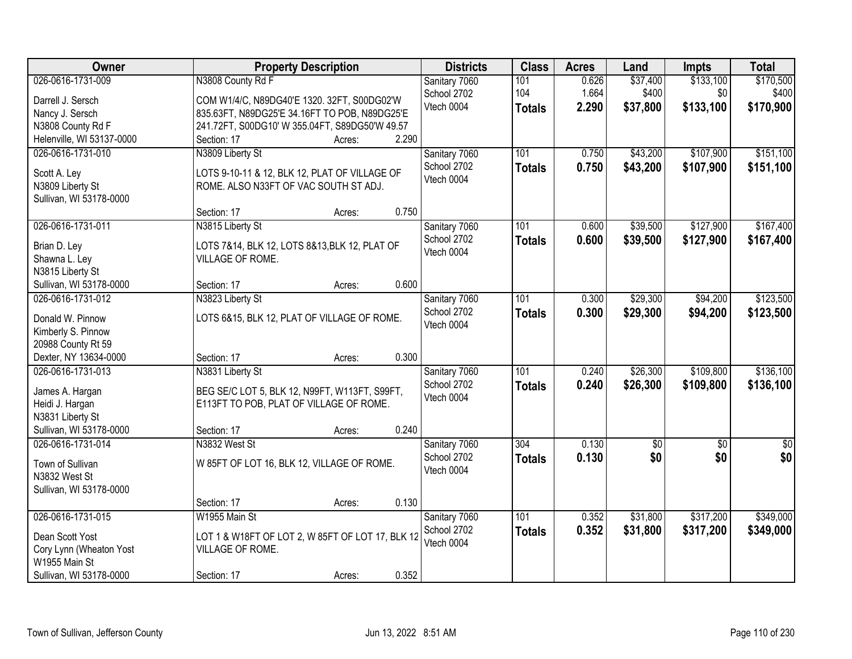| Owner                                       | <b>Property Description</b>                                                            | <b>Districts</b> | <b>Class</b>  | <b>Acres</b> | Land            | <b>Impts</b>    | <b>Total</b>     |
|---------------------------------------------|----------------------------------------------------------------------------------------|------------------|---------------|--------------|-----------------|-----------------|------------------|
| 026-0616-1731-009                           | N3808 County Rd F                                                                      | Sanitary 7060    | 101           | 0.626        | \$37,400        | \$133,100       | \$170,500        |
| Darrell J. Sersch                           | COM W1/4/C, N89DG40'E 1320. 32FT, S00DG02'W                                            | School 2702      | 104           | 1.664        | \$400           | \$0             | \$400            |
| Nancy J. Sersch                             | 835.63FT, N89DG25'E 34.16FT TO POB, N89DG25'E                                          | Vtech 0004       | <b>Totals</b> | 2.290        | \$37,800        | \$133,100       | \$170,900        |
| N3808 County Rd F                           | 241.72FT, S00DG10' W 355.04FT, S89DG50'W 49.57                                         |                  |               |              |                 |                 |                  |
| Helenville, WI 53137-0000                   | 2.290<br>Section: 17<br>Acres:                                                         |                  |               |              |                 |                 |                  |
| 026-0616-1731-010                           | N3809 Liberty St                                                                       | Sanitary 7060    | 101           | 0.750        | \$43,200        | \$107,900       | \$151,100        |
|                                             |                                                                                        | School 2702      | <b>Totals</b> | 0.750        | \$43,200        | \$107,900       | \$151,100        |
| Scott A. Ley<br>N3809 Liberty St            | LOTS 9-10-11 & 12, BLK 12, PLAT OF VILLAGE OF<br>ROME. ALSO N33FT OF VAC SOUTH ST ADJ. | Vtech 0004       |               |              |                 |                 |                  |
| Sullivan, WI 53178-0000                     |                                                                                        |                  |               |              |                 |                 |                  |
|                                             | 0.750<br>Section: 17<br>Acres:                                                         |                  |               |              |                 |                 |                  |
| 026-0616-1731-011                           | N3815 Liberty St                                                                       | Sanitary 7060    | 101           | 0.600        | \$39,500        | \$127,900       | \$167,400        |
|                                             |                                                                                        | School 2702      | <b>Totals</b> | 0.600        | \$39,500        | \$127,900       | \$167,400        |
| Brian D. Lev                                | LOTS 7&14, BLK 12, LOTS 8&13, BLK 12, PLAT OF                                          | Vtech 0004       |               |              |                 |                 |                  |
| Shawna L. Ley                               | VILLAGE OF ROME.                                                                       |                  |               |              |                 |                 |                  |
| N3815 Liberty St<br>Sullivan, WI 53178-0000 | 0.600<br>Section: 17<br>Acres:                                                         |                  |               |              |                 |                 |                  |
| 026-0616-1731-012                           | N3823 Liberty St                                                                       | Sanitary 7060    | 101           | 0.300        | \$29,300        | \$94,200        | \$123,500        |
|                                             |                                                                                        | School 2702      |               |              |                 |                 |                  |
| Donald W. Pinnow                            | LOTS 6&15, BLK 12, PLAT OF VILLAGE OF ROME.                                            | Vtech 0004       | <b>Totals</b> | 0.300        | \$29,300        | \$94,200        | \$123,500        |
| Kimberly S. Pinnow                          |                                                                                        |                  |               |              |                 |                 |                  |
| 20988 County Rt 59                          |                                                                                        |                  |               |              |                 |                 |                  |
| Dexter, NY 13634-0000                       | 0.300<br>Section: 17<br>Acres:                                                         |                  |               |              |                 |                 |                  |
| 026-0616-1731-013                           | N3831 Liberty St                                                                       | Sanitary 7060    | 101           | 0.240        | \$26,300        | \$109,800       | \$136,100        |
| James A. Hargan                             | BEG SE/C LOT 5, BLK 12, N99FT, W113FT, S99FT,                                          | School 2702      | <b>Totals</b> | 0.240        | \$26,300        | \$109,800       | \$136,100        |
| Heidi J. Hargan                             | E113FT TO POB, PLAT OF VILLAGE OF ROME.                                                | Vtech 0004       |               |              |                 |                 |                  |
| N3831 Liberty St                            |                                                                                        |                  |               |              |                 |                 |                  |
| Sullivan, WI 53178-0000                     | 0.240<br>Section: 17<br>Acres:                                                         |                  |               |              |                 |                 |                  |
| 026-0616-1731-014                           | N3832 West St                                                                          | Sanitary 7060    | 304           | 0.130        | $\overline{50}$ | $\overline{50}$ | $\overline{\$0}$ |
| Town of Sullivan                            | W 85FT OF LOT 16, BLK 12, VILLAGE OF ROME.                                             | School 2702      | <b>Totals</b> | 0.130        | \$0             | \$0             | \$0              |
| N3832 West St                               |                                                                                        | Vtech 0004       |               |              |                 |                 |                  |
| Sullivan, WI 53178-0000                     |                                                                                        |                  |               |              |                 |                 |                  |
|                                             | 0.130<br>Section: 17<br>Acres:                                                         |                  |               |              |                 |                 |                  |
| 026-0616-1731-015                           | W1955 Main St                                                                          | Sanitary 7060    | 101           | 0.352        | \$31,800        | \$317,200       | \$349,000        |
|                                             |                                                                                        | School 2702      | <b>Totals</b> | 0.352        | \$31,800        | \$317,200       | \$349,000        |
| Dean Scott Yost                             | LOT 1 & W18FT OF LOT 2, W 85FT OF LOT 17, BLK 12                                       | Vtech 0004       |               |              |                 |                 |                  |
| Cory Lynn (Wheaton Yost                     | VILLAGE OF ROME.                                                                       |                  |               |              |                 |                 |                  |
| W1955 Main St                               |                                                                                        |                  |               |              |                 |                 |                  |
| Sullivan, WI 53178-0000                     | 0.352<br>Section: 17<br>Acres:                                                         |                  |               |              |                 |                 |                  |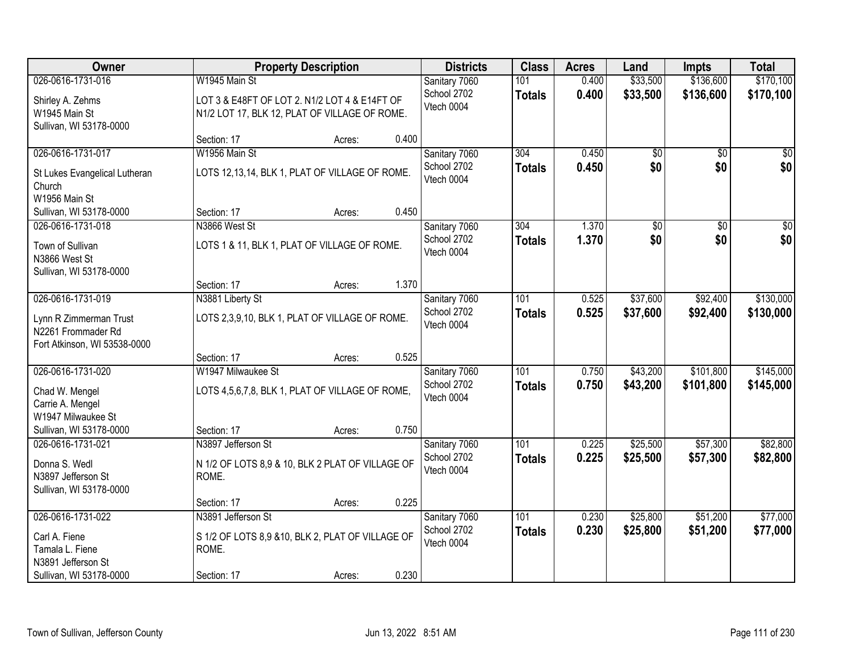| Owner                         |                                                  | <b>Property Description</b> |       | <b>Districts</b> | <b>Class</b>  | <b>Acres</b> | Land        | <b>Impts</b>    | <b>Total</b>    |
|-------------------------------|--------------------------------------------------|-----------------------------|-------|------------------|---------------|--------------|-------------|-----------------|-----------------|
| 026-0616-1731-016             | W1945 Main St                                    |                             |       | Sanitary 7060    | 101           | 0.400        | \$33,500    | \$136,600       | \$170,100       |
| Shirley A. Zehms              | LOT 3 & E48FT OF LOT 2. N1/2 LOT 4 & E14FT OF    |                             |       | School 2702      | <b>Totals</b> | 0.400        | \$33,500    | \$136,600       | \$170,100       |
| W1945 Main St                 | N1/2 LOT 17, BLK 12, PLAT OF VILLAGE OF ROME.    |                             |       | Vtech 0004       |               |              |             |                 |                 |
| Sullivan, WI 53178-0000       |                                                  |                             |       |                  |               |              |             |                 |                 |
|                               | Section: 17                                      | Acres:                      | 0.400 |                  |               |              |             |                 |                 |
| 026-0616-1731-017             | W1956 Main St                                    |                             |       | Sanitary 7060    | 304           | 0.450        | \$0         | $\overline{50}$ | $\overline{50}$ |
| St Lukes Evangelical Lutheran | LOTS 12,13,14, BLK 1, PLAT OF VILLAGE OF ROME.   |                             |       | School 2702      | <b>Totals</b> | 0.450        | \$0         | \$0             | \$0             |
| Church                        |                                                  |                             |       | Vtech 0004       |               |              |             |                 |                 |
| W1956 Main St                 |                                                  |                             |       |                  |               |              |             |                 |                 |
| Sullivan, WI 53178-0000       | Section: 17                                      | Acres:                      | 0.450 |                  |               |              |             |                 |                 |
| 026-0616-1731-018             | N3866 West St                                    |                             |       | Sanitary 7060    | 304           | 1.370        | $\sqrt{50}$ | $\overline{50}$ | $\overline{30}$ |
| Town of Sullivan              | LOTS 1 & 11, BLK 1, PLAT OF VILLAGE OF ROME.     |                             |       | School 2702      | <b>Totals</b> | 1.370        | \$0         | \$0             | \$0             |
| N3866 West St                 |                                                  |                             |       | Vtech 0004       |               |              |             |                 |                 |
| Sullivan, WI 53178-0000       |                                                  |                             |       |                  |               |              |             |                 |                 |
|                               | Section: 17                                      | Acres:                      | 1.370 |                  |               |              |             |                 |                 |
| 026-0616-1731-019             | N3881 Liberty St                                 |                             |       | Sanitary 7060    | 101           | 0.525        | \$37,600    | \$92,400        | \$130,000       |
| Lynn R Zimmerman Trust        | LOTS 2,3,9,10, BLK 1, PLAT OF VILLAGE OF ROME.   |                             |       | School 2702      | <b>Totals</b> | 0.525        | \$37,600    | \$92,400        | \$130,000       |
| N2261 Frommader Rd            |                                                  |                             |       | Vtech 0004       |               |              |             |                 |                 |
| Fort Atkinson, WI 53538-0000  |                                                  |                             |       |                  |               |              |             |                 |                 |
|                               | Section: 17                                      | Acres:                      | 0.525 |                  |               |              |             |                 |                 |
| 026-0616-1731-020             | W1947 Milwaukee St                               |                             |       | Sanitary 7060    | 101           | 0.750        | \$43,200    | \$101,800       | \$145,000       |
| Chad W. Mengel                | LOTS 4,5,6,7,8, BLK 1, PLAT OF VILLAGE OF ROME,  |                             |       | School 2702      | <b>Totals</b> | 0.750        | \$43,200    | \$101,800       | \$145,000       |
| Carrie A. Mengel              |                                                  |                             |       | Vtech 0004       |               |              |             |                 |                 |
| W1947 Milwaukee St            |                                                  |                             |       |                  |               |              |             |                 |                 |
| Sullivan, WI 53178-0000       | Section: 17                                      | Acres:                      | 0.750 |                  |               |              |             |                 |                 |
| 026-0616-1731-021             | N3897 Jefferson St                               |                             |       | Sanitary 7060    | 101           | 0.225        | \$25,500    | \$57,300        | \$82,800        |
| Donna S. Wedl                 | N 1/2 OF LOTS 8,9 & 10, BLK 2 PLAT OF VILLAGE OF |                             |       | School 2702      | <b>Totals</b> | 0.225        | \$25,500    | \$57,300        | \$82,800        |
| N3897 Jefferson St            | ROME.                                            |                             |       | Vtech 0004       |               |              |             |                 |                 |
| Sullivan, WI 53178-0000       |                                                  |                             |       |                  |               |              |             |                 |                 |
|                               | Section: 17                                      | Acres:                      | 0.225 |                  |               |              |             |                 |                 |
| 026-0616-1731-022             | N3891 Jefferson St                               |                             |       | Sanitary 7060    | 101           | 0.230        | \$25,800    | \$51,200        | \$77,000        |
| Carl A. Fiene                 | S 1/2 OF LOTS 8,9 &10, BLK 2, PLAT OF VILLAGE OF |                             |       | School 2702      | <b>Totals</b> | 0.230        | \$25,800    | \$51,200        | \$77,000        |
| Tamala L. Fiene               | ROME.                                            |                             |       | Vtech 0004       |               |              |             |                 |                 |
| N3891 Jefferson St            |                                                  |                             |       |                  |               |              |             |                 |                 |
| Sullivan, WI 53178-0000       | Section: 17                                      | Acres:                      | 0.230 |                  |               |              |             |                 |                 |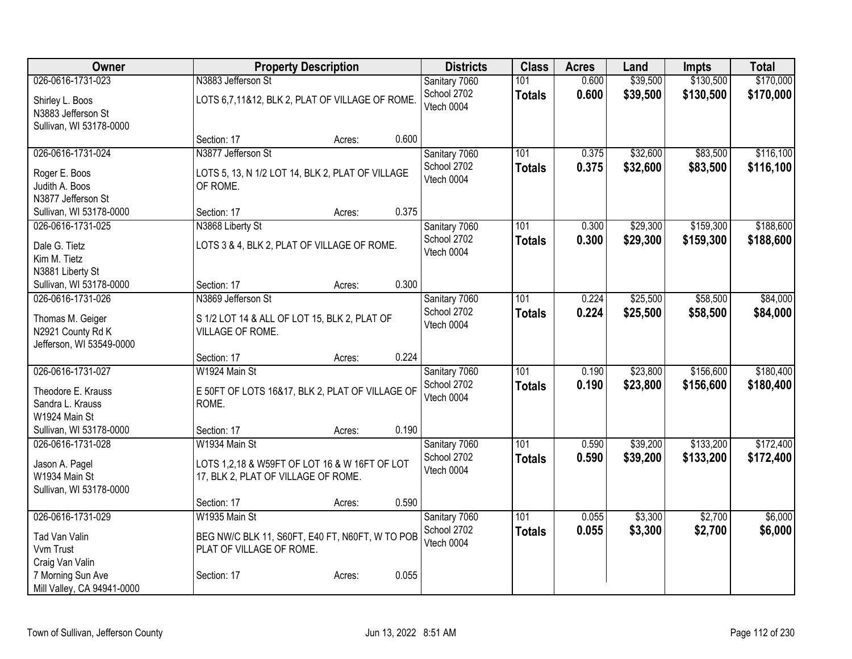| Owner                                  |                                                                                      | <b>Property Description</b> |       | <b>Districts</b> | <b>Class</b>     | <b>Acres</b> | Land     | Impts     | <b>Total</b> |
|----------------------------------------|--------------------------------------------------------------------------------------|-----------------------------|-------|------------------|------------------|--------------|----------|-----------|--------------|
| 026-0616-1731-023                      | N3883 Jefferson St                                                                   |                             |       | Sanitary 7060    | 101              | 0.600        | \$39,500 | \$130,500 | \$170,000    |
| Shirley L. Boos                        | LOTS 6,7,11&12, BLK 2, PLAT OF VILLAGE OF ROME.                                      |                             |       | School 2702      | <b>Totals</b>    | 0.600        | \$39,500 | \$130,500 | \$170,000    |
| N3883 Jefferson St                     |                                                                                      |                             |       | Vtech 0004       |                  |              |          |           |              |
| Sullivan, WI 53178-0000                |                                                                                      |                             |       |                  |                  |              |          |           |              |
|                                        | Section: 17                                                                          | Acres:                      | 0.600 |                  |                  |              |          |           |              |
| 026-0616-1731-024                      | N3877 Jefferson St                                                                   |                             |       | Sanitary 7060    | 101              | 0.375        | \$32,600 | \$83,500  | \$116,100    |
| Roger E. Boos                          | LOTS 5, 13, N 1/2 LOT 14, BLK 2, PLAT OF VILLAGE                                     |                             |       | School 2702      | <b>Totals</b>    | 0.375        | \$32,600 | \$83,500  | \$116,100    |
| Judith A. Boos                         | OF ROME.                                                                             |                             |       | Vtech 0004       |                  |              |          |           |              |
| N3877 Jefferson St                     |                                                                                      |                             |       |                  |                  |              |          |           |              |
| Sullivan, WI 53178-0000                | Section: 17                                                                          | Acres:                      | 0.375 |                  |                  |              |          |           |              |
| 026-0616-1731-025                      | N3868 Liberty St                                                                     |                             |       | Sanitary 7060    | 101              | 0.300        | \$29,300 | \$159,300 | \$188,600    |
| Dale G. Tietz                          | LOTS 3 & 4, BLK 2, PLAT OF VILLAGE OF ROME.                                          |                             |       | School 2702      | <b>Totals</b>    | 0.300        | \$29,300 | \$159,300 | \$188,600    |
| Kim M. Tietz                           |                                                                                      |                             |       | Vtech 0004       |                  |              |          |           |              |
| N3881 Liberty St                       |                                                                                      |                             |       |                  |                  |              |          |           |              |
| Sullivan, WI 53178-0000                | Section: 17                                                                          | Acres:                      | 0.300 |                  |                  |              |          |           |              |
| 026-0616-1731-026                      | N3869 Jefferson St                                                                   |                             |       | Sanitary 7060    | 101              | 0.224        | \$25,500 | \$58,500  | \$84,000     |
| Thomas M. Geiger                       | S 1/2 LOT 14 & ALL OF LOT 15, BLK 2, PLAT OF                                         |                             |       | School 2702      | <b>Totals</b>    | 0.224        | \$25,500 | \$58,500  | \$84,000     |
| N2921 County Rd K                      | VILLAGE OF ROME.                                                                     |                             |       | Vtech 0004       |                  |              |          |           |              |
| Jefferson, WI 53549-0000               |                                                                                      |                             |       |                  |                  |              |          |           |              |
|                                        | Section: 17                                                                          | Acres:                      | 0.224 |                  |                  |              |          |           |              |
| 026-0616-1731-027                      | W1924 Main St                                                                        |                             |       | Sanitary 7060    | $\overline{101}$ | 0.190        | \$23,800 | \$156,600 | \$180,400    |
|                                        |                                                                                      |                             |       | School 2702      | <b>Totals</b>    | 0.190        | \$23,800 | \$156,600 | \$180,400    |
| Theodore E. Krauss<br>Sandra L. Krauss | E 50FT OF LOTS 16&17, BLK 2, PLAT OF VILLAGE OF<br>ROME.                             |                             |       | Vtech 0004       |                  |              |          |           |              |
| W1924 Main St                          |                                                                                      |                             |       |                  |                  |              |          |           |              |
| Sullivan, WI 53178-0000                | Section: 17                                                                          | Acres:                      | 0.190 |                  |                  |              |          |           |              |
| 026-0616-1731-028                      | W1934 Main St                                                                        |                             |       | Sanitary 7060    | 101              | 0.590        | \$39,200 | \$133,200 | \$172,400    |
|                                        |                                                                                      |                             |       | School 2702      | <b>Totals</b>    | 0.590        | \$39,200 | \$133,200 | \$172,400    |
| Jason A. Pagel<br>W1934 Main St        | LOTS 1,2,18 & W59FT OF LOT 16 & W 16FT OF LOT<br>17, BLK 2, PLAT OF VILLAGE OF ROME. |                             |       | Vtech 0004       |                  |              |          |           |              |
| Sullivan, WI 53178-0000                |                                                                                      |                             |       |                  |                  |              |          |           |              |
|                                        | Section: 17                                                                          | Acres:                      | 0.590 |                  |                  |              |          |           |              |
| 026-0616-1731-029                      | W1935 Main St                                                                        |                             |       | Sanitary 7060    | 101              | 0.055        | \$3,300  | \$2,700   | \$6,000      |
|                                        |                                                                                      |                             |       | School 2702      | <b>Totals</b>    | 0.055        | \$3,300  | \$2,700   | \$6,000      |
| Tad Van Valin<br>Vvm Trust             | BEG NW/C BLK 11, S60FT, E40 FT, N60FT, W TO POB<br>PLAT OF VILLAGE OF ROME.          |                             |       | Vtech 0004       |                  |              |          |           |              |
| Craig Van Valin                        |                                                                                      |                             |       |                  |                  |              |          |           |              |
| 7 Morning Sun Ave                      | Section: 17                                                                          | Acres:                      | 0.055 |                  |                  |              |          |           |              |
| Mill Valley, CA 94941-0000             |                                                                                      |                             |       |                  |                  |              |          |           |              |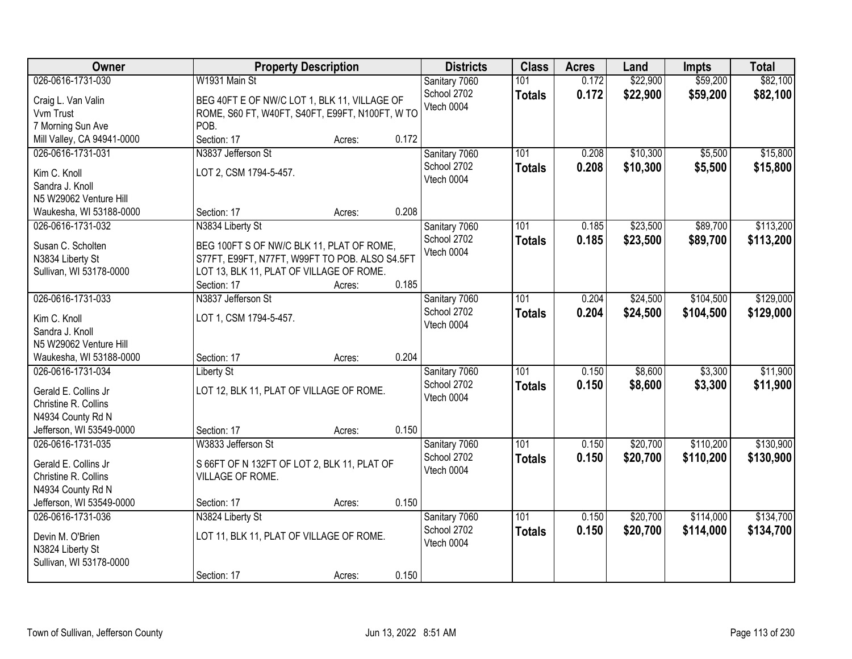| Owner                                         | <b>Property Description</b>                     |        | <b>Districts</b>             | <b>Class</b>  | <b>Acres</b> | Land     | <b>Impts</b> | <b>Total</b> |
|-----------------------------------------------|-------------------------------------------------|--------|------------------------------|---------------|--------------|----------|--------------|--------------|
| 026-0616-1731-030                             | W1931 Main St                                   |        | Sanitary 7060                | 101           | 0.172        | \$22,900 | \$59,200     | \$82,100     |
| Craig L. Van Valin                            | BEG 40FT E OF NW/C LOT 1, BLK 11, VILLAGE OF    |        | School 2702                  | <b>Totals</b> | 0.172        | \$22,900 | \$59,200     | \$82,100     |
| Vvm Trust                                     | ROME, S60 FT, W40FT, S40FT, E99FT, N100FT, W TO |        | Vtech 0004                   |               |              |          |              |              |
| 7 Morning Sun Ave                             | POB.                                            |        |                              |               |              |          |              |              |
| Mill Valley, CA 94941-0000                    | Section: 17                                     | Acres: | 0.172                        |               |              |          |              |              |
| 026-0616-1731-031                             | N3837 Jefferson St                              |        | Sanitary 7060                | 101           | 0.208        | \$10,300 | \$5,500      | \$15,800     |
|                                               | LOT 2, CSM 1794-5-457.                          |        | School 2702                  | <b>Totals</b> | 0.208        | \$10,300 | \$5,500      | \$15,800     |
| Kim C. Knoll<br>Sandra J. Knoll               |                                                 |        | Vtech 0004                   |               |              |          |              |              |
| N5 W29062 Venture Hill                        |                                                 |        |                              |               |              |          |              |              |
| Waukesha, WI 53188-0000                       | Section: 17                                     | Acres: | 0.208                        |               |              |          |              |              |
| 026-0616-1731-032                             | N3834 Liberty St                                |        | Sanitary 7060                | 101           | 0.185        | \$23,500 | \$89,700     | \$113,200    |
|                                               |                                                 |        | School 2702                  | <b>Totals</b> | 0.185        | \$23,500 | \$89,700     | \$113,200    |
| Susan C. Scholten                             | BEG 100FT S OF NW/C BLK 11, PLAT OF ROME,       |        | Vtech 0004                   |               |              |          |              |              |
| N3834 Liberty St                              | S77FT, E99FT, N77FT, W99FT TO POB. ALSO S4.5FT  |        |                              |               |              |          |              |              |
| Sullivan, WI 53178-0000                       | LOT 13, BLK 11, PLAT OF VILLAGE OF ROME.        |        |                              |               |              |          |              |              |
|                                               | Section: 17                                     | Acres: | 0.185                        |               |              |          |              |              |
| 026-0616-1731-033                             | N3837 Jefferson St                              |        | Sanitary 7060                | 101           | 0.204        | \$24,500 | \$104,500    | \$129,000    |
| Kim C. Knoll                                  | LOT 1, CSM 1794-5-457.                          |        | School 2702                  | <b>Totals</b> | 0.204        | \$24,500 | \$104,500    | \$129,000    |
| Sandra J. Knoll                               |                                                 |        | Vtech 0004                   |               |              |          |              |              |
| N5 W29062 Venture Hill                        |                                                 |        |                              |               |              |          |              |              |
| Waukesha, WI 53188-0000                       | Section: 17                                     | Acres: | 0.204                        |               |              |          |              |              |
| 026-0616-1731-034                             | <b>Liberty St</b>                               |        | Sanitary 7060                | 101           | 0.150        | \$8,600  | \$3,300      | \$11,900     |
| Gerald E. Collins Jr                          | LOT 12, BLK 11, PLAT OF VILLAGE OF ROME.        |        | School 2702                  | <b>Totals</b> | 0.150        | \$8,600  | \$3,300      | \$11,900     |
| Christine R. Collins                          |                                                 |        | Vtech 0004                   |               |              |          |              |              |
| N4934 County Rd N                             |                                                 |        |                              |               |              |          |              |              |
| Jefferson, WI 53549-0000                      | Section: 17                                     | Acres: | 0.150                        |               |              |          |              |              |
| 026-0616-1731-035                             | W3833 Jefferson St                              |        | Sanitary 7060                | 101           | 0.150        | \$20,700 | \$110,200    | \$130,900    |
|                                               |                                                 |        | School 2702                  | <b>Totals</b> | 0.150        | \$20,700 | \$110,200    | \$130,900    |
| Gerald E. Collins Jr                          | S 66FT OF N 132FT OF LOT 2, BLK 11, PLAT OF     |        | Vtech 0004                   |               |              |          |              |              |
| Christine R. Collins                          | VILLAGE OF ROME.                                |        |                              |               |              |          |              |              |
| N4934 County Rd N                             |                                                 |        | 0.150                        |               |              |          |              |              |
| Jefferson, WI 53549-0000<br>026-0616-1731-036 | Section: 17<br>N3824 Liberty St                 | Acres: |                              | 101           | 0.150        | \$20,700 | \$114,000    | \$134,700    |
|                                               |                                                 |        | Sanitary 7060<br>School 2702 |               | 0.150        | \$20,700 | \$114,000    | \$134,700    |
| Devin M. O'Brien                              | LOT 11, BLK 11, PLAT OF VILLAGE OF ROME.        |        | Vtech 0004                   | <b>Totals</b> |              |          |              |              |
| N3824 Liberty St                              |                                                 |        |                              |               |              |          |              |              |
| Sullivan, WI 53178-0000                       |                                                 |        |                              |               |              |          |              |              |
|                                               | Section: 17                                     | Acres: | 0.150                        |               |              |          |              |              |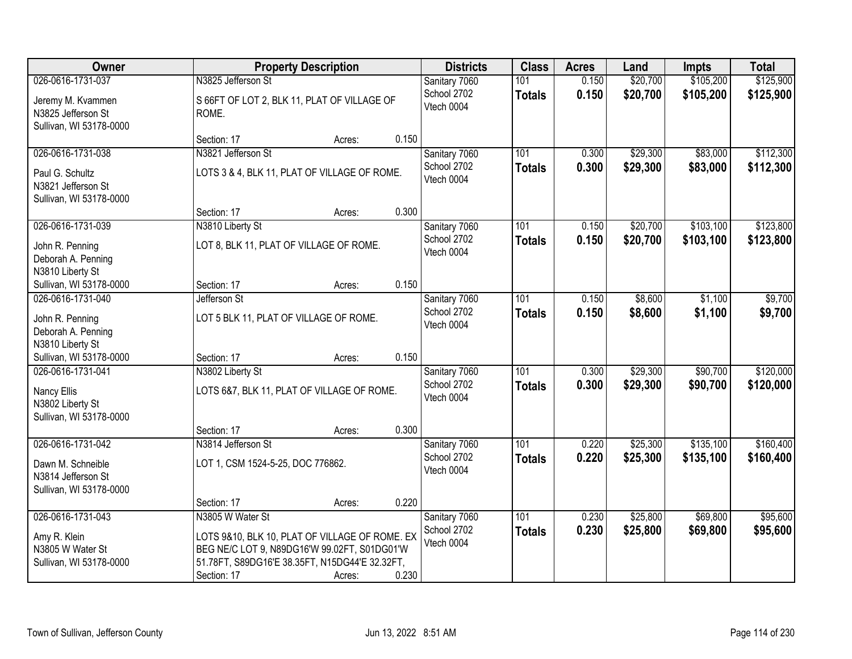| <b>Owner</b>                                                                     |                                                                                                                                                                      | <b>Property Description</b> |       | <b>Districts</b>                           | <b>Class</b>         | <b>Acres</b>   | Land                 | <b>Impts</b>         | <b>Total</b>           |
|----------------------------------------------------------------------------------|----------------------------------------------------------------------------------------------------------------------------------------------------------------------|-----------------------------|-------|--------------------------------------------|----------------------|----------------|----------------------|----------------------|------------------------|
| 026-0616-1731-037                                                                | N3825 Jefferson St                                                                                                                                                   |                             |       | Sanitary 7060                              | 101                  | 0.150          | \$20,700             | \$105,200            | \$125,900              |
| Jeremy M. Kvammen<br>N3825 Jefferson St<br>Sullivan, WI 53178-0000               | S 66FT OF LOT 2, BLK 11, PLAT OF VILLAGE OF<br>ROME.                                                                                                                 |                             |       | School 2702<br>Vtech 0004                  | <b>Totals</b>        | 0.150          | \$20,700             | \$105,200            | \$125,900              |
|                                                                                  | Section: 17                                                                                                                                                          | Acres:                      | 0.150 |                                            |                      |                |                      |                      |                        |
| 026-0616-1731-038                                                                | N3821 Jefferson St                                                                                                                                                   |                             |       | Sanitary 7060                              | 101                  | 0.300          | \$29,300             | \$83,000             | \$112,300              |
| Paul G. Schultz<br>N3821 Jefferson St<br>Sullivan, WI 53178-0000                 | LOTS 3 & 4, BLK 11, PLAT OF VILLAGE OF ROME.                                                                                                                         |                             |       | School 2702<br>Vtech 0004                  | <b>Totals</b>        | 0.300          | \$29,300             | \$83,000             | \$112,300              |
|                                                                                  | Section: 17                                                                                                                                                          | Acres:                      | 0.300 |                                            |                      |                |                      |                      |                        |
| 026-0616-1731-039                                                                | N3810 Liberty St                                                                                                                                                     |                             |       | Sanitary 7060                              | 101                  | 0.150          | \$20,700             | \$103,100            | \$123,800              |
| John R. Penning<br>Deborah A. Penning<br>N3810 Liberty St                        | LOT 8, BLK 11, PLAT OF VILLAGE OF ROME.                                                                                                                              |                             |       | School 2702<br>Vtech 0004                  | <b>Totals</b>        | 0.150          | \$20,700             | \$103,100            | \$123,800              |
| Sullivan, WI 53178-0000                                                          | Section: 17                                                                                                                                                          | Acres:                      | 0.150 |                                            |                      |                |                      |                      |                        |
| 026-0616-1731-040                                                                | Jefferson St                                                                                                                                                         |                             |       | Sanitary 7060                              | 101                  | 0.150          | \$8,600              | \$1,100              | \$9,700                |
| John R. Penning<br>Deborah A. Penning<br>N3810 Liberty St                        | LOT 5 BLK 11, PLAT OF VILLAGE OF ROME.                                                                                                                               |                             |       | School 2702<br>Vtech 0004                  | <b>Totals</b>        | 0.150          | \$8,600              | \$1,100              | \$9,700                |
| Sullivan, WI 53178-0000                                                          | Section: 17                                                                                                                                                          | Acres:                      | 0.150 |                                            |                      |                |                      |                      |                        |
| 026-0616-1731-041<br>Nancy Ellis<br>N3802 Liberty St<br>Sullivan, WI 53178-0000  | N3802 Liberty St<br>LOTS 6&7, BLK 11, PLAT OF VILLAGE OF ROME.                                                                                                       |                             |       | Sanitary 7060<br>School 2702<br>Vtech 0004 | 101<br><b>Totals</b> | 0.300<br>0.300 | \$29,300<br>\$29,300 | \$90,700<br>\$90,700 | \$120,000<br>\$120,000 |
|                                                                                  | Section: 17                                                                                                                                                          | Acres:                      | 0.300 |                                            |                      |                |                      |                      |                        |
| 026-0616-1731-042                                                                | N3814 Jefferson St                                                                                                                                                   |                             |       | Sanitary 7060                              | $\overline{101}$     | 0.220          | \$25,300             | \$135,100            | \$160,400              |
| Dawn M. Schneible<br>N3814 Jefferson St<br>Sullivan, WI 53178-0000               | LOT 1, CSM 1524-5-25, DOC 776862.                                                                                                                                    |                             |       | School 2702<br>Vtech 0004                  | <b>Totals</b>        | 0.220          | \$25,300             | \$135,100            | \$160,400              |
|                                                                                  | Section: 17                                                                                                                                                          | Acres:                      | 0.220 |                                            |                      |                |                      |                      |                        |
| 026-0616-1731-043<br>Amy R. Klein<br>N3805 W Water St<br>Sullivan, WI 53178-0000 | N3805 W Water St<br>LOTS 9&10, BLK 10, PLAT OF VILLAGE OF ROME. EX<br>BEG NE/C LOT 9, N89DG16'W 99.02FT, S01DG01'W<br>51.78FT, S89DG16'E 38.35FT, N15DG44'E 32.32FT, |                             |       | Sanitary 7060<br>School 2702<br>Vtech 0004 | 101<br><b>Totals</b> | 0.230<br>0.230 | \$25,800<br>\$25,800 | \$69,800<br>\$69,800 | \$95,600<br>\$95,600   |
|                                                                                  | Section: 17                                                                                                                                                          | Acres:                      | 0.230 |                                            |                      |                |                      |                      |                        |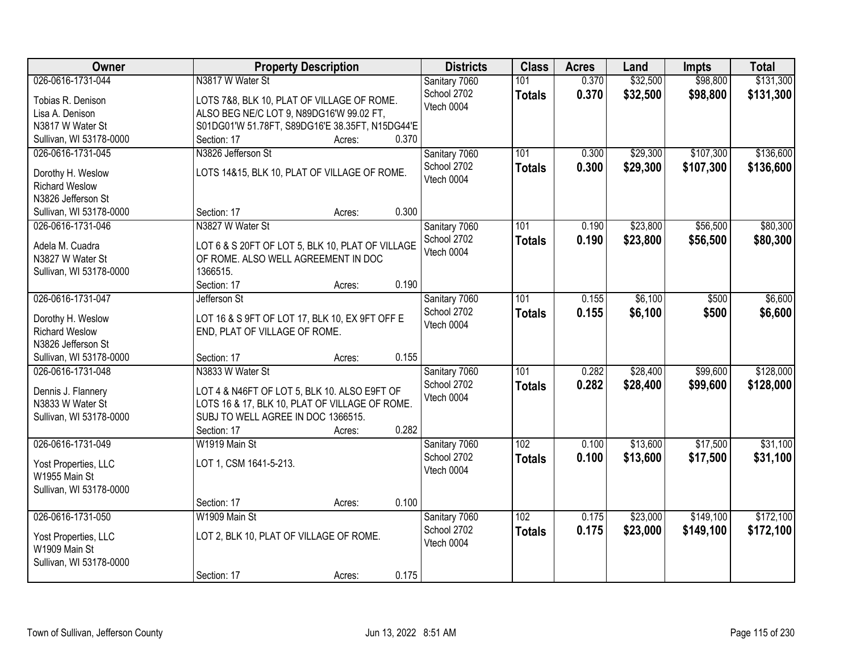| Owner                                      | <b>Property Description</b>                                                     | <b>Districts</b>          | <b>Class</b>  | <b>Acres</b> | Land     | <b>Impts</b> | <b>Total</b> |
|--------------------------------------------|---------------------------------------------------------------------------------|---------------------------|---------------|--------------|----------|--------------|--------------|
| 026-0616-1731-044                          | N3817 W Water St                                                                | Sanitary 7060             | 101           | 0.370        | \$32,500 | \$98,800     | \$131,300    |
| Tobias R. Denison                          | LOTS 7&8, BLK 10, PLAT OF VILLAGE OF ROME.                                      | School 2702               | <b>Totals</b> | 0.370        | \$32,500 | \$98,800     | \$131,300    |
| Lisa A. Denison                            | ALSO BEG NE/C LOT 9, N89DG16'W 99.02 FT,                                        | Vtech 0004                |               |              |          |              |              |
| N3817 W Water St                           | S01DG01'W 51.78FT, S89DG16'E 38.35FT, N15DG44'E                                 |                           |               |              |          |              |              |
| Sullivan, WI 53178-0000                    | 0.370<br>Section: 17<br>Acres:                                                  |                           |               |              |          |              |              |
| 026-0616-1731-045                          | N3826 Jefferson St                                                              | Sanitary 7060             | 101           | 0.300        | \$29,300 | \$107,300    | \$136,600    |
|                                            |                                                                                 | School 2702               | <b>Totals</b> | 0.300        | \$29,300 | \$107,300    | \$136,600    |
| Dorothy H. Weslow                          | LOTS 14&15, BLK 10, PLAT OF VILLAGE OF ROME.                                    | Vtech 0004                |               |              |          |              |              |
| <b>Richard Weslow</b>                      |                                                                                 |                           |               |              |          |              |              |
| N3826 Jefferson St                         |                                                                                 |                           |               |              |          |              |              |
| Sullivan, WI 53178-0000                    | 0.300<br>Section: 17<br>Acres:                                                  |                           |               |              |          |              |              |
| 026-0616-1731-046                          | N3827 W Water St                                                                | Sanitary 7060             | 101           | 0.190        | \$23,800 | \$56,500     | \$80,300     |
| Adela M. Cuadra                            | LOT 6 & S 20FT OF LOT 5, BLK 10, PLAT OF VILLAGE                                | School 2702               | <b>Totals</b> | 0.190        | \$23,800 | \$56,500     | \$80,300     |
| N3827 W Water St                           | OF ROME. ALSO WELL AGREEMENT IN DOC                                             | Vtech 0004                |               |              |          |              |              |
| Sullivan, WI 53178-0000                    | 1366515.                                                                        |                           |               |              |          |              |              |
|                                            | 0.190<br>Section: 17<br>Acres:                                                  |                           |               |              |          |              |              |
| 026-0616-1731-047                          | Jefferson St                                                                    | Sanitary 7060             | 101           | 0.155        | \$6,100  | \$500        | \$6,600      |
|                                            |                                                                                 | School 2702               | <b>Totals</b> | 0.155        | \$6,100  | \$500        | \$6,600      |
| Dorothy H. Weslow<br><b>Richard Weslow</b> | LOT 16 & S 9FT OF LOT 17, BLK 10, EX 9FT OFF E<br>END, PLAT OF VILLAGE OF ROME. | Vtech 0004                |               |              |          |              |              |
| N3826 Jefferson St                         |                                                                                 |                           |               |              |          |              |              |
| Sullivan, WI 53178-0000                    | 0.155<br>Section: 17                                                            |                           |               |              |          |              |              |
| 026-0616-1731-048                          | Acres:<br>N3833 W Water St                                                      |                           | 101           | 0.282        | \$28,400 | \$99,600     | \$128,000    |
|                                            |                                                                                 | Sanitary 7060             |               |              |          |              |              |
| Dennis J. Flannery                         | LOT 4 & N46FT OF LOT 5, BLK 10. ALSO E9FT OF                                    | School 2702<br>Vtech 0004 | <b>Totals</b> | 0.282        | \$28,400 | \$99,600     | \$128,000    |
| N3833 W Water St                           | LOTS 16 & 17, BLK 10, PLAT OF VILLAGE OF ROME.                                  |                           |               |              |          |              |              |
| Sullivan, WI 53178-0000                    | SUBJ TO WELL AGREE IN DOC 1366515.                                              |                           |               |              |          |              |              |
|                                            | 0.282<br>Section: 17<br>Acres:                                                  |                           |               |              |          |              |              |
| 026-0616-1731-049                          | W1919 Main St                                                                   | Sanitary 7060             | 102           | 0.100        | \$13,600 | \$17,500     | \$31,100     |
| Yost Properties, LLC                       | LOT 1, CSM 1641-5-213.                                                          | School 2702               | <b>Totals</b> | 0.100        | \$13,600 | \$17,500     | \$31,100     |
| W1955 Main St                              |                                                                                 | Vtech 0004                |               |              |          |              |              |
| Sullivan, WI 53178-0000                    |                                                                                 |                           |               |              |          |              |              |
|                                            | 0.100<br>Section: 17<br>Acres:                                                  |                           |               |              |          |              |              |
| 026-0616-1731-050                          | W1909 Main St                                                                   | Sanitary 7060             | 102           | 0.175        | \$23,000 | \$149,100    | \$172,100    |
|                                            |                                                                                 | School 2702               |               | 0.175        | \$23,000 | \$149,100    | \$172,100    |
| Yost Properties, LLC                       | LOT 2, BLK 10, PLAT OF VILLAGE OF ROME.                                         | Vtech 0004                | <b>Totals</b> |              |          |              |              |
| W1909 Main St                              |                                                                                 |                           |               |              |          |              |              |
| Sullivan, WI 53178-0000                    |                                                                                 |                           |               |              |          |              |              |
|                                            | 0.175<br>Section: 17<br>Acres:                                                  |                           |               |              |          |              |              |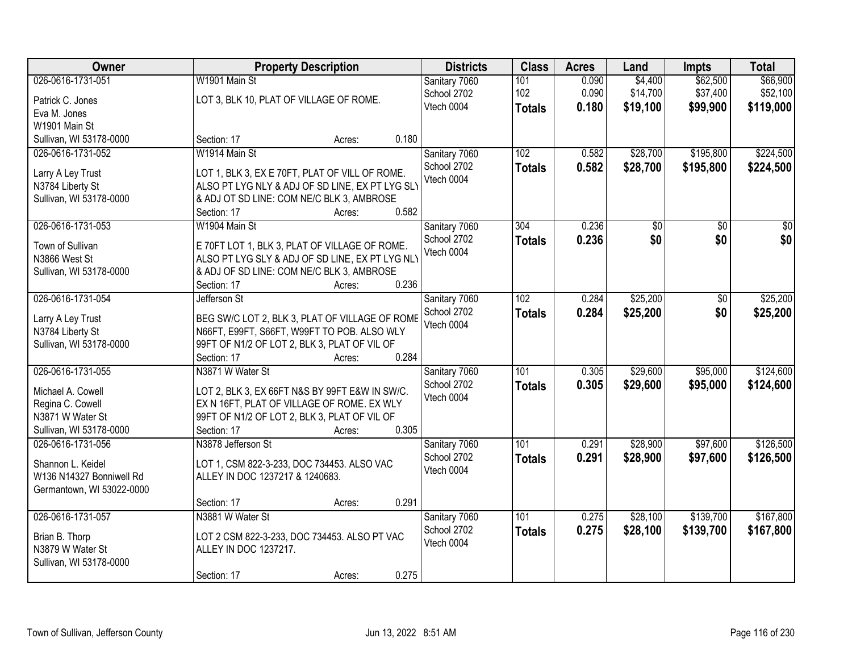| Owner                                 |                                         | <b>Property Description</b>                                                                   | <b>Districts</b>             | <b>Class</b>  | <b>Acres</b> | Land     | <b>Impts</b> | <b>Total</b> |
|---------------------------------------|-----------------------------------------|-----------------------------------------------------------------------------------------------|------------------------------|---------------|--------------|----------|--------------|--------------|
| 026-0616-1731-051                     | W1901 Main St                           |                                                                                               | Sanitary 7060                | 101           | 0.090        | \$4,400  | \$62,500     | \$66,900     |
| Patrick C. Jones                      | LOT 3, BLK 10, PLAT OF VILLAGE OF ROME. |                                                                                               | School 2702                  | 102           | 0.090        | \$14,700 | \$37,400     | \$52,100     |
| Eva M. Jones                          |                                         |                                                                                               | Vtech 0004                   | <b>Totals</b> | 0.180        | \$19,100 | \$99,900     | \$119,000    |
| W1901 Main St                         |                                         |                                                                                               |                              |               |              |          |              |              |
| Sullivan, WI 53178-0000               | Section: 17                             | Acres:                                                                                        | 0.180                        |               |              |          |              |              |
| 026-0616-1731-052                     | W1914 Main St                           |                                                                                               | Sanitary 7060                | 102           | 0.582        | \$28,700 | \$195,800    | \$224,500    |
|                                       |                                         |                                                                                               | School 2702                  | <b>Totals</b> | 0.582        | \$28,700 | \$195,800    | \$224,500    |
| Larry A Ley Trust                     |                                         | LOT 1, BLK 3, EX E 70FT, PLAT OF VILL OF ROME.                                                | Vtech 0004                   |               |              |          |              |              |
| N3784 Liberty St                      |                                         | ALSO PT LYG NLY & ADJ OF SD LINE, EX PT LYG SLY                                               |                              |               |              |          |              |              |
| Sullivan, WI 53178-0000               |                                         | & ADJ OT SD LINE: COM NE/C BLK 3, AMBROSE                                                     |                              |               |              |          |              |              |
|                                       | Section: 17                             | Acres:                                                                                        | 0.582                        |               |              |          |              |              |
| 026-0616-1731-053                     | W1904 Main St                           |                                                                                               | Sanitary 7060                | 304           | 0.236        | \$0      | \$0          | \$0          |
| Town of Sullivan                      |                                         | E 70FT LOT 1, BLK 3, PLAT OF VILLAGE OF ROME.                                                 | School 2702                  | <b>Totals</b> | 0.236        | \$0      | \$0          | \$0          |
| N3866 West St                         |                                         | ALSO PT LYG SLY & ADJ OF SD LINE, EX PT LYG NLY                                               | Vtech 0004                   |               |              |          |              |              |
| Sullivan, WI 53178-0000               |                                         | & ADJ OF SD LINE: COM NE/C BLK 3, AMBROSE                                                     |                              |               |              |          |              |              |
|                                       | Section: 17                             | Acres:                                                                                        | 0.236                        |               |              |          |              |              |
| 026-0616-1731-054                     | Jefferson St                            |                                                                                               | Sanitary 7060                | 102           | 0.284        | \$25,200 | \$0          | \$25,200     |
|                                       |                                         |                                                                                               | School 2702                  | <b>Totals</b> | 0.284        | \$25,200 | \$0          | \$25,200     |
| Larry A Ley Trust<br>N3784 Liberty St |                                         | BEG SW/C LOT 2, BLK 3, PLAT OF VILLAGE OF ROME<br>N66FT, E99FT, S66FT, W99FT TO POB. ALSO WLY | Vtech 0004                   |               |              |          |              |              |
| Sullivan, WI 53178-0000               |                                         | 99FT OF N1/2 OF LOT 2, BLK 3, PLAT OF VIL OF                                                  |                              |               |              |          |              |              |
|                                       | Section: 17                             | Acres:                                                                                        | 0.284                        |               |              |          |              |              |
| 026-0616-1731-055                     | N3871 W Water St                        |                                                                                               |                              | 101           | 0.305        | \$29,600 | \$95,000     | \$124,600    |
|                                       |                                         |                                                                                               | Sanitary 7060<br>School 2702 |               | 0.305        |          |              |              |
| Michael A. Cowell                     |                                         | LOT 2, BLK 3, EX 66FT N&S BY 99FT E&W IN SW/C.                                                | Vtech 0004                   | <b>Totals</b> |              | \$29,600 | \$95,000     | \$124,600    |
| Regina C. Cowell                      |                                         | EX N 16FT, PLAT OF VILLAGE OF ROME. EX WLY                                                    |                              |               |              |          |              |              |
| N3871 W Water St                      |                                         | 99FT OF N1/2 OF LOT 2, BLK 3, PLAT OF VIL OF                                                  |                              |               |              |          |              |              |
| Sullivan, WI 53178-0000               | Section: 17                             | Acres:                                                                                        | 0.305                        |               |              |          |              |              |
| 026-0616-1731-056                     | N3878 Jefferson St                      |                                                                                               | Sanitary 7060                | 101           | 0.291        | \$28,900 | \$97,600     | \$126,500    |
| Shannon L. Keidel                     |                                         | LOT 1, CSM 822-3-233, DOC 734453. ALSO VAC                                                    | School 2702                  | <b>Totals</b> | 0.291        | \$28,900 | \$97,600     | \$126,500    |
| W136 N14327 Bonniwell Rd              | ALLEY IN DOC 1237217 & 1240683.         |                                                                                               | Vtech 0004                   |               |              |          |              |              |
| Germantown, WI 53022-0000             |                                         |                                                                                               |                              |               |              |          |              |              |
|                                       | Section: 17                             | Acres:                                                                                        | 0.291                        |               |              |          |              |              |
| 026-0616-1731-057                     | N3881 W Water St                        |                                                                                               | Sanitary 7060                | 101           | 0.275        | \$28,100 | \$139,700    | \$167,800    |
|                                       |                                         |                                                                                               | School 2702                  | <b>Totals</b> | 0.275        | \$28,100 | \$139,700    | \$167,800    |
| Brian B. Thorp                        |                                         | LOT 2 CSM 822-3-233, DOC 734453. ALSO PT VAC                                                  | Vtech 0004                   |               |              |          |              |              |
| N3879 W Water St                      | ALLEY IN DOC 1237217.                   |                                                                                               |                              |               |              |          |              |              |
| Sullivan, WI 53178-0000               |                                         |                                                                                               |                              |               |              |          |              |              |
|                                       | Section: 17                             | Acres:                                                                                        | 0.275                        |               |              |          |              |              |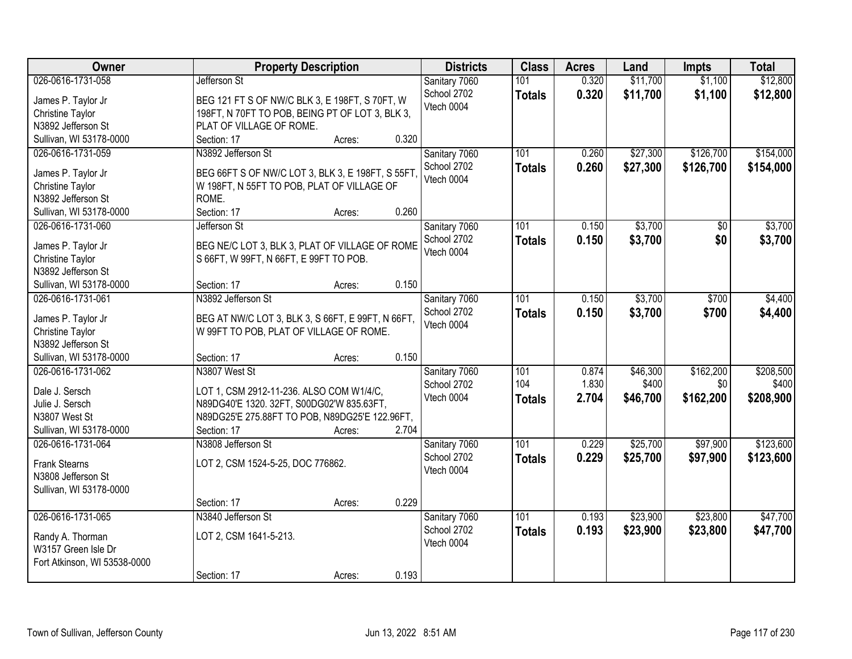| Owner                                  | <b>Property Description</b>                                                                 | <b>Districts</b> | <b>Class</b>     | <b>Acres</b> | Land     | <b>Impts</b> | <b>Total</b> |
|----------------------------------------|---------------------------------------------------------------------------------------------|------------------|------------------|--------------|----------|--------------|--------------|
| 026-0616-1731-058                      | Jefferson St                                                                                | Sanitary 7060    | 101              | 0.320        | \$11,700 | \$1,100      | \$12,800     |
| James P. Taylor Jr                     | BEG 121 FT S OF NW/C BLK 3, E 198FT, S 70FT, W                                              | School 2702      | <b>Totals</b>    | 0.320        | \$11,700 | \$1,100      | \$12,800     |
| <b>Christine Taylor</b>                | 198FT, N 70FT TO POB, BEING PT OF LOT 3, BLK 3,                                             | Vtech 0004       |                  |              |          |              |              |
| N3892 Jefferson St                     | PLAT OF VILLAGE OF ROME.                                                                    |                  |                  |              |          |              |              |
| Sullivan, WI 53178-0000                | Section: 17<br>0.320<br>Acres:                                                              |                  |                  |              |          |              |              |
| 026-0616-1731-059                      | N3892 Jefferson St                                                                          | Sanitary 7060    | 101              | 0.260        | \$27,300 | \$126,700    | \$154,000    |
|                                        |                                                                                             | School 2702      | <b>Totals</b>    | 0.260        | \$27,300 | \$126,700    | \$154,000    |
| James P. Taylor Jr                     | BEG 66FT S OF NW/C LOT 3, BLK 3, E 198FT, S 55FT,                                           | Vtech 0004       |                  |              |          |              |              |
| Christine Taylor<br>N3892 Jefferson St | W 198FT, N 55FT TO POB, PLAT OF VILLAGE OF<br>ROME.                                         |                  |                  |              |          |              |              |
| Sullivan, WI 53178-0000                | 0.260<br>Section: 17<br>Acres:                                                              |                  |                  |              |          |              |              |
| 026-0616-1731-060                      | Jefferson St                                                                                | Sanitary 7060    | 101              | 0.150        | \$3,700  | \$0          | \$3,700      |
|                                        |                                                                                             | School 2702      |                  | 0.150        | \$3,700  | \$0          | \$3,700      |
| James P. Taylor Jr                     | BEG NE/C LOT 3, BLK 3, PLAT OF VILLAGE OF ROME                                              | Vtech 0004       | <b>Totals</b>    |              |          |              |              |
| Christine Taylor                       | S 66FT, W 99FT, N 66FT, E 99FT TO POB.                                                      |                  |                  |              |          |              |              |
| N3892 Jefferson St                     |                                                                                             |                  |                  |              |          |              |              |
| Sullivan, WI 53178-0000                | 0.150<br>Section: 17<br>Acres:                                                              |                  |                  |              |          |              |              |
| 026-0616-1731-061                      | N3892 Jefferson St                                                                          | Sanitary 7060    | 101              | 0.150        | \$3,700  | \$700        | \$4,400      |
| James P. Taylor Jr                     | BEG AT NW/C LOT 3, BLK 3, S 66FT, E 99FT, N 66FT,                                           | School 2702      | <b>Totals</b>    | 0.150        | \$3,700  | \$700        | \$4,400      |
| Christine Taylor                       | W 99FT TO POB, PLAT OF VILLAGE OF ROME.                                                     | Vtech 0004       |                  |              |          |              |              |
| N3892 Jefferson St                     |                                                                                             |                  |                  |              |          |              |              |
| Sullivan, WI 53178-0000                | 0.150<br>Section: 17<br>Acres:                                                              |                  |                  |              |          |              |              |
| 026-0616-1731-062                      | N3807 West St                                                                               | Sanitary 7060    | 101              | 0.874        | \$46,300 | \$162,200    | \$208,500    |
|                                        |                                                                                             | School 2702      | 104              | 1.830        | \$400    | \$0          | \$400        |
| Dale J. Sersch                         | LOT 1, CSM 2912-11-236. ALSO COM W1/4/C,                                                    | Vtech 0004       | <b>Totals</b>    | 2.704        | \$46,700 | \$162,200    | \$208,900    |
| Julie J. Sersch<br>N3807 West St       | N89DG40'E 1320. 32FT, S00DG02'W 835.63FT,<br>N89DG25'E 275.88FT TO POB, N89DG25'E 122.96FT, |                  |                  |              |          |              |              |
| Sullivan, WI 53178-0000                | Section: 17<br>2.704<br>Acres:                                                              |                  |                  |              |          |              |              |
| 026-0616-1731-064                      | N3808 Jefferson St                                                                          | Sanitary 7060    | $\overline{101}$ | 0.229        | \$25,700 | \$97,900     | \$123,600    |
|                                        |                                                                                             | School 2702      |                  |              |          |              |              |
| <b>Frank Stearns</b>                   | LOT 2, CSM 1524-5-25, DOC 776862.                                                           | Vtech 0004       | <b>Totals</b>    | 0.229        | \$25,700 | \$97,900     | \$123,600    |
| N3808 Jefferson St                     |                                                                                             |                  |                  |              |          |              |              |
| Sullivan, WI 53178-0000                |                                                                                             |                  |                  |              |          |              |              |
|                                        | 0.229<br>Section: 17<br>Acres:                                                              |                  |                  |              |          |              |              |
| 026-0616-1731-065                      | N3840 Jefferson St                                                                          | Sanitary 7060    | 101              | 0.193        | \$23,900 | \$23,800     | \$47,700     |
| Randy A. Thorman                       | LOT 2, CSM 1641-5-213.                                                                      | School 2702      | <b>Totals</b>    | 0.193        | \$23,900 | \$23,800     | \$47,700     |
| W3157 Green Isle Dr                    |                                                                                             | Vtech 0004       |                  |              |          |              |              |
| Fort Atkinson, WI 53538-0000           |                                                                                             |                  |                  |              |          |              |              |
|                                        | 0.193<br>Section: 17<br>Acres:                                                              |                  |                  |              |          |              |              |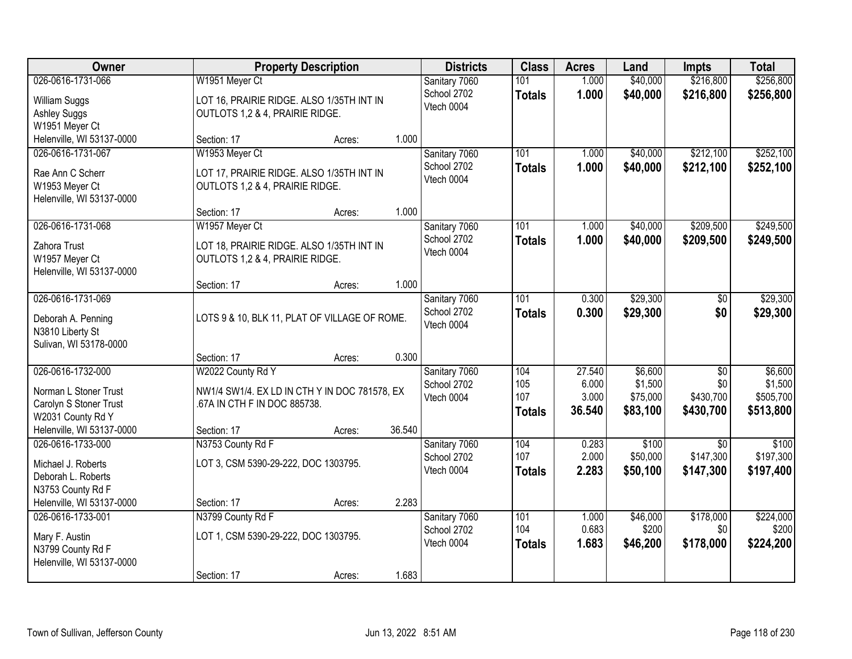| Owner                                                                                                                  | <b>Property Description</b>                                                                                                           | <b>Districts</b>                                    | <b>Class</b>                       | <b>Acres</b>                       | Land                                       | <b>Impts</b>                                     | <b>Total</b>                                 |
|------------------------------------------------------------------------------------------------------------------------|---------------------------------------------------------------------------------------------------------------------------------------|-----------------------------------------------------|------------------------------------|------------------------------------|--------------------------------------------|--------------------------------------------------|----------------------------------------------|
| 026-0616-1731-066<br>William Suggs<br><b>Ashley Suggs</b><br>W1951 Meyer Ct                                            | W1951 Meyer Ct<br>LOT 16, PRAIRIE RIDGE. ALSO 1/35TH INT IN<br>OUTLOTS 1,2 & 4, PRAIRIE RIDGE.                                        | Sanitary 7060<br>School 2702<br>Vtech 0004          | 101<br><b>Totals</b>               | 1.000<br>1.000                     | \$40,000<br>\$40,000                       | \$216,800<br>\$216,800                           | \$256,800<br>\$256,800                       |
| Helenville, WI 53137-0000                                                                                              | Section: 17<br>Acres:                                                                                                                 | 1.000                                               |                                    |                                    |                                            |                                                  |                                              |
| 026-0616-1731-067<br>Rae Ann C Scherr<br>W1953 Meyer Ct<br>Helenville, WI 53137-0000                                   | W1953 Meyer Ct<br>LOT 17, PRAIRIE RIDGE. ALSO 1/35TH INT IN<br>OUTLOTS 1,2 & 4, PRAIRIE RIDGE.<br>Section: 17<br>Acres:               | Sanitary 7060<br>School 2702<br>Vtech 0004<br>1.000 | 101<br><b>Totals</b>               | 1.000<br>1.000                     | \$40,000<br>\$40,000                       | \$212,100<br>\$212,100                           | \$252,100<br>\$252,100                       |
| 026-0616-1731-068<br>Zahora Trust<br>W1957 Meyer Ct<br>Helenville, WI 53137-0000                                       | W1957 Meyer Ct<br>LOT 18, PRAIRIE RIDGE. ALSO 1/35TH INT IN<br>OUTLOTS 1,2 & 4, PRAIRIE RIDGE.<br>Section: 17<br>Acres:               | Sanitary 7060<br>School 2702<br>Vtech 0004<br>1.000 | 101<br><b>Totals</b>               | 1.000<br>1.000                     | \$40,000<br>\$40,000                       | \$209,500<br>\$209,500                           | \$249,500<br>\$249,500                       |
| 026-0616-1731-069<br>Deborah A. Penning<br>N3810 Liberty St<br>Sulivan, WI 53178-0000                                  | LOTS 9 & 10, BLK 11, PLAT OF VILLAGE OF ROME.<br>Section: 17<br>Acres:                                                                | Sanitary 7060<br>School 2702<br>Vtech 0004<br>0.300 | 101<br><b>Totals</b>               | 0.300<br>0.300                     | \$29,300<br>\$29,300                       | \$0<br>\$0                                       | \$29,300<br>\$29,300                         |
| 026-0616-1732-000<br>Norman L Stoner Trust<br>Carolyn S Stoner Trust<br>W2031 County Rd Y<br>Helenville, WI 53137-0000 | W2022 County Rd Y<br>NW1/4 SW1/4. EX LD IN CTH Y IN DOC 781578, EX<br>.67A IN CTH F IN DOC 885738.<br>36.540<br>Section: 17<br>Acres: | Sanitary 7060<br>School 2702<br>Vtech 0004          | 104<br>105<br>107<br><b>Totals</b> | 27.540<br>6.000<br>3.000<br>36.540 | \$6,600<br>\$1,500<br>\$75,000<br>\$83,100 | $\overline{60}$<br>\$0<br>\$430,700<br>\$430,700 | \$6,600<br>\$1,500<br>\$505,700<br>\$513,800 |
| 026-0616-1733-000<br>Michael J. Roberts<br>Deborah L. Roberts<br>N3753 County Rd F<br>Helenville, WI 53137-0000        | N3753 County Rd F<br>LOT 3, CSM 5390-29-222, DOC 1303795.<br>Section: 17<br>Acres:                                                    | Sanitary 7060<br>School 2702<br>Vtech 0004<br>2.283 | 104<br>107<br><b>Totals</b>        | 0.283<br>2.000<br>2.283            | \$100<br>\$50,000<br>\$50,100              | $\overline{30}$<br>\$147,300<br>\$147,300        | \$100<br>\$197,300<br>\$197,400              |
| 026-0616-1733-001<br>Mary F. Austin<br>N3799 County Rd F<br>Helenville, WI 53137-0000                                  | N3799 County Rd F<br>LOT 1, CSM 5390-29-222, DOC 1303795.<br>Section: 17<br>Acres:                                                    | Sanitary 7060<br>School 2702<br>Vtech 0004<br>1.683 | 101<br>104<br><b>Totals</b>        | 1.000<br>0.683<br>1.683            | \$46,000<br>\$200<br>\$46,200              | \$178,000<br>\$0<br>\$178,000                    | \$224,000<br>\$200<br>\$224,200              |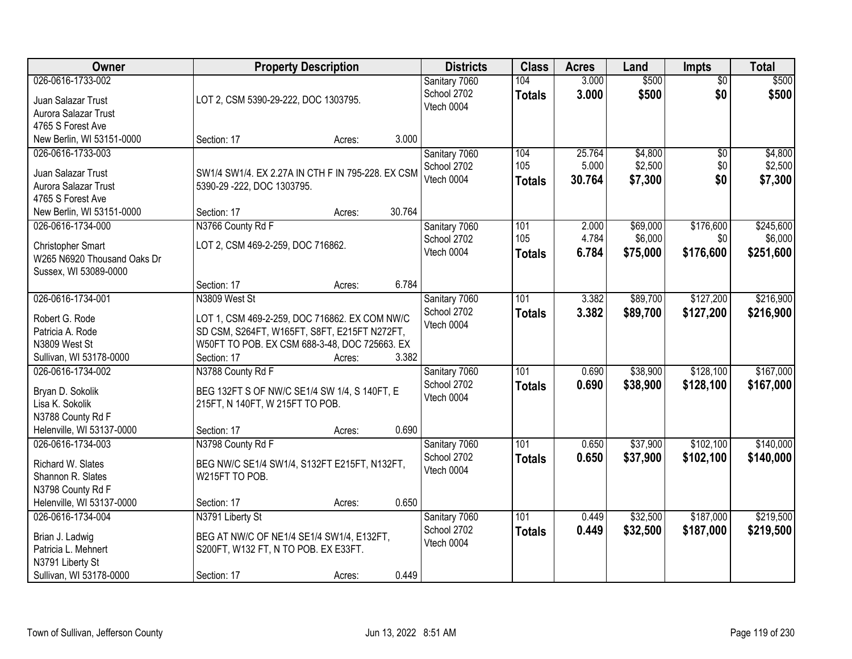| Owner                                                   |                                                                | <b>Property Description</b> |        | <b>Districts</b>                           | <b>Class</b>         | <b>Acres</b>   | Land           | <b>Impts</b>           | <b>Total</b>   |
|---------------------------------------------------------|----------------------------------------------------------------|-----------------------------|--------|--------------------------------------------|----------------------|----------------|----------------|------------------------|----------------|
| 026-0616-1733-002<br>Juan Salazar Trust                 | LOT 2, CSM 5390-29-222, DOC 1303795.                           |                             |        | Sanitary 7060<br>School 2702<br>Vtech 0004 | 104<br><b>Totals</b> | 3.000<br>3.000 | \$500<br>\$500 | $\overline{50}$<br>\$0 | \$500<br>\$500 |
| Aurora Salazar Trust                                    |                                                                |                             |        |                                            |                      |                |                |                        |                |
| 4765 S Forest Ave                                       |                                                                |                             |        |                                            |                      |                |                |                        |                |
| New Berlin, WI 53151-0000                               | Section: 17                                                    | Acres:                      | 3.000  |                                            |                      |                |                |                        |                |
| 026-0616-1733-003                                       |                                                                |                             |        | Sanitary 7060                              | 104                  | 25.764         | \$4,800        | \$0                    | \$4,800        |
| Juan Salazar Trust                                      | SW1/4 SW1/4. EX 2.27A IN CTH F IN 795-228. EX CSM              |                             |        | School 2702                                | 105                  | 5.000          | \$2,500        | \$0                    | \$2,500        |
| Aurora Salazar Trust                                    | 5390-29 -222, DOC 1303795.                                     |                             |        | Vtech 0004                                 | <b>Totals</b>        | 30.764         | \$7,300        | \$0                    | \$7,300        |
| 4765 S Forest Ave                                       |                                                                |                             |        |                                            |                      |                |                |                        |                |
| New Berlin, WI 53151-0000                               | Section: 17                                                    | Acres:                      | 30.764 |                                            |                      |                |                |                        |                |
| 026-0616-1734-000                                       | N3766 County Rd F                                              |                             |        | Sanitary 7060                              | 101                  | 2.000          | \$69,000       | \$176,600              | \$245,600      |
|                                                         | LOT 2, CSM 469-2-259, DOC 716862.                              |                             |        | School 2702                                | 105                  | 4.784          | \$6,000        | \$0                    | \$6,000        |
| <b>Christopher Smart</b><br>W265 N6920 Thousand Oaks Dr |                                                                |                             |        | Vtech 0004                                 | <b>Totals</b>        | 6.784          | \$75,000       | \$176,600              | \$251,600      |
| Sussex, WI 53089-0000                                   |                                                                |                             |        |                                            |                      |                |                |                        |                |
|                                                         | Section: 17                                                    | Acres:                      | 6.784  |                                            |                      |                |                |                        |                |
| 026-0616-1734-001                                       | N3809 West St                                                  |                             |        | Sanitary 7060                              | 101                  | 3.382          | \$89,700       | \$127,200              | \$216,900      |
|                                                         |                                                                |                             |        | School 2702                                | <b>Totals</b>        | 3.382          | \$89,700       | \$127,200              | \$216,900      |
| Robert G. Rode                                          | LOT 1, CSM 469-2-259, DOC 716862. EX COM NW/C                  |                             |        | Vtech 0004                                 |                      |                |                |                        |                |
| Patricia A. Rode                                        | SD CSM, S264FT, W165FT, S8FT, E215FT N272FT,                   |                             |        |                                            |                      |                |                |                        |                |
| N3809 West St                                           | W50FT TO POB. EX CSM 688-3-48, DOC 725663. EX                  |                             |        |                                            |                      |                |                |                        |                |
| Sullivan, WI 53178-0000                                 | Section: 17                                                    | Acres:                      | 3.382  |                                            |                      |                |                |                        |                |
| 026-0616-1734-002                                       | N3788 County Rd F                                              |                             |        | Sanitary 7060                              | 101                  | 0.690          | \$38,900       | \$128,100              | \$167,000      |
| Bryan D. Sokolik                                        | BEG 132FT S OF NW/C SE1/4 SW 1/4, S 140FT, E                   |                             |        | School 2702                                | Totals               | 0.690          | \$38,900       | \$128,100              | \$167,000      |
| Lisa K. Sokolik                                         | 215FT, N 140FT, W 215FT TO POB.                                |                             |        | Vtech 0004                                 |                      |                |                |                        |                |
| N3788 County Rd F                                       |                                                                |                             |        |                                            |                      |                |                |                        |                |
| Helenville, WI 53137-0000                               | Section: 17                                                    | Acres:                      | 0.690  |                                            |                      |                |                |                        |                |
| 026-0616-1734-003                                       | N3798 County Rd F                                              |                             |        | Sanitary 7060                              | 101                  | 0.650          | \$37,900       | \$102,100              | \$140,000      |
|                                                         |                                                                |                             |        | School 2702                                | <b>Totals</b>        | 0.650          | \$37,900       | \$102,100              | \$140,000      |
| Richard W. Slates<br>Shannon R. Slates                  | BEG NW/C SE1/4 SW1/4, S132FT E215FT, N132FT,<br>W215FT TO POB. |                             |        | Vtech 0004                                 |                      |                |                |                        |                |
| N3798 County Rd F                                       |                                                                |                             |        |                                            |                      |                |                |                        |                |
| Helenville, WI 53137-0000                               | Section: 17                                                    | Acres:                      | 0.650  |                                            |                      |                |                |                        |                |
| 026-0616-1734-004                                       | N3791 Liberty St                                               |                             |        | Sanitary 7060                              | 101                  | 0.449          | \$32,500       | \$187,000              | \$219,500      |
|                                                         |                                                                |                             |        | School 2702                                |                      | 0.449          | \$32,500       | \$187,000              |                |
| Brian J. Ladwig                                         | BEG AT NW/C OF NE1/4 SE1/4 SW1/4, E132FT,                      |                             |        | Vtech 0004                                 | <b>Totals</b>        |                |                |                        | \$219,500      |
| Patricia L. Mehnert                                     | S200FT, W132 FT, N TO POB. EX E33FT.                           |                             |        |                                            |                      |                |                |                        |                |
| N3791 Liberty St                                        |                                                                |                             |        |                                            |                      |                |                |                        |                |
| Sullivan, WI 53178-0000                                 | Section: 17                                                    | Acres:                      | 0.449  |                                            |                      |                |                |                        |                |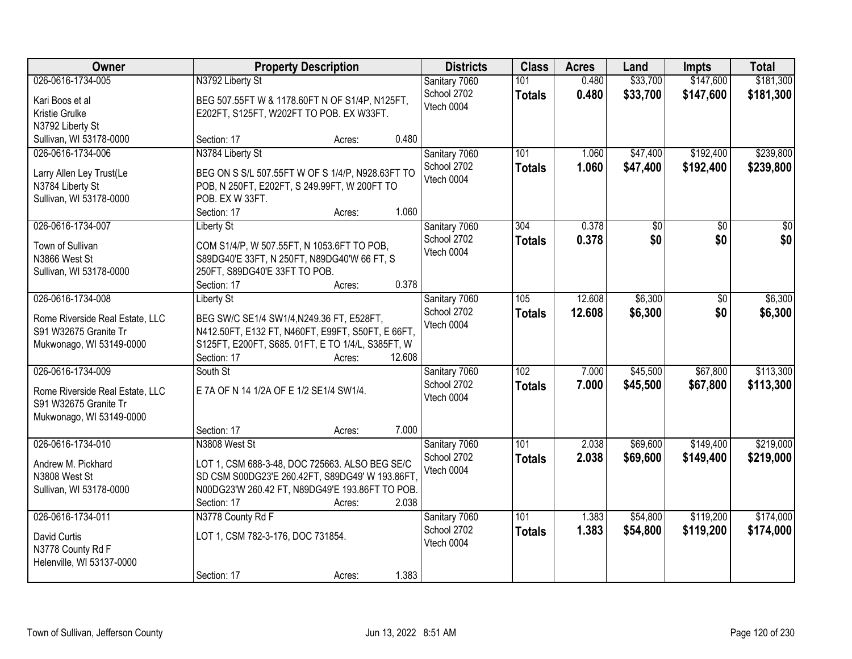| Owner                                                                                                     | <b>Property Description</b>                                                                                                                                                                                 | <b>Districts</b>                           | <b>Class</b>                      | <b>Acres</b>     | Land                 | <b>Impts</b>           | <b>Total</b>           |
|-----------------------------------------------------------------------------------------------------------|-------------------------------------------------------------------------------------------------------------------------------------------------------------------------------------------------------------|--------------------------------------------|-----------------------------------|------------------|----------------------|------------------------|------------------------|
| 026-0616-1734-005<br>Kari Boos et al<br>Kristie Grulke<br>N3792 Liberty St                                | N3792 Liberty St<br>BEG 507.55FT W & 1178.60FT N OF S1/4P, N125FT,<br>E202FT, S125FT, W202FT TO POB. EX W33FT.                                                                                              | Sanitary 7060<br>School 2702<br>Vtech 0004 | 101<br><b>Totals</b>              | 0.480<br>0.480   | \$33,700<br>\$33,700 | \$147,600<br>\$147,600 | \$181,300<br>\$181,300 |
| Sullivan, WI 53178-0000                                                                                   | 0.480<br>Section: 17<br>Acres:                                                                                                                                                                              |                                            |                                   |                  |                      |                        |                        |
| 026-0616-1734-006<br>Larry Allen Ley Trust(Le<br>N3784 Liberty St<br>Sullivan, WI 53178-0000              | N3784 Liberty St<br>BEG ON S S/L 507.55FT W OF S 1/4/P, N928.63FT TO<br>POB, N 250FT, E202FT, S 249.99FT, W 200FT TO<br>POB. EX W 33FT.<br>1.060<br>Section: 17<br>Acres:                                   | Sanitary 7060<br>School 2702<br>Vtech 0004 | 101<br><b>Totals</b>              | 1.060<br>1.060   | \$47,400<br>\$47,400 | \$192,400<br>\$192,400 | \$239,800<br>\$239,800 |
| 026-0616-1734-007<br>Town of Sullivan<br>N3866 West St<br>Sullivan, WI 53178-0000                         | <b>Liberty St</b><br>COM S1/4/P, W 507.55FT, N 1053.6FT TO POB,<br>S89DG40'E 33FT, N 250FT, N89DG40'W 66 FT, S<br>250FT, S89DG40'E 33FT TO POB.<br>0.378<br>Section: 17<br>Acres:                           | Sanitary 7060<br>School 2702<br>Vtech 0004 | 304<br><b>Totals</b>              | 0.378<br>0.378   | \$0<br>\$0           | \$0<br>\$0             | \$0<br>\$0             |
| 026-0616-1734-008<br>Rome Riverside Real Estate, LLC<br>S91 W32675 Granite Tr<br>Mukwonago, WI 53149-0000 | <b>Liberty St</b><br>BEG SW/C SE1/4 SW1/4, N249.36 FT, E528FT,<br>N412.50FT, E132 FT, N460FT, E99FT, S50FT, E 66FT,<br>S125FT, E200FT, S685. 01FT, E TO 1/4/L, S385FT, W<br>12.608<br>Section: 17<br>Acres: | Sanitary 7060<br>School 2702<br>Vtech 0004 | 105<br><b>Totals</b>              | 12.608<br>12.608 | \$6,300<br>\$6,300   | \$0<br>\$0             | \$6,300<br>\$6,300     |
| 026-0616-1734-009<br>Rome Riverside Real Estate, LLC<br>S91 W32675 Granite Tr<br>Mukwonago, WI 53149-0000 | South St<br>E 7A OF N 14 1/2A OF E 1/2 SE1/4 SW1/4.<br>Section: 17<br>7.000<br>Acres:                                                                                                                       | Sanitary 7060<br>School 2702<br>Vtech 0004 | $\overline{102}$<br><b>Totals</b> | 7.000<br>7.000   | \$45,500<br>\$45,500 | \$67,800<br>\$67,800   | \$113,300<br>\$113,300 |
| 026-0616-1734-010<br>Andrew M. Pickhard<br>N3808 West St<br>Sullivan, WI 53178-0000                       | N3808 West St<br>LOT 1, CSM 688-3-48, DOC 725663. ALSO BEG SE/C<br>SD CSM S00DG23'E 260.42FT, S89DG49' W 193.86FT,<br>N00DG23'W 260.42 FT, N89DG49'E 193.86FT TO POB.<br>2.038<br>Section: 17<br>Acres:     | Sanitary 7060<br>School 2702<br>Vtech 0004 | 101<br><b>Totals</b>              | 2.038<br>2.038   | \$69,600<br>\$69,600 | \$149,400<br>\$149,400 | \$219,000<br>\$219,000 |
| 026-0616-1734-011<br>David Curtis<br>N3778 County Rd F<br>Helenville, WI 53137-0000                       | N3778 County Rd F<br>LOT 1, CSM 782-3-176, DOC 731854.<br>1.383<br>Section: 17<br>Acres:                                                                                                                    | Sanitary 7060<br>School 2702<br>Vtech 0004 | 101<br><b>Totals</b>              | 1.383<br>1.383   | \$54,800<br>\$54,800 | \$119,200<br>\$119,200 | \$174,000<br>\$174,000 |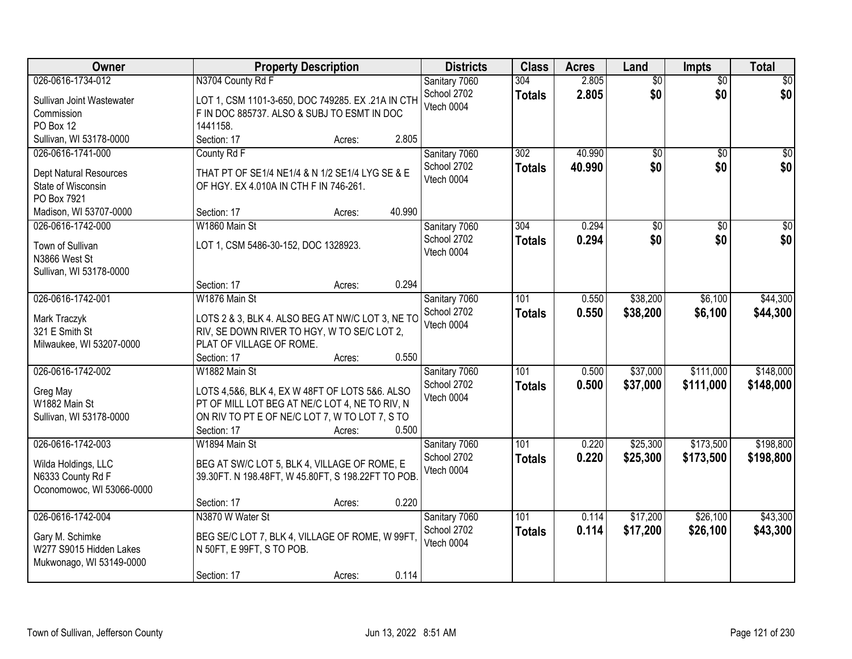| Owner                                          | <b>Property Description</b>                        |                  | <b>Districts</b> | <b>Class</b>  | <b>Acres</b> | Land            | <b>Impts</b>    | <b>Total</b>    |
|------------------------------------------------|----------------------------------------------------|------------------|------------------|---------------|--------------|-----------------|-----------------|-----------------|
| 026-0616-1734-012                              | N3704 County Rd F                                  |                  | Sanitary 7060    | 304           | 2.805        | $\overline{50}$ | $\overline{50}$ | $\overline{30}$ |
| Sullivan Joint Wastewater                      | LOT 1, CSM 1101-3-650, DOC 749285. EX .21A IN CTH  |                  | School 2702      | <b>Totals</b> | 2.805        | \$0             | \$0             | \$0             |
| Commission                                     | F IN DOC 885737. ALSO & SUBJ TO ESMT IN DOC        |                  | Vtech 0004       |               |              |                 |                 |                 |
| PO Box 12                                      | 1441158.                                           |                  |                  |               |              |                 |                 |                 |
| Sullivan, WI 53178-0000                        | Section: 17                                        | 2.805<br>Acres:  |                  |               |              |                 |                 |                 |
| 026-0616-1741-000                              | County Rd F                                        |                  | Sanitary 7060    | 302           | 40.990       | \$0             | $\overline{50}$ | \$0             |
|                                                |                                                    |                  | School 2702      | <b>Totals</b> | 40.990       | \$0             | \$0             | \$0             |
| <b>Dept Natural Resources</b>                  | THAT PT OF SE1/4 NE1/4 & N 1/2 SE1/4 LYG SE & E    |                  | Vtech 0004       |               |              |                 |                 |                 |
| State of Wisconsin                             | OF HGY. EX 4.010A IN CTH F IN 746-261.             |                  |                  |               |              |                 |                 |                 |
| PO Box 7921                                    |                                                    |                  |                  |               |              |                 |                 |                 |
| Madison, WI 53707-0000                         | Section: 17                                        | 40.990<br>Acres: |                  |               |              |                 |                 |                 |
| 026-0616-1742-000                              | W1860 Main St                                      |                  | Sanitary 7060    | 304           | 0.294        | $\overline{50}$ | $\overline{50}$ | $\overline{30}$ |
| Town of Sullivan                               | LOT 1, CSM 5486-30-152, DOC 1328923.               |                  | School 2702      | <b>Totals</b> | 0.294        | \$0             | \$0             | \$0             |
| N3866 West St                                  |                                                    |                  | Vtech 0004       |               |              |                 |                 |                 |
| Sullivan, WI 53178-0000                        |                                                    |                  |                  |               |              |                 |                 |                 |
|                                                | Section: 17                                        | 0.294<br>Acres:  |                  |               |              |                 |                 |                 |
| 026-0616-1742-001                              | W1876 Main St                                      |                  | Sanitary 7060    | 101           | 0.550        | \$38,200        | \$6,100         | \$44,300        |
|                                                |                                                    |                  | School 2702      | <b>Totals</b> | 0.550        | \$38,200        | \$6,100         | \$44,300        |
| Mark Traczyk                                   | LOTS 2 & 3, BLK 4. ALSO BEG AT NW/C LOT 3, NE TO   |                  | Vtech 0004       |               |              |                 |                 |                 |
| 321 E Smith St                                 | RIV, SE DOWN RIVER TO HGY, W TO SE/C LOT 2,        |                  |                  |               |              |                 |                 |                 |
| Milwaukee, WI 53207-0000                       | PLAT OF VILLAGE OF ROME.                           | 0.550            |                  |               |              |                 |                 |                 |
|                                                | Section: 17                                        | Acres:           |                  | 101           |              |                 |                 |                 |
| 026-0616-1742-002                              | W1882 Main St                                      |                  | Sanitary 7060    |               | 0.500        | \$37,000        | \$111,000       | \$148,000       |
| Greg May                                       | LOTS 4,5&6, BLK 4, EX W 48FT OF LOTS 5&6. ALSO     |                  | School 2702      | <b>Totals</b> | 0.500        | \$37,000        | \$111,000       | \$148,000       |
| W1882 Main St                                  | PT OF MILL LOT BEG AT NE/C LOT 4, NE TO RIV, N     |                  | Vtech 0004       |               |              |                 |                 |                 |
| Sullivan, WI 53178-0000                        | ON RIV TO PT E OF NE/C LOT 7, W TO LOT 7, S TO     |                  |                  |               |              |                 |                 |                 |
|                                                | Section: 17                                        | 0.500<br>Acres:  |                  |               |              |                 |                 |                 |
| 026-0616-1742-003                              | W1894 Main St                                      |                  | Sanitary 7060    | 101           | 0.220        | \$25,300        | \$173,500       | \$198,800       |
|                                                | BEG AT SW/C LOT 5, BLK 4, VILLAGE OF ROME, E       |                  | School 2702      | <b>Totals</b> | 0.220        | \$25,300        | \$173,500       | \$198,800       |
| Wilda Holdings, LLC                            | 39.30FT. N 198.48FT, W 45.80FT, S 198.22FT TO POB. |                  | Vtech 0004       |               |              |                 |                 |                 |
| N6333 County Rd F<br>Oconomowoc, WI 53066-0000 |                                                    |                  |                  |               |              |                 |                 |                 |
|                                                | Section: 17                                        | 0.220<br>Acres:  |                  |               |              |                 |                 |                 |
| 026-0616-1742-004                              | N3870 W Water St                                   |                  | Sanitary 7060    | 101           | 0.114        | \$17,200        | \$26,100        | \$43,300        |
|                                                |                                                    |                  | School 2702      |               | 0.114        |                 |                 |                 |
| Gary M. Schimke                                | BEG SE/C LOT 7, BLK 4, VILLAGE OF ROME, W 99FT,    |                  | Vtech 0004       | <b>Totals</b> |              | \$17,200        | \$26,100        | \$43,300        |
| W277 S9015 Hidden Lakes                        | N 50FT, E 99FT, S TO POB.                          |                  |                  |               |              |                 |                 |                 |
| Mukwonago, WI 53149-0000                       |                                                    |                  |                  |               |              |                 |                 |                 |
|                                                | Section: 17                                        | 0.114<br>Acres:  |                  |               |              |                 |                 |                 |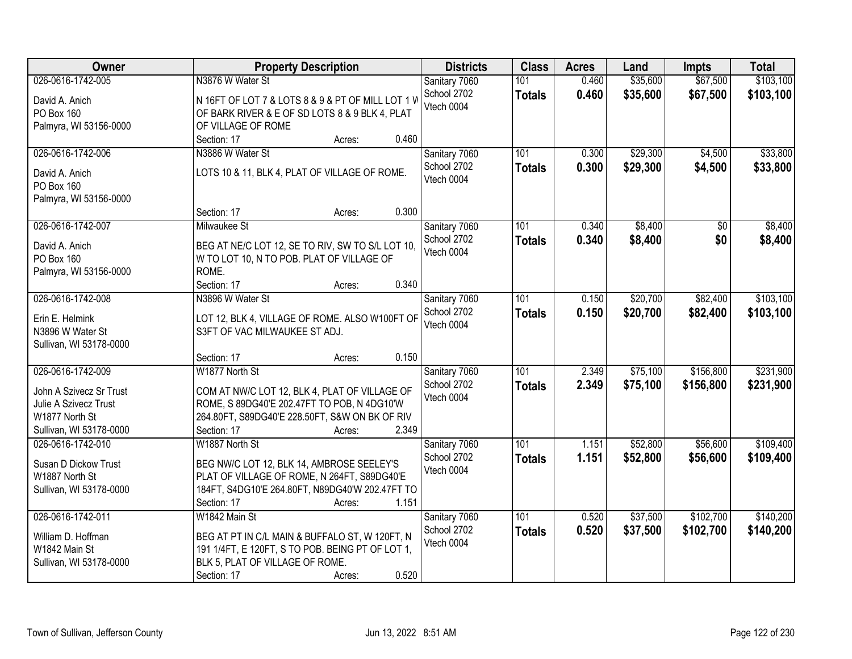| Owner                        | <b>Property Description</b>                       | <b>Districts</b> | <b>Class</b>  | <b>Acres</b> | Land     | <b>Impts</b> | <b>Total</b> |
|------------------------------|---------------------------------------------------|------------------|---------------|--------------|----------|--------------|--------------|
| 026-0616-1742-005            | N3876 W Water St                                  | Sanitary 7060    | 101           | 0.460        | \$35,600 | \$67,500     | \$103,100    |
| David A. Anich               | N 16FT OF LOT 7 & LOTS 8 & 9 & PT OF MILL LOT 1 W | School 2702      | <b>Totals</b> | 0.460        | \$35,600 | \$67,500     | \$103,100    |
| PO Box 160                   | OF BARK RIVER & E OF SD LOTS 8 & 9 BLK 4, PLAT    | Vtech 0004       |               |              |          |              |              |
| Palmyra, WI 53156-0000       | OF VILLAGE OF ROME                                |                  |               |              |          |              |              |
|                              | 0.460<br>Section: 17<br>Acres:                    |                  |               |              |          |              |              |
| 026-0616-1742-006            | N3886 W Water St                                  | Sanitary 7060    | 101           | 0.300        | \$29,300 | \$4,500      | \$33,800     |
|                              |                                                   | School 2702      | <b>Totals</b> | 0.300        | \$29,300 | \$4,500      | \$33,800     |
| David A. Anich<br>PO Box 160 | LOTS 10 & 11, BLK 4, PLAT OF VILLAGE OF ROME.     | Vtech 0004       |               |              |          |              |              |
| Palmyra, WI 53156-0000       |                                                   |                  |               |              |          |              |              |
|                              | 0.300<br>Section: 17<br>Acres:                    |                  |               |              |          |              |              |
| 026-0616-1742-007            | Milwaukee St                                      | Sanitary 7060    | 101           | 0.340        | \$8,400  | \$0          | \$8,400      |
|                              |                                                   | School 2702      | <b>Totals</b> | 0.340        | \$8,400  | \$0          | \$8,400      |
| David A. Anich               | BEG AT NE/C LOT 12, SE TO RIV, SW TO S/L LOT 10,  | Vtech 0004       |               |              |          |              |              |
| PO Box 160                   | W TO LOT 10, N TO POB. PLAT OF VILLAGE OF         |                  |               |              |          |              |              |
| Palmyra, WI 53156-0000       | ROME.                                             |                  |               |              |          |              |              |
|                              | 0.340<br>Section: 17<br>Acres:                    |                  |               |              |          |              |              |
| 026-0616-1742-008            | N3896 W Water St                                  | Sanitary 7060    | 101           | 0.150        | \$20,700 | \$82,400     | \$103,100    |
| Erin E. Helmink              | LOT 12, BLK 4, VILLAGE OF ROME. ALSO W100FT OF    | School 2702      | <b>Totals</b> | 0.150        | \$20,700 | \$82,400     | \$103,100    |
| N3896 W Water St             | S3FT OF VAC MILWAUKEE ST ADJ.                     | Vtech 0004       |               |              |          |              |              |
| Sullivan, WI 53178-0000      |                                                   |                  |               |              |          |              |              |
|                              | 0.150<br>Section: 17<br>Acres:                    |                  |               |              |          |              |              |
| 026-0616-1742-009            | W1877 North St                                    | Sanitary 7060    | 101           | 2.349        | \$75,100 | \$156,800    | \$231,900    |
| John A Szivecz Sr Trust      | COM AT NW/C LOT 12, BLK 4, PLAT OF VILLAGE OF     | School 2702      | <b>Totals</b> | 2.349        | \$75,100 | \$156,800    | \$231,900    |
| Julie A Szivecz Trust        | ROME, S 89DG40'E 202.47FT TO POB, N 4DG10'W       | Vtech 0004       |               |              |          |              |              |
| W1877 North St               | 264.80FT, S89DG40'E 228.50FT, S&W ON BK OF RIV    |                  |               |              |          |              |              |
| Sullivan, WI 53178-0000      | 2.349<br>Section: 17<br>Acres:                    |                  |               |              |          |              |              |
| 026-0616-1742-010            | W1887 North St                                    | Sanitary 7060    | 101           | 1.151        | \$52,800 | \$56,600     | \$109,400    |
|                              |                                                   | School 2702      | <b>Totals</b> | 1.151        | \$52,800 | \$56,600     | \$109,400    |
| Susan D Dickow Trust         | BEG NW/C LOT 12, BLK 14, AMBROSE SEELEY'S         | Vtech 0004       |               |              |          |              |              |
| W1887 North St               | PLAT OF VILLAGE OF ROME, N 264FT, S89DG40'E       |                  |               |              |          |              |              |
| Sullivan, WI 53178-0000      | 184FT, S4DG10'E 264.80FT, N89DG40'W 202.47FT TO   |                  |               |              |          |              |              |
|                              | Section: 17<br>1.151<br>Acres:                    |                  |               |              |          |              |              |
| 026-0616-1742-011            | W1842 Main St                                     | Sanitary 7060    | 101           | 0.520        | \$37,500 | \$102,700    | \$140,200    |
| William D. Hoffman           | BEG AT PT IN C/L MAIN & BUFFALO ST, W 120FT, N    | School 2702      | <b>Totals</b> | 0.520        | \$37,500 | \$102,700    | \$140,200    |
| W1842 Main St                | 191 1/4FT, E 120FT, S TO POB. BEING PT OF LOT 1,  | Vtech 0004       |               |              |          |              |              |
| Sullivan, WI 53178-0000      | BLK 5, PLAT OF VILLAGE OF ROME.                   |                  |               |              |          |              |              |
|                              | 0.520<br>Section: 17<br>Acres:                    |                  |               |              |          |              |              |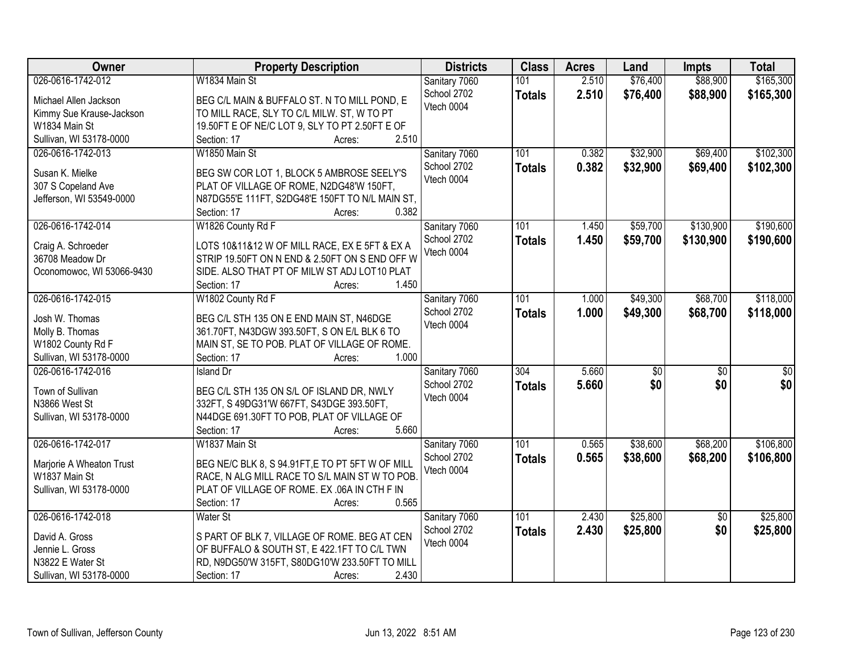| Owner                                | <b>Property Description</b>                                                    | <b>Districts</b>             | <b>Class</b>     | <b>Acres</b> | Land            | <b>Impts</b>    | <b>Total</b>     |
|--------------------------------------|--------------------------------------------------------------------------------|------------------------------|------------------|--------------|-----------------|-----------------|------------------|
| 026-0616-1742-012                    | W1834 Main St                                                                  | Sanitary 7060                | 101              | 2.510        | \$76,400        | \$88,900        | \$165,300        |
| Michael Allen Jackson                | BEG C/L MAIN & BUFFALO ST. N TO MILL POND, E                                   | School 2702                  | <b>Totals</b>    | 2.510        | \$76,400        | \$88,900        | \$165,300        |
| Kimmy Sue Krause-Jackson             | TO MILL RACE, SLY TO C/L MILW. ST, W TO PT                                     | Vtech 0004                   |                  |              |                 |                 |                  |
| W1834 Main St                        | 19.50FT E OF NE/C LOT 9, SLY TO PT 2.50FT E OF                                 |                              |                  |              |                 |                 |                  |
| Sullivan, WI 53178-0000              | 2.510<br>Section: 17<br>Acres:                                                 |                              |                  |              |                 |                 |                  |
| 026-0616-1742-013                    | W1850 Main St                                                                  | Sanitary 7060                | 101              | 0.382        | \$32,900        | \$69,400        | \$102,300        |
|                                      |                                                                                | School 2702                  | <b>Totals</b>    | 0.382        | \$32,900        | \$69,400        | \$102,300        |
| Susan K. Mielke                      | BEG SW COR LOT 1, BLOCK 5 AMBROSE SEELY'S                                      | Vtech 0004                   |                  |              |                 |                 |                  |
| 307 S Copeland Ave                   | PLAT OF VILLAGE OF ROME, N2DG48'W 150FT,                                       |                              |                  |              |                 |                 |                  |
| Jefferson, WI 53549-0000             | N87DG55'E 111FT, S2DG48'E 150FT TO N/L MAIN ST,                                |                              |                  |              |                 |                 |                  |
|                                      | 0.382<br>Section: 17<br>Acres:                                                 |                              |                  |              |                 |                 |                  |
| 026-0616-1742-014                    | W1826 County Rd F                                                              | Sanitary 7060                | 101              | 1.450        | \$59,700        | \$130,900       | \$190,600        |
| Craig A. Schroeder                   | LOTS 10&11&12 W OF MILL RACE, EX E 5FT & EX A                                  | School 2702                  | <b>Totals</b>    | 1.450        | \$59,700        | \$130,900       | \$190,600        |
| 36708 Meadow Dr                      | STRIP 19.50FT ON N END & 2.50FT ON S END OFF W                                 | Vtech 0004                   |                  |              |                 |                 |                  |
| Oconomowoc, WI 53066-9430            | SIDE. ALSO THAT PT OF MILW ST ADJ LOT10 PLAT                                   |                              |                  |              |                 |                 |                  |
|                                      | 1.450<br>Section: 17<br>Acres:                                                 |                              |                  |              |                 |                 |                  |
| 026-0616-1742-015                    | W1802 County Rd F                                                              | Sanitary 7060                | 101              | 1.000        | \$49,300        | \$68,700        | \$118,000        |
|                                      |                                                                                | School 2702                  | <b>Totals</b>    | 1.000        | \$49,300        | \$68,700        | \$118,000        |
| Josh W. Thomas                       | BEG C/L STH 135 ON E END MAIN ST, N46DGE                                       | Vtech 0004                   |                  |              |                 |                 |                  |
| Molly B. Thomas<br>W1802 County Rd F | 361.70FT, N43DGW 393.50FT, S ON E/L BLK 6 TO                                   |                              |                  |              |                 |                 |                  |
| Sullivan, WI 53178-0000              | MAIN ST, SE TO POB. PLAT OF VILLAGE OF ROME.<br>1.000<br>Section: 17<br>Acres: |                              |                  |              |                 |                 |                  |
| 026-0616-1742-016                    | <b>Island Dr</b>                                                               |                              | $\overline{304}$ | 5.660        | $\overline{50}$ | $\overline{50}$ | $\overline{\$0}$ |
|                                      |                                                                                | Sanitary 7060<br>School 2702 |                  |              |                 |                 |                  |
| Town of Sullivan                     | BEG C/L STH 135 ON S/L OF ISLAND DR, NWLY                                      | Vtech 0004                   | <b>Totals</b>    | 5.660        | \$0             | \$0             | \$0              |
| N3866 West St                        | 332FT, S 49DG31'W 667FT, S43DGE 393.50FT,                                      |                              |                  |              |                 |                 |                  |
| Sullivan, WI 53178-0000              | N44DGE 691.30FT TO POB, PLAT OF VILLAGE OF                                     |                              |                  |              |                 |                 |                  |
|                                      | Section: 17<br>5.660<br>Acres:                                                 |                              |                  |              |                 |                 |                  |
| 026-0616-1742-017                    | W1837 Main St                                                                  | Sanitary 7060                | 101              | 0.565        | \$38,600        | \$68,200        | \$106,800        |
| Marjorie A Wheaton Trust             | BEG NE/C BLK 8, S 94.91FT, E TO PT 5FT W OF MILL                               | School 2702                  | <b>Totals</b>    | 0.565        | \$38,600        | \$68,200        | \$106,800        |
| W1837 Main St                        | RACE, N ALG MILL RACE TO S/L MAIN ST W TO POB.                                 | Vtech 0004                   |                  |              |                 |                 |                  |
| Sullivan, WI 53178-0000              | PLAT OF VILLAGE OF ROME. EX .06A IN CTH F IN                                   |                              |                  |              |                 |                 |                  |
|                                      | 0.565<br>Section: 17<br>Acres:                                                 |                              |                  |              |                 |                 |                  |
| 026-0616-1742-018                    | Water St                                                                       | Sanitary 7060                | 101              | 2.430        | \$25,800        | $\overline{50}$ | \$25,800         |
|                                      |                                                                                | School 2702                  | <b>Totals</b>    | 2.430        | \$25,800        | \$0             | \$25,800         |
| David A. Gross                       | S PART OF BLK 7, VILLAGE OF ROME. BEG AT CEN                                   | Vtech 0004                   |                  |              |                 |                 |                  |
| Jennie L. Gross                      | OF BUFFALO & SOUTH ST, E 422.1FT TO C/L TWN                                    |                              |                  |              |                 |                 |                  |
| N3822 E Water St                     | RD, N9DG50'W 315FT, S80DG10'W 233.50FT TO MILL                                 |                              |                  |              |                 |                 |                  |
| Sullivan, WI 53178-0000              | 2.430<br>Section: 17<br>Acres:                                                 |                              |                  |              |                 |                 |                  |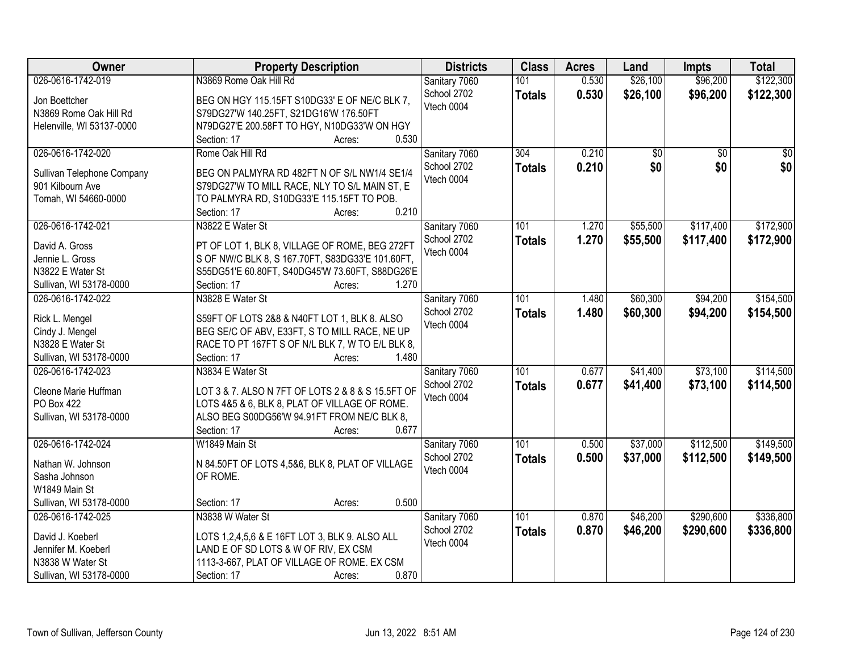| Owner                                    | <b>Property Description</b>                                 | <b>Districts</b> | <b>Class</b>  | <b>Acres</b> | Land     | <b>Impts</b>    | <b>Total</b>    |
|------------------------------------------|-------------------------------------------------------------|------------------|---------------|--------------|----------|-----------------|-----------------|
| 026-0616-1742-019                        | N3869 Rome Oak Hill Rd                                      | Sanitary 7060    | 101           | 0.530        | \$26,100 | \$96,200        | \$122,300       |
| Jon Boettcher                            | BEG ON HGY 115.15FT S10DG33' E OF NE/C BLK 7,               | School 2702      | <b>Totals</b> | 0.530        | \$26,100 | \$96,200        | \$122,300       |
| N3869 Rome Oak Hill Rd                   | S79DG27'W 140.25FT, S21DG16'W 176.50FT                      | Vtech 0004       |               |              |          |                 |                 |
| Helenville, WI 53137-0000                | N79DG27'E 200.58FT TO HGY, N10DG33'W ON HGY                 |                  |               |              |          |                 |                 |
|                                          | 0.530<br>Section: 17<br>Acres:                              |                  |               |              |          |                 |                 |
| 026-0616-1742-020                        | Rome Oak Hill Rd                                            | Sanitary 7060    | 304           | 0.210        | \$0      | $\overline{50}$ | $\overline{50}$ |
|                                          |                                                             | School 2702      | <b>Totals</b> | 0.210        | \$0      | \$0             | \$0             |
| Sullivan Telephone Company               | BEG ON PALMYRA RD 482FT N OF S/L NW1/4 SE1/4                | Vtech 0004       |               |              |          |                 |                 |
| 901 Kilbourn Ave                         | S79DG27'W TO MILL RACE, NLY TO S/L MAIN ST, E               |                  |               |              |          |                 |                 |
| Tomah, WI 54660-0000                     | TO PALMYRA RD, S10DG33'E 115.15FT TO POB.                   |                  |               |              |          |                 |                 |
|                                          | 0.210<br>Section: 17<br>Acres:                              |                  |               |              |          |                 |                 |
| 026-0616-1742-021                        | N3822 E Water St                                            | Sanitary 7060    | 101           | 1.270        | \$55,500 | \$117,400       | \$172,900       |
| David A. Gross                           | PT OF LOT 1, BLK 8, VILLAGE OF ROME, BEG 272FT              | School 2702      | <b>Totals</b> | 1.270        | \$55,500 | \$117,400       | \$172,900       |
| Jennie L. Gross                          | S OF NW/C BLK 8, S 167.70FT, S83DG33'E 101.60FT,            | Vtech 0004       |               |              |          |                 |                 |
| N3822 E Water St                         | S55DG51'E 60.80FT, S40DG45'W 73.60FT, S88DG26'E             |                  |               |              |          |                 |                 |
| Sullivan, WI 53178-0000                  | Section: 17<br>1.270<br>Acres:                              |                  |               |              |          |                 |                 |
| 026-0616-1742-022                        | N3828 E Water St                                            | Sanitary 7060    | 101           | 1.480        | \$60,300 | \$94,200        | \$154,500       |
|                                          |                                                             | School 2702      | <b>Totals</b> | 1.480        | \$60,300 | \$94,200        | \$154,500       |
| Rick L. Mengel                           | S59FT OF LOTS 2&8 & N40FT LOT 1, BLK 8. ALSO                | Vtech 0004       |               |              |          |                 |                 |
| Cindy J. Mengel                          | BEG SE/C OF ABV, E33FT, S TO MILL RACE, NE UP               |                  |               |              |          |                 |                 |
| N3828 E Water St                         | RACE TO PT 167FT S OF N/L BLK 7, W TO E/L BLK 8,            |                  |               |              |          |                 |                 |
| Sullivan, WI 53178-0000                  | 1.480<br>Section: 17<br>Acres:                              |                  |               |              |          |                 |                 |
| 026-0616-1742-023                        | N3834 E Water St                                            | Sanitary 7060    | 101           | 0.677        | \$41,400 | \$73,100        | \$114,500       |
| Cleone Marie Huffman                     | LOT 3 & 7. ALSO N 7FT OF LOTS 2 & 8 & S 15.5FT OF           | School 2702      | <b>Totals</b> | 0.677        | \$41,400 | \$73,100        | \$114,500       |
| PO Box 422                               | LOTS 4&5 & 6, BLK 8, PLAT OF VILLAGE OF ROME.               | Vtech 0004       |               |              |          |                 |                 |
| Sullivan, WI 53178-0000                  | ALSO BEG S00DG56'W 94.91FT FROM NE/C BLK 8,                 |                  |               |              |          |                 |                 |
|                                          | 0.677<br>Section: 17<br>Acres:                              |                  |               |              |          |                 |                 |
| 026-0616-1742-024                        | W1849 Main St                                               | Sanitary 7060    | 101           | 0.500        | \$37,000 | \$112,500       | \$149,500       |
|                                          |                                                             | School 2702      | <b>Totals</b> | 0.500        | \$37,000 | \$112,500       | \$149,500       |
| Nathan W. Johnson                        | N 84.50FT OF LOTS 4,5&6, BLK 8, PLAT OF VILLAGE<br>OF ROME. | Vtech 0004       |               |              |          |                 |                 |
| Sasha Johnson                            |                                                             |                  |               |              |          |                 |                 |
| W1849 Main St<br>Sullivan, WI 53178-0000 | 0.500                                                       |                  |               |              |          |                 |                 |
|                                          | Section: 17<br>Acres:                                       |                  |               |              |          |                 |                 |
| 026-0616-1742-025                        | N3838 W Water St                                            | Sanitary 7060    | 101           | 0.870        | \$46,200 | \$290,600       | \$336,800       |
| David J. Koeberl                         | LOTS 1,2,4,5,6 & E 16FT LOT 3, BLK 9. ALSO ALL              | School 2702      | <b>Totals</b> | 0.870        | \$46,200 | \$290,600       | \$336,800       |
| Jennifer M. Koeberl                      | LAND E OF SD LOTS & W OF RIV, EX CSM                        | Vtech 0004       |               |              |          |                 |                 |
| N3838 W Water St                         | 1113-3-667, PLAT OF VILLAGE OF ROME. EX CSM                 |                  |               |              |          |                 |                 |
| Sullivan, WI 53178-0000                  | 0.870<br>Section: 17<br>Acres:                              |                  |               |              |          |                 |                 |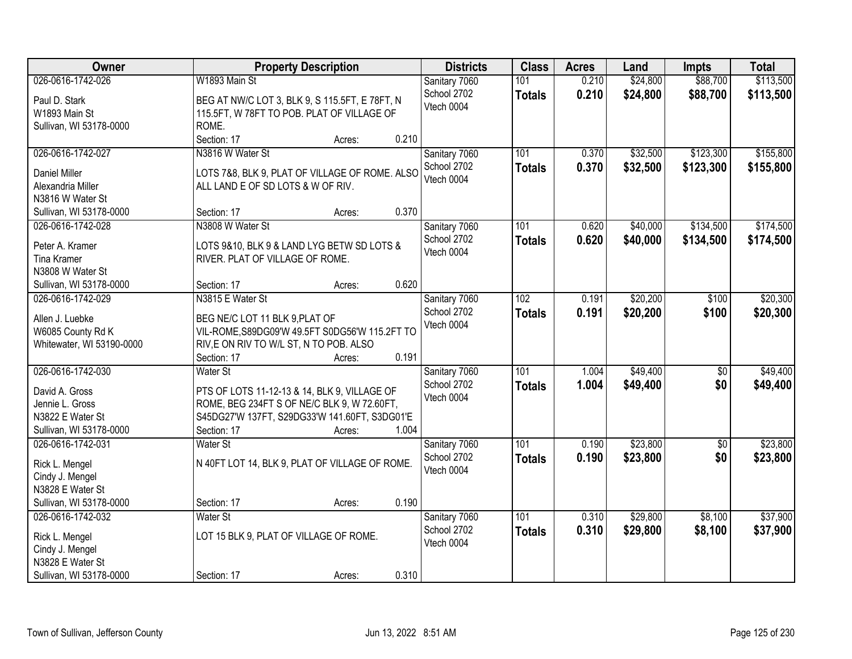| Owner                              | <b>Property Description</b>                                                         | <b>Districts</b>          | <b>Class</b>  | <b>Acres</b> | Land     | <b>Impts</b> | <b>Total</b> |
|------------------------------------|-------------------------------------------------------------------------------------|---------------------------|---------------|--------------|----------|--------------|--------------|
| 026-0616-1742-026                  | W1893 Main St                                                                       | Sanitary 7060             | 101           | 0.210        | \$24,800 | \$88,700     | \$113,500    |
| Paul D. Stark                      | BEG AT NW/C LOT 3, BLK 9, S 115.5FT, E 78FT, N                                      | School 2702               | <b>Totals</b> | 0.210        | \$24,800 | \$88,700     | \$113,500    |
| W1893 Main St                      | 115.5FT, W 78FT TO POB. PLAT OF VILLAGE OF                                          | Vtech 0004                |               |              |          |              |              |
| Sullivan, WI 53178-0000            | ROME.                                                                               |                           |               |              |          |              |              |
|                                    | 0.210<br>Section: 17<br>Acres:                                                      |                           |               |              |          |              |              |
| 026-0616-1742-027                  | N3816 W Water St                                                                    | Sanitary 7060             | 101           | 0.370        | \$32,500 | \$123,300    | \$155,800    |
|                                    |                                                                                     | School 2702               | <b>Totals</b> | 0.370        | \$32,500 | \$123,300    | \$155,800    |
| Daniel Miller<br>Alexandria Miller | LOTS 7&8, BLK 9, PLAT OF VILLAGE OF ROME. ALSO<br>ALL LAND E OF SD LOTS & W OF RIV. | Vtech 0004                |               |              |          |              |              |
| N3816 W Water St                   |                                                                                     |                           |               |              |          |              |              |
| Sullivan, WI 53178-0000            | 0.370<br>Section: 17<br>Acres:                                                      |                           |               |              |          |              |              |
| 026-0616-1742-028                  | N3808 W Water St                                                                    | Sanitary 7060             | 101           | 0.620        | \$40,000 | \$134,500    | \$174,500    |
|                                    |                                                                                     | School 2702               | <b>Totals</b> | 0.620        | \$40,000 | \$134,500    | \$174,500    |
| Peter A. Kramer                    | LOTS 9&10, BLK 9 & LAND LYG BETW SD LOTS &                                          | Vtech 0004                |               |              |          |              |              |
| <b>Tina Kramer</b>                 | RIVER. PLAT OF VILLAGE OF ROME.                                                     |                           |               |              |          |              |              |
| N3808 W Water St                   |                                                                                     |                           |               |              |          |              |              |
| Sullivan, WI 53178-0000            | 0.620<br>Section: 17<br>Acres:                                                      |                           |               |              |          |              |              |
| 026-0616-1742-029                  | N3815 E Water St                                                                    | Sanitary 7060             | 102           | 0.191        | \$20,200 | \$100        | \$20,300     |
| Allen J. Luebke                    | BEG NE/C LOT 11 BLK 9, PLAT OF                                                      | School 2702               | <b>Totals</b> | 0.191        | \$20,200 | \$100        | \$20,300     |
| W6085 County Rd K                  | VIL-ROME, S89DG09'W 49.5FT S0DG56'W 115.2FT TO                                      | Vtech 0004                |               |              |          |              |              |
| Whitewater, WI 53190-0000          | RIV, E ON RIV TO W/L ST, N TO POB. ALSO                                             |                           |               |              |          |              |              |
|                                    | 0.191<br>Section: 17<br>Acres:                                                      |                           |               |              |          |              |              |
| 026-0616-1742-030                  | Water St                                                                            | Sanitary 7060             | 101           | 1.004        | \$49,400 | \$0          | \$49,400     |
| David A. Gross                     | PTS OF LOTS 11-12-13 & 14, BLK 9, VILLAGE OF                                        | School 2702               | <b>Totals</b> | 1.004        | \$49,400 | \$0          | \$49,400     |
| Jennie L. Gross                    | ROME, BEG 234FT S OF NE/C BLK 9, W 72.60FT,                                         | Vtech 0004                |               |              |          |              |              |
| N3822 E Water St                   | S45DG27'W 137FT, S29DG33'W 141.60FT, S3DG01'E                                       |                           |               |              |          |              |              |
| Sullivan, WI 53178-0000            | Section: 17<br>1.004<br>Acres:                                                      |                           |               |              |          |              |              |
| 026-0616-1742-031                  | Water St                                                                            | Sanitary 7060             | 101           | 0.190        | \$23,800 | $\sqrt{6}$   | \$23,800     |
|                                    |                                                                                     | School 2702               | <b>Totals</b> | 0.190        | \$23,800 | \$0          | \$23,800     |
| Rick L. Mengel                     | N 40FT LOT 14, BLK 9, PLAT OF VILLAGE OF ROME.                                      | Vtech 0004                |               |              |          |              |              |
| Cindy J. Mengel                    |                                                                                     |                           |               |              |          |              |              |
| N3828 E Water St                   | 0.190                                                                               |                           |               |              |          |              |              |
| Sullivan, WI 53178-0000            | Section: 17<br>Acres:                                                               |                           |               |              |          |              |              |
| 026-0616-1742-032                  | Water St                                                                            | Sanitary 7060             | 101           | 0.310        | \$29,800 | \$8,100      | \$37,900     |
| Rick L. Mengel                     | LOT 15 BLK 9, PLAT OF VILLAGE OF ROME.                                              | School 2702<br>Vtech 0004 | <b>Totals</b> | 0.310        | \$29,800 | \$8,100      | \$37,900     |
| Cindy J. Mengel                    |                                                                                     |                           |               |              |          |              |              |
| N3828 E Water St                   |                                                                                     |                           |               |              |          |              |              |
| Sullivan, WI 53178-0000            | 0.310<br>Section: 17<br>Acres:                                                      |                           |               |              |          |              |              |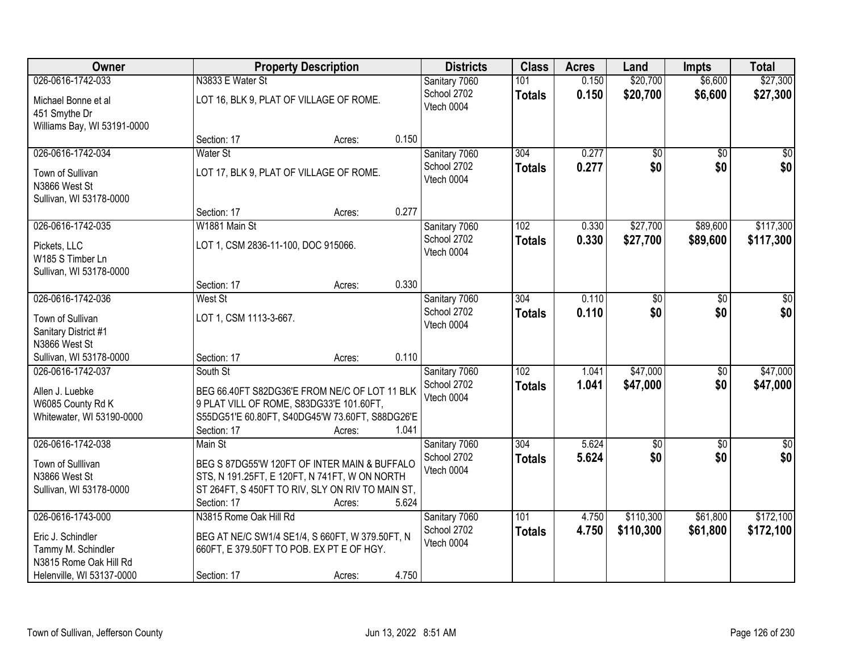| Owner                                   |                                     | <b>Property Description</b>                                                                  |       | <b>Districts</b> | <b>Class</b>  | <b>Acres</b> | Land            | <b>Impts</b>    | <b>Total</b>     |
|-----------------------------------------|-------------------------------------|----------------------------------------------------------------------------------------------|-------|------------------|---------------|--------------|-----------------|-----------------|------------------|
| 026-0616-1742-033                       | N3833 E Water St                    |                                                                                              |       | Sanitary 7060    | 101           | 0.150        | \$20,700        | \$6,600         | \$27,300         |
| Michael Bonne et al                     |                                     | LOT 16, BLK 9, PLAT OF VILLAGE OF ROME.                                                      |       | School 2702      | <b>Totals</b> | 0.150        | \$20,700        | \$6,600         | \$27,300         |
| 451 Smythe Dr                           |                                     |                                                                                              |       | Vtech 0004       |               |              |                 |                 |                  |
| Williams Bay, WI 53191-0000             |                                     |                                                                                              |       |                  |               |              |                 |                 |                  |
|                                         | Section: 17                         | Acres:                                                                                       | 0.150 |                  |               |              |                 |                 |                  |
| 026-0616-1742-034                       | Water St                            |                                                                                              |       | Sanitary 7060    | 304           | 0.277        | $\overline{50}$ | $\overline{50}$ | $\overline{30}$  |
| Town of Sullivan                        |                                     | LOT 17, BLK 9, PLAT OF VILLAGE OF ROME.                                                      |       | School 2702      | <b>Totals</b> | 0.277        | \$0             | \$0             | \$0              |
| N3866 West St                           |                                     |                                                                                              |       | Vtech 0004       |               |              |                 |                 |                  |
| Sullivan, WI 53178-0000                 |                                     |                                                                                              |       |                  |               |              |                 |                 |                  |
|                                         | Section: 17                         | Acres:                                                                                       | 0.277 |                  |               |              |                 |                 |                  |
| 026-0616-1742-035                       | W1881 Main St                       |                                                                                              |       | Sanitary 7060    | 102           | 0.330        | \$27,700        | \$89,600        | \$117,300        |
| Pickets, LLC                            | LOT 1, CSM 2836-11-100, DOC 915066. |                                                                                              |       | School 2702      | <b>Totals</b> | 0.330        | \$27,700        | \$89,600        | \$117,300        |
| W185 S Timber Ln                        |                                     |                                                                                              |       | Vtech 0004       |               |              |                 |                 |                  |
| Sullivan, WI 53178-0000                 |                                     |                                                                                              |       |                  |               |              |                 |                 |                  |
|                                         | Section: 17                         | Acres:                                                                                       | 0.330 |                  |               |              |                 |                 |                  |
| 026-0616-1742-036                       | West St                             |                                                                                              |       | Sanitary 7060    | 304           | 0.110        | \$0             | \$0             | \$0              |
| Town of Sullivan                        | LOT 1, CSM 1113-3-667.              |                                                                                              |       | School 2702      | <b>Totals</b> | 0.110        | \$0             | \$0             | \$0              |
| Sanitary District #1                    |                                     |                                                                                              |       | Vtech 0004       |               |              |                 |                 |                  |
| N3866 West St                           |                                     |                                                                                              |       |                  |               |              |                 |                 |                  |
| Sullivan, WI 53178-0000                 | Section: 17                         | Acres:                                                                                       | 0.110 |                  |               |              |                 |                 |                  |
| 026-0616-1742-037                       | South St                            |                                                                                              |       | Sanitary 7060    | 102           | 1.041        | \$47,000        | $\overline{50}$ | \$47,000         |
| Allen J. Luebke                         |                                     | BEG 66.40FT S82DG36'E FROM NE/C OF LOT 11 BLK                                                |       | School 2702      | <b>Totals</b> | 1.041        | \$47,000        | \$0             | \$47,000         |
| W6085 County Rd K                       |                                     | 9 PLAT VILL OF ROME, S83DG33'E 101.60FT,                                                     |       | Vtech 0004       |               |              |                 |                 |                  |
| Whitewater, WI 53190-0000               |                                     | S55DG51'E 60.80FT, S40DG45'W 73.60FT, S88DG26'E                                              |       |                  |               |              |                 |                 |                  |
|                                         | Section: 17                         | Acres:                                                                                       | 1.041 |                  |               |              |                 |                 |                  |
| 026-0616-1742-038                       | Main St                             |                                                                                              |       | Sanitary 7060    | 304           | 5.624        | $\overline{50}$ | $\overline{50}$ | $\overline{\$0}$ |
| Town of Sulllivan                       |                                     | BEG S 87DG55'W 120FT OF INTER MAIN & BUFFALO                                                 |       | School 2702      | <b>Totals</b> | 5.624        | \$0             | \$0             | \$0              |
| N3866 West St                           |                                     | STS, N 191.25FT, E 120FT, N 741FT, W ON NORTH                                                |       | Vtech 0004       |               |              |                 |                 |                  |
| Sullivan, WI 53178-0000                 |                                     | ST 264FT, S 450FT TO RIV, SLY ON RIV TO MAIN ST,                                             |       |                  |               |              |                 |                 |                  |
|                                         | Section: 17                         | Acres:                                                                                       | 5.624 |                  |               |              |                 |                 |                  |
| 026-0616-1743-000                       | N3815 Rome Oak Hill Rd              |                                                                                              |       | Sanitary 7060    | 101           | 4.750        | \$110,300       | \$61,800        | \$172,100        |
|                                         |                                     |                                                                                              |       | School 2702      | <b>Totals</b> | 4.750        | \$110,300       | \$61,800        | \$172,100        |
| Eric J. Schindler<br>Tammy M. Schindler |                                     | BEG AT NE/C SW1/4 SE1/4, S 660FT, W 379.50FT, N<br>660FT, E 379.50FT TO POB. EX PT E OF HGY. |       | Vtech 0004       |               |              |                 |                 |                  |
| N3815 Rome Oak Hill Rd                  |                                     |                                                                                              |       |                  |               |              |                 |                 |                  |
| Helenville, WI 53137-0000               | Section: 17                         | Acres:                                                                                       | 4.750 |                  |               |              |                 |                 |                  |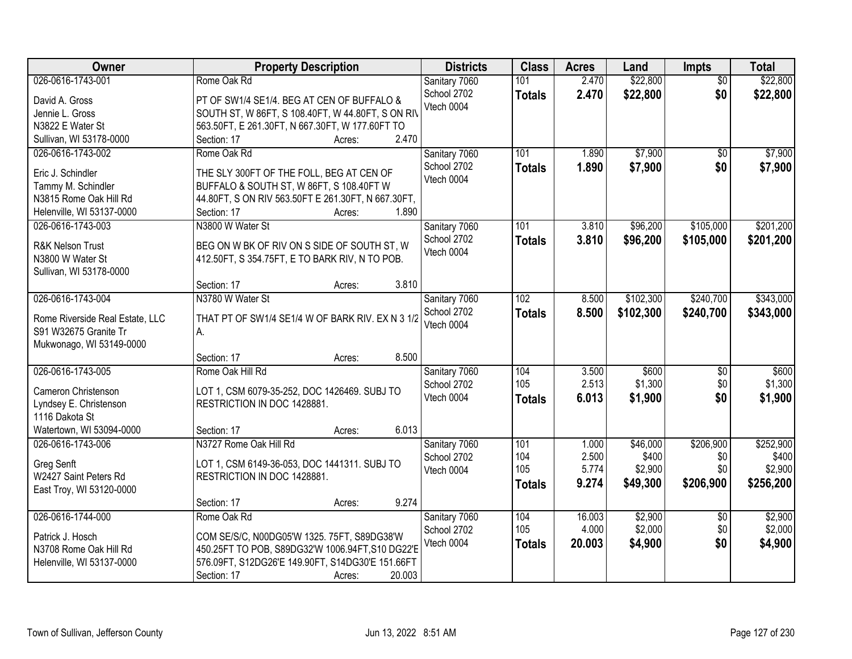| Owner                           | <b>Property Description</b>                        | <b>Districts</b> | <b>Class</b>  | <b>Acres</b> | Land      | <b>Impts</b>           | <b>Total</b> |
|---------------------------------|----------------------------------------------------|------------------|---------------|--------------|-----------|------------------------|--------------|
| 026-0616-1743-001               | Rome Oak Rd                                        | Sanitary 7060    | 101           | 2.470        | \$22,800  | $\overline{50}$        | \$22,800     |
| David A. Gross                  | PT OF SW1/4 SE1/4. BEG AT CEN OF BUFFALO &         | School 2702      | <b>Totals</b> | 2.470        | \$22,800  | \$0                    | \$22,800     |
| Jennie L. Gross                 | SOUTH ST, W 86FT, S 108.40FT, W 44.80FT, S ON RIV  | Vtech 0004       |               |              |           |                        |              |
| N3822 E Water St                | 563.50FT, E 261.30FT, N 667.30FT, W 177.60FT TO    |                  |               |              |           |                        |              |
| Sullivan, WI 53178-0000         | 2.470<br>Section: 17<br>Acres:                     |                  |               |              |           |                        |              |
| 026-0616-1743-002               | Rome Oak Rd                                        | Sanitary 7060    | 101           | 1.890        | \$7,900   | \$0                    | \$7,900      |
|                                 |                                                    | School 2702      | <b>Totals</b> | 1.890        | \$7,900   | \$0                    | \$7,900      |
| Eric J. Schindler               | THE SLY 300FT OF THE FOLL, BEG AT CEN OF           | Vtech 0004       |               |              |           |                        |              |
| Tammy M. Schindler              | BUFFALO & SOUTH ST, W 86FT, S 108.40FT W           |                  |               |              |           |                        |              |
| N3815 Rome Oak Hill Rd          | 44.80FT, S ON RIV 563.50FT E 261.30FT, N 667.30FT, |                  |               |              |           |                        |              |
| Helenville, WI 53137-0000       | 1.890<br>Section: 17<br>Acres:                     |                  |               |              |           |                        |              |
| 026-0616-1743-003               | N3800 W Water St                                   | Sanitary 7060    | 101           | 3.810        | \$96,200  | \$105,000              | \$201,200    |
| R&K Nelson Trust                | BEG ON W BK OF RIV ON S SIDE OF SOUTH ST, W        | School 2702      | <b>Totals</b> | 3.810        | \$96,200  | \$105,000              | \$201,200    |
| N3800 W Water St                | 412.50FT, S 354.75FT, E TO BARK RIV, N TO POB.     | Vtech 0004       |               |              |           |                        |              |
| Sullivan, WI 53178-0000         |                                                    |                  |               |              |           |                        |              |
|                                 | 3.810<br>Section: 17<br>Acres:                     |                  |               |              |           |                        |              |
| 026-0616-1743-004               | N3780 W Water St                                   | Sanitary 7060    | 102           | 8.500        | \$102,300 | \$240,700              | \$343,000    |
|                                 |                                                    | School 2702      | <b>Totals</b> | 8.500        | \$102,300 | \$240,700              | \$343,000    |
| Rome Riverside Real Estate, LLC | THAT PT OF SW1/4 SE1/4 W OF BARK RIV. EX N 3 1/2   | Vtech 0004       |               |              |           |                        |              |
| S91 W32675 Granite Tr           | А.                                                 |                  |               |              |           |                        |              |
| Mukwonago, WI 53149-0000        | 8.500                                              |                  |               |              |           |                        |              |
| 026-0616-1743-005               | Section: 17<br>Acres:<br>Rome Oak Hill Rd          |                  | 104           | 3.500        | \$600     |                        | \$600        |
|                                 |                                                    | Sanitary 7060    | 105           | 2.513        | \$1,300   | $\overline{60}$<br>\$0 | \$1,300      |
| Cameron Christenson             | LOT 1, CSM 6079-35-252, DOC 1426469. SUBJ TO       | School 2702      |               |              |           | \$0                    |              |
| Lyndsey E. Christenson          | RESTRICTION IN DOC 1428881.                        | Vtech 0004       | <b>Totals</b> | 6.013        | \$1,900   |                        | \$1,900      |
| 1116 Dakota St                  |                                                    |                  |               |              |           |                        |              |
| Watertown, WI 53094-0000        | 6.013<br>Section: 17<br>Acres:                     |                  |               |              |           |                        |              |
| 026-0616-1743-006               | N3727 Rome Oak Hill Rd                             | Sanitary 7060    | 101           | 1.000        | \$46,000  | \$206,900              | \$252,900    |
| Greg Senft                      | LOT 1, CSM 6149-36-053, DOC 1441311. SUBJ TO       | School 2702      | 104           | 2.500        | \$400     | \$0                    | \$400        |
| W2427 Saint Peters Rd           | RESTRICTION IN DOC 1428881.                        | Vtech 0004       | 105           | 5.774        | \$2,900   | \$0                    | \$2,900      |
| East Troy, WI 53120-0000        |                                                    |                  | <b>Totals</b> | 9.274        | \$49,300  | \$206,900              | \$256,200    |
|                                 | 9.274<br>Section: 17<br>Acres:                     |                  |               |              |           |                        |              |
| 026-0616-1744-000               | Rome Oak Rd                                        | Sanitary 7060    | 104           | 16.003       | \$2,900   | $\overline{50}$        | \$2,900      |
|                                 |                                                    | School 2702      | 105           | 4.000        | \$2,000   | \$0                    | \$2,000      |
| Patrick J. Hosch                | COM SE/S/C, N00DG05'W 1325. 75FT, S89DG38'W        | Vtech 0004       |               | 20.003       | \$4,900   | \$0                    | \$4,900      |
| N3708 Rome Oak Hill Rd          | 450.25FT TO POB, S89DG32'W 1006.94FT, S10 DG22'E   |                  | <b>Totals</b> |              |           |                        |              |
| Helenville, WI 53137-0000       | 576.09FT, S12DG26'E 149.90FT, S14DG30'E 151.66FT   |                  |               |              |           |                        |              |
|                                 | 20.003<br>Section: 17<br>Acres:                    |                  |               |              |           |                        |              |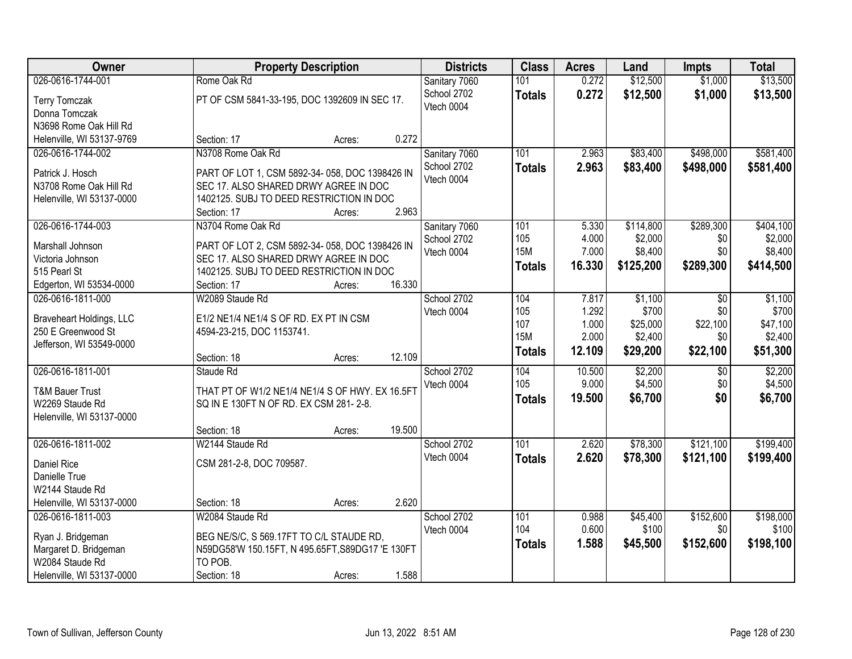| Owner                                               | <b>Property Description</b>                                                       |                  | <b>Districts</b> | <b>Class</b>     | <b>Acres</b> | Land      | <b>Impts</b> | <b>Total</b> |
|-----------------------------------------------------|-----------------------------------------------------------------------------------|------------------|------------------|------------------|--------------|-----------|--------------|--------------|
| 026-0616-1744-001                                   | Rome Oak Rd                                                                       |                  | Sanitary 7060    | 101              | 0.272        | \$12,500  | \$1,000      | \$13,500     |
| <b>Terry Tomczak</b>                                | PT OF CSM 5841-33-195, DOC 1392609 IN SEC 17.                                     |                  | School 2702      | <b>Totals</b>    | 0.272        | \$12,500  | \$1,000      | \$13,500     |
| Donna Tomczak                                       |                                                                                   |                  | Vtech 0004       |                  |              |           |              |              |
| N3698 Rome Oak Hill Rd                              |                                                                                   |                  |                  |                  |              |           |              |              |
| Helenville, WI 53137-9769                           | Section: 17                                                                       | 0.272<br>Acres:  |                  |                  |              |           |              |              |
| 026-0616-1744-002                                   | N3708 Rome Oak Rd                                                                 |                  | Sanitary 7060    | 101              | 2.963        | \$83,400  | \$498,000    | \$581,400    |
|                                                     |                                                                                   |                  | School 2702      | <b>Totals</b>    | 2.963        | \$83,400  | \$498,000    | \$581,400    |
| Patrick J. Hosch                                    | PART OF LOT 1, CSM 5892-34-058, DOC 1398426 IN                                    |                  | Vtech 0004       |                  |              |           |              |              |
| N3708 Rome Oak Hill Rd<br>Helenville, WI 53137-0000 | SEC 17. ALSO SHARED DRWY AGREE IN DOC<br>1402125. SUBJ TO DEED RESTRICTION IN DOC |                  |                  |                  |              |           |              |              |
|                                                     | Section: 17                                                                       | 2.963<br>Acres:  |                  |                  |              |           |              |              |
| 026-0616-1744-003                                   | N3704 Rome Oak Rd                                                                 |                  | Sanitary 7060    | 101              | 5.330        | \$114,800 | \$289,300    | \$404,100    |
|                                                     |                                                                                   |                  | School 2702      | 105              | 4.000        | \$2,000   | \$0          | \$2,000      |
| Marshall Johnson                                    | PART OF LOT 2, CSM 5892-34-058, DOC 1398426 IN                                    |                  | Vtech 0004       | <b>15M</b>       | 7.000        | \$8,400   | \$0          | \$8,400      |
| Victoria Johnson                                    | SEC 17. ALSO SHARED DRWY AGREE IN DOC                                             |                  |                  | <b>Totals</b>    | 16.330       | \$125,200 | \$289,300    | \$414,500    |
| 515 Pearl St                                        | 1402125. SUBJ TO DEED RESTRICTION IN DOC                                          |                  |                  |                  |              |           |              |              |
| Edgerton, WI 53534-0000                             | Section: 17                                                                       | 16.330<br>Acres: |                  |                  |              |           |              |              |
| 026-0616-1811-000                                   | W2089 Staude Rd                                                                   |                  | School 2702      | 104              | 7.817        | \$1,100   | \$0          | \$1,100      |
| Braveheart Holdings, LLC                            | E1/2 NE1/4 NE1/4 S OF RD. EX PT IN CSM                                            |                  | Vtech 0004       | 105              | 1.292        | \$700     | \$0          | \$700        |
| 250 E Greenwood St                                  | 4594-23-215, DOC 1153741.                                                         |                  |                  | 107              | 1.000        | \$25,000  | \$22,100     | \$47,100     |
| Jefferson, WI 53549-0000                            |                                                                                   |                  |                  | <b>15M</b>       | 2.000        | \$2,400   | \$0          | \$2,400      |
|                                                     | Section: 18                                                                       | 12.109<br>Acres: |                  | <b>Totals</b>    | 12.109       | \$29,200  | \$22,100     | \$51,300     |
| 026-0616-1811-001                                   | Staude Rd                                                                         |                  | School 2702      | 104              | 10.500       | \$2,200   | \$0          | \$2,200      |
| <b>T&amp;M Bauer Trust</b>                          | THAT PT OF W1/2 NE1/4 NE1/4 S OF HWY. EX 16.5FT                                   |                  | Vtech 0004       | 105              | 9.000        | \$4,500   | \$0          | \$4,500      |
| W2269 Staude Rd                                     | SQ IN E 130FT N OF RD. EX CSM 281-2-8.                                            |                  |                  | <b>Totals</b>    | 19.500       | \$6,700   | \$0          | \$6,700      |
| Helenville, WI 53137-0000                           |                                                                                   |                  |                  |                  |              |           |              |              |
|                                                     | Section: 18                                                                       | 19.500<br>Acres: |                  |                  |              |           |              |              |
| 026-0616-1811-002                                   | W2144 Staude Rd                                                                   |                  | School 2702      | $\overline{101}$ | 2.620        | \$78,300  | \$121,100    | \$199,400    |
| Daniel Rice                                         | CSM 281-2-8, DOC 709587.                                                          |                  | Vtech 0004       | <b>Totals</b>    | 2.620        | \$78,300  | \$121,100    | \$199,400    |
| Danielle True                                       |                                                                                   |                  |                  |                  |              |           |              |              |
| W2144 Staude Rd                                     |                                                                                   |                  |                  |                  |              |           |              |              |
| Helenville, WI 53137-0000                           | Section: 18                                                                       | 2.620<br>Acres:  |                  |                  |              |           |              |              |
| 026-0616-1811-003                                   | W2084 Staude Rd                                                                   |                  | School 2702      | 101              | 0.988        | \$45,400  | \$152,600    | \$198,000    |
|                                                     |                                                                                   |                  | Vtech 0004       | 104              | 0.600        | \$100     | \$0          | \$100        |
| Ryan J. Bridgeman                                   | BEG NE/S/C, S 569.17FT TO C/L STAUDE RD,                                          |                  |                  |                  | 1.588        | \$45,500  | \$152,600    | \$198,100    |
| Margaret D. Bridgeman                               | N59DG58'W 150.15FT, N 495.65FT, S89DG17 'E 130FT                                  |                  |                  | <b>Totals</b>    |              |           |              |              |
| W2084 Staude Rd                                     | TO POB.                                                                           |                  |                  |                  |              |           |              |              |
| Helenville, WI 53137-0000                           | Section: 18                                                                       | 1.588<br>Acres:  |                  |                  |              |           |              |              |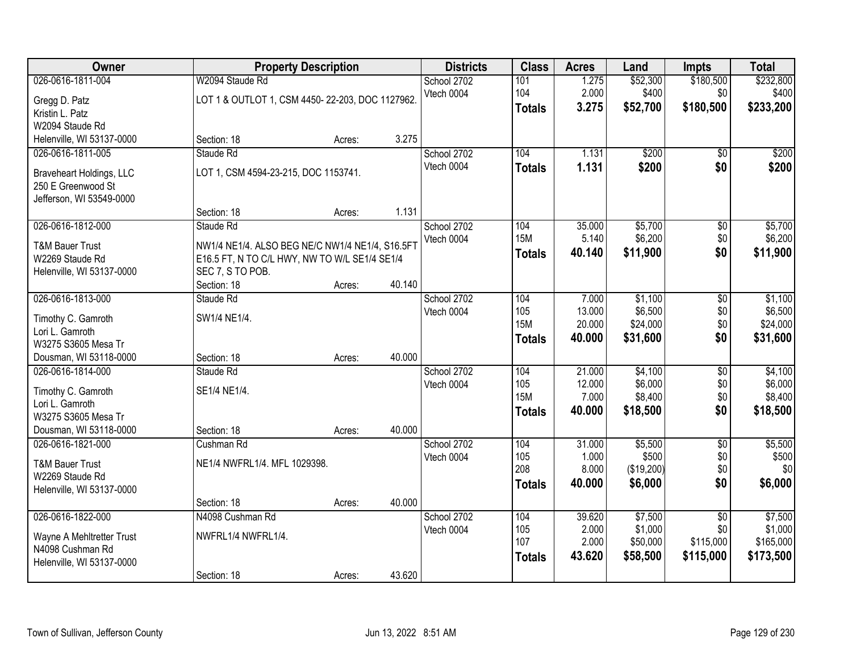| Owner                      |                                                 | <b>Property Description</b> |        | <b>Districts</b> | <b>Class</b>  | <b>Acres</b> | Land       | <b>Impts</b>    | <b>Total</b> |
|----------------------------|-------------------------------------------------|-----------------------------|--------|------------------|---------------|--------------|------------|-----------------|--------------|
| 026-0616-1811-004          | W2094 Staude Rd                                 |                             |        | School 2702      | 101           | 1.275        | \$52,300   | \$180,500       | \$232,800    |
| Gregg D. Patz              | LOT 1 & OUTLOT 1, CSM 4450-22-203, DOC 1127962. |                             |        | Vtech 0004       | 104           | 2.000        | \$400      | \$0             | \$400        |
| Kristin L. Patz            |                                                 |                             |        |                  | <b>Totals</b> | 3.275        | \$52,700   | \$180,500       | \$233,200    |
| W2094 Staude Rd            |                                                 |                             |        |                  |               |              |            |                 |              |
| Helenville, WI 53137-0000  | Section: 18                                     | Acres:                      | 3.275  |                  |               |              |            |                 |              |
| 026-0616-1811-005          | Staude Rd                                       |                             |        | School 2702      | 104           | 1.131        | \$200      | $\overline{50}$ | \$200        |
| Braveheart Holdings, LLC   | LOT 1, CSM 4594-23-215, DOC 1153741.            |                             |        | Vtech 0004       | <b>Totals</b> | 1.131        | \$200      | \$0             | \$200        |
| 250 E Greenwood St         |                                                 |                             |        |                  |               |              |            |                 |              |
| Jefferson, WI 53549-0000   |                                                 |                             |        |                  |               |              |            |                 |              |
|                            | Section: 18                                     | Acres:                      | 1.131  |                  |               |              |            |                 |              |
| 026-0616-1812-000          | Staude Rd                                       |                             |        | School 2702      | 104           | 35.000       | \$5,700    | \$0             | \$5,700      |
| <b>T&amp;M Bauer Trust</b> | NW1/4 NE1/4. ALSO BEG NE/C NW1/4 NE1/4, S16.5FT |                             |        | Vtech 0004       | <b>15M</b>    | 5.140        | \$6,200    | \$0             | \$6,200      |
| W2269 Staude Rd            | E16.5 FT, N TO C/L HWY, NW TO W/L SE1/4 SE1/4   |                             |        |                  | <b>Totals</b> | 40.140       | \$11,900   | \$0             | \$11,900     |
| Helenville, WI 53137-0000  | SEC 7, S TO POB.                                |                             |        |                  |               |              |            |                 |              |
|                            | Section: 18                                     | Acres:                      | 40.140 |                  |               |              |            |                 |              |
| 026-0616-1813-000          | Staude Rd                                       |                             |        | School 2702      | 104           | 7.000        | \$1,100    | \$0             | \$1,100      |
| Timothy C. Gamroth         | SW1/4 NE1/4.                                    |                             |        | Vtech 0004       | 105           | 13.000       | \$6,500    | \$0             | \$6,500      |
| Lori L. Gamroth            |                                                 |                             |        |                  | <b>15M</b>    | 20.000       | \$24,000   | \$0             | \$24,000     |
| W3275 S3605 Mesa Tr        |                                                 |                             |        |                  | <b>Totals</b> | 40.000       | \$31,600   | \$0             | \$31,600     |
| Dousman, WI 53118-0000     | Section: 18                                     | Acres:                      | 40.000 |                  |               |              |            |                 |              |
| 026-0616-1814-000          | Staude Rd                                       |                             |        | School 2702      | 104           | 21.000       | \$4,100    | $\overline{30}$ | \$4,100      |
| Timothy C. Gamroth         | SE1/4 NE1/4.                                    |                             |        | Vtech 0004       | 105           | 12.000       | \$6,000    | \$0             | \$6,000      |
| Lori L. Gamroth            |                                                 |                             |        |                  | <b>15M</b>    | 7.000        | \$8,400    | \$0             | \$8,400      |
| W3275 S3605 Mesa Tr        |                                                 |                             |        |                  | <b>Totals</b> | 40.000       | \$18,500   | \$0             | \$18,500     |
| Dousman, WI 53118-0000     | Section: 18                                     | Acres:                      | 40.000 |                  |               |              |            |                 |              |
| 026-0616-1821-000          | Cushman Rd                                      |                             |        | School 2702      | 104           | 31.000       | \$5,500    | $\overline{50}$ | \$5,500      |
| <b>T&amp;M Bauer Trust</b> | NE1/4 NWFRL1/4. MFL 1029398.                    |                             |        | Vtech 0004       | 105           | 1.000        | \$500      | \$0             | \$500        |
| W2269 Staude Rd            |                                                 |                             |        |                  | 208           | 8.000        | (\$19,200) | \$0             | \$0          |
| Helenville, WI 53137-0000  |                                                 |                             |        |                  | <b>Totals</b> | 40.000       | \$6,000    | \$0             | \$6,000      |
|                            | Section: 18                                     | Acres:                      | 40.000 |                  |               |              |            |                 |              |
| 026-0616-1822-000          | N4098 Cushman Rd                                |                             |        | School 2702      | 104           | 39.620       | \$7,500    | $\overline{30}$ | \$7,500      |
| Wayne A Mehltretter Trust  | NWFRL1/4 NWFRL1/4.                              |                             |        | Vtech 0004       | 105           | 2.000        | \$1,000    | \$0             | \$1,000      |
| N4098 Cushman Rd           |                                                 |                             |        |                  | 107           | 2.000        | \$50,000   | \$115,000       | \$165,000    |
| Helenville, WI 53137-0000  |                                                 |                             |        |                  | <b>Totals</b> | 43.620       | \$58,500   | \$115,000       | \$173,500    |
|                            | Section: 18                                     | Acres:                      | 43.620 |                  |               |              |            |                 |              |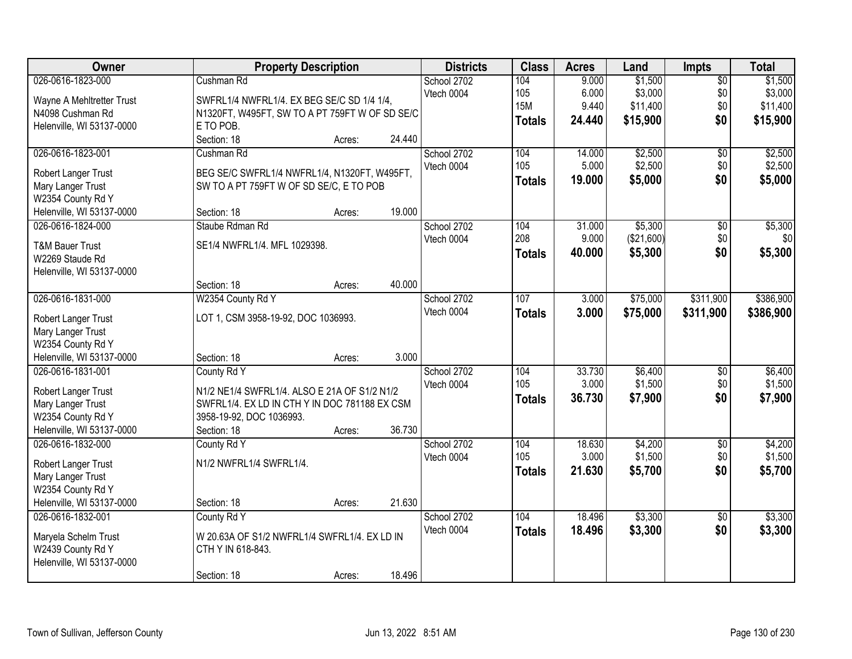| Owner                                         |                                                | <b>Property Description</b> |        | <b>Districts</b> | <b>Class</b>  | <b>Acres</b> | Land       | <b>Impts</b>    | <b>Total</b> |
|-----------------------------------------------|------------------------------------------------|-----------------------------|--------|------------------|---------------|--------------|------------|-----------------|--------------|
| 026-0616-1823-000                             | Cushman Rd                                     |                             |        | School 2702      | 104           | 9.000        | \$1,500    | $\overline{50}$ | \$1,500      |
| Wayne A Mehltretter Trust                     | SWFRL1/4 NWFRL1/4. EX BEG SE/C SD 1/4 1/4,     |                             |        | Vtech 0004       | 105           | 6.000        | \$3,000    | \$0             | \$3,000      |
| N4098 Cushman Rd                              | N1320FT, W495FT, SW TO A PT 759FT W OF SD SE/C |                             |        |                  | <b>15M</b>    | 9.440        | \$11,400   | \$0             | \$11,400     |
| Helenville, WI 53137-0000                     | E TO POB.                                      |                             |        |                  | <b>Totals</b> | 24.440       | \$15,900   | \$0             | \$15,900     |
|                                               | Section: 18                                    | Acres:                      | 24.440 |                  |               |              |            |                 |              |
| 026-0616-1823-001                             | Cushman Rd                                     |                             |        | School 2702      | 104           | 14.000       | \$2,500    | $\overline{50}$ | \$2,500      |
| Robert Langer Trust                           | BEG SE/C SWFRL1/4 NWFRL1/4, N1320FT, W495FT,   |                             |        | Vtech 0004       | 105           | 5.000        | \$2,500    | \$0             | \$2,500      |
| Mary Langer Trust                             | SW TO A PT 759FT W OF SD SE/C, E TO POB        |                             |        |                  | Totals        | 19.000       | \$5,000    | \$0             | \$5,000      |
| W2354 County Rd Y                             |                                                |                             |        |                  |               |              |            |                 |              |
| Helenville, WI 53137-0000                     | Section: 18                                    | Acres:                      | 19.000 |                  |               |              |            |                 |              |
| 026-0616-1824-000                             | Staube Rdman Rd                                |                             |        | School 2702      | 104           | 31.000       | \$5,300    | $\overline{50}$ | \$5,300      |
|                                               | SE1/4 NWFRL1/4. MFL 1029398.                   |                             |        | Vtech 0004       | 208           | 9.000        | (\$21,600) | \$0             | \$0          |
| <b>T&amp;M Bauer Trust</b><br>W2269 Staude Rd |                                                |                             |        |                  | Totals        | 40.000       | \$5,300    | \$0             | \$5,300      |
| Helenville, WI 53137-0000                     |                                                |                             |        |                  |               |              |            |                 |              |
|                                               | Section: 18                                    | Acres:                      | 40.000 |                  |               |              |            |                 |              |
| 026-0616-1831-000                             | W2354 County Rd Y                              |                             |        | School 2702      | 107           | 3.000        | \$75,000   | \$311,900       | \$386,900    |
|                                               |                                                |                             |        | Vtech 0004       | <b>Totals</b> | 3.000        | \$75,000   | \$311,900       | \$386,900    |
| Robert Langer Trust                           | LOT 1, CSM 3958-19-92, DOC 1036993.            |                             |        |                  |               |              |            |                 |              |
| Mary Langer Trust                             |                                                |                             |        |                  |               |              |            |                 |              |
| W2354 County Rd Y                             |                                                |                             |        |                  |               |              |            |                 |              |
| Helenville, WI 53137-0000                     | Section: 18                                    | Acres:                      | 3.000  |                  |               |              |            |                 |              |
| 026-0616-1831-001                             | County Rd Y                                    |                             |        | School 2702      | 104<br>105    | 33.730       | \$6,400    | $\overline{50}$ | \$6,400      |
| Robert Langer Trust                           | N1/2 NE1/4 SWFRL1/4. ALSO E 21A OF S1/2 N1/2   |                             |        | Vtech 0004       |               | 3.000        | \$1,500    | \$0<br>\$0      | \$1,500      |
| Mary Langer Trust                             | SWFRL1/4. EX LD IN CTH Y IN DOC 781188 EX CSM  |                             |        |                  | <b>Totals</b> | 36.730       | \$7,900    |                 | \$7,900      |
| W2354 County Rd Y                             | 3958-19-92, DOC 1036993.                       |                             |        |                  |               |              |            |                 |              |
| Helenville, WI 53137-0000                     | Section: 18                                    | Acres:                      | 36.730 |                  |               |              |            |                 |              |
| 026-0616-1832-000                             | County Rd Y                                    |                             |        | School 2702      | 104           | 18.630       | \$4,200    | $\sqrt{6}$      | \$4,200      |
| Robert Langer Trust                           | N1/2 NWFRL1/4 SWFRL1/4.                        |                             |        | Vtech 0004       | 105           | 3.000        | \$1,500    | \$0             | \$1,500      |
| Mary Langer Trust                             |                                                |                             |        |                  | <b>Totals</b> | 21.630       | \$5,700    | \$0             | \$5,700      |
| W2354 County Rd Y                             |                                                |                             |        |                  |               |              |            |                 |              |
| Helenville, WI 53137-0000                     | Section: 18                                    | Acres:                      | 21.630 |                  |               |              |            |                 |              |
| 026-0616-1832-001                             | County Rd Y                                    |                             |        | School 2702      | 104           | 18.496       | \$3,300    | $\overline{50}$ | \$3,300      |
| Maryela Schelm Trust                          | W 20.63A OF S1/2 NWFRL1/4 SWFRL1/4. EX LD IN   |                             |        | Vtech 0004       | <b>Totals</b> | 18.496       | \$3,300    | \$0             | \$3,300      |
| W2439 County Rd Y                             | CTH Y IN 618-843.                              |                             |        |                  |               |              |            |                 |              |
| Helenville, WI 53137-0000                     |                                                |                             |        |                  |               |              |            |                 |              |
|                                               | Section: 18                                    | Acres:                      | 18.496 |                  |               |              |            |                 |              |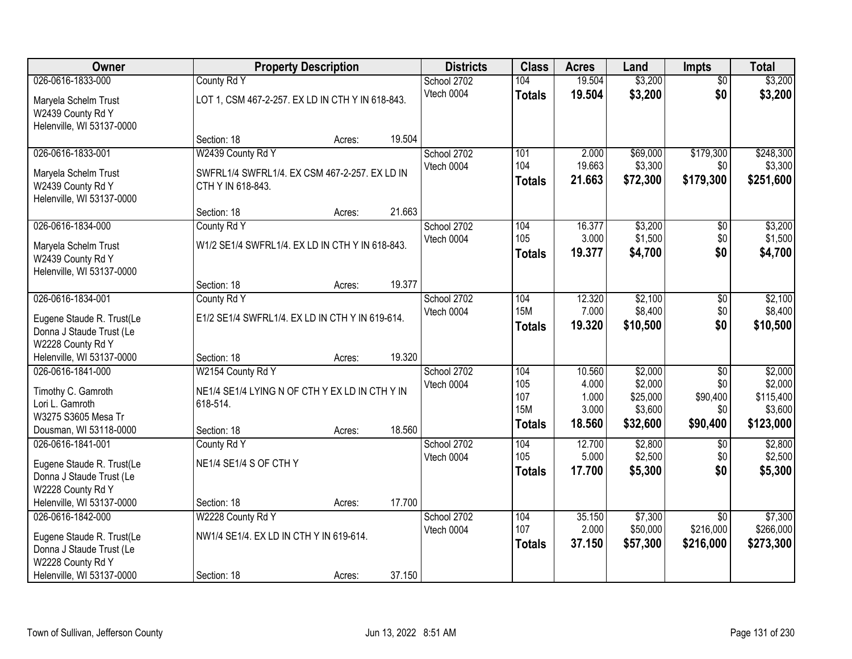| Owner                                                                                                                        | <b>Property Description</b>                                                                    |        |        | <b>Districts</b>          | <b>Class</b>                                     | <b>Acres</b>                                | Land                                                  | <b>Impts</b>                                          | <b>Total</b>                                            |
|------------------------------------------------------------------------------------------------------------------------------|------------------------------------------------------------------------------------------------|--------|--------|---------------------------|--------------------------------------------------|---------------------------------------------|-------------------------------------------------------|-------------------------------------------------------|---------------------------------------------------------|
| 026-0616-1833-000                                                                                                            | County Rd Y                                                                                    |        |        | School 2702               | 104                                              | 19.504                                      | \$3,200                                               | $\overline{50}$                                       | \$3,200                                                 |
| Maryela Schelm Trust<br>W2439 County Rd Y<br>Helenville, WI 53137-0000                                                       | LOT 1, CSM 467-2-257. EX LD IN CTH Y IN 618-843.                                               |        |        | Vtech 0004                | <b>Totals</b>                                    | 19.504                                      | \$3,200                                               | \$0                                                   | \$3,200                                                 |
|                                                                                                                              | Section: 18                                                                                    | Acres: | 19.504 |                           |                                                  |                                             |                                                       |                                                       |                                                         |
| 026-0616-1833-001                                                                                                            | W2439 County Rd Y                                                                              |        |        | School 2702               | 101                                              | 2.000                                       | \$69,000                                              | \$179,300                                             | \$248,300                                               |
| Maryela Schelm Trust<br>W2439 County Rd Y<br>Helenville, WI 53137-0000                                                       | SWFRL1/4 SWFRL1/4. EX CSM 467-2-257. EX LD IN<br>CTH Y IN 618-843.                             |        |        | Vtech 0004                | 104<br><b>Totals</b>                             | 19.663<br>21.663                            | \$3,300<br>\$72,300                                   | \$0<br>\$179,300                                      | \$3,300<br>\$251,600                                    |
|                                                                                                                              | Section: 18                                                                                    | Acres: | 21.663 |                           |                                                  |                                             |                                                       |                                                       |                                                         |
| 026-0616-1834-000<br>Maryela Schelm Trust<br>W2439 County Rd Y<br>Helenville, WI 53137-0000                                  | County Rd Y<br>W1/2 SE1/4 SWFRL1/4. EX LD IN CTH Y IN 618-843.                                 |        |        | School 2702<br>Vtech 0004 | 104<br>105<br><b>Totals</b>                      | 16.377<br>3.000<br>19.377                   | \$3,200<br>\$1,500<br>\$4,700                         | \$0<br>\$0<br>\$0                                     | \$3,200<br>\$1,500<br>\$4,700                           |
|                                                                                                                              | Section: 18                                                                                    | Acres: | 19.377 |                           |                                                  |                                             |                                                       |                                                       |                                                         |
| 026-0616-1834-001<br>Eugene Staude R. Trust(Le<br>Donna J Staude Trust (Le<br>W2228 County Rd Y                              | County Rd Y<br>E1/2 SE1/4 SWFRL1/4. EX LD IN CTH Y IN 619-614.                                 |        |        | School 2702<br>Vtech 0004 | 104<br><b>15M</b><br><b>Totals</b>               | 12.320<br>7.000<br>19.320                   | \$2,100<br>\$8,400<br>\$10,500                        | \$0<br>\$0<br>\$0                                     | \$2,100<br>\$8,400<br>\$10,500                          |
| Helenville, WI 53137-0000                                                                                                    | Section: 18                                                                                    | Acres: | 19.320 |                           |                                                  |                                             |                                                       |                                                       |                                                         |
| 026-0616-1841-000<br>Timothy C. Gamroth<br>Lori L. Gamroth<br>W3275 S3605 Mesa Tr<br>Dousman, WI 53118-0000                  | W2154 County Rd Y<br>NE1/4 SE1/4 LYING N OF CTH Y EX LD IN CTH Y IN<br>618-514.<br>Section: 18 | Acres: | 18.560 | School 2702<br>Vtech 0004 | 104<br>105<br>107<br><b>15M</b><br><b>Totals</b> | 10.560<br>4.000<br>1.000<br>3.000<br>18.560 | \$2,000<br>\$2,000<br>\$25,000<br>\$3,600<br>\$32,600 | $\overline{50}$<br>\$0<br>\$90,400<br>\$0<br>\$90,400 | \$2,000<br>\$2,000<br>\$115,400<br>\$3,600<br>\$123,000 |
| 026-0616-1841-001<br>Eugene Staude R. Trust(Le<br>Donna J Staude Trust (Le<br>W2228 County Rd Y                              | County Rd Y<br>NE1/4 SE1/4 S OF CTH Y                                                          |        |        | School 2702<br>Vtech 0004 | 104<br>105<br><b>Totals</b>                      | 12.700<br>5.000<br>17.700                   | \$2,800<br>\$2,500<br>\$5,300                         | \$0<br>\$0<br>\$0                                     | \$2,800<br>\$2,500<br>\$5,300                           |
| Helenville, WI 53137-0000                                                                                                    | Section: 18                                                                                    | Acres: | 17.700 |                           |                                                  |                                             |                                                       |                                                       |                                                         |
| 026-0616-1842-000<br>Eugene Staude R. Trust(Le<br>Donna J Staude Trust (Le<br>W2228 County Rd Y<br>Helenville, WI 53137-0000 | W2228 County Rd Y<br>NW1/4 SE1/4. EX LD IN CTH Y IN 619-614.<br>Section: 18                    | Acres: | 37.150 | School 2702<br>Vtech 0004 | 104<br>107<br><b>Totals</b>                      | 35.150<br>2.000<br>37.150                   | \$7,300<br>\$50,000<br>\$57,300                       | $\overline{50}$<br>\$216,000<br>\$216,000             | \$7,300<br>\$266,000<br>\$273,300                       |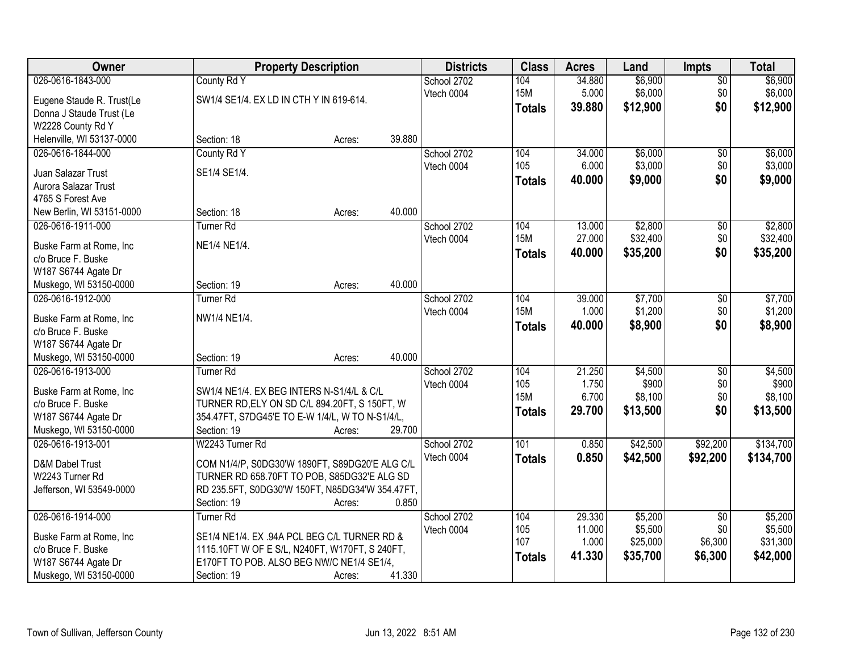| Owner                     |                                                 | <b>Property Description</b> |        | <b>Districts</b> | <b>Class</b>  | <b>Acres</b>    | Land                | <b>Impts</b>    | <b>Total</b>       |
|---------------------------|-------------------------------------------------|-----------------------------|--------|------------------|---------------|-----------------|---------------------|-----------------|--------------------|
| 026-0616-1843-000         | County Rd Y                                     |                             |        | School 2702      | 104           | 34.880          | \$6,900             | $\overline{50}$ | \$6,900            |
| Eugene Staude R. Trust(Le | SW1/4 SE1/4. EX LD IN CTH Y IN 619-614.         |                             |        | Vtech 0004       | <b>15M</b>    | 5.000           | \$6,000             | \$0             | \$6,000            |
| Donna J Staude Trust (Le  |                                                 |                             |        |                  | <b>Totals</b> | 39.880          | \$12,900            | \$0             | \$12,900           |
| W2228 County Rd Y         |                                                 |                             |        |                  |               |                 |                     |                 |                    |
| Helenville, WI 53137-0000 | Section: 18                                     | Acres:                      | 39.880 |                  |               |                 |                     |                 |                    |
| 026-0616-1844-000         | County Rd Y                                     |                             |        | School 2702      | 104           | 34.000          | \$6,000             | \$0             | \$6,000            |
|                           |                                                 |                             |        | Vtech 0004       | 105           | 6.000           | \$3,000             | \$0             | \$3,000            |
| Juan Salazar Trust        | SE1/4 SE1/4.                                    |                             |        |                  | <b>Totals</b> | 40.000          | \$9,000             | \$0             | \$9,000            |
| Aurora Salazar Trust      |                                                 |                             |        |                  |               |                 |                     |                 |                    |
| 4765 S Forest Ave         |                                                 |                             |        |                  |               |                 |                     |                 |                    |
| New Berlin, WI 53151-0000 | Section: 18                                     | Acres:                      | 40.000 |                  |               |                 |                     |                 |                    |
| 026-0616-1911-000         | Turner <sub>Rd</sub>                            |                             |        | School 2702      | 104           | 13.000          | \$2,800             | \$0             | \$2,800            |
| Buske Farm at Rome, Inc   | NE1/4 NE1/4.                                    |                             |        | Vtech 0004       | <b>15M</b>    | 27.000          | \$32,400            | \$0             | \$32,400           |
| c/o Bruce F. Buske        |                                                 |                             |        |                  | <b>Totals</b> | 40.000          | \$35,200            | \$0             | \$35,200           |
| W187 S6744 Agate Dr       |                                                 |                             |        |                  |               |                 |                     |                 |                    |
| Muskego, WI 53150-0000    | Section: 19                                     | Acres:                      | 40.000 |                  |               |                 |                     |                 |                    |
| 026-0616-1912-000         | <b>Turner Rd</b>                                |                             |        | School 2702      | 104           | 39.000          | \$7,700             | \$0             | \$7,700            |
|                           |                                                 |                             |        | Vtech 0004       | <b>15M</b>    | 1.000           | \$1,200             | \$0             | \$1,200            |
| Buske Farm at Rome, Inc.  | NW1/4 NE1/4.                                    |                             |        |                  | <b>Totals</b> | 40.000          | \$8,900             | \$0             | \$8,900            |
| c/o Bruce F. Buske        |                                                 |                             |        |                  |               |                 |                     |                 |                    |
| W187 S6744 Agate Dr       |                                                 |                             |        |                  |               |                 |                     |                 |                    |
| Muskego, WI 53150-0000    | Section: 19                                     | Acres:                      | 40.000 |                  |               |                 |                     |                 |                    |
| 026-0616-1913-000         | <b>Turner Rd</b>                                |                             |        | School 2702      | 104           | 21.250          | \$4,500             | $\overline{30}$ | \$4,500            |
| Buske Farm at Rome, Inc   | SW1/4 NE1/4. EX BEG INTERS N-S1/4/L & C/L       |                             |        | Vtech 0004       | 105           | 1.750           | \$900               | \$0             | \$900              |
| c/o Bruce F. Buske        | TURNER RD, ELY ON SD C/L 894.20FT, S 150FT, W   |                             |        |                  | <b>15M</b>    | 6.700           | \$8,100             | \$0             | \$8,100            |
| W187 S6744 Agate Dr       | 354.47FT, S7DG45'E TO E-W 1/4/L, W TO N-S1/4/L, |                             |        |                  | <b>Totals</b> | 29.700          | \$13,500            | \$0             | \$13,500           |
| Muskego, WI 53150-0000    | Section: 19                                     | Acres:                      | 29.700 |                  |               |                 |                     |                 |                    |
| 026-0616-1913-001         | W2243 Turner Rd                                 |                             |        | School 2702      | 101           | 0.850           | \$42,500            | \$92,200        | \$134,700          |
|                           |                                                 |                             |        | Vtech 0004       | <b>Totals</b> | 0.850           | \$42,500            | \$92,200        | \$134,700          |
| D&M Dabel Trust           | COM N1/4/P, S0DG30'W 1890FT, S89DG20'E ALG C/L  |                             |        |                  |               |                 |                     |                 |                    |
| W2243 Turner Rd           | TURNER RD 658.70FT TO POB, S85DG32'E ALG SD     |                             |        |                  |               |                 |                     |                 |                    |
| Jefferson, WI 53549-0000  | RD 235.5FT, S0DG30'W 150FT, N85DG34'W 354.47FT, |                             | 0.850  |                  |               |                 |                     |                 |                    |
|                           | Section: 19                                     | Acres:                      |        |                  |               |                 |                     |                 |                    |
| 026-0616-1914-000         | <b>Turner Rd</b>                                |                             |        | School 2702      | 104           | 29.330          | \$5,200             | $\overline{30}$ | \$5,200<br>\$5,500 |
| Buske Farm at Rome, Inc   | SE1/4 NE1/4. EX .94A PCL BEG C/L TURNER RD &    |                             |        | Vtech 0004       | 105<br>107    | 11.000<br>1.000 | \$5,500<br>\$25,000 | \$0<br>\$6,300  | \$31,300           |
| c/o Bruce F. Buske        | 1115.10FT W OF E S/L, N240FT, W170FT, S 240FT,  |                             |        |                  |               |                 |                     |                 |                    |
| W187 S6744 Agate Dr       | E170FT TO POB. ALSO BEG NW/C NE1/4 SE1/4,       |                             |        |                  | <b>Totals</b> | 41.330          | \$35,700            | \$6,300         | \$42,000           |
| Muskego, WI 53150-0000    | Section: 19                                     | Acres:                      | 41.330 |                  |               |                 |                     |                 |                    |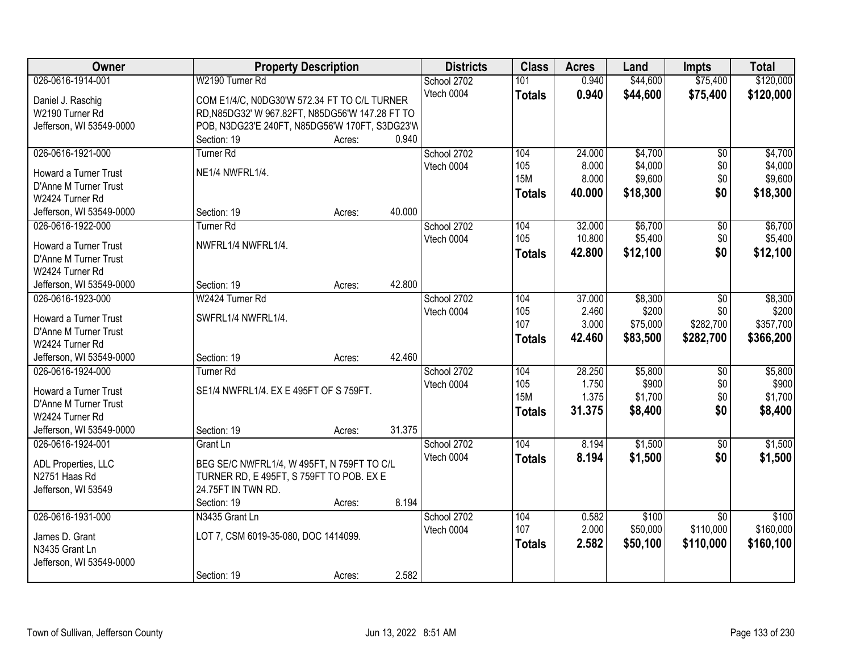| Owner                        | <b>Property Description</b>                     |        |        | <b>Districts</b> | <b>Class</b>  | <b>Acres</b> | Land     | <b>Impts</b>    | <b>Total</b>     |
|------------------------------|-------------------------------------------------|--------|--------|------------------|---------------|--------------|----------|-----------------|------------------|
| 026-0616-1914-001            | W2190 Turner Rd                                 |        |        | School 2702      | 101           | 0.940        | \$44,600 | \$75,400        | \$120,000        |
| Daniel J. Raschig            | COM E1/4/C, N0DG30'W 572.34 FT TO C/L TURNER    |        |        | Vtech 0004       | <b>Totals</b> | 0.940        | \$44,600 | \$75,400        | \$120,000        |
| W2190 Turner Rd              | RD, N85DG32' W 967.82FT, N85DG56'W 147.28 FT TO |        |        |                  |               |              |          |                 |                  |
| Jefferson, WI 53549-0000     | POB, N3DG23'E 240FT, N85DG56'W 170FT, S3DG23'W  |        |        |                  |               |              |          |                 |                  |
|                              | Section: 19                                     | Acres: | 0.940  |                  |               |              |          |                 |                  |
| 026-0616-1921-000            | <b>Turner Rd</b>                                |        |        | School 2702      | 104           | 24.000       | \$4,700  | $\overline{50}$ | \$4,700          |
|                              |                                                 |        |        | Vtech 0004       | 105           | 8.000        | \$4,000  | \$0             | \$4,000          |
| Howard a Turner Trust        | NE1/4 NWFRL1/4.                                 |        |        |                  | <b>15M</b>    | 8.000        | \$9,600  | \$0             | \$9,600          |
| D'Anne M Turner Trust        |                                                 |        |        |                  | <b>Totals</b> | 40.000       | \$18,300 | \$0             | \$18,300         |
| W2424 Turner Rd              |                                                 |        | 40.000 |                  |               |              |          |                 |                  |
| Jefferson, WI 53549-0000     | Section: 19                                     | Acres: |        |                  |               |              |          |                 |                  |
| 026-0616-1922-000            | <b>Turner Rd</b>                                |        |        | School 2702      | 104           | 32.000       | \$6,700  | \$0             | \$6,700          |
| Howard a Turner Trust        | NWFRL1/4 NWFRL1/4.                              |        |        | Vtech 0004       | 105           | 10.800       | \$5,400  | \$0             | \$5,400          |
| D'Anne M Turner Trust        |                                                 |        |        |                  | <b>Totals</b> | 42.800       | \$12,100 | \$0             | \$12,100         |
| W2424 Turner Rd              |                                                 |        |        |                  |               |              |          |                 |                  |
| Jefferson, WI 53549-0000     | Section: 19                                     | Acres: | 42.800 |                  |               |              |          |                 |                  |
| 026-0616-1923-000            | W2424 Turner Rd                                 |        |        | School 2702      | 104           | 37.000       | \$8,300  | \$0             | \$8,300          |
| <b>Howard a Turner Trust</b> | SWFRL1/4 NWFRL1/4.                              |        |        | Vtech 0004       | 105           | 2.460        | \$200    | \$0             | \$200            |
| D'Anne M Turner Trust        |                                                 |        |        |                  | 107           | 3.000        | \$75,000 | \$282,700       | \$357,700        |
| W2424 Turner Rd              |                                                 |        |        |                  | <b>Totals</b> | 42.460       | \$83,500 | \$282,700       | \$366,200        |
| Jefferson, WI 53549-0000     | Section: 19                                     |        | 42.460 |                  |               |              |          |                 |                  |
| 026-0616-1924-000            | <b>Turner Rd</b>                                | Acres: |        |                  | 104           | 28.250       | \$5,800  |                 |                  |
|                              |                                                 |        |        | School 2702      | 105           | 1.750        | \$900    | \$0<br>\$0      | \$5,800<br>\$900 |
| Howard a Turner Trust        | SE1/4 NWFRL1/4. EX E 495FT OF S 759FT.          |        |        | Vtech 0004       | <b>15M</b>    | 1.375        | \$1,700  | \$0             | \$1,700          |
| D'Anne M Turner Trust        |                                                 |        |        |                  |               |              |          |                 |                  |
| W2424 Turner Rd              |                                                 |        |        |                  | <b>Totals</b> | 31.375       | \$8,400  | \$0             | \$8,400          |
| Jefferson, WI 53549-0000     | Section: 19                                     | Acres: | 31.375 |                  |               |              |          |                 |                  |
| 026-0616-1924-001            | Grant Ln                                        |        |        | School 2702      | 104           | 8.194        | \$1,500  | \$0             | \$1,500          |
| ADL Properties, LLC          | BEG SE/C NWFRL1/4, W 495FT, N 759FT TO C/L      |        |        | Vtech 0004       | <b>Totals</b> | 8.194        | \$1,500  | \$0             | \$1,500          |
| N2751 Haas Rd                | TURNER RD, E 495FT, S 759FT TO POB. EX E        |        |        |                  |               |              |          |                 |                  |
| Jefferson, WI 53549          | 24.75FT IN TWN RD.                              |        |        |                  |               |              |          |                 |                  |
|                              | Section: 19                                     | Acres: | 8.194  |                  |               |              |          |                 |                  |
| 026-0616-1931-000            | N3435 Grant Ln                                  |        |        | School 2702      | 104           | 0.582        | \$100    | $\overline{50}$ | \$100            |
|                              |                                                 |        |        | Vtech 0004       | 107           | 2.000        | \$50,000 | \$110,000       | \$160,000        |
| James D. Grant               | LOT 7, CSM 6019-35-080, DOC 1414099.            |        |        |                  | <b>Totals</b> | 2.582        | \$50,100 | \$110,000       | \$160,100        |
| N3435 Grant Ln               |                                                 |        |        |                  |               |              |          |                 |                  |
| Jefferson, WI 53549-0000     |                                                 |        |        |                  |               |              |          |                 |                  |
|                              | Section: 19                                     | Acres: | 2.582  |                  |               |              |          |                 |                  |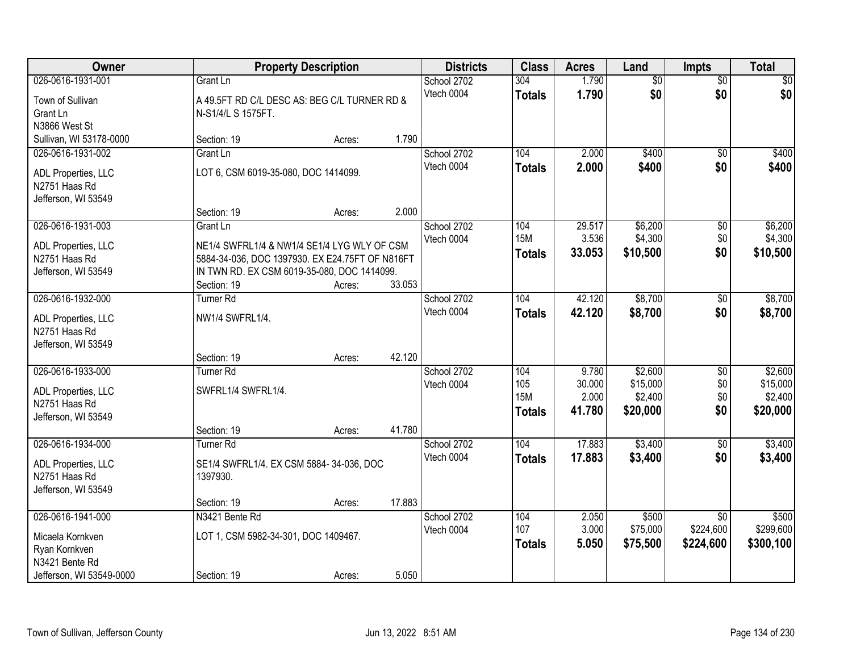| Owner                                |                                                 | <b>Property Description</b> |        | <b>Districts</b> | <b>Class</b>  | <b>Acres</b> | Land            | <b>Impts</b>    | <b>Total</b> |
|--------------------------------------|-------------------------------------------------|-----------------------------|--------|------------------|---------------|--------------|-----------------|-----------------|--------------|
| 026-0616-1931-001                    | Grant Ln                                        |                             |        | School 2702      | 304           | 1.790        | $\overline{50}$ | $\overline{50}$ | $\sqrt{50}$  |
| Town of Sullivan                     | A 49.5FT RD C/L DESC AS: BEG C/L TURNER RD &    |                             |        | Vtech 0004       | <b>Totals</b> | 1.790        | \$0             | \$0             | \$0          |
| Grant Ln                             | N-S1/4/L S 1575FT.                              |                             |        |                  |               |              |                 |                 |              |
| N3866 West St                        |                                                 |                             |        |                  |               |              |                 |                 |              |
| Sullivan, WI 53178-0000              | Section: 19                                     | Acres:                      | 1.790  |                  |               |              |                 |                 |              |
| 026-0616-1931-002                    | Grant Ln                                        |                             |        | School 2702      | 104           | 2.000        | \$400           | $\overline{50}$ | \$400        |
| ADL Properties, LLC                  | LOT 6, CSM 6019-35-080, DOC 1414099.            |                             |        | Vtech 0004       | <b>Totals</b> | 2.000        | \$400           | \$0             | \$400        |
| N2751 Haas Rd                        |                                                 |                             |        |                  |               |              |                 |                 |              |
| Jefferson, WI 53549                  |                                                 |                             |        |                  |               |              |                 |                 |              |
|                                      | Section: 19                                     | Acres:                      | 2.000  |                  |               |              |                 |                 |              |
| 026-0616-1931-003                    | Grant Ln                                        |                             |        | School 2702      | 104           | 29.517       | \$6,200         | \$0             | \$6,200      |
| ADL Properties, LLC                  | NE1/4 SWFRL1/4 & NW1/4 SE1/4 LYG WLY OF CSM     |                             |        | Vtech 0004       | <b>15M</b>    | 3.536        | \$4,300         | \$0             | \$4,300      |
| N2751 Haas Rd                        | 5884-34-036, DOC 1397930. EX E24.75FT OF N816FT |                             |        |                  | <b>Totals</b> | 33.053       | \$10,500        | \$0             | \$10,500     |
| Jefferson, WI 53549                  | IN TWN RD. EX CSM 6019-35-080, DOC 1414099.     |                             |        |                  |               |              |                 |                 |              |
|                                      | Section: 19                                     | Acres:                      | 33.053 |                  |               |              |                 |                 |              |
| 026-0616-1932-000                    | Turner <sub>Rd</sub>                            |                             |        | School 2702      | 104           | 42.120       | \$8,700         | \$0             | \$8,700      |
|                                      |                                                 |                             |        | Vtech 0004       | <b>Totals</b> | 42.120       | \$8,700         | \$0             | \$8,700      |
| ADL Properties, LLC<br>N2751 Haas Rd | NW1/4 SWFRL1/4.                                 |                             |        |                  |               |              |                 |                 |              |
| Jefferson, WI 53549                  |                                                 |                             |        |                  |               |              |                 |                 |              |
|                                      | Section: 19                                     | Acres:                      | 42.120 |                  |               |              |                 |                 |              |
| 026-0616-1933-000                    | <b>Turner Rd</b>                                |                             |        | School 2702      | 104           | 9.780        | \$2,600         | $\overline{30}$ | \$2,600      |
|                                      |                                                 |                             |        | Vtech 0004       | 105           | 30.000       | \$15,000        | \$0             | \$15,000     |
| ADL Properties, LLC<br>N2751 Haas Rd | SWFRL1/4 SWFRL1/4.                              |                             |        |                  | <b>15M</b>    | 2.000        | \$2,400         | \$0             | \$2,400      |
| Jefferson, WI 53549                  |                                                 |                             |        |                  | <b>Totals</b> | 41.780       | \$20,000        | \$0             | \$20,000     |
|                                      | Section: 19                                     | Acres:                      | 41.780 |                  |               |              |                 |                 |              |
| 026-0616-1934-000                    | <b>Turner Rd</b>                                |                             |        | School 2702      | 104           | 17.883       | \$3,400         | $\overline{50}$ | \$3,400      |
|                                      |                                                 |                             |        | Vtech 0004       | <b>Totals</b> | 17.883       | \$3,400         | \$0             | \$3,400      |
| ADL Properties, LLC                  | SE1/4 SWFRL1/4. EX CSM 5884-34-036, DOC         |                             |        |                  |               |              |                 |                 |              |
| N2751 Haas Rd<br>Jefferson, WI 53549 | 1397930.                                        |                             |        |                  |               |              |                 |                 |              |
|                                      | Section: 19                                     | Acres:                      | 17.883 |                  |               |              |                 |                 |              |
| 026-0616-1941-000                    | N3421 Bente Rd                                  |                             |        | School 2702      | 104           | 2.050        | \$500           | $\overline{30}$ | \$500        |
|                                      |                                                 |                             |        | Vtech 0004       | 107           | 3.000        | \$75,000        | \$224,600       | \$299,600    |
| Micaela Kornkven                     | LOT 1, CSM 5982-34-301, DOC 1409467.            |                             |        |                  | <b>Totals</b> | 5.050        | \$75,500        | \$224,600       | \$300,100    |
| Ryan Kornkven                        |                                                 |                             |        |                  |               |              |                 |                 |              |
| N3421 Bente Rd                       |                                                 |                             |        |                  |               |              |                 |                 |              |
| Jefferson, WI 53549-0000             | Section: 19                                     | Acres:                      | 5.050  |                  |               |              |                 |                 |              |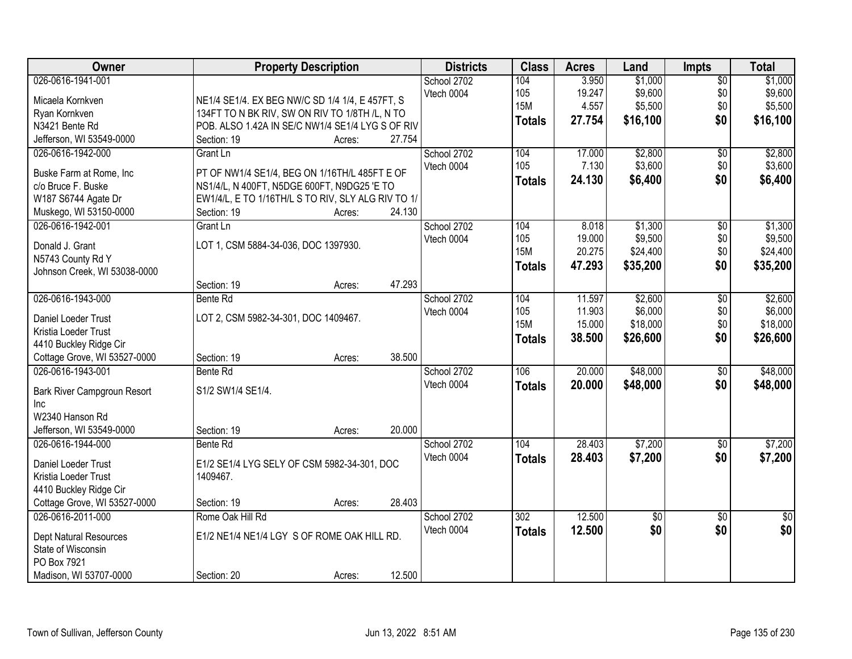| Owner                                       | <b>Property Description</b>                        |        | <b>Districts</b> | <b>Class</b>  | <b>Acres</b> | Land            | <b>Impts</b>    | <b>Total</b>  |
|---------------------------------------------|----------------------------------------------------|--------|------------------|---------------|--------------|-----------------|-----------------|---------------|
| 026-0616-1941-001                           |                                                    |        | School 2702      | 104           | 3.950        | \$1,000         | $\overline{50}$ | \$1,000       |
| Micaela Kornkven                            | NE1/4 SE1/4. EX BEG NW/C SD 1/4 1/4, E 457FT, S    |        | Vtech 0004       | 105           | 19.247       | \$9,600         | \$0             | \$9,600       |
| Ryan Kornkven                               | 134FT TO N BK RIV, SW ON RIV TO 1/8TH /L, N TO     |        |                  | <b>15M</b>    | 4.557        | \$5,500         | \$0             | \$5,500       |
| N3421 Bente Rd                              | POB. ALSO 1.42A IN SE/C NW1/4 SE1/4 LYG S OF RIV   |        |                  | <b>Totals</b> | 27.754       | \$16,100        | \$0             | \$16,100      |
| Jefferson, WI 53549-0000                    | Section: 19<br>Acres:                              | 27.754 |                  |               |              |                 |                 |               |
| 026-0616-1942-000                           | Grant Ln                                           |        | School 2702      | 104           | 17.000       | \$2,800         | \$0             | \$2,800       |
|                                             |                                                    |        | Vtech 0004       | 105           | 7.130        | \$3,600         | \$0             | \$3,600       |
| Buske Farm at Rome, Inc                     | PT OF NW1/4 SE1/4, BEG ON 1/16TH/L 485FT E OF      |        |                  | <b>Totals</b> | 24.130       | \$6,400         | \$0             | \$6,400       |
| c/o Bruce F. Buske                          | NS1/4/L, N 400FT, N5DGE 600FT, N9DG25 'E TO        |        |                  |               |              |                 |                 |               |
| W187 S6744 Agate Dr                         | EW1/4/L, E TO 1/16TH/L S TO RIV, SLY ALG RIV TO 1/ |        |                  |               |              |                 |                 |               |
| Muskego, WI 53150-0000                      | Section: 19<br>Acres:                              | 24.130 |                  |               |              |                 |                 |               |
| 026-0616-1942-001                           | Grant Ln                                           |        | School 2702      | 104           | 8.018        | \$1,300         | $\overline{50}$ | \$1,300       |
| Donald J. Grant                             | LOT 1, CSM 5884-34-036, DOC 1397930.               |        | Vtech 0004       | 105           | 19.000       | \$9,500         | \$0             | \$9,500       |
| N5743 County Rd Y                           |                                                    |        |                  | <b>15M</b>    | 20.275       | \$24,400        | \$0             | \$24,400      |
| Johnson Creek, WI 53038-0000                |                                                    |        |                  | <b>Totals</b> | 47.293       | \$35,200        | \$0             | \$35,200      |
|                                             | Section: 19<br>Acres:                              | 47.293 |                  |               |              |                 |                 |               |
| 026-0616-1943-000                           | Bente Rd                                           |        | School 2702      | 104           | 11.597       | \$2,600         | \$0             | \$2,600       |
|                                             |                                                    |        | Vtech 0004       | 105           | 11.903       | \$6,000         | \$0             | \$6,000       |
| Daniel Loeder Trust<br>Kristia Loeder Trust | LOT 2, CSM 5982-34-301, DOC 1409467.               |        |                  | <b>15M</b>    | 15.000       | \$18,000        | \$0             | \$18,000      |
| 4410 Buckley Ridge Cir                      |                                                    |        |                  | <b>Totals</b> | 38.500       | \$26,600        | \$0             | \$26,600      |
| Cottage Grove, WI 53527-0000                | Section: 19<br>Acres:                              | 38.500 |                  |               |              |                 |                 |               |
| 026-0616-1943-001                           | Bente Rd                                           |        | School 2702      | 106           | 20.000       | \$48,000        | $\overline{50}$ | \$48,000      |
|                                             |                                                    |        | Vtech 0004       |               | 20.000       | \$48,000        | \$0             | \$48,000      |
| Bark River Campgroun Resort                 | S1/2 SW1/4 SE1/4.                                  |        |                  | <b>Totals</b> |              |                 |                 |               |
| Inc                                         |                                                    |        |                  |               |              |                 |                 |               |
| W2340 Hanson Rd                             |                                                    |        |                  |               |              |                 |                 |               |
| Jefferson, WI 53549-0000                    | Section: 19<br>Acres:                              | 20.000 |                  |               |              |                 |                 |               |
| 026-0616-1944-000                           | Bente Rd                                           |        | School 2702      | 104           | 28.403       | \$7,200         | $\sqrt{$0}$     | \$7,200       |
| Daniel Loeder Trust                         | E1/2 SE1/4 LYG SELY OF CSM 5982-34-301, DOC        |        | Vtech 0004       | <b>Totals</b> | 28.403       | \$7,200         | \$0             | \$7,200       |
| Kristia Loeder Trust                        | 1409467.                                           |        |                  |               |              |                 |                 |               |
| 4410 Buckley Ridge Cir                      |                                                    |        |                  |               |              |                 |                 |               |
| Cottage Grove, WI 53527-0000                | Section: 19<br>Acres:                              | 28.403 |                  |               |              |                 |                 |               |
| 026-0616-2011-000                           | Rome Oak Hill Rd                                   |        | School 2702      | 302           | 12.500       | $\overline{50}$ | $\overline{50}$ | $\frac{1}{2}$ |
|                                             |                                                    |        | Vtech 0004       | <b>Totals</b> | 12.500       | \$0             | \$0             | \$0           |
| <b>Dept Natural Resources</b>               | E1/2 NE1/4 NE1/4 LGY S OF ROME OAK HILL RD.        |        |                  |               |              |                 |                 |               |
| State of Wisconsin                          |                                                    |        |                  |               |              |                 |                 |               |
| PO Box 7921                                 |                                                    |        |                  |               |              |                 |                 |               |
| Madison, WI 53707-0000                      | Section: 20<br>Acres:                              | 12.500 |                  |               |              |                 |                 |               |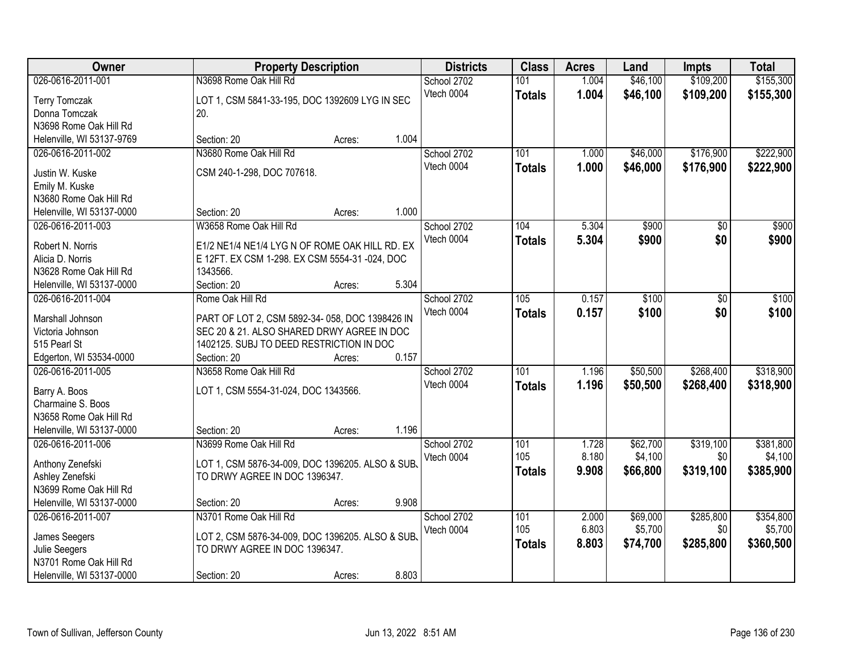| Owner                     | <b>Property Description</b>                      |        |       | <b>Districts</b> | <b>Class</b>  | <b>Acres</b> | Land     | <b>Impts</b> | <b>Total</b> |
|---------------------------|--------------------------------------------------|--------|-------|------------------|---------------|--------------|----------|--------------|--------------|
| 026-0616-2011-001         | N3698 Rome Oak Hill Rd                           |        |       | School 2702      | 101           | 1.004        | \$46,100 | \$109,200    | \$155,300    |
| <b>Terry Tomczak</b>      | LOT 1, CSM 5841-33-195, DOC 1392609 LYG IN SEC   |        |       | Vtech 0004       | <b>Totals</b> | 1.004        | \$46,100 | \$109,200    | \$155,300    |
| Donna Tomczak             | 20.                                              |        |       |                  |               |              |          |              |              |
| N3698 Rome Oak Hill Rd    |                                                  |        |       |                  |               |              |          |              |              |
| Helenville, WI 53137-9769 | Section: 20                                      | Acres: | 1.004 |                  |               |              |          |              |              |
| 026-0616-2011-002         | N3680 Rome Oak Hill Rd                           |        |       | School 2702      | 101           | 1.000        | \$46,000 | \$176,900    | \$222,900    |
|                           |                                                  |        |       | Vtech 0004       | <b>Totals</b> | 1.000        | \$46,000 | \$176,900    | \$222,900    |
| Justin W. Kuske           | CSM 240-1-298, DOC 707618.                       |        |       |                  |               |              |          |              |              |
| Emily M. Kuske            |                                                  |        |       |                  |               |              |          |              |              |
| N3680 Rome Oak Hill Rd    |                                                  |        |       |                  |               |              |          |              |              |
| Helenville, WI 53137-0000 | Section: 20                                      | Acres: | 1.000 |                  |               |              |          |              |              |
| 026-0616-2011-003         | W3658 Rome Oak Hill Rd                           |        |       | School 2702      | 104           | 5.304        | \$900    | \$0          | \$900        |
| Robert N. Norris          | E1/2 NE1/4 NE1/4 LYG N OF ROME OAK HILL RD. EX   |        |       | Vtech 0004       | <b>Totals</b> | 5.304        | \$900    | \$0          | \$900        |
| Alicia D. Norris          | E 12FT. EX CSM 1-298. EX CSM 5554-31 -024, DOC   |        |       |                  |               |              |          |              |              |
| N3628 Rome Oak Hill Rd    | 1343566.                                         |        |       |                  |               |              |          |              |              |
| Helenville, WI 53137-0000 | Section: 20                                      | Acres: | 5.304 |                  |               |              |          |              |              |
| 026-0616-2011-004         | Rome Oak Hill Rd                                 |        |       | School 2702      | 105           | 0.157        | \$100    | $\sqrt{6}$   | \$100        |
|                           |                                                  |        |       | Vtech 0004       | <b>Totals</b> | 0.157        | \$100    | \$0          | \$100        |
| Marshall Johnson          | PART OF LOT 2, CSM 5892-34-058, DOC 1398426 IN   |        |       |                  |               |              |          |              |              |
| Victoria Johnson          | SEC 20 & 21. ALSO SHARED DRWY AGREE IN DOC       |        |       |                  |               |              |          |              |              |
| 515 Pearl St              | 1402125. SUBJ TO DEED RESTRICTION IN DOC         |        |       |                  |               |              |          |              |              |
| Edgerton, WI 53534-0000   | Section: 20                                      | Acres: | 0.157 |                  |               |              |          |              |              |
| 026-0616-2011-005         | N3658 Rome Oak Hill Rd                           |        |       | School 2702      | 101           | 1.196        | \$50,500 | \$268,400    | \$318,900    |
| Barry A. Boos             | LOT 1, CSM 5554-31-024, DOC 1343566.             |        |       | Vtech 0004       | <b>Totals</b> | 1.196        | \$50,500 | \$268,400    | \$318,900    |
| Charmaine S. Boos         |                                                  |        |       |                  |               |              |          |              |              |
| N3658 Rome Oak Hill Rd    |                                                  |        |       |                  |               |              |          |              |              |
| Helenville, WI 53137-0000 | Section: 20                                      | Acres: | 1.196 |                  |               |              |          |              |              |
| 026-0616-2011-006         | N3699 Rome Oak Hill Rd                           |        |       | School 2702      | 101           | 1.728        | \$62,700 | \$319,100    | \$381,800    |
|                           |                                                  |        |       | Vtech 0004       | 105           | 8.180        | \$4,100  | \$0          | \$4,100      |
| Anthony Zenefski          | LOT 1, CSM 5876-34-009, DOC 1396205. ALSO & SUB. |        |       |                  | <b>Totals</b> | 9.908        | \$66,800 | \$319,100    | \$385,900    |
| Ashley Zenefski           | TO DRWY AGREE IN DOC 1396347.                    |        |       |                  |               |              |          |              |              |
| N3699 Rome Oak Hill Rd    |                                                  |        |       |                  |               |              |          |              |              |
| Helenville, WI 53137-0000 | Section: 20                                      | Acres: | 9.908 |                  |               |              |          |              |              |
| 026-0616-2011-007         | N3701 Rome Oak Hill Rd                           |        |       | School 2702      | 101           | 2.000        | \$69,000 | \$285,800    | \$354,800    |
| James Seegers             | LOT 2, CSM 5876-34-009, DOC 1396205. ALSO & SUB. |        |       | Vtech 0004       | 105           | 6.803        | \$5,700  | \$0          | \$5,700      |
| Julie Seegers             | TO DRWY AGREE IN DOC 1396347.                    |        |       |                  | <b>Totals</b> | 8.803        | \$74,700 | \$285,800    | \$360,500    |
| N3701 Rome Oak Hill Rd    |                                                  |        |       |                  |               |              |          |              |              |
| Helenville, WI 53137-0000 | Section: 20                                      | Acres: | 8.803 |                  |               |              |          |              |              |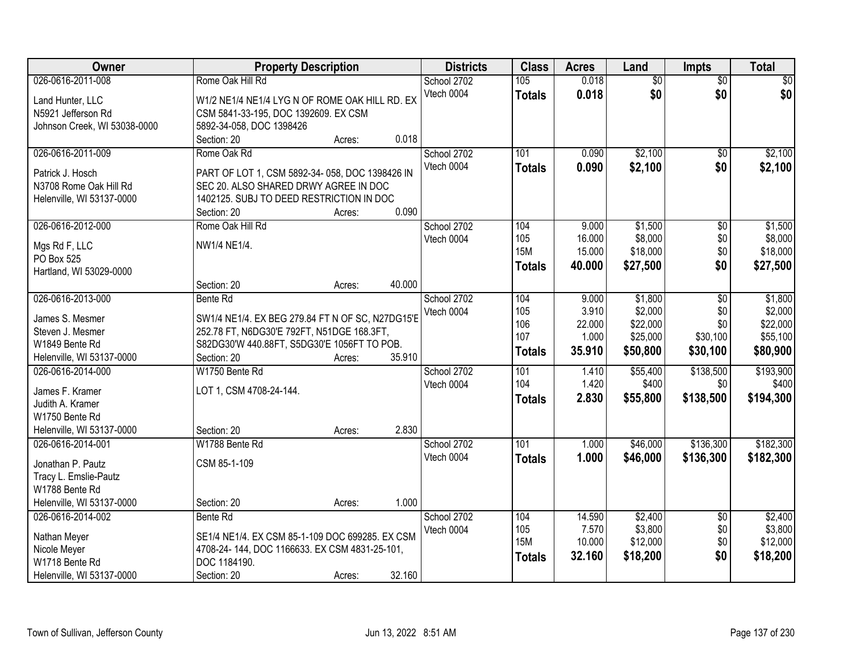| Owner                                 | <b>Property Description</b>                      |        |        | <b>Districts</b> | <b>Class</b>  | <b>Acres</b> | Land            | <b>Impts</b>    | <b>Total</b> |
|---------------------------------------|--------------------------------------------------|--------|--------|------------------|---------------|--------------|-----------------|-----------------|--------------|
| 026-0616-2011-008                     | Rome Oak Hill Rd                                 |        |        | School 2702      | 105           | 0.018        | $\overline{50}$ | $\overline{30}$ | $\sqrt{50}$  |
| Land Hunter, LLC                      | W1/2 NE1/4 NE1/4 LYG N OF ROME OAK HILL RD. EX   |        |        | Vtech 0004       | <b>Totals</b> | 0.018        | \$0             | \$0             | \$0          |
| N5921 Jefferson Rd                    | CSM 5841-33-195, DOC 1392609. EX CSM             |        |        |                  |               |              |                 |                 |              |
| Johnson Creek, WI 53038-0000          | 5892-34-058, DOC 1398426                         |        |        |                  |               |              |                 |                 |              |
|                                       | Section: 20                                      | Acres: | 0.018  |                  |               |              |                 |                 |              |
| 026-0616-2011-009                     | Rome Oak Rd                                      |        |        | School 2702      | 101           | 0.090        | \$2,100         | \$0             | \$2,100      |
| Patrick J. Hosch                      | PART OF LOT 1, CSM 5892-34-058, DOC 1398426 IN   |        |        | Vtech 0004       | <b>Totals</b> | 0.090        | \$2,100         | \$0             | \$2,100      |
| N3708 Rome Oak Hill Rd                | SEC 20. ALSO SHARED DRWY AGREE IN DOC            |        |        |                  |               |              |                 |                 |              |
| Helenville, WI 53137-0000             | 1402125. SUBJ TO DEED RESTRICTION IN DOC         |        |        |                  |               |              |                 |                 |              |
|                                       | Section: 20                                      | Acres: | 0.090  |                  |               |              |                 |                 |              |
| 026-0616-2012-000                     | Rome Oak Hill Rd                                 |        |        | School 2702      | 104           | 9.000        | \$1,500         | $\overline{50}$ | \$1,500      |
|                                       |                                                  |        |        | Vtech 0004       | 105           | 16.000       | \$8,000         | \$0             | \$8,000      |
| Mgs Rd F, LLC                         | NW1/4 NE1/4.                                     |        |        |                  | <b>15M</b>    | 15.000       | \$18,000        | \$0             | \$18,000     |
| PO Box 525<br>Hartland, WI 53029-0000 |                                                  |        |        |                  | <b>Totals</b> | 40.000       | \$27,500        | \$0             | \$27,500     |
|                                       | Section: 20                                      | Acres: | 40.000 |                  |               |              |                 |                 |              |
| 026-0616-2013-000                     | Bente Rd                                         |        |        | School 2702      | 104           | 9.000        | \$1,800         | $\overline{50}$ | \$1,800      |
|                                       |                                                  |        |        | Vtech 0004       | 105           | 3.910        | \$2,000         | \$0             | \$2,000      |
| James S. Mesmer                       | SW1/4 NE1/4. EX BEG 279.84 FT N OF SC, N27DG15'E |        |        |                  | 106           | 22.000       | \$22,000        | \$0             | \$22,000     |
| Steven J. Mesmer                      | 252.78 FT, N6DG30'E 792FT, N51DGE 168.3FT,       |        |        |                  | 107           | 1.000        | \$25,000        | \$30,100        | \$55,100     |
| W1849 Bente Rd                        | S82DG30'W 440.88FT, S5DG30'E 1056FT TO POB.      |        |        |                  | Totals        | 35.910       | \$50,800        | \$30,100        | \$80,900     |
| Helenville, WI 53137-0000             | Section: 20                                      | Acres: | 35.910 |                  |               |              |                 |                 |              |
| 026-0616-2014-000                     | W1750 Bente Rd                                   |        |        | School 2702      | 101           | 1.410        | \$55,400        | \$138,500       | \$193,900    |
| James F. Kramer                       | LOT 1, CSM 4708-24-144.                          |        |        | Vtech 0004       | 104           | 1.420        | \$400           | \$0             | \$400        |
| Judith A. Kramer                      |                                                  |        |        |                  | <b>Totals</b> | 2.830        | \$55,800        | \$138,500       | \$194,300    |
| W1750 Bente Rd                        |                                                  |        |        |                  |               |              |                 |                 |              |
| Helenville, WI 53137-0000             | Section: 20                                      | Acres: | 2.830  |                  |               |              |                 |                 |              |
| 026-0616-2014-001                     | W1788 Bente Rd                                   |        |        | School 2702      | 101           | 1.000        | \$46,000        | \$136,300       | \$182,300    |
| Jonathan P. Pautz                     | CSM 85-1-109                                     |        |        | Vtech 0004       | <b>Totals</b> | 1.000        | \$46,000        | \$136,300       | \$182,300    |
| Tracy L. Emslie-Pautz                 |                                                  |        |        |                  |               |              |                 |                 |              |
| W1788 Bente Rd                        |                                                  |        |        |                  |               |              |                 |                 |              |
| Helenville, WI 53137-0000             | Section: 20                                      | Acres: | 1.000  |                  |               |              |                 |                 |              |
| 026-0616-2014-002                     | Bente Rd                                         |        |        | School 2702      | 104           | 14.590       | \$2,400         | $\overline{50}$ | \$2,400      |
| Nathan Meyer                          | SE1/4 NE1/4. EX CSM 85-1-109 DOC 699285. EX CSM  |        |        | Vtech 0004       | 105           | 7.570        | \$3,800         | \$0             | \$3,800      |
| Nicole Meyer                          | 4708-24-144, DOC 1166633. EX CSM 4831-25-101,    |        |        |                  | <b>15M</b>    | 10.000       | \$12,000        | \$0             | \$12,000     |
| W1718 Bente Rd                        | DOC 1184190.                                     |        |        |                  | <b>Totals</b> | 32.160       | \$18,200        | \$0             | \$18,200     |
| Helenville, WI 53137-0000             | Section: 20                                      | Acres: | 32.160 |                  |               |              |                 |                 |              |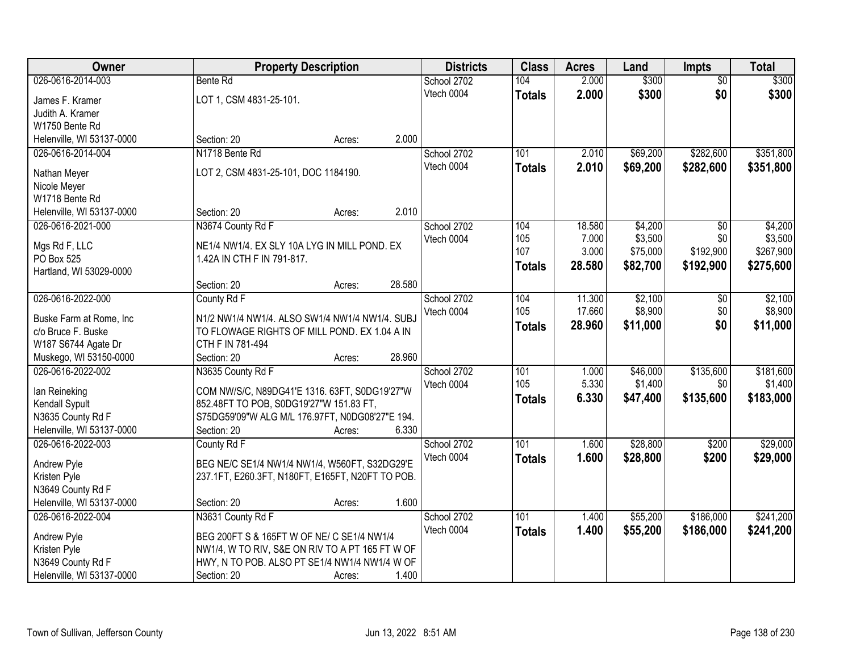| Owner                             |                                                                                                  | <b>Property Description</b> | <b>Districts</b> | <b>Class</b>  | <b>Acres</b> | Land     | <b>Impts</b>    | <b>Total</b> |
|-----------------------------------|--------------------------------------------------------------------------------------------------|-----------------------------|------------------|---------------|--------------|----------|-----------------|--------------|
| 026-0616-2014-003                 | Bente Rd                                                                                         |                             | School 2702      | 104           | 2.000        | \$300    | $\overline{50}$ | \$300        |
| James F. Kramer                   | LOT 1, CSM 4831-25-101.                                                                          |                             | Vtech 0004       | <b>Totals</b> | 2.000        | \$300    | \$0             | \$300        |
| Judith A. Kramer                  |                                                                                                  |                             |                  |               |              |          |                 |              |
| W1750 Bente Rd                    |                                                                                                  |                             |                  |               |              |          |                 |              |
| Helenville, WI 53137-0000         | Section: 20                                                                                      | Acres:                      | 2.000            |               |              |          |                 |              |
| 026-0616-2014-004                 | N1718 Bente Rd                                                                                   |                             | School 2702      | 101           | 2.010        | \$69,200 | \$282,600       | \$351,800    |
| Nathan Meyer                      | LOT 2, CSM 4831-25-101, DOC 1184190.                                                             |                             | Vtech 0004       | <b>Totals</b> | 2.010        | \$69,200 | \$282,600       | \$351,800    |
| Nicole Meyer                      |                                                                                                  |                             |                  |               |              |          |                 |              |
| W1718 Bente Rd                    |                                                                                                  |                             |                  |               |              |          |                 |              |
| Helenville, WI 53137-0000         | Section: 20                                                                                      | Acres:                      | 2.010            |               |              |          |                 |              |
| 026-0616-2021-000                 | N3674 County Rd F                                                                                |                             | School 2702      | 104           | 18.580       | \$4,200  | \$0             | \$4,200      |
|                                   |                                                                                                  |                             | Vtech 0004       | 105           | 7.000        | \$3,500  | \$0             | \$3,500      |
| Mgs Rd F, LLC                     | NE1/4 NW1/4. EX SLY 10A LYG IN MILL POND. EX                                                     |                             |                  | 107           | 3.000        | \$75,000 | \$192,900       | \$267,900    |
| PO Box 525                        | 1.42A IN CTH F IN 791-817.                                                                       |                             |                  | <b>Totals</b> | 28.580       | \$82,700 | \$192,900       | \$275,600    |
| Hartland, WI 53029-0000           |                                                                                                  | 28.580                      |                  |               |              |          |                 |              |
| 026-0616-2022-000                 | Section: 20<br>County Rd F                                                                       | Acres:                      | School 2702      | 104           | 11.300       | \$2,100  | $\sqrt[6]{3}$   | \$2,100      |
|                                   |                                                                                                  |                             | Vtech 0004       | 105           | 17.660       | \$8,900  | \$0             | \$8,900      |
| Buske Farm at Rome, Inc           | N1/2 NW1/4 NW1/4. ALSO SW1/4 NW1/4 NW1/4. SUBJ                                                   |                             |                  | <b>Totals</b> | 28.960       | \$11,000 | \$0             | \$11,000     |
| c/o Bruce F. Buske                | TO FLOWAGE RIGHTS OF MILL POND. EX 1.04 A IN                                                     |                             |                  |               |              |          |                 |              |
| W187 S6744 Agate Dr               | CTH F IN 781-494                                                                                 |                             |                  |               |              |          |                 |              |
| Muskego, WI 53150-0000            | Section: 20                                                                                      | 28.960<br>Acres:            |                  |               |              |          |                 |              |
| 026-0616-2022-002                 | N3635 County Rd F                                                                                |                             | School 2702      | 101           | 1.000        | \$46,000 | \$135,600       | \$181,600    |
| lan Reineking                     | COM NW/S/C, N89DG41'E 1316. 63FT, S0DG19'27"W                                                    |                             | Vtech 0004       | 105           | 5.330        | \$1,400  | \$0             | \$1,400      |
| Kendall Sypult                    | 852.48FT TO POB, S0DG19'27"W 151.83 FT,                                                          |                             |                  | <b>Totals</b> | 6.330        | \$47,400 | \$135,600       | \$183,000    |
| N3635 County Rd F                 | S75DG59'09"W ALG M/L 176.97FT, N0DG08'27"E 194.                                                  |                             |                  |               |              |          |                 |              |
| Helenville, WI 53137-0000         | Section: 20                                                                                      | Acres:                      | 6.330            |               |              |          |                 |              |
| 026-0616-2022-003                 | County Rd F                                                                                      |                             | School 2702      | 101           | 1.600        | \$28,800 | \$200           | \$29,000     |
| Andrew Pyle                       | BEG NE/C SE1/4 NW1/4 NW1/4, W560FT, S32DG29'E                                                    |                             | Vtech 0004       | <b>Totals</b> | 1.600        | \$28,800 | \$200           | \$29,000     |
| Kristen Pyle                      | 237.1FT, E260.3FT, N180FT, E165FT, N20FT TO POB.                                                 |                             |                  |               |              |          |                 |              |
| N3649 County Rd F                 |                                                                                                  |                             |                  |               |              |          |                 |              |
| Helenville, WI 53137-0000         | Section: 20                                                                                      | Acres:                      | 1.600            |               |              |          |                 |              |
| 026-0616-2022-004                 | N3631 County Rd F                                                                                |                             | School 2702      | 101           | 1.400        | \$55,200 | \$186,000       | \$241,200    |
|                                   |                                                                                                  |                             | Vtech 0004       | <b>Totals</b> | 1.400        | \$55,200 | \$186,000       | \$241,200    |
| Andrew Pyle                       | BEG 200FT S & 165FT W OF NE/ C SE1/4 NW1/4                                                       |                             |                  |               |              |          |                 |              |
| Kristen Pyle<br>N3649 County Rd F | NW1/4, W TO RIV, S&E ON RIV TO A PT 165 FT W OF<br>HWY, N TO POB. ALSO PT SE1/4 NW1/4 NW1/4 W OF |                             |                  |               |              |          |                 |              |
| Helenville, WI 53137-0000         | Section: 20                                                                                      | Acres:                      | 1.400            |               |              |          |                 |              |
|                                   |                                                                                                  |                             |                  |               |              |          |                 |              |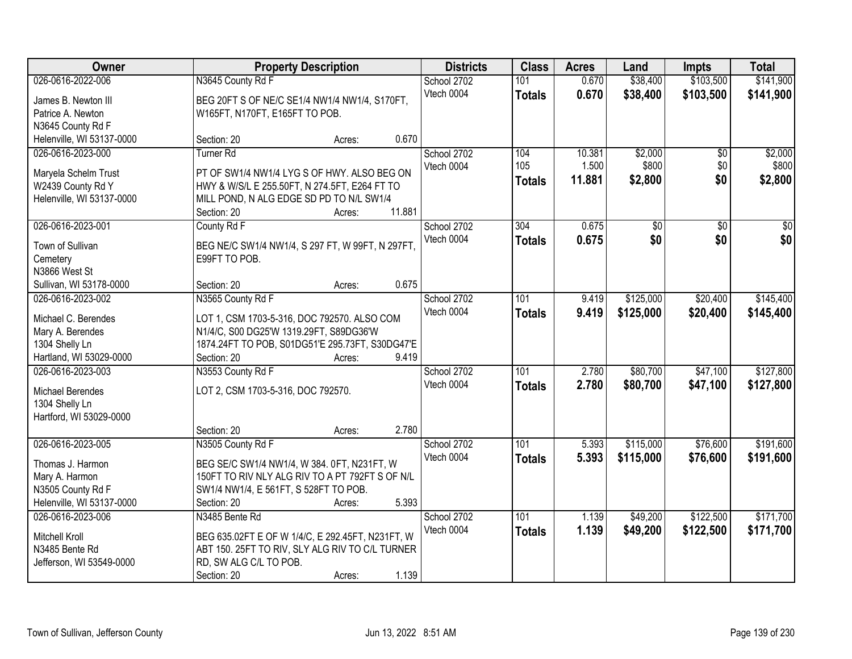| Owner                               | <b>Property Description</b>                          |        | <b>Districts</b> | <b>Class</b> | <b>Acres</b>  | Land   | <b>Impts</b> | <b>Total</b>    |           |
|-------------------------------------|------------------------------------------------------|--------|------------------|--------------|---------------|--------|--------------|-----------------|-----------|
| 026-0616-2022-006                   | N3645 County Rd F                                    |        |                  | School 2702  | 101           | 0.670  | \$38,400     | \$103,500       | \$141,900 |
| James B. Newton III                 | BEG 20FT S OF NE/C SE1/4 NW1/4 NW1/4, S170FT,        |        |                  | Vtech 0004   | <b>Totals</b> | 0.670  | \$38,400     | \$103,500       | \$141,900 |
| Patrice A. Newton                   | W165FT, N170FT, E165FT TO POB.                       |        |                  |              |               |        |              |                 |           |
| N3645 County Rd F                   |                                                      |        |                  |              |               |        |              |                 |           |
| Helenville, WI 53137-0000           | Section: 20                                          | Acres: | 0.670            |              |               |        |              |                 |           |
| 026-0616-2023-000                   | Turner <sub>Rd</sub>                                 |        |                  | School 2702  | 104           | 10.381 | \$2,000      | $\overline{50}$ | \$2,000   |
|                                     |                                                      |        |                  | Vtech 0004   | 105           | 1.500  | \$800        | \$0             | \$800     |
| Maryela Schelm Trust                | PT OF SW1/4 NW1/4 LYG S OF HWY. ALSO BEG ON          |        |                  |              | <b>Totals</b> | 11.881 | \$2,800      | \$0             | \$2,800   |
| W2439 County Rd Y                   | HWY & W/S/L E 255.50FT, N 274.5FT, E264 FT TO        |        |                  |              |               |        |              |                 |           |
| Helenville, WI 53137-0000           | MILL POND, N ALG EDGE SD PD TO N/L SW1/4             |        |                  |              |               |        |              |                 |           |
|                                     | Section: 20                                          | Acres: | 11.881           |              |               |        |              |                 |           |
| 026-0616-2023-001                   | County Rd F                                          |        |                  | School 2702  | 304           | 0.675  | \$0          | \$0             | \$0       |
| Town of Sullivan                    | BEG NE/C SW1/4 NW1/4, S 297 FT, W 99FT, N 297FT,     |        |                  | Vtech 0004   | <b>Totals</b> | 0.675  | \$0          | \$0             | \$0       |
| Cemetery                            | E99FT TO POB.                                        |        |                  |              |               |        |              |                 |           |
| N3866 West St                       |                                                      |        |                  |              |               |        |              |                 |           |
| Sullivan, WI 53178-0000             | Section: 20                                          | Acres: | 0.675            |              |               |        |              |                 |           |
| 026-0616-2023-002                   | N3565 County Rd F                                    |        |                  | School 2702  | 101           | 9.419  | \$125,000    | \$20,400        | \$145,400 |
|                                     |                                                      |        |                  | Vtech 0004   | <b>Totals</b> | 9.419  | \$125,000    | \$20,400        | \$145,400 |
| Michael C. Berendes                 | LOT 1, CSM 1703-5-316, DOC 792570. ALSO COM          |        |                  |              |               |        |              |                 |           |
| Mary A. Berendes                    | N1/4/C, S00 DG25'W 1319.29FT, S89DG36'W              |        |                  |              |               |        |              |                 |           |
| 1304 Shelly Ln                      | 1874.24FT TO POB, S01DG51'E 295.73FT, S30DG47'E      |        |                  |              |               |        |              |                 |           |
| Hartland, WI 53029-0000             | Section: 20                                          | Acres: | 9.419            |              |               |        |              |                 |           |
| 026-0616-2023-003                   | N3553 County Rd F                                    |        |                  | School 2702  | 101           | 2.780  | \$80,700     | \$47,100        | \$127,800 |
| Michael Berendes                    | LOT 2, CSM 1703-5-316, DOC 792570.                   |        |                  | Vtech 0004   | <b>Totals</b> | 2.780  | \$80,700     | \$47,100        | \$127,800 |
| 1304 Shelly Ln                      |                                                      |        |                  |              |               |        |              |                 |           |
| Hartford, WI 53029-0000             |                                                      |        |                  |              |               |        |              |                 |           |
|                                     | Section: 20                                          | Acres: | 2.780            |              |               |        |              |                 |           |
| 026-0616-2023-005                   | N3505 County Rd F                                    |        |                  | School 2702  | 101           | 5.393  | \$115,000    | \$76,600        | \$191,600 |
|                                     |                                                      |        |                  | Vtech 0004   | <b>Totals</b> | 5.393  | \$115,000    | \$76,600        | \$191,600 |
| Thomas J. Harmon                    | BEG SE/C SW1/4 NW1/4, W 384. 0FT, N231FT, W          |        |                  |              |               |        |              |                 |           |
| Mary A. Harmon<br>N3505 County Rd F | 150FT TO RIV NLY ALG RIV TO A PT 792FT S OF N/L      |        |                  |              |               |        |              |                 |           |
| Helenville, WI 53137-0000           | SW1/4 NW1/4, E 561FT, S 528FT TO POB.<br>Section: 20 |        | 5.393            |              |               |        |              |                 |           |
| 026-0616-2023-006                   | N3485 Bente Rd                                       | Acres: |                  | School 2702  | 101           | 1.139  | \$49,200     | \$122,500       | \$171,700 |
|                                     |                                                      |        |                  | Vtech 0004   |               |        |              |                 |           |
| Mitchell Kroll                      | BEG 635.02FT E OF W 1/4/C, E 292.45FT, N231FT, W     |        |                  |              | <b>Totals</b> | 1.139  | \$49,200     | \$122,500       | \$171,700 |
| N3485 Bente Rd                      | ABT 150. 25FT TO RIV, SLY ALG RIV TO C/L TURNER      |        |                  |              |               |        |              |                 |           |
| Jefferson, WI 53549-0000            | RD, SW ALG C/L TO POB.                               |        |                  |              |               |        |              |                 |           |
|                                     | Section: 20                                          | Acres: | 1.139            |              |               |        |              |                 |           |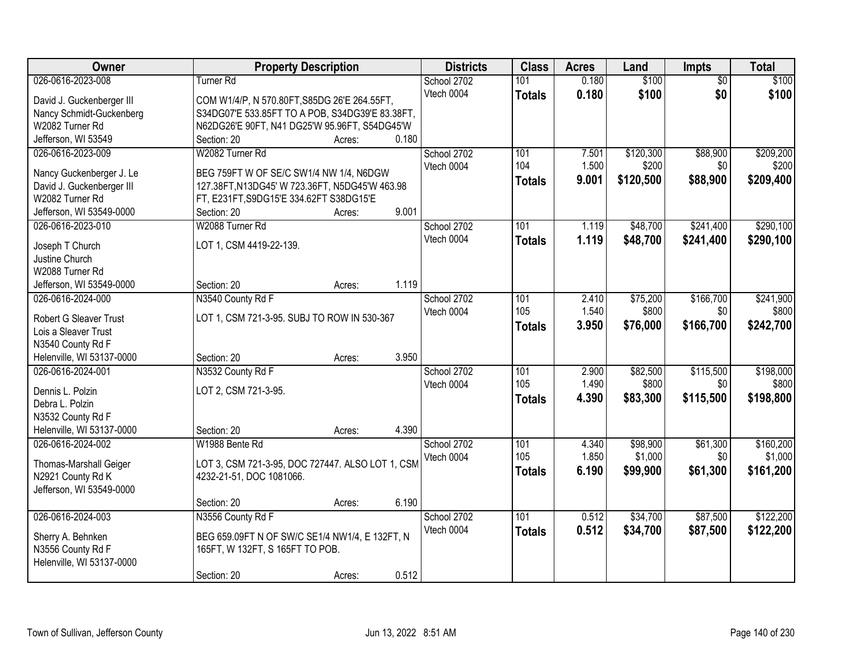| Owner                     | <b>Property Description</b>                      | <b>Districts</b> | <b>Class</b>  | <b>Acres</b> | Land      | Impts           | <b>Total</b> |
|---------------------------|--------------------------------------------------|------------------|---------------|--------------|-----------|-----------------|--------------|
| 026-0616-2023-008         | <b>Turner Rd</b>                                 | School 2702      | 101           | 0.180        | \$100     | $\overline{50}$ | \$100        |
| David J. Guckenberger III | COM W1/4/P, N 570.80FT, S85DG 26'E 264.55FT,     | Vtech 0004       | <b>Totals</b> | 0.180        | \$100     | \$0             | \$100        |
| Nancy Schmidt-Guckenberg  | S34DG07'E 533.85FT TO A POB, S34DG39'E 83.38FT,  |                  |               |              |           |                 |              |
| W2082 Turner Rd           | N62DG26'E 90FT, N41 DG25'W 95.96FT, S54DG45'W    |                  |               |              |           |                 |              |
| Jefferson, WI 53549       | 0.180<br>Section: 20<br>Acres:                   |                  |               |              |           |                 |              |
| 026-0616-2023-009         | W2082 Turner Rd                                  | School 2702      | 101           | 7.501        | \$120,300 | \$88,900        | \$209,200    |
|                           |                                                  | Vtech 0004       | 104           | 1.500        | \$200     | \$0             | \$200        |
| Nancy Guckenberger J. Le  | BEG 759FT W OF SE/C SW1/4 NW 1/4, N6DGW          |                  | <b>Totals</b> | 9.001        | \$120,500 | \$88,900        | \$209,400    |
| David J. Guckenberger III | 127.38FT, N13DG45' W 723.36FT, N5DG45'W 463.98   |                  |               |              |           |                 |              |
| W2082 Turner Rd           | FT, E231FT, S9DG15'E 334.62FT S38DG15'E          |                  |               |              |           |                 |              |
| Jefferson, WI 53549-0000  | 9.001<br>Section: 20<br>Acres:                   |                  |               |              |           |                 |              |
| 026-0616-2023-010         | W2088 Turner Rd                                  | School 2702      | 101           | 1.119        | \$48,700  | \$241,400       | \$290,100    |
| Joseph T Church           | LOT 1, CSM 4419-22-139.                          | Vtech 0004       | <b>Totals</b> | 1.119        | \$48,700  | \$241,400       | \$290,100    |
| Justine Church            |                                                  |                  |               |              |           |                 |              |
| W2088 Turner Rd           |                                                  |                  |               |              |           |                 |              |
| Jefferson, WI 53549-0000  | 1.119<br>Section: 20<br>Acres:                   |                  |               |              |           |                 |              |
| 026-0616-2024-000         |                                                  |                  | 101           | 2.410        |           | \$166,700       | \$241,900    |
|                           | N3540 County Rd F                                | School 2702      |               |              | \$75,200  |                 |              |
| Robert G Sleaver Trust    | LOT 1, CSM 721-3-95. SUBJ TO ROW IN 530-367      | Vtech 0004       | 105           | 1.540        | \$800     | \$0             | \$800        |
| Lois a Sleaver Trust      |                                                  |                  | <b>Totals</b> | 3.950        | \$76,000  | \$166,700       | \$242,700    |
| N3540 County Rd F         |                                                  |                  |               |              |           |                 |              |
| Helenville, WI 53137-0000 | 3.950<br>Section: 20<br>Acres:                   |                  |               |              |           |                 |              |
| 026-0616-2024-001         | N3532 County Rd F                                | School 2702      | 101           | 2.900        | \$82,500  | \$115,500       | \$198,000    |
|                           |                                                  | Vtech 0004       | 105           | 1.490        | \$800     | \$0             | \$800        |
| Dennis L. Polzin          | LOT 2, CSM 721-3-95.                             |                  | <b>Totals</b> | 4.390        | \$83,300  | \$115,500       | \$198,800    |
| Debra L. Polzin           |                                                  |                  |               |              |           |                 |              |
| N3532 County Rd F         |                                                  |                  |               |              |           |                 |              |
| Helenville, WI 53137-0000 | 4.390<br>Section: 20<br>Acres:                   |                  |               |              |           |                 |              |
| 026-0616-2024-002         | W1988 Bente Rd                                   | School 2702      | 101           | 4.340        | \$98,900  | \$61,300        | \$160,200    |
| Thomas-Marshall Geiger    | LOT 3, CSM 721-3-95, DOC 727447. ALSO LOT 1, CSM | Vtech 0004       | 105           | 1.850        | \$1,000   | \$0             | \$1,000      |
| N2921 County Rd K         | 4232-21-51, DOC 1081066.                         |                  | <b>Totals</b> | 6.190        | \$99,900  | \$61,300        | \$161,200    |
| Jefferson, WI 53549-0000  |                                                  |                  |               |              |           |                 |              |
|                           | 6.190<br>Section: 20<br>Acres:                   |                  |               |              |           |                 |              |
| 026-0616-2024-003         | N3556 County Rd F                                | School 2702      | 101           | 0.512        | \$34,700  | \$87,500        | \$122,200    |
|                           |                                                  | Vtech 0004       |               |              |           |                 |              |
| Sherry A. Behnken         | BEG 659.09FT N OF SW/C SE1/4 NW1/4, E 132FT, N   |                  | <b>Totals</b> | 0.512        | \$34,700  | \$87,500        | \$122,200    |
| N3556 County Rd F         | 165FT, W 132FT, S 165FT TO POB.                  |                  |               |              |           |                 |              |
| Helenville, WI 53137-0000 |                                                  |                  |               |              |           |                 |              |
|                           | 0.512<br>Section: 20<br>Acres:                   |                  |               |              |           |                 |              |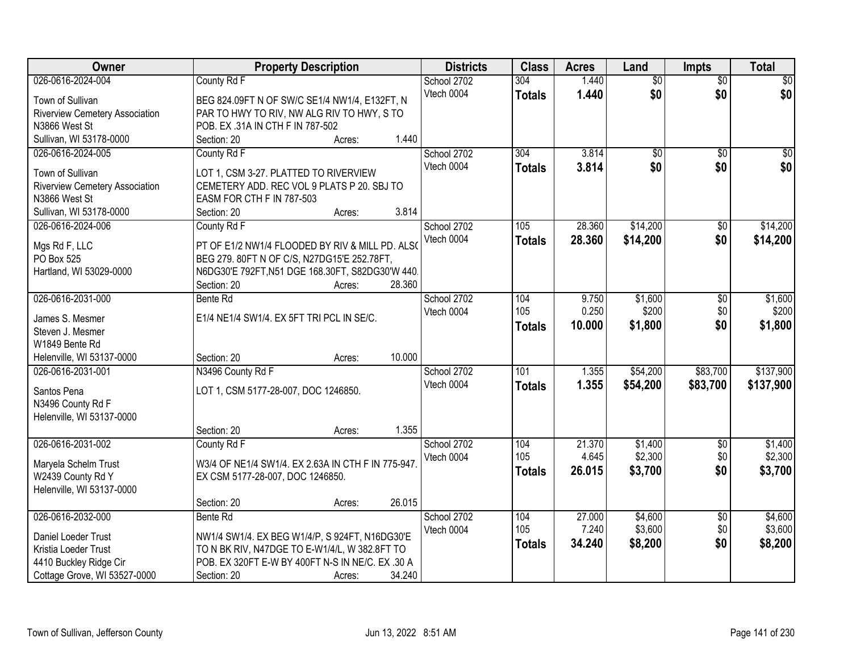| Owner                                 | <b>Property Description</b>                       | <b>Districts</b> | <b>Class</b>     | <b>Acres</b> | Land            | <b>Impts</b>    | <b>Total</b>    |
|---------------------------------------|---------------------------------------------------|------------------|------------------|--------------|-----------------|-----------------|-----------------|
| 026-0616-2024-004                     | County Rd F                                       | School 2702      | 304              | 1.440        | $\overline{50}$ | $\overline{50}$ | $\overline{30}$ |
| Town of Sullivan                      | BEG 824.09FT N OF SW/C SE1/4 NW1/4, E132FT, N     | Vtech 0004       | <b>Totals</b>    | 1.440        | \$0             | \$0             | \$0             |
| Riverview Cemetery Association        | PAR TO HWY TO RIV, NW ALG RIV TO HWY, S TO        |                  |                  |              |                 |                 |                 |
| N3866 West St                         | POB. EX .31A IN CTH F IN 787-502                  |                  |                  |              |                 |                 |                 |
| Sullivan, WI 53178-0000               | 1.440<br>Section: 20<br>Acres:                    |                  |                  |              |                 |                 |                 |
| 026-0616-2024-005                     | County Rd F                                       | School 2702      | 304              | 3.814        | $\overline{50}$ | $\overline{50}$ | $\sqrt{50}$     |
|                                       |                                                   | Vtech 0004       | <b>Totals</b>    | 3.814        | \$0             | \$0             | \$0             |
| Town of Sullivan                      | LOT 1, CSM 3-27. PLATTED TO RIVERVIEW             |                  |                  |              |                 |                 |                 |
| <b>Riverview Cemetery Association</b> | CEMETERY ADD. REC VOL 9 PLATS P 20. SBJ TO        |                  |                  |              |                 |                 |                 |
| N3866 West St                         | EASM FOR CTH F IN 787-503<br>3.814                |                  |                  |              |                 |                 |                 |
| Sullivan, WI 53178-0000               | Section: 20<br>Acres:                             |                  |                  |              |                 |                 |                 |
| 026-0616-2024-006                     | County Rd F                                       | School 2702      | 105              | 28.360       | \$14,200        | $\overline{50}$ | \$14,200        |
| Mgs Rd F, LLC                         | PT OF E1/2 NW1/4 FLOODED BY RIV & MILL PD. ALSO   | Vtech 0004       | <b>Totals</b>    | 28.360       | \$14,200        | \$0             | \$14,200        |
| PO Box 525                            | BEG 279. 80FT N OF C/S, N27DG15'E 252.78FT,       |                  |                  |              |                 |                 |                 |
| Hartland, WI 53029-0000               | N6DG30'E 792FT, N51 DGE 168.30FT, S82DG30'W 440.  |                  |                  |              |                 |                 |                 |
|                                       | 28.360<br>Section: 20<br>Acres:                   |                  |                  |              |                 |                 |                 |
| 026-0616-2031-000                     | Bente Rd                                          | School 2702      | 104              | 9.750        | \$1,600         | \$0             | \$1,600         |
| James S. Mesmer                       | E1/4 NE1/4 SW1/4. EX 5FT TRI PCL IN SE/C.         | Vtech 0004       | 105              | 0.250        | \$200           | \$0             | \$200           |
| Steven J. Mesmer                      |                                                   |                  | <b>Totals</b>    | 10.000       | \$1,800         | \$0             | \$1,800         |
| W1849 Bente Rd                        |                                                   |                  |                  |              |                 |                 |                 |
| Helenville, WI 53137-0000             | 10.000<br>Section: 20<br>Acres:                   |                  |                  |              |                 |                 |                 |
| 026-0616-2031-001                     | N3496 County Rd F                                 | School 2702      | $\overline{101}$ | 1.355        | \$54,200        | \$83,700        | \$137,900       |
|                                       |                                                   | Vtech 0004       | <b>Totals</b>    | 1.355        | \$54,200        | \$83,700        | \$137,900       |
| Santos Pena                           | LOT 1, CSM 5177-28-007, DOC 1246850.              |                  |                  |              |                 |                 |                 |
| N3496 County Rd F                     |                                                   |                  |                  |              |                 |                 |                 |
| Helenville, WI 53137-0000             |                                                   |                  |                  |              |                 |                 |                 |
|                                       | 1.355<br>Section: 20<br>Acres:                    |                  |                  |              |                 |                 |                 |
| 026-0616-2031-002                     | County Rd F                                       | School 2702      | 104              | 21.370       | \$1,400         | $\overline{60}$ | \$1,400         |
| Maryela Schelm Trust                  | W3/4 OF NE1/4 SW1/4. EX 2.63A IN CTH F IN 775-947 | Vtech 0004       | 105              | 4.645        | \$2,300         | \$0             | \$2,300         |
| W2439 County Rd Y                     | EX CSM 5177-28-007, DOC 1246850.                  |                  | <b>Totals</b>    | 26.015       | \$3,700         | \$0             | \$3,700         |
| Helenville, WI 53137-0000             |                                                   |                  |                  |              |                 |                 |                 |
|                                       | 26.015<br>Section: 20<br>Acres:                   |                  |                  |              |                 |                 |                 |
| 026-0616-2032-000                     | Bente Rd                                          | School 2702      | 104              | 27.000       | \$4,600         | $\overline{30}$ | \$4,600         |
| Daniel Loeder Trust                   | NW1/4 SW1/4. EX BEG W1/4/P, S 924FT, N16DG30'E    | Vtech 0004       | 105              | 7.240        | \$3,600         | \$0             | \$3,600         |
| Kristia Loeder Trust                  | TO N BK RIV, N47DGE TO E-W1/4/L, W 382.8FT TO     |                  | <b>Totals</b>    | 34.240       | \$8,200         | \$0             | \$8,200         |
| 4410 Buckley Ridge Cir                | POB. EX 320FT E-W BY 400FT N-S IN NE/C. EX .30 A  |                  |                  |              |                 |                 |                 |
| Cottage Grove, WI 53527-0000          | 34.240<br>Section: 20<br>Acres:                   |                  |                  |              |                 |                 |                 |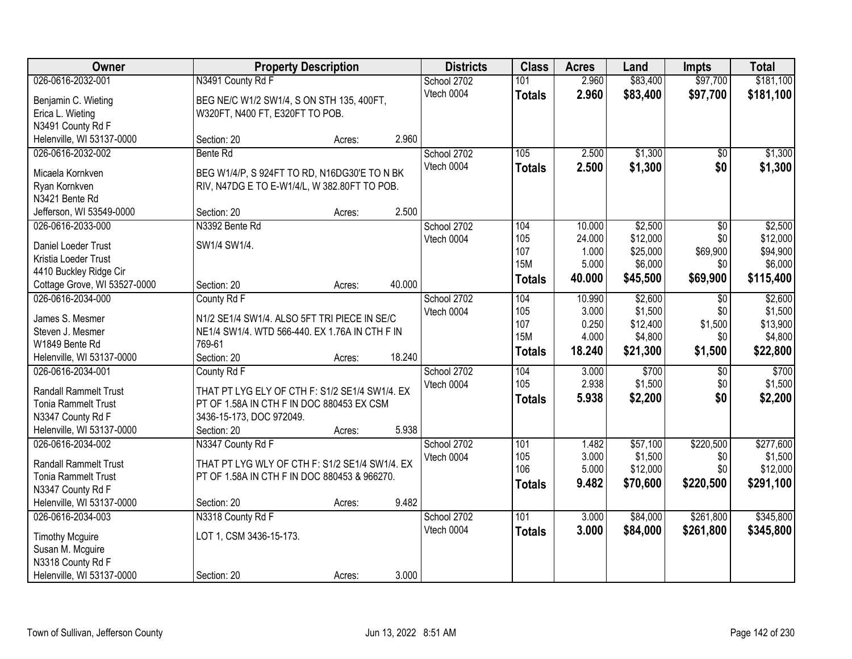| Owner                        |                                                | <b>Property Description</b> |        | <b>Districts</b> | <b>Class</b>  | <b>Acres</b>   | Land                | <b>Impts</b>    | <b>Total</b> |
|------------------------------|------------------------------------------------|-----------------------------|--------|------------------|---------------|----------------|---------------------|-----------------|--------------|
| 026-0616-2032-001            | N3491 County Rd F                              |                             |        | School 2702      | 101           | 2.960          | \$83,400            | \$97,700        | \$181,100    |
| Benjamin C. Wieting          | BEG NE/C W1/2 SW1/4, S ON STH 135, 400FT,      |                             |        | Vtech 0004       | <b>Totals</b> | 2.960          | \$83,400            | \$97,700        | \$181,100    |
| Erica L. Wieting             | W320FT, N400 FT, E320FT TO POB.                |                             |        |                  |               |                |                     |                 |              |
| N3491 County Rd F            |                                                |                             |        |                  |               |                |                     |                 |              |
| Helenville, WI 53137-0000    | Section: 20                                    | Acres:                      | 2.960  |                  |               |                |                     |                 |              |
| 026-0616-2032-002            | <b>Bente Rd</b>                                |                             |        | School 2702      | 105           | 2.500          | \$1,300             | $\overline{50}$ | \$1,300      |
| Micaela Kornkven             | BEG W1/4/P, S 924FT TO RD, N16DG30'E TO N BK   |                             |        | Vtech 0004       | <b>Totals</b> | 2.500          | \$1,300             | \$0             | \$1,300      |
| Ryan Kornkven                | RIV, N47DG E TO E-W1/4/L, W 382.80FT TO POB.   |                             |        |                  |               |                |                     |                 |              |
| N3421 Bente Rd               |                                                |                             |        |                  |               |                |                     |                 |              |
| Jefferson, WI 53549-0000     | Section: 20                                    | Acres:                      | 2.500  |                  |               |                |                     |                 |              |
| 026-0616-2033-000            | N3392 Bente Rd                                 |                             |        | School 2702      | 104           | 10.000         | \$2,500             | \$0             | \$2,500      |
|                              |                                                |                             |        | Vtech 0004       | 105           | 24.000         | \$12,000            | \$0             | \$12,000     |
| Daniel Loeder Trust          | SW1/4 SW1/4.                                   |                             |        |                  | 107           | 1.000          | \$25,000            | \$69,900        | \$94,900     |
| Kristia Loeder Trust         |                                                |                             |        |                  | <b>15M</b>    | 5.000          | \$6,000             | \$0             | \$6,000      |
| 4410 Buckley Ridge Cir       |                                                |                             |        |                  | <b>Totals</b> | 40.000         | \$45,500            | \$69,900        | \$115,400    |
| Cottage Grove, WI 53527-0000 | Section: 20                                    | Acres:                      | 40.000 |                  |               |                |                     |                 |              |
| 026-0616-2034-000            | County Rd F                                    |                             |        | School 2702      | 104           | 10.990         | \$2,600             | \$0             | \$2,600      |
| James S. Mesmer              | N1/2 SE1/4 SW1/4. ALSO 5FT TRI PIECE IN SE/C   |                             |        | Vtech 0004       | 105<br>107    | 3.000          | \$1,500             | \$0<br>\$1,500  | \$1,500      |
| Steven J. Mesmer             | NE1/4 SW1/4. WTD 566-440. EX 1.76A IN CTH F IN |                             |        |                  | <b>15M</b>    | 0.250<br>4.000 | \$12,400<br>\$4,800 | \$0             | \$13,900     |
| W1849 Bente Rd               | 769-61                                         |                             |        |                  |               |                |                     |                 | \$4,800      |
| Helenville, WI 53137-0000    | Section: 20                                    | Acres:                      | 18.240 |                  | <b>Totals</b> | 18.240         | \$21,300            | \$1,500         | \$22,800     |
| 026-0616-2034-001            | County Rd F                                    |                             |        | School 2702      | 104           | 3.000          | \$700               | $\overline{50}$ | \$700        |
| <b>Randall Rammelt Trust</b> | THAT PT LYG ELY OF CTH F: S1/2 SE1/4 SW1/4. EX |                             |        | Vtech 0004       | 105           | 2.938          | \$1,500             | \$0             | \$1,500      |
| <b>Tonia Rammelt Trust</b>   | PT OF 1.58A IN CTH F IN DOC 880453 EX CSM      |                             |        |                  | <b>Totals</b> | 5.938          | \$2,200             | \$0             | \$2,200      |
| N3347 County Rd F            | 3436-15-173, DOC 972049.                       |                             |        |                  |               |                |                     |                 |              |
| Helenville, WI 53137-0000    | Section: 20                                    | Acres:                      | 5.938  |                  |               |                |                     |                 |              |
| 026-0616-2034-002            | N3347 County Rd F                              |                             |        | School 2702      | 101           | 1.482          | \$57,100            | \$220,500       | \$277,600    |
|                              |                                                |                             |        | Vtech 0004       | 105           | 3.000          | \$1,500             | \$0             | \$1,500      |
| <b>Randall Rammelt Trust</b> | THAT PT LYG WLY OF CTH F: S1/2 SE1/4 SW1/4. EX |                             |        |                  | 106           | 5.000          | \$12,000            | \$0             | \$12,000     |
| <b>Tonia Rammelt Trust</b>   | PT OF 1.58A IN CTH F IN DOC 880453 & 966270.   |                             |        |                  | <b>Totals</b> | 9.482          | \$70,600            | \$220,500       | \$291,100    |
| N3347 County Rd F            |                                                |                             |        |                  |               |                |                     |                 |              |
| Helenville, WI 53137-0000    | Section: 20                                    | Acres:                      | 9.482  |                  |               |                |                     |                 |              |
| 026-0616-2034-003            | N3318 County Rd F                              |                             |        | School 2702      | 101           | 3.000          | \$84,000            | \$261,800       | \$345,800    |
| <b>Timothy Mcguire</b>       | LOT 1, CSM 3436-15-173.                        |                             |        | Vtech 0004       | <b>Totals</b> | 3.000          | \$84,000            | \$261,800       | \$345,800    |
| Susan M. Mcguire             |                                                |                             |        |                  |               |                |                     |                 |              |
| N3318 County Rd F            |                                                |                             |        |                  |               |                |                     |                 |              |
| Helenville, WI 53137-0000    | Section: 20                                    | Acres:                      | 3.000  |                  |               |                |                     |                 |              |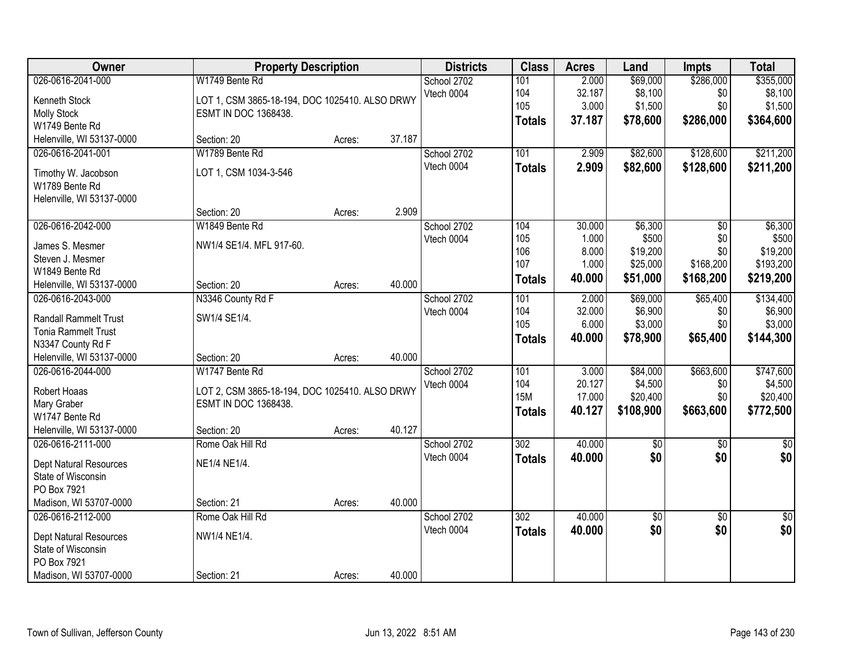| Owner                                                                                                             | <b>Property Description</b>                                                                             |        |        | <b>Districts</b>          | <b>Class</b>                              | <b>Acres</b>                                | Land                                                 | <b>Impts</b>                                            | <b>Total</b>                                           |
|-------------------------------------------------------------------------------------------------------------------|---------------------------------------------------------------------------------------------------------|--------|--------|---------------------------|-------------------------------------------|---------------------------------------------|------------------------------------------------------|---------------------------------------------------------|--------------------------------------------------------|
| 026-0616-2041-000<br>Kenneth Stock<br><b>Molly Stock</b><br>W1749 Bente Rd                                        | W1749 Bente Rd<br>LOT 1, CSM 3865-18-194, DOC 1025410. ALSO DRWY<br>ESMT IN DOC 1368438.                |        |        | School 2702<br>Vtech 0004 | 101<br>104<br>105<br><b>Totals</b>        | 2.000<br>32.187<br>3.000<br>37.187          | \$69,000<br>\$8,100<br>\$1,500<br>\$78,600           | \$286,000<br>\$0<br>\$0<br>\$286,000                    | \$355,000<br>\$8,100<br>\$1,500<br>\$364,600           |
| Helenville, WI 53137-0000                                                                                         | Section: 20                                                                                             | Acres: | 37.187 |                           |                                           |                                             |                                                      |                                                         |                                                        |
| 026-0616-2041-001<br>Timothy W. Jacobson<br>W1789 Bente Rd<br>Helenville, WI 53137-0000                           | W1789 Bente Rd<br>LOT 1, CSM 1034-3-546                                                                 |        |        | School 2702<br>Vtech 0004 | 101<br><b>Totals</b>                      | 2.909<br>2.909                              | \$82,600<br>\$82,600                                 | \$128,600<br>\$128,600                                  | \$211,200<br>\$211,200                                 |
|                                                                                                                   | Section: 20                                                                                             | Acres: | 2.909  |                           |                                           |                                             |                                                      |                                                         |                                                        |
| 026-0616-2042-000<br>James S. Mesmer<br>Steven J. Mesmer<br>W1849 Bente Rd<br>Helenville, WI 53137-0000           | W1849 Bente Rd<br>NW1/4 SE1/4. MFL 917-60.<br>Section: 20                                               | Acres: | 40.000 | School 2702<br>Vtech 0004 | 104<br>105<br>106<br>107<br><b>Totals</b> | 30.000<br>1.000<br>8.000<br>1.000<br>40.000 | \$6,300<br>\$500<br>\$19,200<br>\$25,000<br>\$51,000 | $\overline{50}$<br>\$0<br>\$0<br>\$168,200<br>\$168,200 | \$6,300<br>\$500<br>\$19,200<br>\$193,200<br>\$219,200 |
| 026-0616-2043-000                                                                                                 | N3346 County Rd F                                                                                       |        |        | School 2702               | 101                                       | 2.000                                       | \$69,000                                             | \$65,400                                                | \$134,400                                              |
| <b>Randall Rammelt Trust</b><br><b>Tonia Rammelt Trust</b><br>N3347 County Rd F                                   | SW1/4 SE1/4.                                                                                            |        |        | Vtech 0004                | 104<br>105<br><b>Totals</b>               | 32.000<br>6.000<br>40.000                   | \$6,900<br>\$3,000<br>\$78,900                       | \$0<br>\$0<br>\$65,400                                  | \$6,900<br>\$3,000<br>\$144,300                        |
| Helenville, WI 53137-0000                                                                                         | Section: 20                                                                                             | Acres: | 40.000 |                           |                                           |                                             |                                                      |                                                         |                                                        |
| 026-0616-2044-000<br>Robert Hoaas<br>Mary Graber<br>W1747 Bente Rd<br>Helenville, WI 53137-0000                   | W1747 Bente Rd<br>LOT 2, CSM 3865-18-194, DOC 1025410. ALSO DRWY<br>ESMT IN DOC 1368438.<br>Section: 20 | Acres: | 40.127 | School 2702<br>Vtech 0004 | 101<br>104<br><b>15M</b><br><b>Totals</b> | 3.000<br>20.127<br>17.000<br>40.127         | \$84,000<br>\$4,500<br>\$20,400<br>\$108,900         | \$663,600<br>\$0<br>\$0<br>\$663,600                    | \$747,600<br>\$4,500<br>\$20,400<br>\$772,500          |
| 026-0616-2111-000<br>Dept Natural Resources<br>State of Wisconsin<br>PO Box 7921<br>Madison, WI 53707-0000        | Rome Oak Hill Rd<br>NE1/4 NE1/4.<br>Section: 21                                                         | Acres: | 40.000 | School 2702<br>Vtech 0004 | 302<br><b>Totals</b>                      | 40.000<br>40.000                            | $\sqrt{6}$<br>\$0                                    | $\sqrt{6}$<br>\$0                                       | $\frac{1}{6}$<br>\$0                                   |
| 026-0616-2112-000<br><b>Dept Natural Resources</b><br>State of Wisconsin<br>PO Box 7921<br>Madison, WI 53707-0000 | Rome Oak Hill Rd<br>NW1/4 NE1/4.<br>Section: 21                                                         | Acres: | 40.000 | School 2702<br>Vtech 0004 | 302<br><b>Totals</b>                      | 40.000<br>40.000                            | $\sqrt{6}$<br>\$0                                    | $\overline{30}$<br>\$0                                  | \$0<br>\$0                                             |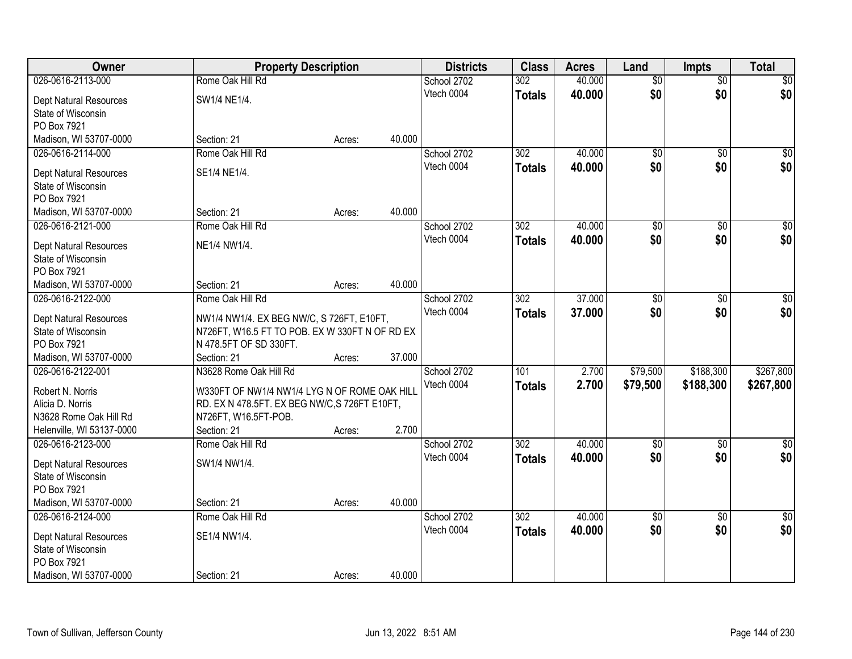| Owner                             | <b>Property Description</b>                    |        |        | <b>Districts</b> | <b>Class</b>     | <b>Acres</b> | Land            | <b>Impts</b>    | <b>Total</b>    |
|-----------------------------------|------------------------------------------------|--------|--------|------------------|------------------|--------------|-----------------|-----------------|-----------------|
| 026-0616-2113-000                 | Rome Oak Hill Rd                               |        |        | School 2702      | 302              | 40.000       | $\overline{50}$ | $\overline{50}$ | \$0             |
| Dept Natural Resources            | SW1/4 NE1/4.                                   |        |        | Vtech 0004       | <b>Totals</b>    | 40.000       | \$0             | \$0             | \$0             |
| State of Wisconsin                |                                                |        |        |                  |                  |              |                 |                 |                 |
| PO Box 7921                       |                                                |        |        |                  |                  |              |                 |                 |                 |
| Madison, WI 53707-0000            | Section: 21                                    | Acres: | 40.000 |                  |                  |              |                 |                 |                 |
| 026-0616-2114-000                 | Rome Oak Hill Rd                               |        |        | School 2702      | 302              | 40.000       | \$0             | $\overline{50}$ | \$0             |
| Dept Natural Resources            | SE1/4 NE1/4.                                   |        |        | Vtech 0004       | <b>Totals</b>    | 40.000       | \$0             | \$0             | \$0             |
| State of Wisconsin                |                                                |        |        |                  |                  |              |                 |                 |                 |
| PO Box 7921                       |                                                |        |        |                  |                  |              |                 |                 |                 |
| Madison, WI 53707-0000            | Section: 21                                    | Acres: | 40.000 |                  |                  |              |                 |                 |                 |
| 026-0616-2121-000                 | Rome Oak Hill Rd                               |        |        | School 2702      | 302              | 40.000       | $\overline{50}$ | \$0             | $\overline{50}$ |
|                                   |                                                |        |        | Vtech 0004       | <b>Totals</b>    | 40.000       | \$0             | \$0             | \$0             |
| Dept Natural Resources            | NE1/4 NW1/4.                                   |        |        |                  |                  |              |                 |                 |                 |
| State of Wisconsin<br>PO Box 7921 |                                                |        |        |                  |                  |              |                 |                 |                 |
| Madison, WI 53707-0000            | Section: 21                                    | Acres: | 40.000 |                  |                  |              |                 |                 |                 |
| 026-0616-2122-000                 | Rome Oak Hill Rd                               |        |        | School 2702      | $\overline{302}$ | 37.000       | $\overline{50}$ | \$0             | $\sqrt{50}$     |
|                                   |                                                |        |        | Vtech 0004       | <b>Totals</b>    | 37.000       | \$0             | \$0             | \$0             |
| <b>Dept Natural Resources</b>     | NW1/4 NW1/4. EX BEG NW/C, S 726FT, E10FT,      |        |        |                  |                  |              |                 |                 |                 |
| State of Wisconsin                | N726FT, W16.5 FT TO POB. EX W 330FT N OF RD EX |        |        |                  |                  |              |                 |                 |                 |
| PO Box 7921                       | N 478.5FT OF SD 330FT.                         |        |        |                  |                  |              |                 |                 |                 |
| Madison, WI 53707-0000            | Section: 21                                    | Acres: | 37.000 |                  |                  |              |                 |                 |                 |
| 026-0616-2122-001                 | N3628 Rome Oak Hill Rd                         |        |        | School 2702      | 101              | 2.700        | \$79,500        | \$188,300       | \$267,800       |
| Robert N. Norris                  | W330FT OF NW1/4 NW1/4 LYG N OF ROME OAK HILL   |        |        | Vtech 0004       | <b>Totals</b>    | 2.700        | \$79,500        | \$188,300       | \$267,800       |
| Alicia D. Norris                  | RD. EX N 478.5FT. EX BEG NW/C, S 726FT E10FT,  |        |        |                  |                  |              |                 |                 |                 |
| N3628 Rome Oak Hill Rd            | N726FT, W16.5FT-POB.                           |        |        |                  |                  |              |                 |                 |                 |
| Helenville, WI 53137-0000         | Section: 21                                    | Acres: | 2.700  |                  |                  |              |                 |                 |                 |
| 026-0616-2123-000                 | Rome Oak Hill Rd                               |        |        | School 2702      | $\overline{302}$ | 40.000       | $\overline{50}$ | $\overline{50}$ | $\sqrt{30}$     |
| Dept Natural Resources            | SW1/4 NW1/4.                                   |        |        | Vtech 0004       | <b>Totals</b>    | 40.000       | \$0             | \$0             | \$0             |
| State of Wisconsin                |                                                |        |        |                  |                  |              |                 |                 |                 |
| PO Box 7921                       |                                                |        |        |                  |                  |              |                 |                 |                 |
| Madison, WI 53707-0000            | Section: 21                                    | Acres: | 40.000 |                  |                  |              |                 |                 |                 |
| 026-0616-2124-000                 | Rome Oak Hill Rd                               |        |        | School 2702      | 302              | 40.000       | $\overline{50}$ | $\overline{50}$ | $\overline{30}$ |
| Dept Natural Resources            | SE1/4 NW1/4.                                   |        |        | Vtech 0004       | <b>Totals</b>    | 40.000       | \$0             | \$0             | \$0             |
| State of Wisconsin                |                                                |        |        |                  |                  |              |                 |                 |                 |
| PO Box 7921                       |                                                |        |        |                  |                  |              |                 |                 |                 |
| Madison, WI 53707-0000            | Section: 21                                    | Acres: | 40.000 |                  |                  |              |                 |                 |                 |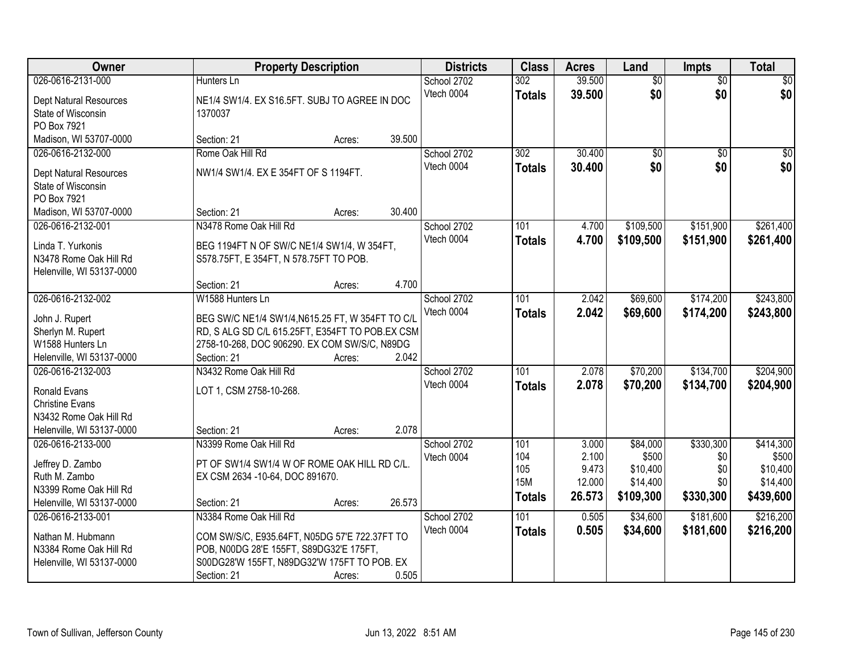| Owner                                               | <b>Property Description</b>                                                            |        | <b>Districts</b> | <b>Class</b>     | <b>Acres</b> | Land            | <b>Impts</b>    | <b>Total</b>    |
|-----------------------------------------------------|----------------------------------------------------------------------------------------|--------|------------------|------------------|--------------|-----------------|-----------------|-----------------|
| 026-0616-2131-000                                   | Hunters Ln                                                                             |        | School 2702      | 302              | 39.500       | $\overline{50}$ | $\overline{50}$ | $\overline{30}$ |
| Dept Natural Resources                              | NE1/4 SW1/4. EX S16.5FT. SUBJ TO AGREE IN DOC                                          |        | Vtech 0004       | <b>Totals</b>    | 39.500       | \$0             | \$0             | \$0             |
| State of Wisconsin                                  | 1370037                                                                                |        |                  |                  |              |                 |                 |                 |
| PO Box 7921                                         |                                                                                        |        |                  |                  |              |                 |                 |                 |
| Madison, WI 53707-0000                              | Section: 21<br>Acres:                                                                  | 39.500 |                  |                  |              |                 |                 |                 |
| 026-0616-2132-000                                   | Rome Oak Hill Rd                                                                       |        | School 2702      | $\overline{302}$ | 30.400       | $\overline{50}$ | $\overline{50}$ | \$0             |
| Dept Natural Resources                              | NW1/4 SW1/4. EX E 354FT OF S 1194FT.                                                   |        | Vtech 0004       | <b>Totals</b>    | 30.400       | \$0             | \$0             | \$0             |
| State of Wisconsin                                  |                                                                                        |        |                  |                  |              |                 |                 |                 |
| PO Box 7921                                         |                                                                                        |        |                  |                  |              |                 |                 |                 |
| Madison, WI 53707-0000                              | Section: 21<br>Acres:                                                                  | 30.400 |                  |                  |              |                 |                 |                 |
| 026-0616-2132-001                                   | N3478 Rome Oak Hill Rd                                                                 |        | School 2702      | 101              | 4.700        | \$109,500       | \$151,900       | \$261,400       |
| Linda T. Yurkonis                                   | BEG 1194FT N OF SW/C NE1/4 SW1/4, W 354FT,                                             |        | Vtech 0004       | <b>Totals</b>    | 4.700        | \$109,500       | \$151,900       | \$261,400       |
| N3478 Rome Oak Hill Rd                              | S578.75FT, E 354FT, N 578.75FT TO POB.                                                 |        |                  |                  |              |                 |                 |                 |
| Helenville, WI 53137-0000                           |                                                                                        |        |                  |                  |              |                 |                 |                 |
|                                                     | Section: 21<br>Acres:                                                                  | 4.700  |                  |                  |              |                 |                 |                 |
| 026-0616-2132-002                                   | W1588 Hunters Ln                                                                       |        | School 2702      | 101              | 2.042        | \$69,600        | \$174,200       | \$243,800       |
|                                                     |                                                                                        |        | Vtech 0004       | <b>Totals</b>    | 2.042        | \$69,600        | \$174,200       | \$243,800       |
| John J. Rupert                                      | BEG SW/C NE1/4 SW1/4, N615.25 FT, W 354FT TO C/L                                       |        |                  |                  |              |                 |                 |                 |
| Sherlyn M. Rupert                                   | RD, S ALG SD C/L 615.25FT, E354FT TO POB.EX CSM                                        |        |                  |                  |              |                 |                 |                 |
| W1588 Hunters Ln                                    | 2758-10-268, DOC 906290. EX COM SW/S/C, N89DG                                          |        |                  |                  |              |                 |                 |                 |
| Helenville, WI 53137-0000                           | Section: 21<br>Acres:                                                                  | 2.042  |                  |                  |              |                 |                 |                 |
| 026-0616-2132-003                                   | N3432 Rome Oak Hill Rd                                                                 |        | School 2702      | 101              | 2.078        | \$70,200        | \$134,700       | \$204,900       |
| <b>Ronald Evans</b>                                 | LOT 1, CSM 2758-10-268.                                                                |        | Vtech 0004       | <b>Totals</b>    | 2.078        | \$70,200        | \$134,700       | \$204,900       |
| <b>Christine Evans</b>                              |                                                                                        |        |                  |                  |              |                 |                 |                 |
| N3432 Rome Oak Hill Rd                              |                                                                                        |        |                  |                  |              |                 |                 |                 |
| Helenville, WI 53137-0000                           | Section: 21<br>Acres:                                                                  | 2.078  |                  |                  |              |                 |                 |                 |
| 026-0616-2133-000                                   | N3399 Rome Oak Hill Rd                                                                 |        | School 2702      | 101              | 3.000        | \$84,000        | \$330,300       | \$414,300       |
| Jeffrey D. Zambo                                    | PT OF SW1/4 SW1/4 W OF ROME OAK HILL RD C/L.                                           |        | Vtech 0004       | 104              | 2.100        | \$500           | \$0             | \$500           |
| Ruth M. Zambo                                       | EX CSM 2634 - 10-64, DOC 891670.                                                       |        |                  | 105              | 9.473        | \$10,400        | \$0             | \$10,400        |
| N3399 Rome Oak Hill Rd                              |                                                                                        |        |                  | <b>15M</b>       | 12.000       | \$14,400        | \$0             | \$14,400        |
| Helenville, WI 53137-0000                           | Section: 21<br>Acres:                                                                  | 26.573 |                  | <b>Totals</b>    | 26.573       | \$109,300       | \$330,300       | \$439,600       |
| 026-0616-2133-001                                   | N3384 Rome Oak Hill Rd                                                                 |        | School 2702      | 101              | 0.505        | \$34,600        | \$181,600       | \$216,200       |
|                                                     |                                                                                        |        | Vtech 0004       | <b>Totals</b>    | 0.505        | \$34,600        | \$181,600       | \$216,200       |
| Nathan M. Hubmann                                   | COM SW/S/C, E935.64FT, N05DG 57'E 722.37FT TO                                          |        |                  |                  |              |                 |                 |                 |
| N3384 Rome Oak Hill Rd<br>Helenville, WI 53137-0000 | POB, N00DG 28'E 155FT, S89DG32'E 175FT,<br>S00DG28'W 155FT, N89DG32'W 175FT TO POB. EX |        |                  |                  |              |                 |                 |                 |
|                                                     | Section: 21<br>Acres:                                                                  | 0.505  |                  |                  |              |                 |                 |                 |
|                                                     |                                                                                        |        |                  |                  |              |                 |                 |                 |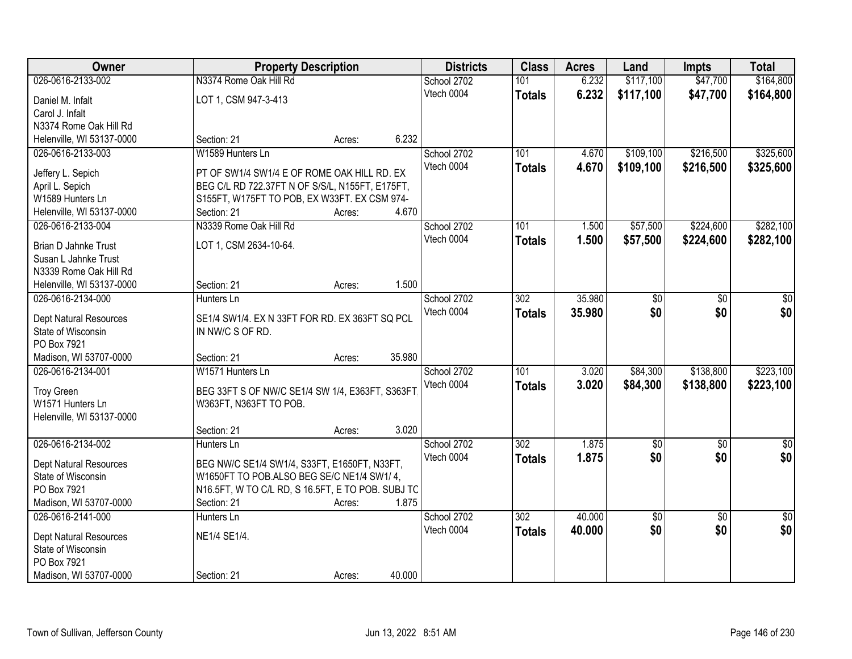| Owner                                        |                                                             | <b>Property Description</b> |        | <b>Districts</b> | <b>Class</b>     | <b>Acres</b> | Land      | <b>Impts</b>    | <b>Total</b>  |
|----------------------------------------------|-------------------------------------------------------------|-----------------------------|--------|------------------|------------------|--------------|-----------|-----------------|---------------|
| 026-0616-2133-002                            | N3374 Rome Oak Hill Rd                                      |                             |        | School 2702      | 101              | 6.232        | \$117,100 | \$47,700        | \$164,800     |
| Daniel M. Infalt                             | LOT 1, CSM 947-3-413                                        |                             |        | Vtech 0004       | <b>Totals</b>    | 6.232        | \$117,100 | \$47,700        | \$164,800     |
| Carol J. Infalt                              |                                                             |                             |        |                  |                  |              |           |                 |               |
| N3374 Rome Oak Hill Rd                       |                                                             |                             |        |                  |                  |              |           |                 |               |
| Helenville, WI 53137-0000                    | Section: 21                                                 | Acres:                      | 6.232  |                  |                  |              |           |                 |               |
| 026-0616-2133-003                            | W1589 Hunters Ln                                            |                             |        | School 2702      | 101              | 4.670        | \$109,100 | \$216,500       | \$325,600     |
|                                              |                                                             |                             |        | Vtech 0004       | <b>Totals</b>    | 4.670        | \$109,100 | \$216,500       | \$325,600     |
| Jeffery L. Sepich                            | PT OF SW1/4 SW1/4 E OF ROME OAK HILL RD. EX                 |                             |        |                  |                  |              |           |                 |               |
| April L. Sepich                              | BEG C/L RD 722.37FT N OF S/S/L, N155FT, E175FT,             |                             |        |                  |                  |              |           |                 |               |
| W1589 Hunters Ln                             | S155FT, W175FT TO POB, EX W33FT. EX CSM 974-<br>Section: 21 |                             | 4.670  |                  |                  |              |           |                 |               |
| Helenville, WI 53137-0000                    | N3339 Rome Oak Hill Rd                                      | Acres:                      |        |                  | 101              |              |           | \$224,600       | \$282,100     |
| 026-0616-2133-004                            |                                                             |                             |        | School 2702      |                  | 1.500        | \$57,500  |                 |               |
| Brian D Jahnke Trust                         | LOT 1, CSM 2634-10-64.                                      |                             |        | Vtech 0004       | <b>Totals</b>    | 1.500        | \$57,500  | \$224,600       | \$282,100     |
| Susan L Jahnke Trust                         |                                                             |                             |        |                  |                  |              |           |                 |               |
| N3339 Rome Oak Hill Rd                       |                                                             |                             |        |                  |                  |              |           |                 |               |
| Helenville, WI 53137-0000                    | Section: 21                                                 | Acres:                      | 1.500  |                  |                  |              |           |                 |               |
| 026-0616-2134-000                            | Hunters Ln                                                  |                             |        | School 2702      | $\overline{302}$ | 35.980       | \$0       | \$0             | \$0           |
| Dept Natural Resources                       | SE1/4 SW1/4. EX N 33FT FOR RD. EX 363FT SQ PCL              |                             |        | Vtech 0004       | <b>Totals</b>    | 35.980       | \$0       | \$0             | \$0           |
| State of Wisconsin                           | IN NW/C S OF RD.                                            |                             |        |                  |                  |              |           |                 |               |
| PO Box 7921                                  |                                                             |                             |        |                  |                  |              |           |                 |               |
| Madison, WI 53707-0000                       | Section: 21                                                 | Acres:                      | 35.980 |                  |                  |              |           |                 |               |
| 026-0616-2134-001                            | W1571 Hunters Ln                                            |                             |        | School 2702      | 101              | 3.020        | \$84,300  | \$138,800       | \$223,100     |
|                                              |                                                             |                             |        | Vtech 0004       | <b>Totals</b>    | 3.020        | \$84,300  | \$138,800       | \$223,100     |
| <b>Troy Green</b>                            | BEG 33FT S OF NW/C SE1/4 SW 1/4, E363FT, S363FT             |                             |        |                  |                  |              |           |                 |               |
| W1571 Hunters Ln                             | W363FT, N363FT TO POB.                                      |                             |        |                  |                  |              |           |                 |               |
| Helenville, WI 53137-0000                    |                                                             |                             |        |                  |                  |              |           |                 |               |
|                                              | Section: 21                                                 | Acres:                      | 3.020  |                  |                  |              |           |                 |               |
| 026-0616-2134-002                            | Hunters Ln                                                  |                             |        | School 2702      | 302              | 1.875        | \$0       | \$0             | $\frac{1}{6}$ |
| Dept Natural Resources                       | BEG NW/C SE1/4 SW1/4, S33FT, E1650FT, N33FT,                |                             |        | Vtech 0004       | <b>Totals</b>    | 1.875        | \$0       | \$0             | \$0           |
| State of Wisconsin                           | W1650FT TO POB.ALSO BEG SE/C NE1/4 SW1/4,                   |                             |        |                  |                  |              |           |                 |               |
| PO Box 7921                                  | N16.5FT, W TO C/L RD, S 16.5FT, E TO POB. SUBJ TC           |                             |        |                  |                  |              |           |                 |               |
| Madison, WI 53707-0000                       | Section: 21                                                 | Acres:                      | 1.875  |                  |                  |              |           |                 |               |
| 026-0616-2141-000                            | Hunters Ln                                                  |                             |        | School 2702      | 302              | 40.000       | \$0       | $\overline{50}$ | $\sqrt{50}$   |
|                                              |                                                             |                             |        | Vtech 0004       | <b>Totals</b>    | 40.000       | \$0       | \$0             | \$0           |
| Dept Natural Resources<br>State of Wisconsin | NE1/4 SE1/4.                                                |                             |        |                  |                  |              |           |                 |               |
| PO Box 7921                                  |                                                             |                             |        |                  |                  |              |           |                 |               |
| Madison, WI 53707-0000                       | Section: 21                                                 |                             | 40.000 |                  |                  |              |           |                 |               |
|                                              |                                                             | Acres:                      |        |                  |                  |              |           |                 |               |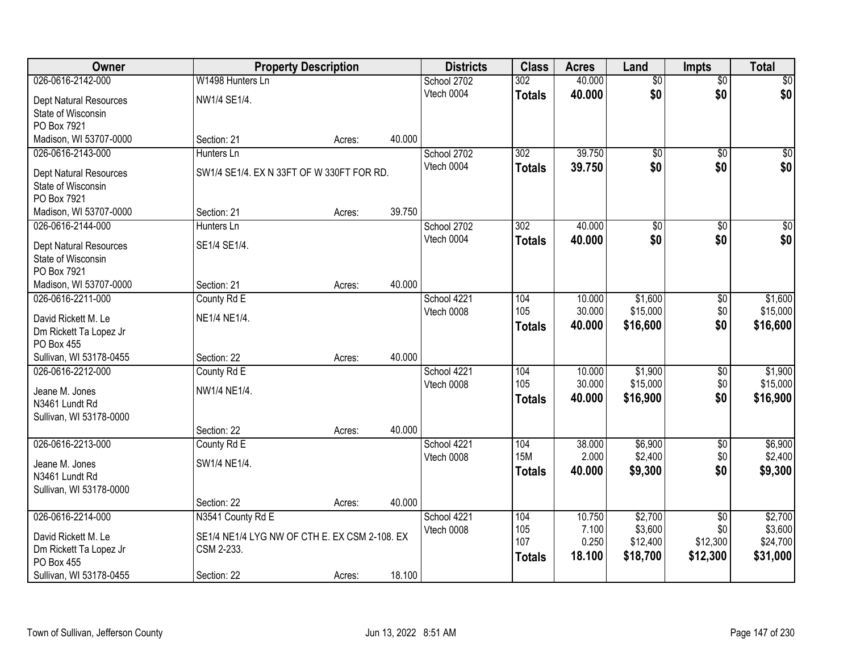| Owner                         |                                               | <b>Property Description</b> |        | <b>Districts</b> | <b>Class</b>  | <b>Acres</b> | Land            | <b>Impts</b>    | <b>Total</b>     |
|-------------------------------|-----------------------------------------------|-----------------------------|--------|------------------|---------------|--------------|-----------------|-----------------|------------------|
| 026-0616-2142-000             | W1498 Hunters Ln                              |                             |        | School 2702      | 302           | 40.000       | $\overline{50}$ | $\overline{50}$ | \$0              |
| Dept Natural Resources        | NW1/4 SE1/4.                                  |                             |        | Vtech 0004       | <b>Totals</b> | 40.000       | \$0             | \$0             | \$0              |
| State of Wisconsin            |                                               |                             |        |                  |               |              |                 |                 |                  |
| PO Box 7921                   |                                               |                             |        |                  |               |              |                 |                 |                  |
| Madison, WI 53707-0000        | Section: 21                                   | Acres:                      | 40.000 |                  |               |              |                 |                 |                  |
| 026-0616-2143-000             | Hunters Ln                                    |                             |        | School 2702      | 302           | 39.750       | $\overline{50}$ | $\overline{50}$ | \$0              |
| Dept Natural Resources        | SW1/4 SE1/4. EX N 33FT OF W 330FT FOR RD.     |                             |        | Vtech 0004       | <b>Totals</b> | 39.750       | \$0             | \$0             | \$0              |
| State of Wisconsin            |                                               |                             |        |                  |               |              |                 |                 |                  |
| PO Box 7921                   |                                               |                             |        |                  |               |              |                 |                 |                  |
| Madison, WI 53707-0000        | Section: 21                                   | Acres:                      | 39.750 |                  |               |              |                 |                 |                  |
| 026-0616-2144-000             | Hunters Ln                                    |                             |        | School 2702      | 302           | 40.000       | $\overline{50}$ | \$0             | $\overline{\$0}$ |
| <b>Dept Natural Resources</b> | SE1/4 SE1/4.                                  |                             |        | Vtech 0004       | <b>Totals</b> | 40.000       | \$0             | \$0             | \$0              |
| State of Wisconsin            |                                               |                             |        |                  |               |              |                 |                 |                  |
| PO Box 7921                   |                                               |                             |        |                  |               |              |                 |                 |                  |
| Madison, WI 53707-0000        | Section: 21                                   | Acres:                      | 40.000 |                  |               |              |                 |                 |                  |
| 026-0616-2211-000             | County Rd E                                   |                             |        | School 4221      | 104           | 10.000       | \$1,600         | \$0             | \$1,600          |
| David Rickett M. Le           | NE1/4 NE1/4.                                  |                             |        | Vtech 0008       | 105           | 30.000       | \$15,000        | \$0             | \$15,000         |
| Dm Rickett Ta Lopez Jr        |                                               |                             |        |                  | <b>Totals</b> | 40.000       | \$16,600        | \$0             | \$16,600         |
| PO Box 455                    |                                               |                             |        |                  |               |              |                 |                 |                  |
| Sullivan, WI 53178-0455       | Section: 22                                   | Acres:                      | 40.000 |                  |               |              |                 |                 |                  |
| 026-0616-2212-000             | County Rd E                                   |                             |        | School 4221      | 104           | 10.000       | \$1,900         | $\overline{50}$ | \$1,900          |
| Jeane M. Jones                | NW1/4 NE1/4.                                  |                             |        | Vtech 0008       | 105           | 30.000       | \$15,000        | \$0             | \$15,000         |
| N3461 Lundt Rd                |                                               |                             |        |                  | <b>Totals</b> | 40.000       | \$16,900        | \$0             | \$16,900         |
| Sullivan, WI 53178-0000       |                                               |                             |        |                  |               |              |                 |                 |                  |
|                               | Section: 22                                   | Acres:                      | 40.000 |                  |               |              |                 |                 |                  |
| 026-0616-2213-000             | County Rd E                                   |                             |        | School 4221      | 104           | 38.000       | \$6,900         | $\sqrt{6}$      | \$6,900          |
| Jeane M. Jones                | SW1/4 NE1/4.                                  |                             |        | Vtech 0008       | <b>15M</b>    | 2.000        | \$2,400         | \$0             | \$2,400          |
| N3461 Lundt Rd                |                                               |                             |        |                  | <b>Totals</b> | 40.000       | \$9,300         | \$0             | \$9,300          |
| Sullivan, WI 53178-0000       |                                               |                             |        |                  |               |              |                 |                 |                  |
|                               | Section: 22                                   | Acres:                      | 40.000 |                  |               |              |                 |                 |                  |
| 026-0616-2214-000             | N3541 County Rd E                             |                             |        | School 4221      | 104           | 10.750       | \$2,700         | $\overline{50}$ | \$2,700          |
| David Rickett M. Le           | SE1/4 NE1/4 LYG NW OF CTH E. EX CSM 2-108. EX |                             |        | Vtech 0008       | 105           | 7.100        | \$3,600         | \$0             | \$3,600          |
| Dm Rickett Ta Lopez Jr        | CSM 2-233.                                    |                             |        |                  | 107           | 0.250        | \$12,400        | \$12,300        | \$24,700         |
| PO Box 455                    |                                               |                             |        |                  | <b>Totals</b> | 18.100       | \$18,700        | \$12,300        | \$31,000         |
| Sullivan, WI 53178-0455       | Section: 22                                   | Acres:                      | 18.100 |                  |               |              |                 |                 |                  |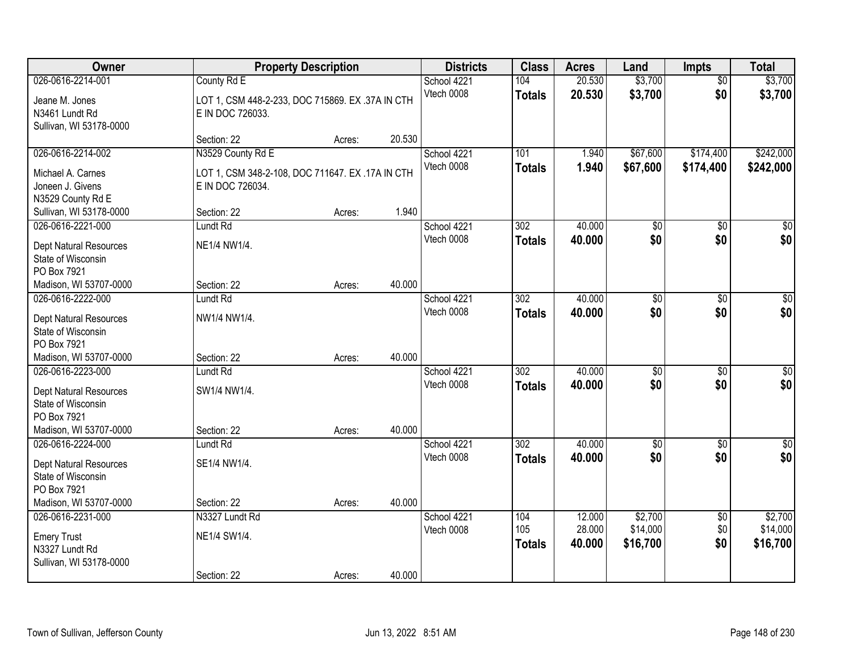| Owner                                                                                                      |                                                                                           | <b>Property Description</b> |        | <b>Districts</b>          | <b>Class</b>                      | <b>Acres</b>     | Land                   | <b>Impts</b>           | <b>Total</b>           |
|------------------------------------------------------------------------------------------------------------|-------------------------------------------------------------------------------------------|-----------------------------|--------|---------------------------|-----------------------------------|------------------|------------------------|------------------------|------------------------|
| 026-0616-2214-001<br>Jeane M. Jones<br>N3461 Lundt Rd<br>Sullivan, WI 53178-0000                           | County Rd E<br>LOT 1, CSM 448-2-233, DOC 715869. EX .37A IN CTH<br>E IN DOC 726033.       |                             |        | School 4221<br>Vtech 0008 | 104<br><b>Totals</b>              | 20.530<br>20.530 | \$3,700<br>\$3,700     | $\overline{50}$<br>\$0 | \$3,700<br>\$3,700     |
|                                                                                                            | Section: 22                                                                               | Acres:                      | 20.530 |                           |                                   |                  |                        |                        |                        |
| 026-0616-2214-002<br>Michael A. Carnes<br>Joneen J. Givens<br>N3529 County Rd E                            | N3529 County Rd E<br>LOT 1, CSM 348-2-108, DOC 711647. EX .17A IN CTH<br>E IN DOC 726034. |                             |        | School 4221<br>Vtech 0008 | 101<br><b>Totals</b>              | 1.940<br>1.940   | \$67,600<br>\$67,600   | \$174,400<br>\$174,400 | \$242,000<br>\$242,000 |
| Sullivan, WI 53178-0000<br>026-0616-2221-000                                                               | Section: 22<br>Lundt Rd                                                                   | Acres:                      | 1.940  | School 4221               | 302                               | 40.000           | \$0                    | \$0                    | $\overline{50}$        |
| Dept Natural Resources<br>State of Wisconsin<br>PO Box 7921                                                | NE1/4 NW1/4.                                                                              |                             |        | Vtech 0008                | <b>Totals</b>                     | 40.000           | \$0                    | \$0                    | \$0                    |
| Madison, WI 53707-0000<br>026-0616-2222-000                                                                | Section: 22                                                                               | Acres:                      | 40.000 | School 4221               | 302                               | 40.000           |                        |                        | $\sqrt{50}$            |
| Dept Natural Resources<br>State of Wisconsin<br>PO Box 7921                                                | Lundt Rd<br>NW1/4 NW1/4.                                                                  |                             |        | Vtech 0008                | <b>Totals</b>                     | 40.000           | \$0<br>\$0             | $\sqrt[6]{}$<br>\$0    | \$0                    |
| Madison, WI 53707-0000                                                                                     | Section: 22                                                                               | Acres:                      | 40.000 |                           |                                   |                  |                        |                        |                        |
| 026-0616-2223-000<br>Dept Natural Resources<br>State of Wisconsin<br>PO Box 7921<br>Madison, WI 53707-0000 | Lundt Rd<br>SW1/4 NW1/4.<br>Section: 22                                                   | Acres:                      | 40.000 | School 4221<br>Vtech 0008 | $\overline{302}$<br><b>Totals</b> | 40.000<br>40.000 | $\overline{50}$<br>\$0 | $\overline{50}$<br>\$0 | $\overline{50}$<br>\$0 |
| 026-0616-2224-000                                                                                          | Lundt <sub>Rd</sub>                                                                       |                             |        | School 4221               | $\overline{302}$                  | 40.000           | $\overline{50}$        | $\overline{30}$        | $\overline{\$0}$       |
| Dept Natural Resources<br>State of Wisconsin<br>PO Box 7921<br>Madison, WI 53707-0000                      | SE1/4 NW1/4.<br>Section: 22                                                               | Acres:                      | 40.000 | Vtech 0008                | <b>Totals</b>                     | 40.000           | \$0                    | \$0                    | \$0                    |
| 026-0616-2231-000                                                                                          | N3327 Lundt Rd                                                                            |                             |        | School 4221               | 104                               | 12.000           | \$2,700                | $\overline{60}$        | \$2,700                |
| <b>Emery Trust</b><br>N3327 Lundt Rd<br>Sullivan, WI 53178-0000                                            | NE1/4 SW1/4.                                                                              |                             |        | Vtech 0008                | 105<br><b>Totals</b>              | 28.000<br>40.000 | \$14,000<br>\$16,700   | \$0<br>\$0             | \$14,000<br>\$16,700   |
|                                                                                                            | Section: 22                                                                               | Acres:                      | 40.000 |                           |                                   |                  |                        |                        |                        |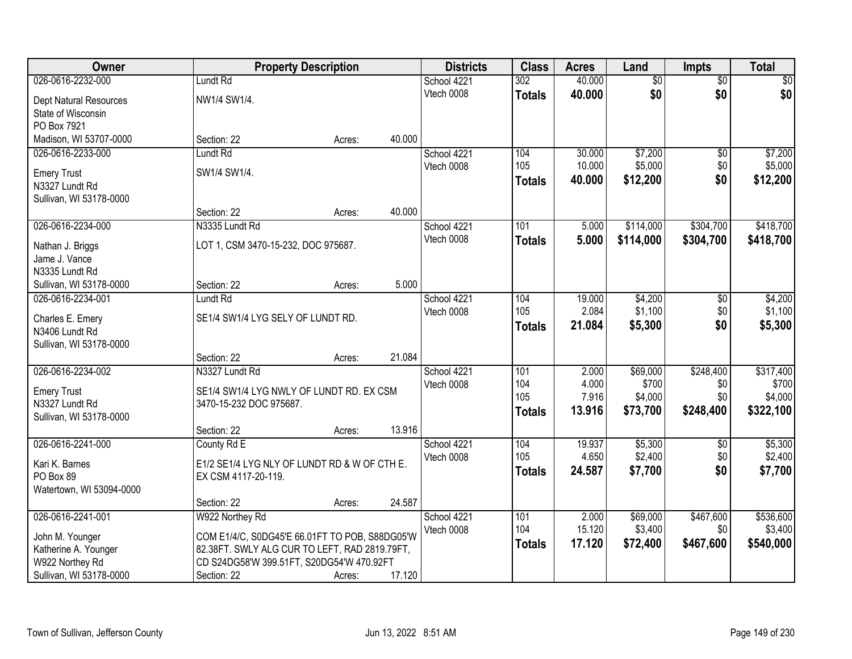| Owner                    |                                                | <b>Property Description</b> |        | <b>Districts</b> | <b>Class</b>  | <b>Acres</b> | Land            | <b>Impts</b>    | <b>Total</b> |
|--------------------------|------------------------------------------------|-----------------------------|--------|------------------|---------------|--------------|-----------------|-----------------|--------------|
| 026-0616-2232-000        | Lundt Rd                                       |                             |        | School 4221      | 302           | 40.000       | $\overline{50}$ | $\overline{50}$ | $\sqrt{50}$  |
| Dept Natural Resources   | NW1/4 SW1/4.                                   |                             |        | Vtech 0008       | <b>Totals</b> | 40.000       | \$0             | \$0             | \$0          |
| State of Wisconsin       |                                                |                             |        |                  |               |              |                 |                 |              |
| PO Box 7921              |                                                |                             |        |                  |               |              |                 |                 |              |
| Madison, WI 53707-0000   | Section: 22                                    | Acres:                      | 40.000 |                  |               |              |                 |                 |              |
| 026-0616-2233-000        | Lundt Rd                                       |                             |        | School 4221      | 104           | 30.000       | \$7,200         | \$0             | \$7,200      |
| <b>Emery Trust</b>       | SW1/4 SW1/4.                                   |                             |        | Vtech 0008       | 105           | 10.000       | \$5,000         | \$0             | \$5,000      |
| N3327 Lundt Rd           |                                                |                             |        |                  | Totals        | 40.000       | \$12,200        | \$0             | \$12,200     |
| Sullivan, WI 53178-0000  |                                                |                             |        |                  |               |              |                 |                 |              |
|                          | Section: 22                                    | Acres:                      | 40.000 |                  |               |              |                 |                 |              |
| 026-0616-2234-000        | N3335 Lundt Rd                                 |                             |        | School 4221      | 101           | 5.000        | \$114,000       | \$304,700       | \$418,700    |
| Nathan J. Briggs         | LOT 1, CSM 3470-15-232, DOC 975687.            |                             |        | Vtech 0008       | <b>Totals</b> | 5.000        | \$114,000       | \$304,700       | \$418,700    |
| Jame J. Vance            |                                                |                             |        |                  |               |              |                 |                 |              |
| N3335 Lundt Rd           |                                                |                             |        |                  |               |              |                 |                 |              |
| Sullivan, WI 53178-0000  | Section: 22                                    | Acres:                      | 5.000  |                  |               |              |                 |                 |              |
| 026-0616-2234-001        | Lundt Rd                                       |                             |        | School 4221      | 104           | 19.000       | \$4,200         | \$0             | \$4,200      |
| Charles E. Emery         | SE1/4 SW1/4 LYG SELY OF LUNDT RD.              |                             |        | Vtech 0008       | 105           | 2.084        | \$1,100         | \$0             | \$1,100      |
| N3406 Lundt Rd           |                                                |                             |        |                  | <b>Totals</b> | 21.084       | \$5,300         | \$0             | \$5,300      |
| Sullivan, WI 53178-0000  |                                                |                             |        |                  |               |              |                 |                 |              |
|                          | Section: 22                                    | Acres:                      | 21.084 |                  |               |              |                 |                 |              |
| 026-0616-2234-002        | N3327 Lundt Rd                                 |                             |        | School 4221      | 101           | 2.000        | \$69,000        | \$248,400       | \$317,400    |
| <b>Emery Trust</b>       | SE1/4 SW1/4 LYG NWLY OF LUNDT RD. EX CSM       |                             |        | Vtech 0008       | 104           | 4.000        | \$700           | \$0             | \$700        |
| N3327 Lundt Rd           | 3470-15-232 DOC 975687.                        |                             |        |                  | 105           | 7.916        | \$4,000         | \$0             | \$4,000      |
| Sullivan, WI 53178-0000  |                                                |                             |        |                  | <b>Totals</b> | 13.916       | \$73,700        | \$248,400       | \$322,100    |
|                          | Section: 22                                    | Acres:                      | 13.916 |                  |               |              |                 |                 |              |
| 026-0616-2241-000        | County Rd E                                    |                             |        | School 4221      | 104           | 19.937       | \$5,300         | $\sqrt{6}$      | \$5,300      |
| Kari K. Barnes           | E1/2 SE1/4 LYG NLY OF LUNDT RD & W OF CTH E.   |                             |        | Vtech 0008       | 105           | 4.650        | \$2,400         | \$0             | \$2,400      |
| PO Box 89                | EX CSM 4117-20-119.                            |                             |        |                  | <b>Totals</b> | 24.587       | \$7,700         | \$0             | \$7,700      |
| Watertown, WI 53094-0000 |                                                |                             |        |                  |               |              |                 |                 |              |
|                          | Section: 22                                    | Acres:                      | 24.587 |                  |               |              |                 |                 |              |
| 026-0616-2241-001        | W922 Northey Rd                                |                             |        | School 4221      | 101           | 2.000        | \$69,000        | \$467,600       | \$536,600    |
| John M. Younger          | COM E1/4/C, S0DG45'E 66.01FT TO POB, S88DG05'W |                             |        | Vtech 0008       | 104           | 15.120       | \$3,400         | \$0             | \$3,400      |
| Katherine A. Younger     | 82.38FT. SWLY ALG CUR TO LEFT, RAD 2819.79FT,  |                             |        |                  | <b>Totals</b> | 17.120       | \$72,400        | \$467,600       | \$540,000    |
| W922 Northey Rd          | CD S24DG58'W 399.51FT, S20DG54'W 470.92FT      |                             |        |                  |               |              |                 |                 |              |
| Sullivan, WI 53178-0000  | Section: 22                                    | Acres:                      | 17.120 |                  |               |              |                 |                 |              |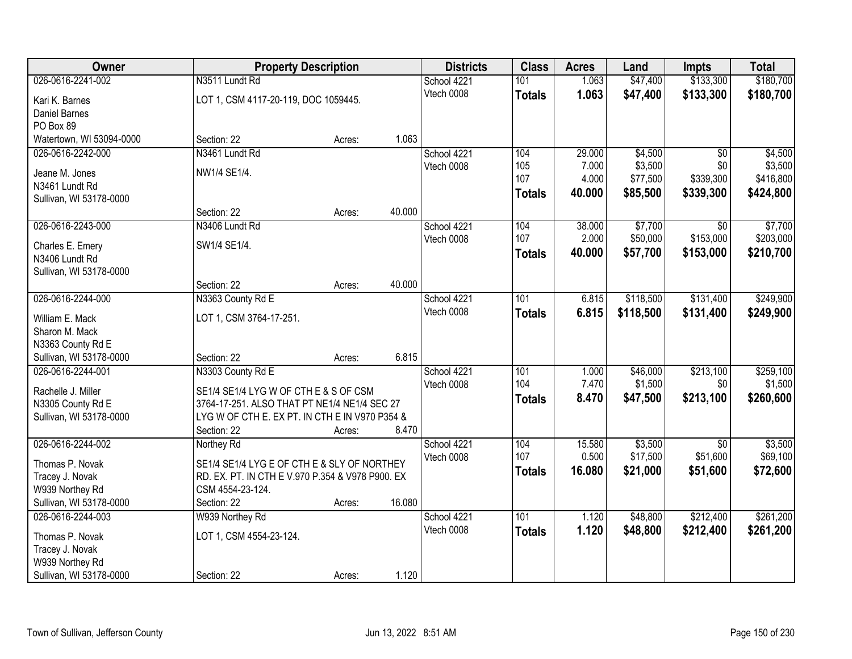| <b>Class</b><br><b>Owner</b><br><b>Districts</b><br><b>Acres</b><br><b>Property Description</b><br>Land<br>Impts        | <b>Total</b> |
|-------------------------------------------------------------------------------------------------------------------------|--------------|
| \$133,300<br>026-0616-2241-002<br>N3511 Lundt Rd<br>1.063<br>\$47,400<br>School 4221<br>101                             | \$180,700    |
| 1.063<br>Vtech 0008<br>\$47,400<br>\$133,300<br><b>Totals</b><br>LOT 1, CSM 4117-20-119, DOC 1059445.<br>Kari K. Barnes | \$180,700    |
| <b>Daniel Barnes</b>                                                                                                    |              |
| PO Box 89                                                                                                               |              |
| Watertown, WI 53094-0000<br>1.063<br>Section: 22<br>Acres:                                                              |              |
| N3461 Lundt Rd<br>29.000<br>\$4,500<br>026-0616-2242-000<br>School 4221<br>104<br>$\overline{30}$                       | \$4,500      |
| \$3,500<br>105<br>7.000<br>\$0<br>Vtech 0008<br>NW1/4 SE1/4.                                                            | \$3,500      |
| Jeane M. Jones<br>107<br>4.000<br>\$77,500<br>\$339,300                                                                 | \$416,800    |
| N3461 Lundt Rd<br>40.000<br>\$85,500<br>\$339,300<br><b>Totals</b><br>Sullivan, WI 53178-0000                           | \$424,800    |
| 40.000<br>Section: 22<br>Acres:                                                                                         |              |
| 026-0616-2243-000<br>\$7,700<br>N3406 Lundt Rd<br>104<br>38.000<br>\$0<br>School 4221                                   | \$7,700      |
| 107<br>\$50,000<br>\$153,000<br>2.000<br>Vtech 0008                                                                     | \$203,000    |
| SW1/4 SE1/4.<br>Charles E. Emery<br>40.000<br>\$57,700<br>\$153,000<br><b>Totals</b>                                    | \$210,700    |
| N3406 Lundt Rd                                                                                                          |              |
| Sullivan, WI 53178-0000                                                                                                 |              |
| 40.000<br>Section: 22<br>Acres:                                                                                         |              |
| 026-0616-2244-000<br>\$118,500<br>\$131,400<br>N3363 County Rd E<br>School 4221<br>101<br>6.815                         | \$249,900    |
| Vtech 0008<br>6.815<br>\$118,500<br>\$131,400<br><b>Totals</b><br>LOT 1, CSM 3764-17-251.<br>William E. Mack            | \$249,900    |
| Sharon M. Mack                                                                                                          |              |
| N3363 County Rd E                                                                                                       |              |
| 6.815<br>Sullivan, WI 53178-0000<br>Section: 22<br>Acres:                                                               |              |
| \$213,100<br>026-0616-2244-001<br>N3303 County Rd E<br>101<br>1.000<br>\$46,000<br>School 4221                          | \$259,100    |
| 104<br>7.470<br>\$1,500<br>\$0<br>Vtech 0008                                                                            | \$1,500      |
| SE1/4 SE1/4 LYG W OF CTH E & S OF CSM<br>Rachelle J. Miller<br>8.470<br>\$213,100<br>\$47,500<br><b>Totals</b>          | \$260,600    |
| 3764-17-251. ALSO THAT PT NE1/4 NE1/4 SEC 27<br>N3305 County Rd E                                                       |              |
| Sullivan, WI 53178-0000<br>LYG W OF CTH E. EX PT. IN CTH E IN V970 P354 &                                               |              |
| 8.470<br>Section: 22<br>Acres:                                                                                          |              |
| 026-0616-2244-002<br>\$3,500<br>School 4221<br>104<br>15.580<br>$\overline{50}$<br>Northey Rd                           | \$3,500      |
| 107<br>0.500<br>\$17,500<br>\$51,600<br>Vtech 0008<br>Thomas P. Novak<br>SE1/4 SE1/4 LYG E OF CTH E & SLY OF NORTHEY    | \$69,100     |
| 16,080<br>\$21,000<br>\$51,600<br><b>Totals</b><br>Tracey J. Novak<br>RD. EX. PT. IN CTH E V.970 P.354 & V978 P900. EX  | \$72,600     |
| W939 Northey Rd<br>CSM 4554-23-124.                                                                                     |              |
| 16.080<br>Sullivan, WI 53178-0000<br>Section: 22<br>Acres:                                                              |              |
| 026-0616-2244-003<br>101<br>\$48,800<br>\$212,400<br>W939 Northey Rd<br>School 4221<br>1.120                            | \$261,200    |
| 1.120<br>Vtech 0008<br>\$48,800<br>\$212,400<br><b>Totals</b><br>LOT 1, CSM 4554-23-124.<br>Thomas P. Novak             | \$261,200    |
| Tracey J. Novak                                                                                                         |              |
| W939 Northey Rd                                                                                                         |              |
| Sullivan, WI 53178-0000<br>1.120<br>Section: 22<br>Acres:                                                               |              |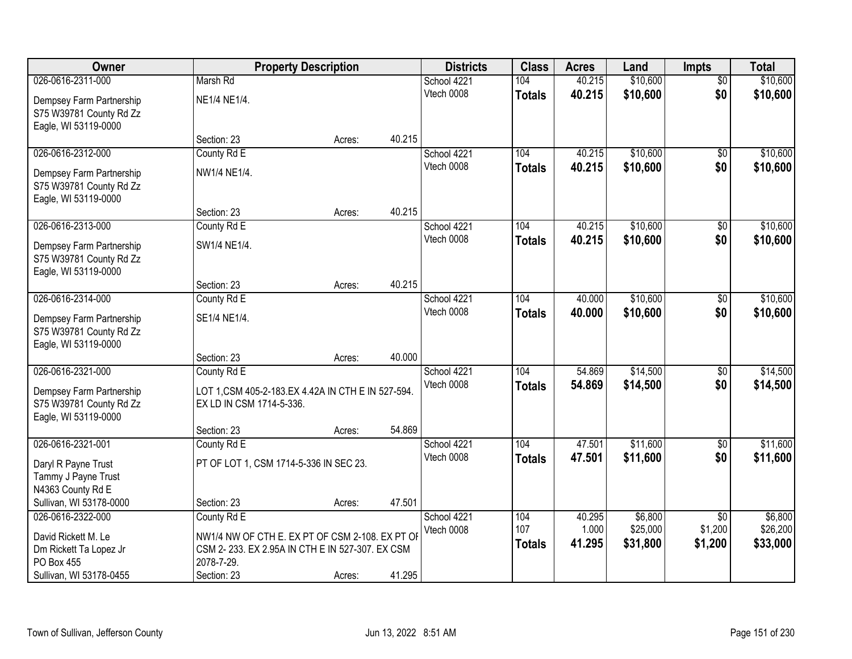| Owner                                               |                                                     | <b>Property Description</b> |        | <b>Districts</b>          | <b>Class</b>  | <b>Acres</b> | Land     | <b>Impts</b>    | <b>Total</b> |
|-----------------------------------------------------|-----------------------------------------------------|-----------------------------|--------|---------------------------|---------------|--------------|----------|-----------------|--------------|
| 026-0616-2311-000                                   | Marsh Rd                                            |                             |        | School 4221               | 104           | 40.215       | \$10,600 | $\overline{50}$ | \$10,600     |
| Dempsey Farm Partnership<br>S75 W39781 County Rd Zz | NE1/4 NE1/4.                                        |                             |        | Vtech 0008                | <b>Totals</b> | 40.215       | \$10,600 | \$0             | \$10,600     |
| Eagle, WI 53119-0000                                |                                                     |                             |        |                           |               |              |          |                 |              |
|                                                     | Section: 23                                         | Acres:                      | 40.215 |                           |               |              |          |                 |              |
| 026-0616-2312-000                                   | County Rd E                                         |                             |        | School 4221               | 104           | 40.215       | \$10,600 | $\overline{50}$ | \$10,600     |
| Dempsey Farm Partnership                            | NW1/4 NE1/4.                                        |                             |        | Vtech 0008                | <b>Totals</b> | 40.215       | \$10,600 | \$0             | \$10,600     |
| S75 W39781 County Rd Zz                             |                                                     |                             |        |                           |               |              |          |                 |              |
| Eagle, WI 53119-0000                                |                                                     |                             |        |                           |               |              |          |                 |              |
|                                                     | Section: 23                                         | Acres:                      | 40.215 |                           |               |              |          |                 |              |
| 026-0616-2313-000                                   | County Rd E                                         |                             |        | School 4221               | 104           | 40.215       | \$10,600 | $\sqrt[6]{3}$   | \$10,600     |
| Dempsey Farm Partnership                            | SW1/4 NE1/4.                                        |                             |        | Vtech 0008                | <b>Totals</b> | 40.215       | \$10,600 | \$0             | \$10,600     |
| S75 W39781 County Rd Zz                             |                                                     |                             |        |                           |               |              |          |                 |              |
| Eagle, WI 53119-0000                                |                                                     |                             |        |                           |               |              |          |                 |              |
|                                                     | Section: 23                                         | Acres:                      | 40.215 |                           |               |              |          |                 |              |
| 026-0616-2314-000                                   | County Rd E                                         |                             |        | School 4221               | 104           | 40.000       | \$10,600 | $\sqrt[6]{3}$   | \$10,600     |
| Dempsey Farm Partnership                            | SE1/4 NE1/4.                                        |                             |        | Vtech 0008                | <b>Totals</b> | 40.000       | \$10,600 | \$0             | \$10,600     |
| S75 W39781 County Rd Zz                             |                                                     |                             |        |                           |               |              |          |                 |              |
| Eagle, WI 53119-0000                                |                                                     |                             |        |                           |               |              |          |                 |              |
| 026-0616-2321-000                                   | Section: 23<br>County Rd E                          | Acres:                      | 40.000 |                           | 104           | 54.869       | \$14,500 | \$0             | \$14,500     |
|                                                     |                                                     |                             |        | School 4221<br>Vtech 0008 | <b>Totals</b> | 54.869       | \$14,500 | \$0             | \$14,500     |
| Dempsey Farm Partnership                            | LOT 1, CSM 405-2-183. EX 4.42A IN CTH E IN 527-594. |                             |        |                           |               |              |          |                 |              |
| S75 W39781 County Rd Zz                             | EX LD IN CSM 1714-5-336.                            |                             |        |                           |               |              |          |                 |              |
| Eagle, WI 53119-0000                                | Section: 23                                         | Acres:                      | 54.869 |                           |               |              |          |                 |              |
| 026-0616-2321-001                                   | County Rd E                                         |                             |        | School 4221               | 104           | 47.501       | \$11,600 | \$0             | \$11,600     |
|                                                     |                                                     |                             |        | Vtech 0008                | <b>Totals</b> | 47.501       | \$11,600 | \$0             | \$11,600     |
| Daryl R Payne Trust                                 | PT OF LOT 1, CSM 1714-5-336 IN SEC 23.              |                             |        |                           |               |              |          |                 |              |
| Tammy J Payne Trust<br>N4363 County Rd E            |                                                     |                             |        |                           |               |              |          |                 |              |
| Sullivan, WI 53178-0000                             | Section: 23                                         | Acres:                      | 47.501 |                           |               |              |          |                 |              |
| 026-0616-2322-000                                   | County Rd E                                         |                             |        | School 4221               | 104           | 40.295       | \$6,800  | $\overline{30}$ | \$6,800      |
| David Rickett M. Le                                 | NW1/4 NW OF CTH E. EX PT OF CSM 2-108. EX PT OF     |                             |        | Vtech 0008                | 107           | 1.000        | \$25,000 | \$1,200         | \$26,200     |
| Dm Rickett Ta Lopez Jr                              | CSM 2-233. EX 2.95A IN CTH E IN 527-307. EX CSM     |                             |        |                           | <b>Totals</b> | 41.295       | \$31,800 | \$1,200         | \$33,000     |
| PO Box 455                                          | 2078-7-29.                                          |                             |        |                           |               |              |          |                 |              |
| Sullivan, WI 53178-0455                             | Section: 23                                         | Acres:                      | 41.295 |                           |               |              |          |                 |              |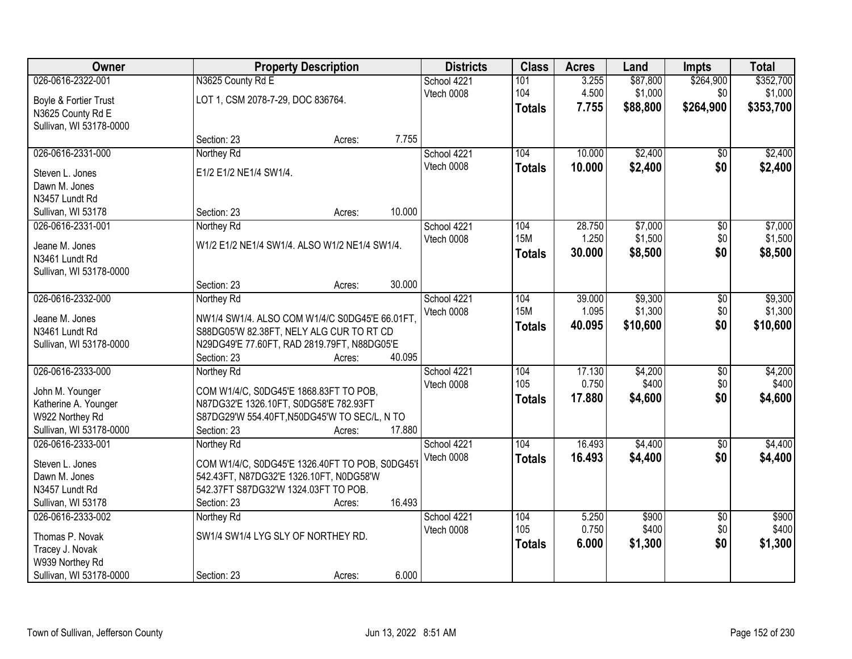| Owner                            |                                                 | <b>Property Description</b> |        | <b>Districts</b> | <b>Class</b>  | <b>Acres</b> | Land     | Impts           | <b>Total</b> |
|----------------------------------|-------------------------------------------------|-----------------------------|--------|------------------|---------------|--------------|----------|-----------------|--------------|
| 026-0616-2322-001                | N3625 County Rd E                               |                             |        | School 4221      | 101           | 3.255        | \$87,800 | \$264,900       | \$352,700    |
| Boyle & Fortier Trust            | LOT 1, CSM 2078-7-29, DOC 836764.               |                             |        | Vtech 0008       | 104           | 4.500        | \$1,000  | \$0             | \$1,000      |
| N3625 County Rd E                |                                                 |                             |        |                  | <b>Totals</b> | 7.755        | \$88,800 | \$264,900       | \$353,700    |
| Sullivan, WI 53178-0000          |                                                 |                             |        |                  |               |              |          |                 |              |
|                                  | Section: 23                                     | Acres:                      | 7.755  |                  |               |              |          |                 |              |
| 026-0616-2331-000                | Northey Rd                                      |                             |        | School 4221      | 104           | 10.000       | \$2,400  | \$0             | \$2,400      |
| Steven L. Jones                  | E1/2 E1/2 NE1/4 SW1/4.                          |                             |        | Vtech 0008       | <b>Totals</b> | 10.000       | \$2,400  | \$0             | \$2,400      |
| Dawn M. Jones                    |                                                 |                             |        |                  |               |              |          |                 |              |
| N3457 Lundt Rd                   |                                                 |                             |        |                  |               |              |          |                 |              |
| Sullivan, WI 53178               | Section: 23                                     | Acres:                      | 10.000 |                  |               |              |          |                 |              |
| 026-0616-2331-001                | Northey Rd                                      |                             |        | School 4221      | 104           | 28.750       | \$7,000  | \$0             | \$7,000      |
|                                  | W1/2 E1/2 NE1/4 SW1/4. ALSO W1/2 NE1/4 SW1/4.   |                             |        | Vtech 0008       | <b>15M</b>    | 1.250        | \$1,500  | \$0             | \$1,500      |
| Jeane M. Jones<br>N3461 Lundt Rd |                                                 |                             |        |                  | <b>Totals</b> | 30.000       | \$8,500  | \$0             | \$8,500      |
| Sullivan, WI 53178-0000          |                                                 |                             |        |                  |               |              |          |                 |              |
|                                  | Section: 23                                     | Acres:                      | 30.000 |                  |               |              |          |                 |              |
| 026-0616-2332-000                | Northey Rd                                      |                             |        | School 4221      | 104           | 39.000       | \$9,300  | \$0             | \$9,300      |
|                                  |                                                 |                             |        | Vtech 0008       | <b>15M</b>    | 1.095        | \$1,300  | \$0             | \$1,300      |
| Jeane M. Jones                   | NW1/4 SW1/4. ALSO COM W1/4/C S0DG45'E 66.01FT.  |                             |        |                  | <b>Totals</b> | 40.095       | \$10,600 | \$0             | \$10,600     |
| N3461 Lundt Rd                   | S88DG05'W 82.38FT, NELY ALG CUR TO RT CD        |                             |        |                  |               |              |          |                 |              |
| Sullivan, WI 53178-0000          | N29DG49'E 77.60FT, RAD 2819.79FT, N88DG05'E     |                             |        |                  |               |              |          |                 |              |
|                                  | Section: 23                                     | Acres:                      | 40.095 |                  |               |              |          |                 |              |
| 026-0616-2333-000                | Northey Rd                                      |                             |        | School 4221      | 104           | 17.130       | \$4,200  | $\overline{50}$ | \$4,200      |
| John M. Younger                  | COM W1/4/C, S0DG45'E 1868.83FT TO POB,          |                             |        | Vtech 0008       | 105           | 0.750        | \$400    | \$0             | \$400        |
| Katherine A. Younger             | N87DG32'E 1326.10FT, S0DG58'E 782.93FT          |                             |        |                  | <b>Totals</b> | 17.880       | \$4,600  | \$0             | \$4,600      |
| W922 Northey Rd                  | S87DG29'W 554.40FT, N50DG45'W TO SEC/L, N TO    |                             |        |                  |               |              |          |                 |              |
| Sullivan, WI 53178-0000          | Section: 23                                     | Acres:                      | 17.880 |                  |               |              |          |                 |              |
| 026-0616-2333-001                | Northey Rd                                      |                             |        | School 4221      | 104           | 16.493       | \$4,400  | $\overline{50}$ | \$4,400      |
| Steven L. Jones                  | COM W1/4/C, S0DG45'E 1326.40FT TO POB, S0DG45'I |                             |        | Vtech 0008       | <b>Totals</b> | 16.493       | \$4,400  | \$0             | \$4,400      |
| Dawn M. Jones                    | 542.43FT, N87DG32'E 1326.10FT, N0DG58'W         |                             |        |                  |               |              |          |                 |              |
| N3457 Lundt Rd                   | 542.37FT S87DG32'W 1324.03FT TO POB.            |                             |        |                  |               |              |          |                 |              |
| Sullivan, WI 53178               | Section: 23                                     | Acres:                      | 16.493 |                  |               |              |          |                 |              |
| 026-0616-2333-002                | Northey Rd                                      |                             |        | School 4221      | 104           | 5.250        | \$900    | $\overline{50}$ | \$900        |
| Thomas P. Novak                  | SW1/4 SW1/4 LYG SLY OF NORTHEY RD.              |                             |        | Vtech 0008       | 105           | 0.750        | \$400    | \$0             | \$400        |
| Tracey J. Novak                  |                                                 |                             |        |                  | <b>Totals</b> | 6.000        | \$1,300  | \$0             | \$1,300      |
| W939 Northey Rd                  |                                                 |                             |        |                  |               |              |          |                 |              |
| Sullivan, WI 53178-0000          | Section: 23                                     | Acres:                      | 6.000  |                  |               |              |          |                 |              |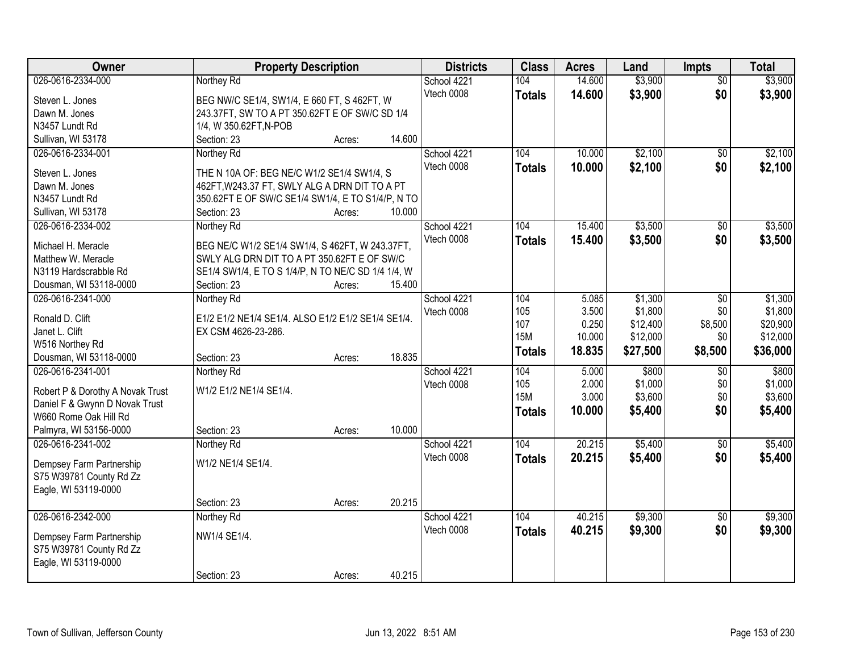| Owner                            | <b>Property Description</b>                        | <b>Districts</b> | <b>Class</b>  | <b>Acres</b> | Land     | <b>Impts</b>    | <b>Total</b> |
|----------------------------------|----------------------------------------------------|------------------|---------------|--------------|----------|-----------------|--------------|
| 026-0616-2334-000                | Northey Rd                                         | School 4221      | 104           | 14.600       | \$3,900  | $\overline{50}$ | \$3,900      |
| Steven L. Jones                  | BEG NW/C SE1/4, SW1/4, E 660 FT, S 462FT, W        | Vtech 0008       | <b>Totals</b> | 14.600       | \$3,900  | \$0             | \$3,900      |
| Dawn M. Jones                    | 243.37FT, SW TO A PT 350.62FT E OF SW/C SD 1/4     |                  |               |              |          |                 |              |
| N3457 Lundt Rd                   | 1/4, W 350.62FT, N-POB                             |                  |               |              |          |                 |              |
| Sullivan, WI 53178               | 14.600<br>Section: 23<br>Acres:                    |                  |               |              |          |                 |              |
| 026-0616-2334-001                | Northey Rd                                         | School 4221      | 104           | 10.000       | \$2,100  | $\overline{50}$ | \$2,100      |
|                                  |                                                    | Vtech 0008       | <b>Totals</b> | 10.000       | \$2,100  | \$0             | \$2,100      |
| Steven L. Jones                  | THE N 10A OF: BEG NE/C W1/2 SE1/4 SW1/4, S         |                  |               |              |          |                 |              |
| Dawn M. Jones                    | 462FT, W243.37 FT, SWLY ALG A DRN DIT TO A PT      |                  |               |              |          |                 |              |
| N3457 Lundt Rd                   | 350.62FT E OF SW/C SE1/4 SW1/4, E TO S1/4/P, N TO  |                  |               |              |          |                 |              |
| Sullivan, WI 53178               | 10.000<br>Section: 23<br>Acres:                    |                  |               |              |          |                 |              |
| 026-0616-2334-002                | Northey Rd                                         | School 4221      | 104           | 15.400       | \$3,500  | $\sqrt[6]{}$    | \$3,500      |
| Michael H. Meracle               | BEG NE/C W1/2 SE1/4 SW1/4, S 462FT, W 243.37FT,    | Vtech 0008       | <b>Totals</b> | 15.400       | \$3,500  | \$0             | \$3,500      |
| Matthew W. Meracle               | SWLY ALG DRN DIT TO A PT 350.62FT E OF SW/C        |                  |               |              |          |                 |              |
| N3119 Hardscrabble Rd            | SE1/4 SW1/4, E TO S 1/4/P, N TO NE/C SD 1/4 1/4, W |                  |               |              |          |                 |              |
| Dousman, WI 53118-0000           | 15.400<br>Section: 23<br>Acres:                    |                  |               |              |          |                 |              |
| 026-0616-2341-000                | Northey Rd                                         | School 4221      | 104           | 5.085        | \$1,300  | $\sqrt[6]{3}$   | \$1,300      |
|                                  |                                                    | Vtech 0008       | 105           | 3.500        | \$1,800  | \$0             | \$1,800      |
| Ronald D. Clift                  | E1/2 E1/2 NE1/4 SE1/4. ALSO E1/2 E1/2 SE1/4 SE1/4. |                  | 107           | 0.250        | \$12,400 | \$8,500         | \$20,900     |
| Janet L. Clift                   | EX CSM 4626-23-286.                                |                  | <b>15M</b>    | 10.000       | \$12,000 | \$0             | \$12,000     |
| W516 Northey Rd                  |                                                    |                  | <b>Totals</b> | 18.835       | \$27,500 | \$8,500         | \$36,000     |
| Dousman, WI 53118-0000           | 18.835<br>Section: 23<br>Acres:                    |                  |               |              |          |                 |              |
| 026-0616-2341-001                | Northey Rd                                         | School 4221      | 104           | 5.000        | \$800    | $\overline{50}$ | \$800        |
| Robert P & Dorothy A Novak Trust | W1/2 E1/2 NE1/4 SE1/4.                             | Vtech 0008       | 105           | 2.000        | \$1,000  | \$0             | \$1,000      |
| Daniel F & Gwynn D Novak Trust   |                                                    |                  | <b>15M</b>    | 3.000        | \$3,600  | \$0             | \$3,600      |
| W660 Rome Oak Hill Rd            |                                                    |                  | <b>Totals</b> | 10.000       | \$5,400  | \$0             | \$5,400      |
| Palmyra, WI 53156-0000           | 10.000<br>Section: 23<br>Acres:                    |                  |               |              |          |                 |              |
| 026-0616-2341-002                | Northey Rd                                         | School 4221      | 104           | 20.215       | \$5,400  | $\sqrt{$0}$     | \$5,400      |
|                                  | W1/2 NE1/4 SE1/4.                                  | Vtech 0008       | <b>Totals</b> | 20.215       | \$5,400  | \$0             | \$5,400      |
| Dempsey Farm Partnership         |                                                    |                  |               |              |          |                 |              |
| S75 W39781 County Rd Zz          |                                                    |                  |               |              |          |                 |              |
| Eagle, WI 53119-0000             | 20.215                                             |                  |               |              |          |                 |              |
|                                  | Section: 23<br>Acres:                              |                  |               |              |          |                 |              |
| 026-0616-2342-000                | Northey Rd                                         | School 4221      | 104           | 40.215       | \$9,300  | $\overline{50}$ | \$9,300      |
| Dempsey Farm Partnership         | NW1/4 SE1/4.                                       | Vtech 0008       | <b>Totals</b> | 40.215       | \$9,300  | \$0             | \$9,300      |
| S75 W39781 County Rd Zz          |                                                    |                  |               |              |          |                 |              |
| Eagle, WI 53119-0000             |                                                    |                  |               |              |          |                 |              |
|                                  | 40.215<br>Section: 23<br>Acres:                    |                  |               |              |          |                 |              |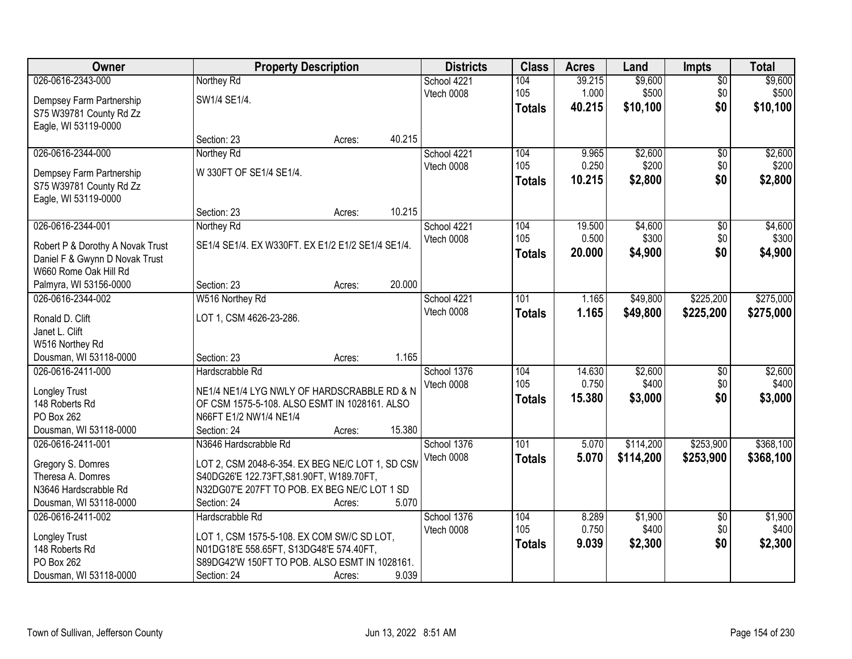| Owner                            |                                                   | <b>Property Description</b> |        | <b>Districts</b> | <b>Class</b>  | <b>Acres</b> | Land      | <b>Impts</b>    | <b>Total</b> |
|----------------------------------|---------------------------------------------------|-----------------------------|--------|------------------|---------------|--------------|-----------|-----------------|--------------|
| 026-0616-2343-000                | Northey Rd                                        |                             |        | School 4221      | 104           | 39.215       | \$9,600   | $\overline{50}$ | \$9,600      |
| Dempsey Farm Partnership         | SW1/4 SE1/4.                                      |                             |        | Vtech 0008       | 105           | 1.000        | \$500     | \$0             | \$500        |
| S75 W39781 County Rd Zz          |                                                   |                             |        |                  | <b>Totals</b> | 40.215       | \$10,100  | \$0             | \$10,100     |
| Eagle, WI 53119-0000             |                                                   |                             |        |                  |               |              |           |                 |              |
|                                  | Section: 23                                       | Acres:                      | 40.215 |                  |               |              |           |                 |              |
| 026-0616-2344-000                | Northey Rd                                        |                             |        | School 4221      | 104           | 9.965        | \$2,600   | \$0             | \$2,600      |
|                                  |                                                   |                             |        | Vtech 0008       | 105           | 0.250        | \$200     | \$0             | \$200        |
| Dempsey Farm Partnership         | W 330FT OF SE1/4 SE1/4.                           |                             |        |                  | <b>Totals</b> | 10.215       | \$2,800   | \$0             | \$2,800      |
| S75 W39781 County Rd Zz          |                                                   |                             |        |                  |               |              |           |                 |              |
| Eagle, WI 53119-0000             | Section: 23                                       |                             | 10.215 |                  |               |              |           |                 |              |
| 026-0616-2344-001                |                                                   | Acres:                      |        | School 4221      | 104           | 19.500       | \$4,600   | $\overline{50}$ | \$4,600      |
|                                  | Northey Rd                                        |                             |        | Vtech 0008       | 105           | 0.500        | \$300     | \$0             | \$300        |
| Robert P & Dorothy A Novak Trust | SE1/4 SE1/4. EX W330FT. EX E1/2 E1/2 SE1/4 SE1/4. |                             |        |                  |               | 20,000       | \$4,900   | \$0             |              |
| Daniel F & Gwynn D Novak Trust   |                                                   |                             |        |                  | <b>Totals</b> |              |           |                 | \$4,900      |
| W660 Rome Oak Hill Rd            |                                                   |                             |        |                  |               |              |           |                 |              |
| Palmyra, WI 53156-0000           | Section: 23                                       | Acres:                      | 20.000 |                  |               |              |           |                 |              |
| 026-0616-2344-002                | W516 Northey Rd                                   |                             |        | School 4221      | 101           | 1.165        | \$49,800  | \$225,200       | \$275,000    |
| Ronald D. Clift                  | LOT 1, CSM 4626-23-286.                           |                             |        | Vtech 0008       | <b>Totals</b> | 1.165        | \$49,800  | \$225,200       | \$275,000    |
| Janet L. Clift                   |                                                   |                             |        |                  |               |              |           |                 |              |
| W516 Northey Rd                  |                                                   |                             |        |                  |               |              |           |                 |              |
| Dousman, WI 53118-0000           | Section: 23                                       | Acres:                      | 1.165  |                  |               |              |           |                 |              |
| 026-0616-2411-000                | Hardscrabble Rd                                   |                             |        | School 1376      | 104           | 14.630       | \$2,600   | $\overline{50}$ | \$2,600      |
|                                  |                                                   |                             |        | Vtech 0008       | 105           | 0.750        | \$400     | \$0             | \$400        |
| Longley Trust                    | NE1/4 NE1/4 LYG NWLY OF HARDSCRABBLE RD & N       |                             |        |                  | <b>Totals</b> | 15.380       | \$3,000   | \$0             | \$3,000      |
| 148 Roberts Rd                   | OF CSM 1575-5-108. ALSO ESMT IN 1028161. ALSO     |                             |        |                  |               |              |           |                 |              |
| PO Box 262                       | N66FT E1/2 NW1/4 NE1/4                            |                             |        |                  |               |              |           |                 |              |
| Dousman, WI 53118-0000           | Section: 24                                       | Acres:                      | 15.380 |                  |               |              |           |                 |              |
| 026-0616-2411-001                | N3646 Hardscrabble Rd                             |                             |        | School 1376      | 101           | 5.070        | \$114,200 | \$253,900       | \$368,100    |
| Gregory S. Domres                | LOT 2, CSM 2048-6-354. EX BEG NE/C LOT 1, SD CSN  |                             |        | Vtech 0008       | <b>Totals</b> | 5.070        | \$114,200 | \$253,900       | \$368,100    |
| Theresa A. Domres                | S40DG26'E 122.73FT, S81.90FT, W189.70FT,          |                             |        |                  |               |              |           |                 |              |
| N3646 Hardscrabble Rd            | N32DG07'E 207FT TO POB. EX BEG NE/C LOT 1 SD      |                             |        |                  |               |              |           |                 |              |
| Dousman, WI 53118-0000           | Section: 24                                       | Acres:                      | 5.070  |                  |               |              |           |                 |              |
| 026-0616-2411-002                | Hardscrabble Rd                                   |                             |        | School 1376      | 104           | 8.289        | \$1,900   | $\overline{30}$ | \$1,900      |
|                                  |                                                   |                             |        | Vtech 0008       | 105           | 0.750        | \$400     | \$0             | \$400        |
| Longley Trust                    | LOT 1, CSM 1575-5-108. EX COM SW/C SD LOT,        |                             |        |                  | <b>Totals</b> | 9.039        | \$2,300   | \$0             | \$2,300      |
| 148 Roberts Rd                   | N01DG18'E 558.65FT, S13DG48'E 574.40FT,           |                             |        |                  |               |              |           |                 |              |
| PO Box 262                       | S89DG42'W 150FT TO POB. ALSO ESMT IN 1028161.     |                             |        |                  |               |              |           |                 |              |
| Dousman, WI 53118-0000           | Section: 24                                       | Acres:                      | 9.039  |                  |               |              |           |                 |              |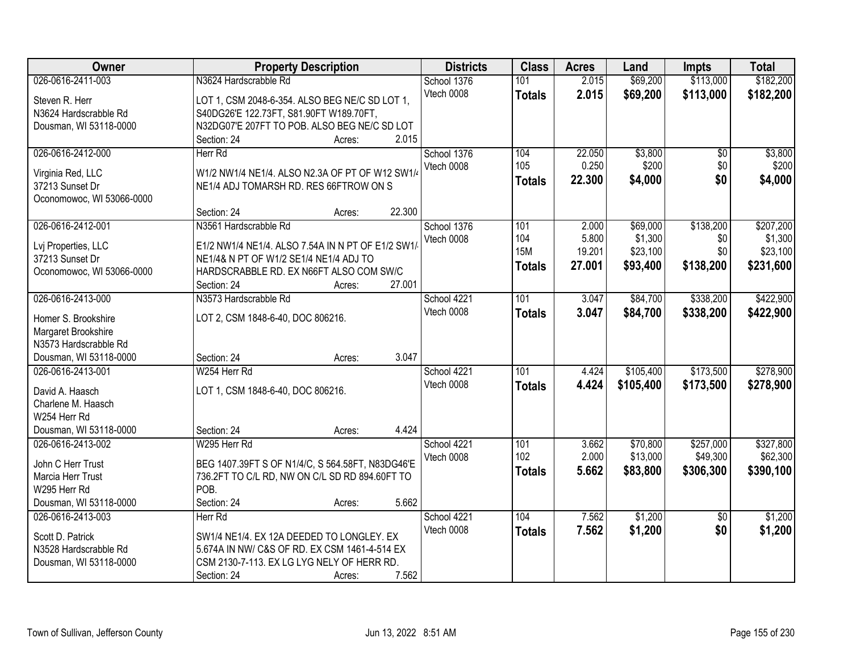| Owner                     | <b>Property Description</b>                       | <b>Districts</b> | <b>Class</b>  | <b>Acres</b> | Land      | <b>Impts</b>    | <b>Total</b> |
|---------------------------|---------------------------------------------------|------------------|---------------|--------------|-----------|-----------------|--------------|
| 026-0616-2411-003         | N3624 Hardscrabble Rd                             | School 1376      | 101           | 2.015        | \$69,200  | \$113,000       | \$182,200    |
| Steven R. Herr            | LOT 1, CSM 2048-6-354. ALSO BEG NE/C SD LOT 1,    | Vtech 0008       | <b>Totals</b> | 2.015        | \$69,200  | \$113,000       | \$182,200    |
| N3624 Hardscrabble Rd     | S40DG26'E 122.73FT, S81.90FT W189.70FT,           |                  |               |              |           |                 |              |
| Dousman, WI 53118-0000    | N32DG07'E 207FT TO POB. ALSO BEG NE/C SD LOT      |                  |               |              |           |                 |              |
|                           | 2.015<br>Section: 24<br>Acres:                    |                  |               |              |           |                 |              |
| 026-0616-2412-000         | Herr Rd                                           | School 1376      | 104           | 22.050       | \$3,800   | $\overline{30}$ | \$3,800      |
|                           |                                                   | Vtech 0008       | 105           | 0.250        | \$200     | \$0             | \$200        |
| Virginia Red, LLC         | W1/2 NW1/4 NE1/4. ALSO N2.3A OF PT OF W12 SW1/    |                  | <b>Totals</b> | 22.300       | \$4,000   | \$0             | \$4,000      |
| 37213 Sunset Dr           | NE1/4 ADJ TOMARSH RD. RES 66FTROW ON S            |                  |               |              |           |                 |              |
| Oconomowoc, WI 53066-0000 |                                                   |                  |               |              |           |                 |              |
|                           | 22.300<br>Section: 24<br>Acres:                   |                  |               |              |           |                 |              |
| 026-0616-2412-001         | N3561 Hardscrabble Rd                             | School 1376      | 101           | 2.000        | \$69,000  | \$138,200       | \$207,200    |
| Lvj Properties, LLC       | E1/2 NW1/4 NE1/4. ALSO 7.54A IN N PT OF E1/2 SW1/ | Vtech 0008       | 104           | 5.800        | \$1,300   | \$0             | \$1,300      |
| 37213 Sunset Dr           | NE1/4& N PT OF W1/2 SE1/4 NE1/4 ADJ TO            |                  | <b>15M</b>    | 19.201       | \$23,100  | \$0             | \$23,100     |
| Oconomowoc, WI 53066-0000 | HARDSCRABBLE RD. EX N66FT ALSO COM SW/C           |                  | <b>Totals</b> | 27.001       | \$93,400  | \$138,200       | \$231,600    |
|                           | 27.001<br>Section: 24<br>Acres:                   |                  |               |              |           |                 |              |
| 026-0616-2413-000         | N3573 Hardscrabble Rd                             | School 4221      | 101           | 3.047        | \$84,700  | \$338,200       | \$422,900    |
|                           |                                                   | Vtech 0008       |               | 3.047        | \$84,700  | \$338,200       | \$422,900    |
| Homer S. Brookshire       | LOT 2, CSM 1848-6-40, DOC 806216.                 |                  | <b>Totals</b> |              |           |                 |              |
| Margaret Brookshire       |                                                   |                  |               |              |           |                 |              |
| N3573 Hardscrabble Rd     |                                                   |                  |               |              |           |                 |              |
| Dousman, WI 53118-0000    | 3.047<br>Section: 24<br>Acres:                    |                  |               |              |           |                 |              |
| 026-0616-2413-001         | W254 Herr Rd                                      | School 4221      | 101           | 4.424        | \$105,400 | \$173,500       | \$278,900    |
| David A. Haasch           | LOT 1, CSM 1848-6-40, DOC 806216.                 | Vtech 0008       | <b>Totals</b> | 4.424        | \$105,400 | \$173,500       | \$278,900    |
| Charlene M. Haasch        |                                                   |                  |               |              |           |                 |              |
| W254 Herr Rd              |                                                   |                  |               |              |           |                 |              |
| Dousman, WI 53118-0000    | 4.424<br>Section: 24<br>Acres:                    |                  |               |              |           |                 |              |
| 026-0616-2413-002         | W295 Herr Rd                                      | School 4221      | 101           | 3.662        | \$70,800  | \$257,000       | \$327,800    |
|                           |                                                   | Vtech 0008       | 102           | 2.000        | \$13,000  | \$49,300        | \$62,300     |
| John C Herr Trust         | BEG 1407.39FT S OF N1/4/C, S 564.58FT, N83DG46'E  |                  |               | 5.662        | \$83,800  | \$306,300       | \$390,100    |
| Marcia Herr Trust         | 736.2FT TO C/L RD, NW ON C/L SD RD 894.60FT TO    |                  | <b>Totals</b> |              |           |                 |              |
| W295 Herr Rd              | POB.                                              |                  |               |              |           |                 |              |
| Dousman, WI 53118-0000    | 5.662<br>Section: 24<br>Acres:                    |                  |               |              |           |                 |              |
| 026-0616-2413-003         | Herr Rd                                           | School 4221      | 104           | 7.562        | \$1,200   | $\overline{50}$ | \$1,200      |
| Scott D. Patrick          | SW1/4 NE1/4. EX 12A DEEDED TO LONGLEY. EX         | Vtech 0008       | <b>Totals</b> | 7.562        | \$1,200   | \$0             | \$1,200      |
| N3528 Hardscrabble Rd     | 5.674A IN NW/ C&S OF RD. EX CSM 1461-4-514 EX     |                  |               |              |           |                 |              |
| Dousman, WI 53118-0000    | CSM 2130-7-113. EX LG LYG NELY OF HERR RD.        |                  |               |              |           |                 |              |
|                           | 7.562<br>Section: 24<br>Acres:                    |                  |               |              |           |                 |              |
|                           |                                                   |                  |               |              |           |                 |              |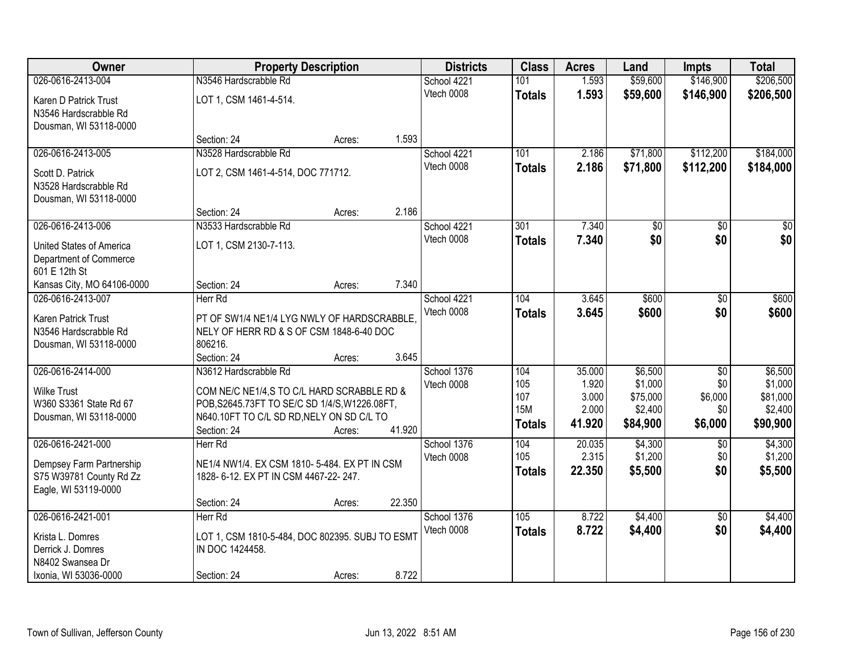| Owner                      |                                                 | <b>Property Description</b> |        | <b>Districts</b> | <b>Class</b>  | <b>Acres</b>   | Land                | <b>Impts</b>    | <b>Total</b>        |
|----------------------------|-------------------------------------------------|-----------------------------|--------|------------------|---------------|----------------|---------------------|-----------------|---------------------|
| 026-0616-2413-004          | N3546 Hardscrabble Rd                           |                             |        | School 4221      | 101           | 1.593          | \$59,600            | \$146,900       | \$206,500           |
| Karen D Patrick Trust      | LOT 1, CSM 1461-4-514.                          |                             |        | Vtech 0008       | <b>Totals</b> | 1.593          | \$59,600            | \$146,900       | \$206,500           |
| N3546 Hardscrabble Rd      |                                                 |                             |        |                  |               |                |                     |                 |                     |
| Dousman, WI 53118-0000     |                                                 |                             |        |                  |               |                |                     |                 |                     |
|                            | Section: 24                                     | Acres:                      | 1.593  |                  |               |                |                     |                 |                     |
| 026-0616-2413-005          | N3528 Hardscrabble Rd                           |                             |        | School 4221      | 101           | 2.186          | \$71,800            | \$112,200       | \$184,000           |
| Scott D. Patrick           | LOT 2, CSM 1461-4-514, DOC 771712.              |                             |        | Vtech 0008       | <b>Totals</b> | 2.186          | \$71,800            | \$112,200       | \$184,000           |
| N3528 Hardscrabble Rd      |                                                 |                             |        |                  |               |                |                     |                 |                     |
| Dousman, WI 53118-0000     |                                                 |                             |        |                  |               |                |                     |                 |                     |
|                            | Section: 24                                     | Acres:                      | 2.186  |                  |               |                |                     |                 |                     |
| 026-0616-2413-006          | N3533 Hardscrabble Rd                           |                             |        | School 4221      | 301           | 7.340          | \$0                 | $\overline{50}$ | $\overline{30}$     |
| United States of America   | LOT 1, CSM 2130-7-113.                          |                             |        | Vtech 0008       | <b>Totals</b> | 7.340          | \$0                 | \$0             | \$0                 |
| Department of Commerce     |                                                 |                             |        |                  |               |                |                     |                 |                     |
| 601 E 12th St              |                                                 |                             |        |                  |               |                |                     |                 |                     |
| Kansas City, MO 64106-0000 | Section: 24                                     | Acres:                      | 7.340  |                  |               |                |                     |                 |                     |
| 026-0616-2413-007          | Herr Rd                                         |                             |        | School 4221      | 104           | 3.645          | \$600               | \$0             | \$600               |
| Karen Patrick Trust        | PT OF SW1/4 NE1/4 LYG NWLY OF HARDSCRABBLE      |                             |        | Vtech 0008       | <b>Totals</b> | 3.645          | \$600               | \$0             | \$600               |
| N3546 Hardscrabble Rd      | NELY OF HERR RD & S OF CSM 1848-6-40 DOC        |                             |        |                  |               |                |                     |                 |                     |
| Dousman, WI 53118-0000     | 806216.                                         |                             |        |                  |               |                |                     |                 |                     |
|                            | Section: 24                                     | Acres:                      | 3.645  |                  |               |                |                     |                 |                     |
| 026-0616-2414-000          | N3612 Hardscrabble Rd                           |                             |        | School 1376      | 104           | 35.000         | \$6,500             | $\overline{50}$ | \$6,500             |
| <b>Wilke Trust</b>         | COM NE/C NE1/4,S TO C/L HARD SCRABBLE RD &      |                             |        | Vtech 0008       | 105<br>107    | 1.920<br>3.000 | \$1,000<br>\$75,000 | \$0<br>\$6,000  | \$1,000<br>\$81,000 |
| W360 S3361 State Rd 67     | POB, S2645.73FT TO SE/C SD 1/4/S, W1226.08FT,   |                             |        |                  | <b>15M</b>    | 2.000          | \$2,400             | \$0             | \$2,400             |
| Dousman, WI 53118-0000     | N640.10FT TO C/L SD RD, NELY ON SD C/L TO       |                             |        |                  | <b>Totals</b> | 41.920         | \$84,900            | \$6,000         | \$90,900            |
|                            | Section: 24                                     | Acres:                      | 41.920 |                  |               |                |                     |                 |                     |
| 026-0616-2421-000          | Herr Rd                                         |                             |        | School 1376      | 104           | 20.035         | \$4,300             | $\overline{50}$ | \$4,300             |
| Dempsey Farm Partnership   | NE1/4 NW1/4. EX CSM 1810- 5-484. EX PT IN CSM   |                             |        | Vtech 0008       | 105           | 2.315          | \$1,200             | \$0             | \$1,200             |
| S75 W39781 County Rd Zz    | 1828- 6-12. EX PT IN CSM 4467-22- 247.          |                             |        |                  | <b>Totals</b> | 22.350         | \$5,500             | \$0             | \$5,500             |
| Eagle, WI 53119-0000       |                                                 |                             |        |                  |               |                |                     |                 |                     |
|                            | Section: 24                                     | Acres:                      | 22.350 |                  |               |                |                     |                 |                     |
| 026-0616-2421-001          | Herr Rd                                         |                             |        | School 1376      | 105           | 8.722          | \$4,400             | $\overline{50}$ | \$4,400             |
| Krista L. Domres           | LOT 1, CSM 1810-5-484, DOC 802395. SUBJ TO ESMT |                             |        | Vtech 0008       | <b>Totals</b> | 8.722          | \$4,400             | \$0             | \$4,400             |
| Derrick J. Domres          | IN DOC 1424458.                                 |                             |        |                  |               |                |                     |                 |                     |
| N8402 Swansea Dr           |                                                 |                             |        |                  |               |                |                     |                 |                     |
| Ixonia, WI 53036-0000      | Section: 24                                     | Acres:                      | 8.722  |                  |               |                |                     |                 |                     |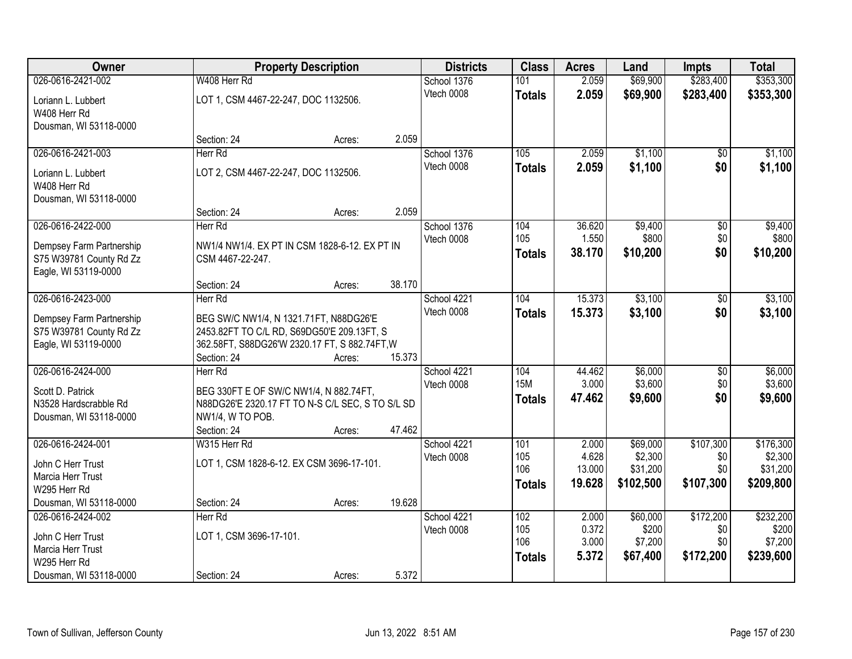| Owner                                               |                                                                                      | <b>Property Description</b> |        |                           | <b>Class</b>  | <b>Acres</b>   | Land              | <b>Impts</b>    | <b>Total</b>       |
|-----------------------------------------------------|--------------------------------------------------------------------------------------|-----------------------------|--------|---------------------------|---------------|----------------|-------------------|-----------------|--------------------|
| 026-0616-2421-002                                   | W408 Herr Rd                                                                         |                             |        | School 1376               | 101           | 2.059          | \$69,900          | \$283,400       | \$353,300          |
| Loriann L. Lubbert<br>W408 Herr Rd                  | LOT 1, CSM 4467-22-247, DOC 1132506.                                                 |                             |        | Vtech 0008                | <b>Totals</b> | 2.059          | \$69,900          | \$283,400       | \$353,300          |
| Dousman, WI 53118-0000                              |                                                                                      |                             |        |                           |               |                |                   |                 |                    |
|                                                     | Section: 24                                                                          | Acres:                      | 2.059  |                           |               |                |                   |                 |                    |
| 026-0616-2421-003                                   | Herr Rd                                                                              |                             |        | School 1376               | 105           | 2.059          | \$1,100           | \$0             | \$1,100            |
|                                                     | LOT 2, CSM 4467-22-247, DOC 1132506.                                                 |                             |        | Vtech 0008                | <b>Totals</b> | 2.059          | \$1,100           | \$0             | \$1,100            |
| Loriann L. Lubbert<br>W408 Herr Rd                  |                                                                                      |                             |        |                           |               |                |                   |                 |                    |
| Dousman, WI 53118-0000                              |                                                                                      |                             |        |                           |               |                |                   |                 |                    |
|                                                     | Section: 24                                                                          | Acres:                      | 2.059  |                           |               |                |                   |                 |                    |
| 026-0616-2422-000                                   | Herr Rd                                                                              |                             |        | School 1376               | 104           | 36.620         | \$9,400           | $\overline{50}$ | \$9,400            |
|                                                     |                                                                                      |                             |        | Vtech 0008                | 105           | 1.550          | \$800             | \$0             | \$800              |
| Dempsey Farm Partnership<br>S75 W39781 County Rd Zz | NW1/4 NW1/4. EX PT IN CSM 1828-6-12. EX PT IN<br>CSM 4467-22-247.                    |                             |        |                           | <b>Totals</b> | 38.170         | \$10,200          | \$0             | \$10,200           |
| Eagle, WI 53119-0000                                |                                                                                      |                             |        |                           |               |                |                   |                 |                    |
|                                                     | Section: 24                                                                          | Acres:                      | 38.170 |                           |               |                |                   |                 |                    |
| 026-0616-2423-000                                   | Herr Rd                                                                              |                             |        | School 4221               | 104           | 15.373         | \$3,100           | \$0             | \$3,100            |
|                                                     |                                                                                      |                             |        | Vtech 0008                | <b>Totals</b> | 15.373         | \$3,100           | \$0             | \$3,100            |
| Dempsey Farm Partnership<br>S75 W39781 County Rd Zz | BEG SW/C NW1/4, N 1321.71FT, N88DG26'E<br>2453.82FT TO C/L RD, S69DG50'E 209.13FT, S |                             |        |                           |               |                |                   |                 |                    |
| Eagle, WI 53119-0000                                | 362.58FT, S88DG26'W 2320.17 FT, S 882.74FT, W                                        |                             |        |                           |               |                |                   |                 |                    |
|                                                     | Section: 24                                                                          | Acres:                      | 15.373 |                           |               |                |                   |                 |                    |
| 026-0616-2424-000                                   | Herr Rd                                                                              |                             |        | School 4221               | 104           | 44.462         | \$6,000           | $\overline{50}$ | \$6,000            |
|                                                     |                                                                                      |                             |        | Vtech 0008                | <b>15M</b>    | 3.000          | \$3,600           | \$0             | \$3,600            |
| Scott D. Patrick                                    | BEG 330FT E OF SW/C NW1/4, N 882.74FT,                                               |                             |        |                           | <b>Totals</b> | 47.462         | \$9,600           | \$0             | \$9,600            |
| N3528 Hardscrabble Rd                               | N88DG26'E 2320.17 FT TO N-S C/L SEC, S TO S/L SD                                     |                             |        |                           |               |                |                   |                 |                    |
| Dousman, WI 53118-0000                              | NW1/4, W TO POB.<br>Section: 24                                                      | Acres:                      | 47.462 |                           |               |                |                   |                 |                    |
| 026-0616-2424-001                                   | W315 Herr Rd                                                                         |                             |        | School 4221               | 101           | 2.000          | \$69,000          | \$107,300       | \$176,300          |
|                                                     |                                                                                      |                             |        | Vtech 0008                | 105           | 4.628          | \$2,300           | \$0             | \$2,300            |
| John C Herr Trust                                   | LOT 1, CSM 1828-6-12. EX CSM 3696-17-101.                                            |                             |        |                           | 106           | 13.000         | \$31,200          | \$0             | \$31,200           |
| Marcia Herr Trust                                   |                                                                                      |                             |        |                           | <b>Totals</b> | 19.628         | \$102,500         | \$107,300       | \$209,800          |
| W295 Herr Rd                                        |                                                                                      |                             |        |                           |               |                |                   |                 |                    |
| Dousman, WI 53118-0000                              | Section: 24<br>Herr Rd                                                               | Acres:                      | 19.628 |                           |               |                |                   | \$172,200       |                    |
| 026-0616-2424-002                                   |                                                                                      |                             |        | School 4221<br>Vtech 0008 | 102<br>105    | 2.000<br>0.372 | \$60,000<br>\$200 | \$0             | \$232,200<br>\$200 |
| John C Herr Trust                                   | LOT 1, CSM 3696-17-101.                                                              |                             |        |                           | 106           | 3.000          | \$7,200           | \$0             | \$7,200            |
| Marcia Herr Trust                                   |                                                                                      |                             |        |                           | <b>Totals</b> | 5.372          | \$67,400          | \$172,200       | \$239,600          |
| W295 Herr Rd                                        |                                                                                      |                             |        |                           |               |                |                   |                 |                    |
| Dousman, WI 53118-0000                              | Section: 24                                                                          | Acres:                      | 5.372  |                           |               |                |                   |                 |                    |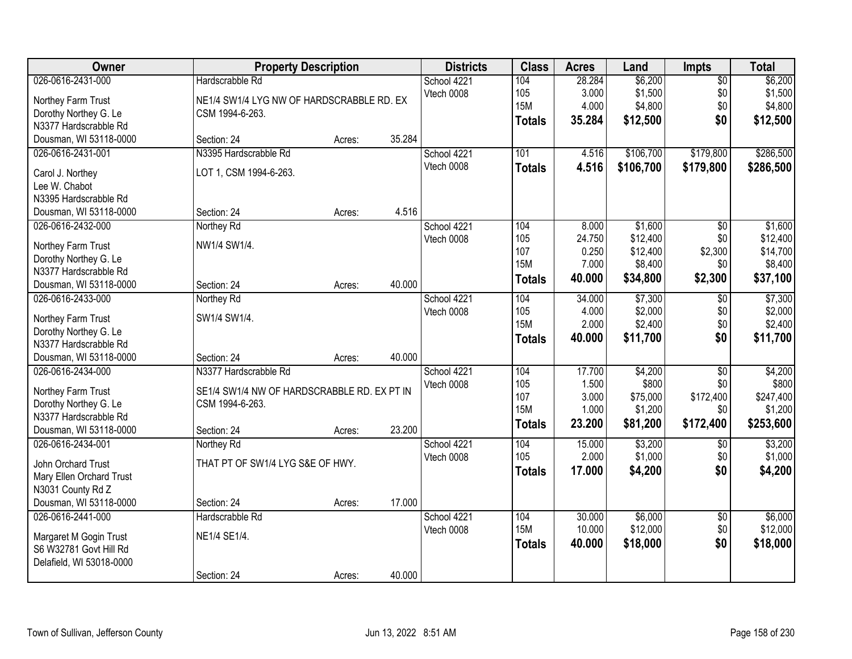| Owner                                       | <b>Property Description</b>                 |        |        | <b>Districts</b> | <b>Class</b>      | <b>Acres</b> | Land      | <b>Impts</b>    | <b>Total</b> |
|---------------------------------------------|---------------------------------------------|--------|--------|------------------|-------------------|--------------|-----------|-----------------|--------------|
| 026-0616-2431-000                           | Hardscrabble Rd                             |        |        | School 4221      | 104               | 28.284       | \$6,200   | $\sqrt{$0}$     | \$6,200      |
| Northey Farm Trust                          | NE1/4 SW1/4 LYG NW OF HARDSCRABBLE RD. EX   |        |        | Vtech 0008       | 105               | 3.000        | \$1,500   | \$0             | \$1,500      |
| Dorothy Northey G. Le                       | CSM 1994-6-263.                             |        |        |                  | <b>15M</b>        | 4.000        | \$4,800   | \$0             | \$4,800      |
| N3377 Hardscrabble Rd                       |                                             |        |        |                  | <b>Totals</b>     | 35.284       | \$12,500  | \$0             | \$12,500     |
| Dousman, WI 53118-0000                      | Section: 24                                 | Acres: | 35.284 |                  |                   |              |           |                 |              |
| 026-0616-2431-001                           | N3395 Hardscrabble Rd                       |        |        | School 4221      | 101               | 4.516        | \$106,700 | \$179,800       | \$286,500    |
|                                             |                                             |        |        | Vtech 0008       | <b>Totals</b>     | 4.516        | \$106,700 | \$179,800       | \$286,500    |
| Carol J. Northey                            | LOT 1, CSM 1994-6-263.                      |        |        |                  |                   |              |           |                 |              |
| Lee W. Chabot                               |                                             |        |        |                  |                   |              |           |                 |              |
| N3395 Hardscrabble Rd                       |                                             |        | 4.516  |                  |                   |              |           |                 |              |
| Dousman, WI 53118-0000                      | Section: 24                                 | Acres: |        |                  |                   |              |           |                 |              |
| 026-0616-2432-000                           | Northey Rd                                  |        |        | School 4221      | 104               | 8.000        | \$1,600   | \$0             | \$1,600      |
| Northey Farm Trust                          | NW1/4 SW1/4.                                |        |        | Vtech 0008       | 105               | 24.750       | \$12,400  | \$0             | \$12,400     |
| Dorothy Northey G. Le                       |                                             |        |        |                  | 107<br><b>15M</b> | 0.250        | \$12,400  | \$2,300         | \$14,700     |
| N3377 Hardscrabble Rd                       |                                             |        |        |                  |                   | 7.000        | \$8,400   | \$0             | \$8,400      |
| Dousman, WI 53118-0000                      | Section: 24                                 | Acres: | 40.000 |                  | <b>Totals</b>     | 40.000       | \$34,800  | \$2,300         | \$37,100     |
| 026-0616-2433-000                           | Northey Rd                                  |        |        | School 4221      | 104               | 34.000       | \$7,300   | \$0             | \$7,300      |
|                                             | SW1/4 SW1/4.                                |        |        | Vtech 0008       | 105               | 4.000        | \$2,000   | \$0             | \$2,000      |
| Northey Farm Trust<br>Dorothy Northey G. Le |                                             |        |        |                  | <b>15M</b>        | 2.000        | \$2,400   | \$0             | \$2,400      |
| N3377 Hardscrabble Rd                       |                                             |        |        |                  | <b>Totals</b>     | 40.000       | \$11,700  | \$0             | \$11,700     |
| Dousman, WI 53118-0000                      | Section: 24                                 |        | 40.000 |                  |                   |              |           |                 |              |
| 026-0616-2434-000                           | N3377 Hardscrabble Rd                       | Acres: |        | School 4221      | 104               | 17.700       | \$4,200   | $\overline{50}$ | \$4,200      |
|                                             |                                             |        |        |                  | 105               | 1.500        | \$800     | \$0             | \$800        |
| Northey Farm Trust                          | SE1/4 SW1/4 NW OF HARDSCRABBLE RD. EX PT IN |        |        | Vtech 0008       | 107               | 3.000        | \$75,000  | \$172,400       | \$247,400    |
| Dorothy Northey G. Le                       | CSM 1994-6-263.                             |        |        |                  | <b>15M</b>        | 1.000        | \$1,200   | \$0             | \$1,200      |
| N3377 Hardscrabble Rd                       |                                             |        |        |                  |                   | 23.200       | \$81,200  | \$172,400       | \$253,600    |
| Dousman, WI 53118-0000                      | Section: 24                                 | Acres: | 23.200 |                  | <b>Totals</b>     |              |           |                 |              |
| 026-0616-2434-001                           | Northey Rd                                  |        |        | School 4221      | 104               | 15.000       | \$3,200   | $\overline{50}$ | \$3,200      |
| John Orchard Trust                          | THAT PT OF SW1/4 LYG S&E OF HWY.            |        |        | Vtech 0008       | 105               | 2.000        | \$1,000   | \$0             | \$1,000      |
| Mary Ellen Orchard Trust                    |                                             |        |        |                  | <b>Totals</b>     | 17,000       | \$4,200   | \$0             | \$4,200      |
| N3031 County Rd Z                           |                                             |        |        |                  |                   |              |           |                 |              |
| Dousman, WI 53118-0000                      | Section: 24                                 | Acres: | 17.000 |                  |                   |              |           |                 |              |
| 026-0616-2441-000                           | Hardscrabble Rd                             |        |        | School 4221      | 104               | 30.000       | \$6,000   | $\overline{60}$ | \$6,000      |
|                                             |                                             |        |        | Vtech 0008       | <b>15M</b>        | 10.000       | \$12,000  | \$0             | \$12,000     |
| Margaret M Gogin Trust                      | NE1/4 SE1/4.                                |        |        |                  | <b>Totals</b>     | 40.000       | \$18,000  | \$0             | \$18,000     |
| S6 W32781 Govt Hill Rd                      |                                             |        |        |                  |                   |              |           |                 |              |
| Delafield, WI 53018-0000                    |                                             |        |        |                  |                   |              |           |                 |              |
|                                             | Section: 24                                 | Acres: | 40.000 |                  |                   |              |           |                 |              |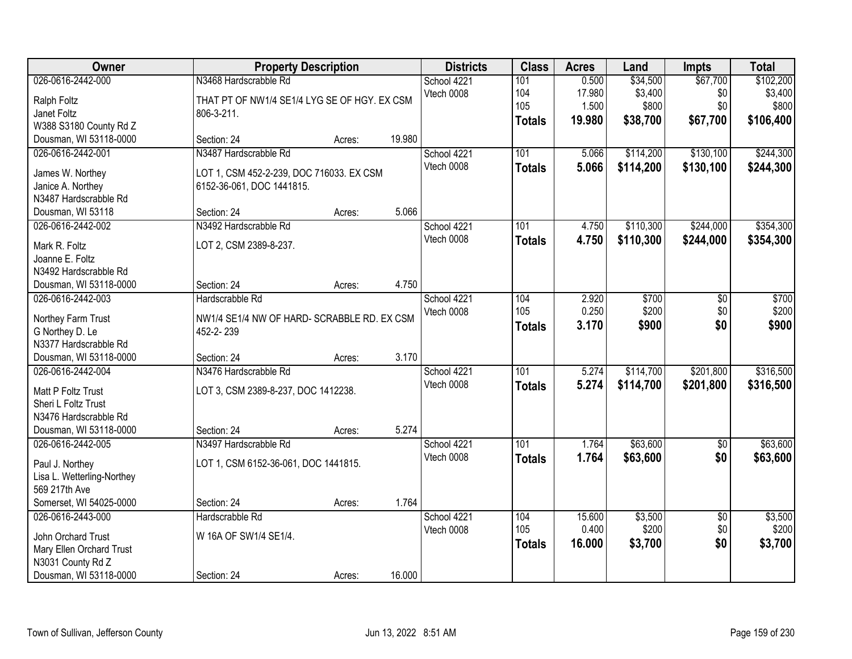| Owner                                                                                                             | <b>Property Description</b>                                                                                   |        |        | <b>Districts</b>          | <b>Class</b>                       | <b>Acres</b>                       | Land                                     | <b>Impts</b>                       | <b>Total</b>                               |
|-------------------------------------------------------------------------------------------------------------------|---------------------------------------------------------------------------------------------------------------|--------|--------|---------------------------|------------------------------------|------------------------------------|------------------------------------------|------------------------------------|--------------------------------------------|
| 026-0616-2442-000<br>Ralph Foltz<br>Janet Foltz<br>W388 S3180 County Rd Z                                         | N3468 Hardscrabble Rd<br>THAT PT OF NW1/4 SE1/4 LYG SE OF HGY. EX CSM<br>806-3-211.                           |        |        | School 4221<br>Vtech 0008 | 101<br>104<br>105<br><b>Totals</b> | 0.500<br>17.980<br>1.500<br>19.980 | \$34,500<br>\$3,400<br>\$800<br>\$38,700 | \$67,700<br>\$0<br>\$0<br>\$67,700 | \$102,200<br>\$3,400<br>\$800<br>\$106,400 |
| Dousman, WI 53118-0000                                                                                            | Section: 24                                                                                                   | Acres: | 19.980 |                           |                                    |                                    |                                          |                                    |                                            |
| 026-0616-2442-001<br>James W. Northey<br>Janice A. Northey<br>N3487 Hardscrabble Rd<br>Dousman, WI 53118          | N3487 Hardscrabble Rd<br>LOT 1, CSM 452-2-239, DOC 716033. EX CSM<br>6152-36-061, DOC 1441815.<br>Section: 24 | Acres: | 5.066  | School 4221<br>Vtech 0008 | 101<br><b>Totals</b>               | 5.066<br>5.066                     | \$114,200<br>\$114,200                   | \$130,100<br>\$130,100             | \$244,300<br>\$244,300                     |
| 026-0616-2442-002                                                                                                 | N3492 Hardscrabble Rd                                                                                         |        |        | School 4221               | 101                                | 4.750                              | \$110,300                                | \$244,000                          | \$354,300                                  |
| Mark R. Foltz<br>Joanne E. Foltz<br>N3492 Hardscrabble Rd<br>Dousman, WI 53118-0000                               | LOT 2, CSM 2389-8-237.<br>Section: 24                                                                         | Acres: | 4.750  | Vtech 0008                | <b>Totals</b>                      | 4.750                              | \$110,300                                | \$244,000                          | \$354,300                                  |
| 026-0616-2442-003                                                                                                 | Hardscrabble Rd                                                                                               |        |        | School 4221               | 104                                | 2.920                              | \$700                                    | \$0                                | \$700                                      |
| Northey Farm Trust<br>G Northey D. Le<br>N3377 Hardscrabble Rd                                                    | NW1/4 SE1/4 NW OF HARD- SCRABBLE RD. EX CSM<br>452-2-239                                                      |        |        | Vtech 0008                | 105<br><b>Totals</b>               | 0.250<br>3.170                     | \$200<br>\$900                           | \$0<br>\$0                         | \$200<br>\$900                             |
| Dousman, WI 53118-0000                                                                                            | Section: 24                                                                                                   | Acres: | 3.170  |                           |                                    |                                    |                                          |                                    |                                            |
| 026-0616-2442-004<br>Matt P Foltz Trust<br>Sheri L Foltz Trust<br>N3476 Hardscrabble Rd<br>Dousman, WI 53118-0000 | N3476 Hardscrabble Rd<br>LOT 3, CSM 2389-8-237, DOC 1412238.<br>Section: 24                                   | Acres: | 5.274  | School 4221<br>Vtech 0008 | 101<br><b>Totals</b>               | 5.274<br>5.274                     | \$114,700<br>\$114,700                   | \$201,800<br>\$201,800             | \$316,500<br>\$316,500                     |
| 026-0616-2442-005                                                                                                 | N3497 Hardscrabble Rd                                                                                         |        |        | School 4221               | 101                                | 1.764                              | \$63,600                                 | $\overline{50}$                    | \$63,600                                   |
| Paul J. Northey<br>Lisa L. Wetterling-Northey<br>569 217th Ave<br>Somerset, WI 54025-0000                         | LOT 1, CSM 6152-36-061, DOC 1441815.<br>Section: 24                                                           | Acres: | 1.764  | Vtech 0008                | <b>Totals</b>                      | 1.764                              | \$63,600                                 | \$0                                | \$63,600                                   |
| 026-0616-2443-000                                                                                                 | Hardscrabble Rd                                                                                               |        |        | School 4221               | 104                                | 15.600                             | \$3,500                                  | $\overline{50}$                    | \$3,500                                    |
| John Orchard Trust<br>Mary Ellen Orchard Trust<br>N3031 County Rd Z<br>Dousman, WI 53118-0000                     | W 16A OF SW1/4 SE1/4.<br>Section: 24                                                                          | Acres: | 16.000 | Vtech 0008                | 105<br><b>Totals</b>               | 0.400<br>16,000                    | \$200<br>\$3,700                         | \$0<br>\$0                         | \$200<br>\$3,700                           |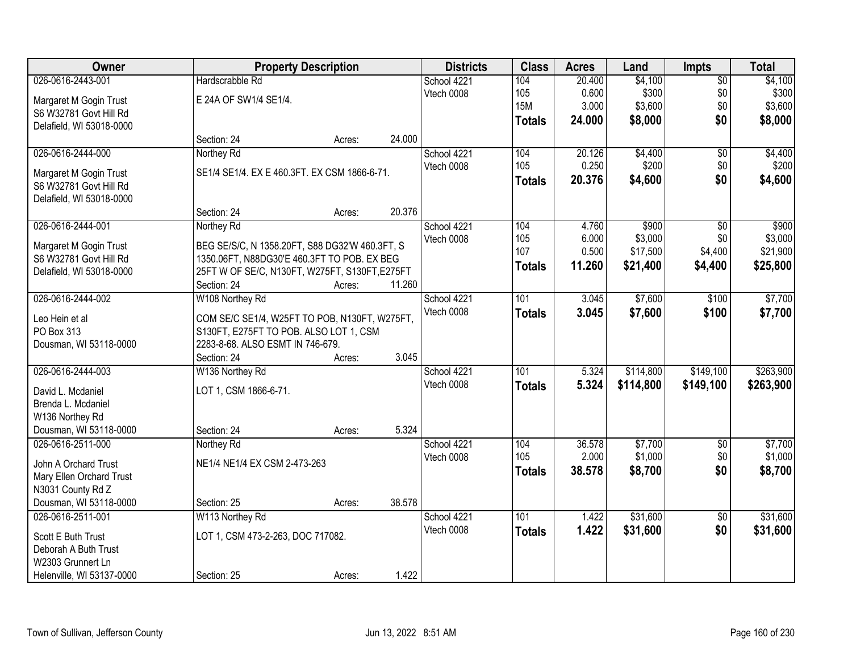| <b>Owner</b>              |                                                | <b>Property Description</b> |        |             | <b>Class</b>  | <b>Acres</b> | Land      | Impts           | <b>Total</b> |
|---------------------------|------------------------------------------------|-----------------------------|--------|-------------|---------------|--------------|-----------|-----------------|--------------|
| 026-0616-2443-001         | Hardscrabble Rd                                |                             |        | School 4221 | 104           | 20.400       | \$4,100   | $\overline{60}$ | \$4,100      |
| Margaret M Gogin Trust    | E 24A OF SW1/4 SE1/4.                          |                             |        | Vtech 0008  | 105           | 0.600        | \$300     | \$0             | \$300        |
| S6 W32781 Govt Hill Rd    |                                                |                             |        |             | <b>15M</b>    | 3.000        | \$3,600   | \$0             | \$3,600      |
| Delafield, WI 53018-0000  |                                                |                             |        |             | <b>Totals</b> | 24.000       | \$8,000   | \$0             | \$8,000      |
|                           | Section: 24                                    | Acres:                      | 24.000 |             |               |              |           |                 |              |
| 026-0616-2444-000         | Northey Rd                                     |                             |        | School 4221 | 104           | 20.126       | \$4,400   | $\overline{50}$ | \$4,400      |
| Margaret M Gogin Trust    | SE1/4 SE1/4. EX E 460.3FT. EX CSM 1866-6-71.   |                             |        | Vtech 0008  | 105           | 0.250        | \$200     | \$0             | \$200        |
| S6 W32781 Govt Hill Rd    |                                                |                             |        |             | <b>Totals</b> | 20.376       | \$4,600   | \$0             | \$4,600      |
| Delafield, WI 53018-0000  |                                                |                             |        |             |               |              |           |                 |              |
|                           | Section: 24                                    | Acres:                      | 20.376 |             |               |              |           |                 |              |
| 026-0616-2444-001         | Northey Rd                                     |                             |        | School 4221 | 104           | 4.760        | \$900     | \$0             | \$900        |
| Margaret M Gogin Trust    | BEG SE/S/C, N 1358.20FT, S88 DG32'W 460.3FT, S |                             |        | Vtech 0008  | 105           | 6.000        | \$3,000   | \$0             | \$3,000      |
| S6 W32781 Govt Hill Rd    | 1350.06FT, N88DG30'E 460.3FT TO POB. EX BEG    |                             |        |             | 107           | 0.500        | \$17,500  | \$4,400         | \$21,900     |
| Delafield, WI 53018-0000  | 25FT W OF SE/C, N130FT, W275FT, S130FT, E275FT |                             |        |             | <b>Totals</b> | 11.260       | \$21,400  | \$4,400         | \$25,800     |
|                           | Section: 24                                    | Acres:                      | 11.260 |             |               |              |           |                 |              |
| 026-0616-2444-002         | W108 Northey Rd                                |                             |        | School 4221 | 101           | 3.045        | \$7,600   | \$100           | \$7,700      |
|                           |                                                |                             |        | Vtech 0008  | <b>Totals</b> | 3.045        | \$7,600   | \$100           | \$7,700      |
| Leo Hein et al            | COM SE/C SE1/4, W25FT TO POB, N130FT, W275FT,  |                             |        |             |               |              |           |                 |              |
| PO Box 313                | S130FT, E275FT TO POB. ALSO LOT 1, CSM         |                             |        |             |               |              |           |                 |              |
| Dousman, WI 53118-0000    | 2283-8-68. ALSO ESMT IN 746-679.               |                             |        |             |               |              |           |                 |              |
|                           | Section: 24                                    | Acres:                      | 3.045  |             |               |              |           |                 |              |
| 026-0616-2444-003         | W136 Northey Rd                                |                             |        | School 4221 | 101           | 5.324        | \$114,800 | \$149,100       | \$263,900    |
| David L. Mcdaniel         | LOT 1, CSM 1866-6-71.                          |                             |        | Vtech 0008  | <b>Totals</b> | 5.324        | \$114,800 | \$149,100       | \$263,900    |
| Brenda L. Mcdaniel        |                                                |                             |        |             |               |              |           |                 |              |
| W136 Northey Rd           |                                                |                             |        |             |               |              |           |                 |              |
| Dousman, WI 53118-0000    | Section: 24                                    | Acres:                      | 5.324  |             |               |              |           |                 |              |
| 026-0616-2511-000         | Northey Rd                                     |                             |        | School 4221 | 104           | 36.578       | \$7,700   | $\overline{50}$ | \$7,700      |
| John A Orchard Trust      | NE1/4 NE1/4 EX CSM 2-473-263                   |                             |        | Vtech 0008  | 105           | 2.000        | \$1,000   | \$0             | \$1,000      |
| Mary Ellen Orchard Trust  |                                                |                             |        |             | <b>Totals</b> | 38.578       | \$8,700   | \$0             | \$8,700      |
| N3031 County Rd Z         |                                                |                             |        |             |               |              |           |                 |              |
| Dousman, WI 53118-0000    | Section: 25                                    | Acres:                      | 38.578 |             |               |              |           |                 |              |
| 026-0616-2511-001         | W113 Northey Rd                                |                             |        | School 4221 | 101           | 1.422        | \$31,600  | $\overline{50}$ | \$31,600     |
| Scott E Buth Trust        | LOT 1, CSM 473-2-263, DOC 717082.              |                             |        | Vtech 0008  | <b>Totals</b> | 1.422        | \$31,600  | \$0             | \$31,600     |
| Deborah A Buth Trust      |                                                |                             |        |             |               |              |           |                 |              |
| W2303 Grunnert Ln         |                                                |                             |        |             |               |              |           |                 |              |
| Helenville, WI 53137-0000 | Section: 25                                    | Acres:                      | 1.422  |             |               |              |           |                 |              |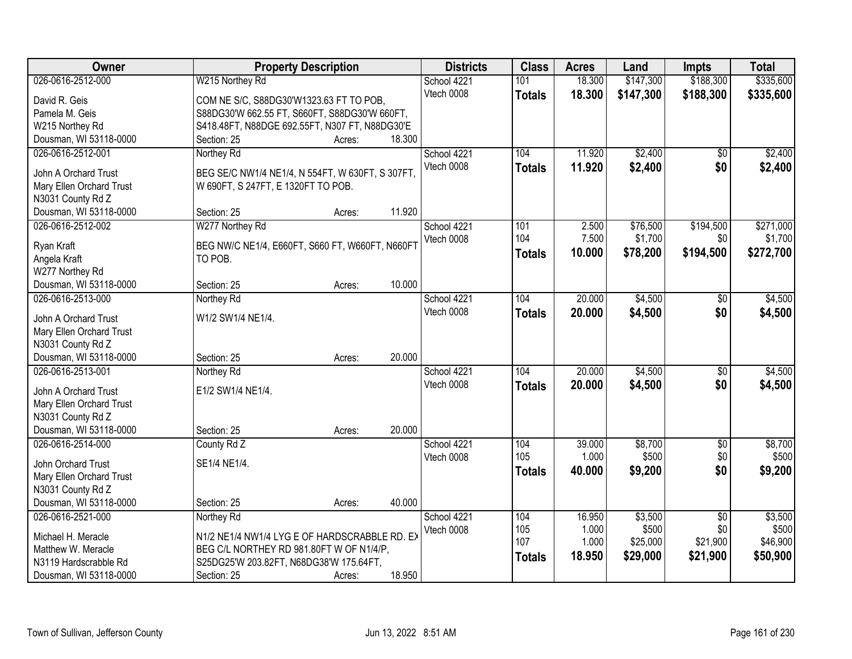| Owner                    | <b>Property Description</b>                      | <b>Districts</b> | <b>Class</b>  | <b>Acres</b> | Land      | <b>Impts</b>    | <b>Total</b> |
|--------------------------|--------------------------------------------------|------------------|---------------|--------------|-----------|-----------------|--------------|
| 026-0616-2512-000        | W215 Northey Rd                                  | School 4221      | 101           | 18.300       | \$147,300 | \$188,300       | \$335,600    |
| David R. Geis            | COM NE S/C, S88DG30'W1323.63 FT TO POB,          | Vtech 0008       | <b>Totals</b> | 18.300       | \$147,300 | \$188,300       | \$335,600    |
| Pamela M. Geis           | S88DG30'W 662.55 FT, S660FT, S88DG30'W 660FT,    |                  |               |              |           |                 |              |
| W215 Northey Rd          | S418.48FT, N88DGE 692.55FT, N307 FT, N88DG30'E   |                  |               |              |           |                 |              |
| Dousman, WI 53118-0000   | 18.300<br>Section: 25<br>Acres:                  |                  |               |              |           |                 |              |
| 026-0616-2512-001        | Northey Rd                                       | School 4221      | 104           | 11.920       | \$2,400   | $\overline{50}$ | \$2,400      |
|                          |                                                  | Vtech 0008       | <b>Totals</b> | 11.920       | \$2,400   | \$0             | \$2,400      |
| John A Orchard Trust     | BEG SE/C NW1/4 NE1/4, N 554FT, W 630FT, S 307FT, |                  |               |              |           |                 |              |
| Mary Ellen Orchard Trust | W 690FT, S 247FT, E 1320FT TO POB.               |                  |               |              |           |                 |              |
| N3031 County Rd Z        |                                                  |                  |               |              |           |                 |              |
| Dousman, WI 53118-0000   | 11.920<br>Section: 25<br>Acres:                  |                  |               |              |           |                 |              |
| 026-0616-2512-002        | W277 Northey Rd                                  | School 4221      | 101           | 2.500        | \$76,500  | \$194,500       | \$271,000    |
| Ryan Kraft               | BEG NW/C NE1/4, E660FT, S660 FT, W660FT, N660FT  | Vtech 0008       | 104           | 7.500        | \$1,700   | \$0             | \$1,700      |
| Angela Kraft             | TO POB.                                          |                  | <b>Totals</b> | 10.000       | \$78,200  | \$194,500       | \$272,700    |
| W277 Northey Rd          |                                                  |                  |               |              |           |                 |              |
| Dousman, WI 53118-0000   | 10.000<br>Section: 25<br>Acres:                  |                  |               |              |           |                 |              |
| 026-0616-2513-000        | Northey Rd                                       | School 4221      | 104           | 20.000       | \$4,500   | \$0             | \$4,500      |
|                          |                                                  | Vtech 0008       | <b>Totals</b> | 20.000       | \$4,500   | \$0             | \$4,500      |
| John A Orchard Trust     | W1/2 SW1/4 NE1/4.                                |                  |               |              |           |                 |              |
| Mary Ellen Orchard Trust |                                                  |                  |               |              |           |                 |              |
| N3031 County Rd Z        |                                                  |                  |               |              |           |                 |              |
| Dousman, WI 53118-0000   | 20.000<br>Section: 25<br>Acres:                  |                  |               |              |           |                 |              |
| 026-0616-2513-001        | Northey Rd                                       | School 4221      | 104           | 20.000       | \$4,500   | $\overline{50}$ | \$4,500      |
| John A Orchard Trust     | E1/2 SW1/4 NE1/4.                                | Vtech 0008       | <b>Totals</b> | 20.000       | \$4,500   | \$0             | \$4,500      |
| Mary Ellen Orchard Trust |                                                  |                  |               |              |           |                 |              |
| N3031 County Rd Z        |                                                  |                  |               |              |           |                 |              |
| Dousman, WI 53118-0000   | 20.000<br>Section: 25<br>Acres:                  |                  |               |              |           |                 |              |
| 026-0616-2514-000        | County Rd Z                                      | School 4221      | 104           | 39.000       | \$8,700   | $\overline{50}$ | \$8,700      |
| John Orchard Trust       | SE1/4 NE1/4.                                     | Vtech 0008       | 105           | 1.000        | \$500     | \$0             | \$500        |
| Mary Ellen Orchard Trust |                                                  |                  | <b>Totals</b> | 40.000       | \$9,200   | \$0             | \$9,200      |
| N3031 County Rd Z        |                                                  |                  |               |              |           |                 |              |
| Dousman, WI 53118-0000   | 40.000<br>Section: 25<br>Acres:                  |                  |               |              |           |                 |              |
| 026-0616-2521-000        | Northey Rd                                       | School 4221      | 104           | 16.950       | \$3,500   | $\overline{50}$ | \$3,500      |
|                          |                                                  | Vtech 0008       | 105           | 1.000        | \$500     | \$0             | \$500        |
| Michael H. Meracle       | N1/2 NE1/4 NW1/4 LYG E OF HARDSCRABBLE RD. EX    |                  | 107           | 1.000        | \$25,000  | \$21,900        | \$46,900     |
| Matthew W. Meracle       | BEG C/L NORTHEY RD 981.80FT W OF N1/4/P,         |                  |               | 18.950       | \$29,000  | \$21,900        | \$50,900     |
| N3119 Hardscrabble Rd    | S25DG25'W 203.82FT, N68DG38'W 175.64FT,          |                  | <b>Totals</b> |              |           |                 |              |
| Dousman, WI 53118-0000   | 18.950<br>Section: 25<br>Acres:                  |                  |               |              |           |                 |              |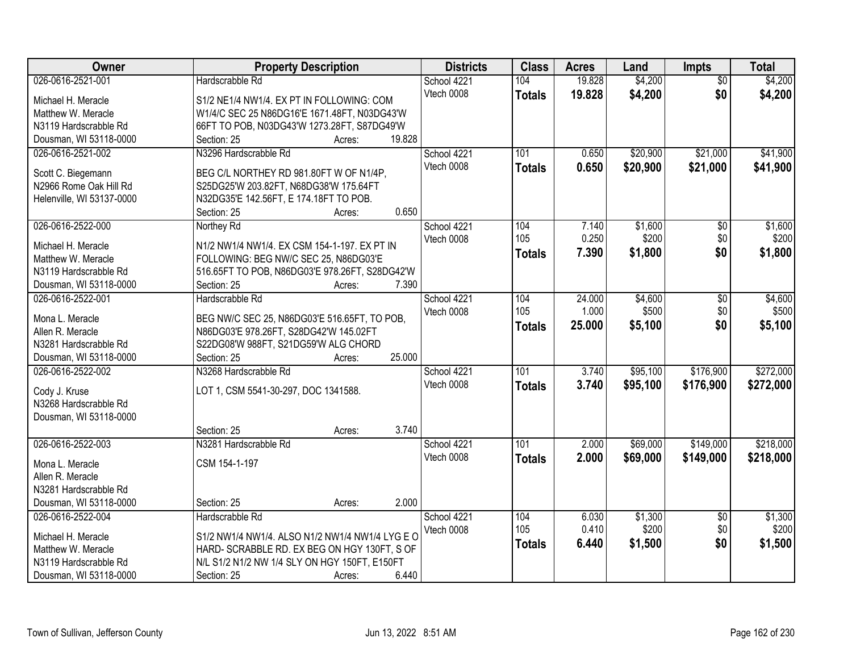| Owner                               | <b>Property Description</b>                                                    | <b>Districts</b> | <b>Class</b>     | <b>Acres</b> | Land     | Impts           | <b>Total</b> |
|-------------------------------------|--------------------------------------------------------------------------------|------------------|------------------|--------------|----------|-----------------|--------------|
| 026-0616-2521-001                   | Hardscrabble Rd                                                                | School 4221      | 104              | 19.828       | \$4,200  | $\overline{50}$ | \$4,200      |
| Michael H. Meracle                  | S1/2 NE1/4 NW1/4. EX PT IN FOLLOWING: COM                                      | Vtech 0008       | <b>Totals</b>    | 19.828       | \$4,200  | \$0             | \$4,200      |
| Matthew W. Meracle                  | W1/4/C SEC 25 N86DG16'E 1671.48FT, N03DG43'W                                   |                  |                  |              |          |                 |              |
| N3119 Hardscrabble Rd               | 66FT TO POB, N03DG43'W 1273.28FT, S87DG49'W                                    |                  |                  |              |          |                 |              |
| Dousman, WI 53118-0000              | 19.828<br>Section: 25<br>Acres:                                                |                  |                  |              |          |                 |              |
| 026-0616-2521-002                   | N3296 Hardscrabble Rd                                                          | School 4221      | 101              | 0.650        | \$20,900 | \$21,000        | \$41,900     |
|                                     |                                                                                | Vtech 0008       | <b>Totals</b>    | 0.650        | \$20,900 | \$21,000        | \$41,900     |
| Scott C. Biegemann                  | BEG C/L NORTHEY RD 981.80FT W OF N1/4P,                                        |                  |                  |              |          |                 |              |
| N2966 Rome Oak Hill Rd              | S25DG25'W 203.82FT, N68DG38'W 175.64FT                                         |                  |                  |              |          |                 |              |
| Helenville, WI 53137-0000           | N32DG35'E 142.56FT, E 174.18FT TO POB.                                         |                  |                  |              |          |                 |              |
|                                     | 0.650<br>Section: 25<br>Acres:                                                 |                  |                  |              |          |                 |              |
| 026-0616-2522-000                   | Northey Rd                                                                     | School 4221      | 104              | 7.140        | \$1,600  | \$0             | \$1,600      |
| Michael H. Meracle                  | N1/2 NW1/4 NW1/4. EX CSM 154-1-197. EX PT IN                                   | Vtech 0008       | 105              | 0.250        | \$200    | \$0             | \$200        |
| Matthew W. Meracle                  | FOLLOWING: BEG NW/C SEC 25, N86DG03'E                                          |                  | <b>Totals</b>    | 7.390        | \$1,800  | \$0             | \$1,800      |
| N3119 Hardscrabble Rd               | 516.65FT TO POB, N86DG03'E 978.26FT, S28DG42'W                                 |                  |                  |              |          |                 |              |
| Dousman, WI 53118-0000              | Section: 25<br>7.390<br>Acres:                                                 |                  |                  |              |          |                 |              |
| 026-0616-2522-001                   | Hardscrabble Rd                                                                | School 4221      | 104              | 24.000       | \$4,600  | $\sqrt{6}$      | \$4,600      |
|                                     |                                                                                | Vtech 0008       | 105              | 1.000        | \$500    | \$0             | \$500        |
| Mona L. Meracle<br>Allen R. Meracle | BEG NW/C SEC 25, N86DG03'E 516.65FT, TO POB,                                   |                  | <b>Totals</b>    | 25.000       | \$5,100  | \$0             | \$5,100      |
| N3281 Hardscrabble Rd               | N86DG03'E 978.26FT, S28DG42'W 145.02FT<br>S22DG08'W 988FT, S21DG59'W ALG CHORD |                  |                  |              |          |                 |              |
| Dousman, WI 53118-0000              | 25.000<br>Section: 25                                                          |                  |                  |              |          |                 |              |
| 026-0616-2522-002                   | Acres:<br>N3268 Hardscrabble Rd                                                | School 4221      | 101              | 3.740        | \$95,100 | \$176,900       | \$272,000    |
|                                     |                                                                                | Vtech 0008       |                  |              |          |                 |              |
| Cody J. Kruse                       | LOT 1, CSM 5541-30-297, DOC 1341588.                                           |                  | <b>Totals</b>    | 3.740        | \$95,100 | \$176,900       | \$272,000    |
| N3268 Hardscrabble Rd               |                                                                                |                  |                  |              |          |                 |              |
| Dousman, WI 53118-0000              |                                                                                |                  |                  |              |          |                 |              |
|                                     | 3.740<br>Section: 25<br>Acres:                                                 |                  |                  |              |          |                 |              |
| 026-0616-2522-003                   | N3281 Hardscrabble Rd                                                          | School 4221      | $\overline{101}$ | 2.000        | \$69,000 | \$149,000       | \$218,000    |
| Mona L. Meracle                     | CSM 154-1-197                                                                  | Vtech 0008       | <b>Totals</b>    | 2.000        | \$69,000 | \$149,000       | \$218,000    |
| Allen R. Meracle                    |                                                                                |                  |                  |              |          |                 |              |
| N3281 Hardscrabble Rd               |                                                                                |                  |                  |              |          |                 |              |
| Dousman, WI 53118-0000              | 2.000<br>Section: 25<br>Acres:                                                 |                  |                  |              |          |                 |              |
| 026-0616-2522-004                   | Hardscrabble Rd                                                                | School 4221      | 104              | 6.030        | \$1,300  | $\overline{50}$ | \$1,300      |
|                                     |                                                                                | Vtech 0008       | 105              | 0.410        | \$200    | \$0             | \$200        |
| Michael H. Meracle                  | S1/2 NW1/4 NW1/4. ALSO N1/2 NW1/4 NW1/4 LYG E O                                |                  | <b>Totals</b>    | 6.440        | \$1,500  | \$0             | \$1,500      |
| Matthew W. Meracle                  | HARD- SCRABBLE RD. EX BEG ON HGY 130FT, S OF                                   |                  |                  |              |          |                 |              |
| N3119 Hardscrabble Rd               | N/L S1/2 N1/2 NW 1/4 SLY ON HGY 150FT, E150FT                                  |                  |                  |              |          |                 |              |
| Dousman, WI 53118-0000              | 6.440<br>Section: 25<br>Acres:                                                 |                  |                  |              |          |                 |              |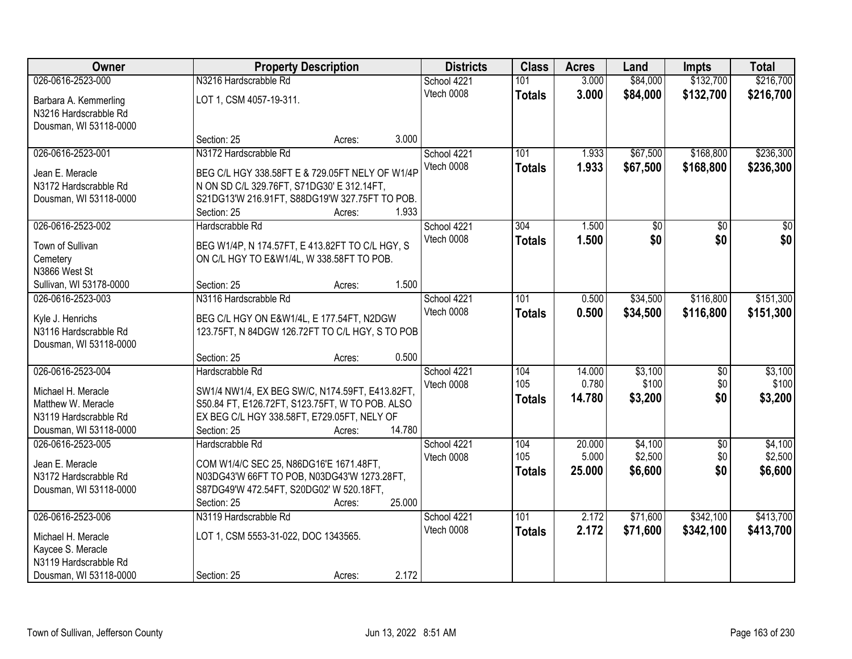| Owner                   |                                                 | <b>Property Description</b> |        |             | <b>Class</b>  | <b>Acres</b>    | Land               | <b>Impts</b> | <b>Total</b>       |
|-------------------------|-------------------------------------------------|-----------------------------|--------|-------------|---------------|-----------------|--------------------|--------------|--------------------|
| 026-0616-2523-000       | N3216 Hardscrabble Rd                           |                             |        | School 4221 | 101           | 3.000           | \$84,000           | \$132,700    | \$216,700          |
| Barbara A. Kemmerling   | LOT 1, CSM 4057-19-311.                         |                             |        | Vtech 0008  | <b>Totals</b> | 3.000           | \$84,000           | \$132,700    | \$216,700          |
| N3216 Hardscrabble Rd   |                                                 |                             |        |             |               |                 |                    |              |                    |
| Dousman, WI 53118-0000  |                                                 |                             |        |             |               |                 |                    |              |                    |
|                         | Section: 25                                     | Acres:                      | 3.000  |             |               |                 |                    |              |                    |
| 026-0616-2523-001       | N3172 Hardscrabble Rd                           |                             |        | School 4221 | 101           | 1.933           | \$67,500           | \$168,800    | \$236,300          |
| Jean E. Meracle         | BEG C/L HGY 338.58FT E & 729.05FT NELY OF W1/4P |                             |        | Vtech 0008  | <b>Totals</b> | 1.933           | \$67,500           | \$168,800    | \$236,300          |
| N3172 Hardscrabble Rd   | N ON SD C/L 329.76FT, S71DG30' E 312.14FT,      |                             |        |             |               |                 |                    |              |                    |
| Dousman, WI 53118-0000  | S21DG13'W 216.91FT, S88DG19'W 327.75FT TO POB.  |                             |        |             |               |                 |                    |              |                    |
|                         | Section: 25                                     | Acres:                      | 1.933  |             |               |                 |                    |              |                    |
| 026-0616-2523-002       | Hardscrabble Rd                                 |                             |        | School 4221 | 304           | 1.500           | \$0                | \$0          | \$0                |
| Town of Sullivan        | BEG W1/4P, N 174.57FT, E 413.82FT TO C/L HGY, S |                             |        | Vtech 0008  | <b>Totals</b> | 1.500           | \$0                | \$0          | \$0                |
| Cemetery                | ON C/L HGY TO E&W1/4L, W 338.58FT TO POB.       |                             |        |             |               |                 |                    |              |                    |
| N3866 West St           |                                                 |                             |        |             |               |                 |                    |              |                    |
| Sullivan, WI 53178-0000 | Section: 25                                     | Acres:                      | 1.500  |             |               |                 |                    |              |                    |
| 026-0616-2523-003       | N3116 Hardscrabble Rd                           |                             |        | School 4221 | 101           | 0.500           | \$34,500           | \$116,800    | \$151,300          |
| Kyle J. Henrichs        | BEG C/L HGY ON E&W1/4L, E 177.54FT, N2DGW       |                             |        | Vtech 0008  | <b>Totals</b> | 0.500           | \$34,500           | \$116,800    | \$151,300          |
| N3116 Hardscrabble Rd   | 123.75FT, N 84DGW 126.72FT TO C/L HGY, S TO POB |                             |        |             |               |                 |                    |              |                    |
| Dousman, WI 53118-0000  |                                                 |                             |        |             |               |                 |                    |              |                    |
|                         | Section: 25                                     | Acres:                      | 0.500  |             |               |                 |                    |              |                    |
| 026-0616-2523-004       | Hardscrabble Rd                                 |                             |        | School 4221 | 104           | 14.000          | \$3,100            | \$0          | \$3,100            |
|                         |                                                 |                             |        | Vtech 0008  | 105           | 0.780           | \$100              | \$0          | \$100              |
| Michael H. Meracle      | SW1/4 NW1/4, EX BEG SW/C, N174.59FT, E413.82FT, |                             |        |             | <b>Totals</b> | 14.780          | \$3,200            | \$0          | \$3,200            |
| Matthew W. Meracle      | S50.84 FT, E126.72FT, S123.75FT, W TO POB. ALSO |                             |        |             |               |                 |                    |              |                    |
| N3119 Hardscrabble Rd   | EX BEG C/L HGY 338.58FT, E729.05FT, NELY OF     |                             |        |             |               |                 |                    |              |                    |
| Dousman, WI 53118-0000  | Section: 25                                     | Acres:                      | 14.780 |             |               |                 |                    |              |                    |
| 026-0616-2523-005       | Hardscrabble Rd                                 |                             |        | School 4221 | 104<br>105    | 20.000<br>5.000 | \$4,100<br>\$2,500 | \$0<br>\$0   | \$4,100<br>\$2,500 |
| Jean E. Meracle         | COM W1/4/C SEC 25, N86DG16'E 1671.48FT,         |                             |        | Vtech 0008  |               |                 |                    | \$0          |                    |
| N3172 Hardscrabble Rd   | N03DG43'W 66FT TO POB, N03DG43'W 1273.28FT,     |                             |        |             | <b>Totals</b> | 25.000          | \$6,600            |              | \$6,600            |
| Dousman, WI 53118-0000  | S87DG49'W 472.54FT, S20DG02' W 520.18FT,        |                             |        |             |               |                 |                    |              |                    |
|                         | Section: 25                                     | Acres:                      | 25.000 |             |               |                 |                    |              |                    |
| 026-0616-2523-006       | N3119 Hardscrabble Rd                           |                             |        | School 4221 | 101           | 2.172           | \$71,600           | \$342,100    | \$413,700          |
| Michael H. Meracle      | LOT 1, CSM 5553-31-022, DOC 1343565.            |                             |        | Vtech 0008  | <b>Totals</b> | 2.172           | \$71,600           | \$342,100    | \$413,700          |
| Kaycee S. Meracle       |                                                 |                             |        |             |               |                 |                    |              |                    |
| N3119 Hardscrabble Rd   |                                                 |                             |        |             |               |                 |                    |              |                    |
| Dousman, WI 53118-0000  | Section: 25                                     | Acres:                      | 2.172  |             |               |                 |                    |              |                    |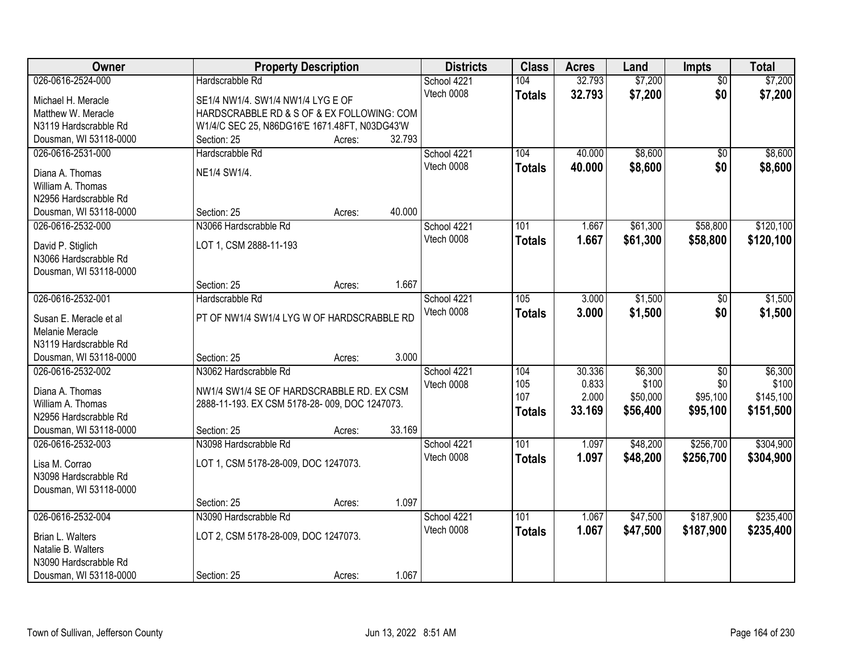| <b>Owner</b>                                    | <b>Property Description</b>                   |        |        | <b>Districts</b> | <b>Class</b>  | <b>Acres</b>   | Land              | Impts           | <b>Total</b>       |
|-------------------------------------------------|-----------------------------------------------|--------|--------|------------------|---------------|----------------|-------------------|-----------------|--------------------|
| 026-0616-2524-000                               | Hardscrabble Rd                               |        |        | School 4221      | 104           | 32.793         | \$7,200           | $\overline{50}$ | \$7,200            |
| Michael H. Meracle                              | SE1/4 NW1/4. SW1/4 NW1/4 LYG E OF             |        |        | Vtech 0008       | <b>Totals</b> | 32.793         | \$7,200           | \$0             | \$7,200            |
| Matthew W. Meracle                              | HARDSCRABBLE RD & S OF & EX FOLLOWING: COM    |        |        |                  |               |                |                   |                 |                    |
| N3119 Hardscrabble Rd                           | W1/4/C SEC 25, N86DG16'E 1671.48FT, N03DG43'W |        |        |                  |               |                |                   |                 |                    |
| Dousman, WI 53118-0000                          | Section: 25                                   | Acres: | 32.793 |                  |               |                |                   |                 |                    |
| 026-0616-2531-000                               | Hardscrabble Rd                               |        |        | School 4221      | 104           | 40.000         | \$8,600           | \$0             | \$8,600            |
| Diana A. Thomas                                 | NE1/4 SW1/4.                                  |        |        | Vtech 0008       | <b>Totals</b> | 40.000         | \$8,600           | \$0             | \$8,600            |
| William A. Thomas                               |                                               |        |        |                  |               |                |                   |                 |                    |
| N2956 Hardscrabble Rd                           |                                               |        |        |                  |               |                |                   |                 |                    |
| Dousman, WI 53118-0000                          | Section: 25                                   | Acres: | 40.000 |                  |               |                |                   |                 |                    |
| 026-0616-2532-000                               | N3066 Hardscrabble Rd                         |        |        | School 4221      | 101           | 1.667          | \$61,300          | \$58,800        | \$120,100          |
|                                                 |                                               |        |        | Vtech 0008       | <b>Totals</b> | 1.667          | \$61,300          | \$58,800        | \$120,100          |
| David P. Stiglich                               | LOT 1, CSM 2888-11-193                        |        |        |                  |               |                |                   |                 |                    |
| N3066 Hardscrabble Rd<br>Dousman, WI 53118-0000 |                                               |        |        |                  |               |                |                   |                 |                    |
|                                                 | Section: 25                                   | Acres: | 1.667  |                  |               |                |                   |                 |                    |
| 026-0616-2532-001                               | Hardscrabble Rd                               |        |        | School 4221      | 105           | 3.000          | \$1,500           | $\sqrt[6]{}$    | \$1,500            |
|                                                 |                                               |        |        | Vtech 0008       | <b>Totals</b> | 3.000          | \$1,500           | \$0             | \$1,500            |
| Susan E. Meracle et al                          | PT OF NW1/4 SW1/4 LYG W OF HARDSCRABBLE RD    |        |        |                  |               |                |                   |                 |                    |
| Melanie Meracle                                 |                                               |        |        |                  |               |                |                   |                 |                    |
| N3119 Hardscrabble Rd                           |                                               |        |        |                  |               |                |                   |                 |                    |
| Dousman, WI 53118-0000                          | Section: 25                                   | Acres: | 3.000  |                  |               |                |                   |                 |                    |
| 026-0616-2532-002                               | N3062 Hardscrabble Rd                         |        |        | School 4221      | 104           | 30.336         | \$6,300           | $\overline{50}$ | \$6,300            |
| Diana A. Thomas                                 | NW1/4 SW1/4 SE OF HARDSCRABBLE RD. EX CSM     |        |        | Vtech 0008       | 105<br>107    | 0.833<br>2.000 | \$100<br>\$50,000 | \$0<br>\$95,100 | \$100<br>\$145,100 |
| William A. Thomas                               | 2888-11-193. EX CSM 5178-28-009, DOC 1247073. |        |        |                  |               | 33.169         | \$56,400          | \$95,100        | \$151,500          |
| N2956 Hardscrabble Rd                           |                                               |        |        |                  | <b>Totals</b> |                |                   |                 |                    |
| Dousman, WI 53118-0000                          | Section: 25                                   | Acres: | 33.169 |                  |               |                |                   |                 |                    |
| 026-0616-2532-003                               | N3098 Hardscrabble Rd                         |        |        | School 4221      | 101           | 1.097          | \$48,200          | \$256,700       | \$304,900          |
| Lisa M. Corrao                                  | LOT 1, CSM 5178-28-009, DOC 1247073.          |        |        | Vtech 0008       | <b>Totals</b> | 1.097          | \$48,200          | \$256,700       | \$304,900          |
| N3098 Hardscrabble Rd                           |                                               |        |        |                  |               |                |                   |                 |                    |
| Dousman, WI 53118-0000                          |                                               |        |        |                  |               |                |                   |                 |                    |
|                                                 | Section: 25                                   | Acres: | 1.097  |                  |               |                |                   |                 |                    |
| 026-0616-2532-004                               | N3090 Hardscrabble Rd                         |        |        | School 4221      | 101           | 1.067          | \$47,500          | \$187,900       | \$235,400          |
| Brian L. Walters                                | LOT 2, CSM 5178-28-009, DOC 1247073.          |        |        | Vtech 0008       | <b>Totals</b> | 1.067          | \$47,500          | \$187,900       | \$235,400          |
| Natalie B. Walters                              |                                               |        |        |                  |               |                |                   |                 |                    |
| N3090 Hardscrabble Rd                           |                                               |        |        |                  |               |                |                   |                 |                    |
| Dousman, WI 53118-0000                          | Section: 25                                   | Acres: | 1.067  |                  |               |                |                   |                 |                    |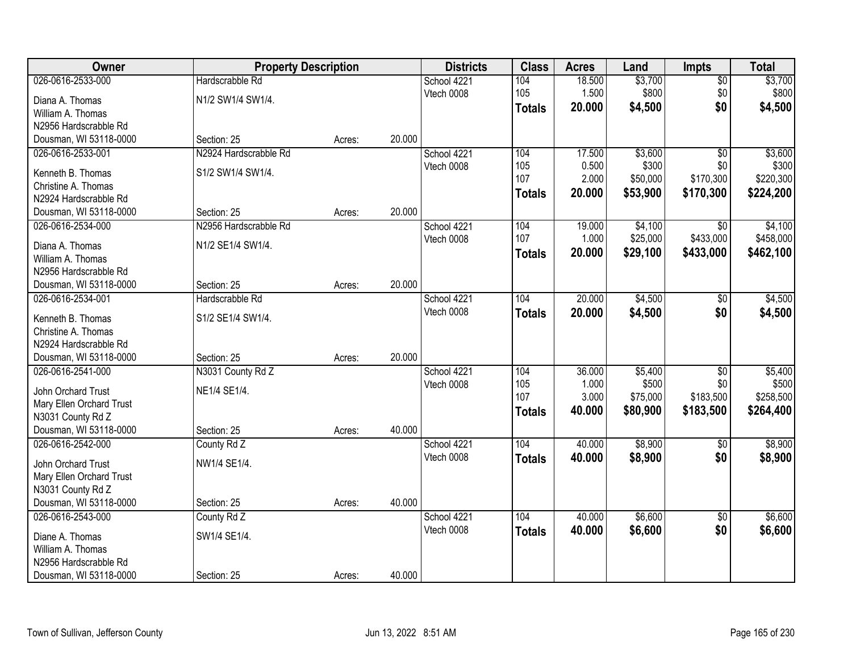| Owner                                    | <b>Property Description</b> |        | <b>Districts</b> | <b>Class</b> | <b>Acres</b>  | Land   | Impts    | <b>Total</b>    |           |
|------------------------------------------|-----------------------------|--------|------------------|--------------|---------------|--------|----------|-----------------|-----------|
| 026-0616-2533-000                        | Hardscrabble Rd             |        |                  | School 4221  | 104           | 18.500 | \$3,700  | $\overline{50}$ | \$3,700   |
| Diana A. Thomas                          | N1/2 SW1/4 SW1/4.           |        |                  | Vtech 0008   | 105           | 1.500  | \$800    | \$0             | \$800     |
| William A. Thomas                        |                             |        |                  |              | <b>Totals</b> | 20.000 | \$4,500  | \$0             | \$4,500   |
| N2956 Hardscrabble Rd                    |                             |        |                  |              |               |        |          |                 |           |
| Dousman, WI 53118-0000                   | Section: 25                 | Acres: | 20.000           |              |               |        |          |                 |           |
| 026-0616-2533-001                        | N2924 Hardscrabble Rd       |        |                  | School 4221  | 104           | 17.500 | \$3,600  | $\overline{50}$ | \$3,600   |
|                                          | S1/2 SW1/4 SW1/4.           |        |                  | Vtech 0008   | 105           | 0.500  | \$300    | \$0             | \$300     |
| Kenneth B. Thomas<br>Christine A. Thomas |                             |        |                  |              | 107           | 2.000  | \$50,000 | \$170,300       | \$220,300 |
| N2924 Hardscrabble Rd                    |                             |        |                  |              | <b>Totals</b> | 20.000 | \$53,900 | \$170,300       | \$224,200 |
| Dousman, WI 53118-0000                   | Section: 25                 | Acres: | 20.000           |              |               |        |          |                 |           |
| 026-0616-2534-000                        | N2956 Hardscrabble Rd       |        |                  | School 4221  | 104           | 19.000 | \$4,100  | $\overline{50}$ | \$4,100   |
|                                          |                             |        |                  | Vtech 0008   | 107           | 1.000  | \$25,000 | \$433,000       | \$458,000 |
| Diana A. Thomas                          | N1/2 SE1/4 SW1/4.           |        |                  |              |               | 20.000 | \$29,100 | \$433,000       | \$462,100 |
| William A. Thomas                        |                             |        |                  |              | <b>Totals</b> |        |          |                 |           |
| N2956 Hardscrabble Rd                    |                             |        |                  |              |               |        |          |                 |           |
| Dousman, WI 53118-0000                   | Section: 25                 | Acres: | 20.000           |              |               |        |          |                 |           |
| 026-0616-2534-001                        | Hardscrabble Rd             |        |                  | School 4221  | 104           | 20.000 | \$4,500  | \$0             | \$4,500   |
| Kenneth B. Thomas                        | S1/2 SE1/4 SW1/4.           |        |                  | Vtech 0008   | <b>Totals</b> | 20.000 | \$4,500  | \$0             | \$4,500   |
| Christine A. Thomas                      |                             |        |                  |              |               |        |          |                 |           |
| N2924 Hardscrabble Rd                    |                             |        |                  |              |               |        |          |                 |           |
| Dousman, WI 53118-0000                   | Section: 25                 | Acres: | 20.000           |              |               |        |          |                 |           |
| 026-0616-2541-000                        | N3031 County Rd Z           |        |                  | School 4221  | 104           | 36.000 | \$5,400  | $\overline{50}$ | \$5,400   |
|                                          |                             |        |                  | Vtech 0008   | 105           | 1.000  | \$500    | \$0             | \$500     |
| John Orchard Trust                       | NE1/4 SE1/4.                |        |                  |              | 107           | 3.000  | \$75,000 | \$183,500       | \$258,500 |
| Mary Ellen Orchard Trust                 |                             |        |                  |              | <b>Totals</b> | 40.000 | \$80,900 | \$183,500       | \$264,400 |
| N3031 County Rd Z                        |                             |        |                  |              |               |        |          |                 |           |
| Dousman, WI 53118-0000                   | Section: 25                 | Acres: | 40.000           |              |               |        |          |                 |           |
| 026-0616-2542-000                        | County Rd Z                 |        |                  | School 4221  | 104           | 40.000 | \$8,900  | $\overline{50}$ | \$8,900   |
| John Orchard Trust                       | NW1/4 SE1/4.                |        |                  | Vtech 0008   | <b>Totals</b> | 40.000 | \$8,900  | \$0             | \$8,900   |
| Mary Ellen Orchard Trust                 |                             |        |                  |              |               |        |          |                 |           |
| N3031 County Rd Z                        |                             |        |                  |              |               |        |          |                 |           |
| Dousman, WI 53118-0000                   | Section: 25                 | Acres: | 40.000           |              |               |        |          |                 |           |
| 026-0616-2543-000                        | County Rd Z                 |        |                  | School 4221  | 104           | 40.000 | \$6,600  | $\overline{50}$ | \$6,600   |
|                                          |                             |        |                  | Vtech 0008   | <b>Totals</b> | 40.000 | \$6,600  | \$0             | \$6,600   |
| Diane A. Thomas                          | SW1/4 SE1/4.                |        |                  |              |               |        |          |                 |           |
| William A. Thomas                        |                             |        |                  |              |               |        |          |                 |           |
| N2956 Hardscrabble Rd                    |                             |        |                  |              |               |        |          |                 |           |
| Dousman, WI 53118-0000                   | Section: 25                 | Acres: | 40.000           |              |               |        |          |                 |           |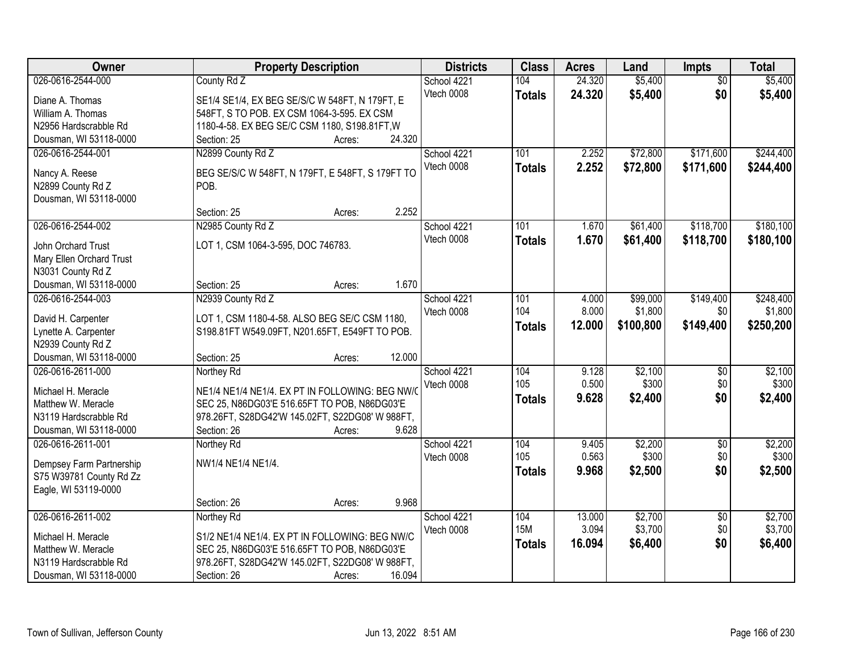| Owner                                       | <b>Property Description</b>                               | <b>Districts</b> | <b>Class</b>  | <b>Acres</b> | Land      | Impts           | <b>Total</b> |
|---------------------------------------------|-----------------------------------------------------------|------------------|---------------|--------------|-----------|-----------------|--------------|
| 026-0616-2544-000                           | County Rd Z                                               | School 4221      | 104           | 24.320       | \$5,400   | $\overline{50}$ | \$5,400      |
| Diane A. Thomas                             | SE1/4 SE1/4, EX BEG SE/S/C W 548FT, N 179FT, E            | Vtech 0008       | <b>Totals</b> | 24.320       | \$5,400   | \$0             | \$5,400      |
| William A. Thomas                           | 548FT, S TO POB. EX CSM 1064-3-595. EX CSM                |                  |               |              |           |                 |              |
| N2956 Hardscrabble Rd                       | 1180-4-58. EX BEG SE/C CSM 1180, S198.81FT, W             |                  |               |              |           |                 |              |
| Dousman, WI 53118-0000                      | 24.320<br>Section: 25<br>Acres:                           |                  |               |              |           |                 |              |
| 026-0616-2544-001                           | N2899 County Rd Z                                         | School 4221      | 101           | 2.252        | \$72,800  | \$171,600       | \$244,400    |
| Nancy A. Reese                              |                                                           | Vtech 0008       | <b>Totals</b> | 2.252        | \$72,800  | \$171,600       | \$244,400    |
| N2899 County Rd Z                           | BEG SE/S/C W 548FT, N 179FT, E 548FT, S 179FT TO<br>POB.  |                  |               |              |           |                 |              |
| Dousman, WI 53118-0000                      |                                                           |                  |               |              |           |                 |              |
|                                             | 2.252<br>Section: 25<br>Acres:                            |                  |               |              |           |                 |              |
| 026-0616-2544-002                           | N2985 County Rd Z                                         | School 4221      | 101           | 1.670        | \$61,400  | \$118,700       | \$180,100    |
|                                             |                                                           | Vtech 0008       | <b>Totals</b> | 1.670        | \$61,400  | \$118,700       | \$180,100    |
| John Orchard Trust                          | LOT 1, CSM 1064-3-595, DOC 746783.                        |                  |               |              |           |                 |              |
| Mary Ellen Orchard Trust                    |                                                           |                  |               |              |           |                 |              |
| N3031 County Rd Z                           | 1.670<br>Section: 25                                      |                  |               |              |           |                 |              |
| Dousman, WI 53118-0000<br>026-0616-2544-003 | Acres:<br>N2939 County Rd Z                               | School 4221      | 101           | 4.000        | \$99,000  | \$149,400       | \$248,400    |
|                                             |                                                           | Vtech 0008       | 104           | 8.000        | \$1,800   | \$0             | \$1,800      |
| David H. Carpenter                          | LOT 1, CSM 1180-4-58. ALSO BEG SE/C CSM 1180,             |                  |               | 12.000       | \$100,800 | \$149,400       | \$250,200    |
| Lynette A. Carpenter                        | S198.81FT W549.09FT, N201.65FT, E549FT TO POB.            |                  | <b>Totals</b> |              |           |                 |              |
| N2939 County Rd Z                           |                                                           |                  |               |              |           |                 |              |
| Dousman, WI 53118-0000                      | 12.000<br>Section: 25<br>Acres:                           |                  |               |              |           |                 |              |
| 026-0616-2611-000                           | Northey Rd                                                | School 4221      | 104           | 9.128        | \$2,100   | $\overline{50}$ | \$2,100      |
| Michael H. Meracle                          | NE1/4 NE1/4 NE1/4. EX PT IN FOLLOWING: BEG NW/            | Vtech 0008       | 105           | 0.500        | \$300     | \$0             | \$300        |
| Matthew W. Meracle                          | SEC 25, N86DG03'E 516.65FT TO POB, N86DG03'E              |                  | <b>Totals</b> | 9.628        | \$2,400   | \$0             | \$2,400      |
| N3119 Hardscrabble Rd                       | 978.26FT, S28DG42'W 145.02FT, S22DG08' W 988FT,           |                  |               |              |           |                 |              |
| Dousman, WI 53118-0000                      | 9.628<br>Section: 26<br>Acres:                            |                  |               |              |           |                 |              |
| 026-0616-2611-001                           | Northey Rd                                                | School 4221      | 104           | 9.405        | \$2,200   | $\overline{50}$ | \$2,200      |
| Dempsey Farm Partnership                    | NW1/4 NE1/4 NE1/4.                                        | Vtech 0008       | 105           | 0.563        | \$300     | \$0             | \$300        |
| S75 W39781 County Rd Zz                     |                                                           |                  | <b>Totals</b> | 9.968        | \$2,500   | \$0             | \$2,500      |
| Eagle, WI 53119-0000                        |                                                           |                  |               |              |           |                 |              |
|                                             | 9.968<br>Section: 26<br>Acres:                            |                  |               |              |           |                 |              |
| 026-0616-2611-002                           | Northey Rd                                                | School 4221      | 104           | 13.000       | \$2,700   | $\overline{50}$ | \$2,700      |
|                                             |                                                           | Vtech 0008       | <b>15M</b>    | 3.094        | \$3,700   | \$0             | \$3,700      |
| Michael H. Meracle                          | S1/2 NE1/4 NE1/4. EX PT IN FOLLOWING: BEG NW/C            |                  | <b>Totals</b> | 16.094       | \$6,400   | \$0             | \$6,400      |
| Matthew W. Meracle                          | SEC 25, N86DG03'E 516.65FT TO POB, N86DG03'E              |                  |               |              |           |                 |              |
| N3119 Hardscrabble Rd                       | 978.26FT, S28DG42'W 145.02FT, S22DG08' W 988FT,<br>16.094 |                  |               |              |           |                 |              |
| Dousman, WI 53118-0000                      | Section: 26<br>Acres:                                     |                  |               |              |           |                 |              |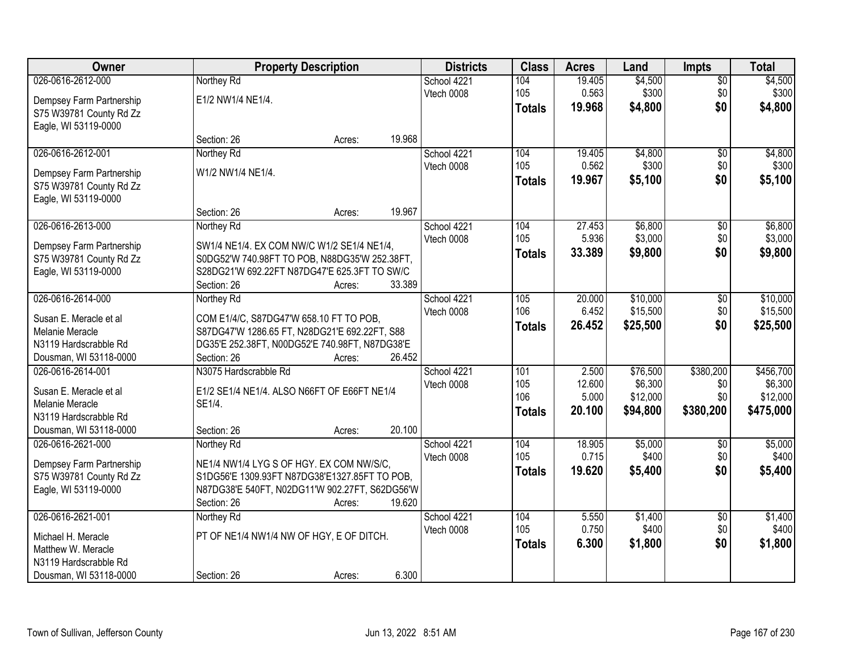| Owner                                     |                                                                                          | <b>Property Description</b> |             |               | <b>Acres</b> | Land     | <b>Impts</b>    | <b>Total</b> |
|-------------------------------------------|------------------------------------------------------------------------------------------|-----------------------------|-------------|---------------|--------------|----------|-----------------|--------------|
| 026-0616-2612-000                         | Northey Rd                                                                               |                             | School 4221 | 104           | 19.405       | \$4,500  | $\overline{50}$ | \$4,500      |
| Dempsey Farm Partnership                  | E1/2 NW1/4 NE1/4.                                                                        |                             | Vtech 0008  | 105           | 0.563        | \$300    | \$0             | \$300        |
| S75 W39781 County Rd Zz                   |                                                                                          |                             |             | <b>Totals</b> | 19.968       | \$4,800  | \$0             | \$4,800      |
| Eagle, WI 53119-0000                      |                                                                                          |                             |             |               |              |          |                 |              |
|                                           | Section: 26                                                                              | Acres:                      | 19.968      |               |              |          |                 |              |
| 026-0616-2612-001                         | Northey Rd                                                                               |                             | School 4221 | 104           | 19.405       | \$4,800  | $\overline{50}$ | \$4,800      |
| Dempsey Farm Partnership                  | W1/2 NW1/4 NE1/4.                                                                        |                             | Vtech 0008  | 105           | 0.562        | \$300    | \$0             | \$300        |
| S75 W39781 County Rd Zz                   |                                                                                          |                             |             | <b>Totals</b> | 19.967       | \$5,100  | \$0             | \$5,100      |
| Eagle, WI 53119-0000                      |                                                                                          |                             |             |               |              |          |                 |              |
|                                           | Section: 26                                                                              | Acres:                      | 19.967      |               |              |          |                 |              |
| 026-0616-2613-000                         | Northey Rd                                                                               |                             | School 4221 | 104           | 27.453       | \$6,800  | \$0             | \$6,800      |
| Dempsey Farm Partnership                  | SW1/4 NE1/4. EX COM NW/C W1/2 SE1/4 NE1/4,                                               |                             | Vtech 0008  | 105           | 5.936        | \$3,000  | \$0             | \$3,000      |
| S75 W39781 County Rd Zz                   | S0DG52'W 740.98FT TO POB, N88DG35'W 252.38FT,                                            |                             |             | <b>Totals</b> | 33.389       | \$9,800  | \$0             | \$9,800      |
| Eagle, WI 53119-0000                      | S28DG21'W 692.22FT N87DG47'E 625.3FT TO SW/C                                             |                             |             |               |              |          |                 |              |
|                                           | Section: 26                                                                              | Acres:                      | 33.389      |               |              |          |                 |              |
| 026-0616-2614-000                         | Northey Rd                                                                               |                             | School 4221 | 105           | 20.000       | \$10,000 | \$0             | \$10,000     |
| Susan E. Meracle et al                    |                                                                                          |                             | Vtech 0008  | 106           | 6.452        | \$15,500 | \$0             | \$15,500     |
| Melanie Meracle                           | COM E1/4/C, S87DG47'W 658.10 FT TO POB,<br>S87DG47'W 1286.65 FT, N28DG21'E 692.22FT, S88 |                             |             | <b>Totals</b> | 26.452       | \$25,500 | \$0             | \$25,500     |
| N3119 Hardscrabble Rd                     | DG35'E 252.38FT, N00DG52'E 740.98FT, N87DG38'E                                           |                             |             |               |              |          |                 |              |
| Dousman, WI 53118-0000                    | Section: 26                                                                              | Acres:                      | 26.452      |               |              |          |                 |              |
| 026-0616-2614-001                         | N3075 Hardscrabble Rd                                                                    |                             | School 4221 | 101           | 2.500        | \$76,500 | \$380,200       | \$456,700    |
|                                           |                                                                                          |                             | Vtech 0008  | 105           | 12.600       | \$6,300  | \$0             | \$6,300      |
| Susan E. Meracle et al<br>Melanie Meracle | E1/2 SE1/4 NE1/4. ALSO N66FT OF E66FT NE1/4<br>SE1/4.                                    |                             |             | 106           | 5.000        | \$12,000 | \$0             | \$12,000     |
| N3119 Hardscrabble Rd                     |                                                                                          |                             |             | <b>Totals</b> | 20.100       | \$94,800 | \$380,200       | \$475,000    |
| Dousman, WI 53118-0000                    | Section: 26                                                                              | Acres:                      | 20.100      |               |              |          |                 |              |
| 026-0616-2621-000                         | Northey Rd                                                                               |                             | School 4221 | 104           | 18.905       | \$5,000  | \$0             | \$5,000      |
|                                           |                                                                                          |                             | Vtech 0008  | 105           | 0.715        | \$400    | \$0             | \$400        |
| Dempsey Farm Partnership                  | NE1/4 NW1/4 LYG S OF HGY. EX COM NW/S/C,                                                 |                             |             | <b>Totals</b> | 19.620       | \$5,400  | \$0             | \$5,400      |
| S75 W39781 County Rd Zz                   | S1DG56'E 1309.93FT N87DG38'E1327.85FT TO POB,                                            |                             |             |               |              |          |                 |              |
| Eagle, WI 53119-0000                      | N87DG38'E 540FT, N02DG11'W 902.27FT, S62DG56'W<br>Section: 26                            | Acres:                      | 19.620      |               |              |          |                 |              |
| 026-0616-2621-001                         | Northey Rd                                                                               |                             | School 4221 | 104           | 5.550        | \$1,400  | $\overline{50}$ | \$1,400      |
|                                           |                                                                                          |                             | Vtech 0008  | 105           | 0.750        | \$400    | \$0             | \$400        |
| Michael H. Meracle                        | PT OF NE1/4 NW1/4 NW OF HGY, E OF DITCH.                                                 |                             |             | <b>Totals</b> | 6.300        | \$1,800  | \$0             | \$1,800      |
| Matthew W. Meracle                        |                                                                                          |                             |             |               |              |          |                 |              |
| N3119 Hardscrabble Rd                     |                                                                                          |                             |             |               |              |          |                 |              |
| Dousman, WI 53118-0000                    | Section: 26                                                                              | Acres:                      | 6.300       |               |              |          |                 |              |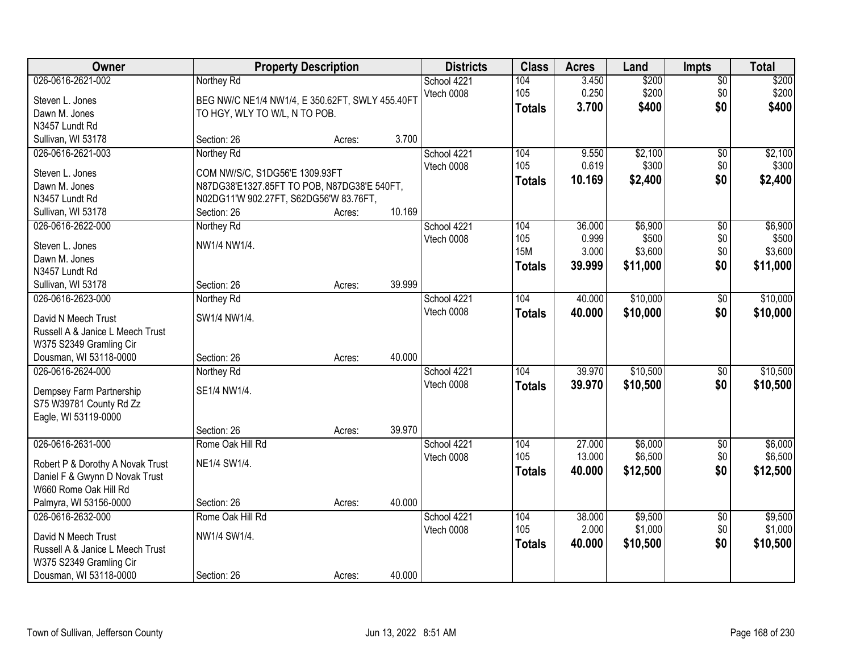| Owner                            |                                                 | <b>Property Description</b> |        |             | <b>Class</b>      | <b>Acres</b>   | Land             | <b>Impts</b>    | <b>Total</b>     |
|----------------------------------|-------------------------------------------------|-----------------------------|--------|-------------|-------------------|----------------|------------------|-----------------|------------------|
| 026-0616-2621-002                | Northey Rd                                      |                             |        | School 4221 | 104               | 3.450          | \$200            | $\overline{$0}$ | \$200            |
| Steven L. Jones                  | BEG NW/C NE1/4 NW1/4, E 350.62FT, SWLY 455.40FT |                             |        | Vtech 0008  | 105               | 0.250          | \$200            | \$0             | \$200            |
| Dawn M. Jones                    | TO HGY, WLY TO W/L, N TO POB.                   |                             |        |             | <b>Totals</b>     | 3.700          | \$400            | \$0             | \$400            |
| N3457 Lundt Rd                   |                                                 |                             |        |             |                   |                |                  |                 |                  |
| Sullivan, WI 53178               | Section: 26                                     | Acres:                      | 3.700  |             |                   |                |                  |                 |                  |
| 026-0616-2621-003                | Northey Rd                                      |                             |        | School 4221 | 104               | 9.550          | \$2,100          | \$0             | \$2,100          |
|                                  |                                                 |                             |        | Vtech 0008  | 105               | 0.619          | \$300            | \$0             | \$300            |
| Steven L. Jones                  | COM NW/S/C, S1DG56'E 1309.93FT                  |                             |        |             | <b>Totals</b>     | 10.169         | \$2,400          | \$0             | \$2,400          |
| Dawn M. Jones                    | N87DG38'E1327.85FT TO POB, N87DG38'E 540FT,     |                             |        |             |                   |                |                  |                 |                  |
| N3457 Lundt Rd                   | N02DG11'W 902.27FT, S62DG56'W 83.76FT,          |                             | 10.169 |             |                   |                |                  |                 |                  |
| Sullivan, WI 53178               | Section: 26                                     | Acres:                      |        |             |                   |                |                  |                 |                  |
| 026-0616-2622-000                | Northey Rd                                      |                             |        | School 4221 | 104               | 36.000         | \$6,900          | \$0             | \$6,900          |
| Steven L. Jones                  | NW1/4 NW1/4.                                    |                             |        | Vtech 0008  | 105<br><b>15M</b> | 0.999<br>3.000 | \$500<br>\$3,600 | \$0<br>\$0      | \$500<br>\$3,600 |
| Dawn M. Jones                    |                                                 |                             |        |             |                   |                |                  |                 |                  |
| N3457 Lundt Rd                   |                                                 |                             |        |             | <b>Totals</b>     | 39.999         | \$11,000         | \$0             | \$11,000         |
| Sullivan, WI 53178               | Section: 26                                     | Acres:                      | 39.999 |             |                   |                |                  |                 |                  |
| 026-0616-2623-000                | Northey Rd                                      |                             |        | School 4221 | 104               | 40.000         | \$10,000         | \$0             | \$10,000         |
| David N Meech Trust              | SW1/4 NW1/4.                                    |                             |        | Vtech 0008  | <b>Totals</b>     | 40.000         | \$10,000         | \$0             | \$10,000         |
| Russell A & Janice L Meech Trust |                                                 |                             |        |             |                   |                |                  |                 |                  |
| W375 S2349 Gramling Cir          |                                                 |                             |        |             |                   |                |                  |                 |                  |
| Dousman, WI 53118-0000           | Section: 26                                     | Acres:                      | 40.000 |             |                   |                |                  |                 |                  |
| 026-0616-2624-000                | Northey Rd                                      |                             |        | School 4221 | 104               | 39.970         | \$10,500         | $\overline{50}$ | \$10,500         |
|                                  |                                                 |                             |        | Vtech 0008  | <b>Totals</b>     | 39.970         | \$10,500         | \$0             | \$10,500         |
| Dempsey Farm Partnership         | SE1/4 NW1/4.                                    |                             |        |             |                   |                |                  |                 |                  |
| S75 W39781 County Rd Zz          |                                                 |                             |        |             |                   |                |                  |                 |                  |
| Eagle, WI 53119-0000             |                                                 |                             |        |             |                   |                |                  |                 |                  |
|                                  | Section: 26                                     | Acres:                      | 39.970 |             |                   |                |                  |                 |                  |
| 026-0616-2631-000                | Rome Oak Hill Rd                                |                             |        | School 4221 | 104               | 27.000         | \$6,000          | $\sqrt{6}$      | \$6,000          |
| Robert P & Dorothy A Novak Trust | NE1/4 SW1/4.                                    |                             |        | Vtech 0008  | 105               | 13.000         | \$6,500          | \$0             | \$6,500          |
| Daniel F & Gwynn D Novak Trust   |                                                 |                             |        |             | <b>Totals</b>     | 40.000         | \$12,500         | \$0             | \$12,500         |
| W660 Rome Oak Hill Rd            |                                                 |                             |        |             |                   |                |                  |                 |                  |
| Palmyra, WI 53156-0000           | Section: 26                                     | Acres:                      | 40.000 |             |                   |                |                  |                 |                  |
| 026-0616-2632-000                | Rome Oak Hill Rd                                |                             |        | School 4221 | 104               | 38.000         | \$9,500          | $\overline{60}$ | \$9,500          |
|                                  |                                                 |                             |        | Vtech 0008  | 105               | 2.000          | \$1,000          | \$0             | \$1,000          |
| David N Meech Trust              | NW1/4 SW1/4.                                    |                             |        |             | <b>Totals</b>     | 40.000         | \$10,500         | \$0             | \$10,500         |
| Russell A & Janice L Meech Trust |                                                 |                             |        |             |                   |                |                  |                 |                  |
| W375 S2349 Gramling Cir          |                                                 |                             |        |             |                   |                |                  |                 |                  |
| Dousman, WI 53118-0000           | Section: 26                                     | Acres:                      | 40.000 |             |                   |                |                  |                 |                  |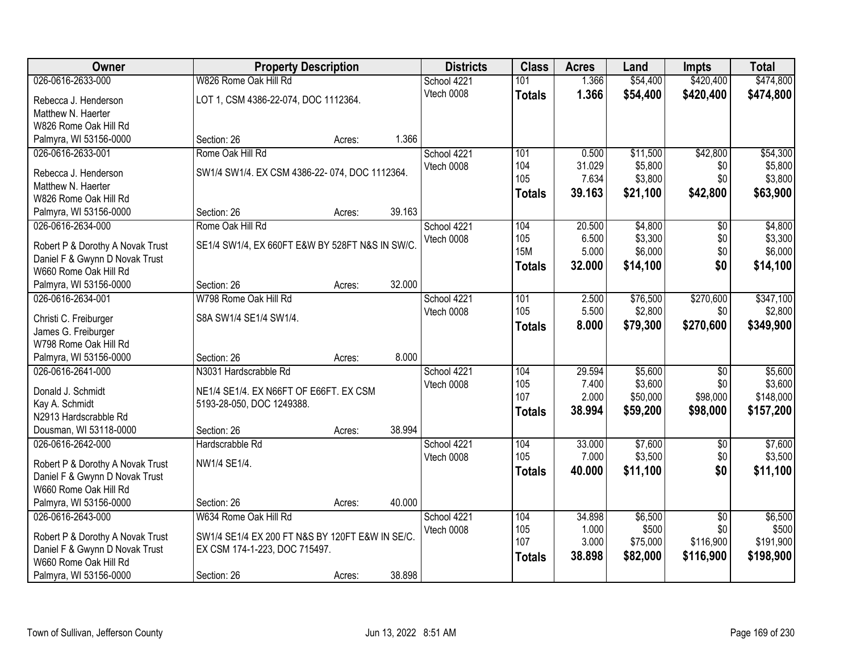| <b>Owner</b>                     | <b>Property Description</b>                     |        |        | <b>Districts</b> | <b>Class</b>  | <b>Acres</b>   | Land               | <b>Impts</b>    | <b>Total</b>       |
|----------------------------------|-------------------------------------------------|--------|--------|------------------|---------------|----------------|--------------------|-----------------|--------------------|
| 026-0616-2633-000                | W826 Rome Oak Hill Rd                           |        |        | School 4221      | 101           | 1.366          | \$54,400           | \$420,400       | \$474,800          |
| Rebecca J. Henderson             | LOT 1, CSM 4386-22-074, DOC 1112364.            |        |        | Vtech 0008       | <b>Totals</b> | 1.366          | \$54,400           | \$420,400       | \$474,800          |
| Matthew N. Haerter               |                                                 |        |        |                  |               |                |                    |                 |                    |
| W826 Rome Oak Hill Rd            |                                                 |        |        |                  |               |                |                    |                 |                    |
| Palmyra, WI 53156-0000           | Section: 26                                     | Acres: | 1.366  |                  |               |                |                    |                 |                    |
| 026-0616-2633-001                | Rome Oak Hill Rd                                |        |        | School 4221      | 101           | 0.500          | \$11,500           | \$42,800        | \$54,300           |
|                                  |                                                 |        |        | Vtech 0008       | 104           | 31.029         | \$5,800            | \$0             | \$5,800            |
| Rebecca J. Henderson             | SW1/4 SW1/4. EX CSM 4386-22-074, DOC 1112364.   |        |        |                  | 105           | 7.634          | \$3,800            | \$0             | \$3,800            |
| Matthew N. Haerter               |                                                 |        |        |                  | <b>Totals</b> | 39.163         | \$21,100           | \$42,800        | \$63,900           |
| W826 Rome Oak Hill Rd            |                                                 |        |        |                  |               |                |                    |                 |                    |
| Palmyra, WI 53156-0000           | Section: 26                                     | Acres: | 39.163 |                  |               |                |                    |                 |                    |
| 026-0616-2634-000                | Rome Oak Hill Rd                                |        |        | School 4221      | 104<br>105    | 20.500         | \$4,800<br>\$3,300 | \$0             | \$4,800            |
| Robert P & Dorothy A Novak Trust | SE1/4 SW1/4, EX 660FT E&W BY 528FT N&S IN SW/C. |        |        | Vtech 0008       | <b>15M</b>    | 6.500<br>5.000 | \$6,000            | \$0<br>\$0      | \$3,300<br>\$6,000 |
| Daniel F & Gwynn D Novak Trust   |                                                 |        |        |                  |               | 32.000         |                    | \$0             |                    |
| W660 Rome Oak Hill Rd            |                                                 |        |        |                  | <b>Totals</b> |                | \$14,100           |                 | \$14,100           |
| Palmyra, WI 53156-0000           | Section: 26                                     | Acres: | 32.000 |                  |               |                |                    |                 |                    |
| 026-0616-2634-001                | W798 Rome Oak Hill Rd                           |        |        | School 4221      | 101           | 2.500          | \$76,500           | \$270,600       | \$347,100          |
| Christi C. Freiburger            | S8A SW1/4 SE1/4 SW1/4.                          |        |        | Vtech 0008       | 105           | 5.500          | \$2,800            | \$0             | \$2,800            |
| James G. Freiburger              |                                                 |        |        |                  | <b>Totals</b> | 8.000          | \$79,300           | \$270,600       | \$349,900          |
| W798 Rome Oak Hill Rd            |                                                 |        |        |                  |               |                |                    |                 |                    |
| Palmyra, WI 53156-0000           | Section: 26                                     | Acres: | 8.000  |                  |               |                |                    |                 |                    |
| 026-0616-2641-000                | N3031 Hardscrabble Rd                           |        |        | School 4221      | 104           | 29.594         | \$5,600            | $\overline{50}$ | \$5,600            |
|                                  |                                                 |        |        | Vtech 0008       | 105           | 7.400          | \$3,600            | \$0             | \$3,600            |
| Donald J. Schmidt                | NE1/4 SE1/4. EX N66FT OF E66FT. EX CSM          |        |        |                  | 107           | 2.000          | \$50,000           | \$98,000        | \$148,000          |
| Kay A. Schmidt                   | 5193-28-050, DOC 1249388.                       |        |        |                  | <b>Totals</b> | 38.994         | \$59,200           | \$98,000        | \$157,200          |
| N2913 Hardscrabble Rd            |                                                 |        | 38.994 |                  |               |                |                    |                 |                    |
| Dousman, WI 53118-0000           | Section: 26                                     | Acres: |        |                  |               |                |                    |                 |                    |
| 026-0616-2642-000                | Hardscrabble Rd                                 |        |        | School 4221      | 104<br>105    | 33.000         | \$7,600            | $\sqrt{$0}$     | \$7,600            |
| Robert P & Dorothy A Novak Trust | NW1/4 SE1/4.                                    |        |        | Vtech 0008       |               | 7.000          | \$3,500            | \$0             | \$3,500            |
| Daniel F & Gwynn D Novak Trust   |                                                 |        |        |                  | <b>Totals</b> | 40.000         | \$11,100           | \$0             | \$11,100           |
| W660 Rome Oak Hill Rd            |                                                 |        |        |                  |               |                |                    |                 |                    |
| Palmyra, WI 53156-0000           | Section: 26                                     | Acres: | 40.000 |                  |               |                |                    |                 |                    |
| 026-0616-2643-000                | W634 Rome Oak Hill Rd                           |        |        | School 4221      | 104           | 34.898         | \$6,500            | $\overline{50}$ | \$6,500            |
| Robert P & Dorothy A Novak Trust | SW1/4 SE1/4 EX 200 FT N&S BY 120FT E&W IN SE/C. |        |        | Vtech 0008       | 105           | 1.000          | \$500              | \$0             | \$500              |
| Daniel F & Gwynn D Novak Trust   | EX CSM 174-1-223, DOC 715497.                   |        |        |                  | 107           | 3.000          | \$75,000           | \$116,900       | \$191,900          |
| W660 Rome Oak Hill Rd            |                                                 |        |        |                  | <b>Totals</b> | 38.898         | \$82,000           | \$116,900       | \$198,900          |
| Palmyra, WI 53156-0000           | Section: 26                                     | Acres: | 38.898 |                  |               |                |                    |                 |                    |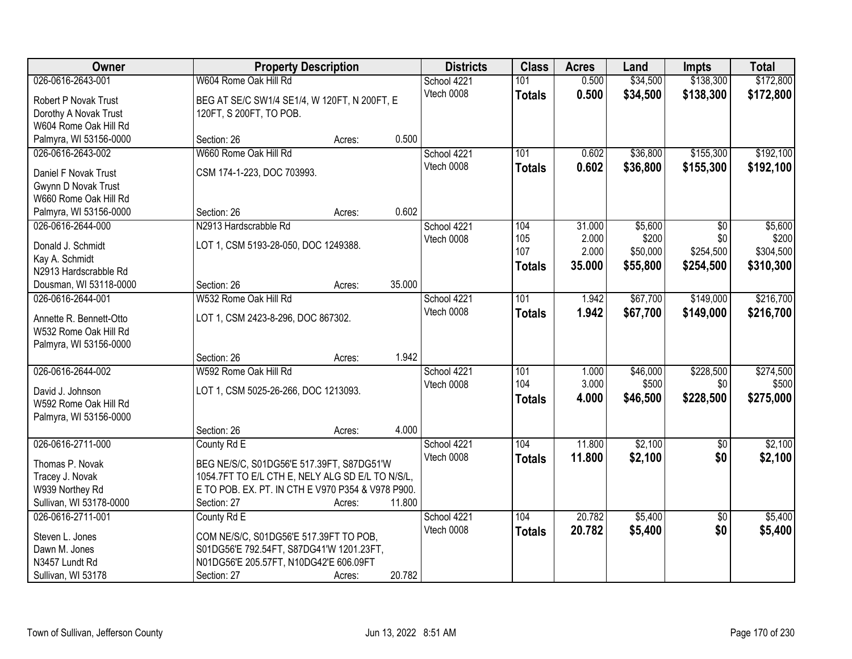| Owner                                       | <b>Property Description</b>                       |        |        | <b>Districts</b>          | <b>Class</b>  | <b>Acres</b> | Land     | <b>Impts</b>    | <b>Total</b>     |
|---------------------------------------------|---------------------------------------------------|--------|--------|---------------------------|---------------|--------------|----------|-----------------|------------------|
| 026-0616-2643-001                           | W604 Rome Oak Hill Rd                             |        |        | School 4221               | 101           | 0.500        | \$34,500 | \$138,300       | \$172,800        |
| Robert P Novak Trust                        | BEG AT SE/C SW1/4 SE1/4, W 120FT, N 200FT, E      |        |        | Vtech 0008                | <b>Totals</b> | 0.500        | \$34,500 | \$138,300       | \$172,800        |
| Dorothy A Novak Trust                       | 120FT, S 200FT, TO POB.                           |        |        |                           |               |              |          |                 |                  |
| W604 Rome Oak Hill Rd                       |                                                   |        |        |                           |               |              |          |                 |                  |
| Palmyra, WI 53156-0000                      | Section: 26                                       | Acres: | 0.500  |                           |               |              |          |                 |                  |
| 026-0616-2643-002                           | W660 Rome Oak Hill Rd                             |        |        | School 4221               | 101           | 0.602        | \$36,800 | \$155,300       | \$192,100        |
|                                             |                                                   |        |        | Vtech 0008                | <b>Totals</b> | 0.602        | \$36,800 | \$155,300       | \$192,100        |
| Daniel F Novak Trust                        | CSM 174-1-223, DOC 703993.                        |        |        |                           |               |              |          |                 |                  |
| Gwynn D Novak Trust                         |                                                   |        |        |                           |               |              |          |                 |                  |
| W660 Rome Oak Hill Rd                       | Section: 26                                       |        | 0.602  |                           |               |              |          |                 |                  |
| Palmyra, WI 53156-0000<br>026-0616-2644-000 |                                                   | Acres: |        |                           | 104           | 31.000       | \$5,600  |                 |                  |
|                                             | N2913 Hardscrabble Rd                             |        |        | School 4221<br>Vtech 0008 | 105           | 2.000        | \$200    | \$0<br>\$0      | \$5,600<br>\$200 |
| Donald J. Schmidt                           | LOT 1, CSM 5193-28-050, DOC 1249388.              |        |        |                           | 107           | 2.000        | \$50,000 | \$254,500       | \$304,500        |
| Kay A. Schmidt                              |                                                   |        |        |                           |               | 35,000       | \$55,800 | \$254,500       | \$310,300        |
| N2913 Hardscrabble Rd                       |                                                   |        |        |                           | <b>Totals</b> |              |          |                 |                  |
| Dousman, WI 53118-0000                      | Section: 26                                       | Acres: | 35.000 |                           |               |              |          |                 |                  |
| 026-0616-2644-001                           | W532 Rome Oak Hill Rd                             |        |        | School 4221               | 101           | 1.942        | \$67,700 | \$149,000       | \$216,700        |
| Annette R. Bennett-Otto                     | LOT 1, CSM 2423-8-296, DOC 867302.                |        |        | Vtech 0008                | <b>Totals</b> | 1.942        | \$67,700 | \$149,000       | \$216,700        |
| W532 Rome Oak Hill Rd                       |                                                   |        |        |                           |               |              |          |                 |                  |
| Palmyra, WI 53156-0000                      |                                                   |        |        |                           |               |              |          |                 |                  |
|                                             | Section: 26                                       | Acres: | 1.942  |                           |               |              |          |                 |                  |
| 026-0616-2644-002                           | W592 Rome Oak Hill Rd                             |        |        | School 4221               | 101           | 1.000        | \$46,000 | \$228,500       | \$274,500        |
|                                             |                                                   |        |        | Vtech 0008                | 104           | 3.000        | \$500    | \$0             | \$500            |
| David J. Johnson                            | LOT 1, CSM 5025-26-266, DOC 1213093.              |        |        |                           | <b>Totals</b> | 4.000        | \$46,500 | \$228,500       | \$275,000        |
| W592 Rome Oak Hill Rd                       |                                                   |        |        |                           |               |              |          |                 |                  |
| Palmyra, WI 53156-0000                      |                                                   |        | 4.000  |                           |               |              |          |                 |                  |
|                                             | Section: 26                                       | Acres: |        |                           |               |              |          |                 |                  |
| 026-0616-2711-000                           | County Rd E                                       |        |        | School 4221               | 104           | 11.800       | \$2,100  | $\overline{60}$ | \$2,100          |
| Thomas P. Novak                             | BEG NE/S/C, S01DG56'E 517.39FT, S87DG51'W         |        |        | Vtech 0008                | <b>Totals</b> | 11.800       | \$2,100  | \$0             | \$2,100          |
| Tracey J. Novak                             | 1054.7FT TO E/L CTH E, NELY ALG SD E/L TO N/S/L,  |        |        |                           |               |              |          |                 |                  |
| W939 Northey Rd                             | E TO POB. EX. PT. IN CTH E V970 P354 & V978 P900. |        |        |                           |               |              |          |                 |                  |
| Sullivan, WI 53178-0000                     | Section: 27                                       | Acres: | 11.800 |                           |               |              |          |                 |                  |
| 026-0616-2711-001                           | County Rd E                                       |        |        | School 4221               | 104           | 20.782       | \$5,400  | $\overline{50}$ | \$5,400          |
| Steven L. Jones                             | COM NE/S/C, S01DG56'E 517.39FT TO POB,            |        |        | Vtech 0008                | <b>Totals</b> | 20.782       | \$5,400  | \$0             | \$5,400          |
| Dawn M. Jones                               | S01DG56'E 792.54FT, S87DG41'W 1201.23FT,          |        |        |                           |               |              |          |                 |                  |
| N3457 Lundt Rd                              | N01DG56'E 205.57FT, N10DG42'E 606.09FT            |        |        |                           |               |              |          |                 |                  |
| Sullivan, WI 53178                          | Section: 27                                       | Acres: | 20.782 |                           |               |              |          |                 |                  |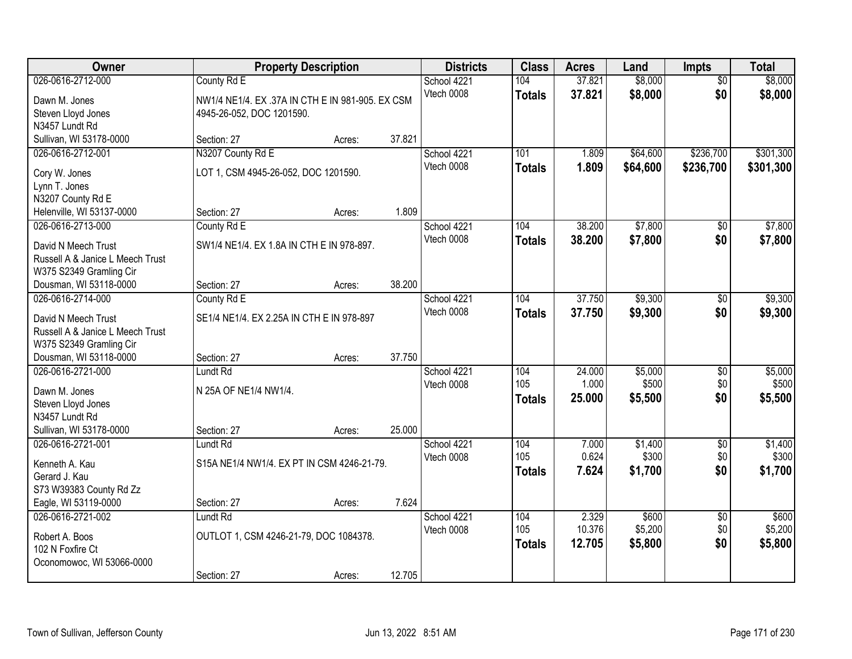| Owner                                                       | <b>Property Description</b>                      |        |        | <b>Districts</b> | <b>Class</b>  | <b>Acres</b>   | Land     | Impts           | <b>Total</b> |
|-------------------------------------------------------------|--------------------------------------------------|--------|--------|------------------|---------------|----------------|----------|-----------------|--------------|
| 026-0616-2712-000                                           | County Rd E                                      |        |        | School 4221      | 104           | 37.821         | \$8,000  | $\overline{50}$ | \$8,000      |
| Dawn M. Jones                                               | NW1/4 NE1/4. EX .37A IN CTH E IN 981-905. EX CSM |        |        | Vtech 0008       | <b>Totals</b> | 37.821         | \$8,000  | \$0             | \$8,000      |
| Steven Lloyd Jones                                          | 4945-26-052, DOC 1201590.                        |        |        |                  |               |                |          |                 |              |
| N3457 Lundt Rd                                              |                                                  |        |        |                  |               |                |          |                 |              |
| Sullivan, WI 53178-0000                                     | Section: 27                                      | Acres: | 37.821 |                  |               |                |          |                 |              |
| 026-0616-2712-001                                           | N3207 County Rd E                                |        |        | School 4221      | 101           | 1.809          | \$64,600 | \$236,700       | \$301,300    |
| Cory W. Jones                                               | LOT 1, CSM 4945-26-052, DOC 1201590.             |        |        | Vtech 0008       | <b>Totals</b> | 1.809          | \$64,600 | \$236,700       | \$301,300    |
| Lynn T. Jones                                               |                                                  |        |        |                  |               |                |          |                 |              |
| N3207 County Rd E                                           |                                                  |        |        |                  |               |                |          |                 |              |
| Helenville, WI 53137-0000                                   | Section: 27                                      | Acres: | 1.809  |                  |               |                |          |                 |              |
| 026-0616-2713-000                                           | County Rd E                                      |        |        | School 4221      | 104           | 38.200         | \$7,800  | \$0             | \$7,800      |
| David N Meech Trust                                         | SW1/4 NE1/4, EX 1.8A IN CTH E IN 978-897.        |        |        | Vtech 0008       | <b>Totals</b> | 38.200         | \$7,800  | \$0             | \$7,800      |
| Russell A & Janice L Meech Trust                            |                                                  |        |        |                  |               |                |          |                 |              |
| W375 S2349 Gramling Cir                                     |                                                  |        |        |                  |               |                |          |                 |              |
| Dousman, WI 53118-0000                                      | Section: 27                                      | Acres: | 38.200 |                  |               |                |          |                 |              |
| 026-0616-2714-000                                           | County Rd E                                      |        |        | School 4221      | 104           | 37.750         | \$9,300  | \$0             | \$9,300      |
|                                                             |                                                  |        |        | Vtech 0008       | <b>Totals</b> | 37.750         | \$9,300  | \$0             | \$9,300      |
| David N Meech Trust                                         | SE1/4 NE1/4. EX 2.25A IN CTH E IN 978-897        |        |        |                  |               |                |          |                 |              |
| Russell A & Janice L Meech Trust<br>W375 S2349 Gramling Cir |                                                  |        |        |                  |               |                |          |                 |              |
| Dousman, WI 53118-0000                                      | Section: 27                                      | Acres: | 37.750 |                  |               |                |          |                 |              |
| 026-0616-2721-000                                           | Lundt Rd                                         |        |        | School 4221      | 104           | 24.000         | \$5,000  | $\overline{50}$ | \$5,000      |
|                                                             |                                                  |        |        | Vtech 0008       | 105           | 1.000          | \$500    | \$0             | \$500        |
| Dawn M. Jones                                               | N 25A OF NE1/4 NW1/4.                            |        |        |                  | <b>Totals</b> | 25.000         | \$5,500  | \$0             | \$5,500      |
| Steven Lloyd Jones                                          |                                                  |        |        |                  |               |                |          |                 |              |
| N3457 Lundt Rd                                              |                                                  |        |        |                  |               |                |          |                 |              |
| Sullivan, WI 53178-0000                                     | Section: 27                                      | Acres: | 25.000 |                  |               |                |          |                 |              |
| 026-0616-2721-001                                           | Lundt Rd                                         |        |        | School 4221      | 104<br>105    | 7.000<br>0.624 | \$1,400  | $\overline{50}$ | \$1,400      |
| Kenneth A. Kau                                              | S15A NE1/4 NW1/4. EX PT IN CSM 4246-21-79.       |        |        | Vtech 0008       |               |                | \$300    | \$0<br>\$0      | \$300        |
| Gerard J. Kau                                               |                                                  |        |        |                  | <b>Totals</b> | 7.624          | \$1,700  |                 | \$1,700      |
| S73 W39383 County Rd Zz                                     |                                                  |        |        |                  |               |                |          |                 |              |
| Eagle, WI 53119-0000                                        | Section: 27                                      | Acres: | 7.624  |                  |               |                |          |                 |              |
| 026-0616-2721-002                                           | <b>Lundt Rd</b>                                  |        |        | School 4221      | 104           | 2.329          | \$600    | $\overline{50}$ | \$600        |
| Robert A. Boos                                              | OUTLOT 1, CSM 4246-21-79, DOC 1084378.           |        |        | Vtech 0008       | 105           | 10.376         | \$5,200  | \$0             | \$5,200      |
| 102 N Foxfire Ct                                            |                                                  |        |        |                  | <b>Totals</b> | 12.705         | \$5,800  | \$0             | \$5,800      |
| Oconomowoc, WI 53066-0000                                   |                                                  |        |        |                  |               |                |          |                 |              |
|                                                             | Section: 27                                      | Acres: | 12.705 |                  |               |                |          |                 |              |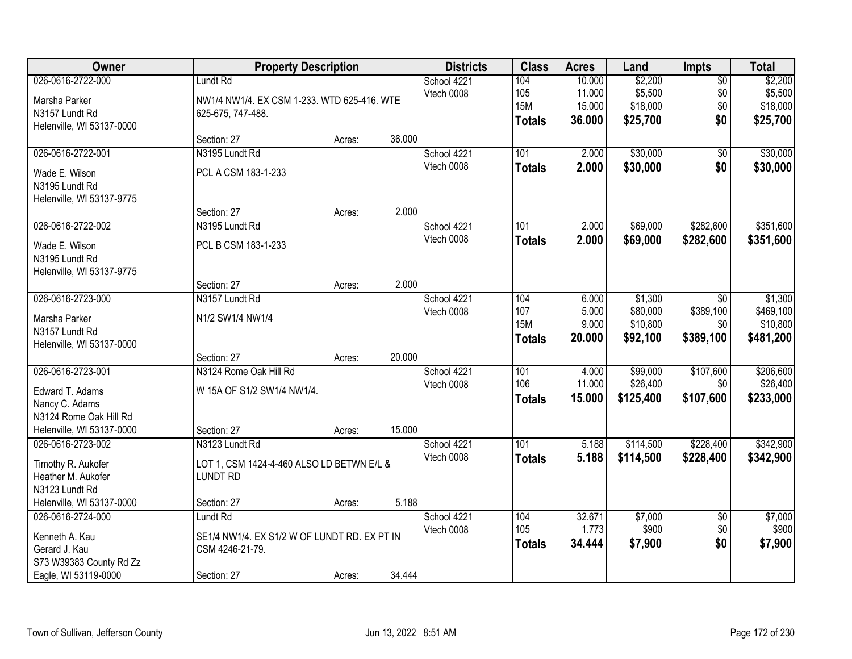| Owner                                                                                                         |                                                                                               | <b>Property Description</b> |        | <b>Districts</b>          | <b>Class</b>                              | <b>Acres</b>                         | Land                                        | Impts                                       | <b>Total</b>                                  |
|---------------------------------------------------------------------------------------------------------------|-----------------------------------------------------------------------------------------------|-----------------------------|--------|---------------------------|-------------------------------------------|--------------------------------------|---------------------------------------------|---------------------------------------------|-----------------------------------------------|
| 026-0616-2722-000<br>Marsha Parker<br>N3157 Lundt Rd<br>Helenville, WI 53137-0000                             | Lundt Rd<br>NW1/4 NW1/4. EX CSM 1-233. WTD 625-416. WTE<br>625-675, 747-488.                  |                             |        | School 4221<br>Vtech 0008 | 104<br>105<br><b>15M</b><br><b>Totals</b> | 10.000<br>11.000<br>15.000<br>36.000 | \$2,200<br>\$5,500<br>\$18,000<br>\$25,700  | $\overline{50}$<br>\$0<br>\$0<br>\$0        | \$2,200<br>\$5,500<br>\$18,000<br>\$25,700    |
|                                                                                                               | Section: 27                                                                                   | Acres:                      | 36.000 |                           |                                           |                                      |                                             |                                             |                                               |
| 026-0616-2722-001<br>Wade E. Wilson<br>N3195 Lundt Rd<br>Helenville, WI 53137-9775                            | N3195 Lundt Rd<br>PCL A CSM 183-1-233                                                         |                             |        | School 4221<br>Vtech 0008 | 101<br><b>Totals</b>                      | 2.000<br>2.000                       | \$30,000<br>\$30,000                        | $\overline{50}$<br>\$0                      | \$30,000<br>\$30,000                          |
|                                                                                                               | Section: 27                                                                                   | Acres:                      | 2.000  |                           |                                           |                                      |                                             |                                             |                                               |
| 026-0616-2722-002<br>Wade E. Wilson<br>N3195 Lundt Rd<br>Helenville, WI 53137-9775                            | N3195 Lundt Rd<br>PCL B CSM 183-1-233                                                         |                             |        | School 4221<br>Vtech 0008 | 101<br><b>Totals</b>                      | 2.000<br>2.000                       | \$69,000<br>\$69,000                        | \$282,600<br>\$282,600                      | \$351,600<br>\$351,600                        |
|                                                                                                               | Section: 27                                                                                   | Acres:                      | 2.000  |                           |                                           |                                      |                                             |                                             |                                               |
| 026-0616-2723-000<br>Marsha Parker<br>N3157 Lundt Rd<br>Helenville, WI 53137-0000                             | N3157 Lundt Rd<br>N1/2 SW1/4 NW1/4                                                            |                             |        | School 4221<br>Vtech 0008 | 104<br>107<br><b>15M</b><br><b>Totals</b> | 6.000<br>5.000<br>9.000<br>20.000    | \$1,300<br>\$80,000<br>\$10,800<br>\$92,100 | $\sqrt{6}$<br>\$389,100<br>\$0<br>\$389,100 | \$1,300<br>\$469,100<br>\$10,800<br>\$481,200 |
|                                                                                                               | Section: 27                                                                                   | Acres:                      | 20.000 |                           |                                           |                                      |                                             |                                             |                                               |
| 026-0616-2723-001<br>Edward T. Adams<br>Nancy C. Adams<br>N3124 Rome Oak Hill Rd<br>Helenville, WI 53137-0000 | N3124 Rome Oak Hill Rd<br>W 15A OF S1/2 SW1/4 NW1/4.<br>Section: 27                           | Acres:                      | 15.000 | School 4221<br>Vtech 0008 | 101<br>106<br><b>Totals</b>               | 4.000<br>11.000<br>15.000            | \$99,000<br>\$26,400<br>\$125,400           | \$107,600<br>\$0<br>\$107,600               | \$206,600<br>\$26,400<br>\$233,000            |
| 026-0616-2723-002<br>Timothy R. Aukofer<br>Heather M. Aukofer<br>N3123 Lundt Rd<br>Helenville, WI 53137-0000  | N3123 Lundt Rd<br>LOT 1, CSM 1424-4-460 ALSO LD BETWN E/L &<br><b>LUNDT RD</b><br>Section: 27 | Acres:                      | 5.188  | School 4221<br>Vtech 0008 | $\overline{101}$<br><b>Totals</b>         | 5.188<br>5.188                       | \$114,500<br>\$114,500                      | \$228,400<br>\$228,400                      | \$342,900<br>\$342,900                        |
| 026-0616-2724-000<br>Kenneth A. Kau<br>Gerard J. Kau<br>S73 W39383 County Rd Zz<br>Eagle, WI 53119-0000       | Lundt Rd<br>SE1/4 NW1/4. EX S1/2 W OF LUNDT RD. EX PT IN<br>CSM 4246-21-79.<br>Section: 27    | Acres:                      | 34.444 | School 4221<br>Vtech 0008 | 104<br>105<br><b>Totals</b>               | 32.671<br>1.773<br>34.444            | \$7,000<br>\$900<br>\$7,900                 | $\overline{50}$<br>\$0<br>\$0               | \$7,000<br>\$900<br>\$7,900                   |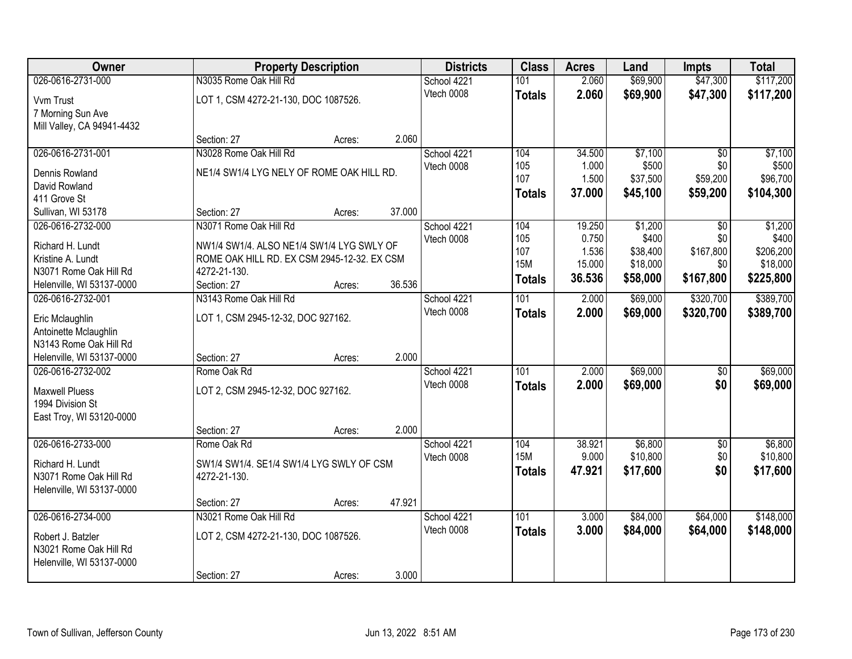| Owner                      |                                             | <b>Property Description</b> |        | <b>Districts</b> | <b>Class</b>  | <b>Acres</b> | Land     | <b>Impts</b>    | <b>Total</b> |
|----------------------------|---------------------------------------------|-----------------------------|--------|------------------|---------------|--------------|----------|-----------------|--------------|
| 026-0616-2731-000          | N3035 Rome Oak Hill Rd                      |                             |        | School 4221      | 101           | 2.060        | \$69,900 | \$47,300        | \$117,200    |
| Vvm Trust                  | LOT 1, CSM 4272-21-130, DOC 1087526.        |                             |        | Vtech 0008       | <b>Totals</b> | 2.060        | \$69,900 | \$47,300        | \$117,200    |
| 7 Morning Sun Ave          |                                             |                             |        |                  |               |              |          |                 |              |
| Mill Valley, CA 94941-4432 |                                             |                             |        |                  |               |              |          |                 |              |
|                            | Section: 27                                 | Acres:                      | 2.060  |                  |               |              |          |                 |              |
| 026-0616-2731-001          | N3028 Rome Oak Hill Rd                      |                             |        | School 4221      | 104           | 34.500       | \$7,100  | $\overline{30}$ | \$7,100      |
| Dennis Rowland             | NE1/4 SW1/4 LYG NELY OF ROME OAK HILL RD.   |                             |        | Vtech 0008       | 105           | 1.000        | \$500    | \$0             | \$500        |
| David Rowland              |                                             |                             |        |                  | 107           | 1.500        | \$37,500 | \$59,200        | \$96,700     |
| 411 Grove St               |                                             |                             |        |                  | <b>Totals</b> | 37.000       | \$45,100 | \$59,200        | \$104,300    |
| Sullivan, WI 53178         | Section: 27                                 | Acres:                      | 37.000 |                  |               |              |          |                 |              |
| 026-0616-2732-000          | N3071 Rome Oak Hill Rd                      |                             |        | School 4221      | 104           | 19.250       | \$1,200  | \$0             | \$1,200      |
| Richard H. Lundt           | NW1/4 SW1/4. ALSO NE1/4 SW1/4 LYG SWLY OF   |                             |        | Vtech 0008       | 105           | 0.750        | \$400    | \$0             | \$400        |
| Kristine A. Lundt          | ROME OAK HILL RD. EX CSM 2945-12-32. EX CSM |                             |        |                  | 107           | 1.536        | \$38,400 | \$167,800       | \$206,200    |
| N3071 Rome Oak Hill Rd     | 4272-21-130.                                |                             |        |                  | <b>15M</b>    | 15.000       | \$18,000 | \$0             | \$18,000     |
| Helenville, WI 53137-0000  | Section: 27                                 | Acres:                      | 36.536 |                  | <b>Totals</b> | 36.536       | \$58,000 | \$167,800       | \$225,800    |
| 026-0616-2732-001          | N3143 Rome Oak Hill Rd                      |                             |        | School 4221      | 101           | 2.000        | \$69,000 | \$320,700       | \$389,700    |
| Eric Mclaughlin            | LOT 1, CSM 2945-12-32, DOC 927162.          |                             |        | Vtech 0008       | <b>Totals</b> | 2.000        | \$69,000 | \$320,700       | \$389,700    |
| Antoinette Mclaughlin      |                                             |                             |        |                  |               |              |          |                 |              |
| N3143 Rome Oak Hill Rd     |                                             |                             |        |                  |               |              |          |                 |              |
| Helenville, WI 53137-0000  | Section: 27                                 | Acres:                      | 2.000  |                  |               |              |          |                 |              |
| 026-0616-2732-002          | Rome Oak Rd                                 |                             |        | School 4221      | 101           | 2.000        | \$69,000 | $\overline{50}$ | \$69,000     |
| <b>Maxwell Pluess</b>      | LOT 2, CSM 2945-12-32, DOC 927162.          |                             |        | Vtech 0008       | <b>Totals</b> | 2.000        | \$69,000 | \$0             | \$69,000     |
| 1994 Division St           |                                             |                             |        |                  |               |              |          |                 |              |
| East Troy, WI 53120-0000   |                                             |                             |        |                  |               |              |          |                 |              |
|                            | Section: 27                                 | Acres:                      | 2.000  |                  |               |              |          |                 |              |
| 026-0616-2733-000          | Rome Oak Rd                                 |                             |        | School 4221      | 104           | 38.921       | \$6,800  | $\overline{50}$ | \$6,800      |
| Richard H. Lundt           | SW1/4 SW1/4. SE1/4 SW1/4 LYG SWLY OF CSM    |                             |        | Vtech 0008       | <b>15M</b>    | 9.000        | \$10,800 | \$0             | \$10,800     |
| N3071 Rome Oak Hill Rd     | 4272-21-130.                                |                             |        |                  | <b>Totals</b> | 47.921       | \$17,600 | \$0             | \$17,600     |
| Helenville, WI 53137-0000  |                                             |                             |        |                  |               |              |          |                 |              |
|                            | Section: 27                                 | Acres:                      | 47.921 |                  |               |              |          |                 |              |
| 026-0616-2734-000          | N3021 Rome Oak Hill Rd                      |                             |        | School 4221      | 101           | 3.000        | \$84,000 | \$64,000        | \$148,000    |
| Robert J. Batzler          | LOT 2, CSM 4272-21-130, DOC 1087526.        |                             |        | Vtech 0008       | <b>Totals</b> | 3.000        | \$84,000 | \$64,000        | \$148,000    |
| N3021 Rome Oak Hill Rd     |                                             |                             |        |                  |               |              |          |                 |              |
| Helenville, WI 53137-0000  |                                             |                             |        |                  |               |              |          |                 |              |
|                            | Section: 27                                 | Acres:                      | 3.000  |                  |               |              |          |                 |              |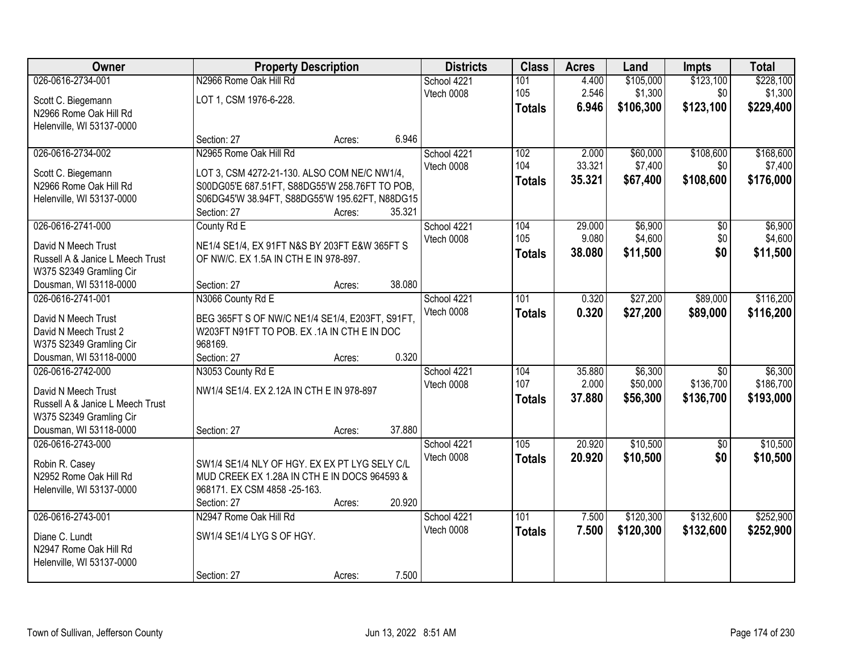| Owner                                    | <b>Property Description</b>                                                                   |        |        | <b>Districts</b> | <b>Class</b>     | <b>Acres</b> | Land      | <b>Impts</b>    | <b>Total</b> |
|------------------------------------------|-----------------------------------------------------------------------------------------------|--------|--------|------------------|------------------|--------------|-----------|-----------------|--------------|
| 026-0616-2734-001                        | N2966 Rome Oak Hill Rd                                                                        |        |        | School 4221      | 101              | 4.400        | \$105,000 | \$123,100       | \$228,100    |
| Scott C. Biegemann                       | LOT 1, CSM 1976-6-228.                                                                        |        |        | Vtech 0008       | 105              | 2.546        | \$1,300   | \$0             | \$1,300      |
| N2966 Rome Oak Hill Rd                   |                                                                                               |        |        |                  | <b>Totals</b>    | 6.946        | \$106,300 | \$123,100       | \$229,400    |
| Helenville, WI 53137-0000                |                                                                                               |        |        |                  |                  |              |           |                 |              |
|                                          | Section: 27                                                                                   | Acres: | 6.946  |                  |                  |              |           |                 |              |
| 026-0616-2734-002                        | N2965 Rome Oak Hill Rd                                                                        |        |        | School 4221      | 102              | 2.000        | \$60,000  | \$108,600       | \$168,600    |
| Scott C. Biegemann                       | LOT 3, CSM 4272-21-130. ALSO COM NE/C NW1/4,                                                  |        |        | Vtech 0008       | 104              | 33.321       | \$7,400   | \$0             | \$7,400      |
| N2966 Rome Oak Hill Rd                   | S00DG05'E 687.51FT, S88DG55'W 258.76FT TO POB,                                                |        |        |                  | <b>Totals</b>    | 35.321       | \$67,400  | \$108,600       | \$176,000    |
| Helenville, WI 53137-0000                | S06DG45'W 38.94FT, S88DG55'W 195.62FT, N88DG15                                                |        |        |                  |                  |              |           |                 |              |
|                                          | Section: 27                                                                                   | Acres: | 35.321 |                  |                  |              |           |                 |              |
| 026-0616-2741-000                        | County Rd E                                                                                   |        |        | School 4221      | 104              | 29.000       | \$6,900   | \$0             | \$6,900      |
| David N Meech Trust                      | NE1/4 SE1/4, EX 91FT N&S BY 203FT E&W 365FT S                                                 |        |        | Vtech 0008       | 105              | 9.080        | \$4,600   | \$0             | \$4,600      |
| Russell A & Janice L Meech Trust         | OF NW/C. EX 1.5A IN CTH E IN 978-897.                                                         |        |        |                  | <b>Totals</b>    | 38.080       | \$11,500  | \$0             | \$11,500     |
| W375 S2349 Gramling Cir                  |                                                                                               |        |        |                  |                  |              |           |                 |              |
| Dousman, WI 53118-0000                   | Section: 27                                                                                   | Acres: | 38.080 |                  |                  |              |           |                 |              |
| 026-0616-2741-001                        | N3066 County Rd E                                                                             |        |        | School 4221      | 101              | 0.320        | \$27,200  | \$89,000        | \$116,200    |
| David N Meech Trust                      | BEG 365FT S OF NW/C NE1/4 SE1/4, E203FT, S91FT,                                               |        |        | Vtech 0008       | <b>Totals</b>    | 0.320        | \$27,200  | \$89,000        | \$116,200    |
| David N Meech Trust 2                    | W203FT N91FT TO POB. EX .1A IN CTH E IN DOC                                                   |        |        |                  |                  |              |           |                 |              |
| W375 S2349 Gramling Cir                  | 968169.                                                                                       |        |        |                  |                  |              |           |                 |              |
| Dousman, WI 53118-0000                   | Section: 27                                                                                   | Acres: | 0.320  |                  |                  |              |           |                 |              |
| 026-0616-2742-000                        | N3053 County Rd E                                                                             |        |        | School 4221      | 104              | 35.880       | \$6,300   | $\overline{30}$ | \$6,300      |
| David N Meech Trust                      | NW1/4 SE1/4. EX 2.12A IN CTH E IN 978-897                                                     |        |        | Vtech 0008       | 107              | 2.000        | \$50,000  | \$136,700       | \$186,700    |
| Russell A & Janice L Meech Trust         |                                                                                               |        |        |                  | <b>Totals</b>    | 37.880       | \$56,300  | \$136,700       | \$193,000    |
| W375 S2349 Gramling Cir                  |                                                                                               |        |        |                  |                  |              |           |                 |              |
| Dousman, WI 53118-0000                   | Section: 27                                                                                   | Acres: | 37.880 |                  |                  |              |           |                 |              |
| 026-0616-2743-000                        |                                                                                               |        |        | School 4221      | 105              | 20.920       | \$10,500  | $\overline{50}$ | \$10,500     |
|                                          |                                                                                               |        |        | Vtech 0008       | <b>Totals</b>    | 20.920       | \$10,500  | \$0             | \$10,500     |
| Robin R. Casey<br>N2952 Rome Oak Hill Rd | SW1/4 SE1/4 NLY OF HGY. EX EX PT LYG SELY C/L<br>MUD CREEK EX 1.28A IN CTH E IN DOCS 964593 & |        |        |                  |                  |              |           |                 |              |
| Helenville, WI 53137-0000                | 968171. EX CSM 4858 -25-163.                                                                  |        |        |                  |                  |              |           |                 |              |
|                                          | Section: 27                                                                                   | Acres: | 20.920 |                  |                  |              |           |                 |              |
| 026-0616-2743-001                        | N2947 Rome Oak Hill Rd                                                                        |        |        | School 4221      | $\overline{101}$ | 7.500        | \$120,300 | \$132,600       | \$252,900    |
|                                          |                                                                                               |        |        | Vtech 0008       | <b>Totals</b>    | 7.500        | \$120,300 | \$132,600       | \$252,900    |
| Diane C. Lundt<br>N2947 Rome Oak Hill Rd | SW1/4 SE1/4 LYG S OF HGY.                                                                     |        |        |                  |                  |              |           |                 |              |
| Helenville, WI 53137-0000                |                                                                                               |        |        |                  |                  |              |           |                 |              |
|                                          | Section: 27                                                                                   | Acres: | 7.500  |                  |                  |              |           |                 |              |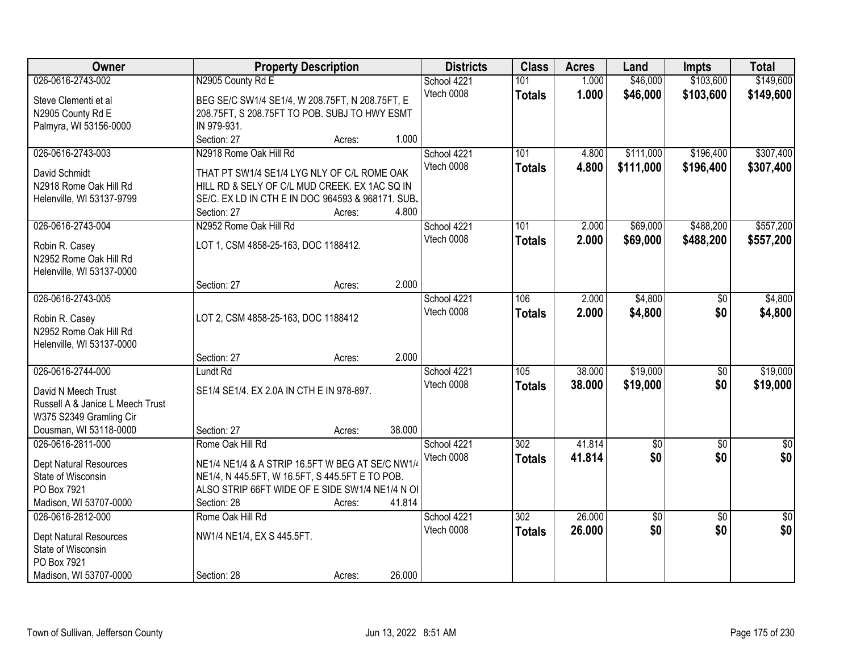| Owner                                    |                                                   | <b>Property Description</b> |        | <b>Districts</b> | <b>Class</b>     | <b>Acres</b> | Land            | <b>Impts</b>    | <b>Total</b>    |
|------------------------------------------|---------------------------------------------------|-----------------------------|--------|------------------|------------------|--------------|-----------------|-----------------|-----------------|
| 026-0616-2743-002                        | N2905 County Rd E                                 |                             |        | School 4221      | 101              | 1.000        | \$46,000        | \$103,600       | \$149,600       |
| Steve Clementi et al                     | BEG SE/C SW1/4 SE1/4, W 208.75FT, N 208.75FT, E   |                             |        | Vtech 0008       | <b>Totals</b>    | 1.000        | \$46,000        | \$103,600       | \$149,600       |
| N2905 County Rd E                        | 208.75FT, S 208.75FT TO POB. SUBJ TO HWY ESMT     |                             |        |                  |                  |              |                 |                 |                 |
| Palmyra, WI 53156-0000                   | IN 979-931.                                       |                             |        |                  |                  |              |                 |                 |                 |
|                                          | Section: 27                                       | Acres:                      | 1.000  |                  |                  |              |                 |                 |                 |
| 026-0616-2743-003                        | N2918 Rome Oak Hill Rd                            |                             |        | School 4221      | 101              | 4.800        | \$111,000       | \$196,400       | \$307,400       |
|                                          |                                                   |                             |        | Vtech 0008       | <b>Totals</b>    | 4.800        | \$111,000       | \$196,400       | \$307,400       |
| David Schmidt                            | THAT PT SW1/4 SE1/4 LYG NLY OF C/L ROME OAK       |                             |        |                  |                  |              |                 |                 |                 |
| N2918 Rome Oak Hill Rd                   | HILL RD & SELY OF C/L MUD CREEK. EX 1AC SQ IN     |                             |        |                  |                  |              |                 |                 |                 |
| Helenville, WI 53137-9799                | SE/C. EX LD IN CTH E IN DOC 964593 & 968171. SUB. |                             |        |                  |                  |              |                 |                 |                 |
|                                          | Section: 27                                       | Acres:                      | 4.800  |                  |                  |              |                 |                 |                 |
| 026-0616-2743-004                        | N2952 Rome Oak Hill Rd                            |                             |        | School 4221      | 101              | 2.000        | \$69,000        | \$488,200       | \$557,200       |
| Robin R. Casey                           | LOT 1, CSM 4858-25-163, DOC 1188412.              |                             |        | Vtech 0008       | <b>Totals</b>    | 2.000        | \$69,000        | \$488,200       | \$557,200       |
| N2952 Rome Oak Hill Rd                   |                                                   |                             |        |                  |                  |              |                 |                 |                 |
| Helenville, WI 53137-0000                |                                                   |                             |        |                  |                  |              |                 |                 |                 |
|                                          | Section: 27                                       | Acres:                      | 2.000  |                  |                  |              |                 |                 |                 |
| 026-0616-2743-005                        |                                                   |                             |        | School 4221      | 106              | 2.000        | \$4,800         | $\sqrt[6]{}$    | \$4,800         |
|                                          |                                                   |                             |        | Vtech 0008       | <b>Totals</b>    | 2.000        | \$4,800         | \$0             | \$4,800         |
| Robin R. Casey<br>N2952 Rome Oak Hill Rd | LOT 2, CSM 4858-25-163, DOC 1188412               |                             |        |                  |                  |              |                 |                 |                 |
| Helenville, WI 53137-0000                |                                                   |                             |        |                  |                  |              |                 |                 |                 |
|                                          | Section: 27                                       | Acres:                      | 2.000  |                  |                  |              |                 |                 |                 |
| 026-0616-2744-000                        | Lundt Rd                                          |                             |        | School 4221      | 105              | 38.000       | \$19,000        | \$0             | \$19,000        |
|                                          |                                                   |                             |        | Vtech 0008       |                  | 38.000       |                 |                 |                 |
| David N Meech Trust                      | SE1/4 SE1/4. EX 2.0A IN CTH E IN 978-897.         |                             |        |                  | <b>Totals</b>    |              | \$19,000        | \$0             | \$19,000        |
| Russell A & Janice L Meech Trust         |                                                   |                             |        |                  |                  |              |                 |                 |                 |
| W375 S2349 Gramling Cir                  |                                                   |                             |        |                  |                  |              |                 |                 |                 |
| Dousman, WI 53118-0000                   | Section: 27                                       | Acres:                      | 38.000 |                  |                  |              |                 |                 |                 |
| 026-0616-2811-000                        | Rome Oak Hill Rd                                  |                             |        | School 4221      | $\overline{302}$ | 41.814       | $\overline{60}$ | $\overline{50}$ | $\overline{30}$ |
| Dept Natural Resources                   | NE1/4 NE1/4 & A STRIP 16.5FT W BEG AT SE/C NW1/4  |                             |        | Vtech 0008       | <b>Totals</b>    | 41.814       | \$0             | \$0             | \$0             |
| State of Wisconsin                       | NE1/4, N 445.5FT, W 16.5FT, S 445.5FT E TO POB.   |                             |        |                  |                  |              |                 |                 |                 |
| PO Box 7921                              | ALSO STRIP 66FT WIDE OF E SIDE SW1/4 NE1/4 N OI   |                             |        |                  |                  |              |                 |                 |                 |
| Madison, WI 53707-0000                   | Section: 28                                       | Acres:                      | 41.814 |                  |                  |              |                 |                 |                 |
| 026-0616-2812-000                        | Rome Oak Hill Rd                                  |                             |        | School 4221      | 302              | 26.000       | $\overline{50}$ | $\overline{50}$ | $\overline{50}$ |
|                                          |                                                   |                             |        | Vtech 0008       | <b>Totals</b>    | 26.000       | \$0             | \$0             | \$0             |
| <b>Dept Natural Resources</b>            | NW1/4 NE1/4, EX S 445.5FT.                        |                             |        |                  |                  |              |                 |                 |                 |
| State of Wisconsin                       |                                                   |                             |        |                  |                  |              |                 |                 |                 |
| PO Box 7921                              |                                                   |                             |        |                  |                  |              |                 |                 |                 |
| Madison, WI 53707-0000                   | Section: 28                                       | Acres:                      | 26.000 |                  |                  |              |                 |                 |                 |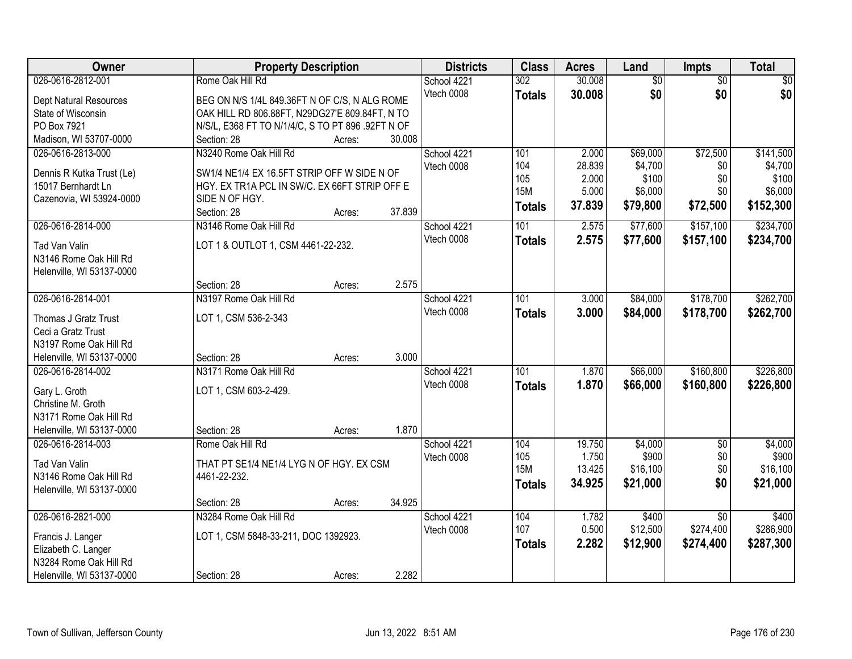| Owner                     | <b>Property Description</b>                       | <b>Districts</b> | <b>Class</b>  | <b>Acres</b> | Land            | <b>Impts</b>    | <b>Total</b> |
|---------------------------|---------------------------------------------------|------------------|---------------|--------------|-----------------|-----------------|--------------|
| 026-0616-2812-001         | Rome Oak Hill Rd                                  | School 4221      | 302           | 30.008       | $\overline{50}$ | $\overline{50}$ | $\sqrt{30}$  |
| Dept Natural Resources    | BEG ON N/S 1/4L 849.36FT N OF C/S, N ALG ROME     | Vtech 0008       | <b>Totals</b> | 30.008       | \$0             | \$0             | \$0          |
| State of Wisconsin        | OAK HILL RD 806.88FT, N29DG27'E 809.84FT, N TO    |                  |               |              |                 |                 |              |
| PO Box 7921               | N/S/L, E368 FT TO N/1/4/C, S TO PT 896 .92FT N OF |                  |               |              |                 |                 |              |
| Madison, WI 53707-0000    | Section: 28<br>30.008<br>Acres:                   |                  |               |              |                 |                 |              |
| 026-0616-2813-000         | N3240 Rome Oak Hill Rd                            | School 4221      | 101           | 2.000        | \$69,000        | \$72,500        | \$141,500    |
|                           |                                                   | Vtech 0008       | 104           | 28.839       | \$4,700         | \$0             | \$4,700      |
| Dennis R Kutka Trust (Le) | SW1/4 NE1/4 EX 16.5FT STRIP OFF W SIDE N OF       |                  | 105           | 2.000        | \$100           | \$0             | \$100        |
| 15017 Bernhardt Ln        | HGY. EX TR1A PCL IN SW/C. EX 66FT STRIP OFF E     |                  | <b>15M</b>    | 5.000        | \$6,000         | \$0             | \$6,000      |
| Cazenovia, WI 53924-0000  | SIDE N OF HGY.                                    |                  | <b>Totals</b> | 37.839       | \$79,800        | \$72,500        | \$152,300    |
|                           | 37.839<br>Section: 28<br>Acres:                   |                  |               |              |                 |                 |              |
| 026-0616-2814-000         | N3146 Rome Oak Hill Rd                            | School 4221      | 101           | 2.575        | \$77,600        | \$157,100       | \$234,700    |
| Tad Van Valin             | LOT 1 & OUTLOT 1, CSM 4461-22-232.                | Vtech 0008       | <b>Totals</b> | 2.575        | \$77,600        | \$157,100       | \$234,700    |
| N3146 Rome Oak Hill Rd    |                                                   |                  |               |              |                 |                 |              |
| Helenville, WI 53137-0000 |                                                   |                  |               |              |                 |                 |              |
|                           | 2.575<br>Section: 28<br>Acres:                    |                  |               |              |                 |                 |              |
| 026-0616-2814-001         | N3197 Rome Oak Hill Rd                            | School 4221      | 101           | 3.000        | \$84,000        | \$178,700       | \$262,700    |
| Thomas J Gratz Trust      | LOT 1, CSM 536-2-343                              | Vtech 0008       | <b>Totals</b> | 3.000        | \$84,000        | \$178,700       | \$262,700    |
| Ceci a Gratz Trust        |                                                   |                  |               |              |                 |                 |              |
| N3197 Rome Oak Hill Rd    |                                                   |                  |               |              |                 |                 |              |
| Helenville, WI 53137-0000 | 3.000<br>Section: 28<br>Acres:                    |                  |               |              |                 |                 |              |
| 026-0616-2814-002         | N3171 Rome Oak Hill Rd                            | School 4221      | 101           | 1.870        | \$66,000        | \$160,800       | \$226,800    |
|                           |                                                   | Vtech 0008       | <b>Totals</b> | 1.870        | \$66,000        | \$160,800       | \$226,800    |
| Gary L. Groth             | LOT 1, CSM 603-2-429.                             |                  |               |              |                 |                 |              |
| Christine M. Groth        |                                                   |                  |               |              |                 |                 |              |
| N3171 Rome Oak Hill Rd    |                                                   |                  |               |              |                 |                 |              |
| Helenville, WI 53137-0000 | 1.870<br>Section: 28<br>Acres:                    |                  |               |              |                 |                 |              |
| 026-0616-2814-003         | Rome Oak Hill Rd                                  | School 4221      | 104           | 19.750       | \$4,000         | $\sqrt{6}$      | \$4,000      |
| Tad Van Valin             | THAT PT SE1/4 NE1/4 LYG N OF HGY. EX CSM          | Vtech 0008       | 105           | 1.750        | \$900           | \$0             | \$900        |
| N3146 Rome Oak Hill Rd    | 4461-22-232.                                      |                  | <b>15M</b>    | 13.425       | \$16,100        | \$0             | \$16,100     |
| Helenville, WI 53137-0000 |                                                   |                  | <b>Totals</b> | 34.925       | \$21,000        | \$0             | \$21,000     |
|                           | 34.925<br>Section: 28<br>Acres:                   |                  |               |              |                 |                 |              |
| 026-0616-2821-000         | N3284 Rome Oak Hill Rd                            | School 4221      | 104           | 1.782        | \$400           | $\overline{50}$ | \$400        |
|                           |                                                   | Vtech 0008       | 107           | 0.500        | \$12,500        | \$274,400       | \$286,900    |
| Francis J. Langer         | LOT 1, CSM 5848-33-211, DOC 1392923.              |                  | <b>Totals</b> | 2.282        | \$12,900        | \$274,400       | \$287,300    |
| Elizabeth C. Langer       |                                                   |                  |               |              |                 |                 |              |
| N3284 Rome Oak Hill Rd    |                                                   |                  |               |              |                 |                 |              |
| Helenville, WI 53137-0000 | 2.282<br>Section: 28<br>Acres:                    |                  |               |              |                 |                 |              |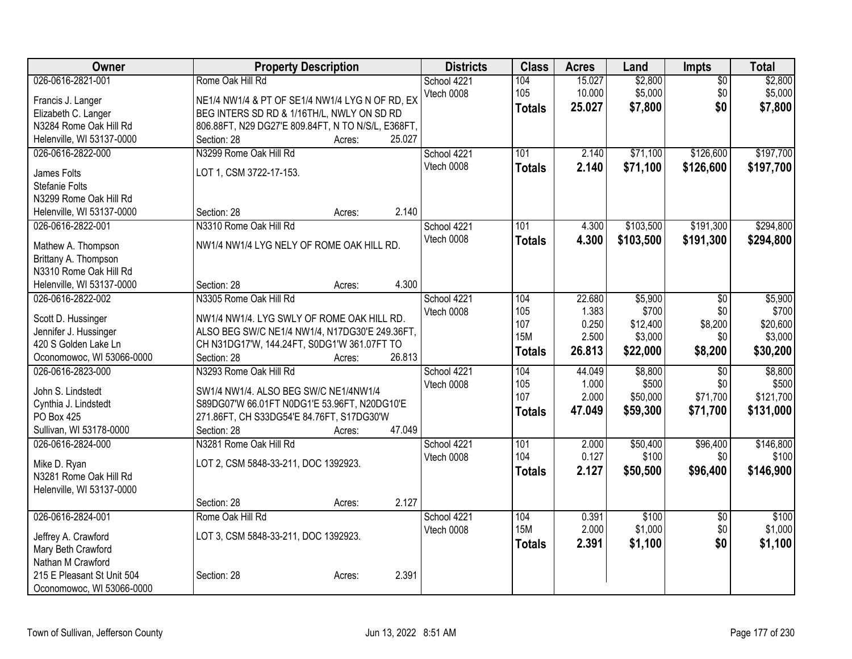| Owner                         | <b>Property Description</b>                        | <b>Districts</b> | <b>Class</b>  | <b>Acres</b>   | Land              | <b>Impts</b>    | <b>Total</b>      |
|-------------------------------|----------------------------------------------------|------------------|---------------|----------------|-------------------|-----------------|-------------------|
| 026-0616-2821-001             | Rome Oak Hill Rd                                   | School 4221      | 104           | 15.027         | \$2,800           | $\overline{50}$ | \$2,800           |
| Francis J. Langer             | NE1/4 NW1/4 & PT OF SE1/4 NW1/4 LYG N OF RD, EX    | Vtech 0008       | 105           | 10.000         | \$5,000           | \$0             | \$5,000           |
| Elizabeth C. Langer           | BEG INTERS SD RD & 1/16TH/L, NWLY ON SD RD         |                  | <b>Totals</b> | 25.027         | \$7,800           | \$0             | \$7,800           |
| N3284 Rome Oak Hill Rd        | 806.88FT, N29 DG27'E 809.84FT, N TO N/S/L, E368FT, |                  |               |                |                   |                 |                   |
| Helenville, WI 53137-0000     | 25.027<br>Section: 28<br>Acres:                    |                  |               |                |                   |                 |                   |
| 026-0616-2822-000             | N3299 Rome Oak Hill Rd                             | School 4221      | 101           | 2.140          | \$71,100          | \$126,600       | \$197,700         |
|                               | LOT 1, CSM 3722-17-153.                            | Vtech 0008       | <b>Totals</b> | 2.140          | \$71,100          | \$126,600       | \$197,700         |
| James Folts<br>Stefanie Folts |                                                    |                  |               |                |                   |                 |                   |
| N3299 Rome Oak Hill Rd        |                                                    |                  |               |                |                   |                 |                   |
| Helenville, WI 53137-0000     | 2.140<br>Section: 28<br>Acres:                     |                  |               |                |                   |                 |                   |
| 026-0616-2822-001             | N3310 Rome Oak Hill Rd                             | School 4221      | 101           | 4.300          | \$103,500         | \$191,300       | \$294,800         |
|                               |                                                    | Vtech 0008       | <b>Totals</b> | 4.300          | \$103,500         | \$191,300       | \$294,800         |
| Mathew A. Thompson            | NW1/4 NW1/4 LYG NELY OF ROME OAK HILL RD.          |                  |               |                |                   |                 |                   |
| Brittany A. Thompson          |                                                    |                  |               |                |                   |                 |                   |
| N3310 Rome Oak Hill Rd        |                                                    |                  |               |                |                   |                 |                   |
| Helenville, WI 53137-0000     | 4.300<br>Section: 28<br>Acres:                     |                  |               |                |                   |                 |                   |
| 026-0616-2822-002             | N3305 Rome Oak Hill Rd                             | School 4221      | 104           | 22.680         | \$5,900           | $\overline{50}$ | \$5,900           |
| Scott D. Hussinger            | NW1/4 NW1/4. LYG SWLY OF ROME OAK HILL RD.         | Vtech 0008       | 105<br>107    | 1.383<br>0.250 | \$700<br>\$12,400 | \$0<br>\$8,200  | \$700<br>\$20,600 |
| Jennifer J. Hussinger         | ALSO BEG SW/C NE1/4 NW1/4, N17DG30'E 249.36FT,     |                  | <b>15M</b>    | 2.500          | \$3,000           | \$0             | \$3,000           |
| 420 S Golden Lake Ln          | CH N31DG17'W, 144.24FT, S0DG1'W 361.07FT TO        |                  |               | 26.813         | \$22,000          | \$8,200         | \$30,200          |
| Oconomowoc, WI 53066-0000     | 26.813<br>Section: 28<br>Acres:                    |                  | <b>Totals</b> |                |                   |                 |                   |
| 026-0616-2823-000             | N3293 Rome Oak Hill Rd                             | School 4221      | 104           | 44.049         | \$8,800           | $\overline{30}$ | \$8,800           |
| John S. Lindstedt             | SW1/4 NW1/4. ALSO BEG SW/C NE1/4NW1/4              | Vtech 0008       | 105           | 1.000          | \$500             | \$0             | \$500             |
| Cynthia J. Lindstedt          | S89DG07'W 66.01FT N0DG1'E 53.96FT, N20DG10'E       |                  | 107           | 2.000          | \$50,000          | \$71,700        | \$121,700         |
| PO Box 425                    | 271.86FT, CH S33DG54'E 84.76FT, S17DG30'W          |                  | <b>Totals</b> | 47.049         | \$59,300          | \$71,700        | \$131,000         |
| Sullivan, WI 53178-0000       | 47.049<br>Section: 28<br>Acres:                    |                  |               |                |                   |                 |                   |
| 026-0616-2824-000             | N3281 Rome Oak Hill Rd                             | School 4221      | 101           | 2.000          | \$50,400          | \$96,400        | \$146,800         |
|                               |                                                    | Vtech 0008       | 104           | 0.127          | \$100             | \$0             | \$100             |
| Mike D. Ryan                  | LOT 2, CSM 5848-33-211, DOC 1392923.               |                  | <b>Totals</b> | 2.127          | \$50,500          | \$96,400        | \$146,900         |
| N3281 Rome Oak Hill Rd        |                                                    |                  |               |                |                   |                 |                   |
| Helenville, WI 53137-0000     | 2.127<br>Section: 28<br>Acres:                     |                  |               |                |                   |                 |                   |
| 026-0616-2824-001             | Rome Oak Hill Rd                                   | School 4221      | 104           | 0.391          | \$100             | $\overline{50}$ | \$100             |
|                               |                                                    | Vtech 0008       | <b>15M</b>    | 2.000          | \$1,000           | \$0             | \$1,000           |
| Jeffrey A. Crawford           | LOT 3, CSM 5848-33-211, DOC 1392923.               |                  | <b>Totals</b> | 2.391          | \$1,100           | \$0             | \$1,100           |
| Mary Beth Crawford            |                                                    |                  |               |                |                   |                 |                   |
| Nathan M Crawford             |                                                    |                  |               |                |                   |                 |                   |
| 215 E Pleasant St Unit 504    | 2.391<br>Section: 28<br>Acres:                     |                  |               |                |                   |                 |                   |
| Oconomowoc, WI 53066-0000     |                                                    |                  |               |                |                   |                 |                   |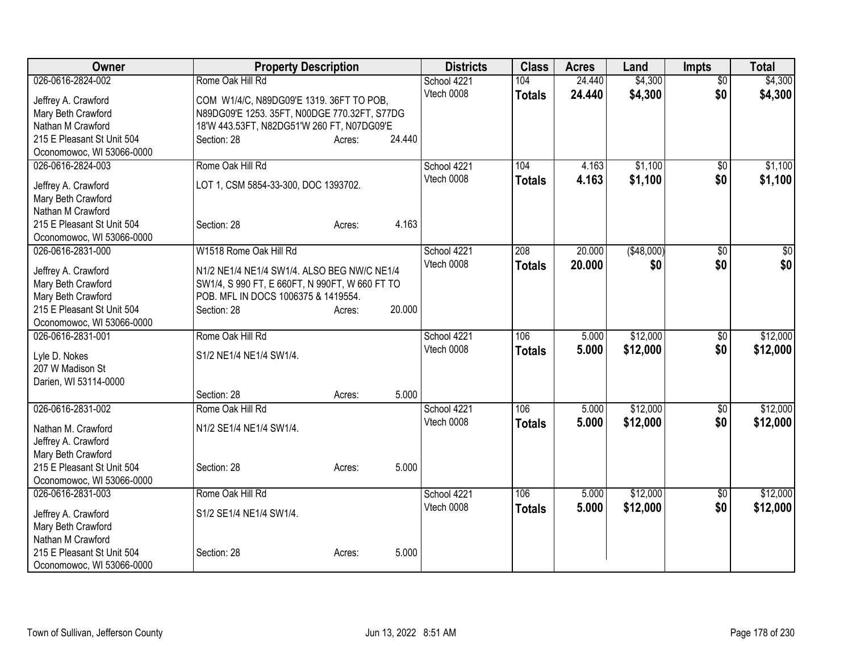| Owner                      | <b>Property Description</b>                    |        |        | <b>Districts</b> | <b>Class</b>  | <b>Acres</b> | Land        | <b>Impts</b>    | <b>Total</b> |
|----------------------------|------------------------------------------------|--------|--------|------------------|---------------|--------------|-------------|-----------------|--------------|
| 026-0616-2824-002          | Rome Oak Hill Rd                               |        |        | School 4221      | 104           | 24.440       | \$4,300     | $\overline{50}$ | \$4,300      |
| Jeffrey A. Crawford        | COM W1/4/C, N89DG09'E 1319. 36FT TO POB,       |        |        | Vtech 0008       | <b>Totals</b> | 24.440       | \$4,300     | \$0             | \$4,300      |
| Mary Beth Crawford         | N89DG09'E 1253. 35FT, N00DGE 770.32FT, S77DG   |        |        |                  |               |              |             |                 |              |
| Nathan M Crawford          | 18'W 443.53FT, N82DG51'W 260 FT, N07DG09'E     |        |        |                  |               |              |             |                 |              |
| 215 E Pleasant St Unit 504 | Section: 28                                    | Acres: | 24.440 |                  |               |              |             |                 |              |
| Oconomowoc, WI 53066-0000  |                                                |        |        |                  |               |              |             |                 |              |
| 026-0616-2824-003          | Rome Oak Hill Rd                               |        |        | School 4221      | 104           | 4.163        | \$1,100     | $\overline{30}$ | \$1,100      |
| Jeffrey A. Crawford        | LOT 1, CSM 5854-33-300, DOC 1393702.           |        |        | Vtech 0008       | <b>Totals</b> | 4.163        | \$1,100     | \$0             | \$1,100      |
| Mary Beth Crawford         |                                                |        |        |                  |               |              |             |                 |              |
| Nathan M Crawford          |                                                |        |        |                  |               |              |             |                 |              |
| 215 E Pleasant St Unit 504 | Section: 28                                    | Acres: | 4.163  |                  |               |              |             |                 |              |
| Oconomowoc, WI 53066-0000  |                                                |        |        |                  |               |              |             |                 |              |
| 026-0616-2831-000          | W1518 Rome Oak Hill Rd                         |        |        | School 4221      | 208           | 20.000       | ( \$48,000) | \$0             | \$0          |
| Jeffrey A. Crawford        | N1/2 NE1/4 NE1/4 SW1/4. ALSO BEG NW/C NE1/4    |        |        | Vtech 0008       | <b>Totals</b> | 20.000       | \$0         | \$0             | \$0          |
| Mary Beth Crawford         | SW1/4, S 990 FT, E 660FT, N 990FT, W 660 FT TO |        |        |                  |               |              |             |                 |              |
| Mary Beth Crawford         | POB. MFL IN DOCS 1006375 & 1419554.            |        |        |                  |               |              |             |                 |              |
| 215 E Pleasant St Unit 504 | Section: 28                                    | Acres: | 20.000 |                  |               |              |             |                 |              |
| Oconomowoc, WI 53066-0000  |                                                |        |        |                  |               |              |             |                 |              |
| 026-0616-2831-001          | Rome Oak Hill Rd                               |        |        | School 4221      | 106           | 5.000        | \$12,000    | \$0             | \$12,000     |
|                            |                                                |        |        | Vtech 0008       | <b>Totals</b> | 5.000        | \$12,000    | \$0             | \$12,000     |
| Lyle D. Nokes              | S1/2 NE1/4 NE1/4 SW1/4.                        |        |        |                  |               |              |             |                 |              |
| 207 W Madison St           |                                                |        |        |                  |               |              |             |                 |              |
| Darien, WI 53114-0000      |                                                |        |        |                  |               |              |             |                 |              |
|                            | Section: 28                                    | Acres: | 5.000  |                  |               |              |             |                 |              |
| 026-0616-2831-002          | Rome Oak Hill Rd                               |        |        | School 4221      | 106           | 5.000        | \$12,000    | \$0             | \$12,000     |
| Nathan M. Crawford         | N1/2 SE1/4 NE1/4 SW1/4.                        |        |        | Vtech 0008       | <b>Totals</b> | 5.000        | \$12,000    | \$0             | \$12,000     |
| Jeffrey A. Crawford        |                                                |        |        |                  |               |              |             |                 |              |
| Mary Beth Crawford         |                                                |        |        |                  |               |              |             |                 |              |
| 215 E Pleasant St Unit 504 | Section: 28                                    | Acres: | 5.000  |                  |               |              |             |                 |              |
| Oconomowoc, WI 53066-0000  |                                                |        |        |                  |               |              |             |                 |              |
| 026-0616-2831-003          | Rome Oak Hill Rd                               |        |        | School 4221      | 106           | 5.000        | \$12,000    | \$0             | \$12,000     |
| Jeffrey A. Crawford        | S1/2 SE1/4 NE1/4 SW1/4.                        |        |        | Vtech 0008       | <b>Totals</b> | 5.000        | \$12,000    | \$0             | \$12,000     |
| Mary Beth Crawford         |                                                |        |        |                  |               |              |             |                 |              |
| Nathan M Crawford          |                                                |        |        |                  |               |              |             |                 |              |
| 215 E Pleasant St Unit 504 | Section: 28                                    | Acres: | 5.000  |                  |               |              |             |                 |              |
| Oconomowoc, WI 53066-0000  |                                                |        |        |                  |               |              |             |                 |              |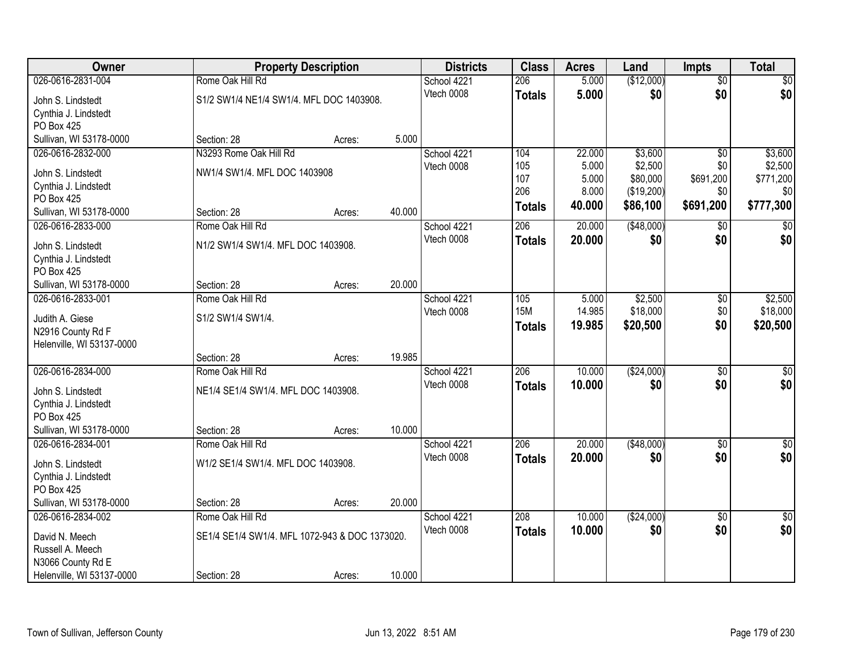| Owner                     |                                                | <b>Property Description</b> |        | <b>Districts</b> | <b>Class</b>     | <b>Acres</b>   | Land        | <b>Impts</b>    | <b>Total</b>     |
|---------------------------|------------------------------------------------|-----------------------------|--------|------------------|------------------|----------------|-------------|-----------------|------------------|
| 026-0616-2831-004         | Rome Oak Hill Rd                               |                             |        | School 4221      | 206              | 5.000          | (\$12,000)  | $\overline{50}$ | \$0              |
| John S. Lindstedt         | S1/2 SW1/4 NE1/4 SW1/4. MFL DOC 1403908.       |                             |        | Vtech 0008       | <b>Totals</b>    | 5.000          | \$0         | \$0             | \$0              |
| Cynthia J. Lindstedt      |                                                |                             |        |                  |                  |                |             |                 |                  |
| PO Box 425                |                                                |                             |        |                  |                  |                |             |                 |                  |
| Sullivan, WI 53178-0000   | Section: 28                                    | Acres:                      | 5.000  |                  |                  |                |             |                 |                  |
| 026-0616-2832-000         | N3293 Rome Oak Hill Rd                         |                             |        | School 4221      | 104              | 22.000         | \$3,600     | $\overline{50}$ | \$3,600          |
| John S. Lindstedt         | NW1/4 SW1/4. MFL DOC 1403908                   |                             |        | Vtech 0008       | 105              | 5.000          | \$2,500     | \$0             | \$2,500          |
| Cynthia J. Lindstedt      |                                                |                             |        |                  | 107<br>206       | 5.000<br>8.000 | \$80,000    | \$691,200       | \$771,200<br>\$0 |
| PO Box 425                |                                                |                             |        |                  |                  | 40.000         | (\$19,200)  | \$0             | \$777,300        |
| Sullivan, WI 53178-0000   | Section: 28                                    | Acres:                      | 40.000 |                  | <b>Totals</b>    |                | \$86,100    | \$691,200       |                  |
| 026-0616-2833-000         | Rome Oak Hill Rd                               |                             |        | School 4221      | 206              | 20.000         | ( \$48,000) | $\sqrt[6]{3}$   | $\overline{50}$  |
| John S. Lindstedt         | N1/2 SW1/4 SW1/4. MFL DOC 1403908.             |                             |        | Vtech 0008       | <b>Totals</b>    | 20.000         | \$0         | \$0             | \$0              |
| Cynthia J. Lindstedt      |                                                |                             |        |                  |                  |                |             |                 |                  |
| PO Box 425                |                                                |                             |        |                  |                  |                |             |                 |                  |
| Sullivan, WI 53178-0000   | Section: 28                                    | Acres:                      | 20.000 |                  |                  |                |             |                 |                  |
| 026-0616-2833-001         | Rome Oak Hill Rd                               |                             |        | School 4221      | 105              | 5.000          | \$2,500     | \$0             | \$2,500          |
| Judith A. Giese           | S1/2 SW1/4 SW1/4.                              |                             |        | Vtech 0008       | <b>15M</b>       | 14.985         | \$18,000    | \$0             | \$18,000         |
| N2916 County Rd F         |                                                |                             |        |                  | <b>Totals</b>    | 19.985         | \$20,500    | \$0             | \$20,500         |
| Helenville, WI 53137-0000 |                                                |                             |        |                  |                  |                |             |                 |                  |
|                           | Section: 28                                    | Acres:                      | 19.985 |                  |                  |                |             |                 |                  |
| 026-0616-2834-000         | Rome Oak Hill Rd                               |                             |        | School 4221      | $\overline{206}$ | 10.000         | (\$24,000)  | $\overline{50}$ | $\sqrt{50}$      |
| John S. Lindstedt         | NE1/4 SE1/4 SW1/4. MFL DOC 1403908.            |                             |        | Vtech 0008       | <b>Totals</b>    | 10,000         | \$0         | \$0             | \$0              |
| Cynthia J. Lindstedt      |                                                |                             |        |                  |                  |                |             |                 |                  |
| PO Box 425                |                                                |                             |        |                  |                  |                |             |                 |                  |
| Sullivan, WI 53178-0000   | Section: 28                                    | Acres:                      | 10.000 |                  |                  |                |             |                 |                  |
| 026-0616-2834-001         | Rome Oak Hill Rd                               |                             |        | School 4221      | 206              | 20.000         | (\$48,000)  | $\overline{30}$ | $\sqrt{50}$      |
| John S. Lindstedt         | W1/2 SE1/4 SW1/4. MFL DOC 1403908.             |                             |        | Vtech 0008       | <b>Totals</b>    | 20.000         | \$0         | \$0             | \$0              |
| Cynthia J. Lindstedt      |                                                |                             |        |                  |                  |                |             |                 |                  |
| PO Box 425                |                                                |                             |        |                  |                  |                |             |                 |                  |
| Sullivan, WI 53178-0000   | Section: 28                                    | Acres:                      | 20.000 |                  |                  |                |             |                 |                  |
| 026-0616-2834-002         | Rome Oak Hill Rd                               |                             |        | School 4221      | 208              | 10.000         | (\$24,000)  | $\overline{50}$ | $\overline{50}$  |
| David N. Meech            | SE1/4 SE1/4 SW1/4. MFL 1072-943 & DOC 1373020. |                             |        | Vtech 0008       | <b>Totals</b>    | 10.000         | \$0         | \$0             | \$0              |
| Russell A. Meech          |                                                |                             |        |                  |                  |                |             |                 |                  |
| N3066 County Rd E         |                                                |                             |        |                  |                  |                |             |                 |                  |
| Helenville, WI 53137-0000 | Section: 28                                    | Acres:                      | 10.000 |                  |                  |                |             |                 |                  |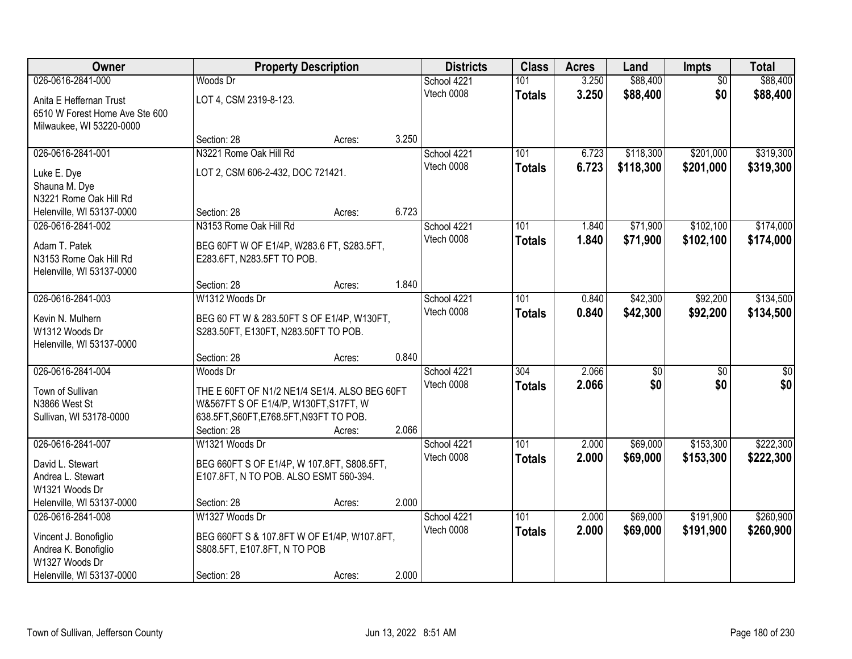| Owner                          |                                               | <b>Property Description</b> |       | <b>Districts</b> | <b>Class</b>     | <b>Acres</b> | Land            | <b>Impts</b>    | <b>Total</b>    |
|--------------------------------|-----------------------------------------------|-----------------------------|-------|------------------|------------------|--------------|-----------------|-----------------|-----------------|
| 026-0616-2841-000              | Woods Dr                                      |                             |       | School 4221      | 101              | 3.250        | \$88,400        | $\overline{50}$ | \$88,400        |
| Anita E Heffernan Trust        | LOT 4, CSM 2319-8-123.                        |                             |       | Vtech 0008       | <b>Totals</b>    | 3.250        | \$88,400        | \$0             | \$88,400        |
| 6510 W Forest Home Ave Ste 600 |                                               |                             |       |                  |                  |              |                 |                 |                 |
| Milwaukee, WI 53220-0000       |                                               |                             |       |                  |                  |              |                 |                 |                 |
|                                | Section: 28                                   | Acres:                      | 3.250 |                  |                  |              |                 |                 |                 |
| 026-0616-2841-001              | N3221 Rome Oak Hill Rd                        |                             |       | School 4221      | 101              | 6.723        | \$118,300       | \$201,000       | \$319,300       |
| Luke E. Dye                    | LOT 2, CSM 606-2-432, DOC 721421.             |                             |       | Vtech 0008       | <b>Totals</b>    | 6.723        | \$118,300       | \$201,000       | \$319,300       |
| Shauna M. Dye                  |                                               |                             |       |                  |                  |              |                 |                 |                 |
| N3221 Rome Oak Hill Rd         |                                               |                             |       |                  |                  |              |                 |                 |                 |
| Helenville, WI 53137-0000      | Section: 28                                   | Acres:                      | 6.723 |                  |                  |              |                 |                 |                 |
| 026-0616-2841-002              | N3153 Rome Oak Hill Rd                        |                             |       | School 4221      | 101              | 1.840        | \$71,900        | \$102,100       | \$174,000       |
| Adam T. Patek                  | BEG 60FT W OF E1/4P, W283.6 FT, S283.5FT,     |                             |       | Vtech 0008       | <b>Totals</b>    | 1.840        | \$71,900        | \$102,100       | \$174,000       |
| N3153 Rome Oak Hill Rd         | E283.6FT, N283.5FT TO POB.                    |                             |       |                  |                  |              |                 |                 |                 |
| Helenville, WI 53137-0000      |                                               |                             |       |                  |                  |              |                 |                 |                 |
|                                | Section: 28                                   | Acres:                      | 1.840 |                  |                  |              |                 |                 |                 |
| 026-0616-2841-003              | W1312 Woods Dr                                |                             |       | School 4221      | 101              | 0.840        | \$42,300        | \$92,200        | \$134,500       |
| Kevin N. Mulhern               | BEG 60 FT W & 283.50FT S OF E1/4P, W130FT,    |                             |       | Vtech 0008       | <b>Totals</b>    | 0.840        | \$42,300        | \$92,200        | \$134,500       |
| W1312 Woods Dr                 | S283.50FT, E130FT, N283.50FT TO POB.          |                             |       |                  |                  |              |                 |                 |                 |
| Helenville, WI 53137-0000      |                                               |                             |       |                  |                  |              |                 |                 |                 |
|                                | Section: 28                                   | Acres:                      | 0.840 |                  |                  |              |                 |                 |                 |
| 026-0616-2841-004              | Woods Dr                                      |                             |       | School 4221      | $\overline{304}$ | 2.066        | $\overline{50}$ | $\overline{50}$ | $\overline{30}$ |
| Town of Sullivan               | THE E 60FT OF N1/2 NE1/4 SE1/4. ALSO BEG 60FT |                             |       | Vtech 0008       | <b>Totals</b>    | 2.066        | \$0             | \$0             | \$0             |
| N3866 West St                  | W&567FT S OF E1/4/P, W130FT, S17FT, W         |                             |       |                  |                  |              |                 |                 |                 |
| Sullivan, WI 53178-0000        | 638.5FT, S60FT, E768.5FT, N93FT TO POB.       |                             |       |                  |                  |              |                 |                 |                 |
|                                | Section: 28                                   | Acres:                      | 2.066 |                  |                  |              |                 |                 |                 |
| 026-0616-2841-007              | W1321 Woods Dr                                |                             |       | School 4221      | 101              | 2.000        | \$69,000        | \$153,300       | \$222,300       |
| David L. Stewart               | BEG 660FT S OF E1/4P, W 107.8FT, S808.5FT,    |                             |       | Vtech 0008       | <b>Totals</b>    | 2.000        | \$69,000        | \$153,300       | \$222,300       |
| Andrea L. Stewart              | E107.8FT, N TO POB. ALSO ESMT 560-394.        |                             |       |                  |                  |              |                 |                 |                 |
| W1321 Woods Dr                 |                                               |                             |       |                  |                  |              |                 |                 |                 |
| Helenville, WI 53137-0000      | Section: 28                                   | Acres:                      | 2.000 |                  |                  |              |                 |                 |                 |
| 026-0616-2841-008              | W1327 Woods Dr                                |                             |       | School 4221      | 101              | 2.000        | \$69,000        | \$191,900       | \$260,900       |
| Vincent J. Bonofiglio          | BEG 660FT S & 107.8FT W OF E1/4P, W107.8FT,   |                             |       | Vtech 0008       | <b>Totals</b>    | 2.000        | \$69,000        | \$191,900       | \$260,900       |
| Andrea K. Bonofiglio           | S808.5FT, E107.8FT, N TO POB                  |                             |       |                  |                  |              |                 |                 |                 |
| W1327 Woods Dr                 |                                               |                             |       |                  |                  |              |                 |                 |                 |
| Helenville, WI 53137-0000      | Section: 28                                   | Acres:                      | 2.000 |                  |                  |              |                 |                 |                 |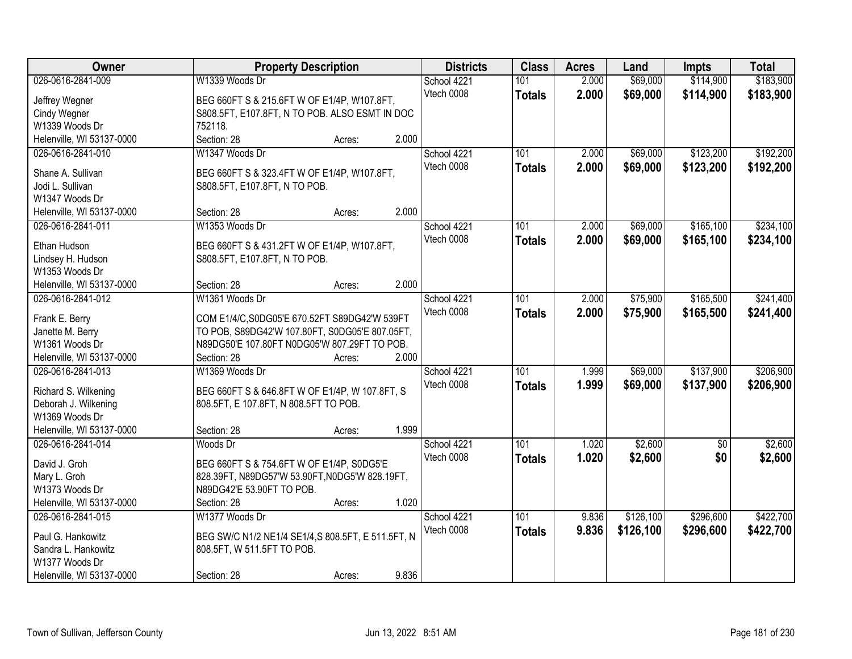| Owner<br><b>Districts</b><br><b>Class</b><br><b>Property Description</b><br><b>Acres</b><br>Land<br><b>Impts</b>                         | <b>Total</b>               |
|------------------------------------------------------------------------------------------------------------------------------------------|----------------------------|
| 026-0616-2841-009<br>W1339 Woods Dr<br>2.000<br>\$69,000<br>\$114,900<br>School 4221<br>101                                              | \$183,900                  |
| Vtech 0008<br>2.000<br>\$69,000<br>\$114,900<br><b>Totals</b><br>Jeffrey Wegner<br>BEG 660FT S & 215.6FT W OF E1/4P, W107.8FT,           | \$183,900                  |
| <b>Cindy Wegner</b><br>S808.5FT, E107.8FT, N TO POB. ALSO ESMT IN DOC                                                                    |                            |
| W1339 Woods Dr<br>752118.                                                                                                                |                            |
| 2.000<br>Helenville, WI 53137-0000<br>Section: 28<br>Acres:                                                                              |                            |
| 101<br>\$123,200<br>026-0616-2841-010<br>W1347 Woods Dr<br>2.000<br>\$69,000<br>School 4221                                              | \$192,200                  |
| Vtech 0008<br>2.000<br>\$69,000<br>\$123,200<br><b>Totals</b>                                                                            | \$192,200                  |
| Shane A. Sullivan<br>BEG 660FT S & 323.4FT W OF E1/4P, W107.8FT,                                                                         |                            |
| Jodi L. Sullivan<br>S808.5FT, E107.8FT, N TO POB.                                                                                        |                            |
| W1347 Woods Dr                                                                                                                           |                            |
| 2.000<br>Helenville, WI 53137-0000<br>Section: 28<br>Acres:                                                                              |                            |
| \$165,100<br>026-0616-2841-011<br>W1353 Woods Dr<br>101<br>2.000<br>\$69,000<br>School 4221                                              | \$234,100                  |
| Vtech 0008<br>\$69,000<br>\$165,100<br>2.000<br><b>Totals</b><br>Ethan Hudson<br>BEG 660FT S & 431.2FT W OF E1/4P, W107.8FT,             | \$234,100                  |
| Lindsey H. Hudson<br>S808.5FT, E107.8FT, N TO POB.                                                                                       |                            |
| W1353 Woods Dr                                                                                                                           |                            |
| 2.000<br>Helenville, WI 53137-0000<br>Section: 28<br>Acres:                                                                              |                            |
| \$75,900<br>\$165,500<br>026-0616-2841-012<br>W1361 Woods Dr<br>101<br>2.000<br>School 4221                                              | \$241,400                  |
| Vtech 0008<br>2.000<br>\$75,900<br>\$165,500<br><b>Totals</b>                                                                            | \$241,400                  |
| Frank E. Berry<br>COM E1/4/C, S0DG05'E 670.52FT S89DG42'W 539FT                                                                          |                            |
| Janette M. Berry<br>TO POB, S89DG42'W 107.80FT, S0DG05'E 807.05FT,                                                                       |                            |
| W1361 Woods Dr<br>N89DG50'E 107.80FT N0DG05'W 807.29FT TO POB.                                                                           |                            |
| 2.000<br>Helenville, WI 53137-0000<br>Section: 28<br>Acres:                                                                              |                            |
| \$137,900<br>026-0616-2841-013<br>W1369 Woods Dr<br>101<br>1.999<br>\$69,000<br>School 4221                                              | \$206,900                  |
| Vtech 0008<br>1.999<br>\$69,000<br>\$137,900<br><b>Totals</b><br>Richard S. Wilkening<br>BEG 660FT S & 646.8FT W OF E1/4P, W 107.8FT, S  | \$206,900                  |
| Deborah J. Wilkening<br>808.5FT, E 107.8FT, N 808.5FT TO POB.                                                                            |                            |
| W1369 Woods Dr                                                                                                                           |                            |
| 1.999<br>Helenville, WI 53137-0000<br>Section: 28<br>Acres:                                                                              |                            |
| $\overline{101}$<br>\$2,600<br>026-0616-2841-014<br>Woods Dr<br>School 4221<br>1.020                                                     | \$2,600<br>$\overline{50}$ |
| Vtech 0008<br>1.020<br>\$2,600<br><b>Totals</b>                                                                                          | \$0<br>\$2,600             |
| David J. Groh<br>BEG 660FT S & 754.6FT W OF E1/4P, S0DG5'E                                                                               |                            |
| Mary L. Groh<br>828.39FT, N89DG57'W 53.90FT, N0DG5'W 828.19FT,                                                                           |                            |
| W1373 Woods Dr<br>N89DG42'E 53.90FT TO POB.                                                                                              |                            |
| 1.020<br>Helenville, WI 53137-0000<br>Section: 28<br>Acres:                                                                              |                            |
| 026-0616-2841-015<br>\$126,100<br>\$296,600<br>W1377 Woods Dr<br>101<br>9.836<br>School 4221                                             | \$422,700                  |
| Vtech 0008<br>9.836<br>\$126,100<br>\$296,600<br><b>Totals</b><br>Paul G. Hankowitz<br>BEG SW/C N1/2 NE1/4 SE1/4,S 808.5FT, E 511.5FT, N | \$422,700                  |
| Sandra L. Hankowitz<br>808.5FT, W 511.5FT TO POB.                                                                                        |                            |
| W1377 Woods Dr                                                                                                                           |                            |
| 9.836<br>Helenville, WI 53137-0000<br>Section: 28<br>Acres:                                                                              |                            |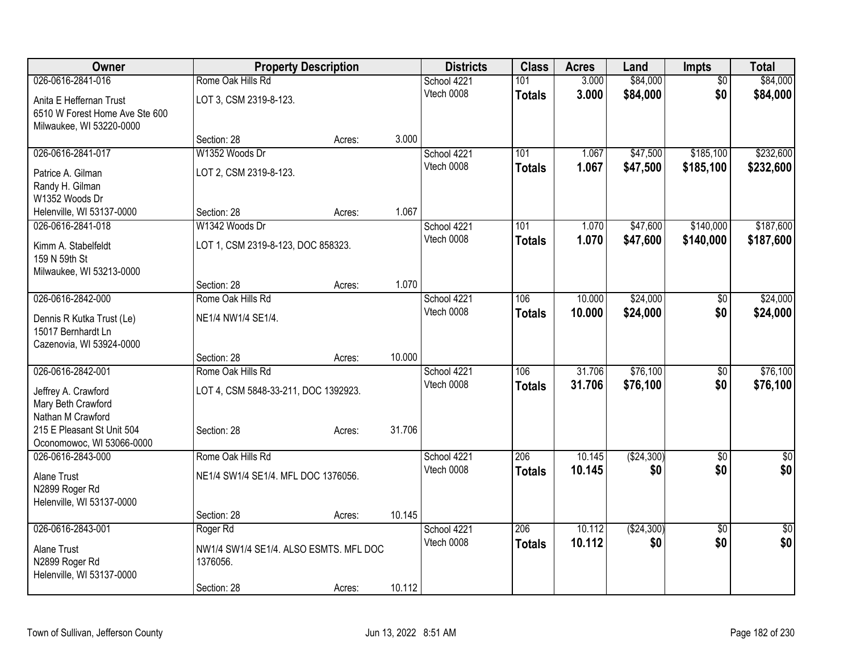| <b>Owner</b>                                   | <b>Property Description</b>            |        |        | <b>Districts</b>          | <b>Class</b>     | <b>Acres</b>   | Land                 | <b>Impts</b>           | <b>Total</b>     |
|------------------------------------------------|----------------------------------------|--------|--------|---------------------------|------------------|----------------|----------------------|------------------------|------------------|
| 026-0616-2841-016                              | Rome Oak Hills Rd                      |        |        | School 4221               | 101              | 3.000          | \$84,000             | $\overline{50}$        | \$84,000         |
| Anita E Heffernan Trust                        | LOT 3, CSM 2319-8-123.                 |        |        | Vtech 0008                | <b>Totals</b>    | 3.000          | \$84,000             | \$0                    | \$84,000         |
| 6510 W Forest Home Ave Ste 600                 |                                        |        |        |                           |                  |                |                      |                        |                  |
| Milwaukee, WI 53220-0000                       |                                        |        |        |                           |                  |                |                      |                        |                  |
|                                                | Section: 28                            | Acres: | 3.000  |                           |                  |                |                      |                        |                  |
| 026-0616-2841-017                              | W1352 Woods Dr                         |        |        | School 4221               | 101              | 1.067          | \$47,500             | \$185,100              | \$232,600        |
| Patrice A. Gilman                              | LOT 2, CSM 2319-8-123.                 |        |        | Vtech 0008                | <b>Totals</b>    | 1.067          | \$47,500             | \$185,100              | \$232,600        |
| Randy H. Gilman                                |                                        |        |        |                           |                  |                |                      |                        |                  |
| W1352 Woods Dr                                 |                                        |        |        |                           |                  |                |                      |                        |                  |
| Helenville, WI 53137-0000                      | Section: 28                            | Acres: | 1.067  |                           |                  |                |                      |                        |                  |
| 026-0616-2841-018                              | W1342 Woods Dr                         |        |        | School 4221<br>Vtech 0008 | 101              | 1.070<br>1.070 | \$47,600<br>\$47,600 | \$140,000<br>\$140,000 | \$187,600        |
| Kimm A. Stabelfeldt                            | LOT 1, CSM 2319-8-123, DOC 858323.     |        |        |                           | <b>Totals</b>    |                |                      |                        | \$187,600        |
| 159 N 59th St                                  |                                        |        |        |                           |                  |                |                      |                        |                  |
| Milwaukee, WI 53213-0000                       | Section: 28                            | Acres: | 1.070  |                           |                  |                |                      |                        |                  |
| 026-0616-2842-000                              | Rome Oak Hills Rd                      |        |        | School 4221               | 106              | 10.000         | \$24,000             | \$0                    | \$24,000         |
|                                                |                                        |        |        | Vtech 0008                | <b>Totals</b>    | 10.000         | \$24,000             | \$0                    | \$24,000         |
| Dennis R Kutka Trust (Le)                      | NE1/4 NW1/4 SE1/4.                     |        |        |                           |                  |                |                      |                        |                  |
| 15017 Bernhardt Ln<br>Cazenovia, WI 53924-0000 |                                        |        |        |                           |                  |                |                      |                        |                  |
|                                                | Section: 28                            | Acres: | 10.000 |                           |                  |                |                      |                        |                  |
| 026-0616-2842-001                              | Rome Oak Hills Rd                      |        |        | School 4221               | 106              | 31.706         | \$76,100             | $\overline{50}$        | \$76,100         |
| Jeffrey A. Crawford                            | LOT 4, CSM 5848-33-211, DOC 1392923.   |        |        | Vtech 0008                | <b>Totals</b>    | 31.706         | \$76,100             | \$0                    | \$76,100         |
| Mary Beth Crawford                             |                                        |        |        |                           |                  |                |                      |                        |                  |
| Nathan M Crawford                              |                                        |        |        |                           |                  |                |                      |                        |                  |
| 215 E Pleasant St Unit 504                     | Section: 28                            | Acres: | 31.706 |                           |                  |                |                      |                        |                  |
| Oconomowoc, WI 53066-0000                      |                                        |        |        |                           |                  |                |                      |                        |                  |
| 026-0616-2843-000                              | Rome Oak Hills Rd                      |        |        | School 4221               | 206              | 10.145         | (\$24,300)           | $\overline{30}$        | $\overline{\$0}$ |
| <b>Alane Trust</b>                             | NE1/4 SW1/4 SE1/4. MFL DOC 1376056.    |        |        | Vtech 0008                | <b>Totals</b>    | 10.145         | \$0                  | \$0                    | \$0              |
| N2899 Roger Rd                                 |                                        |        |        |                           |                  |                |                      |                        |                  |
| Helenville, WI 53137-0000                      |                                        |        |        |                           |                  |                |                      |                        |                  |
|                                                | Section: 28                            | Acres: | 10.145 |                           |                  |                |                      |                        |                  |
| 026-0616-2843-001                              | Roger Rd                               |        |        | School 4221<br>Vtech 0008 | $\overline{206}$ | 10.112         | (\$24,300)           | $\overline{30}$        | $\overline{50}$  |
| <b>Alane Trust</b>                             | NW1/4 SW1/4 SE1/4. ALSO ESMTS. MFL DOC |        |        |                           | <b>Totals</b>    | 10.112         | \$0                  | \$0                    | \$0              |
| N2899 Roger Rd                                 | 1376056.                               |        |        |                           |                  |                |                      |                        |                  |
| Helenville, WI 53137-0000                      |                                        |        |        |                           |                  |                |                      |                        |                  |
|                                                | Section: 28                            | Acres: | 10.112 |                           |                  |                |                      |                        |                  |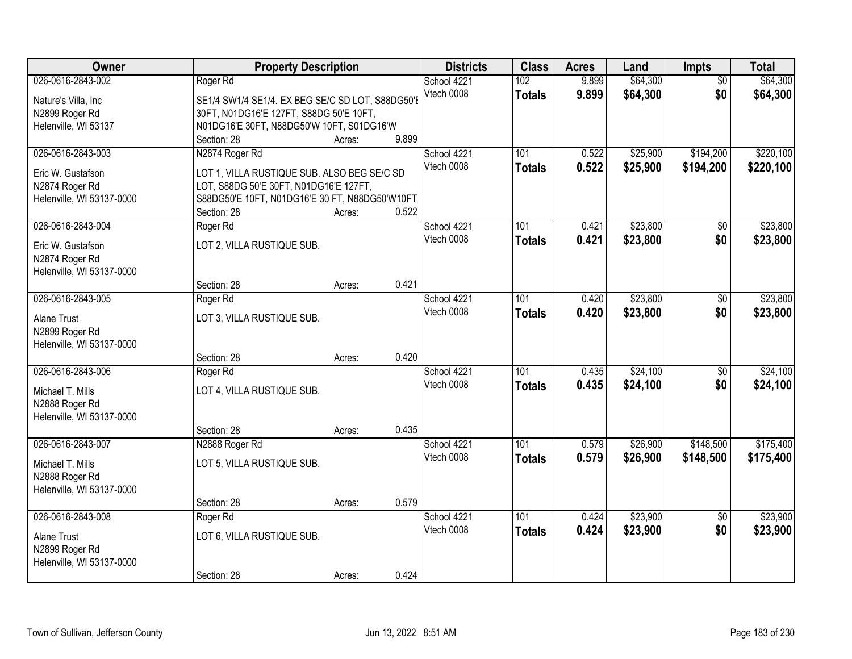| Owner                                                                                  | <b>Property Description</b>                                                                                                                                              |                  |       | <b>Districts</b>          | <b>Class</b>                      | <b>Acres</b>   | Land                 | Impts                  | <b>Total</b>           |
|----------------------------------------------------------------------------------------|--------------------------------------------------------------------------------------------------------------------------------------------------------------------------|------------------|-------|---------------------------|-----------------------------------|----------------|----------------------|------------------------|------------------------|
| 026-0616-2843-002<br>Nature's Villa, Inc<br>N2899 Roger Rd<br>Helenville, WI 53137     | Roger Rd<br>SE1/4 SW1/4 SE1/4. EX BEG SE/C SD LOT, S88DG50'E<br>30FT, N01DG16'E 127FT, S88DG 50'E 10FT,<br>N01DG16'E 30FT, N88DG50'W 10FT, S01DG16'W<br>Section: 28      | Acres:           | 9.899 | School 4221<br>Vtech 0008 | 102<br><b>Totals</b>              | 9.899<br>9.899 | \$64,300<br>\$64,300 | $\overline{50}$<br>\$0 | \$64,300<br>\$64,300   |
| 026-0616-2843-003<br>Eric W. Gustafson<br>N2874 Roger Rd<br>Helenville, WI 53137-0000  | N2874 Roger Rd<br>LOT 1, VILLA RUSTIQUE SUB. ALSO BEG SE/C SD<br>LOT, S88DG 50'E 30FT, N01DG16'E 127FT,<br>S88DG50'E 10FT, N01DG16'E 30 FT, N88DG50'W10FT<br>Section: 28 | Acres:           | 0.522 | School 4221<br>Vtech 0008 | 101<br><b>Totals</b>              | 0.522<br>0.522 | \$25,900<br>\$25,900 | \$194,200<br>\$194,200 | \$220,100<br>\$220,100 |
| 026-0616-2843-004<br>Eric W. Gustafson<br>N2874 Roger Rd<br>Helenville, WI 53137-0000  | Roger Rd<br>LOT 2, VILLA RUSTIQUE SUB.<br>Section: 28                                                                                                                    | Acres:           | 0.421 | School 4221<br>Vtech 0008 | 101<br><b>Totals</b>              | 0.421<br>0.421 | \$23,800<br>\$23,800 | \$0<br>\$0             | \$23,800<br>\$23,800   |
| 026-0616-2843-005<br><b>Alane Trust</b><br>N2899 Roger Rd<br>Helenville, WI 53137-0000 | Roger Rd<br>LOT 3, VILLA RUSTIQUE SUB.                                                                                                                                   |                  | 0.420 | School 4221<br>Vtech 0008 | 101<br><b>Totals</b>              | 0.420<br>0.420 | \$23,800<br>\$23,800 | \$0<br>\$0             | \$23,800<br>\$23,800   |
| 026-0616-2843-006<br>Michael T. Mills<br>N2888 Roger Rd<br>Helenville, WI 53137-0000   | Section: 28<br>Roger Rd<br>LOT 4, VILLA RUSTIQUE SUB.<br>Section: 28                                                                                                     | Acres:<br>Acres: | 0.435 | School 4221<br>Vtech 0008 | $\overline{101}$<br><b>Totals</b> | 0.435<br>0.435 | \$24,100<br>\$24,100 | $\overline{50}$<br>\$0 | \$24,100<br>\$24,100   |
| 026-0616-2843-007<br>Michael T. Mills<br>N2888 Roger Rd<br>Helenville, WI 53137-0000   | N2888 Roger Rd<br>LOT 5, VILLA RUSTIQUE SUB.<br>Section: 28                                                                                                              | Acres:           | 0.579 | School 4221<br>Vtech 0008 | 101<br><b>Totals</b>              | 0.579<br>0.579 | \$26,900<br>\$26,900 | \$148,500<br>\$148,500 | \$175,400<br>\$175,400 |
| 026-0616-2843-008<br>Alane Trust<br>N2899 Roger Rd<br>Helenville, WI 53137-0000        | Roger Rd<br>LOT 6, VILLA RUSTIQUE SUB.<br>Section: 28                                                                                                                    | Acres:           | 0.424 | School 4221<br>Vtech 0008 | 101<br><b>Totals</b>              | 0.424<br>0.424 | \$23,900<br>\$23,900 | $\overline{50}$<br>\$0 | \$23,900<br>\$23,900   |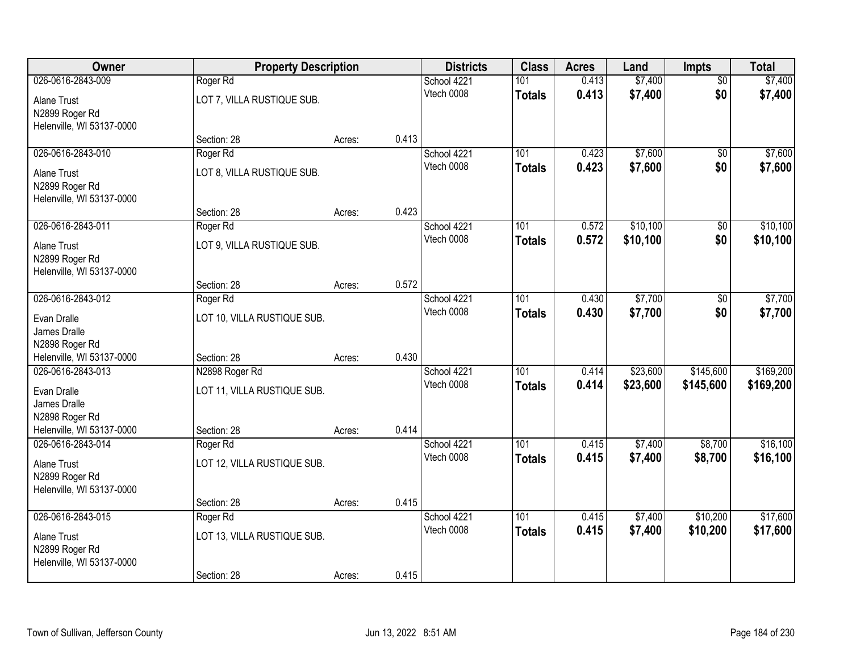| Owner                                                                                           | <b>Property Description</b>                                  |        |       | <b>Districts</b>          | <b>Class</b>         | <b>Acres</b>   | Land                 | Impts                  | <b>Total</b>           |
|-------------------------------------------------------------------------------------------------|--------------------------------------------------------------|--------|-------|---------------------------|----------------------|----------------|----------------------|------------------------|------------------------|
| 026-0616-2843-009<br><b>Alane Trust</b><br>N2899 Roger Rd                                       | Roger Rd<br>LOT 7, VILLA RUSTIQUE SUB.                       |        |       | School 4221<br>Vtech 0008 | 101<br><b>Totals</b> | 0.413<br>0.413 | \$7,400<br>\$7,400   | $\overline{50}$<br>\$0 | \$7,400<br>\$7,400     |
| Helenville, WI 53137-0000                                                                       | Section: 28                                                  | Acres: | 0.413 |                           |                      |                |                      |                        |                        |
| 026-0616-2843-010<br><b>Alane Trust</b><br>N2899 Roger Rd<br>Helenville, WI 53137-0000          | Roger <sub>Rd</sub><br>LOT 8, VILLA RUSTIQUE SUB.            |        |       | School 4221<br>Vtech 0008 | 101<br><b>Totals</b> | 0.423<br>0.423 | \$7,600<br>\$7,600   | \$0<br>\$0             | \$7,600<br>\$7,600     |
|                                                                                                 | Section: 28                                                  | Acres: | 0.423 |                           |                      |                |                      |                        |                        |
| 026-0616-2843-011<br><b>Alane Trust</b><br>N2899 Roger Rd<br>Helenville, WI 53137-0000          | Roger Rd<br>LOT 9, VILLA RUSTIQUE SUB.                       |        |       | School 4221<br>Vtech 0008 | 101<br><b>Totals</b> | 0.572<br>0.572 | \$10,100<br>\$10,100 | $\overline{50}$<br>\$0 | \$10,100<br>\$10,100   |
|                                                                                                 | Section: 28                                                  | Acres: | 0.572 |                           |                      |                |                      |                        |                        |
| 026-0616-2843-012<br>Evan Dralle<br>James Dralle<br>N2898 Roger Rd                              | Roger Rd<br>LOT 10, VILLA RUSTIQUE SUB.                      |        |       | School 4221<br>Vtech 0008 | 101<br><b>Totals</b> | 0.430<br>0.430 | \$7,700<br>\$7,700   | \$0<br>\$0             | \$7,700<br>\$7,700     |
| Helenville, WI 53137-0000                                                                       | Section: 28                                                  | Acres: | 0.430 |                           |                      |                |                      |                        |                        |
| 026-0616-2843-013<br>Evan Dralle<br>James Dralle<br>N2898 Roger Rd<br>Helenville, WI 53137-0000 | N2898 Roger Rd<br>LOT 11, VILLA RUSTIQUE SUB.<br>Section: 28 | Acres: | 0.414 | School 4221<br>Vtech 0008 | 101<br><b>Totals</b> | 0.414<br>0.414 | \$23,600<br>\$23,600 | \$145,600<br>\$145,600 | \$169,200<br>\$169,200 |
| 026-0616-2843-014                                                                               | Roger Rd                                                     |        |       | School 4221               | 101                  | 0.415          | \$7,400              | \$8,700                | \$16,100               |
| <b>Alane Trust</b><br>N2899 Roger Rd<br>Helenville, WI 53137-0000                               | LOT 12, VILLA RUSTIQUE SUB.                                  |        |       | Vtech 0008                | <b>Totals</b>        | 0.415          | \$7,400              | \$8,700                | \$16,100               |
|                                                                                                 | Section: 28                                                  | Acres: | 0.415 |                           |                      |                |                      |                        |                        |
| 026-0616-2843-015<br>Alane Trust<br>N2899 Roger Rd<br>Helenville, WI 53137-0000                 | Roger Rd<br>LOT 13, VILLA RUSTIQUE SUB.<br>Section: 28       | Acres: | 0.415 | School 4221<br>Vtech 0008 | 101<br><b>Totals</b> | 0.415<br>0.415 | \$7,400<br>\$7,400   | \$10,200<br>\$10,200   | \$17,600<br>\$17,600   |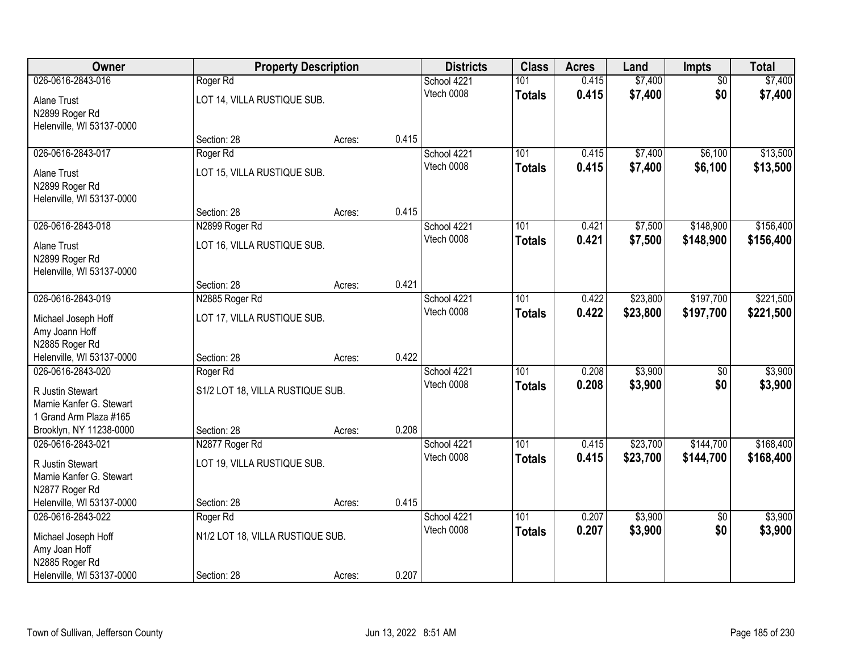| Owner                                       | <b>Property Description</b>      |        |       | <b>Districts</b>          | <b>Class</b>         | <b>Acres</b>   | Land               | Impts                  | <b>Total</b>       |
|---------------------------------------------|----------------------------------|--------|-------|---------------------------|----------------------|----------------|--------------------|------------------------|--------------------|
| 026-0616-2843-016                           | Roger Rd                         |        |       | School 4221               | 101                  | 0.415          | \$7,400            | $\overline{50}$        | \$7,400            |
| Alane Trust                                 | LOT 14, VILLA RUSTIQUE SUB.      |        |       | Vtech 0008                | <b>Totals</b>        | 0.415          | \$7,400            | \$0                    | \$7,400            |
| N2899 Roger Rd                              |                                  |        |       |                           |                      |                |                    |                        |                    |
| Helenville, WI 53137-0000                   |                                  |        |       |                           |                      |                |                    |                        |                    |
| 026-0616-2843-017                           | Section: 28<br>Roger Rd          | Acres: | 0.415 | School 4221               | 101                  | 0.415          | \$7,400            | \$6,100                | \$13,500           |
|                                             |                                  |        |       | Vtech 0008                | <b>Totals</b>        | 0.415          | \$7,400            | \$6,100                | \$13,500           |
| <b>Alane Trust</b>                          | LOT 15, VILLA RUSTIQUE SUB.      |        |       |                           |                      |                |                    |                        |                    |
| N2899 Roger Rd<br>Helenville, WI 53137-0000 |                                  |        |       |                           |                      |                |                    |                        |                    |
|                                             | Section: 28                      | Acres: | 0.415 |                           |                      |                |                    |                        |                    |
| 026-0616-2843-018                           | N2899 Roger Rd                   |        |       | School 4221               | 101                  | 0.421          | \$7,500            | \$148,900              | \$156,400          |
| <b>Alane Trust</b>                          | LOT 16, VILLA RUSTIQUE SUB.      |        |       | Vtech 0008                | <b>Totals</b>        | 0.421          | \$7,500            | \$148,900              | \$156,400          |
| N2899 Roger Rd                              |                                  |        |       |                           |                      |                |                    |                        |                    |
| Helenville, WI 53137-0000                   |                                  |        |       |                           |                      |                |                    |                        |                    |
|                                             | Section: 28                      | Acres: | 0.421 |                           |                      |                |                    |                        |                    |
| 026-0616-2843-019                           | N2885 Roger Rd                   |        |       | School 4221               | 101                  | 0.422          | \$23,800           | \$197,700              | \$221,500          |
| Michael Joseph Hoff                         | LOT 17, VILLA RUSTIQUE SUB.      |        |       | Vtech 0008                | <b>Totals</b>        | 0.422          | \$23,800           | \$197,700              | \$221,500          |
| Amy Joann Hoff                              |                                  |        |       |                           |                      |                |                    |                        |                    |
| N2885 Roger Rd<br>Helenville, WI 53137-0000 | Section: 28                      | Acres: | 0.422 |                           |                      |                |                    |                        |                    |
| 026-0616-2843-020                           | Roger Rd                         |        |       | School 4221               | 101                  | 0.208          | \$3,900            | $\overline{50}$        | \$3,900            |
|                                             |                                  |        |       | Vtech 0008                | <b>Totals</b>        | 0.208          | \$3,900            | \$0                    | \$3,900            |
| R Justin Stewart<br>Mamie Kanfer G. Stewart | S1/2 LOT 18, VILLA RUSTIQUE SUB. |        |       |                           |                      |                |                    |                        |                    |
| 1 Grand Arm Plaza #165                      |                                  |        |       |                           |                      |                |                    |                        |                    |
| Brooklyn, NY 11238-0000                     | Section: 28                      | Acres: | 0.208 |                           |                      |                |                    |                        |                    |
| 026-0616-2843-021                           | N2877 Roger Rd                   |        |       | School 4221               | 101                  | 0.415          | \$23,700           | \$144,700              | \$168,400          |
| R Justin Stewart                            | LOT 19, VILLA RUSTIQUE SUB.      |        |       | Vtech 0008                | <b>Totals</b>        | 0.415          | \$23,700           | \$144,700              | \$168,400          |
| Mamie Kanfer G. Stewart                     |                                  |        |       |                           |                      |                |                    |                        |                    |
| N2877 Roger Rd                              |                                  |        |       |                           |                      |                |                    |                        |                    |
| Helenville, WI 53137-0000                   | Section: 28                      | Acres: | 0.415 |                           |                      |                |                    |                        |                    |
| 026-0616-2843-022                           | Roger Rd                         |        |       | School 4221<br>Vtech 0008 | 101<br><b>Totals</b> | 0.207<br>0.207 | \$3,900<br>\$3,900 | $\overline{30}$<br>\$0 | \$3,900<br>\$3,900 |
| Michael Joseph Hoff                         | N1/2 LOT 18, VILLA RUSTIQUE SUB. |        |       |                           |                      |                |                    |                        |                    |
| Amy Joan Hoff<br>N2885 Roger Rd             |                                  |        |       |                           |                      |                |                    |                        |                    |
| Helenville, WI 53137-0000                   | Section: 28                      | Acres: | 0.207 |                           |                      |                |                    |                        |                    |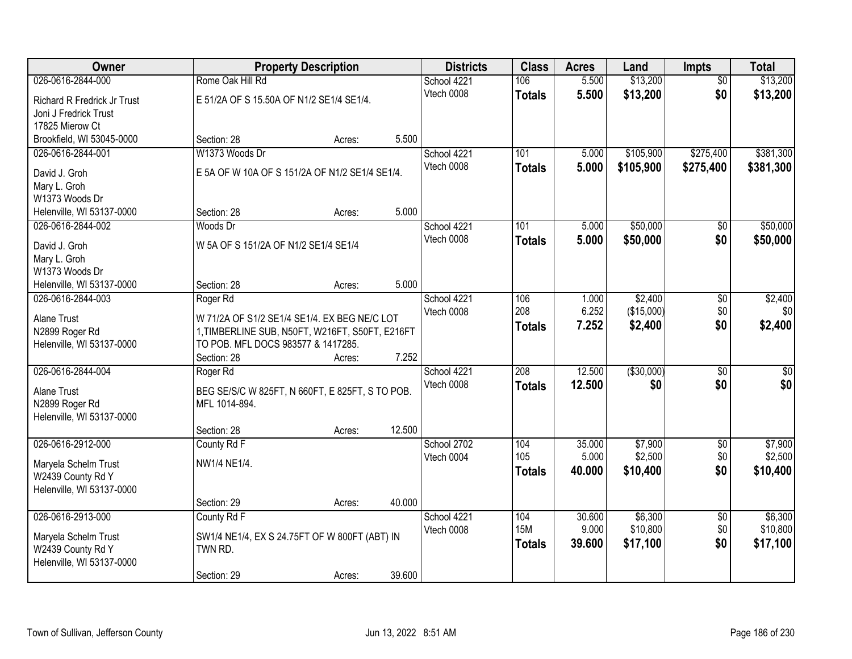| Owner                              |                                                 | <b>Property Description</b> |        | <b>Districts</b> | <b>Class</b>     | <b>Acres</b> | Land        | <b>Impts</b>    | <b>Total</b>    |
|------------------------------------|-------------------------------------------------|-----------------------------|--------|------------------|------------------|--------------|-------------|-----------------|-----------------|
| 026-0616-2844-000                  | Rome Oak Hill Rd                                |                             |        | School 4221      | 106              | 5.500        | \$13,200    | $\overline{50}$ | \$13,200        |
| <b>Richard R Fredrick Jr Trust</b> | E 51/2A OF S 15.50A OF N1/2 SE1/4 SE1/4.        |                             |        | Vtech 0008       | <b>Totals</b>    | 5.500        | \$13,200    | \$0             | \$13,200        |
| Joni J Fredrick Trust              |                                                 |                             |        |                  |                  |              |             |                 |                 |
| 17825 Mierow Ct                    |                                                 |                             |        |                  |                  |              |             |                 |                 |
| Brookfield, WI 53045-0000          | Section: 28                                     | Acres:                      | 5.500  |                  |                  |              |             |                 |                 |
| 026-0616-2844-001                  | W1373 Woods Dr                                  |                             |        | School 4221      | 101              | 5.000        | \$105,900   | \$275,400       | \$381,300       |
| David J. Groh                      | E 5A OF W 10A OF S 151/2A OF N1/2 SE1/4 SE1/4.  |                             |        | Vtech 0008       | Totals           | 5.000        | \$105,900   | \$275,400       | \$381,300       |
| Mary L. Groh                       |                                                 |                             |        |                  |                  |              |             |                 |                 |
| W1373 Woods Dr                     |                                                 |                             |        |                  |                  |              |             |                 |                 |
| Helenville, WI 53137-0000          | Section: 28                                     | Acres:                      | 5.000  |                  |                  |              |             |                 |                 |
| 026-0616-2844-002                  | Woods Dr                                        |                             |        | School 4221      | 101              | 5.000        | \$50,000    | $\sqrt[6]{30}$  | \$50,000        |
| David J. Groh                      | W 5A OF S 151/2A OF N1/2 SE1/4 SE1/4            |                             |        | Vtech 0008       | <b>Totals</b>    | 5.000        | \$50,000    | \$0             | \$50,000        |
| Mary L. Groh                       |                                                 |                             |        |                  |                  |              |             |                 |                 |
| W1373 Woods Dr                     |                                                 |                             |        |                  |                  |              |             |                 |                 |
| Helenville, WI 53137-0000          | Section: 28                                     | Acres:                      | 5.000  |                  |                  |              |             |                 |                 |
| 026-0616-2844-003                  | Roger Rd                                        |                             |        | School 4221      | 106              | 1.000        | \$2,400     | \$0             | \$2,400         |
| Alane Trust                        | W 71/2A OF S1/2 SE1/4 SE1/4. EX BEG NE/C LOT    |                             |        | Vtech 0008       | 208              | 6.252        | (\$15,000)  | \$0             | \$0             |
| N2899 Roger Rd                     | 1, TIMBERLINE SUB, N50FT, W216FT, S50FT, E216FT |                             |        |                  | <b>Totals</b>    | 7.252        | \$2,400     | \$0             | \$2,400         |
| Helenville, WI 53137-0000          | TO POB. MFL DOCS 983577 & 1417285.              |                             |        |                  |                  |              |             |                 |                 |
|                                    | Section: 28                                     | Acres:                      | 7.252  |                  |                  |              |             |                 |                 |
| 026-0616-2844-004                  | Roger Rd                                        |                             |        | School 4221      | $\overline{208}$ | 12.500       | ( \$30,000) | $\overline{30}$ | $\overline{30}$ |
| Alane Trust                        | BEG SE/S/C W 825FT, N 660FT, E 825FT, S TO POB. |                             |        | Vtech 0008       | <b>Totals</b>    | 12.500       | \$0         | \$0             | \$0             |
| N2899 Roger Rd                     | MFL 1014-894.                                   |                             |        |                  |                  |              |             |                 |                 |
| Helenville, WI 53137-0000          |                                                 |                             |        |                  |                  |              |             |                 |                 |
|                                    | Section: 28                                     | Acres:                      | 12.500 |                  |                  |              |             |                 |                 |
| 026-0616-2912-000                  | County Rd F                                     |                             |        | School 2702      | 104              | 35.000       | \$7,900     | $\overline{60}$ | \$7,900         |
| Maryela Schelm Trust               | NW1/4 NE1/4.                                    |                             |        | Vtech 0004       | 105              | 5.000        | \$2,500     | \$0             | \$2,500         |
| W2439 County Rd Y                  |                                                 |                             |        |                  | <b>Totals</b>    | 40.000       | \$10,400    | \$0             | \$10,400        |
| Helenville, WI 53137-0000          |                                                 |                             |        |                  |                  |              |             |                 |                 |
|                                    | Section: 29                                     | Acres:                      | 40.000 |                  |                  |              |             |                 |                 |
| 026-0616-2913-000                  | County Rd F                                     |                             |        | School 4221      | 104              | 30.600       | \$6,300     | $\overline{30}$ | \$6,300         |
| Maryela Schelm Trust               | SW1/4 NE1/4, EX S 24.75FT OF W 800FT (ABT) IN   |                             |        | Vtech 0008       | <b>15M</b>       | 9.000        | \$10,800    | \$0             | \$10,800        |
| W2439 County Rd Y                  | TWN RD.                                         |                             |        |                  | <b>Totals</b>    | 39,600       | \$17,100    | \$0             | \$17,100        |
| Helenville, WI 53137-0000          |                                                 |                             |        |                  |                  |              |             |                 |                 |
|                                    | Section: 29                                     | Acres:                      | 39.600 |                  |                  |              |             |                 |                 |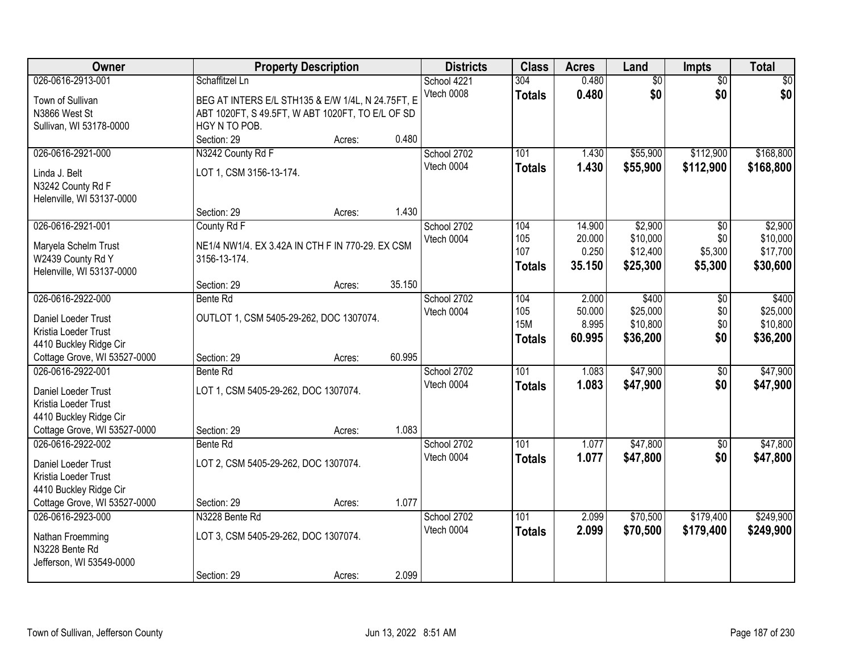| Owner                                             |                                                   | <b>Property Description</b> |        | <b>Districts</b> | <b>Class</b>  | <b>Acres</b> | Land            | <b>Impts</b>    | <b>Total</b>    |
|---------------------------------------------------|---------------------------------------------------|-----------------------------|--------|------------------|---------------|--------------|-----------------|-----------------|-----------------|
| 026-0616-2913-001                                 | Schaffitzel Ln                                    |                             |        | School 4221      | 304           | 0.480        | $\overline{50}$ | $\overline{50}$ | $\overline{30}$ |
| Town of Sullivan                                  | BEG AT INTERS E/L STH135 & E/W 1/4L, N 24.75FT, E |                             |        | Vtech 0008       | <b>Totals</b> | 0.480        | \$0             | \$0             | \$0             |
| N3866 West St                                     | ABT 1020FT, S 49.5FT, W ABT 1020FT, TO E/L OF SD  |                             |        |                  |               |              |                 |                 |                 |
| Sullivan, WI 53178-0000                           | HGY N TO POB.                                     |                             |        |                  |               |              |                 |                 |                 |
|                                                   | Section: 29                                       | Acres:                      | 0.480  |                  |               |              |                 |                 |                 |
| 026-0616-2921-000                                 | N3242 County Rd F                                 |                             |        | School 2702      | 101           | 1.430        | \$55,900        | \$112,900       | \$168,800       |
| Linda J. Belt                                     | LOT 1, CSM 3156-13-174.                           |                             |        | Vtech 0004       | <b>Totals</b> | 1.430        | \$55,900        | \$112,900       | \$168,800       |
| N3242 County Rd F                                 |                                                   |                             |        |                  |               |              |                 |                 |                 |
| Helenville, WI 53137-0000                         |                                                   |                             |        |                  |               |              |                 |                 |                 |
|                                                   | Section: 29                                       | Acres:                      | 1.430  |                  |               |              |                 |                 |                 |
| 026-0616-2921-001                                 | County Rd F                                       |                             |        | School 2702      | 104           | 14.900       | \$2,900         | \$0             | \$2,900         |
|                                                   | NE1/4 NW1/4. EX 3.42A IN CTH F IN 770-29. EX CSM  |                             |        | Vtech 0004       | 105           | 20.000       | \$10,000        | \$0             | \$10,000        |
| Maryela Schelm Trust<br>W2439 County Rd Y         | 3156-13-174.                                      |                             |        |                  | 107           | 0.250        | \$12,400        | \$5,300         | \$17,700        |
| Helenville, WI 53137-0000                         |                                                   |                             |        |                  | <b>Totals</b> | 35.150       | \$25,300        | \$5,300         | \$30,600        |
|                                                   | Section: 29                                       | Acres:                      | 35.150 |                  |               |              |                 |                 |                 |
| 026-0616-2922-000                                 | Bente Rd                                          |                             |        | School 2702      | 104           | 2.000        | \$400           | \$0             | \$400           |
|                                                   |                                                   |                             |        | Vtech 0004       | 105           | 50.000       | \$25,000        | \$0             | \$25,000        |
| Daniel Loeder Trust                               | OUTLOT 1, CSM 5405-29-262, DOC 1307074.           |                             |        |                  | <b>15M</b>    | 8.995        | \$10,800        | \$0             | \$10,800        |
| Kristia Loeder Trust<br>4410 Buckley Ridge Cir    |                                                   |                             |        |                  | <b>Totals</b> | 60.995       | \$36,200        | \$0             | \$36,200        |
| Cottage Grove, WI 53527-0000                      | Section: 29                                       | Acres:                      | 60.995 |                  |               |              |                 |                 |                 |
| 026-0616-2922-001                                 | Bente Rd                                          |                             |        | School 2702      | 101           | 1.083        | \$47,900        | $\overline{50}$ | \$47,900        |
|                                                   |                                                   |                             |        | Vtech 0004       | <b>Totals</b> | 1.083        | \$47,900        | \$0             | \$47,900        |
| Daniel Loeder Trust                               | LOT 1, CSM 5405-29-262, DOC 1307074.              |                             |        |                  |               |              |                 |                 |                 |
| Kristia Loeder Trust                              |                                                   |                             |        |                  |               |              |                 |                 |                 |
| 4410 Buckley Ridge Cir                            |                                                   |                             | 1.083  |                  |               |              |                 |                 |                 |
| Cottage Grove, WI 53527-0000<br>026-0616-2922-002 | Section: 29<br>Bente Rd                           | Acres:                      |        | School 2702      | 101           | 1.077        | \$47,800        | $\overline{50}$ | \$47,800        |
|                                                   |                                                   |                             |        | Vtech 0004       | <b>Totals</b> | 1.077        | \$47,800        | \$0             | \$47,800        |
| Daniel Loeder Trust                               | LOT 2, CSM 5405-29-262, DOC 1307074.              |                             |        |                  |               |              |                 |                 |                 |
| Kristia Loeder Trust                              |                                                   |                             |        |                  |               |              |                 |                 |                 |
| 4410 Buckley Ridge Cir                            |                                                   |                             |        |                  |               |              |                 |                 |                 |
| Cottage Grove, WI 53527-0000                      | Section: 29                                       | Acres:                      | 1.077  |                  |               |              |                 |                 |                 |
| 026-0616-2923-000                                 | N3228 Bente Rd                                    |                             |        | School 2702      | 101           | 2.099        | \$70,500        | \$179,400       | \$249,900       |
| Nathan Froemming                                  | LOT 3, CSM 5405-29-262, DOC 1307074.              |                             |        | Vtech 0004       | <b>Totals</b> | 2.099        | \$70,500        | \$179,400       | \$249,900       |
| N3228 Bente Rd                                    |                                                   |                             |        |                  |               |              |                 |                 |                 |
| Jefferson, WI 53549-0000                          |                                                   |                             |        |                  |               |              |                 |                 |                 |
|                                                   | Section: 29                                       | Acres:                      | 2.099  |                  |               |              |                 |                 |                 |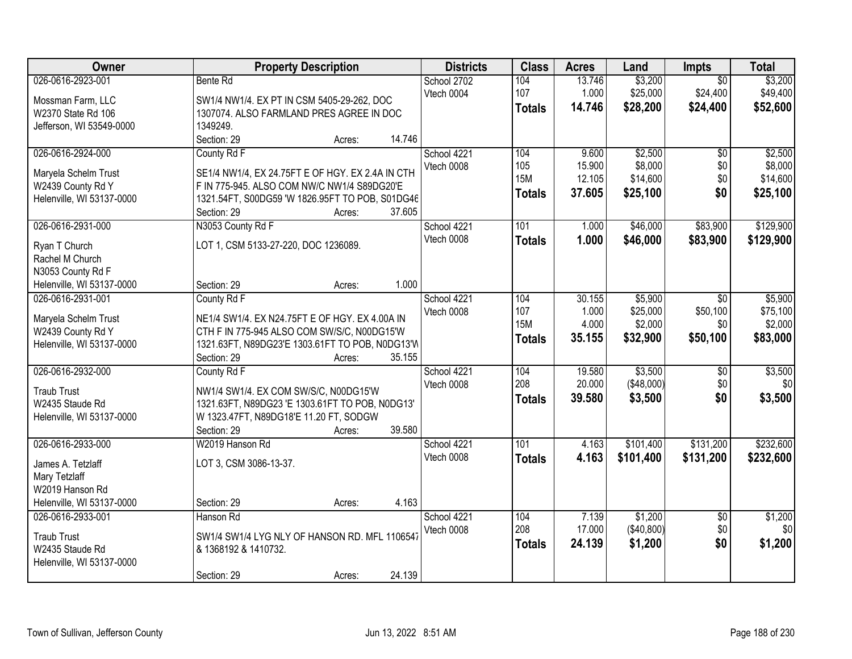| Owner                                                                                                   | <b>Property Description</b>                                                                                                                                                                          | <b>Districts</b>          | <b>Class</b>                              | <b>Acres</b>                        | Land                                       | Impts                                     | <b>Total</b>                               |
|---------------------------------------------------------------------------------------------------------|------------------------------------------------------------------------------------------------------------------------------------------------------------------------------------------------------|---------------------------|-------------------------------------------|-------------------------------------|--------------------------------------------|-------------------------------------------|--------------------------------------------|
| 026-0616-2923-001<br>Mossman Farm, LLC<br>W2370 State Rd 106                                            | Bente Rd<br>SW1/4 NW1/4. EX PT IN CSM 5405-29-262, DOC<br>1307074. ALSO FARMLAND PRES AGREE IN DOC                                                                                                   | School 2702<br>Vtech 0004 | 104<br>107<br><b>Totals</b>               | 13.746<br>1.000<br>14.746           | \$3,200<br>\$25,000<br>\$28,200            | $\overline{50}$<br>\$24,400<br>\$24,400   | \$3,200<br>\$49,400<br>\$52,600            |
| Jefferson, WI 53549-0000                                                                                | 1349249.<br>14.746<br>Section: 29<br>Acres:                                                                                                                                                          |                           |                                           |                                     |                                            |                                           |                                            |
| 026-0616-2924-000<br>Maryela Schelm Trust<br>W2439 County Rd Y<br>Helenville, WI 53137-0000             | County Rd F<br>SE1/4 NW1/4, EX 24.75FT E OF HGY. EX 2.4A IN CTH<br>F IN 775-945. ALSO COM NW/C NW1/4 S89DG20'E<br>1321.54FT, S00DG59 'W 1826.95FT TO POB, S01DG46<br>Section: 29<br>37.605<br>Acres: | School 4221<br>Vtech 0008 | 104<br>105<br><b>15M</b><br>Totals        | 9.600<br>15.900<br>12.105<br>37.605 | \$2,500<br>\$8,000<br>\$14,600<br>\$25,100 | $\overline{50}$<br>\$0<br>\$0<br>\$0      | \$2,500<br>\$8,000<br>\$14,600<br>\$25,100 |
| 026-0616-2931-000<br>Ryan T Church<br>Rachel M Church<br>N3053 County Rd F<br>Helenville, WI 53137-0000 | N3053 County Rd F<br>LOT 1, CSM 5133-27-220, DOC 1236089.<br>1.000<br>Section: 29<br>Acres:                                                                                                          | School 4221<br>Vtech 0008 | 101<br><b>Totals</b>                      | 1.000<br>1.000                      | \$46,000<br>\$46,000                       | \$83,900<br>\$83,900                      | \$129,900<br>\$129,900                     |
| 026-0616-2931-001<br>Maryela Schelm Trust<br>W2439 County Rd Y<br>Helenville, WI 53137-0000             | County Rd F<br>NE1/4 SW1/4. EX N24.75FT E OF HGY. EX 4.00A IN<br>CTH F IN 775-945 ALSO COM SW/S/C, N00DG15'W<br>1321.63FT, N89DG23'E 1303.61FT TO POB, N0DG13'W<br>35.155<br>Section: 29<br>Acres:   | School 4221<br>Vtech 0008 | 104<br>107<br><b>15M</b><br><b>Totals</b> | 30.155<br>1.000<br>4.000<br>35.155  | \$5,900<br>\$25,000<br>\$2,000<br>\$32,900 | $\sqrt{6}$<br>\$50,100<br>\$0<br>\$50,100 | \$5,900<br>\$75,100<br>\$2,000<br>\$83,000 |
| 026-0616-2932-000<br><b>Traub Trust</b><br>W2435 Staude Rd<br>Helenville, WI 53137-0000                 | County Rd F<br>NW1/4 SW1/4. EX COM SW/S/C, N00DG15'W<br>1321.63FT, N89DG23 'E 1303.61FT TO POB, N0DG13'<br>W 1323.47FT, N89DG18'E 11.20 FT, SODGW<br>39.580<br>Section: 29<br>Acres:                 | School 4221<br>Vtech 0008 | 104<br>208<br><b>Totals</b>               | 19.580<br>20.000<br>39.580          | \$3,500<br>(\$48,000)<br>\$3,500           | $\overline{50}$<br>\$0<br>\$0             | \$3,500<br>\$0<br>\$3,500                  |
| 026-0616-2933-000<br>James A. Tetzlaff<br>Mary Tetzlaff<br>W2019 Hanson Rd<br>Helenville, WI 53137-0000 | W2019 Hanson Rd<br>LOT 3, CSM 3086-13-37.<br>4.163<br>Section: 29<br>Acres:                                                                                                                          | School 4221<br>Vtech 0008 | 101<br><b>Totals</b>                      | 4.163<br>4.163                      | \$101,400<br>\$101,400                     | \$131,200<br>\$131,200                    | \$232,600<br>\$232,600                     |
| 026-0616-2933-001<br><b>Traub Trust</b><br>W2435 Staude Rd<br>Helenville, WI 53137-0000                 | Hanson Rd<br>SW1/4 SW1/4 LYG NLY OF HANSON RD. MFL 1106547<br>& 1368192 & 1410732.<br>24.139<br>Section: 29<br>Acres:                                                                                | School 4221<br>Vtech 0008 | 104<br>208<br><b>Totals</b>               | 7.139<br>17.000<br>24.139           | \$1,200<br>( \$40, 800)<br>\$1,200         | $\overline{50}$<br>\$0<br>\$0             | \$1,200<br> 30 <br>\$1,200                 |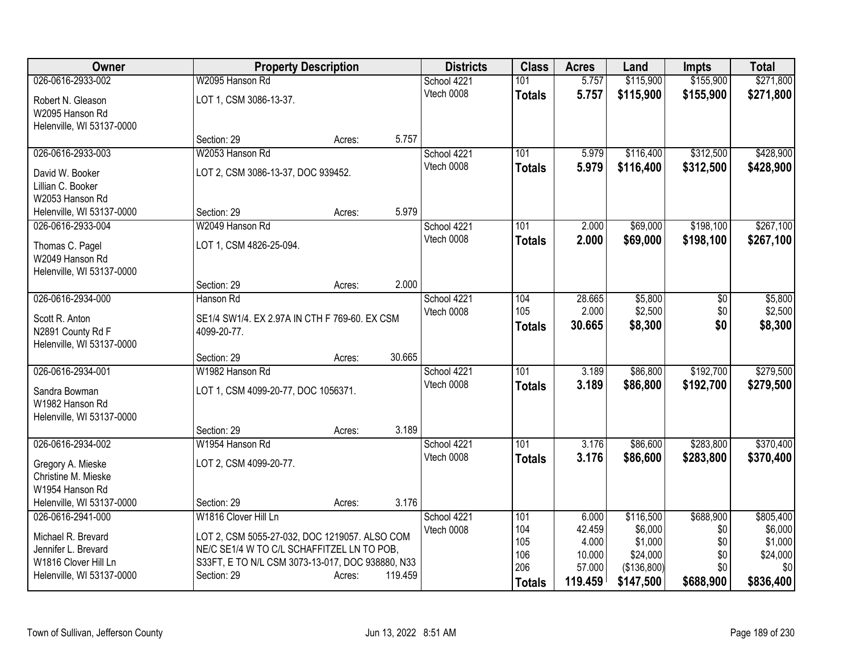| Owner                     | <b>Property Description</b>                      |        |         | <b>Districts</b> | <b>Class</b>  | <b>Acres</b>    | Land               | <b>Impts</b> | <b>Total</b>       |
|---------------------------|--------------------------------------------------|--------|---------|------------------|---------------|-----------------|--------------------|--------------|--------------------|
| 026-0616-2933-002         | W2095 Hanson Rd                                  |        |         | School 4221      | 101           | 5.757           | \$115,900          | \$155,900    | \$271,800          |
| Robert N. Gleason         | LOT 1, CSM 3086-13-37.                           |        |         | Vtech 0008       | <b>Totals</b> | 5.757           | \$115,900          | \$155,900    | \$271,800          |
| W2095 Hanson Rd           |                                                  |        |         |                  |               |                 |                    |              |                    |
| Helenville, WI 53137-0000 |                                                  |        |         |                  |               |                 |                    |              |                    |
|                           | Section: 29                                      | Acres: | 5.757   |                  |               |                 |                    |              |                    |
| 026-0616-2933-003         | W2053 Hanson Rd                                  |        |         | School 4221      | 101           | 5.979           | \$116,400          | \$312,500    | \$428,900          |
| David W. Booker           | LOT 2, CSM 3086-13-37, DOC 939452.               |        |         | Vtech 0008       | <b>Totals</b> | 5.979           | \$116,400          | \$312,500    | \$428,900          |
| Lillian C. Booker         |                                                  |        |         |                  |               |                 |                    |              |                    |
| W2053 Hanson Rd           |                                                  |        |         |                  |               |                 |                    |              |                    |
| Helenville, WI 53137-0000 | Section: 29                                      | Acres: | 5.979   |                  |               |                 |                    |              |                    |
| 026-0616-2933-004         | W2049 Hanson Rd                                  |        |         | School 4221      | 101           | 2.000           | \$69,000           | \$198,100    | \$267,100          |
| Thomas C. Pagel           | LOT 1, CSM 4826-25-094.                          |        |         | Vtech 0008       | <b>Totals</b> | 2.000           | \$69,000           | \$198,100    | \$267,100          |
| W2049 Hanson Rd           |                                                  |        |         |                  |               |                 |                    |              |                    |
| Helenville, WI 53137-0000 |                                                  |        |         |                  |               |                 |                    |              |                    |
|                           | Section: 29                                      | Acres: | 2.000   |                  |               |                 |                    |              |                    |
| 026-0616-2934-000         | Hanson Rd                                        |        |         | School 4221      | 104           | 28.665          | \$5,800            | \$0          | \$5,800            |
| Scott R. Anton            | SE1/4 SW1/4. EX 2.97A IN CTH F 769-60. EX CSM    |        |         | Vtech 0008       | 105           | 2.000           | \$2,500            | \$0          | \$2,500            |
| N2891 County Rd F         | 4099-20-77.                                      |        |         |                  | <b>Totals</b> | 30.665          | \$8,300            | \$0          | \$8,300            |
| Helenville, WI 53137-0000 |                                                  |        |         |                  |               |                 |                    |              |                    |
|                           | Section: 29                                      | Acres: | 30.665  |                  |               |                 |                    |              |                    |
| 026-0616-2934-001         | W1982 Hanson Rd                                  |        |         | School 4221      | 101           | 3.189           | \$86,800           | \$192,700    | \$279,500          |
| Sandra Bowman             | LOT 1, CSM 4099-20-77, DOC 1056371.              |        |         | Vtech 0008       | <b>Totals</b> | 3.189           | \$86,800           | \$192,700    | \$279,500          |
| W1982 Hanson Rd           |                                                  |        |         |                  |               |                 |                    |              |                    |
| Helenville, WI 53137-0000 |                                                  |        |         |                  |               |                 |                    |              |                    |
|                           | Section: 29                                      | Acres: | 3.189   |                  |               |                 |                    |              |                    |
| 026-0616-2934-002         | W1954 Hanson Rd                                  |        |         | School 4221      | 101           | 3.176           | \$86,600           | \$283,800    | \$370,400          |
| Gregory A. Mieske         | LOT 2, CSM 4099-20-77.                           |        |         | Vtech 0008       | <b>Totals</b> | 3.176           | \$86,600           | \$283,800    | \$370,400          |
| Christine M. Mieske       |                                                  |        |         |                  |               |                 |                    |              |                    |
| W1954 Hanson Rd           |                                                  |        |         |                  |               |                 |                    |              |                    |
| Helenville, WI 53137-0000 | Section: 29                                      | Acres: | 3.176   |                  |               |                 |                    |              |                    |
| 026-0616-2941-000         | W1816 Clover Hill Ln                             |        |         | School 4221      | 101           | 6.000           | \$116,500          | \$688,900    | \$805,400          |
| Michael R. Brevard        | LOT 2, CSM 5055-27-032, DOC 1219057. ALSO COM    |        |         | Vtech 0008       | 104<br>105    | 42.459<br>4.000 | \$6,000<br>\$1,000 | \$0<br>\$0   | \$6,000<br>\$1,000 |
| Jennifer L. Brevard       | NE/C SE1/4 W TO C/L SCHAFFITZEL LN TO POB,       |        |         |                  | 106           | 10.000          | \$24,000           | \$0          | \$24,000           |
| W1816 Clover Hill Ln      | S33FT, E TO N/L CSM 3073-13-017, DOC 938880, N33 |        |         |                  | 206           | 57.000          | (\$136,800)        | \$0          | \$0                |
| Helenville, WI 53137-0000 | Section: 29                                      | Acres: | 119.459 |                  | <b>Totals</b> | 119.459         | \$147,500          | \$688,900    | \$836,400          |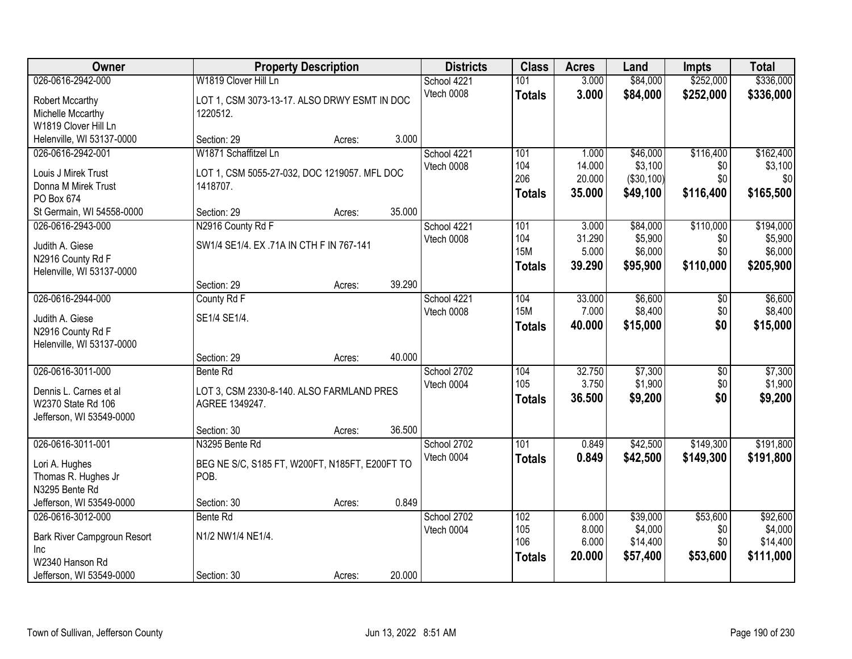| Owner                       |                                                | <b>Property Description</b> |        | <b>Districts</b> | <b>Class</b>  | <b>Acres</b> | Land       | <b>Impts</b>    | <b>Total</b> |
|-----------------------------|------------------------------------------------|-----------------------------|--------|------------------|---------------|--------------|------------|-----------------|--------------|
| 026-0616-2942-000           | W1819 Clover Hill Ln                           |                             |        | School 4221      | 101           | 3.000        | \$84,000   | \$252,000       | \$336,000    |
| Robert Mccarthy             | LOT 1, CSM 3073-13-17. ALSO DRWY ESMT IN DOC   |                             |        | Vtech 0008       | <b>Totals</b> | 3.000        | \$84,000   | \$252,000       | \$336,000    |
| Michelle Mccarthy           | 1220512.                                       |                             |        |                  |               |              |            |                 |              |
| W1819 Clover Hill Ln        |                                                |                             |        |                  |               |              |            |                 |              |
| Helenville, WI 53137-0000   | Section: 29                                    | Acres:                      | 3.000  |                  |               |              |            |                 |              |
| 026-0616-2942-001           | W1871 Schaffitzel Ln                           |                             |        | School 4221      | 101           | 1.000        | \$46,000   | \$116,400       | \$162,400    |
| Louis J Mirek Trust         | LOT 1, CSM 5055-27-032, DOC 1219057. MFL DOC   |                             |        | Vtech 0008       | 104           | 14.000       | \$3,100    | \$0             | \$3,100      |
| Donna M Mirek Trust         | 1418707.                                       |                             |        |                  | 206           | 20.000       | (\$30,100) | \$0             | \$0          |
| PO Box 674                  |                                                |                             |        |                  | <b>Totals</b> | 35.000       | \$49,100   | \$116,400       | \$165,500    |
| St Germain, WI 54558-0000   | Section: 29                                    | Acres:                      | 35.000 |                  |               |              |            |                 |              |
| 026-0616-2943-000           | N2916 County Rd F                              |                             |        | School 4221      | 101           | 3.000        | \$84,000   | \$110,000       | \$194,000    |
|                             |                                                |                             |        | Vtech 0008       | 104           | 31.290       | \$5,900    | \$0             | \$5,900      |
| Judith A. Giese             | SW1/4 SE1/4. EX.71A IN CTH F IN 767-141        |                             |        |                  | <b>15M</b>    | 5.000        | \$6,000    | \$0             | \$6,000      |
| N2916 County Rd F           |                                                |                             |        |                  | <b>Totals</b> | 39.290       | \$95,900   | \$110,000       | \$205,900    |
| Helenville, WI 53137-0000   | Section: 29                                    |                             | 39.290 |                  |               |              |            |                 |              |
| 026-0616-2944-000           | County Rd F                                    | Acres:                      |        | School 4221      | 104           | 33.000       | \$6,600    | \$0             | \$6,600      |
|                             |                                                |                             |        | Vtech 0008       | <b>15M</b>    | 7.000        | \$8,400    | \$0             | \$8,400      |
| Judith A. Giese             | SE1/4 SE1/4.                                   |                             |        |                  | <b>Totals</b> | 40.000       | \$15,000   | \$0             | \$15,000     |
| N2916 County Rd F           |                                                |                             |        |                  |               |              |            |                 |              |
| Helenville, WI 53137-0000   |                                                |                             |        |                  |               |              |            |                 |              |
|                             | Section: 29                                    | Acres:                      | 40.000 |                  |               |              |            |                 |              |
| 026-0616-3011-000           | Bente Rd                                       |                             |        | School 2702      | 104           | 32.750       | \$7,300    | $\overline{50}$ | \$7,300      |
| Dennis L. Carnes et al      | LOT 3, CSM 2330-8-140. ALSO FARMLAND PRES      |                             |        | Vtech 0004       | 105           | 3.750        | \$1,900    | \$0             | \$1,900      |
| W2370 State Rd 106          | AGREE 1349247.                                 |                             |        |                  | <b>Totals</b> | 36.500       | \$9,200    | \$0             | \$9,200      |
| Jefferson, WI 53549-0000    |                                                |                             |        |                  |               |              |            |                 |              |
|                             | Section: 30                                    | Acres:                      | 36.500 |                  |               |              |            |                 |              |
| 026-0616-3011-001           | N3295 Bente Rd                                 |                             |        | School 2702      | 101           | 0.849        | \$42,500   | \$149,300       | \$191,800    |
| Lori A. Hughes              | BEG NE S/C, S185 FT, W200FT, N185FT, E200FT TO |                             |        | Vtech 0004       | <b>Totals</b> | 0.849        | \$42,500   | \$149,300       | \$191,800    |
| Thomas R. Hughes Jr         | POB.                                           |                             |        |                  |               |              |            |                 |              |
| N3295 Bente Rd              |                                                |                             |        |                  |               |              |            |                 |              |
| Jefferson, WI 53549-0000    | Section: 30                                    | Acres:                      | 0.849  |                  |               |              |            |                 |              |
| 026-0616-3012-000           | Bente Rd                                       |                             |        | School 2702      | 102           | 6.000        | \$39,000   | \$53,600        | \$92,600     |
| Bark River Campgroun Resort | N1/2 NW1/4 NE1/4.                              |                             |        | Vtech 0004       | 105           | 8.000        | \$4,000    | \$0             | \$4,000      |
| <b>Inc</b>                  |                                                |                             |        |                  | 106           | 6.000        | \$14,400   | \$0             | \$14,400     |
| W2340 Hanson Rd             |                                                |                             |        |                  | <b>Totals</b> | 20.000       | \$57,400   | \$53,600        | \$111,000    |
| Jefferson, WI 53549-0000    | Section: 30                                    | Acres:                      | 20.000 |                  |               |              |            |                 |              |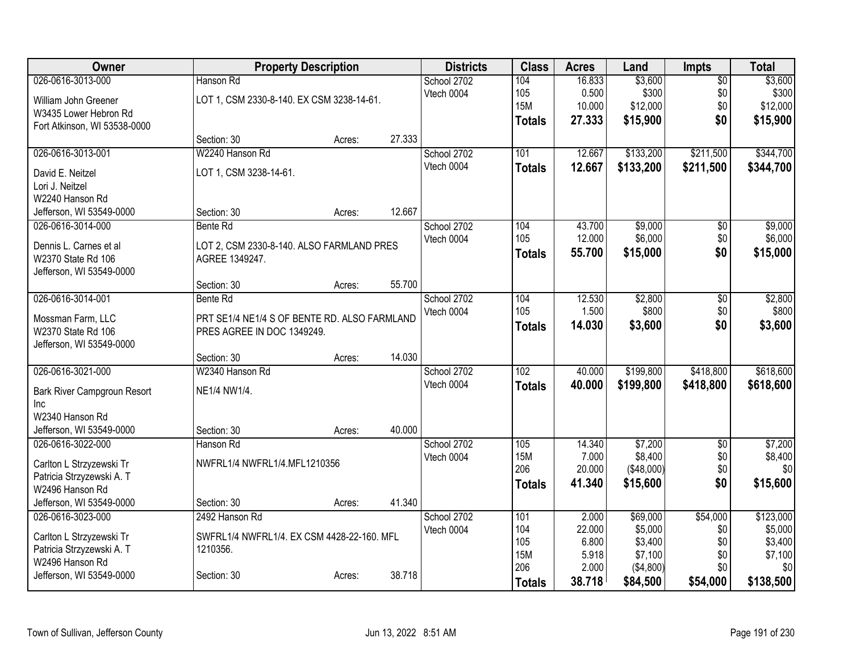| Owner                                       |                                              | <b>Property Description</b> |        | <b>Districts</b> | <b>Class</b>      | <b>Acres</b>   | Land               | <b>Impts</b>    | <b>Total</b>       |
|---------------------------------------------|----------------------------------------------|-----------------------------|--------|------------------|-------------------|----------------|--------------------|-----------------|--------------------|
| 026-0616-3013-000                           | Hanson Rd                                    |                             |        | School 2702      | 104               | 16.833         | \$3,600            | $\overline{50}$ | \$3,600            |
| William John Greener                        | LOT 1, CSM 2330-8-140. EX CSM 3238-14-61.    |                             |        | Vtech 0004       | 105               | 0.500          | \$300              | \$0             | \$300              |
| W3435 Lower Hebron Rd                       |                                              |                             |        |                  | <b>15M</b>        | 10.000         | \$12,000           | \$0             | \$12,000           |
| Fort Atkinson, WI 53538-0000                |                                              |                             |        |                  | <b>Totals</b>     | 27.333         | \$15,900           | \$0             | \$15,900           |
|                                             | Section: 30                                  | Acres:                      | 27.333 |                  |                   |                |                    |                 |                    |
| 026-0616-3013-001                           | W2240 Hanson Rd                              |                             |        | School 2702      | 101               | 12.667         | \$133,200          | \$211,500       | \$344,700          |
| David E. Neitzel                            | LOT 1, CSM 3238-14-61.                       |                             |        | Vtech 0004       | <b>Totals</b>     | 12.667         | \$133,200          | \$211,500       | \$344,700          |
| Lori J. Neitzel                             |                                              |                             |        |                  |                   |                |                    |                 |                    |
| W2240 Hanson Rd                             |                                              |                             |        |                  |                   |                |                    |                 |                    |
| Jefferson, WI 53549-0000                    | Section: 30                                  | Acres:                      | 12.667 |                  |                   |                |                    |                 |                    |
| 026-0616-3014-000                           | Bente Rd                                     |                             |        | School 2702      | 104               | 43.700         | \$9,000            | $\overline{50}$ | \$9,000            |
| Dennis L. Carnes et al                      | LOT 2, CSM 2330-8-140. ALSO FARMLAND PRES    |                             |        | Vtech 0004       | 105               | 12.000         | \$6,000            | \$0             | \$6,000            |
| W2370 State Rd 106                          | AGREE 1349247.                               |                             |        |                  | <b>Totals</b>     | 55.700         | \$15,000           | \$0             | \$15,000           |
| Jefferson, WI 53549-0000                    |                                              |                             |        |                  |                   |                |                    |                 |                    |
|                                             | Section: 30                                  | Acres:                      | 55.700 |                  |                   |                |                    |                 |                    |
| 026-0616-3014-001                           | <b>Bente Rd</b>                              |                             |        | School 2702      | 104               | 12.530         | \$2,800            | \$0             | \$2,800            |
|                                             |                                              |                             |        | Vtech 0004       | 105               | 1.500          | \$800              | \$0             | \$800              |
| Mossman Farm, LLC<br>W2370 State Rd 106     | PRT SE1/4 NE1/4 S OF BENTE RD. ALSO FARMLAND |                             |        |                  | <b>Totals</b>     | 14.030         | \$3,600            | \$0             | \$3,600            |
| Jefferson, WI 53549-0000                    | PRES AGREE IN DOC 1349249.                   |                             |        |                  |                   |                |                    |                 |                    |
|                                             | Section: 30                                  | Acres:                      | 14.030 |                  |                   |                |                    |                 |                    |
| 026-0616-3021-000                           | W2340 Hanson Rd                              |                             |        | School 2702      | 102               | 40.000         | \$199,800          | \$418,800       | \$618,600          |
|                                             |                                              |                             |        | Vtech 0004       | <b>Totals</b>     | 40.000         | \$199,800          | \$418,800       | \$618,600          |
| Bark River Campgroun Resort                 | NE1/4 NW1/4.                                 |                             |        |                  |                   |                |                    |                 |                    |
| Inc                                         |                                              |                             |        |                  |                   |                |                    |                 |                    |
| W2340 Hanson Rd<br>Jefferson, WI 53549-0000 | Section: 30                                  |                             | 40.000 |                  |                   |                |                    |                 |                    |
| 026-0616-3022-000                           | Hanson Rd                                    | Acres:                      |        | School 2702      | 105               | 14.340         | \$7,200            | $\overline{50}$ | \$7,200            |
|                                             |                                              |                             |        | Vtech 0004       | <b>15M</b>        | 7.000          | \$8,400            | \$0             | \$8,400            |
| Carlton L Strzyzewski Tr                    | NWFRL1/4 NWFRL1/4.MFL1210356                 |                             |        |                  | 206               | 20.000         | (\$48,000)         | \$0             | \$0                |
| Patricia Strzyzewski A. T                   |                                              |                             |        |                  | <b>Totals</b>     | 41.340         | \$15,600           | \$0             | \$15,600           |
| W2496 Hanson Rd                             |                                              |                             |        |                  |                   |                |                    |                 |                    |
| Jefferson, WI 53549-0000                    | Section: 30                                  | Acres:                      | 41.340 |                  |                   |                |                    |                 |                    |
| 026-0616-3023-000                           | 2492 Hanson Rd                               |                             |        | School 2702      | 101               | 2.000          | \$69,000           | \$54,000        | \$123,000          |
| Carlton L Strzyzewski Tr                    | SWFRL1/4 NWFRL1/4. EX CSM 4428-22-160. MFL   |                             |        | Vtech 0004       | 104               | 22.000         | \$5,000            | \$0             | \$5,000            |
| Patricia Strzyzewski A. T                   | 1210356.                                     |                             |        |                  | 105<br><b>15M</b> | 6.800<br>5.918 | \$3,400<br>\$7,100 | \$0<br>\$0      | \$3,400<br>\$7,100 |
| W2496 Hanson Rd                             |                                              |                             |        |                  | 206               | 2.000          | (\$4,800)          | \$0             | \$0                |
| Jefferson, WI 53549-0000                    | Section: 30                                  | Acres:                      | 38.718 |                  | <b>Totals</b>     | 38.718         | \$84,500           | \$54,000        | \$138,500          |
|                                             |                                              |                             |        |                  |                   |                |                    |                 |                    |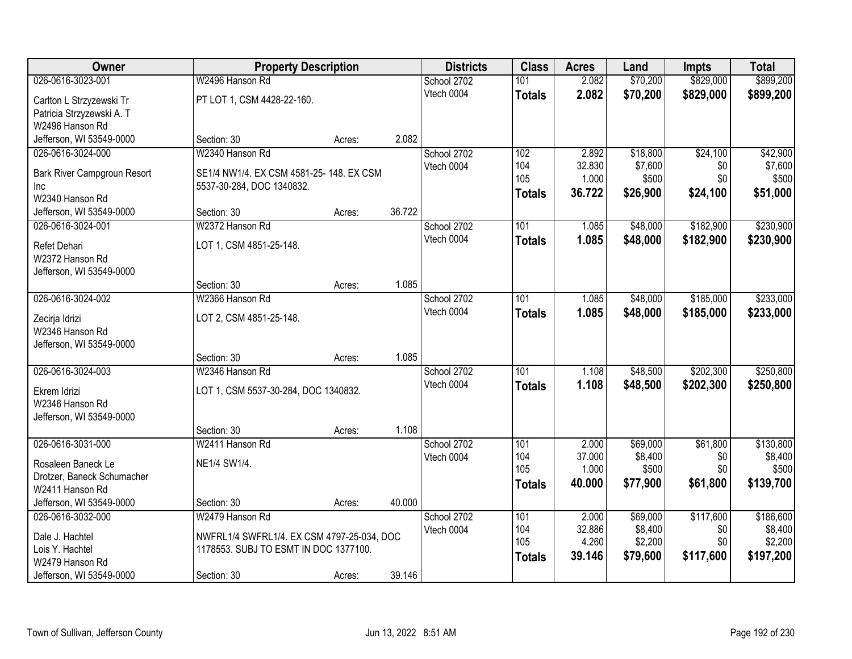| Owner                       | <b>Property Description</b>                |        |        | <b>Districts</b> | <b>Class</b>     | <b>Acres</b> | Land     | Impts     | <b>Total</b> |
|-----------------------------|--------------------------------------------|--------|--------|------------------|------------------|--------------|----------|-----------|--------------|
| 026-0616-3023-001           | W2496 Hanson Rd                            |        |        | School 2702      | 101              | 2.082        | \$70,200 | \$829,000 | \$899,200    |
| Carlton L Strzyzewski Tr    | PT LOT 1, CSM 4428-22-160.                 |        |        | Vtech 0004       | <b>Totals</b>    | 2.082        | \$70,200 | \$829,000 | \$899,200    |
| Patricia Strzyzewski A. T   |                                            |        |        |                  |                  |              |          |           |              |
| W2496 Hanson Rd             |                                            |        |        |                  |                  |              |          |           |              |
| Jefferson, WI 53549-0000    | Section: 30                                | Acres: | 2.082  |                  |                  |              |          |           |              |
| 026-0616-3024-000           | W2340 Hanson Rd                            |        |        | School 2702      | 102              | 2.892        | \$18,800 | \$24,100  | \$42,900     |
| Bark River Campgroun Resort | SE1/4 NW1/4. EX CSM 4581-25-148. EX CSM    |        |        | Vtech 0004       | 104              | 32.830       | \$7,600  | \$0       | \$7,600      |
| Inc                         | 5537-30-284, DOC 1340832.                  |        |        |                  | 105              | 1.000        | \$500    | \$0       | \$500        |
| W2340 Hanson Rd             |                                            |        |        |                  | <b>Totals</b>    | 36.722       | \$26,900 | \$24,100  | \$51,000     |
| Jefferson, WI 53549-0000    | Section: 30                                | Acres: | 36.722 |                  |                  |              |          |           |              |
| 026-0616-3024-001           | W2372 Hanson Rd                            |        |        | School 2702      | 101              | 1.085        | \$48,000 | \$182,900 | \$230,900    |
| Refet Dehari                | LOT 1, CSM 4851-25-148.                    |        |        | Vtech 0004       | <b>Totals</b>    | 1.085        | \$48,000 | \$182,900 | \$230,900    |
| W2372 Hanson Rd             |                                            |        |        |                  |                  |              |          |           |              |
| Jefferson, WI 53549-0000    |                                            |        |        |                  |                  |              |          |           |              |
|                             | Section: 30                                | Acres: | 1.085  |                  |                  |              |          |           |              |
| 026-0616-3024-002           | W2366 Hanson Rd                            |        |        | School 2702      | 101              | 1.085        | \$48,000 | \$185,000 | \$233,000    |
| Zecirja Idrizi              | LOT 2, CSM 4851-25-148.                    |        |        | Vtech 0004       | <b>Totals</b>    | 1.085        | \$48,000 | \$185,000 | \$233,000    |
| W2346 Hanson Rd             |                                            |        |        |                  |                  |              |          |           |              |
| Jefferson, WI 53549-0000    |                                            |        |        |                  |                  |              |          |           |              |
|                             | Section: 30                                | Acres: | 1.085  |                  |                  |              |          |           |              |
| 026-0616-3024-003           | W2346 Hanson Rd                            |        |        | School 2702      | $\overline{101}$ | 1.108        | \$48,500 | \$202,300 | \$250,800    |
| Ekrem Idrizi                | LOT 1, CSM 5537-30-284, DOC 1340832.       |        |        | Vtech 0004       | <b>Totals</b>    | 1.108        | \$48,500 | \$202,300 | \$250,800    |
| W2346 Hanson Rd             |                                            |        |        |                  |                  |              |          |           |              |
| Jefferson, WI 53549-0000    |                                            |        |        |                  |                  |              |          |           |              |
|                             | Section: 30                                | Acres: | 1.108  |                  |                  |              |          |           |              |
| 026-0616-3031-000           | W2411 Hanson Rd                            |        |        | School 2702      | 101              | 2.000        | \$69,000 | \$61,800  | \$130,800    |
| Rosaleen Baneck Le          | NE1/4 SW1/4.                               |        |        | Vtech 0004       | 104              | 37.000       | \$8,400  | \$0       | \$8,400      |
| Drotzer, Baneck Schumacher  |                                            |        |        |                  | 105              | 1.000        | \$500    | \$0       | \$500        |
| W2411 Hanson Rd             |                                            |        |        |                  | <b>Totals</b>    | 40.000       | \$77,900 | \$61,800  | \$139,700    |
| Jefferson, WI 53549-0000    | Section: 30                                | Acres: | 40.000 |                  |                  |              |          |           |              |
| 026-0616-3032-000           | W2479 Hanson Rd                            |        |        | School 2702      | 101              | 2.000        | \$69,000 | \$117,600 | \$186,600    |
| Dale J. Hachtel             | NWFRL1/4 SWFRL1/4. EX CSM 4797-25-034, DOC |        |        | Vtech 0004       | 104              | 32.886       | \$8,400  | \$0       | \$8,400      |
| Lois Y. Hachtel             | 1178553. SUBJ TO ESMT IN DOC 1377100.      |        |        |                  | 105              | 4.260        | \$2,200  | \$0       | \$2,200      |
| W2479 Hanson Rd             |                                            |        |        |                  | <b>Totals</b>    | 39.146       | \$79,600 | \$117,600 | \$197,200    |
| Jefferson, WI 53549-0000    | Section: 30                                | Acres: | 39.146 |                  |                  |              |          |           |              |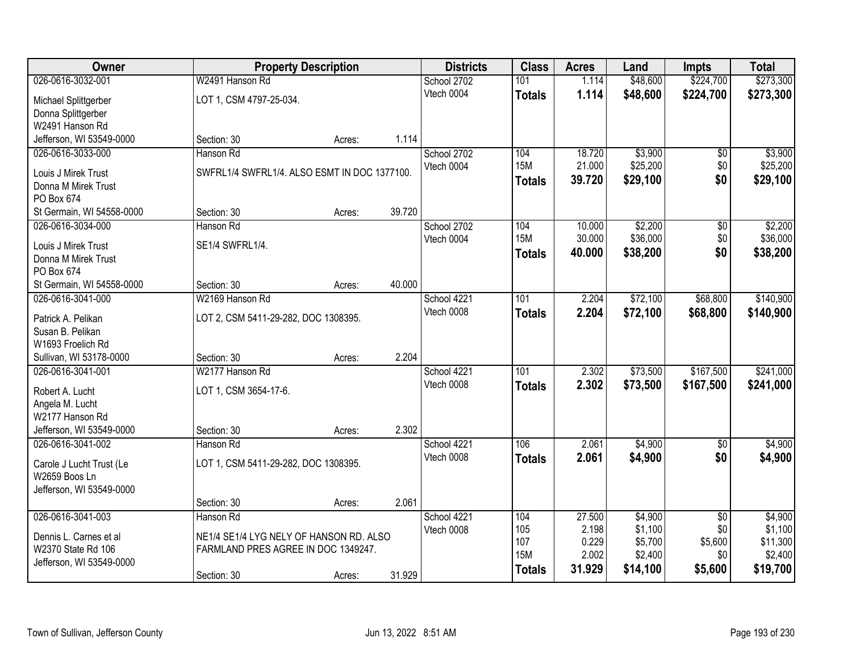| Owner                                        |                                              | <b>Property Description</b> |        |             | <b>Class</b>     | <b>Acres</b> | Land     | <b>Impts</b>    | <b>Total</b> |
|----------------------------------------------|----------------------------------------------|-----------------------------|--------|-------------|------------------|--------------|----------|-----------------|--------------|
| 026-0616-3032-001                            | W2491 Hanson Rd                              |                             |        | School 2702 | 101              | 1.114        | \$48,600 | \$224,700       | \$273,300    |
| Michael Splittgerber                         | LOT 1, CSM 4797-25-034.                      |                             |        | Vtech 0004  | <b>Totals</b>    | 1.114        | \$48,600 | \$224,700       | \$273,300    |
| Donna Splittgerber                           |                                              |                             |        |             |                  |              |          |                 |              |
| W2491 Hanson Rd                              |                                              |                             |        |             |                  |              |          |                 |              |
| Jefferson, WI 53549-0000                     | Section: 30                                  | Acres:                      | 1.114  |             |                  |              |          |                 |              |
| 026-0616-3033-000                            | Hanson Rd                                    |                             |        | School 2702 | 104              | 18.720       | \$3,900  | \$0             | \$3,900      |
| Louis J Mirek Trust                          | SWFRL1/4 SWFRL1/4. ALSO ESMT IN DOC 1377100. |                             |        | Vtech 0004  | <b>15M</b>       | 21.000       | \$25,200 | \$0             | \$25,200     |
| Donna M Mirek Trust                          |                                              |                             |        |             | <b>Totals</b>    | 39.720       | \$29,100 | \$0             | \$29,100     |
| PO Box 674                                   |                                              |                             |        |             |                  |              |          |                 |              |
| St Germain, WI 54558-0000                    | Section: 30                                  | Acres:                      | 39.720 |             |                  |              |          |                 |              |
| 026-0616-3034-000                            | Hanson Rd                                    |                             |        | School 2702 | 104              | 10.000       | \$2,200  | \$0             | \$2,200      |
| Louis J Mirek Trust                          | SE1/4 SWFRL1/4.                              |                             |        | Vtech 0004  | <b>15M</b>       | 30.000       | \$36,000 | \$0             | \$36,000     |
| Donna M Mirek Trust                          |                                              |                             |        |             | <b>Totals</b>    | 40.000       | \$38,200 | \$0             | \$38,200     |
| PO Box 674                                   |                                              |                             |        |             |                  |              |          |                 |              |
| St Germain, WI 54558-0000                    | Section: 30                                  | Acres:                      | 40.000 |             |                  |              |          |                 |              |
| 026-0616-3041-000                            | W2169 Hanson Rd                              |                             |        | School 4221 | 101              | 2.204        | \$72,100 | \$68,800        | \$140,900    |
| Patrick A. Pelikan                           | LOT 2, CSM 5411-29-282, DOC 1308395.         |                             |        | Vtech 0008  | <b>Totals</b>    | 2.204        | \$72,100 | \$68,800        | \$140,900    |
| Susan B. Pelikan                             |                                              |                             |        |             |                  |              |          |                 |              |
| W1693 Froelich Rd                            |                                              |                             |        |             |                  |              |          |                 |              |
| Sullivan, WI 53178-0000                      | Section: 30                                  | Acres:                      | 2.204  |             |                  |              |          |                 |              |
| 026-0616-3041-001                            | W2177 Hanson Rd                              |                             |        | School 4221 | $\overline{101}$ | 2.302        | \$73,500 | \$167,500       | \$241,000    |
| Robert A. Lucht                              | LOT 1, CSM 3654-17-6.                        |                             |        | Vtech 0008  | <b>Totals</b>    | 2.302        | \$73,500 | \$167,500       | \$241,000    |
| Angela M. Lucht                              |                                              |                             |        |             |                  |              |          |                 |              |
| W2177 Hanson Rd                              |                                              |                             |        |             |                  |              |          |                 |              |
| Jefferson, WI 53549-0000                     | Section: 30                                  | Acres:                      | 2.302  |             |                  |              |          |                 |              |
| 026-0616-3041-002                            | Hanson Rd                                    |                             |        | School 4221 | 106              | 2.061        | \$4,900  | $\overline{30}$ | \$4,900      |
| Carole J Lucht Trust (Le                     | LOT 1, CSM 5411-29-282, DOC 1308395.         |                             |        | Vtech 0008  | <b>Totals</b>    | 2.061        | \$4,900  | \$0             | \$4,900      |
| W2659 Boos Ln                                |                                              |                             |        |             |                  |              |          |                 |              |
| Jefferson, WI 53549-0000                     |                                              |                             |        |             |                  |              |          |                 |              |
|                                              | Section: 30                                  | Acres:                      | 2.061  |             |                  |              |          |                 |              |
| 026-0616-3041-003                            | Hanson Rd                                    |                             |        | School 4221 | 104              | 27.500       | \$4,900  | $\overline{50}$ | \$4,900      |
|                                              | NE1/4 SE1/4 LYG NELY OF HANSON RD. ALSO      |                             |        | Vtech 0008  | 105              | 2.198        | \$1,100  | \$0             | \$1,100      |
| Dennis L. Carnes et al<br>W2370 State Rd 106 | FARMLAND PRES AGREE IN DOC 1349247.          |                             |        |             | 107              | 0.229        | \$5,700  | \$5,600         | \$11,300     |
| Jefferson, WI 53549-0000                     |                                              |                             |        |             | <b>15M</b>       | 2.002        | \$2,400  | \$0             | \$2,400      |
|                                              | Section: 30                                  | Acres:                      | 31.929 |             | <b>Totals</b>    | 31.929       | \$14,100 | \$5,600         | \$19,700     |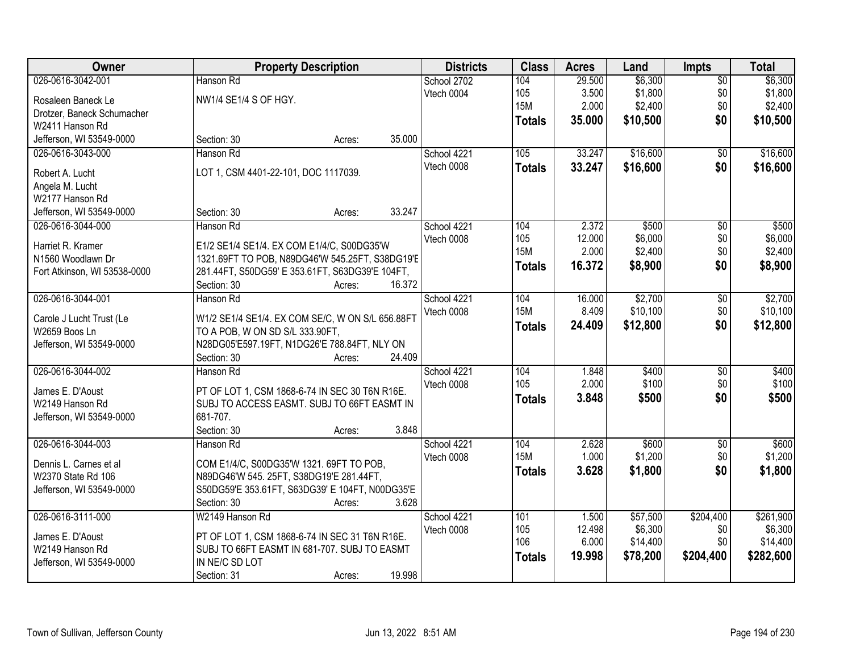| Owner                        | <b>Property Description</b>                      | <b>Districts</b>          | <b>Class</b>      | <b>Acres</b>    | Land               | <b>Impts</b>      | <b>Total</b>       |
|------------------------------|--------------------------------------------------|---------------------------|-------------------|-----------------|--------------------|-------------------|--------------------|
| 026-0616-3042-001            | Hanson Rd                                        | School 2702               | 104               | 29.500          | \$6,300            | $\overline{50}$   | \$6,300            |
| Rosaleen Baneck Le           | NW1/4 SE1/4 S OF HGY.                            | Vtech 0004                | 105               | 3.500           | \$1,800            | \$0               | \$1,800            |
| Drotzer, Baneck Schumacher   |                                                  |                           | <b>15M</b>        | 2.000           | \$2,400            | \$0               | \$2,400            |
| W2411 Hanson Rd              |                                                  |                           | <b>Totals</b>     | 35.000          | \$10,500           | \$0               | \$10,500           |
| Jefferson, WI 53549-0000     | Section: 30<br>35.000<br>Acres:                  |                           |                   |                 |                    |                   |                    |
| 026-0616-3043-000            | Hanson Rd                                        | School 4221               | 105               | 33.247          | \$16,600           | \$0               | \$16,600           |
|                              |                                                  | Vtech 0008                | <b>Totals</b>     | 33.247          | \$16,600           | \$0               | \$16,600           |
| Robert A. Lucht              | LOT 1, CSM 4401-22-101, DOC 1117039.             |                           |                   |                 |                    |                   |                    |
| Angela M. Lucht              |                                                  |                           |                   |                 |                    |                   |                    |
| W2177 Hanson Rd              |                                                  |                           |                   |                 |                    |                   |                    |
| Jefferson, WI 53549-0000     | 33.247<br>Section: 30<br>Acres:                  |                           |                   |                 |                    |                   |                    |
| 026-0616-3044-000            | Hanson Rd                                        | School 4221               | 104               | 2.372           | \$500              | $\overline{50}$   | \$500              |
| Harriet R. Kramer            | E1/2 SE1/4 SE1/4. EX COM E1/4/C, S00DG35'W       | Vtech 0008                | 105<br><b>15M</b> | 12.000<br>2.000 | \$6,000<br>\$2,400 | \$0<br>\$0        | \$6,000<br>\$2,400 |
| N1560 Woodlawn Dr            | 1321.69FT TO POB, N89DG46'W 545.25FT, S38DG19'E  |                           |                   |                 |                    |                   |                    |
| Fort Atkinson, WI 53538-0000 | 281.44FT, S50DG59' E 353.61FT, S63DG39'E 104FT,  |                           | <b>Totals</b>     | 16.372          | \$8,900            | \$0               | \$8,900            |
|                              | 16.372<br>Section: 30<br>Acres:                  |                           |                   |                 |                    |                   |                    |
| 026-0616-3044-001            | Hanson Rd                                        | School 4221               | 104               | 16.000          | \$2,700            | \$0               | \$2,700            |
| Carole J Lucht Trust (Le     | W1/2 SE1/4 SE1/4. EX COM SE/C, W ON S/L 656.88FT | Vtech 0008                | <b>15M</b>        | 8.409           | \$10,100           | \$0               | \$10,100           |
| W2659 Boos Ln                | TO A POB, W ON SD S/L 333.90FT,                  |                           | <b>Totals</b>     | 24.409          | \$12,800           | \$0               | \$12,800           |
| Jefferson, WI 53549-0000     | N28DG05'E597.19FT, N1DG26'E 788.84FT, NLY ON     |                           |                   |                 |                    |                   |                    |
|                              | Section: 30<br>24.409<br>Acres:                  |                           |                   |                 |                    |                   |                    |
| 026-0616-3044-002            | Hanson Rd                                        | School 4221               | 104               | 1.848           | \$400              | $\overline{30}$   | \$400              |
|                              |                                                  | Vtech 0008                | 105               | 2.000           | \$100              | \$0               | \$100              |
| James E. D'Aoust             | PT OF LOT 1, CSM 1868-6-74 IN SEC 30 T6N R16E.   |                           | <b>Totals</b>     | 3.848           | \$500              | \$0               | \$500              |
| W2149 Hanson Rd              | SUBJ TO ACCESS EASMT. SUBJ TO 66FT EASMT IN      |                           |                   |                 |                    |                   |                    |
| Jefferson, WI 53549-0000     | 681-707.<br>3.848                                |                           |                   |                 |                    |                   |                    |
| 026-0616-3044-003            | Section: 30<br>Acres:                            |                           | 104               |                 |                    |                   |                    |
|                              | Hanson Rd                                        | School 4221<br>Vtech 0008 | <b>15M</b>        | 2.628<br>1.000  | \$600<br>\$1,200   | $\sqrt{6}$<br>\$0 | \$600<br>\$1,200   |
| Dennis L. Carnes et al       | COM E1/4/C, S00DG35'W 1321. 69FT TO POB,         |                           |                   |                 |                    | \$0               |                    |
| W2370 State Rd 106           | N89DG46'W 545. 25FT, S38DG19'E 281.44FT,         |                           | <b>Totals</b>     | 3.628           | \$1,800            |                   | \$1,800            |
| Jefferson, WI 53549-0000     | S50DG59'E 353.61FT, S63DG39' E 104FT, N00DG35'E  |                           |                   |                 |                    |                   |                    |
|                              | 3.628<br>Section: 30<br>Acres:                   |                           |                   |                 |                    |                   |                    |
| 026-0616-3111-000            | W2149 Hanson Rd                                  | School 4221               | 101               | 1.500           | \$57,500           | \$204,400         | \$261,900          |
| James E. D'Aoust             | PT OF LOT 1, CSM 1868-6-74 IN SEC 31 T6N R16E.   | Vtech 0008                | 105               | 12.498          | \$6,300            | \$0               | \$6,300            |
| W2149 Hanson Rd              | SUBJ TO 66FT EASMT IN 681-707. SUBJ TO EASMT     |                           | 106               | 6.000           | \$14,400           | \$0               | \$14,400           |
| Jefferson, WI 53549-0000     | IN NE/C SD LOT                                   |                           | <b>Totals</b>     | 19.998          | \$78,200           | \$204,400         | \$282,600          |
|                              | 19.998<br>Section: 31<br>Acres:                  |                           |                   |                 |                    |                   |                    |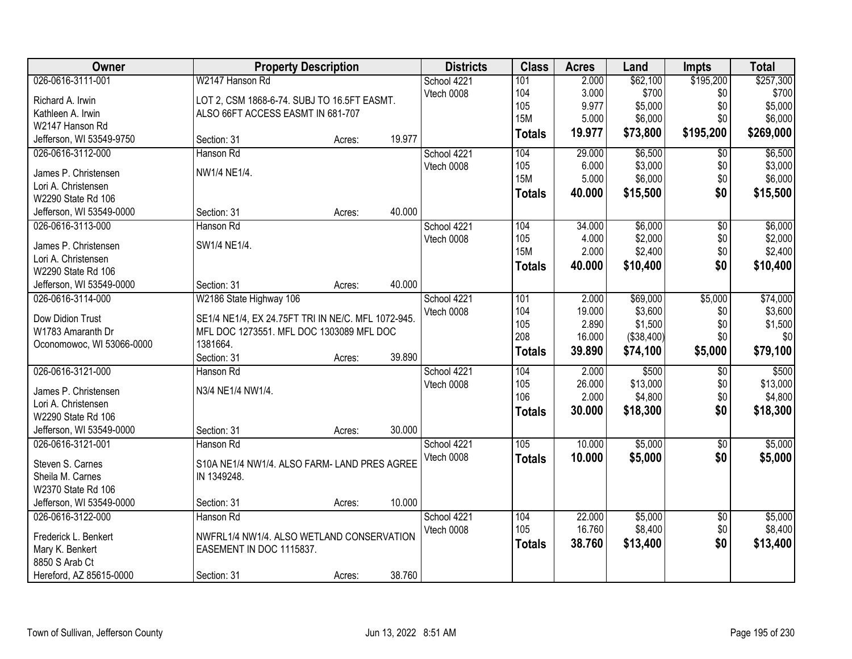| Owner                     |                                                      | <b>Property Description</b> |        | <b>Districts</b> | <b>Class</b>      | <b>Acres</b> | Land       | <b>Impts</b>    | <b>Total</b> |
|---------------------------|------------------------------------------------------|-----------------------------|--------|------------------|-------------------|--------------|------------|-----------------|--------------|
| 026-0616-3111-001         | W2147 Hanson Rd                                      |                             |        | School 4221      | 101               | 2.000        | \$62,100   | \$195,200       | \$257,300    |
| Richard A. Irwin          | LOT 2, CSM 1868-6-74. SUBJ TO 16.5FT EASMT.          |                             |        | Vtech 0008       | 104               | 3.000        | \$700      | \$0             | \$700        |
| Kathleen A. Irwin         | ALSO 66FT ACCESS EASMT IN 681-707                    |                             |        |                  | 105               | 9.977        | \$5,000    | \$0             | \$5,000      |
| W2147 Hanson Rd           |                                                      |                             |        |                  | <b>15M</b>        | 5.000        | \$6,000    | \$0             | \$6,000      |
| Jefferson, WI 53549-9750  | Section: 31                                          | Acres:                      | 19.977 |                  | <b>Totals</b>     | 19.977       | \$73,800   | \$195,200       | \$269,000    |
| 026-0616-3112-000         | Hanson Rd                                            |                             |        | School 4221      | 104               | 29.000       | \$6,500    | \$0             | \$6,500      |
|                           |                                                      |                             |        | Vtech 0008       | 105               | 6.000        | \$3,000    | \$0             | \$3,000      |
| James P. Christensen      | NW1/4 NE1/4.                                         |                             |        |                  | <b>15M</b>        | 5.000        | \$6,000    | \$0             | \$6,000      |
| Lori A. Christensen       |                                                      |                             |        |                  | <b>Totals</b>     | 40.000       | \$15,500   | \$0             | \$15,500     |
| W2290 State Rd 106        |                                                      |                             | 40.000 |                  |                   |              |            |                 |              |
| Jefferson, WI 53549-0000  | Section: 31                                          | Acres:                      |        |                  |                   |              |            |                 |              |
| 026-0616-3113-000         | Hanson Rd                                            |                             |        | School 4221      | 104               | 34.000       | \$6,000    | $\overline{50}$ | \$6,000      |
| James P. Christensen      | SW1/4 NE1/4.                                         |                             |        | Vtech 0008       | 105<br><b>15M</b> | 4.000        | \$2,000    | \$0             | \$2,000      |
| Lori A. Christensen       |                                                      |                             |        |                  |                   | 2.000        | \$2,400    | \$0             | \$2,400      |
| W2290 State Rd 106        |                                                      |                             |        |                  | <b>Totals</b>     | 40.000       | \$10,400   | \$0             | \$10,400     |
| Jefferson, WI 53549-0000  | Section: 31                                          | Acres:                      | 40.000 |                  |                   |              |            |                 |              |
| 026-0616-3114-000         | W2186 State Highway 106                              |                             |        | School 4221      | 101               | 2.000        | \$69,000   | \$5,000         | \$74,000     |
|                           |                                                      |                             |        | Vtech 0008       | 104               | 19.000       | \$3,600    | \$0             | \$3,600      |
| Dow Didion Trust          | SE1/4 NE1/4, EX 24.75FT TRI IN NE/C. MFL 1072-945.   |                             |        |                  | 105               | 2.890        | \$1,500    | \$0             | \$1,500      |
| W1783 Amaranth Dr         | MFL DOC 1273551. MFL DOC 1303089 MFL DOC<br>1381664. |                             |        |                  | 208               | 16.000       | (\$38,400) | \$0             | \$0          |
| Oconomowoc, WI 53066-0000 | Section: 31                                          |                             | 39.890 |                  | <b>Totals</b>     | 39.890       | \$74,100   | \$5,000         | \$79,100     |
| 026-0616-3121-000         | Hanson Rd                                            | Acres:                      |        |                  | 104               | 2.000        | \$500      |                 | \$500        |
|                           |                                                      |                             |        | School 4221      | 105               | 26.000       | \$13,000   | \$0<br>\$0      | \$13,000     |
| James P. Christensen      | N3/4 NE1/4 NW1/4.                                    |                             |        | Vtech 0008       | 106               | 2.000        | \$4,800    | \$0             | \$4,800      |
| Lori A. Christensen       |                                                      |                             |        |                  |                   |              |            | \$0             |              |
| W2290 State Rd 106        |                                                      |                             |        |                  | <b>Totals</b>     | 30.000       | \$18,300   |                 | \$18,300     |
| Jefferson, WI 53549-0000  | Section: 31                                          | Acres:                      | 30.000 |                  |                   |              |            |                 |              |
| 026-0616-3121-001         | Hanson Rd                                            |                             |        | School 4221      | 105               | 10.000       | \$5,000    | $\overline{50}$ | \$5,000      |
| Steven S. Carnes          | S10A NE1/4 NW1/4. ALSO FARM- LAND PRES AGREE         |                             |        | Vtech 0008       | <b>Totals</b>     | 10.000       | \$5,000    | \$0             | \$5,000      |
| Sheila M. Carnes          | IN 1349248.                                          |                             |        |                  |                   |              |            |                 |              |
| W2370 State Rd 106        |                                                      |                             |        |                  |                   |              |            |                 |              |
| Jefferson, WI 53549-0000  | Section: 31                                          | Acres:                      | 10.000 |                  |                   |              |            |                 |              |
| 026-0616-3122-000         | Hanson Rd                                            |                             |        | School 4221      | 104               | 22.000       | \$5,000    | $\overline{50}$ | \$5,000      |
|                           |                                                      |                             |        | Vtech 0008       | 105               | 16.760       | \$8,400    | \$0             | \$8,400      |
| Frederick L. Benkert      | NWFRL1/4 NW1/4. ALSO WETLAND CONSERVATION            |                             |        |                  | <b>Totals</b>     | 38.760       | \$13,400   | \$0             | \$13,400     |
| Mary K. Benkert           | EASEMENT IN DOC 1115837.                             |                             |        |                  |                   |              |            |                 |              |
| 8850 S Arab Ct            |                                                      |                             |        |                  |                   |              |            |                 |              |
| Hereford, AZ 85615-0000   | Section: 31                                          | Acres:                      | 38.760 |                  |                   |              |            |                 |              |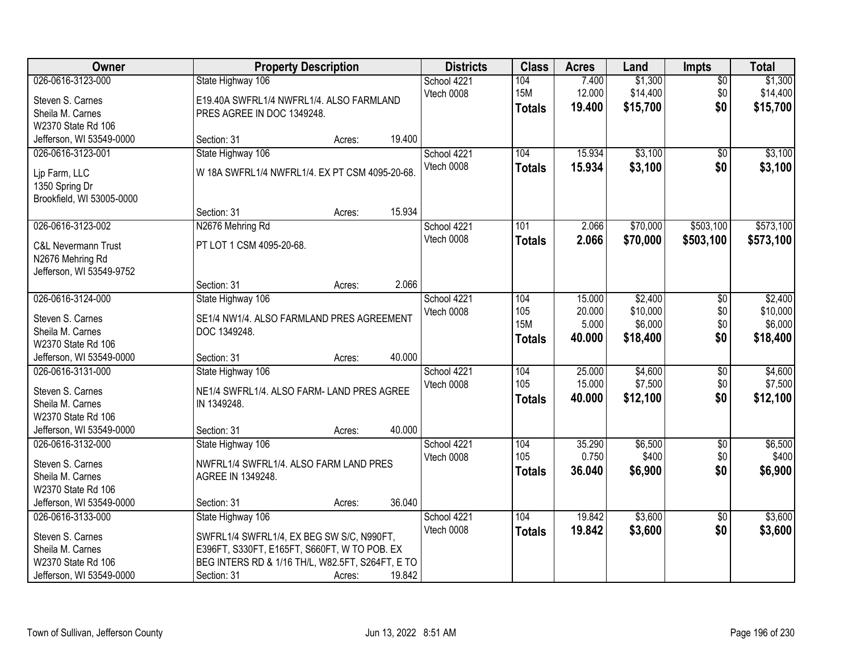| Owner                                                                                                       |                                                                                                                                                                                   | <b>Property Description</b> |        |                           | <b>Class</b>                              | <b>Acres</b>                        | Land                                       | <b>Impts</b>                  | <b>Total</b>                               |
|-------------------------------------------------------------------------------------------------------------|-----------------------------------------------------------------------------------------------------------------------------------------------------------------------------------|-----------------------------|--------|---------------------------|-------------------------------------------|-------------------------------------|--------------------------------------------|-------------------------------|--------------------------------------------|
| 026-0616-3123-000<br>Steven S. Carnes<br>Sheila M. Carnes                                                   | State Highway 106<br>E19.40A SWFRL1/4 NWFRL1/4. ALSO FARMLAND<br>PRES AGREE IN DOC 1349248.                                                                                       |                             |        | School 4221<br>Vtech 0008 | 104<br><b>15M</b><br><b>Totals</b>        | 7.400<br>12.000<br>19.400           | \$1,300<br>\$14,400<br>\$15,700            | $\overline{50}$<br>\$0<br>\$0 | \$1,300<br>\$14,400<br>\$15,700            |
| W2370 State Rd 106<br>Jefferson, WI 53549-0000<br>026-0616-3123-001                                         | Section: 31<br>State Highway 106                                                                                                                                                  | Acres:                      | 19.400 | School 4221               | 104                                       | 15.934                              | \$3,100                                    | $\overline{50}$               | \$3,100                                    |
| Lip Farm, LLC<br>1350 Spring Dr<br>Brookfield, WI 53005-0000                                                | W 18A SWFRL1/4 NWFRL1/4. EX PT CSM 4095-20-68.                                                                                                                                    |                             |        | Vtech 0008                | <b>Totals</b>                             | 15.934                              | \$3,100                                    | \$0                           | \$3,100                                    |
|                                                                                                             | Section: 31                                                                                                                                                                       | Acres:                      | 15.934 |                           |                                           |                                     |                                            |                               |                                            |
| 026-0616-3123-002<br>C&L Nevermann Trust<br>N2676 Mehring Rd<br>Jefferson, WI 53549-9752                    | N2676 Mehring Rd<br>PT LOT 1 CSM 4095-20-68.                                                                                                                                      |                             |        | School 4221<br>Vtech 0008 | 101<br><b>Totals</b>                      | 2.066<br>2.066                      | \$70,000<br>\$70,000                       | \$503,100<br>\$503,100        | \$573,100<br>\$573,100                     |
|                                                                                                             | Section: 31                                                                                                                                                                       | Acres:                      | 2.066  |                           |                                           |                                     |                                            |                               |                                            |
| 026-0616-3124-000<br>Steven S. Carnes<br>Sheila M. Carnes<br>W2370 State Rd 106                             | State Highway 106<br>SE1/4 NW1/4. ALSO FARMLAND PRES AGREEMENT<br>DOC 1349248.                                                                                                    |                             |        | School 4221<br>Vtech 0008 | 104<br>105<br><b>15M</b><br><b>Totals</b> | 15.000<br>20.000<br>5.000<br>40.000 | \$2,400<br>\$10,000<br>\$6,000<br>\$18,400 | \$0<br>\$0<br>\$0<br>\$0      | \$2,400<br>\$10,000<br>\$6,000<br>\$18,400 |
| Jefferson, WI 53549-0000                                                                                    | Section: 31                                                                                                                                                                       | Acres:                      | 40.000 |                           |                                           |                                     |                                            |                               |                                            |
| 026-0616-3131-000<br>Steven S. Carnes<br>Sheila M. Carnes<br>W2370 State Rd 106                             | State Highway 106<br>NE1/4 SWFRL1/4. ALSO FARM- LAND PRES AGREE<br>IN 1349248.                                                                                                    |                             |        | School 4221<br>Vtech 0008 | 104<br>105<br><b>Totals</b>               | 25.000<br>15.000<br>40.000          | \$4,600<br>\$7,500<br>\$12,100             | \$0<br>\$0<br>\$0             | \$4,600<br>\$7,500<br>\$12,100             |
| Jefferson, WI 53549-0000                                                                                    | Section: 31                                                                                                                                                                       | Acres:                      | 40.000 |                           |                                           |                                     |                                            |                               |                                            |
| 026-0616-3132-000<br>Steven S. Carnes<br>Sheila M. Carnes<br>W2370 State Rd 106                             | State Highway 106<br>NWFRL1/4 SWFRL1/4. ALSO FARM LAND PRES<br>AGREE IN 1349248.                                                                                                  |                             |        | School 4221<br>Vtech 0008 | 104<br>105<br><b>Totals</b>               | 35.290<br>0.750<br>36.040           | \$6,500<br>\$400<br>\$6,900                | $\sqrt{6}$<br>\$0<br>\$0      | \$6,500<br>\$400<br>\$6,900                |
| Jefferson, WI 53549-0000                                                                                    | Section: 31                                                                                                                                                                       | Acres:                      | 36.040 |                           |                                           |                                     |                                            |                               |                                            |
| 026-0616-3133-000<br>Steven S. Carnes<br>Sheila M. Carnes<br>W2370 State Rd 106<br>Jefferson, WI 53549-0000 | State Highway 106<br>SWFRL1/4 SWFRL1/4, EX BEG SW S/C, N990FT,<br>E396FT, S330FT, E165FT, S660FT, W TO POB. EX<br>BEG INTERS RD & 1/16 TH/L, W82.5FT, S264FT, E TO<br>Section: 31 | Acres:                      | 19.842 | School 4221<br>Vtech 0008 | 104<br><b>Totals</b>                      | 19.842<br>19.842                    | \$3,600<br>\$3,600                         | \$0<br>\$0                    | \$3,600<br>\$3,600                         |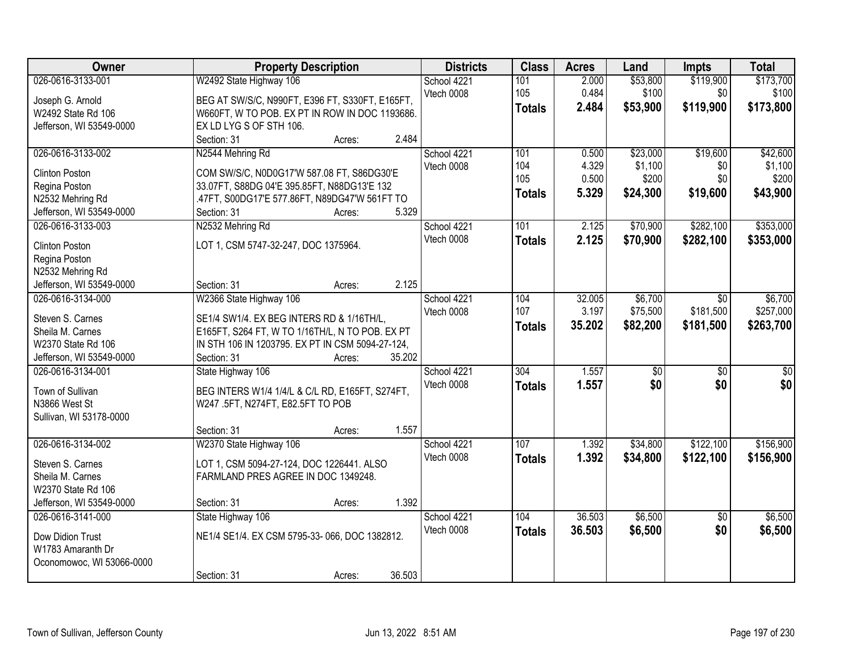| Owner                     | <b>Property Description</b>                      | <b>Districts</b> | <b>Class</b>  | <b>Acres</b> | Land            | <b>Impts</b>    | <b>Total</b>    |
|---------------------------|--------------------------------------------------|------------------|---------------|--------------|-----------------|-----------------|-----------------|
| 026-0616-3133-001         | W2492 State Highway 106                          | School 4221      | 101           | 2.000        | \$53,800        | \$119,900       | \$173,700       |
| Joseph G. Arnold          | BEG AT SW/S/C, N990FT, E396 FT, S330FT, E165FT,  | Vtech 0008       | 105           | 0.484        | \$100           | \$0             | \$100           |
| W2492 State Rd 106        | W660FT, W TO POB. EX PT IN ROW IN DOC 1193686.   |                  | <b>Totals</b> | 2.484        | \$53,900        | \$119,900       | \$173,800       |
| Jefferson, WI 53549-0000  | EX LD LYG S OF STH 106.                          |                  |               |              |                 |                 |                 |
|                           | 2.484<br>Section: 31<br>Acres:                   |                  |               |              |                 |                 |                 |
| 026-0616-3133-002         | N2544 Mehring Rd                                 | School 4221      | 101           | 0.500        | \$23,000        | \$19,600        | \$42,600        |
|                           |                                                  | Vtech 0008       | 104           | 4.329        | \$1,100         | \$0             | \$1,100         |
| <b>Clinton Poston</b>     | COM SW/S/C, N0D0G17'W 587.08 FT, S86DG30'E       |                  | 105           | 0.500        | \$200           | \$0             | \$200           |
| Regina Poston             | 33.07FT, S88DG 04'E 395.85FT, N88DG13'E 132      |                  | <b>Totals</b> | 5.329        | \$24,300        | \$19,600        | \$43,900        |
| N2532 Mehring Rd          | .47FT, S00DG17'E 577.86FT, N89DG47'W 561FT TO    |                  |               |              |                 |                 |                 |
| Jefferson, WI 53549-0000  | 5.329<br>Section: 31<br>Acres:                   |                  |               |              |                 |                 |                 |
| 026-0616-3133-003         | N2532 Mehring Rd                                 | School 4221      | 101           | 2.125        | \$70,900        | \$282,100       | \$353,000       |
| <b>Clinton Poston</b>     | LOT 1, CSM 5747-32-247, DOC 1375964.             | Vtech 0008       | <b>Totals</b> | 2.125        | \$70,900        | \$282,100       | \$353,000       |
| Regina Poston             |                                                  |                  |               |              |                 |                 |                 |
| N2532 Mehring Rd          |                                                  |                  |               |              |                 |                 |                 |
| Jefferson, WI 53549-0000  | 2.125<br>Section: 31<br>Acres:                   |                  |               |              |                 |                 |                 |
| 026-0616-3134-000         | W2366 State Highway 106                          | School 4221      | 104           | 32.005       | \$6,700         | \$0             | \$6,700         |
|                           |                                                  | Vtech 0008       | 107           | 3.197        | \$75,500        | \$181,500       | \$257,000       |
| Steven S. Carnes          | SE1/4 SW1/4. EX BEG INTERS RD & 1/16TH/L,        |                  |               | 35.202       | \$82,200        | \$181,500       | \$263,700       |
| Sheila M. Carnes          | E165FT, S264 FT, W TO 1/16TH/L, N TO POB. EX PT  |                  | <b>Totals</b> |              |                 |                 |                 |
| W2370 State Rd 106        | IN STH 106 IN 1203795. EX PT IN CSM 5094-27-124, |                  |               |              |                 |                 |                 |
| Jefferson, WI 53549-0000  | 35.202<br>Section: 31<br>Acres:                  |                  |               |              |                 |                 |                 |
| 026-0616-3134-001         | State Highway 106                                | School 4221      | 304           | 1.557        | $\overline{50}$ | $\overline{30}$ | $\overline{50}$ |
| Town of Sullivan          | BEG INTERS W1/4 1/4/L & C/L RD, E165FT, S274FT,  | Vtech 0008       | <b>Totals</b> | 1.557        | \$0             | \$0             | \$0             |
| N3866 West St             |                                                  |                  |               |              |                 |                 |                 |
|                           | W247 .5FT, N274FT, E82.5FT TO POB                |                  |               |              |                 |                 |                 |
| Sullivan, WI 53178-0000   | 1.557                                            |                  |               |              |                 |                 |                 |
|                           | Section: 31<br>Acres:                            |                  |               |              |                 |                 |                 |
| 026-0616-3134-002         | W2370 State Highway 106                          | School 4221      | 107           | 1.392        | \$34,800        | \$122,100       | \$156,900       |
| Steven S. Carnes          | LOT 1, CSM 5094-27-124, DOC 1226441. ALSO        | Vtech 0008       | <b>Totals</b> | 1.392        | \$34,800        | \$122,100       | \$156,900       |
| Sheila M. Carnes          | FARMLAND PRES AGREE IN DOC 1349248.              |                  |               |              |                 |                 |                 |
| W2370 State Rd 106        |                                                  |                  |               |              |                 |                 |                 |
| Jefferson, WI 53549-0000  | 1.392<br>Section: 31<br>Acres:                   |                  |               |              |                 |                 |                 |
| 026-0616-3141-000         | State Highway 106                                | School 4221      | 104           | 36.503       | \$6,500         | $\overline{50}$ | \$6,500         |
| Dow Didion Trust          | NE1/4 SE1/4. EX CSM 5795-33-066, DOC 1382812.    | Vtech 0008       | <b>Totals</b> | 36.503       | \$6,500         | \$0             | \$6,500         |
| W1783 Amaranth Dr         |                                                  |                  |               |              |                 |                 |                 |
|                           |                                                  |                  |               |              |                 |                 |                 |
| Oconomowoc, WI 53066-0000 |                                                  |                  |               |              |                 |                 |                 |
|                           | 36.503<br>Section: 31<br>Acres:                  |                  |               |              |                 |                 |                 |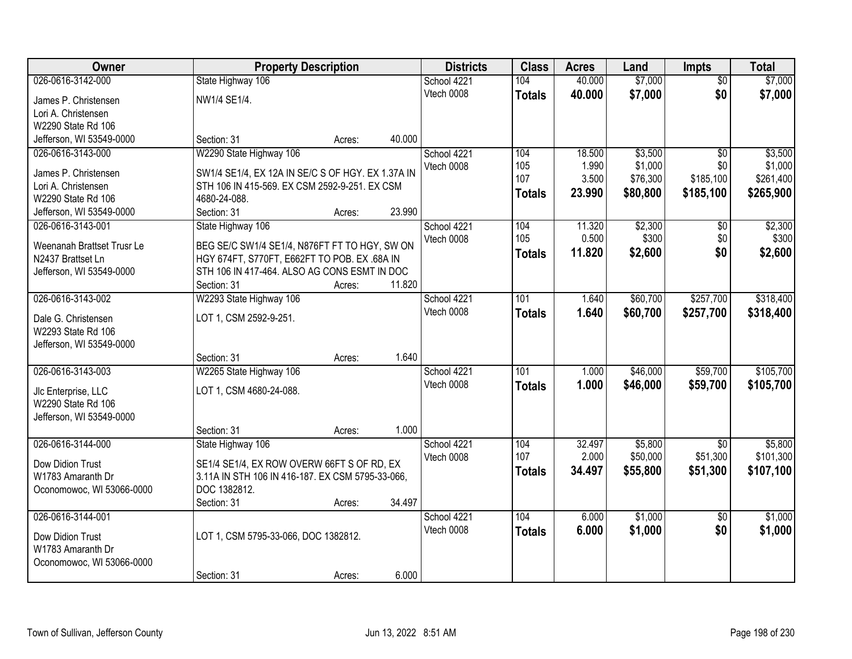| \$7,000<br>026-0616-3142-000<br>40.000<br>\$7,000<br>State Highway 106<br>School 4221<br>104<br>$\overline{50}$<br>\$0<br>Vtech 0008<br>\$7,000<br>40.000<br><b>Totals</b><br>NW1/4 SE1/4.<br>James P. Christensen<br>Lori A. Christensen<br>W2290 State Rd 106<br>40.000<br>Jefferson, WI 53549-0000<br>Section: 31<br>Acres:<br>W2290 State Highway 106<br>\$3,500<br>026-0616-3143-000<br>104<br>18.500<br>$\overline{30}$<br>School 4221<br>105<br>1.990<br>\$1,000<br>Vtech 0008<br>\$0<br>James P. Christensen<br>SW1/4 SE1/4, EX 12A IN SE/C S OF HGY. EX 1.37A IN<br>3.500<br>\$185,100<br>107<br>\$76,300<br>STH 106 IN 415-569. EX CSM 2592-9-251. EX CSM<br>Lori A. Christensen<br>23.990<br>\$80,800<br>\$185,100<br><b>Totals</b><br>W2290 State Rd 106<br>4680-24-088.<br>23.990<br>Section: 31<br>Jefferson, WI 53549-0000<br>Acres:<br>\$2,300<br>026-0616-3143-001<br>State Highway 106<br>11.320<br>$\overline{50}$<br>School 4221<br>104<br>105<br>0.500<br>\$300<br>\$0<br>Vtech 0008<br>BEG SE/C SW1/4 SE1/4, N876FT FT TO HGY, SW ON<br>Weenanah Brattset Trusr Le<br>11.820<br>\$0<br>\$2,600<br><b>Totals</b><br>N2437 Brattset Ln<br>HGY 674FT, S770FT, E662FT TO POB. EX.68A IN<br>STH 106 IN 417-464. ALSO AG CONS ESMT IN DOC<br>Jefferson, WI 53549-0000<br>11.820<br>Section: 31<br>Acres:<br>026-0616-3143-002<br>\$60,700<br>\$257,700<br>W2293 State Highway 106<br>101<br>1.640<br>School 4221<br>Vtech 0008<br>1.640<br>\$60,700<br>\$257,700<br><b>Totals</b><br>LOT 1, CSM 2592-9-251.<br>Dale G. Christensen<br>W2293 State Rd 106<br>Jefferson, WI 53549-0000<br>1.640<br>Section: 31<br>Acres:<br>026-0616-3143-003<br>\$46,000<br>\$59,700<br>W2265 State Highway 106<br>101<br>1.000<br>School 4221<br>Vtech 0008<br>1.000<br>\$46,000<br>\$59,700<br><b>Totals</b><br>LOT 1, CSM 4680-24-088.<br>Jlc Enterprise, LLC<br>W2290 State Rd 106<br>Jefferson, WI 53549-0000<br>1.000<br>Section: 31<br>Acres:<br>026-0616-3144-000<br>32.497<br>\$5,800<br>State Highway 106<br>School 4221<br>104<br>\$0<br>107<br>2.000<br>\$50,000<br>\$51,300<br>Vtech 0008<br>SE1/4 SE1/4, EX ROW OVERW 66FT S OF RD, EX<br>Dow Didion Trust<br>34.497<br>\$55,800<br>\$51,300<br><b>Totals</b><br>3.11A IN STH 106 IN 416-187. EX CSM 5795-33-066,<br>W1783 Amaranth Dr<br>Oconomowoc, WI 53066-0000<br>DOC 1382812.<br>34.497<br>Section: 31<br>Acres:<br>026-0616-3144-001<br>104<br>6.000<br>\$1,000<br>$\overline{50}$<br>School 4221<br>\$0<br>Vtech 0008<br>6.000<br>\$1,000<br><b>Totals</b><br>LOT 1, CSM 5795-33-066, DOC 1382812.<br>Dow Didion Trust<br>W1783 Amaranth Dr<br>Oconomowoc, WI 53066-0000 | Owner | <b>Property Description</b> |        |       | <b>Districts</b> | <b>Class</b> | <b>Acres</b> | Land | <b>Impts</b> | <b>Total</b> |
|-----------------------------------------------------------------------------------------------------------------------------------------------------------------------------------------------------------------------------------------------------------------------------------------------------------------------------------------------------------------------------------------------------------------------------------------------------------------------------------------------------------------------------------------------------------------------------------------------------------------------------------------------------------------------------------------------------------------------------------------------------------------------------------------------------------------------------------------------------------------------------------------------------------------------------------------------------------------------------------------------------------------------------------------------------------------------------------------------------------------------------------------------------------------------------------------------------------------------------------------------------------------------------------------------------------------------------------------------------------------------------------------------------------------------------------------------------------------------------------------------------------------------------------------------------------------------------------------------------------------------------------------------------------------------------------------------------------------------------------------------------------------------------------------------------------------------------------------------------------------------------------------------------------------------------------------------------------------------------------------------------------------------------------------------------------------------------------------------------------------------------------------------------------------------------------------------------------------------------------------------------------------------------------------------------------------------------------------------------------------------------------------------------------------------------------------------------------------------------------------------------------------------------------------------------------------------------------------------------------------------------------------------|-------|-----------------------------|--------|-------|------------------|--------------|--------------|------|--------------|--------------|
|                                                                                                                                                                                                                                                                                                                                                                                                                                                                                                                                                                                                                                                                                                                                                                                                                                                                                                                                                                                                                                                                                                                                                                                                                                                                                                                                                                                                                                                                                                                                                                                                                                                                                                                                                                                                                                                                                                                                                                                                                                                                                                                                                                                                                                                                                                                                                                                                                                                                                                                                                                                                                                               |       |                             |        |       |                  |              |              |      |              |              |
| \$3,500<br>\$265,900<br>\$2,600<br>\$318,400<br>\$105,700<br>\$107,100<br>\$1,000                                                                                                                                                                                                                                                                                                                                                                                                                                                                                                                                                                                                                                                                                                                                                                                                                                                                                                                                                                                                                                                                                                                                                                                                                                                                                                                                                                                                                                                                                                                                                                                                                                                                                                                                                                                                                                                                                                                                                                                                                                                                                                                                                                                                                                                                                                                                                                                                                                                                                                                                                             |       |                             |        |       |                  |              |              |      |              | \$7,000      |
|                                                                                                                                                                                                                                                                                                                                                                                                                                                                                                                                                                                                                                                                                                                                                                                                                                                                                                                                                                                                                                                                                                                                                                                                                                                                                                                                                                                                                                                                                                                                                                                                                                                                                                                                                                                                                                                                                                                                                                                                                                                                                                                                                                                                                                                                                                                                                                                                                                                                                                                                                                                                                                               |       |                             |        |       |                  |              |              |      |              |              |
|                                                                                                                                                                                                                                                                                                                                                                                                                                                                                                                                                                                                                                                                                                                                                                                                                                                                                                                                                                                                                                                                                                                                                                                                                                                                                                                                                                                                                                                                                                                                                                                                                                                                                                                                                                                                                                                                                                                                                                                                                                                                                                                                                                                                                                                                                                                                                                                                                                                                                                                                                                                                                                               |       |                             |        |       |                  |              |              |      |              |              |
|                                                                                                                                                                                                                                                                                                                                                                                                                                                                                                                                                                                                                                                                                                                                                                                                                                                                                                                                                                                                                                                                                                                                                                                                                                                                                                                                                                                                                                                                                                                                                                                                                                                                                                                                                                                                                                                                                                                                                                                                                                                                                                                                                                                                                                                                                                                                                                                                                                                                                                                                                                                                                                               |       |                             |        |       |                  |              |              |      |              |              |
| \$1,000<br>\$261,400<br>\$2,300<br>\$300                                                                                                                                                                                                                                                                                                                                                                                                                                                                                                                                                                                                                                                                                                                                                                                                                                                                                                                                                                                                                                                                                                                                                                                                                                                                                                                                                                                                                                                                                                                                                                                                                                                                                                                                                                                                                                                                                                                                                                                                                                                                                                                                                                                                                                                                                                                                                                                                                                                                                                                                                                                                      |       |                             |        |       |                  |              |              |      |              |              |
|                                                                                                                                                                                                                                                                                                                                                                                                                                                                                                                                                                                                                                                                                                                                                                                                                                                                                                                                                                                                                                                                                                                                                                                                                                                                                                                                                                                                                                                                                                                                                                                                                                                                                                                                                                                                                                                                                                                                                                                                                                                                                                                                                                                                                                                                                                                                                                                                                                                                                                                                                                                                                                               |       |                             |        |       |                  |              |              |      |              |              |
|                                                                                                                                                                                                                                                                                                                                                                                                                                                                                                                                                                                                                                                                                                                                                                                                                                                                                                                                                                                                                                                                                                                                                                                                                                                                                                                                                                                                                                                                                                                                                                                                                                                                                                                                                                                                                                                                                                                                                                                                                                                                                                                                                                                                                                                                                                                                                                                                                                                                                                                                                                                                                                               |       |                             |        |       |                  |              |              |      |              |              |
|                                                                                                                                                                                                                                                                                                                                                                                                                                                                                                                                                                                                                                                                                                                                                                                                                                                                                                                                                                                                                                                                                                                                                                                                                                                                                                                                                                                                                                                                                                                                                                                                                                                                                                                                                                                                                                                                                                                                                                                                                                                                                                                                                                                                                                                                                                                                                                                                                                                                                                                                                                                                                                               |       |                             |        |       |                  |              |              |      |              |              |
|                                                                                                                                                                                                                                                                                                                                                                                                                                                                                                                                                                                                                                                                                                                                                                                                                                                                                                                                                                                                                                                                                                                                                                                                                                                                                                                                                                                                                                                                                                                                                                                                                                                                                                                                                                                                                                                                                                                                                                                                                                                                                                                                                                                                                                                                                                                                                                                                                                                                                                                                                                                                                                               |       |                             |        |       |                  |              |              |      |              |              |
|                                                                                                                                                                                                                                                                                                                                                                                                                                                                                                                                                                                                                                                                                                                                                                                                                                                                                                                                                                                                                                                                                                                                                                                                                                                                                                                                                                                                                                                                                                                                                                                                                                                                                                                                                                                                                                                                                                                                                                                                                                                                                                                                                                                                                                                                                                                                                                                                                                                                                                                                                                                                                                               |       |                             |        |       |                  |              |              |      |              |              |
|                                                                                                                                                                                                                                                                                                                                                                                                                                                                                                                                                                                                                                                                                                                                                                                                                                                                                                                                                                                                                                                                                                                                                                                                                                                                                                                                                                                                                                                                                                                                                                                                                                                                                                                                                                                                                                                                                                                                                                                                                                                                                                                                                                                                                                                                                                                                                                                                                                                                                                                                                                                                                                               |       |                             |        |       |                  |              |              |      |              |              |
|                                                                                                                                                                                                                                                                                                                                                                                                                                                                                                                                                                                                                                                                                                                                                                                                                                                                                                                                                                                                                                                                                                                                                                                                                                                                                                                                                                                                                                                                                                                                                                                                                                                                                                                                                                                                                                                                                                                                                                                                                                                                                                                                                                                                                                                                                                                                                                                                                                                                                                                                                                                                                                               |       |                             |        |       |                  |              |              |      |              |              |
| \$318,400<br>\$105,700<br>\$5,800<br>\$101,300<br>\$1,000                                                                                                                                                                                                                                                                                                                                                                                                                                                                                                                                                                                                                                                                                                                                                                                                                                                                                                                                                                                                                                                                                                                                                                                                                                                                                                                                                                                                                                                                                                                                                                                                                                                                                                                                                                                                                                                                                                                                                                                                                                                                                                                                                                                                                                                                                                                                                                                                                                                                                                                                                                                     |       |                             |        |       |                  |              |              |      |              |              |
|                                                                                                                                                                                                                                                                                                                                                                                                                                                                                                                                                                                                                                                                                                                                                                                                                                                                                                                                                                                                                                                                                                                                                                                                                                                                                                                                                                                                                                                                                                                                                                                                                                                                                                                                                                                                                                                                                                                                                                                                                                                                                                                                                                                                                                                                                                                                                                                                                                                                                                                                                                                                                                               |       |                             |        |       |                  |              |              |      |              |              |
|                                                                                                                                                                                                                                                                                                                                                                                                                                                                                                                                                                                                                                                                                                                                                                                                                                                                                                                                                                                                                                                                                                                                                                                                                                                                                                                                                                                                                                                                                                                                                                                                                                                                                                                                                                                                                                                                                                                                                                                                                                                                                                                                                                                                                                                                                                                                                                                                                                                                                                                                                                                                                                               |       |                             |        |       |                  |              |              |      |              |              |
|                                                                                                                                                                                                                                                                                                                                                                                                                                                                                                                                                                                                                                                                                                                                                                                                                                                                                                                                                                                                                                                                                                                                                                                                                                                                                                                                                                                                                                                                                                                                                                                                                                                                                                                                                                                                                                                                                                                                                                                                                                                                                                                                                                                                                                                                                                                                                                                                                                                                                                                                                                                                                                               |       |                             |        |       |                  |              |              |      |              |              |
|                                                                                                                                                                                                                                                                                                                                                                                                                                                                                                                                                                                                                                                                                                                                                                                                                                                                                                                                                                                                                                                                                                                                                                                                                                                                                                                                                                                                                                                                                                                                                                                                                                                                                                                                                                                                                                                                                                                                                                                                                                                                                                                                                                                                                                                                                                                                                                                                                                                                                                                                                                                                                                               |       |                             |        |       |                  |              |              |      |              |              |
|                                                                                                                                                                                                                                                                                                                                                                                                                                                                                                                                                                                                                                                                                                                                                                                                                                                                                                                                                                                                                                                                                                                                                                                                                                                                                                                                                                                                                                                                                                                                                                                                                                                                                                                                                                                                                                                                                                                                                                                                                                                                                                                                                                                                                                                                                                                                                                                                                                                                                                                                                                                                                                               |       |                             |        |       |                  |              |              |      |              |              |
|                                                                                                                                                                                                                                                                                                                                                                                                                                                                                                                                                                                                                                                                                                                                                                                                                                                                                                                                                                                                                                                                                                                                                                                                                                                                                                                                                                                                                                                                                                                                                                                                                                                                                                                                                                                                                                                                                                                                                                                                                                                                                                                                                                                                                                                                                                                                                                                                                                                                                                                                                                                                                                               |       |                             |        |       |                  |              |              |      |              |              |
|                                                                                                                                                                                                                                                                                                                                                                                                                                                                                                                                                                                                                                                                                                                                                                                                                                                                                                                                                                                                                                                                                                                                                                                                                                                                                                                                                                                                                                                                                                                                                                                                                                                                                                                                                                                                                                                                                                                                                                                                                                                                                                                                                                                                                                                                                                                                                                                                                                                                                                                                                                                                                                               |       |                             |        |       |                  |              |              |      |              |              |
|                                                                                                                                                                                                                                                                                                                                                                                                                                                                                                                                                                                                                                                                                                                                                                                                                                                                                                                                                                                                                                                                                                                                                                                                                                                                                                                                                                                                                                                                                                                                                                                                                                                                                                                                                                                                                                                                                                                                                                                                                                                                                                                                                                                                                                                                                                                                                                                                                                                                                                                                                                                                                                               |       |                             |        |       |                  |              |              |      |              |              |
|                                                                                                                                                                                                                                                                                                                                                                                                                                                                                                                                                                                                                                                                                                                                                                                                                                                                                                                                                                                                                                                                                                                                                                                                                                                                                                                                                                                                                                                                                                                                                                                                                                                                                                                                                                                                                                                                                                                                                                                                                                                                                                                                                                                                                                                                                                                                                                                                                                                                                                                                                                                                                                               |       |                             |        |       |                  |              |              |      |              |              |
|                                                                                                                                                                                                                                                                                                                                                                                                                                                                                                                                                                                                                                                                                                                                                                                                                                                                                                                                                                                                                                                                                                                                                                                                                                                                                                                                                                                                                                                                                                                                                                                                                                                                                                                                                                                                                                                                                                                                                                                                                                                                                                                                                                                                                                                                                                                                                                                                                                                                                                                                                                                                                                               |       |                             |        |       |                  |              |              |      |              |              |
|                                                                                                                                                                                                                                                                                                                                                                                                                                                                                                                                                                                                                                                                                                                                                                                                                                                                                                                                                                                                                                                                                                                                                                                                                                                                                                                                                                                                                                                                                                                                                                                                                                                                                                                                                                                                                                                                                                                                                                                                                                                                                                                                                                                                                                                                                                                                                                                                                                                                                                                                                                                                                                               |       |                             |        |       |                  |              |              |      |              |              |
|                                                                                                                                                                                                                                                                                                                                                                                                                                                                                                                                                                                                                                                                                                                                                                                                                                                                                                                                                                                                                                                                                                                                                                                                                                                                                                                                                                                                                                                                                                                                                                                                                                                                                                                                                                                                                                                                                                                                                                                                                                                                                                                                                                                                                                                                                                                                                                                                                                                                                                                                                                                                                                               |       |                             |        |       |                  |              |              |      |              |              |
|                                                                                                                                                                                                                                                                                                                                                                                                                                                                                                                                                                                                                                                                                                                                                                                                                                                                                                                                                                                                                                                                                                                                                                                                                                                                                                                                                                                                                                                                                                                                                                                                                                                                                                                                                                                                                                                                                                                                                                                                                                                                                                                                                                                                                                                                                                                                                                                                                                                                                                                                                                                                                                               |       |                             |        |       |                  |              |              |      |              |              |
|                                                                                                                                                                                                                                                                                                                                                                                                                                                                                                                                                                                                                                                                                                                                                                                                                                                                                                                                                                                                                                                                                                                                                                                                                                                                                                                                                                                                                                                                                                                                                                                                                                                                                                                                                                                                                                                                                                                                                                                                                                                                                                                                                                                                                                                                                                                                                                                                                                                                                                                                                                                                                                               |       |                             |        |       |                  |              |              |      |              |              |
|                                                                                                                                                                                                                                                                                                                                                                                                                                                                                                                                                                                                                                                                                                                                                                                                                                                                                                                                                                                                                                                                                                                                                                                                                                                                                                                                                                                                                                                                                                                                                                                                                                                                                                                                                                                                                                                                                                                                                                                                                                                                                                                                                                                                                                                                                                                                                                                                                                                                                                                                                                                                                                               |       |                             |        |       |                  |              |              |      |              |              |
|                                                                                                                                                                                                                                                                                                                                                                                                                                                                                                                                                                                                                                                                                                                                                                                                                                                                                                                                                                                                                                                                                                                                                                                                                                                                                                                                                                                                                                                                                                                                                                                                                                                                                                                                                                                                                                                                                                                                                                                                                                                                                                                                                                                                                                                                                                                                                                                                                                                                                                                                                                                                                                               |       |                             |        |       |                  |              |              |      |              |              |
|                                                                                                                                                                                                                                                                                                                                                                                                                                                                                                                                                                                                                                                                                                                                                                                                                                                                                                                                                                                                                                                                                                                                                                                                                                                                                                                                                                                                                                                                                                                                                                                                                                                                                                                                                                                                                                                                                                                                                                                                                                                                                                                                                                                                                                                                                                                                                                                                                                                                                                                                                                                                                                               |       |                             |        |       |                  |              |              |      |              |              |
|                                                                                                                                                                                                                                                                                                                                                                                                                                                                                                                                                                                                                                                                                                                                                                                                                                                                                                                                                                                                                                                                                                                                                                                                                                                                                                                                                                                                                                                                                                                                                                                                                                                                                                                                                                                                                                                                                                                                                                                                                                                                                                                                                                                                                                                                                                                                                                                                                                                                                                                                                                                                                                               |       |                             |        |       |                  |              |              |      |              |              |
|                                                                                                                                                                                                                                                                                                                                                                                                                                                                                                                                                                                                                                                                                                                                                                                                                                                                                                                                                                                                                                                                                                                                                                                                                                                                                                                                                                                                                                                                                                                                                                                                                                                                                                                                                                                                                                                                                                                                                                                                                                                                                                                                                                                                                                                                                                                                                                                                                                                                                                                                                                                                                                               |       |                             |        |       |                  |              |              |      |              |              |
|                                                                                                                                                                                                                                                                                                                                                                                                                                                                                                                                                                                                                                                                                                                                                                                                                                                                                                                                                                                                                                                                                                                                                                                                                                                                                                                                                                                                                                                                                                                                                                                                                                                                                                                                                                                                                                                                                                                                                                                                                                                                                                                                                                                                                                                                                                                                                                                                                                                                                                                                                                                                                                               |       |                             |        |       |                  |              |              |      |              |              |
|                                                                                                                                                                                                                                                                                                                                                                                                                                                                                                                                                                                                                                                                                                                                                                                                                                                                                                                                                                                                                                                                                                                                                                                                                                                                                                                                                                                                                                                                                                                                                                                                                                                                                                                                                                                                                                                                                                                                                                                                                                                                                                                                                                                                                                                                                                                                                                                                                                                                                                                                                                                                                                               |       |                             |        |       |                  |              |              |      |              |              |
|                                                                                                                                                                                                                                                                                                                                                                                                                                                                                                                                                                                                                                                                                                                                                                                                                                                                                                                                                                                                                                                                                                                                                                                                                                                                                                                                                                                                                                                                                                                                                                                                                                                                                                                                                                                                                                                                                                                                                                                                                                                                                                                                                                                                                                                                                                                                                                                                                                                                                                                                                                                                                                               |       |                             |        |       |                  |              |              |      |              |              |
|                                                                                                                                                                                                                                                                                                                                                                                                                                                                                                                                                                                                                                                                                                                                                                                                                                                                                                                                                                                                                                                                                                                                                                                                                                                                                                                                                                                                                                                                                                                                                                                                                                                                                                                                                                                                                                                                                                                                                                                                                                                                                                                                                                                                                                                                                                                                                                                                                                                                                                                                                                                                                                               |       | Section: 31                 | Acres: | 6.000 |                  |              |              |      |              |              |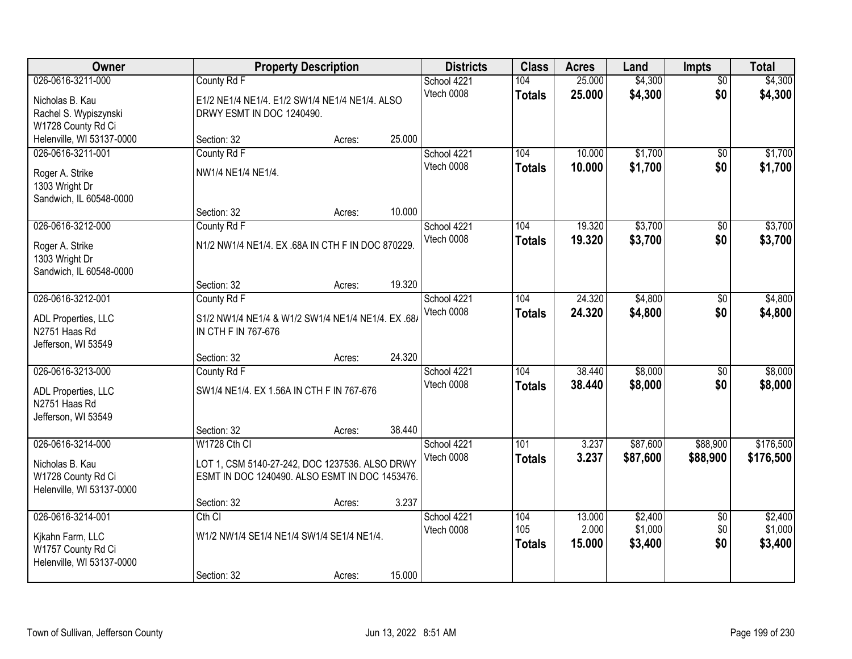| Owner                                                                                    |                                                                                                                  | <b>Property Description</b> |        | <b>Districts</b>          | <b>Class</b>                | <b>Acres</b>              | Land                          | <b>Impts</b>                  | <b>Total</b>                  |
|------------------------------------------------------------------------------------------|------------------------------------------------------------------------------------------------------------------|-----------------------------|--------|---------------------------|-----------------------------|---------------------------|-------------------------------|-------------------------------|-------------------------------|
| 026-0616-3211-000<br>Nicholas B. Kau<br>Rachel S. Wypiszynski<br>W1728 County Rd Ci      | County Rd F<br>E1/2 NE1/4 NE1/4. E1/2 SW1/4 NE1/4 NE1/4. ALSO<br>DRWY ESMT IN DOC 1240490.                       |                             |        | School 4221<br>Vtech 0008 | 104<br><b>Totals</b>        | 25.000<br>25.000          | \$4,300<br>\$4,300            | $\overline{50}$<br>\$0        | \$4,300<br>\$4,300            |
| Helenville, WI 53137-0000                                                                | Section: 32                                                                                                      | Acres:                      | 25.000 |                           |                             |                           |                               |                               |                               |
| 026-0616-3211-001<br>Roger A. Strike<br>1303 Wright Dr<br>Sandwich, IL 60548-0000        | County Rd F<br>NW1/4 NE1/4 NE1/4.                                                                                |                             | 10.000 | School 4221<br>Vtech 0008 | 104<br><b>Totals</b>        | 10.000<br>10.000          | \$1,700<br>\$1,700            | \$0<br>\$0                    | \$1,700<br>\$1,700            |
| 026-0616-3212-000                                                                        | Section: 32<br>County Rd F                                                                                       | Acres:                      |        | School 4221               | 104                         | 19.320                    | \$3,700                       | \$0                           | \$3,700                       |
| Roger A. Strike<br>1303 Wright Dr<br>Sandwich, IL 60548-0000                             | N1/2 NW1/4 NE1/4. EX .68A IN CTH F IN DOC 870229.                                                                |                             |        | Vtech 0008                | <b>Totals</b>               | 19.320                    | \$3,700                       | \$0                           | \$3,700                       |
|                                                                                          | Section: 32                                                                                                      | Acres:                      | 19.320 |                           |                             |                           |                               |                               |                               |
| 026-0616-3212-001<br>ADL Properties, LLC<br>N2751 Haas Rd<br>Jefferson, WI 53549         | County Rd F<br>S1/2 NW1/4 NE1/4 & W1/2 SW1/4 NE1/4 NE1/4. EX.68/<br>IN CTH F IN 767-676                          |                             |        | School 4221<br>Vtech 0008 | 104<br><b>Totals</b>        | 24.320<br>24.320          | \$4,800<br>\$4,800            | \$0<br>\$0                    | \$4,800<br>\$4,800            |
|                                                                                          | Section: 32                                                                                                      | Acres:                      | 24.320 |                           |                             |                           |                               |                               |                               |
| 026-0616-3213-000<br>ADL Properties, LLC<br>N2751 Haas Rd<br>Jefferson, WI 53549         | County Rd F<br>SW1/4 NE1/4, EX 1.56A IN CTH F IN 767-676                                                         |                             |        | School 4221<br>Vtech 0008 | 104<br><b>Totals</b>        | 38.440<br>38.440          | \$8,000<br>\$8,000            | $\overline{50}$<br>\$0        | \$8,000<br>\$8,000            |
|                                                                                          | Section: 32                                                                                                      | Acres:                      | 38.440 |                           |                             |                           |                               |                               |                               |
| 026-0616-3214-000<br>Nicholas B. Kau<br>W1728 County Rd Ci<br>Helenville, WI 53137-0000  | W1728 Cth CI<br>LOT 1, CSM 5140-27-242, DOC 1237536. ALSO DRWY<br>ESMT IN DOC 1240490. ALSO ESMT IN DOC 1453476. |                             |        | School 4221<br>Vtech 0008 | 101<br><b>Totals</b>        | 3.237<br>3.237            | \$87,600<br>\$87,600          | \$88,900<br>\$88,900          | \$176,500<br>\$176,500        |
|                                                                                          | Section: 32                                                                                                      | Acres:                      | 3.237  |                           |                             |                           |                               |                               |                               |
| 026-0616-3214-001<br>Kikahn Farm, LLC<br>W1757 County Rd Ci<br>Helenville, WI 53137-0000 | Cth CI<br>W1/2 NW1/4 SE1/4 NE1/4 SW1/4 SE1/4 NE1/4.<br>Section: 32                                               | Acres:                      | 15.000 | School 4221<br>Vtech 0008 | 104<br>105<br><b>Totals</b> | 13.000<br>2.000<br>15.000 | \$2,400<br>\$1,000<br>\$3,400 | $\overline{50}$<br>\$0<br>\$0 | \$2,400<br>\$1,000<br>\$3,400 |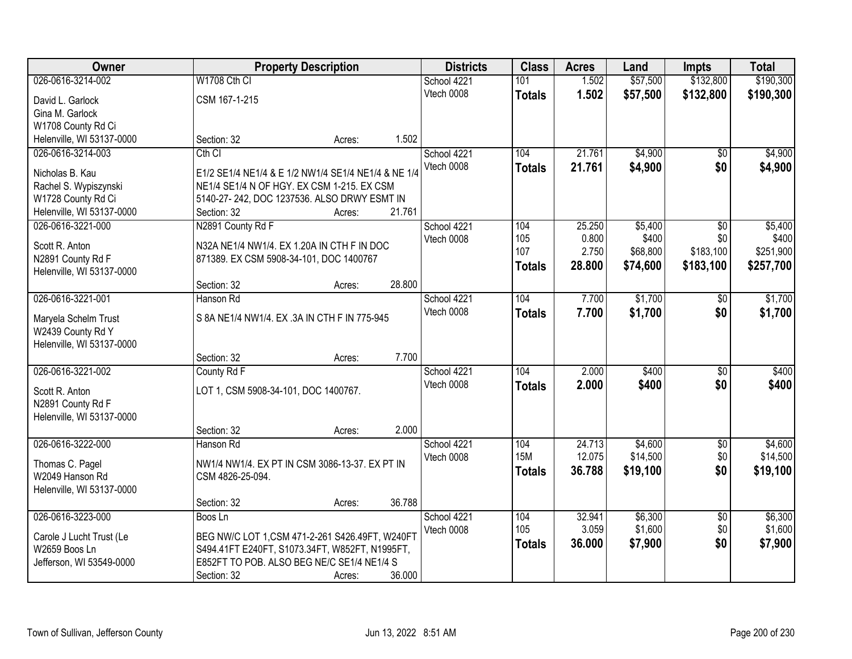| Owner                     |                                         | <b>Property Description</b>                         |        |             | <b>Class</b>  | <b>Acres</b>   | Land     | <b>Impts</b>     | <b>Total</b> |
|---------------------------|-----------------------------------------|-----------------------------------------------------|--------|-------------|---------------|----------------|----------|------------------|--------------|
| 026-0616-3214-002         | W1708 Cth CI                            |                                                     |        | School 4221 | 101           | 1.502          | \$57,500 | \$132,800        | \$190,300    |
| David L. Garlock          | CSM 167-1-215                           |                                                     |        | Vtech 0008  | <b>Totals</b> | 1.502          | \$57,500 | \$132,800        | \$190,300    |
| Gina M. Garlock           |                                         |                                                     |        |             |               |                |          |                  |              |
| W1708 County Rd Ci        |                                         |                                                     |        |             |               |                |          |                  |              |
| Helenville, WI 53137-0000 | Section: 32                             | Acres:                                              | 1.502  |             |               |                |          |                  |              |
| 026-0616-3214-003         | $Cth$ $Cl$                              |                                                     |        | School 4221 | 104           | 21.761         | \$4,900  | $\overline{50}$  | \$4,900      |
|                           |                                         |                                                     |        | Vtech 0008  | <b>Totals</b> | 21.761         | \$4,900  | \$0              | \$4,900      |
| Nicholas B. Kau           |                                         | E1/2 SE1/4 NE1/4 & E 1/2 NW1/4 SE1/4 NE1/4 & NE 1/4 |        |             |               |                |          |                  |              |
| Rachel S. Wypiszynski     |                                         | NE1/4 SE1/4 N OF HGY. EX CSM 1-215. EX CSM          |        |             |               |                |          |                  |              |
| W1728 County Rd Ci        |                                         | 5140-27-242, DOC 1237536. ALSO DRWY ESMT IN         |        |             |               |                |          |                  |              |
| Helenville, WI 53137-0000 | Section: 32                             | Acres:                                              | 21.761 |             |               |                |          |                  |              |
| 026-0616-3221-000         | N2891 County Rd F                       |                                                     |        | School 4221 | 104           | 25.250         | \$5,400  | $\overline{50}$  | \$5,400      |
| Scott R. Anton            |                                         | N32A NE1/4 NW1/4. EX 1.20A IN CTH F IN DOC          |        | Vtech 0008  | 105<br>107    | 0.800<br>2.750 | \$400    | \$0<br>\$183,100 | \$400        |
| N2891 County Rd F         | 871389. EX CSM 5908-34-101, DOC 1400767 |                                                     |        |             |               |                | \$68,800 |                  | \$251,900    |
| Helenville, WI 53137-0000 |                                         |                                                     |        |             | <b>Totals</b> | 28.800         | \$74,600 | \$183,100        | \$257,700    |
|                           | Section: 32                             | Acres:                                              | 28.800 |             |               |                |          |                  |              |
| 026-0616-3221-001         | Hanson Rd                               |                                                     |        | School 4221 | 104           | 7.700          | \$1,700  | \$0              | \$1,700      |
| Maryela Schelm Trust      |                                         | S 8A NE1/4 NW1/4. EX .3A IN CTH F IN 775-945        |        | Vtech 0008  | <b>Totals</b> | 7.700          | \$1,700  | \$0              | \$1,700      |
| W2439 County Rd Y         |                                         |                                                     |        |             |               |                |          |                  |              |
| Helenville, WI 53137-0000 |                                         |                                                     |        |             |               |                |          |                  |              |
|                           | Section: 32                             | Acres:                                              | 7.700  |             |               |                |          |                  |              |
| 026-0616-3221-002         | County Rd F                             |                                                     |        | School 4221 | 104           | 2.000          | \$400    | $\overline{30}$  | \$400        |
|                           |                                         |                                                     |        | Vtech 0008  | <b>Totals</b> | 2.000          | \$400    | \$0              | \$400        |
| Scott R. Anton            | LOT 1, CSM 5908-34-101, DOC 1400767.    |                                                     |        |             |               |                |          |                  |              |
| N2891 County Rd F         |                                         |                                                     |        |             |               |                |          |                  |              |
| Helenville, WI 53137-0000 |                                         |                                                     |        |             |               |                |          |                  |              |
|                           | Section: 32                             | Acres:                                              | 2.000  |             |               |                |          |                  |              |
| 026-0616-3222-000         | Hanson Rd                               |                                                     |        | School 4221 | 104           | 24.713         | \$4,600  | $\sqrt{$0}$      | \$4,600      |
| Thomas C. Pagel           |                                         | NW1/4 NW1/4. EX PT IN CSM 3086-13-37. EX PT IN      |        | Vtech 0008  | <b>15M</b>    | 12.075         | \$14,500 | \$0              | \$14,500     |
| W2049 Hanson Rd           | CSM 4826-25-094.                        |                                                     |        |             | <b>Totals</b> | 36.788         | \$19,100 | \$0              | \$19,100     |
| Helenville, WI 53137-0000 |                                         |                                                     |        |             |               |                |          |                  |              |
|                           | Section: 32                             | Acres:                                              | 36.788 |             |               |                |          |                  |              |
| 026-0616-3223-000         | Boos Ln                                 |                                                     |        | School 4221 | 104           | 32.941         | \$6,300  | $\overline{30}$  | \$6,300      |
|                           |                                         |                                                     |        | Vtech 0008  | 105           | 3.059          | \$1,600  | \$0              | \$1,600      |
| Carole J Lucht Trust (Le  |                                         | BEG NW/C LOT 1, CSM 471-2-261 S426.49FT, W240FT     |        |             | <b>Totals</b> | 36.000         | \$7,900  | \$0              | \$7,900      |
| W2659 Boos Ln             |                                         | S494.41FT E240FT, S1073.34FT, W852FT, N1995FT,      |        |             |               |                |          |                  |              |
| Jefferson, WI 53549-0000  |                                         | E852FT TO POB. ALSO BEG NE/C SE1/4 NE1/4 S          |        |             |               |                |          |                  |              |
|                           | Section: 32                             | Acres:                                              | 36.000 |             |               |                |          |                  |              |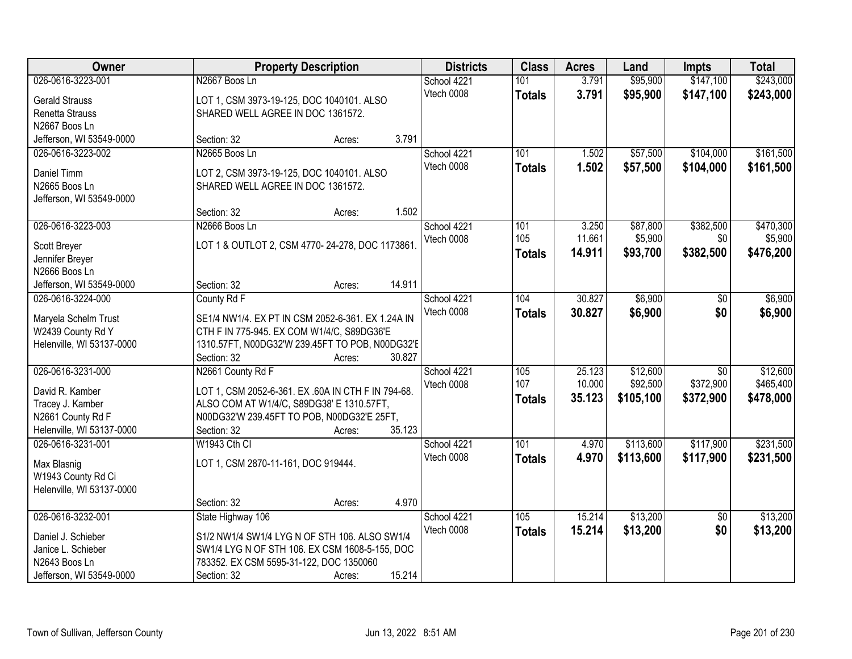| Owner                     |                                         | <b>Property Description</b>                        |        | <b>Districts</b>          | <b>Class</b>  | <b>Acres</b> | Land      | <b>Impts</b>    | <b>Total</b> |
|---------------------------|-----------------------------------------|----------------------------------------------------|--------|---------------------------|---------------|--------------|-----------|-----------------|--------------|
| 026-0616-3223-001         | N2667 Boos Ln                           |                                                    |        | School 4221               | 101           | 3.791        | \$95,900  | \$147,100       | \$243,000    |
| <b>Gerald Strauss</b>     |                                         | LOT 1, CSM 3973-19-125, DOC 1040101. ALSO          |        | Vtech 0008                | <b>Totals</b> | 3.791        | \$95,900  | \$147,100       | \$243,000    |
| Renetta Strauss           | SHARED WELL AGREE IN DOC 1361572.       |                                                    |        |                           |               |              |           |                 |              |
| N2667 Boos Ln             |                                         |                                                    |        |                           |               |              |           |                 |              |
| Jefferson, WI 53549-0000  | Section: 32                             | Acres:                                             | 3.791  |                           |               |              |           |                 |              |
| 026-0616-3223-002         | N2665 Boos Ln                           |                                                    |        | School 4221               | 101           | 1.502        | \$57,500  | \$104,000       | \$161,500    |
| Daniel Timm               |                                         |                                                    |        | Vtech 0008                | <b>Totals</b> | 1.502        | \$57,500  | \$104,000       | \$161,500    |
| N2665 Boos Ln             | SHARED WELL AGREE IN DOC 1361572.       | LOT 2, CSM 3973-19-125, DOC 1040101. ALSO          |        |                           |               |              |           |                 |              |
| Jefferson, WI 53549-0000  |                                         |                                                    |        |                           |               |              |           |                 |              |
|                           | Section: 32                             | Acres:                                             | 1.502  |                           |               |              |           |                 |              |
| 026-0616-3223-003         | N2666 Boos Ln                           |                                                    |        | School 4221               | 101           | 3.250        | \$87,800  | \$382,500       | \$470,300    |
|                           |                                         |                                                    |        | Vtech 0008                | 105           | 11.661       | \$5,900   | \$0             | \$5,900      |
| Scott Breyer              |                                         | LOT 1 & OUTLOT 2, CSM 4770-24-278, DOC 1173861.    |        |                           | <b>Totals</b> | 14.911       | \$93,700  | \$382,500       | \$476,200    |
| Jennifer Breyer           |                                         |                                                    |        |                           |               |              |           |                 |              |
| N2666 Boos Ln             |                                         |                                                    |        |                           |               |              |           |                 |              |
| Jefferson, WI 53549-0000  | Section: 32                             | Acres:                                             | 14.911 |                           |               |              |           |                 |              |
| 026-0616-3224-000         | County Rd F                             |                                                    |        | School 4221               | 104           | 30.827       | \$6,900   | $\sqrt[6]{}$    | \$6,900      |
| Maryela Schelm Trust      |                                         | SE1/4 NW1/4. EX PT IN CSM 2052-6-361. EX 1.24A IN  |        | Vtech 0008                | <b>Totals</b> | 30.827       | \$6,900   | \$0             | \$6,900      |
| W2439 County Rd Y         |                                         | CTH F IN 775-945. EX COM W1/4/C, S89DG36'E         |        |                           |               |              |           |                 |              |
| Helenville, WI 53137-0000 |                                         | 1310.57FT, N00DG32'W 239.45FT TO POB, N00DG32'E    |        |                           |               |              |           |                 |              |
|                           | Section: 32                             | Acres:                                             | 30.827 |                           |               |              |           |                 |              |
| 026-0616-3231-000         | N2661 County Rd F                       |                                                    |        | School 4221               | 105           | 25.123       | \$12,600  | $\overline{50}$ | \$12,600     |
| David R. Kamber           |                                         | LOT 1, CSM 2052-6-361. EX .60A IN CTH F IN 794-68. |        | Vtech 0008                | 107           | 10.000       | \$92,500  | \$372,900       | \$465,400    |
| Tracey J. Kamber          |                                         | ALSO COM AT W1/4/C, S89DG38' E 1310.57FT,          |        |                           | <b>Totals</b> | 35.123       | \$105,100 | \$372,900       | \$478,000    |
| N2661 County Rd F         |                                         | N00DG32'W 239.45FT TO POB, N00DG32'E 25FT,         |        |                           |               |              |           |                 |              |
| Helenville, WI 53137-0000 | Section: 32                             | Acres:                                             | 35.123 |                           |               |              |           |                 |              |
| 026-0616-3231-001         | W1943 Cth CI                            |                                                    |        | School 4221               | 101           | 4.970        | \$113,600 | \$117,900       | \$231,500    |
|                           |                                         |                                                    |        | Vtech 0008                | <b>Totals</b> | 4.970        | \$113,600 | \$117,900       | \$231,500    |
| Max Blasnig               | LOT 1, CSM 2870-11-161, DOC 919444.     |                                                    |        |                           |               |              |           |                 |              |
| W1943 County Rd Ci        |                                         |                                                    |        |                           |               |              |           |                 |              |
| Helenville, WI 53137-0000 |                                         |                                                    | 4.970  |                           |               |              |           |                 |              |
|                           | Section: 32                             | Acres:                                             |        |                           |               |              |           |                 |              |
| 026-0616-3232-001         | State Highway 106                       |                                                    |        | School 4221<br>Vtech 0008 | 105           | 15.214       | \$13,200  | $\overline{50}$ | \$13,200     |
| Daniel J. Schieber        |                                         | S1/2 NW1/4 SW1/4 LYG N OF STH 106. ALSO SW1/4      |        |                           | <b>Totals</b> | 15.214       | \$13,200  | \$0             | \$13,200     |
| Janice L. Schieber        |                                         | SW1/4 LYG N OF STH 106. EX CSM 1608-5-155, DOC     |        |                           |               |              |           |                 |              |
| N2643 Boos Ln             | 783352. EX CSM 5595-31-122, DOC 1350060 |                                                    |        |                           |               |              |           |                 |              |
| Jefferson, WI 53549-0000  | Section: 32                             | Acres:                                             | 15.214 |                           |               |              |           |                 |              |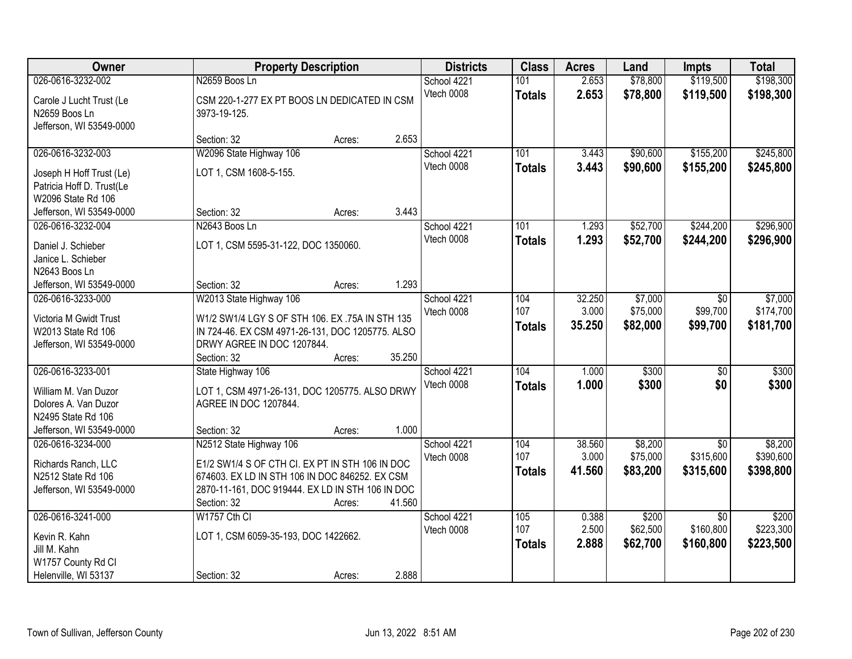| Owner                                                                                                               | <b>Property Description</b>                                                                                                                                                                                         | <b>Districts</b>          | <b>Class</b>                | <b>Acres</b>              | Land                            | <b>Impts</b>                              | <b>Total</b>                      |
|---------------------------------------------------------------------------------------------------------------------|---------------------------------------------------------------------------------------------------------------------------------------------------------------------------------------------------------------------|---------------------------|-----------------------------|---------------------------|---------------------------------|-------------------------------------------|-----------------------------------|
| 026-0616-3232-002                                                                                                   | N2659 Boos Ln                                                                                                                                                                                                       | School 4221               | 101                         | 2.653                     | \$78,800                        | \$119,500                                 | \$198,300                         |
| Carole J Lucht Trust (Le<br>N2659 Boos Ln<br>Jefferson, WI 53549-0000                                               | CSM 220-1-277 EX PT BOOS LN DEDICATED IN CSM<br>3973-19-125.                                                                                                                                                        | Vtech 0008                | <b>Totals</b>               | 2.653                     | \$78,800                        | \$119,500                                 | \$198,300                         |
|                                                                                                                     | 2.653<br>Section: 32<br>Acres:                                                                                                                                                                                      |                           |                             |                           |                                 |                                           |                                   |
| 026-0616-3232-003<br>Joseph H Hoff Trust (Le)<br>Patricia Hoff D. Trust(Le<br>W2096 State Rd 106                    | W2096 State Highway 106<br>LOT 1, CSM 1608-5-155.                                                                                                                                                                   | School 4221<br>Vtech 0008 | 101<br><b>Totals</b>        | 3.443<br>3.443            | \$90,600<br>\$90,600            | \$155,200<br>\$155,200                    | \$245,800<br>\$245,800            |
| Jefferson, WI 53549-0000                                                                                            | 3.443<br>Section: 32<br>Acres:                                                                                                                                                                                      |                           |                             |                           |                                 |                                           |                                   |
| 026-0616-3232-004<br>Daniel J. Schieber<br>Janice L. Schieber<br>N2643 Boos Ln                                      | N2643 Boos Ln<br>LOT 1, CSM 5595-31-122, DOC 1350060.                                                                                                                                                               | School 4221<br>Vtech 0008 | 101<br><b>Totals</b>        | 1.293<br>1.293            | \$52,700<br>\$52,700            | \$244,200<br>\$244,200                    | \$296,900<br>\$296,900            |
| Jefferson, WI 53549-0000                                                                                            | 1.293<br>Section: 32<br>Acres:                                                                                                                                                                                      |                           |                             |                           |                                 |                                           |                                   |
| 026-0616-3233-000<br>Victoria M Gwidt Trust<br>W2013 State Rd 106<br>Jefferson, WI 53549-0000                       | W2013 State Highway 106<br>W1/2 SW1/4 LGY S OF STH 106. EX .75A IN STH 135<br>IN 724-46. EX CSM 4971-26-131, DOC 1205775. ALSO<br>DRWY AGREE IN DOC 1207844.<br>35.250<br>Section: 32<br>Acres:                     | School 4221<br>Vtech 0008 | 104<br>107<br><b>Totals</b> | 32.250<br>3.000<br>35.250 | \$7,000<br>\$75,000<br>\$82,000 | \$0<br>\$99,700<br>\$99,700               | \$7,000<br>\$174,700<br>\$181,700 |
| 026-0616-3233-001<br>William M. Van Duzor<br>Dolores A. Van Duzor<br>N2495 State Rd 106<br>Jefferson, WI 53549-0000 | State Highway 106<br>LOT 1, CSM 4971-26-131, DOC 1205775. ALSO DRWY<br>AGREE IN DOC 1207844.<br>1.000<br>Section: 32<br>Acres:                                                                                      | School 4221<br>Vtech 0008 | 104<br><b>Totals</b>        | 1.000<br>1.000            | \$300<br>\$300                  | $\overline{50}$<br>\$0                    | \$300<br>\$300                    |
| 026-0616-3234-000<br>Richards Ranch, LLC<br>N2512 State Rd 106<br>Jefferson, WI 53549-0000                          | N2512 State Highway 106<br>E1/2 SW1/4 S OF CTH CI. EX PT IN STH 106 IN DOC<br>674603. EX LD IN STH 106 IN DOC 846252. EX CSM<br>2870-11-161, DOC 919444. EX LD IN STH 106 IN DOC<br>41.560<br>Section: 32<br>Acres: | School 4221<br>Vtech 0008 | 104<br>107<br><b>Totals</b> | 38.560<br>3.000<br>41.560 | \$8,200<br>\$75,000<br>\$83,200 | \$0<br>\$315,600<br>\$315,600             | \$8,200<br>\$390,600<br>\$398,800 |
| 026-0616-3241-000<br>Kevin R. Kahn<br>Jill M. Kahn<br>W1757 County Rd Cl<br>Helenville, WI 53137                    | W1757 Cth CI<br>LOT 1, CSM 6059-35-193, DOC 1422662.<br>2.888<br>Section: 32<br>Acres:                                                                                                                              | School 4221<br>Vtech 0008 | 105<br>107<br><b>Totals</b> | 0.388<br>2.500<br>2.888   | \$200<br>\$62,500<br>\$62,700   | $\overline{50}$<br>\$160,800<br>\$160,800 | \$200<br>\$223,300<br>\$223,500   |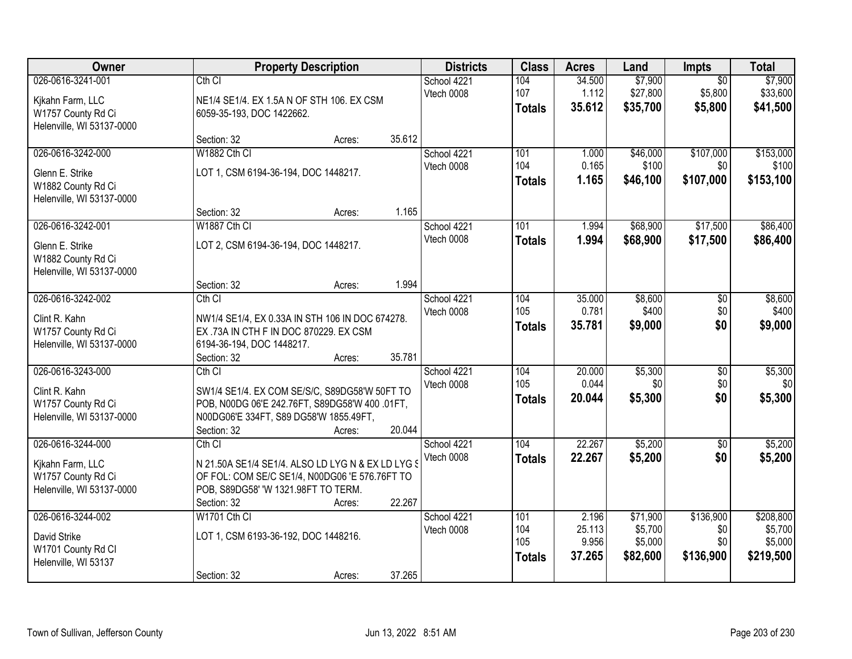| Owner                                                                                    | <b>Property Description</b>                                                                                                                                                                 | <b>Districts</b>          | <b>Class</b>                       | <b>Acres</b>                       | Land                                       | Impts                                 | <b>Total</b>                                 |
|------------------------------------------------------------------------------------------|---------------------------------------------------------------------------------------------------------------------------------------------------------------------------------------------|---------------------------|------------------------------------|------------------------------------|--------------------------------------------|---------------------------------------|----------------------------------------------|
| 026-0616-3241-001<br>Kikahn Farm, LLC<br>W1757 County Rd Ci                              | $Cth$ $Cl$<br>NE1/4 SE1/4. EX 1.5A N OF STH 106. EX CSM<br>6059-35-193, DOC 1422662.                                                                                                        | School 4221<br>Vtech 0008 | 104<br>107<br><b>Totals</b>        | 34.500<br>1.112<br>35.612          | \$7,900<br>\$27,800<br>\$35,700            | $\overline{50}$<br>\$5,800<br>\$5,800 | \$7,900<br>\$33,600<br>\$41,500              |
| Helenville, WI 53137-0000                                                                | 35.612<br>Section: 32<br>Acres:                                                                                                                                                             |                           |                                    |                                    |                                            |                                       |                                              |
| 026-0616-3242-000<br>Glenn E. Strike<br>W1882 County Rd Ci<br>Helenville, WI 53137-0000  | W1882 Cth CI<br>LOT 1, CSM 6194-36-194, DOC 1448217.                                                                                                                                        | School 4221<br>Vtech 0008 | 101<br>104<br><b>Totals</b>        | 1.000<br>0.165<br>1.165            | \$46,000<br>\$100<br>\$46,100              | \$107,000<br>\$0<br>\$107,000         | \$153,000<br>\$100<br>\$153,100              |
| 026-0616-3242-001                                                                        | 1.165<br>Section: 32<br>Acres:<br>W1887 Cth Cl                                                                                                                                              | School 4221<br>Vtech 0008 | 101                                | 1.994                              | \$68,900                                   | \$17,500                              | \$86,400                                     |
| Glenn E. Strike<br>W1882 County Rd Ci<br>Helenville, WI 53137-0000                       | LOT 2, CSM 6194-36-194, DOC 1448217.<br>1.994<br>Section: 32<br>Acres:                                                                                                                      |                           | <b>Totals</b>                      | 1.994                              | \$68,900                                   | \$17,500                              | \$86,400                                     |
| 026-0616-3242-002<br>Clint R. Kahn<br>W1757 County Rd Ci<br>Helenville, WI 53137-0000    | Cth <sub>Cl</sub><br>NW1/4 SE1/4, EX 0.33A IN STH 106 IN DOC 674278.<br>EX .73A IN CTH F IN DOC 870229. EX CSM<br>6194-36-194, DOC 1448217.                                                 | School 4221<br>Vtech 0008 | 104<br>105<br><b>Totals</b>        | 35.000<br>0.781<br>35.781          | \$8,600<br>\$400<br>\$9,000                | \$0<br>\$0<br>\$0                     | \$8,600<br>\$400<br>\$9,000                  |
| 026-0616-3243-000                                                                        | 35.781<br>Section: 32<br>Acres:<br>Cth CI                                                                                                                                                   | School 4221               | 104                                | 20.000                             | \$5,300                                    | $\overline{50}$                       | \$5,300                                      |
| Clint R. Kahn<br>W1757 County Rd Ci<br>Helenville, WI 53137-0000                         | SW1/4 SE1/4. EX COM SE/S/C, S89DG58'W 50FT TO<br>POB, N00DG 06'E 242.76FT, S89DG58'W 400 .01FT,<br>N00DG06'E 334FT, S89 DG58'W 1855.49FT,<br>Section: 32<br>20.044<br>Acres:                | Vtech 0008                | 105<br><b>Totals</b>               | 0.044<br>20.044                    | \$0<br>\$5,300                             | \$0<br>\$0                            | \$0<br>\$5,300                               |
| 026-0616-3244-000<br>Kikahn Farm, LLC<br>W1757 County Rd Ci<br>Helenville, WI 53137-0000 | $Cth$ $Cl$<br>N 21.50A SE1/4 SE1/4. ALSO LD LYG N & EX LD LYG §<br>OF FOL: COM SE/C SE1/4, N00DG06 'E 576.76FT TO<br>POB, S89DG58' 'W 1321.98FT TO TERM.<br>22.267<br>Section: 32<br>Acres: | School 4221<br>Vtech 0008 | 104<br><b>Totals</b>               | 22.267<br>22.267                   | \$5,200<br>\$5,200                         | $\overline{50}$<br>\$0                | \$5,200<br>\$5,200                           |
| 026-0616-3244-002<br>David Strike<br>W1701 County Rd Cl<br>Helenville, WI 53137          | W1701 Cth CI<br>LOT 1, CSM 6193-36-192, DOC 1448216.<br>37.265<br>Section: 32<br>Acres:                                                                                                     | School 4221<br>Vtech 0008 | 101<br>104<br>105<br><b>Totals</b> | 2.196<br>25.113<br>9.956<br>37.265 | \$71,900<br>\$5,700<br>\$5,000<br>\$82,600 | \$136,900<br>\$0<br>\$0<br>\$136,900  | \$208,800<br>\$5,700<br>\$5,000<br>\$219,500 |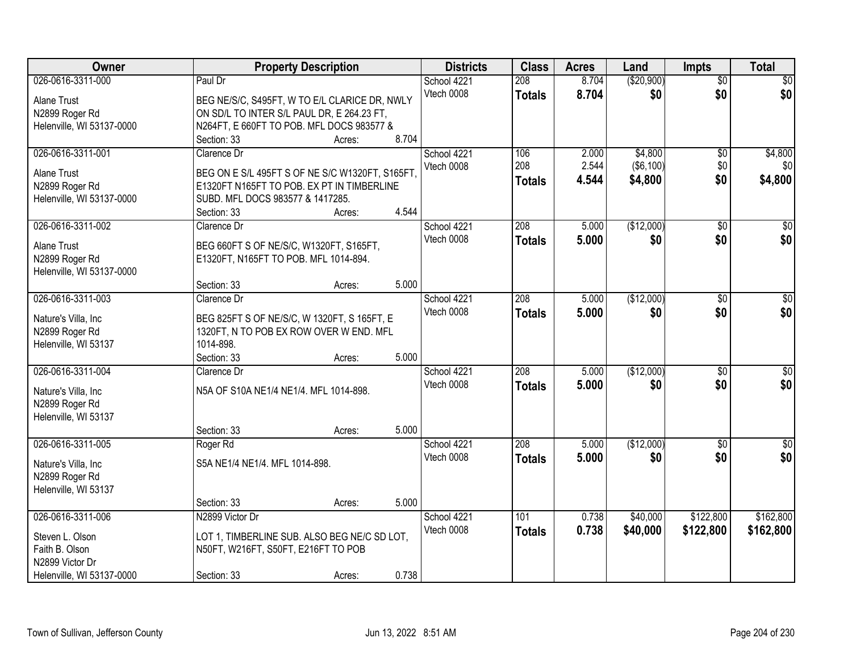| Owner                                 |                                                                                        | <b>Property Description</b> |       | <b>Districts</b> | <b>Class</b>  | <b>Acres</b> | Land       | <b>Impts</b>    | <b>Total</b>     |
|---------------------------------------|----------------------------------------------------------------------------------------|-----------------------------|-------|------------------|---------------|--------------|------------|-----------------|------------------|
| 026-0616-3311-000                     | Paul Dr                                                                                |                             |       | School 4221      | 208           | 8.704        | (\$20,900) | $\overline{50}$ | \$0              |
| Alane Trust                           | BEG NE/S/C, S495FT, W TO E/L CLARICE DR, NWLY                                          |                             |       | Vtech 0008       | <b>Totals</b> | 8.704        | \$0        | \$0             | \$0              |
| N2899 Roger Rd                        | ON SD/L TO INTER S/L PAUL DR, E 264.23 FT,                                             |                             |       |                  |               |              |            |                 |                  |
| Helenville, WI 53137-0000             | N264FT, E 660FT TO POB. MFL DOCS 983577 &                                              |                             |       |                  |               |              |            |                 |                  |
|                                       | Section: 33                                                                            | Acres:                      | 8.704 |                  |               |              |            |                 |                  |
| 026-0616-3311-001                     | Clarence Dr                                                                            |                             |       | School 4221      | 106           | 2.000        | \$4,800    | \$0             | \$4,800          |
|                                       |                                                                                        |                             |       | Vtech 0008       | 208           | 2.544        | ( \$6,100) | \$0             | \$0              |
| <b>Alane Trust</b>                    | BEG ON E S/L 495FT S OF NE S/C W1320FT, S165FT.                                        |                             |       |                  | <b>Totals</b> | 4.544        | \$4,800    | \$0             | \$4,800          |
| N2899 Roger Rd                        | E1320FT N165FT TO POB. EX PT IN TIMBERLINE                                             |                             |       |                  |               |              |            |                 |                  |
| Helenville, WI 53137-0000             | SUBD. MFL DOCS 983577 & 1417285.                                                       |                             |       |                  |               |              |            |                 |                  |
|                                       | Section: 33                                                                            | Acres:                      | 4.544 |                  |               |              |            |                 |                  |
| 026-0616-3311-002                     | Clarence Dr                                                                            |                             |       | School 4221      | 208           | 5.000        | (\$12,000) | \$0             | $\overline{\$0}$ |
| <b>Alane Trust</b>                    | BEG 660FT S OF NE/S/C, W1320FT, S165FT,                                                |                             |       | Vtech 0008       | <b>Totals</b> | 5.000        | \$0        | \$0             | \$0              |
| N2899 Roger Rd                        | E1320FT, N165FT TO POB. MFL 1014-894.                                                  |                             |       |                  |               |              |            |                 |                  |
| Helenville, WI 53137-0000             |                                                                                        |                             |       |                  |               |              |            |                 |                  |
|                                       | Section: 33                                                                            | Acres:                      | 5.000 |                  |               |              |            |                 |                  |
| 026-0616-3311-003                     | Clarence Dr                                                                            |                             |       | School 4221      | 208           | 5.000        | (\$12,000) | $\sqrt[6]{3}$   | $\sqrt{50}$      |
|                                       |                                                                                        |                             |       | Vtech 0008       | <b>Totals</b> | 5.000        | \$0        | \$0             | \$0              |
| Nature's Villa, Inc<br>N2899 Roger Rd | BEG 825FT S OF NE/S/C, W 1320FT, S 165FT, E<br>1320FT, N TO POB EX ROW OVER W END. MFL |                             |       |                  |               |              |            |                 |                  |
| Helenville, WI 53137                  | 1014-898.                                                                              |                             |       |                  |               |              |            |                 |                  |
|                                       | Section: 33                                                                            | Acres:                      | 5.000 |                  |               |              |            |                 |                  |
| 026-0616-3311-004                     | Clarence Dr                                                                            |                             |       | School 4221      | 208           | 5.000        | (\$12,000) | $\overline{50}$ | $\overline{50}$  |
|                                       |                                                                                        |                             |       | Vtech 0008       |               | 5.000        | \$0        | \$0             | \$0              |
| Nature's Villa, Inc.                  | N5A OF S10A NE1/4 NE1/4. MFL 1014-898.                                                 |                             |       |                  | <b>Totals</b> |              |            |                 |                  |
| N2899 Roger Rd                        |                                                                                        |                             |       |                  |               |              |            |                 |                  |
| Helenville, WI 53137                  |                                                                                        |                             |       |                  |               |              |            |                 |                  |
|                                       | Section: 33                                                                            | Acres:                      | 5.000 |                  |               |              |            |                 |                  |
| 026-0616-3311-005                     | Roger Rd                                                                               |                             |       | School 4221      | 208           | 5.000        | (\$12,000) | \$0             | \$0              |
| Nature's Villa, Inc                   | S5A NE1/4 NE1/4, MFL 1014-898.                                                         |                             |       | Vtech 0008       | <b>Totals</b> | 5.000        | \$0        | \$0             | \$0              |
| N2899 Roger Rd                        |                                                                                        |                             |       |                  |               |              |            |                 |                  |
| Helenville, WI 53137                  |                                                                                        |                             |       |                  |               |              |            |                 |                  |
|                                       | Section: 33                                                                            | Acres:                      | 5.000 |                  |               |              |            |                 |                  |
| 026-0616-3311-006                     | N2899 Victor Dr                                                                        |                             |       | School 4221      | 101           | 0.738        | \$40,000   | \$122,800       | \$162,800        |
|                                       |                                                                                        |                             |       | Vtech 0008       | <b>Totals</b> | 0.738        | \$40,000   | \$122,800       | \$162,800        |
| Steven L. Olson                       | LOT 1, TIMBERLINE SUB. ALSO BEG NE/C SD LOT,                                           |                             |       |                  |               |              |            |                 |                  |
| Faith B. Olson                        | N50FT, W216FT, S50FT, E216FT TO POB                                                    |                             |       |                  |               |              |            |                 |                  |
| N2899 Victor Dr                       |                                                                                        |                             |       |                  |               |              |            |                 |                  |
| Helenville, WI 53137-0000             | Section: 33                                                                            | Acres:                      | 0.738 |                  |               |              |            |                 |                  |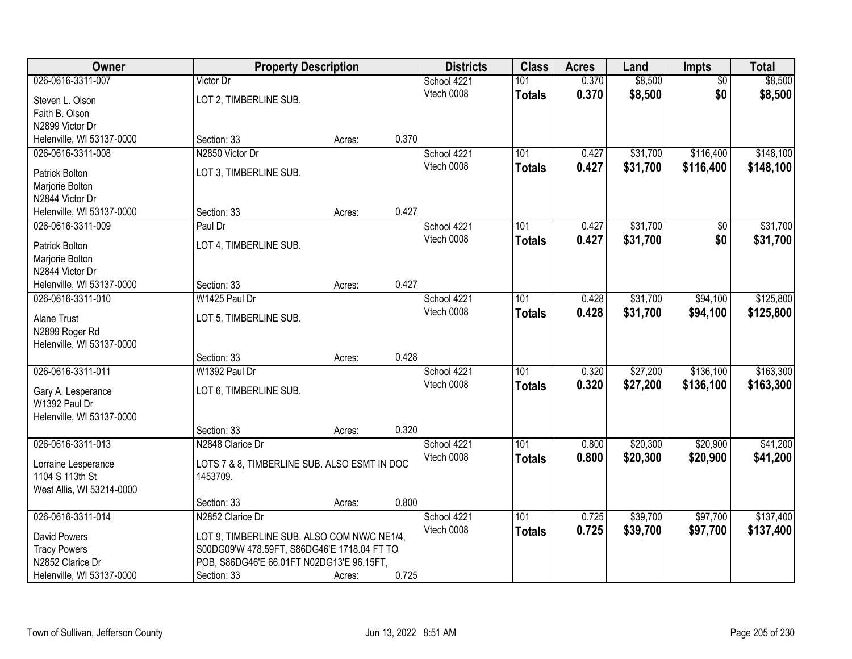| Owner                         | <b>Property Description</b>                  |        |       | <b>Districts</b> | <b>Class</b>  | <b>Acres</b> | Land     | <b>Impts</b>    | <b>Total</b> |
|-------------------------------|----------------------------------------------|--------|-------|------------------|---------------|--------------|----------|-----------------|--------------|
| 026-0616-3311-007             | Victor Dr                                    |        |       | School 4221      | 101           | 0.370        | \$8,500  | $\overline{50}$ | \$8,500      |
| Steven L. Olson               | LOT 2, TIMBERLINE SUB.                       |        |       | Vtech 0008       | <b>Totals</b> | 0.370        | \$8,500  | \$0             | \$8,500      |
| Faith B. Olson                |                                              |        |       |                  |               |              |          |                 |              |
| N2899 Victor Dr               |                                              |        |       |                  |               |              |          |                 |              |
| Helenville, WI 53137-0000     | Section: 33                                  | Acres: | 0.370 |                  |               |              |          |                 |              |
| 026-0616-3311-008             | N2850 Victor Dr                              |        |       | School 4221      | 101           | 0.427        | \$31,700 | \$116,400       | \$148,100    |
|                               |                                              |        |       | Vtech 0008       | <b>Totals</b> | 0.427        | \$31,700 | \$116,400       | \$148,100    |
| Patrick Bolton                | LOT 3, TIMBERLINE SUB.                       |        |       |                  |               |              |          |                 |              |
| Marjorie Bolton               |                                              |        |       |                  |               |              |          |                 |              |
| N2844 Victor Dr               |                                              |        | 0.427 |                  |               |              |          |                 |              |
| Helenville, WI 53137-0000     | Section: 33                                  | Acres: |       |                  |               |              |          |                 |              |
| 026-0616-3311-009             | Paul Dr                                      |        |       | School 4221      | 101           | 0.427        | \$31,700 | \$0             | \$31,700     |
| Patrick Bolton                | LOT 4, TIMBERLINE SUB.                       |        |       | Vtech 0008       | <b>Totals</b> | 0.427        | \$31,700 | \$0             | \$31,700     |
| Marjorie Bolton               |                                              |        |       |                  |               |              |          |                 |              |
| N2844 Victor Dr               |                                              |        |       |                  |               |              |          |                 |              |
| Helenville, WI 53137-0000     | Section: 33                                  | Acres: | 0.427 |                  |               |              |          |                 |              |
| 026-0616-3311-010             | W1425 Paul Dr                                |        |       | School 4221      | 101           | 0.428        | \$31,700 | \$94,100        | \$125,800    |
|                               |                                              |        |       | Vtech 0008       | <b>Totals</b> | 0.428        | \$31,700 | \$94,100        | \$125,800    |
| Alane Trust<br>N2899 Roger Rd | LOT 5, TIMBERLINE SUB.                       |        |       |                  |               |              |          |                 |              |
| Helenville, WI 53137-0000     |                                              |        |       |                  |               |              |          |                 |              |
|                               | Section: 33                                  | Acres: | 0.428 |                  |               |              |          |                 |              |
| 026-0616-3311-011             | W1392 Paul Dr                                |        |       | School 4221      | 101           | 0.320        | \$27,200 | \$136,100       | \$163,300    |
|                               |                                              |        |       | Vtech 0008       |               | 0.320        |          |                 |              |
| Gary A. Lesperance            | LOT 6, TIMBERLINE SUB.                       |        |       |                  | <b>Totals</b> |              | \$27,200 | \$136,100       | \$163,300    |
| W1392 Paul Dr                 |                                              |        |       |                  |               |              |          |                 |              |
| Helenville, WI 53137-0000     |                                              |        |       |                  |               |              |          |                 |              |
|                               | Section: 33                                  | Acres: | 0.320 |                  |               |              |          |                 |              |
| 026-0616-3311-013             | N2848 Clarice Dr                             |        |       | School 4221      | 101           | 0.800        | \$20,300 | \$20,900        | \$41,200     |
| Lorraine Lesperance           | LOTS 7 & 8, TIMBERLINE SUB. ALSO ESMT IN DOC |        |       | Vtech 0008       | <b>Totals</b> | 0.800        | \$20,300 | \$20,900        | \$41,200     |
| 1104 S 113th St               | 1453709.                                     |        |       |                  |               |              |          |                 |              |
| West Allis, WI 53214-0000     |                                              |        |       |                  |               |              |          |                 |              |
|                               | Section: 33                                  | Acres: | 0.800 |                  |               |              |          |                 |              |
| 026-0616-3311-014             | N2852 Clarice Dr                             |        |       | School 4221      | 101           | 0.725        | \$39,700 | \$97,700        | \$137,400    |
|                               |                                              |        |       | Vtech 0008       | <b>Totals</b> | 0.725        | \$39,700 | \$97,700        | \$137,400    |
| David Powers                  | LOT 9, TIMBERLINE SUB. ALSO COM NW/C NE1/4,  |        |       |                  |               |              |          |                 |              |
| <b>Tracy Powers</b>           | S00DG09'W 478.59FT, S86DG46'E 1718.04 FT TO  |        |       |                  |               |              |          |                 |              |
| N2852 Clarice Dr              | POB, S86DG46'E 66.01FT N02DG13'E 96.15FT,    |        |       |                  |               |              |          |                 |              |
| Helenville, WI 53137-0000     | Section: 33                                  | Acres: | 0.725 |                  |               |              |          |                 |              |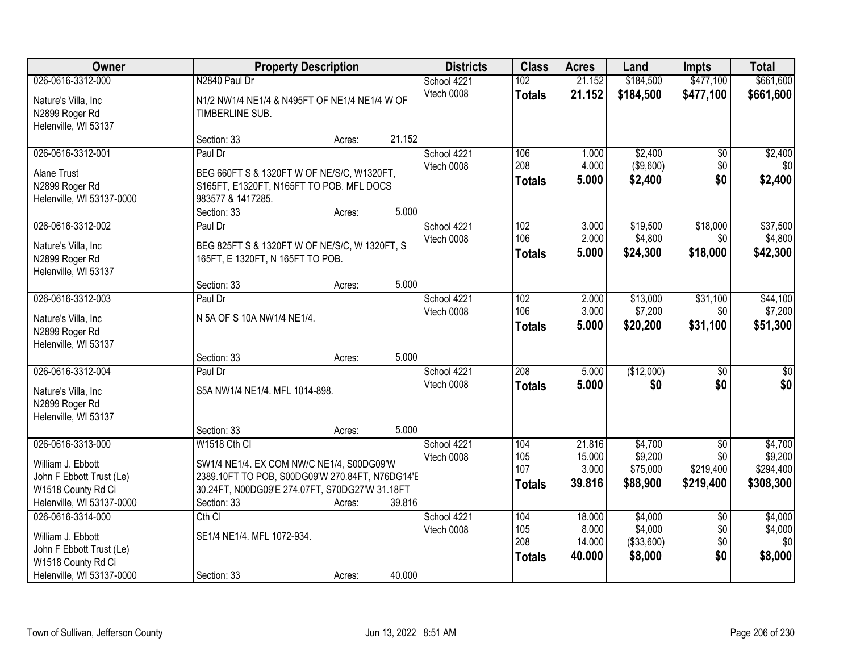| Owner                     | <b>Property Description</b>                     |        |        | <b>Districts</b>          | <b>Class</b>  | <b>Acres</b> | Land        | <b>Impts</b>    | <b>Total</b>    |
|---------------------------|-------------------------------------------------|--------|--------|---------------------------|---------------|--------------|-------------|-----------------|-----------------|
| 026-0616-3312-000         | N2840 Paul Dr                                   |        |        | School 4221               | 102           | 21.152       | \$184,500   | \$477,100       | \$661,600       |
| Nature's Villa, Inc       | N1/2 NW1/4 NE1/4 & N495FT OF NE1/4 NE1/4 W OF   |        |        | Vtech 0008                | <b>Totals</b> | 21.152       | \$184,500   | \$477,100       | \$661,600       |
| N2899 Roger Rd            | TIMBERLINE SUB.                                 |        |        |                           |               |              |             |                 |                 |
| Helenville, WI 53137      |                                                 |        |        |                           |               |              |             |                 |                 |
|                           | Section: 33                                     | Acres: | 21.152 |                           |               |              |             |                 |                 |
| 026-0616-3312-001         | Paul Dr                                         |        |        | School 4221               | 106           | 1.000        | \$2,400     | $\overline{50}$ | \$2,400         |
| <b>Alane Trust</b>        | BEG 660FT S & 1320FT W OF NE/S/C, W1320FT,      |        |        | Vtech 0008                | 208           | 4.000        | ( \$9,600)  | \$0             | \$0             |
| N2899 Roger Rd            | S165FT, E1320FT, N165FT TO POB. MFL DOCS        |        |        |                           | <b>Totals</b> | 5.000        | \$2,400     | \$0             | \$2,400         |
| Helenville, WI 53137-0000 | 983577 & 1417285.                               |        |        |                           |               |              |             |                 |                 |
|                           | Section: 33                                     | Acres: | 5.000  |                           |               |              |             |                 |                 |
| 026-0616-3312-002         | Paul Dr                                         |        |        | School 4221               | 102           | 3.000        | \$19,500    | \$18,000        | \$37,500        |
|                           |                                                 |        |        | Vtech 0008                | 106           | 2.000        | \$4,800     | \$0             | \$4,800         |
| Nature's Villa, Inc       | BEG 825FT S & 1320FT W OF NE/S/C, W 1320FT, S   |        |        |                           | <b>Totals</b> | 5.000        | \$24,300    | \$18,000        | \$42,300        |
| N2899 Roger Rd            | 165FT, E 1320FT, N 165FT TO POB.                |        |        |                           |               |              |             |                 |                 |
| Helenville, WI 53137      | Section: 33                                     | Acres: | 5.000  |                           |               |              |             |                 |                 |
| 026-0616-3312-003         | Paul Dr                                         |        |        | School 4221               | 102           | 2.000        | \$13,000    | \$31,100        | \$44,100        |
|                           |                                                 |        |        | Vtech 0008                | 106           | 3.000        | \$7,200     | \$0             | \$7,200         |
| Nature's Villa, Inc       | N 5A OF S 10A NW1/4 NE1/4.                      |        |        |                           | <b>Totals</b> | 5.000        | \$20,200    | \$31,100        | \$51,300        |
| N2899 Roger Rd            |                                                 |        |        |                           |               |              |             |                 |                 |
| Helenville, WI 53137      |                                                 |        |        |                           |               |              |             |                 |                 |
|                           | Section: 33                                     | Acres: | 5.000  |                           |               |              |             |                 |                 |
| 026-0616-3312-004         | Paul Dr                                         |        |        | School 4221<br>Vtech 0008 | 208           | 5.000        | (\$12,000)  | $\overline{50}$ | $\overline{50}$ |
| Nature's Villa, Inc       | S5A NW1/4 NE1/4. MFL 1014-898.                  |        |        |                           | <b>Totals</b> | 5.000        | \$0         | \$0             | \$0             |
| N2899 Roger Rd            |                                                 |        |        |                           |               |              |             |                 |                 |
| Helenville, WI 53137      |                                                 |        |        |                           |               |              |             |                 |                 |
|                           | Section: 33                                     | Acres: | 5.000  |                           |               |              |             |                 |                 |
| 026-0616-3313-000         | W1518 Cth CI                                    |        |        | School 4221               | 104           | 21.816       | \$4,700     | $\overline{50}$ | \$4,700         |
| William J. Ebbott         | SW1/4 NE1/4. EX COM NW/C NE1/4, S00DG09'W       |        |        | Vtech 0008                | 105           | 15.000       | \$9,200     | \$0             | \$9,200         |
| John F Ebbott Trust (Le)  | 2389.10FT TO POB, S00DG09'W 270.84FT, N76DG14'E |        |        |                           | 107           | 3.000        | \$75,000    | \$219,400       | \$294,400       |
| W1518 County Rd Ci        | 30.24FT, N00DG09'E 274.07FT, S70DG27'W 31.18FT  |        |        |                           | <b>Totals</b> | 39.816       | \$88,900    | \$219,400       | \$308,300       |
| Helenville, WI 53137-0000 | Section: 33                                     | Acres: | 39.816 |                           |               |              |             |                 |                 |
| 026-0616-3314-000         | $Cth$ $Cl$                                      |        |        | School 4221               | 104           | 18.000       | \$4,000     | $\overline{50}$ | \$4,000         |
| William J. Ebbott         | SE1/4 NE1/4. MFL 1072-934.                      |        |        | Vtech 0008                | 105           | 8.000        | \$4,000     | \$0             | \$4,000         |
| John F Ebbott Trust (Le)  |                                                 |        |        |                           | 208           | 14.000       | ( \$33,600) | \$0             | \$0             |
| W1518 County Rd Ci        |                                                 |        |        |                           | <b>Totals</b> | 40.000       | \$8,000     | \$0             | \$8,000         |
| Helenville, WI 53137-0000 | Section: 33                                     | Acres: | 40.000 |                           |               |              |             |                 |                 |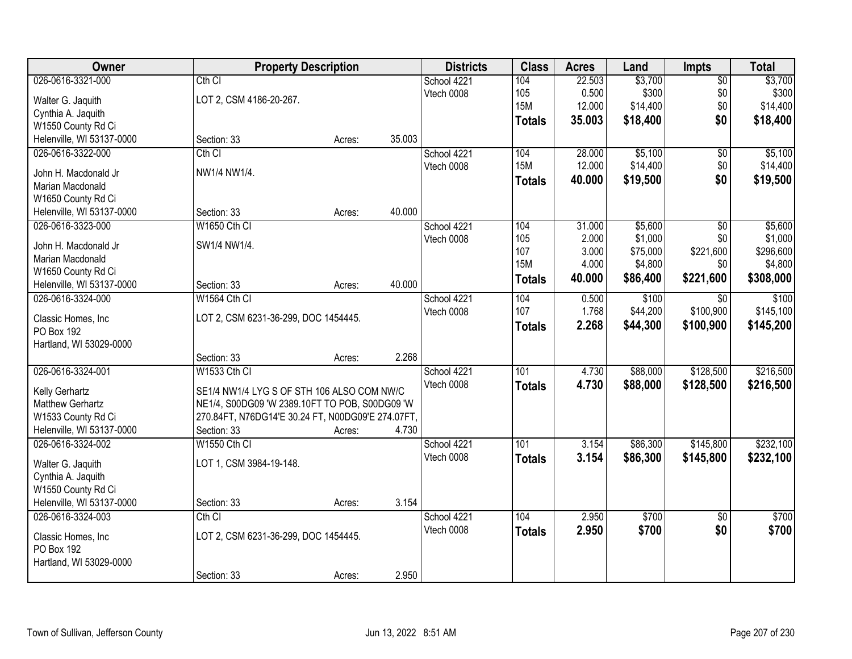| Owner                     | <b>Property Description</b>                       |        |        | <b>Districts</b>          | <b>Class</b>  | <b>Acres</b> | Land     | Impts           | <b>Total</b> |
|---------------------------|---------------------------------------------------|--------|--------|---------------------------|---------------|--------------|----------|-----------------|--------------|
| 026-0616-3321-000         | Cth CI                                            |        |        | School 4221               | 104           | 22.503       | \$3,700  | $\overline{50}$ | \$3,700      |
| Walter G. Jaquith         | LOT 2, CSM 4186-20-267.                           |        |        | Vtech 0008                | 105           | 0.500        | \$300    | \$0             | \$300        |
| Cynthia A. Jaquith        |                                                   |        |        |                           | <b>15M</b>    | 12.000       | \$14,400 | \$0             | \$14,400     |
| W1550 County Rd Ci        |                                                   |        |        |                           | <b>Totals</b> | 35.003       | \$18,400 | \$0             | \$18,400     |
| Helenville, WI 53137-0000 | Section: 33                                       | Acres: | 35.003 |                           |               |              |          |                 |              |
| 026-0616-3322-000         | Cth CI                                            |        |        | School 4221               | 104           | 28.000       | \$5,100  | $\overline{50}$ | \$5,100      |
| John H. Macdonald Jr      | NW1/4 NW1/4.                                      |        |        | Vtech 0008                | <b>15M</b>    | 12.000       | \$14,400 | \$0             | \$14,400     |
| <b>Marian Macdonald</b>   |                                                   |        |        |                           | <b>Totals</b> | 40.000       | \$19,500 | \$0             | \$19,500     |
| W1650 County Rd Ci        |                                                   |        |        |                           |               |              |          |                 |              |
| Helenville, WI 53137-0000 | Section: 33                                       | Acres: | 40.000 |                           |               |              |          |                 |              |
| 026-0616-3323-000         | W1650 Cth CI                                      |        |        | School 4221               | 104           | 31.000       | \$5,600  | $\overline{50}$ | \$5,600      |
|                           |                                                   |        |        | Vtech 0008                | 105           | 2.000        | \$1,000  | \$0             | \$1,000      |
| John H. Macdonald Jr      | SW1/4 NW1/4.                                      |        |        |                           | 107           | 3.000        | \$75,000 | \$221,600       | \$296,600    |
| Marian Macdonald          |                                                   |        |        |                           | <b>15M</b>    | 4.000        | \$4,800  | \$0             | \$4,800      |
| W1650 County Rd Ci        |                                                   |        |        |                           | <b>Totals</b> | 40.000       | \$86,400 | \$221,600       | \$308,000    |
| Helenville, WI 53137-0000 | Section: 33                                       | Acres: | 40.000 |                           |               |              |          |                 |              |
| 026-0616-3324-000         | W1564 Cth Cl                                      |        |        | School 4221               | 104           | 0.500        | \$100    | \$0             | \$100        |
| Classic Homes, Inc        | LOT 2, CSM 6231-36-299, DOC 1454445.              |        |        | Vtech 0008                | 107           | 1.768        | \$44,200 | \$100,900       | \$145,100    |
| PO Box 192                |                                                   |        |        |                           | <b>Totals</b> | 2.268        | \$44,300 | \$100,900       | \$145,200    |
| Hartland, WI 53029-0000   |                                                   |        |        |                           |               |              |          |                 |              |
|                           | Section: 33                                       | Acres: | 2.268  |                           |               |              |          |                 |              |
| 026-0616-3324-001         | W1533 Cth CI                                      |        |        | School 4221               | 101           | 4.730        | \$88,000 | \$128,500       | \$216,500    |
|                           |                                                   |        |        | Vtech 0008                | <b>Totals</b> | 4.730        | \$88,000 | \$128,500       | \$216,500    |
| Kelly Gerhartz            | SE1/4 NW1/4 LYG S OF STH 106 ALSO COM NW/C        |        |        |                           |               |              |          |                 |              |
| <b>Matthew Gerhartz</b>   | NE1/4, S00DG09 'W 2389.10FT TO POB, S00DG09 'W    |        |        |                           |               |              |          |                 |              |
| W1533 County Rd Ci        | 270.84FT, N76DG14'E 30.24 FT, N00DG09'E 274.07FT, |        | 4.730  |                           |               |              |          |                 |              |
| Helenville, WI 53137-0000 | Section: 33                                       | Acres: |        |                           | 101           |              |          |                 |              |
| 026-0616-3324-002         | <b>W1550 Cth CI</b>                               |        |        | School 4221<br>Vtech 0008 |               | 3.154        | \$86,300 | \$145,800       | \$232,100    |
| Walter G. Jaquith         | LOT 1, CSM 3984-19-148.                           |        |        |                           | <b>Totals</b> | 3.154        | \$86,300 | \$145,800       | \$232,100    |
| Cynthia A. Jaquith        |                                                   |        |        |                           |               |              |          |                 |              |
| W1550 County Rd Ci        |                                                   |        |        |                           |               |              |          |                 |              |
| Helenville, WI 53137-0000 | Section: 33                                       | Acres: | 3.154  |                           |               |              |          |                 |              |
| 026-0616-3324-003         | Cth CI                                            |        |        | School 4221               | 104           | 2.950        | \$700    | $\overline{50}$ | \$700        |
| Classic Homes, Inc        | LOT 2, CSM 6231-36-299, DOC 1454445.              |        |        | Vtech 0008                | <b>Totals</b> | 2.950        | \$700    | \$0             | \$700        |
| PO Box 192                |                                                   |        |        |                           |               |              |          |                 |              |
| Hartland, WI 53029-0000   |                                                   |        |        |                           |               |              |          |                 |              |
|                           | Section: 33                                       | Acres: | 2.950  |                           |               |              |          |                 |              |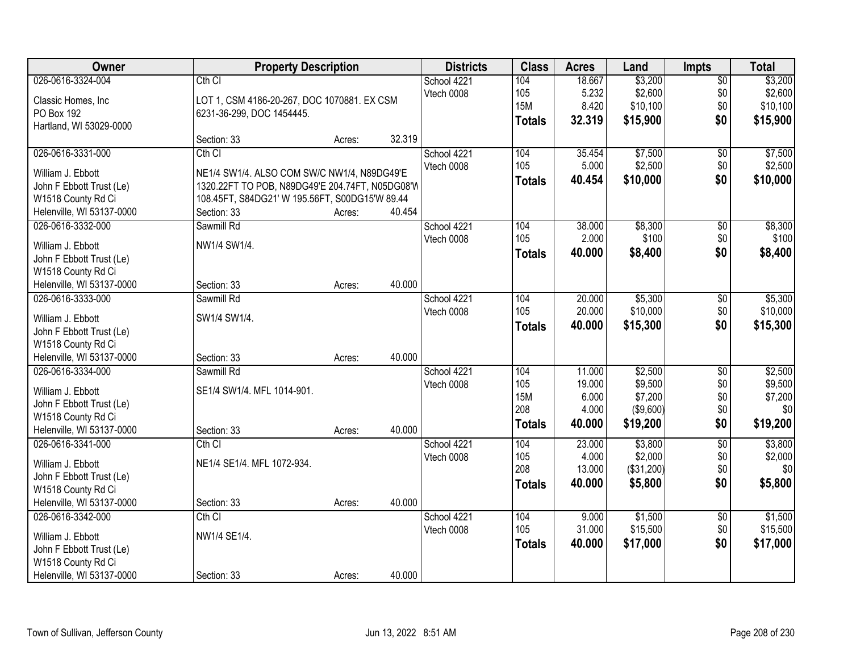| Owner                     |                                                 | <b>Property Description</b> |        | <b>Districts</b> | <b>Class</b>  | <b>Acres</b> | Land       | <b>Impts</b>    | <b>Total</b> |
|---------------------------|-------------------------------------------------|-----------------------------|--------|------------------|---------------|--------------|------------|-----------------|--------------|
| 026-0616-3324-004         | Cth <sub>Cl</sub>                               |                             |        | School 4221      | 104           | 18.667       | \$3,200    | $\overline{50}$ | \$3,200      |
| Classic Homes, Inc.       | LOT 1, CSM 4186-20-267, DOC 1070881. EX CSM     |                             |        | Vtech 0008       | 105           | 5.232        | \$2,600    | \$0             | \$2,600      |
| PO Box 192                | 6231-36-299, DOC 1454445.                       |                             |        |                  | 15M           | 8.420        | \$10,100   | \$0             | \$10,100     |
| Hartland, WI 53029-0000   |                                                 |                             |        |                  | <b>Totals</b> | 32.319       | \$15,900   | \$0             | \$15,900     |
|                           | Section: 33                                     | Acres:                      | 32.319 |                  |               |              |            |                 |              |
| 026-0616-3331-000         | $Cth$ $Cl$                                      |                             |        | School 4221      | 104           | 35.454       | \$7,500    | \$0             | \$7,500      |
| William J. Ebbott         | NE1/4 SW1/4. ALSO COM SW/C NW1/4, N89DG49'E     |                             |        | Vtech 0008       | 105           | 5.000        | \$2,500    | \$0             | \$2,500      |
| John F Ebbott Trust (Le)  | 1320.22FT TO POB, N89DG49'E 204.74FT, N05DG08'W |                             |        |                  | Totals        | 40.454       | \$10,000   | \$0             | \$10,000     |
| W1518 County Rd Ci        | 108.45FT, S84DG21' W 195.56FT, S00DG15'W 89.44  |                             |        |                  |               |              |            |                 |              |
| Helenville, WI 53137-0000 | Section: 33                                     | Acres:                      | 40.454 |                  |               |              |            |                 |              |
| 026-0616-3332-000         | Sawmill Rd                                      |                             |        | School 4221      | 104           | 38.000       | \$8,300    | $\overline{50}$ | \$8,300      |
|                           |                                                 |                             |        | Vtech 0008       | 105           | 2.000        | \$100      | \$0             | \$100        |
| William J. Ebbott         | NW1/4 SW1/4.                                    |                             |        |                  | <b>Totals</b> | 40.000       | \$8,400    | \$0             | \$8,400      |
| John F Ebbott Trust (Le)  |                                                 |                             |        |                  |               |              |            |                 |              |
| W1518 County Rd Ci        |                                                 |                             |        |                  |               |              |            |                 |              |
| Helenville, WI 53137-0000 | Section: 33                                     | Acres:                      | 40.000 |                  |               |              |            |                 |              |
| 026-0616-3333-000         | Sawmill Rd                                      |                             |        | School 4221      | 104           | 20.000       | \$5,300    | \$0             | \$5,300      |
| William J. Ebbott         | SW1/4 SW1/4.                                    |                             |        | Vtech 0008       | 105           | 20.000       | \$10,000   | \$0             | \$10,000     |
| John F Ebbott Trust (Le)  |                                                 |                             |        |                  | <b>Totals</b> | 40.000       | \$15,300   | \$0             | \$15,300     |
| W1518 County Rd Ci        |                                                 |                             |        |                  |               |              |            |                 |              |
| Helenville, WI 53137-0000 | Section: 33                                     | Acres:                      | 40.000 |                  |               |              |            |                 |              |
| 026-0616-3334-000         | Sawmill Rd                                      |                             |        | School 4221      | 104           | 11.000       | \$2,500    | $\overline{30}$ | \$2,500      |
| William J. Ebbott         | SE1/4 SW1/4. MFL 1014-901.                      |                             |        | Vtech 0008       | 105           | 19.000       | \$9,500    | \$0             | \$9,500      |
| John F Ebbott Trust (Le)  |                                                 |                             |        |                  | <b>15M</b>    | 6.000        | \$7,200    | \$0             | \$7,200      |
| W1518 County Rd Ci        |                                                 |                             |        |                  | 208           | 4.000        | (\$9,600)  | \$0             | \$0          |
| Helenville, WI 53137-0000 | Section: 33                                     | Acres:                      | 40.000 |                  | <b>Totals</b> | 40.000       | \$19,200   | \$0             | \$19,200     |
| 026-0616-3341-000         | $Cth$ $Cl$                                      |                             |        | School 4221      | 104           | 23.000       | \$3,800    | $\overline{60}$ | \$3,800      |
| William J. Ebbott         | NE1/4 SE1/4. MFL 1072-934.                      |                             |        | Vtech 0008       | 105           | 4.000        | \$2,000    | \$0             | \$2,000      |
| John F Ebbott Trust (Le)  |                                                 |                             |        |                  | 208           | 13.000       | (\$31,200) | \$0             | \$0          |
| W1518 County Rd Ci        |                                                 |                             |        |                  | Totals        | 40.000       | \$5,800    | \$0             | \$5,800      |
| Helenville, WI 53137-0000 | Section: 33                                     | Acres:                      | 40.000 |                  |               |              |            |                 |              |
| 026-0616-3342-000         | Cth CI                                          |                             |        | School 4221      | 104           | 9.000        | \$1,500    | $\overline{30}$ | \$1,500      |
|                           |                                                 |                             |        | Vtech 0008       | 105           | 31.000       | \$15,500   | \$0             | \$15,500     |
| William J. Ebbott         | NW1/4 SE1/4.                                    |                             |        |                  | <b>Totals</b> | 40.000       | \$17,000   | \$0             | \$17,000     |
| John F Ebbott Trust (Le)  |                                                 |                             |        |                  |               |              |            |                 |              |
| W1518 County Rd Ci        |                                                 |                             | 40.000 |                  |               |              |            |                 |              |
| Helenville, WI 53137-0000 | Section: 33                                     | Acres:                      |        |                  |               |              |            |                 |              |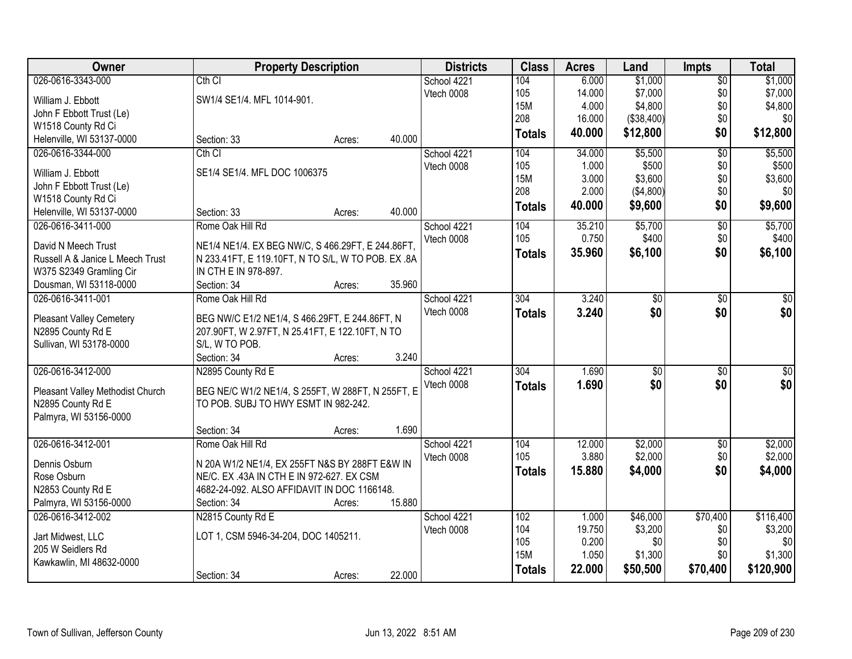| Owner                                          | <b>Property Description</b>                       |        |        | <b>Districts</b> | <b>Class</b>  | <b>Acres</b> | Land             | <b>Impts</b>    | <b>Total</b>     |
|------------------------------------------------|---------------------------------------------------|--------|--------|------------------|---------------|--------------|------------------|-----------------|------------------|
| 026-0616-3343-000                              | Cth <sub>Cl</sub>                                 |        |        | School 4221      | 104           | 6.000        | \$1,000          | $\overline{$0}$ | \$1,000          |
| William J. Ebbott                              | SW1/4 SE1/4. MFL 1014-901.                        |        |        | Vtech 0008       | 105           | 14.000       | \$7,000          | \$0             | \$7,000          |
| John F Ebbott Trust (Le)                       |                                                   |        |        |                  | 15M           | 4.000        | \$4,800          | \$0             | \$4,800          |
| W1518 County Rd Ci                             |                                                   |        |        |                  | 208           | 16.000       | (\$38,400)       | \$0             | \$0              |
| Helenville, WI 53137-0000                      | Section: 33                                       | Acres: | 40.000 |                  | <b>Totals</b> | 40.000       | \$12,800         | \$0             | \$12,800         |
| 026-0616-3344-000                              | Cth CI                                            |        |        | School 4221      | 104           | 34.000       | \$5,500          | $\overline{50}$ | \$5,500          |
|                                                |                                                   |        |        | Vtech 0008       | 105           | 1.000        | \$500            | \$0             | \$500            |
| William J. Ebbott                              | SE1/4 SE1/4. MFL DOC 1006375                      |        |        |                  | <b>15M</b>    | 3.000        | \$3,600          | \$0             | \$3,600          |
| John F Ebbott Trust (Le)                       |                                                   |        |        |                  | 208           | 2.000        | (\$4,800)        | \$0             | \$0              |
| W1518 County Rd Ci                             |                                                   |        | 40.000 |                  | <b>Totals</b> | 40.000       | \$9,600          | \$0             | \$9,600          |
| Helenville, WI 53137-0000<br>026-0616-3411-000 | Section: 33                                       | Acres: |        |                  | 104           | 35.210       |                  |                 |                  |
|                                                | Rome Oak Hill Rd                                  |        |        | School 4221      | 105           | 0.750        | \$5,700<br>\$400 | $\overline{60}$ | \$5,700<br>\$400 |
| David N Meech Trust                            | NE1/4 NE1/4. EX BEG NW/C, S 466.29FT, E 244.86FT, |        |        | Vtech 0008       |               |              |                  | \$0             |                  |
| Russell A & Janice L Meech Trust               | N 233.41FT, E 119.10FT, N TO S/L, W TO POB. EX.8A |        |        |                  | <b>Totals</b> | 35.960       | \$6,100          | \$0             | \$6,100          |
| W375 S2349 Gramling Cir                        | IN CTH E IN 978-897.                              |        |        |                  |               |              |                  |                 |                  |
| Dousman, WI 53118-0000                         | Section: 34                                       | Acres: | 35.960 |                  |               |              |                  |                 |                  |
| 026-0616-3411-001                              | Rome Oak Hill Rd                                  |        |        | School 4221      | 304           | 3.240        | \$0              | $\sqrt[6]{3}$   | $\sqrt{50}$      |
| <b>Pleasant Valley Cemetery</b>                | BEG NW/C E1/2 NE1/4, S 466.29FT, E 244.86FT, N    |        |        | Vtech 0008       | <b>Totals</b> | 3.240        | \$0              | \$0             | \$0              |
| N2895 County Rd E                              | 207.90FT, W 2.97FT, N 25.41FT, E 122.10FT, N TO   |        |        |                  |               |              |                  |                 |                  |
| Sullivan, WI 53178-0000                        | S/L, W TO POB.                                    |        |        |                  |               |              |                  |                 |                  |
|                                                | Section: 34                                       | Acres: | 3.240  |                  |               |              |                  |                 |                  |
| 026-0616-3412-000                              | N2895 County Rd E                                 |        |        | School 4221      | 304           | 1.690        | $\overline{50}$  | $\overline{30}$ | $\overline{50}$  |
|                                                |                                                   |        |        | Vtech 0008       | <b>Totals</b> | 1.690        | \$0              | \$0             | \$0              |
| Pleasant Valley Methodist Church               | BEG NE/C W1/2 NE1/4, S 255FT, W 288FT, N 255FT, E |        |        |                  |               |              |                  |                 |                  |
| N2895 County Rd E                              | TO POB. SUBJ TO HWY ESMT IN 982-242.              |        |        |                  |               |              |                  |                 |                  |
| Palmyra, WI 53156-0000                         |                                                   |        |        |                  |               |              |                  |                 |                  |
|                                                | Section: 34                                       | Acres: | 1.690  |                  |               |              |                  |                 |                  |
| 026-0616-3412-001                              | Rome Oak Hill Rd                                  |        |        | School 4221      | 104           | 12.000       | \$2,000          | $\overline{50}$ | \$2,000          |
| Dennis Osburn                                  | N 20A W1/2 NE1/4, EX 255FT N&S BY 288FT E&W IN    |        |        | Vtech 0008       | 105           | 3.880        | \$2,000          | \$0             | \$2,000          |
| Rose Osburn                                    | NE/C. EX .43A IN CTH E IN 972-627. EX CSM         |        |        |                  | <b>Totals</b> | 15,880       | \$4,000          | \$0             | \$4,000          |
| N2853 County Rd E                              | 4682-24-092. ALSO AFFIDAVIT IN DOC 1166148.       |        |        |                  |               |              |                  |                 |                  |
| Palmyra, WI 53156-0000                         | Section: 34                                       | Acres: | 15.880 |                  |               |              |                  |                 |                  |
| 026-0616-3412-002                              | N2815 County Rd E                                 |        |        | School 4221      | 102           | 1.000        | \$46,000         | \$70,400        | \$116,400        |
| Jart Midwest, LLC                              | LOT 1, CSM 5946-34-204, DOC 1405211.              |        |        | Vtech 0008       | 104           | 19.750       | \$3,200          | \$0             | \$3,200          |
| 205 W Seidlers Rd                              |                                                   |        |        |                  | 105           | 0.200        | \$0              | \$0             | \$0              |
| Kawkawlin, MI 48632-0000                       |                                                   |        |        |                  | <b>15M</b>    | 1.050        | \$1,300          | \$0             | \$1,300          |
|                                                | Section: 34                                       | Acres: | 22.000 |                  | <b>Totals</b> | 22.000       | \$50,500         | \$70,400        | \$120,900        |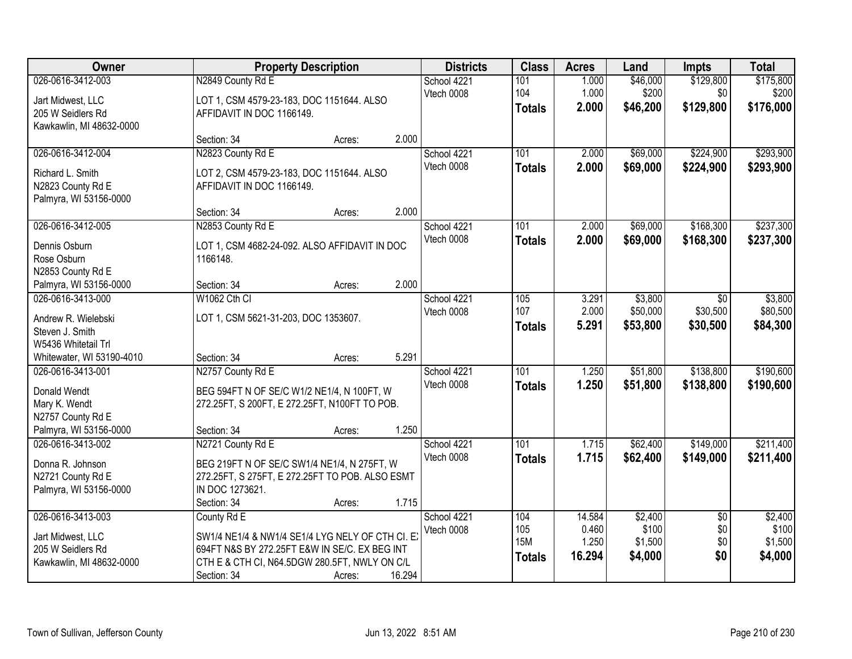| <b>Owner</b>                                                                                      |                                                                                                                                                                                 | <b>Property Description</b> |        |                           | <b>Class</b>                              | <b>Acres</b>                       | Land                                   | <b>Impts</b>                         | <b>Total</b>                           |
|---------------------------------------------------------------------------------------------------|---------------------------------------------------------------------------------------------------------------------------------------------------------------------------------|-----------------------------|--------|---------------------------|-------------------------------------------|------------------------------------|----------------------------------------|--------------------------------------|----------------------------------------|
| 026-0616-3412-003<br>Jart Midwest, LLC<br>205 W Seidlers Rd<br>Kawkawlin, MI 48632-0000           | N2849 County Rd E<br>LOT 1, CSM 4579-23-183, DOC 1151644. ALSO<br>AFFIDAVIT IN DOC 1166149.                                                                                     |                             |        | School 4221<br>Vtech 0008 | 101<br>104<br><b>Totals</b>               | 1.000<br>1.000<br>2.000            | \$46,000<br>\$200<br>\$46,200          | \$129,800<br>\$0<br>\$129,800        | \$175,800<br>\$200<br>\$176,000        |
|                                                                                                   | Section: 34                                                                                                                                                                     | Acres:                      | 2.000  |                           |                                           |                                    |                                        |                                      |                                        |
| 026-0616-3412-004<br>Richard L. Smith<br>N2823 County Rd E<br>Palmyra, WI 53156-0000              | N2823 County Rd E<br>LOT 2, CSM 4579-23-183, DOC 1151644. ALSO<br>AFFIDAVIT IN DOC 1166149.<br>Section: 34                                                                      | Acres:                      | 2.000  | School 4221<br>Vtech 0008 | 101<br><b>Totals</b>                      | 2.000<br>2.000                     | \$69,000<br>\$69,000                   | \$224,900<br>\$224,900               | \$293,900<br>\$293,900                 |
| 026-0616-3412-005                                                                                 | N2853 County Rd E                                                                                                                                                               |                             |        | School 4221               | 101                                       | 2.000                              | \$69,000                               | \$168,300                            | \$237,300                              |
| Dennis Osburn<br>Rose Osburn<br>N2853 County Rd E<br>Palmyra, WI 53156-0000                       | LOT 1, CSM 4682-24-092. ALSO AFFIDAVIT IN DOC<br>1166148.<br>Section: 34                                                                                                        | Acres:                      | 2.000  | Vtech 0008                | <b>Totals</b>                             | 2.000                              | \$69,000                               | \$168,300                            | \$237,300                              |
| 026-0616-3413-000                                                                                 | W1062 Cth CI                                                                                                                                                                    |                             |        | School 4221               | 105                                       | 3.291                              | \$3,800                                | $\sqrt{6}$                           | \$3,800                                |
| Andrew R. Wielebski<br>Steven J. Smith<br>W5436 Whitetail Trl                                     | LOT 1, CSM 5621-31-203, DOC 1353607.                                                                                                                                            |                             |        | Vtech 0008                | 107<br><b>Totals</b>                      | 2.000<br>5.291                     | \$50,000<br>\$53,800                   | \$30,500<br>\$30,500                 | \$80,500<br>\$84,300                   |
| Whitewater, WI 53190-4010                                                                         | Section: 34                                                                                                                                                                     | Acres:                      | 5.291  |                           |                                           |                                    |                                        |                                      |                                        |
| 026-0616-3413-001<br>Donald Wendt<br>Mary K. Wendt<br>N2757 County Rd E<br>Palmyra, WI 53156-0000 | N2757 County Rd E<br>BEG 594FT N OF SE/C W1/2 NE1/4, N 100FT, W<br>272.25FT, S 200FT, E 272.25FT, N100FT TO POB.<br>Section: 34                                                 | Acres:                      | 1.250  | School 4221<br>Vtech 0008 | 101<br><b>Totals</b>                      | 1.250<br>1.250                     | \$51,800<br>\$51,800                   | \$138,800<br>\$138,800               | \$190,600<br>\$190,600                 |
| 026-0616-3413-002                                                                                 | N2721 County Rd E                                                                                                                                                               |                             |        | School 4221               | 101                                       | 1.715                              | \$62,400                               | \$149,000                            | \$211,400                              |
| Donna R. Johnson<br>N2721 County Rd E<br>Palmyra, WI 53156-0000                                   | BEG 219FT N OF SE/C SW1/4 NE1/4, N 275FT, W<br>272.25FT, S 275FT, E 272.25FT TO POB. ALSO ESMT<br>IN DOC 1273621.<br>Section: 34                                                | Acres:                      | 1.715  | Vtech 0008                | <b>Totals</b>                             | 1.715                              | \$62,400                               | \$149,000                            | \$211,400                              |
| 026-0616-3413-003<br>Jart Midwest, LLC<br>205 W Seidlers Rd<br>Kawkawlin, MI 48632-0000           | County Rd E<br>SW1/4 NE1/4 & NW1/4 SE1/4 LYG NELY OF CTH CI. E<br>694FT N&S BY 272.25FT E&W IN SE/C. EX BEG INT<br>CTH E & CTH CI, N64.5DGW 280.5FT, NWLY ON C/L<br>Section: 34 | Acres:                      | 16.294 | School 4221<br>Vtech 0008 | 104<br>105<br><b>15M</b><br><b>Totals</b> | 14.584<br>0.460<br>1.250<br>16.294 | \$2,400<br>\$100<br>\$1,500<br>\$4,000 | $\overline{30}$<br>\$0<br>\$0<br>\$0 | \$2,400<br>\$100<br>\$1,500<br>\$4,000 |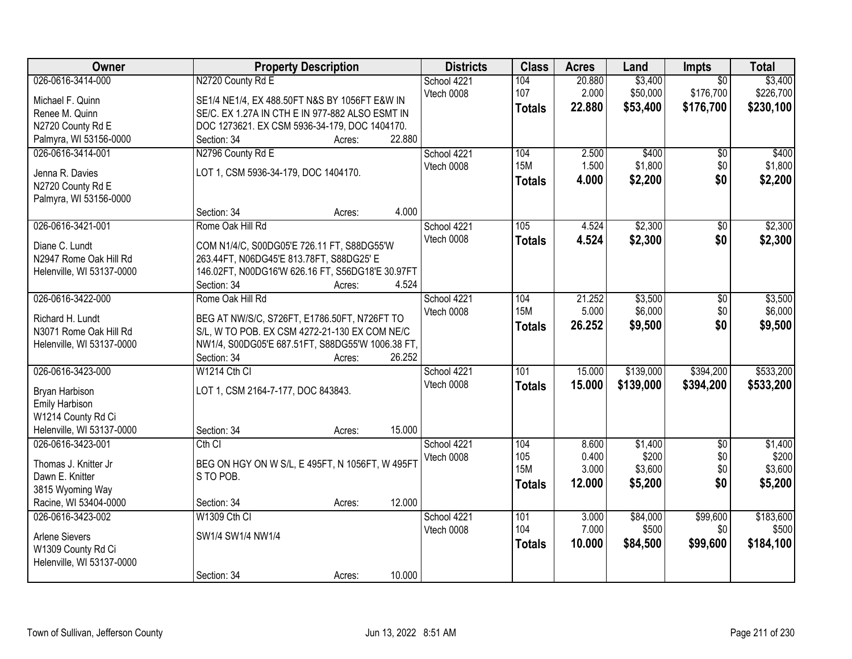| Owner                     | <b>Property Description</b>                      | <b>Districts</b> | <b>Class</b>  | <b>Acres</b> | Land      | Impts           | <b>Total</b> |
|---------------------------|--------------------------------------------------|------------------|---------------|--------------|-----------|-----------------|--------------|
| 026-0616-3414-000         | N2720 County Rd E                                | School 4221      | 104           | 20.880       | \$3,400   | $\overline{50}$ | \$3,400      |
| Michael F. Quinn          | SE1/4 NE1/4, EX 488.50FT N&S BY 1056FT E&W IN    | Vtech 0008       | 107           | 2.000        | \$50,000  | \$176,700       | \$226,700    |
| Renee M. Quinn            | SE/C. EX 1.27A IN CTH E IN 977-882 ALSO ESMT IN  |                  | <b>Totals</b> | 22.880       | \$53,400  | \$176,700       | \$230,100    |
| N2720 County Rd E         | DOC 1273621. EX CSM 5936-34-179, DOC 1404170.    |                  |               |              |           |                 |              |
| Palmyra, WI 53156-0000    | 22.880<br>Section: 34<br>Acres:                  |                  |               |              |           |                 |              |
| 026-0616-3414-001         | N2796 County Rd E                                | School 4221      | 104           | 2.500        | \$400     | \$0             | \$400        |
|                           |                                                  | Vtech 0008       | <b>15M</b>    | 1.500        | \$1,800   | \$0             | \$1,800      |
| Jenna R. Davies           | LOT 1, CSM 5936-34-179, DOC 1404170.             |                  | <b>Totals</b> | 4.000        | \$2,200   | \$0             | \$2,200      |
| N2720 County Rd E         |                                                  |                  |               |              |           |                 |              |
| Palmyra, WI 53156-0000    |                                                  |                  |               |              |           |                 |              |
|                           | 4.000<br>Section: 34<br>Acres:                   |                  |               |              |           |                 |              |
| 026-0616-3421-001         | Rome Oak Hill Rd                                 | School 4221      | 105           | 4.524        | \$2,300   | \$0             | \$2,300      |
| Diane C. Lundt            | COM N1/4/C, S00DG05'E 726.11 FT, S88DG55'W       | Vtech 0008       | <b>Totals</b> | 4.524        | \$2,300   | \$0             | \$2,300      |
| N2947 Rome Oak Hill Rd    | 263.44FT, N06DG45'E 813.78FT, S88DG25' E         |                  |               |              |           |                 |              |
| Helenville, WI 53137-0000 | 146.02FT, N00DG16'W 626.16 FT, S56DG18'E 30.97FT |                  |               |              |           |                 |              |
|                           | 4.524<br>Section: 34<br>Acres:                   |                  |               |              |           |                 |              |
| 026-0616-3422-000         | Rome Oak Hill Rd                                 | School 4221      | 104           | 21.252       | \$3,500   | \$0             | \$3,500      |
| Richard H. Lundt          | BEG AT NW/S/C, S726FT, E1786.50FT, N726FT TO     | Vtech 0008       | <b>15M</b>    | 5.000        | \$6,000   | \$0             | \$6,000      |
| N3071 Rome Oak Hill Rd    | S/L, W TO POB. EX CSM 4272-21-130 EX COM NE/C    |                  | <b>Totals</b> | 26.252       | \$9,500   | \$0             | \$9,500      |
| Helenville, WI 53137-0000 | NW1/4, S00DG05'E 687.51FT, S88DG55'W 1006.38 FT, |                  |               |              |           |                 |              |
|                           | 26.252<br>Section: 34<br>Acres:                  |                  |               |              |           |                 |              |
| 026-0616-3423-000         | W1214 Cth CI                                     | School 4221      | 101           | 15.000       | \$139,000 | \$394,200       | \$533,200    |
|                           |                                                  | Vtech 0008       | <b>Totals</b> | 15.000       | \$139,000 | \$394,200       | \$533,200    |
| Bryan Harbison            | LOT 1, CSM 2164-7-177, DOC 843843.               |                  |               |              |           |                 |              |
| Emily Harbison            |                                                  |                  |               |              |           |                 |              |
| W1214 County Rd Ci        |                                                  |                  |               |              |           |                 |              |
| Helenville, WI 53137-0000 | Section: 34<br>15.000<br>Acres:                  |                  |               |              |           |                 |              |
| 026-0616-3423-001         | Cth <sub>Cl</sub>                                | School 4221      | 104           | 8.600        | \$1,400   | $\overline{50}$ | \$1,400      |
| Thomas J. Knitter Jr      | BEG ON HGY ON W S/L, E 495FT, N 1056FT, W 495FT  | Vtech 0008       | 105           | 0.400        | \$200     | \$0             | \$200        |
| Dawn E. Knitter           | S TO POB.                                        |                  | <b>15M</b>    | 3.000        | \$3,600   | \$0             | \$3,600      |
| 3815 Wyoming Way          |                                                  |                  | <b>Totals</b> | 12.000       | \$5,200   | \$0             | \$5,200      |
| Racine, WI 53404-0000     | 12.000<br>Section: 34<br>Acres:                  |                  |               |              |           |                 |              |
| 026-0616-3423-002         | W1309 Cth CI                                     | School 4221      | 101           | 3.000        | \$84,000  | \$99,600        | \$183,600    |
|                           |                                                  | Vtech 0008       | 104           | 7.000        | \$500     | \$0             | \$500        |
| <b>Arlene Sievers</b>     | SW1/4 SW1/4 NW1/4                                |                  | <b>Totals</b> | 10.000       | \$84,500  | \$99,600        | \$184,100    |
| W1309 County Rd Ci        |                                                  |                  |               |              |           |                 |              |
| Helenville, WI 53137-0000 |                                                  |                  |               |              |           |                 |              |
|                           | 10.000<br>Section: 34<br>Acres:                  |                  |               |              |           |                 |              |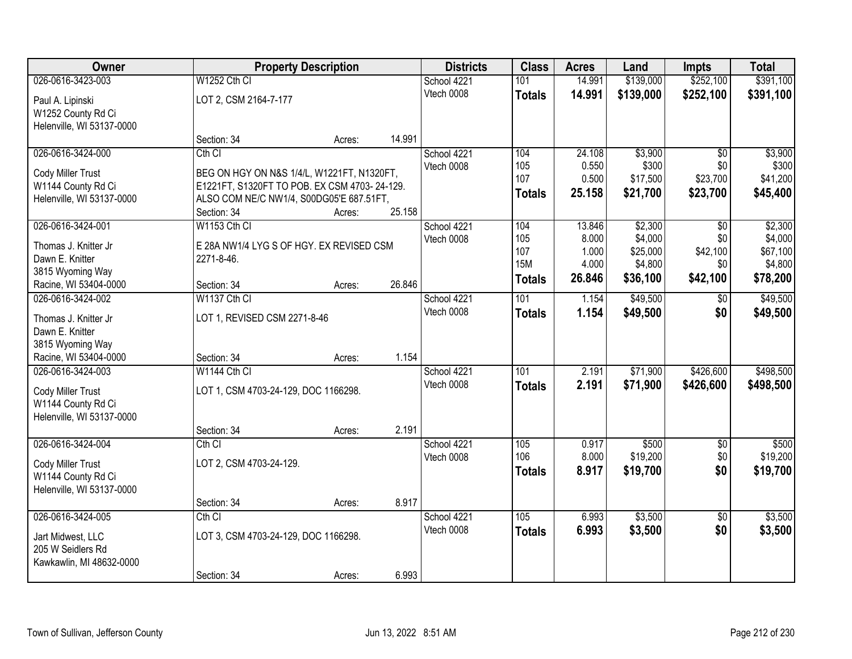| Owner                                         |                                              | <b>Property Description</b> |        | <b>Districts</b> | <b>Class</b>  | <b>Acres</b> | Land      | <b>Impts</b>    | <b>Total</b> |
|-----------------------------------------------|----------------------------------------------|-----------------------------|--------|------------------|---------------|--------------|-----------|-----------------|--------------|
| 026-0616-3423-003                             | W1252 Cth CI                                 |                             |        | School 4221      | 101           | 14.991       | \$139,000 | \$252,100       | \$391,100    |
| Paul A. Lipinski                              | LOT 2, CSM 2164-7-177                        |                             |        | Vtech 0008       | <b>Totals</b> | 14.991       | \$139,000 | \$252,100       | \$391,100    |
| W1252 County Rd Ci                            |                                              |                             |        |                  |               |              |           |                 |              |
| Helenville, WI 53137-0000                     |                                              |                             |        |                  |               |              |           |                 |              |
|                                               | Section: 34                                  | Acres:                      | 14.991 |                  |               |              |           |                 |              |
| 026-0616-3424-000                             | Cth CI                                       |                             |        | School 4221      | 104           | 24.108       | \$3,900   | $\overline{30}$ | \$3,900      |
| Cody Miller Trust                             | BEG ON HGY ON N&S 1/4/L, W1221FT, N1320FT,   |                             |        | Vtech 0008       | 105           | 0.550        | \$300     | \$0             | \$300        |
| W1144 County Rd Ci                            | E1221FT, S1320FT TO POB. EX CSM 4703-24-129. |                             |        |                  | 107           | 0.500        | \$17,500  | \$23,700        | \$41,200     |
| Helenville, WI 53137-0000                     | ALSO COM NE/C NW1/4, S00DG05'E 687.51FT,     |                             |        |                  | <b>Totals</b> | 25.158       | \$21,700  | \$23,700        | \$45,400     |
|                                               | Section: 34                                  | Acres:                      | 25.158 |                  |               |              |           |                 |              |
| 026-0616-3424-001                             | <b>W1153 Cth CI</b>                          |                             |        | School 4221      | 104           | 13.846       | \$2,300   | \$0             | \$2,300      |
| Thomas J. Knitter Jr                          | E 28A NW1/4 LYG S OF HGY. EX REVISED CSM     |                             |        | Vtech 0008       | 105           | 8.000        | \$4,000   | \$0             | \$4,000      |
| Dawn E. Knitter                               | 2271-8-46.                                   |                             |        |                  | 107           | 1.000        | \$25,000  | \$42,100        | \$67,100     |
| 3815 Wyoming Way                              |                                              |                             |        |                  | <b>15M</b>    | 4.000        | \$4,800   | \$0             | \$4,800      |
| Racine, WI 53404-0000                         | Section: 34                                  | Acres:                      | 26.846 |                  | <b>Totals</b> | 26.846       | \$36,100  | \$42,100        | \$78,200     |
| 026-0616-3424-002                             | W1137 Cth CI                                 |                             |        | School 4221      | 101           | 1.154        | \$49,500  | \$0             | \$49,500     |
| Thomas J. Knitter Jr                          | LOT 1, REVISED CSM 2271-8-46                 |                             |        | Vtech 0008       | <b>Totals</b> | 1.154        | \$49,500  | \$0             | \$49,500     |
| Dawn E. Knitter                               |                                              |                             |        |                  |               |              |           |                 |              |
| 3815 Wyoming Way                              |                                              |                             |        |                  |               |              |           |                 |              |
| Racine, WI 53404-0000                         | Section: 34                                  | Acres:                      | 1.154  |                  |               |              |           |                 |              |
| 026-0616-3424-003                             | W1144 Cth CI                                 |                             |        | School 4221      | 101           | 2.191        | \$71,900  | \$426,600       | \$498,500    |
|                                               |                                              |                             |        | Vtech 0008       | <b>Totals</b> | 2.191        | \$71,900  | \$426,600       | \$498,500    |
| Cody Miller Trust<br>W1144 County Rd Ci       | LOT 1, CSM 4703-24-129, DOC 1166298.         |                             |        |                  |               |              |           |                 |              |
| Helenville, WI 53137-0000                     |                                              |                             |        |                  |               |              |           |                 |              |
|                                               | Section: 34                                  | Acres:                      | 2.191  |                  |               |              |           |                 |              |
| 026-0616-3424-004                             | $Cth$ $Cl$                                   |                             |        | School 4221      | 105           | 0.917        | \$500     | $\overline{60}$ | \$500        |
|                                               |                                              |                             |        | Vtech 0008       | 106           | 8.000        | \$19,200  | \$0             | \$19,200     |
| Cody Miller Trust<br>W1144 County Rd Ci       | LOT 2, CSM 4703-24-129.                      |                             |        |                  | <b>Totals</b> | 8.917        | \$19,700  | \$0             | \$19,700     |
| Helenville, WI 53137-0000                     |                                              |                             |        |                  |               |              |           |                 |              |
|                                               | Section: 34                                  | Acres:                      | 8.917  |                  |               |              |           |                 |              |
| 026-0616-3424-005                             | $Cth$ $Cl$                                   |                             |        | School 4221      | 105           | 6.993        | \$3,500   | $\overline{50}$ | \$3,500      |
|                                               |                                              |                             |        | Vtech 0008       | <b>Totals</b> | 6.993        | \$3,500   | \$0             | \$3,500      |
| Jart Midwest, LLC                             | LOT 3, CSM 4703-24-129, DOC 1166298.         |                             |        |                  |               |              |           |                 |              |
| 205 W Seidlers Rd<br>Kawkawlin, MI 48632-0000 |                                              |                             |        |                  |               |              |           |                 |              |
|                                               | Section: 34                                  | Acres:                      | 6.993  |                  |               |              |           |                 |              |
|                                               |                                              |                             |        |                  |               |              |           |                 |              |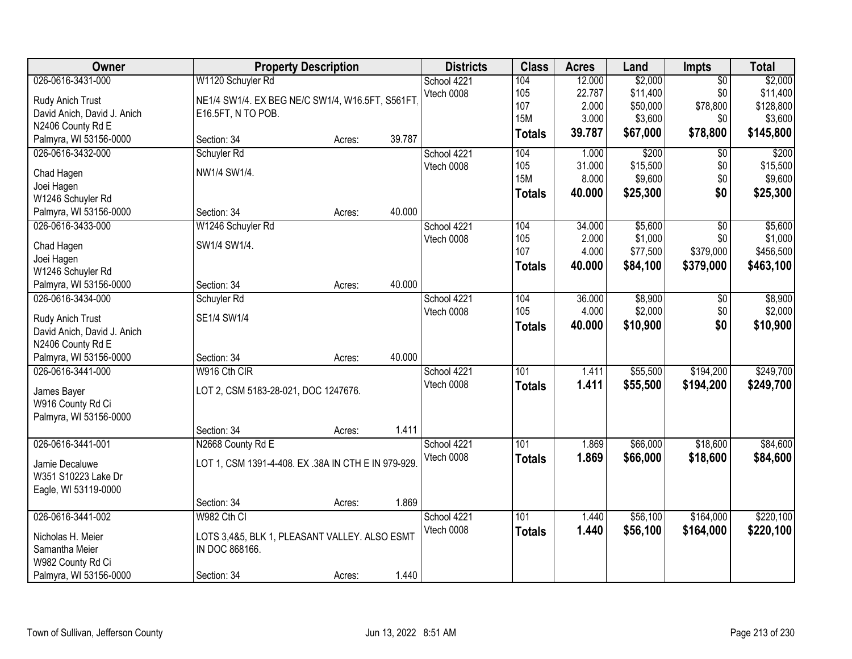| Owner                           |                                                     | <b>Property Description</b> |        | <b>Districts</b> | <b>Class</b>  | <b>Acres</b> | Land     | Impts           | <b>Total</b> |
|---------------------------------|-----------------------------------------------------|-----------------------------|--------|------------------|---------------|--------------|----------|-----------------|--------------|
| 026-0616-3431-000               | W1120 Schuyler Rd                                   |                             |        | School 4221      | 104           | 12.000       | \$2,000  | $\overline{50}$ | \$2,000      |
| Rudy Anich Trust                | NE1/4 SW1/4. EX BEG NE/C SW1/4, W16.5FT, S561FT     |                             |        | Vtech 0008       | 105           | 22.787       | \$11,400 | \$0             | \$11,400     |
| David Anich, David J. Anich     | E16.5FT, N TO POB.                                  |                             |        |                  | 107           | 2.000        | \$50,000 | \$78,800        | \$128,800    |
| N2406 County Rd E               |                                                     |                             |        |                  | <b>15M</b>    | 3.000        | \$3,600  | \$0             | \$3,600      |
| Palmyra, WI 53156-0000          | Section: 34                                         | Acres:                      | 39.787 |                  | <b>Totals</b> | 39.787       | \$67,000 | \$78,800        | \$145,800    |
| 026-0616-3432-000               | Schuyler Rd                                         |                             |        | School 4221      | 104           | 1.000        | \$200    | \$0             | \$200        |
| Chad Hagen                      | NW1/4 SW1/4.                                        |                             |        | Vtech 0008       | 105           | 31.000       | \$15,500 | \$0             | \$15,500     |
| Joei Hagen                      |                                                     |                             |        |                  | <b>15M</b>    | 8.000        | \$9,600  | \$0             | \$9,600      |
| W1246 Schuyler Rd               |                                                     |                             |        |                  | <b>Totals</b> | 40.000       | \$25,300 | \$0             | \$25,300     |
| Palmyra, WI 53156-0000          | Section: 34                                         | Acres:                      | 40.000 |                  |               |              |          |                 |              |
| 026-0616-3433-000               | W1246 Schuyler Rd                                   |                             |        | School 4221      | 104           | 34.000       | \$5,600  | $\overline{50}$ | \$5,600      |
|                                 |                                                     |                             |        | Vtech 0008       | 105           | 2.000        | \$1,000  | \$0             | \$1,000      |
| Chad Hagen                      | SW1/4 SW1/4.                                        |                             |        |                  | 107           | 4.000        | \$77,500 | \$379,000       | \$456,500    |
| Joei Hagen<br>W1246 Schuyler Rd |                                                     |                             |        |                  | <b>Totals</b> | 40.000       | \$84,100 | \$379,000       | \$463,100    |
| Palmyra, WI 53156-0000          | Section: 34                                         | Acres:                      | 40.000 |                  |               |              |          |                 |              |
| 026-0616-3434-000               | Schuyler Rd                                         |                             |        | School 4221      | 104           | 36.000       | \$8,900  | $\frac{1}{20}$  | \$8,900      |
|                                 |                                                     |                             |        | Vtech 0008       | 105           | 4.000        | \$2,000  | \$0             | \$2,000      |
| Rudy Anich Trust                | SE1/4 SW1/4                                         |                             |        |                  |               | 40.000       | \$10,900 | \$0             | \$10,900     |
| David Anich, David J. Anich     |                                                     |                             |        |                  | <b>Totals</b> |              |          |                 |              |
| N2406 County Rd E               |                                                     |                             |        |                  |               |              |          |                 |              |
| Palmyra, WI 53156-0000          | Section: 34                                         | Acres:                      | 40.000 |                  |               |              |          |                 |              |
| 026-0616-3441-000               | W916 Cth CIR                                        |                             |        | School 4221      | 101           | 1.411        | \$55,500 | \$194,200       | \$249,700    |
| James Bayer                     | LOT 2, CSM 5183-28-021, DOC 1247676.                |                             |        | Vtech 0008       | <b>Totals</b> | 1.411        | \$55,500 | \$194,200       | \$249,700    |
| W916 County Rd Ci               |                                                     |                             |        |                  |               |              |          |                 |              |
| Palmyra, WI 53156-0000          |                                                     |                             |        |                  |               |              |          |                 |              |
|                                 | Section: 34                                         | Acres:                      | 1.411  |                  |               |              |          |                 |              |
| 026-0616-3441-001               | N2668 County Rd E                                   |                             |        | School 4221      | 101           | 1.869        | \$66,000 | \$18,600        | \$84,600     |
| Jamie Decaluwe                  | LOT 1, CSM 1391-4-408. EX .38A IN CTH E IN 979-929. |                             |        | Vtech 0008       | <b>Totals</b> | 1.869        | \$66,000 | \$18,600        | \$84,600     |
| W351 S10223 Lake Dr             |                                                     |                             |        |                  |               |              |          |                 |              |
| Eagle, WI 53119-0000            |                                                     |                             |        |                  |               |              |          |                 |              |
|                                 | Section: 34                                         | Acres:                      | 1.869  |                  |               |              |          |                 |              |
| 026-0616-3441-002               | W982 Cth CI                                         |                             |        | School 4221      | 101           | 1.440        | \$56,100 | \$164,000       | \$220,100    |
|                                 |                                                     |                             |        | Vtech 0008       |               | 1.440        | \$56,100 | \$164,000       |              |
| Nicholas H. Meier               | LOTS 3,4&5, BLK 1, PLEASANT VALLEY. ALSO ESMT       |                             |        |                  | <b>Totals</b> |              |          |                 | \$220,100    |
| Samantha Meier                  | IN DOC 868166.                                      |                             |        |                  |               |              |          |                 |              |
| W982 County Rd Ci               |                                                     |                             |        |                  |               |              |          |                 |              |
| Palmyra, WI 53156-0000          | Section: 34                                         | Acres:                      | 1.440  |                  |               |              |          |                 |              |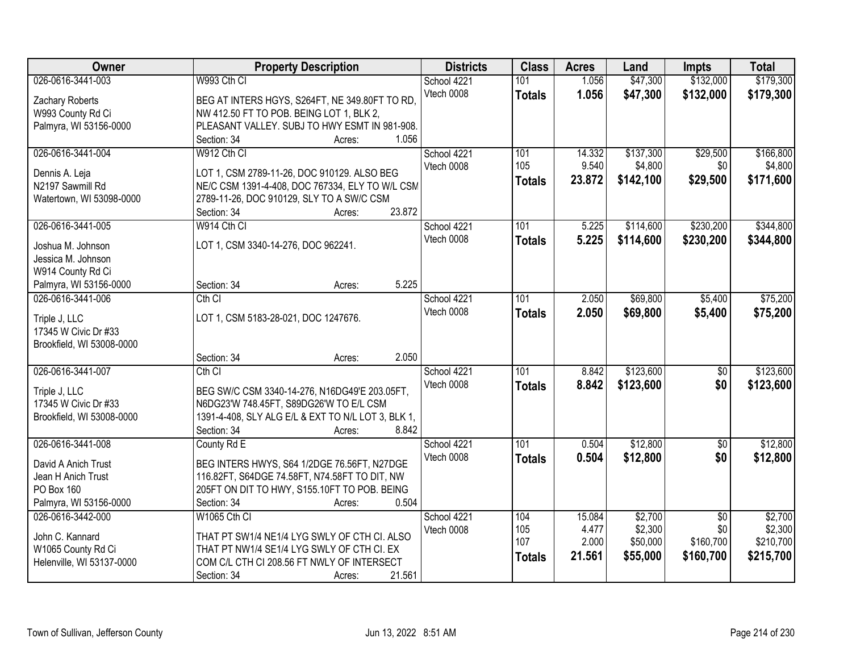| Owner                                 | <b>Property Description</b>                        | <b>Districts</b> | <b>Class</b>  | <b>Acres</b> | Land      | <b>Impts</b>    | <b>Total</b> |
|---------------------------------------|----------------------------------------------------|------------------|---------------|--------------|-----------|-----------------|--------------|
| 026-0616-3441-003                     | W993 Cth CI                                        | School 4221      | 101           | 1.056        | \$47,300  | \$132,000       | \$179,300    |
| Zachary Roberts                       | BEG AT INTERS HGYS, S264FT, NE 349.80FT TO RD,     | Vtech 0008       | <b>Totals</b> | 1.056        | \$47,300  | \$132,000       | \$179,300    |
| W993 County Rd Ci                     | NW 412.50 FT TO POB. BEING LOT 1, BLK 2,           |                  |               |              |           |                 |              |
| Palmyra, WI 53156-0000                | PLEASANT VALLEY. SUBJ TO HWY ESMT IN 981-908.      |                  |               |              |           |                 |              |
|                                       | 1.056<br>Section: 34<br>Acres:                     |                  |               |              |           |                 |              |
| 026-0616-3441-004                     | W912 Cth CI                                        | School 4221      | 101           | 14.332       | \$137,300 | \$29,500        | \$166,800    |
|                                       |                                                    | Vtech 0008       | 105           | 9.540        | \$4,800   | \$0             | \$4,800      |
| Dennis A. Leja                        | LOT 1, CSM 2789-11-26, DOC 910129. ALSO BEG        |                  | <b>Totals</b> | 23.872       | \$142,100 | \$29,500        | \$171,600    |
| N2197 Sawmill Rd                      | NE/C CSM 1391-4-408, DOC 767334, ELY TO W/L CSM    |                  |               |              |           |                 |              |
| Watertown, WI 53098-0000              | 2789-11-26, DOC 910129, SLY TO A SW/C CSM          |                  |               |              |           |                 |              |
|                                       | 23.872<br>Section: 34<br>Acres:                    |                  |               |              |           |                 |              |
| 026-0616-3441-005                     | W914 Cth CI                                        | School 4221      | 101           | 5.225        | \$114,600 | \$230,200       | \$344,800    |
| Joshua M. Johnson                     | LOT 1, CSM 3340-14-276, DOC 962241.                | Vtech 0008       | <b>Totals</b> | 5.225        | \$114,600 | \$230,200       | \$344,800    |
| Jessica M. Johnson                    |                                                    |                  |               |              |           |                 |              |
| W914 County Rd Ci                     |                                                    |                  |               |              |           |                 |              |
| Palmyra, WI 53156-0000                | 5.225<br>Section: 34<br>Acres:                     |                  |               |              |           |                 |              |
| 026-0616-3441-006                     | $Cth$ $Cl$                                         | School 4221      | 101           | 2.050        | \$69,800  | \$5,400         | \$75,200     |
|                                       | LOT 1, CSM 5183-28-021, DOC 1247676.               | Vtech 0008       | <b>Totals</b> | 2.050        | \$69,800  | \$5,400         | \$75,200     |
| Triple J, LLC<br>17345 W Civic Dr #33 |                                                    |                  |               |              |           |                 |              |
| Brookfield, WI 53008-0000             |                                                    |                  |               |              |           |                 |              |
|                                       | 2.050<br>Section: 34<br>Acres:                     |                  |               |              |           |                 |              |
| 026-0616-3441-007                     | Cth CI                                             | School 4221      | 101           | 8.842        | \$123,600 | $\overline{50}$ | \$123,600    |
|                                       |                                                    | Vtech 0008       | <b>Totals</b> | 8.842        | \$123,600 | \$0             | \$123,600    |
| Triple J, LLC                         | BEG SW/C CSM 3340-14-276, N16DG49'E 203.05FT,      |                  |               |              |           |                 |              |
| 17345 W Civic Dr #33                  | N6DG23'W 748.45FT, S89DG26'W TO E/L CSM            |                  |               |              |           |                 |              |
| Brookfield, WI 53008-0000             | 1391-4-408, SLY ALG E/L & EXT TO N/L LOT 3, BLK 1, |                  |               |              |           |                 |              |
|                                       | 8.842<br>Section: 34<br>Acres:                     |                  |               |              |           |                 |              |
| 026-0616-3441-008                     | County Rd E                                        | School 4221      | 101           | 0.504        | \$12,800  | $\overline{50}$ | \$12,800     |
| David A Anich Trust                   | BEG INTERS HWYS, S64 1/2DGE 76.56FT, N27DGE        | Vtech 0008       | <b>Totals</b> | 0.504        | \$12,800  | \$0             | \$12,800     |
| Jean H Anich Trust                    | 116.82FT, S64DGE 74.58FT, N74.58FT TO DIT, NW      |                  |               |              |           |                 |              |
| PO Box 160                            | 205FT ON DIT TO HWY, S155.10FT TO POB. BEING       |                  |               |              |           |                 |              |
| Palmyra, WI 53156-0000                | 0.504<br>Section: 34<br>Acres:                     |                  |               |              |           |                 |              |
| 026-0616-3442-000                     | <b>W1065 Cth CI</b>                                | School 4221      | 104           | 15.084       | \$2,700   | $\overline{50}$ | \$2,700      |
|                                       |                                                    | Vtech 0008       | 105           | 4.477        | \$2,300   | \$0             | \$2,300      |
| John C. Kannard                       | THAT PT SW1/4 NE1/4 LYG SWLY OF CTH CI. ALSO       |                  | 107           | 2.000        | \$50,000  | \$160,700       | \$210,700    |
| W1065 County Rd Ci                    | THAT PT NW1/4 SE1/4 LYG SWLY OF CTH CI. EX         |                  | <b>Totals</b> | 21.561       | \$55,000  | \$160,700       | \$215,700    |
| Helenville, WI 53137-0000             | COM C/L CTH CI 208.56 FT NWLY OF INTERSECT         |                  |               |              |           |                 |              |
|                                       | 21.561<br>Section: 34<br>Acres:                    |                  |               |              |           |                 |              |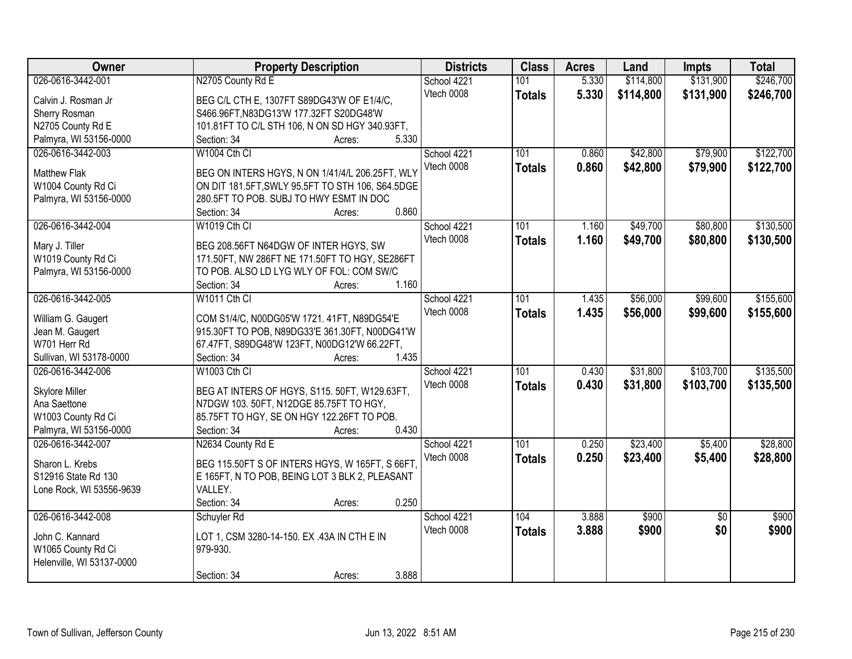| Owner                     | <b>Property Description</b>                      | <b>Districts</b> | <b>Class</b>  | <b>Acres</b> | Land      | <b>Impts</b>    | <b>Total</b> |
|---------------------------|--------------------------------------------------|------------------|---------------|--------------|-----------|-----------------|--------------|
| 026-0616-3442-001         | N2705 County Rd E                                | School 4221      | 101           | 5.330        | \$114,800 | \$131,900       | \$246,700    |
| Calvin J. Rosman Jr       | BEG C/L CTH E, 1307FT S89DG43'W OF E1/4/C,       | Vtech 0008       | <b>Totals</b> | 5.330        | \$114,800 | \$131,900       | \$246,700    |
| Sherry Rosman             | S466.96FT, N83DG13'W 177.32FT S20DG48'W          |                  |               |              |           |                 |              |
| N2705 County Rd E         | 101.81FT TO C/L STH 106, N ON SD HGY 340.93FT,   |                  |               |              |           |                 |              |
| Palmyra, WI 53156-0000    | 5.330<br>Section: 34<br>Acres:                   |                  |               |              |           |                 |              |
| 026-0616-3442-003         | W1004 Cth CI                                     | School 4221      | 101           | 0.860        | \$42,800  | \$79,900        | \$122,700    |
|                           |                                                  | Vtech 0008       | <b>Totals</b> | 0.860        | \$42,800  | \$79,900        | \$122,700    |
| <b>Matthew Flak</b>       | BEG ON INTERS HGYS, N ON 1/41/4/L 206.25FT, WLY  |                  |               |              |           |                 |              |
| W1004 County Rd Ci        | ON DIT 181.5FT, SWLY 95.5FT TO STH 106, S64.5DGE |                  |               |              |           |                 |              |
| Palmyra, WI 53156-0000    | 280.5FT TO POB. SUBJ TO HWY ESMT IN DOC          |                  |               |              |           |                 |              |
|                           | 0.860<br>Section: 34<br>Acres:                   |                  |               |              |           |                 |              |
| 026-0616-3442-004         | W1019 Cth CI                                     | School 4221      | 101           | 1.160        | \$49,700  | \$80,800        | \$130,500    |
| Mary J. Tiller            | BEG 208.56FT N64DGW OF INTER HGYS, SW            | Vtech 0008       | <b>Totals</b> | 1.160        | \$49,700  | \$80,800        | \$130,500    |
| W1019 County Rd Ci        | 171.50FT, NW 286FT NE 171.50FT TO HGY, SE286FT   |                  |               |              |           |                 |              |
| Palmyra, WI 53156-0000    | TO POB. ALSO LD LYG WLY OF FOL: COM SW/C         |                  |               |              |           |                 |              |
|                           | Section: 34<br>1.160<br>Acres:                   |                  |               |              |           |                 |              |
| 026-0616-3442-005         | W1011 Cth CI                                     | School 4221      | 101           | 1.435        | \$56,000  | \$99,600        | \$155,600    |
|                           |                                                  | Vtech 0008       | <b>Totals</b> | 1.435        | \$56,000  | \$99,600        | \$155,600    |
| William G. Gaugert        | COM S1/4/C, N00DG05'W 1721. 41FT, N89DG54'E      |                  |               |              |           |                 |              |
| Jean M. Gaugert           | 915.30FT TO POB, N89DG33'E 361.30FT, N00DG41'W   |                  |               |              |           |                 |              |
| W701 Herr Rd              | 67.47FT, S89DG48'W 123FT, N00DG12'W 66.22FT,     |                  |               |              |           |                 |              |
| Sullivan, WI 53178-0000   | 1.435<br>Section: 34<br>Acres:                   |                  |               |              |           |                 |              |
| 026-0616-3442-006         | <b>W1003 Cth CI</b>                              | School 4221      | 101           | 0.430        | \$31,800  | \$103,700       | \$135,500    |
| <b>Skylore Miller</b>     | BEG AT INTERS OF HGYS, S115. 50FT, W129.63FT,    | Vtech 0008       | <b>Totals</b> | 0.430        | \$31,800  | \$103,700       | \$135,500    |
| Ana Saettone              | N7DGW 103. 50FT, N12DGE 85.75FT TO HGY,          |                  |               |              |           |                 |              |
| W1003 County Rd Ci        | 85.75FT TO HGY, SE ON HGY 122.26FT TO POB.       |                  |               |              |           |                 |              |
| Palmyra, WI 53156-0000    | 0.430<br>Section: 34<br>Acres:                   |                  |               |              |           |                 |              |
| 026-0616-3442-007         | N2634 County Rd E                                | School 4221      | 101           | 0.250        | \$23,400  | \$5,400         | \$28,800     |
|                           |                                                  | Vtech 0008       | <b>Totals</b> | 0.250        | \$23,400  | \$5,400         | \$28,800     |
| Sharon L. Krebs           | BEG 115.50FT S OF INTERS HGYS, W 165FT, S 66FT,  |                  |               |              |           |                 |              |
| S12916 State Rd 130       | E 165FT, N TO POB, BEING LOT 3 BLK 2, PLEASANT   |                  |               |              |           |                 |              |
| Lone Rock, WI 53556-9639  | VALLEY.                                          |                  |               |              |           |                 |              |
|                           | 0.250<br>Section: 34<br>Acres:                   |                  |               |              |           |                 |              |
| 026-0616-3442-008         | Schuyler Rd                                      | School 4221      | 104           | 3.888        | \$900     | $\overline{50}$ | \$900        |
| John C. Kannard           | LOT 1, CSM 3280-14-150. EX .43A IN CTH E IN      | Vtech 0008       | <b>Totals</b> | 3.888        | \$900     | \$0             | \$900        |
| W1065 County Rd Ci        | 979-930.                                         |                  |               |              |           |                 |              |
| Helenville, WI 53137-0000 |                                                  |                  |               |              |           |                 |              |
|                           | 3.888<br>Section: 34<br>Acres:                   |                  |               |              |           |                 |              |
|                           |                                                  |                  |               |              |           |                 |              |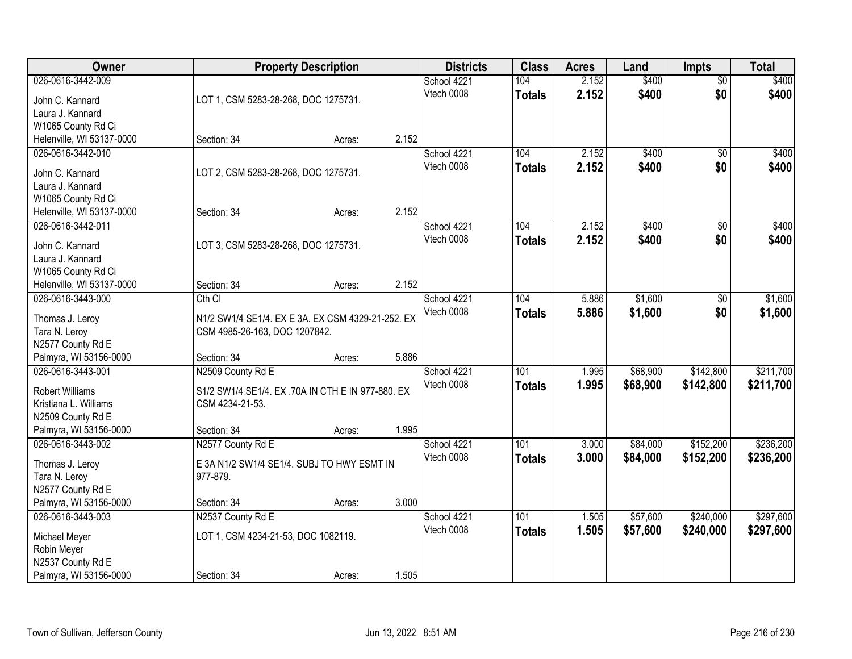| Owner                              |                                                   | <b>Property Description</b> |       | <b>Districts</b> | <b>Class</b>     | <b>Acres</b> | Land     | <b>Impts</b>    | <b>Total</b> |
|------------------------------------|---------------------------------------------------|-----------------------------|-------|------------------|------------------|--------------|----------|-----------------|--------------|
| 026-0616-3442-009                  |                                                   |                             |       | School 4221      | 104              | 2.152        | \$400    | $\overline{50}$ | \$400        |
| John C. Kannard                    | LOT 1, CSM 5283-28-268, DOC 1275731.              |                             |       | Vtech 0008       | <b>Totals</b>    | 2.152        | \$400    | \$0             | \$400        |
| Laura J. Kannard                   |                                                   |                             |       |                  |                  |              |          |                 |              |
| W1065 County Rd Ci                 |                                                   |                             |       |                  |                  |              |          |                 |              |
| Helenville, WI 53137-0000          | Section: 34                                       | Acres:                      | 2.152 |                  |                  |              |          |                 |              |
| 026-0616-3442-010                  |                                                   |                             |       | School 4221      | 104              | 2.152        | \$400    | $\overline{50}$ | \$400        |
| John C. Kannard                    | LOT 2, CSM 5283-28-268, DOC 1275731.              |                             |       | Vtech 0008       | <b>Totals</b>    | 2.152        | \$400    | \$0             | \$400        |
| Laura J. Kannard                   |                                                   |                             |       |                  |                  |              |          |                 |              |
| W1065 County Rd Ci                 |                                                   |                             |       |                  |                  |              |          |                 |              |
| Helenville, WI 53137-0000          | Section: 34                                       | Acres:                      | 2.152 |                  |                  |              |          |                 |              |
| 026-0616-3442-011                  |                                                   |                             |       | School 4221      | 104              | 2.152        | \$400    | \$0             | \$400        |
|                                    |                                                   |                             |       | Vtech 0008       | <b>Totals</b>    | 2.152        | \$400    | \$0             | \$400        |
| John C. Kannard                    | LOT 3, CSM 5283-28-268, DOC 1275731.              |                             |       |                  |                  |              |          |                 |              |
| Laura J. Kannard                   |                                                   |                             |       |                  |                  |              |          |                 |              |
| W1065 County Rd Ci                 |                                                   |                             |       |                  |                  |              |          |                 |              |
| Helenville, WI 53137-0000          | Section: 34                                       | Acres:                      | 2.152 |                  |                  |              |          |                 |              |
| 026-0616-3443-000                  | Cth CI                                            |                             |       | School 4221      | 104              | 5.886        | \$1,600  | \$0             | \$1,600      |
| Thomas J. Leroy                    | N1/2 SW1/4 SE1/4. EX E 3A. EX CSM 4329-21-252. EX |                             |       | Vtech 0008       | <b>Totals</b>    | 5.886        | \$1,600  | \$0             | \$1,600      |
| Tara N. Leroy                      | CSM 4985-26-163, DOC 1207842.                     |                             |       |                  |                  |              |          |                 |              |
| N2577 County Rd E                  |                                                   |                             |       |                  |                  |              |          |                 |              |
| Palmyra, WI 53156-0000             | Section: 34                                       | Acres:                      | 5.886 |                  |                  |              |          |                 |              |
| 026-0616-3443-001                  | N2509 County Rd E                                 |                             |       | School 4221      | 101              | 1.995        | \$68,900 | \$142,800       | \$211,700    |
| <b>Robert Williams</b>             | S1/2 SW1/4 SE1/4. EX .70A IN CTH E IN 977-880. EX |                             |       | Vtech 0008       | <b>Totals</b>    | 1.995        | \$68,900 | \$142,800       | \$211,700    |
| Kristiana L. Williams              | CSM 4234-21-53.                                   |                             |       |                  |                  |              |          |                 |              |
| N2509 County Rd E                  |                                                   |                             |       |                  |                  |              |          |                 |              |
| Palmyra, WI 53156-0000             | Section: 34                                       | Acres:                      | 1.995 |                  |                  |              |          |                 |              |
| 026-0616-3443-002                  | N2577 County Rd E                                 |                             |       | School 4221      | $\overline{101}$ | 3.000        | \$84,000 | \$152,200       | \$236,200    |
|                                    | E 3A N1/2 SW1/4 SE1/4. SUBJ TO HWY ESMT IN        |                             |       | Vtech 0008       | <b>Totals</b>    | 3.000        | \$84,000 | \$152,200       | \$236,200    |
| Thomas J. Leroy                    | 977-879.                                          |                             |       |                  |                  |              |          |                 |              |
| Tara N. Leroy<br>N2577 County Rd E |                                                   |                             |       |                  |                  |              |          |                 |              |
| Palmyra, WI 53156-0000             | Section: 34                                       | Acres:                      | 3.000 |                  |                  |              |          |                 |              |
| 026-0616-3443-003                  | N2537 County Rd E                                 |                             |       | School 4221      | 101              | 1.505        | \$57,600 | \$240,000       | \$297,600    |
|                                    |                                                   |                             |       | Vtech 0008       | <b>Totals</b>    | 1.505        | \$57,600 | \$240,000       | \$297,600    |
| Michael Meyer                      | LOT 1, CSM 4234-21-53, DOC 1082119.               |                             |       |                  |                  |              |          |                 |              |
| Robin Meyer                        |                                                   |                             |       |                  |                  |              |          |                 |              |
| N2537 County Rd E                  |                                                   |                             |       |                  |                  |              |          |                 |              |
| Palmyra, WI 53156-0000             | Section: 34                                       | Acres:                      | 1.505 |                  |                  |              |          |                 |              |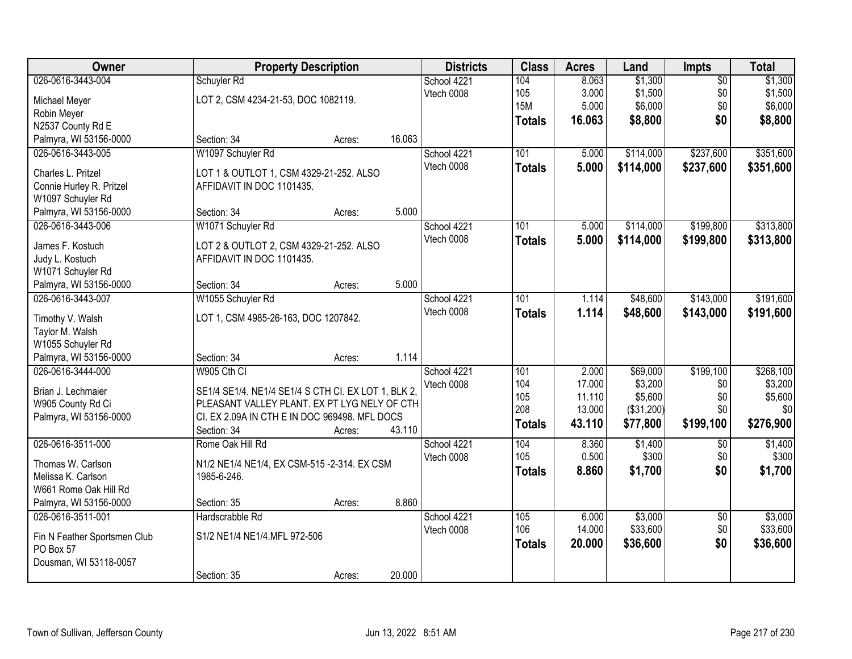| Owner                                         | <b>Property Description</b>                                          |        | <b>Districts</b> | <b>Class</b>  | <b>Acres</b> | Land       | <b>Impts</b>    | <b>Total</b> |
|-----------------------------------------------|----------------------------------------------------------------------|--------|------------------|---------------|--------------|------------|-----------------|--------------|
| 026-0616-3443-004                             | Schuyler Rd                                                          |        | School 4221      | 104           | 8.063        | \$1,300    | $\overline{50}$ | \$1,300      |
| Michael Meyer                                 | LOT 2, CSM 4234-21-53, DOC 1082119.                                  |        | Vtech 0008       | 105           | 3.000        | \$1,500    | \$0             | \$1,500      |
| Robin Meyer                                   |                                                                      |        |                  | <b>15M</b>    | 5.000        | \$6,000    | \$0             | \$6,000      |
| N2537 County Rd E                             |                                                                      |        |                  | <b>Totals</b> | 16.063       | \$8,800    | \$0             | \$8,800      |
| Palmyra, WI 53156-0000                        | Section: 34<br>Acres:                                                | 16.063 |                  |               |              |            |                 |              |
| 026-0616-3443-005                             | W1097 Schuyler Rd                                                    |        | School 4221      | 101           | 5.000        | \$114,000  | \$237,600       | \$351,600    |
| Charles L. Pritzel                            |                                                                      |        | Vtech 0008       | <b>Totals</b> | 5.000        | \$114,000  | \$237,600       | \$351,600    |
|                                               | LOT 1 & OUTLOT 1, CSM 4329-21-252. ALSO<br>AFFIDAVIT IN DOC 1101435. |        |                  |               |              |            |                 |              |
| Connie Hurley R. Pritzel<br>W1097 Schuyler Rd |                                                                      |        |                  |               |              |            |                 |              |
| Palmyra, WI 53156-0000                        | Section: 34<br>Acres:                                                | 5.000  |                  |               |              |            |                 |              |
| 026-0616-3443-006                             | W1071 Schuyler Rd                                                    |        | School 4221      | 101           | 5.000        | \$114,000  | \$199,800       | \$313,800    |
|                                               |                                                                      |        | Vtech 0008       |               |              |            |                 |              |
| James F. Kostuch                              | LOT 2 & OUTLOT 2, CSM 4329-21-252. ALSO                              |        |                  | <b>Totals</b> | 5.000        | \$114,000  | \$199,800       | \$313,800    |
| Judy L. Kostuch                               | AFFIDAVIT IN DOC 1101435.                                            |        |                  |               |              |            |                 |              |
| W1071 Schuyler Rd                             |                                                                      |        |                  |               |              |            |                 |              |
| Palmyra, WI 53156-0000                        | Section: 34<br>Acres:                                                | 5.000  |                  |               |              |            |                 |              |
| 026-0616-3443-007                             | W1055 Schuyler Rd                                                    |        | School 4221      | 101           | 1.114        | \$48,600   | \$143,000       | \$191,600    |
| Timothy V. Walsh                              | LOT 1, CSM 4985-26-163, DOC 1207842.                                 |        | Vtech 0008       | <b>Totals</b> | 1.114        | \$48,600   | \$143,000       | \$191,600    |
| Taylor M. Walsh                               |                                                                      |        |                  |               |              |            |                 |              |
| W1055 Schuyler Rd                             |                                                                      |        |                  |               |              |            |                 |              |
| Palmyra, WI 53156-0000                        | Section: 34<br>Acres:                                                | 1.114  |                  |               |              |            |                 |              |
| 026-0616-3444-000                             | W905 Cth CI                                                          |        | School 4221      | 101           | 2.000        | \$69,000   | \$199,100       | \$268,100    |
|                                               |                                                                      |        | Vtech 0008       | 104           | 17.000       | \$3,200    | \$0             | \$3,200      |
| Brian J. Lechmaier                            | SE1/4 SE1/4. NE1/4 SE1/4 S CTH CI. EX LOT 1, BLK 2,                  |        |                  | 105           | 11.110       | \$5,600    | \$0             | \$5,600      |
| W905 County Rd Ci                             | PLEASANT VALLEY PLANT. EX PT LYG NELY OF CTH                         |        |                  | 208           | 13.000       | (\$31,200) | \$0             | \$0          |
| Palmyra, WI 53156-0000                        | CI. EX 2.09A IN CTH E IN DOC 969498. MFL DOCS                        |        |                  | <b>Totals</b> | 43.110       | \$77,800   | \$199,100       | \$276,900    |
|                                               | Section: 34<br>Acres:                                                | 43.110 |                  |               |              |            |                 |              |
| 026-0616-3511-000                             | Rome Oak Hill Rd                                                     |        | School 4221      | 104           | 8.360        | \$1,400    | $\overline{50}$ | \$1,400      |
| Thomas W. Carlson                             | N1/2 NE1/4 NE1/4, EX CSM-515 -2-314. EX CSM                          |        | Vtech 0008       | 105           | 0.500        | \$300      | \$0             | \$300        |
| Melissa K. Carlson                            | 1985-6-246.                                                          |        |                  | <b>Totals</b> | 8.860        | \$1,700    | \$0             | \$1,700      |
| W661 Rome Oak Hill Rd                         |                                                                      |        |                  |               |              |            |                 |              |
| Palmyra, WI 53156-0000                        | Section: 35<br>Acres:                                                | 8.860  |                  |               |              |            |                 |              |
| 026-0616-3511-001                             | Hardscrabble Rd                                                      |        | School 4221      | 105           | 6.000        | \$3,000    | $\overline{50}$ | \$3,000      |
|                                               |                                                                      |        | Vtech 0008       | 106           | 14.000       | \$33,600   | \$0             | \$33,600     |
| Fin N Feather Sportsmen Club                  | S1/2 NE1/4 NE1/4.MFL 972-506                                         |        |                  | <b>Totals</b> | 20.000       | \$36,600   | \$0             | \$36,600     |
| PO Box 57                                     |                                                                      |        |                  |               |              |            |                 |              |
| Dousman, WI 53118-0057                        |                                                                      |        |                  |               |              |            |                 |              |
|                                               | Section: 35<br>Acres:                                                | 20.000 |                  |               |              |            |                 |              |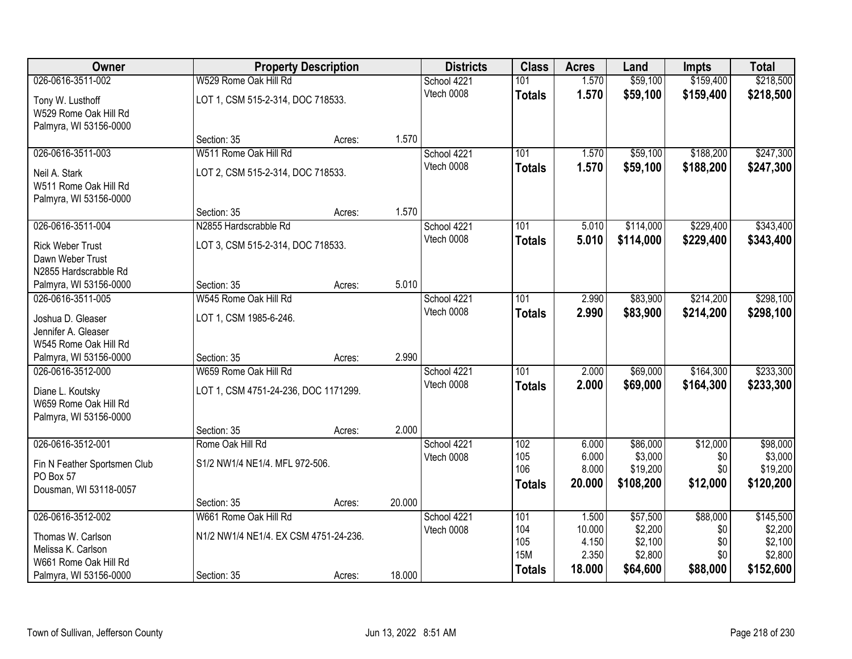| Owner                        |                                       | <b>Property Description</b> |        | <b>Districts</b> | <b>Class</b>     | <b>Acres</b>    | Land                | <b>Impts</b> | <b>Total</b>        |
|------------------------------|---------------------------------------|-----------------------------|--------|------------------|------------------|-----------------|---------------------|--------------|---------------------|
| 026-0616-3511-002            | W529 Rome Oak Hill Rd                 |                             |        | School 4221      | 101              | 1.570           | \$59,100            | \$159,400    | \$218,500           |
| Tony W. Lusthoff             | LOT 1, CSM 515-2-314, DOC 718533.     |                             |        | Vtech 0008       | <b>Totals</b>    | 1.570           | \$59,100            | \$159,400    | \$218,500           |
| W529 Rome Oak Hill Rd        |                                       |                             |        |                  |                  |                 |                     |              |                     |
| Palmyra, WI 53156-0000       |                                       |                             |        |                  |                  |                 |                     |              |                     |
|                              | Section: 35                           | Acres:                      | 1.570  |                  |                  |                 |                     |              |                     |
| 026-0616-3511-003            | W511 Rome Oak Hill Rd                 |                             |        | School 4221      | 101              | 1.570           | \$59,100            | \$188,200    | \$247,300           |
| Neil A. Stark                | LOT 2, CSM 515-2-314, DOC 718533.     |                             |        | Vtech 0008       | <b>Totals</b>    | 1.570           | \$59,100            | \$188,200    | \$247,300           |
| W511 Rome Oak Hill Rd        |                                       |                             |        |                  |                  |                 |                     |              |                     |
| Palmyra, WI 53156-0000       |                                       |                             |        |                  |                  |                 |                     |              |                     |
|                              | Section: 35                           | Acres:                      | 1.570  |                  |                  |                 |                     |              |                     |
| 026-0616-3511-004            | N2855 Hardscrabble Rd                 |                             |        | School 4221      | 101              | 5.010           | \$114,000           | \$229,400    | \$343,400           |
| <b>Rick Weber Trust</b>      | LOT 3, CSM 515-2-314, DOC 718533.     |                             |        | Vtech 0008       | <b>Totals</b>    | 5.010           | \$114,000           | \$229,400    | \$343,400           |
| Dawn Weber Trust             |                                       |                             |        |                  |                  |                 |                     |              |                     |
| N2855 Hardscrabble Rd        |                                       |                             |        |                  |                  |                 |                     |              |                     |
| Palmyra, WI 53156-0000       | Section: 35                           | Acres:                      | 5.010  |                  |                  |                 |                     |              |                     |
| 026-0616-3511-005            | W545 Rome Oak Hill Rd                 |                             |        | School 4221      | 101              | 2.990           | \$83,900            | \$214,200    | \$298,100           |
| Joshua D. Gleaser            | LOT 1, CSM 1985-6-246.                |                             |        | Vtech 0008       | <b>Totals</b>    | 2.990           | \$83,900            | \$214,200    | \$298,100           |
| Jennifer A. Gleaser          |                                       |                             |        |                  |                  |                 |                     |              |                     |
| W545 Rome Oak Hill Rd        |                                       |                             |        |                  |                  |                 |                     |              |                     |
| Palmyra, WI 53156-0000       | Section: 35                           | Acres:                      | 2.990  |                  |                  |                 |                     |              |                     |
| 026-0616-3512-000            | W659 Rome Oak Hill Rd                 |                             |        | School 4221      | $\overline{101}$ | 2.000           | \$69,000            | \$164,300    | \$233,300           |
| Diane L. Koutsky             | LOT 1, CSM 4751-24-236, DOC 1171299.  |                             |        | Vtech 0008       | <b>Totals</b>    | 2.000           | \$69,000            | \$164,300    | \$233,300           |
| W659 Rome Oak Hill Rd        |                                       |                             |        |                  |                  |                 |                     |              |                     |
| Palmyra, WI 53156-0000       |                                       |                             |        |                  |                  |                 |                     |              |                     |
|                              | Section: 35                           | Acres:                      | 2.000  |                  |                  |                 |                     |              |                     |
| 026-0616-3512-001            | Rome Oak Hill Rd                      |                             |        | School 4221      | 102<br>105       | 6.000<br>6.000  | \$86,000<br>\$3,000 | \$12,000     | \$98,000<br>\$3,000 |
| Fin N Feather Sportsmen Club | S1/2 NW1/4 NE1/4. MFL 972-506.        |                             |        | Vtech 0008       | 106              | 8.000           | \$19,200            | \$0<br>\$0   | \$19,200            |
| PO Box 57                    |                                       |                             |        |                  | <b>Totals</b>    | 20.000          | \$108,200           | \$12,000     | \$120,200           |
| Dousman, WI 53118-0057       |                                       |                             |        |                  |                  |                 |                     |              |                     |
|                              | Section: 35                           | Acres:                      | 20.000 |                  |                  |                 |                     |              |                     |
| 026-0616-3512-002            | W661 Rome Oak Hill Rd                 |                             |        | School 4221      | 101<br>104       | 1.500<br>10.000 | \$57,500            | \$88,000     | \$145,500           |
| Thomas W. Carlson            | N1/2 NW1/4 NE1/4. EX CSM 4751-24-236. |                             |        | Vtech 0008       | 105              | 4.150           | \$2,200<br>\$2,100  | \$0<br>\$0   | \$2,200<br>\$2,100  |
| Melissa K. Carlson           |                                       |                             |        |                  | <b>15M</b>       | 2.350           | \$2,800             | \$0          | \$2,800             |
| W661 Rome Oak Hill Rd        |                                       |                             |        |                  | <b>Totals</b>    | 18.000          | \$64,600            | \$88,000     | \$152,600           |
| Palmyra, WI 53156-0000       | Section: 35                           | Acres:                      | 18.000 |                  |                  |                 |                     |              |                     |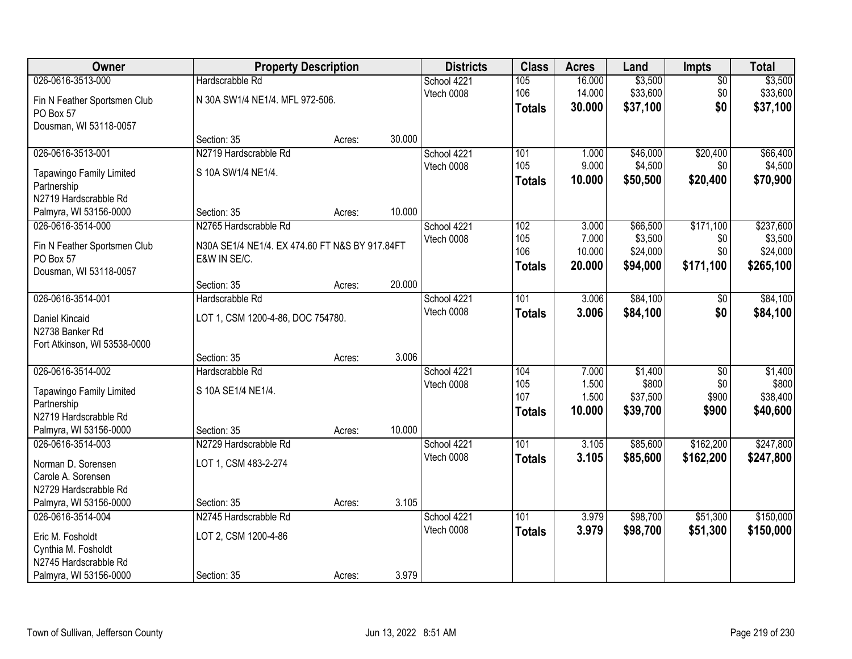| Owner                                   | <b>Property Description</b>                    |        |        | <b>Districts</b> | <b>Class</b>  | <b>Acres</b> | Land     | Impts           | <b>Total</b> |
|-----------------------------------------|------------------------------------------------|--------|--------|------------------|---------------|--------------|----------|-----------------|--------------|
| 026-0616-3513-000                       | Hardscrabble Rd                                |        |        | School 4221      | 105           | 16.000       | \$3,500  | $\overline{50}$ | \$3,500      |
| Fin N Feather Sportsmen Club            | N 30A SW1/4 NE1/4. MFL 972-506.                |        |        | Vtech 0008       | 106           | 14.000       | \$33,600 | \$0             | \$33,600     |
| PO Box 57                               |                                                |        |        |                  | <b>Totals</b> | 30.000       | \$37,100 | \$0             | \$37,100     |
| Dousman, WI 53118-0057                  |                                                |        |        |                  |               |              |          |                 |              |
|                                         | Section: 35                                    | Acres: | 30.000 |                  |               |              |          |                 |              |
| 026-0616-3513-001                       | N2719 Hardscrabble Rd                          |        |        | School 4221      | 101           | 1.000        | \$46,000 | \$20,400        | \$66,400     |
| Tapawingo Family Limited                | S 10A SW1/4 NE1/4.                             |        |        | Vtech 0008       | 105           | 9.000        | \$4,500  | \$0             | \$4,500      |
| Partnership                             |                                                |        |        |                  | <b>Totals</b> | 10.000       | \$50,500 | \$20,400        | \$70,900     |
| N2719 Hardscrabble Rd                   |                                                |        |        |                  |               |              |          |                 |              |
| Palmyra, WI 53156-0000                  | Section: 35                                    | Acres: | 10.000 |                  |               |              |          |                 |              |
| 026-0616-3514-000                       | N2765 Hardscrabble Rd                          |        |        | School 4221      | 102           | 3.000        | \$66,500 | \$171,100       | \$237,600    |
| Fin N Feather Sportsmen Club            | N30A SE1/4 NE1/4. EX 474.60 FT N&S BY 917.84FT |        |        | Vtech 0008       | 105           | 7.000        | \$3,500  | \$0             | \$3,500      |
| PO Box 57                               | E&W IN SE/C.                                   |        |        |                  | 106           | 10.000       | \$24,000 | \$0             | \$24,000     |
| Dousman, WI 53118-0057                  |                                                |        |        |                  | <b>Totals</b> | 20.000       | \$94,000 | \$171,100       | \$265,100    |
|                                         | Section: 35                                    | Acres: | 20.000 |                  |               |              |          |                 |              |
| 026-0616-3514-001                       | Hardscrabble Rd                                |        |        | School 4221      | 101           | 3.006        | \$84,100 | \$0             | \$84,100     |
| Daniel Kincaid                          | LOT 1, CSM 1200-4-86, DOC 754780.              |        |        | Vtech 0008       | <b>Totals</b> | 3.006        | \$84,100 | \$0             | \$84,100     |
| N2738 Banker Rd                         |                                                |        |        |                  |               |              |          |                 |              |
| Fort Atkinson, WI 53538-0000            |                                                |        |        |                  |               |              |          |                 |              |
|                                         | Section: 35                                    | Acres: | 3.006  |                  |               |              |          |                 |              |
| 026-0616-3514-002                       | Hardscrabble Rd                                |        |        | School 4221      | 104           | 7.000        | \$1,400  | \$0             | \$1,400      |
|                                         | S 10A SE1/4 NE1/4.                             |        |        | Vtech 0008       | 105           | 1.500        | \$800    | \$0             | \$800        |
| Tapawingo Family Limited<br>Partnership |                                                |        |        |                  | 107           | 1.500        | \$37,500 | \$900           | \$38,400     |
| N2719 Hardscrabble Rd                   |                                                |        |        |                  | <b>Totals</b> | 10.000       | \$39,700 | \$900           | \$40,600     |
| Palmyra, WI 53156-0000                  | Section: 35                                    | Acres: | 10.000 |                  |               |              |          |                 |              |
| 026-0616-3514-003                       | N2729 Hardscrabble Rd                          |        |        | School 4221      | 101           | 3.105        | \$85,600 | \$162,200       | \$247,800    |
| Norman D. Sorensen                      | LOT 1, CSM 483-2-274                           |        |        | Vtech 0008       | <b>Totals</b> | 3.105        | \$85,600 | \$162,200       | \$247,800    |
| Carole A. Sorensen                      |                                                |        |        |                  |               |              |          |                 |              |
| N2729 Hardscrabble Rd                   |                                                |        |        |                  |               |              |          |                 |              |
| Palmyra, WI 53156-0000                  | Section: 35                                    | Acres: | 3.105  |                  |               |              |          |                 |              |
| 026-0616-3514-004                       | N2745 Hardscrabble Rd                          |        |        | School 4221      | 101           | 3.979        | \$98,700 | \$51,300        | \$150,000    |
| Eric M. Fosholdt                        | LOT 2, CSM 1200-4-86                           |        |        | Vtech 0008       | <b>Totals</b> | 3.979        | \$98,700 | \$51,300        | \$150,000    |
| Cynthia M. Fosholdt                     |                                                |        |        |                  |               |              |          |                 |              |
| N2745 Hardscrabble Rd                   |                                                |        |        |                  |               |              |          |                 |              |
| Palmyra, WI 53156-0000                  | Section: 35                                    | Acres: | 3.979  |                  |               |              |          |                 |              |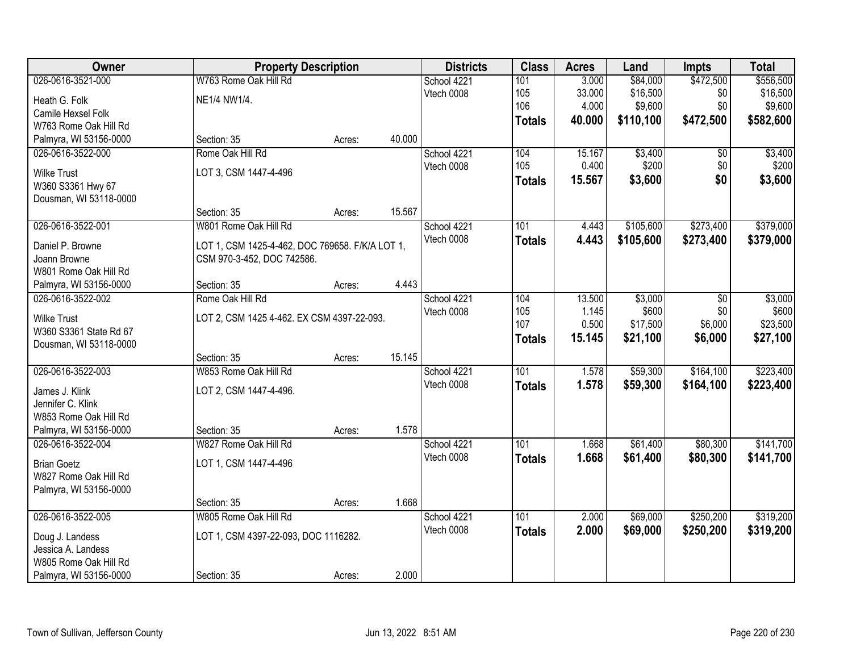| Owner                  | <b>Property Description</b>                     |        |        | <b>Districts</b> | <b>Class</b>  | <b>Acres</b> | Land      | <b>Impts</b> | <b>Total</b> |
|------------------------|-------------------------------------------------|--------|--------|------------------|---------------|--------------|-----------|--------------|--------------|
| 026-0616-3521-000      | W763 Rome Oak Hill Rd                           |        |        | School 4221      | 101           | 3.000        | \$84,000  | \$472,500    | \$556,500    |
| Heath G. Folk          | NE1/4 NW1/4.                                    |        |        | Vtech 0008       | 105           | 33.000       | \$16,500  | \$0          | \$16,500     |
| Camile Hexsel Folk     |                                                 |        |        |                  | 106           | 4.000        | \$9,600   | \$0          | \$9,600      |
| W763 Rome Oak Hill Rd  |                                                 |        |        |                  | <b>Totals</b> | 40.000       | \$110,100 | \$472,500    | \$582,600    |
| Palmyra, WI 53156-0000 | Section: 35                                     | Acres: | 40.000 |                  |               |              |           |              |              |
| 026-0616-3522-000      | Rome Oak Hill Rd                                |        |        | School 4221      | 104           | 15.167       | \$3,400   | \$0          | \$3,400      |
| <b>Wilke Trust</b>     | LOT 3, CSM 1447-4-496                           |        |        | Vtech 0008       | 105           | 0.400        | \$200     | \$0          | \$200        |
| W360 S3361 Hwy 67      |                                                 |        |        |                  | <b>Totals</b> | 15.567       | \$3,600   | \$0          | \$3,600      |
| Dousman, WI 53118-0000 |                                                 |        |        |                  |               |              |           |              |              |
|                        | Section: 35                                     | Acres: | 15.567 |                  |               |              |           |              |              |
| 026-0616-3522-001      | W801 Rome Oak Hill Rd                           |        |        | School 4221      | 101           | 4.443        | \$105,600 | \$273,400    | \$379,000    |
| Daniel P. Browne       | LOT 1, CSM 1425-4-462, DOC 769658. F/K/A LOT 1, |        |        | Vtech 0008       | <b>Totals</b> | 4.443        | \$105,600 | \$273,400    | \$379,000    |
| Joann Browne           | CSM 970-3-452, DOC 742586.                      |        |        |                  |               |              |           |              |              |
| W801 Rome Oak Hill Rd  |                                                 |        |        |                  |               |              |           |              |              |
| Palmyra, WI 53156-0000 | Section: 35                                     | Acres: | 4.443  |                  |               |              |           |              |              |
| 026-0616-3522-002      | Rome Oak Hill Rd                                |        |        | School 4221      | 104           | 13.500       | \$3,000   | \$0          | \$3,000      |
| <b>Wilke Trust</b>     | LOT 2, CSM 1425 4-462. EX CSM 4397-22-093.      |        |        | Vtech 0008       | 105           | 1.145        | \$600     | \$0          | \$600        |
| W360 S3361 State Rd 67 |                                                 |        |        |                  | 107           | 0.500        | \$17,500  | \$6,000      | \$23,500     |
| Dousman, WI 53118-0000 |                                                 |        |        |                  | <b>Totals</b> | 15.145       | \$21,100  | \$6,000      | \$27,100     |
|                        | Section: 35                                     | Acres: | 15.145 |                  |               |              |           |              |              |
| 026-0616-3522-003      | W853 Rome Oak Hill Rd                           |        |        | School 4221      | 101           | 1.578        | \$59,300  | \$164,100    | \$223,400    |
| James J. Klink         | LOT 2, CSM 1447-4-496.                          |        |        | Vtech 0008       | <b>Totals</b> | 1.578        | \$59,300  | \$164,100    | \$223,400    |
| Jennifer C. Klink      |                                                 |        |        |                  |               |              |           |              |              |
| W853 Rome Oak Hill Rd  |                                                 |        |        |                  |               |              |           |              |              |
| Palmyra, WI 53156-0000 | Section: 35                                     | Acres: | 1.578  |                  |               |              |           |              |              |
| 026-0616-3522-004      | W827 Rome Oak Hill Rd                           |        |        | School 4221      | 101           | 1.668        | \$61,400  | \$80,300     | \$141,700    |
| <b>Brian Goetz</b>     | LOT 1, CSM 1447-4-496                           |        |        | Vtech 0008       | <b>Totals</b> | 1.668        | \$61,400  | \$80,300     | \$141,700    |
| W827 Rome Oak Hill Rd  |                                                 |        |        |                  |               |              |           |              |              |
| Palmyra, WI 53156-0000 |                                                 |        |        |                  |               |              |           |              |              |
|                        | Section: 35                                     | Acres: | 1.668  |                  |               |              |           |              |              |
| 026-0616-3522-005      | W805 Rome Oak Hill Rd                           |        |        | School 4221      | 101           | 2.000        | \$69,000  | \$250,200    | \$319,200    |
| Doug J. Landess        | LOT 1, CSM 4397-22-093, DOC 1116282.            |        |        | Vtech 0008       | <b>Totals</b> | 2.000        | \$69,000  | \$250,200    | \$319,200    |
| Jessica A. Landess     |                                                 |        |        |                  |               |              |           |              |              |
| W805 Rome Oak Hill Rd  |                                                 |        |        |                  |               |              |           |              |              |
| Palmyra, WI 53156-0000 | Section: 35                                     | Acres: | 2.000  |                  |               |              |           |              |              |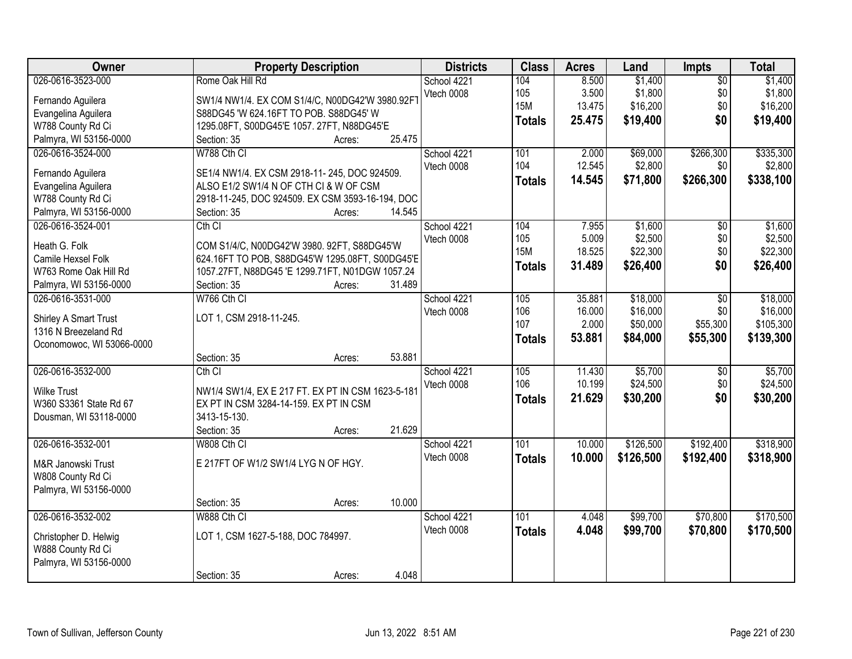| Owner                     | <b>Property Description</b>                       | <b>Districts</b> | <b>Class</b>  | <b>Acres</b> | Land      | <b>Impts</b>           | <b>Total</b> |
|---------------------------|---------------------------------------------------|------------------|---------------|--------------|-----------|------------------------|--------------|
| 026-0616-3523-000         | Rome Oak Hill Rd                                  | School 4221      | 104           | 8.500        | \$1,400   | $\overline{50}$        | \$1,400      |
| Fernando Aguilera         | SW1/4 NW1/4. EX COM S1/4/C, N00DG42'W 3980.92F1   | Vtech 0008       | 105           | 3.500        | \$1,800   | \$0                    | \$1,800      |
| Evangelina Aguilera       | S88DG45 'W 624.16FT TO POB. S88DG45' W            |                  | <b>15M</b>    | 13.475       | \$16,200  | \$0                    | \$16,200     |
| W788 County Rd Ci         | 1295.08FT, S00DG45'E 1057. 27FT, N88DG45'E        |                  | <b>Totals</b> | 25.475       | \$19,400  | \$0                    | \$19,400     |
| Palmyra, WI 53156-0000    | 25.475<br>Section: 35<br>Acres:                   |                  |               |              |           |                        |              |
| 026-0616-3524-000         | W788 Cth CI                                       | School 4221      | 101           | 2.000        | \$69,000  | \$266,300              | \$335,300    |
|                           |                                                   | Vtech 0008       | 104           | 12.545       | \$2,800   | \$0                    | \$2,800      |
| Fernando Aguilera         | SE1/4 NW1/4. EX CSM 2918-11-245, DOC 924509.      |                  | <b>Totals</b> | 14.545       | \$71,800  | \$266,300              | \$338,100    |
| Evangelina Aguilera       | ALSO E1/2 SW1/4 N OF CTH CI & W OF CSM            |                  |               |              |           |                        |              |
| W788 County Rd Ci         | 2918-11-245, DOC 924509. EX CSM 3593-16-194, DOC  |                  |               |              |           |                        |              |
| Palmyra, WI 53156-0000    | 14.545<br>Section: 35<br>Acres:                   |                  |               |              |           |                        |              |
| 026-0616-3524-001         | Cth <sub>Cl</sub>                                 | School 4221      | 104           | 7.955        | \$1,600   | $\overline{50}$        | \$1,600      |
| Heath G. Folk             | COM S1/4/C, N00DG42'W 3980. 92FT, S88DG45'W       | Vtech 0008       | 105           | 5.009        | \$2,500   | \$0                    | \$2,500      |
| Camile Hexsel Folk        | 624.16FT TO POB, S88DG45'W 1295.08FT, S00DG45'E   |                  | <b>15M</b>    | 18.525       | \$22,300  | \$0                    | \$22,300     |
| W763 Rome Oak Hill Rd     | 1057.27FT, N88DG45 'E 1299.71FT, N01DGW 1057.24   |                  | <b>Totals</b> | 31.489       | \$26,400  | \$0                    | \$26,400     |
| Palmyra, WI 53156-0000    | 31.489<br>Section: 35<br>Acres:                   |                  |               |              |           |                        |              |
| 026-0616-3531-000         | W766 Cth CI                                       | School 4221      | 105           | 35.881       | \$18,000  | \$0                    | \$18,000     |
|                           |                                                   | Vtech 0008       | 106           | 16.000       | \$16,000  | \$0                    | \$16,000     |
| Shirley A Smart Trust     | LOT 1, CSM 2918-11-245.                           |                  | 107           | 2.000        | \$50,000  | \$55,300               | \$105,300    |
| 1316 N Breezeland Rd      |                                                   |                  | <b>Totals</b> | 53.881       | \$84,000  | \$55,300               | \$139,300    |
| Oconomowoc, WI 53066-0000 | 53.881                                            |                  |               |              |           |                        |              |
| 026-0616-3532-000         | Section: 35<br>Acres:<br>Cth CI                   |                  | 105           | 11.430       | \$5,700   |                        | \$5,700      |
|                           |                                                   | School 4221      | 106           | 10.199       | \$24,500  | $\overline{60}$<br>\$0 | \$24,500     |
| <b>Wilke Trust</b>        | NW1/4 SW1/4, EX E 217 FT. EX PT IN CSM 1623-5-181 | Vtech 0008       |               |              |           | \$0                    |              |
| W360 S3361 State Rd 67    | EX PT IN CSM 3284-14-159. EX PT IN CSM            |                  | <b>Totals</b> | 21.629       | \$30,200  |                        | \$30,200     |
| Dousman, WI 53118-0000    | 3413-15-130.                                      |                  |               |              |           |                        |              |
|                           | 21.629<br>Section: 35<br>Acres:                   |                  |               |              |           |                        |              |
| 026-0616-3532-001         | W808 Cth CI                                       | School 4221      | 101           | 10.000       | \$126,500 | \$192,400              | \$318,900    |
| M&R Janowski Trust        | E 217FT OF W1/2 SW1/4 LYG N OF HGY.               | Vtech 0008       | <b>Totals</b> | 10.000       | \$126,500 | \$192,400              | \$318,900    |
| W808 County Rd Ci         |                                                   |                  |               |              |           |                        |              |
| Palmyra, WI 53156-0000    |                                                   |                  |               |              |           |                        |              |
|                           | 10.000<br>Section: 35<br>Acres:                   |                  |               |              |           |                        |              |
| 026-0616-3532-002         | W888 Cth CI                                       | School 4221      | 101           | 4.048        | \$99,700  | \$70,800               | \$170,500    |
|                           |                                                   | Vtech 0008       | <b>Totals</b> | 4.048        | \$99,700  | \$70,800               | \$170,500    |
| Christopher D. Helwig     | LOT 1, CSM 1627-5-188, DOC 784997.                |                  |               |              |           |                        |              |
| W888 County Rd Ci         |                                                   |                  |               |              |           |                        |              |
| Palmyra, WI 53156-0000    |                                                   |                  |               |              |           |                        |              |
|                           | 4.048<br>Section: 35<br>Acres:                    |                  |               |              |           |                        |              |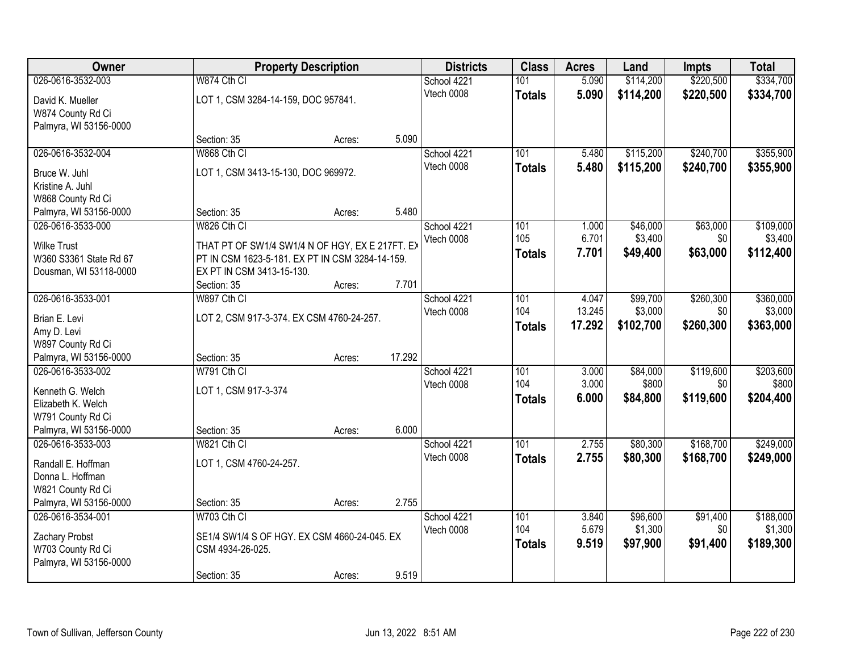| Owner                  |                                                 | <b>Property Description</b> |        | <b>Districts</b> | <b>Class</b>  | <b>Acres</b> | Land      | <b>Impts</b> | <b>Total</b> |
|------------------------|-------------------------------------------------|-----------------------------|--------|------------------|---------------|--------------|-----------|--------------|--------------|
| 026-0616-3532-003      | W874 Cth CI                                     |                             |        | School 4221      | 101           | 5.090        | \$114,200 | \$220,500    | \$334,700    |
| David K. Mueller       | LOT 1, CSM 3284-14-159, DOC 957841.             |                             |        | Vtech 0008       | <b>Totals</b> | 5.090        | \$114,200 | \$220,500    | \$334,700    |
| W874 County Rd Ci      |                                                 |                             |        |                  |               |              |           |              |              |
| Palmyra, WI 53156-0000 |                                                 |                             |        |                  |               |              |           |              |              |
|                        | Section: 35                                     | Acres:                      | 5.090  |                  |               |              |           |              |              |
| 026-0616-3532-004      | W868 Cth CI                                     |                             |        | School 4221      | 101           | 5.480        | \$115,200 | \$240,700    | \$355,900    |
| Bruce W. Juhl          | LOT 1, CSM 3413-15-130, DOC 969972.             |                             |        | Vtech 0008       | <b>Totals</b> | 5.480        | \$115,200 | \$240,700    | \$355,900    |
| Kristine A. Juhl       |                                                 |                             |        |                  |               |              |           |              |              |
| W868 County Rd Ci      |                                                 |                             |        |                  |               |              |           |              |              |
| Palmyra, WI 53156-0000 | Section: 35                                     | Acres:                      | 5.480  |                  |               |              |           |              |              |
| 026-0616-3533-000      | W826 Cth CI                                     |                             |        | School 4221      | 101           | 1.000        | \$46,000  | \$63,000     | \$109,000    |
| <b>Wilke Trust</b>     | THAT PT OF SW1/4 SW1/4 N OF HGY, EX E 217FT. EX |                             |        | Vtech 0008       | 105           | 6.701        | \$3,400   | \$0          | \$3,400      |
| W360 S3361 State Rd 67 | PT IN CSM 1623-5-181. EX PT IN CSM 3284-14-159. |                             |        |                  | <b>Totals</b> | 7.701        | \$49,400  | \$63,000     | \$112,400    |
| Dousman, WI 53118-0000 | EX PT IN CSM 3413-15-130.                       |                             |        |                  |               |              |           |              |              |
|                        | Section: 35                                     | Acres:                      | 7.701  |                  |               |              |           |              |              |
| 026-0616-3533-001      | W897 Cth CI                                     |                             |        | School 4221      | 101           | 4.047        | \$99,700  | \$260,300    | \$360,000    |
| Brian E. Levi          | LOT 2, CSM 917-3-374. EX CSM 4760-24-257.       |                             |        | Vtech 0008       | 104           | 13.245       | \$3,000   | \$0          | \$3,000      |
| Amy D. Levi            |                                                 |                             |        |                  | <b>Totals</b> | 17.292       | \$102,700 | \$260,300    | \$363,000    |
| W897 County Rd Ci      |                                                 |                             |        |                  |               |              |           |              |              |
| Palmyra, WI 53156-0000 | Section: 35                                     | Acres:                      | 17.292 |                  |               |              |           |              |              |
| 026-0616-3533-002      | W791 Cth CI                                     |                             |        | School 4221      | 101           | 3.000        | \$84,000  | \$119,600    | \$203,600    |
| Kenneth G. Welch       | LOT 1, CSM 917-3-374                            |                             |        | Vtech 0008       | 104           | 3.000        | \$800     | \$0          | \$800        |
| Elizabeth K. Welch     |                                                 |                             |        |                  | <b>Totals</b> | 6.000        | \$84,800  | \$119,600    | \$204,400    |
| W791 County Rd Ci      |                                                 |                             |        |                  |               |              |           |              |              |
| Palmyra, WI 53156-0000 | Section: 35                                     | Acres:                      | 6.000  |                  |               |              |           |              |              |
| 026-0616-3533-003      | W821 Cth CI                                     |                             |        | School 4221      | 101           | 2.755        | \$80,300  | \$168,700    | \$249,000    |
| Randall E. Hoffman     | LOT 1, CSM 4760-24-257.                         |                             |        | Vtech 0008       | <b>Totals</b> | 2.755        | \$80,300  | \$168,700    | \$249,000    |
| Donna L. Hoffman       |                                                 |                             |        |                  |               |              |           |              |              |
| W821 County Rd Ci      |                                                 |                             |        |                  |               |              |           |              |              |
| Palmyra, WI 53156-0000 | Section: 35                                     | Acres:                      | 2.755  |                  |               |              |           |              |              |
| 026-0616-3534-001      | W703 Cth CI                                     |                             |        | School 4221      | 101           | 3.840        | \$96,600  | \$91,400     | \$188,000    |
| Zachary Probst         | SE1/4 SW1/4 S OF HGY. EX CSM 4660-24-045. EX    |                             |        | Vtech 0008       | 104           | 5.679        | \$1,300   | \$0          | \$1,300      |
| W703 County Rd Ci      | CSM 4934-26-025.                                |                             |        |                  | <b>Totals</b> | 9.519        | \$97,900  | \$91,400     | \$189,300    |
| Palmyra, WI 53156-0000 |                                                 |                             |        |                  |               |              |           |              |              |
|                        | Section: 35                                     | Acres:                      | 9.519  |                  |               |              |           |              |              |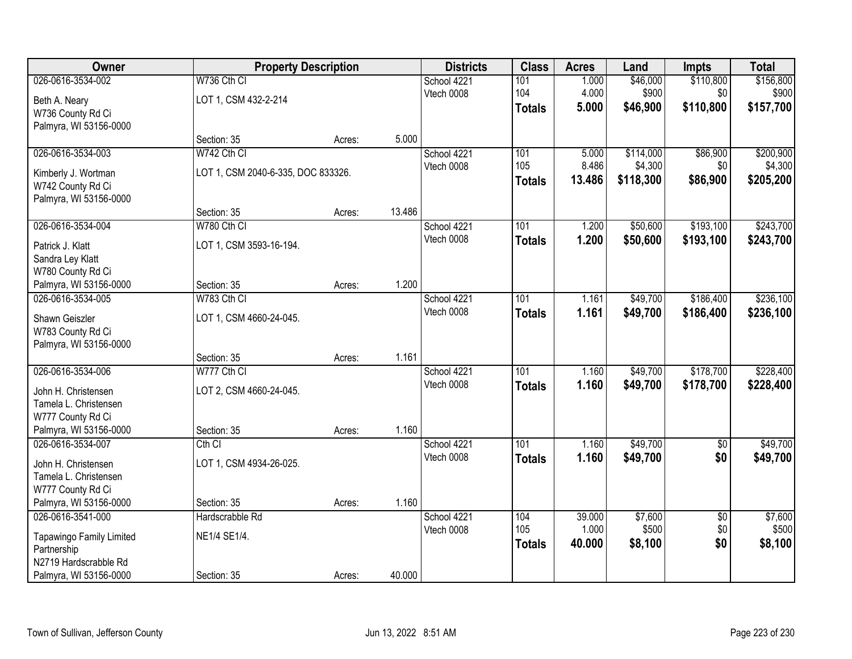| Owner                                       |                                    | <b>Property Description</b> |        | <b>Districts</b>          | <b>Class</b>         | <b>Acres</b>   | Land                 | <b>Impts</b>           | <b>Total</b>         |
|---------------------------------------------|------------------------------------|-----------------------------|--------|---------------------------|----------------------|----------------|----------------------|------------------------|----------------------|
| 026-0616-3534-002                           | W736 Cth CI                        |                             |        | School 4221               | 101                  | 1.000          | \$46,000             | \$110,800              | \$156,800            |
| Beth A. Neary                               | LOT 1, CSM 432-2-214               |                             |        | Vtech 0008                | 104<br><b>Totals</b> | 4.000<br>5.000 | \$900<br>\$46,900    | \$0<br>\$110,800       | \$900<br>\$157,700   |
| W736 County Rd Ci<br>Palmyra, WI 53156-0000 |                                    |                             |        |                           |                      |                |                      |                        |                      |
|                                             | Section: 35                        | Acres:                      | 5.000  |                           |                      |                |                      |                        |                      |
| 026-0616-3534-003                           | W742 Cth CI                        |                             |        | School 4221               | 101                  | 5.000          | \$114,000            | \$86,900               | \$200,900            |
| Kimberly J. Wortman                         | LOT 1, CSM 2040-6-335, DOC 833326. |                             |        | Vtech 0008                | 105                  | 8.486          | \$4,300              | \$0                    | \$4,300              |
| W742 County Rd Ci                           |                                    |                             |        |                           | <b>Totals</b>        | 13.486         | \$118,300            | \$86,900               | \$205,200            |
| Palmyra, WI 53156-0000                      | Section: 35                        | Acres:                      | 13.486 |                           |                      |                |                      |                        |                      |
| 026-0616-3534-004                           | W780 Cth CI                        |                             |        | School 4221               | 101                  | 1.200          | \$50,600             | \$193,100              | \$243,700            |
|                                             | LOT 1, CSM 3593-16-194.            |                             |        | Vtech 0008                | <b>Totals</b>        | 1.200          | \$50,600             | \$193,100              | \$243,700            |
| Patrick J. Klatt<br>Sandra Ley Klatt        |                                    |                             |        |                           |                      |                |                      |                        |                      |
| W780 County Rd Ci                           |                                    |                             |        |                           |                      |                |                      |                        |                      |
| Palmyra, WI 53156-0000                      | Section: 35                        | Acres:                      | 1.200  |                           |                      |                |                      |                        |                      |
| 026-0616-3534-005                           | W783 Cth CI                        |                             |        | School 4221               | 101                  | 1.161          | \$49,700             | \$186,400              | \$236,100            |
| Shawn Geiszler                              | LOT 1, CSM 4660-24-045.            |                             |        | Vtech 0008                | <b>Totals</b>        | 1.161          | \$49,700             | \$186,400              | \$236,100            |
| W783 County Rd Ci                           |                                    |                             |        |                           |                      |                |                      |                        |                      |
| Palmyra, WI 53156-0000                      | Section: 35                        | Acres:                      | 1.161  |                           |                      |                |                      |                        |                      |
| 026-0616-3534-006                           | W777 Cth CI                        |                             |        | School 4221               | 101                  | 1.160          | \$49,700             | \$178,700              | \$228,400            |
| John H. Christensen                         | LOT 2, CSM 4660-24-045.            |                             |        | Vtech 0008                | <b>Totals</b>        | 1.160          | \$49,700             | \$178,700              | \$228,400            |
| Tamela L. Christensen                       |                                    |                             |        |                           |                      |                |                      |                        |                      |
| W777 County Rd Ci                           |                                    |                             |        |                           |                      |                |                      |                        |                      |
| Palmyra, WI 53156-0000                      | Section: 35                        | Acres:                      | 1.160  |                           |                      |                |                      |                        |                      |
| 026-0616-3534-007                           | $Cth$ $Cl$                         |                             |        | School 4221<br>Vtech 0008 | 101<br><b>Totals</b> | 1.160<br>1.160 | \$49,700<br>\$49,700 | $\overline{50}$<br>\$0 | \$49,700<br>\$49,700 |
| John H. Christensen                         | LOT 1, CSM 4934-26-025.            |                             |        |                           |                      |                |                      |                        |                      |
| Tamela L. Christensen<br>W777 County Rd Ci  |                                    |                             |        |                           |                      |                |                      |                        |                      |
| Palmyra, WI 53156-0000                      | Section: 35                        | Acres:                      | 1.160  |                           |                      |                |                      |                        |                      |
| 026-0616-3541-000                           | Hardscrabble Rd                    |                             |        | School 4221               | 104                  | 39.000         | \$7,600              | $\overline{50}$        | \$7,600              |
| <b>Tapawingo Family Limited</b>             | NE1/4 SE1/4.                       |                             |        | Vtech 0008                | 105                  | 1.000          | \$500                | \$0                    | \$500                |
| Partnership                                 |                                    |                             |        |                           | <b>Totals</b>        | 40.000         | \$8,100              | \$0                    | \$8,100              |
| N2719 Hardscrabble Rd                       |                                    |                             |        |                           |                      |                |                      |                        |                      |
| Palmyra, WI 53156-0000                      | Section: 35                        | Acres:                      | 40.000 |                           |                      |                |                      |                        |                      |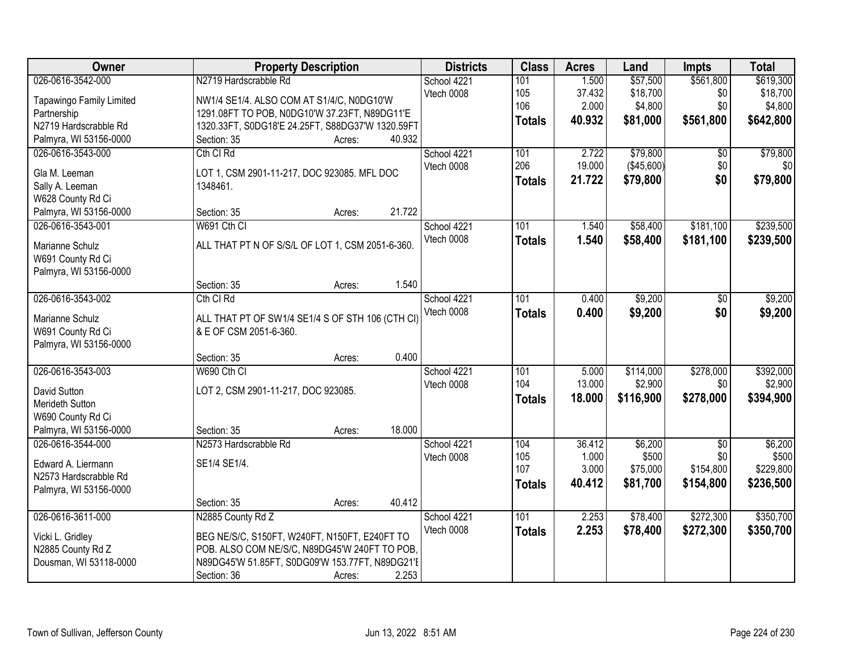| Owner                           |                                                  | <b>Property Description</b> |        | <b>Districts</b> | <b>Class</b>  | <b>Acres</b> | Land       | <b>Impts</b>    | <b>Total</b> |
|---------------------------------|--------------------------------------------------|-----------------------------|--------|------------------|---------------|--------------|------------|-----------------|--------------|
| 026-0616-3542-000               | N2719 Hardscrabble Rd                            |                             |        | School 4221      | 101           | 1.500        | \$57,500   | \$561,800       | \$619,300    |
| <b>Tapawingo Family Limited</b> | NW1/4 SE1/4. ALSO COM AT S1/4/C, N0DG10'W        |                             |        | Vtech 0008       | 105           | 37.432       | \$18,700   | \$0             | \$18,700     |
| Partnership                     | 1291.08FT TO POB, N0DG10'W 37.23FT, N89DG11'E    |                             |        |                  | 106           | 2.000        | \$4,800    | \$0             | \$4,800      |
| N2719 Hardscrabble Rd           | 1320.33FT, S0DG18'E 24.25FT, S88DG37'W 1320.59FT |                             |        |                  | <b>Totals</b> | 40.932       | \$81,000   | \$561,800       | \$642,800    |
| Palmyra, WI 53156-0000          | Section: 35                                      | Acres:                      | 40.932 |                  |               |              |            |                 |              |
| 026-0616-3543-000               | Cth CI Rd                                        |                             |        | School 4221      | 101           | 2.722        | \$79,800   | $\overline{50}$ | \$79,800     |
|                                 |                                                  |                             |        | Vtech 0008       | 206           | 19.000       | (\$45,600) | \$0             | \$0          |
| Gla M. Leeman                   | LOT 1, CSM 2901-11-217, DOC 923085. MFL DOC      |                             |        |                  | <b>Totals</b> | 21.722       | \$79,800   | \$0             | \$79,800     |
| Sally A. Leeman                 | 1348461.                                         |                             |        |                  |               |              |            |                 |              |
| W628 County Rd Ci               |                                                  |                             |        |                  |               |              |            |                 |              |
| Palmyra, WI 53156-0000          | Section: 35                                      | Acres:                      | 21.722 |                  |               |              |            |                 |              |
| 026-0616-3543-001               | W691 Cth CI                                      |                             |        | School 4221      | 101           | 1.540        | \$58,400   | \$181,100       | \$239,500    |
| Marianne Schulz                 | ALL THAT PT N OF S/S/L OF LOT 1, CSM 2051-6-360. |                             |        | Vtech 0008       | <b>Totals</b> | 1.540        | \$58,400   | \$181,100       | \$239,500    |
| W691 County Rd Ci               |                                                  |                             |        |                  |               |              |            |                 |              |
| Palmyra, WI 53156-0000          |                                                  |                             |        |                  |               |              |            |                 |              |
|                                 | Section: 35                                      | Acres:                      | 1.540  |                  |               |              |            |                 |              |
| 026-0616-3543-002               | Cth CI Rd                                        |                             |        | School 4221      | 101           | 0.400        | \$9,200    | \$0             | \$9,200      |
|                                 |                                                  |                             |        | Vtech 0008       | <b>Totals</b> | 0.400        | \$9,200    | \$0             | \$9,200      |
| Marianne Schulz                 | ALL THAT PT OF SW1/4 SE1/4 S OF STH 106 (CTH CI) |                             |        |                  |               |              |            |                 |              |
| W691 County Rd Ci               | & E OF CSM 2051-6-360.                           |                             |        |                  |               |              |            |                 |              |
| Palmyra, WI 53156-0000          |                                                  |                             |        |                  |               |              |            |                 |              |
|                                 | Section: 35                                      | Acres:                      | 0.400  |                  |               |              |            |                 |              |
| 026-0616-3543-003               | W690 Cth CI                                      |                             |        | School 4221      | 101           | 5.000        | \$114,000  | \$278,000       | \$392,000    |
| David Sutton                    | LOT 2, CSM 2901-11-217, DOC 923085.              |                             |        | Vtech 0008       | 104           | 13.000       | \$2,900    | \$0             | \$2,900      |
| Merideth Sutton                 |                                                  |                             |        |                  | <b>Totals</b> | 18.000       | \$116,900  | \$278,000       | \$394,900    |
| W690 County Rd Ci               |                                                  |                             |        |                  |               |              |            |                 |              |
| Palmyra, WI 53156-0000          | Section: 35                                      | Acres:                      | 18.000 |                  |               |              |            |                 |              |
| 026-0616-3544-000               | N2573 Hardscrabble Rd                            |                             |        | School 4221      | 104           | 36.412       | \$6,200    | $\overline{50}$ | \$6,200      |
|                                 |                                                  |                             |        | Vtech 0008       | 105           | 1.000        | \$500      | \$0             | \$500        |
| Edward A. Liermann              | SE1/4 SE1/4.                                     |                             |        |                  | 107           | 3.000        | \$75,000   | \$154,800       | \$229,800    |
| N2573 Hardscrabble Rd           |                                                  |                             |        |                  | <b>Totals</b> | 40.412       | \$81,700   | \$154,800       | \$236,500    |
| Palmyra, WI 53156-0000          |                                                  |                             |        |                  |               |              |            |                 |              |
|                                 | Section: 35                                      | Acres:                      | 40.412 |                  |               |              |            |                 |              |
| 026-0616-3611-000               | N2885 County Rd Z                                |                             |        | School 4221      | 101           | 2.253        | \$78,400   | \$272,300       | \$350,700    |
| Vicki L. Gridley                | BEG NE/S/C, S150FT, W240FT, N150FT, E240FT TO    |                             |        | Vtech 0008       | <b>Totals</b> | 2.253        | \$78,400   | \$272,300       | \$350,700    |
| N2885 County Rd Z               | POB. ALSO COM NE/S/C, N89DG45'W 240FT TO POB,    |                             |        |                  |               |              |            |                 |              |
| Dousman, WI 53118-0000          | N89DG45'W 51.85FT, S0DG09'W 153.77FT, N89DG21'E  |                             |        |                  |               |              |            |                 |              |
|                                 | Section: 36                                      | Acres:                      | 2.253  |                  |               |              |            |                 |              |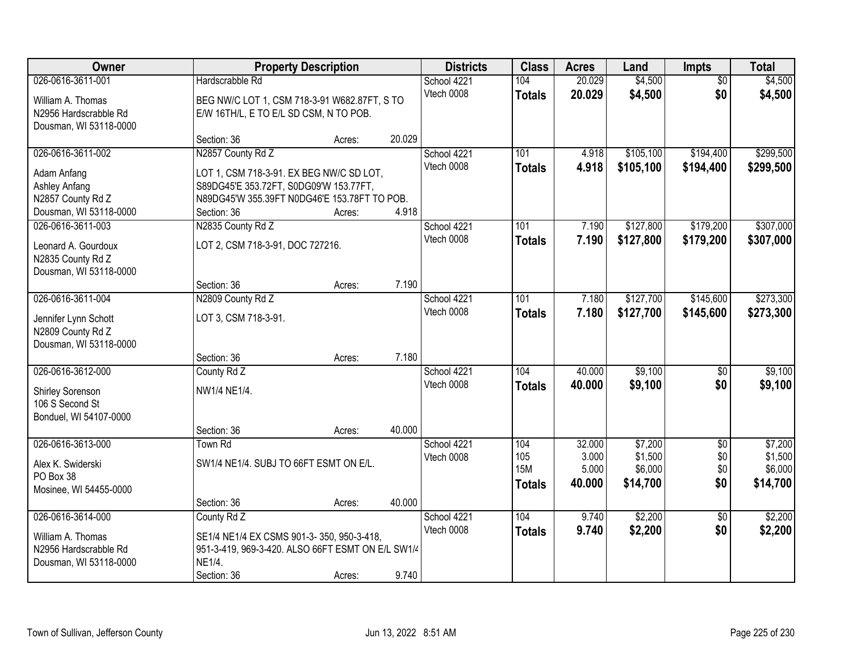| Owner                                                                                            | <b>Property Description</b>                                                                                                                                            |        |        | <b>Districts</b>          | <b>Class</b>                              | <b>Acres</b>                       | Land                                      | <b>Impts</b>                    | <b>Total</b>                              |
|--------------------------------------------------------------------------------------------------|------------------------------------------------------------------------------------------------------------------------------------------------------------------------|--------|--------|---------------------------|-------------------------------------------|------------------------------------|-------------------------------------------|---------------------------------|-------------------------------------------|
| 026-0616-3611-001<br>William A. Thomas<br>N2956 Hardscrabble Rd<br>Dousman, WI 53118-0000        | Hardscrabble Rd<br>BEG NW/C LOT 1, CSM 718-3-91 W682.87FT, S TO<br>E/W 16TH/L, E TO E/L SD CSM, N TO POB.                                                              |        |        | School 4221<br>Vtech 0008 | 104<br><b>Totals</b>                      | 20.029<br>20.029                   | \$4,500<br>\$4,500                        | $\overline{50}$<br>\$0          | \$4,500<br>\$4,500                        |
|                                                                                                  | Section: 36                                                                                                                                                            | Acres: | 20.029 |                           |                                           |                                    |                                           |                                 |                                           |
| 026-0616-3611-002<br>Adam Anfang<br>Ashley Anfang<br>N2857 County Rd Z<br>Dousman, WI 53118-0000 | N2857 County Rd Z<br>LOT 1, CSM 718-3-91. EX BEG NW/C SD LOT,<br>S89DG45'E 353.72FT, S0DG09'W 153.77FT,<br>N89DG45'W 355.39FT N0DG46'E 153.78FT TO POB.<br>Section: 36 | Acres: | 4.918  | School 4221<br>Vtech 0008 | 101<br><b>Totals</b>                      | 4.918<br>4.918                     | \$105,100<br>\$105,100                    | \$194,400<br>\$194,400          | \$299,500<br>\$299,500                    |
| 026-0616-3611-003<br>Leonard A. Gourdoux<br>N2835 County Rd Z<br>Dousman, WI 53118-0000          | N2835 County Rd Z<br>LOT 2, CSM 718-3-91, DOC 727216.<br>Section: 36                                                                                                   | Acres: | 7.190  | School 4221<br>Vtech 0008 | 101<br><b>Totals</b>                      | 7.190<br>7.190                     | \$127,800<br>\$127,800                    | \$179,200<br>\$179,200          | \$307,000<br>\$307,000                    |
| 026-0616-3611-004<br>Jennifer Lynn Schott<br>N2809 County Rd Z<br>Dousman, WI 53118-0000         | N2809 County Rd Z<br>LOT 3, CSM 718-3-91.<br>Section: 36                                                                                                               | Acres: | 7.180  | School 4221<br>Vtech 0008 | 101<br><b>Totals</b>                      | 7.180<br>7.180                     | \$127,700<br>\$127,700                    | \$145,600<br>\$145,600          | \$273,300<br>\$273,300                    |
| 026-0616-3612-000<br><b>Shirley Sorenson</b><br>106 S Second St<br>Bonduel, WI 54107-0000        | County Rd Z<br>NW1/4 NE1/4.<br>Section: 36                                                                                                                             | Acres: | 40.000 | School 4221<br>Vtech 0008 | 104<br><b>Totals</b>                      | 40.000<br>40.000                   | \$9,100<br>\$9,100                        | $\overline{50}$<br>\$0          | \$9,100<br>\$9,100                        |
| 026-0616-3613-000<br>Alex K. Swiderski<br>PO Box 38<br>Mosinee, WI 54455-0000                    | Town Rd<br>SW1/4 NE1/4, SUBJ TO 66FT ESMT ON E/L.<br>Section: 36                                                                                                       | Acres: | 40.000 | School 4221<br>Vtech 0008 | 104<br>105<br><b>15M</b><br><b>Totals</b> | 32.000<br>3.000<br>5.000<br>40.000 | \$7,200<br>\$1,500<br>\$6,000<br>\$14,700 | $\sqrt{6}$<br>\$0<br>\$0<br>\$0 | \$7,200<br>\$1,500<br>\$6,000<br>\$14,700 |
| 026-0616-3614-000<br>William A. Thomas<br>N2956 Hardscrabble Rd<br>Dousman, WI 53118-0000        | County Rd Z<br>SE1/4 NE1/4 EX CSMS 901-3-350, 950-3-418,<br>951-3-419, 969-3-420. ALSO 66FT ESMT ON E/L SW1/4<br>NE1/4.<br>Section: 36                                 | Acres: | 9.740  | School 4221<br>Vtech 0008 | 104<br><b>Totals</b>                      | 9.740<br>9.740                     | \$2,200<br>\$2,200                        | $\overline{50}$<br>\$0          | \$2,200<br>\$2,200                        |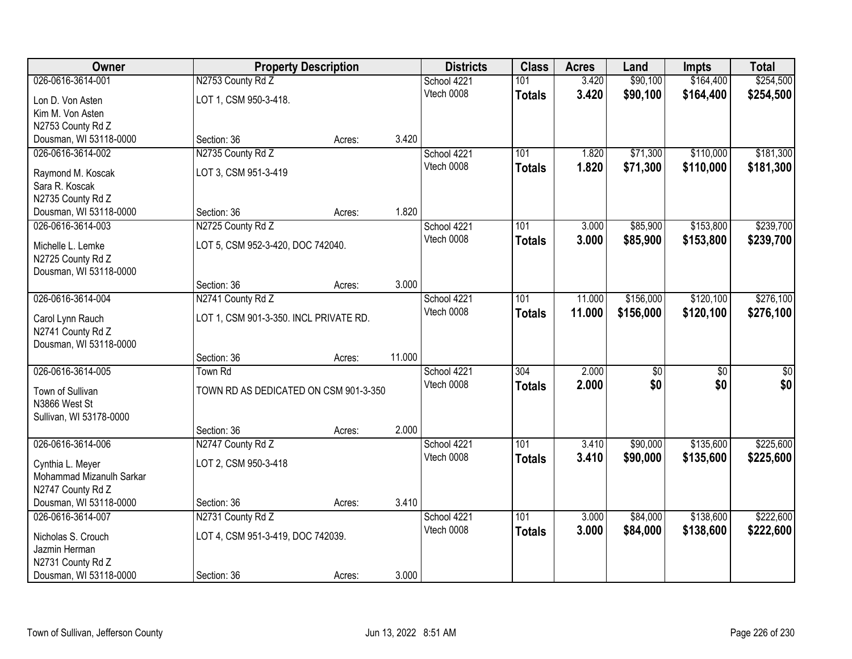| Owner                                       | <b>Property Description</b>            |        |        | <b>Districts</b> | <b>Class</b>  | <b>Acres</b> | Land            | Impts           | <b>Total</b>     |
|---------------------------------------------|----------------------------------------|--------|--------|------------------|---------------|--------------|-----------------|-----------------|------------------|
| 026-0616-3614-001                           | N2753 County Rd Z                      |        |        | School 4221      | 101           | 3.420        | \$90,100        | \$164,400       | \$254,500        |
| Lon D. Von Asten                            | LOT 1, CSM 950-3-418.                  |        |        | Vtech 0008       | <b>Totals</b> | 3.420        | \$90,100        | \$164,400       | \$254,500        |
| Kim M. Von Asten                            |                                        |        |        |                  |               |              |                 |                 |                  |
| N2753 County Rd Z                           |                                        |        |        |                  |               |              |                 |                 |                  |
| Dousman, WI 53118-0000                      | Section: 36                            | Acres: | 3.420  |                  |               |              |                 |                 |                  |
| 026-0616-3614-002                           | N2735 County Rd Z                      |        |        | School 4221      | 101           | 1.820        | \$71,300        | \$110,000       | \$181,300        |
| Raymond M. Koscak                           | LOT 3, CSM 951-3-419                   |        |        | Vtech 0008       | <b>Totals</b> | 1.820        | \$71,300        | \$110,000       | \$181,300        |
| Sara R. Koscak                              |                                        |        |        |                  |               |              |                 |                 |                  |
| N2735 County Rd Z                           |                                        |        |        |                  |               |              |                 |                 |                  |
| Dousman, WI 53118-0000                      | Section: 36                            | Acres: | 1.820  |                  |               |              |                 |                 |                  |
| 026-0616-3614-003                           | N2725 County Rd Z                      |        |        | School 4221      | 101           | 3.000        | \$85,900        | \$153,800       | \$239,700        |
| Michelle L. Lemke                           | LOT 5, CSM 952-3-420, DOC 742040.      |        |        | Vtech 0008       | <b>Totals</b> | 3.000        | \$85,900        | \$153,800       | \$239,700        |
| N2725 County Rd Z                           |                                        |        |        |                  |               |              |                 |                 |                  |
| Dousman, WI 53118-0000                      |                                        |        |        |                  |               |              |                 |                 |                  |
|                                             | Section: 36                            | Acres: | 3.000  |                  |               |              |                 |                 |                  |
| 026-0616-3614-004                           | N2741 County Rd Z                      |        |        | School 4221      | 101           | 11.000       | \$156,000       | \$120,100       | \$276,100        |
|                                             |                                        |        |        | Vtech 0008       | <b>Totals</b> | 11.000       | \$156,000       | \$120,100       | \$276,100        |
| Carol Lynn Rauch<br>N2741 County Rd Z       | LOT 1, CSM 901-3-350. INCL PRIVATE RD. |        |        |                  |               |              |                 |                 |                  |
| Dousman, WI 53118-0000                      |                                        |        |        |                  |               |              |                 |                 |                  |
|                                             | Section: 36                            | Acres: | 11.000 |                  |               |              |                 |                 |                  |
| 026-0616-3614-005                           | <b>Town Rd</b>                         |        |        | School 4221      | 304           | 2.000        | $\overline{50}$ | $\overline{50}$ | $\overline{\$0}$ |
|                                             |                                        |        |        | Vtech 0008       | <b>Totals</b> | 2.000        | \$0             | \$0             | \$0              |
| Town of Sullivan<br>N3866 West St           | TOWN RD AS DEDICATED ON CSM 901-3-350  |        |        |                  |               |              |                 |                 |                  |
| Sullivan, WI 53178-0000                     |                                        |        |        |                  |               |              |                 |                 |                  |
|                                             | Section: 36                            | Acres: | 2.000  |                  |               |              |                 |                 |                  |
| 026-0616-3614-006                           | N2747 County Rd Z                      |        |        | School 4221      | 101           | 3.410        | \$90,000        | \$135,600       | \$225,600        |
|                                             |                                        |        |        | Vtech 0008       | <b>Totals</b> | 3.410        | \$90,000        | \$135,600       | \$225,600        |
| Cynthia L. Meyer                            | LOT 2, CSM 950-3-418                   |        |        |                  |               |              |                 |                 |                  |
| Mohammad Mizanulh Sarkar                    |                                        |        |        |                  |               |              |                 |                 |                  |
| N2747 County Rd Z<br>Dousman, WI 53118-0000 | Section: 36                            | Acres: | 3.410  |                  |               |              |                 |                 |                  |
| 026-0616-3614-007                           | N2731 County Rd Z                      |        |        | School 4221      | 101           | 3.000        | \$84,000        | \$138,600       | \$222,600        |
|                                             |                                        |        |        | Vtech 0008       | <b>Totals</b> | 3.000        | \$84,000        | \$138,600       | \$222,600        |
| Nicholas S. Crouch                          | LOT 4, CSM 951-3-419, DOC 742039.      |        |        |                  |               |              |                 |                 |                  |
| Jazmin Herman                               |                                        |        |        |                  |               |              |                 |                 |                  |
| N2731 County Rd Z                           |                                        |        |        |                  |               |              |                 |                 |                  |
| Dousman, WI 53118-0000                      | Section: 36                            | Acres: | 3.000  |                  |               |              |                 |                 |                  |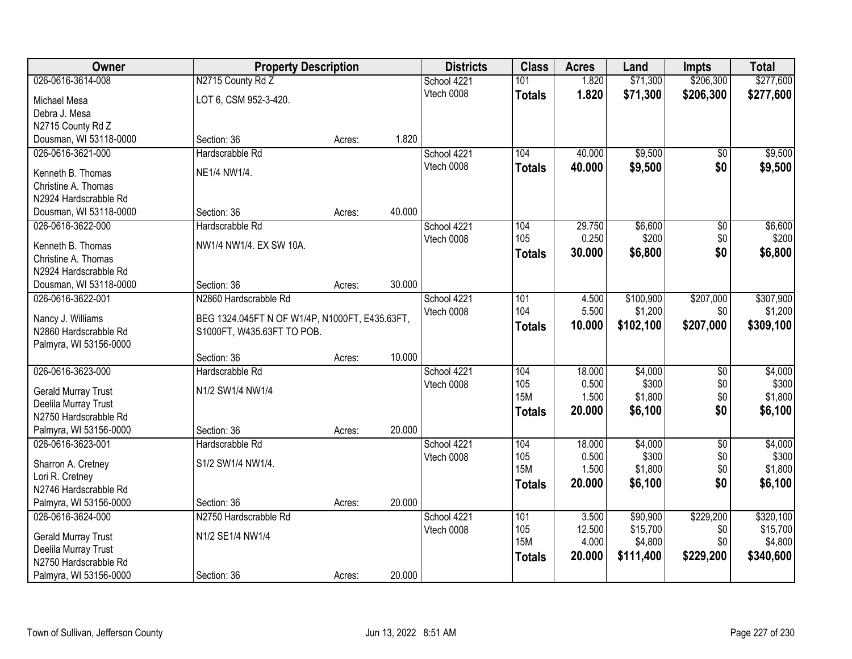| Owner                                         | <b>Property Description</b>                                                  |        |        | <b>Districts</b> | <b>Class</b>  | <b>Acres</b>    | Land                 | <b>Impts</b>     | <b>Total</b>          |
|-----------------------------------------------|------------------------------------------------------------------------------|--------|--------|------------------|---------------|-----------------|----------------------|------------------|-----------------------|
| 026-0616-3614-008                             | N2715 County Rd Z                                                            |        |        | School 4221      | 101           | 1.820           | \$71,300             | \$206,300        | \$277,600             |
| Michael Mesa                                  | LOT 6, CSM 952-3-420.                                                        |        |        | Vtech 0008       | <b>Totals</b> | 1.820           | \$71,300             | \$206,300        | \$277,600             |
| Debra J. Mesa                                 |                                                                              |        |        |                  |               |                 |                      |                  |                       |
| N2715 County Rd Z                             |                                                                              |        |        |                  |               |                 |                      |                  |                       |
| Dousman, WI 53118-0000                        | Section: 36                                                                  | Acres: | 1.820  |                  |               |                 |                      |                  |                       |
| 026-0616-3621-000                             | Hardscrabble Rd                                                              |        |        | School 4221      | 104           | 40.000          | \$9,500              | \$0              | \$9,500               |
| Kenneth B. Thomas                             | NE1/4 NW1/4.                                                                 |        |        | Vtech 0008       | <b>Totals</b> | 40.000          | \$9,500              | \$0              | \$9,500               |
| Christine A. Thomas                           |                                                                              |        |        |                  |               |                 |                      |                  |                       |
| N2924 Hardscrabble Rd                         |                                                                              |        |        |                  |               |                 |                      |                  |                       |
| Dousman, WI 53118-0000                        | Section: 36                                                                  | Acres: | 40.000 |                  |               |                 |                      |                  |                       |
| 026-0616-3622-000                             | Hardscrabble Rd                                                              |        |        | School 4221      | 104           | 29.750          | \$6,600              | \$0              | \$6,600               |
| Kenneth B. Thomas                             | NW1/4 NW1/4. EX SW 10A.                                                      |        |        | Vtech 0008       | 105           | 0.250           | \$200                | \$0              | \$200                 |
| Christine A. Thomas                           |                                                                              |        |        |                  | <b>Totals</b> | 30.000          | \$6,800              | \$0              | \$6,800               |
| N2924 Hardscrabble Rd                         |                                                                              |        |        |                  |               |                 |                      |                  |                       |
| Dousman, WI 53118-0000                        | Section: 36                                                                  | Acres: | 30.000 |                  |               |                 |                      |                  |                       |
| 026-0616-3622-001                             | N2860 Hardscrabble Rd                                                        |        |        | School 4221      | 101           | 4.500           | \$100,900            | \$207,000        | \$307,900             |
|                                               |                                                                              |        |        | Vtech 0008       | 104           | 5.500           | \$1,200              | \$0              | \$1,200               |
| Nancy J. Williams<br>N2860 Hardscrabble Rd    | BEG 1324.045FT N OF W1/4P, N1000FT, E435.63FT,<br>S1000FT, W435.63FT TO POB. |        |        |                  | <b>Totals</b> | 10.000          | \$102,100            | \$207,000        | \$309,100             |
| Palmyra, WI 53156-0000                        |                                                                              |        |        |                  |               |                 |                      |                  |                       |
|                                               | Section: 36                                                                  | Acres: | 10.000 |                  |               |                 |                      |                  |                       |
| 026-0616-3623-000                             | Hardscrabble Rd                                                              |        |        | School 4221      | 104           | 18.000          | \$4,000              | $\overline{50}$  | \$4,000               |
|                                               |                                                                              |        |        | Vtech 0008       | 105           | 0.500           | \$300                | \$0              | \$300                 |
| <b>Gerald Murray Trust</b>                    | N1/2 SW1/4 NW1/4                                                             |        |        |                  | <b>15M</b>    | 1.500           | \$1,800              | \$0              | \$1,800               |
| Deelila Murray Trust<br>N2750 Hardscrabble Rd |                                                                              |        |        |                  | <b>Totals</b> | 20.000          | \$6,100              | \$0              | \$6,100               |
| Palmyra, WI 53156-0000                        | Section: 36                                                                  | Acres: | 20.000 |                  |               |                 |                      |                  |                       |
| 026-0616-3623-001                             | Hardscrabble Rd                                                              |        |        | School 4221      | 104           | 18.000          | \$4,000              | $\sqrt{6}$       | \$4,000               |
|                                               |                                                                              |        |        | Vtech 0008       | 105           | 0.500           | \$300                | \$0              | \$300                 |
| Sharron A. Cretney                            | S1/2 SW1/4 NW1/4.                                                            |        |        |                  | <b>15M</b>    | 1.500           | \$1,800              | \$0              | \$1,800               |
| Lori R. Cretney                               |                                                                              |        |        |                  | <b>Totals</b> | 20,000          | \$6,100              | \$0              | \$6,100               |
| N2746 Hardscrabble Rd                         |                                                                              |        |        |                  |               |                 |                      |                  |                       |
| Palmyra, WI 53156-0000                        | Section: 36                                                                  | Acres: | 20.000 |                  |               |                 |                      |                  |                       |
| 026-0616-3624-000                             | N2750 Hardscrabble Rd                                                        |        |        | School 4221      | 101<br>105    | 3.500<br>12.500 | \$90,900<br>\$15,700 | \$229,200<br>\$0 | \$320,100<br>\$15,700 |
| Gerald Murray Trust                           | N1/2 SE1/4 NW1/4                                                             |        |        | Vtech 0008       | <b>15M</b>    | 4.000           | \$4,800              | \$0              | \$4,800               |
| Deelila Murray Trust                          |                                                                              |        |        |                  | <b>Totals</b> | 20.000          | \$111,400            | \$229,200        | \$340,600             |
| N2750 Hardscrabble Rd                         |                                                                              |        |        |                  |               |                 |                      |                  |                       |
| Palmyra, WI 53156-0000                        | Section: 36                                                                  | Acres: | 20.000 |                  |               |                 |                      |                  |                       |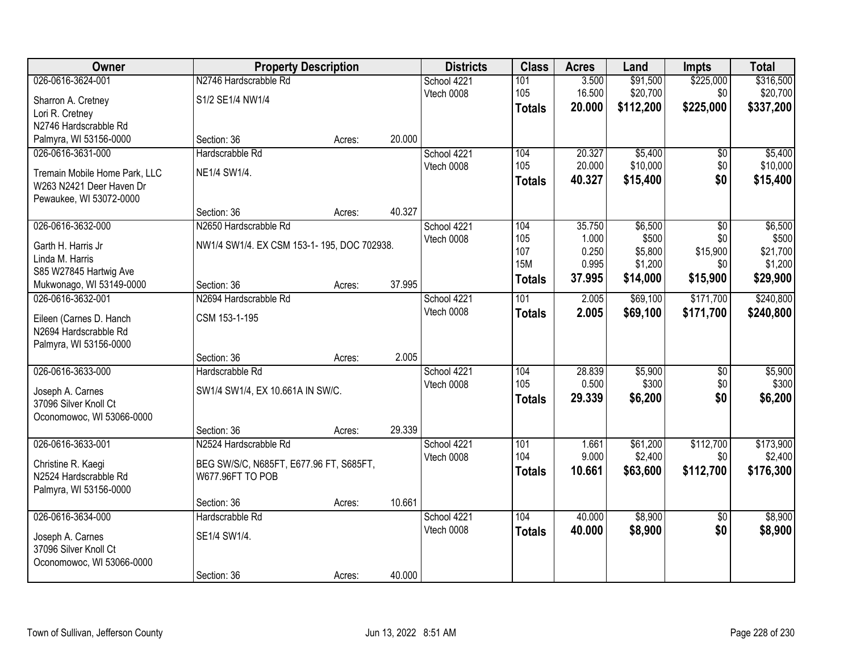| Owner                         |                                            | <b>Property Description</b> |        | <b>Districts</b> | <b>Class</b>  | <b>Acres</b> | Land      | <b>Impts</b>    | <b>Total</b> |
|-------------------------------|--------------------------------------------|-----------------------------|--------|------------------|---------------|--------------|-----------|-----------------|--------------|
| 026-0616-3624-001             | N2746 Hardscrabble Rd                      |                             |        | School 4221      | 101           | 3.500        | \$91,500  | \$225,000       | \$316,500    |
| Sharron A. Cretney            | S1/2 SE1/4 NW1/4                           |                             |        | Vtech 0008       | 105           | 16.500       | \$20,700  | \$0             | \$20,700     |
| Lori R. Cretney               |                                            |                             |        |                  | <b>Totals</b> | 20.000       | \$112,200 | \$225,000       | \$337,200    |
| N2746 Hardscrabble Rd         |                                            |                             |        |                  |               |              |           |                 |              |
| Palmyra, WI 53156-0000        | Section: 36                                | Acres:                      | 20.000 |                  |               |              |           |                 |              |
| 026-0616-3631-000             | Hardscrabble Rd                            |                             |        | School 4221      | 104           | 20.327       | \$5,400   | $\overline{50}$ | \$5,400      |
| Tremain Mobile Home Park, LLC | NE1/4 SW1/4.                               |                             |        | Vtech 0008       | 105           | 20.000       | \$10,000  | \$0             | \$10,000     |
| W263 N2421 Deer Haven Dr      |                                            |                             |        |                  | <b>Totals</b> | 40.327       | \$15,400  | \$0             | \$15,400     |
| Pewaukee, WI 53072-0000       |                                            |                             |        |                  |               |              |           |                 |              |
|                               | Section: 36                                | Acres:                      | 40.327 |                  |               |              |           |                 |              |
| 026-0616-3632-000             | N2650 Hardscrabble Rd                      |                             |        | School 4221      | 104           | 35.750       | \$6,500   | \$0             | \$6,500      |
| Garth H. Harris Jr            | NW1/4 SW1/4. EX CSM 153-1-195, DOC 702938. |                             |        | Vtech 0008       | 105           | 1.000        | \$500     | \$0             | \$500        |
| Linda M. Harris               |                                            |                             |        |                  | 107           | 0.250        | \$5,800   | \$15,900        | \$21,700     |
| S85 W27845 Hartwig Ave        |                                            |                             |        |                  | <b>15M</b>    | 0.995        | \$1,200   | \$0             | \$1,200      |
| Mukwonago, WI 53149-0000      | Section: 36                                | Acres:                      | 37.995 |                  | <b>Totals</b> | 37.995       | \$14,000  | \$15,900        | \$29,900     |
| 026-0616-3632-001             | N2694 Hardscrabble Rd                      |                             |        | School 4221      | 101           | 2.005        | \$69,100  | \$171,700       | \$240,800    |
| Eileen (Carnes D. Hanch       | CSM 153-1-195                              |                             |        | Vtech 0008       | <b>Totals</b> | 2.005        | \$69,100  | \$171,700       | \$240,800    |
| N2694 Hardscrabble Rd         |                                            |                             |        |                  |               |              |           |                 |              |
| Palmyra, WI 53156-0000        |                                            |                             |        |                  |               |              |           |                 |              |
|                               | Section: 36                                | Acres:                      | 2.005  |                  |               |              |           |                 |              |
| 026-0616-3633-000             | Hardscrabble Rd                            |                             |        | School 4221      | 104           | 28.839       | \$5,900   | \$0             | \$5,900      |
| Joseph A. Carnes              | SW1/4 SW1/4, EX 10.661A IN SW/C.           |                             |        | Vtech 0008       | 105           | 0.500        | \$300     | \$0             | \$300        |
| 37096 Silver Knoll Ct         |                                            |                             |        |                  | <b>Totals</b> | 29.339       | \$6,200   | \$0             | \$6,200      |
| Oconomowoc, WI 53066-0000     |                                            |                             |        |                  |               |              |           |                 |              |
|                               | Section: 36                                | Acres:                      | 29.339 |                  |               |              |           |                 |              |
| 026-0616-3633-001             | N2524 Hardscrabble Rd                      |                             |        | School 4221      | 101           | 1.661        | \$61,200  | \$112,700       | \$173,900    |
| Christine R. Kaegi            | BEG SW/S/C, N685FT, E677.96 FT, S685FT,    |                             |        | Vtech 0008       | 104           | 9.000        | \$2,400   | \$0             | \$2,400      |
| N2524 Hardscrabble Rd         | W677.96FT TO POB                           |                             |        |                  | <b>Totals</b> | 10.661       | \$63,600  | \$112,700       | \$176,300    |
| Palmyra, WI 53156-0000        |                                            |                             |        |                  |               |              |           |                 |              |
|                               | Section: 36                                | Acres:                      | 10.661 |                  |               |              |           |                 |              |
| 026-0616-3634-000             | Hardscrabble Rd                            |                             |        | School 4221      | 104           | 40.000       | \$8,900   | $\overline{50}$ | \$8,900      |
| Joseph A. Carnes              | SE1/4 SW1/4.                               |                             |        | Vtech 0008       | <b>Totals</b> | 40.000       | \$8,900   | \$0             | \$8,900      |
| 37096 Silver Knoll Ct         |                                            |                             |        |                  |               |              |           |                 |              |
| Oconomowoc, WI 53066-0000     |                                            |                             |        |                  |               |              |           |                 |              |
|                               | Section: 36                                | Acres:                      | 40.000 |                  |               |              |           |                 |              |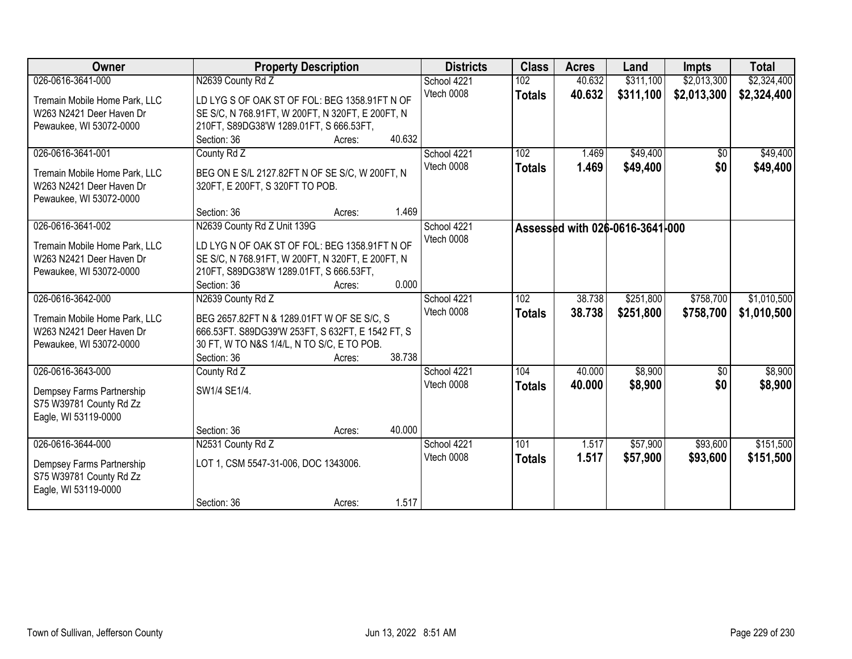| Owner                                           | <b>Property Description</b>                      |        | <b>Districts</b> | <b>Class</b> | <b>Acres</b>  | Land   | <b>Impts</b>                    | <b>Total</b> |             |
|-------------------------------------------------|--------------------------------------------------|--------|------------------|--------------|---------------|--------|---------------------------------|--------------|-------------|
| 026-0616-3641-000                               | N2639 County Rd Z                                |        |                  | School 4221  | 102           | 40.632 | \$311,100                       | \$2,013,300  | \$2,324,400 |
| Tremain Mobile Home Park, LLC                   | LD LYG S OF OAK ST OF FOL: BEG 1358.91FT N OF    |        |                  | Vtech 0008   | <b>Totals</b> | 40.632 | \$311,100                       | \$2,013,300  | \$2,324,400 |
| W263 N2421 Deer Haven Dr                        | SE S/C, N 768.91FT, W 200FT, N 320FT, E 200FT, N |        |                  |              |               |        |                                 |              |             |
| Pewaukee, WI 53072-0000                         | 210FT, S89DG38'W 1289.01FT, S 666.53FT,          |        |                  |              |               |        |                                 |              |             |
|                                                 | Section: 36                                      | Acres: | 40.632           |              |               |        |                                 |              |             |
| 026-0616-3641-001                               | County Rd Z                                      |        |                  | School 4221  | 102           | 1.469  | \$49,400                        | \$0          | \$49,400    |
| Tremain Mobile Home Park, LLC                   | BEG ON E S/L 2127.82FT N OF SE S/C, W 200FT, N   |        |                  | Vtech 0008   | <b>Totals</b> | 1.469  | \$49,400                        | \$0          | \$49,400    |
| W263 N2421 Deer Haven Dr                        | 320FT, E 200FT, S 320FT TO POB.                  |        |                  |              |               |        |                                 |              |             |
| Pewaukee, WI 53072-0000                         |                                                  |        |                  |              |               |        |                                 |              |             |
|                                                 | Section: 36                                      | Acres: | 1.469            |              |               |        |                                 |              |             |
| 026-0616-3641-002                               | N2639 County Rd Z Unit 139G                      |        |                  | School 4221  |               |        | Assessed with 026-0616-3641-000 |              |             |
| Tremain Mobile Home Park, LLC                   | LD LYGN OF OAK ST OF FOL: BEG 1358.91FT N OF     |        |                  | Vtech 0008   |               |        |                                 |              |             |
| W263 N2421 Deer Haven Dr                        | SE S/C, N 768.91FT, W 200FT, N 320FT, E 200FT, N |        |                  |              |               |        |                                 |              |             |
| Pewaukee, WI 53072-0000                         | 210FT, S89DG38'W 1289.01FT, S 666.53FT,          |        |                  |              |               |        |                                 |              |             |
|                                                 | Section: 36                                      | Acres: | 0.000            |              |               |        |                                 |              |             |
| 026-0616-3642-000                               | N2639 County Rd Z                                |        |                  | School 4221  | 102           | 38.738 | \$251,800                       | \$758,700    | \$1,010,500 |
| Tremain Mobile Home Park, LLC                   | BEG 2657.82FT N & 1289.01FT W OF SE S/C, S       |        |                  | Vtech 0008   | <b>Totals</b> | 38.738 | \$251,800                       | \$758,700    | \$1,010,500 |
| W263 N2421 Deer Haven Dr                        | 666.53FT. S89DG39'W 253FT, S 632FT, E 1542 FT, S |        |                  |              |               |        |                                 |              |             |
| Pewaukee, WI 53072-0000                         | 30 FT, W TO N&S 1/4/L, N TO S/C, E TO POB.       |        |                  |              |               |        |                                 |              |             |
|                                                 | Section: 36                                      | Acres: | 38.738           |              |               |        |                                 |              |             |
| 026-0616-3643-000                               | County Rd Z                                      |        |                  | School 4221  | 104           | 40.000 | \$8,900                         | \$0          | \$8,900     |
| Dempsey Farms Partnership                       | SW1/4 SE1/4.                                     |        |                  | Vtech 0008   | <b>Totals</b> | 40.000 | \$8,900                         | \$0          | \$8,900     |
| S75 W39781 County Rd Zz                         |                                                  |        |                  |              |               |        |                                 |              |             |
| Eagle, WI 53119-0000                            |                                                  |        |                  |              |               |        |                                 |              |             |
|                                                 | Section: 36                                      | Acres: | 40.000           |              |               |        |                                 |              |             |
| 026-0616-3644-000                               | N2531 County Rd Z                                |        |                  | School 4221  | 101           | 1.517  | \$57,900                        | \$93,600     | \$151,500   |
|                                                 | LOT 1, CSM 5547-31-006, DOC 1343006.             |        |                  | Vtech 0008   | <b>Totals</b> | 1.517  | \$57,900                        | \$93,600     | \$151,500   |
| Dempsey Farms Partnership                       |                                                  |        |                  |              |               |        |                                 |              |             |
| S75 W39781 County Rd Zz<br>Eagle, WI 53119-0000 |                                                  |        |                  |              |               |        |                                 |              |             |
|                                                 | Section: 36                                      | Acres: | 1.517            |              |               |        |                                 |              |             |